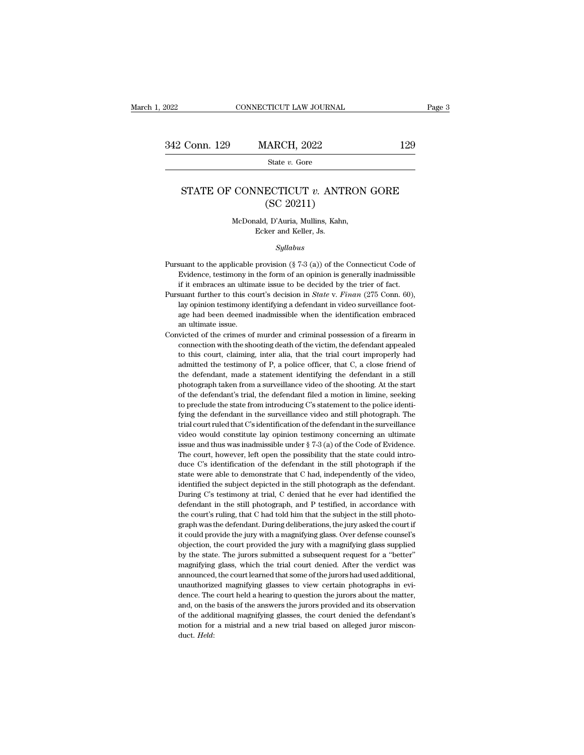### Conn. 129 MARCH, 2022 129<br>State *v.* Gore<br>STATE OF CONNECTICUT *v.* ANTRON GORE<br>(SC 20211)  $\begin{array}{l} \mbox{(ARCH, 2022)}\\ \mbox{State $v$. Gore} \end{array}$ <br> $\begin{array}{l} \mbox{ECTICUT $v$. ANTR}\\ \mbox{(SC 20211)} \end{array}$ , D'Auria, Mullins, Kahn, CONNECTICUT *v.* ANTRON<br>
(SC 20211)<br>
McDonald, D'Auria, Mullins, Kahn,<br>
Ecker and Keller, Js. SECTICUT  $v$ . ANT<br>
(SC 20211)<br>
(SC 20211)<br>
Ecker and Keller, Js.<br>
Sullabus

### *Syllabus*

- McDonald, D'Auria, Mullins, Kahn,<br>Ecker and Keller, Js.<br>Syllabus<br>Pursuant to the applicable provision (§ 7-3 (a)) of the Connecticut Code of<br>Evidence, testimony in the form of an opinion is generally inadmissible McDonald, D'Auria, Mullins, Kahn,<br>Ecker and Keller, Js.<br>Syllabus<br>suant to the applicable provision (§ 7-3 (a)) of the Connecticut Code of<br>Evidence, testimony in the form of an opinion is generally inadmissible<br>if it embrac Ecker and Keller, Js.<br>
Syllabus<br>
suant to the applicable provision  $(\S 7-3 (a))$  of the Connecticut Code of<br>
Evidence, testimony in the form of an opinion is generally inadmissible<br>
if it embraces an ultimate issue to be de Syllabus<br>
Pursuant to the applicable provision (§ 7-3 (a)) of the Connecticut Code of<br>
Evidence, testimony in the form of an opinion is generally inadmissible<br>
if it embraces an ultimate issue to be decided by the trier of
- *Sytabus*<br>
suant to the applicable provision (§ 7-3 (a)) of the Connecticut Code of<br>
Evidence, testimony in the form of an opinion is generally inadmissible<br>
if it embraces an ultimate issue to be decided by the trier of suant to the applicable provision (§ 7-3 (a)) of the Connecticut Code of Evidence, testimony in the form of an opinion is generally inadmissible if it embraces an ultimate issue to be decided by the trier of fact. Suant f Evidence, testimony in<br>
if it embraces an ultim<br>
suant further to this co<br>
lay opinion testimony is<br>
age had been deemed<br>
an ultimate issue.<br>
victed of the crimes of if it embraces an ultimate issue to be decided by the trier of fact.<br>Pursuant further to this court's decision in *State* v. *Finan* (275 Conn. 60), lay opinion testimony identifying a defendant in video surveillance foot suant further to this court's decision in *State* v. *Finan* (275 Conn. 60), lay opinion testimony identifying a defendant in video surveillance footage had been deemed inadmissible when the identification embraced an ult
- lay opinion testimony identifying a defendant in video surveillance footage had been deemed inadmissible when the identification embraced an ultimate issue.<br>
wicted of the crimes of murder and criminal possession of a fire age had been deemed inadmissible when the identification embraced<br>an ultimate issue.<br>victed of the crimes of murder and criminal possession of a firearm in<br>connection with the shooting death of the victim, the defendant ap an ultimate issue.<br>
an ultimate issue.<br>
victed of the crimes of murder and criminal possession of a firearm in<br>
connection with the shooting death of the victim, the defendant appealed<br>
to this court, claiming, inter alia, wicted of the crimes of murder and criminal possession of a firearm in connection with the shooting death of the victim, the defendant appealed to this court, claiming, inter alia, that the trial court improperly had admi connection with the shooting death of the victim, the defendant appealed to this court, claiming, inter alia, that the trial court improperly had admitted the testimony of P, a police officer, that C, a close friend of th to this court, claiming, inter alia, that the trial court improperly had admitted the testimony of P, a police officer, that C, a close friend of the defendant, made a statement identifying the defendant in a still photogr admitted the testimony of P, a police officer, that C, a close friend of the defendant, made a statement identifying the defendant in a still photograph taken from a surveillance video of the shooting. At the start of the the defendant, made a statement identifying the defendant in a still photograph taken from a surveillance video of the shooting. At the start of the defendant's trial, the defendant filed a motion in limine, seeking to pre photograph taken from a surveillance video of the shooting. At the start of the defendant's trial, the defendant filed a motion in limine, seeking to preclude the state from introducing C's statement to the police identif of the defendant's trial, the defendant filed a motion in limine, seeking to preclude the state from introducing C's statement to the police identifying the defendant in the surveillance video and still photograph. The tr to preclude the state from introducing C's statement to the police identifying the defendant in the surveillance video and still photograph. The trial court ruled that C's identification of the defendant in the surveillan fying the defendant in the surveillance video and still photograph. The trial court ruled that C's identification of the defendant in the surveillance video would constitute lay opinion testimony concerning an ultimate is state were able to demonstrate that C had, independently increases and thus was inadmissible under  $\S 7-3$  (a) of the Code of Evidence.<br>The court, however, left open the possibility that the state could introduce C's iden wideo would constitute lay opinion testimony concerning an ultimate issue and thus was inadmissible under  $\S 7-3$  (a) of the Code of Evidence.<br>The court, however, left open the possibility that the state could introduce C issue and thus was inadmissible under  $\S$  7-3 (a) of the Code of Evidence.<br>The court, however, left open the possibility that the state could intro-<br>duce C's identification of the defendant in the still photograph if the<br> The court, however, left open the possibility that the state could introduce C's identification of the defendant in the still photograph if the state were able to demonstrate that C had, independently of the video, identif duce C's identification of the defendant in the still photograph if the state were able to demonstrate that C had, independently of the video, identified the subject depicted in the still photograph as the defendant. Durin state were able to demonstrate that C had, independently of the video, identified the subject depicted in the still photograph as the defendant. During C's testimony at trial, C denied that he ever had identified the defe identified the subject depicted in the still photograph as the defendant.<br>During C's testimony at trial, C denied that he ever had identified the<br>defendant in the still photograph, and P testified, in accordance with<br>the c During C's testimony at trial, C denied that he ever had identified the defendant in the still photograph, and P testified, in accordance with the court's ruling, that C had told him that the subject in the still photograp defendant in the still photograph, and P testified, in accordance with<br>the court's ruling, that C had told him that the subject in the still photo-<br>graph was the defendant. During deliberations, the jury asked the court if the court's ruling, that C had told him that the subject in the still photograph was the defendant. During deliberations, the jury asked the court if it could provide the jury with a magnifying glass. Over defense counsel' graph was the defendant. During deliberations, the jury asked the court if<br>it could provide the jury with a magnifying glass. Over defense counsel's<br>objection, the court provided the jury with a magnifying glass supplied<br>b graph was the defendant. During deliberations, the jury asked the court if<br>it could provide the jury with a magnifying glass. Over defense counsel's<br>objection, the court provided the jury with a magnifying glass supplied<br>b objection, the court provided the jury with a magnifying glass supplied<br>by the state. The jurors submitted a subsequent request for a "better"<br>magnifying glass, which the trial court denied. After the verdict was<br>announced by the state. The jurors submitted a subsequent request for a "better" magnifying glass, which the trial court denied. After the verdict was announced, the court learned that some of the jurors had used additional, unautho magnifying glass, which the trial court denied. After the verdict was announced, the court learned that some of the jurors had used additional, unauthorized magnifying glasses to view certain photographs in evidence. The c announced, the court learned that some of the jurors had used additional, unauthorized magnifying glasses to view certain photographs in evidence. The court held a hearing to question the jurors about the matter, and, on t duct. *Held*: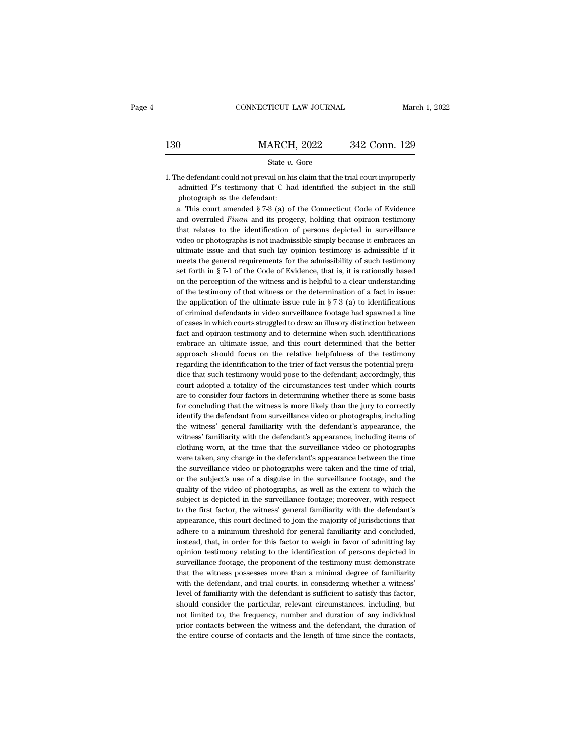|     | CONNECTICUT LAW JOURNAL                                                                                                                                                                                                                                            | March 1, 2022 |
|-----|--------------------------------------------------------------------------------------------------------------------------------------------------------------------------------------------------------------------------------------------------------------------|---------------|
| 130 | <b>MARCH, 2022</b>                                                                                                                                                                                                                                                 | 342 Conn. 129 |
|     | State v. Gore                                                                                                                                                                                                                                                      |               |
|     | 1. The defendant could not prevail on his claim that the trial court improperly<br>admitted P's testimony that C had identified the subject in the still<br>photograph as the defendant:<br>a. This court amended $\S 7-3$ (a) of the Connecticut Code of Evidence |               |

**Example 3.1** State v. Gore<br>
the defendant could not prevail on his claim that the trial court improperly<br>
admitted P's testimony that C had identified the subject in the still<br>
photograph as the defendant:<br>
a. This court

state *v*. Gore<br>he defendant could not prevail on his claim that the trial court improperly<br>admitted P's testimony that C had identified the subject in the still<br>photograph as the defendant:<br>a. This court amended § 7-3 (a) the defendant could not prevail on his claim that the trial court improperly admitted P's testimony that C had identified the subject in the still photograph as the defendant:<br>a. This court amended  $\S 7-3$  (a) of the Conn admitted P's testimony that C had identified the subject in the still<br>photograph as the defendant:<br>a. This court amended  $\S 7-3$  (a) of the Connecticut Code of Evidence<br>and overruled *Finan* and its progeny, holding that photograph as the defendant:<br>
a. This court amended  $\S 7-3$  (a) of the Connecticut Code of Evidence<br>
and overruled *Finan* and its progeny, holding that opinion testimony<br>
that relates to the identification of persons dep a. This court amended  $\S 7-3$  (a) of the Connecticut Code of Evidence<br>and overruled *Finan* and its progeny, holding that opinion testimony<br>that relates to the identification of persons depicted in surveillance<br>video or p and overruled *Finan* and its progeny, holding that opinion testimony<br>that relates to the identification of persons depicted in surveillance<br>video or photographs is not inadmissible simply because it embraces an<br>ultimate that relates to the identification of persons depicted in surveillance video or photographs is not inadmissible simply because it embraces an ultimate issue and that such lay opinion testimony is admissible if it meets th video or photographs is not inadmissible simply because it embraces an ultimate issue and that such lay opinion testimony is admissible if it meets the general requirements for the admissibility of such testimony set fort ultimate issue and that such lay opinion testimony is admissible if it meets the general requirements for the admissibility of such testimony set forth in § 7-1 of the Code of Evidence, that is, it is rationally based on meets the general requirements for the admissibility of such testimony<br>set forth in  $\S$  7-1 of the Code of Evidence, that is, it is rationally based<br>on the perception of the witness and is helpful to a clear understanding set forth in  $\S$  7-1 of the Code of Evidence, that is, it is rationally based<br>on the perception of the witness and is helpful to a clear understanding<br>of the testimony of that witness or the determination of a fact in iss on the perception of the witness and is helpful to a clear understanding of the testimony of that witness or the determination of a fact in issue: the application of the ultimate issue rule in  $\S$  7-3 (a) to identificatio of the testimony of that witness or the determination of a fact in issue:<br>the application of the ultimate issue rule in  $\S 7-3$  (a) to identifications<br>of criminal defendants in video surveillance footage had spawned a lin the application of the ultimate issue rule in  $\S$  7-3 (a) to identifications of criminal defendants in video surveillance footage had spawned a line of cases in which courts struggled to draw an illusory distinction betwe embrace an ultimate issue, and this court determined that the better approach should focus on the relative helpfulness of the testimony regarding the identification to the trier of fact versus the potential preju-<br>dice tha of cases in which courts struggled to draw an illusory distinction between<br>fact and opinion testimony and to determine when such identifications<br>embrace an ultimate issue, and this court determined that the better<br>approach fact and opinion testimony and to determine when such identifications<br>embrace an ultimate issue, and this court determined that the better<br>approach should focus on the relative helpfulness of the testimony<br>regarding the id embrace an ultimate issue, and this court determined that the better approach should focus on the relative helpfulness of the testimony regarding the identification to the trier of fact versus the potential prejudice that approach should focus on the relative helpfulness of the testimony<br>regarding the identification to the trier of fact versus the potential preju-<br>dice that such testimony would pose to the defendant; accordingly, this<br>court regarding the identification to the trier of fact versus the potential prejudice that such testimony would pose to the defendant; accordingly, this court adopted a totality of the circumstances test under which courts are dice that such testimony would pose to the defendant; accordingly, this court adopted a totality of the circumstances test under which courts are to consider four factors in determining whether there is some basis for conc court adopted a totality of the circumstances test under which courts<br>are to consider four factors in determining whether there is some basis<br>for concluding that the witness is more likely than the jury to correctly<br>identi are to consider four factors in determining whether there is some basis<br>for concluding that the witness is more likely than the jury to correctly<br>identify the defendant from surveillance video or photographs, including<br>the for concluding that the witness is more likely than the jury to correctly identify the defendant from surveillance video or photographs, including the witness' general familiarity with the defendant's appearance, the witne identify the defendant from surveillance video or photographs, including<br>the witness' general familiarity with the defendant's appearance, the<br>witness' familiarity with the defendant's appearance, including items of<br>clothi the witness' general familiarity with the defendant's appearance, the witness' familiarity with the defendant's appearance, including items of clothing worn, at the time that the surveillance video or photographs were take witness' familiarity with the defendant's appearance, including items of clothing worn, at the time that the surveillance video or photographs were taken the time the surveillance video or photographs were taken and the ti clothing worn, at the time that the surveillance video or photographs<br>were taken, any change in the defendant's appearance between the time<br>the surveillance video or photographs were taken and the time of trial,<br>or the sub were taken, any change in the defendant's appearance between the time<br>the surveillance video or photographs were taken and the time of trial,<br>or the subject's use of a disguise in the surveillance footage, and the<br>quality the surveillance video or photographs were taken and the time of trial,<br>or the subject's use of a disguise in the surveillance footage, and the<br>quality of the video of photographs, as well as the extent to which the<br>subjec or the subject's use of a disguise in the surveillance footage, and the quality of the video of photographs, as well as the extent to which the subject is depicted in the surveillance footage; moreover, with respect to the quality of the video of photographs, as well as the extent to which the subject is depicted in the surveillance footage; moreover, with respect to the first factor, the witness' general familiarity with the defendant's app subject is depicted in the surveillance footage; moreover, with respect to the first factor, the witness' general familiarity with the defendant's appearance, this court declined to join the majority of jurisdictions that to the first factor, the witness' general familiarity with the defendant's appearance, this court declined to join the majority of jurisdictions that adhere to a minimum threshold for general familiarity and concluded, ins appearance, this court declined to join the majority of jurisdictions that adhere to a minimum threshold for general familiarity and concluded, instead, that, in order for this factor to weigh in favor of admitting lay opi adhere to a minimum threshold for general familiarity and concluded, instead, that, in order for this factor to weigh in favor of admitting lay opinion testimony relating to the identification of persons depicted in survei instead, that, in order for this factor to weigh in favor of admitting lay<br>opinion testimony relating to the identification of persons depicted in<br>surveillance footage, the proponent of the testimony must demonstrate<br>that opinion testimony relating to the identification of persons depicted in surveillance footage, the proponent of the testimony must demonstrate that the witness possesses more than a minimal degree of familiarity with the de surveillance footage, the proponent of the testimony must demonstrate that the witness possesses more than a minimal degree of familiarity with the defendant, and trial courts, in considering whether a witness' level of fa that the witness possesses more than a minimal degree of familiarity<br>with the defendant, and trial courts, in considering whether a witness'<br>level of familiarity with the defendant is sufficient to satisfy this factor,<br>sho with the defendant, and trial courts, in considering whether a witness'<br>level of familiarity with the defendant is sufficient to satisfy this factor,<br>should consider the particular, relevant circumstances, including, but<br>n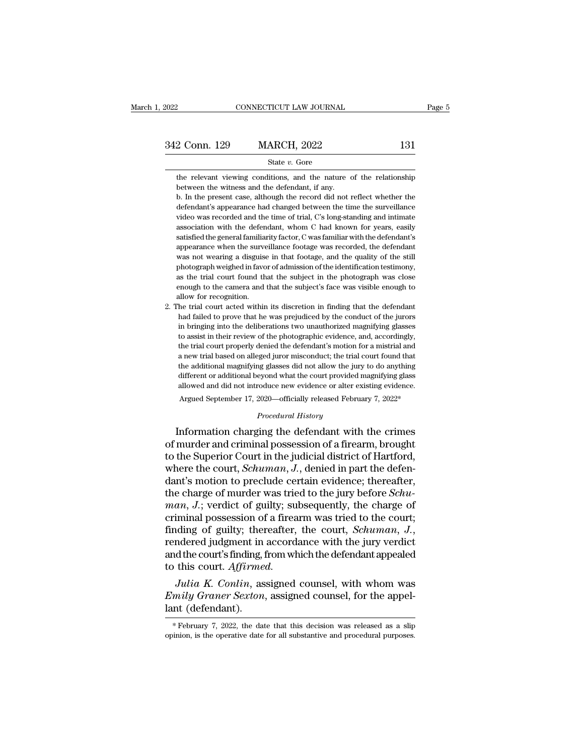| 2022          | CONNECTICUT LAW JOURNAL |     | Page 5 |
|---------------|-------------------------|-----|--------|
|               |                         |     |        |
| 342 Conn. 129 | <b>MARCH, 2022</b>      | 131 |        |
|               | State $v$ . Gore        |     |        |

2 Conn. 129 MARCH, 2022 131<br>State v. Gore<br>the relevant viewing conditions, and the nature of the relationship<br>between the witness and the defendant, if any. the relevant viewing conditions, and the nature of the relationship<br>between the witness and the defendant, if any.<br>b. In the present case, although the record did not reflect whether the<br>defendant's appearance had changed

**b.** In the present case, although the record did not reflect whether the present case, although the record did not reflect whether the defendant's appearance had changed between the time the surveillance State  $v$ . Gore<br>the relevant viewing conditions, and the nature of the relationship<br>between the witness and the defendant, if any.<br>b. In the present case, although the record did not reflect whether the<br>defendant's appear State  $v$ . Gore<br>the relevant viewing conditions, and the nature of the relationship<br>between the witness and the defendant, if any.<br>b. In the present case, although the record did not reflect whether the<br>defendant's appear the relevant viewing conditions, and the nature of the relationship<br>between the witness and the defendant, if any.<br>b. In the present case, although the record did not reflect whether the<br>defendant's appearance had changed between the witness and the defendant, if any.<br>b. In the present case, although the record did not reflect whether the<br>defendant's appearance had changed between the time the surveillance<br>video was recorded and the time of b. In the present case, although the record did not reflect whether the defendant's appearance had changed between the time the surveillance video was recorded and the time of trial, C's long-standing and intimate associat of defendant's appearance had changed between the time the surveillance video was recorded and the time of trial, C's long-standing and intimate association with the defendant, whom C had known for years, easily satisfied wideo was reorded and the time of trial, C's long-standing and intimate association with the defendant, whom C had known for years, easily satisfied the general familiarity factor, C was familiar with the defendant's appea association with the defendant, whom C had known for years, easily satisfied the general familiarity factor, C was familiar with the defendant's appearance when the surveillance footage was recorded, the defendant was not satisfied the general familiarity factor, C was familiar with the defendant's appearance when the surveillance footage was recorded, the defendant was not wearing a disguise in that footage, and the quality of the still ph satisfied the general familiarity factor, C was familiar with the defendant's appearance when the surveillance footage was recorded, the defendant was not wearing a disguise in that footage, and the quality of the still ph Experience with a disguise in that footage, and the quality of the still<br>photograph weighed in favor of admission of the identification testimony,<br>as the trial court found that the subject in the photograph was close<br>enoug had failed in favor of admission of the identification testimony, as the trial court found that the subject in the photograph was close enough to the camera and that the subject's face was visible enough to allow for recog

in bringing into the deliberations to the definite above the definition, as the trial court found that the subject's face was visible enough to allow for recognition.<br>The trial court acted within its discretion in finding the trial court round that the subject's face was visible enough to the camera and that the subject's face was visible enough to allow for recognition.<br>The trial court acted within its discretion in finding that the defend the trial court acted within its discretion in finding that the defendant<br>had failed to prove that he was prejudiced by the conduct of the jurors<br>in bringing into the deliberations two unauthorized magnifying glasses<br>to as a new trial court acted within its discretion in finding that the defendant<br>had failed to prove that he was prejudiced by the conduct of the jurors<br>in bringing into the deliberations two unauthorized magnifying glasses<br>to The and solutional magnifying distributional magnifying glasses to assist in their review of the photographic evidence, and, accordingly, the trial court properly denied the defendant's motion for a mistrial and a new tria different or additional beyond what the court provided magnifying glasses<br>to assist in their review of the photographic evidence, and, accordingly,<br>the trial court properly denied the defendant's motion for a mistrial and<br> allowed and their review of the photographic evidence, and, accordingly, the trial court properly denied the defendant's motion for a mistrial and a new trial based on alleged juror misconduct; the trial court found that t the trial court properly denied the defendant's motion for a mistrial and<br>a new trial based on alleged juror misconduct; the trial court found that<br>the additional magnifying glasses did not allow the jury to do anything<br>di a new trial based on alleged juror misconduct; the trial court found that<br>the additional magnifying glasses did not allow the jury to do anything<br>different or additional beyond what the court provided magnifying glass<br>allo a new trial based on alleged juror misconduct; the trial court found that<br>the additional magnifying glasses did not allow the jury to do anything<br>different or additional beyond what the court provided magnifying glass<br>allo

the additional magnitying glasses did not allow the jury to do anything<br>different or additional beyond what the court provided magnifying glass<br>allowed and did not introduce new evidence or alter existing evidence.<br>Argued ancient of additional beyond what the court provided maginitying gass<br>allowed and did not introduce new evidence or alter existing evidence.<br>Argued September 17, 2020—officially released February 7, 2022\*<br>Procedural Histor Argued September 17, 2020—officially released February 7, 2022\*<br> *Procedural History*<br>
Information charging the defendant with the crimes<br>
of murder and criminal possession of a firearm, brought<br>
to the Superior Court in t Frocedural History<br>
Frocedural History<br>
Information charging the defendant with the crimes<br>
of murder and criminal possession of a firearm, brought<br>
to the Superior Court in the judicial district of Hartford,<br>
where the c Frocedural History<br>Information charging the defendant with the crimes<br>of murder and criminal possession of a firearm, brought<br>to the Superior Court in the judicial district of Hartford,<br>where the court, *Schuman*, *J*., de Information charging the defendant with the crimes<br>of murder and criminal possession of a firearm, brought<br>to the Superior Court in the judicial district of Hartford,<br>where the court, *Schuman*, *J.*, denied in part the de of murder and criminal possession of a firearm, brought<br>to the Superior Court in the judicial district of Hartford,<br>where the court, *Schuman*, *J*., denied in part the defen-<br>dant's motion to preclude certain evidence; th to the Superior Court in the judicial district of Hartford,<br>where the court, *Schuman*, *J*., denied in part the defen-<br>dant's motion to preclude certain evidence; thereafter,<br>the charge of murder was tried to the jury bef dant's motion to preclude certain evidence; thereafter,<br>the charge of murder was tried to the jury before *Schu-<br>man*, *J*.; verdict of guilty; subsequently, the charge of<br>criminal possession of a firearm was tried to the the charge of murder was trie *man, J*.; verdict of guilty; sul<br>criminal possession of a firear<br>finding of guilty; thereafter,<br>rendered judgment in accorda<br>and the court's finding, from wh<br>to this court. *Affirmed*.<br>Julia *Julia K. Conlinity*; subsequently, the charge of<br>
iminal possession of a firearm was tried to the court;<br>
ding of guilty; thereafter, the court, *Schuman*, *J.*,<br>
indered judgment in accordance with the jury verdict<br>
d th riminal possession of a firearm was tried to the court;<br>finding of guilty; thereafter, the court, *Schuman*, J.,<br>rendered judgment in accordance with the jury verdict<br>and the court's finding, from which the defendant appea maing or guilty; thereatter, the court, *Schuman*, *J.*,<br>rendered judgment in accordance with the jury verdict<br>and the court's finding, from which the defendant appealed<br>to this court. Affirmed.<br>*Julia K. Conlin*, assigne

*Julia K. Conlin*, assigned counsel, with whom was  $Emily\ Graner Sexton$ , assigned counsel, for the appellant (defendant).<br>\*February 7, 2022, the date that this decision was released as a slip opinion, is the operative date for all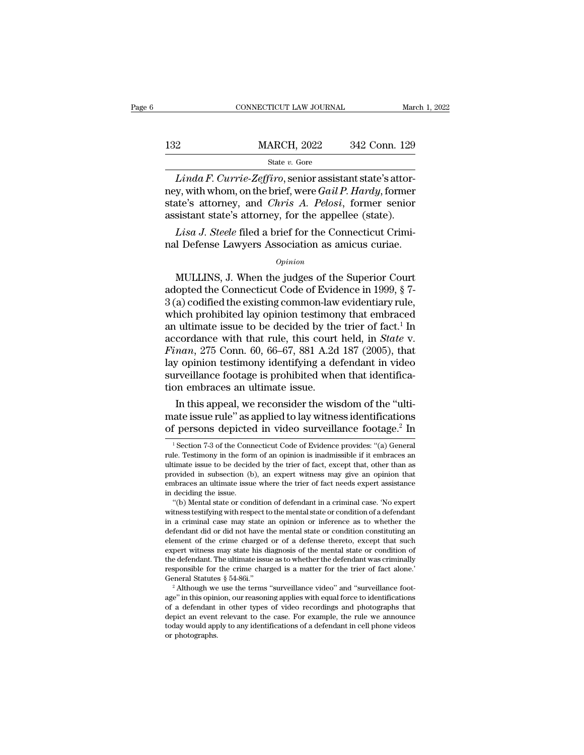|     | CONNECTICUT LAW JOURNAL |               | March 1, 2022 |
|-----|-------------------------|---------------|---------------|
|     |                         |               |               |
| 132 | <b>MARCH, 2022</b>      | 342 Conn. 129 |               |
|     | State $v$ . Gore        |               |               |

*CONNECTICUT LAW JOURNAL*<br> *Linda F. Currie-Zeffiro*, senior assistant state's attor-<br> *Linda F. Currie-Zeffiro*, senior assistant state's attor-<br> *Linda F. Currie-Zeffiro*, senior assistant state's attor-<br> *Linda F. Curri* 132 MARCH, 2022 342 Conn. 129<br>
State v. Gore<br> *Linda F. Currie-Zeffiro*, senior assistant state's attor-<br>
ney, with whom, on the brief, were *Gail P. Hardy*, former<br>
state's attorney, and *Chris A. Pelosi*, former senior<br> 132 MARCH, 2022 342 Conn. 129<br>
<sup>State</sup> *v.* Gore<br> *Linda F. Currie-Zeffiro*, senior assistant state's attor-<br>
ney, with whom, on the brief, were *Gail P. Hardy*, former state's attorney, and *Chris A. Pelosi*, former senio 132 MARCH, 2022 342 Conn. 129<br>  $\frac{\text{State } v. \text{ Gore}}{Linda F. \text{Current}e\text{-}Zeffiro, \text{ senior assistant state's attor-}$ <br>
ney, with whom, on the brief, were *Gail P. Hardy*, former<br>
state's attorney, and *Chris A. Pelosi*, former senior<br>
assistant state's attorney State *v.* Gore<br>*Linda F. Currie-Zeffiro*, senior assistant state's attory, with whom, on the brief, were *Gail P. Hardy*, former<br>ate's attorney, and *Chris A. Pelosi*, former senior<br>sistant state's attorney, for the appel *Linda F. Currie-Zeffiro*, senior assistant state's attor-<br>ney, with whom, on the brief, were *Gail P. Hardy*, former<br>state's attorney, and *Chris A. Pelosi*, former senior<br>assistant state's attorney, for the appellee (sta

### *Opinion*

the's attorney, and *Chris A. Pelosi*, former senior<br>sistant state's attorney, for the appellee (state).<br>*Lisa J. Steele* filed a brief for the Connecticut Crimi-<br>I Defense Lawyers Association as amicus curiae.<br>*Opinion*<br>M assistant state's attorney, for the appellee (state).<br> *Lisa J. Steele* filed a brief for the Connecticut Criminal Defense Lawyers Association as amicus curiae.<br>  $opinion$ <br>
MULLINS, J. When the judges of the Superior Court<br>
ad *Lisa J. Steele* filed a brief for the Connecticut Criminal Defense Lawyers Association as amicus curiae.<br>  $\frac{opinion}{opinion}$ <br>
MULLINS, J. When the judges of the Superior Court<br>
adopted the Connecticut Code of Evidence in 1999, mal Defense Lawyers Association as amicus curiae.<br>  $opinion$ <br>
MULLINS, J. When the judges of the Superior Court<br>
adopted the Connecticut Code of Evidence in 1999, § 7-<br>
3 (a) codified the existing common-law evidentiary rule,<br> *Opinion*<br>
MULLINS, J. When the judges of the Superior Court<br>
adopted the Connecticut Code of Evidence in 1999, § 7-<br>
3 (a) codified the existing common-law evidentiary rule,<br>
which prohibited lay opinion testimony that e opinion<br>
MULLINS, J. When the judges of the Superior Court<br>
adopted the Connecticut Code of Evidence in 1999, § 7-<br>
3 (a) codified the existing common-law evidentiary rule,<br>
which prohibited lay opinion testimony that embr *Finan*, 275 Connecticut Code of Evidence in 1999, § 7-<br>*Finance i* alopted the Connecticut Code of Evidence in 1999, § 7-<br>*Finance in the existing common-law evidentiary rule,*<br>which prohibited lay opinion testimony that adopted the Connecticut Code of Evidence in 1999, § 7-<br>3 (a) codified the existing common-law evidentiary rule,<br>which prohibited lay opinion testimony that embraced<br>an ultimate issue to be decided by the trier of fact.<sup>1</sup>  $3$  (a) codified the existing common-law evidentiary rule, which prohibited lay opinion testimony that embraced an ultimate issue to be decided by the trier of fact.<sup>1</sup> In accordance with that rule, this court held, in *S* which prohibited lay opinion testimon<br>an ultimate issue to be decided by the<br>accordance with that rule, this court<br> $Finan$ ,  $275$  Conn. 60, 66–67, 881 A.2d<br>lay opinion testimony identifying a de<br>surveillance footage is prohi In this appearance with that rule, this court held, in *State* v.<br> *nan*, 275 Conn. 60, 66–67, 881 A.2d 187 (2005), that<br> *y* opinion testimony identifying a defendant in video<br>
rveillance footage is prohibited when that accordance with that rule, this court held, in *State v.*<br>Finan, 275 Conn. 60, 66–67, 881 A.2d 187 (2005), that<br>lay opinion testimony identifying a defendant in video<br>surveillance footage is prohibited when that identific *Finan, 275* Conn. 60, 66–67, 881 A.2d 187 (2005), that<br>lay opinion testimony identifying a defendant in video<br>surveillance footage is prohibited when that identifica-<br>tion embraces an ultimate issue.<br>In this appeal, we r

In this appeal, we reconsider the wisdom of the "ulti-<br>ate issue rule" as applied to lay witness identifications<br>f persons depicted in video surveillance footage.<sup>2</sup> In<br><sup>1</sup> Section 7-3 of the Connecticut Code of Evidence In this appeal, we reconsider the wisdom of the "ultimate issue rule" as applied to lay witness identifications of persons depicted in video surveillance footage.<sup>2</sup> In  $\frac{1}{1}$  Section 7-3 of the Connecticut Code of Evi

mate issue rule" as applied to lay witness identifications<br>of persons depicted in video surveillance footage.<sup>2</sup> In<br> $\frac{1}{1}$ Section 7-3 of the Connecticut Code of Evidence provides: "(a) General<br>rule. Testimony in the fo of persons depicted in video surveillance footage.<sup>2</sup> In  $\frac{1}{1}$  Section 7-3 of the Connecticut Code of Evidence provides: "(a) General rule. Testimony in the form of an opinion is inadmissible if it embraces an ultimat of persons depicted in video surveillance footage.<sup>2</sup> In<br>
<sup>1</sup> Section 7-3 of the Connecticut Code of Evidence provides: "(a) General<br>
rule. Testimony in the form of an opinion is inadmissible if it embraces an<br>
ultimate i <sup>1</sup> Section 7-3 of the Conrule. Testimony in the formultimate issue to be decided provided in subsection (b) embraces an ultimate issue. "(b) Mental state or concent ''') section  $\ell$ -3 or the Connecticut Code or Evidence provides: '(a) General<br>
le. Testimony in the form of an opinion is inadmissible if it embraces an<br>
timate issue to be decided by the trier of fact, except that, othe

<sup>&</sup>quot;(b) Mental state or condition of defendant in a criminal case. 'No expert witness testifying with respect to the mental state or condition of a defendant in a criminal case may state an opinion or inference as to whether ultimate issue to be decided by the trier of fact, except that, other than as<br>provided in subsection (b), an expert witness may give an opinion that<br>embraces an ultimate issue where the trier of fact needs expert assistanc provided in subsection (b), an expert witness may give an opinion that<br>embraces an ultimate issue where the trier of fact needs expert assistance<br>in deciding the issue.<br>"(b) Mental state or condition of defendant in a crim embraces an ultimate issue where the trier of ract needs expert assistance<br>in deciding the issue.<br>"(b) Mental state or condition of defendant in a criminal case. 'No expert<br>witness testifying with respect to the mental sta "(b) Mental state or condition of defendant in a criminal case. "No expert witness testifying with respect to the mental state or condition of a defendant in a criminal case may state an opinion or inference as to whether (b) Mental state or condution of derendant in a criminal case. No expert witness testifying with respect to the mental state or condition of a defendant in a criminal case may state an opinion or inference as to whether t witness testitying with respect to the mential state or condition of a defendant<br>in a criminal case may state an opinion or inference as to whether the<br>defendant did or did not have the mental state or condition constituti In a criminal case may state an opinion or interence as to whether the defendant did or did not have the mental state or condition constituting an element of the crime charged or of a defense thereto, except that such exp element of the crime charged or of a defense thereto, except that such expert witness may state his diagnosis of the mental state or condition of the defendant. The ultimate issue as to whether the defendant was criminall

expert witness may state nis diagnosis of the mental state or condition of<br>the defendant. The ultimate issue as to whether the defendant was criminally<br>responsible for the crime charged is a matter for the trier of fact a the defendant. The ultimate issue as to whether the defendant was criminally responsible for the crime charged is a matter for the trier of fact alone.<sup>7</sup> General Statutes  $\S 54-86i$ .<sup>7</sup><br><sup>2</sup> Although we use the terms "sur responsible for the crime charged is a matter for the trier of fact alone.<br>General Statutes § 54-86i."<br><sup>2</sup> Although we use the terms "surveillance video" and "surveillance foot-<br>age" in this opinion, our reasoning applies General Statutes<br>
<sup>2</sup> Although we<br>
age" in this opin<br>
of a defendant<br>
depict an event<br>
today would app<br>
or photographs.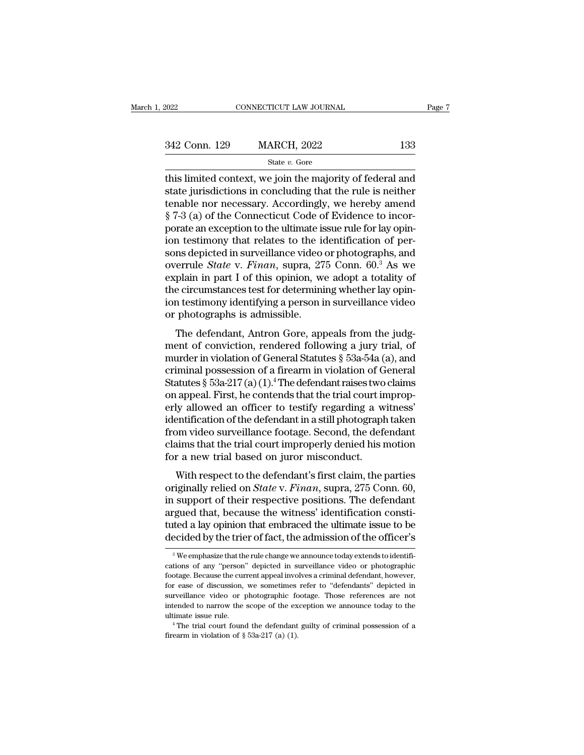| 2022          | CONNECTICUT LAW JOURNAL |     | Page 7 |
|---------------|-------------------------|-----|--------|
|               |                         |     |        |
| 342 Conn. 129 | <b>MARCH, 2022</b>      | 133 |        |
|               | State $v$ . Gore        |     |        |

EXECT 2022 ENRICITY CONNECTICUT LAW JOURNAL Page 7<br>
342 Conn. 129 MARCH, 2022 133<br>
5tate v. Gore<br>
This limited context, we join the majority of federal and<br>
state jurisdictions in concluding that the rule is neither<br>
tonab 342 Conn. 129 MARCH, 2022 133<br>
State v. Gore<br>
this limited context, we join the majority of federal and<br>
state jurisdictions in concluding that the rule is neither<br>
tenable nor necessary. Accordingly, we hereby amend<br>  $8.$ 342 Conn. 129 MARCH, 2022 133<br>
State v. Gore<br>
this limited context, we join the majority of federal and<br>
state jurisdictions in concluding that the rule is neither<br>
tenable nor necessary. Accordingly, we hereby amend<br>
§ 7 342 Conn. 129 MARCH, 2022 133<br>
State  $v$ . Gore<br>
this limited context, we join the majority of federal and<br>
state jurisdictions in concluding that the rule is neither<br>
tenable nor necessary. Accordingly, we hereby amend<br>  $\begin{array}{c}\n\hline\n\text{State } v. \text{ Gore} \\
\hline\n\text{State } v. \text{ Gore} \\
\hline\n\text{this limited context, we join the majority of federal and state justifications in concluding that the rule is neither tenable nor necessary. Accordingly, we hereby amend § 7-3 (a) of the Connecticut Code of Evidence to incorporate an exception to the ultimate issue rule for lay opinion testimony that relates to the identification of persons divided in survivalance video or photographs, and$ state *v*. Gore<br>this limited context, we join the majority of federal and<br>state jurisdictions in concluding that the rule is neither<br>tenable nor necessary. Accordingly, we hereby amend<br> $\S 7-3$  (a) of the Connecticut Code this limited context, we join the majority of federal and<br>state jurisdictions in concluding that the rule is neither<br>tenable nor necessary. Accordingly, we hereby amend<br>§ 7-3 (a) of the Connecticut Code of Evidence to inco state jurisdictions in concluding that the rule is neither<br>tenable nor necessary. Accordingly, we hereby amend<br>§ 7-3 (a) of the Connecticut Code of Evidence to incor-<br>porate an exception to the ultimate issue rule for lay tenable nor necessary. Accordingly, we hereby amend  $\S$  7-3 (a) of the Connecticut Code of Evidence to incorporate an exception to the ultimate issue rule for lay opinion testimony that relates to the identification of pe  $\S$  7-3 (a) of the Connecticut Code of Evidence to incor-<br>porate an exception to the ultimate issue rule for lay opin-<br>ion testimony that relates to the identification of per-<br>sons depicted in surveillance video or photog porate an exception to the ultimate issue rule for lay opin-<br>ion testimony that relates to the identification of per-<br>sons depicted in surveillance video or photographs, and<br>overrule *State* v. Finan, supra, 275 Conn. 60.<sup></sup> ion testimony that relates to the idea<br>sons depicted in surveillance video<br>overrule *State* v. *Finan*, supra, 27<br>explain in part I of this opinion, we<br>the circumstances test for determini<br>ion testimony identifying a perso The defection of this suppress, and<br>errule *State* v. *Finan*, supra, 275 Conn. 60.<sup>3</sup> As we<br>plain in part I of this opinion, we adopt a totality of<br>e circumstances test for determining whether lay opin-<br>n testimony ident overfule *Bluee* V. *Finan*, supra, 275 Confi. 60. As we<br>explain in part I of this opinion, we adopt a totality of<br>the circumstances test for determining whether lay opin-<br>ion testimony identifying a person in surveillance

Exprain in part 1 of diss opinion, we adopt a totality of<br>the circumstances test for determining whether lay opin-<br>ion testimony identifying a person in surveillance video<br>or photographs is admissible.<br>The defendant, Antr the circuit statices test for determining whether lay opin-<br>ion testimony identifying a person in surveillance video<br>or photographs is admissible.<br>The defendant, Antron Gore, appeals from the judg-<br>ment of conviction, ren on testinony identifying a person in surventance video<br>or photographs is admissible.<br>The defendant, Antron Gore, appeals from the judg-<br>ment of conviction, rendered following a jury trial, of<br>murder in violation of General The defendant, Antron Gore, appeals from the judgment of conviction, rendered following a jury trial, of murder in violation of General Statutes  $\S$  53a-54a (a), and criminal possession of a firearm in violation of Genera The defendant, Antron Gore, appeals from the judgment of conviction, rendered following a jury trial, of murder in violation of General Statutes  $\S$  53a-54a (a), and criminal possession of a firearm in violation of Genera ment of conviction, rendered following a jury trial, of<br>murder in violation of General Statutes § 53a-54a (a), and<br>criminal possession of a firearm in violation of General<br>Statutes § 53a-217 (a) (1).<sup>4</sup> The defendant rais murder in violation of General Statutes § 53a-54a (a), and<br>criminal possession of a firearm in violation of General<br>Statutes § 53a-217 (a) (1).<sup>4</sup> The defendant raises two claims<br>on appeal. First, he contends that the tria criminal possession of a firearm in violation of General<br>Statutes § 53a-217(a)(1).<sup>4</sup> The defendant raises two claims<br>on appeal. First, he contends that the trial court improp-<br>erly allowed an officer to testify regarding Statutes § 53a-217(a)(1).<sup>4</sup> The defendant raises two<br>on appeal. First, he contends that the trial court in<br>erly allowed an officer to testify regarding a w<br>identification of the defendant in a still photograph<br>from video rappear. First, he contends that the that court improp-<br>ty allowed an officer to testify regarding a witness'<br>entification of the defendant in a still photograph taken<br>om video surveillance footage. Second, the defendant<br>t originally a moved an officer to testify regarding a writess<br>identification of the defendant in a still photograph taken<br>from video surveillance footage. Second, the defendant<br>claims that the trial court improperly denied

in support of the determined in a samphotograph taken<br>from video surveillance footage. Second, the defendant<br>claims that the trial court improperly denied his motion<br>for a new trial based on juror misconduct.<br>With respect roll video surventance rootage. Second, the determinant claims that the trial court improperly denied his motion for a new trial based on juror misconduct.<br>With respect to the defendant's first claim, the parties originall traints that the trial court improperty defield its motion<br>for a new trial based on juror misconduct.<br>With respect to the defendant's first claim, the parties<br>originally relied on *State v. Finan*, supra, 275 Conn. 60,<br>in With respect to the defendant's first claim, the parties<br>originally relied on *State* v. *Finan*, supra, 275 Conn. 60,<br>in support of their respective positions. The defendant<br>argued that, because the witness' identificati  $\alpha$  support of their respective positions. The detendant regued that, because the witness' identification constituted a lay opinion that embraced the ultimate issue to be ecided by the trier of fact, the admission of the argued that, because the witness' identification constituted a lay opinion that embraced the ultimate issue to be decided by the trier of fact, the admission of the officer's  $\frac{3}{8}$  We emphasize that the rule change we

tuted a lay opinion that embraced the ultimate issue to be decided by the trier of fact, the admission of the officer's  $\frac{1}{3}$  We emphasize that the rule change we announce today extends to identifications of any "perso decided by the trier of fact, the admission of the officer's<br>
<sup>3</sup> We emphasize that the rule change we announce today extends to identifications of any "person" depicted in surveillance video or photographic<br>
footage. Beca cations of any "person" depicted in surveillance video or photographic footage. Because the current appeal involves a criminal defendant, however, for ease of discussion, we sometimes refer to "defendants" depicted in surv <sup>3</sup> We emphasize that the rule change we announce today extends to identifications of any "person" depicted in surveillance video or photographic footage. Because the current appeal involves a criminal defendant, however, cations of any "person" depicted in surveillance video or photographic footage. Because the current appeal involves a criminal defendant, however, for ease of discussion, we sometimes refer to "defendants" depicted in sur for ease of discussion, we sometimes refer to "defendants" depicted in surveillance video or photographic footage. Those references are not intended to narrow the scope of the exception we announce today to the ultimate i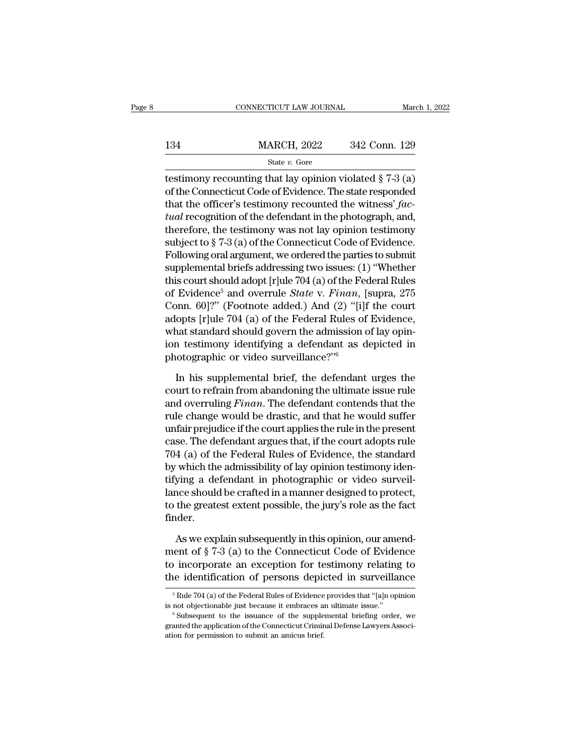|     | CONNECTICUT LAW JOURNAL | March 1, 2022 |
|-----|-------------------------|---------------|
|     |                         |               |
| 134 | <b>MARCH, 2022</b>      | 342 Conn. 129 |
|     | State $v$ . Gore        |               |

CONNECTICUT LAW JOURNAL March 1, 2022<br>  $\frac{134}{\text{State } v. \text{ Gore}}$  MARCH, 2022 342 Conn. 129<br>  $\frac{129}{\text{State } v. \text{ Gore}}$ <br>
testimony recounting that lay opinion violated § 7-3 (a)<br>
of the Connecticut Code of Evidence. The state respo 134 MARCH, 2022 342 Conn. 129<br>
State v. Gore<br>
destimony recounting that lay opinion violated § 7-3 (a)<br>
of the Connecticut Code of Evidence. The state responded<br>
that the officer's testimony recounted the witness' fac-134 MARCH, 2022 342 Conn. 129<br>
State v. Gore<br>
testimony recounting that lay opinion violated § 7-3 (a)<br>
of the Connecticut Code of Evidence. The state responded<br>
that the officer's testimony recounted the witness' *fac-<br>
t* 134 MARCH, 2022 342 Conn. 129<br> **EXECUTE:** State *v.* Gore<br> **EXECUTE:** State *v.* Gore<br> **EXECUTE:** Gore<br>
of the Connecticut Code of Evidence. The state responded<br>
that the officer's testimony recounted the witness' *factua* State v. Gore<br>
testimony recounting that lay opinion violated § 7-3 (a)<br>
of the Connecticut Code of Evidence. The state responded<br>
that the officer's testimony recounted the witness' fac-<br>
tual recognition of the defendan state v. Gote<br>
state v. Gote<br>
testimony recounting that lay opinion violated § 7-3 (a)<br>
of the Connecticut Code of Evidence. The state responded<br>
that the officer's testimony recounted the witness' fac-<br>
tual recognition testimony recounting that lay opinion violated § 7-3 (a)<br>of the Connecticut Code of Evidence. The state responded<br>that the officer's testimony recounted the witness' *fac-<br>tual* recognition of the defendant in the photogr of the Connecticut Code of Evidence. The state responded<br>that the officer's testimony recounted the witness' *fac-<br>tual* recognition of the defendant in the photograph, and,<br>therefore, the testimony was not lay opinion tes that the officer's testimony recounted the witness' *factual* recognition of the defendant in the photograph, and, therefore, the testimony was not lay opinion testimony subject to § 7-3 (a) of the Connecticut Code of Evi tual recognition of the defendant in the photograph, and,<br>therefore, the testimony was not lay opinion testimony<br>subject to § 7-3 (a) of the Connecticut Code of Evidence.<br>Following oral argument, we ordered the parties to therefore, the testimony was not lay opinion testimony<br>subject to § 7-3 (a) of the Connecticut Code of Evidence.<br>Following oral argument, we ordered the parties to submit<br>supplemental briefs addressing two issues: (1) "Wh subject to § 7-3 (a) of the Connecticut Code of Evidence.<br>Following oral argument, we ordered the parties to submit<br>supplemental briefs addressing two issues: (1) "Whether<br>this court should adopt [r]ule 704 (a) of the Fede Following oral argument, we ordered the parties to submit<br>supplemental briefs addressing two issues: (1) "Whether<br>this court should adopt [r]ule 704 (a) of the Federal Rules<br>of Evidence<sup>5</sup> and overrule *State* v. Finan, [ supplemental briefs addressing two issues: (1) "Whether<br>this court should adopt [r]ule 704 (a) of the Federal Rules<br>of Evidence<sup>5</sup> and overrule *State v. Finan*, [supra, 275<br>Conn. 60]?" (Footnote added.) And (2) "[i]f the this court should adopt  $|r|$ ule 704 (a) of the Ferof Evidence<sup>5</sup> and overrule *State* v. Finan, [Conn. 60]?" (Footnote added.) And (2) "[i] adopts  $[r|$ ule 704 (a) of the Federal Rules of what standard should govern the ad brief, 1901)?" (Footnote added.) And (2) "[i]f the court<br>opts [r]ule 704 (a) of the Federal Rules of Evidence,<br>nat standard should govern the admission of lay opin-<br>in testimony identifying a defendant as depicted in<br>otogr adopts [r]ule 704 (a) of the Federal Rules of Evidence,<br>what standard should govern the admission of lay opin-<br>ion testimony identifying a defendant as depicted in<br>photographic or video surveillance?"<br><sup>6</sup><br>In his supplemen

what standard should govern the admission of lay opin-<br>ion testimony identifying a defendant as depicted in<br>photographic or video surveillance?"<sup>6</sup><br>In his supplemental brief, the defendant urges the<br>court to refrain from a ion testimony identifying a defendant as depicted in<br>photographic or video surveillance?" $6$ <br>In his supplemental brief, the defendant urges the<br>court to refrain from abandoning the ultimate issue rule<br>and overruling *Fina* photographic or video surveillance?" $\frac{6}{10}$ <br>In his supplemental brief, the defendant urges the<br>court to refrain from abandoning the ultimate issue rule<br>and overruling *Finan*. The defendant contends that the<br>rule chang In his supplemental brief, the defendant urges the<br>court to refrain from abandoning the ultimate issue rule<br>and overruling *Finan*. The defendant contends that the<br>rule change would be drastic, and that he would suffer<br>unf In his supplemental brief, the defendant urges the<br>court to refrain from abandoning the ultimate issue rule<br>and overruling *Finan*. The defendant contends that the<br>rule change would be drastic, and that he would suffer<br>unf court to refrain from abandoning the ultimate issue rule<br>and overruling *Finan*. The defendant contends that the<br>rule change would be drastic, and that he would suffer<br>unfair prejudice if the court applies the rule in the and overruling *Finan*. The defendant contends that the<br>rule change would be drastic, and that he would suffer<br>unfair prejudice if the court applies the rule in the present<br>case. The defendant argues that, if the court ado rule change would be drastic, and that he would suffer<br>unfair prejudice if the court applies the rule in the present<br>case. The defendant argues that, if the court adopts rule<br>704 (a) of the Federal Rules of Evidence, the s unfair prejudice if the court applies the rule in the present<br>case. The defendant argues that, if the court adopts rule<br>704 (a) of the Federal Rules of Evidence, the standard<br>by which the admissibility of lay opinion testi finder. which the admissibility of lay opinion testimony iden-<br>ying a defendant in photographic or video surveil-<br>nce should be crafted in a manner designed to protect,<br>the greatest extent possible, the jury's role as the fact<br>de tifying a defendant in photographic or video surveil-<br>lance should be crafted in a manner designed to protect,<br>to the greatest extent possible, the jury's role as the fact<br>finder.<br>As we explain subsequently in this opinion

lance should be crafted in a manner designed to protect,<br>to the greatest extent possible, the jury's role as the fact<br>finder.<br>As we explain subsequently in this opinion, our amend-<br>ment of § 7-3 (a) to the Connecticut Code to the greatest extent possible, the jury's role as the fact<br>finder.<br>As we explain subsequently in this opinion, our amend-<br>ment of  $\S 7-3$  (a) to the Connecticut Code of Evidence<br>to incorporate an exception for testimony As we explain subsequently in this opinion, our amend-<br>ent of § 7-3 (a) to the Connecticut Code of Evidence<br>incorporate an exception for testimony relating to<br>e identification of persons depicted in surveillance<br> $\frac{5}{5}$ ment of § 7-3 (a) to the Connecticut Code of Evidence<br>to incorporate an exception for testimony relating to<br>the identification of persons depicted in surveillance<br> $\frac{1}{10}$  Rule 704 (a) of the Federal Rules of Evidence p

The identification of persons depicted in surveillance<br>  $\frac{1}{100}$   $\frac{1}{100}$   $\frac{1}{100}$   $\frac{1}{100}$   $\frac{1}{100}$   $\frac{1}{100}$   $\frac{1}{100}$  into the Federal Rules of Evidence provides that "[a]n opinion<br>
is not objectiona  $^{5}$  Rule 704 (a) of the Federal Rules of Evidence provides that "[a]n opinion is not objectionable just because it embraces an ultimate issue."<br>  $^{6}$  Subsequent to the issuance of the supplemental briefing order, we gr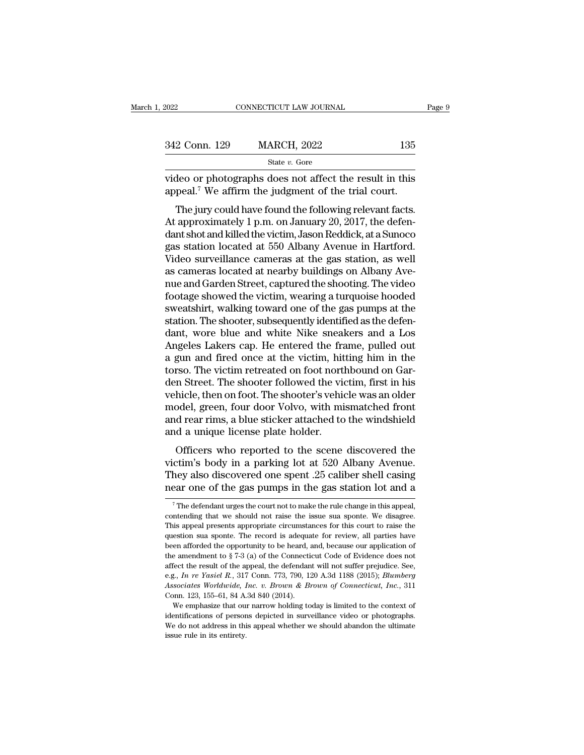| 2022          | CONNECTICUT LAW JOURNAL                                                                                                                                                         | Page 9 |
|---------------|---------------------------------------------------------------------------------------------------------------------------------------------------------------------------------|--------|
|               |                                                                                                                                                                                 |        |
| 342 Conn. 129 | <b>MARCH, 2022</b>                                                                                                                                                              | 135    |
|               | State v. Gore                                                                                                                                                                   |        |
|               | video or photographs does not affect the result in this<br>appeal. <sup>7</sup> We affirm the judgment of the trial court.                                                      |        |
|               | The jury could have found the following relevant facts.<br>At approximately 1 p.m. on January 20, 2017, the defen-<br>dent shot and killed the victim Jason Peddick at a Sunose |        |

342 Conn. 129 MARCH, 2022 135<br>
State v. Gore<br>
video or photographs does not affect the result in this<br>
appeal.<sup>7</sup> We affirm the judgment of the trial court.<br>
The jury could have found the following relevant facts.<br>
At app State v. Gore<br>
State v. Gore<br>
State v. Gore<br>
State v. Gore<br>
State cound and affect the result in this<br>
appeal.<sup>7</sup> We affirm the judgment of the trial court.<br>
The jury could have found the following relevant facts.<br>
At app video or photographs does not affect the result in this<br>appeal.<sup>7</sup> We affirm the judgment of the trial court.<br>The jury could have found the following relevant facts.<br>At approximately 1 p.m. on January 20, 2017, the defen-<br> video of photographs does not affect the result in this<br>appeal.<sup>7</sup> We affirm the judgment of the trial court.<br>The jury could have found the following relevant facts.<br>At approximately 1 p.m. on January 20, 2017, the defen-<br> appear. We armin the judgment of the that court.<br>The jury could have found the following relevant facts.<br>At approximately 1 p.m. on January 20, 2017, the defen-<br>dant shot and killed the victim, Jason Reddick, at a Sunoco<br>g The jury could have found the following relevant facts.<br>At approximately 1 p.m. on January 20, 2017, the defen-<br>dant shot and killed the victim, Jason Reddick, at a Sunoco<br>gas station located at 550 Albany Avenue in Hartfo At approximately 1 p.m. on January 20, 2017, the defendant shot and killed the victim, Jason Reddick, at a Sunoco<br>gas station located at 550 Albany Avenue in Hartford.<br>Video surveillance cameras at the gas station, as well dant shot and killed the victim, Jason Reddick, at a Sunoco<br>gas station located at 550 Albany Avenue in Hartford.<br>Video surveillance cameras at the gas station, as well<br>as cameras located at nearby buildings on Albany Avegas station located at 550 Albany Avenue in Hartford.<br>Video surveillance cameras at the gas station, as well<br>as cameras located at nearby buildings on Albany Ave-<br>nue and Garden Street, captured the shooting. The video<br>foo Video surveillance cameras at the gas station, as well<br>as cameras located at nearby buildings on Albany Ave-<br>nue and Garden Street, captured the shooting. The video<br>footage showed the victim, wearing a turquoise hooded<br>swe as cameras located at nearby buildings on Albany Avenue and Garden Street, captured the shooting. The video footage showed the victim, wearing a turquoise hooded sweatshirt, walking toward one of the gas pumps at the stati nue and Garden Street, captured the shooting. The video<br>footage showed the victim, wearing a turquoise hooded<br>sweatshirt, walking toward one of the gas pumps at the<br>station. The shooter, subsequently identified as the defe footage showed the victim, wearing a turquoise hooded<br>sweatshirt, walking toward one of the gas pumps at the<br>station. The shooter, subsequently identified as the defen-<br>dant, wore blue and white Nike sneakers and a Los<br>Ang sweatshirt, walking toward one of the gas pumps at the<br>station. The shooter, subsequently identified as the defen-<br>dant, wore blue and white Nike sneakers and a Los<br>Angeles Lakers cap. He entered the frame, pulled out<br>a gu station. The shooter, subsequently identified as the defendant, wore blue and white Nike sneakers and a Los Angeles Lakers cap. He entered the frame, pulled out a gun and fired once at the victim, hitting him in the torso. dant, wore blue and white Nike sneakers and a Los<br>Angeles Lakers cap. He entered the frame, pulled out<br>a gun and fired once at the victim, hitting him in the<br>torso. The victim retreated on foot northbound on Gar-<br>den Stree Angeles Lakers cap. He entered the frame, pulled out<br>a gun and fired once at the victim, hitting him in the<br>torso. The victim retreated on foot northbound on Gar-<br>den Street. The shooter followed the victim, first in his<br>v a gun and fired once at the victim, hitting him in the torso. The victim retreated on foot northbound on Garden Street. The shooter followed the victim, first in his vehicle, then on foot. The shooter's vehicle was an olde so. The victim refreated on foot nothbound on dar-<br>n Street. The shooter followed the victim, first in his<br>hicle, then on foot. The shooter's vehicle was an older<br>odel, green, four door Volvo, with mismatched front<br>d rear vehicle, then on foot. The shooter of victin, inst in its<br>vehicle, then on foot. The shooter's vehicle was an older<br>model, green, four door Volvo, with mismatched front<br>and rear rims, a blue sticker attached to the windshi

ventite, then on tool. The shooter s ventite was an oder<br>model, green, four door Volvo, with mismatched front<br>and rear rims, a blue sticker attached to the windshield<br>and a unique license plate holder.<br>Officers who reporte and rear rims, a blue sticker attached to the windshield<br>and a unique license plate holder.<br>Officers who reported to the scene discovered the<br>victim's body in a parking lot at 520 Albany Avenue.<br>They also discovered one sp Officers who reported to the scene discovered the ctim's body in a parking lot at 520 Albany Avenue.<br>hey also discovered one spent .25 caliber shell casing ear one of the gas pumps in the gas station lot and a<br><sup>7</sup>The defe victim's body in a parking lot at 520 Albany Avenue.<br>They also discovered one spent .25 caliber shell casing<br>near one of the gas pumps in the gas station lot and a<br><sup>7</sup>The defendant urges the court not to make the rule chan

They also discovered one spent .25 caliber shell casing<br>near one of the gas pumps in the gas station lot and a<br> $\frac{1}{\pi}$  The defendant urges the court not to make the rule change in this appeal,<br>contending that we should The record of the gas pumps in the gas station lot and a<br>The defendant urges the court not to make the rule change in this appeal,<br>contending that we should not raise the issue sua sponte. We disagree.<br>This appeal presents The defendant urges the court not to make the rule change in this appeal,<br>The defendant urges the court not to make the rule change in this appeal,<br>Contending that we should not raise the issue sua sponte. We disagree.<br>Th <sup>7</sup> The defendant urges the court not to make the rule change in this appeal, contending that we should not raise the issue sua sponte. We disagree. This appeal presents appropriate circumstances for this court to raise t contending that we should not raise the issue sua sponte. We disagree.<br>This appeal presents appropriate circumstances for this court to raise the question sua sponte. The record is adequate for review, all parties have be This appeal presents appropriate circumstances for this court to raise the question sua sponte. The record is adequate for review, all parties have been afforded the opportunity to be heard, and, because our application o *Associates Worldwide, Inc. v. Brown & Brown of Connecticut, Inc.*, 311 Conn. 123, 155–61, 84 A.3d 840 (2014). Helen afforded the opportunity to be heard, *i* the amendment to  $\S 7-3$  (a) of the Connectiaffect the result of the appeal, the defendance e.g., *In re Yasiel R.*, 317 Conn. 773, 790, 12 *Associates Worldwide, Inc. v. Br* the amendment to § 7-3 (a) of the Connecticut Code of Evidence does not affect the result of the appeal, the defendant will not suffer prejudice. See, e.g., *In re Yasiel R.*, 317 Conn. 773, 790, 120 A.3d 1188 (2015); *Bl* affect the result of the appeal, the defendant will not suffer prejudice. See, e.g., *In re Yasiel R.*, 317 Conn. 773, 790, 120 A.3d 1188 (2015); *Blumberg Associates Worldwide, Inc. v. Brown & Brown of Connecticut, Inc.* Associates Worldwide, Inc. v. Brown & Brown of Connecticut, Inc., 311

e.g., In re Yasiel R., 317 Conn. 773, 790, 120 A.3d 1188 (2015); Blumberg Associates Worldwide, Inc. v. Brown & Brown of Connecticut, Inc., 311 Conn. 123, 155–61, 84 A.3d 840 (2014). We emphasize that our narrow holding t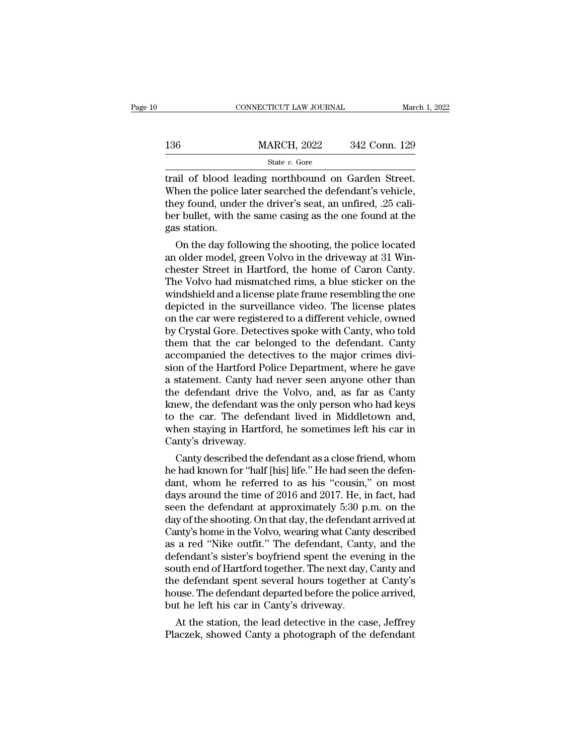|     | CONNECTICUT LAW JOURNAL |               | March 1, 2022 |
|-----|-------------------------|---------------|---------------|
|     |                         |               |               |
| 136 | <b>MARCH, 2022</b>      | 342 Conn. 129 |               |
|     | State $v$ . Gore        |               |               |

trail of blood leading northbound on Garden Street. 136 MARCH, 2022 342 Conn. 129<br>
State v. Gore<br>
Trail of blood leading northbound on Garden Street.<br>
When the police later searched the defendant's vehicle,<br>
they found, under the driver's seat, an unfired, .25 cali-<br>
hor b 136 MARCH, 2022 342 Conn. 129<br>
State v. Gore<br>
trail of blood leading northbound on Garden Street.<br>
When the police later searched the defendant's vehicle,<br>
they found, under the driver's seat, an unfired, .25 cali-<br>
ber b  $\begin{array}{ll}\n \text{MARCH, 2022} & 342 \text{ Conn. } 129 \\
 \hline\n \text{State } v. \text{ Gore} \\
 \text{trail of blood leading northbound on Garden Street.} \\
 \text{When the police later searched the defendant's vehicle, they found, under the driver's seat, an unfired, .25 caliber bullet, with the same casting as the one found at the gas station.\n \end{array}$ Final of blood le<br>When the police<br>they found, unde<br>ber bullet, with the gas station.<br>On the day foll ial of blood leading northbound on Garden Street.<br>
hen the police later searched the defendant's vehicle,<br>
ey found, under the driver's seat, an unfired, .25 cali-<br>
r bullet, with the same casing as the one found at the<br>
s trail of blood leading northoound on Garden Street.<br>When the police later searched the defendant's vehicle,<br>they found, under the driver's seat, an unfired, .25 cali-<br>ber bullet, with the same casing as the one found at th

when the police later searched the detendant s venicle,<br>they found, under the driver's seat, an unfired, .25 cali-<br>ber bullet, with the same casing as the one found at the<br>gas station.<br>On the day following the shooting, th they found, under the driver's seat, an unifred, .25 caliber bullet, with the same casing as the one found at the<br>gas station.<br>On the day following the shooting, the police located<br>an older model, green Volvo in the drivew ber bullet, with the same casing as the one found at the<br>gas station.<br>On the day following the shooting, the police located<br>an older model, green Volvo in the driveway at 31 Win-<br>chester Street in Hartford, the home of Car gas station.<br>
On the day following the shooting, the police located<br>
an older model, green Volvo in the driveway at 31 Win-<br>
chester Street in Hartford, the home of Caron Canty.<br>
The Volvo had mismatched rims, a blue stick On the day following the shooting, the police located<br>an older model, green Volvo in the driveway at 31 Win-<br>chester Street in Hartford, the home of Caron Canty.<br>The Volvo had mismatched rims, a blue sticker on the<br>windshi an older model, green Volvo in the driveway at 31 Winchester Street in Hartford, the home of Caron Canty.<br>The Volvo had mismatched rims, a blue sticker on the windshield and a license plate frame resembling the one<br>depicte chester Street in Hartford, the home of Caron Canty.<br>The Volvo had mismatched rims, a blue sticker on the<br>windshield and a license plate frame resembling the one<br>depicted in the surveillance video. The license plates<br>on th The Volvo had mismatched rims, a blue sticker on the windshield and a license plate frame resembling the one depicted in the surveillance video. The license plates on the car were registered to a different vehicle, owned b windshield and a license plate frame resembling the one<br>depicted in the surveillance video. The license plates<br>on the car were registered to a different vehicle, owned<br>by Crystal Gore. Detectives spoke with Canty, who told depicted in the surveillance video. The license plates<br>on the car were registered to a different vehicle, owned<br>by Crystal Gore. Detectives spoke with Canty, who told<br>them that the car belonged to the defendant. Canty<br>acco on the car were registered to a different vehicle, owned<br>by Crystal Gore. Detectives spoke with Canty, who told<br>them that the car belonged to the defendant. Canty<br>accompanied the detectives to the major crimes divi-<br>sion o by Crystal Gore. Detectives spoke with Canty, who told<br>them that the car belonged to the defendant. Canty<br>accompanied the detectives to the major crimes divi-<br>sion of the Hartford Police Department, where he gave<br>a stateme them that the car belonged to the defendant. Canty<br>accompanied the detectives to the major crimes divi-<br>sion of the Hartford Police Department, where he gave<br>a statement. Canty had never seen anyone other than<br>the defendan accompanied the detectives to the major crimes division of the Hartford Police Department, where he gave a statement. Canty had never seen anyone other than the defendant drive the Volvo, and, as far as Canty knew, the def sion of the Hartford Po<br>a statement. Canty had<br>the defendant drive th<br>knew, the defendant wa<br>to the car. The defen<br>when staying in Hartfo<br>Canty's driveway.<br>Canty described the d statement. Canty had never seen anyone other than<br>e defendant drive the Volvo, and, as far as Canty<br>lew, the defendant was the only person who had keys<br>the car. The defendant lived in Middletown and,<br>nen staying in Hartfor the defendant drive the Volvo, and, as far as Canty<br>knew, the defendant was the only person who had keys<br>to the car. The defendant lived in Middletown and,<br>when staying in Hartford, he sometimes left his car in<br>Canty's dri

knew, the defendant was the only person who had keys<br>to the car. The defendant lived in Middletown and,<br>when staying in Hartford, he sometimes left his car in<br>Canty's driveway.<br>Canty described the defendant as a close fri to the car. The defendant lived in Middletown and,<br>when staying in Hartford, he sometimes left his car in<br>Canty's driveway.<br>Canty described the defendant as a close friend, whom<br>he had known for "half [his] life." He had s when staying in Hartrord, he sometimes left his car in<br>Canty's driveway.<br>Canty described the defendant as a close friend, whom<br>he had known for "half [his] life." He had seen the defen-<br>dant, whom he referred to as his "co Canty s arrveway.<br>Canty described the defendant as a close friend, whom<br>he had known for "half [his] life." He had seen the defen-<br>dant, whom he referred to as his "cousin," on most<br>days around the time of 2016 and 2017. H Canty described the defendant as a close friend, whom<br>he had known for "half [his] life." He had seen the defen-<br>dant, whom he referred to as his "cousin," on most<br>days around the time of 2016 and 2017. He, in fact, had<br>se he had known for "half [his] life." He had seen the defendant, whom he referred to as his "cousin," on most<br>days around the time of 2016 and 2017. He, in fact, had<br>seen the defendant at approximately 5:30 p.m. on the<br>day o dant, whom he referred to as his "cousin," on most<br>days around the time of 2016 and 2017. He, in fact, had<br>seen the defendant at approximately 5:30 p.m. on the<br>day of the shooting. On that day, the defendant arrived at<br>Can days around the time of 2016 and 2017. He, in fact, had<br>seen the defendant at approximately 5:30 p.m. on the<br>day of the shooting. On that day, the defendant arrived at<br>Canty's home in the Volvo, wearing what Canty describe seen the defendant at approximately 5:30 p.m. on the<br>day of the shooting. On that day, the defendant arrived at<br>Canty's home in the Volvo, wearing what Canty described<br>as a red "Nike outfit." The defendant, Canty, and the<br> day of the shooting. On that day, the defendant arrived at Canty's home in the Volvo, wearing what Canty described as a red "Nike outfit." The defendant, Canty, and the defendant's sister's boyfriend spent the evening in t Canty's home in the Volvo, wearing what Canty<br>as a red "Nike outfit." The defendant, Cant<br>defendant's sister's boyfriend spent the ever<br>south end of Hartford together. The next day,<br>the defendant spent several hours togeth a red "Nike outfit." The defendant, Canty, and the<br>fendant's sister's boyfriend spent the evening in the<br>uth end of Hartford together. The next day, Canty and<br>e defendant spent several hours together at Canty's<br>use. The de derendant s sister's boyfriend spent the evening in the<br>south end of Hartford together. The next day, Canty and<br>the defendant spent several hours together at Canty's<br>house. The defendant departed before the police arrived,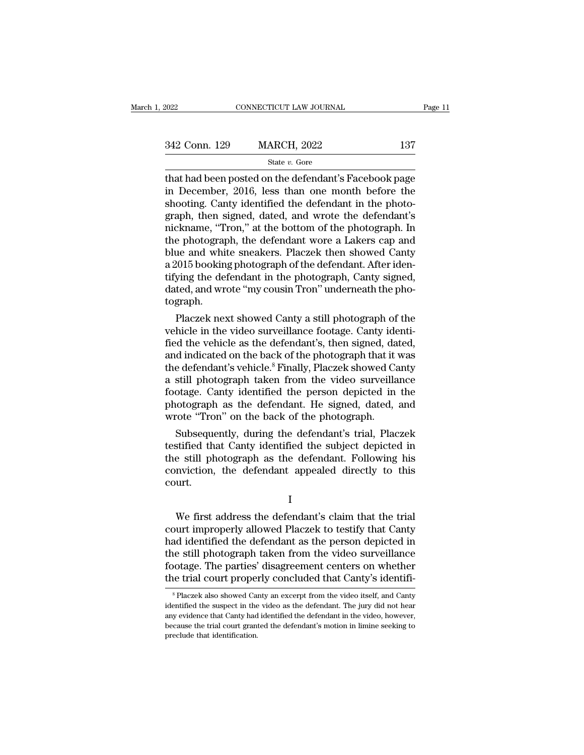| 2022          | CONNECTICUT LAW JOURNAL |     | Page 11 |
|---------------|-------------------------|-----|---------|
|               |                         |     |         |
| 342 Conn. 129 | <b>MARCH, 2022</b>      | 137 |         |
|               | State $v$ . Gore        |     |         |

Figure 2022<br>
That had been posted on the defendant's Facebook page<br>
in December, 2016, less than one month before the<br>
shooting Canty identified the defendant in the photo 342 Conn. 129 MARCH, 2022 137<br>
State v. Gore<br>
that had been posted on the defendant's Facebook page<br>
in December, 2016, less than one month before the<br>
shooting. Canty identified the defendant in the photo-<br>
graph then si 342 Conn. 129 MARCH, 2022 137<br>
State v. Gore<br>
that had been posted on the defendant's Facebook page<br>
in December, 2016, less than one month before the<br>
shooting. Canty identified the defendant in the photo-<br>
graph, then s 342 Conn. 129 MARCH, 2022 137<br>
State v. Gore<br>
that had been posted on the defendant's Facebook page<br>
in December, 2016, less than one month before the<br>
shooting. Canty identified the defendant in the photo-<br>
graph, then s State v. Gore<br>
that had been posted on the defendant's Facebook page<br>
in December, 2016, less than one month before the<br>
shooting. Canty identified the defendant in the photo-<br>
graph, then signed, dated, and wrote the def state *v*. Gore<br>that had been posted on the defendant's Facebook page<br>in December, 2016, less than one month before the<br>shooting. Canty identified the defendant in the photo-<br>graph, then signed, dated, and wrote the defen that had been posted on the defendant's Facebook page<br>in December, 2016, less than one month before the<br>shooting. Canty identified the defendant in the photo-<br>graph, then signed, dated, and wrote the defendant's<br>nickname, in December, 2016, less than one month before the shooting. Canty identified the defendant in the photograph, then signed, dated, and wrote the defendant's nickname, "Tron," at the bottom of the photograph. In the photogra shooting. Canty identified the defendant in the photograph, then signed, dated, and wrote the defendant's nickname, "Tron," at the bottom of the photograph. In the photograph, the defendant wore a Lakers cap and blue and w graph, then signed, dated, and wrote the defendant's<br>nickname, "Tron," at the bottom of the photograph. In<br>the photograph, the defendant wore a Lakers cap and<br>blue and white sneakers. Placzek then showed Canty<br>a 2015 booki tograph. e photograph, the defendant wore a Lakers cap and<br>ue and white sneakers. Placzek then showed Canty<br>2015 booking photograph of the defendant. After iden-<br>ying the defendant in the photograph, Canty signed,<br>ted, and wrote "m blue and white sheakers. Placzek then showed Canty<br>a 2015 booking photograph of the defendant. After iden-<br>tifying the defendant in the photograph, Canty signed,<br>dated, and wrote "my cousin Tron" underneath the pho-<br>tograp

a 2015 booking photograph of the defendant. After identifying the defendant in the photograph, Canty signed, dated, and wrote "my cousin Tron" underneath the photograph.<br>Placzek next showed Canty a still photograph of the thrying the defendant in the photograph, Canty signed,<br>dated, and wrote "my cousin Tron" underneath the photograph.<br>Placzek next showed Canty a still photograph of the<br>vehicle in the video surveillance footage. Canty ident dated, and wrote "my cousin Tron" underneath the photograph.<br>
Placzek next showed Canty a still photograph of the<br>
vehicle in the video surveillance footage. Canty identi-<br>
fied the vehicle as the defendant's, then signed, tograph.<br>
Placzek next showed Canty a still photograph of the<br>
vehicle in the video surveillance footage. Canty identi-<br>
fied the vehicle as the defendant's, then signed, dated,<br>
and indicated on the back of the photograph Placzek next showed Canty a still photograph of the<br>vehicle in the video surveillance footage. Canty identi-<br>fied the vehicle as the defendant's, then signed, dated,<br>and indicated on the back of the photograph that it was<br> vehicle in the video surveillance footage. Canty identi-<br>fied the vehicle as the defendant's, then signed, dated,<br>and indicated on the back of the photograph that it was<br>the defendant's vehicle.<sup>8</sup> Finally, Placzek showed fied the vehicle as the defendant's, then signed, da<br>and indicated on the back of the photograph that it<br>the defendant's vehicle.<sup>8</sup> Finally, Placzek showed Ca<br>a still photograph taken from the video surveilla<br>footage. Can d malcated on the back of the photograph that it was<br>e defendant's vehicle.<sup>8</sup> Finally, Placzek showed Canty<br>still photograph taken from the video surveillance<br>otage. Canty identified the person depicted in the<br>iotograph a the defendant svenicle." Finally, Placzek showed Canty<br>a still photograph taken from the video surveillance<br>footage. Canty identified the person depicted in the<br>photograph as the defendant. He signed, dated, and<br>wrote "Tro

a still photograph taken from the video survelliance<br>footage. Canty identified the person depicted in the<br>photograph as the defendant. He signed, dated, and<br>wrote "Tron" on the back of the photograph.<br>Subsequently, during rootage. Canty identified the person depicted in the photograph as the defendant. He signed, dated, and wrote "Tron" on the back of the photograph.<br>Subsequently, during the defendant's trial, Placzek testified that Canty i court. stified that Canty identified the subject depicted in<br>
e still photograph as the defendant. Following his<br>
mviction, the defendant appealed directly to this<br>
urt.<br>
I<br>
We first address the defendant's claim that the trial<br>

I

the still photograph as the defendant. Following his<br>conviction, the defendant appealed directly to this<br>court.<br>I<br>We first address the defendant's claim that the trial<br>court improperly allowed Placzek to testify that Canty conviction, the defendant appealed directly to this<br>court.<br>I<br>We first address the defendant's claim that the trial<br>court improperly allowed Placzek to testify that Canty<br>had identified the defendant as the person depicted the still photograph taken from the video surveillance of the video surveillance footage. The parties' disagreement centers on whether<br>the trial court improperly allowed Placzek to testify that Canty<br>had identified the def I<br>I<br>We first address the defendant's claim that the trial<br>court improperly allowed Placzek to testify that Canty<br>had identified the defendant as the person depicted in<br>the still photograph taken from the video surveillance I<br>We first address the defendant's claim that the trial<br>court improperly allowed Placzek to testify that Canty<br>had identified the defendant as the person depicted in<br>the still photograph taken from the video surveillance<br>f ad identified the defendant as the person depicted in<br>the still photograph taken from the video surveillance<br>ootage. The parties' disagreement centers on whether<br>the trial court properly concluded that Canty's identifi-<br><sup>8</sup> the still photograph taken from the video surveillance<br>footage. The parties' disagreement centers on whether<br>the trial court properly concluded that Canty's identifi-<br><sup>8</sup> Placzek also showed Canty an excerpt from the video

footage. The parties' disagreement centers on whether<br>the trial court properly concluded that Canty's identifi-<br><sup>8</sup> Placzek also showed Canty an excerpt from the video itself, and Canty<br>identified the suspect in the video because. The parties disagreement eenters on whether<br>the trial court properly concluded that Canty's identifi-<br><sup>8</sup> Placzek also showed Canty an excerpt from the video itself, and Canty<br>identified the suspect in the video a ITE THAT COULT Proper<br>
<sup>8</sup> Placzek also showed Cart<br>
identified the suspect in the<br>
any evidence that Canty had<br>
because the trial court grant<br>
preclude that identification.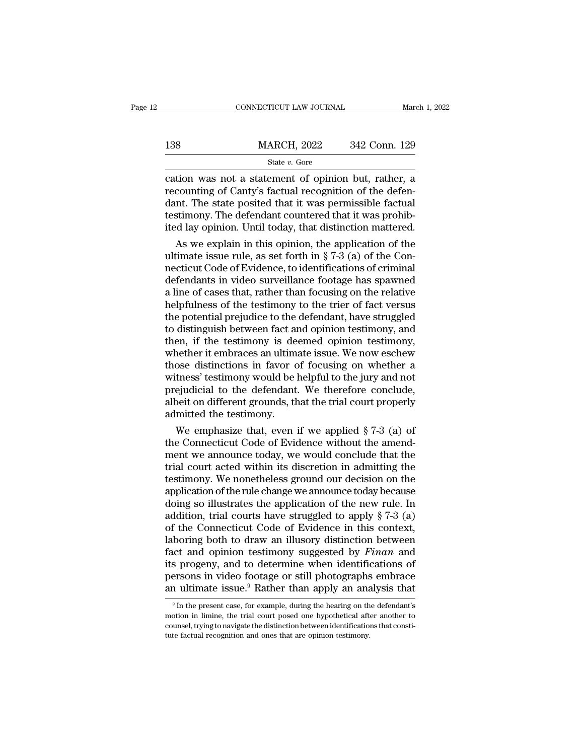|     | CONNECTICUT LAW JOURNAL                                                                                                                                                    | March 1, 2022 |
|-----|----------------------------------------------------------------------------------------------------------------------------------------------------------------------------|---------------|
| 138 | <b>MARCH, 2022</b>                                                                                                                                                         | 342 Conn. 129 |
|     | State v. Gore                                                                                                                                                              |               |
|     | cation was not a statement of opinion but, rather, a<br>recounting of Canty's factual recognition of the defen-<br>dant. The state posited that it was permissible factual |               |

138 MARCH, 2022 342 Conn. 129<br>
State v. Gore<br>
cation was not a statement of opinion but, rather, a<br>
recounting of Canty's factual recognition of the defen-<br>
dant. The state posited that it was permissible factual<br>
testimo  $\begin{array}{ll}\n \text{MARCH, 2022} & \text{342 Conn. 129} \\
 \text{State } v. \text{ Gore} & \\
 \text{cation was not a statement of opinion but, rather, a  
recounting of Canty's factual recognition of the defen-  
dant. The state posited that it was permissible factual  
testimony. The defendant countered that it was prohib-  
ited law opinion. Until today that distinction mattered\n\end{array}$ 138 MARCH, 2022 342 Conn. 129<br>
State v. Gore<br>
cation was not a statement of opinion but, rather, a<br>
recounting of Canty's factual recognition of the defendant. The state posited that it was permissible factual<br>
testimony. State v. Gore<br>
State v. Gore<br>
Cation was not a statement of opinion but, rather, a<br>
recounting of Canty's factual recognition of the defen-<br>
dant. The state posited that it was permissible factual<br>
testimony. The defendan France of state is the control of the defen-<br>
accounting of Canty's factual recognition of the defen-<br>
Int. The state posited that it was permissible factual<br>
stimony. The defendant countered that it was prohib-<br>
d lay op cation was not a statement of opinion but, rather, a<br>recounting of Canty's factual recognition of the defen-<br>dant. The state posited that it was permissible factual<br>testimony. The defendant countered that it was prohib-<br>it

recounting of Canty's factual recognition of the defendant. The state posited that it was permissible factual<br>testimony. The defendant countered that it was prohib-<br>ited lay opinion. Until today, that distinction mattered. dant. The state posited that it was permissible factual<br>testimony. The defendant countered that it was prohib-<br>ited lay opinion. Until today, that distinction mattered.<br>As we explain in this opinion, the application of th testimony. The defendant countered that it was prohibited lay opinion. Until today, that distinction mattered.<br>As we explain in this opinion, the application of the ultimate issue rule, as set forth in § 7-3 (a) of the Con ited lay opinion. Until today, that distinction mattered.<br>As we explain in this opinion, the application of the<br>ultimate issue rule, as set forth in § 7-3 (a) of the Con-<br>necticut Code of Evidence, to identifications of cr As we explain in this opinion, the application of the ultimate issue rule, as set forth in  $\S 7-3$  (a) of the Connecticut Code of Evidence, to identifications of criminal defendants in video surveillance footage has spawn ultimate issue rule, as set forth in § 7-3 (a) of the Con-<br>necticut Code of Evidence, to identifications of criminal<br>defendants in video surveillance footage has spawned<br>a line of cases that, rather than focusing on the re necticut Code of Evidence, to identifications of criminal<br>defendants in video surveillance footage has spawned<br>a line of cases that, rather than focusing on the relative<br>helpfulness of the testimony to the trier of fact ve defendants in video surveillance footage has spawned<br>a line of cases that, rather than focusing on the relative<br>helpfulness of the testimony to the trier of fact versus<br>the potential prejudice to the defendant, have strugg a line of cases that, rather than focusing on the relative<br>helpfulness of the testimony to the trier of fact versus<br>the potential prejudice to the defendant, have struggled<br>to distinguish between fact and opinion testimony helpfulness of the testimony to the trier of fact versus<br>the potential prejudice to the defendant, have struggled<br>to distinguish between fact and opinion testimony, and<br>then, if the testimony is deemed opinion testimony,<br>w the potential prejudice to the defendant, have struggled<br>to distinguish between fact and opinion testimony, and<br>then, if the testimony is deemed opinion testimony,<br>whether it embraces an ultimate issue. We now eschew<br>those to distinguish between fact and opinion testimony, and<br>then, if the testimony is deemed opinion testimony,<br>whether it embraces an ultimate issue. We now eschew<br>those distinctions in favor of focusing on whether a<br>witness' then, if the testimony is de<br>whether it embraces an ultime<br>those distinctions in favor c<br>witness' testimony would be l<br>prejudicial to the defendant<br>albeit on different grounds, th<br>admitted the testimony.<br>We emphasize that, nether it embraces an ultimate issue. We now eschew<br>ose distinctions in favor of focusing on whether a<br>tness' testimony would be helpful to the jury and not<br>ejudicial to the defendant. We therefore conclude,<br>oeit on differ those distinctions in favor of focusing on whether a<br>witness' testimony would be helpful to the jury and not<br>prejudicial to the defendant. We therefore conclude,<br>albeit on different grounds, that the trial court properly<br>

witness' testimony would be helpful to the jury and not<br>prejudicial to the defendant. We therefore conclude,<br>albeit on different grounds, that the trial court properly<br>admitted the testimony.<br>We emphasize that, even if we prejudicial to the defendant. We therefore conclude,<br>albeit on different grounds, that the trial court properly<br>admitted the testimony.<br>We emphasize that, even if we applied § 7-3 (a) of<br>the Connecticut Code of Evidence wi albeit on different grounds, that the trial court properly<br>admitted the testimony.<br>We emphasize that, even if we applied § 7-3 (a) of<br>the Connecticut Code of Evidence without the amend-<br>ment we announce today, we would con admitted the testimony.<br>
We emphasize that, even if we applied § 7-3 (a) of<br>
the Connecticut Code of Evidence without the amend-<br>
ment we announce today, we would conclude that the<br>
trial court acted within its discretion We emphasize that, even if we applied  $\S 7-3$  (a) of<br>the Connecticut Code of Evidence without the amend-<br>ment we announce today, we would conclude that the<br>trial court acted within its discretion in admitting the<br>testimon the Connecticut Code of Evidence without the amend-<br>ment we announce today, we would conclude that the<br>trial court acted within its discretion in admitting the<br>testimony. We nonetheless ground our decision on the<br>applicati ment we announce today, we would conclude that the<br>trial court acted within its discretion in admitting the<br>testimony. We nonetheless ground our decision on the<br>application of the rule change we announce today because<br>doin trial court acted within its discretion in admitting the<br>testimony. We nonetheless ground our decision on the<br>application of the rule change we announce today because<br>doing so illustrates the application of the new rule. testimony. We nonetheless ground our decision on the<br>application of the rule change we announce today because<br>doing so illustrates the application of the new rule. In<br>addition, trial courts have struggled to apply § 7-3 (a application of the rule change we announce today because<br>doing so illustrates the application of the new rule. In<br>addition, trial courts have struggled to apply  $\S 7-3$  (a)<br>of the Connecticut Code of Evidence in this cont doing so illustrates the application of the new rule. In addition, trial courts have struggled to apply  $\S 7-3$  (a) of the Connecticut Code of Evidence in this context, laboring both to draw an illusory distinction betwee addition, trial courts have struggled to apply § 7-3 (a) of the Connecticut Code of Evidence in this context, laboring both to draw an illusory distinction between fact and opinion testimony suggested by *Finan* and its p note and opinion testimony suggested by *Finan* and s progeny, and to determine when identifications of ersons in video footage or still photographs embrace a ultimate issue.<sup>9</sup> Rather than apply an analysis that  $\frac{9 \text{$ its progeny, and to determine when identifications of<br>persons in video footage or still photographs embrace<br>an ultimate issue.<sup>9</sup> Rather than apply an analysis that<br> $9 \text{ In the present case, for example, during the hearing on the defendant's  
motion in limine, the trial court posed one hypothetical after another to  
course, trying to navigate the distinction between identifications that consti$ an ultimate issue.<sup>9</sup> Rather than apply an analysis that

persons in video footage or still photographs embrace<br>an ultimate issue.<sup>9</sup> Rather than apply an analysis that<br> $\frac{9 \text{ In the present case, for example, during the hearing on the defendant's motion in limine, the trial court posed one hypothetical after another to course, trying to navigate the distinction between identifications that constitute factual recognition and ones that are opinion testimony.$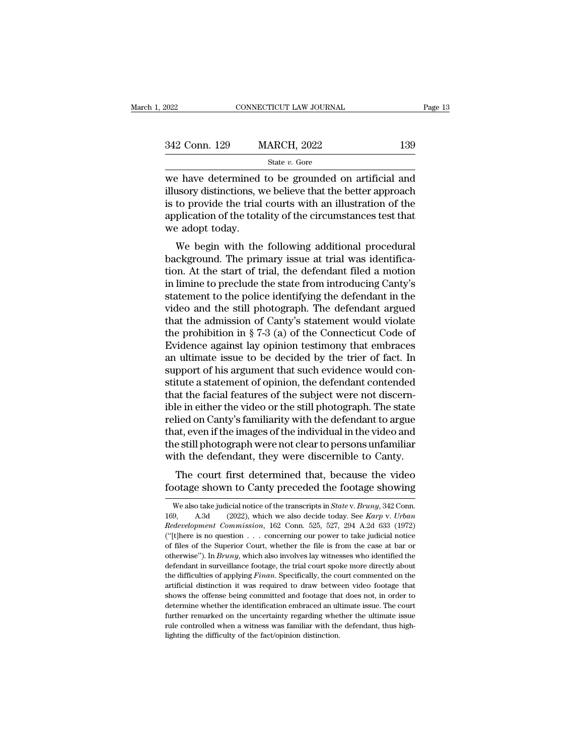| 2022          | CONNECTICUT LAW JOURNAL |     | Page 13 |
|---------------|-------------------------|-----|---------|
|               |                         |     |         |
| 342 Conn. 129 | <b>MARCH, 2022</b>      | 139 |         |
|               | State $v$ . Gore        |     |         |

 $\begin{array}{r|l}\n\text{2022} & \text{COMRECTICUT LAW JOURNAL} & \text{Page 13}\n\hline\n\end{array}\n\quad\n\begin{array}{r|l}\n\text{342 Conn. 129} & \text{MARCH, 2022} & \text{139}\n\hline\n\text{342 W} & \text{544 W. Gore}\n\hline\n\end{array}\n\quad\n\begin{array}{r|l}\n\text{383} & \text{645 W.} \\
\text{394} & \text{645 W.} \\
\text{305 W} & \text{645 W.} \\
\text{319 W} & \text{645 W.$ 342 Conn. 129 MARCH, 2022 139<br>
State *v*. Gore<br>
we have determined to be grounded on artificial and<br>
illusory distinctions, we believe that the better approach<br>
is to provide the trial courts with an illustration of the<br> 342 Conn. 129 MARCH, 2022 139<br>
State v. Gore<br>
we have determined to be grounded on artificial and<br>
illusory distinctions, we believe that the better approach<br>
is to provide the trial courts with an illustration of the<br>
ap 342 Conn. 129 MARCH, 2022 139<br>
state v. Gore<br>
we have determined to be grounded on artificial and<br>
illusory distinctions, we believe that the better approach<br>
is to provide the trial courts with an illustration of the<br>
ap we have determined<br>illusory distinctions, we is to provide the trial<br>application of the tota<br>we adopt today.<br>We begin with the Exercise that the grounded on artificial and<br>usory distinctions, we believe that the better approach<br>to provide the trial courts with an illustration of the<br>plication of the totality of the circumstances test that<br>example we have determined to be grounded on artificial and<br>illusory distinctions, we believe that the better approach<br>is to provide the trial courts with an illustration of the<br>application of the totality of the circumstances tes

musory urstrictions, we beneve that the better approach<br>is to provide the trial courts with an illustration of the<br>application of the totality of the circumstances test that<br>we adopt today.<br>We begin with the following addi is to provide the trial courts with an intestration of the application of the totality of the circumstances test that<br>we adopt today.<br>We begin with the following additional procedural<br>background. The primary issue at trial statement of the colling additional procedural<br>we adopt today.<br>We begin with the following additional procedural<br>background. The primary issue at trial was identifica-<br>tion. At the start of trial, the defendant filed a mot We begin with the following additional procedural<br>background. The primary issue at trial was identifica-<br>tion. At the start of trial, the defendant filed a motion<br>in limine to preclude the state from introducing Canty's<br>s We begin with the following additional procedural<br>background. The primary issue at trial was identifica-<br>tion. At the start of trial, the defendant filed a motion<br>in limine to preclude the state from introducing Canty's<br>s background. The primary issue at trial was identification. At the start of trial, the defendant filed a motion<br>in limine to preclude the state from introducing Canty's<br>statement to the police identifying the defendant in t tion. At the start of trial, the defendant filed a motion<br>in limine to preclude the state from introducing Canty's<br>statement to the police identifying the defendant in the<br>video and the still photograph. The defendant argu in limine to preclude the state from introducing Canty's<br>statement to the police identifying the defendant in the<br>video and the still photograph. The defendant argued<br>that the admission of Canty's statement would violate<br>t statement to the police identifying the defendant in the video and the still photograph. The defendant argued<br>that the admission of Canty's statement would violate<br>the prohibition in § 7-3 (a) of the Connecticut Code of<br>Ev video and the still photograph. The defendant argued<br>that the admission of Canty's statement would violate<br>the prohibition in § 7-3 (a) of the Connecticut Code of<br>Evidence against lay opinion testimony that embraces<br>an ult that the admission of Canty's statement would violate<br>the prohibition in § 7-3 (a) of the Connecticut Code of<br>Evidence against lay opinion testimony that embraces<br>an ultimate issue to be decided by the trier of fact. In<br>s the prohibition in § 7-3 (a) of the Connecticut Code of<br>Evidence against lay opinion testimony that embraces<br>an ultimate issue to be decided by the trier of fact. In<br>support of his argument that such evidence would con-<br>st Evidence against lay opinion testimony that embraces<br>an ultimate issue to be decided by the trier of fact. In<br>support of his argument that such evidence would con-<br>stitute a statement of opinion, the defendant contended<br>th an ultimate issue to be decided by the trier of fact. In<br>support of his argument that such evidence would con-<br>stitute a statement of opinion, the defendant contended<br>that the facial features of the subject were not discer support of his argument that such evidence would constitute a statement of opinion, the defendant contended that the facial features of the subject were not discernible in either the video or the still photograph. The stat stitute a statement of opinion, the defendant contended<br>that the facial features of the subject were not discern-<br>ible in either the video or the still photograph. The state<br>relied on Canty's familiarity with the defendant at the facture of the subject were not uscern-<br>le in either the video or the still photograph. The state<br>lied on Canty's familiarity with the defendant to argue<br>at, even if the images of the individual in the video and<br>e s for the enterprise of the samphotograph. The state<br>relied on Canty's familiarity with the defendant to argue<br>that, even if the images of the individual in the video and<br>the still photograph were not clear to persons unfami

the still photograph were not clear to persons unfamiliar<br>with the defendant, they were discernible to Canty.<br>The court first determined that, because the video<br>footage shown to Canty preceded the footage showing<br>we also t The court first determined that, because the video<br>footage shown to Canty preceded the footage showing<br>we also take judicial notice of the transcripts in *State* v. *Bruny*, 342 Conn.<br>169, A.3d (2022), which we also decide The court first determined that, because the video<br>footage shown to Canty preceded the footage showing<br>we also take judicial notice of the transcripts in *State* v. *Bruny*, 342 Conn.<br>169, A.3d (2022), which we also decide (footage shown to Canty preceded the footage showing<br>We also take judicial notice of the transcripts in *State* v. *Bruny*, 342 Conn.<br>169, A.3d (2022), which we also decide today. See *Karp v. Urban*<br>*Redevelopment Commiss* We also take judicial notice of the transcripts in *State v. Bruny*, 342 Conn.<br>
169, A.3d (2022), which we also decide today. See *Karp v. Urban*<br> *Redevelopment Commission*, 162 Conn. 525, 527, 294 A.2d 633 (1972)<br>
("[t]h We also take judicial notice of the transcripts in *State* v. *Bruny*, 342 Conn. 169, A.3d (2022), which we also decide today. See *Karp* v. *Urban Redevelopment Commission*, 162 Conn. 525, 527, 294 A.2d 633 (1972) ("[t] 169, A.3d (2022), which we also decide today. See *Karp v. Urban* Redevelopment Commission, 162 Conn. 525, 527, 294 A.2d 633 (1972) ("[t]here is no question . . . concerning our power to take judicial notice of files of t Redevelopment Commission, 162 Conn. 525, 527, 294 A.2d 633 (1972)<br>("[t]here is no question . . . concerning our power to take judicial notice<br>of files of the Superior Court, whether the file is from the case at bar or<br>othe <sup>1</sup>"("[t]here is no question  $\ldots$  concerning our power to take judicial notice of files of the Superior Court, whether the file is from the case at bar or otherwise"). In *Bruny*, which also involves lay witnesses who id of files of the Superior Court, whether the file is from the case at bar or otherwise"). In *Bruny*, which also involves lay witnesses who identified the defendant in surveillance footage, the trial court spoke more direc otherwise"). In *Bruny*, which also involves lay witnesses who identified the defendant in surveillance footage, the trial court spoke more directly about the difficulties of applying *Finan*. Specifically, the court comme defendant in surveilance footage, the trial court spoke more directly about<br>the difficulties of applying *Finan*. Specifically, the court commented on the<br>artificial distinction it was required to draw between video footag the difficulties of applying *Finan*. Specifically, the court commented on the artificial distinction it was required to draw between video footage that shows the offense being committed and footage that does not, in order artificial distinction it was required to draw between video footage that shows the offense being committed and footage that does not, in order to determine whether the identification embraced an ultimate issue. The court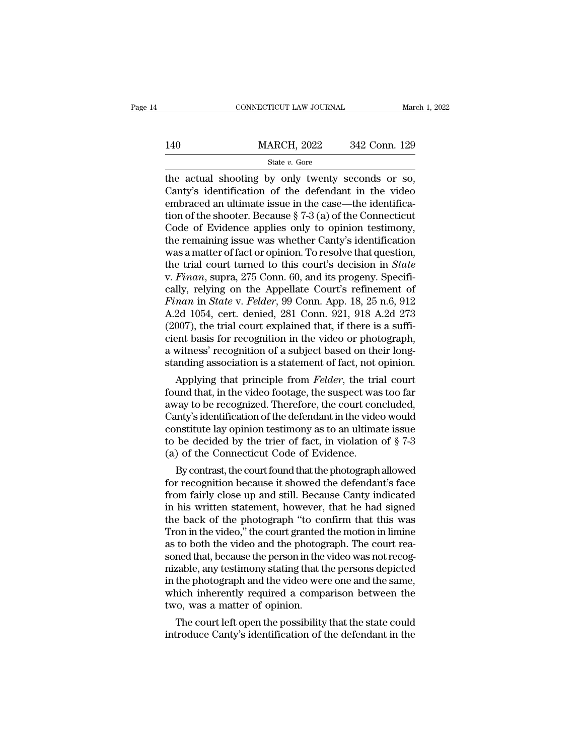### EXECUTE CONNECTICUT LAW JOURNAL March 1, 2022<br>140 MARCH, 2022 342 Conn. 129<br>140 State v. Gore State *v.* Gore

CONNECTICUT LAW JOURNAL March 1, 2<br>
MARCH, 2022 342 Conn. 129<br>
State v. Gore<br>
The actual shooting by only twenty seconds or so,<br>
Canty's identification of the defendant in the video<br>
combraced an ultimate issue in the case MARCH, 2022 342 Conn. 129<br>
State v. Gore<br>
the actual shooting by only twenty seconds or so,<br>
Canty's identification of the defendant in the video<br>
embraced an ultimate issue in the case—the identifica-<br>
tion of the shoote 140 MARCH, 2022 342 Conn. 129<br>
State v. Gore<br>
the actual shooting by only twenty seconds or so,<br>
Canty's identification of the defendant in the video<br>
embraced an ultimate issue in the case—the identifica-<br>
tion of the sh 140 MARCH, 2022 342 Conn. 129<br>
State v. Gore<br>
the actual shooting by only twenty seconds or so,<br>
Canty's identification of the defendant in the video<br>
embraced an ultimate issue in the case—the identifica-<br>
tion of the sh State v. Gore<br>
State v. Gore<br>
the actual shooting by only twenty seconds or so,<br>
Canty's identification of the defendant in the video<br>
embraced an ultimate issue in the case—the identifica-<br>
tion of the shooter. Because § state v. Gore<br>the actual shooting by only twenty seconds or so,<br>Canty's identification of the defendant in the video<br>embraced an ultimate issue in the case—the identifica-<br>tion of the shooter. Because § 7-3 (a) of the Con the actual shooting by only twenty seconds or so,<br>Canty's identification of the defendant in the video<br>embraced an ultimate issue in the case—the identifica-<br>tion of the shooter. Because § 7-3 (a) of the Connecticut<br>Code Canty's identification of the defendant in the video<br>embraced an ultimate issue in the case—the identifica-<br>tion of the shooter. Because § 7-3 (a) of the Connecticut<br>Code of Evidence applies only to opinion testimony,<br>the embraced an ultimate issue in the case—the identification of the shooter. Because § 7-3 (a) of the Connecticut Code of Evidence applies only to opinion testimony, the remaining issue was whether Canty's identification was tion of the shooter. Because § 7-3 (a) of the Connecticut<br>Code of Evidence applies only to opinion testimony,<br>the remaining issue was whether Canty's identification<br>was a matter of fact or opinion. To resolve that questio Code of Evidence applies only to opinion testimony,<br>the remaining issue was whether Canty's identification<br>was a matter of fact or opinion. To resolve that question,<br>the trial court turned to this court's decision in *Stat* the remaining issue was whether Canty's identification<br>was a matter of fact or opinion. To resolve that question,<br>the trial court turned to this court's decision in *State*<br>v. Finan, supra, 275 Conn. 60, and its progeny. S was a matter of fact or opinion. To resolve that question,<br>the trial court turned to this court's decision in *State*<br>v. Finan, supra, 275 Conn. 60, and its progeny. Specifi-<br>cally, relying on the Appellate Court's refinem the trial court turned to this court's decision in *State*<br>v. Finan, supra, 275 Conn. 60, and its progeny. Specifi-<br>cally, relying on the Appellate Court's refinement of<br>Finan in *State* v. Felder, 99 Conn. App. 18, 25 n.6 v. Finan, supra, 275 Conn. 60, and its progeny. Specifically, relying on the Appellate Court's refinement of Finan in State v. Felder, 99 Conn. App. 18, 25 n.6, 912 A.2d 1054, cert. denied, 281 Conn. 921, 918 A.2d 273 (200 cally, relying on the Appellate Court's refinement of Finan in State v. Felder, 99 Conn. App. 18, 25 n.6, 912 A.2d 1054, cert. denied, 281 Conn. 921, 918 A.2d 273 (2007), the trial court explained that, if there is a suffi man in state v. Fetaer, 99 Conn. App. 18, 25 n.o, 912<br>2d 1054, cert. denied, 281 Conn. 921, 918 A.2d 273<br>007), the trial court explained that, if there is a suffi-<br>ent basis for recognition in the video or photograph,<br>witn A.2d 1054, cert. denied, 281 Conn. 921, 918 A.2d 273<br>(2007), the trial court explained that, if there is a suffi-<br>cient basis for recognition in the video or photograph,<br>a witness' recognition of a subject based on their l

(2007), the trial court explained that, if there is a sum-<br>cient basis for recognition in the video or photograph,<br>a witness' recognition of a subject based on their long-<br>standing association is a statement of fact, not cient basis for recognition in the video or photograph,<br>a witness' recognition of a subject based on their long-<br>standing association is a statement of fact, not opinion.<br>Applying that principle from *Felder*, the trial c a witness recognition or a subject based on their iong-<br>standing association is a statement of fact, not opinion.<br>Applying that principle from *Felder*, the trial court<br>found that, in the video footage, the suspect was to standing association is a statement of fact, not opinion.<br>Applying that principle from *Felder*, the trial court<br>found that, in the video footage, the suspect was too far<br>away to be recognized. Therefore, the court conclu Applying that principle from *Felder*, the trial found that, in the video footage, the suspect was away to be recognized. Therefore, the court con Canty's identification of the defendant in the vide constitute lay opinion und that, in the video footage, the suspect was too far<br>vay to be recognized. Therefore, the court concluded,<br>mty's identification of the defendant in the video would<br>nstitute lay opinion testimony as to an ultimate issue<br> away to be recognized. Therefore, the court concluded,<br>Canty's identification of the defendant in the video would<br>constitute lay opinion testimony as to an ultimate issue<br>to be decided by the trier of fact, in violation o

Canty staentincation of the defendant in the video would<br>constitute lay opinion testimony as to an ultimate issue<br>to be decided by the trier of fact, in violation of  $\S 7-3$ <br>(a) of the Connecticut Code of Evidence.<br>By con constitute lay opinion testimony as to an ultimate issue<br>to be decided by the trier of fact, in violation of  $\S$  7-3<br>(a) of the Connecticut Code of Evidence.<br>By contrast, the court found that the photograph allowed<br>for re to be decided by the trier of fact, in violation of  $\S$   $\ell$ -3<br>
(a) of the Connecticut Code of Evidence.<br>
By contrast, the court found that the photograph allowed<br>
for recognition because it showed the defendant's face<br>
f (a) or the Connecticut Code or Evidence.<br>By contrast, the court found that the photograph allowed<br>for recognition because it showed the defendant's face<br>from fairly close up and still. Because Canty indicated<br>in his writte By contrast, the court found that the photograph allowed<br>for recognition because it showed the defendant's face<br>from fairly close up and still. Because Canty indicated<br>in his written statement, however, that he had signed<br> for recognition because it showed the defendant's face<br>from fairly close up and still. Because Canty indicated<br>in his written statement, however, that he had signed<br>the back of the photograph "to confirm that this was<br>Tron from fairly close up and still. Because Canty indicated<br>in his written statement, however, that he had signed<br>the back of the photograph "to confirm that this was<br>Tron in the video," the court granted the motion in limine<br> in his written statement, however, that he had signed<br>the back of the photograph "to confirm that this was<br>Tron in the video," the court granted the motion in limine<br>as to both the video and the photograph. The court rea-<br> the back of the photograph "to confirm that this was<br>Tron in the video," the court granted the motion in limine<br>as to both the video and the photograph. The court rea-<br>soned that, because the person in the video was not re Tron in the video," the court granted<br>as to both the video and the photog<br>soned that, because the person in the<br>nizable, any testimony stating that the<br>in the photograph and the video wer<br>which inherently required a comp:<br> to both the video and the photograph. The court rea-<br>ned that, because the person in the video was not recog-<br>zable, any testimony stating that the persons depicted<br>the photograph and the video were one and the same,<br>nich soned that, because the person in the video was not recognizable, any testimony stating that the persons depicted<br>in the photograph and the video were one and the same,<br>which inherently required a comparison between the<br>tw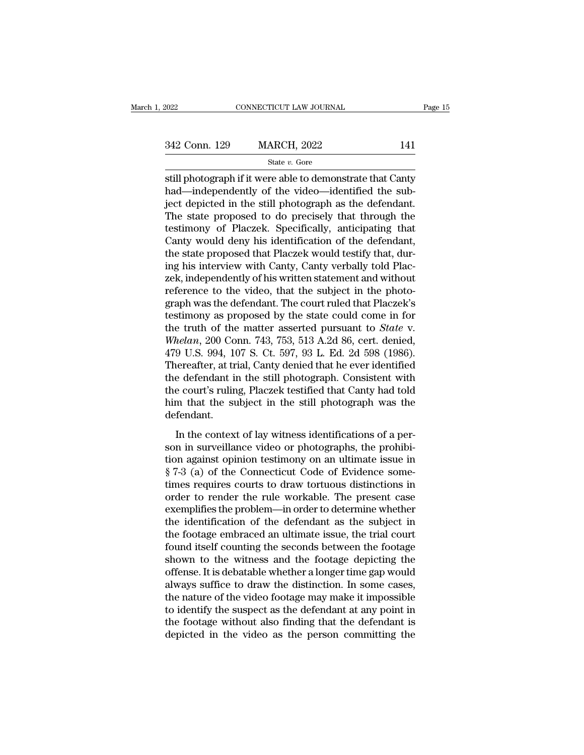# $\begin{tabular}{l l l l} \hline \textbf{2022} & & & & & & \textbf{0.54} \\ \hline \textbf{342 Conn.} & \textbf{129} & & \textbf{MARCH, 2022} & & \textbf{141} \\ \hline & & & & \textbf{State $v$. Gore} & & \textbf{141} \\ \hline \end{tabular}$

State *v.* Gore

still photograph if it were able to demonstrate that Canty  $\frac{342 \text{ Conn. } 129}{\text{State } v. \text{ Gore}}$ <br>
state v. Gore<br>
still photograph if it were able to demonstrate that Canty<br>
had—independently of the video—identified the sub-<br>
ject depicted in the still photograph as the defendant.<br>
The  $\frac{342 \text{ Conn. } 129}{\text{State } v. \text{ Gore}}$ <br>  $\frac{\text{State } v. \text{ Gore}}{\text{still photograph if it were able to demonstrate that Canty}}$ had—independently of the video—identified the subject depicted in the still photograph as the defendant.<br>
The state proposed to do precisely that through t 342 Conn. 129 MARCH, 2022 141<br>  $\frac{\text{State } v. \text{ Gore}}{\text{static } v. \text{force}}$ <br>
still photograph if it were able to demonstrate that Canty<br>
had—independently of the video—identified the sub-<br>
ject depicted in the still photograph as the def State v. Gore<br>still photograph if it were able to demonstrate that Canty<br>had—independently of the video—identified the sub-<br>ject depicted in the still photograph as the defendant.<br>The state proposed to do precisely that t state v. Gore<br>still photograph if it were able to demonstrate that Canty<br>had—independently of the video—identified the sub-<br>ject depicted in the still photograph as the defendant.<br>The state proposed to do precisely that t still photograph if it were able to demonstrate that Canty<br>had—independently of the video—identified the sub-<br>ject depicted in the still photograph as the defendant.<br>The state proposed to do precisely that through the<br>test had—independently of the video—identified the sub-<br>ject depicted in the still photograph as the defendant.<br>The state proposed to do precisely that through the<br>testimony of Placzek. Specifically, anticipating that<br>Canty wou ject depicted in the still photograph as the defendant.<br>The state proposed to do precisely that through the<br>testimony of Placzek. Specifically, anticipating that<br>Canty would deny his identification of the defendant,<br>the st The state proposed to do precisely that through the<br>testimony of Placzek. Specifically, anticipating that<br>Canty would deny his identification of the defendant,<br>the state proposed that Placzek would testify that, dur-<br>ing h testimony of Placzek. Specifically, anticipating that<br>Canty would deny his identification of the defendant,<br>the state proposed that Placzek would testify that, dur-<br>ing his interview with Canty, Canty verbally told Plac-<br>z Canty would deny his identification of the defendant,<br>the state proposed that Placzek would testify that, dur-<br>ing his interview with Canty, Canty verbally told Plac-<br>zek, independently of his written statement and withou the state proposed that Placzek would testify that, during his interview with Canty, Canty verbally told Placzek, independently of his written statement and without reference to the video, that the subject in the photograp ing his interview with Canty, Canty verbally told Placzek, independently of his written statement and without<br>reference to the video, that the subject in the photo-<br>graph was the defendant. The court ruled that Placzek's<br>t zek, independently of his written statement and without<br>reference to the video, that the subject in the photo-<br>graph was the defendant. The court ruled that Placzek's<br>testimony as proposed by the state could come in for<br>th reference to the video, that the subject in the photograph was the defendant. The court ruled that Placzek's testimony as proposed by the state could come in for the truth of the matter asserted pursuant to *State* v. *Whe* graph was the defendant. The court ruled that Placzek's<br>testimony as proposed by the state could come in for<br>the truth of the matter asserted pursuant to *State* v.<br>Whelan, 200 Conn. 743, 753, 513 A.2d 86, cert. denied,<br>47 testimony as proposed by the state could come in for<br>the truth of the matter asserted pursuant to *State* v.<br>Whelan, 200 Conn. 743, 753, 513 A.2d 86, cert. denied,<br>479 U.S. 994, 107 S. Ct. 597, 93 L. Ed. 2d 598 (1986).<br>The the truth of the matter asserted pursuant to *State* v.<br>Whelan, 200 Conn. 743, 753, 513 A.2d 86, cert. denied,<br>479 U.S. 994, 107 S. Ct. 597, 93 L. Ed. 2d 598 (1986).<br>Thereafter, at trial, Canty denied that he ever identifi defendant. In the context of lay witness identifications of a per-<br>nerafter, at trial, Canty denied that he ever identified<br>e defendant in the still photograph. Consistent with<br>ne court's ruling, Placzek testified that Canty had told Fractureit, as analytically denote an<br>all the defendant in the still photograph. Consistent with<br>the court's ruling, Placzek testified that Canty had told<br>him that the subject in the still photograph was the<br>defendant.<br>In

the court's ruling, Placzek testified that Canty had told<br>him that the subject in the still photograph was the<br>defendant.<br>In the context of lay witness identifications of a per-<br>son in surveillance video or photographs, th the courts raing, I hadded assumed and cally had total<br>him that the subject in the still photograph was the<br>defendant.<br>In the context of lay witness identifications of a per-<br>son in surveillance video or photographs, the p that and are subject in the samples protograph was the<br>defendant.<br>In the context of lay witness identifications of a per-<br>son in surveillance video or photographs, the prohibi-<br>tion against opinion testimony on an ultimate In the context of lay witness identifications of a person in surveillance video or photographs, the prohibition against opinion testimony on an ultimate issue in  $\S 7-3$  (a) of the Connecticut Code of Evidence sometimes r In the context of lay witness identifications of a person in surveillance video or photographs, the prohibition against opinion testimony on an ultimate issue in  $\S 7-3$  (a) of the Connecticut Code of Evidence sometimes r son in surveillance video or photographs, the prohibition against opinion testimony on an ultimate issue in § 7-3 (a) of the Connecticut Code of Evidence sometimes requires courts to draw tortuous distinctions in order to tion against opinion testimony on an ultimate issue in § 7-3 (a) of the Connecticut Code of Evidence some-<br>times requires courts to draw tortuous distinctions in<br>order to render the rule workable. The present case<br>exemplif  $\S$  7-3 (a) of the Connecticut Code of Evidence sometimes requires courts to draw tortuous distinctions in order to render the rule workable. The present case exemplifies the problem—in order to determine whether the iden times requires courts to draw tortuous distinctions in<br>order to render the rule workable. The present case<br>exemplifies the problem—in order to determine whether<br>the identification of the defendant as the subject in<br>the foo order to render the rule workable. The present case<br>exemplifies the problem—in order to determine whether<br>the identification of the defendant as the subject in<br>the footage embraced an ultimate issue, the trial court<br>found exemplifies the problem—in order to determine whether<br>the identification of the defendant as the subject in<br>the footage embraced an ultimate issue, the trial court<br>found itself counting the seconds between the footage<br>show the identification of the defendant as the subject in<br>the footage embraced an ultimate issue, the trial court<br>found itself counting the seconds between the footage<br>shown to the witness and the footage depicting the<br>offense the footage embraced an ultimate issue, the trial court<br>found itself counting the seconds between the footage<br>shown to the witness and the footage depicting the<br>offense. It is debatable whether a longer time gap would<br>alwa found itself counting the seconds between the footage<br>shown to the witness and the footage depicting the<br>offense. It is debatable whether a longer time gap would<br>always suffice to draw the distinction. In some cases,<br>the n shown to the witness and the footage depicting the offense. It is debatable whether a longer time gap would always suffice to draw the distinction. In some cases, the nature of the video footage may make it impossible to i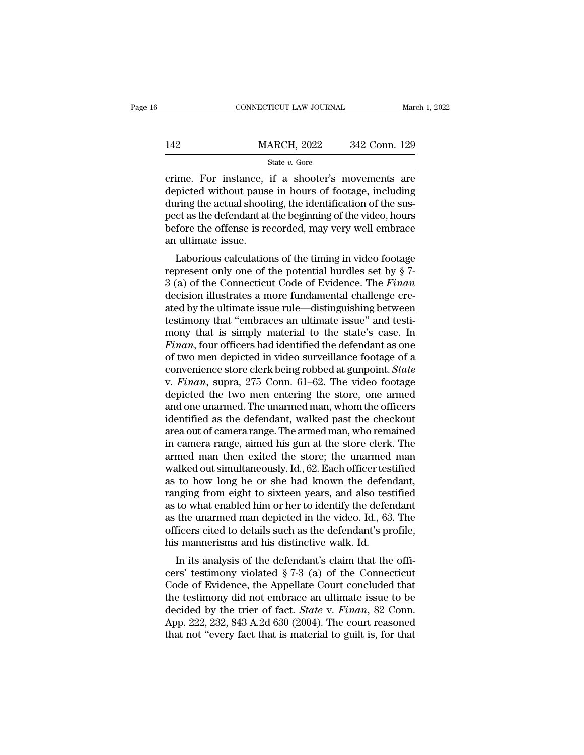|     | CONNECTICUT LAW JOURNAL | March 1, 2022 |
|-----|-------------------------|---------------|
|     |                         |               |
| 142 | <b>MARCH, 2022</b>      | 342 Conn. 129 |
|     | State $v$ . Gore        |               |

CONNECTICUT LAW JOURNAL March 1, 2022<br>
MARCH, 2022 342 Conn. 129<br>
State v. Gore<br>
Crime. For instance, if a shooter's movements are<br>
depicted without pause in hours of footage, including<br>
during the actual shooting the ide  $\begin{array}{lll}\n & \text{MARCH, 2022} & \text{342 Conn. 129} \\
 \text{State } v. \text{ Gore} & \text{.} \\
 \hline\n \text{Crime. For instance, if a shooting} & \text{shooter's movements are depicted without pause in hours of footage, including during the actual shooting, the identification of the subsequent at the beginning of the video, hours.\n$  $\frac{\text{MARCH}}{\text{State } v. \text{ Gore}}$ <br>
State  $v. \text{ Gore}$ <br>
Trime. For instance, if a shooter's movements are<br>
depicted without pause in hours of footage, including<br>
during the actual shooting, the identification of the sus-<br>
pect as the de MARCH, 2022 342 Conn. 129<br>
State v. Gore<br>
crime. For instance, if a shooter's movements are<br>
depicted without pause in hours of footage, including<br>
during the actual shooting, the identification of the sus-<br>
pect as the d State v. Gore<br>
on the order of the order of the order of the order of the order of depicted without pause in hours of footage, including<br>
during the actual shooting, the identification of the sus-<br>
pect as the defendant a rime. For instance,<br>depicted without pause<br>during the actual shoot<br>pect as the defendant at<br>before the offense is re<br>an ultimate issue.<br>Laborious calculation me. For instance, if a shooter's inovenients are<br>picted without pause in hours of footage, including<br>tring the actual shooting, the identification of the sus-<br>ct as the defendant at the beginning of the video, hours<br>fore depicted without pause in hours of lootage, including<br>during the actual shooting, the identification of the sus-<br>pect as the defendant at the beginning of the video, hours<br>before the offense is recorded, may very well embr

during the actual shooting, the identification of the sus-<br>pect as the defendant at the beginning of the video, hours<br>before the offense is recorded, may very well embrace<br>an ultimate issue.<br>Laborious calculations of the t bect as the defendant at the beginning of the video, noting<br>before the offense is recorded, may very well embrace<br>an ultimate issue.<br>Laborious calculations of the timing in video footage<br>represent only one of the potentia an ultimate issue.<br>
Laborious calculations of the timing in video footage<br>
represent only one of the potential hurdles set by § 7-<br>
3 (a) of the Connecticut Code of Evidence. The Finan<br>
decision illustrates a more fundame Laborious calculations of the timing in video footage<br>represent only one of the potential hurdles set by  $\S$  7-<br>3 (a) of the Connecticut Code of Evidence. The Finan<br>decision illustrates a more fundamental challenge cre-<br>a Laborious calculations of the timing in video footage<br>represent only one of the potential hurdles set by § 7-<br>3 (a) of the Connecticut Code of Evidence. The Finan<br>decision illustrates a more fundamental challenge cre-<br>ate represent only one of the potential hurdles set by § 7-<br> *Finan*<br> *Finan*<br> *Finan*<br> *Finan*, flustrates a more fundamental challenge cre-<br> *Added by the ultimate issue rule—distinguishing between*<br> *Finan, tour officers ha* 3 (a) of the Connecticut Code of Evidence. The *Finan*<br>decision illustrates a more fundamental challenge cre-<br>ated by the ultimate issue rule—distinguishing between<br>testimony that "embraces an ultimate issue" and testi-<br>m decision illustrates a more fundamental challenge cre-<br>ated by the ultimate issue rule—distinguishing between<br>testimony that "embraces an ultimate issue" and testi-<br>mony that is simply material to the state's case. In<br>*Fin* ated by the ultimate issue rule—distinguishing between<br>testimony that "embraces an ultimate issue" and testi-<br>mony that is simply material to the state's case. In<br>*Finan*, four officers had identified the defendant as one<br> testimony that "embraces an ultimate issue" and testi-<br>mony that is simply material to the state's case. In<br>Finan, four officers had identified the defendant as one<br>of two men depicted in video surveillance footage of a<br>co mony that is simply material to the state's case. In<br>Finan, four officers had identified the defendant as one<br>of two men depicted in video surveillance footage of a<br>convenience store clerk being robbed at gunpoint. *State* Finan, four officers had identified the defendant as one<br>of two men depicted in video surveillance footage of a<br>convenience store clerk being robbed at gunpoint. *State*<br>v. Finan, supra, 275 Conn. 61–62. The video footage of two men depicted in video surveillance footage of a<br>convenience store clerk being robbed at gunpoint. *State*<br>v. Finan, supra, 275 Conn. 61–62. The video footage<br>depicted the two men entering the store, one armed<br>and on convenience store clerk being robbed at gunpoint. *State* v. *Finan*, supra, 275 Conn. 61–62. The video footage depicted the two men entering the store, one armed and one unarmed. The unarmed man, whom the officers identif v. *Finan*, supra, 275 Conn. 61–62. The video footage<br>depicted the two men entering the store, one armed<br>and one unarmed. The unarmed man, whom the officers<br>identified as the defendant, walked past the checkout<br>area out of depicted the two men entering the store, one armed<br>and one unarmed. The unarmed man, whom the officers<br>identified as the defendant, walked past the checkout<br>area out of camera range. The armed man, who remained<br>in camera r and one unarmed. The unarmed man, whom the officers<br>identified as the defendant, walked past the checkout<br>area out of camera range. The armed man, who remained<br>in camera range, aimed his gun at the store clerk. The<br>armed m identified as the defendant, walked past the checkout<br>area out of camera range. The armed man, who remained<br>in camera range, aimed his gun at the store clerk. The<br>armed man then exited the store; the unarmed man<br>walked out area out of camera range. The armed man, who remained<br>in camera range, aimed his gun at the store clerk. The<br>armed man then exited the store; the unarmed man<br>walked out simultaneously. Id., 62. Each officer testified<br>as to in camera range, aimed his gun at the store clerk. The<br>armed man then exited the store; the unarmed man<br>walked out simultaneously. Id., 62. Each officer testified<br>as to how long he or she had known the defendant,<br>ranging f armed man then exited the store; the unarmed man<br>walked out simultaneously. Id., 62. Each officer testified<br>as to how long he or she had known the defendant,<br>ranging from eight to sixteen years, and also testified<br>as to wh walked out simultaneously. Id., 62. Each officer tes<br>as to how long he or she had known the defen<br>ranging from eight to sixteen years, and also tes<br>as to what enabled him or her to identify the defer<br>as the unarmed man dep In its analysis of the defendant's claim that the official<br>In its analysis of the defendant the unarmed man depicted in the video. Id., 63. The<br>ficers cited to details such as the defendant's profile,<br>s mannerisms and his ranging from eight to sixteen years, and also testined<br>as to what enabled him or her to identify the defendant<br>as the unarmed man depicted in the video. Id., 63. The<br>officers cited to details such as the defendant's profi

as to what enabled nint of her to dentify the defendant<br>as the unarmed man depicted in the video. Id., 63. The<br>officers cited to details such as the defendant's profile,<br>his mannerisms and his distinctive walk. Id.<br>In its as the unarified man depicted in the video. Id., 05. The<br>officers cited to details such as the defendant's profile,<br>his mannerisms and his distinctive walk. Id.<br>In its analysis of the defendant's claim that the offi-<br>cers bincers ched to details such as the defendant's profile,<br>his mannerisms and his distinctive walk. Id.<br>In its analysis of the defendant's claim that the offi-<br>cers' testimony violated § 7-3 (a) of the Connecticut<br>Code of Ev In its analysis and its distinctive walk. Id.<br>
In its analysis of the defendant's claim that the officers' testimony violated  $\S 7-3$  (a) of the Connecticut<br>
Code of Evidence, the Appellate Court concluded that<br>
the testi In its analysis of the defendant's claim that the officers' testimony violated  $\S 7-3$  (a) of the Connecticut Code of Evidence, the Appellate Court concluded that the testimony did not embrace an ultimate issue to be deci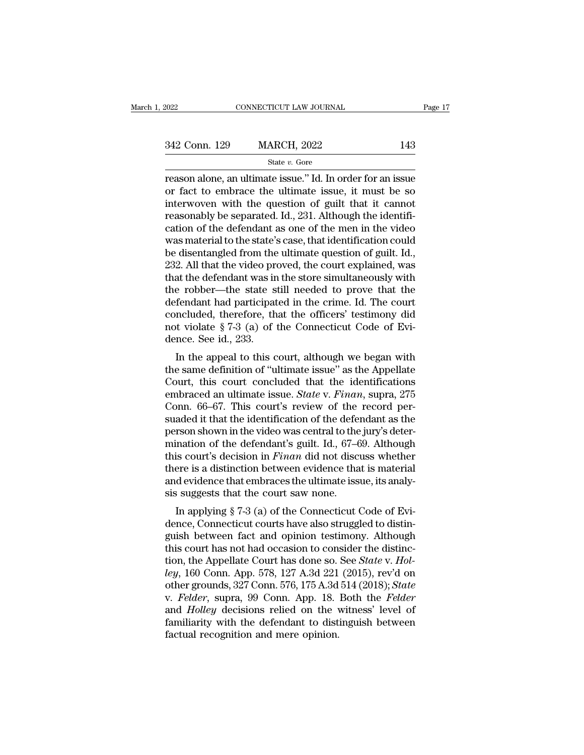| 2022          | CONNECTICUT LAW JOURNAL |     | Page 17 |
|---------------|-------------------------|-----|---------|
|               |                         |     |         |
| 342 Conn. 129 | <b>MARCH, 2022</b>      | 143 |         |
|               | State $v$ . Gore        |     |         |

Figure 2022<br>
Fage 17<br>
2022<br>
21 Conn. 129 MARCH, 2022<br>
21 State v. Gore<br>
21 Conne, an ultimate issue.'' Id. In order for an issue<br>
21 Or fact to embrace the ultimate issue, it must be so<br>
21 or fact to embrace the ultimate 342 Conn. 129 MARCH, 2022 143<br>
State v. Gore<br>
Teason alone, an ultimate issue." Id. In order for an issue<br>
or fact to embrace the ultimate issue, it must be so<br>
interwoven with the question of guilt that it cannot<br>
reason 342 Conn. 129 MARCH, 2022 143<br>
State v. Gore<br>
Teason alone, an ultimate issue." Id. In order for an issue<br>
or fact to embrace the ultimate issue, it must be so<br>
interwoven with the question of guilt that it cannot<br>
reason 342 Conn. 129 MARCH, 2022 143<br>
State v. Gore<br>
reason alone, an ultimate issue." Id. In order for an issue<br>
or fact to embrace the ultimate issue, it must be so<br>
interwoven with the question of guilt that it cannot<br>
reason Since of the defendant as one of the men in the video was material to the state's case, that identified was material to the state's case, that identification could be disortangled from the ultimate question of quilt Id state v. Gore<br>reason alone, an ultimate issue." Id. In order for an issue<br>or fact to embrace the ultimate issue, it must be so<br>interwoven with the question of guilt that it cannot<br>reasonably be separated. Id., 231. Althou reason alone, an ultimate issue." Id. In order for an issue<br>or fact to embrace the ultimate issue, it must be so<br>interwoven with the question of guilt that it cannot<br>reasonably be separated. Id., 231. Although the identifi or fact to embrace the ultimate issue, it must be so<br>interwoven with the question of guilt that it cannot<br>reasonably be separated. Id., 231. Although the identifi-<br>cation of the defendant as one of the men in the video<br>was interwoven with the question of guilt that it cannot<br>reasonably be separated. Id., 231. Although the identifi-<br>cation of the defendant as one of the men in the video<br>was material to the state's case, that identification co reasonably be separated. Id., 231. Although the identification of the defendant as one of the men in the video<br>was material to the state's case, that identification could<br>be disentangled from the ultimate question of guilt cation of the defendant as one of the men in the video<br>was material to the state's case, that identification could<br>be disentangled from the ultimate question of guilt. Id.,<br>232. All that the video proved, the court explai was material to the state's case, that identification could<br>be disentangled from the ultimate question of guilt. Id.,<br>232. All that the video proved, the court explained, was<br>that the defendant was in the store simultaneo be disentangled from the ultimate question of guilt. Id., 232. All that the video proved, the court explained, was that the defendant was in the store simultaneously with the robber—the state still needed to prove that th 232. All that the video prothat the defendant was in<br>the robber—the state s<br>defendant had participat<br>concluded, therefore, th<br>not violate  $\S 7-3$  (a) of<br>dence. See id., 233.<br>In the appeal to this c at the defendant was in the store simulatieously with<br>
e robber—the state still needed to prove that the<br>
fendant had participated in the crime. Id. The court<br>
included, therefore, that the officers' testimony did<br>
it viol the robber—the state sun heeded to prove that the<br>defendant had participated in the crime. Id. The court<br>concluded, therefore, that the officers' testimony did<br>not violate § 7-3 (a) of the Connecticut Code of Evi-<br>dence.

defendant had participated in the crime. Id. The Court<br>concluded, therefore, that the officers' testimony did<br>not violate § 7-3 (a) of the Connecticut Code of Evi-<br>dence. See id., 233.<br>In the appeal to this court, althoug embraced an ultimate issue. *State* v. *Finan*, suppose the same definition of "ultimate issue" as the Appellate Court, this court concluded that the identifications embraced an ultimate issue. *State* v. *Finan*, supra, 2 For violate  $\frac{1}{8}$  ( $-5$  ( $\frac{1}{4}$ ) of the connecticut code of Evidence. See id., 233.<br>In the appeal to this court, although we began with<br>the same definition of "ultimate issue" as the Appellate<br>Court, this court con In the appeal to this court, although we began with<br>the same definition of "ultimate issue" as the Appellate<br>Court, this court concluded that the identifications<br>embraced an ultimate issue. *State v. Finan*, supra, 275<br>Co In the appeal to this court, although we began with<br>the same definition of "ultimate issue" as the Appellate<br>Court, this court concluded that the identifications<br>embraced an ultimate issue. *State v. Finan*, supra, 275<br>Co the same definition of "ultimate issue" as the Appellate<br>Court, this court concluded that the identifications<br>embraced an ultimate issue. *State* v. Finan, supra, 275<br>Conn. 66–67. This court's review of the record per-<br>sua Court, this court concluded that the identifications<br>embraced an ultimate issue. *State* v. *Finan*, supra, 275<br>Conn. 66–67. This court's review of the record per-<br>suaded it that the identification of the defendant as the<br> embraced an ultimate issue. *State* v. *Finan*, supra, 275<br>Conn. 66–67. This court's review of the record per-<br>suaded it that the identification of the defendant as the<br>person shown in the video was central to the jury's d Conn. 66–67. This court's review of the record per-<br>suaded it that the identification of the defendant as the<br>person shown in the video was central to the jury's deter-<br>mination of the defendant's guilt. Id., 67–69. Altho suaded it that the identification of the deferences<br>person shown in the video was central to the<br>mination of the defendant's guilt. Id., 67–6<br>this court's decision in *Finan* did not discuration<br>there is a distinction bet Ison shown in the video was central to the jury s determation of the defendant's guilt. Id., 67–69. Although is court's decision in *Finan* did not discuss whether ere is a distinction between evidence that is material dev mination of the detendant s gain.  $\alpha$ ,  $\alpha$ -os. Althought<br>this court's decision in *Finan* did not discuss whether<br>there is a distinction between evidence that is material<br>and evidence that embraces the ultimate issue, i

there is a distinction between evidence that is material<br>and evidence that embraces the ultimate issue, its analy-<br>sis suggests that the court saw none.<br>In applying § 7-3 (a) of the Connecticut Code of Evi-<br>dence, Connect there is a distinction between evidence that is inaterial<br>and evidence that embraces the ultimate issue, its analy-<br>sis suggests that the court saw none.<br>In applying § 7-3 (a) of the Connecticut Code of Evi-<br>dence, Connec and evidence that embraces the unimate issue, its analysis suggests that the court saw none.<br>
In applying § 7-3 (a) of the Connecticut Code of Evidence, Connecticut courts have also struggled to distinguish between fact an sis suggests that the court saw none.<br>
In applying § 7-3 (a) of the Connecticut Code of Evi-<br>
dence, Connecticut courts have also struggled to distin-<br>
guish between fact and opinion testimony. Although<br>
this court has not In applying § 7-3 (a) of the Connecticut Code of Evi-<br>dence, Connecticut courts have also struggled to distin-<br>guish between fact and opinion testimony. Although<br>this court has not had occasion to consider the distinc-<br>tio dence, Connecticut courts have also struggled to distinguish between fact and opinion testimony. Although this court has not had occasion to consider the distinction, the Appellate Court has done so. See *State* v. *Holley* guish between fact and opinion testimony. Although<br>this court has not had occasion to consider the distinc-<br>tion, the Appellate Court has done so. See *State v. Hol-*<br>ley, 160 Conn. App. 578, 127 A.3d 221 (2015), rev'd on<br> this court has not had occasion to consider the distinction, the Appellate Court has done so. See *State* v. Holley, 160 Conn. App. 578, 127 A.3d 221 (2015), rev'd on other grounds, 327 Conn. 576, 175 A.3d 514 (2018); *Sta* tion, the Appellate Court has done so.<br>*ley*, 160 Conn. App. 578, 127 A.3d 221<br>other grounds, 327 Conn. 576, 175 A.3d<br>v. *Felder*, supra, 99 Conn. App. 18.<br>and *Holley* decisions relied on the v<br>familiarity with the defend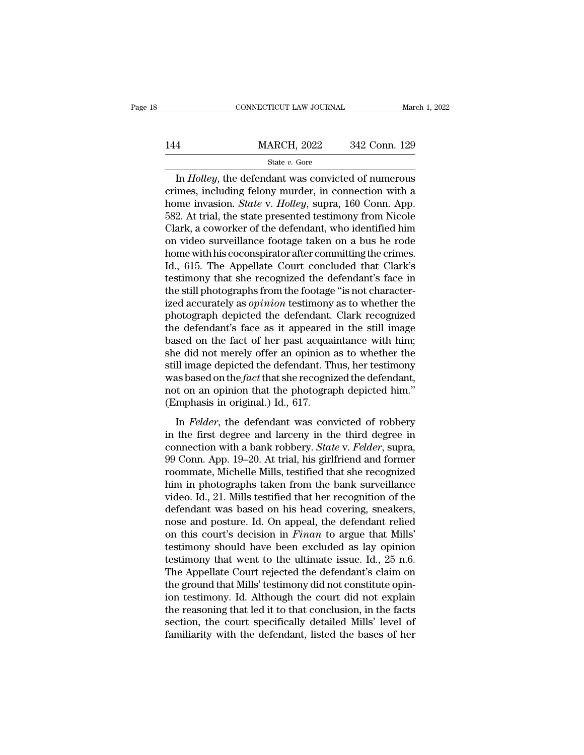CONNECTICUT LAW JOURNAL March 1, 2022<br> **In** *Holley*, the defendant was convicted of numerous<br>
imes, including felony murder, in connection with a<br>
mo invosion *State v. Holley*, supper 160 Conn. App 144 MARCH, 2022 342 Conn. 129<br>
State v. Gore<br>
In *Holley*, the defendant was convicted of numerous<br>
crimes, including felony murder, in connection with a<br>
home invasion. *State* v. *Holley*, supra, 160 Conn. App.<br>
582. At MARCH, 2022 342 Conn. 129<br>
State *v*. Gore<br>
In *Holley*, the defendant was convicted of numerous<br>
crimes, including felony murder, in connection with a<br>
home invasion. *State* v. *Holley*, supra, 160 Conn. App.<br>
582. At tr 144 MARCH, 2022 342 Conn. 129<br>  $\frac{\text{State } v. \text{ Gore}}{1 \text{In } Holly, \text{ the defendant was convicted of numerous}$ <br>
crimes, including felony murder, in connection with a<br>
home invasion. *State* v. *Holley*, supra, 160 Conn. App.<br>
582. At trial, the state presented tes State v. Gore<br>
In *Holley*, the defendant was convicted of numerous<br>
crimes, including felony murder, in connection with a<br>
home invasion. *State* v. *Holley*, supra, 160 Conn. App.<br>
582. At trial, the state presented tes state v. Gore<br>
In *Holley*, the defendant was convicted of numerous<br>
crimes, including felony murder, in connection with a<br>
home invasion. *State* v. *Holley*, supra, 160 Conn. App.<br>
582. At trial, the state presented tes In *Holley*, the defendant was convicted of numerous<br>crimes, including felony murder, in connection with a<br>home invasion. *State* v. *Holley*, supra, 160 Conn. App.<br>582. At trial, the state presented testimony from Nicole<br> crimes, including felony murder, in connection with a<br>home invasion. *State* v. *Holley*, supra, 160 Conn. App.<br>582. At trial, the state presented testimony from Nicole<br>Clark, a coworker of the defendant, who identified hi home invasion. *State* v. *Holley*, supra, 160 Conn. App.<br>582. At trial, the state presented testimony from Nicole<br>Clark, a coworker of the defendant, who identified him<br>on video surveillance footage taken on a bus he rode 582. At trial, the state presented testimony from Nicole Clark, a coworker of the defendant, who identified him<br>on video surveillance footage taken on a bus he rode<br>home with his coconspirator after committing the crimes.<br> Clark, a coworker of the defendant, who identified him<br>on video surveillance footage taken on a bus he rode<br>home with his coconspirator after committing the crimes.<br>Id., 615. The Appellate Court concluded that Clark's<br>test on video surveillance footage taken on a bus he rode<br>home with his coconspirator after committing the crimes.<br>Id., 615. The Appellate Court concluded that Clark's<br>testimony that she recognized the defendant's face in<br>the s home with his coconspirator after committing the crimes.<br>Id., 615. The Appellate Court concluded that Clark's<br>testimony that she recognized the defendant's face in<br>the still photographs from the footage "is not character-<br> Id., 615. The Appellate Court concluded that Clark's<br>testimony that she recognized the defendant's face in<br>the still photographs from the footage "is not character-<br>ized accurately as *opinion* testimony as to whether the<br> testimony that she recognized the defendant's face in<br>the still photographs from the footage "is not character-<br>ized accurately as *opinion* testimony as to whether the<br>photograph depicted the defendant. Clark recognized<br>t the still photographs from the footage "is not characterized accurately as *opinion* testimony as to whether the photograph depicted the defendant. Clark recognized the defendant's face as it appeared in the still image ba ized accurately as *opinion* testimony as to whether the photograph depicted the defendant. Clark recognized the defendant's face as it appeared in the still image based on the fact of her past acquaintance with him; she d photograph depicted the defendant. Clark recognized<br>the defendant's face as it appeared in the still image<br>based on the fact of her past acquaintance with him;<br>she did not merely offer an opinion as to whether the<br>still im the defendant's face as it appeared<br>based on the fact of her past acquare she did not merely offer an opinion<br>still image depicted the defendant. The<br>was based on the *fact* that she recognis<br>not on an opinion that the ph Exa on the fact of her past dequalitance with rink,<br>e did not merely offer an opinion as to whether the<br>Il image depicted the defendant. Thus, her testimony<br>as based on the *fact* that she recognized the defendant,<br>t on an site did not increase once an opinion as to wheater are<br>still image depicted the defendant. Thus, her testimony<br>was based on the *fact* that she recognized the defendant,<br>not on an opinion that the photograph depicted him

bank mage depreted the determination. Thus, the destinctive was based on the *fact* that she recognized the defendant, not on an opinion that the photograph depicted him."<br>(Emphasis in original.) Id., 617.<br>In *Felder*, the mas sased of die *jast* and sine recognized are determined,<br>not on an opinion that the photograph depicted him."<br>(Emphasis in original.) Id., 617.<br>In *Felder*, the defendant was convicted of robbery<br>in the first degree and (Emphasis in original.) Id., 617.<br>
In *Felder*, the defendant was convicted of robbery<br>
in the first degree and larceny in the third degree in<br>
connection with a bank robbery. *State* v. *Felder*, supra,<br>
99 Conn. App. 19 In Felder, the defendant was convicted of robbery<br>in the first degree and larceny in the third degree in<br>connection with a bank robbery. *State* v. Felder, supra,<br>99 Conn. App. 19–20. At trial, his girlfriend and former<br>r In *Felder*, the defendant was convicted of robbery<br>in the first degree and larceny in the third degree in<br>connection with a bank robbery. *State* v. *Felder*, supra,<br>99 Conn. App. 19–20. At trial, his girlfriend and forme in the first degree and larceny in the third degree in connection with a bank robbery. *State* v. *Felder*, supra, 99 Conn. App. 19–20. At trial, his girlfriend and former roommate, Michelle Mills, testified that she reco connection with a bank robbery. *State* v. *Felder*, supra, 99 Conn. App. 19–20. At trial, his girlfriend and former roommate, Michelle Mills, testified that she recognized him in photographs taken from the bank surveillan 99 Conn. App. 19–20. At trial, his girlfriend and former<br>roommate, Michelle Mills, testified that she recognized<br>him in photographs taken from the bank surveillance<br>video. Id., 21. Mills testified that her recognition of t roommate, Michelle Mills, testified that she recognized<br>him in photographs taken from the bank surveillance<br>video. Id., 21. Mills testified that her recognition of the<br>defendant was based on his head covering, sneakers,<br>no him in photographs taken from the bank surveillance<br>video. Id., 21. Mills testified that her recognition of the<br>defendant was based on his head covering, sneakers,<br>nose and posture. Id. On appeal, the defendant relied<br>on t video. Id., 21. Mills testified that her recognition of the<br>defendant was based on his head covering, sneakers,<br>nose and posture. Id. On appeal, the defendant relied<br>on this court's decision in *Finan* to argue that Mills' defendant was based on his head covering, sneakers,<br>nose and posture. Id. On appeal, the defendant relied<br>on this court's decision in *Finan* to argue that Mills'<br>testimony should have been excluded as lay opinion<br>testimon nose and posture. Id. On appeal, the defendant relied<br>on this court's decision in *Finan* to argue that Mills'<br>testimony should have been excluded as lay opinion<br>testimony that went to the ultimate issue. Id., 25 n.6.<br>The on this court's decision in *Finan* to argue that Mills'<br>testimony should have been excluded as lay opinion<br>testimony that went to the ultimate issue. Id., 25 n.6.<br>The Appellate Court rejected the defendant's claim on<br>the testimony should have been excluded as lay opinion<br>testimony that went to the ultimate issue. Id., 25 n.6.<br>The Appellate Court rejected the defendant's claim on<br>the ground that Mills' testimony did not constitute opin-<br>ion testimony that went to the ultimate issue. Id., 25 n.6.<br>The Appellate Court rejected the defendant's claim on<br>the ground that Mills' testimony did not constitute opin-<br>ion testimony. Id. Although the court did not explain<br>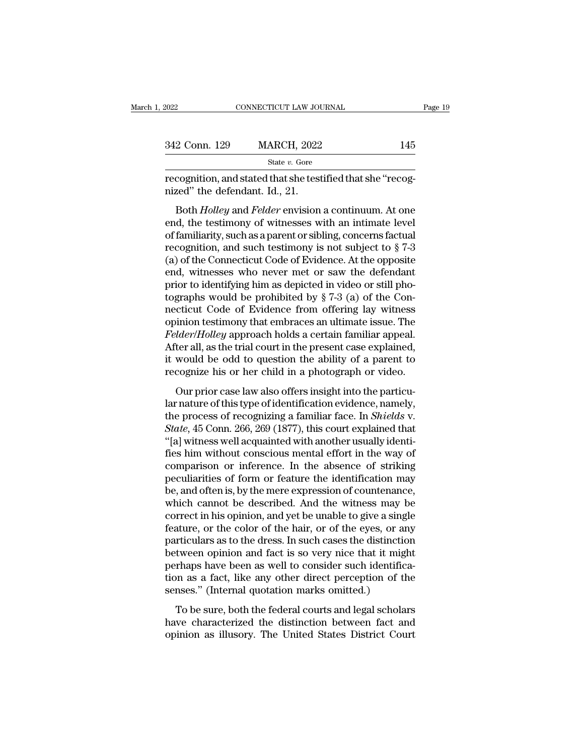| 2022          | CONNECTICUT LAW JOURNAL                                                                       | Page 19 |
|---------------|-----------------------------------------------------------------------------------------------|---------|
| 342 Conn. 129 | <b>MARCH, 2022</b>                                                                            | 145     |
|               | State v. Gore                                                                                 |         |
|               | recognition, and stated that she testified that she "recog-<br>nized" the defendant. Id., 21. |         |

2 Conn. 129 MARCH, 2022 145<br>
State *v*. Gore<br>
cognition, and stated that she testified that she "recog-<br>
zed" the defendant. Id., 21.<br>
Both *Holley* and *Felder* envision a continuum. At one<br>
d, the testimony of witnesses 342 Conn. 129 MARCH, 2022<br>
State v. Gore<br>
recognition, and stated that she testified that she "recog-<br>
nized" the defendant. Id., 21.<br>
Both *Holley* and *Felder* envision a continuum. At one<br>
end, the testimony of witness State v. Gore<br>
recognition, and stated that she testified that she "recog-<br>
nized" the defendant. Id., 21.<br>
Both *Holley* and *Felder* envision a continuum. At one<br>
end, the testimony of witnesses with an intimate level<br> recognition, and stated that she testified that she "recognized" the defendant. Id., 21.<br>Both *Holley* and *Felder* envision a continuum. At one<br>end, the testimony of witnesses with an intimate level<br>of familiarity, such a recognition, and stated that site testined that site recognized" the defendant. Id., 21.<br>Both *Holley* and *Felder* envision a continuum. At one<br>end, the testimony of witnesses with an intimate level<br>of familiarity, such Both *Holley* and *Felder* envision a continuum. At one<br>end, the testimony of witnesses with an intimate level<br>of familiarity, such as a parent or sibling, concerns factual<br>recognition, and such testimony is not subject t Both *Holley* and *Felder* envision a continuum. At one<br>end, the testimony of witnesses with an intimate level<br>of familiarity, such as a parent or sibling, concerns factual<br>recognition, and such testimony is not subject t end, the testimony of witnesses with an intimate level<br>of familiarity, such as a parent or sibling, concerns factual<br>recognition, and such testimony is not subject to § 7-3<br>(a) of the Connecticut Code of Evidence. At the o of familiarity, such as a parent or sibling, concerns factual<br>recognition, and such testimony is not subject to  $\S 7-3$ <br>(a) of the Connecticut Code of Evidence. At the opposite<br>end, witnesses who never met or saw the defe recognition, and such testimony is not subject to  $\S$  7-3<br>(a) of the Connecticut Code of Evidence. At the opposite<br>end, witnesses who never met or saw the defendant<br>prior to identifying him as depicted in video or still p (a) of the Connecticut Code of Evidence. At the opposite<br>end, witnesses who never met or saw the defendant<br>prior to identifying him as depicted in video or still pho-<br>tographs would be prohibited by § 7-3 (a) of the Con-<br>n end, witnesses who never met or saw the defendant<br>prior to identifying him as depicted in video or still pho-<br>tographs would be prohibited by  $\S 7-3$  (a) of the Con-<br>necticut Code of Evidence from offering lay witness<br>opi prior to identifying him as depicted in video or still photographs would be prohibited by  $\S 7-3$  (a) of the Connecticut Code of Evidence from offering lay witness opinion testimony that embraces an ultimate issue. The *F* tographs would be prohibited by  $\S$  7-3 (a) of the Connecticut Code of Evidence from offering lay witness<br>opinion testimony that embraces an ultimate issue. The<br>*Felder/Holley* approach holds a certain familiar appeal.<br>Af inion testimony that embraces an ultimate issue. The *dder/Holley* approach holds a certain familiar appeal.<br>
ter all, as the trial court in the present case explained, would be odd to question the ability of a parent to *Felder/Holley* approach holds a certain familiar appeal.<br>After all, as the trial court in the present case explained,<br>it would be odd to question the ability of a parent to<br>recognize his or her child in a photograph or v

Followithous a finite of recognized the present case explained,<br>it would be odd to question the ability of a parent to<br>recognize his or her child in a photograph or video.<br>Our prior case law also offers insight into the pa *State and contribute present case expansed,*<br> *State and contribute present case expansed,*<br> *State and to question the ability of a parent to*<br> *State process of recognizing a familiar face. In <i>Shields v.*<br> *State,* 45 The would be odd to question are abing or a parent to<br>
recognize his or her child in a photograph or video.<br>
Our prior case law also offers insight into the particu-<br>
lar nature of this type of identification evidence, nam following the state and are protograph of video.<br>
Our prior case law also offers insight into the particular nature of this type of identification evidence, namely,<br>
the process of recognizing a familiar face. In *Shields* Our prior case law also offers insight into the particu-<br>lar nature of this type of identification evidence, namely,<br>the process of recognizing a familiar face. In *Shields* v.<br>*State*, 45 Conn. 266, 269 (1877), this court lar nature of this type of identification evidence, namely,<br>the process of recognizing a familiar face. In *Shields v.*<br>*State*, 45 Conn. 266, 269 (1877), this court explained that<br>"[a] witness well acquainted with another the process of recognizing a familiar face. In *Shields* v.<br> *State*, 45 Conn. 266, 269 (1877), this court explained that<br>
"[a] witness well acquainted with another usually identi-<br>
fies him without conscious mental effort State, 45 Conn. 266, 269 (1877), this court explained that<br>"[a] witness well acquainted with another usually identi-<br>fies him without conscious mental effort in the way of<br>comparison or inference. In the absence of strikin "[a] witness well acquainted with another usually identifies him without conscious mental effort in the way of comparison or inference. In the absence of striking peculiarities of form or feature the identification may be, fies him without conscious mental effort in the way of<br>comparison or inference. In the absence of striking<br>peculiarities of form or feature the identification may<br>be, and often is, by the mere expression of countenance,<br>wh comparison or inference. In the absence of striking<br>peculiarities of form or feature the identification may<br>be, and often is, by the mere expression of countenance,<br>which cannot be described. And the witness may be<br>correct peculiarities of form or feature the identification may<br>be, and often is, by the mere expression of countenance,<br>which cannot be described. And the witness may be<br>correct in his opinion, and yet be unable to give a single<br> be, and often is, by the mere expression of countenance,<br>which cannot be described. And the witness may be<br>correct in his opinion, and yet be unable to give a single<br>feature, or the color of the hair, or of the eyes, or an which cannot be described. And the witness may be correct in his opinion, and yet be unable to give a single feature, or the color of the hair, or of the eyes, or any particulars as to the dress. In such cases the distinct correct in his opinion, and yet be unable to give a sing<br>feature, or the color of the hair, or of the eyes, or an<br>particulars as to the dress. In such cases the distinctic<br>between opinion and fact is so very nice that it m Example, or are color or are han, or or are cycle, or any<br>inticulars as to the dress. In such cases the distinction<br>tween opinion and fact is so very nice that it might<br>rhaps have been as well to consider such identifica-<br> paracterized to the distinct cases are distincted.<br>
between opinion and fact is so very nice that it might<br>
perhaps have been as well to consider such identifica-<br>
tion as a fact, like any other direct perception of the<br>
s between opinion and rate is so very nice and a higher perhaps have been as well to consider such identification as a fact, like any other direct perception of the senses." (Internal quotation marks omitted.) To be sure, bo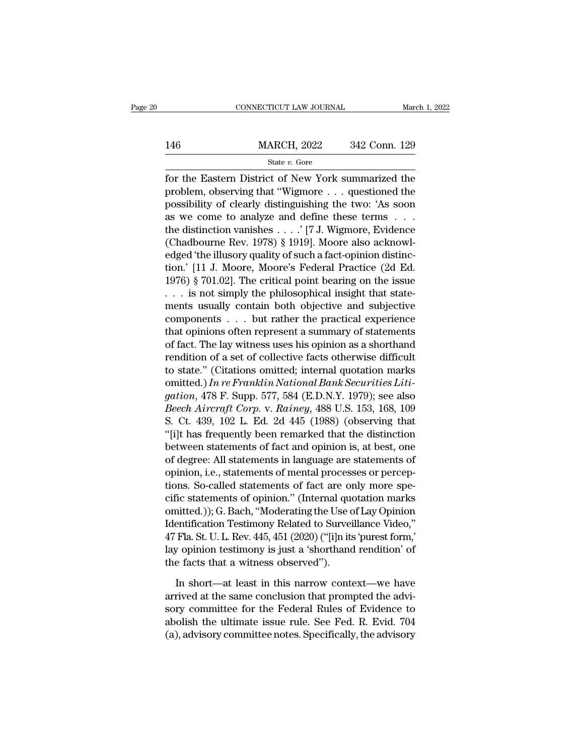### EXECUTE CONNECTICUT LAW JOURNAL March 1, 2022<br>146 MARCH, 2022 342 Conn. 129<br>146 State v. Gore State *v.* Gore

For the Eastern District of New York summarized the<br>
For the Eastern District of New York summarized the<br>
problem, observing that "Wigmore . . . questioned the<br>
proceibility of cloorly distinguished the two 'As soon 146 MARCH, 2022 342 Conn. 129<br>
State v. Gore<br>
for the Eastern District of New York summarized the<br>
problem, observing that "Wigmore . . . questioned the<br>
possibility of clearly distinguishing the two: 'As soon<br>
as we some 146 MARCH, 2022 342 Conn. 129<br>
State v. Gore<br>
for the Eastern District of New York summarized the<br>
problem, observing that "Wigmore . . . questioned the<br>
possibility of clearly distinguishing the two: 'As soon<br>
as we come 146 MARCH, 2022 342 Conn. 129<br>  $\frac{\text{State } v. \text{ Gore}}{\text{for the Eastern District of New York summarized the problem, observing that "Wigmore . . . questioned the possibility of clearly distinguishing the two: 'As soon as we come to analyze and define these terms . . . the distinction vanishes . . . ' [7 J. Wigmore, Evidence (Chedbouma Bar, 1078), $1010! Mozra also aclmow!$ State v. Gore<br>
for the Eastern District of New York summarized the<br>
problem, observing that "Wigmore . . . questioned the<br>
possibility of clearly distinguishing the two: 'As soon<br>
as we come to analyze and define these te State *b*. State<br>for the Eastern District of New York summarized the<br>problem, observing that "Wigmore . . . questioned the<br>possibility of clearly distinguishing the two: 'As soon<br>as we come to analyze and define these ter for the Eastern District of New York summarized the<br>problem, observing that "Wigmore . . . questioned the<br>possibility of clearly distinguishing the two: 'As soon<br>as we come to analyze and define these terms . . .<br>the dist problem, observing that "Wigmore . . . questioned the<br>possibility of clearly distinguishing the two: 'As soon<br>as we come to analyze and define these terms . . .<br>the distinction vanishes . . . . '[7 J. Wigmore, Evidence<br>(Ch possibility of clearly distinguishing the two: 'As soon<br>as we come to analyze and define these terms . . .<br>the distinction vanishes . . . .' [7 J. Wigmore, Evidence<br>(Chadbourne Rev. 1978) § 1919]. Moore also acknowl-<br>edge as we come to analyze and define these terms  $\ldots$  the distinction vanishes  $\ldots$  ' [7 J. Wigmore, Evidence (Chadbourne Rev. 1978) § 1919]. Moore also acknowledged 'the illusory quality of such a fact-opinion distinction. the distinction vanishes . . . . ' [7 J. Wigmore, Evidence<br>
(Chadbourne Rev. 1978) § 1919]. Moore also acknowl-<br>
edged 'the illusory quality of such a fact-opinion distinc-<br>
tion.' [11 J. Moore, Moore's Federal Practice ( (Chadbourne Rev. 1978) § 1919]. Moore also acknowledged 'the illusory quality of such a fact-opinion distinction.' [11 J. Moore, Moore's Federal Practice (2d Ed. 1976) § 701.02]. The critical point bearing on the issue  $\d$ edged 'the illusory quality of such a fact-opinion distinction.' [11 J. Moore, Moore's Federal Practice (2d Ed.<br>1976) § 701.02]. The critical point bearing on the issue<br>... is not simply the philosophical insight that stat tion.' [11 J. Moore, Moore's Federal Practice (2d Ed.<br>1976) § 701.02]. The critical point bearing on the issue<br>... is not simply the philosophical insight that state-<br>ments usually contain both objective and subjective<br>co 1976) § 701.02]. The critical point bearing on the issue<br>  $\ldots$  is not simply the philosophical insight that state-<br>
ments usually contain both objective and subjective<br>
components  $\ldots$  but rather the practical experienc ... is not simply the philosophical insight that state-<br>ments usually contain both objective and subjective<br>components ... but rather the practical experience<br>that opinions often represent a summary of statements<br>of fact. ments usually contain both objective and subjective<br>components . . . but rather the practical experience<br>that opinions often represent a summary of statements<br>of fact. The lay witness uses his opinion as a shorthand<br>rendit components . . . but rather the practical experience<br>that opinions often represent a summary of statements<br>of fact. The lay witness uses his opinion as a shorthand<br>rendition of a set of collective facts otherwise difficult that opinions often represent a summary of statements<br>of fact. The lay witness uses his opinion as a shorthand<br>rendition of a set of collective facts otherwise difficult<br>to state." (Citations omitted; internal quotation ma of fact. The lay witness uses his opinion as a shorthand<br>rendition of a set of collective facts otherwise difficult<br>to state." (Citations omitted; internal quotation marks<br>omitted.) In re Franklin National Bank Securities rendition of a set of collective facts otherwise difficult<br>to state." (Citations omitted; internal quotation marks<br>omitted.) In re Franklin National Bank Securities Liti-<br>gation, 478 F. Supp. 577, 584 (E.D.N.Y. 1979); see to state." (Citations omitted; internal quotation marks<br>
omitted.) In re Franklin National Bank Securities Liti-<br>
gation, 478 F. Supp. 577, 584 (E.D.N.Y. 1979); see also<br>
Beech Aircraft Corp. v. Rainey, 488 U.S. 153, 168, omitted.) In re Franklin National Bank Securities Liti-<br>gation, 478 F. Supp. 577, 584 (E.D.N.Y. 1979); see also<br>Beech Aircraft Corp. v. Rainey, 488 U.S. 153, 168, 109<br>S. Ct. 439, 102 L. Ed. 2d 445 (1988) (observing that<br>"[ gation, 478 F. Supp. 577, 584 (E.D.N.Y. 1979); see also<br>Beech Aircraft Corp. v. Rainey, 488 U.S. 153, 168, 109<br>S. Ct. 439, 102 L. Ed. 2d 445 (1988) (observing that<br>"[i]t has frequently been remarked that the distinction<br>be *Beech Aircraft Corp.* v. *Rainey*, 488 U.S. 153, 168, 109<br>S. Ct. 439, 102 L. Ed. 2d 445 (1988) (observing that<br>"[i]t has frequently been remarked that the distinction<br>between statements of fact and opinion is, at best, o S. Ct. 439, 102 L. Ed. 2d 445 (1988) (observing that<br>"[i]t has frequently been remarked that the distinction<br>between statements of fact and opinion is, at best, one<br>of degree: All statements in language are statements of<br>o "[1]t has frequently been remarked that the distinction<br>between statements of fact and opinion is, at best, one<br>of degree: All statements in language are statements of<br>opinion, i.e., statements of mental processes or perce between statements of fact and opinion is, at best, one<br>of degree: All statements in language are statements of<br>opinion, i.e., statements of mental processes or percep-<br>tions. So-called statements of fact are only more spe of degree: All statements in language are statements of<br>opinion, i.e., statements of mental processes or percep-<br>tions. So-called statements of fact are only more spe-<br>cific statements of opinion." (Internal quotation mark opinion, i.e., statements of mental processes or perceptions. So-called statements of fact are only more specific statements of opinion." (Internal quotation marks omitted.)); G. Bach, "Moderating the Use of Lay Opinion Id tions. So-called statements of fact are on<br>cific statements of opinion." (Internal que<br>omitted.)); G. Bach, "Moderating the Use c<br>Identification Testimony Related to Survei<br>47 Fla. St. U. L. Rev. 445, 451 (2020) ("[i]n its notatived.)); G. Bach, "Moderating the Use of Lay Opinion<br>
entification Testimony Related to Surveillance Video,"<br>
Fla. St. U. L. Rev. 445, 451 (2020) ("[i]n its 'purest form,"<br>
y opinion testimony is just a 'shorthand ren Identification Testimony Related to Surveillance Video,"<br>47 Fla. St. U. L. Rev. 445, 451 (2020) ("[i]n its 'purest form,'<br>lay opinion testimony is just a 'shorthand rendition' of<br>the facts that a witness observed").<br>In sho

47 Fla. St. U. L. Rev. 445, 451 (2020) ("[i]n its 'purest form,'<br>lay opinion testimony is just a 'shorthand rendition' of<br>the facts that a witness observed").<br>In short—at least in this narrow context—we have<br>arrived at th lay opinion testimony is just a 'shorthand rendition' of<br>the facts that a witness observed'').<br>In short—at least in this narrow context—we have<br>arrived at the same conclusion that prompted the advi-<br>sory committee for the the facts that a witness observed").<br>
In short—at least in this narrow context—we have<br>
arrived at the same conclusion that prompted the advi-<br>
sory committee for the Federal Rules of Evidence to<br>
abolish the ultimate issu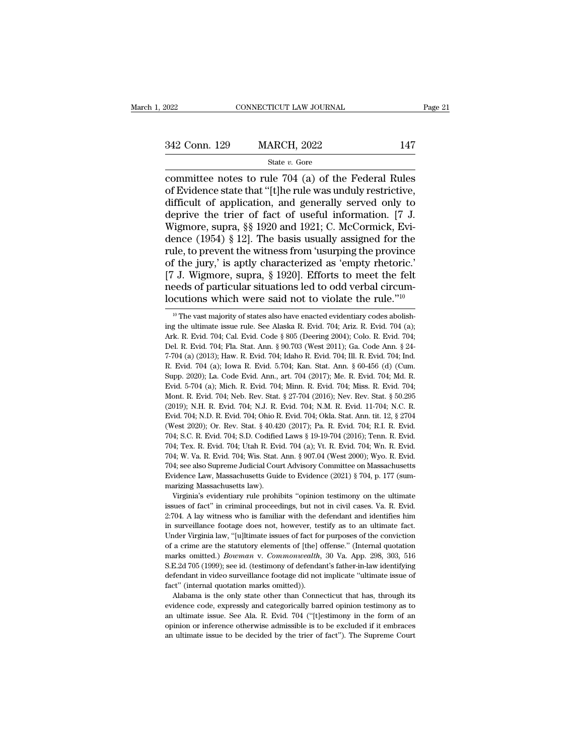# 342 Conn. 129 MARCH, 2022 <sup>147</sup>

### State *v.* Gore

committee notes to rule 704 (a) of the Federal Rules<br>difficult of application and generally served only to<br>difficult of application and generally served only to 342 Conn. 129 MARCH, 2022 147<br>
State v. Gore<br>
committee notes to rule 704 (a) of the Federal Rules<br>
of Evidence state that "[t]he rule was unduly restrictive,<br>
difficult of application, and generally served only to<br>
denri 342 Conn. 129 MARCH, 2022 147<br>
State v. Gore<br>
committee notes to rule 704 (a) of the Federal Rules<br>
of Evidence state that "[t]he rule was unduly restrictive,<br>
difficult of application, and generally served only to<br>
depri 342 Conn. 129 MARCH, 2022 147<br>
State v. Gore<br>
committee notes to rule 704 (a) of the Federal Rules<br>
of Evidence state that "[t]he rule was unduly restrictive,<br>
difficult of application, and generally served only to<br>
depri State v. Gore<br>
State v. Gore<br>
Committee notes to rule 704 (a) of the Federal Rules<br>
of Evidence state that "[t]he rule was unduly restrictive,<br>
difficult of application, and generally served only to<br>
deprive the trier of State v. Gore<br>
committee notes to rule 704 (a) of the Federal Rules<br>
of Evidence state that "[t]he rule was unduly restrictive,<br>
difficult of application, and generally served only to<br>
deprive the trier of fact of useful committee notes to rule 704 (a) of the Federal Rules<br>of Evidence state that "[t]he rule was unduly restrictive,<br>difficult of application, and generally served only to<br>deprive the trier of fact of useful information. [7 J.<br> of Evidence state that "[t]he rule was unduly restrictive,<br>difficult of application, and generally served only to<br>deprive the trier of fact of useful information. [7 J.<br>Wigmore, supra, §§ 1920 and 1921; C. McCormick, Evi-<br> difficult of application, and generally served only to<br>deprive the trier of fact of useful information. [7 J.<br>Wigmore, supra, §§ 1920 and 1921; C. McCormick, Evi-<br>dence (1954) § 12]. The basis usually assigned for the<br>rule deprive the trier of fact of useful information. [7 J. Wigmore, supra, §§ 1920 and 1921; C. McCormick, Evidence (1954) § 12]. The basis usually assigned for the rule, to prevent the witness from 'usurping the province of Wigmore, supra, §§ 1920 and 1921; C. McCormick, Evidence (1954) § 12]. The basis usually assigned for the rule, to prevent the witness from 'usurping the province of the jury,' is aptly characterized as 'empty rhetoric.' <sup>1</sup> I. Wigmore, supra, § 1920]. Efforts to meet the felt eeds of particular situations led to odd verbal circumcutions which were said not to violate the rule.<sup>710</sup><br><sup>10</sup> The vast majority of states also have enacted evide [7 J. Wigmore, supra, § 1920]. Efforts to meet the felt needs of particular situations led to odd verbal circum-<br>locutions which were said not to violate the rule."<sup>10</sup><br><sup>10</sup> The vast majority of states also have enacted e

needs of particular situations led to odd verbal circum-<br>locutions which were said not to violate the rule."<sup>10</sup><br><sup>10</sup> The vast majority of states also have enacted evidentiary codes abolishing the ultimate issue rule. See Iocutions which were said not to violate the rule."<sup>10</sup><br><sup>10</sup> The vast majority of states also have enacted evidentiary codes abolishing the ultimate issue rule. See Alaska R. Evid. 704; Ariz. R. Evid. 704 (a); Ark. R. Evid 10 CULTOITS WHICH WEFE SAID HOT UO VIOTALE LITE TUIE.<br>
<sup>10</sup> The vast majority of states also have enacted evidentiary codes abolishing the ultimate issue rule. See Alaska R. Evid. 704; Ariz. R. Evid. 704; Ark. R. Evid. 704 <sup>10</sup> The vast majority of states also have enacted evidentiary codes abolishing the ultimate issue rule. See Alaska R. Evid. 704; Ariz. R. Evid. 704; Ark. R. Evid. 704; Cal. Evid. Code § 805 (Deering 2004); Colo. R. Evid. 10. 2020); La. Code Evid. Ann., art. 704 (2017); Me. R. Evid. 704; Me. Evid. 704; Me. Evid. 704; Cal. Evid. 704; Fla. Stat. Ann. § 90.703 (West 2011); Ga. Code Ann. § 24-7-704 (a) (2013); Haw. R. Evid. 704; Idaho R. Evid. Ark. R. Evid. 704; Cal. Evid. Code § 805 (Deering 2004); Colo. R. Evid. 704; Del. R. Evid. 704; Fla. Stat. Ann. § 90.703 (West 2011); Ga. Code Ann. § 24-7-704 (a) (2013); Haw. R. Evid. 704; Idaho R. Evid. 704; Ill. R. Evid Del. R. Evid. 704; Fla. Stat. Ann. § 90.703 (West 2011); Ga. Code Ann. § 24-7-704 (a) (2013); Haw. R. Evid. 704; Idaho R. Evid. 704; Ill. R. Evid. 704; Ind. R. Evid. 704 (a); Iowa R. Evid. 5.704; Kan. Stat. Ann. § 60-456 ( 7-704 (a) (2013); Haw. R. Evid. 704; Idaho R. Evid. 704; Ill. R. Evid. 704; Ind. R. Evid. 704 (a); Iowa R. Evid. 5.704; Kan. Stat. Ann. § 60-456 (d) (Cum. Supp. 2020); La. Code Evid. Ann., art. 704 (2017); Me. R. Evid. 704 F. Evid. 704; N.D. R. Evid. 704; N.J. R. Evid. 704; Okla. Stat. Ann. itt. 12, § 2704<br>(West 2020); La. Code Evid. Ann., art. 704 (2017); Me. R. Evid. 704; Md. R.<br>Evid. 5-704 (a); Mich. R. Evid. 704; Minn. R. Evid. 704; Miss Supp. 2020); La. Code Evid. Ann., art. 704 (2017); Me. R. Evid. 704; Md. R. Evid. 5-704 (a); Mich. R. Evid. 704; Minn. R. Evid. 704; Miss. R. Evid. 704; Mont. R. Evid. 704; Neb. Rev. Stat. § 27-704 (2016); Nev. Rev. Stat. Evid. 5-704 (a); Mich. R. Evid. 704; Minn. R. Evid. 704; Miss. R. Evid. 704; Nont. R. Evid. 704; Neb. Rev. Stat. § 27-704 (2016); Nev. Rev. Stat. § 50.295 (2019); N.H. R. Evid. 704; N.J. R. Evid. 704; N.M. R. Evid. 11-704; Mont. R. Evid. 704; Neb. Rev. Stat. § 27-704 (2016); Nev. Rev. Stat. § 50.295 (2019); N.H. R. Evid. 704; N.J. R. Evid. 704; N.M. R. Evid. 11-704; N.C. R. Evid. 704; N.D. R. Evid. 704; Ohio R. Evid. 704; Okla. Stat. Ann. ti (2019); N.H. R. Evid. 704; N.J. R. Evid. 704; N.M. R. Evid. 11-704; N.C. R. Evid. 704; N.D. R. Evid. 704; N.J. R. Evid. 704; N.M. R. Evid. 11-704; N.C. R. Evid. 704; N.D. R. Evid. 704; Ohio R. Evid. 704; Okla. Stat. Ann. t Evid. 704; N.D. R. Evid. 704; Ohio R. Evid. 704; Okla. Stat. Ann. tit. 12, § 2704 (West 2020); Or. Rev. Stat. § 40.420 (2017); Pa. R. Evid. 704; R.I. R. Evid. 704; S.C. R. Evid. 704; S.D. Codified Laws § 19-19-704 (2016); (West 2020); Or. Rev. Stat. § 40.420 (2017); Pa. R. Evid. 704; R.I. R. Evid. 704; S.C. R. Evid. 704; S.D. Codified Laws § 19-19-704 (2016); Tenn. R. Evid. 704; Tex. R. Evid. 704; Utah R. Evid. 704 (a); Vt. R. Evid. 704; Wn 704; S.C. R. Evid. 704; S.D. Codified Laws § 19-19-704 (2016); Tenn. R. Evid. 704; Tex. R. Evid. 704; Utah R. Evid. 704 (a); Vt. R. Evid. 704; Wn. R. Evid. 704; W. Va. R. Evid. 704; Wis. Stat. Ann. § 907.04 (West 2000); W 4; Tex. R. Evid. 704; Utah R. Evid. 704 (a); Vt. R. Evid. 704; Wn. R. Evid. 4; W. Va. R. Evid. 704; Wis. Stat. Ann. § 907.04 (West 2000); Wyo. R. Evid. 4; w. Va. R. Evid. 704; Wis. Stat. Ann. § 907.04 (West 2000); Wyo. R. 704; W. Va. R. Evid. 704; Wis. Stat. Ann. § 907.04 (West 2000); Wyo. R. Evid. 704; see also Supreme Judicial Court Advisory Committee on Massachusetts Evidence Law, Massachusetts Guide to Evidence (2021) § 704, p. 177 (su

204; see also Supreme Judicial Court Advisory Committee on Massachusetts Evidence Law, Massachusetts Guide to Evidence (2021) § 704, p. 177 (summarizing Massachusetts law).<br>
Virginia's evidentiary rule prohibits "opinion in surveillance footage does not, however, testify as to an ultimate fact. The surveillance fact and the sissues of fact" in criminal proceedings, but not in civil cases. Va. R. Evid. 2:704. A lay witness who is familiar w The marizing Massachusetts law).<br>
Wirginia's evidentiary rule prohibits "opinion testimony on the ultimate<br>
issues of fact" in criminal proceedings, but not in civil cases. Va. R. Evid.<br>
2:704. A lay witness who is familia Virginia's evidentiary rule prohibits "opinion testimony on the ultimate issues of fact" in criminal proceedings, but not in civil cases. Va. R. Evid. 2:704. A lay witness who is familiar with the defendant and identifies issues of fact" in criminal proceedings, but not in civil cases. Va. R. Evid. 2:704. A lay witness who is familiar with the defendant and identifies him in surveillance footage does not, however, testify as to an ultimate 2:704. A lay witness who is familiar with the defendant and identifies him<br>in surveillance footage does not, however, testify as to an ultimate fact.<br>Under Virginia law, "[u]ltimate issues of fact for purposes of the conv in surveillance footage does not, however, testify as to an ultimate fact.<br>Under Virginia law, "[u]ltimate issues of fact for purposes of the conviction<br>of a crime are the statutory elements of [the] offense." (Internal qu Fraction Under Virginia law, "[u]]<br>timate issues of fact for of a crime are the statutory elements of [the] c marks omitted.) *Bowman* v. *Commonwealth*,  $S.E.2d 705 (1999)$ ; see id. (testimony of defendader defendant in vi a crime are the statutory elements of [the] offense." (Internal quotation arks omitted.) *Bowman* v. *Commonwealth*, 30 Va. App. 298, 303, 516 E.2d 705 (1999); see id. (testimony of defendant's father-in-law identifying fe evidence code, expressly and categorically barred virtual quotation and marks omitted.) *Bowman* v. *Commonwealth*, 30 Va. App. 298, 303, 516 S.E.2d 705 (1999); see id. (testimony of defendant's father-in-law identifying d

an ultimate issue. See Ala. R. Evid. 704 ("[t]estimony in the form of an ultimate issue of fact" (internal quotation marks omitted)).<br>Alabama is the only state other than Connecticut that has, through its evidence code, ex S.E.2d 705 (1999); see id. (testimony of defendant's father-in-law identifying defendant in video surveillance footage did not implicate "ultimate issue of fact" (internal quotation marks omitted)). Alabama is the only st evidence code, expressly and categorically barred opinion testimony as to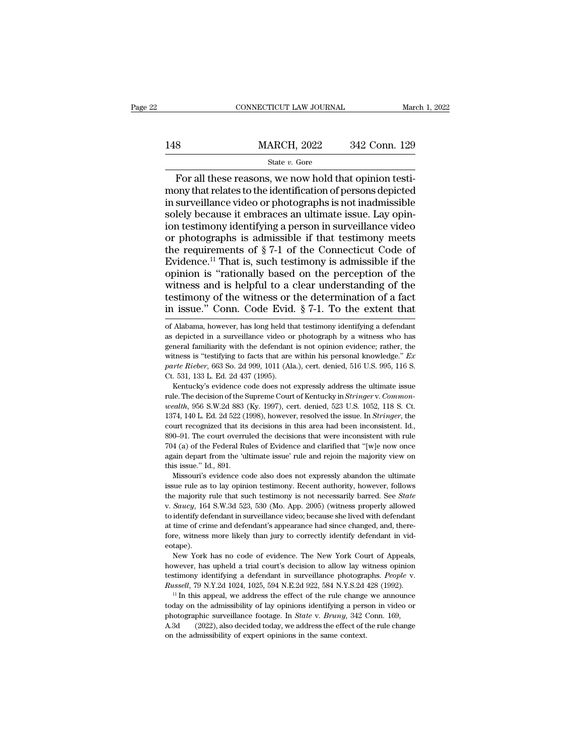# EXECUTE CONNECTICUT LAW JOURNAL March 1, 2022<br>148 MARCH, 2022 342 Conn. 129<br>148 State v. Gore

### State *v.* Gore

For all these reasons, we now hold that opinion testi-<br>
For all these reasons, we now hold that opinion testi-<br>
For all these reasons, we now hold that opinion testi-<br>
Surveillance video or photographs is not inadmissible  $\begin{tabular}{ll} \hline & \multicolumn{1}{l}{{\bf MACH, 2022}} & \multicolumn{1}{l}{342}\,\,{\bf Conn.}\,\, 129 \\ & \multicolumn{1}{l}{\bf Star~E.}\,\, 6ore \\ \hline \hline \end{tabular} \label{thm:29} \begin{tabular}{l} For all these reasons, we now hold that opinion testi-  
mony that relates to the identification of persons depicted  
in surveillance video or photographs is not inadmissible  
solelv because it enhances an ultimate issue. Law onin-$ 148 MARCH, 2022 342 Conn. 129<br>
State v. Gore<br>
For all these reasons, we now hold that opinion testi-<br>
mony that relates to the identification of persons depicted<br>
in surveillance video or photographs is not inadmissible<br>  $\begin{array}{ll}\n & \text{MARCH, 2022} & \text{342 Conn. 129} \\
 & \text{State } v. \text{ Gore} \\
 \hline\n\end{array}$ For all these reasons, we now hold that opinion testimony that relates to the identification of persons depicted in surveillance video or photographs is not in For all these reasons, we now hold that opinion testimony that relates to the identification of persons depicted<br>in surveillance video or photographs is not inadmissible<br>solely because it embraces an ultimate issue. Lay o State *v*. Gore<br>
For all these reasons, we now hold that opinion testi-<br>
mony that relates to the identification of persons depicted<br>
in surveillance video or photographs is not inadmissible<br>
solely because it embraces an For all these reasons, we now hold that opinion testi-<br>mony that relates to the identification of persons depicted<br>in surveillance video or photographs is not inadmissible<br>solely because it embraces an ultimate issue. Lay mony that relates to the identification of persons depicted<br>in surveillance video or photographs is not inadmissible<br>solely because it embraces an ultimate issue. Lay opin-<br>ion testimony identifying a person in surveillan in surveillance video or photographs is not inadmissible<br>solely because it embraces an ultimate issue. Lay opin-<br>ion testimony identifying a person in surveillance video<br>or photographs is admissible if that testimony meet solely because it embraces an ultimate issue. Lay opin-<br>ion testimony identifying a person in surveillance video<br>or photographs is admissible if that testimony meets<br>the requirements of  $\S 7-1$  of the Connecticut Code of<br> the metallic state of the witness or the determination testimony identifying a person in surveillance video or photographs is admissible if that testimony meets the requirements of  $\S 7-1$  of the Connecticut Code of Evide For industry and is admissible if that testimony meets<br>the requirements of  $\S$  7-1 of the Connecticut Code of<br>Evidence.<sup>11</sup> That is, such testimony is admissible if the<br>opinion is "rationally based on the perception of th opinion is "rationally based on the perception of the witness and is helpful to a clear understanding of the testimony of the witness or the determination of a fact in issue." Conn. Code Evid. § 7-1. To the extent that of witness and is helpful to a clear understanding of the testimony of the witness or the determination of a fact<br>in issue." Conn. Code Evid. § 7-1. To the extent that<br>of Alabama, however, has long held that testimony identif

testimony of the witness or the determination of a fact<br>in issue." Conn. Code Evid. § 7-1. To the extent that<br>of Alabama, however, has long held that testimony identifying a defendant<br>as depicted in a surveillance video o in issue." Conn. Code Evid. § 7-1. To the extent that  $\sigma$  falabama, however, has long held that testimony identifying a defendant as depicted in a surveillance video or photograph by a witness who has general familiarity *parte Rieber*, 663 So. 2d 999, 1011 (Ala.), cert. denied, 516 U.S. 995, 116 S. Ct. 531, 133 L. Ed. 2d 437 (1995). % of Alabama, however, has long held that testimony identifying a defendant as depicted in a surveillance video or photograph by a witness who has general familiarity with the defendant is not opinion evidence; rather, th rapided in a surveillance video or photograph by a witness who has<br>depicted in a surveillance video or photograph by a witness who has<br>neral familiarity with the defendant is not opinion evidence; rather, the<br>thess is "te

general familiarity with the defendant is not opinion evidence; rather, the witness is "testifying to facts that are within his personal knowledge." *Ex* parte Rieber, 663 So. 2d 999, 1011 (Ala.), cert. denied, 516 U.S. 99 *wealths* is "testifying to facts that are within his personal knowledge." *Ex* parte Rieber, 663 So. 2d 999, 1011 (Ala.), cert. denied, 516 U.S. 995, 116 S. Ct. 531, 133 L. Ed. 2d 437 (1995).<br> *Kentucky's* evidence code d nate Rieber, 663 So. 2d 999, 1011 (Ala.), cert. denied, 516 U.S. 995, 116 S.<br>Ct. 531, 133 L. Ed. 2d 437 (1995).<br>Kentucky's evidence code does not expressly address the ultimate issue<br>rule. The decision of the Supreme Court Ct. 531, 133 L. Ed. 2d 437 (1995).<br>
Ct. 531, 133 L. Ed. 2d 437 (1995).<br>
Kentucky's evidence code does not expressly address the ultimate issue<br>
rule. The decision of the Supreme Court of Kentucky in *Stringer* v. *Common-*Example 1. The court overcess of expressly address the ultimate issue<br>rule. The decision of the Supreme Court of Kentucky in *Stringer v. Common-<br>wealth*, 956 S.W.2d 883 (Ky. 1997), cert. denied, 523 U.S. 1052, 118 S. Ct.<br> rule. The decision of the Supreme Court of Kentucky in *Stringer* v. Common-<br>wealth, 956 S.W.2d 883 (Ky. 1997), cert. denied, 523 U.S. 1052, 118 S. Ct.<br>1374, 140 L. Ed. 2d 522 (1998), however, resolved the issue. In *Strin* and the 'ultimate' issue. The 'ultimate' reformation to the search of the search of the search of the court recognized that its decisions in this area had been inconsistent. Id., 890–91. The court overruled the decisions t 1374, 140 L. Ed. 2d 522 (1<br>court recognized that its<br>890–91. The court overru<br>704 (a) of the Federal Ru<br>again depart from the 'ul<br>this issue." Id., 891.<br>Missouri's evidence co For the constant in the decisions in this area had been inconsistent. Id., 0–91. The court overruled the decisions that were inconsistent with rule 4 (a) of the Federal Rules of Evidence and clarified that "[w]e now once s90–91. The court overruled the decisions that were inconsistent with rule 704 (a) of the Federal Rules of Evidence and clarified that "[w]e now once again depart from the 'ultimate issue' rule and rejoin the majority vie

To a majority rule that such testimony is not necessarily barrel. The majority view on this issue." Id., 891.<br>
Missouri's evidence code also does not expressly abandon the ultimate<br>
issue rule as to lay opinion testimony. this issue." Id., 891.<br>
Missouri's evidence code also does not expressly abandon the ultimate<br>
issue rule as to lay opinion testimony. Recent authority, however, follows<br>
the majority rule that such testimony is not necess Missouri's evidence code also does not expressly abandon the ultimate<br>issue rule as to lay opinion testimony. Recent authority, however, follows<br>the majority rule that such testimony is not necessarily barred. See *State*<br> for the majority rule as to lay opinion testimony. Recent authority, however, follows<br>the majority rule that such testimony is not necessarily barred. See *State*<br>v. *Saucy*, 164 S.W.3d 523, 530 (Mo. App. 2005) (witness p eotape). the majority rule that such testimony is not necessarily barred. See *State* v. *Saucy*, 164 S.W.3d 523, 530 (Mo. App. 2005) (witness properly allowed to identify defendant in surveillance video; because she lived with de to identify defendant in surveillance video; because she lived with defendant at time of crime and defendant's appearance had since changed, and, therefore, witness more likely than jury to correctly identify defendant in

at time of crime and defendant's appearance had since changed, and, therefore, witness more likely than jury to correctly identify defendant in videotape).<br>
New York has no code of evidence. The New York Court of Appeals, New York has no code of evidence. The New York Court of Appeals,<br>however, has upheld a trial court's decision to allow lay witness opinion<br>testimony identifying a defendant in surveillance photographs. *People* v.<br>*Russell* 

however, has upheld a trial court's decision to allow lay witness opinion<br>testimony identifying a defendant in surveillance photographs. *People* v.<br>*Russell*, 79 N.Y.2d 1024, 1025, 594 N.E.2d 922, 584 N.Y.S.2d 428 (1992). Existency identifying a defendant in surveillance photographs. *People v.* Russell, 79 N.Y.2d 1024, 1025, 594 N.E.2d 922, 584 N.Y.S.2d 428 (1992).<br>
<sup>11</sup> In this appeal, we address the effect of the rule change we announce *Russell,* 79 N.Y.2d 1024, 1025, 594 N.E.2d 922, 584 N.Y.S.2d 428 (1992).<br><sup>11</sup> In this appeal, we address the effect of the rule change we announce today on the admissibility of lay opinions identifying a person in video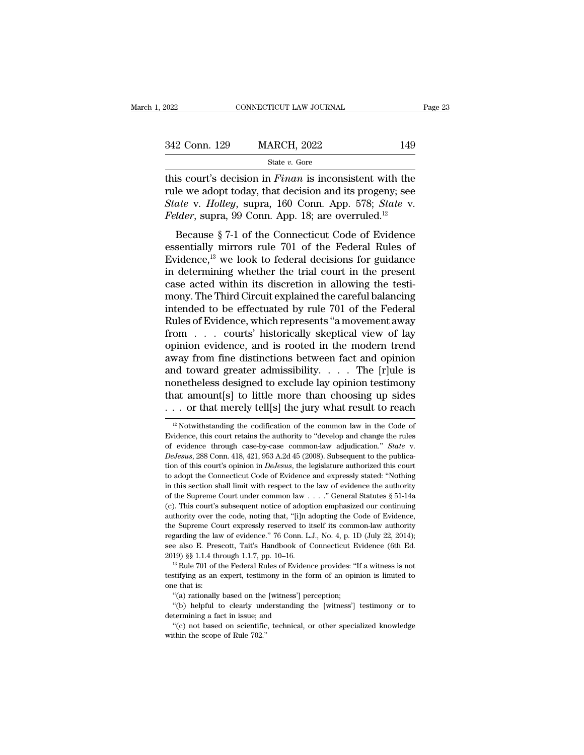| 2022          | CONNECTICUT LAW JOURNAL |     | Page 23 |
|---------------|-------------------------|-----|---------|
| 342 Conn. 129 | <b>MARCH, 2022</b>      | 149 |         |
|               | State $v$ . Gore        |     |         |

the connective connective connective transformation of the court's decision in *Finan* is inconsistent with the court's decision in *Finan* is inconsistent with the court's decision in *Finan* is inconsistent with the cour 342 Conn. 129 MARCH, 2022 149<br>
State v. Gore<br>
this court's decision in *Finan* is inconsistent with the<br>
rule we adopt today, that decision and its progeny; see<br>
State v. Holley, supra, 160 Conn. App. 578; State v.<br>
Felde *SA2* Conn. 129 MARCH, 2022 149<br> *State v. Gore*<br> *State v. Gore*<br> *Holley* decision in *Finan* is inconsistent with the<br>
rule we adopt today, that decision and its progeny; see<br> *State* v. *Holley*, supra, 160 Conn. App. <sup>Felder</sup>, 2022 149<br> *Felis court's decision in Finan is inconsistent with the*<br>
rule we adopt today, that decision and its progeny; see<br> *Felder*, supra, 99 Conn. App. 18; are overruled.<sup>12</sup><br> *Felder*, supra, 99 Conn. App. State *v*. Gore<br>
is court's decision in *Finan* is inconsistent with the<br>
le we adopt today, that decision and its progeny; see<br> *ate* v. *Holley*, supra, 160 Conn. App. 578; *State* v.<br> *lder*, supra, 99 Conn. App. 18; a this court's decision in *Finan* is inconsistent with the<br>rule we adopt today, that decision and its progeny; see<br>*State* v. *Holley*, supra, 160 Conn. App. 578; *State* v.<br>*Felder*, supra, 99 Conn. App. 18; are overruled

Figure 1. Figure 1.1 and the reaction in Figure 1.1 and the reader v. Holley, supra, 160 Conn. App. 578; *State* v. Felder, supra, 99 Conn. App. 18; are overruled.<sup>12</sup><br>Because § 7-1 of the Connecticut Code of Evidence ess Find we adopt today, that decision and its progenty, see<br>State v. Holley, supra, 160 Conn. App. 578; State v.<br>Felder, supra, 99 Conn. App. 18; are overruled.<sup>12</sup><br>Because § 7-1 of the Connecticut Code of Evidence<br>essential Example v. Trottey, supra, 100 Comt. App. 910, Batte v.<br>Felder, supra, 99 Conn. App. 18; are overruled.<sup>12</sup><br>Because § 7-1 of the Connecticut Code of Evidence<br>essentially mirrors rule 701 of the Federal Rules of<br>Evidence,<sup></sup> Feater, supra, 55 Conn. App. 10, are overrured.<br>
Because § 7-1 of the Connecticut Code of Evidence<br>
essentially mirrors rule 701 of the Federal Rules of<br>
Evidence,<sup>13</sup> we look to federal decisions for guidance<br>
in determi Because § 7-1 of the Connecticut Code of Evidence<br>essentially mirrors rule 701 of the Federal Rules of<br>Evidence,<sup>13</sup> we look to federal decisions for guidance<br>in determining whether the trial court in the present<br>case act essentially mirrors rule 701 of the Federal Rules of<br>Evidence,<sup>13</sup> we look to federal decisions for guidance<br>in determining whether the trial court in the present<br>case acted within its discretion in allowing the testi-<br>mon Evidence,<sup>13</sup> we look to federal decisions for guidance<br>in determining whether the trial court in the present<br>case acted within its discretion in allowing the testi-<br>mony. The Third Circuit explained the careful balancing in determining whether the trial court in the present<br>case acted within its discretion in allowing the testi-<br>mony. The Third Circuit explained the careful balancing<br>intended to be effectuated by rule 701 of the Federal<br>Ru case acted within its discretion in allowing the testi-<br>mony. The Third Circuit explained the careful balancing<br>intended to be effectuated by rule 701 of the Federal<br>Rules of Evidence, which represents "a movement away<br>fr mony. The Third Circuit explained the careful balancing<br>intended to be effectuated by rule 701 of the Federal<br>Rules of Evidence, which represents "a movement away<br>from . . . courts' historically skeptical view of lay<br>opin intended to be effectuated by rule 701 of the Federal<br>Rules of Evidence, which represents "a movement away<br>from . . . courts' historically skeptical view of lay<br>opinion evidence, and is rooted in the modern trend<br>away fro Rules of Evidence, which represents "a movement away<br>from . . . courts' historically skeptical view of lay<br>opinion evidence, and is rooted in the modern trend<br>away from fine distinctions between fact and opinion<br>and towar from . . . courts' historically skeptical view of lay<br>opinion evidence, and is rooted in the modern trend<br>away from fine distinctions between fact and opinion<br>and toward greater admissibility. . . . The [r]ule is<br>nonethel 12 Notwithstanding the codification of the common law in the Code of vidence, this court retains the authority to "develop and change the rules" in the code of vidence, this court retains the authority to "develop and cha monetheless designed to exclude lay opinion testimony<br>that amount[s] to little more than choosing up sides<br>... or that merely tell[s] the jury what result to reach<br> $\frac{12}{}$ Notwithstanding the codification of the common l

that amount[s] to little more than choosing up sides<br> $\cdots$  or that merely tell[s] the jury what result to reach<br> $\frac{12}{12}$ Notwithstanding the codification of the common-law in the Code of<br>Evidence, this court retains the <sup>12</sup> Notwithstanding the codification of the common law in the Code of Evidence, this court retains the authority to "develop and change the rules of evidence through case-by-case common-law adjudication." *State* v. *DeJ* <sup>12</sup> Notwithstanding the codification of the common law in the Code of Evidence, this court retains the authority to "develop and change the rules of evidence through case-by-case common-law adjudication." *State* v. *DeJ* Evidence, this court retains the authority to "develop and change the rules of evidence through case-by-case common-law adjudication." *State* v. *DeJesus*, 288 Conn. 418, 421, 953 A.2d 45 (2008). Subsequent to the public of evidence through case-by-case common-law adjudication." *State* v. *DeJesus*, 288 Conn. 418, 421, 953 A.2d 45 (2008). Subsequent to the publication of this court's opinion in *DeJesus*, the legislature authorized this DeJesus, 288 Conn. 418, 421, 953 A.2d 45 (2008). Subsequent to the publication of this court's opinion in *DeJesus*, the legislature authorized this court to adopt the Connecticut Code of Evidence and expressly stated: "N authority of this court's opinion in *DeJesus*, the legislature authorized this court<br>to adopt the Connecticut Code of Evidence and expressly stated: "Nothing<br>in this section shall limit with respect to the law of evidenc to adopt the Connecticut Code of Evidence and expressly stated: "Nothing in this section shall limit with respect to the law of evidence the authority of the Supreme Court under common law  $\ldots$ ." General Statutes § 51-14 in this section shall limit with respect to the law of evidence the authority of the Supreme Court under common law . . . ." General Statutes  $\S 51-14a$  (c). This court's subsequent notice of adoption emphasized our conti see also E. Prescott, Tait's Handbook of Connecticut Evidence (6th Ed. 2019) §§ 1.1.4 through 1.1.7, pp. 10–16.<br>This weak also E. Prescott, Tait's Handbook of Connecticut Evidence, the Supreme Court expressly reserved to i 2019) S§ 1.1.4 through 1.1.7, pp. 10–16. <sup>13</sup> Rule 701 of the Federal Rules of Evidence, the Supreme Court expressly reserved to itself its common-law authority regarding the law of evidence." 76 Conn. L.J., No. 4, p. 1D the Supreme Court expressly reserved to itself its common-law authority regarding the law of evidence." 76 Conn. L.J., No. 4, p. 1D (July 22, 2014); see also E. Prescott, Tait's Handbook of Connecticut Evidence (6th Ed. 20 regarding the lave<br>ee also E. Pres<br>2019) §§ 1.1.4 th<br><sup>13</sup> Rule 701 of t<br>testifying as an<br>one that is:<br>"(a) rationally

see also E. Prescott, Tait's Handbook of Connecticut Evidence (6th Ed. 2019) §§ 1.1.4 through 1.1.7, pp. 10–16.<br><sup>13</sup> Rule 701 of the Federal Rules of Evidence provides: "If a witness is not testifying as an expert, testim <sup>19</sup> 10) §§ 1.1.4 through 1.1.7, pp. 10–16.<br>
<sup>19</sup> New 2010 of the Federal Rules of Evidence provides: "If a witness is not<br>
<sup>19</sup> Rule 701 of the Federal Rules of Evidence provides: "If a witness is not<br>
stifying as an expe testifying as an expert, testimony in the form of an opinion is limited to<br>one that is:<br>"(a) rationally based on the [witness'] perception;<br>"(b) helpful to clearly understanding the [witness'] testimony or to<br>determining <sup>2</sup><br>
"It if the statistifying as an expert, testimony in the form of an opinion is limited to<br>
e that is:<br>
"(a) rationally based on the [witness'] perception;<br>
"(b) helpful to clearly understanding the [witness'] testimony

<sup>&</sup>quot;(a) rationally based on the [witness'] perception;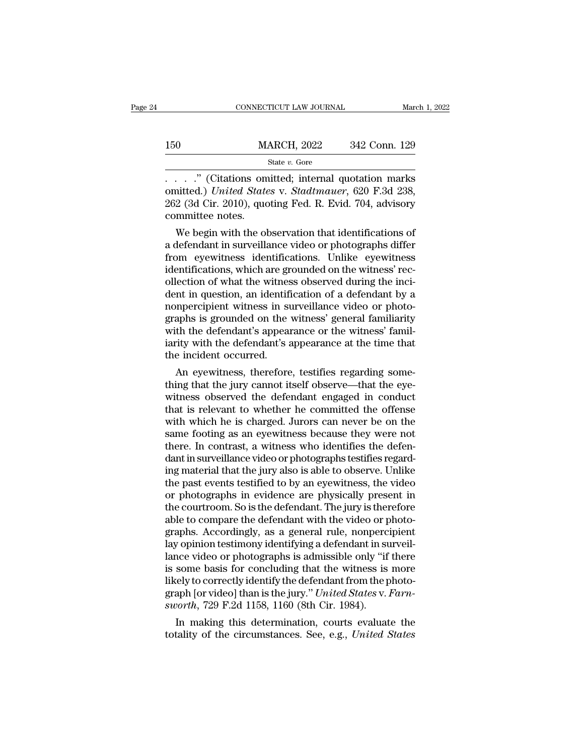|     | CONNECTICUT LAW JOURNAL | March 1, 2022 |
|-----|-------------------------|---------------|
|     |                         |               |
| 150 | <b>MARCH, 2022</b>      | 342 Conn. 129 |
|     | State $v$ . Gore        |               |

CONNECTICUT LAW JOURNAL March 1, 2022<br>
150 MARCH, 2022 342 Conn. 129<br>
5tate v. Gore<br>
......" (Citations omitted; internal quotation marks<br>
omitted.) United States v. Stadtmauer, 620 F.3d 238,<br>
262 (24 Cir. 2010) quoting Eo MARCH, 2022 342 Conn. 129<br>
State v. Gore<br>
....." (Citations omitted; internal quotation marks<br>
omitted.) *United States* v. *Stadtmauer*, 620 F.3d 238,<br>
262 (3d Cir. 2010), quoting Fed. R. Evid. 704, advisory<br>
committee no 262 (3d Cir. 2010), and Fed. R. Evid. 704, advisory<br>
262 (3d Cir. 2010), quoting Fed. R. Evid. 704, advisory<br>
262 (3d Cir. 2010), quoting Fed. R. Evid. 704, advisory<br>
262 (3d Cir. 2010), quoting Fed. R. Evid. 704, advisor M.<br>
150 M.<br>
160 M.<br>
262 (Citations on omitted.) United State<br>
262 (3d Cir. 2010), quo<br>
262 (committee notes.<br>
We begin with the ol State v. Gore<br>
We begin with the observation of the observations of<br>
2. (3d Cir. 2010), quoting Fed. R. Evid. 704, advisory<br>
2. (3d Cir. 2010), quoting Fed. R. Evid. 704, advisory<br>
2. We begin with the observation that id  $\ldots$  ... ." (Citations omitted; internal quotation marks omitted.) *United States v. Stadtmauer*, 620 F.3d 238, 262 (3d Cir. 2010), quoting Fed. R. Evid. 704, advisory committee notes.<br>We begin with the observation that

From eyewithesis omitted; internal quotation marks<br>comitted.) United States v. Stadtmauer, 620 F.3d 238,<br>262 (3d Cir. 2010), quoting Fed. R. Evid. 704, advisory<br>committee notes.<br>We begin with the observation that identifi omitted.) *United States v. Staatmauer*, 620 F.3d 238,<br>262 (3d Cir. 2010), quoting Fed. R. Evid. 704, advisory<br>committee notes.<br>We begin with the observation that identifications of<br>a defendant in surveillance video or pho  $202$  (3d CIr.  $2010$ ), quoting Fed. R. EVId.  $704$ , advisory<br>committee notes.<br>We begin with the observation that identifications of<br>a defendant in surveillance video or photographs differ<br>from eyewitness identifications. commutee notes.<br>
We begin with the observation that identifications of<br>
a defendant in surveillance video or photographs differ<br>
from eyewitness identifications. Unlike eyewitness<br>
identifications, which are grounded on th We begin with the observation that identifications of<br>a defendant in surveillance video or photographs differ<br>from eyewitness identifications. Unlike eyewitness<br>identifications, which are grounded on the witness' rec-<br>olle a defendant in surveillance video or photographs differ<br>from eyewitness identifications. Unlike eyewitness<br>identifications, which are grounded on the witness' rec-<br>ollection of what the witness observed during the inci-<br>de from eyewitness identifications. Unlike eyewitness<br>identifications, which are grounded on the witness' rec-<br>ollection of what the witness observed during the inci-<br>dent in question, an identification of a defendant by a<br>no identifications, which are grounded on the witness' rec-<br>ollection of what the witness observed during the inci-<br>dent in question, an identification of a defendant by a<br>nonpercipient witness in surveillance video or photoollection of what the witnes<br>dent in question, an identifi<br>nonpercipient witness in st<br>graphs is grounded on the<br>with the defendant's appear<br>iarity with the defendant's a<br>the incident occurred.<br>An eyewitness, therefore In the question, an identification of a defendant by a<br>impercipient witness in surveillance video or photo-<br>aphs is grounded on the witness' general familiarity<br>th the defendant's appearance at the time that<br>e incident occ monpercipient witness in surveillance video or photographs is grounded on the witness' general familiarity<br>with the defendant's appearance or the witness' familiarity<br>with the defendant's appearance at the time that<br>the in

graphs is grounded on the witness general ramifiarity<br>with the defendant's appearance or the witness' famil-<br>iarity with the defendant's appearance at the time that<br>the incident occurred.<br>An eyewitness, therefore, testifie with the defendant's appearance or the witness ramiliarity with the defendant's appearance at the time that<br>the incident occurred.<br>An eyewitness, therefore, testifies regarding some-<br>thing that the jury cannot itself obser rarity with the defendant s appearance at the time that<br>the incident occurred.<br>An eyewitness, therefore, testifies regarding some-<br>thing that the jury cannot itself observe—that the eye-<br>witness observed the defendant enga In experiment occurred.<br>
An eyewitness, therefore, testifies regarding something that the jury cannot itself observe—that the eyewitness observed the defendant engaged in conduct<br>
that is relevant to whether he committed t An eyewitness, therefore, testifies regarding something that the jury cannot itself observe—that the eyewitness observed the defendant engaged in conduct that is relevant to whether he committed the offense with which he i thing that the jury cannot itself observe—that the eye-<br>witness observed the defendant engaged in conduct<br>that is relevant to whether he committed the offense<br>with which he is charged. Jurors can never be on the<br>same footi witness observed the defendant engaged in conduct<br>that is relevant to whether he committed the offense<br>with which he is charged. Jurors can never be on the<br>same footing as an eyewitness because they were not<br>there. In cont that is relevant to whether he committed the offense<br>with which he is charged. Jurors can never be on the<br>same footing as an eyewitness because they were not<br>there. In contrast, a witness who identifies the defen-<br>dant in with which he is charged. Jurors can never be on the<br>same footing as an eyewitness because they were not<br>there. In contrast, a witness who identifies the defen-<br>dant in surveillance video or photographs testifies regard-<br>i same footing as an eyewitness because they were not<br>there. In contrast, a witness who identifies the defen-<br>dant in surveillance video or photographs testifies regard-<br>ing material that the jury also is able to observe. Un there. In contrast, a witness who identifies the defendant in surveillance video or photographs testifies regarding material that the jury also is able to observe. Unlike the past events testified to by an eyewitness, the dant in surveillance video or photographs testifies regard-<br>ing material that the jury also is able to observe. Unlike<br>the past events testified to by an eyewitness, the video<br>or photographs in evidence are physically pres ing material that the jury also is able to observe. Unlike<br>the past events testified to by an eyewitness, the video<br>or photographs in evidence are physically present in<br>the courtroom. So is the defendant .The jury is there the past events testified to by an eyewitness, the video<br>or photographs in evidence are physically present in<br>the courtroom. So is the defendant. The jury is therefore<br>able to compare the defendant with the video or photoor photographs in evidence are physically present in<br>the courtroom. So is the defendant. The jury is therefore<br>able to compare the defendant with the video or photo-<br>graphs. Accordingly, as a general rule, nonpercipient<br>la the courtroom. So is the defendant. The jury is therefore<br>able to compare the defendant with the video or photo-<br>graphs. Accordingly, as a general rule, nonpercipient<br>lay opinion testimony identifying a defendant in survei able to compare the defendant with the video or photographs. Accordingly, as a general rule, nonpercipient lay opinion testimony identifying a defendant in surveillance video or photographs is admissible only "if there is graphs. Accordingly, as a general rule, nonpercialy opinion testimony identifying a defendant in su<br>lance video or photographs is admissible only "if<br>is some basis for concluding that the witness is<br>likely to correctly ide If y opinion testimony identifying a defendant in surventice video or photographs is admissible only "if there some basis for concluding that the witness is more cely to correctly identify the defendant from the photo-<br>aph rance video or photographs is admissible only "if there<br>is some basis for concluding that the witness is more<br>likely to correctly identify the defendant from the photo-<br>graph [or video] than is the jury." *United States* v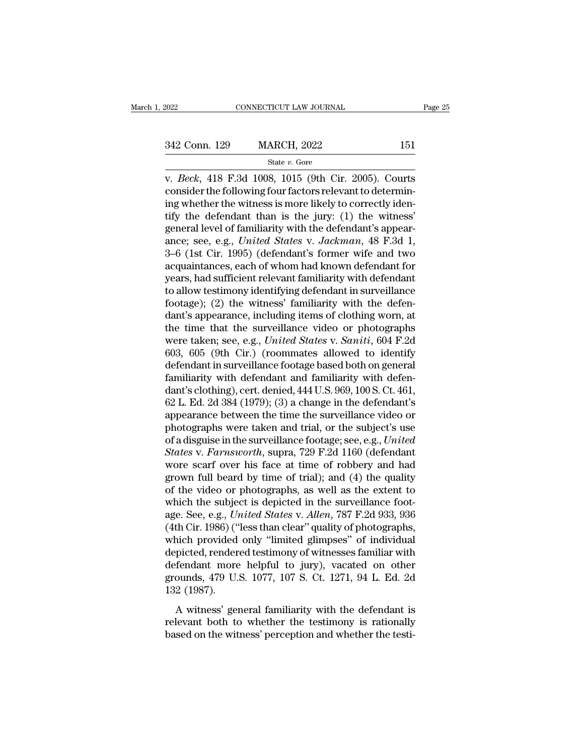v. *Beck*, 418 F.3d 1008, 1015 (9th Cir. 2005). Courts<br>
v. *Beck*, 418 F.3d 1008, 1015 (9th Cir. 2005). Courts<br>
consider the following four factors relevant to determining whether the witness is more likely to correctly id 342 Conn. 129 MARCH, 2022 151<br>
State v. Gore<br>
v. *Beck*, 418 F.3d 1008, 1015 (9th Cir. 2005). Courts<br>
consider the following four factors relevant to determin-<br>
ing whether the witness is more likely to correctly iden-<br>
t 342 Conn. 129 MARCH, 2022 151<br>
State v. Gore<br>
v. *Beck*, 418 F.3d 1008, 1015 (9th Cir. 2005). Courts<br>
consider the following four factors relevant to determin-<br>
ing whether the witness is more likely to correctly iden-<br>
t 342 Conn. 129 MARCH, 2022 151<br>
state v. Gore<br>
v. *Beck*, 418 F.3d 1008, 1015 (9th Cir. 2005). Courts<br>
consider the following four factors relevant to determin-<br>
ing whether the witness is more likely to correctly iden-<br>
t State v. Gore<br>
general level of the Circle of State v. Gore<br>
(State v. Gore<br>
consider the following four factors relevant to determin-<br>
ing whether the witness is more likely to correctly iden-<br>
tify the defendant than is state v. Gore<br>v. *Beck*, 418 F.3d 1008, 1015 (9th Cir. 2005). Courts<br>consider the following four factors relevant to determin-<br>ing whether the witness is more likely to correctly iden-<br>tify the defendant than is the jury: v. *Beck*, 418 F.3d 1008, 1015 (9th Cir. 2005). Courts<br>consider the following four factors relevant to determin-<br>ing whether the witness is more likely to correctly iden-<br>tify the defendant than is the jury: (1) the witnes consider the following four factors relevant to determining whether the witness is more likely to correctly identify the defendant than is the jury: (1) the witness' general level of familiarity with the defendant's appear ing whether the witness is more likely to correctly identify the defendant than is the jury: (1) the witness'<br>general level of familiarity with the defendant's appear-<br>ance; see, e.g., *United States v. Jackman*, 48 F.3d 1 tify the defendant than is the jury: (1) the witness'<br>general level of familiarity with the defendant's appear-<br>ance; see, e.g., *United States* v. *Jackman*, 48 F.3d 1,<br>3–6 (1st Cir. 1995) (defendant's former wife and two general level of familiarity with the defendant's appearance; see, e.g., *United States* v. *Jackman*, 48 F.3d 1, 3–6 (1st Cir. 1995) (defendant's former wife and two acquaintances, each of whom had known defendant for yea ance; see, e.g., *United States v. Jackman*, 48 F.3d 1, 3–6 (1st Cir. 1995) (defendant's former wife and two acquaintances, each of whom had known defendant for years, had sufficient relevant familiarity with defendant to 3–6 (1st Cir. 1995) (defendant's former wife and two<br>acquaintances, each of whom had known defendant for<br>years, had sufficient relevant familiarity with defendant<br>to allow testimony identifying defendant in surveillance<br>f acquaintances, each of whom had known defendant for<br>years, had sufficient relevant familiarity with defendant<br>to allow testimony identifying defendant in surveillance<br>footage); (2) the witness' familiarity with the defen-<br> years, had sufficient relevant familiarity with defendant<br>to allow testimony identifying defendant in surveillance<br>footage); (2) the witness' familiarity with the defen-<br>dant's appearance, including items of clothing worn, to allow testimony identifying defendant in surveillance<br>footage); (2) the witness' familiarity with the defen-<br>dant's appearance, including items of clothing worn, at<br>the time that the surveillance video or photographs<br>w footage); (2) the witness' familiarity with the defendant's appearance, including items of clothing worn, at the time that the surveillance video or photographs were taken; see, e.g., *United States v. Saniti*, 604 F.2d 6 dant's appearance, including items of clothing worn, at<br>the time that the surveillance video or photographs<br>were taken; see, e.g., *United States* v. *Saniti*, 604 F.2d<br>603, 605 (9th Cir.) (roommates allowed to identify<br>de the time that the surveillance video or photographs<br>were taken; see, e.g., *United States* v. *Saniti*, 604 F.2d<br>603, 605 (9th Cir.) (roommates allowed to identify<br>defendant in surveillance footage based both on general<br>fa were taken; see, e.g., *United States* v. *Saniti*, 604 F.2d<br>603, 605 (9th Cir.) (roommates allowed to identify<br>defendant in surveillance footage based both on general<br>familiarity with defendant and familiarity with defen 603, 605 (9th Cir.) (roommates allowed to identify<br>defendant in surveillance footage based both on general<br>familiarity with defendant and familiarity with defen-<br>dant's clothing), cert. denied, 444 U.S. 969, 100 S. Ct. 46 defendant in surveillance footage based both on general<br>familiarity with defendant and familiarity with defen-<br>dant's clothing), cert. denied, 444 U.S. 969, 100 S. Ct. 461,<br>62 L. Ed. 2d 384 (1979); (3) a change in the defe familiarity with defendant and familiarity with defendant's clothing), cert. denied, 444 U.S. 969, 100 S. Ct. 461, 62 L. Ed. 2d 384 (1979); (3) a change in the defendant's appearance between the time the surveillance video dant's clothing), cert. denied, 444 U.S. 969, 100 S. Ct. 461,<br>62 L. Ed. 2d 384 (1979); (3) a change in the defendant's<br>appearance between the time the surveillance video or<br>photographs were taken and trial, or the subject' 62 L. Ed. 2d 384 (1979); (3) a change in the defendant's<br>appearance between the time the surveillance video or<br>photographs were taken and trial, or the subject's use<br>of a disguise in the surveillance footage; see, e.g., appearance between the time the surveillance video or<br>photographs were taken and trial, or the subject's use<br>of a disguise in the surveillance footage; see, e.g., *United*<br>*States v. Farnsworth*, supra, 729 F.2d 1160 (def photographs were taken and trial, or the subject's use<br>of a disguise in the surveillance footage; see, e.g., *United*<br>States v. Farnsworth, supra, 729 F.2d 1160 (defendant<br>wore scarf over his face at time of robbery and ha of a disguise in the surveillance footage; see, e.g., *United*<br>States v. *Farnsworth*, supra, 729 F.2d 1160 (defendant<br>wore scarf over his face at time of robbery and had<br>grown full beard by time of trial); and (4) the qua States v. Farnsworth, supra, 729 F.2d 1160 (defendant<br>wore scarf over his face at time of robbery and had<br>grown full beard by time of trial); and (4) the quality<br>of the video or photographs, as well as the extent to<br>which wore scarf over his face at time of robbery and had<br>grown full beard by time of trial); and (4) the quality<br>of the video or photographs, as well as the extent to<br>which the subject is depicted in the surveillance foot-<br>age grown full beard by time of trial); and (4) the quality<br>of the video or photographs, as well as the extent to<br>which the subject is depicted in the surveillance foot-<br>age. See, e.g., *United States v. Allen*, 787 F.2d 933, of the video or photographs, as well as the extent to<br>which the subject is depicted in the surveillance foot-<br>age. See, e.g., *United States* v. *Allen*, 787 F.2d 933, 936<br>(4th Cir. 1986) ("less than clear" quality of phot which the subject is depicted in the surveillance footage. See, e.g., *United States v. Allen*, 787 F.2d 933, 936 (4th Cir. 1986) ("less than clear" quality of photographs, which provided only "limited glimpses" of individ age. See, e.g., U<sub>1</sub><br>(4th Cir. 1986) ("<br>which provided<br>depicted, render<br>defendant more<br>grounds, 479 U.<br>132 (1987).<br>A witness' ger mich provided only "limited glimpses" of individual<br>picted, rendered testimony of witnesses familiar with<br>fendant more helpful to jury), vacated on other<br>ounds, 479 U.S. 1077, 107 S. Ct. 1271, 94 L. Ed. 2d<br>2 (1987).<br>A witn related both to white sumpless of matriceand<br>depicted, rendered testimony of witnesses familiar with<br>defendant more helpful to jury), vacated on other<br>grounds, 479 U.S. 1077, 107 S. Ct. 1271, 94 L. Ed. 2d<br>132 (1987).<br>A wit defendant more helpful to jury), vacated on other<br>grounds, 479 U.S. 1077, 107 S. Ct. 1271, 94 L. Ed. 2d<br>132 (1987).<br>A witness' general familiarity with the defendant is<br>relevant both to whether the testimony is rationally<br>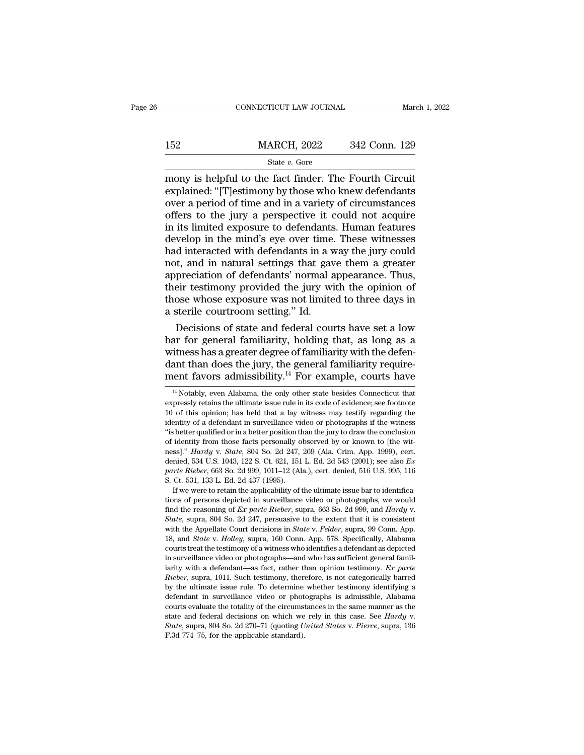|     | CONNECTICUT LAW JOURNAL | March 1, 2022 |
|-----|-------------------------|---------------|
|     |                         |               |
| 152 | <b>MARCH, 2022</b>      | 342 Conn. 129 |
|     | State $v$ . Gore        |               |

CONNECTICUT LAW JOURNAL March 1, 202<br>
MARCH, 2022 342 Conn. 129<br>
State v. Gore<br>
mony is helpful to the fact finder. The Fourth Circuit<br>
explained: "[T]estimony by those who knew defendants<br>
over a period of time and in a v 152 MARCH, 2022 342 Conn. 129<br>
State v. Gore<br>
mony is helpful to the fact finder. The Fourth Circuit<br>
explained: "[T]estimony by those who knew defendants<br>
over a period of time and in a variety of circumstances<br>
offers t 152 MARCH, 2022 342 Conn. 129<br>
State v. Gore<br>
mony is helpful to the fact finder. The Fourth Circuit<br>
explained: "[T]estimony by those who knew defendants<br>
over a period of time and in a variety of circumstances<br>
offers t MARCH, 2022 342 Conn. 129<br>
State v. Gore<br>
mony is helpful to the fact finder. The Fourth Circuit<br>
explained: "[T]estimony by those who knew defendants<br>
over a period of time and in a variety of circumstances<br>
offers to th State v. Gore<br>
State v. Gore<br>
mony is helpful to the fact finder. The Fourth Circuit<br>
explained: "[T]estimony by those who knew defendants<br>
over a period of time and in a variety of circumstances<br>
offers to the jury a per State v. Gore<br>
mony is helpful to the fact finder. The Fourth Circuit<br>
explained: "[T]estimony by those who knew defendants<br>
over a period of time and in a variety of circumstances<br>
offers to the jury a perspective it cou mony is helpful to the fact finder. The Fourth Circuit explained: "[T]estimony by those who knew defendants over a period of time and in a variety of circumstances offers to the jury a perspective it could not acquire in i explained: "[T]estimony by those who knew defendants<br>over a period of time and in a variety of circumstances<br>offers to the jury a perspective it could not acquire<br>in its limited exposure to defendants. Human features<br>devel over a period of time and in a variety of circumstances<br>offers to the jury a perspective it could not acquire<br>in its limited exposure to defendants. Human features<br>develop in the mind's eye over time. These witnesses<br>had i offers to the jury a perspective it could not acquire<br>in its limited exposure to defendants. Human features<br>develop in the mind's eye over time. These witnesses<br>had interacted with defendants in a way the jury could<br>not, a in its limited exposure to defendants. Human features<br>develop in the mind's eye over time. These witnesses<br>had interacted with defendants in a way the jury could<br>not, and in natural settings that gave them a greater<br>apprec develop in the mind's eye over time.<br>had interacted with defendants in a v<br>not, and in natural settings that gav<br>appreciation of defendants' normal a<br>their testimony provided the jury wi<br>those whose exposure was not limite d interacted with defendants in a way the jury could<br>t, and in natural settings that gave them a greater<br>preciation of defendants' normal appearance. Thus,<br>eir testimony provided the jury with the opinion of<br>ose whose expo not, and in natural settings that gave them a greater<br>appreciation of defendants' normal appearance. Thus,<br>their testimony provided the jury with the opinion of<br>those whose exposure was not limited to three days in<br>a steri

appreciation of defendants' normal appearance. Thus,<br>their testimony provided the jury with the opinion of<br>those whose exposure was not limited to three days in<br>a sterile courtroom setting." Id.<br>Decisions of state and fed their testimony provided the jury with the opinion of<br>those whose exposure was not limited to three days in<br>a sterile courtroom setting." Id.<br>Decisions of state and federal courts have set a low<br>bar for general familiarity those whose exposure was not limited to three days in<br>a sterile courtroom setting." Id.<br>Decisions of state and federal courts have set a low<br>bar for general familiarity, holding that, as long as a<br>witness has a greater de ar for general familiarity, holding that, as long as a itness has a greater degree of familiarity with the defen-<br>ant than does the jury, the general familiarity require-<br>ent favors admissibility.<sup>14</sup> For example, courts witness has a greater degree of familiarity with the defendant than does the jury, the general familiarity requirement favors admissibility.<sup>14</sup> For example, courts have  $\frac{14 \text{ Notably, even Alabama, the only other state besides Connecticut that expressly retains the ultimate issue rule in its code of evidence; see footnote 10 of this opinion; has held that a lay$ 

dant than does the jury, the general familiarity requirement favors admissibility.<sup>14</sup> For example, courts have  $\frac{14 \text{ Notably, even Alabama, the only other state besides Connecticut that expressly retains the ultimate issue rule in its code of evidence; see footnote 10 of this opinion; has held that a lay witness may testing regarding the identity of a defendant in surveillance video or photographs if the witness "is better qualified or in a better position than the jury to draw the conclusion.$ ment favors admissibility.<sup>14</sup> For example, courts have  $\frac{14 \text{ Notably, even Alabama, the only other state besides Connecticut that expressly retains the ultimate issue rule in its code of evidence; see footnote 10 of this opinion; has held that a lay witness may testify regarding the identity of a defendant in surveillance video or photographs if the witness "is better qualified or in a better position than the jury to draw the conclusion of identity from those facts personally observed by or known to [the wit$ ment tavors admissibility.<sup>12</sup> F'or example, courts have  $\frac{1}{4}$  Notably, even Alabama, the only other state besides Connecticut that expressly retains the ultimate issue rule in its code of evidence; see footnote 10 of <sup>14</sup> Notably, even Alabama, the only other state besides Connecticut that expressly retains the ultimate issue rule in its code of evidence; see footnote 10 of this opinion; has held that a lay witness may testify regardi Notaby, even Alabania, the only other state besides Connecticut that<br>expressly retains the ultimate issue rule in its code of evidence; see footnote<br>10 of this opinion; has held that a lay witness may testify regarding the expressive retains the untilate issue rule in its code of evidence, see notified 10 of this opinion; has held that a lay witness may testify regarding the identity of a defendant in surveillance video or photographs if th *parte Rieber*, 663 So. 2d 999, 1011–12 (Ala.), cert. denied, 516 So. 2d 999, 1011–12 (Ala.), cert. denied, 516 U.S. 995, 116 S. Ct. 531, 133 L. Ed. 2d 437 (1995). dentity or a detendant in surventance via<br>
"is better qualified or in a better position the of identity from those facts personally of<br>
ness]." *Hardy* v. *State*, 804 So. 2d 247,<br>
denied, 534 U.S. 1043, 122 S. Ct. 621, 15 If we were to retain the applicability of the ultimate issue bar to identifica-<br>If we were to retain the applicability of the ultimate issue bar to retain the space of the ultimate, 534 U.S. 1043, 122 S. Ct. 621, 151 L. E of identity from those facts personally observed by of known to [die wheres]." *Hardy* v. *State*, 804 So. 2d 247, 269 (Ala. Crim. App. 1999), cert. denied, 534 U.S. 1043, 122 S. Ct. 621, 151 L. Ed. 2d 543 (2001); see als

filess<sub>1</sub>. *Hartay* v. *State*, 604 So. 2d 241, 209 (Ala. Crint. App. 1999), cert.<br>denied, 534 U.S. 1043, 122 S. Ct. 621, 151 L. Ed. 2d 543 (2001); see also *Ex*<br>parte Rieber, 663 So. 2d 999, 1011–12 (Ala.), cert. denied, parte Rieber, 000 So. 2d 999, 1011–12 (Kia.), Cert. defield, 510 C.S. 930, 110<br>S. Ct. 531, 133 L. Ed. 2d 437 (1995).<br>If we were to retain the applicability of the ultimate issue bar to identifica-<br>tions of persons depicted 18, o. 351, 155 L. Ed. 2d 451 (1935).<br>
If we were to retain the applicability of the ultimate issue bar to identifica-<br>
tions of persons depicted in surveillance video or photographs, we would<br>
find the reasoning of *Ex pa* If we were to retain the applicability of the unitate issue bar to identifica-<br>tions of persons depicted in surveillance video or photographs, we would<br>find the reasoning of *Ex parte Rieber*, supra, 663 So. 2d 999, and *H* find the reasoning of *Ex parte Rieber*, supra, 663 So. 2d 999, and *Hardy v. State*, supra, 804 So. 2d 247, persuasive to the extent that it is consistent with the Appellate Court decisions in *State v. Felder*, supra, ind the reasoning of *Ex parte Kieber*, supra, 605 So. 2d 999, and *Hartay* v.<br>*State*, supra, 804 So. 2d 247, persuasive to the extent that it is consistent<br>with the Appellate Court decisions in *State* v. *Felder*, supra *Rieber*, supra, 004 30. 2d 247, persuasive to the extent that it is consistent with the Appellate Court decisions in *State v. Felder*, supra, 99 Conn. App. 18, and *State v. Holley*, supra, 160 Conn. App. 578. Specifical whit the Appenate Court decisions in *state v. Fetter*, stipra, 33 Cont. App.<br>18, and *State v. Holley*, supra, 160 Conn. App. 578. Specifically, Alabama<br>courts treat the testimony of a witness who identifies a defendant a for and *state v. Trottey*, supra, 100 Confit. App. 916. Specifically, Alabama<br>courts treat the testimony of a witness who identifies a defendant as depicted<br>in surveillance video or photographs—and who has sufficient gen courts treat the testimoly of a whitess who defining a defendant as depicted<br>in surveillance video or photographs—and who has sufficient general famil-<br>larity with a defendant—as fact, rather than opinion testimony. Ex pa in surventance video or photographs—and who has sumclent general randi-<br>iarity with a defendant—as fact, rather than opinion testimony. *Ex parte*<br>*Rieber*, supra, 1011. Such testimony, therefore, is not categorically barr *Rieber*, supra, 1011. Such testimony, therefore, is not categorically barred by the ultimate issue rule. To determine whether testimony identifying a defendant in surveillance video or photographs is admissible, Alabama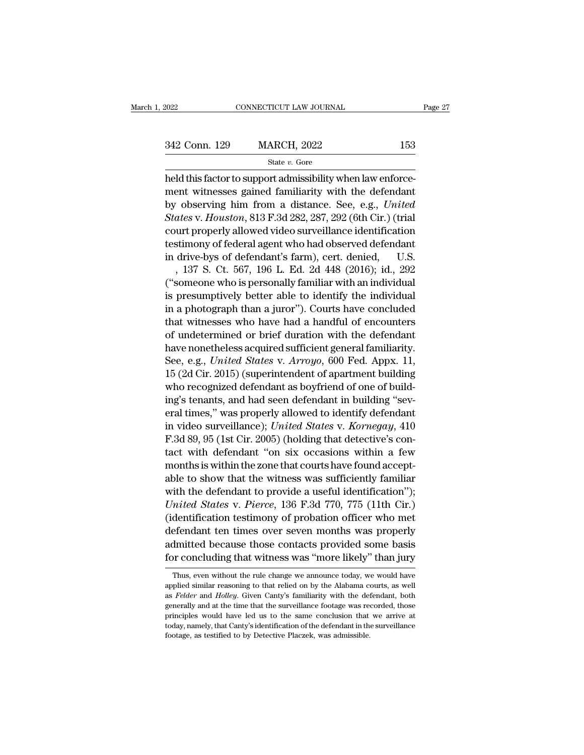342 Conn. 129 MARCH, 2022 <sup>153</sup>

State *v.* Gore

 $\begin{array}{ccc}\n & \text{CONRECTICUT LAW JOURNAL} \\
 \hline\n & \text{MARCH, 2022} & \text{153} \\
 \hline\n & \text{State } v. \text{ Gore} \\
 \text{held this factor to support admissibility when law enforcement} \\
 \text{https://www.e. of the image of the image of the image of the image.\n$ 342 Conn. 129 MARCH, 2022 153<br>
State v. Gore<br>
held this factor to support admissibility when law enforce-<br>
ment witnesses gained familiarity with the defendant<br>
by observing him from a distance. See, e.g., *United*<br>
State <sup>342</sup> Conn. 129 MARCH, 2022 153<br>
<sup>State v. Gore</sup><br>
held this factor to support admissibility when law enforce-<br>
ment witnesses gained familiarity with the defendant<br>
by observing him from a distance. See, e.g., *United*<br> *S* **State v. Gore**<br> **State v. Gore**<br> **State v. Gore**<br> **State v. Gore**<br> **Core**<br> **State v. Gore**<br> **Core**<br> **Core**<br> **Core**<br> **Core**<br> **Core**<br> **Core**<br> **Core**<br> **Core**<br> **Core**<br> **Core**<br> **Core**<br> **Core**<br> **Core**<br> **Core**<br> **Core**<br> **Core**<br> State v. Gore<br>
held this factor to support admissibility when law enforce-<br>
ment witnesses gained familiarity with the defendant<br>
by observing him from a distance. See, e.g., *United*<br> *States* v. *Houston*, 813 F.3d 282, Final and alternative means and the defendant<br>held this factor to support admissibility with the defendant<br>by observing him from a distance. See, e.g., United<br>States v. Houston, 813 F.3d 282, 287, 292 (6th Cir.) (trial<br>cou neld this factor to support admissibility with the defendant<br>by observing him from a distance. See, e.g., *United*<br>*States* v. *Houston*, 813 F.3d 282, 287, 292 (6th Cir.) (trial<br>court properly allowed video surveillance i ent witnesses gained raminarity with the defendant<br>
observing him from a distance. See, e.g., *United*<br>
ates v. *Houston*, 813 F.3d 282, 287, 292 (6th Cir.) (trial<br>
urt properly allowed video surveillance identification<br>
s by observing nim from a distance. See, e.g., *United*<br>States v. Houston, 813 F.3d 282, 287, 292 (6th Cir.) (trial<br>court properly allowed video surveillance identification<br>testimony of federal agent who had observed defenda states v. Houston, 813 F.3d 282, 287, 292 (6th Cir.) (trial<br>court properly allowed video surveillance identification<br>testimony of federal agent who had observed defendant<br>in drive-bys of defendant's farm), cert. denied, U. court properly allowed video survelliance identification<br>testimony of federal agent who had observed defendant<br>in drive-bys of defendant's farm), cert. denied, U.S.<br>, 137 S. Ct. 567, 196 L. Ed. 2d 448 (2016); id., 292<br>("so testimony or rederal agent who had observed derendant<br>in drive-bys of defendant's farm), cert. denied, U.S.<br>, 137 S. Ct. 567, 196 L. Ed. 2d 448 (2016); id., 292<br>("someone who is personally familiar with an individual<br>is pr in arive-bys or detendant s rarm), cert. denied,  $\sim 0.8$ .<br>
, 137 S. Ct. 567, 196 L. Ed. 2d 448 (2016); id., 292 ("someone who is personally familiar with an individual<br>
is presumptively better able to identify the indivi , 137 S. Ct. 567, 196 L. Ed. 2d 448 (2016); 1d., 292<br>("someone who is personally familiar with an individual<br>is presumptively better able to identify the individual<br>in a photograph than a juror"). Courts have concluded<br>th ("someone who is personally ramiliar with an individual<br>is presumptively better able to identify the individual<br>in a photograph than a juror"). Courts have concluded<br>that witnesses who have had a handful of encounters<br>of u Is presumptively better able to identify the maividual<br>in a photograph than a juror"). Courts have concluded<br>that witnesses who have had a handful of encounters<br>of undetermined or brief duration with the defendant<br>have non In a photograph than a juror"). Courts have concluded<br>that witnesses who have had a handful of encounters<br>of undetermined or brief duration with the defendant<br>have nonetheless acquired sufficient general familiarity.<br>See, that witnesses who have had a handrul of encounters<br>of undetermined or brief duration with the defendant<br>have nonetheless acquired sufficient general familiarity.<br>See, e.g., *United States v. Arroyo*, 600 Fed. Appx. 11,<br>1 or undetermined or brief duration with the defendant<br>have nonetheless acquired sufficient general familiarity.<br>See, e.g., *United States v. Arroyo*, 600 Fed. Appx. 11,<br>15 (2d Cir. 2015) (superintendent of apartment buildin have nonetheless acquired sufficient general familiarity.<br>See, e.g., *United States* v. *Arroyo*, 600 Fed. Appx. 11,<br>15 (2d Cir. 2015) (superintendent of apartment building<br>who recognized defendant as boyfriend of one of b See, e.g., *United States v. Arroyo*, 600 Fed. Appx. 11, 15 (2d Cir. 2015) (superintendent of apartment building<br>who recognized defendant as boyfriend of one of build-<br>ing's tenants, and had seen defendant in building "sev 15 (2d Cir. 2015) (superintendent or apartment building<br>
who recognized defendant as boyfriend of one of build-<br>
ing's tenants, and had seen defendant in building "sev-<br>
eral times," was properly allowed to identify defen who recognized defendant as boyfriend of one of bullding<br>"several times," was properly allowed to identify defendant<br>in video surveillance); United States v. Kornegay, 410<br>F.3d 89, 95 (1st Cir. 2005) (holding that detectiv img s tenants, and nad seen defendant in building several times," was properly allowed to identify defendant<br>in video surveillance); United States v. Kornegay, 410<br>F.3d 89, 95 (1st Cir. 2005) (holding that detective's con eral times, was properly allowed to identify defendant<br>in video surveillance); *United States v. Kornegay*, 410<br>F.3d 89, 95 (1st Cir. 2005) (holding that detective's con-<br>tact with defendant "on six occasions within a few In video survelliance); *United States* v. *Kornegay*, 410<br> *F.3d 89, 95 (1st Cir. 2005)* (holding that detective's con-<br>
tact with defendant "on six occasions within a few<br>
months is within the zone that courts have found F.3d 89, 95 (Ist Cir. 2005) (holding that detective s con-<br>tact with defendant "on six occasions within a few<br>months is within the zone that courts have found accept-<br>able to show that the witness was sufficiently familiar react with defendant on six occasions within a few<br>months is within the zone that courts have found accept-<br>able to show that the witness was sufficiently familiar<br>with the defendant to provide a useful identification");<br> months is within the zone that courts have found accept-<br>able to show that the witness was sufficiently familiar<br>with the defendant to provide a useful identification");<br>United States v. Pierce, 136 F.3d 770, 775 (11th Cir able to show that the witness was sufficiently familiar<br>with the defendant to provide a useful identification");<br>United States v. Pierce, 136 F.3d 770, 775 (11th Cir.)<br>(identification testimony of probation officer who met dentification testificity of probation officer who filed<br>efendant ten times over seven months was properly<br>dmitted because those contacts provided some basis<br>or concluding that witness was "more likely" than jury<br>Thus, eve defendant ten times over seven months was properly<br>admitted because those contacts provided some basis<br>for concluding that witness was "more likely" than jury<br>Thus, even without the rule change we announce today, we would

for concluding that witness was "more likely" than jury<br>Thus, even without the rule change we announce today, we would have<br>applied similar reasoning to that relied on by the Alabama courts, as well<br>as *Felder* and *Holley* prime in Contentually that with the rule of the same of the same applied similar reasoning to that relied on by the Alabama courts, as well as *Felder* and *Holley*. Given Canty's familiarity with the defendant, both gener Thus, even without the rule change we announce today, we would have applied similar reasoning to that relied on by the Alabama courts, as well as *Felder* and *Holley*. Given Canty's familiarity with the defendant, both ge applied similar reasoning to that relied on by the Alabama cas *Felder* and *Holley*. Given Canty's familiarity with the detergenerally and at the time that the surveillance footage was reprinciples would have led us to t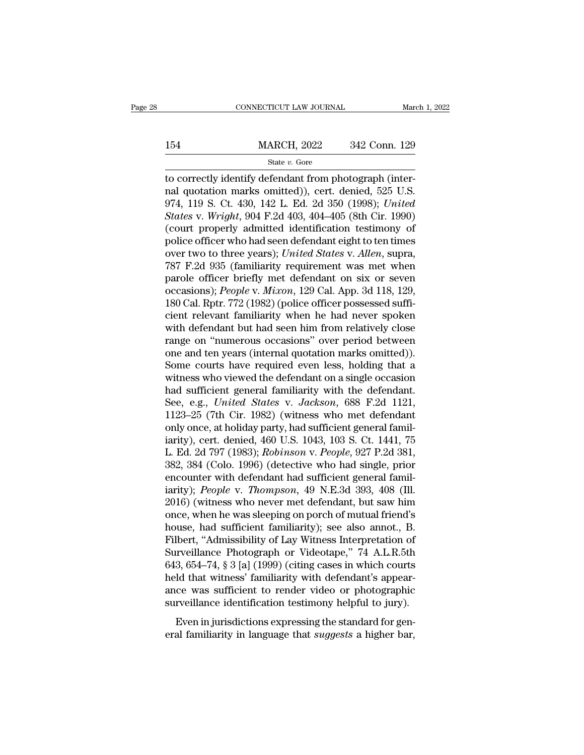# EXECUTE CONNECTICUT LAW JOURNAL March 1, 2022<br>154 MARCH, 2022 342 Conn. 129<br>154 State v. Gore

### State *v.* Gore

CONNECTICUT LAW JOURNAL<br>
MARCH, 2022 342 Conn. 129<br>
State v. Gore<br>
to correctly identify defendant from photograph (inter-<br>
ral quotation marks omitted)), cert. denied, 525 U.S.<br>
074 110 S Ct 430 142 L Ed 2d 350 (1008). Un 154 MARCH, 2022 342 Conn. 129<br>
State v. Gore<br>
to correctly identify defendant from photograph (inter-<br>
nal quotation marks omitted)), cert. denied, 525 U.S.<br>
974, 119 S. Ct. 430, 142 L. Ed. 2d 350 (1998); *United*<br>
States MARCH, 2022 342 Conn. 129<br>
State v. Gore<br>
to correctly identify defendant from photograph (inter-<br>
nal quotation marks omitted)), cert. denied, 525 U.S.<br>
974, 119 S. Ct. 430, 142 L. Ed. 2d 350 (1998); *United*<br> *States* v. *State v. Gore*<br> *State v. Gore*<br> *State v. Gore*<br> *State v. Gore*<br> *State v. Gore*<br> *State v. Gore*<br> *State v. Might*, 904 F.2d 403, 404–405 (8th Cir. 1990)<br> *Court properly admitted identification testimony of*<br> *States* State v. Gore<br>
(court properly identify defendant from photograph (inter-<br>
nal quotation marks omitted)), cert. denied, 525 U.S.<br>
974, 119 S. Ct. 430, 142 L. Ed. 2d 350 (1998); *United*<br> *States v. Wright*, 904 F.2d 403, state v. Gore<br>to correctly identify defendant from photograph (inter-<br>nal quotation marks omitted)), cert. denied, 525 U.S.<br>974, 119 S. Ct. 430, 142 L. Ed. 2d 350 (1998); United<br>States v. Wright, 904 F.2d 403, 404–405 (8t to correctly identify defendant from photograph (internal quotation marks omitted)), cert. denied, 525 U.S.<br>974, 119 S. Ct. 430, 142 L. Ed. 2d 350 (1998); *United*<br>*States* v. *Wright*, 904 F.2d 403, 404–405 (8th Cir. 1990 nal quotation marks omitted)), cert. denied, 525 U.S.<br>974, 119 S. Ct. 430, 142 L. Ed. 2d 350 (1998); *United*<br>*States* v. *Wright*, 904 F.2d 403, 404–405 (8th Cir. 1990)<br>(court properly admitted identification testimony of 974, 119 S. Ct. 430, 142 L. Ed. 2d 350 (1998); United<br>States v. Wright, 904 F.2d 403, 404–405 (8th Cir. 1990)<br>(court properly admitted identification testimony of<br>police officer who had seen defendant eight to ten times<br>ov States v. *Wright*, 904 F.2d 403, 404–405 (8th Cir. 1990)<br>(court properly admitted identification testimony of<br>police officer who had seen defendant eight to ten times<br>over two to three years); *United States v. Allen*, su (court properly admitted identification testimony of<br>police officer who had seen defendant eight to ten times<br>over two to three years); *United States* v. Allen, supra,<br>787 F.2d 935 (familiarity requirement was met when<br>pa police officer who had seen defendant eight to ten times<br>over two to three years); *United States v. Allen*, supra,<br>787 F.2d 935 (familiarity requirement was met when<br>parole officer briefly met defendant on six or seven<br>oc over two to three years); *United States v. Allen*, supra,<br>787 F.2d 935 (familiarity requirement was met when<br>parole officer briefly met defendant on six or seven<br>occasions); *People v. Mixon*, 129 Cal. App. 3d 118, 129,<br>1 787 F.2d 935 (familiarity requirement was met when<br>parole officer briefly met defendant on six or seven<br>occasions); *People* v. *Mixon*, 129 Cal. App. 3d 118, 129,<br>180 Cal. Rptr. 772 (1982) (police officer possessed suffiparole officer briefly met defendant on six or seven<br>occasions); *People* v. Mixon, 129 Cal. App. 3d 118, 129,<br>180 Cal. Rptr. 772 (1982) (police officer possessed suffi-<br>cient relevant familiarity when he had never spoken<br> occasions); *People* v. *Mixon*, 129 Cal. App. 3d 118, 129, 180 Cal. Rptr. 772 (1982) (police officer possessed sufficient relevant familiarity when he had never spoken with defendant but had seen him from relatively close 180 Cal. Rptr. 772 (1982) (police officer possessed sufficient relevant familiarity when he had never spoken<br>with defendant but had seen him from relatively close<br>range on "numerous occasions" over period between<br>one and cient relevant familiarity when he had never spoken<br>with defendant but had seen him from relatively close<br>range on "numerous occasions" over period between<br>one and ten years (internal quotation marks omitted)).<br>Some courts with defendant but had seen him from relatively close<br>range on "numerous occasions" over period between<br>one and ten years (internal quotation marks omitted)).<br>Some courts have required even less, holding that a<br>witness who range on "numerous occasions" over period between<br>one and ten years (internal quotation marks omitted)).<br>Some courts have required even less, holding that a<br>witness who viewed the defendant on a single occasion<br>had suffic one and ten years (internal quotation marks omitted)).<br>Some courts have required even less, holding that a<br>witness who viewed the defendant on a single occasion<br>had sufficient general familiarity with the defendant.<br>See, e Some courts have required even less, holding that a<br>witness who viewed the defendant on a single occasion<br>had sufficient general familiarity with the defendant.<br>See, e.g., *United States v. Jackson*, 688 F.2d 1121,<br>1123–25 witness who viewed the defendant on a single occasion<br>had sufficient general familiarity with the defendant.<br>See, e.g., *United States v. Jackson*, 688 F.2d 1121,<br>1123–25 (7th Cir. 1982) (witness who met defendant<br>only onc had sufficient general familiarity with the defendant.<br>See, e.g., *United States v. Jackson*, 688 F.2d 1121,<br>1123–25 (7th Cir. 1982) (witness who met defendant<br>only once, at holiday party, had sufficient general famil-<br>iar See, e.g., *United States v. Jackson*, 688 F.2d 1121, 1123–25 (7th Cir. 1982) (witness who met defendant only once, at holiday party, had sufficient general familiarity), cert. denied, 460 U.S. 1043, 103 S. Ct. 1441, 75 L. 1123–25 (7th Cir. 1982) (witness who met defendant<br>only once, at holiday party, had sufficient general famil-<br>iarity), cert. denied, 460 U.S. 1043, 103 S. Ct. 1441, 75<br>L. Ed. 2d 797 (1983); *Robinson* v. *People*, 927 P.2d only once, at holiday party, had sufficient general familiarity), cert. denied, 460 U.S. 1043, 103 S. Ct. 1441, 75<br>L. Ed. 2d 797 (1983); *Robinson v. People*, 927 P.2d 381,<br>382, 384 (Colo. 1996) (detective who had single, iarity), cert. denied, 460 U.S. 1043, 103 S. Ct. 1441, 75<br>L. Ed. 2d 797 (1983); *Robinson v. People*, 927 P.2d 381,<br>382, 384 (Colo. 1996) (detective who had single, prior<br>encounter with defendant had sufficient general fam L. Ed. 2d 797 (1983); *Robinson* v. *People*, 927 P.2d 381, 382, 384 (Colo. 1996) (detective who had single, prior encounter with defendant had sufficient general familiarity); *People* v. *Thompson*, 49 N.E.3d 393, 408 (I 382, 384 (Colo. 1996) (detective who had single, prior<br>encounter with defendant had sufficient general famil-<br>iarity); *People* v. *Thompson*, 49 N.E.3d 393, 408 (Ill.<br>2016) (witness who never met defendant, but saw him<br>on encounter with defendant had sufficient general familiarity); *People* v. *Thompson*, 49 N.E.3d 393, 408 (Ill. 2016) (witness who never met defendant, but saw him once, when he was sleeping on porch of mutual friend's hous iarity); *People* v. *Thompson*, 49 N.E.3d 393, 408 (Ill.<br>2016) (witness who never met defendant, but saw him<br>once, when he was sleeping on porch of mutual friend's<br>house, had sufficient familiarity); see also annot., B.<br>F 2016) (witness who never met defendant, but saw him<br>once, when he was sleeping on porch of mutual friend's<br>house, had sufficient familiarity); see also annot., B.<br>Filbert, "Admissibility of Lay Witness Interpretation of<br>Su once, when he was sleeping on porch of mutual friend's<br>house, had sufficient familiarity); see also annot., B.<br>Filbert, "Admissibility of Lay Witness Interpretation of<br>Surveillance Photograph or Videotape," 74 A.L.R.5th<br>64 house, had sufficient familiarity); see also annot., B.<br>Filbert, "Admissibility of Lay Witness Interpretation of<br>Surveillance Photograph or Videotape," 74 A.L.R.5th<br>643, 654–74, § 3 [a] (1999) (citing cases in which courts Even, Transbering of Eng. Transbery, The standard inveillance Photograph or Videotape," 74 A.L.R.5th 3, 654–74, § 3 [a] (1999) (citing cases in which courts ld that witness' familiarity with defendant's appear-<br>ce was suff eral familiarity in language that *suggests* a higher bar, for an indicate that witness' familiarity with defendant's appearance was sufficient to render video or photographic surveillance identification testimony helpful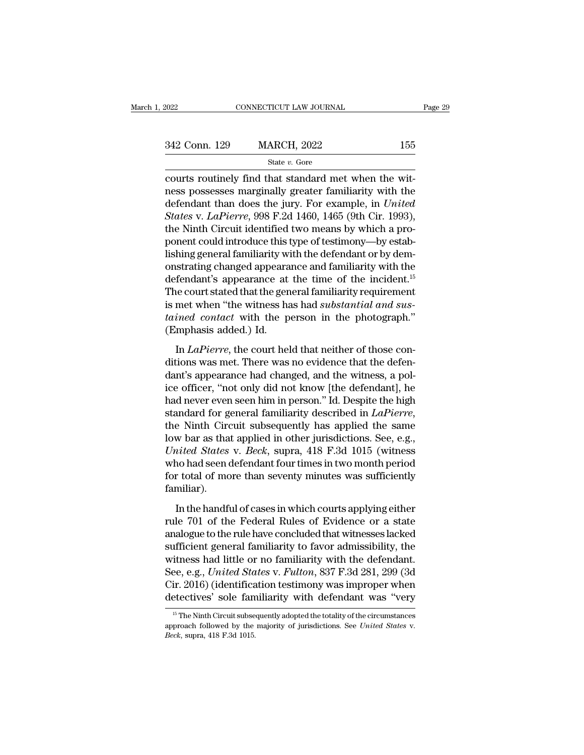$\begin{array}{ccc}\n & \text{COMPECTICUT LAW JOURNAL}\n\hline\n & & \text{MARCH, 2022} & \text{155}\n\hline\n & & \text{State } v. \text{ Gore}\n\hline\n\text{counts routinely find that standard met when the witness possesses marginally greater familiarity with the deformal and the number of times in the image.\n\end{array}$ 342 Conn. 129 MARCH, 2022 155<br>
State v. Gore<br>
courts routinely find that standard met when the wit-<br>
ness possesses marginally greater familiarity with the<br>
defendant than does the jury. For example, in *United*<br>
States v  $\frac{342 \text{ Conn. } 129}{\text{State } v. \text{ Gore}}$  155<br>
courts routinely find that standard met when the wit-<br>
ness possesses marginally greater familiarity with the<br>
defendant than does the jury. For example, in *United*<br> *States* v. *LaPi* **S42 Conn. 129** MARCH, 2022 155<br> **State v. Gore**<br> **Courts routinely find that standard met when the wit-<br>
ress possesses marginally greater familiarity with the<br>
defendant than does the jury. For example, in** *United***<br>** *Sta* State v. Gore<br>
courts routinely find that standard met when the wit-<br>
ness possesses marginally greater familiarity with the<br>
defendant than does the jury. For example, in *United*<br> *States v. LaPierre*, 998 F.2d 1460, 14 state v. Gore<br>
courts routinely find that standard met when the wit-<br>
ness possesses marginally greater familiarity with the<br>
defendant than does the jury. For example, in *United*<br> *States* v. *LaPierre*, 998 F.2d 1460, courts routinely find that standard met when the witness possesses marginally greater familiarity with the defendant than does the jury. For example, in *United States* v. *LaPierre*, 998 F.2d 1460, 1465 (9th Cir. 1993), ness possesses marginally greater familiarity with the<br>defendant than does the jury. For example, in *United*<br>*States* v. *LaPierre*, 998 F.2d 1460, 1465 (9th Cir. 1993),<br>the Ninth Circuit identified two means by which a p defendant than does the jury. For example, in *United*<br>*States* v. *LaPierre*, 998 F.2d 1460, 1465 (9th Cir. 1993),<br>the Ninth Circuit identified two means by which a pro-<br>ponent could introduce this type of testimony—by es *States v. LaPierre,* 998 F.2d 1460, 1465 (9th Cir. 1993),<br>the Ninth Circuit identified two means by which a pro-<br>ponent could introduce this type of testimony—by estab-<br>lishing general familiarity with the defendant or b the Ninth Circuit identified two means by which a pro-<br>ponent could introduce this type of testimony—by estab-<br>lishing general familiarity with the defendant or by dem-<br>onstrating changed appearance and familiarity with th ponent could introduce this type of testimony—by establishing general familiarity with the defendant or by demonstrating changed appearance and familiarity with the defendant's appearance at the time of the incident.<sup>15</sup> T lishing general familiarity wi<br>onstrating changed appeara<br>defendant's appearance at<br>The court stated that the gen<br>is met when "the witness ha<br>tained contact with the p<br>(Emphasis added.) Id.<br>In *LaPierre*, the court hel fendant's appearance at the time of the incident.<sup>15</sup><br>he court stated that the general familiarity requirement<br>met when "the witness has had *substantial and sus-<br>ined contact* with the person in the photograph."<br>mphasis a The court stated that the general familiarity requirement<br>is met when "the witness has had *substantial and sus-<br>tained contact* with the person in the photograph."<br>(Emphasis added.) Id.<br>In *LaPierre*, the court held that

is met when "the witness has had *substantial and sustained contact* with the person in the photograph."<br>(Emphasis added.) Id.<br>In *LaPierre*, the court held that neither of those con-<br>ditions was met. There was no evidenc *tained contact* with the person in the photograph."<br>
(Emphasis added.) Id.<br>
In *LaPierre*, the court held that neither of those conditions was met. There was no evidence that the defendant's appearance had changed, and t (Emphasis added.) Id.<br>
In *LaPierre*, the court held that neither of those conditions was met. There was no evidence that the defendant's appearance had changed, and the witness, a police officer, "not only did not know [ In *LaPierre*, the court held that neither of those conditions was met. There was no evidence that the defendant's appearance had changed, and the witness, a police officer, "not only did not know [the defendant], he had ditions was met. There was no evidence that the defendant's appearance had changed, and the witness, a police officer, "not only did not know [the defendant], he had never even seen him in person." Id. Despite the high sta dant's appearance had changed, and the witness, a police officer, "not only did not know [the defendant], he<br>had never even seen him in person." Id. Despite the high<br>standard for general familiarity described in *LaPierre* ice officer, "not only did not know [the defendant], he<br>had never even seen him in person." Id. Despite the high<br>standard for general familiarity described in *LaPierre*,<br>the Ninth Circuit subsequently has applied the same had never even seen him in person." Id. Despite the high<br>standard for general familiarity described in *LaPierre*,<br>the Ninth Circuit subsequently has applied the same<br>low bar as that applied in other jurisdictions. See, e. familiar). We bar as that applied in other jurisdictions. See, e.g.,<br> *ited States v. Beck*, supra, 418 F.3d 1015 (witness<br>
no had seen defendant four times in two month period<br>
r total of more than seventy minutes was sufficiently<br> United States v. Beck, supra, 418 F.3d 1015 (witness<br>who had seen defendant four times in two month period<br>for total of more than seventy minutes was sufficiently<br>familiar).<br>In the handful of cases in which courts applyin

who had seen defendant four times in two month period<br>for total of more than seventy minutes was sufficiently<br>familiar).<br>In the handful of cases in which courts applying either<br>rule 701 of the Federal Rules of Evidence or for total of more than seventy minutes was sufficiently familiar).<br>
In the handful of cases in which courts applying either<br>
rule 701 of the Federal Rules of Evidence or a state<br>
analogue to the rule have concluded that w familiar).<br>
In the handful of cases in which courts applying either<br>
rule 701 of the Federal Rules of Evidence or a state<br>
analogue to the rule have concluded that witnesses lacked<br>
sufficient general familiarity to favor In the handful of cases in which courts applying either<br>rule 701 of the Federal Rules of Evidence or a state<br>analogue to the rule have concluded that witnesses lacked<br>sufficient general familiarity to favor admissibility, In the handful of cases in which courts applying either<br>rule 701 of the Federal Rules of Evidence or a state<br>analogue to the rule have concluded that witnesses lacked<br>sufficient general familiarity to favor admissibility, rule 701 of the Federal Rules of Evidence or a state<br>analogue to the rule have concluded that witnesses lacked<br>sufficient general familiarity to favor admissibility, the<br>witness had little or no familiarity with the defend 15 The Ninth Circuit subsequently with the defendant.<br>
15 The Ninth Circuit subsequently with defendant was "very<br>
16 The Ninth Circuit subsequently adopted the totality of the circumstances<br>
16 The Ninth Circuit subsequen See, e.g., *United States* v. *Fulton*, 837 F.3d 281, 299 (3d Cir. 2016) (identification testimony was improper when detectives' sole familiarity with defendant was "very <sup>15</sup> The Ninth Circuit subsequently adopted the tot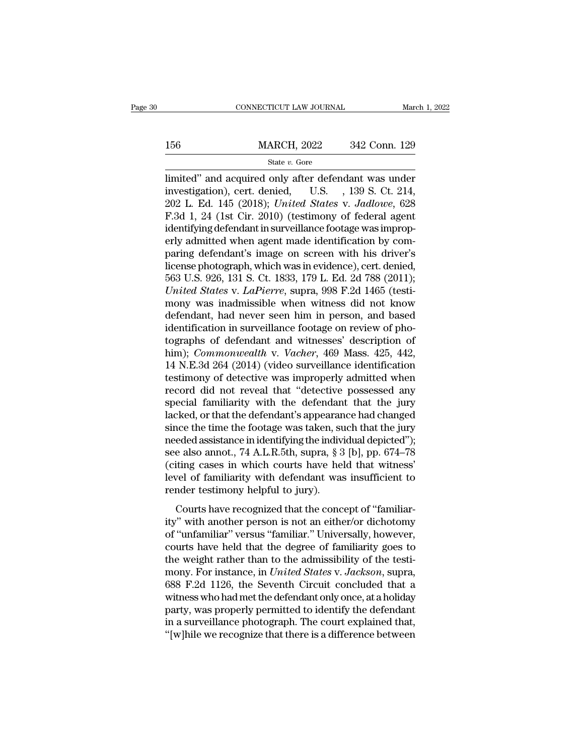# $\begin{tabular}{l l l l} \multicolumn{2}{c| l l l} \multicolumn{2}{c| l l} \multicolumn{2}{c| l l} \multicolumn{2}{c| l l} \multicolumn{2}{c| l l} \multicolumn{2}{c| l l} \multicolumn{2}{c| l l} \multicolumn{2}{c| l l} \multicolumn{2}{c| l l} \multicolumn{2}{c| l l l} \multicolumn{2}{c| l l l} \multicolumn{2}{c| l l l l} \multicolumn{2}{c| l l l l l} \multicolumn{2}{c| l l l l l l l} \multicolumn{2}{c| l l l l l l l l l l l l l l l l l l l$

State *v.* Gore

CONNECTICUT LAW JOURNAL March 1, 2022<br>
MARCH, 2022 342 Conn. 129<br>
State v. Gore<br>
limited'' and acquired only after defendant was under<br>
investigation), cert. denied, U.S. , 139 S. Ct. 214,<br>
202 J. Ed. 145 (2018): United St 156 MARCH, 2022 342 Conn. 129<br>
State v. Gore<br>
limited" and acquired only after defendant was under<br>
investigation), cert. denied, U.S., 139 S. Ct. 214,<br>
202 L. Ed. 145 (2018); United States v. Jadlowe, 628 156 MARCH, 2022 342 Conn. 129<br>
<sup>202</sup> State *v*. Gore<br>
202 L. Ed. 145 (2018); *United States* v. *Jadlowe*, 628<br>
202 L. Ed. 145 (2018); *United States* v. *Jadlowe*, 628<br>
202 L. Ed. 145 (2018); *United States* v. *Jadlowe*, For MARCH, 2022 342 Conn. 129<br>
State v. Gore<br>
limited" and acquired only after defendant was under<br>
investigation), cert. denied, U.S. , 139 S. Ct. 214,<br>
202 L. Ed. 145 (2018); *United States v. Jadlowe*, 628<br>
F.3d 1, 24 State v. Gore<br>
limited" and acquired only after defendant was under<br>
investigation), cert. denied, U.S. , 139 S. Ct. 214,<br>
202 L. Ed. 145 (2018); *United States v. Jadlowe*, 628<br>
F.3d 1, 24 (1st Cir. 2010) (testimony of f state v. Gore<br>
limited" and acquired only after defendant was under<br>
investigation), cert. denied, U.S. , 139 S. Ct. 214,<br>
202 L. Ed. 145 (2018); *United States v. Jadlowe*, 628<br>
F.3d 1, 24 (1st Cir. 2010) (testimony of f limited" and acquired only after defendant was under<br>investigation), cert. denied, U.S. , 139 S. Ct. 214,<br>202 L. Ed. 145 (2018); *United States v. Jadlowe*, 628<br>F.3d 1, 24 (1st Cir. 2010) (testimony of federal agent<br>identi investigation), cert. denied, U.S. , 139 S. Ct. 214, 202 L. Ed. 145 (2018); *United States v. Jadlowe*, 628 F.3d 1, 24 (1st Cir. 2010) (testimony of federal agent identifying defendant in surveillance footage was improper 202 L. Ed. 145 (2018); *United States v. Jadlowe*, 628 F.3d 1, 24 (1st Cir. 2010) (testimony of federal agent identifying defendant in surveillance footage was improperly admitted when agent made identification by comparin F.3d 1, 24 (1st Cir. 2010) (testimony of federal agent<br>identifying defendant in surveillance footage was improp-<br>erly admitted when agent made identification by com-<br>paring defendant's image on screen with his driver's<br>lic identifying defendant in surveillance footage was improp-<br>erly admitted when agent made identification by com-<br>paring defendant's image on screen with his driver's<br>license photograph, which was in evidence), cert. denied,<br> erly admitted when agent made identification by comparing defendant's image on screen with his driver's license photograph, which was in evidence), cert. denied, 563 U.S. 926, 131 S. Ct. 1833, 179 L. Ed. 2d 788 (2011); Uni paring defendant's image on screen with his driver's<br>license photograph, which was in evidence), cert. denied,<br>563 U.S. 926, 131 S. Ct. 1833, 179 L. Ed. 2d 788 (2011);<br>*United States v. LaPierre*, supra, 998 F.2d 1465 (tes license photograph, which was in evidence), cert. denied,<br>563 U.S. 926, 131 S. Ct. 1833, 179 L. Ed. 2d 788 (2011);<br>*United States v. LaPierre*, supra, 998 F.2d 1465 (testi-<br>mony was inadmissible when witness did not know<br>d 563 U.S. 926, 131 S. Ct. 1833, 179 L. Ed. 2d 788 (2011);<br> *United States v. LaPierre*, supra, 998 F.2d 1465 (testi-<br>
mony was inadmissible when witness did not know<br>
defendant, had never seen him in person, and based<br>
iden United States v. LaPierre, supra, 998 F.2d 1465 (testi-<br>mony was inadmissible when witness did not know<br>defendant, had never seen him in person, and based<br>identification in surveillance footage on review of pho-<br>tographs o mony was inadmissible when witness did not know<br>defendant, had never seen him in person, and based<br>identification in surveillance footage on review of pho-<br>tographs of defendant and witnesses' description of<br>him); *Commonw* defendant, had never seen him in person, and based<br>identification in surveillance footage on review of pho-<br>tographs of defendant and witnesses' description of<br>him); *Commonwealth* v. *Vacher*, 469 Mass. 425, 442,<br>14 N.E.3 identification in surveillance footage on review of photographs of defendant and witnesses' description of him); *Commonwealth* v. *Vacher*, 469 Mass. 425, 442, 14 N.E.3d 264 (2014) (video surveillance identification testi tographs of defendant and witnesses' description of<br>him); *Commonwealth* v. *Vacher*, 469 Mass. 425, 442,<br>14 N.E.3d 264 (2014) (video surveillance identification<br>testimony of detective was improperly admitted when<br>record d him); *Commonwealth* v. *Vacher*, 469 Mass. 425, 442, 14 N.E.3d 264 (2014) (video surveillance identification testimony of detective was improperly admitted when record did not reveal that "detective possessed any special 14 N.E.3d 264 (2014) (video surveillance identification<br>testimony of detective was improperly admitted when<br>record did not reveal that "detective possessed any<br>special familiarity with the defendant that the jury<br>lacked, testimony of detective was improperly admitted when<br>record did not reveal that "detective possessed any<br>special familiarity with the defendant that the jury<br>lacked, or that the defendant's appearance had changed<br>since the record did not reveal that "detective possessed any<br>special familiarity with the defendant that the jury<br>lacked, or that the defendant's appearance had changed<br>since the time the footage was taken, such that the jury<br>neede special familiarity with the defendant that the jury<br>lacked, or that the defendant's appearance had changed<br>since the time the footage was taken, such that the jury<br>needed assistance in identifying the individual depicted' lacked, or that the defendant's appearar<br>since the time the footage was taken, su<br>needed assistance in identifying the indiv<br>see also annot., 74 A.L.R.5th, supra, § 3<br>(citing cases in which courts have he<br>level of familiar ce are and are rootage was altern, such and are jary<br>eded assistance in identifying the individual depicted");<br>e also annot., 74 A.L.R.5th, supra, § 3 [b], pp. 674–78<br>iting cases in which courts have held that witness'<br>vel itectical assistance in actuallying are inarcolated approach to the see also annot., 74 A.L.R.5th, supra, § 3 [b], pp. 674–78 (citing cases in which courts have held that witness' level of familiarity with defendant was in

of the transmission which courts have held that witness'<br>level of familiarity with defendant was insufficient to<br>render testimony helpful to jury).<br>Courts have recognized that the concept of "familiar-<br>ity" with another pe level of familiarity with defendant was insufficient to<br>render testimony helpful to jury).<br>Courts have recognized that the concept of "familiar-<br>ity" with another person is not an either/or dichotomy<br>of "unfamiliar" versu From the administry with determining was instanted to<br>render testimony helpful to jury).<br>Courts have recognized that the concept of "familiar-<br>ity" with another person is not an either/or dichotomy<br>of "unfamiliar" versus " For instance, in *Jacky*.<br>Courts have recognized that the concept of "familiarity" with another person is not an either/or dichotomy<br>of "unfamiliar" versus "familiar." Universally, however,<br>courts have held that the degree Courts have recognized that the concept of "familiar-<br>ity" with another person is not an either/or dichotomy<br>of "unfamiliar" versus "familiar." Universally, however,<br>courts have held that the degree of familiarity goes to<br> ity" with another person is not an either/or dichotomy<br>of "unfamiliar" versus "familiar." Universally, however,<br>courts have held that the degree of familiarity goes to<br>the weight rather than to the admissibility of the tes of "unfamiliar" versus "familiar." Universally, however,<br>courts have held that the degree of familiarity goes to<br>the weight rather than to the admissibility of the testi-<br>mony. For instance, in *United States v. Jackson*, courts have held that the degree of familiarity goes to<br>the weight rather than to the admissibility of the testi-<br>mony. For instance, in *United States v. Jackson*, supra,<br>688 F.2d 1126, the Seventh Circuit concluded that the weight rather than to the admissibility of the testi-<br>mony. For instance, in *United States v. Jackson*, supra,<br>688 F.2d 1126, the Seventh Circuit concluded that a<br>witness who had met the defendant only once, at a holi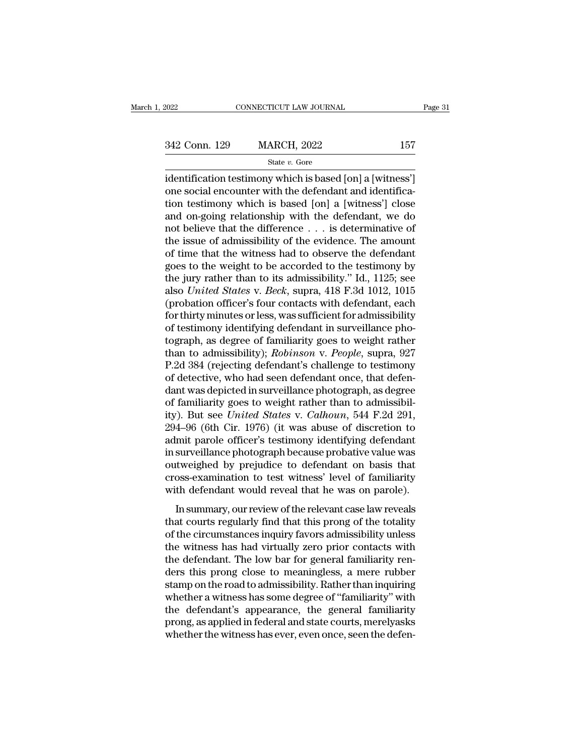Fage 3.<br>
1622 Conn. 129 MARCH, 2022 157<br>
1622 State v. Gore<br>
1621 Gore<br>
1622 157<br>
1622 State v. Gore<br>
1622 157<br>
1622 157<br>
1622 157<br>
1622 157<br>
1622 157<br>
1622 157<br>
1622 157<br>
1622 157<br>
1622 157<br>
1622 1633<br>
1622 1633<br>
1622 163 342 Conn. 129 MARCH, 2022 157<br>
State  $v$ . Gore<br>
identification testimony which is based [on] a [witness']<br>
one social encounter with the defendant and identifica-<br>
tion testimony which is based [on] a [witness'] close<br>
an 342 Conn. 129 MARCH, 2022 157<br>
State v. Gore<br>
identification testimony which is based [on] a [witness']<br>
one social encounter with the defendant and identifica-<br>
tion testimony which is based [on] a [witness'] close<br>
and 342 Conn. 129 MARCH, 2022 157<br>
state v. Gore<br>
identification testimony which is based [on] a [witness']<br>
one social encounter with the defendant and identifica-<br>
tion testimony which is based [on] a [witness'] close<br>
and State v. Gore<br>
identification testimony which is based [on] a [witness']<br>
one social encounter with the defendant and identifica-<br>
tion testimony which is based [on] a [witness'] close<br>
and on-going relationship with the state v. Gore<br>identification testimony which is based [on] a [witness']<br>one social encounter with the defendant and identifica-<br>tion testimony which is based [on] a [witness'] close<br>and on-going relationship with the defe identification testimony which is based [on] a [witness']<br>one social encounter with the defendant and identifica-<br>tion testimony which is based [on] a [witness'] close<br>and on-going relationship with the defendant, we do<br>no one social encounter with the defendant and identification testimony which is based [on] a [witness'] close<br>and on-going relationship with the defendant, we do<br>not believe that the difference  $\dots$  is determinative of<br>the tion testimony which is based [on] a [witness'] close<br>and on-going relationship with the defendant, we do<br>not believe that the difference  $\ldots$  is determinative of<br>the issue of admissibility of the evidence. The amount<br>of and on-going relationship with the defendant, we do<br>not believe that the difference . . . is determinative of<br>the issue of admissibility of the evidence. The amount<br>of time that the witness had to observe the defendant<br>goe not believe that the difference  $\ldots$  is determinative of<br>the issue of admissibility of the evidence. The amount<br>of time that the witness had to observe the defendant<br>goes to the weight to be accorded to the testimony by<br> the issue of admissibility of the evidence. The amount<br>of time that the witness had to observe the defendant<br>goes to the weight to be accorded to the testimony by<br>the jury rather than to its admissibility." Id., 1125; see<br> of time that the witness had to observe the defendant<br>goes to the weight to be accorded to the testimony by<br>the jury rather than to its admissibility." Id., 1125; see<br>also *United States* v. *Beck*, supra, 418 F.3d 1012, 1 goes to the weight to be accorded to the testimony by<br>the jury rather than to its admissibility." Id., 1125; see<br>also *United States* v. *Beck*, supra, 418 F.3d 1012, 1015<br>(probation officer's four contacts with defendant, the jury rather than to its admissibility." Id., 1125; see<br>also *United States* v. *Beck*, supra, 418 F.3d 1012, 1015<br>(probation officer's four contacts with defendant, each<br>for thirty minutes or less, was sufficient for a also United States v. Beck, supra, 418 F.3d 1012, 1015<br>(probation officer's four contacts with defendant, each<br>for thirty minutes or less, was sufficient for admissibility<br>of testimony identifying defendant in surveillance (probation officer's four contacts with defendant, each<br>for thirty minutes or less, was sufficient for admissibility<br>of testimony identifying defendant in surveillance pho-<br>tograph, as degree of familiarity goes to weight for thirty minutes or less, was sufficient for admissibility<br>of testimony identifying defendant in surveillance pho-<br>tograph, as degree of familiarity goes to weight rather<br>than to admissibility); *Robinson* v. *People*, of testimony identifying defendant in surveillance photograph, as degree of familiarity goes to weight rather than to admissibility); *Robinson v. People*, supra, 927 P.2d 384 (rejecting defendant's challenge to testimony tograph, as degree of familiarity goes to weight rather<br>than to admissibility); *Robinson* v. *People*, supra, 927<br>P.2d 384 (rejecting defendant's challenge to testimony<br>of detective, who had seen defendant once, that defe than to admissibility); *Robinson* v. *People*, supra, 927<br>P.2d 384 (rejecting defendant's challenge to testimony<br>of detective, who had seen defendant once, that defen-<br>dant was depicted in surveillance photograph, as degr P.2d 384 (rejecting defendant's challenge to testimony<br>of detective, who had seen defendant once, that defen-<br>dant was depicted in surveillance photograph, as degree<br>of familiarity goes to weight rather than to admissibilof detective, who had seen defendant once, that defendant was depicted in surveillance photograph, as degree of familiarity goes to weight rather than to admissibility). But see *United States v. Calhoun*, 544 F.2d 291, 29 dant was depicted in surveillance photograph, as degree<br>of familiarity goes to weight rather than to admissibil-<br>ity). But see *United States* v. *Calhoun*, 544 F.2d 291,<br>294–96 (6th Cir. 1976) (it was abuse of discretion of familiarity goes to weight rather than to admissibility). But see *United States* v. *Calhoun*, 544 F.2d 291, 294–96 (6th Cir. 1976) (it was abuse of discretion to admit parole officer's testimony identifying defendant ity). But see *United States* v. *Calhoun*, 544 F.2d 291, 294–96 (6th Cir. 1976) (it was abuse of discretion to admit parole officer's testimony identifying defendant in surveillance photograph because probative value was I so (car on. 1910) (it was assass of discretion to<br>mit parole officer's testimony identifying defendant<br>surveillance photograph because probative value was<br>tweighed by prejudice to defendant on basis that<br>oss-examination that the particle photograph because probative value was<br>outweighed by prejudice to defendant on basis that<br>cross-examination to test witness' level of familiarity<br>with defendant would reveal that he was on parole).<br>In sum

outweighed by prejudice to defendant on basis that<br>cross-examination to test witness' level of familiarity<br>with defendant would reveal that he was on parole).<br>In summary, our review of the relevant case law reveals<br>that co Examples a sy prejudice to determine on state diac<br>cross-examination to test witness' level of familiarity<br>with defendant would reveal that he was on parole).<br>In summary, our review of the relevant case law reveals<br>that co the defendant would reveal that he was on parole).<br>In summary, our review of the relevant case law reveals<br>that courts regularly find that this prong of the totality<br>of the circumstances inquiry favors admissibility unless In summary, our review of the relevant case law reveals<br>that courts regularly find that this prong of the totality<br>of the circumstances inquiry favors admissibility unless<br>the witness has had virtually zero prior contacts In summary, our review of the relevant case law reveals<br>that courts regularly find that this prong of the totality<br>of the circumstances inquiry favors admissibility unless<br>the witness has had virtually zero prior contacts that courts regularly find that this prong of the totality<br>of the circumstances inquiry favors admissibility unless<br>the witness has had virtually zero prior contacts with<br>the defendant. The low bar for general familiarity of the circumstances inquiry favors admissibility unless<br>the witness has had virtually zero prior contacts with<br>the defendant. The low bar for general familiarity ren-<br>ders this prong close to meaningless, a mere rubber<br>st the witness has had virtually zero prior contacts with<br>the defendant. The low bar for general familiarity ren-<br>ders this prong close to meaningless, a mere rubber<br>stamp on the road to admissibility. Rather than inquiring<br>w the defendant. The low bar for general familiarity renders this prong close to meaningless, a mere rubber stamp on the road to admissibility. Rather than inquiring whether a witness has some degree of "familiarity" with th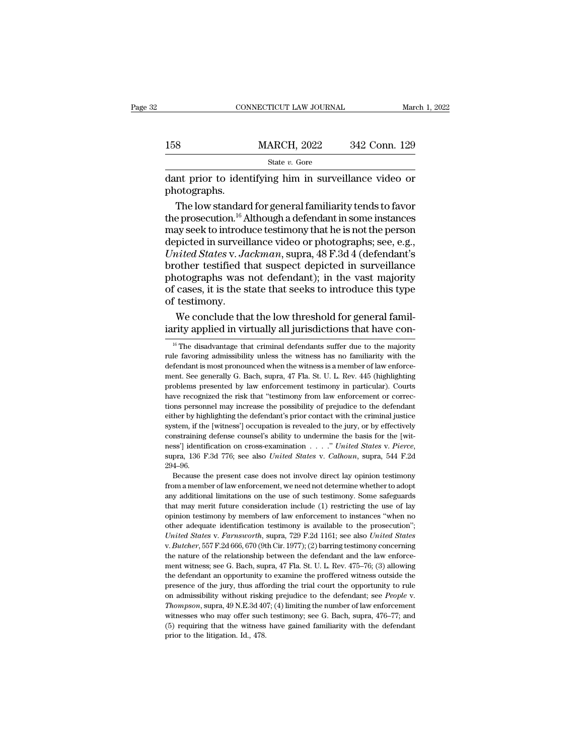|              | CONNECTICUT LAW JOURNAL                                                                                                                                                                       | March 1, 2022 |
|--------------|-----------------------------------------------------------------------------------------------------------------------------------------------------------------------------------------------|---------------|
|              |                                                                                                                                                                                               |               |
| 158          | MARCH, 2022                                                                                                                                                                                   | 342 Conn. 129 |
|              | State v. Gore                                                                                                                                                                                 |               |
| photographs. | dant prior to identifying him in surveillance video or                                                                                                                                        |               |
|              | The low standard for general familiarity tends to favor<br>the prosecution. <sup>16</sup> Although a defendant in some instances<br>may seek to introduce testimony that he is not the person |               |

158 MARCH, 2022 342 Conn. 129<br>
State v. Gore<br>
dant prior to identifying him in surveillance video or<br>
photographs.<br>
The low standard for general familiarity tends to favor<br>
the prosecution.<sup>16</sup> Although a defendant in som State v. Gore<br>
dant prior to identifying him in surveillance video or<br>
photographs.<br>
The low standard for general familiarity tends to favor<br>
the prosecution.<sup>16</sup> Although a defendant in some instances<br>
may seek to introd siate v. Gore<br>
dant prior to identifying him in surveillance video or<br>
photographs.<br>
The low standard for general familiarity tends to favor<br>
the prosecution.<sup>16</sup> Although a defendant in some instances<br>
may seek to introd dant prior to identifying him in surveillance video or<br>photographs.<br>The low standard for general familiarity tends to favor<br>the prosecution.<sup>16</sup> Although a defendant in some instances<br>may seek to introduce testimony that h photographs.<br>The low standard for general familiarity tends to favor<br>the prosecution.<sup>16</sup> Although a defendant in some instances<br>may seek to introduce testimony that he is not the person<br>depicted in surveillance video or p The low standard for general familiarity tends to favor<br>the prosecution.<sup>16</sup> Although a defendant in some instances<br>may seek to introduce testimony that he is not the person<br>depicted in surveillance video or photographs; s the prosecution.<sup>16</sup> Although a defendant in some instances<br>may seek to introduce testimony that he is not the person<br>depicted in surveillance video or photographs; see, e.g.,<br>*United States v. Jackman*, supra, 48 F.3d 4 ( may seek to introdu<br>depicted in surveil<br>*United States v. Ja*<br>brother testified tl<br>photographs was<br>of cases, it is the s<br>of testimony.<br>We conclude tha picted in surveillance video or photographs; see, e.g., *iited States v. Jackman*, supra, 48 F.3d 4 (defendant's other testified that suspect depicted in surveillance otographs was not defendant); in the vast majority case United States v. Jackman, supra, 48 F.3d 4 (defendant's brother testified that suspect depicted in surveillance photographs was not defendant); in the vast majority of cases, it is the state that seeks to introduce this t

If the disadvantage that the low threshold for general famility applied in virtually all jurisdictions that have contributed in virtually all jurisdictions that have contributed to the majority of the disadvantage that cri

ness'] identification on cross-examination . . . . ." United States v. Pierce, supra, 136 F.3d 776; see also United States v. Calhoun, supra, 544 F.2d 294–96.<br>Because the present case does not involve direct lay opinion t supra, 136 F.3d 776; see also *United States v. Calhoun*, supra, 544 F.2d 294–96.<br>
Because the present case does not involve direct lay opinion testimony<br>
from a member of law enforcement, we need not determine whether to space the present case does not involve direct lay opinion testimony<br>
from a member of law enforcement, we need not determine whether to adopt<br>
any additional limitations on the use of such testimony. Some safeguards<br>
that Because the present case does not involve direct lay opinion testimony<br>from a member of law enforcement, we need not determine whether to adopt<br>any additional limitations on the use of such testimony. Some safeguards<br>that *United States* we present case also *Hostates* and *Lee alg* optical cestually from a member of law enforcement, we need not determine whether to adopt any additional limitations on the use of such testimony. Some safegua that may merit future consideration include (1) restricting the use of lay opinion testimony by members of law enforcement to instances "when no other adequate identification testimony is available to the prosecution"; *U* opinion testimony by members of law enforcement to instances "when no<br>other adequate identification testimony is available to the prosecution";<br>*United States v. Farnsworth*, supra, 729 F.2d 1161; see also *United States*<br> other adequate identification testimony is available to the prosecution";<br>United States v. Farnsworth, supra, 729 F.2d 1161; see also United States<br>v. Butcher, 557 F.2d 666, 670 (9th Cir. 1977); (2) barring testimony conce United States v. Farnsworth, supra, 729 F.2d 1161; see also United States v. Butcher, 557 F.2d 666, 670 (9th Cir. 1977); (2) barring testimony concerning the nature of the relationship between the defendant and the law en v. *Butcher*, 557 F.2d 666, 670 (9th Cir. 1977); (2) barring testimony concerning the nature of the relationship between the defendant and the law enforcement witness; see G. Bach, supra, 47 Fla. St. U. L. Rev. 475–76; (3) ment witness; see G. Bach, supra, 47 Fla. St. U. L. Rev. 475–76; (3) allowing the defendant an opportunity to examine the proffered witness outside the presence of the jury, thus affording the trial court the opportunity ment witness; see G. Bach, supra, 47 Fla. St. U. L. Rev. 475–76; (3) allowing the defendant an opportunity to examine the proffered witness outside the presence of the jury, thus affording the trial court the opportunity presence of the jury, thus affording the trial court the opportunity to rule

of testimony.<br>We conclude that the low threshold for general familiarity applied in virtually all jurisdictions that have con-<br><sup>16</sup> The disadvantage that criminal defendants suffer due to the majority<br>rule favoring admissi We conclude that the low threshold for general familiarity applied in virtually all jurisdictions that have con-<br><sup>16</sup> The disadvantage that criminal defendants suffer due to the majority rule favoring admissibility unless We conclude that the low threshold for general randi-<br>iarity applied in virtually all jurisdictions that have con-<br><sup>16</sup> The disadvantage that criminal defendants suffer due to the majority<br>rule favoring admissibility unles Example in the distribution of the majority of the distribution of the majority of the distribution distribution of the majority with the defendant is most pronounced when the witness is a member of law enforcement. See g <sup>16</sup> The disadvantage that criminal defendants suffer due to the majority rule favoring admissibility unless the witness has no familiarity with the defendant is most pronounced when the witness is a member of law enforce The favoring admissibility unless the witness has no familiarity with the defendant is most pronounced when the witness is a member of law enforcement. See generally G. Bach, supra, 47 Fla. St. U. L. Rev. 445 (highlighting either by highlighting the defendant's most pronounced when the witness is a member of law enforcement. See generally G. Bach, supra, 47 Fla. St. U. L. Rev. 445 (highlighting problems presented by law enforcement testimony system, if the generally G. Bach, supra, 47 Fla. St. U. L. Rev. 445 (highlighting problems presented by law enforcement testimony in particular). Courts have recognized the risk that "testimony from law enforcement or corr problems presented by law enforcement testimony in particular). Courts<br>have recognized the risk that "testimony from law enforcement or corrections personnel may increase the possibility of prejudice to the defendant<br>eith have recognized the risk that "testimony from law enforcement or corrections personnel may increase the possibility of prejudice to the defendant either by highlighting the defendant's prior contact with the criminal justi 294–96. stem, if the [witness'] occupation is revealed to the jury, or by effectively natraining defense counsel's ability to undermine the basis for the [wit-<br>ss'] identification on cross-examination . . . . " United States v. P from a member of law enforcement, we need not determine that a member of limitial defense counsel's ability to undermine the basis for the [witness'] identification on cross-examination  $\ldots$ ." United States v. Pierce, su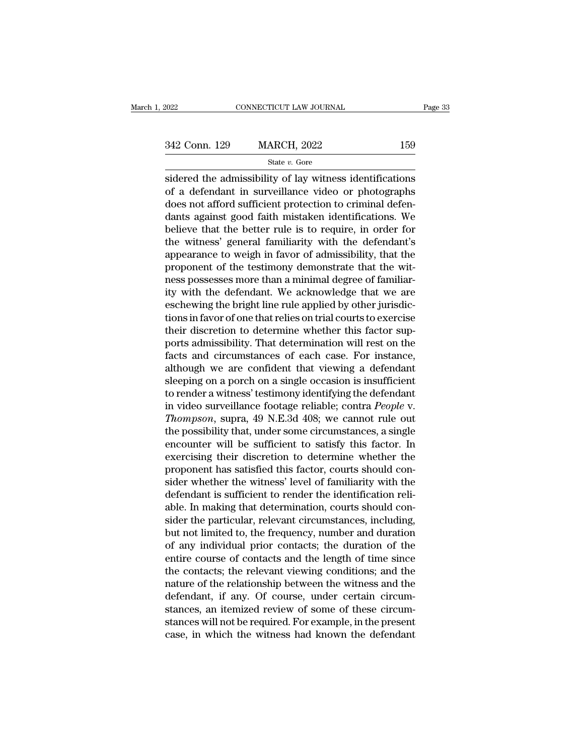342 Conn. 129 MARCH, 2022 <sup>159</sup>

State *v.* Gore

Fage 33<br>
state v. Gore<br>
Sidered the admissibility of lay witness identifications<br>
of a defendant in surveillance video or photographs<br>
state v. Gore<br>
state v. Gore<br>
state v. Gore<br>
state v. Gore<br>
or photographs<br>
does not of 342 Conn. 129 MARCH, 2022 159<br>
State v. Gore<br>
sidered the admissibility of lay witness identifications<br>
of a defendant in surveillance video or photographs<br>
does not afford sufficient protection to criminal defen-<br>
danta  $\frac{342 \text{ Conn. } 129}{\text{State } v. \text{ Gore}}$ <br>  $\frac{\text{State } v. \text{ Gore}}{\text{sidered the admissibility of lay witness identifications}}$ <br>
of a defendant in surveillance video or photographs<br>
does not afford sufficient protection to criminal defen-<br>
dants against good faith mistaken identifica 342 Conn. 129 MARCH, 2022 159<br>
State v. Gore<br>
sidered the admissibility of lay witness identifications<br>
of a defendant in surveillance video or photographs<br>
does not afford sufficient protection to criminal defen-<br>
dants State  $v$ . Gore<br>
sidered the admissibility of lay witness identifications<br>
of a defendant in surveillance video or photographs<br>
does not afford sufficient protection to criminal defen-<br>
dants against good faith mistaken i sidered the admissibility of lay witness identifications<br>of a defendant in surveillance video or photographs<br>does not afford sufficient protection to criminal defen-<br>dants against good faith mistaken identifications. We<br>b sidered the admissibility of lay witness identifications<br>of a defendant in surveillance video or photographs<br>does not afford sufficient protection to criminal defen-<br>dants against good faith mistaken identifications. We<br>be of a defendant in surveillance video or photographs<br>does not afford sufficient protection to criminal defen-<br>dants against good faith mistaken identifications. We<br>believe that the better rule is to require, in order for<br>th does not afford sufficient protection to criminal defendants against good faith mistaken identifications. We believe that the better rule is to require, in order for the witness' general familiarity with the defendant's ap dants against good faith mistaken identifications. We<br>believe that the better rule is to require, in order for<br>the witness' general familiarity with the defendant's<br>appearance to weigh in favor of admissibility, that the<br>p believe that the better rule is to require, in order for<br>the witness' general familiarity with the defendant's<br>appearance to weigh in favor of admissibility, that the<br>proponent of the testimony demonstrate that the wit-<br>ne the witness' general familiarity with the defendant's<br>appearance to weigh in favor of admissibility, that the<br>proponent of the testimony demonstrate that the wit-<br>ness possesses more than a minimal degree of familiar-<br>ity appearance to weigh in favor of admissibility, that the proponent of the testimony demonstrate that the witness possesses more than a minimal degree of familiarity with the defendant. We acknowledge that we are eschewing t proponent of the testimony demonstrate that the wit-<br>ness possesses more than a minimal degree of familiar-<br>ity with the defendant. We acknowledge that we are<br>eschewing the bright line rule applied by other jurisdic-<br>tions ness possesses more than a minimal degree of familiarity with the defendant. We acknowledge that we are eschewing the bright line rule applied by other jurisdictions in favor of one that relies on trial courts to exercise ity with the defendant. We acknowledge that we are<br>eschewing the bright line rule applied by other jurisdic-<br>tions in favor of one that relies on trial courts to exercise<br>their discretion to determine whether this factor s eschewing the bright line rule applied by other jurisdictions in favor of one that relies on trial courts to exercise<br>their discretion to determine whether this factor sup-<br>ports admissibility. That determination will rest tions in favor of one that relies on trial courts to exercise<br>their discretion to determine whether this factor sup-<br>ports admissibility. That determination will rest on the<br>facts and circumstances of each case. For insta their discretion to determine whether this factor sup-<br>ports admissibility. That determination will rest on the<br>facts and circumstances of each case. For instance,<br>although we are confident that viewing a defendant<br>sleepin ports admissibility. That determination will rest on the<br>facts and circumstances of each case. For instance,<br>although we are confident that viewing a defendant<br>sleeping on a porch on a single occasion is insufficient<br>to re facts and circumstances of each case. For instance,<br>although we are confident that viewing a defendant<br>sleeping on a porch on a single occasion is insufficient<br>to render a witness' testimony identifying the defendant<br>in vi although we are confident that viewing a defendant<br>sleeping on a porch on a single occasion is insufficient<br>to render a witness' testimony identifying the defendant<br>in video surveillance footage reliable; contra *People* v sleeping on a porch on a single occasion is insufficient<br>to render a witness' testimony identifying the defendant<br>in video surveillance footage reliable; contra *People v.<br>Thompson*, supra, 49 N.E.3d 408; we cannot rule ou to render a witness' testimony identifying the defendant<br>in video surveillance footage reliable; contra *People v.<br>Thompson*, supra, 49 N.E.3d 408; we cannot rule out<br>the possibility that, under some circumstances, a singl in video surveillance footage reliable; contra *People v.*<br>Thompson, supra, 49 N.E.3d 408; we cannot rule out<br>the possibility that, under some circumstances, a single<br>encounter will be sufficient to satisfy this factor. In Thompson, supra, 49 N.E.3d 408; we cannot rule out<br>the possibility that, under some circumstances, a single<br>encounter will be sufficient to satisfy this factor. In<br>exercising their discretion to determine whether the<br>propo the possibility that, under some circumstances, a single<br>encounter will be sufficient to satisfy this factor. In<br>exercising their discretion to determine whether the<br>proponent has satisfied this factor, courts should con-<br> encounter will be sufficient to satisfy this factor. In exercising their discretion to determine whether the proponent has satisfied this factor, courts should consider whether the witness' level of familiarity with the de exercising their discretion to determine whether the<br>proponent has satisfied this factor, courts should con-<br>sider whether the witness' level of familiarity with the<br>defendant is sufficient to render the identification rel proponent has satisfied this factor, courts should consider whether the witness' level of familiarity with the defendant is sufficient to render the identification reliable. In making that determination, courts should cons sider whether the witness' level of familiarity with the<br>defendant is sufficient to render the identification reli-<br>able. In making that determination, courts should con-<br>sider the particular, relevant circumstances, inclu defendant is sufficient to render the identification reli-<br>able. In making that determination, courts should con-<br>sider the particular, relevant circumstances, including,<br>but not limited to, the frequency, number and durat able. In making that determination, courts should consider the particular, relevant circumstances, including, but not limited to, the frequency, number and duration of any individual prior contacts; the duration of the ent sider the particular, relevant circumstances, including,<br>but not limited to, the frequency, number and duration<br>of any individual prior contacts; the duration of the<br>entire course of contacts and the length of time since<br>t but not limited to, the frequency, number and duration<br>of any individual prior contacts; the duration of the<br>entire course of contacts and the length of time since<br>the contacts; the relevant viewing conditions; and the<br>nat of any individual prior contacts; the duration of the<br>entire course of contacts and the length of time since<br>the contacts; the relevant viewing conditions; and the<br>nature of the relationship between the witness and the<br>def entire course of contacts and the length of time since<br>the contacts; the relevant viewing conditions; and the<br>nature of the relationship between the witness and the<br>defendant, if any. Of course, under certain circum-<br>stanc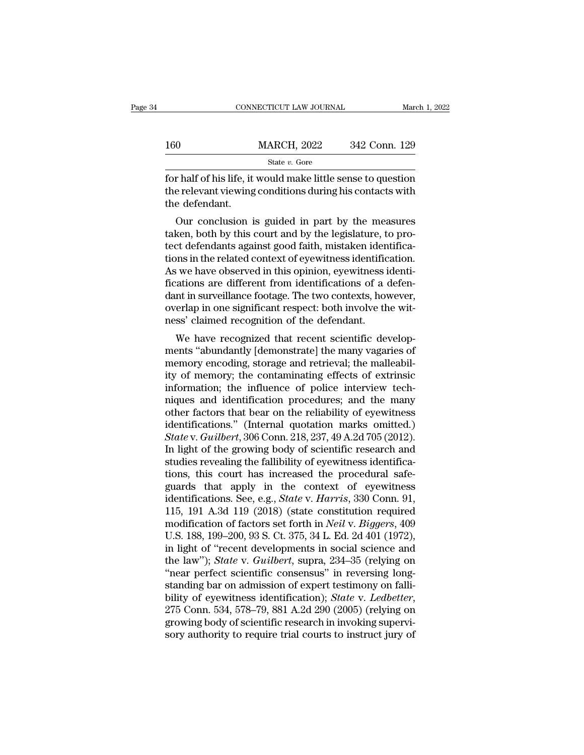|               | CONNECTICUT LAW JOURNAL                                                                                                  |               | March 1, 2022 |
|---------------|--------------------------------------------------------------------------------------------------------------------------|---------------|---------------|
| 160           | <b>MARCH, 2022</b>                                                                                                       | 342 Conn. 129 |               |
|               | State $v$ . Gore                                                                                                         |               |               |
| tha dafandant | for half of his life, it would make little sense to question<br>the relevant viewing conditions during his contacts with |               |               |

160 MARCH, 2022 342 Conn. 129<br>State v. Gore<br>for half of his life, it would make little sense to question<br>the relevant viewing conditions during his contacts with<br>the defendant. 160<br>
for half of his life, it<br>
the relevant viewing<br>
the defendant.<br>
Our conclusion i  $\begin{array}{r} \text{MARCH, 2022} \qquad 342 \text{ Conn. } 129 \ \text{State } v. \text{ Gore} \end{array}$ <br>
Thalf of his life, it would make little sense to question<br>
e relevant viewing conditions during his contacts with<br>
e defendant.<br>
Our conclusion is guided in part b

State  $v$ . Gore<br>
for half of his life, it would make little sense to question<br>
the relevant viewing conditions during his contacts with<br>
the defendant.<br>
Our conclusion is guided in part by the measures<br>
taken, both by thi for half of his life, it would make little sense to question<br>the relevant viewing conditions during his contacts with<br>the defendant.<br>Our conclusion is guided in part by the measures<br>taken, both by this court and by the leg for harmon ins me, it would hake interestise to question<br>the relevant viewing conditions during his contacts with<br>the defendant.<br>Our conclusion is guided in part by the measures<br>taken, both by this court and by the legisla the defendant.<br>
Our conclusion is guided in part by the measures<br>
taken, both by this court and by the legislature, to pro-<br>
tect defendants against good faith, mistaken identifica-<br>
tions in the related context of eyewitn follow the measures taken, both by this court and by the legislature, to protect defendants against good faith, mistaken identifications in the related context of eyewitness identification.<br>As we have observed in this opin Our conclusion is guided in part by the measures<br>taken, both by this court and by the legislature, to pro-<br>tect defendants against good faith, mistaken identifica-<br>tions in the related context of eyewitness identification. taken, both by this court and by the legislature, to protect defendants against good faith, mistaken identifications in the related context of eyewitness identification.<br>As we have observed in this opinion, eyewitness iden tect defendants against good faith, mistaken iden<br>tions in the related context of eyewitness identific<br>As we have observed in this opinion, eyewitness i<br>fications are different from identifications of a d<br>dant in surveilla It is in the related collext of eyewithess identification.<br>
Since the related context of eyewithess identifications:<br>
Since that in surveillance footage. The two contexts, however,<br>
erlap in one significant respect: both i As we have observed in this opinion, eyewithess identifications are different from identifications of a defendant in surveillance footage. The two contexts, however, overlap in one significant respect: both involve the wit

memory and weight and the malleability of memory; the and retrieval; the malleabil-<br>memory encognized that recent scientific developments "abundantly [demonstrate] the many vagaries of<br>memory encoding, storage and retrieva dant in surventance footage. The two contexts, nowever,<br>overlap in one significant respect: both involve the wit-<br>ness' claimed recognition of the defendant.<br>We have recognized that recent scientific develop-<br>ments "abunda overlap in one significant respect, both involve the whi-<br>ness' claimed recognition of the defendant.<br>We have recognized that recent scientific develop-<br>ments "abundantly [demonstrate] the many vagaries of<br>memory encoding, ness claimed recognition of the defendant.<br>We have recognized that recent scientific develop-<br>ments "abundantly [demonstrate] the many vagaries of<br>memory encoding, storage and retrieval; the malleabil-<br>ity of memory; the c We have recognized that recent scientific developments "abundantly [demonstrate] the many vagaries of memory encoding, storage and retrieval; the malleability of memory; the contaminating effects of extrinsic information; ments "abundantly [demonstrate] the many vagaries of<br>memory encoding, storage and retrieval; the malleabil-<br>ity of memory; the contaminating effects of extrinsic<br>information; the influence of police interview tech-<br>niques memory encoding, storage and retrieval; the malleability of memory; the contaminating effects of extrinsic information; the influence of police interview techniques and identification procedures; and the many other factors ity of memory; the contaminating effects of extrinsic<br>information; the influence of police interview tech-<br>niques and identification procedures; and the many<br>other factors that bear on the reliability of eyewitness<br>identif information; the influence of police interview techniques and identification procedures; and the many other factors that bear on the reliability of eyewitness identifications." (Internal quotation marks omitted.) State v. miques and identification procedures; and the many<br>other factors that bear on the reliability of eyewitness<br>identifications." (Internal quotation marks omitted.)<br>State v. Guilbert, 306 Conn. 218, 237, 49 A.2d 705 (2012).<br> other factors that bear on the reliability of eyewitness<br>identifications." (Internal quotation marks omitted.)<br>State v. Guilbert, 306 Conn. 218, 237, 49 A.2d 705 (2012).<br>In light of the growing body of scientific research identifications." (Internal quotation marks omitted.)<br> *State* v. *Guilbert*, 306 Conn. 218, 237, 49 A.2d 705 (2012).<br>
In light of the growing body of scientific research and<br>
studies revealing the fallibility of eyewitnes State v. Guilbert, 306 Conn. 218, 237, 49 A.2d 705 (2012).<br>In light of the growing body of scientific research and<br>studies revealing the fallibility of eyewitness identifica-<br>tions, this court has increased the procedural In light of the growing body of scientific research and<br>studies revealing the fallibility of eyewitness identifica-<br>tions, this court has increased the procedural safe-<br>guards that apply in the context of eyewitness<br>identi studies revealing the fallibility of eyewitness identifications, this court has increased the procedural safe-<br>guards that apply in the context of eyewitness<br>identifications. See, e.g., *State v. Harris*, 330 Conn. 91,<br>115 tions, this court has increased the procedural safe-<br>guards that apply in the context of eyewitness<br>identifications. See, e.g., *State* v. *Harris*, 330 Conn. 91,<br>115, 191 A.3d 119 (2018) (state constitution required<br>modif guards that apply in the context of eyewitness<br>identifications. See, e.g., *State* v. *Harris*, 330 Conn. 91,<br>115, 191 A.3d 119 (2018) (state constitution required<br>modification of factors set forth in *Neil* v. *Biggers*, identifications. See, e.g., *State* v. *Harris*, 330 Conn. 91, 115, 191 A.3d 119 (2018) (state constitution required modification of factors set forth in *Neil* v. *Biggers*, 409 U.S. 188, 199–200, 93 S. Ct. 375, 34 L. Ed. 115, 191 A.3d 119 (2018) (state constitution required<br>modification of factors set forth in *Neil* v. *Biggers*, 409<br>U.S. 188, 199–200, 93 S. Ct. 375, 34 L. Ed. 2d 401 (1972),<br>in light of "recent developments in social sci modification of factors set forth in *Neil* v. *Biggers*, 409<br>U.S. 188, 199–200, 93 S. Ct. 375, 34 L. Ed. 2d 401 (1972),<br>in light of "recent developments in social science and<br>the law"); *State* v. *Guilbert*, supra, 234–3 in light of "recent developments in social science and<br>the law"); *State* v. *Guilbert*, supra, 234–35 (relying on<br>"near perfect scientific consensus" in reversing long-<br>standing bar on admission of expert testimony on fal the law"); *State* v. *Guilbert*, supra, 234–35 (relying on "near perfect scientific consensus" in reversing long-<br>standing bar on admission of expert testimony on falli-<br>bility of eyewitness identification); *State* v. *L*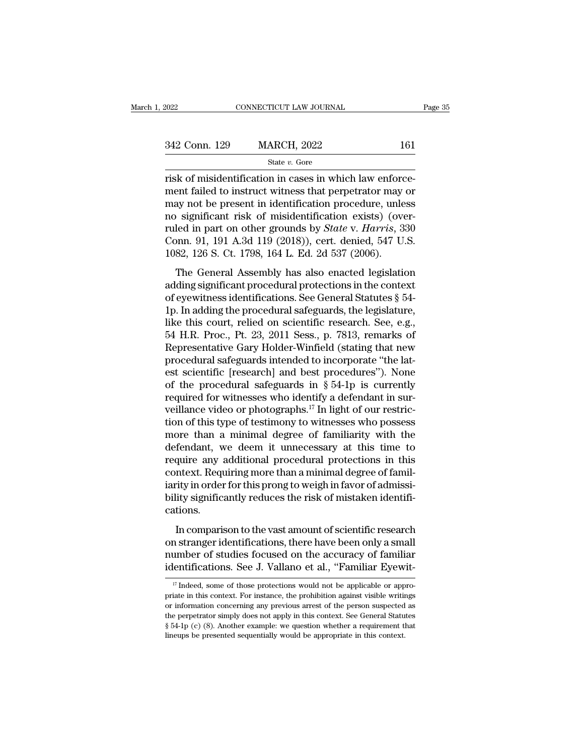| 2022          | CONNECTICUT LAW JOURNAL |     | Page 35 |
|---------------|-------------------------|-----|---------|
|               |                         |     |         |
| 342 Conn. 129 | <b>MARCH, 2022</b>      | 161 |         |
|               | State $v$ . Gore        |     |         |

 $\begin{array}{r|l} \text{nonreduction law Journal} \ \hline \text{non. 129} & \text{MARCH, 2022} & \text{161} \ \hline \text{state } v. \text{ Gore} \ \text{risk of misidentification in cases in which law enforcement failed to instruct witness that perpetator may or may not be present in identification procedure, unless the effect of the model.} \end{array}$ 342 Conn. 129 MARCH, 2022 161<br>
State v. Gore<br>
Tisk of misidentification in cases in which law enforce-<br>
ment failed to instruct witness that perpetrator may or<br>
may not be present in identification procedure, unless<br>
no s 342 Conn. 129 MARCH, 2022 161<br>
State v. Gore<br>
Trisk of misidentification in cases in which law enforce-<br>
ment failed to instruct witness that perpetrator may or<br>
may not be present in identification procedure, unless<br>
no 342 Conn. 129 MARCH, 2022 161<br>
State *v*. Gore<br>
risk of misidentification in cases in which law enforce-<br>
ment failed to instruct witness that perpetrator may or<br>
may not be present in identification procedure, unless<br>
no state *v*. Gore<br>
risk of misidentification in cases in which law enforce-<br>
ment failed to instruct witness that perpetrator may or<br>
may not be present in identification procedure, unless<br>
no significant risk of misidentifi state v. Gore<br>
risk of misidentification in cases in which law enforce-<br>
ment failed to instruct witness that perpetrator may or<br>
may not be present in identification procedure, unless<br>
no significant risk of misidentific risk of misidentification in cases in which law enform<br>ment failed to instruct witness that perpetrator may<br>may not be present in identification procedure, unle<br>no significant risk of misidentification exists) (over<br>uled i ay not be present in identification procedure, unless<br>
is ginificant risk of misidentification exists) (over-<br>
led in part on other grounds by *State* v. *Harris*, 330<br>
binn. 91, 191 A.3d 119 (2018)), cert. denied, 547 U. and in the procedure procedure, and some procedure in part on other grounds by *State* v. *Harris*, 330 Conn. 91, 191 A.3d 119 (2018)), cert. denied, 547 U.S. 1082, 126 S. Ct. 1798, 164 L. Ed. 2d 537 (2006).<br>The General A

For eigenfield in part on other grounds by *State v. Harris*, 330<br>Conn. 91, 191 A.3d 119 (2018)), cert. denied, 547 U.S.<br>1082, 126 S. Ct. 1798, 164 L. Ed. 2d 537 (2006).<br>The General Assembly has also enacted legislation<br>a Fraction 19.1 191 A.3d 119 (2018)), cert. denied, 547 U.S.<br>
1082, 126 S. Ct. 1798, 164 L. Ed. 2d 537 (2006).<br>
The General Assembly has also enacted legislation<br>
adding significant procedural protections in the context<br>
of 1082, 126 S. Ct. 1798, 164 L. Ed. 2d 537 (2006).<br>
The General Assembly has also enacted legislation<br>
adding significant procedural protections in the context<br>
of eyewitness identifications. See General Statutes  $\S$  54-<br>
1 The General Assembly has also enacted legislation<br>adding significant procedural protections in the context<br>of eyewitness identifications. See General Statutes § 54-<br>1p. In adding the procedural safeguards, the legislature, The General Assembly has also enacted legislation<br>adding significant procedural protections in the context<br>of eyewitness identifications. See General Statutes § 54-<br>1p. In adding the procedural safeguards, the legislature, adding significant procedural protections in the context<br>of eyewitness identifications. See General Statutes  $\S$  54-<br>1p. In adding the procedural safeguards, the legislature,<br>like this court, relied on scientific research of eyewitness identifications. See General Statutes  $\S$  54-<br>1p. In adding the procedural safeguards, the legislature,<br>like this court, relied on scientific research. See, e.g.,<br>54 H.R. Proc., Pt. 23, 2011 Sess., p. 7813, 1p. In adding the procedural safeguards, the legislature,<br>like this court, relied on scientific research. See, e.g.,<br>54 H.R. Proc., Pt. 23, 2011 Sess., p. 7813, remarks of<br>Representative Gary Holder-Winfield (stating that like this court, relied on scientific research. See, e.g.,<br>54 H.R. Proc., Pt. 23, 2011 Sess., p. 7813, remarks of<br>Representative Gary Holder-Winfield (stating that new<br>procedural safeguards intended to incorporate "the lat 54 H.R. Proc., Pt. 23, 2011 Sess., p. 7813, remarks of Representative Gary Holder-Winfield (stating that new procedural safeguards intended to incorporate "the latest scientific [research] and best procedures"). None of t Representative Gary Holder-Winfield (stating that new<br>procedural safeguards intended to incorporate "the lat-<br>est scientific [research] and best procedures"). None<br>of the procedural safeguards in § 54-1p is currently<br>requ procedural safeguards intended to incorporate "the lattest scientific [research] and best procedures"). None<br>of the procedural safeguards in  $\S 54-1p$  is currently<br>required for witnesses who identify a defendant in sur-<br>v est scientific [research] and best procedures"). None<br>of the procedural safeguards in  $\S 54$ -1p is currently<br>required for witnesses who identify a defendant in sur-<br>veillance video or photographs.<sup>17</sup> In light of our rest of the procedural safeguards in  $\S$  54-1p is currently<br>required for witnesses who identify a defendant in sur-<br>veillance video or photographs.<sup>17</sup> In light of our restric-<br>tion of this type of testimony to witnesses who p required for witnesses who identify a defendant in surveillance video or photographs.<sup>17</sup> In light of our restriction of this type of testimony to witnesses who possess more than a minimal degree of familiarity with the de veillance video or photographs.<sup>17</sup> In light of our restriction of this type of testimony to witnesses who possess<br>more than a minimal degree of familiarity with the<br>defendant, we deem it unnecessary at this time to<br>requir tion of this type of testimony to witnesses who possess<br>more than a minimal degree of familiarity with the<br>defendant, we deem it unnecessary at this time to<br>require any additional procedural protections in this<br>context. Re cations. Fordam, we dittind a procedural protections in this<br>quire any additional procedural protections in this<br>ntext. Requiring more than a minimal degree of famil-<br>ity in order for this prong to weigh in favor of admissi-<br>lity s require any additional procedural procedure in this<br>context. Requiring more than a minimal degree of famil-<br>iarity in order for this prong to weigh in favor of admissi-<br>bility significantly reduces the risk of mistaken ide

Fortunal requiring more diam a minimial algebra of radiative incritive in the accuracy of admissibility significantly reduces the risk of mistaken identifications.<br>In comparison to the vast amount of scientific research on identifications.<br>In comparison to the vast amount of scientific research<br>on stranger identifications, there have been only a small<br>number of studies focused on the accuracy of familiar<br>identifications. See J. Vallano et a In comparison to the vast amount of scientific research<br>n stranger identifications, there have been only a small<br>umber of studies focused on the accuracy of familiar<br>lentifications. See J. Vallano et al., "Familiar Eyewiton stranger identifications, there have been only a small<br>number of studies focused on the accuracy of familiar<br>identifications. See J. Vallano et al., "Familiar Eyewit-<br> $\frac{17}{17}$  Indeed, some of those protections would

number of studies focused on the accuracy of familiar identifications. See J. Vallano et al., "Familiar Eyewit-<br> $\frac{17}{17}$  Indeed, some of those protections would not be applicable or appropriate in this context. For ins identifications. See J. Vallano et al., "Familiar Eyewit-<br>
<sup>17</sup> Indeed, some of those protections would not be applicable or appro-<br>
priate in this context. For instance, the prohibition against visible writings<br>
or infor <sup>17</sup> Indeed, some of those protections would not be applicable or appropriate in this context. For instance, the prohibition against visible writings or information concerning any previous arrest of the person suspected a <sup>17</sup> Indeed, some of those protections would not be applicable or appriate in this context. For instance, the prohibition against visible writion or information concerning any previous arrest of the person suspected the p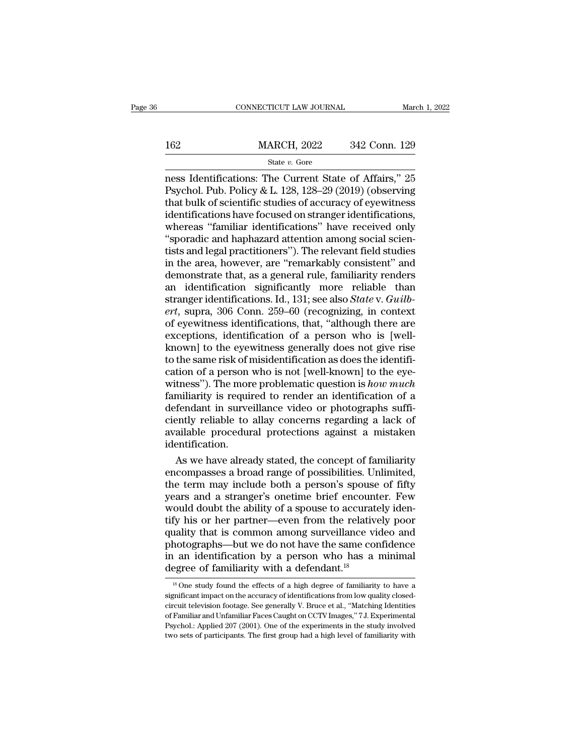# EXECUTE CONNECTICUT LAW JOURNAL March 1, 2022<br>162 MARCH, 2022 342 Conn. 129<br>162 State v. Gore

### State *v.* Gore

CONNECTICUT LAW JOURNAL March 1, 2022<br>
MARCH, 2022 342 Conn. 129<br>
State v. Gore<br>
ness Identifications: The Current State of Affairs," 25<br>
Psychol. Pub. Policy & L. 128, 128–29 (2019) (observing<br>
that bulk of scientific stu MARCH, 2022 342 Conn. 129<br>
State v. Gore<br>
Ress Identifications: The Current State of Affairs," 25<br>
Psychol. Pub. Policy & L. 128, 128–29 (2019) (observing<br>
that bulk of scientific studies of accuracy of eyewitness<br>
identif 162 MARCH, 2022 342 Conn. 129<br>
State v. Gore<br>
ness Identifications: The Current State of Affairs," 25<br>
Psychol. Pub. Policy & L. 128, 128–29 (2019) (observing<br>
that bulk of scientific studies of accuracy of eyewitness<br>
id 162 MARCH, 2022 342 Conn. 129<br>
State v. Gore<br>
ness Identifications: The Current State of Affairs," 25<br>
Psychol. Pub. Policy & L. 128, 128–29 (2019) (observing<br>
that bulk of scientific studies of accuracy of eyewitness<br>
id State v. Gore<br>
State v. Gore<br>
Resp. (2012) Cosmic 125<br>
Resp. 25<br>
Psychol. Pub. Policy & L. 128, 128–29 (2019) (observing<br>
that bulk of scientific studies of accuracy of eyewitness<br>
identifications have focused on stranger State v. Gore<br>
ness Identifications: The Current State of Affairs," 25<br>
Psychol. Pub. Policy & L. 128, 128–29 (2019) (observing<br>
that bulk of scientific studies of accuracy of eyewitness<br>
identifications have focused on st ness Identifications: The Current State of Affairs," 25<br>Psychol. Pub. Policy & L. 128, 128–29 (2019) (observing<br>that bulk of scientific studies of accuracy of eyewitness<br>identifications have focused on stranger identificat Psychol. Pub. Policy & L. 128, 128–29 (2019) (observing<br>that bulk of scientific studies of accuracy of eyewitness<br>identifications have focused on stranger identifications,<br>whereas "familiar identifications" have received o that bulk of scientific studies of accuracy of eyewitness<br>identifications have focused on stranger identifications,<br>whereas "familiar identifications" have received only<br>"sporadic and haphazard attention among social scie identifications have focused on stranger identifications,<br>whereas "familiar identifications" have received only<br>"sporadic and haphazard attention among social scien-<br>tists and legal practitioners"). The relevant field stud whereas "familiar identifications" have received only<br>"sporadic and haphazard attention among social scientists and legal practitioners"). The relevant field studies<br>in the area, however, are "remarkably consistent" and<br>de "sporadic and haphazard attention among social scientists and legal practitioners"). The relevant field studies<br>in the area, however, are "remarkably consistent" and<br>demonstrate that, as a general rule, familiarity renders tists and legal practitioners"). The relevant field studies<br>in the area, however, are "remarkably consistent" and<br>demonstrate that, as a general rule, familiarity renders<br>an identification significantly more reliable than<br> in the area, however, are "remarkably consistent" and<br>demonstrate that, as a general rule, familiarity renders<br>an identification significantly more reliable than<br>stranger identifications. Id., 131; see also *State* v. *Gui* demonstrate that, as a general rule, familiarity renders<br>an identification significantly more reliable than<br>stranger identifications. Id., 131; see also *State* v. *Guilb-*<br>ert, supra, 306 Conn. 259–60 (recognizing, in con an identification significantly more reliable than<br>stranger identifications. Id., 131; see also *State* v. *Guilb-*<br>*ert*, supra, 306 Conn. 259–60 (recognizing, in context<br>of eyewitness identifications, that, "although th stranger identifications. Id., 131; see also *State* v. *Guilb-*<br>*ert*, supra, 306 Conn. 259–60 (recognizing, in context<br>of eyewitness identifications, that, "although there are<br>exceptions, identification of a person who i ert, supra, 306 Conn. 259–60 (recognizing, in context<br>of eyewitness identifications, that, "although there are<br>exceptions, identification of a person who is [well-<br>known] to the eyewitness generally does not give rise<br>to t of eyewitness identifications, that, "although there are<br>exceptions, identification of a person who is [well-<br>known] to the eyewitness generally does not give rise<br>to the same risk of misidentification as does the identifi exceptions, identification of a person who is [well-known] to the eyewitness generally does not give rise<br>to the same risk of misidentification as does the identifi-<br>cation of a person who is not [well-known] to the eye-<br> known] to the eyewitness generally does not give rise<br>to the same risk of misidentification as does the identifi-<br>cation of a person who is not [well-known] to the eye-<br>witness"). The more problematic question is *how much* to the same risk of misidentification as does the identification of a person who is not [well-known] to the eyewitness"). The more problematic question is *how much* familiarity is required to render an identification of a identification. tness"). The more problematic question is *how much*<br>miliarity is required to render an identification of a<br>fendant in surveillance video or photographs suffi-<br>ently reliable to allay concerns regarding a lack of<br>ailable p familiarity is required to render an identification of a<br>defendant in surveillance video or photographs suffi-<br>ciently reliable to allay concerns regarding a lack of<br>available procedural protections against a mistaken<br>iden

defendant in surveillance video or photographs suffi-<br>ciently reliable to allay concerns regarding a lack of<br>available procedural protections against a mistaken<br>identification.<br>As we have already stated, the concept of fam ciently reliable to allay concerns regarding a lack of<br>available procedural protections against a mistaken<br>identification.<br>As we have already stated, the concept of familiarity<br>encompasses a broad range of possibilities. U available procedural protections against a mistaken<br>identification.<br>As we have already stated, the concept of familiarity<br>encompasses a broad range of possibilities. Unlimited,<br>the term may include both a person's spouse o identification.<br>As we have already stated, the concept of familiarity<br>encompasses a broad range of possibilities. Unlimited,<br>the term may include both a person's spouse of fifty<br>years and a stranger's onetime brief encount As we have already stated, the concept of familiarity<br>encompasses a broad range of possibilities. Unlimited,<br>the term may include both a person's spouse of fifty<br>years and a stranger's onetime brief encounter. Few<br>would do encompasses a broad range of possibilities. Unlimited,<br>the term may include both a person's spouse of fifty<br>years and a stranger's onetime brief encounter. Few<br>would doubt the ability of a spouse to accurately iden-<br>tify h the term may include both a person's spouse of fifty<br>years and a stranger's onetime brief encounter. Few<br>would doubt the ability of a spouse to accurately iden-<br>tify his or her partner—even from the relatively poor<br>quality years and a stranger's onetime brief encount<br>would doubt the ability of a spouse to accurate<br>tify his or her partner—even from the relative<br>quality that is common among surveillance vi<br>photographs—but we do not have the s Lality that is common among surveillance video and<br>hotographs—but we do not have the same confidence<br> $\alpha$  an identification by a person who has a minimal<br>egree of familiarity with a defendant.<sup>18</sup><br> $\alpha$ <sup>18</sup> One study found photographs—but we do not have the same confidence<br>in an identification by a person who has a minimal<br>degree of familiarity with a defendant.<sup>18</sup><br><sup>18</sup> One study found the effects of a high degree of familiarity to have a<br>s

in an identification by a person who has a minimal<br>degree of familiarity with a defendant.<sup>18</sup><br> $\frac{18}{18}$  One study found the effects of a high degree of familiarity to have a<br>significant impact on the accuracy of identi The art intertainment of by a person who has a numitar degree of familiarity with a defendant.<sup>18</sup><br>
<sup>18</sup> One study found the effects of a high degree of familiarity to have a significant impact on the accuracy of identifi The study found the effects of a high degree of familiarity to have a significant impact on the accuracy of identifications from low quality closed-<br>circuit television footage. See generally V. Bruce et al., "Matching Ide significant impact on the accuracy of identifications from low quality closed-<br>circuit television footage. See generally V. Bruce et al., "Matching Identities<br>of Familiar and Unfamiliar Faces Caught on CCTV Images," 7 J. E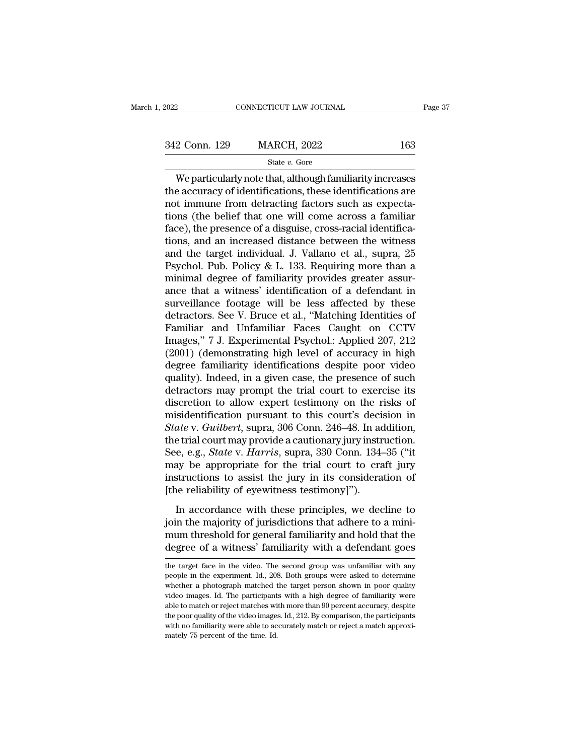# 342 Conn. 129 MARCH, 2022 <sup>163</sup>

State *v.* Gore

CONNECTICUT LAW JOURNAL Page 37<br>
2 Conn. 129 MARCH, 2022 163<br>
State v. Gore<br>
We particularly note that, although familiarity increases<br>
e accuracy of identifications, these identifications are<br>
timmuno from detracting fact 342 Conn. 129 MARCH, 2022 163<br>
State v. Gore<br>
We particularly note that, although familiarity increases<br>
the accuracy of identifications, these identifications are<br>
not immune from detracting factors such as expecta-<br>
tio 342 Conn. 129 MARCH, 2022 163<br>
State v. Gore<br>
We particularly note that, although familiarity increases<br>
the accuracy of identifications, these identifications are<br>
not immune from detracting factors such as expecta-<br>
tio 342 Conn. 129 MARCH, 2022 163<br>
State v. Gore<br>
We particularly note that, although familiarity increases<br>
the accuracy of identifications, these identifications are<br>
not immune from detracting factors such as expecta-<br>
tio State v. Gore<br>
State v. Gore<br>
We particularly note that, although familiarity increases<br>
the accuracy of identifications, these identifications are<br>
not immune from detracting factors such as expecta-<br>
tions (the belief t state v. Gore<br>We particularly note that, although familiarity increases<br>the accuracy of identifications, these identifications are<br>not immune from detracting factors such as expecta-<br>tions (the belief that one will come a We particularly note that, although familiarity increases<br>the accuracy of identifications, these identifications are<br>not immune from detracting factors such as expecta-<br>tions (the belief that one will come across a familia the accuracy of identifications, these identifications are<br>not immune from detracting factors such as expecta-<br>tions (the belief that one will come across a familiar<br>face), the presence of a disguise, cross-racial identifi not immune from detracting factors such as expecta-<br>tions (the belief that one will come across a familiar<br>face), the presence of a disguise, cross-racial identifica-<br>tions, and an increased distance between the witness<br>an tions (the belief that one will come across a familiar face), the presence of a disguise, cross-racial identifications, and an increased distance between the witness and the target individual. J. Vallano et al., supra, 25 face), the presence of a disguise, cross-racial identifications, and an increased distance between the witness<br>and the target individual. J. Vallano et al., supra, 25<br>Psychol. Pub. Policy & L. 133. Requiring more than a<br>mi tions, and an increased distance between the witness<br>and the target individual. J. Vallano et al., supra, 25<br>Psychol. Pub. Policy & L. 133. Requiring more than a<br>minimal degree of familiarity provides greater assur-<br>ance t and the target individual. J. Vallano et al., supra, 25<br>Psychol. Pub. Policy & L. 133. Requiring more than a<br>minimal degree of familiarity provides greater assur-<br>ance that a witness' identification of a defendant in<br>surve Psychol. Pub. Policy & L. 133. Requiring more than a<br>minimal degree of familiarity provides greater assur-<br>ance that a witness' identification of a defendant in<br>surveillance footage will be less affected by these<br>detractor minimal degree of familiarity provides greater assurance that a witness' identification of a defendant in<br>surveillance footage will be less affected by these<br>detractors. See V. Bruce et al., "Matching Identities of<br>Familia ance that a witness' identification of a defendant in<br>surveillance footage will be less affected by these<br>detractors. See V. Bruce et al., "Matching Identities of<br>Familiar and Unfamiliar Faces Caught on CCTV<br>Images," 7 J. surveillance footage will be less affected by these<br>detractors. See V. Bruce et al., "Matching Identities of<br>Familiar and Unfamiliar Faces Caught on CCTV<br>Images," 7 J. Experimental Psychol.: Applied 207, 212<br>(2001) (demons detractors. See V. Bruce et al., "Matching Identities of<br>Familiar and Unfamiliar Faces Caught on CCTV<br>Images," 7 J. Experimental Psychol.: Applied 207, 212<br>(2001) (demonstrating high level of accuracy in high<br>degree famili Familiar and Unfamiliar Faces Caught on CCTV<br>Images," 7 J. Experimental Psychol.: Applied 207, 212<br>(2001) (demonstrating high level of accuracy in high<br>degree familiarity identifications despite poor video<br>quality). Indeed Images," 7 J. Experimental Psychol.: Applied 207, 212 (2001) (demonstrating high level of accuracy in high degree familiarity identifications despite poor video quality). Indeed, in a given case, the presence of such detra (2001) (demonstrating high level of accuracy in high degree familiarity identifications despite poor video quality). Indeed, in a given case, the presence of such detractors may prompt the trial court to exercise its discr degree familiarity identifications despite poor video<br>quality). Indeed, in a given case, the presence of such<br>detractors may prompt the trial court to exercise its<br>discretion to allow expert testimony on the risks of<br>misid quality). Indeed, in a given case, the presence of such<br>detractors may prompt the trial court to exercise its<br>discretion to allow expert testimony on the risks of<br>misidentification pursuant to this court's decision in<br>*Sta* detractors may prompt the trial court to exercise its<br>discretion to allow expert testimony on the risks of<br>misidentification pursuant to this court's decision in<br>*State* v. *Guilbert*, supra, 306 Conn. 246–48. In addition, discretion to allow expert testimony on the risks of<br>misidentification pursuant to this court's decision in<br>*State* v. *Guilbert*, supra, 306 Conn. 246–48. In addition,<br>the trial court may provide a cautionary jury instruc misidentification pursuant to this court's decision state v. Guilbert, supra, 306 Conn. 246–48. In acthe trial court may provide a cautionary jury instress the equal of the trial court to cranistructions to assist the jury Example in a counterparty of supplementation of the distribution.<br>
The trial court may provide a cautionary jury instruction.<br>
Eq. e.g., *State* v. *Harris*, supra, 330 Conn. 134–35 ("it<br>
ay be appropriate for the trial co See, e.g., *State* v. *Harris*, supra, 330 Conn. 134–35 ("it may be appropriate for the trial court to craft jury instructions to assist the jury in its consideration of [the reliability of eyewitness testimony]"). In acco

may be appropriate for the trial court to craft jury<br>mstructions to assist the jury in its consideration of<br>[the reliability of eyewitness testimony]").<br>In accordance with these principles, we decline to<br>join the majority instructions to assist the jury in its consideration of<br>
[the reliability of eyewitness testimony]").<br>
In accordance with these principles, we decline to<br>
join the majority of jurisdictions that adhere to a mini-<br>
mum thr In accordance with these principles, we decline to join the majority of jurisdictions that adhere to a minipoin the majority of jurisdictions that adhere to a mini-<br>mum threshold for general familiarity and hold that the<br>degree of a witness' familiarity with a defendant goes<br>the target face in the video. The second group was un

mum threshold for general familiarity and hold that the degree of a witness' familiarity with a defendant goes the target face in the video. The second group was unfamiliar with any people in the experiment. Id., 208. Both degree of a witness' familiarity with a defendant goes<br>the target face in the video. The second group was unfamiliar with any<br>people in the experiment. Id., 208. Both groups were asked to determine<br>whether a photograph mat degree of a with the video. The second group was unfamiliar with any<br>people in the experiment. Id., 208. Both groups were asked to determine<br>whether a photograph matched the target person shown in poor quality<br>video images the target face in the video. The second group was unfamiliar with any people in the experiment. Id., 208. Both groups were asked to determine whether a photograph matched the target person shown in poor quality video ima people in the experiment. Id., 208. Both groups were asked to determine whether a photograph matched the target person shown in poor quality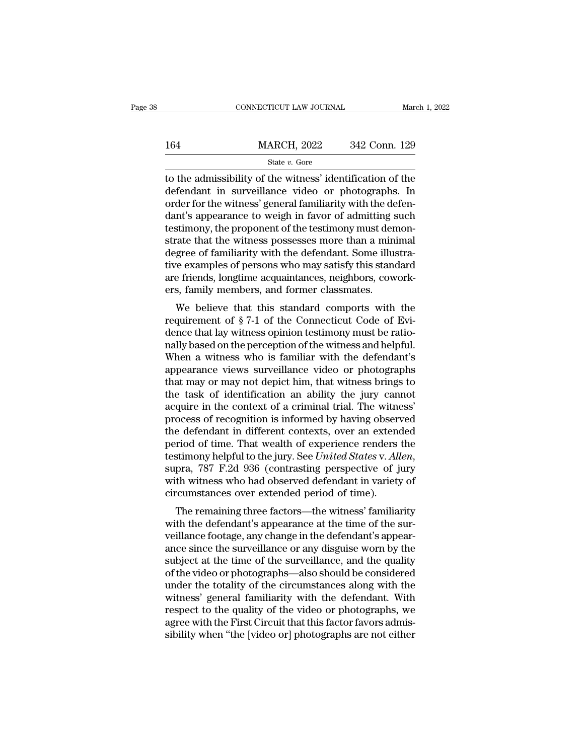|     | CONNECTICUT LAW JOURNAL | March 1, 2022 |
|-----|-------------------------|---------------|
|     |                         |               |
| 164 | <b>MARCH, 2022</b>      | 342 Conn. 129 |
|     | State $v$ . Gore        |               |

CONNECTICUT LAW JOURNAL March 1, 2022<br>  $\frac{\text{MARCH}}{\text{State } v. \text{ Gore}}$ <br>
to the admissibility of the witness' identification of the<br>
defendant in surveillance video or photographs. In<br>
order for the witness' general familiarity wit  $\frac{\text{MARCH}}{\text{State } v. \text{ Gore}}$ <br>  $\frac{\text{State } v. \text{ Gore}}{\text{to the admissible of the witness' identification of the}$ <br>
defendant in surveillance video or photographs. In<br>
order for the witness' general familiarity with the defen-164 MARCH, 2022 342 Conn. 129<br>
State v. Gore<br>
to the admissibility of the witness' identification of the<br>
defendant in surveillance video or photographs. In<br>
order for the witness' general familiarity with the defen-<br>
dan  $\frac{\text{MARCH, 2022}}{\text{State } v. \text{ Gore}}$ <br>
to the admissibility of the witness' identification of the<br>
defendant in surveillance video or photographs. In<br>
order for the witness' general familiarity with the defen-<br>
dant's appearance t State v. Gore<br>
state v. Gore<br>
to the admissibility of the witness' identification of the<br>
defendant in surveillance video or photographs. In<br>
order for the witness' general familiarity with the defen-<br>
dant's appearance t state  $v$ . Gore<br>to the admissibility of the witness' identification of the<br>defendant in surveillance video or photographs. In<br>order for the witness' general familiarity with the defen-<br>dant's appearance to weigh in favor to the admissibility of the witness' identification of the defendant in surveillance video or photographs. In order for the witness' general familiarity with the defendant's appearance to weigh in favor of admitting such t defendant in surveillance video or photographs. In<br>order for the witness' general familiarity with the defen-<br>dant's appearance to weigh in favor of admitting such<br>testimony, the proponent of the testimony must demon-<br>stra order for the witness' general familiarity with the defendant's appearance to weigh in favor of admitting such testimony, the proponent of the testimony must demonstrate that the witness possesses more than a minimal degre dant's appearance to weigh in favor of admitting s<br>testimony, the proponent of the testimony must den<br>strate that the witness possesses more than a mini<br>degree of familiarity with the defendant. Some illus<br>tive examples of standary, the proponent of the testinony must denon-<br>ate that the witness possesses more than a minimal<br>gree of familiarity with the defendant. Some illustra-<br>re examples of persons who may satisfy this standard<br>e friends, strate that the whitess possesses infire than a minimal<br>degree of familiarity with the defendant. Some illustra-<br>tive examples of persons who may satisfy this standard<br>are friends, longtime acquaintances, neighbors, cowork

degree of familiarity with the defendant. Some mustrative examples of persons who may satisfy this standard<br>are friends, longtime acquaintances, neighbors, cowork-<br>ers, family members, and former classmates.<br>We believe tha the examples of persons who may satisfy this standard<br>are friends, longtime acquaintances, neighbors, cowork-<br>ers, family members, and former classmates.<br>We believe that this standard comports with the<br>requirement of § 7-1 are menus, longuine acquaintances, heighbors, cowork-<br>ers, family members, and former classmates.<br>We believe that this standard comports with the<br>requirement of § 7-1 of the Connecticut Code of Evi-<br>dence that lay witness Ers, ranny members, and former classmates.<br>
We believe that this standard comports with the<br>
requirement of  $\S 7$ -1 of the Connecticut Code of Evi-<br>
dence that lay witness opinion testimony must be ratio-<br>
nally based on We believe that this standard comports with the<br>requirement of  $\S 7$ -1 of the Connecticut Code of Evi-<br>dence that lay witness opinion testimony must be ratio-<br>nally based on the perception of the witness and helpful.<br>When requirement of § 7-1 of the Connecticut Code of Evidence that lay witness opinion testimony must be rationally based on the perception of the witness and helpful.<br>When a witness who is familiar with the defendant's appeara dence that lay witness opinion testimony must be rationally based on the perception of the witness and helpful.<br>When a witness who is familiar with the defendant's<br>appearance views surveillance video or photographs<br>that ma nally based on the perception of the witness and helpful.<br>When a witness who is familiar with the defendant's<br>appearance views surveillance video or photographs<br>that may or may not depict him, that witness brings to<br>the ta When a witness who is familiar with the defendant's<br>appearance views surveillance video or photographs<br>that may or may not depict him, that witness brings to<br>the task of identification an ability the jury cannot<br>acquire i appearance views surveillance video or photographs<br>that may or may not depict him, that witness brings to<br>the task of identification an ability the jury cannot<br>acquire in the context of a criminal trial. The witness'<br>proc that may or may not depict him, that witness brings to<br>the task of identification an ability the jury cannot<br>acquire in the context of a criminal trial. The witness'<br>process of recognition is informed by having observed<br>th acquire in the context of a criminal trial. The witness'<br>process of recognition is informed by having observed<br>the defendant in different contexts, over an extended<br>period of time. That wealth of experience renders the<br>tes process of recognition is informed by having obser<br>the defendant in different contexts, over an extend<br>period of time. That wealth of experience renders<br>testimony helpful to the jury. See *United States* v. All<br>supra, 787 riod of time. That wealth of experience renders the<br>stimony helpful to the jury. See *United States v. Allen*,<br>pra, 787 F.2d 936 (contrasting perspective of jury<br>th witness who had observed defendant in variety of<br>rcumstan period of the test wealth of experience renders the<br>testimony helpful to the jury. See *United States v. Allen*,<br>supra, 787 F.2d 936 (contrasting perspective of jury<br>with witness who had observed defendant in variety of<br>ci

vestimony neiprur to the jury. See *United States v. Alten*,<br>supra, 787 F.2d 936 (contrasting perspective of jury<br>with witness who had observed defendant in variety of<br>circumstances over extended period of time).<br>The remai supra, 187 F.2d 950 (contrasting perspective or Jury<br>with witness who had observed defendant in variety of<br>circumstances over extended period of time).<br>The remaining three factors—the witness' familiarity<br>with the defendan with whitess who had observed defendant in variety of<br>circumstances over extended period of time).<br>The remaining three factors—the witness' familiarity<br>with the defendant's appearance at the time of the sur-<br>veillance foot The remaining three factors—the witness' familiarity<br>with the defendant's appearance at the time of the sur-<br>veillance footage, any change in the defendant's appear-<br>ance since the surveillance or any disguise worn by the<br> The remaining three factors—the witness' familiarity<br>with the defendant's appearance at the time of the sur-<br>veillance footage, any change in the defendant's appear-<br>ance since the surveillance or any disguise worn by the<br> with the defendant's appearance at the time of the surveillance footage, any change in the defendant's appearance since the surveillance or any disguise worn by the subject at the time of the surveillance, and the quality veillance footage, any change in the defendant's appearance since the surveillance or any disguise worn by the subject at the time of the surveillance, and the quality of the video or photographs—also should be considered ance since the surveillance or any disguise worn by the subject at the time of the surveillance, and the quality of the video or photographs—also should be considered under the totality of the circumstances along with the subject at the time of the surveillance, and the quality<br>of the video or photographs—also should be considered<br>under the totality of the circumstances along with the<br>witness' general familiarity with the defendant. With<br>re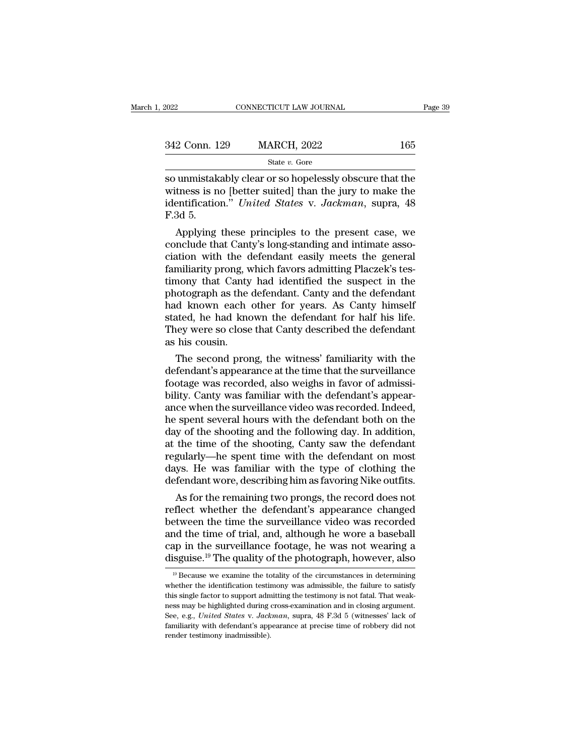| 2022          | CONNECTICUT LAW JOURNAL | Page 39 |  |
|---------------|-------------------------|---------|--|
| 342 Conn. 129 | <b>MARCH, 2022</b>      | 165     |  |
|               | State $v$ . Gore        |         |  |

so unmistakably clear or so hopelessly obscure that the<br>
so unmistakably clear or so hopelessly obscure that the<br>
so unmistakably clear or so hopelessly obscure that the<br>
so unmistakably clear or so hopelessly obscure tha 342 Conn. 129 MARCH, 2022 165<br>State v. Gore<br>So unmistakably clear or so hopelessly obscure that the<br>witness is no [better suited] than the jury to make the<br>identification." United States v. Jackman, supra, 48<br> $F$ 3d 5 342 Conn. 129 MARCH, 2022 165<br>
State *v*. Gore<br>
So unmistakably clear or so hopelessly obscure that the<br>
witness is no [better suited] than the jury to make the<br>
identification." *United States* v. *Jackman*, supra, 48<br>
F. 342 Conn. 1<br>
so unmistak<br>
so unmistak<br>
witness is n<br>
identificatio<br>
F.3d 5.<br>
Applying State v. Gore<br>
Munistakably clear or so hopelessly obscure that the<br>
these is no [better suited] than the jury to make the<br>
entification." United States v. Jackman, supra, 48<br>
3d 5.<br>
Applying these principles to the prese so unmistakably clear or so hopelessly obscure that the<br>witness is no [better suited] than the jury to make the<br>identification." *United States v. Jackman*, supra, 48<br>F.3d 5.<br>Applying these principles to the present case,

so unmistakably clear or so hopelessly obscure that the<br>witness is no [better suited] than the jury to make the<br>identification." *United States v. Jackman*, supra, 48<br>F.3d 5.<br>Applying these principles to the present case, witness is no [better suited] than the jury to make the<br>identification." *United States v. Jackman*, supra, 48<br>F.3d 5.<br>Applying these principles to the present case, we<br>conclude that Canty's long-standing and intimate asso ndentification." United States v. Jackman, supra, 48<br>F.3d 5.<br>Applying these principles to the present case, we<br>conclude that Canty's long-standing and intimate asso-<br>ciation with the defendant easily meets the general<br>fami F.3d 5.<br>Applying these principles to the present case, we<br>conclude that Canty's long-standing and intimate asso-<br>ciation with the defendant easily meets the general<br>familiarity prong, which favors admitting Placzek's tes-<br> Applying these principles to the present case, we conclude that Canty's long-standing and intimate association with the defendant easily meets the general familiarity prong, which favors admitting Placzek's testimony that conclude that Canty's long-standing and intimate association with the defendant easily meets the general familiarity prong, which favors admitting Placzek's testimony that Canty had identified the suspect in the photograph ciation with the defendant easily meets the general familiarity prong, which favors admitting Placzek's testimony that Canty had identified the suspect in the photograph as the defendant. Canty and the defendant had known familiarity prong, we<br>timony that Canty<br>photograph as the<br>had known each<br>stated, he had kno<br>They were so close<br>as his cousin.<br>The second pron mony that Canty had identified the suspect in the dotograph as the defendant. Canty and the defendant d known each other for years. As Canty himself atted, he had known the defendant for half his life. They were so close t photograph as the defendant. Canty and the defendant<br>had known each other for years. As Canty himself<br>stated, he had known the defendant for half his life.<br>They were so close that Canty described the defendant<br>as his cousi

had known each other for years. As Canty himself<br>stated, he had known the defendant for half his life.<br>They were so close that Canty described the defendant<br>as his cousin.<br>The second prong, the witness' familiarity with th stated, he had known the defendant for half his life.<br>They were so close that Canty described the defendant<br>as his cousin.<br>The second prong, the witness' familiarity with the<br>defendant's appearance at the time that the sur They were so close that Canty described the defendant<br>as his cousin.<br>The second prong, the witness' familiarity with the<br>defendant's appearance at the time that the surveillance<br>footage was recorded, also weighs in favor o as his cousin.<br>The second prong, the witness' familiarity with the<br>defendant's appearance at the time that the surveillance<br>footage was recorded, also weighs in favor of admissi-<br>bility. Canty was familiar with the defenda The second prong, the witness' familiarity with the<br>defendant's appearance at the time that the surveillance<br>footage was recorded, also weighs in favor of admissi-<br>bility. Canty was familiar with the defendant's appear-<br>an defendant's appearance at the time that the surveillance<br>footage was recorded, also weighs in favor of admissi-<br>bility. Canty was familiar with the defendant's appear-<br>ance when the surveillance video was recorded. Indeed, footage was recorded, also weighs in favor of admissibility. Canty was familiar with the defendant's appearance when the surveillance video was recorded. Indeed, he spent several hours with the defendant both on the day of bility. Canty was familiar with the defendant's appearance when the surveillance video was recorded. Indeed, he spent several hours with the defendant both on the day of the shooting and the following day. In addition, at ance when the surveillance video was recorded. Indeed,<br>he spent several hours with the defendant both on the<br>day of the shooting and the following day. In addition,<br>at the time of the shooting, Canty saw the defendant<br>regu spent several nours with the detendant both on the<br>y of the shooting and the following day. In addition,<br>the time of the shooting, Canty saw the defendant<br>gularly—he spent time with the defendant on most<br>ys. He was familia day of the shooting and the following day. In addition,<br>at the time of the shooting, Canty saw the defendant<br>regularly—he spent time with the defendant on most<br>days. He was familiar with the type of clothing the<br>defendant

at the time of the shooting, Canty saw the defendant<br>regularly—he spent time with the defendant on most<br>days. He was familiar with the type of clothing the<br>defendant wore, describing him as favoring Nike outfits.<br>As for th regularly—ne spent time with the detendant on most<br>days. He was familiar with the type of clothing the<br>defendant wore, describing him as favoring Nike outfits.<br>As for the remaining two prongs, the record does not<br>reflect w days. He was familiar with the type of clothing the<br>defendant wore, describing him as favoring Nike outfits.<br>As for the remaining two prongs, the record does not<br>reflect whether the defendant's appearance changed<br>between t detendant wore, describing him as favoring Nike outfits.<br>
As for the remaining two prongs, the record does not<br>
reflect whether the defendant's appearance changed<br>
between the time the surveillance video was recorded<br>
and etween the time the surveillance video was recorded<br>nd the time of trial, and, although he wore a baseball<br>ap in the surveillance footage, he was not wearing a<br>isguise.<sup>19</sup> The quality of the photograph, however, also<br><sup>19</sup> and the time of trial, and, although he wore a baseball cap in the surveillance footage, he was not wearing a disguise.<sup>19</sup> The quality of the photograph, however, also  $\frac{19}{19}$  Because we examine the totality of the c

cap in the surveillance footage, he was not wearing a disguise.<sup>19</sup> The quality of the photograph, however, also  $\frac{19}{19}$  Because we examine the totality of the circumstances in determining whether the identification t disguise.<sup>19</sup> The quality of the photograph, however, also<br>disguise.<sup>19</sup> The quality of the photograph, however, also<br><sup>19</sup> Because we examine the totality of the circumstances in determining<br>whether the identification tes Integrals of the protograph, nowever, also<br>
<sup>19</sup> Because we examine the totality of the circumstances in determining<br>
whether the identification testimony was admissible, the failure to satisfy<br>
this single factor to suppo <sup>19</sup> Because we examine the totality of the circumstances in determining whether the identification testimony was admissible, the failure to satisfy this single factor to support admitting the testimony is not fatal. That whether the identification testimony was admissible, the failure to satisfy this single factor to support admitting the testimony is not fatal. That weakness may be highlighted during cross-examination and in closing argu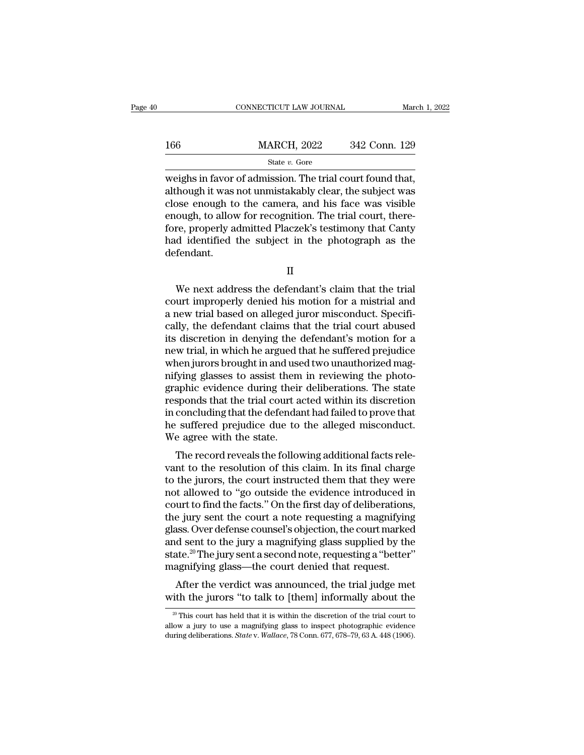|     | CONNECTICUT LAW JOURNAL                                                                                                                                                      | March 1, 2022 |  |
|-----|------------------------------------------------------------------------------------------------------------------------------------------------------------------------------|---------------|--|
| 166 | <b>MARCH, 2022</b>                                                                                                                                                           | 342 Conn. 129 |  |
|     | State $v$ . Gore                                                                                                                                                             |               |  |
|     | weighs in favor of admission. The trial court found that,<br>although it was not unmistakably clear, the subject was<br>close enough to the camera, and his face was visible |               |  |

166 MARCH, 2022 342 Conn. 129<br>
State v. Gore<br>
weighs in favor of admission. The trial court found that,<br>
although it was not unmistakably clear, the subject was<br>
close enough to the camera, and his face was visible<br>
enoug 166 MARCH, 2022 342 Conn. 129<br>
State v. Gore<br>
weighs in favor of admission. The trial court found that,<br>
although it was not unmistakably clear, the subject was<br>
close enough to the camera, and his face was visible<br>
enoug 166 MARCH, 2022 342 Conn. 129<br>
State *v*. Gore<br>
weighs in favor of admission. The trial court found that,<br>
although it was not unmistakably clear, the subject was<br>
close enough to the camera, and his face was visible<br>
eno State v. Gore<br>
weighs in favor of admission. The trial court found that,<br>
although it was not unmistakably clear, the subject was<br>
close enough to the camera, and his face was visible<br>
enough, to allow for recognition. Th state  $v$ . Gore<br>weighs in favor of admission. The trial court found that,<br>although it was not unmistakably clear, the subject was<br>close enough to the camera, and his face was visible<br>enough, to allow for recognition. The defendant. ough, to allow for recognition. The trial court, there-<br>re, properly admitted Placzek's testimony that Canty<br>d identified the subject in the photograph as the<br>fendant.<br>II<br>We next address the defendant's claim that the tria

fore, properly admitted Placzek's testimony that Canty<br>had identified the subject in the photograph as the<br>defendant.<br>II<br>We next address the defendant's claim that the trial<br>court improperly denied his motion for a mistria had identified the subject in the photograph as the<br>defendant.<br>II<br>We next address the defendant's claim that the trial<br>court improperly denied his motion for a mistrial and<br>a new trial based on alleged juror misconduct. Sp II<br>We next address the defendant's claim that the trial<br>court improperly denied his motion for a mistrial and<br>a new trial based on alleged juror misconduct. Specifi-<br>cally, the defendant claims that the trial court abused<br> II<br>We next address the defendant's claim that the trial<br>court improperly denied his motion for a mistrial and<br>a new trial based on alleged juror misconduct. Specifi-<br>cally, the defendant claims that the trial court abused<br> IT<br>We next address the defendant's claim that the trial<br>court improperly denied his motion for a mistrial and<br>a new trial based on alleged juror misconduct. Specifi-<br>cally, the defendant claims that the trial court abused<br> We next address the defendant's claim that the trial court improperly denied his motion for a mistrial and a new trial based on alleged juror misconduct. Specifically, the defendant claims that the trial court abused its d court improperly denied his motion for a mistrial and<br>a new trial based on alleged juror misconduct. Specifi-<br>cally, the defendant claims that the trial court abused<br>its discretion in denying the defendant's motion for a<br>n a new trial based on alleged juror misconduct. Specifically, the defendant claims that the trial court abused<br>its discretion in denying the defendant's motion for a<br>new trial, in which he argued that he suffered prejudice<br> cally, the defendant claims that the trial court abused<br>its discretion in denying the defendant's motion for a<br>new trial, in which he argued that he suffered prejudice<br>when jurors brought in and used two unauthorized mag-<br> its discretion in denying the defendant's motion for a<br>new trial, in which he argued that he suffered prejudice<br>when jurors brought in and used two unauthorized mag-<br>nifying glasses to assist them in reviewing the photo-<br>g he suffered prejudice<br>when jurors brought in and used two unauthorized mag-<br>nifying glasses to assist them in reviewing the photo-<br>graphic evidence during their deliberations. The state<br>responds that the trial court acted when jurors brought in and use<br>nifying glasses to assist them<br>graphic evidence during their<br>responds that the trial court a<br>in concluding that the defenda<br>he suffered prejudice due to<br>We agree with the state.<br>The record re The record reveals the following and the referred prejudice during their deliberations. The state sponds that the trial court acted within its discretion concluding that the defendant had failed to prove that suffered prej graphic evidence during their demoerations. The state<br>responds that the trial court acted within its discretion<br>in concluding that the defendant had failed to prove that<br>he suffered prejudice due to the alleged misconduct.

responds that the that court acted whilm its discretion<br>in concluding that the defendant had failed to prove that<br>he suffered prejudice due to the alleged misconduct.<br>We agree with the state.<br>The record reveals the followi In concluding that the determinant had failed to prove that<br>he suffered prejudice due to the alleged misconduct.<br>We agree with the state.<br>The record reveals the following additional facts rele-<br>vant to the resolution of th The surface prejudice the to the aneged insconduct.<br>We agree with the state.<br>The record reveals the following additional facts relevant to the resolution of this claim. In its final charge<br>to the jurors, the court instruct We agree with the state.<br>The record reveals the following additional facts relevant to the resolution of this claim. In its final charge<br>to the jurys, the court instructed them that they were<br>not allowed to "go outside the The record reveals the following additional facts relevant to the resolution of this claim. In its final charge<br>to the jurors, the court instructed them that they were<br>not allowed to "go outside the evidence introduced in vant to the resolution of this claim. In its final charge<br>to the jurors, the court instructed them that they were<br>not allowed to "go outside the evidence introduced in<br>court to find the facts." On the first day of delibera to the jurors, the court instructed them that they were<br>not allowed to "go outside the evidence introduced in<br>court to find the facts." On the first day of deliberations,<br>the jury sent the court a note requesting a magnify not allowed to "go outside the evidence introduced ir<br>court to find the facts." On the first day of deliberations<br>the jury sent the court a note requesting a magnifying<br>glass. Over defense counsel's objection, the court ma after the verdict was announced, the trial judge met<br>the jury sent the court a note requesting a magnifying<br>ass. Over defense counsel's objection, the court marked<br>d sent to the jury a magnifying glass supplied by the<br>te.<sup></sup> the jury sent the court a hote requesting a magnifying<br>glass. Over defense counsel's objection, the court marked<br>and sent to the jury a magnifying glass supplied by the<br>state.<sup>20</sup> The jury sent a second note, requesting a

agnifying glass—the court denied that request.<br>After the verdict was announced, the trial judge met<br>ith the jurors "to talk to [them] informally about the<br> $\frac{20}{100}$  This court has held that it is within the discretion

II

After the verdict was announced, the trial judge met<br>with the jurors "to talk to [them] informally about the<br> $\frac{20 \text{ T}}{100 \text{ N}}$  This court has held that it is within the discretion of the trial court to<br>allow a jury to during deliberations. *State* v. *Walk to* [them] informally about the  $\frac{1}{20}$  This court has held that it is within the discretion of the trial court to allow a jury to use a magnifying glass to inspect photographic ev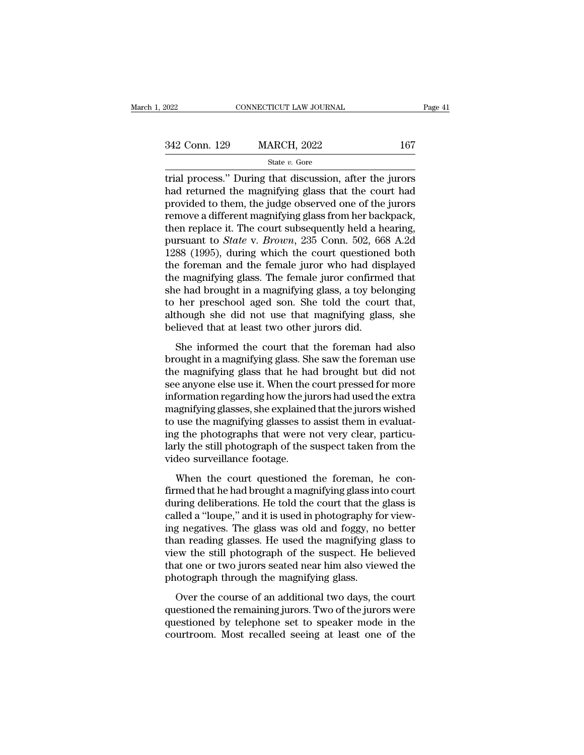| 2022          | CONNECTICUT LAW JOURNAL |     | Page 41 |
|---------------|-------------------------|-----|---------|
|               |                         |     |         |
| 342 Conn. 129 | <b>MARCH, 2022</b>      | 167 |         |
|               | State $v$ . Gore        |     |         |

The connective connective trial process.'' During that discussion, after the jurors<br>
trial process.'' During that discussion, after the jurors<br>
that returned the magnifying glass that the court had<br>
provided to them, the j  $\frac{342 \text{ Conn. } 129}{\text{State } v. \text{ Gore}}$   $\frac{342 \text{ Conn. } 129}{\text{State } v. \text{ Gore}}$ <br>
trial process." During that discussion, after the jurors<br>
had returned the magnifying glass that the court had<br>
provided to them, the judge observed one of 342 Conn. 129 MARCH, 2022 167<br>
State v. Gore<br>
trial process." During that discussion, after the jurors<br>
had returned the magnifying glass that the court had<br>
provided to them, the judge observed one of the jurors<br>
remove 342 Conn. 129 MARCH, 2022 167<br>
State v. Gore<br>
trial process." During that discussion, after the jurors<br>
had returned the magnifying glass that the court had<br>
provided to them, the judge observed one of the jurors<br>
remove Since 2014, 122 Elementary, 2022<br>
State v. Gore<br>
trial process." During that discussion, after the jurors<br>
had returned the magnifying glass that the court had<br>
provided to them, the judge observed one of the jurors<br>
remo state *v*. Gore<br>trial process." During that discussion, after the jurors<br>had returned the magnifying glass that the court had<br>provided to them, the judge observed one of the jurors<br>remove a different magnifying glass from trial process." During that discussion, after the jurors<br>had returned the magnifying glass that the court had<br>provided to them, the judge observed one of the jurors<br>remove a different magnifying glass from her backpack,<br>th had returned the magnifying glass that the court had<br>provided to them, the judge observed one of the jurors<br>remove a different magnifying glass from her backpack,<br>then replace it. The court subsequently held a hearing,<br>pu provided to them, the judge observed one of the jurors<br>remove a different magnifying glass from her backpack,<br>then replace it. The court subsequently held a hearing,<br>pursuant to *State* v. *Brown*, 235 Conn. 502, 668 A.2d<br> remove a different magnifying glass from her backpack,<br>then replace it. The court subsequently held a hearing,<br>pursuant to *State* v. *Brown*, 235 Conn. 502, 668 A.2d<br>1288 (1995), during which the court questioned both<br>the then replace it. The court subsequently held a hearing,<br>pursuant to *State* v. *Brown*, 235 Conn. 502, 668 A.2d<br>1288 (1995), during which the court questioned both<br>the foreman and the female juror who had displayed<br>the mag pursuant to *State* v. *Brown*, 235 Conn. 502, 668 A.2d<br>1288 (1995), during which the court questioned both<br>the foreman and the female juror who had displayed<br>the magnifying glass. The female juror confirmed that<br>she had b 1288 (1995), during which the court questione<br>the foreman and the female juror who had dis<br>the magnifying glass. The female juror confirme<br>she had brought in a magnifying glass, a toy bel<br>to her preschool aged son. She tol Exploration and the formate years and the informed that<br>e magnifying glass. The female juror confirmed that<br>e had brought in a magnifying glass, a toy belonging<br>her preschool aged son. She told the court that,<br>hough she di are magnitying glass. The female juror committed due<br>she had brought in a magnifying glass, a toy belonging<br>to her preschool aged son. She told the court that,<br>although she did not use that magnifying glass, she<br>believed t

the magnifying glass, a toy beforinging<br>to her preschool aged son. She told the court that,<br>although she did not use that magnifying glass, she<br>believed that at least two other jurors did.<br>She informed the court that the f see the presenced agea son. She work are court and,<br>although she did not use that magnifying glass, she<br>believed that at least two other jurors did.<br>She informed the court that the foreman had also<br>brought in a magnifying information regarding the distribution regarding the distribution of the informed the court that the foreman had also brought in a magnifying glass. She saw the foreman use the magnifying glass that he had brought but did She informed the court that the foreman had also<br>brought in a magnifying glass. She saw the foreman use<br>the magnifying glass that he had brought but did not<br>see anyone else use it. When the court pressed for more<br>informati She informed the court that the foreman had also<br>brought in a magnifying glass. She saw the foreman use<br>the magnifying glass that he had brought but did not<br>see anyone else use it. When the court pressed for more<br>informati brought in a magnifying glass. She saw the foreman use<br>the magnifying glass that he had brought but did not<br>see anyone else use it. When the court pressed for more<br>information regarding how the jurors had used the extra<br>ma the magnifying glass that he had brought but did not<br>see anyone else use it. When the court pressed for more<br>information regarding how the jurors had used the extra<br>magnifying glasses, she explained that the jurors wished<br> see anyone else use it. When the<br>information regarding how the ju<br>magnifying glasses, she explained<br>to use the magnifying glasses to<br>ing the photographs that were r<br>larly the still photograph of the s<br>video surveillance fo Morthalastriegatang now are jarons had ased are ended<br>agnifying glasses, she explained that the jurors wished<br>use the magnifying glasses to assist them in evaluat-<br>g the photographs that were not very clear, particu-<br>river finally ing glasses, site exprained that the Jarons wished<br>to use the magnifying glasses to assist them in evaluat-<br>ing the photographs that were not very clear, particu-<br>larly the still photograph of the suspect taken fro

during the photographs that were not very clear, particularly the still photograph of the suspect taken from the video surveillance footage.<br>When the court questioned the foreman, he confirmed that he had brought a magnify readerly the still photographs and were not very elect, particularly the still photograph of the suspect taken from the video surveillance footage.<br>When the court questioned the foreman, he confirmed that he had brought a video surveillance footage.<br>
When the court questioned the foreman, he con-<br>
firmed that he had brought a magnifying glass into court<br>
during deliberations. He told the court that the glass is<br>
called a "loupe," and it is When the court questioned the foreman, he con-<br>firmed that he had brought a magnifying glass into court<br>during deliberations. He told the court that the glass is<br>called a "loupe," and it is used in photography for view-<br>in When the court questioned the foreman, he confirmed that he had brought a magnifying glass into court<br>during deliberations. He told the court that the glass is<br>called a "loupe," and it is used in photography for view-<br>ing firmed that he had brought a magnifying glass into court<br>during deliberations. He told the court that the glass is<br>called a "loupe," and it is used in photography for view-<br>ing negatives. The glass was old and foggy, no be during deliberations. He told the court that the called a "loupe," and it is used in photography for ing negatives. The glass was old and foggy, no than reading glasses. He used the magnifying y view the still photograph o of a reading to the course of an additional two days, no better<br>an reading glasses. He used the magnifying glass to<br>ew the still photograph of the suspect. He believed<br>at one or two jurors seated near him also viewed the<br>o may megaarves. The glass was old and roggy, he setter<br>than reading glasses. He used the magnifying glass to<br>view the still photograph of the suspect. He believed<br>that one or two jurors seated near him also viewed the<br>photo

man reading grasses. The ased are maginizing grass to<br>view the still photograph of the suspect. He believed<br>that one or two jurors seated near him also viewed the<br>photograph through the magnifying glass.<br>Over the course of The value of two jurors seated near him also viewed the photograph through the magnifying glass.<br>Over the course of an additional two days, the court questioned the remaining jurors. Two of the jurors were questioned by te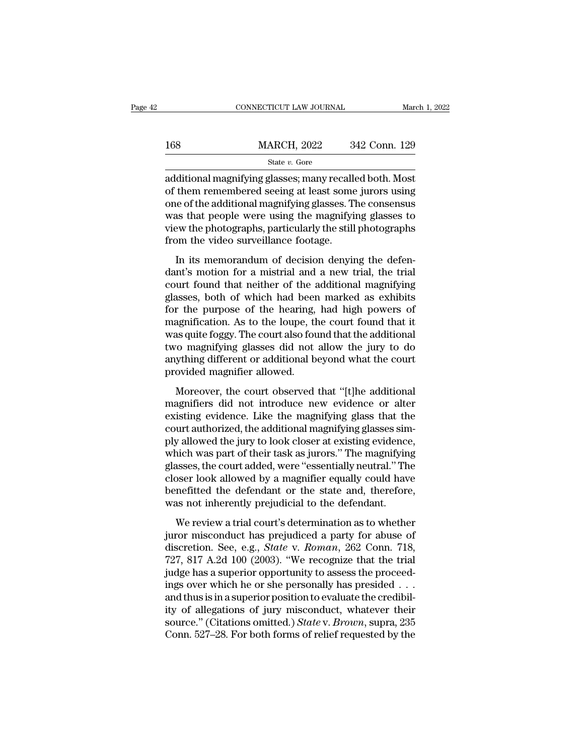|     | CONNECTICUT LAW JOURNAL | March 1, 2022 |
|-----|-------------------------|---------------|
| 168 | <b>MARCH, 2022</b>      | 342 Conn. 129 |
|     | State $v$ . Gore        |               |

CONNECTICUT LAW JOURNAL March 1, 202<br>
MARCH, 2022 342 Conn. 129<br>
State v. Gore<br>
additional magnifying glasses; many recalled both. Most<br>
of them remembered seeing at least some jurors using<br>
one of the additional magnifyin 168 MARCH, 2022 342 Conn. 129<br>
State v. Gore<br>
additional magnifying glasses; many recalled both. Most<br>
of them remembered seeing at least some jurors using<br>
one of the additional magnifying glasses. The consensus<br>
was that 168 MARCH, 2022 342 Conn. 129<br>
State v. Gore<br>
additional magnifying glasses; many recalled both. Most<br>
of them remembered seeing at least some jurors using<br>
one of the additional magnifying glasses. The consensus<br>
was tha MARCH, 2022  $\qquad 342$  Conn. 129<br>  $\qquad \qquad$  State v. Gore<br>
additional magnifying glasses; many recalled both. Most<br>
of them remembered seeing at least some jurors using<br>
one of the additional magnifying glasses. The consens State *v*. Gore<br>
additional magnifying glasses; many recalled both. Most<br>
of them remembered seeing at least some jurors using<br>
one of the additional magnifying glasses. The consensus<br>
was that people were using the magni  $\begin{array}{c} \text{state $\mathit{v}$.} \text{ Gore} \\ \text{additional magnifying glasses; many recall of them remembered seeing at least some one of the additional magnifying glasses.} \text{T was that people were using the magnify:} \\\text{view the photographs, particularly the still from the video surveillance footage.} \end{array}$ In its memoral magnitying glasses, many recanced both. Most<br>them remembered seeing at least some jurors using<br>the of the additional magnifying glasses. The consensus<br>as that people were using the magnifying glasses to<br>ew t on them remembered seeing at reast some jurors dang<br>one of the additional magnifying glasses. The consensus<br>was that people were using the magnifying glasses to<br>view the photographs, particularly the still photographs<br>from

one of the additional magnitying glasses. The consensus<br>was that people were using the magnifying glasses to<br>view the photographs, particularly the still photographs<br>from the video surveillance footage.<br>In its memorandum o was diat people were doing are magnifying glasses to<br>view the photographs, particularly the still photographs<br>from the video surveillance footage.<br>In its memorandum of decision denying the defen-<br>dant's motion for a mistr From the video surveillance footage.<br>
In its memorandum of decision denying the defen-<br>
dant's motion for a mistrial and a new trial, the trial<br>
court found that neither of the additional magnifying<br>
glasses, both of which In its memorandum of decision denying the defen-<br>dant's motion for a mistrial and a new trial, the trial<br>court found that neither of the additional magnifying<br>glasses, both of which had been marked as exhibits<br>for the purp In its memorandum of decision denying the defen-<br>dant's motion for a mistrial and a new trial, the trial<br>court found that neither of the additional magnifying<br>glasses, both of which had been marked as exhibits<br>for the purp dant's motion for a mistrial and a new trial, the trial<br>court found that neither of the additional magnifying<br>glasses, both of which had been marked as exhibits<br>for the purpose of the hearing, had high powers of<br>magnificat court found that neither of the additional magnifying<br>glasses, both of which had been marked as exhibits<br>for the purpose of the hearing, had high powers of<br>magnification. As to the loupe, the court found that it<br>was quite glasses, both of which had been marked as exhibits<br>for the purpose of the hearing, had high powers of<br>magnification. As to the loupe, the court found that it<br>was quite foggy. The court also found that the additional<br>two ma Moreover, the court observed that "[t]he additional<br>agnification. As to the loupe, the court found that it<br>as quite foggy. The court also found that the additional<br>o magnifying glasses did not allow the jury to do<br>ything d magnifieration. To to the todpe, the court found that he was quite foggy. The court also found that the additional<br>two magnifying glasses did not allow the jury to do<br>anything different or additional beyond what the court<br>

ral different or additional beyond what the court<br>two magnifying glasses did not allow the jury to do<br>anything different or additional beyond what the court<br>provided magnifier allowed.<br>Moreover, the court observed that "[t court authorized, the court authorized, the additional magnifier allowed.<br>
Moreover, the court observed that "[t]he additional<br>
magnifiers did not introduce new evidence or alter<br>
existing evidence. Like the magnifying gla may allowed magnifier allowed.<br>
Moreover, the court observed that "[t]he additional<br>
magnifiers did not introduce new evidence or alter<br>
existing evidence. Like the magnifying glasses sim-<br>
ply allowed the jury to look clo Moreover, the court observed that "[t]he additional<br>magnifiers did not introduce new evidence or alter<br>existing evidence. Like the magnifying glass that the<br>court authorized, the additional magnifying glasses sim-<br>ply allo Moreover, the court observed that "[t]he additional<br>magnifiers did not introduce new evidence or alter<br>existing evidence. Like the magnifying glasses sim-<br>ply allowed the jury to look closer at existing evidence,<br>which was magnifiers did not introduce new evidence or alter<br>existing evidence. Like the magnifying glass that the<br>court authorized, the additional magnifying glasses sim-<br>ply allowed the jury to look closer at existing evidence,<br>wh existing evidence. Like the magnifying glass that the court authorized, the additional magnifying glasses simply allowed the jury to look closer at existing evidence, which was part of their task as jurors." The magnifying court authorized, the additional magnifying glasses sin<br>ply allowed the jury to look closer at existing evidence<br>which was part of their task as jurors." The magnifyin<br>glasses, the court added, were "essentially neutral." where are jury to rook croser at embails evidence,<br>nich was part of their task as jurors." The magnifying<br>asses, the court added, were "essentially neutral." The<br>poser look allowed by a magnifier equally could have<br>mefitt glasses, the court added, were "essentially neutral." The<br>closer look allowed by a magnifier equally could have<br>benefitted the defendant or the state and, therefore,<br>was not inherently prejudicial to the defendant.<br>We rev

discretion. See, e.g., *State* v. *Roman*, *Readmannian* in the closer look allowed by a magnifier equally could have benefitted the defendant or the state and, therefore, was not inherently prejudicial to the defendant.<br>W benefitted the defendant or the state and, therefore,<br>was not inherently prejudicial to the defendant.<br>We review a trial court's determination as to whether<br>juror misconduct has prejudiced a party for abuse of<br>discretion. was not inherently prejudicial to the defendant.<br>We review a trial court's determination as to whether<br>juror misconduct has prejudiced a party for abuse of<br>discretion. See, e.g., *State* v. *Roman*, 262 Conn. 718,<br>727, 81 We review a trial court's determination as to whether<br>juror misconduct has prejudiced a party for abuse of<br>discretion. See, e.g., *State* v. *Roman*, 262 Conn. 718,<br>727, 817 A.2d 100 (2003). "We recognize that the trial<br>j We review a trial court's determination as to whether<br>juror misconduct has prejudiced a party for abuse of<br>discretion. See, e.g., *State* v. *Roman*, 262 Conn. 718,<br>727, 817 A.2d 100 (2003). "We recognize that the trial<br>j juror misconduct has prejudiced a party for abuse of discretion. See, e.g., *State* v. *Roman*, 262 Conn. 718, 727, 817 A.2d 100 (2003). "We recognize that the trial judge has a superior opportunity to assess the proceedi discretion. See, e.g., *State* v. *Roman*, 262 Conn. 718, 727, 817 A.2d 100 (2003). "We recognize that the trial judge has a superior opportunity to assess the proceedings over which he or she personally has presided . . . 727, 817 A.2d 100 (2003). "We recognize that the trial<br>judge has a superior opportunity to assess the proceed-<br>ings over which he or she personally has presided  $\dots$ <br>and thus is in a superior position to evaluate the cred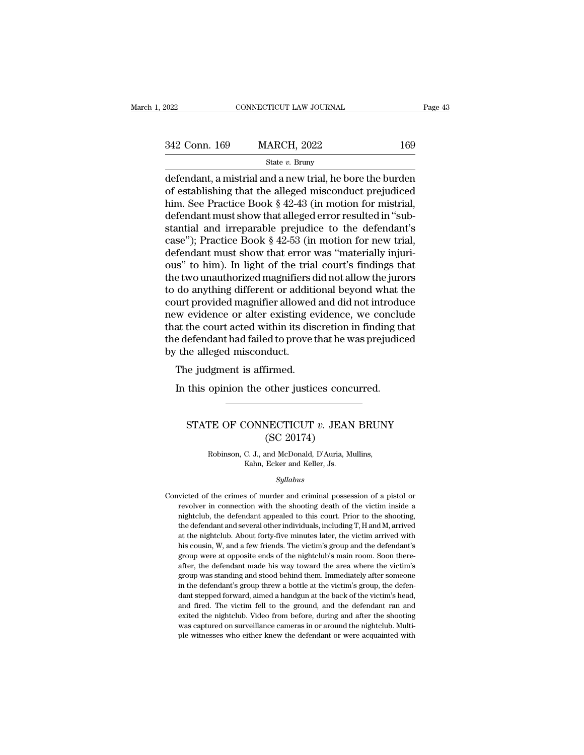| 2022          | CONNECTICUT LAW JOURNAL                                                                                                                                                        | Page 43 |
|---------------|--------------------------------------------------------------------------------------------------------------------------------------------------------------------------------|---------|
| 342 Conn. 169 | <b>MARCH, 2022</b>                                                                                                                                                             | 169     |
|               | State $v$ . Bruny                                                                                                                                                              |         |
|               | defendant, a mistrial and a new trial, he bore the burden<br>of establishing that the alleged misconduct prejudiced<br>him, Soo Practice Boole 8.49.49 (in motion for mistrial |         |

342 Conn. 169 MARCH, 2022 169<br>
State v. Bruny<br>
defendant, a mistrial and a new trial, he bore the burden<br>
of establishing that the alleged misconduct prejudiced<br>
him. See Practice Book § 42-43 (in motion for mistrial,<br>
de 342 Conn. 169 MARCH, 2022 169<br>
State v. Bruny<br>
defendant, a mistrial and a new trial, he bore the burden<br>
of establishing that the alleged misconduct prejudiced<br>
him. See Practice Book § 42-43 (in motion for mistrial,<br>
de 342 Conn. 169 MARCH, 2022 169<br>
State v. Bruny<br>
defendant, a mistrial and a new trial, he bore the burden<br>
of establishing that the alleged misconduct prejudiced<br>
him. See Practice Book § 42-43 (in motion for mistrial,<br>
de State *v*. Bruny<br>
State *v*. Bruny<br>
defendant, a mistrial and a new trial, he bore the burden<br>
of establishing that the alleged misconduct prejudiced<br>
him. See Practice Book § 42-43 (in motion for mistrial,<br>
defendant mus state v. Bruny<br>defendant, a mistrial and a new trial, he bore the burden<br>of establishing that the alleged misconduct prejudiced<br>him. See Practice Book § 42-43 (in motion for mistrial,<br>defendant must show that alleged erro defendant, a mistrial and a new trial, he bore the burden<br>of establishing that the alleged misconduct prejudiced<br>him. See Practice Book § 42-43 (in motion for mistrial,<br>defendant must show that alleged error resulted in "s of establishing that the alleged misconduct prejudiced<br>him. See Practice Book § 42-43 (in motion for mistrial,<br>defendant must show that alleged error resulted in "sub-<br>stantial and irreparable prejudice to the defendant's<br> him. See Practice Book § 42-43 (in motion for mistrial,<br>defendant must show that alleged error resulted in "sub-<br>stantial and irreparable prejudice to the defendant's<br>case"); Practice Book § 42-53 (in motion for new trial, defendant must show that alleged error resulted in "substantial and irreparable prejudice to the defendant's<br>case"); Practice Book § 42-53 (in motion for new trial,<br>defendant must show that error was "materially injuri-<br>ou stantial and irreparable prejudice to the defendant's<br>case"); Practice Book § 42-53 (in motion for new trial,<br>defendant must show that error was "materially injuri-<br>ous" to him). In light of the trial court's findings that case"); Practice Book § 42-53 (in motion for new trial,<br>defendant must show that error was "materially injuri-<br>ous" to him). In light of the trial court's findings that<br>the two unauthorized magnifiers did not allow the jur defendant must show that error was "materially injurious" to him). In light of the trial court's findings that<br>the two unauthorized magnifiers did not allow the jurors<br>to do anything different or additional beyond what the ous" to him). In light of the trial court's findings that<br>the two unauthorized magnifiers did not allow the jurors<br>to do anything different or additional beyond what the<br>court provided magnifier allowed and did not introdu the two unauthorized magnifiers<br>to do anything different or addit<br>court provided magnifier allowed<br>new evidence or alter existing  $\epsilon$ <br>that the court acted within its dis<br>the defendant had failed to prove<br>by the alleged m The judgment of additional<br>time in the court acted within its dise<br>at the court acted within its dise<br>e defendant had failed to prove the<br>the alleged misconduct.<br>The judgment is affirmed.<br>In this opinion the other justic In the court acted within its discretion in finding the defendant had failed to prove that he was prejudic<br>
In this alleged misconduct.<br>
The judgment is affirmed.<br>
In this opinion the other justices concurred.

## % in alleged misconduct.<br>
ie judgment is affirmed.<br>
this opinion the other justices concurred.<br>
STATE OF CONNECTICUT *v*. JEAN BRUNY<br>
(SC 20174) irmed.<br>
other justices conc<br>
WECTICUT v. JEAN<br>
(SC 20174)<br>
and McDonald, D'Auria, M TE OF CONNECTICUT *v*. JEAN BRUN'<br>
(SC 20174)<br>
Robinson, C. J., and McDonald, D'Auria, Mullins,<br>
Kahn, Ecker and Keller, Js. CONNECTICUT  $v$ . JEAN<br>
(SC 20174)<br>
C. J., and McDonald, D'Auria, Mixahn, Ecker and Keller, Js.<br>
Sullabus

#### *Syllabus*

(COC 20174)<br>
Robinson, C. J., and McDonald, D'Auria, Mullins,<br>
Kahn, Ecker and Keller, Js.<br>
Syllabus<br>
Convicted of the crimes of murder and criminal possession of a pistol or<br>
revolver in connection with the shooting death Robinson, C. J., and McDonald, D'Auria, Mullins,<br>Kahn, Ecker and Keller, Js.<br>Syllabus<br>victed of the crimes of murder and criminal possession of a pistol or<br>revolver in connection with the shooting death of the victim insid Kahn, Ecker and Keller, Js.<br>Syllabus<br>victed of the crimes of murder and criminal possession of a pistol or<br>revolver in connection with the shooting death of the victim inside a<br>nightclub, the defendant appealed to this cou Syllabus<br>
since defendant and criminal possession of a pistol or<br>
revolver in connection with the shooting death of the victim inside a<br>
nightclub, the defendant appealed to this court. Prior to the shooting,<br>
the defendan *Syllabus*<br>victed of the crimes of murder and criminal possession of a pistol or<br>revolver in connection with the shooting death of the victim inside a<br>nightclub, the defendant appealed to this court. Prior to the shooting, victed of the crimes of murder and criminal possession of a pistol or revolver in connection with the shooting death of the victim inside a nightclub, the defendant appealed to this court. Prior to the shooting, the defend revolver in connection with the shooting death of the victim inside a nightclub, the defendant appealed to this court. Prior to the shooting, the defendant and several other individuals, including  $T$ ,  $H$  and  $M$ , arrive mightclub, the defendant appealed to this court. Prior to the shooting, the defendant and several other individuals, including T, H and M, arrived at the nightclub. About forty-five minutes later, the victim arrived with h the defendant and several other individuals, including T, H and M, arrived at the nightclub. About forty-five minutes later, the victim arrived with his cousin, W, and a few friends. The victim's group and the defendant's at the nightclub. About forty-five minutes later, the victim arrived with<br>his cousin, W, and a few friends. The victim's group and the defendant's<br>group were at opposite ends of the nightclub's main room. Soon there-<br>after his cousin, W, and a few friends. The victim's group and the defendant's group were at opposite ends of the nightclub's main room. Soon thereafter, the defendant made his way toward the area where the victim's group was st and fired. The victim fall to the viginal parameter, the defendant rande his way toward the area where the victim's group was standing and stood behind them. Immediately after someone in the defendant's group threw a bottl exister, the defendant made his way toward the area where the victim's group was standing and stood behind them. Immediately after someone in the defendant's group threw a bottle at the victim's group, the defendant steppe group was standing and stood behind them. Immediately after someone<br>in the defendant's group threw a bottle at the victim's group, the defen-<br>dant stepped forward, aimed a handgun at the back of the victim's head,<br>and fire in the defendant's group threw a bottle at the victim's group, the defen-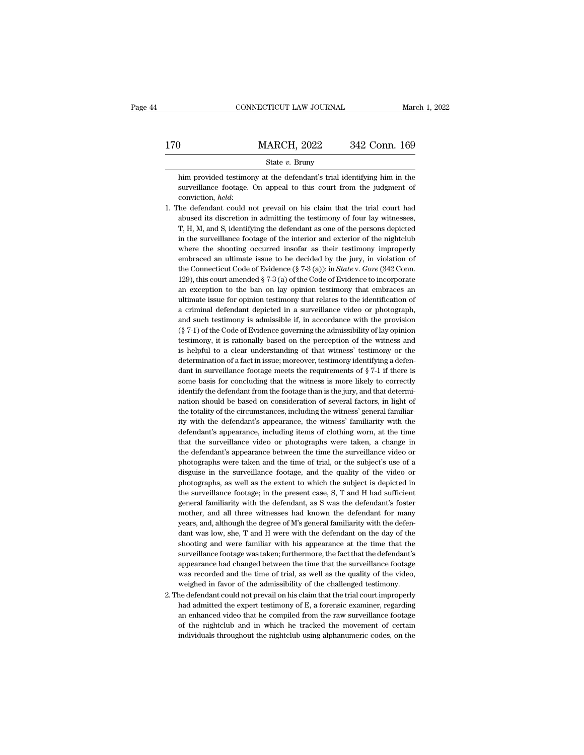|                   | CONNECTICUT LAW JOURNAL                                                                                                                      | March 1, 2022 |
|-------------------|----------------------------------------------------------------------------------------------------------------------------------------------|---------------|
| 170               | <b>MARCH, 2022</b>                                                                                                                           | 342 Conn. 169 |
|                   | State $v$ . Bruny                                                                                                                            |               |
| conviction, held: | him provided testimony at the defendant's trial identifying him in the<br>surveillance footage. On appeal to this court from the judgment of |               |

State *v*. Bruny<br>him provided testimony at the defendant's trial identifying him in the<br>surveillance footage. On appeal to this court from the judgment of<br>conviction, *held*:<br>1. The defendant could not prevail on his claim

- State v. Bruny<br>him provided testimony at the defendant's trial identifying him in the<br>surveillance footage. On appeal to this court from the judgment of<br>conviction, *held*:<br>the defendant could not prevail on his claim that him provided testimony at the defendant's trial identifying him in the surveillance footage. On appeal to this court from the judgment of conviction, *held*:<br>The defendant could not prevail on his claim that the trial cour surveillance footage. On appeal to this court from the judgment of conviction, *held*:<br>the defendant could not prevail on his claim that the trial court had<br>abused its discretion in admitting the testimory of four lay witn conviction, *held*:<br>the defendant could not prevail on his claim that the trial court had<br>abused its discretion in admitting the testimony of four lay witnesses,<br>T, H, M, and S, identifying the defendant as one of the pers the defendant could not prevail on his claim that the trial court had abused its discretion in admitting the testimony of four lay witnesses,  $T$ ,  $H$ ,  $M$ , and  $S$ , identifying the defendant as one of the persons depicte abused its discretion in admitting the testimony of four lay witnesses,<br>T, H, M, and S, identifying the defendant as one of the persons depicted<br>in the surveillance footage of the interior and exterior of the nightclub<br>whe T, H, M, and S, identifying the defendant as one of the persons depicted<br>in the surveillance footage of the interior and exterior of the nightclub<br>where the shooting occurred insofar as their testimony improperly<br>embraced in the surveillance footage of the interior and exterior of the nightclub<br>where the shooting occurred insofar as their testimony improperly<br>embraced an ultimate issue to be decided by the jury, in violation of<br>the Connect where the shooting occurred insofar as their testimony improperly<br>embraced an ultimate issue to be decided by the jury, in violation of<br>the Connecticut Code of Evidence (§ 7-3 (a)): in *State* v. *Gore* (342 Conn.<br>129), t embraced an ultimate issue to be decided by the jury, in violation of the Connecticut Code of Evidence (§ 7-3 (a)): in *State* v. *Gore* (342 Conn. 129), this court amended § 7-3 (a) of the Code of Evidence to incorporate the Connecticut Code of Evidence (§ 7-3 (a)): in *State* v. *Gore* (342 Conn. 129), this court amended § 7-3 (a) of the Code of Evidence to incorporate an exception to the ban on lay opinion testimony that embraces an ult 129), this court amended § 7-3 (a) of the Code of Evidence to incorporate<br>an exception to the ban on lay opinion testimony that embraces an<br>ultimate issue for opinion testimony that relates to the identification of<br>a crim an exception to the ban on lay opinion testimony that embraces an ultimate issue for opinion testimony that relates to the identification of a criminal defendant depicted in a surveillance video or photograph, and such tes ultimate issue for opinion testimony that relates to the identification of<br>a criminal defendant depicted in a surveillance video or photograph,<br>and such testimony is admissible if, in accordance with the provision<br>(§ 7-1) a criminal defendant depicted in a surveillance video or photograph, and such testimony is admissible if, in accordance with the provision (§ 7-1) of the Code of Evidence governing the admissibility of lay opinion testimo and such testimony is admissible if, in accordance with the provision  $(\S 7-1)$  of the Code of Evidence governing the admissibility of lay opinion testimony, it is rationally based on the perception of the witness and is (§ 7-1) of the Code of Evidence governing the admissibility of lay opinion testimony, it is rationally based on the perception of the witness and is helpful to a clear understanding of that witness' testimony or the deter testimony, it is rationally based on the perception of the witness and<br>is helpful to a clear understanding of that witness' testimony or the<br>determination of a fact in issue; moreover, testimony identifying a defen-<br>dant is helpful to a clear understanding of that witness' testimony or the determination of a fact in issue; moreover, testimony identifying a defendant in surveillance footage meets the requirements of  $\S 7-1$  if there is som determination of a fact in issue; moreover, testimony identifying a defendant in surveillance footage meets the requirements of  $\S 7-1$  if there is some basis for concluding that the witness is more likely to correctly id dant in surveillance footage meets the requirements of  $\S$  7-1 if there is some basis for concluding that the witness is more likely to correctly identify the defendant from the footage than is the jury, and that determin some basis for concluding that the witness is more likely to correctly identify the defendant from the footage than is the jury, and that determination should be based on consideration of several factors, in light of the t identify the defendant from the footage than is the jury, and that determination should be based on consideration of several factors, in light of the totality of the circumstances, including the witness' general familiarit nation should be based on consideration of several factors, in light of<br>the totality of the circumstances, including the witness' general familiar-<br>ity with the defendant's appearance, the witness' familiarity with the<br>def the totality of the circumstances, including the witness' general familiarity with the defendant's appearance, the witness' familiarity with the defendant's appearance, including items of clothing worn, at the time that th ity with the defendant's appearance, the witness' familiarity with the defendant's appearance, including items of clothing worn, at the time that the surveillance video or photographs were taken, a change in the defendant' defendant's appearance, including items of clothing worn, at the time<br>that the surveillance video or photographs were taken, a change in<br>the defendant's appearance between the time the surveillance video or<br>photographs wer that the surveillance video or photographs were taken, a change in<br>the defendant's appearance between the time the surveillance video or<br>photographs were taken and the time of trial, or the subject's use of a<br>disguise in t the defendant's appearance between the time the surveillance video or photographs were taken and the time of trial, or the subject's use of a disguise in the surveillance footage, and the quality of the video or photograph photographs were taken and the time of trial, or the subject's use of a disguise in the surveillance footage, and the quality of the video or photographs, as well as the extent to which the subject is depicted in the surve disguise in the surveillance footage, and the quality of the video or photographs, as well as the extent to which the subject is depicted in the surveillance footage; in the present case, S, T and H had sufficient general photographs, as well as the extent to which the subject is depicted in the surveillance footage; in the present case, S, T and H had sufficient general familiarity with the defendant, as S was the defendant's foster mother the surveillance footage; in the present case, S, T and H had sufficient general familiarity with the defendant, as S was the defendant 's foster mother, and all three witnesses had known the defendant for many years, and, general familiarity with the defendant, as S was the defendant's foster mother, and all three witnesses had known the defendant for many years, and, although the degree of M's general familiarity with the defendant was low mother, and all three witnesses had known the defendant for many<br>years, and, although the degree of M's general familiarity with the defen-<br>dant was low, she, T and H were with the defendant on the day of the<br>shooting and years, and, although the degree of M's general familiarity with the defendant was low, she, T and H were with the defendant on the day of the shooting and were familiar with his appearance at the time that the surveillance years, and, although the degree of M's general familiarity with the defendant was low, she, T and H were with the defendant on the day of the shooting and were familiar with his appearance at the time that the surveillance shooting and were familiar with his appearance at the time that the surveillance footage was taken; furthermore, the fact that the defendant's appearance had changed between the time that the surveillance footage was recor surveillance footage was taken; furthermore, the fact that the defendant's<br>appearance had changed between the time that the surveillance footage<br>was recorded and the time of trial, as well as the quality of the video,<br>weig
- appearance had changed between the time that the surveillance footage was recorded and the time of trial, as well as the quality of the video, weighed in favor of the admissibility of the challenged testimony.<br>The defendan was recorded and the time of trial, as well as the quality of the video, weighed in favor of the admissibility of the challenged testimony.<br>he defendant could not prevail on his claim that the trial court improperly had ad had admitted the expert testimony of E, a forensic examiner, regarding an enhanced video that he compiled from the raw surveillance footage of the nightclub and in which he tracked the movement of certain individuals throu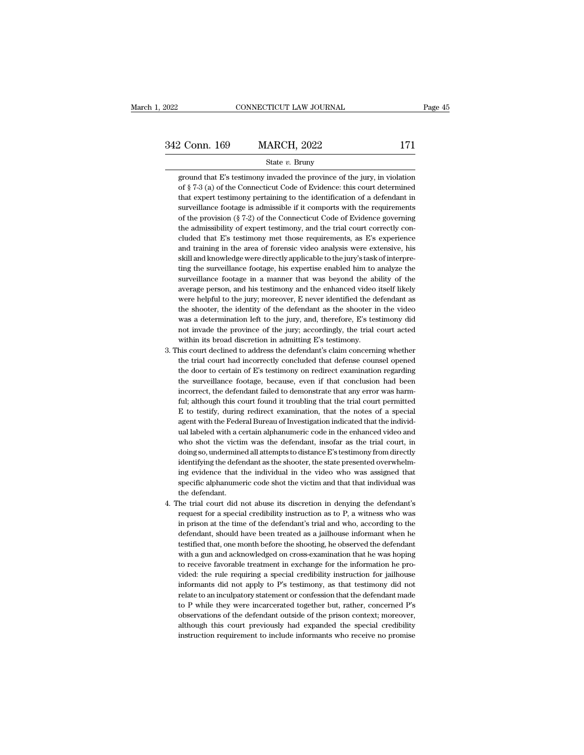# EXECTIVE CONNECTICUT LAW JOURNAL Page 45<br>342 Conn. 169 MARCH, 2022 171<br>State v. Bruny

#### State *v.* Bruny

2 Conn. 169 MARCH, 2022 171<br>
State v. Bruny<br>
ground that E's testimony invaded the province of the jury, in violation<br>
of § 7-3 (a) of the Connecticut Code of Evidence: this court determined 2 Conn. 169 MARCH, 2022 171<br>
State v. Bruny<br>
ground that E's testimony invaded the province of the jury, in violation<br>
of § 7-3 (a) of the Connecticut Code of Evidence: this court determined<br>
that expert testimony pertaini 2 Conn. 169 MARCH, 2022 171<br>
State v. Bruny<br>
ground that E's testimony invaded the province of the jury, in violation<br>
of § 7-3 (a) of the Connecticut Code of Evidence: this court determined<br>
that expert testimony pertaini State v. Bruny<br>
state v. Bruny<br>
ground that E's testimony invaded the province of the jury, in violation<br>
of § 7-3 (a) of the Connecticut Code of Evidence: this court determined<br>
that expert testimony pertaining to the id State  $v$ . Bruny<br>
ground that E's testimony invaded the province of the jury, in violation<br>
of  $\S$  7-3 (a) of the Connecticut Code of Evidence: this court determined<br>
that expert testimony pertaining to the identification ground that E's testimony invaded the province of the jury, in violation of  $\S$  7-3 (a) of the Connecticut Code of Evidence: this court determined that expert testimony pertaining to the identification of a defendant in s of § 7-3 (a) of the Connecticut Code of Evidence: this court determined<br>that expert testimony pertaining to the identification of a defendant in<br>surveillance footage is admissible if it comports with the requirements<br>of t that expert testimony pertaining to the identification of a defendant in surveillance footage is admissible if it comports with the requirements of the provision (§ 7-2) of the Connecticut Code of Evidence governing the a surveillance footage is admissible if it comports with the requirements of the provision ( $\S$  7-2) of the Connecticut Code of Evidence governing the admissibility of expert testimony, and the trial court correctly conclud of the provision ( $\S$  7-2) of the Connecticut Code of Evidence governing<br>the admissibility of expert testimony, and the trial court correctly con-<br>cluded that E's testimony met those requirements, as E's experience<br>and tr the admissibility of expert testimony, and the trial court correctly concluded that E's testimony met those requirements, as E's experience and training in the area of forensic video analysis were extensive, his skill and cluded that E's testimony met those requirements, as E's experience<br>and training in the area of forensic video analysis were extensive, his<br>skill and knowledge were directly applicable to the jury's task of interpre-<br>ting and training in the area of forensic video analysis were extensive, his skill and knowledge were directly applicable to the jury's task of interpreting the surveillance footage, his expertise enabled him to analyze the sur skill and knowledge were directly applicable to the jury's task of interpreting the surveillance footage, his expertise enabled him to analyze the surveillance footage in a manner that was beyond the ability of the average ting the surveillance footage, his expertise enabled him to analyze the surveillance footage in a manner that was beyond the ability of the average person, and his testimony and the enhanced video itself likely were helpfu surveillance footage in a manner that was beyond the ability of the average person, and his testimony and the enhanced video itself likely were helpful to the jury; moreover, E never identified the defendant as the shooter % average person, and his testimony and the enhanced video itself likely<br>were helpful to the jury; moreover, E never identified the defendant as<br>the shooter, the identity of the defendant as the shooter in the video<br>was a were helpful to the jury; moreover, E never identified the defendant as<br>the shooter, the identity of the defendant as the shooter in the video<br>was a determination left to the jury; and, therefore, E's testimony did<br>not inv the shooter, the identity of the defendant as the shooter in the video was a determination left to the jury, and, therefore, E's testimony did not invade the province of the jury; accordingly, the trial court acted within

- was a determination left to the jury, and, therefore, E's testimony did<br>not invade the province of the jury; accordingly, the trial court acted<br>within its broad discretion in admitting E's testimony.<br>his court declined to not invade the province of the jury; accordingly, the trial court acted<br>within its broad discretion in admitting E's testimony.<br>his court declined to address the defendant's claim concerning whether<br>the trial court had inc within its broad discretion in admitting E's testimony.<br>his court declined to address the defendant's claim concerning whether<br>the trial court had incorrectly concluded that defense counsel opened<br>the door to certain of E' his court declined to address the defendant's claim concerning whether<br>the trial court had incorrectly concluded that defense counsel opened<br>the door to certain of E's testimony on redirect examination regarding<br>the survei the trial court had incorrectly concluded that defense counsel opened<br>the door to certain of E's testimony on redirect examination regarding<br>the surveillance footage, because, even if that conclusion had been<br>incorrect, th the door to certain of E's testimony on redirect examination regarding<br>the surveillance footage, because, even if that conclusion had been<br>incorrect, the defendant failed to demonstrate that any error was harm-<br>ful; althou the surveillance footage, because, even if that conclusion had been<br>incorrect, the defendant failed to demonstrate that any error was harm-<br>ful; although this court found it troubling that the trial court permitted<br>E to te incorrect, the defendant failed to demonstrate that any error was harm-<br>ful; although this court found it troubling that the trial court permitted<br>E to testify, during redirect examination, that the notes of a special<br>agen ful; although this court found it troubling that the trial court permitted E to testify, during redirect examination, that the notes of a special agent with the Federal Bureau of Investigation indicated that the individual ful; although this court found it troubling that the trial court permitted  $E$  to testify, during redirect examination, that the notes of a special agent with the Federal Bureau of Investigation indicated that the individ agent with the Federal Bureau of Investigation indicated that the individual labeled with a certain alphanumeric code in the enhanced video and who shot the victim was the defendant, insofar as the trial court, in doing so ual labeled with a certain alphanumeric code in the enhanced video and who shot the victim was the defendant, insofar as the trial court, in doing so, undermined all attempts to distance E's testimony from directly identif who shot the victin<br>doing so, undermine<br>identifying the defendant<br>ing evidence that t<br>specific alphanume:<br>the defendant.<br>he trial court did r doing so, undermined all attempts to distance E's testimony from directly<br>identifying the defendant as the shooter, the state presented overwhelm-<br>ing evidence that the individual in the video who was assigned that<br>specif identifying the defendant as the shooter, the state presented overwhelming evidence that the individual in the video who was assigned that specific alphanumeric code shot the victim and that that individual was the defenda
- ing evidence that the individual in the video who was assigned that specific alphanumeric code shot the victim and that that individual was the defendant.<br>The trial court did not abuse its discretion in denying the defenda specific alphanumeric code shot the victim and that that individual was<br>the defendant.<br>he trial court did not abuse its discretion in denying the defendant's<br>request for a special credibility instruction as to P, a witness the defendant.<br>
the trial court did not abuse its discretion in denying the defendant's<br>
request for a special credibility instruction as to P, a witness who was<br>
in prison at the time of the defendant's trial and who, acc he trial court did not abuse its discretion in denying the defendant's request for a special credibility instruction as to P, a witness who was in prison at the time of the defendant's trial and who, according to the defen 4. The trial court did not abuse its discretion in denying the defendant's request for a special credibility instruction as to  $P$ , a witness who was in prison at the time of the defendant's trial and who, according to th in prison at the time of the defendant's trial and who, according to the defendant, should have been treated as a jailhouse informant when he testified that, one month before the shooting, he observed the defendant with a defendant, should have been treated as a jailhouse informant when he testified that, one month before the shooting, he observed the defendant with a gun and acknowledged on cross-examination that he was hoping to receive f testified that, one month before the shooting, he observed the defendant with a gun and acknowledged on cross-examination that he was hoping to receive favorable treatment in exchange for the information he provided: the r with a gun and acknowledged on cross-examination that he was hoping<br>to receive favorable treatment in exchange for the information he pro-<br>vided: the rule requiring a special credibility instruction for jailhouse<br>informant to receive favorable treatment in exchange for the information he provided: the rule requiring a special credibility instruction for jailhouse informants did not apply to P's testimony, as that testimony did not relate to vided: the rule requiring a special credibility instruction for jailhouse informants did not apply to P's testimony, as that testimony did not relate to an inculpatory statement or confession that the defendant made to P w informants did not apply to P's testimony, as that testimony did not relate to an inculpatory statement or confession that the defendant made to P while they were incarcerated together but, rather, concerned P's observati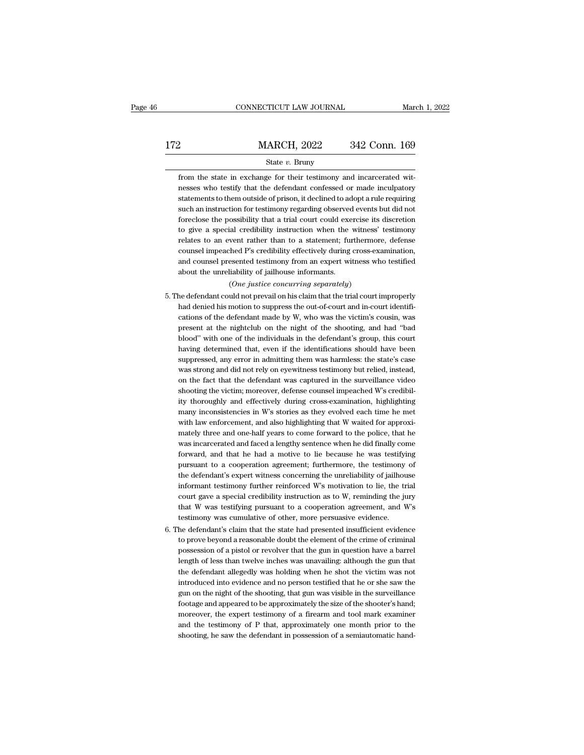|     | CONNECTICUT LAW JOURNAL                                                                                                                                                                                                    | March 1, 2022 |
|-----|----------------------------------------------------------------------------------------------------------------------------------------------------------------------------------------------------------------------------|---------------|
| 172 | <b>MARCH, 2022</b>                                                                                                                                                                                                         | 342 Conn. 169 |
|     | State $v$ . Bruny                                                                                                                                                                                                          |               |
|     | from the state in exchange for their testimony and incarcerated wit-<br>nesses who testify that the defendant confessed or made inculpatory<br>statements to them outside of prison, it declined to adopt a rule requiring |               |

from the state in exchange for their testimony and incarcerated wit-<br>nesses who testify that the defendant confessed or made inculpatory  $\begin{minipage}[t]{0.5cm} \begin{tabular}{p{0.5cm}p{0.5cm}p{0.5cm}p{0.5cm}p{0.5cm}p{0.5cm}p{0.5cm}p{0.5cm}p{0.5cm}p{0.5cm}p{0.5cm}p{0.5cm}p{0.5cm}p{0.5cm}p{0.5cm}p{0.5cm}p{0.5cm}p{0.5cm}p{0.5cm}p{0.5cm}p{0.5cm}p{0.5cm}p{0.5cm}p{0.5cm}p{0.5cm}p{0.5cm}p{0.5cm}p{0.5cm}p{0.$ State  $v$ . Bruny<br>from the state in exchange for their testimony and incarcerated wit-<br>nesses who testify that the defendant confessed or made inculpatory<br>statements to them outside of prison, it declined to adopt a rule r State *v*. Bruny<br>from the state in exchange for their testimony and incarcerated wit-<br>nesses who testify that the defendant confessed or made inculpatory<br>statements to them outside of prison, it declined to adopt a rule re from the state in exchange for their testimony and incarcerated witnesses who testify that the defendant confessed or made inculpatory statements to them outside of prison, it declined to adopt a rule requiring such an ins resses who testify that the defendant confessed or made inculpatory<br>statements to them outside of prison, it declined to adopt a rule requiring<br>such an instruction for testimony regarding observed events but did not<br>forecl statements to them outside of prison, it declined to adopt a rule requiring<br>such an instruction for testimony regarding observed events but did not<br>foreclose the possibility that a trial court could exercise its discretion such an instruction for testimony regarding observed events but did not foreclose the possibility that a trial court could exercise its discretion to give a special credibility instruction when the witness' testimony relat foreclose the possibility that a trial court could exercise its discretion<br>to give a special credibility instruction when the witness' testimony<br>relates to an event rather than to a statement; furthermore, defense<br>counsel (*ial credibility instruction when the witness*<br>vent rather than to a statement; furthermomined P's credibility effectively during cross-ex<br>esented testimony from an expert witness wiliability of jailhouse informants.<br>(*On* relates to an event rather than to a statement; furthermore, defense<br>counsel impeached P's credibility effectively during cross-examination,<br>and counsel presented testimony from an expert witness who testified<br>about the un

- counsel impeached P's credibility effectively during cross-examination,<br>and counsel presented testimony from an expert witness who testified<br>about the unreliability of jailhouse informants.<br>(One justice concurring separate and counsel presented testimony from an expert witness who testified<br>about the unreliability of jailhouse informants.<br> $(One\ justice\ conccurring\ separately)$ <br>he defendant could not prevail on his claim that the trial court improperly<br>had denied h about the unreliability of jailhouse informants.<br>
(One justice concurring separately)<br>
he defendant could not prevail on his claim that the trial court improperly<br>
had denied his motion to suppress the out-of-court and in-(One justice concurring separately)<br>he defendant could not prevail on his claim that the trial court improperly<br>had denied his motion to suppress the out-of-court and in-court identifi-<br>cations of the defendant made by W, have defendant could not prevail on his claim that the trial court improperly had denied his motion to suppress the out-of-court and in-court identifications of the defendant made by W, who was the victim's cousin, was pre had denied his motion to suppress the out-of-court and in-court identifications of the defendant made by W, who was the victim's cousin, was present at the nightclub on the night of the shooting, and had "bad blood" with o cations of the defendant made by W, who was the victim's cousin, was<br>present at the nightclub on the night of the shooting, and had "bad<br>blood" with one of the individuals in the defendant's group, this court<br>having determ present at the nightclub on the night of the shooting, and had "bad blood" with one of the individuals in the defendant's group, this court having determined that, even if the identifications should have been suppressed, a blood" with one of the individuals in the defendant's group, this court having determined that, even if the identifications should have been suppressed, any error in admitting them was harmless: the state's case was stron having determined that, even if the identifications should have been suppressed, any error in admitting them was harmless: the state's case was strong and did not rely on eyewitness testimony but relied, instead, on the fa suppressed, any error in admitting them was harmless: the state's case<br>was strong and did not rely on eyewitness testimony but relied, instead,<br>on the fact that the defendant was captured in the surveillance video<br>shooting ity thoroughly and effectively during cross-examination, highlighting many inconsistencies in W's stories as they evolved each time he met with law enforcement, and also highlighting that W waited for approximately three a on the fact that the defendant was captured in the surveillance video<br>shooting the victim; moreover, defense counsel impeached W's credibil-<br>ity thoroughly and effectively during cross-examination, highlighting<br>many incons shooting the victim; moreover, defense counsel impeached W's credibility thoroughly and effectively during cross-examination, highlighting many inconsistencies in W's stories as they evolved each time he met with law enfor ity thoroughly and effectively during cross-examination, highlighting<br>many inconsistencies in W's stories as they evolved each time he met<br>with law enforcement, and also highlighting that W waited for approxi-<br>mately three many inconsistencies in W's stories as they evolved each time he met<br>with law enforcement, and also highlighting that W waited for approxi-<br>mately three and one-half years to come forward to the police, that he<br>was incarce with law enforcement, and also highlighting that W waited for approximately three and one-half years to come forward to the police, that he was incarcerated and faced a lengthy sentence when he did finally come forward, an mately three and one-half years to come forward to the police, that he was incarcerated and faced a lengthy sentence when he did finally come forward, and that he had a motive to lie because he was testifying pursuant to a was incarcerated and faced a lengthy sentence when he did finally come<br>forward, and that he had a motive to lie because he was testifying<br>pursuant to a cooperation agreement; furthermore, the testimony of<br>the defendant's e forward, and that he had a motive to lie because he was testifying<br>pursuant to a cooperation agreement; furthermore, the testimony of<br>the defendant's expert witness concerning the unreliability of jailhouse<br>informant testi pursuant to a cooperation agreement; furthermore, the testimony of the defendant's expert witness concerning the unreliability of jailhouse informant testimony further reinforced W's motivation to lie, the trial court gave the defendant's expert witness concerning the unreliability of jailhouse<br>informant testimony further reinforced W's motivation to lie, the trial<br>court gave a special credibility instruction as to W, reminding the jury<br>tha informant testimony further reinforced W's motivation to lie, the trial<br>court gave a special credibility instruction as to W, reminding the jury<br>that W was testifying pursuant to a cooperation agreement, and W's<br>testimony
- court gave a special credibility instruction as to W, reminding the jury<br>that W was testifying pursuant to a cooperation agreement, and W's<br>testimony was cumulative of other, more persuasive evidence.<br>he defendant's claim that W was testifying pursuant to a cooperation agreement, and W's<br>testimony was cumulative of other, more persuasive evidence.<br>he defendant's claim that the state had presented insufficient evidence<br>to prove beyond a reas testimony was cumulative of other, more persuasive evidence.<br>he defendant's claim that the state had presented insufficient evidence<br>to prove beyond a reasonable doubt the element of the crime of criminal<br>possession of a p he defendant's claim that the state had presented insufficient evidence to prove beyond a reasonable doubt the element of the crime of criminal possession of a pistol or revolver that the gun in question have a barrel leng to prove beyond a reasonable doubt the element of the crime of criminal possession of a pistol or revolver that the gun in question have a barrel length of less than twelve inches was unavailing: although the gun that the possession of a pistol or revolver that the gun in question have a barrel<br>length of less than twelve inches was unavailing: although the gun that<br>the defendant allegedly was holding when he shot the victim was not<br>introdu length of less than twelve inches was unavailing: although the gun that<br>the defendant allegedly was holding when he shot the victim was not<br>introduced into evidence and no person testified that he or she saw the<br>gun on the the defendant allegedly was holding when he shot the victim was not introduced into evidence and no person testified that he or she saw the gun on the night of the shooting, that gun was visible in the surveillance footage introduced into evidence and no person testified that he or she saw the gun on the night of the shooting, that gun was visible in the surveillance footage and appeared to be approximately the size of the shooter's hand; mo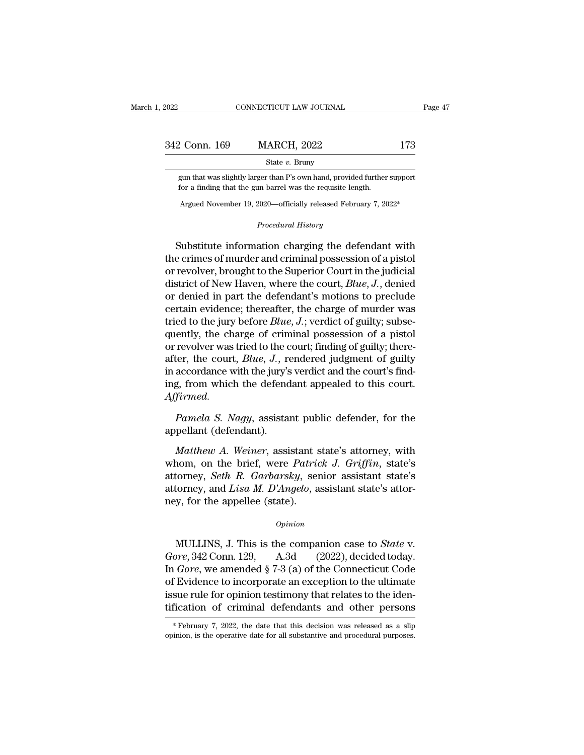| 2022          | CONNECTICUT LAW JOURNAL | Page 47 |  |
|---------------|-------------------------|---------|--|
| 342 Conn. 169 | <b>MARCH, 2022</b>      | 173     |  |
|               | State $v$ . Bruny       |         |  |

2 Conn. 169 MARCH, 2022 173<br>
State v. Bruny<br>
gun that was slightly larger than P's own hand, provided further support<br>
for a finding that the gun barrel was the requisite length. For a finding that the gun barrel was slightly larger than P's own hand, provided further<br>for a finding that the gun barrel was the requisite length.<br>Argued November 19 –2020—officially released February 7–20 State v. Bruny<br>State v. Bruny<br>State v. Bruny<br>State v. Bruny<br>State v. Bruny<br>State v. Bruny<br>State v. Bruny<br>State further support<br>Sor a finding that the gun barrel was the requisite length.<br>Argued November 19, 2020—officiall **Procedural Procedural American barrel was the requisite length**<br> **Procedural History**<br> **Procedural History** 

gun that was slightly larger than P's own hand, provided further support<br>for a finding that the gun barrel was the requisite length.<br>Argued November 19, 2020—officially released February 7, 2022\*<br>*Procedural History*<br>Subst for a finding that the gun barrel was the requisite length.<br>
Argued November 19, 2020—officially released February 7, 2022\*<br>
Procedural History<br>
Substitute information charging the defendant with<br>
the crimes of murder and Argued November 19, 2020—officially released February 7, 2022\*<br> *Procedural History*<br>
Substitute information charging the defendant with<br>
the crimes of murder and criminal possession of a pistol<br>
or revolver, brought to th *Hagued November 19, 2020—oinclary released February 1, 2022<br>
<i>Procedural History*<br> *Procedural History*<br>
the crimes of murder and criminal possession of a pistol<br>
or revolver, brought to the Superior Court in the judicial **Substitute information charging the defendant with**<br>the crimes of murder and criminal possession of a pistol<br>or revolver, brought to the Superior Court in the judicial<br>district of New Haven, where the court,  $Blue, J$ , denie Substitute information charging the defendant with<br>the crimes of murder and criminal possession of a pistol<br>or revolver, brought to the Superior Court in the judicial<br>district of New Haven, where the court, *Blue*, *J*., Substitute information charging the defendant with<br>the crimes of murder and criminal possession of a pistol<br>or revolver, brought to the Superior Court in the judicial<br>district of New Haven, where the court, *Blue*, *J.*, d the crimes of murder and criminal possession of a pistol<br>or revolver, brought to the Superior Court in the judicial<br>district of New Haven, where the court,  $Blue$ , J., denied<br>or denied in part the defendant's motions to prec or revolver, brought to the Superior Court in the judicial<br>district of New Haven, where the court, *Blue*, *J*., denied<br>or denied in part the defendant's motions to preclude<br>certain evidence; thereafter, the charge of mur district of New Haven, where the court, *Blue*, *J*., denied<br>or denied in part the defendant's motions to preclude<br>certain evidence; thereafter, the charge of murder was<br>tried to the jury before *Blue*, *J*.; verdict of gu or denied in part the defendant's motions to preclude<br>certain evidence; thereafter, the charge of murder was<br>tried to the jury before  $Blue$ ,  $J$ .; verdict of guilty; subse-<br>quently, the charge of criminal possession of a pi certain evidence; thereafter, the charge of murder was<br>tried to the jury before  $Blue$ ,  $J$ ; verdict of guilty; subse-<br>quently, the charge of criminal possession of a pistol<br>or revolver was tried to the court; finding of gui *Affirmed. Pamela S. Nagy*, assistant public defender, for the pellant (defendant).<br>Pamela S. Nagy, assistant public defender, for the pellant (defendant). after, the court, *Blue*, *J*., re<br>in accordance with the jury's<br>ing, from which the defend<br>*Affirmed.*<br>*Pamela S. Nagy*, assista<br>appellant (defendant).<br>*Matthew A. Weiner*, assi *A. Mathew A. Weiner, assistant public defender, for the pellant (defendant).*<br>*Mamela S. Nagy, assistant public defender, for the pellant (defendant).*<br>*Matthew A. Weiner, assistant state's attorney, with nom, on the brie* 

mg, from which the defendant appealed to this court.<br>Affirmed.<br>Pamela S. Nagy, assistant public defender, for the<br>appellant (defendant).<br>Matthew A. Weiner, assistant state's attorney, with<br>whom, on the brief, were *Patrick Ayfrmed.*<br> *Pamela S. Nagy*, assistant public defender, for the<br>
appellant (defendant).<br> *Matthew A. Weiner*, assistant state's attorney, with<br>
whom, on the brief, were *Patrick J. Griffin*, state's<br>
attorney, *Seth R. Ga* Pamela S. Nagy, assistant public defender, for the appellant (defendant).<br>Matthew A. Weiner, assistant state's attorney, with whom, on the brief, were *Patrick J. Griffin*, state's attorney, *Seth R. Garbarsky*, senior ass appellant (defendant).<br> *Matthew A. Weiner*, assistant s<br>
whom, on the brief, were *Patric*<br>
attorney, *Seth R. Garbarsky*, sen<br>
attorney, and *Lisa M. D'Angelo*, a<br>
ney, for the appellee (state). Figure 1. This is the companion case to *State* v.<br>
MULLINS, J. This is the companion case to *State* v.<br> *Opinion*<br>
MULLINS, J. This is the companion case to *State* v.<br> *Opinion*<br>
MULLINS, J. This is the companion case t

#### *Opinion*

*Goreen Sear T. Carolarsky*, senior assistant state's attorney, and *Lisa M. D'Angelo*, assistant state's attorney, for the appellee (state).<br> *Opinion*<br> *Goreen S42* Conn. 129, A.3d (2022), decided today.<br>
In *Gore*, we a option<br>
In *Gore*, for the appellee (state).<br>
Opinion<br>
MULLINS, J. This is the companion case to *State v.*<br>
Gore, 342 Conn. 129, A.3d (2022), decided today.<br>
In *Gore*, we amended § 7-3 (a) of the Connecticut Code<br>
of Evi opinion<br>
opinion<br>
MULLINS, J. This is the companion case to *State v.*<br>
Gore, 342 Conn. 129, A.3d (2022), decided today.<br>
In *Gore*, we amended § 7-3 (a) of the Connecticut Code<br>
of Evidence to incorporate an exception to *Opinion*<br>
MULLINS, J. This is the companion case to *State* v.<br> *Gore*, 342 Conn. 129, A.3d (2022), decided today.<br>
In *Gore*, we amended § 7-3 (a) of the Connecticut Code<br>
of Evidence to incorporate an exception to the MULLINS, J. This is the companion case to *State* v.<br>Gore, 342 Conn. 129, A.3d (2022), decided today.<br>In *Gore*, we amended § 7-3 (a) of the Connecticut Code<br>of Evidence to incorporate an exception to the ultimate<br>issue r In *Gore*, we amended  $\S 7-3$  (a) of the Connecticut Code<br>of Evidence to incorporate an exception to the ultimate<br>issue rule for opinion testimony that relates to the iden-<br>tification of criminal defendants and other pers tification of criminal defendants and other persons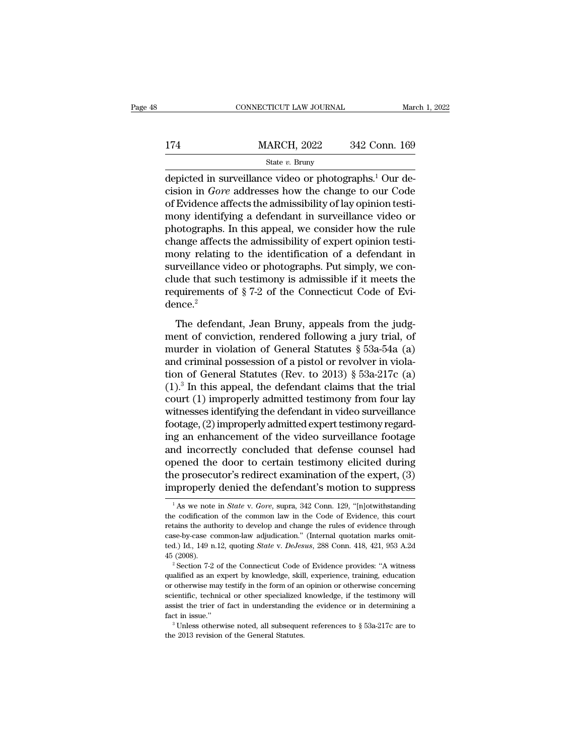|     | CONNECTICUT LAW JOURNAL                                                                                                                                                                         | March 1, 2022 |
|-----|-------------------------------------------------------------------------------------------------------------------------------------------------------------------------------------------------|---------------|
| 174 | <b>MARCH, 2022</b>                                                                                                                                                                              | 342 Conn. 169 |
|     | State $v$ . Bruny                                                                                                                                                                               |               |
|     | depicted in surveillance video or photographs. <sup>1</sup> Our de-<br>cision in <i>Gore</i> addresses how the change to our Code<br>of Fridence offects the admissibility of ley enjoint testi |               |

174 MARCH, 2022 342 Conn. 169<br>
<sup>State v</sup>. Bruny<br>
depicted in surveillance video or photographs.<sup>1</sup> Our decision in *Gore* addresses how the change to our Code<br>
of Evidence affects the admissibility of lay opinion testi-<br>
m 174 MARCH, 2022 342 Conn. 169<br>
State v. Bruny<br>
depicted in surveillance video or photographs.<sup>1</sup> Our decision in *Gore* addresses how the change to our Code<br>
of Evidence affects the admissibility of lay opinion testi-<br>
mo 174 MARCH, 2022 342 Conn. 169<br>  $\frac{\text{State } v. \text{ Bruny}}{\text{depicted in surveillance video or photographs.<sup>1</sup> Our decision in *Gore* addresses how the change to our Code of Evidence affects the admissibility of lay opinion testi‐\nmany identifying a defendant in surveillance video or\nphotographs. In this appeal, we consider how the rule\nchange effect the admissibility of synort opinion testi$ State v. Bruny<br>
depicted in surveillance video or photographs.<sup>1</sup> Our de-<br>
cision in *Gore* addresses how the change to our Code<br>
of Evidence affects the admissibility of lay opinion testi-<br>
mony identifying a defendant i since *v*. Bruny<br>depicted in surveillance video or photographs.<sup>1</sup> Our de-<br>cision in *Gore* addresses how the change to our Code<br>of Evidence affects the admissibility of lay opinion testi-<br>mony identifying a defendant in depicted in surveillance video or photographs.<sup>1</sup> Our decision in *Gore* addresses how the change to our Code of Evidence affects the admissibility of lay opinion testimony identifying a defendant in surveillance video or cision in *Gore* addresses how the change to our Code<br>of Evidence affects the admissibility of lay opinion testi-<br>mony identifying a defendant in surveillance video or<br>photographs. In this appeal, we consider how the rule of Evidence affects the admissibility of lay opinion testi-<br>mony identifying a defendant in surveillance video or<br>photographs. In this appeal, we consider how the rule<br>change affects the admissibility of expert opinion te mony identifying a defendant in surveillance video or photographs. In this appeal, we consider how the rule change affects the admissibility of expert opinion testimony relating to the identification of a defendant in sur dence.<sup>2</sup> ony relating to the identification of a defendant in<br>reveillance video or photographs. Put simply, we con-<br>ide that such testimony is admissible if it meets the<br>quirements of  $\S 7-2$  of the Connecticut Code of Evi-<br>nce.<sup>2</sup> surveillance video or photographs. Put simply, we conclude that such testimony is admissible if it meets the requirements of  $\S 7-2$  of the Connecticut Code of Evidence.<sup>2</sup><br>The defendant, Jean Bruny, appeals from the judg

murder that the comparison is admissible if it meets the<br>requirements of  $\S 7-2$  of the Connecticut Code of Evi-<br>dence.<sup>2</sup><br>The defendant, Jean Bruny, appeals from the judg-<br>ment of conviction, rendered following a jury tr requirements of §7-2 of the Connecticut Code of Evidence.<sup>2</sup><br>The defendant, Jean Bruny, appeals from the judg-<br>ment of conviction, rendered following a jury trial, of<br>murder in violation of General Statutes §53a-54a (a)<br>a The defendant, Jean Bruny, appeals from the judg-<br>ment of conviction, rendered following a jury trial, of<br>murder in violation of General Statutes § 53a-54a (a)<br>and criminal possession of a pistol or revolver in viola-<br>tio The defendant, Jean Bruny, appeals from the judg-<br>
ment of conviction, rendered following a jury trial, of<br>
murder in violation of General Statutes § 53a-54a (a)<br>
and criminal possession of a pistol or revolver in viola-<br> The defendant, Jean Bruny, appeals from the judgment of conviction, rendered following a jury trial, of murder in violation of General Statutes § 53a-54a (a) and criminal possession of a pistol or revolver in violation of ment of conviction, rendered following a jury trial, of<br>murder in violation of General Statutes § 53a-54a (a)<br>and criminal possession of a pistol or revolver in viola-<br>tion of General Statutes (Rev. to 2013) § 53a-217c (a murder in violation of General Statutes § 53a-54a (a)<br>and criminal possession of a pistol or revolver in viola-<br>tion of General Statutes (Rev. to 2013) § 53a-217c (a)<br>(1).<sup>3</sup> In this appeal, the defendant claims that the t and criminal possession of a pistol or revolver in violation of General Statutes (Rev. to 2013) § 53a-217c (a)  $(1)^3$  In this appeal, the defendant claims that the trial court  $(1)$  improperly admitted testimony from four tion of General Statutes (Rev. to 2013) § 53a-217c (a)<br>(1).<sup>3</sup> In this appeal, the defendant claims that the trial<br>court (1) improperly admitted testimony from four lay<br>witnesses identifying the defendant in video surveil (1).<sup>3</sup> In this appeal, the defendant claims that the trial court (1) improperly admitted testimony from four lay witnesses identifying the defendant in video surveillance footage, (2) improperly admitted expert testimony court (1) improperly admitted testimony from four lay<br>witnesses identifying the defendant in video surveillance<br>footage, (2) improperly admitted expert testimony regard-<br>ing an enhancement of the video surveillance footage witnesses identifying the defendant in video surveillance<br>footage, (2) improperly admitted expert testimony regard-<br>ing an enhancement of the video surveillance footage<br>and incorrectly concluded that defense counsel had<br>o nd incorrectly concluded that defense counsel had<br>pened the door to certain testimony elicited during<br>ne prosecutor's redirect examination of the expert, (3)<br>nproperly denied the defendant's motion to suppress<br><sup>1</sup>As we not opened the door to certain testimony elicited during<br>the prosecutor's redirect examination of the expert, (3)<br>improperly denied the defendant's motion to suppress<br> $\frac{1}{1}$ As we note in *State v. Gore*, supra, 342 Conn. 1

the prosecutor's redirect examination of the expert,  $(3)$ <br>improperly denied the defendant's motion to suppress<br> $\frac{1}{1}$ As we note in *State* v. Gore, supra, 342 Conn. 129, "[n]otwithstanding<br>the codification of the comm improperly denied the defendant's motion to suppress<br>
<sup>1</sup>As we note in *State v. Gore*, supra, 342 Conn. 129, "[n]otwithstanding<br>
the codification of the common law in the Code of Evidence, this court<br>
retains the authori The United the deferminant Structure of Suppress<br>
<sup>1</sup> As we note in *State* v. *Gore*, supra, 342 Conn. 129, "[n]otwithstanding<br>
the codification of the common law in the Code of Evidence, this court<br>
retains the authority <sup>1</sup> As we note in *State v. Gore*, supra, 342 Conn. 129, "[n]otwithstanding the codification of the common law in the Code of Evidence, this court retains the authority to develop and change the rules of evidence through retains the authority to develop and change the rules of evidence through case-by-case common-law adjudication." (Internal quotation marks omitted.) Id., 149 n.12, quoting *State* v. *DeJesus*, 288 Conn. 418, 421, 953 A.2d

case-by-case common-law adjudication." (Internal quotation marks omit-<br>case-by-case common-law adjudication." (Internal quotation marks omit-<br>ted.) Id., 149 n.12, quoting *State* v. *DeJesus*, 288 Conn. 418, 421, 953 A.2d<br> case-by-case common-law adjudication." (Internal quotation marks omitted.) Id., 149 n.12, quoting *State* v. *DeJesus*, 288 Conn. 418, 421, 953 A.2d 45 (2008).<br>
<sup>2</sup> Section 7-2 of the Connecticut Code of Evidence provides assist the trier of fact in understanding the evidence provides: "A witness qualified as an expert by knowledge, skill, experience, training, education or otherwise may testify in the form of an opinion or otherwise conce <sup>2</sup> Section 7-2 of the Connecticut Code of Evidence provides: "A witness qualified as an expert by knowledge, skill, experience, training, education or otherwise may testify in the form of an opinion or otherwise concerni % or otherwise may testify in the form of an opinion or otherwise concerning scientific, technical or other specialized knowledge, if the testimony will assist the trier of fact in understanding the evidence or in determi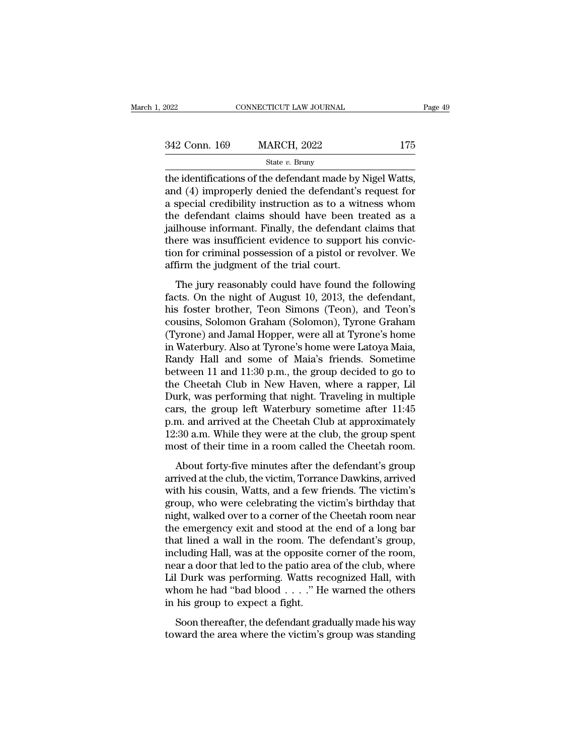| 2022          | CONNECTICUT LAW JOURNAL                                                                                                                                                      | Page 49 |
|---------------|------------------------------------------------------------------------------------------------------------------------------------------------------------------------------|---------|
| 342 Conn. 169 | <b>MARCH, 2022</b>                                                                                                                                                           | 175     |
|               | State $v$ . Bruny                                                                                                                                                            |         |
|               | the identifications of the defendant made by Nigel Watts,<br>and (4) improperly denied the defendant's request for<br>a special credibility instruction as to a witness whom |         |

342 Conn. 169 MARCH, 2022 175<br>
state v. Bruny<br>
the identifications of the defendant made by Nigel Watts,<br>
and (4) improperly denied the defendant's request for<br>
a special credibility instruction as to a witness whom<br>
the 342 Conn. 169 MARCH, 2022 175<br>
State v. Bruny<br>
the identifications of the defendant made by Nigel Watts,<br>
and (4) improperly denied the defendant's request for<br>
a special credibility instruction as to a witness whom<br>
the 342 Conn. 169 MARCH, 2022 175<br>
state  $v$ . Bruny<br>
the identifications of the defendant made by Nigel Watts,<br>
and (4) improperly denied the defendant's request for<br>
a special credibility instruction as to a witness whom<br>
th State v. Bruny<br>State v. Bruny<br>the identifications of the defendant made by Nigel Watts,<br>and (4) improperly denied the defendant's request for<br>a special credibility instruction as to a witness whom<br>the defendant claims sho state v. Bruny<br>the identifications of the defendant made by Nigel Watts,<br>and (4) improperly denied the defendant's request for<br>a special credibility instruction as to a witness whom<br>the defendant claims should have been t the identifications of the defendant made by Nigel Watts,<br>and (4) improperly denied the defendant's request for<br>a special credibility instruction as to a witness whom<br>the defendant claims should have been treated as a<br>jail and (4) improperly denied the defendant's<br>a special credibility instruction as to a wit<br>the defendant claims should have been trial<br>jailhouse informant. Finally, the defendant<br>there was insufficient evidence to support<br>tio reasonally instruction as to a whitess whom<br>e defendant claims should have been treated as a<br>lhouse informant. Finally, the defendant claims that<br>ere was insufficient evidence to support his convic-<br>firm the judgment of th fact determinate changes should have been detailed as a<br>failhouse informant. Finally, the defendant claims that<br>there was insufficient evidence to support his convic-<br>tion for criminal possession of a pistol or revolver. W

damouse mormane. Thang, are determined enams that<br>there was insufficient evidence to support his convic-<br>tion for criminal possession of a pistol or revolver. We<br>affirm the judgment of the trial court.<br>The jury reasonably tion for criminal possession of a pistol or revolver. We<br>affirm the judgment of the trial court.<br>The jury reasonably could have found the following<br>facts. On the night of August 10, 2013, the defendant,<br>his foster brother, affirm the judgment of the trial court.<br>
The jury reasonably could have found the following<br>
facts. On the night of August 10, 2013, the defendant,<br>
his foster brother, Teon Simons (Teon), and Teon's<br>
cousins, Solomon Grah The jury reasonably could have found the following<br>facts. On the night of August 10, 2013, the defendant,<br>his foster brother, Teon Simons (Teon), and Teon's<br>cousins, Solomon Graham (Solomon), Tyrone Graham<br>(Tyrone) and Ja The jury reasonably could have found the following<br>facts. On the night of August 10, 2013, the defendant,<br>his foster brother, Teon Simons (Teon), and Teon's<br>cousins, Solomon Graham (Solomon), Tyrone Graham<br>(Tyrone) and Jam facts. On the night of August 10, 2013, the defendant,<br>his foster brother, Teon Simons (Teon), and Teon's<br>cousins, Solomon Graham (Solomon), Tyrone Graham<br>(Tyrone) and Jamal Hopper, were all at Tyrone's home<br>in Waterbury. his foster brother, Teon Simons (Teon), and Teon's<br>cousins, Solomon Graham (Solomon), Tyrone Graham<br>(Tyrone) and Jamal Hopper, were all at Tyrone's home<br>in Waterbury. Also at Tyrone's home were Latoya Maia,<br>Randy Hall and cousins, Solomon Graham (Solomon), Tyrone Graham<br>(Tyrone) and Jamal Hopper, were all at Tyrone's home<br>in Waterbury. Also at Tyrone's home were Latoya Maia,<br>Randy Hall and some of Maia's friends. Sometime<br>between 11 and 11: (Tyrone) and Jamal Hopper, were all at Tyrone's home<br>in Waterbury. Also at Tyrone's home were Latoya Maia,<br>Randy Hall and some of Maia's friends. Sometime<br>between 11 and 11:30 p.m., the group decided to go to<br>the Cheetah C in Waterbury. Also at Tyrone's home were Latoya Maia,<br>Randy Hall and some of Maia's friends. Sometime<br>between 11 and 11:30 p.m., the group decided to go to<br>the Cheetah Club in New Haven, where a rapper, Lil<br>Durk, was perfo Randy Hall and some of Maia's friends. Sometime<br>between 11 and 11:30 p.m., the group decided to go to<br>the Cheetah Club in New Haven, where a rapper, Lil<br>Durk, was performing that night. Traveling in multiple<br>cars, the grou between 11 and 11:30 p.m., the group decided to go to<br>the Cheetah Club in New Haven, where a rapper, Lil<br>Durk, was performing that night. Traveling in multiple<br>cars, the group left Waterbury sometime after 11:45<br>p.m. and a re sheed at the minutes, where a rapper, and<br>the definition in the minutes after the defendant<br>in minutes after 11:45<br>m. and arrived at the Cheetah Club at approximately<br>:30 a.m. While they were at the club, the group spen Early, was performing and right. Travelling in mattept<br>cars, the group left Waterbury sometime after 11:45<br>p.m. and arrived at the Cheetah Club at approximately<br>12:30 a.m. While they were at the club, the group spent<br>most

ears, are group for watersary sometime area 11.15<br>p.m. and arrived at the Cheetah Club at approximately<br>12:30 a.m. While they were at the club, the group spent<br>most of their time in a room called the Cheetah room.<br>About fo 12:30 a.m. While they were at the club, the group spent<br>12:30 a.m. While they were at the club, the group spent<br>most of their time in a room called the Cheetah room.<br>About forty-five minutes after the defendant's group<br>arr nost of their time in a room called the Cheetah room.<br>About forty-five minutes after the defendant's group<br>arrived at the club, the victim, Torrance Dawkins, arrived<br>with his cousin, Watts, and a few friends. The victim's<br> About forty-five minutes after the defendant's group<br>arrived at the club, the victim, Torrance Dawkins, arrived<br>with his cousin, Watts, and a few friends. The victim's<br>group, who were celebrating the victim's birthday that About forty-five minutes after the defendant's group<br>arrived at the club, the victim, Torrance Dawkins, arrived<br>with his cousin, Watts, and a few friends. The victim's<br>group, who were celebrating the victim's birthday that arrived at the club, the victim, Torrance Dawkins, arrived<br>with his cousin, Watts, and a few friends. The victim's<br>group, who were celebrating the victim's birthday that<br>night, walked over to a corner of the Cheetah room n with his cousin, Watts, and a few friends. The victim's<br>group, who were celebrating the victim's birthday that<br>night, walked over to a corner of the Cheetah room near<br>the emergency exit and stood at the end of a long bar<br>t group, who were celebrating the victim's birthday that<br>night, walked over to a corner of the Cheetah room near<br>the emergency exit and stood at the end of a long bar<br>that lined a wall in the room. The defendant's group,<br>inc night, walked over to a corner of the Cheetah room near<br>the emergency exit and stood at the end of a long bar<br>that lined a wall in the room. The defendant's group,<br>including Hall, was at the opposite corner of the room,<br>ne the emergency exit and stood at the that lined a wall in the room. The including Hall, was at the opposite near a door that led to the patio area Lil Durk was performing. Watts rewhom he had "bad blood . . . ." He in his g duding Hall, was at the opposite corner of the room,<br>ar a door that led to the patio area of the club, where<br>l Durk was performing. Watts recognized Hall, with<br>nom he had "bad blood . . . ." He warned the others<br>his group the area door that led to the patio area of the club, where Lil Durk was performing. Watts recognized Hall, with whom he had "bad blood  $\ldots$ ." He warned the others in his group to expect a fight.<br>Soon thereafter, the def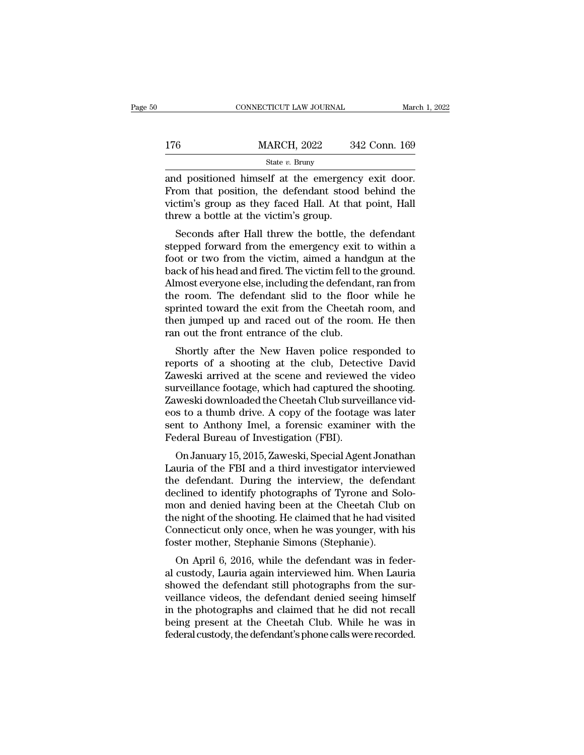State *v.* Bruny

CONNECTICUT LAW JOURNAL March 1, 2<br>  $\frac{176}{\text{State } v. \text{ Bruny}}$ <br>  $\frac{\text{State } v. \text{ Bruny}}{\text{and positioned himself at the emergency exit door.}}$ <br>
From that position, the defendant stood behind the victim's group as they faced Hall. At that point Hall 176 MARCH, 2022 342 Conn. 169<br>
State v. Bruny<br>
and positioned himself at the emergency exit door.<br>
From that position, the defendant stood behind the<br>
victim's group as they faced Hall. At that point, Hall<br>
throw a hottle 176 MARCH, 2022 342 Conn. 169<br>
State v. Bruny<br>
and positioned himself at the emergency exit door.<br>
From that position, the defendant stood behind the<br>
victim's group as they faced Hall. At that point, Hall<br>
threw a bottle  $\frac{\text{MARCH, 2022}}{\text{State } v. \text{ Bruny}}$ <br>and positioned himself at the emergence<br>From that position, the defendant stood<br>victim's group as they faced Hall. At that<br>threw a bottle at the victim's group.<br>Seconds after Hall threw the State v. Bruny<br>
d positioned himself at the emergency exit door.<br>
com that position, the defendant stood behind the<br>
ctim's group as they faced Hall. At that point, Hall<br>
rew a bottle at the victim's group.<br>
Seconds after and positioned himself at the emergency exit door.<br>From that position, the defendant stood behind the<br>victim's group as they faced Hall. At that point, Hall<br>threw a bottle at the victim's group.<br>Seconds after Hall threw th

and positioned finised at the entergency exit door.<br>From that position, the defendant stood behind the<br>victim's group as they faced Hall. At that point, Hall<br>threw a bottle at the victim's group.<br>Seconds after Hall threw t From that position, the defendant stood behind the<br>victim's group as they faced Hall. At that point, Hall<br>threw a bottle at the victim's group.<br>Seconds after Hall threw the bottle, the defendant<br>stepped forward from the em Victim's group as they raced rian. At that point, rian<br>threw a bottle at the victim's group.<br>Seconds after Hall threw the bottle, the defendant<br>stepped forward from the emergency exit to within a<br>foot or two from the victi Seconds after Hall threw the bottle, the defendant<br>stepped forward from the emergency exit to within a<br>foot or two from the victim, aimed a handgun at the<br>back of his head and fired. The victim fell to the ground.<br>Almost e Seconds after Hall threw the bottle, the defendant<br>stepped forward from the emergency exit to within a<br>foot or two from the victim, aimed a handgun at the<br>back of his head and fired. The victim fell to the ground.<br>Almost e stepped forward from the emergency exit to within a<br>foot or two from the victim, aimed a handgun at the<br>back of his head and fired. The victim fell to the ground.<br>Almost everyone else, including the defendant, ran from<br>the foot or two from the victim, aimed a hand<br>back of his head and fired. The victim fell to t<br>Almost everyone else, including the defendar<br>the room. The defendant slid to the floor<br>sprinted toward the exit from the Cheetah<br>th Ex of its fiead and fried. The victilit left to the ground.<br>
most everyone else, including the defendant, ran from<br>
e room. The defendant slid to the floor while he<br>
rinted toward the exit from the Cheetah room, and<br>
en ju reports of a shooting at the club, Detective David Tawardian and then jumped up and raced out of the room. He then<br>ran out the front entrance of the club.<br>Shortly after the New Haven police responded to<br>reports of a shooti

the Foolit. The defendant shd to the floor while he<br>sprinted toward the exit from the Cheetah room, and<br>then jumped up and raced out of the room. He then<br>ran out the front entrance of the club.<br>Shortly after the New Haven sprinted toward the exit front the Cheetan foont, and<br>then jumped up and raced out of the room. He then<br>ran out the front entrance of the club.<br>Shortly after the New Haven police responded to<br>reports of a shooting at the c The Cheet Jumped up and raced out of the Front. He then<br>ran out the front entrance of the club.<br>Shortly after the New Haven police responded to<br>reports of a shooting at the club, Detective David<br>Zaweski arrived at the scen Fair out the front entrance of the club.<br>
Shortly after the New Haven police responded to<br>
reports of a shooting at the club, Detective David<br>
Zaweski arrived at the scene and reviewed the video<br>
surveillance footage, whic Shortly after the New Haven police responded to<br>reports of a shooting at the club, Detective David<br>Zaweski arrived at the scene and reviewed the video<br>surveillance footage, which had captured the shooting.<br>Zaweski download reports of a shooting at the club, Detec<br>Zaweski arrived at the scene and reviewed<br>surveillance footage, which had captured the<br>Zaweski downloaded the Cheetah Club surve<br>eos to a thumb drive. A copy of the footage<br>sent to Weski arrived at the scene and reviewed the video<br>rveillance footage, which had captured the shooting.<br>weski downloaded the Cheetah Club surveillance vid-<br>s to a thumb drive. A copy of the footage was later<br>nt to Anthony I Survenlance lootage, which had captured the shooting.<br>Zaweski downloaded the Cheetah Club surveillance vid-<br>eos to a thumb drive. A copy of the footage was later<br>sent to Anthony Imel, a forensic examiner with the<br>Federal B

Eaweski downloaded the Cheetal Club surventance via-<br>eos to a thumb drive. A copy of the footage was later<br>sent to Anthony Imel, a forensic examiner with the<br>Federal Bureau of Investigation (FBI).<br>On January 15, 2015, Zawe France of a trial of the Redy of the Footage was fater<br>sent to Anthony Imel, a forensic examiner with the<br>Federal Bureau of Investigation (FBI).<br>On January 15, 2015, Zaweski, Special Agent Jonathan<br>Lauria of the FBI and a Sent to Anthony Inter, a forensic examiner with the<br>Federal Bureau of Investigation (FBI).<br>On January 15, 2015, Zaweski, Special Agent Jonathan<br>Lauria of the FBI and a third investigator interviewed<br>the defendant. During t Tederal Bureau of Investigation (TBI).<br>
On January 15, 2015, Zaweski, Special Agent Jonathan<br>
Lauria of the FBI and a third investigator interviewed<br>
the defendant. During the interview, the defendant<br>
declined to identify On January 15, 2015, Zaweski, Special Agent Jonathan<br>Lauria of the FBI and a third investigator interviewed<br>the defendant. During the interview, the defendant<br>declined to identify photographs of Tyrone and Solo-<br>mon and de Lauria of the FBI and a third investigator interviev<br>the defendant. During the interview, the defend<br>declined to identify photographs of Tyrone and So<br>mon and denied having been at the Cheetah Club<br>the night of the shootin e defendant. During the interview, the defendant<br>clined to identify photographs of Tyrone and Solo-<br>on and denied having been at the Cheetah Club on<br>e night of the shooting. He claimed that he had visited<br>onnecticut only o declined to definity photographs of Tyrone and Solo-<br>mon and denied having been at the Cheetah Club on<br>the night of the shooting. He claimed that he had visited<br>Connecticut only once, when he was younger, with his<br>foster m

showed the habitation and defined having been at the cheedant club of<br>the night of the shooting. He claimed that he had visited<br>Connecticut only once, when he was younger, with his<br>foster mother, Stephanie Simons (Stephani the hight of the shooting. He claimed that he had visited<br>Connecticut only once, when he was younger, with his<br>foster mother, Stephanie Simons (Stephanie).<br>On April 6, 2016, while the defendant was in feder-<br>al custody, La connecticut only once, when he was younger, which its<br>foster mother, Stephanie Simons (Stephanie).<br>On April 6, 2016, while the defendant was in feder-<br>al custody, Lauria again interviewed him. When Lauria<br>showed the defend foster mother, stephane smoots (stephane).<br>
On April 6, 2016, while the defendant was in feder-<br>
al custody, Lauria again interviewed him. When Lauria<br>
showed the defendant still photographs from the sur-<br>
veillance videos On April 6, 2016, while the defendant was in feder-<br>al custody, Lauria again interviewed him. When Lauria<br>showed the defendant still photographs from the sur-<br>veillance videos, the defendant denied seeing himself<br>in the ph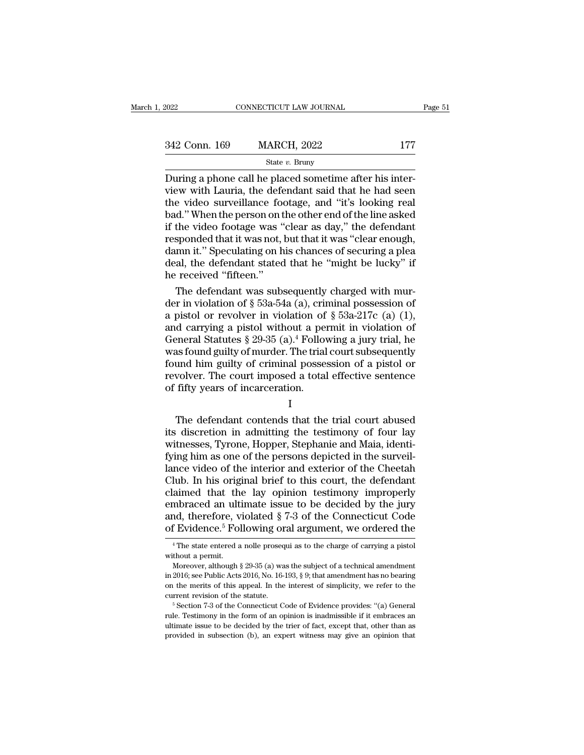| 2022          | CONNECTICUT LAW JOURNAL |     | Page 51 |
|---------------|-------------------------|-----|---------|
|               |                         |     |         |
| 342 Conn. 169 | <b>MARCH, 2022</b>      | 177 |         |
|               | State $v$ . Bruny       |     |         |

CONNECTICUT LAW JOURNAL<br>
2022 177<br>
2022 177<br>
2022 177<br>
2022 177<br>
2022 177<br>
2022 177<br>
2022 177<br>
2022 177<br>
2022 177<br>
2022 177<br>
2022 177<br>
2022 177<br>
2022 177<br>
2022 177<br>
2022 177<br>
2022 177<br>
2022 178<br>
2020 102 103<br>
2020 104<br>
202 342 Conn. 169 MARCH, 2022 177<br>
State v. Bruny<br>
During a phone call he placed sometime after his inter-<br>
view with Lauria, the defendant said that he had seen<br>
the video surveillance footage, and "it's looking real<br>
had "W 342 Conn. 169 MARCH, 2022 177<br>
State v. Bruny<br>
During a phone call he placed sometime after his inter-<br>
view with Lauria, the defendant said that he had seen<br>
the video surveillance footage, and "it's looking real<br>
bad." 342 Conn. 169 MARCH, 2022 177<br>
State v. Bruny<br>
During a phone call he placed sometime after his inter-<br>
view with Lauria, the defendant said that he had seen<br>
the video surveillance footage, and "it's looking real<br>
bad." Since of the video for the video for the video surveillance footage, and "it's looking real<br>bad." When the person on the other end of the line asked<br>if the video footage was "clear as day," the defendant<br>responded that it State v. Bruny<br>During a phone call he placed sometime after his inter-<br>view with Lauria, the defendant said that he had seen<br>the video surveillance footage, and "it's looking real<br>bad." When the person on the other end of During a phone call he placed sometime after his inter-<br>view with Lauria, the defendant said that he had seen<br>the video surveillance footage, and "it's looking real<br>bad." When the person on the other end of the line asked<br> view with Lauria, the defendant said that he had seen<br>the video surveillance footage, and "it's looking real<br>bad." When the person on the other end of the line asked<br>if the video footage was "clear as day," the defendant<br>r the video surveillance footad." When the person on the if the video footage was "responded that it was not, damn it." Speculating on h<br>deal, the defendant stated the received "fifteen."<br>The defendant was subst d." When the person on the other end of the line asked<br>the video footage was "clear as day," the defendant<br>sponded that it was not, but that it was "clear enough,<br>mn it." Speculating on his chances of securing a plea<br>al, if the video footage was "clear as day," the defendant<br>responded that it was not, but that it was "clear enough,<br>damn it." Speculating on his chances of securing a plea<br>deal, the defendant stated that he "might be lucky"

responded that it was not, but that it was "clear enough,<br>damn it." Speculating on his chances of securing a plea<br>deal, the defendant stated that he "might be lucky" if<br>he received "fifteen."<br>The defendant was subsequentl damn it." Speculating on his chances of securing a plea<br>
deal, the defendant stated that he "might be lucky" if<br>
he received "fifteen."<br>
The defendant was subsequently charged with mur-<br>
der in violation of § 53a-54a (a), deal, the defendant stated that he "might be lucky" if<br>he received "fifteen."<br>The defendant was subsequently charged with mur-<br>der in violation of § 53a-54a (a), criminal possession of<br>a pistol or revolver in violation of he received "fifteen."<br>The defendant was subsequently charged with mur-<br>der in violation of § 53a-54a (a), criminal possession of<br>a pistol or revolver in violation of § 53a-217c (a) (1),<br>and carrying a pistol without a pe The defendant was subsequently charged with mur-<br>der in violation of  $\S$  53a-54a (a), criminal possession of<br>a pistol or revolver in violation of  $\S$  53a-217c (a) (1),<br>and carrying a pistol without a permit in violation o der in violation of § 53a-54a (a), criminal possession of<br>a pistol or revolver in violation of § 53a-217c (a) (1),<br>and carrying a pistol without a permit in violation of<br>General Statutes § 29-35 (a).<sup>4</sup> Following a jury t a pistol or revolver in violation of<br>and carrying a pistol without a per<br>General Statutes § 29-35 (a).<sup>4</sup> Follov<br>was found guilty of murder. The trial<br>found him guilty of criminal posse:<br>revolver. The court imposed a total The defendant contends that the trial court subsequently<br>wind him guilty of murder. The trial court subsequently<br>wolver. The court imposed a total effective sentence<br>fifty years of incarceration.<br> $I$ <br>The defendant contend

#### I

was found guilty of indities. The trial court subsequently<br>found him guilty of criminal possession of a pistol or<br>revolver. The court imposed a total effective sentence<br>of fifty years of incarceration.<br>I<br>The defendant cont France and Main Sunty of Criminal possession of a pistor of<br>revolver. The court imposed a total effective sentence<br>of fifty years of incarceration.<br>I<br>The defendant contends that the trial court abused<br>its discretion in adm Frontei. The court imposed a total effective sentence<br>of fifty years of incarceration.<br>I<br>The defendant contends that the trial court abused<br>its discretion in admitting the testimony of four lay<br>witnesses, Tyrone, Hopper, S I<br>
The defendant contends that the trial court abused<br>
its discretion in admitting the testimony of four lay<br>
witnesses, Tyrone, Hopper, Stephanie and Maia, identi-<br>
fying him as one of the persons depicted in the surveil-I<br>
The defendant contends that the trial court abused<br>
its discretion in admitting the testimony of four lay<br>
witnesses, Tyrone, Hopper, Stephanie and Maia, identi-<br>
fying him as one of the persons depicted in the surveil-The defendant contends that the trial court abused<br>its discretion in admitting the testimony of four lay<br>witnesses, Tyrone, Hopper, Stephanie and Maia, identi-<br>fying him as one of the persons depicted in the surveil-<br>lance its discretion in admitting the testimony of four lay<br>witnesses, Tyrone, Hopper, Stephanie and Maia, identi-<br>fying him as one of the persons depicted in the surveil-<br>lance video of the interior and exterior of the Cheetah witnesses, Tyrone, Hopper, Stephanie and Maia, identifying him as one of the persons depicted in the surveillance video of the interior and exterior of the Cheetah Club. In his original brief to this court, the defendant c fying him as one of the persons depicted in the surveil-<br>lance video of the interior and exterior of the Cheetah<br>Club. In his original brief to this court, the defendant<br>claimed that the lay opinion testimony improperly<br>e aimed that the lay opinion testimony improperly<br>mbraced an ultimate issue to be decided by the jury<br>nd, therefore, violated  $\S 7-3$  of the Connecticut Code<br> $Evidence.<sup>5</sup>$  Following oral argument, we ordered the<br> $\frac{4}{10}$ <sup>4</sup> embraced an ult<br>and, therefore, v<br>of Evidence.<sup>5</sup> Fo.<br><sup>4</sup>The state entered a<br>without a permit.<br>Moreover, although and, therefore, violated § 7-3 of the Connecticut Code f Evidence.<sup>5</sup> Following oral argument, we ordered the  $\frac{4}{1}$ <sup>4</sup> The state entered a nolle prosequi as to the charge of carrying a pistol thout a permit.<br>Moreover,

of Evidence.<sup>5</sup> Following oral argument, we ordered the  $\frac{4 \text{ The state entered a noble prosequi as to the charge of carrying a piston without a permit. Moreover, although § 29-35 (a) was the subject of a technical amendment in 2016; see Public Acts 2016, No. 16-193, § 9; that amendment has no bearing on the merits of this appeal. In the interest of simplicity, we refer to the current revision of the statue.$ on EVIQENCE. FOHOWING OPTHIT argument, we Ordered the<br>
<sup>4</sup> The state entered a nolle prosequi as to the charge of carrying a pistol<br>
without a permit.<br>
Moreover, although § 29-35 (a) was the subject of a technical amendme <sup>4</sup> The state entered a nolle prosequi as to the charge of carrying a pistol without a permit.<br>Moreover, although  $\S 29-35$  (a) was the subject of a technical amendment in 2016; see Public Acts 2016, No. 16-193,  $\S 9$ ; th Moreover, although § 29-35 (a) was the subject of a technical amendment<br>in 2016; see Public Acts 2016, No. 16-193, § 9; that amendment has no bearing<br>on the merits of this appeal. In the interest of simplicity, we refer t on the merits of this appeal. In the interest of simplicity, we refer to the

in 2016; see Public Acts 2016, No. 16-193, § 9; that amendment has no bearing<br>on the merits of this appeal. In the interest of simplicity, we refer to the<br>current revision of the statute.<br><sup>5</sup> Section 7-3 of the Connecticu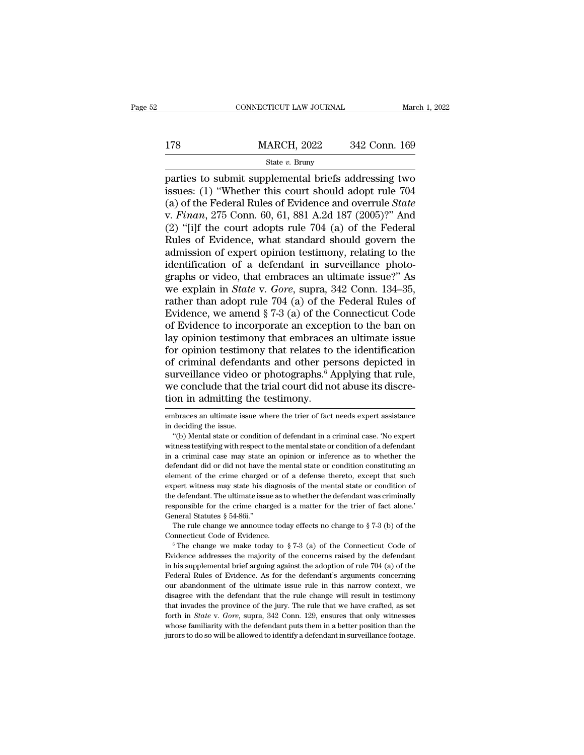# EXECUTE CONNECTICUT LAW JOURNAL March 1, 2022<br>178 MARCH, 2022 342 Conn. 169<br>State v. Bruny

### State *v.* Bruny

 $\begin{tabular}{ll} \multicolumn{1}{l}{{\bf ConRECTICUT LAW JOURNAL}} & {March 1, 2022} \\ \hline & {MARCH, 2022} & 342 & {Conn. 169} \\ \hline & {State $v$. Bruny} \\ \hline \end{tabular}$  parties to submit supplemental briefs addressing two issues: (1) "Whether this court should adopt rule 704  $(a)$  of the Eede 178 MARCH, 2022 342 Conn. 169<br>
State v. Bruny<br>
parties to submit supplemental briefs addressing two<br>
issues: (1) "Whether this court should adopt rule 704<br>
(a) of the Federal Rules of Evidence and overrule *State*<br>
v. Fina 178 MARCH, 2022 342 Conn. 169<br>
State v. Bruny<br>
parties to submit supplemental briefs addressing two<br>
issues: (1) "Whether this court should adopt rule 704<br>
(a) of the Federal Rules of Evidence and overrule *State*<br>
v. *Fi* V. *Finance H. 2022 Finance State v. Bruny*<br>
Figure 2022 *Finance State v. Bruny*<br>
Figure 2016 issues: (1) "Whether this court should adopt rule 704<br>
(a) of the Federal Rules of Evidence and overrule *State*<br>
v. *Finan*, State v. Bruny<br>
State v. Bruny<br>
parties to submit supplemental briefs addressing two<br>
issues: (1) "Whether this court should adopt rule 704<br>
(a) of the Federal Rules of Evidence and overrule *State*<br>
v. *Finan*, 275 Conn. State v. Bruny<br>
parties to submit supplemental briefs addressing two<br>
issues: (1) "Whether this court should adopt rule 704<br>
(a) of the Federal Rules of Evidence and overrule *State*<br>
v. *Finan*, 275 Conn. 60, 61, 881 A.2 parties to submit supplemental briefs addressing two<br>issues: (1) "Whether this court should adopt rule 704<br>(a) of the Federal Rules of Evidence and overrule *State*<br>v. Finan, 275 Conn. 60, 61, 881 A.2d 187 (2005)?" And<br>(2) issues: (1) "Whether this court should adopt rule 704 (a) of the Federal Rules of Evidence and overrule *State* v. *Finan*, 275 Conn. 60, 61, 881 A.2d 187 (2005)?" And (2) "[i]f the court adopts rule 704 (a) of the Federa (a) of the Federal Rules of Evidence and overrule *State* v. *Finan*, 275 Conn. 60, 61, 881 A.2d 187 (2005)?" And (2) "[i]f the court adopts rule 704 (a) of the Federal Rules of Evidence, what standard should govern the a v. *Finan*, 275 Conn. 60, 61, 881 A.2d 187 (2005)?" And (2) "[i]f the court adopts rule 704 (a) of the Federal Rules of Evidence, what standard should govern the admission of expert opinion testimony, relating to the ident (2) "[i]f the court adopts rule 704 (a) of the Federal Rules of Evidence, what standard should govern the admission of expert opinion testimony, relating to the identification of a defendant in surveillance photographs or Rules of Evidence, what standard should govern the<br>admission of expert opinion testimony, relating to the<br>identification of a defendant in surveillance photo-<br>graphs or video, that embraces an ultimate issue?" As<br>we explai admission of expert opinion testimony, relating to the<br>identification of a defendant in surveillance photo-<br>graphs or video, that embraces an ultimate issue?" As<br>we explain in *State* v. *Gore*, supra, 342 Conn. 134–35,<br>ra identification of a defendant in surveillance photographs or video, that embraces an ultimate issue?" As<br>we explain in *State* v. Gore, supra, 342 Conn. 134–35,<br>rather than adopt rule 704 (a) of the Federal Rules of<br>Eviden graphs or video, that embraces an ultimate issue?" As<br>we explain in *State* v. *Gore*, supra, 342 Conn. 134–35,<br>rather than adopt rule 704 (a) of the Federal Rules of<br>Evidence, we amend § 7-3 (a) of the Connecticut Code<br>o we explain in *State* v. *Gore*, supra, 342 Conn. 134–35,<br>rather than adopt rule 704 (a) of the Federal Rules of<br>Evidence, we amend § 7-3 (a) of the Connecticut Code<br>of Evidence to incorporate an exception to the ban on<br>l rather than adopt rule 704 (a) of the Federal Rules of<br>Evidence, we amend § 7-3 (a) of the Connecticut Code<br>of Evidence to incorporate an exception to the ban on<br>lay opinion testimony that embraces an ultimate issue<br>for o Evidence, we amend  $\S$  7-3 (a) of the Connecticut Code of Evidence to incorporate an exception to the ban on lay opinion testimony that embraces an ultimate issue for opinion testimony that relates to the identification o of Evidence to incorporate an except<br>lay opinion testimony that embraces<br>for opinion testimony that relates to<br>of criminal defendants and other pe<br>surveillance video or photographs.<sup>6</sup> A<br>we conclude that the trial court di of criminal defendants and other persons depicted in<br>surveillance video or photographs.<sup>6</sup> Applying that rule,<br>we conclude that the trial court did not abuse its discre-<br>tion in admitting the testimony.<br>mbraces an ultimate surveillance video or photographs.<sup>6</sup> Applying that rule,<br>we conclude that the trial court did not abuse its discre-<br>tion in admitting the testimony.<br> $\overline{\phantom{a}}$  embraces an ultimate issue where the trier of fact needs ex

We conclude that the trial court did not abuse its discretion in admitting the testimony.<br>
The ending the state or condition of defendant in a criminal case. 'No expert<br>
"(b) Mental state or condition of defendant in a cri we concrude that the trial court did not abdoe its discretion<br>tion in admitting the testimony.<br>mentaces an ultimate issue where the trier of fact needs expert assistance<br>in deciding the issue.<br>"(b) Mental state or conditio in a criminal case may state an opinion or inference as to whether the defendant in a criminal case. "(b) Mental state or condition of defendant in a criminal case. 'No expert witness testifying with respect to the mental embraces an ultimate issue where the trier of fact needs expert assistance<br>in deciding the issue.<br>"(b) Mental state or condition of defendant in a criminal case. 'No expert<br>witness testifying with respect to the mental sta in deciding the issue.<br>
"(b) Mental state or condition of defendant in a criminal case. 'No expert<br>
witness testifying with respect to the mental state or condition of a defendant<br>
in a criminal case may state an opinion "(b) Mental state or condition of defendant in a criminal case. 'No expert witness testifying with respect to the mental state or condition of a defendant in a criminal case may state an opinion or inference as to whether witness testifying with respect to the mental state or condition of a defendant in a criminal case may state an opinion or inference as to whether the defendant did or did not have the mental state or condition constitutin responsible for the crime charged is a matter for the crime charged in a criminal case may state an opinion or inference as to whether the defendant did or did not have the mental state or condition constituting an elemen defendant did or did not have the mental state or condition constituting an element of the crime charged or of a defense thereto, except that such expert witness may state his diagnosis of the mental state or condition of Frement of the crime charged or of a defense thereto, except that such<br>pert witness may state his diagnosis of the mental state or condition of<br>e defendant. The ultimate issue as to whether the defendant was criminally<br>sp expert witness may state his diagnosis of the mental state or condition of<br>the defendant. The ultimate issue as to whether the defendant was criminally<br>responsible for the crime charged is a matter for the trier of fact a

Evidence addresses the majority of the concerns raised by the defendant mass of the connecticut S  $\S$  54-86i."<br>The rule change we announce today effects no change to  $\S$  7-3 (b) of the Connecticut Code of Evidence.<br>
<sup>6</sup> T General Statutes § 54-86i."<br>
The rule change we announce today effects no change to § 7-3 (b) of the<br>
Connecticut Code of Evidence.<br>
<sup>6</sup> The change we make today to § 7-3 (a) of the Connecticut Code of<br>
Evidence addresses The rule change we announce today effects no change to  $\S 7-3$  (b) of the Connecticut Code of Evidence.<br>
<sup>6</sup> The change we make today to  $\S 7-3$  (a) of the Connecticut Code of Evidence addresses the majority of the concer Connecticut Code of Evidence.<br>
<sup>6</sup> The change we make today to  $\S$  7-3 (a) of the Connecticut Code of Evidence addresses the majority of the concerns raised by the defendant in his supplemental brief arguing against the a <sup>6</sup> The change we make today to § 7-3 (a) of the Connecticut Code of Evidence addresses the majority of the concerns raised by the defendant in his supplemental brief arguing against the adoption of rule 704 (a) of the Fe Evidence adresses the majority of the concerns raised by the defendant<br>in his supplemental brief arguing against the adoption of rule 704 (a) of the<br>Federal Rules of Evidence. As for the defendant's arguments concerning<br>o in his supplemental brief arguing against the adoption of rule  $704$  (a) of the Federal Rules of Evidence. As for the defendant's arguments concerning our abandonment of the ultimate issue rule in this narrow context, we Federal Rules of Evidence. As for the defendant's arguments concerning<br>our abandonment of the ultimate issue rule in this narrow context, we<br>disagree with the defendant that the rule change will result in testimony<br>that i our abandonment of the ultimate issue rule in this narrow context, we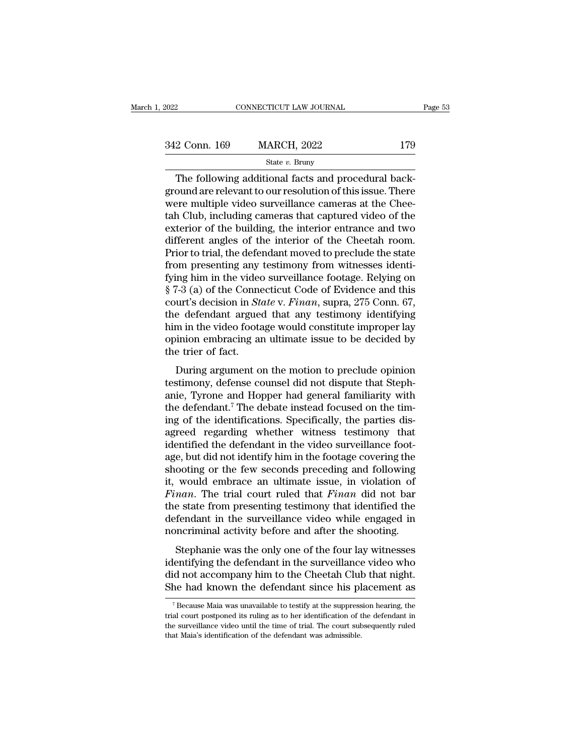| 2022          | CONNECTICUT LAW JOURNAL |     | Page 53 |
|---------------|-------------------------|-----|---------|
|               |                         |     |         |
| 342 Conn. 169 | <b>MARCH, 2022</b>      | 179 |         |
|               | State $v$ . Bruny       |     |         |

CONNECTICUT LAW JOURNAL<br>
2 Conn. 169 MARCH, 2022 179<br>
State v. Bruny<br>
The following additional facts and procedural back-<br>
Durant are relevant to our resolution of this issue. There<br>
The multiple video surveillance cameras  $\frac{342 \text{ Conn. } 169}{342 \text{ Conn. } 169}$  MARCH, 2022 179<br>State v. Bruny<br>The following additional facts and procedural back-<br>ground are relevant to our resolution of this issue. There<br>were multiple video surveillance cameras at t  $\frac{342 \text{ Conn. } 169}{342 \text{ Conn. } 169}$  MARCH, 2022 179<br>
State v. Bruny<br>
The following additional facts and procedural back-<br>
ground are relevant to our resolution of this issue. There<br>
were multiple video surveillance cameras 342 Conn. 169 MARCH, 2022 179<br>
State  $v$ . Bruny<br>
The following additional facts and procedural background are relevant to our resolution of this issue. There<br>
were multiple video surveillance cameras at the Chee-<br>
tah Clu Since of the following additional facts and procedural background are relevant to our resolution of this issue. There<br>were multiple video surveillance cameras at the Chee-<br>tah Club, including cameras that captured video o State v. Bruny<br>The following additional facts and procedural background are relevant to our resolution of this issue. There<br>were multiple video surveillance cameras at the Chee-<br>tah Club, including cameras that captured v The following additional facts and procedural background are relevant to our resolution of this issue. There were multiple video surveillance cameras at the Cheetah Club, including cameras that captured video of the exteri ground are relevant to our resolution of this issue. There<br>were multiple video surveillance cameras at the Chee-<br>tah Club, including cameras that captured video of the<br>exterior of the building, the interior entrance and tw were multiple video surveillance cameras at the Cheetah Club, including cameras that captured video of the exterior of the building, the interior entrance and two different angles of the interior of the Cheetah room.<br>Prio tah Club, including cameras that captured video of the exterior of the building, the interior entrance and two<br>different angles of the interior of the Cheetah room.<br>Prior to trial, the defendant moved to preclude the state exterior of the building, the interior entrance and two<br>different angles of the interior of the Cheetah room.<br>Prior to trial, the defendant moved to preclude the state<br>from presenting any testimony from witnesses identi-<br>f different angles of the interior of the Cheetah room.<br>Prior to trial, the defendant moved to preclude the state<br>from presenting any testimony from witnesses identi-<br>fying him in the video surveillance footage. Relying on<br>§ Prior to trial, the defendant moved to preclude the state<br>from presenting any testimony from witnesses identi-<br>fying him in the video surveillance footage. Relying on<br>§ 7-3 (a) of the Connecticut Code of Evidence and this<br> from presenting any testimony from witnesses identifying him in the video surveillance footage. Relying on  $\S$  7-3 (a) of the Connecticut Code of Evidence and this court's decision in *State v. Finan*, supra, 275 Conn. 67 fying him in the videos  $\$ 7-3 (a) of the Conne<br>court's decision in *Sta*<br>the defendant argues<br>him in the video foota<br>opinion embracing ar<br>the trier of fact.<br>During argument o For (a) of the connecticat code of Evidence and this<br>urt's decision in *State* v. Finan, supra, 275 Conn. 67,<br>e defendant argued that any testimony identifying<br>m in the video footage would constitute improper lay<br>inion emb the defendant argued that any testimony identifying<br>the defendant argued that any testimony identifying<br>him in the video footage would constitute improper lay<br>opinion embracing an ultimate issue to be decided by<br>the trier

Figure 1.1 and Hopper had general familiarity with the defendant.<sup>7</sup> The debate increases to be decided by the trier of fact.<br>
During argument on the motion to preclude opinion testimony, defense counsel did not dispute th Finith in the video rootage would construct improper lay<br>opinion embracing an ultimate issue to be decided by<br>the trier of fact.<br>During argument on the motion to preclude opinion<br>testimony, defense counsel did not dispute by the trier of fact.<br>
During argument on the motion to preclude opinion<br>
testimony, defense counsel did not dispute that Steph-<br>
anie, Tyrone and Hopper had general familiarity with<br>
the defendant.<sup>7</sup> The debate instead f During argument on the motion to preclude opinion<br>testimony, defense counsel did not dispute that Steph-<br>anie, Tyrone and Hopper had general familiarity with<br>the defendant.<sup>7</sup> The debate instead focused on the tim-<br>ing of During argument on the motion to preclude opinion<br>testimony, defense counsel did not dispute that Steph-<br>anie, Tyrone and Hopper had general familiarity with<br>the defendant.<sup>7</sup> The debate instead focused on the tim-<br>ing of testimony, defense counsel did not dispute that Stephanie, Tyrone and Hopper had general familiarity with<br>the defendant.<sup>7</sup> The debate instead focused on the tim-<br>ing of the identifications. Specifically, the parties dis-<br> anie, Tyrone and Hopper had general familiarity with<br>the defendant.<sup>7</sup> The debate instead focused on the tim-<br>ing of the identifications. Specifically, the parties dis-<br>agreed regarding whether witness testimony that<br>ident the defendant.<sup>7</sup> The debate instead focused on the tim-<br>ing of the identifications. Specifically, the parties dis-<br>agreed regarding whether witness testimony that<br>identified the defendant in the video surveillance foot-<br>a ing of the identifications. Specifically, the parties dis-<br>agreed regarding whether witness testimony that<br>identified the defendant in the video surveillance foot-<br>age, but did not identify him in the footage covering the<br> agreed regarding whether witness testimony that<br>identified the defendant in the video surveillance foot-<br>age, but did not identify him in the footage covering the<br>shooting or the few seconds preceding and following<br>it, wou identified the defendant in the video surveillance foot-<br>age, but did not identify him in the footage covering the<br>shooting or the few seconds preceding and following<br>it, would embrace an ultimate issue, in violation of<br>*F* age, but did not identify him in the footage covering the shooting or the few seconds preceding and following it, would embrace an ultimate issue, in violation of *Finan*. The trial court ruled that *Finan* did not bar the sooting of the few seconds preceding and following<br>would embrace an ultimate issue, in violation of<br>nan. The trial court ruled that *Finan* did not bar<br>e state from presenting testimony that identified the<br>fendant in the s *Finan*. The trial court ruled that *Finan* did not bar<br>the state from presenting testimony that identified the<br>defendant in the surveillance video while engaged in<br>noncriminal activity before and after the shooting.<br>Steph

Finant. The that court futed that *T* than dud not bat<br>the state from presenting testimony that identified the<br>defendant in the surveillance video while engaged in<br>noncriminal activity before and after the shooting.<br>Stepha defendant in the surveillance video while engaged in<br>noncriminal activity before and after the shooting.<br>Stephanie was the only one of the four lay witnesses<br>identifying the defendant in the surveillance video who<br>did not Stephanie was the only one of the four lay witnesses<br>lentifying the defendant in the surveillance video who<br>id not accompany him to the Cheetah Club that night.<br>he had known the defendant since his placement as<br><sup>7</sup> Because identifying the defendant in the surveillance video who<br>did not accompany him to the Cheetah Club that night.<br>She had known the defendant since his placement as<br><sup>7</sup> Because Maia was unavailable to testify at the suppressio

did not accompany him to the Cheetah Club that night.<br>She had known the defendant since his placement as<br><sup>7</sup>Because Maia was unavailable to testify at the suppression hearing, the<br>trial court postponed its ruling as to her The had known the defendant since his pl<br>
<sup>7</sup> Because Maia was unavailable to testify at the suppress<br>
trial court postponed its ruling as to her identification of t<br>
the surveillance video until the time of trial. The cou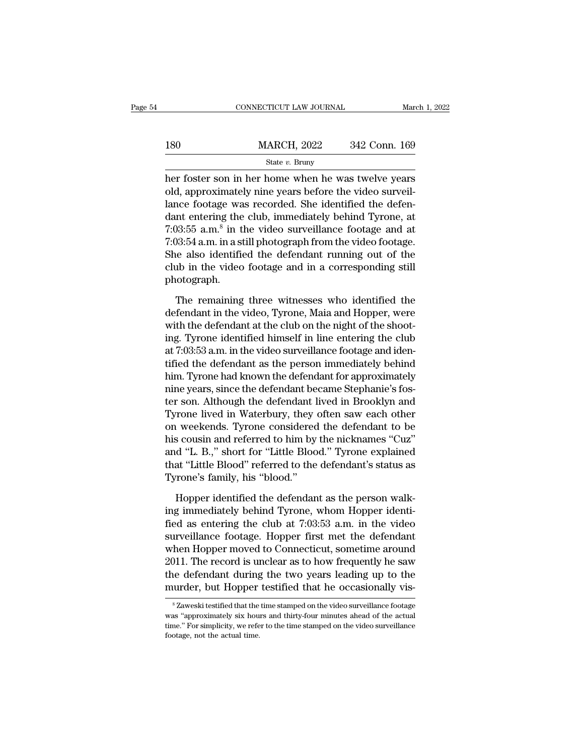|     | CONNECTICUT LAW JOURNAL                                                                                                                                                | March 1, 2022 |
|-----|------------------------------------------------------------------------------------------------------------------------------------------------------------------------|---------------|
|     |                                                                                                                                                                        |               |
| 180 | <b>MARCH, 2022</b>                                                                                                                                                     | 342 Conn. 169 |
|     | State $v$ . Bruny                                                                                                                                                      |               |
|     | her foster son in her home when he was twelve years<br>old, approximately nine years before the video surveil-<br>lange footage was regarded. She identified the defen |               |

180 MARCH, 2022 342 Conn. 169<br>
State v. Bruny<br>
her foster son in her home when he was twelve years<br>
old, approximately nine years before the video surveil-<br>
lance footage was recorded. She identified the defen-180 MARCH, 2022 342 Conn. 169<br>
State v. Bruny<br>
her foster son in her home when he was twelve years<br>
old, approximately nine years before the video surveil-<br>
lance footage was recorded. She identified the defen-<br>
dant ente MARCH, 2022 342 Conn. 169<br>
State v. Bruny<br>
her foster son in her home when he was twelve years<br>
old, approximately nine years before the video surveil-<br>
lance footage was recorded. She identified the defen-<br>
dant entering her foster son in h<br>old, approximately<br>lance footage was<br>dant entering the c<br>7:03:55 a.m.<sup>8</sup> in the<br>7:03:54 a.m. in a stil State v. Bruny<br>
in her home when he was twelve years<br>
intely nine years before the video surveil-<br>
was recorded. She identified the defen-<br>
the club, immediately behind Tyrone, at<br>
in the video surveillance footage and at <sup>53:46</sup> *v*. Bruny<br>
her foster son in her home when he was twelve years<br>
old, approximately nine years before the video surveil-<br>
lance footage was recorded. She identified the defen-<br>
dant entering the club, immediately her foster son in her home when he was twelve years<br>old, approximately nine years before the video surveil-<br>lance footage was recorded. She identified the defen-<br>dant entering the club, immediately behind Tyrone, at<br>7:03:5 old, approximately nine years before the video surveil-<br>lance footage was recorded. She identified the defen-<br>dant entering the club, immediately behind Tyrone, at<br>7:03:55 a.m.<sup>8</sup> in the video surveillance footage and at<br>7 photograph.  $193:55$  a.m.<sup>8</sup> in the video surveillance footage and at  $193:54$  a.m. in a still photograph from the video footage.<br>
ie also identified the defendant running out of the ab in the video footage and in a corresponding sti 7:03:54 a.m. in a still photograph from the video footage.<br>She also identified the defendant running out of the<br>club in the video footage and in a corresponding still<br>photograph.<br>The remaining three witnesses who identifie

She also identified the defendant running out of the<br>club in the video footage and in a corresponding still<br>photograph.<br>The remaining three witnesses who identified the<br>defendant in the video, Tyrone, Maia and Hopper, wer club in the video footage and in a corresponding still<br>photograph.<br>The remaining three witnesses who identified the<br>defendant in the video, Tyrone, Maia and Hopper, were<br>with the defendant at the club on the night of the s photograph.<br>The remaining three witnesses who identified the<br>defendant in the video, Tyrone, Maia and Hopper, were<br>with the defendant at the club on the night of the shoot-<br>ing. Tyrone identified himself in line entering t The remaining three witnesses who identified the<br>defendant in the video, Tyrone, Maia and Hopper, were<br>with the defendant at the club on the night of the shoot-<br>ing. Tyrone identified himself in line entering the club<br>at 7 The remaining three witnesses who identified the<br>defendant in the video, Tyrone, Maia and Hopper, were<br>with the defendant at the club on the night of the shoot-<br>ing. Tyrone identified himself in line entering the club<br>at 7 defendant in the video, Tyrone, Maia and Hopper, were<br>with the defendant at the club on the night of the shoot-<br>ing. Tyrone identified himself in line entering the club<br>at 7:03:53 a.m. in the video surveillance footage and with the defendant at the club on the night of the shooting. Tyrone identified himself in line entering the club<br>at 7:03:53 a.m. in the video surveillance footage and identified the defendant as the person immediately behi ing. Tyrone identified himself in line entering the club<br>at 7:03:53 a.m. in the video surveillance footage and iden-<br>tified the defendant as the person immediately behind<br>him. Tyrone had known the defendant for approximate at 7:03:53 a.m. in the video surveillance footage and identified the defendant as the person immediately behind<br>him. Tyrone had known the defendant for approximately<br>nine years, since the defendant became Stephanie's fos-<br> tified the defendant as the person immediately behind<br>him. Tyrone had known the defendant for approximately<br>nine years, since the defendant became Stephanie's fos-<br>ter son. Although the defendant lived in Brooklyn and<br>Tyro him. Tyrone had known the defendant for approximately<br>nine years, since the defendant became Stephanie's fos-<br>ter son. Although the defendant lived in Brooklyn and<br>Tyrone lived in Waterbury, they often saw each other<br>on we nine years, since the defendant became Stephanie's fos-<br>ter son. Although the defendant lived in Brooklyn and<br>Tyrone lived in Waterbury, they often saw each other<br>on weekends. Tyrone considered the defendant to be<br>his cous ter son. Although the defendant l<br>Tyrone lived in Waterbury, they on<br>weekends. Tyrone considered<br>his cousin and referred to him by<br>and "L. B.," short for "Little Bloo<br>that "Little Blood" referred to the<br>Tyrone's family, hi weekends. Tyrone considered the defendant to be<br>s cousin and referred to him by the nicknames "Cuz"<br>d "L. B.," short for "Little Blood." Tyrone explained<br>at "Little Blood" referred to the defendant's status as<br>rone's fami his cousin and referred to him by the nicknames "Cuz"<br>and "L. B.," short for "Little Blood." Tyrone explained<br>that "Little Blood" referred to the defendant's status as<br>Tyrone's family, his "blood."<br>Hopper identified the de

and "L. B.," short for "Little Blood." Tyrone explained<br>that "Little Blood" referred to the defendant's status as<br>Tyrone's family, his "blood."<br>Hopper identified the defendant as the person walk-<br>ing immediately behind Tyr that "Little Blood" referred to the defendant's status as<br>Tyrone's family, his "blood."<br>Hopper identified the defendant as the person walk-<br>ing immediately behind Tyrone, whom Hopper identi-<br>fied as entering the club at 7: Tyrone's family, his "blood."<br>
Hopper identified the defendant as the person walk-<br>
ing immediately behind Tyrone, whom Hopper identi-<br>
fied as entering the club at 7:03:53 a.m. in the video<br>
surveillance footage. Hopper f Hopper identified the defendant as the person walk-<br>ing immediately behind Tyrone, whom Hopper identi-<br>fied as entering the club at 7:03:53 a.m. in the video<br>surveillance footage. Hopper first met the defendant<br>when Hopper Hopper identified the defendant as the person walking immediately behind Tyrone, whom Hopper identified as entering the club at 7:03:53 a.m. in the video surveillance footage. Hopper first met the defendant when Hopper mov ing immediately behind Tyrone, whom Hopper identi-<br>fied as entering the club at 7:03:53 a.m. in the video<br>surveillance footage. Hopper first met the defendant<br>when Hopper moved to Connecticut, sometime around<br>2011. The rec when Hopper moved to Connecticut, sometime around 2011. The record is unclear as to how frequently he saw the defendant during the two years leading up to the murder, but Hopper testified that he occasionally vis-<br><sup>8</sup>Zawes 2011. The record is unclear as to how frequently he saw<br>the defendant during the two years leading up to the<br>murder, but Hopper testified that he occasionally vis-<br><sup>8</sup>Zaweski testified that the time stamped on the video su

the defendant during the two years leading up to the murder, but Hopper testified that he occasionally vis-<br><sup>8</sup>Zaweski testified that the time stamped on the video surveillance footage was "approximately six hours and thir murder, but Hopper testified that he occasionally vis-<br>
<sup>8</sup> Zaweski testified that the time stamped on the video surveillance footage<br>
was "approximately six hours and thirty-four minutes ahead of the actual<br>
time." For si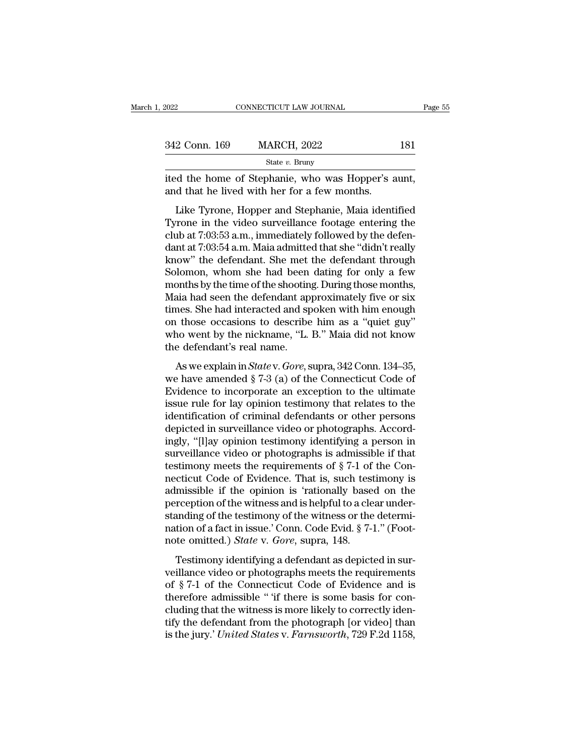| 2022          | CONNECTICUT LAW JOURNAL                                                                                                                                                   | Page 55 |
|---------------|---------------------------------------------------------------------------------------------------------------------------------------------------------------------------|---------|
|               |                                                                                                                                                                           |         |
| 342 Conn. 169 | <b>MARCH, 2022</b>                                                                                                                                                        | 181     |
|               | State $v$ . Bruny                                                                                                                                                         |         |
|               | ited the home of Stephanie, who was Hopper's aunt,<br>and that he lived with her for a few months.                                                                        |         |
|               | Like Tyrone, Hopper and Stephanie, Maia identified<br>Tyrone in the video surveillance footage entering the<br>club at $7.03.53$ a m simmodiately followed by the defenct |         |

342 Conn. 169 MARCH, 2022 181<br>
State v. Bruny<br>
ited the home of Stephanie, who was Hopper's aunt,<br>
and that he lived with her for a few months.<br>
Like Tyrone, Hopper and Stephanie, Maia identified<br>
Tyrone in the video surv State v. Bruny<br>ited the home of Stephanie, who was Hopper's aunt,<br>and that he lived with her for a few months.<br>Like Tyrone, Hopper and Stephanie, Maia identified<br>Tyrone in the video surveillance footage entering the<br>club ited the home of Stephanie, who was Hopper's aunt,<br>and that he lived with her for a few months.<br>Like Tyrone, Hopper and Stephanie, Maia identified<br>Tyrone in the video surveillance footage entering the<br>club at 7:03:53 a.m., ked the holde of stephante, who was Hopper s adm,<br>and that he lived with her for a few months.<br>Like Tyrone, Hopper and Stephanie, Maia identified<br>Tyrone in the video surveillance footage entering the<br>club at 7:03:53 a.m., Like Tyrone, Hopper and Stephanie, Maia identified<br>Tyrone in the video surveillance footage entering the<br>club at 7:03:53 a.m., immediately followed by the defen-<br>dant at 7:03:54 a.m. Maia admitted that she "didn't really<br>k Like Tyrone, Hopper and Stephanie, Maia identified<br>Tyrone in the video surveillance footage entering the<br>club at 7:03:53 a.m., immediately followed by the defen-<br>dant at 7:03:54 a.m. Maia admitted that she "didn't really<br>k Tyrone in the video surveillance footage entering the<br>club at 7:03:53 a.m., immediately followed by the defen-<br>dant at 7:03:54 a.m. Maia admitted that she "didn't really<br>know" the defendant. She met the defendant through<br> club at 7:03:53 a.m., immediately followed by the defen-<br>dant at 7:03:54 a.m. Maia admitted that she "didn't really<br>know" the defendant. She met the defendant through<br>Solomon, whom she had been dating for only a few<br>months dant at 7:03:54 a.m. Maia admitted that she "didn't really<br>know" the defendant. She met the defendant through<br>Solomon, whom she had been dating for only a few<br>months by the time of the shooting. During those months,<br>Maia h know" the defendant. She met the defendant through<br>Solomon, whom she had been dating for only a few<br>months by the time of the shooting. During those months,<br>Maia had seen the defendant approximately five or six<br>times. She Solomon, whom she had been<br>months by the time of the shootin<br>Maia had seen the defendant ap<br>times. She had interacted and sp<br>on those occasions to describe<br>who went by the nickname, "L.<br>the defendant's real name.<br>As we exp State by the time of the shooting. Buting drobe indicate,<br>
aia had seen the defendant approximately five or six<br>
ness. She had interacted and spoken with him enough<br>
<sup>1</sup> those occasions to describe him as a "quiet guy"<br>
no times. She had interacted and spoken with him enough<br>on those occasions to describe him as a "quiet guy"<br>who went by the nickname, "L. B." Maia did not know<br>the defendant's real name.<br>As we explain in *State* v. *Gore*, s

on those occasions to describe him as a "quiet guy"<br>who went by the nickname, "L. B." Maia did not know<br>the defendant's real name.<br>As we explain in *Statev. Gore*, supra, 342 Conn. 134–35,<br>we have amended  $\S 7-3$  (a) of t on above becauses to describe rank as a quice gay<br>who went by the nickname, "L. B." Maia did not know<br>the defendant's real name.<br>As we explain in *State* v. *Gore*, supra, 342 Conn. 134–35,<br>we have amended § 7-3 (a) of th the defendant's real name.<br>
As we explain in *State v. Gore*, supra, 342 Conn. 134–35,<br>
we have amended  $\S 7-3$  (a) of the Connecticut Code of<br>
Evidence to incorporate an exception to the ultimate<br>
issue rule for lay opin As we explain in *State* v. *Gore*, supra, 342 Conn. 134–35, we have amended  $\S 7-3$  (a) of the Connecticut Code of Evidence to incorporate an exception to the ultimate issue rule for lay opinion testimony that relates to As we explain in *State* v. *Gore*, supra, 342 Conn. 134–35,<br>we have amended § 7-3 (a) of the Connecticut Code of<br>Evidence to incorporate an exception to the ultimate<br>issue rule for lay opinion testimony that relates to t we have amended  $\S 7-3$  (a) of the Connecticut Code of<br>Evidence to incorporate an exception to the ultimate<br>issue rule for lay opinion testimony that relates to the<br>identification of criminal defendants or other persons<br>d Evidence to incorporate an exception to the ultimate<br>issue rule for lay opinion testimony that relates to the<br>identification of criminal defendants or other persons<br>depicted in surveillance video or photographs. Accord-<br>in issue rule for lay opinion testimony that relates to the<br>identification of criminal defendants or other persons<br>depicted in surveillance video or photographs. Accord-<br>ingly, "[l]ay opinion testimony identifying a person in identification of criminal defendants or other persons<br>depicted in surveillance video or photographs. Accord-<br>ingly, "[I]ay opinion testimony identifying a person in<br>surveillance video or photographs is admissible if that<br> depicted in surveillance video or photographs. Accordingly, "[I]ay opinion testimony identifying a person in surveillance video or photographs is admissible if that testimony meets the requirements of  $\S 7-1$  of the Conne ingly, "[I]ay opinion testimony identifying a person in<br>surveillance video or photographs is admissible if that<br>testimony meets the requirements of  $\S$  7-1 of the Con-<br>necticut Code of Evidence. That is, such testimony is surveillance video or photographs is admissible if that testimony meets the requirements of  $\S$  7-1 of the Connecticut Code of Evidence. That is, such testimony is admissible if the opinion is 'rationally based on the per testimony meets the requirements of § 7-1 of<br>necticut Code of Evidence. That is, such test<br>admissible if the opinion is 'rationally base<br>perception of the witness and is helpful to a cle<br>standing of the testimony of the wi missible if the opinion is 'rationally based on the<br>reception of the witness and is helpful to a clear under-<br>anding of the testimony of the witness or the determi-<br>anding of the testimony of the witness or the determi-<br>t damassiste in the opinion is Trademary stated on the<br>perception of the witness and is helpful to a clear under-<br>standing of the testimony of the witness or the determi-<br>nation of a fact in issue.' Conn. Code Evid. § 7-1."

standing of the testimony of the witness or the determination of a fact in issue.' Conn. Code Evid. § 7-1." (Footnote omitted.) *State* v. *Gore*, supra, 148.<br>Testimony identifying a defendant as depicted in surveillance fractionally of the sessinory of the whatess of the determination of a fact in issue.' Conn. Code Evid. § 7-1." (Footnote omitted.) *State* v. *Gore*, supra, 148.<br>Testimony identifying a defendant as depicted in surveilla ration of a face in issae. Corni. Code Evra. 3 + 1. (1 000)<br>note omitted.) *State* v. *Gore*, supra, 148.<br>Testimony identifying a defendant as depicted in sur-<br>veillance video or photographs meets the requirements<br>of § 7-Testimony identifying a defendant as depicted in surveillance video or photographs meets the requirements of  $\S 7-1$  of the Connecticut Code of Evidence and is therefore admissible " if there is some basis for concluding Testimony identifying a defendant as depicted in surveillance video or photographs meets the requirements of § 7-1 of the Connecticut Code of Evidence and is therefore admissible " if there is some basis for concluding tha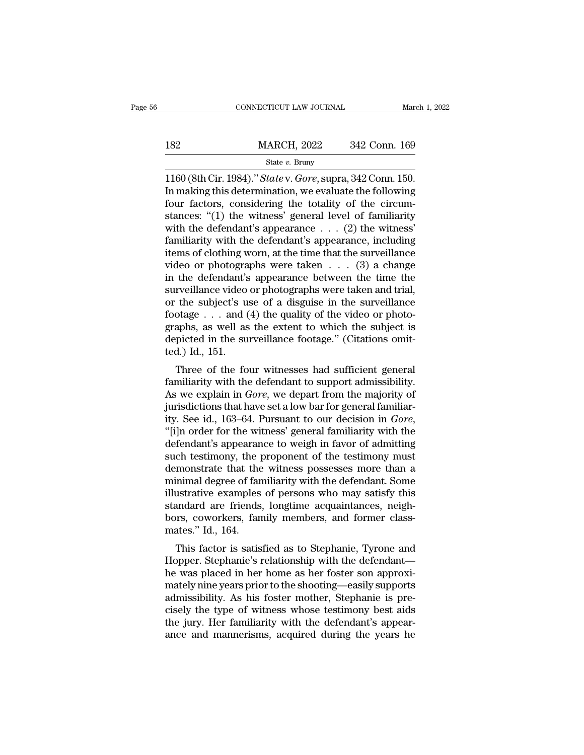|     | CONNECTICUT LAW JOURNAL |               | March 1, 2022 |
|-----|-------------------------|---------------|---------------|
|     |                         |               |               |
| 182 | <b>MARCH, 2022</b>      | 342 Conn. 169 |               |
|     | State $v$ . Bruny       |               |               |

CONNECTICUT LAW JOURNAL March 1, 2<br>
1160 (8th Cir. 1984).'' *State* v. *Gore*, supra, 342 Conn. 150.<br>
In making this determination, we evaluate the following<br>
four factors, considering the totality of the circum 182 MARCH, 2022 342 Conn. 169<br>
State v. Bruny<br>
1160 (8th Cir. 1984)." *State v. Gore*, supra, 342 Conn. 150.<br>
In making this determination, we evaluate the following<br>
four factors, considering the totality of the circum-182 MARCH, 2022 342 Conn. 169<br>
State v. Bruny<br>
1160 (8th Cir. 1984)." *State v. Gore*, supra, 342 Conn. 150.<br>
In making this determination, we evaluate the following<br>
four factors, considering the totality of the circum-<br> 182 MARCH, 2022 342 Conn. 169<br>
State v. Bruny<br>
1160 (8th Cir. 1984)." *State* v. *Gore*, supra, 342 Conn. 150.<br>
In making this determination, we evaluate the following<br>
four factors, considering the totality of the circum State v. Bruny<br>State v. Bruny<br>1160 (8th Cir. 1984)." *State* v. *Gore*, supra, 342 Conn. 150.<br>In making this determination, we evaluate the following<br>four factors, considering the totality of the circum-<br>stances: "(1) the state v. Bruny<br>
1160 (8th Cir. 1984)." *State* v. *Gore*, supra, 342 Conn. 150.<br>
In making this determination, we evaluate the following<br>
four factors, considering the totality of the circum-<br>
stances: "(1) the witness' g 1160 (8th Cir. 1984)." *State* v. *Gore*, supra, 342 Conn. 150.<br>In making this determination, we evaluate the following<br>four factors, considering the totality of the circum-<br>stances: "(1) the witness' general level of fam In making this determination, we evaluate the following<br>four factors, considering the totality of the circum-<br>stances: "(1) the witness' general level of familiarity<br>with the defendant's appearance . . . (2) the witness'<br> four factors, considering the totality of the circum-<br>stances: "(1) the witness' general level of familiarity<br>with the defendant's appearance  $\dots$  (2) the witness'<br>familiarity with the defendant's appearance, including<br>it stances: "(1) the witness' general level of familiarity<br>with the defendant's appearance . . . (2) the witness'<br>familiarity with the defendant's appearance, including<br>items of clothing worn, at the time that the surveillan with the defendant's appearance . . . (2) the witness'<br>familiarity with the defendant's appearance, including<br>items of clothing worn, at the time that the surveillance<br>video or photographs were taken . . . (3) a change<br>in familiarity with the defendant's appearance, including<br>items of clothing worn, at the time that the surveillance<br>video or photographs were taken  $\ldots$  (3) a change<br>in the defendant's appearance between the time the<br>survei items of clothing worn, at the time that the surveillance<br>video or photographs were taken . . . (3) a change<br>in the defendant's appearance between the time the<br>surveillance video or photographs were taken and trial,<br>or th video or photographs were taken  $\ldots$  (3) a change<br>in the defendant's appearance between the time the<br>surveillance video or photographs were taken and trial,<br>or the subject's use of a disguise in the surveillance<br>footage in the defendant's<br>surveillance video<br>or the subject's us<br>footage . . . and (<br>graphs, as well as<br>depicted in the su<br>ted.) Id., 151.<br>Three of the fo The subject's use of a disguise in the surveillance<br>otage  $\dots$  and (4) the quality of the video or photo-<br>aphs, as well as the extent to which the subject is<br>picted in the surveillance footage." (Citations omit-<br>d.) Id., for the subjects use of a usguise in the surventance<br>footage  $\dots$  and (4) the quality of the video or photo-<br>graphs, as well as the extent to which the subject is<br>depicted in the surveillance footage." (Citations omit-<br>te

Frame is a set of the quanty of the video of photographs, as well as the extent to which the subject is depicted in the surveillance footage." (Citations omitted.) Id., 151.<br>Three of the four witnesses had sufficient gene graphs, as wen as the extent to which the subject is<br>depicted in the surveillance footage." (Citations omit-<br>ted.) Id., 151.<br>Three of the four witnesses had sufficient general<br>familiarity with the defendant to support admi depicted in the surveniance rootage. (Citations onticed.) Id., 151.<br>
Three of the four witnesses had sufficient general<br>
familiarity with the defendant to support admissibility.<br>
As we explain in *Gore*, we depart from the ted.) Id., 151.<br>
Three of the four witnesses had sufficient general<br>
familiarity with the defendant to support admissibility.<br>
As we explain in *Gore*, we depart from the majority of<br>
jurisdictions that have set a low bar Three of the four witnesses had sufficient general<br>familiarity with the defendant to support admissibility.<br>As we explain in *Gore*, we depart from the majority of<br>jurisdictions that have set a low bar for general familiar familiarity with the defendant to support admissibility.<br>As we explain in *Gore*, we depart from the majority of<br>jurisdictions that have set a low bar for general familiar-<br>ity. See id., 163–64. Pursuant to our decision in As we explain in *Gore*, we depart from the majority of jurisdictions that have set a low bar for general familiarity. See id., 163–64. Pursuant to our decision in *Gore*, "[i]n order for the witness' general familiarity jurisdictions that have set a low bar for general familiarity. See id., 163–64. Pursuant to our decision in *Gore*, "[i]n order for the witness' general familiarity with the defendant's appearance to weigh in favor of admi ity. See id., 163–64. Pursuant to our decision in *Gore*,<br>"[i]n order for the witness' general familiarity with the<br>defendant's appearance to weigh in favor of admitting<br>such testimony, the proponent of the testimony must<br> "[i]n order for the witness' general familiarity with the defendant's appearance to weigh in favor of admitting<br>such testimony, the proponent of the testimony must<br>demonstrate that the witness possesses more than a<br>minimal defendant's appearance to weigh in favor of admitting<br>such testimony, the proponent of the testimony must<br>demonstrate that the witness possesses more than a<br>minimal degree of familiarity with the defendant. Some<br>illustrati such testimony, the preferences that the<br>
minimal degree of fan<br>
illustrative examples<br>
standard are friends<br>
bors, coworkers, fan<br>
mates.'' Id., 164.<br>
This factor is satis mionstrate that the whitess possesses note than a<br>inimal degree of familiarity with the defendant. Some<br>ustrative examples of persons who may satisfy this<br>andard are friends, longtime acquaintances, neigh-<br>rs, coworkers, f Huluhai degree of familiarity with the defendant. Some<br>illustrative examples of persons who may satisfy this<br>standard are friends, longtime acquaintances, neigh-<br>bors, coworkers, family members, and former class-<br>mates." I

mustrative examples of persons who may satisfy this<br>standard are friends, longtime acquaintances, neigh-<br>bors, coworkers, family members, and former class-<br>mates." Id., 164.<br>This factor is satisfied as to Stephanie, Tyrone standard are friends, forgume acquaintances, negri-<br>bors, coworkers, family members, and former class-<br>mates." Id., 164.<br>This factor is satisfied as to Stephanie, Tyrone and<br>Hopper. Stephanie's relationship with the defend bors, coworkers, ranny members, and former class-<br>mates." Id., 164.<br>This factor is satisfied as to Stephanie, Tyrone and<br>Hopper. Stephanie's relationship with the defendant—<br>he was placed in her home as her foster son appr This factor is satisfied as to Stephanie, Tyrone and<br>Hopper. Stephanie's relationship with the defendant—<br>he was placed in her home as her foster son approxi-<br>mately nine years prior to the shooting—easily supports<br>admissi This factor is satisfied as to Stephanie, Tyrone and Hopper. Stephanie's relationship with the defendant—<br>he was placed in her home as her foster son approximately nine years prior to the shooting—easily supports<br>admissibi Hopper. Stephanie's relationship with the defendant—<br>he was placed in her home as her foster son approxi-<br>mately nine years prior to the shooting—easily supports<br>admissibility. As his foster mother, Stephanie is pre-<br>cisel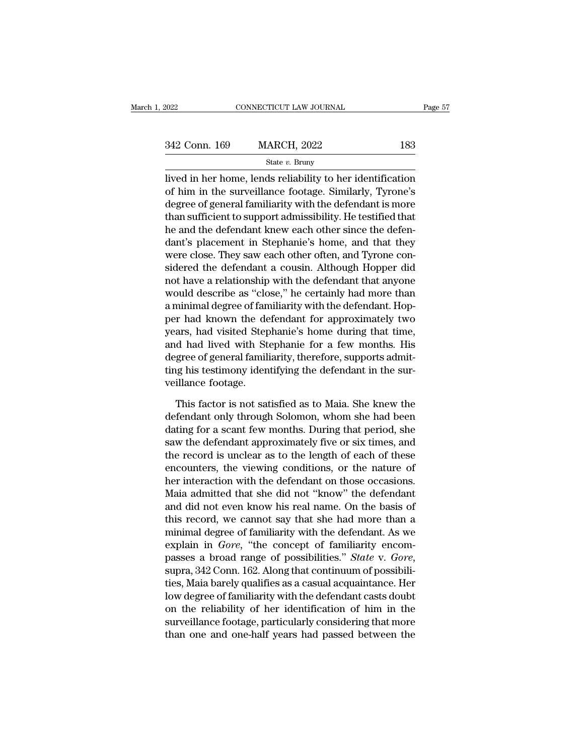| 2022          | CONNECTICUT LAW JOURNAL |     | Page 57 |
|---------------|-------------------------|-----|---------|
|               |                         |     |         |
| 342 Conn. 169 | <b>MARCH, 2022</b>      | 183 |         |
|               | State $v$ . Bruny       |     |         |

EXECT 2022 ENRICH CONNECTICUT LAW JOURNAL Page 57<br>
342 Conn. 169 MARCH, 2022 183<br>
312 State v. Bruny<br>
2022 183<br>
2022 183<br>
2010 I State v. Bruny<br>
2010 I State v. Bruny<br>
2010 I State Connection<br>
2011 I State Connection<br>
201 342 Conn. 169 MARCH, 2022 183<br>
State  $v$ . Bruny<br>
lived in her home, lends reliability to her identification<br>
of him in the surveillance footage. Similarly, Tyrone's<br>
degree of general familiarity with the defendant is mor  $\frac{342 \text{ Conn. } 169}{\text{State } v. \text{ Bruny}}$ <br>
State  $v. \text{ Bruny}$ <br>
lived in her home, lends reliability to her identification<br>
of him in the surveillance footage. Similarly, Tyrone's<br>
degree of general familiarity with the defendant is 342 Conn. 169 MARCH, 2022 183<br>
State v. Bruny<br>
lived in her home, lends reliability to her identification<br>
of him in the surveillance footage. Similarly, Tyrone's<br>
degree of general familiarity with the defendant is more<br> State v. Bruny<br>
lived in her home, lends reliability to her identification<br>
of him in the surveillance footage. Similarly, Tyrone's<br>
degree of general familiarity with the defendant is more<br>
than sufficient to support adm  $\frac{1}{2}$  state v. Blady<br>lived in her home, lends reliability to her identification<br>of him in the surveillance footage. Similarly, Tyrone's<br>degree of general familiarity with the defendant is more<br>than sufficient to suppo lived in her home, lends reliability to her identification<br>of him in the surveillance footage. Similarly, Tyrone's<br>degree of general familiarity with the defendant is more<br>than sufficient to support admissibility. He testi of him in the surveillance footage. Similarly, Tyrone's<br>degree of general familiarity with the defendant is more<br>than sufficient to support admissibility. He testified that<br>he and the defendant knew each other since the de degree of general familiarity with the defendant is more<br>than sufficient to support admissibility. He testified that<br>he and the defendant knew each other since the defen-<br>dant's placement in Stephanie's home, and that they than sufficient to support admissibility. He testified that<br>he and the defendant knew each other since the defen-<br>dant's placement in Stephanie's home, and that they<br>were close. They saw each other often, and Tyrone con-<br>s he and the defendant knew each other since the defendant's placement in Stephanie's home, and that they were close. They saw each other often, and Tyrone considered the defendant a cousin. Although Hopper did not have a re dant's placement in Stephanie's home, and that they<br>were close. They saw each other often, and Tyrone con-<br>sidered the defendant a cousin. Although Hopper did<br>not have a relationship with the defendant that anyone<br>would de were close. They saw each other often, and Tyrone considered the defendant a cousin. Although Hopper did<br>not have a relationship with the defendant that anyone<br>would describe as "close," he certainly had more than<br>a minima sidered the defendant a cousin. Although Hopper did<br>not have a relationship with the defendant that anyone<br>would describe as "close," he certainly had more than<br>a minimal degree of familiarity with the defendant. Hop-<br>per not have a relationship with the defendant that anyone<br>would describe as "close," he certainly had more than<br>a minimal degree of familiarity with the defendant. Hop-<br>per had known the defendant for approximately two<br>years, would describe as "close," he certainly had more than<br>a minimal degree of familiarity with the defendant. Hop-<br>per had known the defendant for approximately two<br>years, had visited Stephanie's home during that time,<br>and had a minimal degree of fan<br>per had known the de<br>years, had visited Step<br>and had lived with St<br>degree of general famili<br>ting his testimony iden<br>veillance footage.<br>This factor is not sat ars, had visited Stephanie's home during that time,<br>d had lived with Stephanie for a few months. His<br>gree of general familiarity, therefore, supports admit-<br>ig his testimony identifying the defendant in the sur-<br>illance fo and had lived with Stephanie for a few months. His<br>degree of general familiarity, therefore, supports admit-<br>ting his testimony identifying the defendant in the sur-<br>veillance footage.<br>This factor is not satisfied as to Ma

degree of general familiarity, therefore, supports admitting his testimony identifying the defendant in the surveillance footage.<br>This factor is not satisfied as to Maia. She knew the defendant only through Solomon, whom s ting his testimony identifying the defendant in the surveillance footage.<br>This factor is not satisfied as to Maia. She knew the<br>defendant only through Solomon, whom she had been<br>dating for a scant few months. During that p veillance footage.<br>This factor is not satisfied as to Maia. She knew the<br>defendant only through Solomon, whom she had been<br>dating for a scant few months. During that period, she<br>saw the defendant approximately five or six This factor is not satisfied as to Maia. She knew the<br>defendant only through Solomon, whom she had been<br>dating for a scant few months. During that period, she<br>saw the defendant approximately five or six times, and<br>the reco This factor is not satisfied as to Maia. She knew the<br>defendant only through Solomon, whom she had been<br>dating for a scant few months. During that period, she<br>saw the defendant approximately five or six times, and<br>the reco defendant only through Solomon, whom she had been<br>dating for a scant few months. During that period, she<br>saw the defendant approximately five or six times, and<br>the record is unclear as to the length of each of these<br>encoun dating for a scant few months. During that period, she<br>saw the defendant approximately five or six times, and<br>the record is unclear as to the length of each of these<br>encounters, the viewing conditions, or the nature of<br>her saw the defendant approximately five or six times, and<br>the record is unclear as to the length of each of these<br>encounters, the viewing conditions, or the nature of<br>her interaction with the defendant on those occasions.<br>Mai the record is unclear as to the length of each of these<br>encounters, the viewing conditions, or the nature of<br>her interaction with the defendant on those occasions.<br>Maia admitted that she did not "know" the defendant<br>and di encounters, the viewing conditions, or the nature of<br>her interaction with the defendant on those occasions.<br>Maia admitted that she did not "know" the defendant<br>and did not even know his real name. On the basis of<br>this reco her interaction with the defendant on those occasions.<br>Maia admitted that she did not "know" the defendant<br>and did not even know his real name. On the basis of<br>this record, we cannot say that she had more than a<br>minimal de and did not even know his real name. On the basis of<br>this record, we cannot say that she had more than a<br>minimal degree of familiarity with the defendant. As we<br>explain in *Gore*, "the concept of familiarity encom-<br>passes this record, we cannot say that she had more than a<br>minimal degree of familiarity with the defendant. As we<br>explain in *Gore*, "the concept of familiarity encom-<br>passes a broad range of possibilities." *State* v. *Gore*,<br>s minimal degree of familiarity with the defendant. As we<br>explain in *Gore*, "the concept of familiarity encom-<br>passes a broad range of possibilities." *State* v. *Gore*,<br>supra, 342 Conn. 162. Along that continuum of possibi explain in *Gore*, "the concept of familiarity encompasses a broad range of possibilities." *State v. Gore*, supra, 342 Conn. 162. Along that continuum of possibilities, Maia barely qualifies as a casual acquaintance. Her passes a broad range of possibilities." *State v. Gore,* supra, 342 Conn. 162. Along that continuum of possibilities, Maia barely qualifies as a casual acquaintance. Her low degree of familiarity with the defendant casts d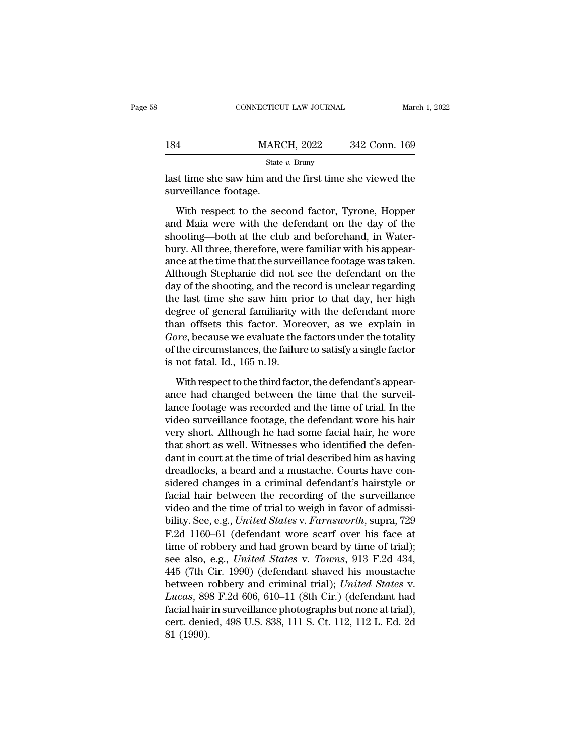|                       | CONNECTICUT LAW JOURNAL                                                                                                                                      | March 1, 2022 |
|-----------------------|--------------------------------------------------------------------------------------------------------------------------------------------------------------|---------------|
| 184                   | <b>MARCH, 2022</b>                                                                                                                                           | 342 Conn. 169 |
|                       | State $v$ . Bruny                                                                                                                                            |               |
| surveillance footage. | last time she saw him and the first time she viewed the                                                                                                      |               |
|                       | With respect to the second factor, Tyrone, Hopper<br>and Maia were with the defendant on the day of the<br>shooting hoth at the club and hefershand in Water |               |

EXECT MARCH, 2022 342 Conn. 169<br>
State v. Bruny<br>
last time she saw him and the first time she viewed the<br>
surveillance footage.<br>
With respect to the second factor, Tyrone, Hopper<br>
and Maia were with the defendant on the d state  $v$ . Bruny<br>
last time she saw him and the first time she viewed the<br>
surveillance footage.<br>
With respect to the second factor, Tyrone, Hopper<br>
and Maia were with the defendant on the day of the<br>
shooting—both at the last time she saw him and the first time she viewed the<br>surveillance footage.<br>With respect to the second factor, Tyrone, Hopper<br>and Maia were with the defendant on the day of the<br>shooting—both at the club and beforehand, i surveillance footage.<br>
With respect to the second factor, Tyrone, Hopper<br>
and Maia were with the defendant on the day of the<br>
shooting—both at the club and beforehand, in Water-<br>
bury. All three, therefore, were familiar w With respect to the second factor, Tyrone, Hopper<br>and Maia were with the defendant on the day of the<br>shooting—both at the club and beforehand, in Water-<br>bury. All three, therefore, were familiar with his appear-<br>ance at th With respect to the second factor, Tyrone, Hopper<br>and Maia were with the defendant on the day of the<br>shooting—both at the club and beforehand, in Water-<br>bury. All three, therefore, were familiar with his appear-<br>ance at th and Maia were with the defendant on the day of the<br>shooting—both at the club and beforehand, in Water-<br>bury. All three, therefore, were familiar with his appear-<br>ance at the time that the surveillance footage was taken.<br>Al shooting—both at the club and beforehand, in Water-<br>bury. All three, therefore, were familiar with his appear-<br>ance at the time that the surveillance footage was taken.<br>Although Stephanie did not see the defendant on the<br>d bury. All three, therefore, were familiar with his appearance at the time that the surveillance footage was taken.<br>Although Stephanie did not see the defendant on the day of the shooting, and the record is unclear regardin ance at the time that the surveillance footage was taken.<br>Although Stephanie did not see the defendant on the<br>day of the shooting, and the record is unclear regarding<br>the last time she saw him prior to that day, her high<br>d Although Stephanie did not see the defendant on the<br>day of the shooting, and the record is unclear regarding<br>the last time she saw him prior to that day, her high<br>degree of general familiarity with the defendant more<br>than day of the shooting, and the reacher the last time she saw him pridegree of general familiarity v<br>than offsets this factor. More<br>*Gore*, because we evaluate the<br>of the circumstances, the failur<br>is not fatal. Id., 165 n.19. gree of general familiarity with the defendant more<br>an offsets this factor. Moreover, as we explain in<br>ore, because we evaluate the factors under the totality<br>the circumstances, the failure to satisfy a single factor<br>not f than offsets this factor. Moreover, as we explain in<br> *Gore*, because we evaluate the factors under the totality<br>
of the circumstances, the failure to satisfy a single factor<br>
is not fatal. Id., 165 n.19.<br>
With respect to

Gore, because we evaluate the factors under the totality<br>of the circumstances, the failure to satisfy a single factor<br>is not fatal. Id., 165 n.19.<br>With respect to the third factor, the defendant's appear-<br>ance had changed of the circumstances, the failure to satisfy a single factor<br>is not fatal. Id., 165 n.19.<br>With respect to the third factor, the defendant's appear-<br>ance had changed between the time that the surveil-<br>lance footage was reco is not fatal. Id., 165 n.19.<br>With respect to the third factor, the defendant's appear-<br>ance had changed between the time that the surveil-<br>lance footage was recorded and the time of trial. In the<br>video surveillance footag With respect to the third factor, the defendant's appear-<br>ance had changed between the time that the surveil-<br>lance footage was recorded and the time of trial. In the<br>video surveillance footage, the defendant wore his hair With respect to the third factor, the defendant's appear-<br>ance had changed between the time that the surveil-<br>lance footage was recorded and the time of trial. In the<br>video surveillance footage, the defendant wore his hair ance had changed between the time that the surveillance footage was recorded and the time of trial. In the video surveillance footage, the defendant wore his hair very short. Although he had some facial hair, he wore that lance footage was recorded and the time of trial. In the<br>video surveillance footage, the defendant wore his hair<br>very short. Although he had some facial hair, he wore<br>that short as well. Witnesses who identified the defenvideo surveillance footage, the defendant wore his hair<br>very short. Although he had some facial hair, he wore<br>that short as well. Witnesses who identified the defen-<br>dant in court at the time of trial described him as havi very short. Although he had some facial hair, he wore<br>that short as well. Witnesses who identified the defen-<br>dant in court at the time of trial described him as having<br>dreadlocks, a beard and a mustache. Courts have con-<br> that short as well. Witnesses who identified the defendant in court at the time of trial described him as having<br>dreadlocks, a beard and a mustache. Courts have con-<br>sidered changes in a criminal defendant's hairstyle or<br>f dant in court at the time of trial described him as having<br>dreadlocks, a beard and a mustache. Courts have con-<br>sidered changes in a criminal defendant's hairstyle or<br>facial hair between the recording of the surveillance<br> dreadlocks, a beard and a mustache. Courts have considered changes in a criminal defendant's hairstyle or facial hair between the recording of the surveillance video and the time of trial to weigh in favor of admissibility sidered changes in a criminal defendant's hairstyle or<br>facial hair between the recording of the surveillance<br>video and the time of trial to weigh in favor of admissi-<br>bility. See, e.g., *United States* v. *Farnsworth*, sup facial hair between the recording of the surveillance<br>video and the time of trial to weigh in favor of admissi-<br>bility. See, e.g., *United States v. Farnsworth*, supra, 729<br>F.2d 1160–61 (defendant wore scarf over his face video and the time of trial to weigh in favor of admissibility. See, e.g., *United States* v. *Farnsworth*, supra, 729 F.2d 1160–61 (defendant wore scarf over his face at time of robbery and had grown beard by time of tria bility. See, e.g., *United States* v. *Farnsworth*, supra, 729<br>*F.2d* 1160–61 (defendant wore scarf over his face at<br>time of robbery and had grown beard by time of trial);<br>see also, e.g., *United States* v. *Towns*, 913 F. F.2d 1160–61 (defendant wore scarf over his face at time of robbery and had grown beard by time of trial); see also, e.g., *United States v. Towns*, 913 F.2d 434, 445 (7th Cir. 1990) (defendant shaved his moustache betwee time of robbery and had grown beard by time of trial);<br>see also, e.g., *United States v. Towns*, 913 F.2d 434,<br>445 (7th Cir. 1990) (defendant shaved his moustache<br>between robbery and criminal trial); *United States v.*<br>*Lu* see also,<br>445 (7th (<br>between 1<br>*Lucas*, 89<br>facial hair<br>cert. denie<br>81 (1990).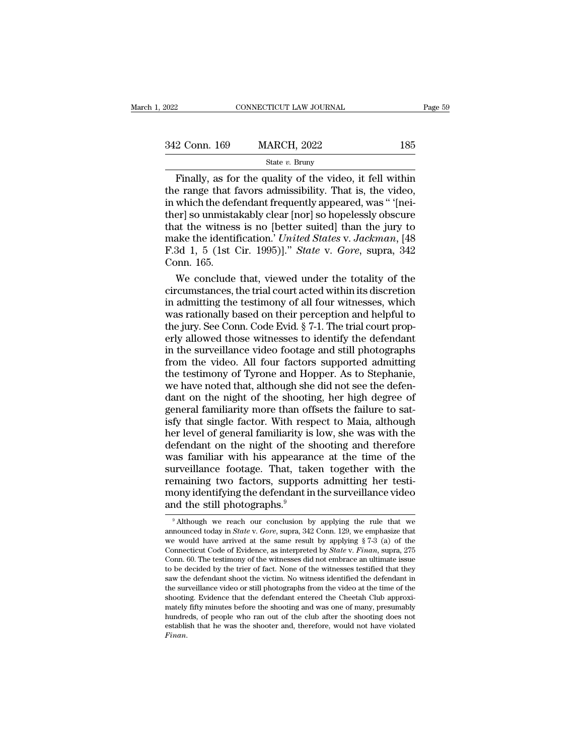| 2022          | CONNECTICUT LAW JOURNAL |     | Page 59 |
|---------------|-------------------------|-----|---------|
|               |                         |     |         |
| 342 Conn. 169 | <b>MARCH, 2022</b>      | 185 |         |
|               | State $v$ . Bruny       |     |         |

#### State *v.* Bruny

Finally, as for the quality of the video, it fell within<br>
e range that favors admissibility. That is, the video,<br>
which the defendant frequently amogred was " 'Ineignally 342 Conn. 169 MARCH, 2022 185<br>
State v. Bruny<br>
Finally, as for the quality of the video, it fell within<br>
the range that favors admissibility. That is, the video,<br>
in which the defendant frequently appeared, was " [nei-<br>
t 342 Conn. 169 MARCH, 2022 185<br>
State v. Bruny<br>
Finally, as for the quality of the video, it fell within<br>
the range that favors admissibility. That is, the video,<br>
in which the defendant frequently appeared, was "' (nei-<br> 342 Conn. 169 MARCH, 2022 185<br>
State *v*. Bruny<br>
Finally, as for the quality of the video, it fell within<br>
the range that favors admissibility. That is, the video,<br>
in which the defendant frequently appeared, was " '[nei-State v. Bruny<br>
State v. Bruny<br>
Finally, as for the quality of the video, it fell within<br>
the range that favors admissibility. That is, the video,<br>
in which the defendant frequently appeared, was "'[nei-<br>
ther] so unmista State v. Bruny<br>Finally, as for the quality of the video, it fell within<br>the range that favors admissibility. That is, the video,<br>in which the defendant frequently appeared, was " '[nei-<br>ther] so unmistakably clear [nor] so Finally, as for the quality of the video, it fell within<br>the range that favors admissibility. That is, the video,<br>in which the defendant frequently appeared, was " '[nei-<br>ther] so unmistakably clear [nor] so hopelessly obs the range that f<br>in which the def<br>ther] so unmista<br>that the witness<br>make the identif<br>F.3d 1, 5 (1st C<br>Conn. 165.<br>We conclude which the defendant frequently appeared, was " '[nei-<br>er] so unmistakably clear [nor] so hopelessly obscure<br>at the witness is no [better suited] than the jury to<br>ake the identification.' United States v. Jackman, [48<br>3d 1 ther] so unmistakably clear [nor] so hopelessly obscure<br>that the witness is no [better suited] than the jury to<br>make the identification.' *United States v. Jackman*, [48<br>F.3d 1, 5 (1st Cir. 1995)]." *State v. Gore*, supra,

that the witness is no [better suited] than the jury to<br>make the identification.' *United States v. Jackman*, [48<br>F.3d 1, 5 (1st Cir. 1995)].'' *State v. Gore*, supra, 342<br>Conn. 165.<br>We conclude that, viewed under the tot make the identification.' *United States v. Jackman*, [48<br>F.3d 1, 5 (1st Cir. 1995)]." *State v. Gore, s*upra, 342<br>Conn. 165.<br>We conclude that, viewed under the totality of the<br>circumstances, the trial court acted within i F.3d 1, 5 (1st Cir. 1995)]." *State* v. *Gore*, supra, 342 Conn. 165.<br>We conclude that, viewed under the totality of the circumstances, the trial court acted within its discretion<br>in admitting the testimony of all four wi Conn. 165.<br>We conclude that, viewed under the totality of the<br>circumstances, the trial court acted within its discretion<br>in admitting the testimony of all four witnesses, which<br>was rationally based on their perception and We conclude that, viewed under the totality of the circumstances, the trial court acted within its discretion in admitting the testimony of all four witnesses, which was rationally based on their perception and helpful to circumstances, the trial court acted within its discretion<br>in admitting the testimony of all four witnesses, which<br>was rationally based on their perception and helpful to<br>the jury. See Conn. Code Evid. § 7-1. The trial cou in admitting the testimony of all four witnesses, which<br>was rationally based on their perception and helpful to<br>the jury. See Conn. Code Evid. § 7-1. The trial court prop-<br>erly allowed those witnesses to identify the defen was rationally based on their perception and helpful to<br>the jury. See Conn. Code Evid. § 7-1. The trial court prop-<br>erly allowed those witnesses to identify the defendant<br>in the surveillance video footage and still photogr the jury. See Conn. Code Evid. § 7-1. The trial court properly allowed those witnesses to identify the defendant<br>in the surveillance video footage and still photographs<br>from the video. All four factors supported admitting<br> erly allowed those witnesses to identify the defendant<br>in the surveillance video footage and still photographs<br>from the video. All four factors supported admitting<br>the testimony of Tyrone and Hopper. As to Stephanie,<br>we ha in the surveillance video footage and still photographs<br>from the video. All four factors supported admitting<br>the testimony of Tyrone and Hopper. As to Stephanie,<br>we have noted that, although she did not see the defen-<br>dant from the video. All four factors supported admitting<br>the testimony of Tyrone and Hopper. As to Stephanie,<br>we have noted that, although she did not see the defen-<br>dant on the night of the shooting, her high degree of<br>genera the testimony of Tyrone and Hopper. As to Stephanie,<br>we have noted that, although she did not see the defen-<br>dant on the night of the shooting, her high degree of<br>general familiarity more than offsets the failure to sat-<br>i we have noted that, although she did not see the defendant on the night of the shooting, her high degree of general familiarity more than offsets the failure to satisfy that single factor. With respect to Maia, although he dant on the night of the shooting, her high degree of<br>general familiarity more than offsets the failure to sat-<br>isfy that single factor. With respect to Maia, although<br>her level of general familiarity is low, she was with general familiarity more than offsets the failure to satisfy that single factor. With respect to Maia, although<br>her level of general familiarity is low, she was with the<br>defendant on the night of the shooting and therefore isfy that single factor. With respect to Maia, although<br>her level of general familiarity is low, she was with the<br>defendant on the night of the shooting and therefore<br>was familiar with his appearance at the time of the<br>sur her level of general familiarity is<br>defendant on the night of the sl<br>was familiar with his appearance<br>surveillance footage. That, take<br>remaining two factors, support:<br>mony identifying the defendant in<br>and the still photogr surveillance footage. That, taken together with the remaining two factors, supports admitting her testimony identifying the defendant in the surveillance video and the still photographs.<sup>9</sup><br>
<sup>9</sup> Although we reach our conc remaining two factors, supports admitting her testi-

mony identifying the defendant in the surveillance video<br>and the still photographs.<sup>9</sup><br>Although we reach our conclusion by applying the rule that we<br>announced today in *State v. Gore*, supra, 342 Conn. 129, we emphasize t notify identifying the deferminant in the surventance video<br>and the still photographs.<sup>9</sup><br>Although we reach our conclusion by applying the rule that we<br>announced today in *State* v. *Gore*, supra, 342 Conn. 129, we emphasi and the still photographs.<sup>3</sup><br>
<sup>9</sup> Although we reach our conclusion by applying the rule that we announced today in *State v*. *Gore*, supra, 342 Conn. 129, we emphasize that we would have arrived at the same result by ap <sup>9</sup> Although we reach our conclusion by applying the rule that we announced today in *State* v. *Gore*, supra, 342 Conn. 129, we emphasize that we would have arrived at the same result by applying § 7-3 (a) of the Connect <sup>•</sup> Attnough we reach our conclusion by applying the rule that we announced today in *State* v. *Gore*, supra, 342 Conn. 129, we emphasize that we would have arrived at the same result by applying § 7-3 (a) of the Connect announced today in *state* v. Gore, supra, 342 Conn. 129, we empnasize that we would have arrived at the same result by applying § 7-3 (a) of the Connecticut Code of Evidence, as interpreted by *State* v. Finan, supra, 27 Connecticut Code of Evidence, as interpreted by *State* v. *Finan*, supra, 275 Conn. 60. The testimony of the witnesses did not embrace an ultimate issue to be decided by the trier of fact. None of the witnesses testified Connecticut Code of Evidence, as interpreted by State V. Pinan, supra,  $276$  Conn. 60. The testimony of the witnesses did not embrace an ultimate issue to be decided by the trier of fact. None of the witnesses testified t Conn. b0. The testimony of the witnesses and not embrace an ultimate issue<br>to be decided by the trier of fact. None of the witnesses testified that they<br>saw the defendant shoot the victim. No witness identified the defenda to be decided by the trier of ract. None of the witnesses testined that they saw the defendant shoot the victim. No witness identified the defendant in the surveillance video or still photographs from the video at the time *Finan*.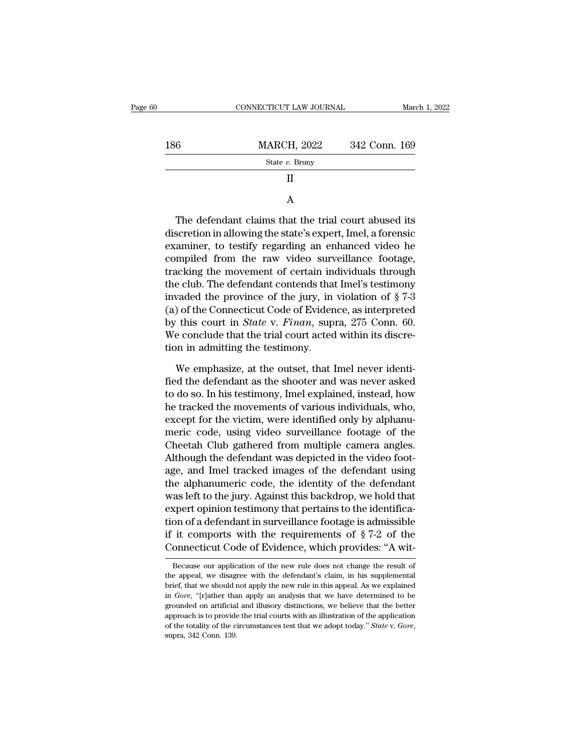|     | CONNECTICUT LAW JOURNAL | March 1, 2022 |
|-----|-------------------------|---------------|
| 186 | <b>MARCH, 2022</b>      | 342 Conn. 169 |
|     | State $v$ . Bruny       |               |
|     | Н                       |               |
|     | A                       |               |

 $\begin{array}{c|l}\n & \text{State } v. \text{ Bruny} \\
 & \text{II} \\
 & \text{A}\n\end{array}$ The defendant claims that the trial court abused its<br>discretion in allowing the state's expert, Imel, a forensic<br>examiner, to testify regarding an enhanced video he<br>acompile II<br>
A<br>
The defendant claims that the trial court abused its<br>
discretion in allowing the state's expert, Imel, a forensic<br>
examiner, to testify regarding an enhanced video he<br>
compiled from the raw video surveillance footag Example 1 The defendant claims that the trial court abused its<br>discretion in allowing the state's expert, Imel, a forensic<br>examiner, to testify regarding an enhanced video he<br>compiled from the raw video surveillance footag A<br>
The defendant claims that the trial court abused its<br>
discretion in allowing the state's expert, Imel, a forensic<br>
examiner, to testify regarding an enhanced video he<br>
compiled from the raw video surveillance footage,<br> The defendant claims that the trial court abused its<br>discretion in allowing the state's expert, Imel, a forensic<br>examiner, to testify regarding an enhanced video he<br>compiled from the raw video surveillance footage,<br>tracki The defendant claims that the trial court abused its<br>discretion in allowing the state's expert, Imel, a forensic<br>examiner, to testify regarding an enhanced video he<br>compiled from the raw video surveillance footage,<br>tracki discretion in allowing the state's expert, Imel, a forensic<br>examiner, to testify regarding an enhanced video he<br>compiled from the raw video surveillance footage,<br>tracking the movement of certain individuals through<br>the cl examiner, to testify regarding an enhanced video he<br>compiled from the raw video surveillance footage,<br>tracking the movement of certain individuals through<br>the club. The defendant contends that Imel's testimony<br>invaded the compiled from the raw video surveillance footage,<br>tracking the movement of certain individuals through<br>the club. The defendant contends that Imel's testimony<br>invaded the province of the jury, in violation of § 7-3<br>(a) of tracking the movement of certain in<br>the club. The defendant contends tha<br>invaded the province of the jury, in<br>(a) of the Connecticut Code of Evider<br>by this court in *State* v. *Finan*, sup<br>We conclude that the trial court waded the province of the jury, in violation of  $\S 7-3$ <br>) of the Connecticut Code of Evidence, as interpreted<br>this court in *State* v. *Finan*, supra, 275 Conn. 60.<br>e conclude that the trial court acted within its discre-(a) of the Connecticut Code of Evidence, as interpreted<br>by this court in *State* v. *Finan*, supra, 275 Conn. 60.<br>We conclude that the trial court acted within its discre-<br>tion in admitting the testimony.<br>We emphasize, at

by this court in *State* v. *Finan*, supra, 275 Conn. 60.<br>We conclude that the trial court acted within its discretion in admitting the testimony.<br>We emphasize, at the outset, that Imel never identi-<br>fied the defendant as We conclude that the trial court acted within its discretion in admitting the testimony.<br>We emphasize, at the outset, that Imel never identified the defendant as the shooter and was never asked<br>to do so. In his testimony, tion in admitting the testimony.<br>We emphasize, at the outset, that Imel never identified the defendant as the shooter and was never asked<br>to do so. In his testimony, Imel explained, instead, how<br>he tracked the movements of We emphasize, at the outset, that Imel never identi-<br>fied the defendant as the shooter and was never asked<br>to do so. In his testimony, Imel explained, instead, how<br>he tracked the movements of various individuals, who,<br>exce We emphasize, at the outset, that Imel never identi-<br>fied the defendant as the shooter and was never asked<br>to do so. In his testimony, Imel explained, instead, how<br>he tracked the movements of various individuals, who,<br>exce fied the defendant as the shooter and was never asked<br>to do so. In his testimony, Imel explained, instead, how<br>he tracked the movements of various individuals, who,<br>except for the victim, were identified only by alphanu-<br>m to do so. In his testimony, Imel explained, instead, how<br>he tracked the movements of various individuals, who,<br>except for the victim, were identified only by alphanu-<br>meric code, using video surveillance footage of the<br>Che the tracked the movements of various individuals, who,<br>except for the victim, were identified only by alphanu-<br>meric code, using video surveillance footage of the<br>Cheetah Club gathered from multiple camera angles.<br>Although except for the victim, were identified only by alphanumeric code, using video surveillance footage of the Cheetah Club gathered from multiple camera angles.<br>Although the defendant was depicted in the video footage, and Ime meric code, using video surveillance footage of the<br>Cheetah Club gathered from multiple camera angles.<br>Although the defendant was depicted in the video foot-<br>age, and Imel tracked images of the defendant using<br>the alphanum Cheetah Club gathered from multiple camera angles.<br>Although the defendant was depicted in the video footage, and Imel tracked images of the defendant using<br>the alphanumeric code, the identity of the defendant<br>was left to Although the defendant was depicted in the video foot-<br>age, and Imel tracked images of the defendant using<br>the alphanumeric code, the identity of the defendant<br>was left to the jury. Against this backdrop, we hold that<br>expe age, and lmel tracked images of the defendant using<br>the alphanumeric code, the identity of the defendant<br>was left to the jury. Against this backdrop, we hold that<br>expert opinion testimony that pertains to the identifica-<br> Expert opinion testimony that pertains to the neutrication of a defendant in surveillance footage is admissible it comports with the requirements of  $\S 7-2$  of the onnecticut Code of Evidence, which provides: "A with-<br>Bec tion of a defendant in surveillance footage is admissible<br>if it comports with the requirements of  $\S 7-2$  of the<br>Connecticut Code of Evidence, which provides: "A wit-<br>Because our application of the new rule does not chang

if it comports with the requirements of  $\S 7-2$  of the Connecticut Code of Evidence, which provides: "A wit-<br>Because our application of the new rule does not change the result of<br>the appeal, we disagree with the defendant Connecticut Code of Evidence, which provides: "A wit-<br>Because our application of the new rule does not change the result of<br>the appeal, we disagree with the defendant's claim, in his supplemental<br>brief, that we should not the appeal, we disagree with the defendant's claim, in his supplemental brief, that we should not apply the new rule in this appeal. As we explained in *Gore*, "[r]ather than apply an analysis that we have determined to b Because our application of the new rule does not change the result of the appeal, we disagree with the defendant's claim, in his supplemental brief, that we should not apply the new rule in this appeal. As we explained in the appeal, we disagree with the defendant's claim, in his supplemental brief, that we should not apply the new rule in this appeal. As we explained in *Gore*, "[r]ather than apply an analysis that we have determined to be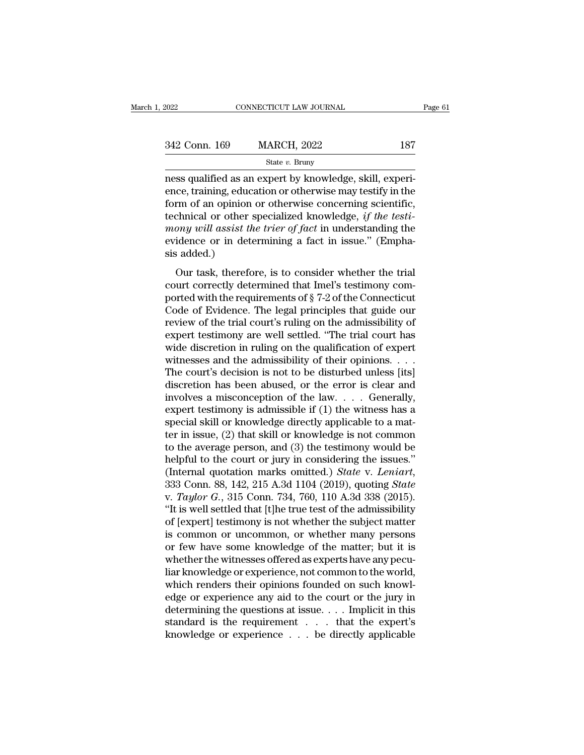| 2022          | CONNECTICUT LAW JOURNAL | Page 61 |  |
|---------------|-------------------------|---------|--|
| 342 Conn. 169 | <b>MARCH, 2022</b>      | 187     |  |
|               | State $v$ . Bruny       |         |  |

FORE CONNECTICUT LAW JOURNAL<br>
S42 Conn. 169 MARCH, 2022 187<br>
State v. Bruny<br>
ness qualified as an expert by knowledge, skill, experi-<br>
ence, training, education or otherwise may testify in the<br>
form of an opinion or otherw 342 Conn. 169 MARCH, 2022 187<br>
State v. Bruny<br>
mess qualified as an expert by knowledge, skill, experience, training, education or otherwise may testify in the<br>
form of an opinion or otherwise concerning scientific,<br>
tech 342 Conn. 169 MARCH, 2022 187<br>
State v. Bruny<br>
ness qualified as an expert by knowledge, skill, experience, training, education or otherwise may testify in the<br>
form of an opinion or otherwise concerning scientific,<br>
tech technical or other specialized knowledge, *if the testimong state v. Bruny*<br>*mess qualified as an expert by knowledge, skill, experience, training, education or otherwise may testify in the form of an opinion or otherwise concerning scientific, technical or other specialized* Example 18 as an expert by knowledge, skill, experience, training, education or otherwise may testify in the form of an opinion or otherwise concerning scientific, technical or other specialized knowledge, *if the testimo* ness qualified as are<br>nce, training, eduction<br>form of an opinion<br>technical or other<br>mony will assist the<br>vidence or in det<br>sis added.)<br>Our task, therefor For the analysis of the trial of the trial of the trial of the trial or other specialized knowledge, *if the testiony will assist the trier of fact* in understanding the idence or in determining a fact in issue." (Emphabi column of an opinion of other wise concerning selections,<br>technical or other specialized knowledge, *if the testi-*<br>mony will assist the trier of fact in understanding the<br>evidence or in determining a fact in issue." (Emp

mony will assist the trier of fact in understanding the evidence or in determining a fact in issue." (Emphasis added.)<br>Our task, therefore, is to consider whether the trial court correctly determined that Imel's testimony mong was assue the river of yater in anterestanting are<br>evidence or in determining a fact in issue." (Empha-<br>sis added.)<br>Our task, therefore, is to consider whether the trial<br>court correctly determined that Imel's testimon sis added.)<br>
Our task, therefore, is to consider whether the trial<br>
court correctly determined that Imel's testimony com-<br>
ported with the requirements of  $\S$  7-2 of the Connecticut<br>
Code of Evidence. The legal principles Our task, therefore, is to consider whether the trial court correctly determined that Imel's testimony comported with the requirements of  $\S 7-2$  of the Connecticut Code of Evidence. The legal principles that guide our re Our task, therefore, is to consider whether the trial<br>court correctly determined that Imel's testimony com-<br>ported with the requirements of § 7-2 of the Connecticut<br>Code of Evidence. The legal principles that guide our<br>rev court correctly determined that Imel's testimony comported with the requirements of  $\S$  7-2 of the Connecticut Code of Evidence. The legal principles that guide our review of the trial court's ruling on the admissibility ported with the requirements of  $\S$  7-2 of the Connecticut<br>Code of Evidence. The legal principles that guide our<br>review of the trial court's ruling on the admissibility of<br>expert testimony are well settled. "The trial cou Code of Evidence. The legal principles that guide our<br>review of the trial court's ruling on the admissibility of<br>expert testimony are well settled. "The trial court has<br>wide discretion in ruling on the qualification of ex review of the trial court's ruling on the admissibility of<br>expert testimony are well settled. "The trial court has<br>wide discretion in ruling on the qualification of expert<br>witnesses and the admissibility of their opinions expert testimony are well settled. "The trial court has<br>wide discretion in ruling on the qualification of expert<br>witnesses and the admissibility of their opinions. . . .<br>The court's decision is not to be disturbed unless wide discretion in ruling on the qualification of expert<br>witnesses and the admissibility of their opinions. . . .<br>The court's decision is not to be disturbed unless [its]<br>discretion has been abused, or the error is clear witnesses and the admissibility of their opinions. . . . The court's decision is not to be disturbed unless [its] discretion has been abused, or the error is clear and involves a misconception of the law. . . . Generally, The court's decision is not to be disturbed unless [its]<br>discretion has been abused, or the error is clear and<br>involves a misconception of the law.... Generally,<br>expert testimony is admissible if (1) the witness has a<br>spe discretion has been abused, or the error is clear and<br>involves a misconception of the law.... Generally,<br>expert testimony is admissible if (1) the witness has a<br>special skill or knowledge directly applicable to a mat-<br>ter involves a misconception of the law. . . . Generally,<br>expert testimony is admissible if (1) the witness has a<br>special skill or knowledge directly applicable to a mat-<br>ter in issue, (2) that skill or knowledge is not common special skill or knowledge directly applicable to a matter in issue, (2) that skill or knowledge is not common<br>to the average person, and (3) the testimony would be<br>helpful to the court or jury in considering the issues."<br> ter in issue, (2) that skill or knowledge is not common<br>to the average person, and (3) the testimony would be<br>helpful to the court or jury in considering the issues."<br>(Internal quotation marks omitted.) *State* v. *Leniar* to the average person, and (3) the testimony would be<br>helpful to the court or jury in considering the issues."<br>(Internal quotation marks omitted.) *State* v. *Leniart*,<br> $333$  Conn. 88, 142, 215 A.3d 1104 (2019), quoting helpful to the court or jury in considering the issues."<br>(Internal quotation marks omitted.) *State v. Leniart*,<br>333 Conn. 88, 142, 215 A.3d 1104 (2019), quoting *State*<br>v. *Taylor G.*, 315 Conn. 734, 760, 110 A.3d 338 (20 (Internal quotation marks omitted.) *State v. Leniart*,<br>333 Conn. 88, 142, 215 A.3d 1104 (2019), quoting *State*<br>v. *Taylor G.*, 315 Conn. 734, 760, 110 A.3d 338 (2015).<br>"It is well settled that [t]he true test of the adm 333 Conn. 88, 142, 215 A.3d 1104 (2019), quoting *State* v. *Taylor G.*, 315 Conn. 734, 760, 110 A.3d 338 (2015). "It is well settled that [t]he true test of the admissibility of [expert] testimony is not whether the subj v. *Taylor G.*, 315 Conn. 734, 760, 110 A.3d 338 (2015).<br>
"It is well settled that [t]he true test of the admissibility<br>
of [expert] testimony is not whether the subject matter<br>
is common or uncommon, or whether many pers "It is well settled that [t]he true test of the admissibility<br>of [expert] testimony is not whether the subject matter<br>is common or uncommon, or whether many persons<br>or few have some knowledge of the matter; but it is<br>wheth of [expert] testimony is not whether the subject matter<br>is common or uncommon, or whether many persons<br>or few have some knowledge of the matter; but it is<br>whether the witnesses offered as experts have any pecu-<br>liar knowle is common or uncommon, or whether many persons<br>or few have some knowledge of the matter; but it is<br>whether the witnesses offered as experts have any pecu-<br>liar knowledge or experience, not common to the world,<br>which render or few have some knowledge of the matter; but it is<br>whether the witnesses offered as experts have any pecu-<br>liar knowledge or experience, not common to the world,<br>which renders their opinions founded on such knowl-<br>edge or whether the witnesses offered as experts have any peculiar knowledge or experience, not common to the world, which renders their opinions founded on such knowledge or experience any aid to the court or the jury in determi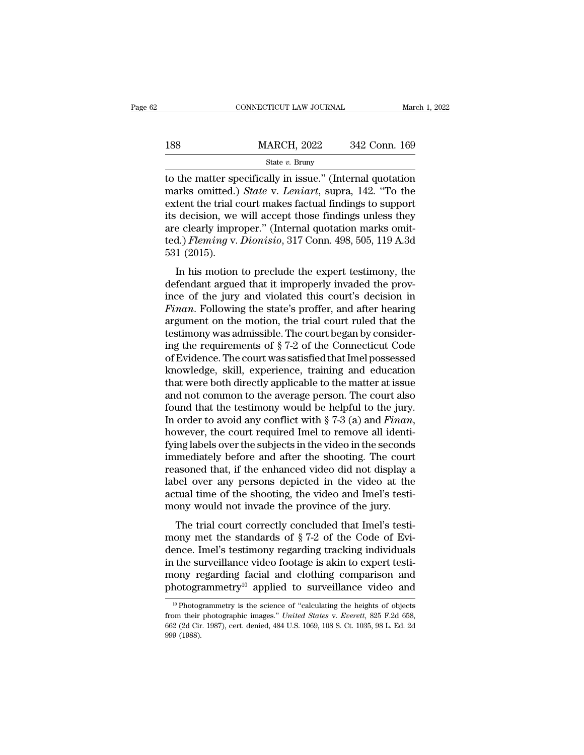|     | CONNECTICUT LAW JOURNAL | March 1, 2022 |
|-----|-------------------------|---------------|
|     |                         |               |
| 188 | <b>MARCH, 2022</b>      | 342 Conn. 169 |
|     | State $v$ . Bruny       |               |

CONNECTICUT LAW JOURNAL March 1, 2022<br>  $\begin{array}{r}\n 188 \text{ } \text{MARCH, 2022} \text{ } \text{ } 342 \text{ Conn. } 169 \\
 \text{State } v. \text{ Bruny}\n \end{array}$ to the matter specifically in issue.'' (Internal quotation<br>
marks omitted.) *State* v. *Leniart*, supra, 142. MARCH, 2022 342 Conn. 169<br>
State *v*. Bruny<br>
to the matter specifically in issue." (Internal quotation<br>
marks omitted.) *State* v. *Leniart*, supra, 142. "To the<br>
extent the trial court makes factual findings to support<br>
i 188 MARCH, 2022 342 Conn. 169<br>
State v. Bruny<br>
to the matter specifically in issue." (Internal quotation<br>
marks omitted.) *State* v. *Leniart*, supra, 142. "To the<br>
extent the trial court makes factual findings to support 188 MARCH, 2022 342 Conn. 169<br>
state v. Bruny<br>
to the matter specifically in issue." (Internal quotation<br>
marks omitted.) *State* v. *Leniart*, supra, 142. "To the<br>
extent the trial court makes factual findings to support state v. Bruny<br>
and to the matter specifically in issue." (Internal quotation<br>
marks omitted.) *State v. Leniart*, supra, 142. "To the<br>
extent the trial court makes factual findings to support<br>
its decision, we will accep State v. Bruny<br>to the matter specifically in issue." (Internal quotation<br>marks omitted.) *State* v. *Leniart*, supra, 142. "To the<br>extent the trial court makes factual findings to support<br>its decision, we will accept those to the matter sp<br>marks omitted.)<br>extent the trial c<br>its decision, we<br>are clearly impre<br>ted.) *Fleming* v.<br>531 (2015).<br>In his motion In the trial court makes factual findings to support<br>  $\alpha$  decision, we will accept those findings unless they<br>  $\alpha$  e clearly improper." (Internal quotation marks omit-<br>  $\alpha$ .) *Fleming v. Dionisio*, 317 Conn. 498, 505, Extent the trial court makes ractual midings to support<br>its decision, we will accept those findings unless they<br>are clearly improper." (Internal quotation marks omit-<br>ted.) Fleming v. Dionisio, 317 Conn. 498, 505, 119 A.3d

ince of the jury and violated the trial court ruled that the proton matter.<br>Final violation of the same state of the state of the state of the jury and violated the expert testimony, the<br>defendant argued that it improperly *Finance Cetary Improper.* (Internal quotation makes onti-<br>ted.) *Fleming v. Dionisio*, 317 Conn. 498, 505, 119 A.3d<br>531 (2015).<br>In his motion to preclude the expert testimony, the<br>defendant argued that it improperly invad argument on the motion, the motion, the defendant argued that it improperly invaded the province of the jury and violated this court's decision in Finan. Following the state's proffer, and after hearing argument on the mo 531 (2015).<br>In his motion to preclude the expert testimony, the<br>defendant argued that it improperly invaded the prov-<br>ince of the jury and violated this court's decision in<br>*Finan*. Following the state's proffer, and afte In his motion to preclude the expert testimony, the<br>defendant argued that it improperly invaded the prov-<br>ince of the jury and violated this court's decision in<br> $Finan$ . Following the state's proffer, and after hearing<br>argum defendant argued that it improperly invaded the province of the jury and violated this court's decision in Finan. Following the state's proffer, and after hearing argument on the motion, the trial court ruled that the test ince of the jury and violated this court's decision in *Finan*. Following the state's proffer, and after hearing argument on the motion, the trial court ruled that the testimony was admissible. The court began by consider Finan. Following the state's proffer, and after hearing<br>argument on the motion, the trial court ruled that the<br>testimony was admissible. The court began by consider-<br>ing the requirements of  $\S 7-2$  of the Connecticut Code argument on the motion, the trial court ruled that the<br>testimony was admissible. The court began by consider-<br>ing the requirements of  $\S 7-2$  of the Connecticut Code<br>of Evidence. The court was satisfied that Imel possesse testimony was admissible. The court began by considering the requirements of  $\S 7-2$  of the Connecticut Code of Evidence. The court was satisfied that Imel possessed knowledge, skill, experience, training and education th ing the requirements of § 7-2 of the Connecticut Code<br>of Evidence. The court was satisfied that Imel possessed<br>knowledge, skill, experience, training and education<br>that were both directly applicable to the matter at issue<br> knowledge, skill, experience, training and education<br>that were both directly applicable to the matter at issue<br>and not common to the average person. The court also<br>found that the testimony would be helpful to the jury.<br>In that were both directly applicable to the matter at issue<br>and not common to the average person. The court also<br>found that the testimony would be helpful to the jury.<br>In order to avoid any conflict with  $\S 7-3$  (a) and *Fi* and not common to the average person. The court also<br>found that the testimony would be helpful to the jury.<br>In order to avoid any conflict with  $\S 7-3$  (a) and *Finan*,<br>however, the court required Imel to remove all ident found that the testimony would be helpful to the jury.<br>In order to avoid any conflict with  $\S 7-3$  (a) and *Finan*,<br>however, the court required Imel to remove all identi-<br>fying labels over the subjects in the video in the In order to avoid any conflict with  $\S$  7-3 (a) and *Finan*, however, the court required Imel to remove all identifying labels over the subjects in the video in the seconds immediately before and after the shooting. The c however, the court required Imel to remove all identifying labels over the subjects in the video in the seconds immediately before and after the shooting. The court reasoned that, if the enhanced video did not display a la Ing labels over all stables in the video in the seconds<br>mediately before and after the shooting. The court<br>assoned that, if the enhanced video did not display a<br>belower any persons depicted in the video at the<br>tual time o minediately before and after the shooting. The court<br>reasoned that, if the enhanced video did not display a<br>label over any persons depicted in the video at the<br>actual time of the shooting, the video and Imel's testi-<br>mony

reasonce that, if the emfanced video that hot usplay a<br>label over any persons depicted in the video at the<br>actual time of the shooting, the video and Imel's testi-<br>mony would not invade the province of the jury.<br>The trial factual time of the shooting, the video and Imel's testi-<br>actual time of the shooting, the video and Imel's testi-<br>mony would not invade the province of the jury.<br>The trial court correctly concluded that Imel's testi-<br>mon mony would not invade the province of the jury.<br>The trial court correctly concluded that Imel's testi-<br>mony met the standards of  $\S 7-2$  of the Code of Evi-<br>dence. Imel's testimony regarding tracking individuals<br>in the su The trial court correctly concluded that Imel's testi-<br>mony met the standards of  $\S 7-2$  of the Code of Evi-<br>dence. Imel's testimony regarding tracking individuals<br>in the surveillance video footage is akin to expert testi The surveillance video footage is akin to expert testi-<br>nony regarding facial and clothing comparison and<br>hotogrammetry<sup>10</sup> applied to surveillance video and<br> $\frac{10}{10}$ Photogrammetry is the science of "calculating the he in the surveillance video footage is akin to expert testi-<br>mony regarding facial and clothing comparison and<br>photogrammetry<sup>10</sup> applied to surveillance video and<br><sup>10</sup> Photogrammetry is the science of "calculating the heigh

mony regarding facial and clothing comparison and<br>photogrammetry<sup>10</sup> applied to surveillance video and<br><sup>10</sup> Photogrammetry is the science of "calculating the heights of objects<br>from their photographic images." *United Sta* photographotographotographotographotographotographotographotographotographotographotographotographotographotographotographotographotographotographotographotographotographotographotographotographotographotographotographotog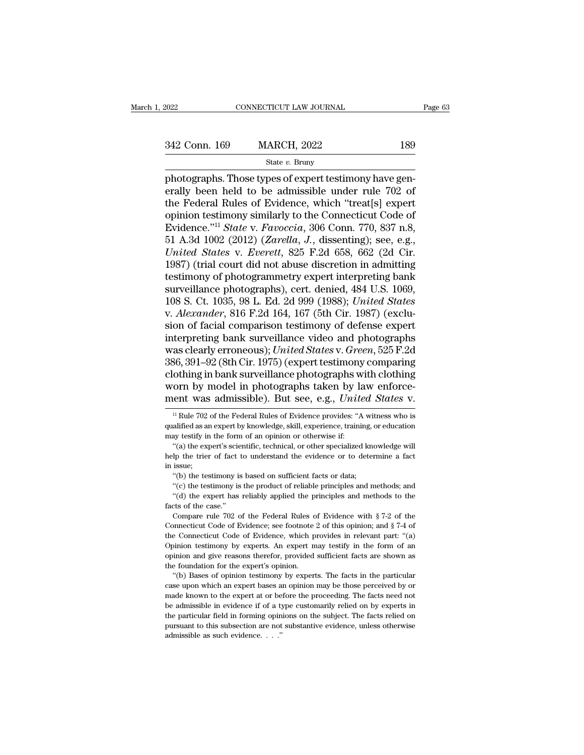342 Conn. 169 MARCH, 2022 <sup>189</sup>

State *v.* Bruny

Photographs. Those types of expert testimony have generally been held to be admissible under rule 702 of<br>The Enderal Pulses of Expert testimony have generally been held to be admissible under rule 702 of<br>The Enderal Pulse 342 Conn. 169 MARCH, 2022 189<br>
State v. Bruny<br>
photographs. Those types of expert testimony have generally been held to be admissible under rule 702 of<br>
the Federal Rules of Evidence, which "treat[s] expert<br>
oninion testi 342 Conn. 169 MARCH, 2022 189<br>
State v. Bruny<br>
photographs. Those types of expert testimony have generally been held to be admissible under rule 702 of<br>
the Federal Rules of Evidence, which "treat[s] expert<br>
opinion testi 342 Conn. 169 MARCH, 2022 189<br>
State v. Bruny<br>
photographs. Those types of expert testimony have generally been held to be admissible under rule 702 of<br>
the Federal Rules of Evidence, which "treat[s] expert<br>
opinion testi State *v.* Bruny<br>
State *v.* Bruny<br>
photographs. Those types of expert testimony have generally been held to be admissible under rule 702 of<br>
the Federal Rules of Evidence, which "treat[s] expert<br>
opinion testimony similar State *v*. Bruny<br>
photographs. Those types of expert testimony have gen-<br>
erally been held to be admissible under rule 702 of<br>
the Federal Rules of Evidence, which "treat[s] expert<br>
opinion testimony similarly to the Conne photographs. Those types of expert testimony have generally been held to be admissible under rule 702 of<br>the Federal Rules of Evidence, which "treat[s] expert<br>opinion testimony similarly to the Connecticut Code of<br>Evidence erally been held to be admissible under rule 702 of<br>the Federal Rules of Evidence, which "treat[s] expert<br>opinion testimony similarly to the Connecticut Code of<br>Evidence."<sup>11</sup> *State* v. *Favoccia*, 306 Conn. 770, 837 n.8, the Federal Rules of Evidence, which "treat[s] expert<br>opinion testimony similarly to the Connecticut Code of<br>Evidence."<sup>11</sup> *State* v. *Favoccia*, 306 Conn. 770, 837 n.8,<br>51 A.3d 1002 (2012) (*Zarella*, *J*., dissenting); opinion testimony similarly to the Connecticut Code of<br>Evidence."<sup>11</sup> State v. Favoccia, 306 Conn. 770, 837 n.8,<br>51 A.3d 1002 (2012) (Zarella, J., dissenting); see, e.g.,<br>United States v. Everett, 825 F.2d 658, 662 (2d Cir Evidence."<sup>11</sup> State v. Favoccia, 306 Conn. 770, 837 n.8,<br>51 A.3d 1002 (2012) (*Zarella, J.*, dissenting); see, e.g.,<br>*United States* v. *Everett*, 825 F.2d 658, 662 (2d Cir.<br>1987) (trial court did not abuse discretion in 51 A.3d 1002 (2012) (*Zarella, J.*, dissenting); see, e.g., United States v. Everett, 825 F.2d 658, 662 (2d Cir. 1987) (trial court did not abuse discretion in admitting testimony of photogrammetry expert interpreting bank United States v. Everett, 825 F.2d 658, 662 (2d Cir.<br>1987) (trial court did not abuse discretion in admitting<br>testimony of photogrammetry expert interpreting bank<br>surveillance photographs), cert. denied, 484 U.S. 1069,<br>108 1987) (trial court did not abuse discretion in admitting<br>testimony of photogrammetry expert interpreting bank<br>surveillance photographs), cert. denied, 484 U.S. 1069,<br>108 S. Ct. 1035, 98 L. Ed. 2d 999 (1988); *United States* testimony of photogrammetry expert interpreting bank<br>surveillance photographs), cert. denied, 484 U.S. 1069,<br>108 S. Ct. 1035, 98 L. Ed. 2d 999 (1988); *United States*<br>v. *Alexander*, 816 F.2d 164, 167 (5th Cir. 1987) (excl surveillance photographs), cert. denied, 484 U.S. 1069,<br>108 S. Ct. 1035, 98 L. Ed. 2d 999 (1988); *United States*<br>v. *Alexander*, 816 F.2d 164, 167 (5th Cir. 1987) (exclu-<br>sion of facial comparison testimony of defense exp 108 S. Ct. 1035, 98 L. Ed. 2d 999 (1988); *United States*<br>v. *Alexander*, 816 F.2d 164, 167 (5th Cir. 1987) (exclu-<br>sion of facial comparison testimony of defense expert<br>interpreting bank surveillance video and photographs v. *Alexander*, 816 F.2d 164, 167 (5th Cir. 1987) (exclusion of facial comparison testimony of defense expert interpreting bank surveillance video and photographs was clearly erroneous); *United States* v. *Green*, 525 F.2 sion of facial comparison testimony of defense expert<br>interpreting bank surveillance video and photographs<br>was clearly erroneous); *United States* v. *Green*, 525 F.2d<br>386, 391–92 (8th Cir. 1975) (expert testimony comparin 36, 391–92 (8th Cir. 1975) (expert testimony comparing<br>othing in bank surveillance photographs with clothing<br>orn by model in photographs taken by law enforce-<br>ent was admissible). But see, e.g., *United States* v.<br><sup>11</sup> Rul clothing in bank surveillance photographs with clothing<br>worn by model in photographs taken by law enforce-<br>ment was admissible). But see, e.g., *United States* v.<br><sup>11</sup> Rule 702 of the Federal Rules of Evidence provides: "A

help the trier of fact to understand the evidence or to determine a fact<br>in issue;<br>"(b) the testimony is based on sufficient facts or data;<br>"(c) the testimony is the product of reliable principles and methods; and<br>"(d) th issue;<br>
issue;<br>
"(b) the testimony is based on sufficient facts or data;<br>
"(c) the testimony is the product of reliable principles and methods; and<br>
"(d) the expert has reliably applied the principles and methods to the<br>
t

"(b) the testimony is based on sufficient facts or data;<br>"(c) the testimony is the product of reliable principles and methods; and<br>"(d) the expert has reliably applied the principles and methods to the<br>facts of the case." (c) the testimony is the product of reliable principles and methods; and "(d) the expert has reliably applied the principles and methods to the facts of the case."<br>Compare rule 702 of the Federal Rules of Evidence with § "(d) the expert has reliably applied the principles and methods to the facts of the case." Compare rule 702 of the Federal Rules of Evidence with § 7-2 of the Connecticut Code of Evidence; see footnote 2 of this opinion; facts of the case."<br>
Compare rule 702 of the Federal Rules of Evidence with § 7-2 of the<br>
Connecticut Code of Evidence; see footnote 2 of this opinion; and § 7-4 of<br>
the Connecticut Code of Evidence, which provides in rel the Connecticut Code of Evidence, which provides in relevant part: "(a) Opinion testimony by experts. An expert may testify in the form of an opinion and give reasons therefor, provided sufficient facts are shown as the fo onnecticut Code of Evidence; see footnote 2 of this opinion; and  $\S$  7-4 of e Connecticut Code of Evidence, which provides in relevant part: "(a) inion testimony by experts. An expert may testify in the form of an inion a the Connecticut Code of Evidence, which provides in relevant part: "(a) Opinion testimony by experts. An expert may testify in the form of an opinion and give reasons therefor, provided sufficient facts are shown as the fo

made the experts. An expert may testify in the form of an opinion testimony by experts. An expert may testify in the form of an opinion and give reasons therefor, provided sufficient facts are shown as the foundation for t be a the foundation of the expert of provided sufficient facts are shown as the foundation for the expert's opinion.<br>
"(b) Bases of opinion testimony by experts. The facts in the particular case upon which an expert bases the foundation for the expert's opinion.<br>
"(b) Bases of opinion testimony by experts. The facts in the particular<br>
case upon which an expert bases an opinion may be those perceived by or<br>
made known to the expert at or bef "(b) Bases of opinion testimony by experts. The facts in the particular case upon which an expert bases an opinion may be those perceived by or made known to the expert at or before the proceeding. The facts need not be a case upon which an expert bases an opinion may be those perceived by or made known to the expert at or before the proceeding. The facts need not be admissible in evidence if of a type customarily relied on by experts in t

worn by model in photographs taken by lament was admissible). But see, e.g., *Unite*  $\frac{1}{12}$  Rule 702 of the Federal Rules of Evidence provides: "A qualified as an expert by knowledge, skill, experience, traini may tes The expertison of the Federal Rules of Evidence provides: "A witness who is alified as an expert by knowledge, skill, experience, training, or education ay testify in the form of an opinion or otherwise if: "(a) the exper Help the trier of fact to understand the evidence or to determine a fact in issue,<br>i.e.,  $\frac{1}{2}$  and  $\frac{1}{2}$  and  $\frac{1}{2}$  and  $\frac{1}{2}$  are  $\frac{1}{2}$  and  $\frac{1}{2}$  are  $\frac{1}{2}$  and  $\frac{1}{2}$  are  $\frac{1}{2}$  and  $\frac{1}{$ <sup>11</sup> Rule 702<br>qualified as a<br>may testify ir<br>"(a) the exp<br>help the trier<br>in issue;<br>"(b) the tes

qualified as an expert by knowledge, skill, experience, training, or education may testify in the form of an opinion or otherwise if:<br>
"(a) the expert's scientific, technical, or other specialized knowledge will help the t as the testimon of an opinion or otherwise if:<br>
"(a) the expert's scientific, technical, or other specialized knowledge will<br>
dp the trier of fact to understand the evidence or to determine a fact<br>
issue;<br>
"(b) the testimo "(a) the expert's scientific, technical, or other specialized knowledge will<br>the the expert's scientific, technical, or other specialized knowledge will<br>the trier of fact to understand the evidence or to determine a fact<br>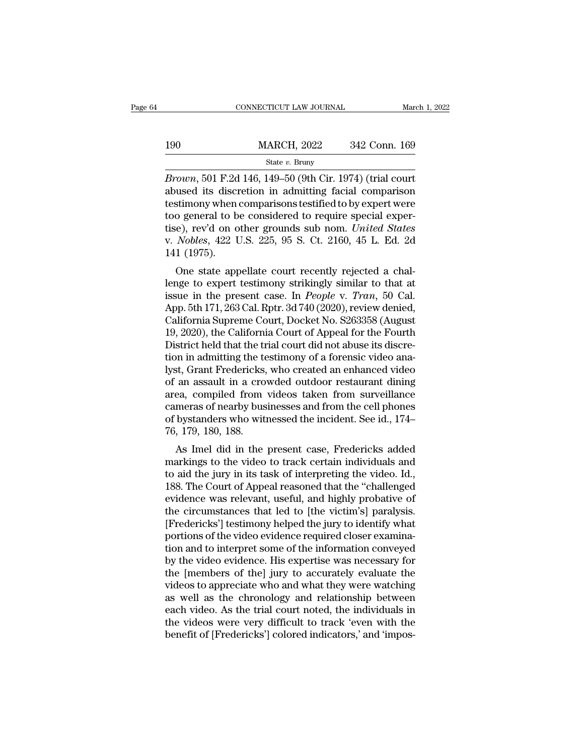|     | CONNECTICUT LAW JOURNAL |               | March 1, 2022 |
|-----|-------------------------|---------------|---------------|
|     |                         |               |               |
| 190 | <b>MARCH, 2022</b>      | 342 Conn. 169 |               |
|     | State $v$ . Bruny       |               |               |

**Brown**, 501 F.2d 146, 149–50 (9th Cir. 1974) (trial court<br> **Brown**, 501 F.2d 146, 149–50 (9th Cir. 1974) (trial court<br>
abused its discretion in admitting facial comparison 190 MARCH, 2022 342 Conn. 169<br>
State v. Bruny<br>
Brown, 501 F.2d 146, 149–50 (9th Cir. 1974) (trial court<br>
abused its discretion in admitting facial comparison<br>
testimony when comparisons testified to by expert were<br>
too ge 190 MARCH, 2022 342 Conn. 169<br>
State v. Bruny<br>
Brown, 501 F.2d 146, 149–50 (9th Cir. 1974) (trial court<br>
abused its discretion in admitting facial comparison<br>
testimony when comparisons testified to by expert were<br>
too ge 190 MARCH, 2022 342 Conn. 169<br>
State v. Bruny<br>
Brown, 501 F.2d 146, 149–50 (9th Cir. 1974) (trial court<br>
abused its discretion in admitting facial comparison<br>
testimony when comparisons testified to by expert were<br>
too ge State *v.* Bruny<br>
State *v.* Bruny<br>
Brown, 501 F.2d 146, 149–50 (9th Cir. 1974) (trial court<br>
abused its discretion in admitting facial comparison<br>
testimony when comparisons testified to by expert were<br>
too general to be State v. Bruny<br>*Brown*, 501 F.2d 146, 149–50 (9th Cir. 1974) (trial court<br>abused its discretion in admitting facial comparison<br>testimony when comparisons testified to by expert were<br>too general to be considered to require Brown, 501 F.2d<br>abused its discretistimony when<br>too general to b<br>tise), rev'd on o<br>v. *Nobles*, 422 U<br>141 (1975).<br>One state app distinstins and the confident and the confident stimony when comparisons testified to by expert were<br>o general to be considered to require special exper-<br>e), rev'd on other grounds sub nom. United States<br>Nobles, 422 U.S. 2 destiniony when comparisons destined to by expert were<br>too general to be considered to require special exper-<br>tise), rev'd on other grounds sub nom. United States<br>v. Nobles, 422 U.S. 225, 95 S. Ct. 2160, 45 L. Ed. 2d<br>141

tise), rev'd on other grounds sub nom. *United States*<br>v. *Nobles*, 422 U.S. 225, 95 S. Ct. 2160, 45 L. Ed. 2d<br>141 (1975).<br>One state appellate court recently rejected a chal-<br>lenge to expert testimony strikingly similar to they, tev d on other grounds sub hohi. *Chited States*<br>v. *Nobles*, 422 U.S. 225, 95 S. Ct. 2160, 45 L. Ed. 2d<br>141 (1975).<br>One state appellate court recently rejected a chal-<br>lenge to expert testimony strikingly similar to v. *Nobles*, 422 0.3. 225, 35 3. 0t. 2100, 45 L. Ed. 2d<br>141 (1975).<br>One state appellate court recently rejected a chal-<br>lenge to expert testimony strikingly similar to that at<br>issue in the present case. In *People* v. *Tr* 141 (1975).<br>
One state appellate court recently rejected a chal-<br>
lenge to expert testimony strikingly similar to that at<br>
issue in the present case. In *People* v. *Tran*, 50 Cal.<br>
App. 5th 171, 263 Cal. Rptr. 3d 740 (202 One state appellate court recently rejected a challenge to expert testimony strikingly similar to that at issue in the present case. In *People v. Tran*, 50 Cal. App. 5th 171, 263 Cal. Rptr. 3d 740 (2020), review denied, C lenge to expert testimony strikingly similar to that at<br>issue in the present case. In *People v. Tran*, 50 Cal.<br>App. 5th 171, 263 Cal. Rptr. 3d 740 (2020), review denied,<br>California Supreme Court, Docket No. S263358 (Augus issue in the present case. In *People v. Tran*, 50 Cal.<br>App. 5th 171, 263 Cal. Rptr. 3d 740 (2020), review denied,<br>California Supreme Court, Docket No. S263358 (August<br>19, 2020), the California Court of Appeal for the Four App. 5th 171, 263 Cal. Rptr. 3d 740 (2020), review denied,<br>California Supreme Court, Docket No. S263358 (August<br>19, 2020), the California Court of Appeal for the Fourth<br>District held that the trial court did not abuse its California Supreme Court, Docket No. S263358 (August<br>19, 2020), the California Court of Appeal for the Fourth<br>District held that the trial court did not abuse its discre-<br>tion in admitting the testimony of a forensic video 19, 2020), the California Court of Appeal for the Fourth<br>District held that the trial court did not abuse its discre-<br>tion in admitting the testimony of a forensic video ana-<br>lyst, Grant Fredericks, who created an enhanced District held that the trial court did not abuse its discretion in admitting the testimony of a forensic video analyst, Grant Fredericks, who created an enhanced video of an assault in a crowded outdoor restaurant dining a tion in admitting the te<br>lyst, Grant Fredericks,<br>of an assault in a cro<br>area, compiled from<br>cameras of nearby bus<br>of bystanders who wit<br>76, 179, 180, 188.<br>As Imel did in the Solid Tredericks, who created an enhanced video<br>an assault in a crowded outdoor restaurant dining<br>ea, compiled from videos taken from surveillance<br>meras of nearby businesses and from the cell phones<br>bystanders who witnesse or an assault in a crowded outdoor restaurant uning<br>area, compiled from videos taken from surveillance<br>cameras of nearby businesses and from the cell phones<br>of bystanders who witnessed the incident. See id., 174–<br>76, 179,

area, complied from videos taken from surventance<br>cameras of nearby businesses and from the cell phones<br>of bystanders who witnessed the incident. See id., 174–<br>76, 179, 180, 188.<br>As Imel did in the present case, Fredericks calleras of hearby businesses and front the cell phones<br>of bystanders who witnessed the incident. See id., 174–<br>76, 179, 180, 188.<br>As Imel did in the present case, Fredericks added<br>markings to the video to track certain in For 179, 180, 188.<br>
As Imel did in the present case, Fredericks added<br>
markings to the video to track certain individuals and<br>
to aid the jury in its task of interpreting the video. Id.,<br>
188. The Court of Appeal reasoned Fo, 179, 180, 188.<br>As Imel did in the present case, Fredericks added<br>markings to the video to track certain individuals and<br>to aid the jury in its task of interpreting the video. Id.,<br>188. The Court of Appeal reasoned tha As Imel did in the present case, Fredericks added<br>markings to the video to track certain individuals and<br>to aid the jury in its task of interpreting the video. Id.,<br>188. The Court of Appeal reasoned that the "challenged<br>ev markings to the video to track certain individuals and<br>to aid the jury in its task of interpreting the video. Id.,<br>188. The Court of Appeal reasoned that the "challenged<br>evidence was relevant, useful, and highly probative to aid the jury in its task of interpreting the video. Id.,<br>188. The Court of Appeal reasoned that the "challenged<br>evidence was relevant, useful, and highly probative of<br>the circumstances that led to [the victim's] paralys 188. The Court of Appeal reasoned that the "challenged<br>evidence was relevant, useful, and highly probative of<br>the circumstances that led to [the victim's] paralysis.<br>[Fredericks'] testimony helped the jury to identify what evidence was relevant, useful, and highly probative of<br>the circumstances that led to [the victim's] paralysis.<br>[Fredericks'] testimony helped the jury to identify what<br>portions of the video evidence required closer examina the circumstances that led to [the victim's] paralysis.<br>[Fredericks'] testimony helped the jury to identify what<br>portions of the video evidence required closer examina-<br>tion and to interpret some of the information conveye [Fredericks'] testimony helped the jury to identify what<br>portions of the video evidence required closer examina-<br>tion and to interpret some of the information conveyed<br>by the video evidence. His expertise was necessary for portions of the video evidence required closer examination and to interpret some of the information conveyed<br>by the video evidence. His expertise was necessary for<br>the [members of the] jury to accurately evaluate the<br>video tion and to interpret some of the information conveyed<br>by the video evidence. His expertise was necessary for<br>the [members of the] jury to accurately evaluate the<br>videos to appreciate who and what they were watching<br>as wel by the video evidence. His expertise was necessary for<br>the [members of the] jury to accurately evaluate the<br>videos to appreciate who and what they were watching<br>as well as the chronology and relationship between<br>each video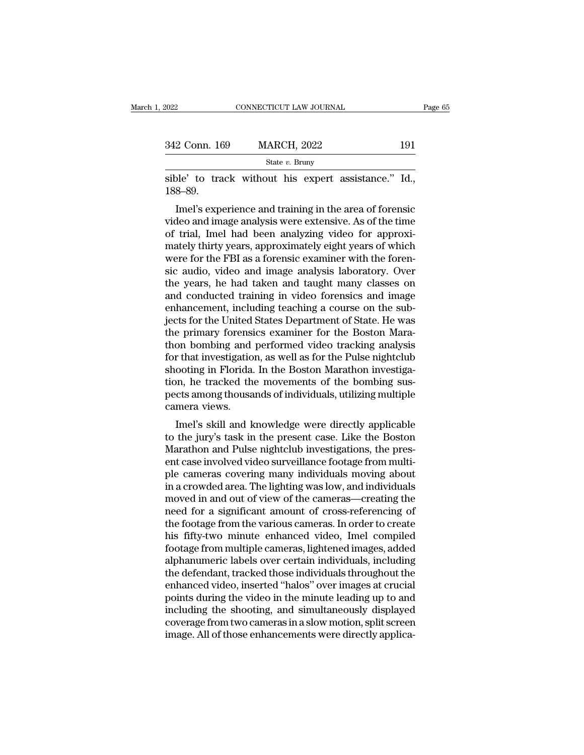| 2022          | CONNECTICUT LAW JOURNAL |     | Page 65 |
|---------------|-------------------------|-----|---------|
|               |                         |     |         |
| 342 Conn. 169 | <b>MARCH, 2022</b>      | 191 |         |
|               | State $v$ . Bruny       |     |         |

Fage CONNECTICUT LAW JOURNAL Page<br>342 Conn. 169 MARCH, 2022 191<br>5tate v. Bruny<br>5tate v. Bruny<br>5tate v. Bruny<br>188–89. 188–89.

 $\frac{\text{Rate } v. \text{ Bruny}}{\text{State } v. \text{ Bruny}}$ <br>
De' to track without his expert assistance." Id.,<br>
8–89.<br>
Imel's experience and training in the area of forensic<br>
deo and image analysis were extensive. As of the time<br>
trial Jmel had bee 342 Conn. 169 MARCH, 2022 191<br>
State v. Bruny<br>
sible' to track without his expert assistance." Id.,<br>
188–89.<br>
Imel's experience and training in the area of forensic<br>
video and image analysis were extensive. As of the time State *v*. Bruny<br>
sible' to track without his expert assistance." Id.,<br>
188–89.<br>
Imel's experience and training in the area of forensic<br>
video and image analysis were extensive. As of the time<br>
of trial, Imel had been ana sible' to track without his expert assistance." Id.,<br>188–89.<br>Imel's experience and training in the area of forensic<br>video and image analysis were extensive. As of the time<br>of trial, Imel had been analyzing video for approx sible to track without its expert assistance. Tu., 188–89.<br>Imel's experience and training in the area of forensic<br>video and image analysis were extensive. As of the time<br>of trial, Imel had been analyzing video for approxi-Imel's experience and training in the area of forensic<br>video and image analysis were extensive. As of the time<br>of trial, Imel had been analyzing video for approxi-<br>mately thirty years, approximately eight years of which<br>we Imel's experience and training in the area of forensic<br>video and image analysis were extensive. As of the time<br>of trial, Imel had been analyzing video for approxi-<br>mately thirty years, approximately eight years of which<br>we video and image analysis were extensive. As of the time<br>of trial, Imel had been analyzing video for approxi-<br>mately thirty years, approximately eight years of which<br>were for the FBI as a forensic examiner with the foren-<br>s of trial, Imel had been analyzing video for approximately thirty years, approximately eight years of which were for the FBI as a forensic examiner with the forensic audio, video and image analysis laboratory. Over the year mately thirty years, approximately eight years of which<br>were for the FBI as a forensic examiner with the foren-<br>sic audio, video and image analysis laboratory. Over<br>the years, he had taken and taught many classes on<br>and co were for the FBI as a forensic examiner with the forensic audio, video and image analysis laboratory. Over<br>the years, he had taken and taught many classes on<br>and conducted training in video forensics and image<br>enhancement, sic audio, video and image analysis laboratory. Over<br>the years, he had taken and taught many classes on<br>and conducted training in video forensics and image<br>enhancement, including teaching a course on the sub-<br>jects for the the years, he had taken and taught many classes on<br>and conducted training in video forensics and image<br>enhancement, including teaching a course on the sub-<br>jects for the United States Department of State. He was<br>the primar and conducted training in video forensics and image<br>enhancement, including teaching a course on the sub-<br>jects for the United States Department of State. He was<br>the primary forensics examiner for the Boston Mara-<br>thon bomb enhancement, including teaching a course on the sub-<br>jects for the United States Department of State. He was<br>the primary forensics examiner for the Boston Mara-<br>thon bombing and performed video tracking analysis<br>for that i jects for the United States Department of State. He was<br>the primary forensics examiner for the Boston Mara-<br>thon bombing and performed video tracking analysis<br>for that investigation, as well as for the Pulse nightclub<br>shoo the primary forensi<br>thon bombing and<br>for that investigatio<br>shooting in Florida.<br>tion, he tracked th<br>pects among thousa<br>camera views.<br>Imel's skill and k on bombing and performed video tracking analysis<br>
r that investigation, as well as for the Pulse nightclub<br>
ooting in Florida. In the Boston Marathon investiga-<br>
m, he tracked the movements of the bombing sus-<br>
cts among t for that investigation, as wen as for the I use highletilo<br>shooting in Florida. In the Boston Marathon investiga-<br>tion, he tracked the movements of the bombing sus-<br>pects among thousands of individuals, utilizing multiple<br>

shooting in Florida. In the Boston Marathon investiga-<br>tion, he tracked the movements of the bombing sus-<br>pects among thousands of individuals, utilizing multiple<br>camera views.<br>Imel's skill and knowledge were directly appl from, he tracked the movements of the bomong suspects among thousands of individuals, utilizing multiple camera views.<br>
Imel's skill and knowledge were directly applicable<br>
to the jury's task in the present case. Like the pects among mousants of murviolals, utilizing multiple<br>camera views.<br>Imel's skill and knowledge were directly applicable<br>to the jury's task in the present case. Like the Boston<br>Marathon and Pulse nightclub investigations, caniera views.<br>
Imel's skill and knowledge were directly applicable<br>
to the jury's task in the present case. Like the Boston<br>
Marathon and Pulse nightclub investigations, the pres-<br>
ent case involved video surveillance foo Imel's skill and knowledge were directly applicable<br>to the jury's task in the present case. Like the Boston<br>Marathon and Pulse nightclub investigations, the pres-<br>ent case involved video surveillance footage from multi-<br>pl to the jury's task in the present case. Like the Boston<br>Marathon and Pulse nightclub investigations, the present case involved video surveillance footage from multi-<br>ple cameras covering many individuals moving about<br>in a Marathon and Pulse nightclub investigations, the present case involved video surveillance footage from multiple cameras covering many individuals moving about<br>in a crowded area. The lighting was low, and individuals<br>moved ent case involved video surveillance footage from multi-<br>ple cameras covering many individuals moving about<br>in a crowded area. The lighting was low, and individuals<br>moved in and out of view of the cameras—creating the<br>need ple cameras covering many individuals moving about<br>in a crowded area. The lighting was low, and individuals<br>moved in and out of view of the cameras—creating the<br>need for a significant amount of cross-referencing of<br>the foo in a crowded area. The lighting was low, and individuals<br>moved in and out of view of the cameras—creating the<br>need for a significant amount of cross-referencing of<br>the footage from the various cameras. In order to create<br>h moved in and out of view of the cameras—creating the<br>need for a significant amount of cross-referencing of<br>the footage from the various cameras. In order to create<br>his fifty-two minute enhanced video, Imel compiled<br>footage need for a significant amount of cross-referencing of<br>the footage from the various cameras. In order to create<br>his fifty-two minute enhanced video, Imel compiled<br>footage from multiple cameras, lightened images, added<br>alpha the footage from the various cameras. In order to create<br>his fifty-two minute enhanced video, Imel compiled<br>footage from multiple cameras, lightened images, added<br>alphanumeric labels over certain individuals, including<br>the his fifty-two minute enhanced video, Imel compiled<br>footage from multiple cameras, lightened images, added<br>alphanumeric labels over certain individuals, including<br>the defendant, tracked those individuals throughout the<br>enha footage from multiple cameras, lightened images, added<br>alphanumeric labels over certain individuals, including<br>the defendant, tracked those individuals throughout the<br>enhanced video, inserted "halos" over images at crucial alphanumeric labels over certain individuals, including<br>the defendant, tracked those individuals throughout the<br>enhanced video, inserted "halos" over images at crucial<br>points during the video in the minute leading up to an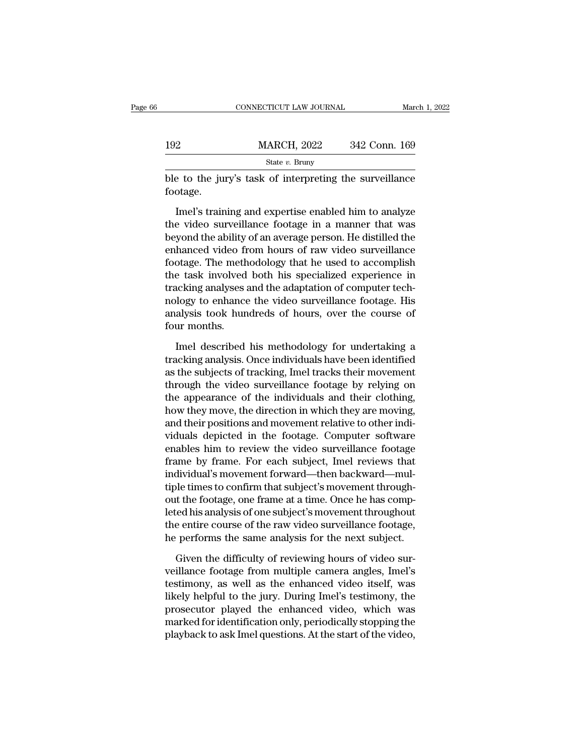|          | CONNECTICUT LAW JOURNAL                                                                                                                                                  |               | March 1, 2022 |
|----------|--------------------------------------------------------------------------------------------------------------------------------------------------------------------------|---------------|---------------|
| 192      |                                                                                                                                                                          | 342 Conn. 169 |               |
|          | <b>MARCH, 2022</b><br>State $v$ . Bruny                                                                                                                                  |               |               |
| footage. | ble to the jury's task of interpreting the surveillance                                                                                                                  |               |               |
|          | Imel's training and expertise enabled him to analyze<br>the video surveillance footage in a manner that was<br>hoyand the shility of an eyerage nergen. He distilled the |               |               |

 $\frac{\text{MARCH, } 2022}{\text{State } v. \text{ Bruny}}$ <br>
ble to the jury's task of interpreting the surveillance<br>
footage.<br>
Imel's training and expertise enabled him to analyze<br>
the video surveillance footage in a manner that was<br>
beyond the abi State  $v$ . Bruny<br>ble to the jury's task of interpreting the surveillance<br>footage.<br>Imel's training and expertise enabled him to analyze<br>the video surveillance footage in a manner that was<br>beyond the ability of an average p ble to the jury's task of interpreting the surveillance<br>footage.<br>Imel's training and expertise enabled him to analyze<br>the video surveillance footage in a manner that was<br>beyond the ability of an average person. He distille footage.<br>
Imel's training and expertise enabled him to analyze<br>
the video surveillance footage in a manner that was<br>
beyond the ability of an average person. He distilled the<br>
enhanced video from hours of raw video surveil Imel's training and expertise enabled him to analyze<br>the video surveillance footage in a manner that was<br>beyond the ability of an average person. He distilled the<br>enhanced video from hours of raw video surveillance<br>footage lmel's training and expertise enabled him to analyze<br>the video surveillance footage in a manner that was<br>beyond the ability of an average person. He distilled the<br>enhanced video from hours of raw video surveillance<br>footage the video surveillance footage in a manner that was<br>beyond the ability of an average person. He distilled the<br>enhanced video from hours of raw video surveillance<br>footage. The methodology that he used to accomplish<br>the task beyond the ability of an average person. He distilled the enhanced video from hours of raw video surveillance footage. The methodology that he used to accomplish the task involved both his specialized experience in trackin enhanced video fr<br>footage. The meth<br>the task involved<br>tracking analyses :<br>nology to enhance<br>analysis took hun<br>four months.<br>Imel described Exercise task involved both his specialized experience in<br>acking analyses and the adaptation of computer tech-<br>logy to enhance the video surveillance footage. His<br>alysis took hundreds of hours, over the course of<br>ur months tracking analyses and the adaptation of computer tech-<br>nology to enhance the video surveillance footage. His<br>analysis took hundreds of hours, over the course of<br>four months.<br>Imel described his methodology for undertaking a

mology to enhance the video surveillance footage. His<br>analysis took hundreds of hours, over the course of<br>four months.<br>Imel described his methodology for undertaking a<br>tracking analysis. Once individuals have been identifi analysis took hundreds of hours, over the course of<br>four months.<br>Imel described his methodology for undertaking a<br>tracking analysis. Once individuals have been identified<br>as the subjects of tracking, Imel tracks their move four months.<br>
Imel described his methodology for undertaking a<br>
tracking analysis. Once individuals have been identified<br>
as the subjects of tracking, Imel tracks their movement<br>
through the video surveillance footage by r Imel described his methodology for undertaking a<br>tracking analysis. Once individuals have been identified<br>as the subjects of tracking, Imel tracks their movement<br>through the video surveillance footage by relying on<br>the app Imel described his methodology for undertaking a<br>tracking analysis. Once individuals have been identified<br>as the subjects of tracking, Imel tracks their movement<br>through the video surveillance footage by relying on<br>the app tracking analysis. Once individuals have been identified<br>as the subjects of tracking, Imel tracks their movement<br>through the video surveillance footage by relying on<br>the appearance of the individuals and their clothing,<br>ho as the subjects of tracking, Imel tracks their movement<br>through the video surveillance footage by relying on<br>the appearance of the individuals and their clothing,<br>how they move, the direction in which they are moving,<br>and through the video surveillance footage by relying on<br>the appearance of the individuals and their clothing,<br>how they move, the direction in which they are moving,<br>and their positions and movement relative to other indi-<br>vid the appearance of the individuals and their clothing,<br>how they move, the direction in which they are moving,<br>and their positions and movement relative to other indi-<br>viduals depicted in the footage. Computer software<br>enabl how they move, the direction in which they are moving,<br>and their positions and movement relative to other indi-<br>viduals depicted in the footage. Computer software<br>enables him to review the video surveillance footage<br>frame and their positions and movement relative to other indi-<br>viduals depicted in the footage. Computer software<br>enables him to review the video surveillance footage<br>frame by frame. For each subject, Imel reviews that<br>individua viduals depicted in the footage. Computer software<br>enables him to review the video surveillance footage<br>frame by frame. For each subject, Imel reviews that<br>individual's movement forward—then backward—mul-<br>tiple times to co enables him to review the video surveillance footage<br>frame by frame. For each subject, Imel reviews that<br>individual's movement forward—then backward—mul-<br>tiple times to confirm that subject's movement through-<br>out the foot frame by frame. For each subject, Imel reviews that<br>individual's movement forward—then backward—mul-<br>tiple times to confirm that subject's movement through-<br>out the footage, one frame at a time. Once he has comp-<br>leted his ble times to confirm that subject's movement throught<br>t the footage, one frame at a time. Once he has comp-<br>red his analysis of one subject's movement throughout<br>e entire course of the raw video surveillance footage,<br>perfo out the footage, one frame at a time. Once he has completed his analysis of one subject's movement throughout<br>the entire course of the raw video surveillance footage,<br>he performs the same analysis for the next subject.<br>Giv

leted his analysis of one subject's movement throughout<br>the entire course of the raw video surveillance footage,<br>he performs the same analysis for the next subject.<br>Given the difficulty of reviewing hours of video sur-<br>vei the entire course of the raw video surveillance footage,<br>he performs the same analysis for the next subject.<br>Given the difficulty of reviewing hours of video sur-<br>veillance footage from multiple camera angles, Imel's<br>testi he performs the same analysis for the next subject.<br>
Given the difficulty of reviewing hours of video sur-<br>
veillance footage from multiple camera angles, Imel's<br>
testimony, as well as the enhanced video itself, was<br>
likel Given the difficulty of reviewing hours of video surveillance footage from multiple camera angles, Imel's testimony, as well as the enhanced video itself, was likely helpful to the jury. During Imel's testimony, the prosec Given the difficulty of reviewing hours of video surveillance footage from multiple camera angles, Imel's testimony, as well as the enhanced video itself, was likely helpful to the jury. During Imel's testimony, the prosec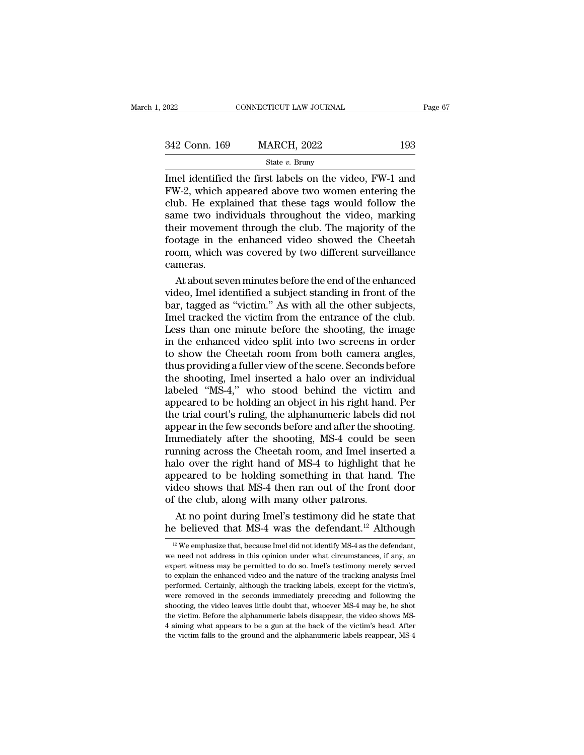| 2022          | CONNECTICUT LAW JOURNAL | Page 67 |  |
|---------------|-------------------------|---------|--|
| 342 Conn. 169 | <b>MARCH, 2022</b>      | 193     |  |
|               | State $v$ . Bruny       |         |  |

EXECTE EXECT THE SURFALL TRANSFER ON THE FIRST STAR SET ON MARCH, 2022<br>
State v. Bruny<br>
Imel identified the first labels on the video, FW-1 and<br>
FW-2, which appeared above two women entering the<br>
club. He explained that t  $\frac{342 \text{ Conn. } 169}{342 \text{ Conn. } 169}$  MARCH,  $2022$  193<br>State v. Bruny<br>Imel identified the first labels on the video, FW-1 and<br>FW-2, which appeared above two women entering the<br>club. He explained that these tags would follow 342 Conn. 169 MARCH, 2022 193<br>
State v. Bruny<br>
Imel identified the first labels on the video, FW-1 and<br>
FW-2, which appeared above two women entering the<br>
club. He explained that these tags would follow the<br>
same two indi 342 Conn. 169 MARCH, 2022 193<br>
State v. Bruny<br>
Imel identified the first labels on the video, FW-1 and<br>
FW-2, which appeared above two women entering the<br>
club. He explained that these tags would follow the<br>
same two indi State v. Bruny<br>
State v. Bruny<br>
Imel identified the first labels on the video, FW-1 and<br>
FW-2, which appeared above two women entering the<br>
club. He explained that these tags would follow the<br>
same two individuals through State v. Bruny<br>Imel identified the first labels on the video, FW-1 and<br>FW-2, which appeared above two women entering the<br>club. He explained that these tags would follow the<br>same two individuals throughout the video, marki Imel identified the first labels on the video, FW-1 and FW-2, which appeared above two women entering the club. He explained that these tags would follow the same two individuals throughout the video, marking their movemen cameras. 10. He explained that these tags would follow the<br>me two individuals throughout the video, marking<br>eir movement through the club. The majority of the<br>otage in the enhanced video showed the Cheetah<br>om, which was covered by same two individuals throughout the video, marking<br>their movement through the club. The majority of the<br>footage in the enhanced video showed the Cheetah<br>room, which was covered by two different surveillance<br>cameras.<br>At abo

their movement through the club. The majority of the<br>footage in the enhanced video showed the Cheetah<br>room, which was covered by two different surveillance<br>cameras.<br>At about seven minutes before the end of the enhanced<br>vid Frootage in the enhanced video showed the Cheetah<br>room, which was covered by two different surveillance<br>cameras.<br>At about seven minutes before the end of the enhanced<br>video, Imel identified a subject standing in front of t room, which was covered by two different surveillance<br>cameras.<br>At about seven minutes before the end of the enhanced<br>video, Imel identified a subject standing in front of the<br>bar, tagged as "victim." As with all the other cameras.<br>
At about seven minutes before the end of the enhanced<br>
video, Imel identified a subject standing in front of the<br>
bar, tagged as "victim." As with all the other subjects,<br>
Imel tracked the victim from the entranc At about seven minutes before the end of the enhanced<br>video, Imel identified a subject standing in front of the<br>bar, tagged as "victim." As with all the other subjects,<br>Imel tracked the victim from the entrance of the club video, Imel identified a subject standing in front of the<br>bar, tagged as "victim." As with all the other subjects,<br>Imel tracked the victim from the entrance of the club.<br>Less than one minute before the shooting, the image<br> bar, tagged as "victim." As with all the other subjects,<br>Imel tracked the victim from the entrance of the club.<br>Less than one minute before the shooting, the image<br>in the enhanced video split into two screens in order<br>to s Imel tracked the victim from the entrance of the club.<br>Less than one minute before the shooting, the image<br>in the enhanced video split into two screens in order<br>to show the Cheetah room from both camera angles,<br>thus provid Less than one minute before the shooting, the image<br>in the enhanced video split into two screens in order<br>to show the Cheetah room from both camera angles,<br>thus providing a fuller view of the scene. Seconds before<br>the shoo in the enhanced video split into two screens in order<br>to show the Cheetah room from both camera angles,<br>thus providing a fuller view of the scene. Seconds before<br>the shooting, Imel inserted a halo over an individual<br>labele to show the Cheetah room from both camera angles,<br>thus providing a fuller view of the scene. Seconds before<br>the shooting, Imel inserted a halo over an individual<br>labeled "MS-4," who stood behind the victim and<br>appeared to thus providing a fuller view of the scene. Seconds before<br>the shooting, Imel inserted a halo over an individual<br>labeled "MS-4," who stood behind the victim and<br>appeared to be holding an object in his right hand. Per<br>the tr the shooting, Imel inserted a halo over an individual<br>labeled "MS-4," who stood behind the victim and<br>appeared to be holding an object in his right hand. Per<br>the trial court's ruling, the alphanumeric labels did not<br>appear labeled "MS-4," who stood behind the victim and<br>appeared to be holding an object in his right hand. Per<br>the trial court's ruling, the alphanumeric labels did not<br>appear in the few seconds before and after the shooting.<br>Imm appeared to be holding an object in his right hand. Per<br>the trial court's ruling, the alphanumeric labels did not<br>appear in the few seconds before and after the shooting.<br>Immediately after the shooting, MS-4 could be seen<br> the trial court's ruling, the alphanumeric labels did not<br>appear in the few seconds before and after the shooting.<br>Immediately after the shooting, MS-4 could be seen<br>running across the Cheetah room, and Imel inserted a<br>hal appear in the few seconds before and after the shood Immediately after the shooting, MS-4 could be running across the Cheetah room, and Imel inser halo over the right hand of MS-4 to highlight the appeared to be holding so mediately after the shooting, MS-4 could be seen<br>nning across the Cheetah room, and Imel inserted a<br>lo over the right hand of MS-4 to highlight that he<br>peared to be holding something in that hand. The<br>deo shows that MS-4 running across the Cheetah room, and Imel inserted a<br>halo over the right hand of MS-4 to highlight that he<br>appeared to be holding something in that hand. The<br>video shows that MS-4 then ran out of the front door<br>of the clu

<sup>12</sup> We emphasize that, because Imel did not identify MS-4 as the defendant,<br>
12 We emphasize that, because Imel did not identify MS-4 as the defendant,<br>
12 We emphasize that, because Imel did not identify MS-4 as the defen of the club, along with many other patrons.<br>At no point during Imel's testimony did he state that<br>he believed that MS-4 was the defendant.<sup>12</sup> Although<br> $\frac{12}{12}$  We emphasize that, because Imel did not identify MS-4 as At no point during Imel's testimony did he state that<br>he believed that MS-4 was the defendant.<sup>12</sup> Although<br> $\frac{12}{12}$  We emphasize that, because Imel did not identify MS-4 as the defendant,<br>we need not address in this o The to point daring inters describently did it is state dideo the believed that MS-4 was the defendant.<sup>12</sup> Although  $\frac{12}{12}$  We emphasize that, because Imel did not identify MS-4 as the defendant, we need not address The Defieved trial MiS-4 Was trie deferred. Certainly,  $\frac{12}{12}$  We emphasize that, because Imel did not identify MS-4 as the defendant, we need not address in this opinion under what circumstances, if any, an expert wi <sup>12</sup> We emphasize that, because Imel did not identify MS-4 as the defendant, we need not address in this opinion under what circumstances, if any, an expert witness may be permitted to do so. Imel's testimony merely serve we need not address in this opinion under what circumstances, if any, an expert witness may be permitted to do so. Imel's testimony merely served to explain the enhanced video and the nature of the tracking analysis Imel p expert witness may be permitted to do so. Imel's testimony merely served to explain the enhanced video and the nature of the tracking analysis Imel performed. Certainly, although the tracking labels, except for the victim' to explain the enhanced video and the nature of the tracking analysis Imel performed. Certainly, although the tracking labels, except for the victim's,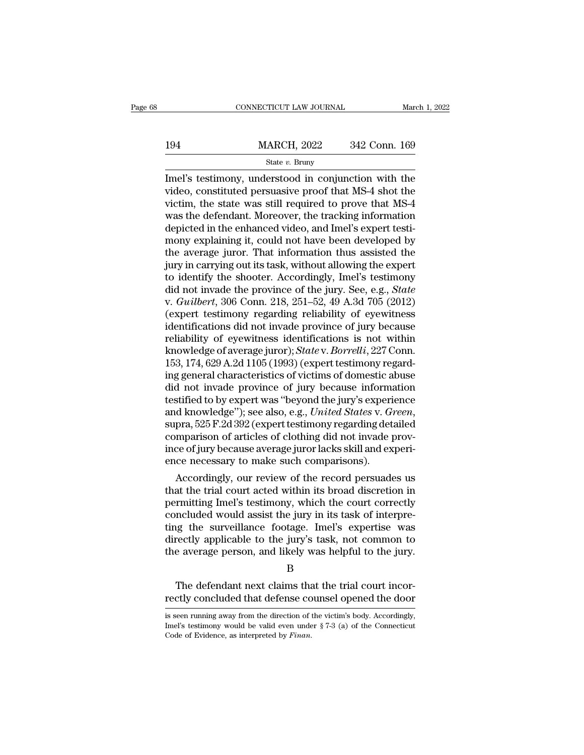|     | CONNECTICUT LAW JOURNAL | March 1, 2022 |
|-----|-------------------------|---------------|
|     |                         |               |
| 194 | <b>MARCH, 2022</b>      | 342 Conn. 169 |
|     | State $v$ . Bruny       |               |

CONNECTICUT LAW JOURNAL March 1, 2022<br>
194 MARCH, 2022 342 Conn. 169<br>
State v. Bruny<br>
Imel's testimony, understood in conjunction with the<br>
video, constituted persuasive proof that MS-4 shot the<br>
video, constituted persuas  $\frac{\text{MARCH}}{\text{State } v. \text{ Bruny}}$ <br>
State v. Bruny<br>
Imel's testimony, understood in conjunction with the<br>
video, constituted persuasive proof that MS-4 shot the<br>
victim, the state was still required to prove that MS-4<br>
was the defe 194 MARCH, 2022 342 Conn. 169<br>
State v. Bruny<br>
Imel's testimony, understood in conjunction with the<br>
video, constituted persuasive proof that MS-4 shot the<br>
victim, the state was still required to prove that MS-4<br>
was the MARCH, 2022 342 Conn. 169<br>
State v. Bruny<br>
Imel's testimony, understood in conjunction with the<br>
video, constituted persuasive proof that MS-4 shot the<br>
victim, the state was still required to prove that MS-4<br>
was the def  $\begin{array}{l}\n\hline\n\text{State } v. \text{ Bruny} \\
\hline\n\text{State } v. \text{ Bruny} \\
\hline\n\text{Imel's testimony, understood in conjunction with the video, constituted persuasive proof that MS-4 shot the victim, the state was still required to prove that MS-4 was the defendant. Moreover, the tracking information depicted in the enhanced video, and Imel's expert testimony explaining it, could not have been developed by the average liver. That information thus assisted the$ state v. Bruny<br>Imel's testimony, understood in conjunction with the<br>video, constituted persuasive proof that MS-4 shot the<br>victim, the state was still required to prove that MS-4<br>was the defendant. Moreover, the tracking Imel's testimony, understood in conjunction with the<br>video, constituted persuasive proof that MS-4 shot the<br>victim, the state was still required to prove that MS-4<br>was the defendant. Moreover, the tracking information<br>depi video, constituted persuasive proof that MS-4 shot the victim, the state was still required to prove that MS-4 was the defendant. Moreover, the tracking information depicted in the enhanced video, and Imel's expert testimo victim, the state was still required to prove that MS-4<br>was the defendant. Moreover, the tracking information<br>depicted in the enhanced video, and Imel's expert testi-<br>mony explaining it, could not have been developed by<br>th was the defendant. Moreover, the tracking information<br>depicted in the enhanced video, and Imel's expert testi-<br>mony explaining it, could not have been developed by<br>the average juror. That information thus assisted the<br>jury depicted in the enhanced video, and Imel's expert testi-<br>mony explaining it, could not have been developed by<br>the average juror. That information thus assisted the<br>jury in carrying out its task, without allowing the expert mony explaining it, could not have been developed by<br>the average juror. That information thus assisted the<br>jury in carrying out its task, without allowing the expert<br>to identify the shooter. Accordingly, Imel's testimony<br>d the average juror. That information thus assisted the<br>jury in carrying out its task, without allowing the expert<br>to identify the shooter. Accordingly, Imel's testimony<br>did not invade the province of the jury. See, e.g., *S* jury in carrying out its task, without allowing the expert<br>to identify the shooter. Accordingly, Imel's testimony<br>did not invade the province of the jury. See, e.g., *State*<br>v. *Guilbert*, 306 Conn. 218, 251–52, 49 A.3d 70 to identify the shooter. Accordingly, Imel's testimony<br>did not invade the province of the jury. See, e.g., *State*<br>v. *Guilbert*, 306 Conn. 218, 251–52, 49 A.3d 705 (2012)<br>(expert testimony regarding reliability of eyewitn did not invade the province of the jury. See, e.g., *State* v. *Guilbert*, 306 Conn. 218, 251–52, 49 A.3d 705 (2012) (expert testimony regarding reliability of eyewitness identifications did not invade province of jury bec v. *Guilbert*, 306 Conn. 218, 251–52, 49 A.3d 705 (2012)<br>(expert testimony regarding reliability of eyewitness<br>identifications did not invade province of jury because<br>reliability of eyewitness identifications is not within (expert testimony regarding reliability of eyewitness<br>identifications did not invade province of jury because<br>reliability of eyewitness identifications is not within<br>knowledge of average juror); *State* v. *Borrelli*, 227 identifications did not invade province of jury because<br>reliability of eyewitness identifications is not within<br>knowledge of average juror); *State* v. *Borrelli*, 227 Conn.<br>153, 174, 629 A.2d 1105 (1993) (expert testimony reliability of eyewitness identifications is not within<br>knowledge of average juror); *State* v. *Borrelli*, 227 Conn.<br>153, 174, 629 A.2d 1105 (1993) (expert testimony regard-<br>ing general characteristics of victims of domes 153, 174, 629 A.2d 1105 (1993) (expert testimony regard-<br>ing general characteristics of victims of domestic abuse<br>did not invade province of jury because information<br>testified to by expert was "beyond the jury's experience ing general characteristics of victims of domestic abuse<br>did not invade province of jury because information<br>testified to by expert was "beyond the jury's experience<br>and knowledge"); see also, e.g., *United States* v. *Gre* did not invade province of jury because informatestified to by expert was "beyond the jury's experi<br>and knowledge"); see also, e.g., *United States* v. *G*.<br>supra, 525 F.2d 392 (expert testimony regarding det<br>comparison of suried to by expert was beyond the jury's experience<br>d knowledge"); see also, e.g., *United States v. Green*,<br>pra, 525 F.2d 392 (expert testimony regarding detailed<br>mparison of articles of clothing did not invade prov-<br>ce and knowledge ); see also, e.g., *United States v. Green*,<br>supra, 525 F.2d 392 (expert testimony regarding detailed<br>comparison of articles of clothing did not invade prov-<br>ince of jury because average juror lacks skill and

supra, 525 F.2d 392 (expert testimony regarding detailed<br>comparison of articles of clothing did not invade prov-<br>ince of jury because average juror lacks skill and experi-<br>ence necessary to make such comparisons).<br>Accordin comparison or articles or clothing did not invade prov-<br>ince of jury because average juror lacks skill and experi-<br>ence necessary to make such comparisons).<br>Accordingly, our review of the record persuades us<br>that the trial Ince of Jury because average Juror facks skill and experience necessary to make such comparisons).<br>Accordingly, our review of the record persuades us<br>that the trial court acted within its broad discretion in<br>permitting Ime ence necessary to make such comparisons).<br>Accordingly, our review of the record persuades us<br>that the trial court acted within its broad discretion in<br>permitting Imel's testimony, which the court correctly<br>concluded would Accordingly, our review of the record persuades us<br>that the trial court acted within its broad discretion in<br>permitting Imel's testimony, which the court correctly<br>concluded would assist the jury in its task of interpre-<br>t ncluded would assist the jury in its task of interpre-<br>neg the surveillance footage. Imel's expertise was<br>rectly applicable to the jury's task, not common to<br>e average person, and likely was helpful to the jury.<br>B<br>The defe ting the surveillance footage. Imel's expertise was<br>directly applicable to the jury's task, not common to<br>the average person, and likely was helpful to the jury.<br>B<br>The defendant next claims that the trial court incor-<br>rect

### B

B<br>
The defendant next claims that the trial court incor-<br>
rectly concluded that defense counsel opened the door<br>
is seen running away from the direction of the victim's body. Accordingly,<br>
Imel's testimony would be valid e

Implementative testimony and the valid even under § 7-3 (a) of the Connective Connective valid even under § 7-3 (a) of the Connecticut Code of Evidence, as interpreted by *Finan*. The defendant next claims that<br>rectly concluded that defense cours<br>is seen running away from the direction of the<br>Imel's testimony would be valid even under<br>Code of Evidence, as interpreted by *Finan*.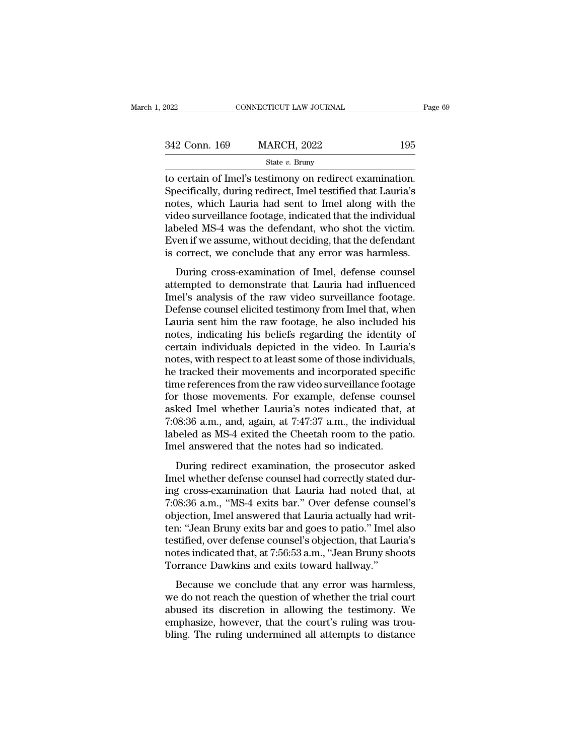| 2022          | CONNECTICUT LAW JOURNAL                                                                                                                                                      | Page 69 |
|---------------|------------------------------------------------------------------------------------------------------------------------------------------------------------------------------|---------|
|               |                                                                                                                                                                              |         |
| 342 Conn. 169 | <b>MARCH, 2022</b>                                                                                                                                                           | 195     |
|               | State $v$ . Bruny                                                                                                                                                            |         |
|               | to certain of Imel's testimony on redirect examination.<br>Specifically, during redirect, Imel testified that Lauria's<br>notos which Lauria had sont to Imal along with the |         |

 $\frac{342 \text{ Conn. } 169}{\text{State } v. \text{ Bruny}}$ <br>
to certain of Imel's testimony on redirect examination.<br>
Specifically, during redirect, Imel testified that Lauria's<br>
notes, which Lauria had sent to Imel along with the<br>
video survoilla 342 Conn. 169 MARCH, 2022 195<br>
State v. Bruny<br>
to certain of Imel's testimony on redirect examination.<br>
Specifically, during redirect, Imel testified that Lauria's<br>
notes, which Lauria had sent to Imel along with the<br>
vid 342 Conn. 169 MARCH, 2022 195<br>
state  $v$ . Bruny<br>
to certain of Imel's testimony on redirect examination.<br>
Specifically, during redirect, Imel testified that Lauria's<br>
notes, which Lauria had sent to Imel along with the<br>
v State v. Bruny<br>
state v. Bruny<br>
to certain of Imel's testimony on redirect examination.<br>
Specifically, during redirect, Imel testified that Lauria's<br>
notes, which Lauria had sent to Imel along with the<br>
video surveillance State v. Bruny<br>to certain of Imel's testimony on redirect examination.<br>Specifically, during redirect, Imel testified that Lauria's<br>notes, which Lauria had sent to Imel along with the<br>video surveillance footage, indicated to certain of Imel's testimony on redirect examination.<br>Specifically, during redirect, Imel testified that Lauria's<br>notes, which Lauria had sent to Imel along with the<br>video surveillance footage, indicated that the individ best which Lauria had sent to Imel along with the<br>deo surveillance footage, indicated that the individual<br>beled MS-4 was the defendant, who shot the victim.<br>ren if we assume, without deciding, that the defendant<br>correct, w rotes, which Eadria had sent to finer along what the<br>video surveillance footage, indicated that the individual<br>labeled MS-4 was the defendant, who shot the victim.<br>Even if we assume, without deciding, that the defendant<br>is

Iabeled MS-4 was the defendant, who shot the victim.<br>Even if we assume, without deciding, that the defendant<br>is correct, we conclude that any error was harmless.<br>During cross-examination of Imel, defense counsel<br>attempted Even if we assume, without deciding, that the defendant<br>Even if we assume, without deciding, that the defendant<br>is correct, we conclude that any error was harmless.<br>During cross-examination of Imel, defense counsel<br>attempt Liventi we assaint, whild declearing, and the detendant<br>is correct, we conclude that any error was harmless.<br>During cross-examination of Imel, defense counsel<br>attempted to demonstrate that Lauria had influenced<br>Imel's anal notes, we conclude that any crior was narriess.<br>
During cross-examination of Imel, defense counsel<br>
attempted to demonstrate that Lauria had influenced<br>
Imel's analysis of the raw video surveillance footage.<br>
Defense couns During cross-examination of Imel, defense counsel<br>attempted to demonstrate that Lauria had influenced<br>Imel's analysis of the raw video surveillance footage.<br>Defense counsel elicited testimony from Imel that, when<br>Lauria se attempted to demonstrate that Lauria had influenced<br>Imel's analysis of the raw video surveillance footage.<br>Defense counsel elicited testimony from Imel that, when<br>Lauria sent him the raw footage, he also included his<br>notes Imel's analysis of the raw video surveillance footage.<br>Defense counsel elicited testimony from Imel that, when<br>Lauria sent him the raw footage, he also included his<br>notes, indicating his beliefs regarding the identity of<br>c Defense counsel elicited testimony from Imel that, when<br>Lauria sent him the raw footage, he also included his<br>notes, indicating his beliefs regarding the identity of<br>certain individuals depicted in the video. In Lauria's<br>n Lauria sent him the raw footage, he also included his<br>notes, indicating his beliefs regarding the identity of<br>certain individuals depicted in the video. In Lauria's<br>notes, with respect to at least some of those individual notes, indicating his beliefs regarding the identity of<br>certain individuals depicted in the video. In Lauria's<br>notes, with respect to at least some of those individuals,<br>he tracked their movements and incorporated specific certain individuals depicted in the video. In Lauria's<br>notes, with respect to at least some of those individuals,<br>he tracked their movements and incorporated specific<br>time references from the raw video surveillance footage notes, with respect to at least some of those individuals,<br>he tracked their movements and incorporated specific<br>time references from the raw video surveillance footage<br>for those movements. For example, defense counsel<br>aske he tracked their movements and incorporated specif<br>time references from the raw video surveillance footag<br>for those movements. For example, defense couns<br>asked Imel whether Lauria's notes indicated that,<br>7:08:36 a.m., and, r those movements. For example, defense counsel<br>ked Imel whether Lauria's notes indicated that, at<br>08:36 a.m., and, again, at 7:47:37 a.m., the individual<br>oeled as MS-4 exited the Cheetah room to the patio.<br>lel answered th asked Imel whether Lauria's notes indicated that, at 7:08:36 a.m., and, again, at 7:47:37 a.m., the individual labeled as MS-4 exited the Cheetah room to the patio.<br>Imel answered that the notes had so indicated.<br>During re

7:08:36 a.m., and, again, at 7:47:37 a.m., the individual<br>labeled as MS-4 exited the Cheetah room to the patio.<br>Imel answered that the notes had so indicated.<br>During redirect examination, the prosecutor asked<br>Imel whether 1.08:36 a.m., and, again, as 1.11:51 a.m., are marriadal labeled as MS-4 exited the Cheetah room to the patio.<br>
Imel answered that the notes had so indicated.<br>
During redirect examination, the prosecutor asked<br>
Imel whethe abeted as the Tented the entertain from to the pasto.<br>Imel answered that the notes had so indicated.<br>During redirect examination, the prosecutor asked<br>during cross-examination that Lauria had noted that, at<br>7:08:36 a.m., " During redirect examination, the prosecutor asked<br>Imel whether defense counsel had correctly stated dur-<br>ing cross-examination that Lauria had noted that, at<br>7:08:36 a.m., "MS-4 exits bar." Over defense counsel's<br>objection During redirect examination, the prosecutor asked<br>Imel whether defense counsel had correctly stated dur-<br>ing cross-examination that Lauria had noted that, at<br>7:08:36 a.m., "MS-4 exits bar." Over defense counsel's<br>objection Imel whether defense counsel had correctly stated during cross-examination that Lauria had noted that, at 7:08:36 a.m., "MS-4 exits bar." Over defense counsel's objection, Imel answered that Lauria actually had written: "J ing cross-examination that Lauria had noted that<br>7:08:36 a.m., "MS-4 exits bar." Over defense couns<br>objection, Imel answered that Lauria actually had w<br>ten: "Jean Bruny exits bar and goes to patio." Imel a<br>testified, over below and, This Tellas salt Tover detense counsers<br>jection, Imel answered that Lauria actually had writ-<br>n: "Jean Bruny exits bar and goes to patio." Imel also<br>stified, over defense counsel's objection, that Lauria's<br>tes i beyecasi, mer answered and had actually had wind<br>ten: "Jean Bruny exits bar and goes to patio." Imel also<br>testified, over defense counsel's objection, that Lauria's<br>notes indicated that, at 7:56:53 a.m., "Jean Bruny shoots

refit. Setat Branj exits dar and goes to pairs. Their also<br>testified, over defense counsel's objection, that Lauria's<br>notes indicated that, at 7:56:53 a.m., "Jean Bruny shoots<br>Torrance Dawkins and exits toward hallway."<br>Be resulted, over determse counsers objection, that Ladina's<br>notes indicated that, at 7:56:53 a.m., "Jean Bruny shoots<br>Torrance Dawkins and exits toward hallway."<br>Because we conclude that any error was harmless,<br>we do not rea Forrance Dawkins and exits toward hallway."<br>Because we conclude that any error was harmless,<br>we do not reach the question of whether the trial court<br>abused its discretion in allowing the testimony. We<br>emphasize, however, t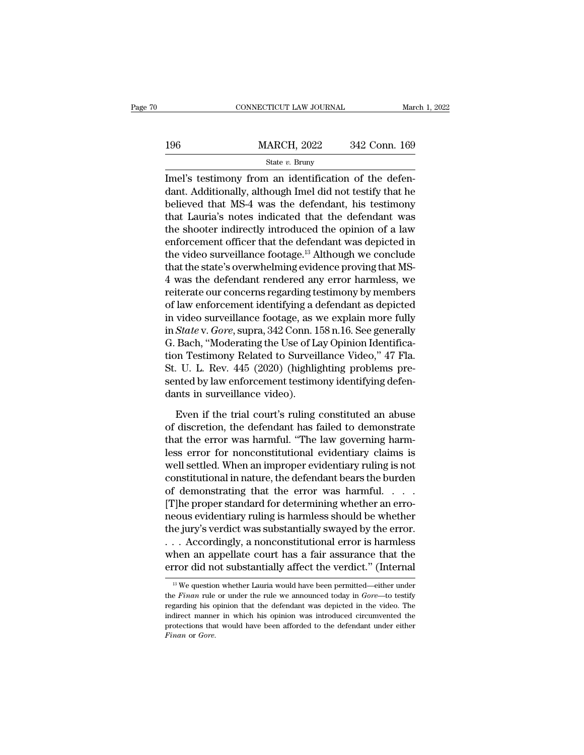|     | CONNECTICUT LAW JOURNAL |               | March 1, 2022 |
|-----|-------------------------|---------------|---------------|
|     |                         |               |               |
| 196 | <b>MARCH, 2022</b>      | 342 Conn. 169 |               |
|     | State $v$ . Bruny       |               |               |

CONNECTICUT LAW JOURNAL<br>
IMPLEMENT MARCH, 2022 342 Conn. 169<br>
State v. Bruny<br>
Imel's testimony from an identification of the defen-<br>
dant. Additionally, although Imel did not testify that he<br>
holisyed that MS 4 was the def 196 MARCH, 2022 342 Conn. 169<br>
State v. Bruny<br>
Imel's testimony from an identification of the defendant. Additionally, although Imel did not testify that he<br>
believed that MS-4 was the defendant, his testimony<br>
that I aur 196 MARCH, 2022 342 Conn. 169<br>
State v. Bruny<br>
Imel's testimony from an identification of the defendant. Additionally, although Imel did not testify that he<br>
believed that MS-4 was the defendant, his testimony<br>
that Lauri 196 MARCH, 2022 342 Conn. 169<br>
State v. Bruny<br>
Imel's testimony from an identification of the defendant. Additionally, although Imel did not testify that he<br>
believed that MS-4 was the defendant, his testimony<br>
that Lauri State v. Bruny<br>Imel's testimony from an identification of the defendant. Additionally, although Imel did not testify that he<br>believed that MS-4 was the defendant, his testimony<br>that Lauria's notes indicated that the defen State v. Bruny<br>Imel's testimony from an identification of the defendant. Additionally, although Imel did not testify that he<br>believed that MS-4 was the defendant, his testimony<br>that Lauria's notes indicated that the defen Imel's testimony from an identification of the defen-<br>dant. Additionally, although Imel did not testify that he<br>believed that MS-4 was the defendant, his testimony<br>that Lauria's notes indicated that the defendant was<br>the s dant. Additionally, although Imel did not testify that he believed that MS-4 was the defendant, his testimony that Lauria's notes indicated that the defendant was the shooter indirectly introduced the opinion of a law enfo believed that MS-4 was the defendant, his testimony<br>that Lauria's notes indicated that the defendant was<br>the shooter indirectly introduced the opinion of a law<br>enforcement officer that the defendant was depicted in<br>the vid that Lauria's notes indicated that the defendant was<br>the shooter indirectly introduced the opinion of a law<br>enforcement officer that the defendant was depicted in<br>the video surveillance footage.<sup>13</sup> Although we conclude<br>th the shooter indirectly introduced the opinion of a law<br>enforcement officer that the defendant was depicted in<br>the video surveillance footage.<sup>13</sup> Although we conclude<br>that the state's overwhelming evidence proving that MSenforcement officer that the defendant was depicted in<br>the video surveillance footage.<sup>13</sup> Although we conclude<br>that the state's overwhelming evidence proving that MS-<br>4 was the defendant rendered any error harmless, we<br>re the video surveillance footage.<sup>13</sup> Although we conclude<br>that the state's overwhelming evidence proving that MS-<br>4 was the defendant rendered any error harmless, we<br>reiterate our concerns regarding testimony by members<br>of that the state's overwhelming evidence proving that MS-4 was the defendant rendered any error harmless, we reiterate our concerns regarding testimony by members of law enforcement identifying a defendant as depicted in vi 4 was the defendant rendered any error harmless, we<br>reiterate our concerns regarding testimony by members<br>of law enforcement identifying a defendant as depicted<br>in video surveillance footage, as we explain more fully<br>in reiterate our concerns regarding testimony by members<br>of law enforcement identifying a defendant as depicted<br>in video surveillance footage, as we explain more fully<br>in *State* v. *Gore*, supra, 342 Conn. 158 n.16. See gene of law enforcement identifying a defendant as depicted<br>in video surveillance footage, as we explain more fully<br>in *State* v. *Gore*, supra, 342 Conn. 158 n.16. See generally<br>G. Bach, "Moderating the Use of Lay Opinion Iden in video surveillance footage, as v<br>in *State* v. *Gore*, supra, 342 Conn. 1<br>G. Bach, "Moderating the Use of Lation Testimony Related to Surveil<br>St. U. L. Rev. 445 (2020) (highlig<br>sented by law enforcement testime<br>dants in Bach, "Moderating the Use of Lay Opinion Identifica-<br>on Testimony Related to Surveillance Video," 47 Fla.<br>. U. L. Rev. 445 (2020) (highlighting problems pre-<br>nted by law enforcement testimony identifying defen-<br>nts in surv tion Testimony Related to Surveillance Video," 47 Fla.<br>St. U. L. Rev. 445 (2020) (highlighting problems presented by law enforcement testimony identifying defendants in surveillance video).<br>Even if the trial court's ruling

St. U. L. Rev. 445 (2020) (highlighting problems presented by law enforcement testimony identifying defendants in surveillance video).<br>Even if the trial court's ruling constituted an abuse of discretion, the defendant has sented by law enforcement testimony identifying defendants in surveillance video).<br>
Even if the trial court's ruling constituted an abuse<br>
of discretion, the defendant has failed to demonstrate<br>
that the error was harmful. dants in surveillance video).<br>
Even if the trial court's ruling constituted an abuse<br>
of discretion, the defendant has failed to demonstrate<br>
that the error was harmful. "The law governing harm-<br>
less error for nonconstitu Even if the trial court's ruling constituted an abuse<br>of discretion, the defendant has failed to demonstrate<br>that the error was harmful. "The law governing harm-<br>less error for nonconstitutional evidentiary claims is<br>well Even if the trial court's ruling constituted an abuse<br>of discretion, the defendant has failed to demonstrate<br>that the error was harmful. "The law governing harm-<br>less error for nonconstitutional evidentiary claims is<br>well of discretion, the defendant has failed to demonstrate<br>that the error was harmful. "The law governing harm-<br>less error for nonconstitutional evidentiary claims is<br>well settled. When an improper evidentiary ruling is not<br>co that the error was harmful. "The law governing harm-<br>less error for nonconstitutional evidentiary claims is<br>well settled. When an improper evidentiary ruling is not<br>constitutional in nature, the defendant bears the burden<br> less error for nonconstitutional evidentiary claims is<br>well settled. When an improper evidentiary ruling is not<br>constitutional in nature, the defendant bears the burden<br>of demonstrating that the error was harmful. . . . .<br> well settled. When an improper evidentiary ruling is not<br>constitutional in nature, the defendant bears the burden<br>of demonstrating that the error was harmful. . . . .<br>[T]he proper standard for determining whether an erro-<br> constitutional in nature, the defendant bears the burden<br>of demonstrating that the error was harmful. . . . .<br>[T]he proper standard for determining whether an erro-<br>neous evidentiary ruling is harmless should be whether<br>th of demonstrating that the error was harmful. . . . . . [T]he proper standard for determining whether an erro-<br>neous evidentiary ruling is harmless should be whether<br>the jury's verdict was substantially swayed by the error 13 We question whether Lauria would have been permitted—either under that the more did not substantially affect the verdict." (Internal in the more did not substantially affect the verdict." (Internal in the question wheth ... Accordingly, a nonconstitutional error is harmless<br>when an appellate court has a fair assurance that the<br>error did not substantially affect the verdict." (Internal<br> $\frac{18}{18}$  We question whether Lauria would have bee

when an appellate court has a fair assurance that the error did not substantially affect the verdict." (Internal  $\frac{18}{10}$  We question whether Lauria would have been permitted—either under the *Finan* rule or under the Figure 2.1 The probability affect the verdict." (Internal<br>
<sup>13</sup> We question whether Lauria would have been permitted—either under<br>
the *Finan* rule or under the rule we announced today in *Gore*—to testify<br>
regarding his <sup>13</sup> We question whether Lauria would have been permitted—either under the *Finan* rule or under the rule we announced today in *Gore*—to testify regarding his opinion that the defendant was depicted in the video. The ind *Finan* or *Gore*.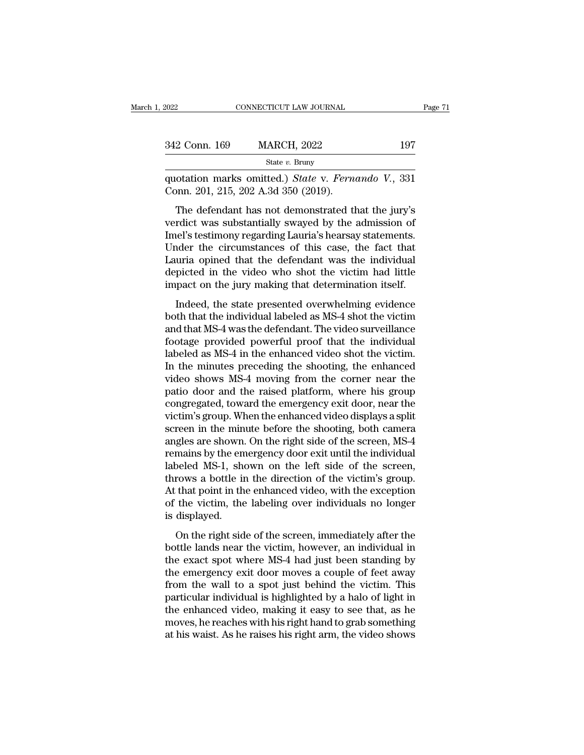| 2022          | CONNECTICUT LAW JOURNAL                                                                                                                                              | Page 71 |
|---------------|----------------------------------------------------------------------------------------------------------------------------------------------------------------------|---------|
|               |                                                                                                                                                                      |         |
| 342 Conn. 169 | <b>MARCH, 2022</b>                                                                                                                                                   | 197     |
|               | State $v$ . Bruny                                                                                                                                                    |         |
|               | quotation marks omitted.) State v. Fernando V., 331<br>Conn. 201, 215, 202 A.3d 350 (2019).                                                                          |         |
|               | The defendant has not demonstrated that the jury's<br>verdict was substantially swayed by the admission of<br>Imol's tostimony rogarding I awia's hoarsay statomonts |         |

342 Conn. 169 MARCH, 2022 197<br>
State v. Bruny<br>
quotation marks omitted.) State v. Fernando V., 331<br>
Conn. 201, 215, 202 A.3d 350 (2019).<br>
The defendant has not demonstrated that the jury's<br>
verdict was substantially swaye State v. Bruny<br>
quotation marks omitted.) State v. Fernando V., 331<br>
Conn. 201, 215, 202 A.3d 350 (2019).<br>
The defendant has not demonstrated that the jury's<br>
verdict was substantially swayed by the admission of<br>
Imel's t quotation marks omitted.) *State* v. *Fernando* V., 331 Conn. 201, 215, 202 A.3d 350 (2019).<br>The defendant has not demonstrated that the jury's verdict was substantially swayed by the admission of Imel's testimony regardin Coloration marks omated.) Battery,  $P$  and  $V$ ,  $\theta$ .  $\theta$ .  $\theta$ .  $\theta$ .  $\theta$ .  $\theta$ .  $\theta$ .  $\theta$ .  $\theta$ .  $\theta$ .  $\theta$ .  $\theta$ .  $\theta$ .  $\theta$ .  $\theta$ .  $\theta$ .  $\theta$ .  $\theta$  are  $\theta$  in  $\theta$  is verdict was substantially swayed by the admiss The defendant has not demonstrated that the jury's<br>verdict was substantially swayed by the admission of<br>Imel's testimony regarding Lauria's hearsay statements.<br>Under the circumstances of this case, the fact that<br>Lauria opi The defendant has not demonstrated that the jury's<br>verdict was substantially swayed by the admission of<br>Imel's testimony regarding Lauria's hearsay statements.<br>Under the circumstances of this case, the fact that<br>Lauria opi rate was sussuariany swayed by the damission of<br>hel's testimony regarding Lauria's hearsay statements.<br>nder the circumstances of this case, the fact that<br>uria opined that the defendant was the individual<br>picted in the vide mers essamony regarang hadras redrisdy statements.<br>
Under the circumstances of this case, the fact that<br>
Lauria opined that the defendant was the individual<br>
depicted in the video who shot the victim had little<br>
impact on

Lauria opined that the defendant was the individual<br>depicted in the video who shot the victim had little<br>impact on the jury making that determination itself.<br>Indeed, the state presented overwhelming evidence<br>both that the Example of the video who shot the victim had little<br>impact on the jury making that determination itself.<br>Indeed, the state presented overwhelming evidence<br>both that the individual labeled as MS-4 shot the victim<br>and that M impact on the jury making that determination itself.<br>Indeed, the state presented overwhelming evidence<br>both that the individual labeled as MS-4 shot the victim<br>and that MS-4 was the defendant. The video surveillance<br>footag Indeed, the state presented overwhelming evidence<br>both that the individual labeled as MS-4 shot the victim<br>and that MS-4 was the defendant. The video surveillance<br>footage provided powerful proof that the individual<br>labeled Indeed, the state presented overwhelming evidence<br>both that the individual labeled as MS-4 shot the victim<br>and that MS-4 was the defendant. The video surveillance<br>footage provided powerful proof that the individual<br>labeled both that the individual labeled as MS-4 shot the victim<br>and that MS-4 was the defendant. The video surveillance<br>footage provided powerful proof that the individual<br>labeled as MS-4 in the enhanced video shot the victim.<br>In and that MS-4 was the defendant. The video surveillance<br>footage provided powerful proof that the individual<br>labeled as MS-4 in the enhanced video shot the victim.<br>In the minutes preceding the shooting, the enhanced<br>video s footage provided powerful proof that the individual<br>labeled as MS-4 in the enhanced video shot the victim.<br>In the minutes preceding the shooting, the enhanced<br>video shows MS-4 moving from the corner near the<br>patio door and labeled as MS-4 in the enhanced video shot the victim.<br>In the minutes preceding the shooting, the enhanced<br>video shows MS-4 moving from the corner near the<br>patio door and the raised platform, where his group<br>congregated, t In the minutes preceding the shooting, the enhanced<br>video shows MS-4 moving from the corner near the<br>patio door and the raised platform, where his group<br>congregated, toward the emergency exit door, near the<br>victim's group. video shows MS-4 moving from the corner near the<br>patio door and the raised platform, where his group<br>congregated, toward the emergency exit door, near the<br>victim's group. When the enhanced video displays a split<br>screen in patio door and the raised platform, where his group<br>congregated, toward the emergency exit door, near the<br>victim's group. When the enhanced video displays a split<br>screen in the minute before the shooting, both camera<br>angle congregated, toward the emergency exit door, near the victim's group. When the enhanced video displays a split screen in the minute before the shooting, both camera angles are shown. On the right side of the screen, MS-4 r victim's group. When the enhanced video displays a split<br>screen in the minute before the shooting, both camera<br>angles are shown. On the right side of the screen, MS-4<br>remains by the emergency door exit until the individual screen in the minute before the shooting, both camera<br>angles are shown. On the right side of the screen, MS-4<br>remains by the emergency door exit until the individual<br>labeled MS-1, shown on the left side of the screen,<br>thro angles are shown.<br>remains by the en<br>labeled MS-1, sho<br>throws a bottle ir<br>At that point in th<br>of the victim, the<br>is displayed.<br>On the right sid beled MS-1, shown on the left side of the screen,<br>rows a bottle in the direction of the victim's group.<br>that point in the enhanced video, with the exception<br>the victim, the labeling over individuals no longer<br>displayed.<br>On bottle lands in the direct state of the seriest,<br>throws a bottle in the direction of the victim's group.<br>At that point in the enhanced video, with the exception<br>of the victim, the labeling over individuals no longer<br>is dis

the exact in the direction of the vietning group.<br>At that point in the enhanced video, with the exception<br>of the victim, the labeling over individuals no longer<br>is displayed.<br>On the right side of the screen, immediately af The dide point in the childred video, what the energy of the victim, the labeling over individuals no longer<br>is displayed.<br>On the right side of the screen, immediately after the<br>bottle lands near the victim, however, an in from the right side of the screen, immediately after the<br>bottle lands near the victim, however, an individual in<br>the exact spot where MS-4 had just been standing by<br>the emergency exit door moves a couple of feet away<br>from by displayed.<br>
On the right side of the screen, immediately after the<br>
bottle lands near the victim, however, an individual in<br>
the exact spot where MS-4 had just been standing by<br>
the emergency exit door moves a couple of On the right side of the screen, immediately after the<br>bottle lands near the victim, however, an individual in<br>the exact spot where MS-4 had just been standing by<br>the emergency exit door moves a couple of feet away<br>from th bottle lands near the victim, however, an individual in<br>the exact spot where MS-4 had just been standing by<br>the emergency exit door moves a couple of feet away<br>from the wall to a spot just behind the victim. This<br>particula the exact spot where MS-4 had just been standing by<br>the emergency exit door moves a couple of feet away<br>from the wall to a spot just behind the victim. This<br>particular individual is highlighted by a halo of light in<br>the en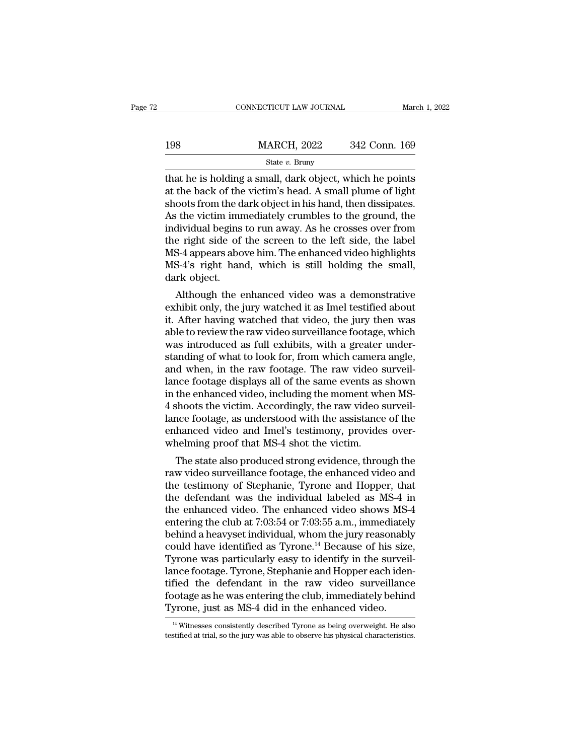|     | CONNECTICUT LAW JOURNAL                                                                                                                                                         | March 1, 2022 |
|-----|---------------------------------------------------------------------------------------------------------------------------------------------------------------------------------|---------------|
| 198 | <b>MARCH, 2022</b>                                                                                                                                                              | 342 Conn. 169 |
|     | State $v$ . Bruny                                                                                                                                                               |               |
|     | that he is holding a small, dark object, which he points<br>at the back of the victim's head. A small plume of light<br>choots from the dark object in his hand then dissinates |               |

198 MARCH, 2022 342 Conn. 169<br>
State v. Bruny<br>
that he is holding a small, dark object, which he points<br>
at the back of the victim's head. A small plume of light<br>
shoots from the dark object in his hand, then dissipates.<br> 198 MARCH, 2022 342 Conn. 169<br>
State v. Bruny<br>
that he is holding a small, dark object, which he points<br>
at the back of the victim's head. A small plume of light<br>
shoots from the dark object in his hand, then dissipates.<br> MARCH, 2022 342 Conn. 169<br>
State v. Bruny<br>
State v. Bruny<br>
that he is holding a small, dark object, which he points<br>
at the back of the victim's head. A small plume of light<br>
shoots from the dark object in his hand, then State v. Bruny<br>
State v. Bruny<br>
that he is holding a small, dark object, which he points<br>
at the back of the victim's head. A small plume of light<br>
shoots from the dark object in his hand, then dissipates.<br>
As the victim state v. Bruny<br>that he is holding a small, dark object, which he points<br>at the back of the victim's head. A small plume of light<br>shoots from the dark object in his hand, then dissipates.<br>As the victim immediately crumbles that he is holding a small, dark object, which he points<br>at the back of the victim's head. A small plume of light<br>shoots from the dark object in his hand, then dissipates.<br>As the victim immediately crumbles to the ground, at the back of the victim's head. A small plume of light<br>shoots from the dark object in his hand, then dissipates.<br>As the victim immediately crumbles to the ground, the<br>individual begins to run away. As he crosses over fro shoots from the d<br>As the victim imr<br>individual begins<br>the right side of<br>MS-4 appears abo<br>MS-4's right han<br>dark object.<br>Although the  $\epsilon$ Figure 1.1 The enhanced video was a demonstrative hibit only, the jury watched that video the light solve him. The enhanced video highlights S-4's right hand, which is still holding the small, rk object.<br>Although the enhan murviqual begins to run away. As he crosses over front<br>the right side of the screen to the left side, the label<br>MS-4's right hand, which is still holding the small,<br>dark object.<br>Although the enhanced video was a demonstrat

the right side of the screen to the left side, the laber<br>MS-4 appears above him. The enhanced video highlights<br>MS-4's right hand, which is still holding the small,<br>dark object.<br>Although the enhanced video was a demonstrati MS-4 appears above film. The emranced video highlights<br>MS-4's right hand, which is still holding the small,<br>dark object.<br>Although the enhanced video was a demonstrative<br>exhibit only, the jury watched it as Imel testified a MS-4's right hand, which is sun holding the shian,<br>dark object.<br>Although the enhanced video was a demonstrative<br>exhibit only, the jury watched it as Imel testified about<br>it. After having watched that video, the jury then w dark object.<br>Although the enhanced video was a demonstrative<br>exhibit only, the jury watched it as Imel testified about<br>it. After having watched that video, the jury then was<br>able to review the raw video surveillance footag Although the enhanced video was a demonstrative<br>exhibit only, the jury watched it as Imel testified about<br>it. After having watched that video, the jury then was<br>able to review the raw video surveillance footage, which<br>was exhibit only, the jury watched it as Imel testified about<br>it. After having watched that video, the jury then was<br>able to review the raw video surveillance footage, which<br>was introduced as full exhibits, with a greater unde it. After having watched that video, the jury then was<br>able to review the raw video surveillance footage, which<br>was introduced as full exhibits, with a greater under-<br>standing of what to look for, from which camera angle,<br> able to review the raw video surveillance footage, which<br>was introduced as full exhibits, with a greater under-<br>standing of what to look for, from which camera angle,<br>and when, in the raw footage. The raw video surveil-<br>la was introduced as full exhibits, with a greater under-<br>standing of what to look for, from which camera angle,<br>and when, in the raw footage. The raw video surveil-<br>lance footage displays all of the same events as shown<br>in t standing of what to look for, from which camera angle, and when, in the raw footage. The raw video surveillance footage displays all of the same events as shown in the enhanced video, including the moment when MS-4 shoots and when, in the raw footage. The raw video s<br>lance footage displays all of the same events as<br>in the enhanced video, including the moment wh<br>4 shoots the victim. Accordingly, the raw video s<br>lance footage, as understood w the enhanced video, including the moment when MS-<br>shoots the victim. Accordingly, the raw video surveil-<br>nce footage, as understood with the assistance of the<br>hanced video and Imel's testimony, provides over-<br>nelming proof In the emlanced video, including the moment when MS-4 shoots the victim. Accordingly, the raw video surveillance footage, as understood with the assistance of the enhanced video and Imel's testimony, provides overwhelming

4 shoots the victint. Accordingly, the raw video surven-<br>lance footage, as understood with the assistance of the<br>enhanced video and Imel's testimony, provides over-<br>whelming proof that MS-4 shot the victim.<br>The state also rance rootage, as understood with the assistance of the<br>enhanced video and Imel's testimony, provides over-<br>whelming proof that MS-4 shot the victim.<br>The state also produced strong evidence, through the<br>raw video surveill enhanced video and liner's testimony, provides over-<br>whelming proof that MS-4 shot the victim.<br>The state also produced strong evidence, through the<br>raw video surveillance footage, the enhanced video and<br>the testimony of St Whenhing proof that MS-4 shot the victim.<br>
The state also produced strong evidence, through the<br>
raw video surveillance footage, the enhanced video and<br>
the testimony of Stephanie, Tyrone and Hopper, that<br>
the defendant w The state also produced strong evidence, through the<br>raw video surveillance footage, the enhanced video and<br>the testimony of Stephanie, Tyrone and Hopper, that<br>the defendant was the individual labeled as MS-4 in<br>the enhanc raw video surveillance footage, the enhanced video and<br>the testimony of Stephanie, Tyrone and Hopper, that<br>the defendant was the individual labeled as MS-4 in<br>the enhanced video. The enhanced video shows MS-4<br>entering the the testimony of Stephanie, Tyrone and Hopper, that<br>the defendant was the individual labeled as MS-4 in<br>the enhanced video. The enhanced video shows MS-4<br>entering the club at 7:03:54 or 7:03:55 a.m., immediately<br>behind a h the defendant was the individual labeled as MS-4 in<br>the enhanced video. The enhanced video shows MS-4<br>entering the club at 7:03:54 or 7:03:55 a.m., immediately<br>behind a heavyset individual, whom the jury reasonably<br>could h the enhanced video. The enhanced video shows MS-4<br>entering the club at 7:03:54 or 7:03:55 a.m., immediately<br>behind a heavyset individual, whom the jury reasonably<br>could have identified as Tyrone.<sup>14</sup> Because of his size,<br>T entering the club at 7:03:54 or 7:03:55 a.m., immediately<br>behind a heavyset individual, whom the jury reasonably<br>could have identified as Tyrone.<sup>14</sup> Because of his size,<br>Tyrone was particularly easy to identify in the sur behind a heavyset individual, whom the jury reasonabl<br>could have identified as Tyrone.<sup>14</sup> Because of his size<br>Tyrone was particularly easy to identify in the survei<br>lance footage. Tyrone, Stephanie and Hopper each ider<br>ti nce footage. Tyrone, Stephanie and Hopper each iden-<br>fied the defendant in the raw video surveillance<br>ootage as he was entering the club, immediately behind<br>yrone, just as MS-4 did in the enhanced video.<br><sup>14</sup> Witnesses con tified the defendant in the raw video surveillance<br>footage as he was entering the club, immediately behind<br>Tyrone, just as MS-4 did in the enhanced video.<br> $\frac{14 \text{ W} }{4 \text{ W} }$  Witnesses consistently described Tyrone as b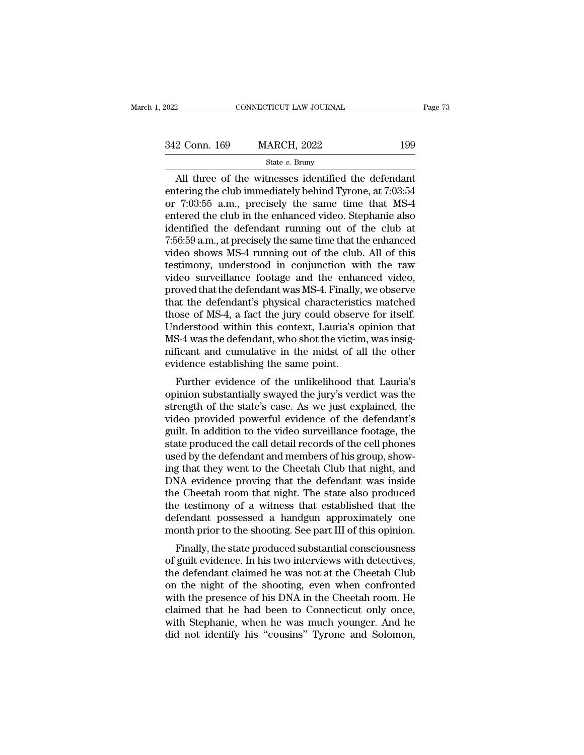| 2022          | CONNECTICUT LAW JOURNAL |     | Page 73 |
|---------------|-------------------------|-----|---------|
|               |                         |     |         |
| 342 Conn. 169 | <b>MARCH, 2022</b>      | 199 |         |
|               | State $v$ . Bruny       |     |         |

Eq.  $\frac{P_{\text{age}} \cdot 78}{2 \text{ Conn. } 169}$  MARCH, 2022 199<br>
State v. Bruny<br>
All three of the witnesses identified the defendant<br>
tering the club immediately behind Tyrone, at 7:03:54<br>
T:03:55.3 m. procisely, the same time that MS 342 Conn. 169 MARCH, 2022 199<br>
State v. Bruny<br>
All three of the witnesses identified the defendant<br>
entering the club immediately behind Tyrone, at 7:03:54<br>
or 7:03:55 a.m., precisely the same time that MS-4<br>
entered the 342 Conn. 169 MARCH, 2022 199<br>
State v. Bruny<br>
All three of the witnesses identified the defendant<br>
entering the club immediately behind Tyrone, at 7:03:54<br>
or 7:03:55 a.m., precisely the same time that MS-4<br>
entered the 342 Conn. 169 MARCH, 2022 199<br>
State v. Bruny<br>
All three of the witnesses identified the defendant<br>
entering the club immediately behind Tyrone, at 7:03:54<br>
or 7:03:55 a.m., precisely the same time that MS-4<br>
entered the Since 1981 and 1992 and 1992 and 1992 and 1993 and the club immediately behind Tyrone, at 7:03:54<br>or 7:03:55 a.m., precisely the same time that MS-4<br>entered the club in the enhanced video. Stephanie also<br>identified the de State v. Bruny<br>
All three of the witnesses identified the defendant<br>
entering the club immediately behind Tyrone, at 7:03:54<br>
or 7:03:55 a.m., precisely the same time that MS-4<br>
entered the club in the enhanced video. Ste All three of the witnesses identified the defendant<br>entering the club immediately behind Tyrone, at 7:03:54<br>or 7:03:55 a.m., precisely the same time that MS-4<br>entered the club in the enhanced video. Stephanie also<br>identifi entering the club immediately behind Tyrone, at 7:03:54<br>or 7:03:55 a.m., precisely the same time that MS-4<br>entered the club in the enhanced video. Stephanie also<br>identified the defendant running out of the club at<br>7:56:59 or 7:03:55 a.m., precisely the same time that MS-4<br>entered the club in the enhanced video. Stephanie also<br>identified the defendant running out of the club at<br>7:56:59 a.m., at precisely the same time that the enhanced<br>video entered the club in the enhanced video. Stephanie also<br>identified the defendant running out of the club at<br>7:56:59 a.m., at precisely the same time that the enhanced<br>video shows MS-4 running out of the club. All of this<br>te identified the defendant running out of the club at 7:56:59 a.m., at precisely the same time that the enhanced<br>video shows MS-4 running out of the club. All of this<br>testimony, understood in conjunction with the raw<br>video s 7:56:59 a.m., at precisely the same time that the enhanced<br>video shows MS-4 running out of the club. All of this<br>testimony, understood in conjunction with the raw<br>video surveillance footage and the enhanced video,<br>proved t video shows MS-4 running out of the club. All of this<br>testimony, understood in conjunction with the raw<br>video surveillance footage and the enhanced video,<br>proved that the defendant was MS-4. Finally, we observe<br>that the de testimony, understood in conjunction with the raw<br>video surveillance footage and the enhanced video,<br>proved that the defendant was MS-4. Finally, we observe<br>that the defendant's physical characteristics matched<br>those of MS video surveillance footage and the enhanced video,<br>proved that the defendant was MS-4. Finally, we observe<br>that the defendant's physical characteristics matched<br>those of MS-4, a fact the jury could observe for itself.<br>Unde proved that the defendant was MS-4. Finally,<br>that the defendant's physical characteristi<br>those of MS-4, a fact the jury could observ<br>Understood within this context, Lauria's c<br>MS-4 was the defendant, who shot the victin<br>ni at the detendant's physical characteristics matched<br>ose of MS-4, a fact the jury could observe for itself.<br>Inderstood within this context, Lauria's opinion that<br>S-4 was the defendant, who shot the victim, was insig-<br>ficant diose of MS-4, a fact the jury could observe for fisen.<br>Understood within this context, Lauria's opinion that<br>MS-4 was the defendant, who shot the victim, was insig-<br>nificant and cumulative in the midst of all the other<br>ev

Enderstood whill this collext, Lauria's opinformulation<br>MS-4 was the defendant, who shot the victim, was insignificant and cumulative in the midst of all the other<br>evidence establishing the same point.<br>Further evidence of wis-4 was the defendant, who shot the victim, was insignificant and cumulative in the midst of all the other<br>evidence establishing the same point.<br>Further evidence of the unlikelihood that Lauria's<br>opinion substantially sw Further evidence establishing the same point.<br>Further evidence of the unlikelihood that Lauria's<br>opinion substantially swayed the jury's verdict was the<br>strength of the state's case. As we just explained, the<br>video provide Further evidence of the unlikelihood that Lauria's<br>opinion substantially swayed the jury's verdict was the<br>strength of the state's case. As we just explained, the<br>video provided powerful evidence of the defendant's<br>guilt. Further evidence of the unlikelihood that Lauria's<br>opinion substantially swayed the jury's verdict was the<br>strength of the state's case. As we just explained, the<br>video provided powerful evidence of the defendant's<br>guilt. opinion substantially swayed the jury's verdict was the<br>strength of the state's case. As we just explained, the<br>video provided powerful evidence of the defendant's<br>guilt. In addition to the video surveillance footage, the<br> strength of the state's case. As we just explained, the video provided powerful evidence of the defendant's guilt. In addition to the video surveillance footage, the state produced the call detail records of the cell phone video provided powerful evidence of the defendant's<br>guilt. In addition to the video surveillance footage, the<br>state produced the call detail records of the cell phones<br>used by the defendant and members of his group, show-<br> guilt. In addition to the video surveillance footage, the<br>state produced the call detail records of the cell phones<br>used by the defendant and members of his group, show-<br>ing that they went to the Cheetah Club that night, a state produced the call detail records of the cell phones<br>used by the defendant and members of his group, show-<br>ing that they went to the Cheetah Club that night, and<br>DNA evidence proving that the defendant was inside<br>the used by the defendant and members of his group, showing that they went to the Cheetah Club that night, and DNA evidence proving that the defendant was inside the Cheetah room that night. The state also produced the testimo Finally, the state produced substantial consciousness<br>and produced substantial common that night. The state also produced<br>te testimony of a witness that established that the<br>fendant possessed a handgun approximately one<br>on DNA evidence proving that the defendant was filsted<br>the Cheetah room that night. The state also produced<br>the testimony of a witness that established that the<br>defendant possessed a handgun approximately one<br>month prior to t

the testimony of a witness that established that the<br>defendant possessed a handgun approximately one<br>month prior to the shooting. See part III of this opinion.<br>Finally, the state produced substantial consciousness<br>of guilt the testimoly of a whitess that established that the<br>defendant possessed a handgun approximately one<br>month prior to the shooting. See part III of this opinion.<br>Finally, the state produced substantial consciousness<br>of guilt werendant possessed a nandgun approximately one<br>month prior to the shooting. See part III of this opinion.<br>Finally, the state produced substantial consciousness<br>of guilt evidence. In his two interviews with detectives,<br>the Finally, the state produced substantial consciousness<br>of guilt evidence. In his two interviews with detectives,<br>the defendant claimed he was not at the Cheetah Club<br>on the night of the shooting, even when confronted<br>with t Finally, the state produced substantial consciousness<br>of guilt evidence. In his two interviews with detectives,<br>the defendant claimed he was not at the Cheetah Club<br>on the night of the shooting, even when confronted<br>with t of guilt evidence. In his two interviews with detectives,<br>the defendant claimed he was not at the Cheetah Club<br>on the night of the shooting, even when confronted<br>with the presence of his DNA in the Cheetah room. He<br>claimed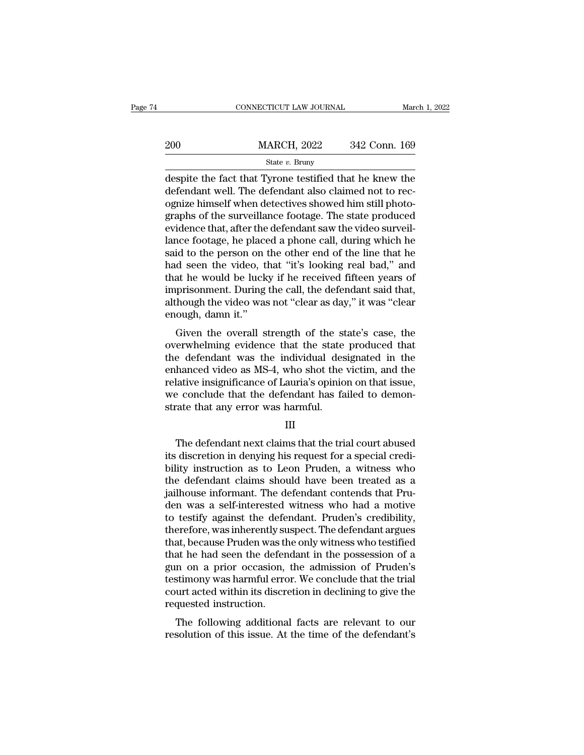|     | CONNECTICUT LAW JOURNAL                                                                                                                                                    | March 1, 2022 |
|-----|----------------------------------------------------------------------------------------------------------------------------------------------------------------------------|---------------|
| 200 | <b>MARCH, 2022</b>                                                                                                                                                         | 342 Conn. 169 |
|     | State $v$ . Bruny                                                                                                                                                          |               |
|     | despite the fact that Tyrone testified that he knew the<br>defendant well. The defendant also claimed not to rec-<br>ognize himself when detectives showed him still photo |               |

 $\begin{array}{ll}\n & \text{MARCH, 2022} & \text{342 Conn. 169} \\
 \text{State } v. \text{ Bruny} \\
 \text{despite the fact that Tyrone testified that he knew the defendant well. The defendant also claimed not to recognize himself when detectives showed him still photo-  
graphs of the survivalance foot490. The state produced\n$  $\frac{\text{MARCH}}{\text{H}_{\text{other}}}$  and  $\frac{\text{State } v. \text{ Bruny}}{\text{H}_{\text{other}}}$ <br>
despite the fact that Tyrone testified that he knew the<br>
defendant well. The defendant also claimed not to rec-<br>
ognize himself when detectives showed him still phot  $\begin{array}{ll}\n 200 & \text{MARCH, } 2022 & 342 \text{ Conn. } 169 \\
 \hline\n \text{State } v. \text{ Bruny} \\
 \text{despite the fact that Tyrone testified that he knew the defendant well. The defendant also claimed not to rec-  
ognize himself when detectives showed him still photo-  
graphs of the surveillance footage. The state produced  
evidence that, after the defendant saw the video surveillance  
lence footage, he placed a phone call during which be\n\end{array}$ State v. Bruny<br>
State v. Bruny<br>
despite the fact that Tyrone testified that he knew the<br>
defendant well. The defendant also claimed not to rec-<br>
ognize himself when detectives showed him still photo-<br>
graphs of the survei state v. Bruny<br>despite the fact that Tyrone testified that he knew the<br>defendant well. The defendant also claimed not to rec-<br>ognize himself when detectives showed him still photo-<br>graphs of the surveillance footage. The despite the fact that Tyrone testified that he knew the<br>defendant well. The defendant also claimed not to rec-<br>ognize himself when detectives showed him still photo-<br>graphs of the surveillance footage. The state produced<br>e defendant well. The defendant also claimed not to rec-<br>ognize himself when detectives showed him still photo-<br>graphs of the surveillance footage. The state produced<br>evidence that, after the defendant saw the video surveilognize himself when detectives showed him still photographs of the surveillance footage. The state produced evidence that, after the defendant saw the video surveillance footage, he placed a phone call, during which he sai graphs of the surveillance footage. The state produced<br>evidence that, after the defendant saw the video surveil-<br>lance footage, he placed a phone call, during which he<br>said to the person on the other end of the line that h evidence that, after the defendant saw the video surveil-<br>lance footage, he placed a phone call, during which he<br>said to the person on the other end of the line that he<br>had seen the video, that "it's looking real bad," and lance footage, he placed a phone call, during which he said to the person on the other end of the line that he had seen the video, that "it's looking real bad," and that he would be lucky if he received fifteen years of i In the overall strength of the state's case, the error of the overall strength of the would be lucky if he received fifteen years of prisonment. During the call, the defendant said that, hough the video was not "clear as d That seen the video, that it's looking real bad, and<br>that he would be lucky if he received fifteen years of<br>imprisonment. During the call, the defendant said that,<br>although the video was not "clear as day," it was "clear<br>

that he would be hicky if he received inteent years of<br>imprisonment. During the call, the defendant said that,<br>although the video was not "clear as day," it was "clear<br>enough, damn it."<br>Given the overall strength of the st miprisonment. During the can, the defendant said that,<br>although the video was not "clear as day," it was "clear<br>enough, damn it."<br>Given the overall strength of the state's case, the<br>overwhelming evidence that the state pro antiough the video was not clear as uay, it was clear<br>enough, damn it."<br>Given the overall strength of the state's case, the<br>overwhelming evidence that the state produced that<br>the defendant was the individual designated in Given the overall strength of the state's case, the<br>overwhelming evidence that the state produced that<br>the defendant was the individual designated in the<br>enhanced video as MS-4, who shot the victim, and the<br>relative insign Given the overall strength of the state<br>overwhelming evidence that the state<br>the defendant was the individual des<br>enhanced video as MS-4, who shot the<br>relative insignificance of Lauria's opinio<br>we conclude that the defenda hanced video as MS-4, who shot the victim, and the<br>lative insignificance of Lauria's opinion on that issue,<br>e conclude that the defendant has failed to demon-<br>rate that any error was harmful.<br>III<br>The defendant next claims

#### III

relative insignificance of Lauria's opinion on that issue,<br>we conclude that the defendant has failed to demon-<br>strate that any error was harmful.<br>III<br>III<br>The defendant next claims that the trial court abused<br>its discretion we conclude that the defendant has failed to demonstrate that any error was harmful.<br>
III<br>
The defendant next claims that the trial court abused<br>
its discretion in denying his request for a special credi-<br>
bility instructi strate that any error was harmful.<br>
III<br>
The defendant next claims that the trial court abused<br>
its discretion in denying his request for a special credi-<br>
bility instruction as to Leon Pruden, a witness who<br>
the defendant III<br>The defendant next claims that the trial court abused<br>its discretion in denying his request for a special credi-<br>bility instruction as to Leon Pruden, a witness who<br>the defendant claims should have been treated as a<br>ja The defendant next claims that the trial court abused<br>its discretion in denying his request for a special credi-<br>bility instruction as to Leon Pruden, a witness who<br>the defendant claims should have been treated as a<br>jailho The defendant next claims that the trial court abused<br>its discretion in denying his request for a special credi-<br>bility instruction as to Leon Pruden, a witness who<br>the defendant claims should have been treated as a<br>jailho its discretion in denying his request for a special credi-<br>bility instruction as to Leon Pruden, a witness who<br>the defendant claims should have been treated as a<br>jailhouse informant. The defendant contends that Pru-<br>den wa bility instruction as to Leon Pruden, a witness who<br>the defendant claims should have been treated as a<br>jailhouse informant. The defendant contends that Pru-<br>den was a self-interested witness who had a motive<br>to testify aga the defendant claims should have been treated as a<br>jailhouse informant. The defendant contends that Pru-<br>den was a self-interested witness who had a motive<br>to testify against the defendant. Pruden's credibility,<br>therefore, jailhouse informant. The defendant contends that Pru-<br>den was a self-interested witness who had a motive<br>to testify against the defendant. Pruden's credibility,<br>therefore, was inherently suspect. The defendant argues<br>that, den was a self-interested witness who had a motive<br>to testify against the defendant. Pruden's credibility,<br>therefore, was inherently suspect. The defendant argues<br>that, because Pruden was the only witness who testified<br>tha to testify against the defendant. Pruden's credibility,<br>therefore, was inherently suspect. The defendant argues<br>that, because Pruden was the only witness who testified<br>that he had seen the defendant in the possession of a<br> therefore, was inherently su<br>that, because Pruden was th<br>that he had seen the defen<br>gun on a prior occasion,<br>testimony was harmful erro<br>court acted within its discre<br>requested instruction.<br>The following additiona at, because I ruden was the only whitess who testhied<br>at he had seen the defendant in the possession of a<br>n on a prior occasion, the admission of Pruden's<br>stimony was harmful error. We conclude that the trial<br>urt acted wit resolution of this issue. At the time of the defendant of Pruden's<br>testimony was harmful error. We conclude that the trial<br>court acted within its discretion in declining to give the<br>requested instruction.<br>The following add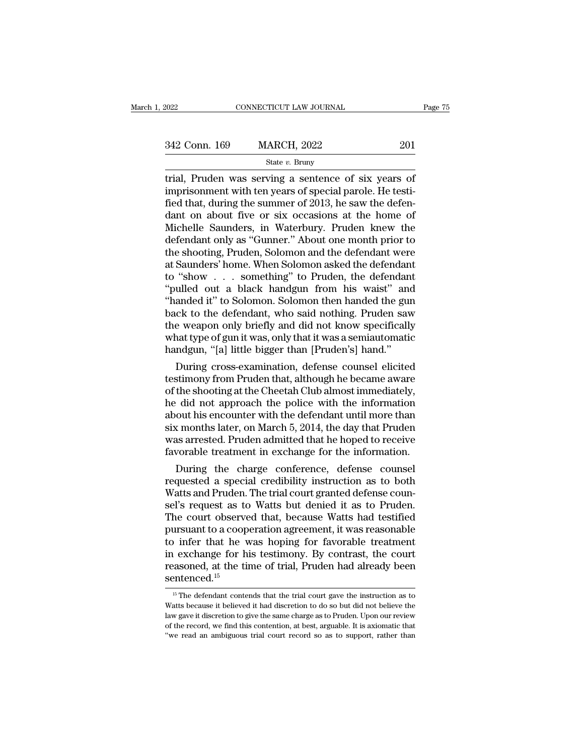| 2022          | CONNECTICUT LAW JOURNAL | Page 75 |  |
|---------------|-------------------------|---------|--|
| 342 Conn. 169 | <b>MARCH, 2022</b>      | 201     |  |
|               | State $v$ . Bruny       |         |  |

### State *v.* Bruny

Figure 2022<br>
The CONNECTICUT LAW JOURNAL Page 7:<br>  $\frac{342 \text{ Conn. } 169}{\text{State } v. \text{ Bruny}}$ <br>
Trial, Pruden was serving a sentence of six years of<br>
imprisonment with ten years of special parole. He testi-<br>
fied that during the summ 342 Conn. 169 MARCH, 2022 201<br>
State v. Bruny<br>
trial, Pruden was serving a sentence of six years of<br>
imprisonment with ten years of special parole. He testi-<br>
fied that, during the summer of 2013, he saw the defen-<br>
dant 342 Conn. 169 MARCH, 2022 201<br>
State v. Bruny<br>
trial, Pruden was serving a sentence of six years of<br>
imprisonment with ten years of special parole. He testi-<br>
fied that, during the summer of 2013, he saw the defen-<br>
dant 342 Conn. 169 MARCH, 2022 201<br>
State v. Bruny<br>
trial, Pruden was serving a sentence of six years of<br>
imprisonment with ten years of special parole. He testi-<br>
fied that, during the summer of 2013, he saw the defen-<br>
dant SET COMM 100 MILINOTI, 2022<br>
State v. Bruny<br>
Trial, Pruden was serving a sentence of six years of<br>
imprisonment with ten years of special parole. He testi-<br>
fied that, during the summer of 2013, he saw the defen-<br>
dant on State v. Bruny<br>
trial, Pruden was serving a sentence of six years of<br>
imprisonment with ten years of special parole. He testi-<br>
fied that, during the summer of 2013, he saw the defen-<br>
dant on about five or six occasions trial, Pruden was serving a sentence of six years of<br>imprisonment with ten years of special parole. He testi-<br>fied that, during the summer of 2013, he saw the defen-<br>dant on about five or six occasions at the home of<br>Miche imprisonment with ten years of special parole. He testi-<br>fied that, during the summer of 2013, he saw the defendant on about five or six occasions at the home of<br>Michelle Saunders, in Waterbury. Pruden knew the<br>defendant o fied that, during the summer of 2013, he saw the defendant on about five or six occasions at the home of Michelle Saunders, in Waterbury. Pruden knew the defendant only as "Gunner." About one month prior to the shooting, P dant on about five or six occasions at the home of<br>Michelle Saunders, in Waterbury. Pruden knew the<br>defendant only as "Gunner." About one month prior to<br>the shooting, Pruden, Solomon and the defendant were<br>at Saunders' hom Michelle Saunders, in Waterbury. Pruden knew the<br>defendant only as "Gunner." About one month prior to<br>the shooting, Pruden, Solomon and the defendant were<br>at Saunders' home. When Solomon asked the defendant<br>to "show . . . defendant only as "Gunner." About one month prior to<br>the shooting, Pruden, Solomon and the defendant were<br>at Saunders' home. When Solomon asked the defendant<br>to "show . . . something" to Pruden, the defendant<br>"pulled out a the shooting, Pruden, Solomon and the defendant were<br>at Saunders' home. When Solomon asked the defendant<br>to "show . . . something" to Pruden, the defendant<br>"pulled out a black handgun from his waist" and<br>"handed it" to Sol at Saunders' home. When Solomon asked the defendant<br>to "show . . . something" to Pruden, the defendant<br>"pulled out a black handgun from his waist" and<br>"handed it" to Solomon. Solomon then handed the gun<br>back to the defenda to "show . . . something" to Pruden, the defendant<br>"pulled out a black handgun from his waist" and<br>"handed it" to Solomon. Solomon then handed the gun<br>back to the defendant, who said nothing. Pruden saw<br>the weapon only bri ulled out a black handgun from his waist" and<br>anded it" to Solomon. Solomon then handed the gun<br>ck to the defendant, who said nothing. Pruden saw<br>e weapon only briefly and did not know specifically<br>nat type of gun it was, "nanded it" to Solomon. Solomon then handed the gun<br>back to the defendant, who said nothing. Pruden saw<br>the weapon only briefly and did not know specifically<br>what type of gun it was, only that it was a semiautomatic<br>handgu

back to the defendant, who said nothing. Pruden saw<br>the weapon only briefly and did not know specifically<br>what type of gun it was, only that it was a semiautomatic<br>handgun, "[a] little bigger than [Pruden's] hand."<br>During the weapon only briefly and did not know specifically<br>what type of gun it was, only that it was a semiautomatic<br>handgun, "[a] little bigger than [Pruden's] hand."<br>During cross-examination, defense counsel elicited<br>testimon what type of gun it was, only that it was a semiautomatic<br>handgun, "[a] little bigger than [Pruden's] hand."<br>During cross-examination, defense counsel elicited<br>testimony from Pruden that, although he became aware<br>of the sh handgun, "[a] little bigger than [Pruden's] hand."<br>During cross-examination, defense counsel elicited<br>testimony from Pruden that, although he became aware<br>of the shooting at the Cheetah Club almost immediately,<br>he did not During cross-examination, defense counsel elicited<br>testimony from Pruden that, although he became aware<br>of the shooting at the Cheetah Club almost immediately,<br>he did not approach the police with the information<br>about his testimony from Pruden that, although he became aware<br>of the shooting at the Cheetah Club almost immediately,<br>he did not approach the police with the information<br>about his encounter with the defendant until more than<br>six mo the shooting at the Cheetah Club almost immediately,<br>
did not approach the police with the information<br>
out his encounter with the defendant until more than<br>
x months later, on March 5, 2014, the day that Pruden<br>
as arrest requested a special credibility instruction as to both was arrested. Pruden admitted that he hoped to receive favorable treatment in exchange for the information.<br>During the charge conference, defense counsel requested a s

about his encounter with the detendant until more than<br>six months later, on March 5, 2014, the day that Pruden<br>was arrested. Pruden admitted that he hoped to receive<br>favorable treatment in exchange for the information.<br>Dur six months later, on March 5, 2014, the day that Pruden<br>was arrested. Pruden admitted that he hoped to receive<br>favorable treatment in exchange for the information.<br>During the charge conference, defense counsel<br>requested a was arrested. Pruden admitted that he hoped to receive<br>favorable treatment in exchange for the information.<br>During the charge conference, defense counsel<br>requested a special credibility instruction as to both<br>Watts and Pru ravorable treatment in exchange for the information.<br>
During the charge conference, defense counsel<br>
requested a special credibility instruction as to both<br>
Watts and Pruden. The trial court granted defense counsel's reque During the charge conference, defense counsel<br>requested a special credibility instruction as to both<br>Watts and Pruden. The trial court granted defense coun-<br>sel's request as to Watts but denied it as to Pruden.<br>The court o requested a special credibility instruction as to both<br>Watts and Pruden. The trial court granted defense coun-<br>sel's request as to Watts but denied it as to Pruden.<br>The court observed that, because Watts had testified<br>purs Watts and Pruden. The trial court granted defense counsel's request as to Watts but denied it as to Pruden.<br>The court observed that, because Watts had testified<br>pursuant to a cooperation agreement, it was reasonable<br>to inf sentenced.<sup>15</sup> 1) infer that he was hoping for favorable treatment<br>
1 exchange for his testimony. By contrast, the court<br>
assoned, at the time of trial, Pruden had already been<br>  $\frac{15}{15}$  The defendant contends that the trial court ga in exchange for his testimony. By contrast, the court reasoned, at the time of trial, Pruden had already been sentenced.<sup>15</sup><br> $\frac{15}{15}$  The defendant contends that the trial court gave the instruction as to Watts because

reasoned, at the time of trial, Pruden had already been<br>sentenced.<sup>15</sup><br><sup>15</sup> The defendant contends that the trial court gave the instruction as to<br>Watts because it believed it had discretion to do so but did not believe th **Sentenced.**<sup>15</sup><br>
<sup>15</sup> The defendant contends that the trial court gave the instruction as to<br>
Watts because it believed it had discretion to do so but did not believe the<br>
law gave it discretion to give the same charge a <sup>15</sup> The defendant contends that the trial court gave the instruction as to Watts because it believed it had discretion to do so but did not believe the law gave it discretion to give the same charge as to Pruden. Upon ou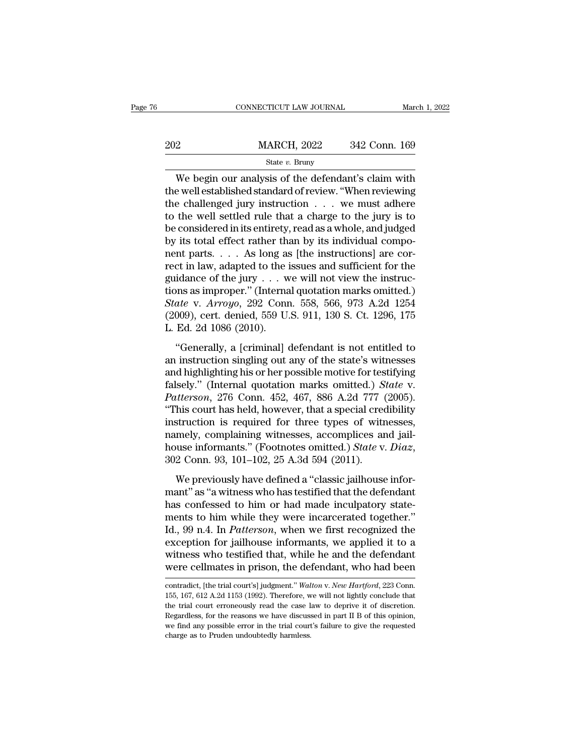|     | CONNECTICUT LAW JOURNAL | March 1, 2022 |
|-----|-------------------------|---------------|
| 202 | <b>MARCH, 2022</b>      | 342 Conn. 169 |
|     | State $v$ . Bruny       |               |

We begin our analysis of the defendant's claim with 202 MARCH, 2022 342 Conn. 169<br>
State v. Bruny<br>
We begin our analysis of the defendant's claim with<br>
the well established standard of review. "When reviewing<br>
the challenged jury instruction . . . we must adhere<br>
to the we 202 MARCH, 2022 342 Conn. 169<br>
State v. Bruny<br>
We begin our analysis of the defendant's claim with<br>
the well established standard of review. "When reviewing<br>
the challenged jury instruction . . . we must adhere<br>
to the we 202 MARCH, 2022 342 Conn. 169<br>
State v. Bruny<br>
We begin our analysis of the defendant's claim with<br>
the well established standard of review. "When reviewing<br>
the challenged jury instruction . . . we must adhere<br>
to the we State v. Bruny<br>
State v. Bruny<br>
We begin our analysis of the defendant's claim with<br>
the well established standard of review. "When reviewing<br>
the challenged jury instruction . . . we must adhere<br>
to the well settled rule State *v*. Bruny<br>We begin our analysis of the defendant's claim with<br>the well established standard of review. "When reviewing<br>the challenged jury instruction  $\ldots$  we must adhere<br>to the well settled rule that a charge to We begin our analysis of the defendant's claim with<br>the well established standard of review. "When reviewing<br>the challenged jury instruction  $\ldots$  we must adhere<br>to the well settled rule that a charge to the jury is to<br>be the well established standard of review. "When reviewing<br>the challenged jury instruction  $\ldots$  we must adhere<br>to the well settled rule that a charge to the jury is to<br>be considered in its entirety, read as a whole, and ju the challenged jury instruction . . . we must adhere<br>to the well settled rule that a charge to the jury is to<br>be considered in its entirety, read as a whole, and judged<br>by its total effect rather than by its individual co to the well settled rule that a charge to the jury is to<br>be considered in its entirety, read as a whole, and judged<br>by its total effect rather than by its individual compo-<br>nent parts.... As long as [the instructions] are be considered in its entirety, read as a whole, and judged<br>by its total effect rather than by its individual compo-<br>nent parts. . . . As long as [the instructions] are cor-<br>rect in law, adapted to the issues and sufficient by its total effect rather than by its individual component parts. . . . As long as [the instructions] are correct in law, adapted to the issues and sufficient for the guidance of the jury . . . we will not view the instr nent parts. . . . As long as<br>rect in law, adapted to the i<br>guidance of the jury . . . w<br>tions as improper." (Interna<br>*State* v. *Arroyo*, 292 Conr<br>(2009), cert. denied, 559 U.<br>L. Ed. 2d 1086 (2010).<br>"Generally, a [crimina idance of the jury  $\ldots$  we will not view the instructions as improper." (Internal quotation marks omitted.)<br>
ate v. Arroyo, 292 Conn. 558, 566, 973 A.2d 1254<br>
009), cert. denied, 559 U.S. 911, 130 S. Ct. 1296, 175<br>
Ed. 2 gandance of are  $j_0$ ,  $j_1$ ,  $k_2$ , we win not view are instate<br>tions as improper." (Internal quotation marks omitted.)<br>State v. Arroyo, 292 Conn. 558, 566, 973 A.2d 1254<br>(2009), cert. denied, 559 U.S. 911, 130 S. Ct. 12

State v. Arroyo, 292 Conn. 558, 566, 973 A.2d 1254<br>(2009), cert. denied, 559 U.S. 911, 130 S. Ct. 1296, 175<br>L. Ed. 2d 1086 (2010).<br>"Generally, a [criminal] defendant is not entitled to<br>an instruction singling out any of t Falsely. Throgg, 282 comit 559, 369, 369, 369, 125 1<br>(2009), cert. denied, 559 U.S. 911, 130 S. Ct. 1296, 175<br>L. Ed. 2d 1086 (2010).<br>
"Generally, a [criminal] defendant is not entitled to<br>an instruction singling out any of *Patterson, 276 Conn. 452, 467, 886 A.2d 777 (2005).*<br> *Patterson, 276 Conningly, a [criminal] defendant is not entitled to*<br> *Patterson, 276 Conn. 452, 467, 886 A.2d 777 (2005).*<br> *Patterson, 276 Conn. 452, 467, 886 A.2d* "Generally, a [criminal] defendant is not entitled to<br>an instruction singling out any of the state's witnesses<br>and highlighting his or her possible motive for testifying<br>falsely." (Internal quotation marks omitted.) *Stat* "Generally, a [criminal] defendant is not entitled to<br>an instruction singling out any of the state's witnesses<br>and highlighting his or her possible motive for testifying<br>falsely." (Internal quotation marks omitted.) *Stat* an instruction singling out any of the state's witnesses<br>and highlighting his or her possible motive for testifying<br>falsely." (Internal quotation marks omitted.) *State* v.<br>*Patterson*, 276 Conn. 452, 467, 886 A.2d 777 (2 and highlighting his or her possible motive for testifying falsely." (Internal quotation marks omitted.) *State* v. *Patterson*, 276 Conn. 452, 467, 886 A.2d 777 (2005). "This court has held, however, that a special credib This court has held, however, that a special credibility<br>struction is required for three types of witnesses,<br>mely, complaining witnesses, accomplices and jail-<br>use informants." (Footnotes omitted.) *State v. Diaz*,<br>2 Conn mantion is required for three types of witnesses,<br>
namely, complaining witnesses, accomplices and jail-<br>
house informants." (Footnotes omitted.) *State v. Diaz*,<br>
302 Conn. 93, 101–102, 25 A.3d 594 (2011).<br>
We previously h

has a configured to these sypes of massess,<br>namely, complaining witnesses, accomplices and jail-<br>house informants." (Footnotes omitted.) State v. Diaz,<br>302 Conn. 93, 101–102, 25 A.3d 594 (2011).<br>We previously have defined manter, comparing manesses, accompacts and jum<br>house informants." (Footnotes omitted.) State v. Diaz,<br>302 Conn. 93, 101–102, 25 A.3d 594 (2011).<br>We previously have defined a "classic jailhouse infor-<br>mant" as "a witness w Id., 99 n.4. In *Patterson*, when we first recognized the exception. 93, 101–102, 25 A.3d 594 (2011).<br>We previously have defined a "classic jailhouse informant" as "a witness who has testified that the defendant<br>has confes We previously have defined a "classic jailhouse informant" as "a witness who has testified that the defendant has confessed to him or had made inculpatory statements to him while they were incarcerated together."<br>Id., 99 We previously have defined a "classic jailhouse informant" as "a witness who has testified that the defendant<br>has confessed to him or had made inculpatory statements to him while they were incarcerated together."<br>Id., 99 n mant" as "a witness who has testified that the defendant<br>has confessed to him or had made inculpatory state-<br>ments to him while they were incarcerated together."<br>Id., 99 n.4. In *Patterson*, when we first recognized the<br>ex Id., 99 n.4. In *Patterson*, when we first recognized the exception for jailhouse informants, we applied it to a witness who testified that, while he and the defendant were cellmates in prison, the defendant, who had been exception for jailhouse informants, we applied it to a<br>witness who testified that, while he and the defendant<br>were cellmates in prison, the defendant, who had been<br>contradict, [the trial court's] judgment." Walton v. New H

witness who testified that, while he and the defendant<br>were cellmates in prison, the defendant, who had been<br>contradict, [the trial court's] judgment." Walton v. New Hartford, 223 Conn.<br>155, 167, 612 A.2d 1153 (1992). Ther were cellmates in prison, the defendant, who had been<br>contradict, [the trial court's] judgment." Walton v. New Hartford, 223 Conn.<br>155, 167, 612 A.2d 1153 (1992). Therefore, we will not lightly conclude that<br>the trial cou were centricates in prison, the determinant, who had been<br>contradict, [the trial court's] judgment." Walton v. New Hartford, 223 Conn.<br>155, 167, 612 A.2d 1153 (1992). Therefore, we will not lightly conclude that<br>the trial contradict, [the trial court's] judgment." Walton v. New Hartford, 223 Conn.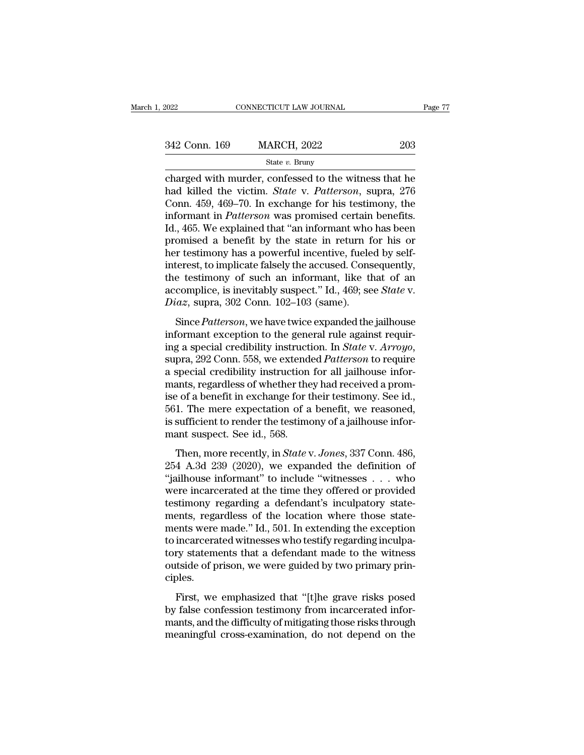| 2022          | CONNECTICUT LAW JOURNAL |     | Page 77 |
|---------------|-------------------------|-----|---------|
|               |                         |     |         |
| 342 Conn. 169 | <b>MARCH, 2022</b>      | 203 |         |
|               | State $v$ . Bruny       |     |         |

connecticut LAW JOURNAL Page 77<br>  $\begin{array}{r}\n 342 \text{ Conn. } 169 \quad \text{MARCH, } 2022 \quad \text{203}\n \end{array}$ <br>  $\begin{array}{r}\n \text{State } v. \text{ Bruny}\n \end{array}$ <br>
charged with murder, confessed to the witness that he<br>
had killed the victim. *State* v. *Patterson*, <sup>342</sup> Conn. 169 MARCH, 2022 203<br>
<sup>State v</sup>. Bruny<br>
charged with murder, confessed to the witness that he<br>
had killed the victim. *State* v. *Patterson*, supra, 276<br>
Conn. 459, 469–70. In exchange for his testimony, the<br>
in 342 Conn. 169 MARCH, 2022 203<br>
State v. Bruny<br>
charged with murder, confessed to the witness that he<br>
had killed the victim. *State* v. *Patterson*, supra, 276<br>
Conn. 459, 469–70. In exchange for his testimony, the<br>
infor 342 Conn. 169 MARCH, 2022 203<br>
<sup>State v. Bruny</sup><br>
charged with murder, confessed to the witness that he<br>
had killed the victim. *State* v. *Patterson*, supra, 276<br>
Conn. 459, 469–70. In exchange for his testimony, the<br>
inf State v. Bruny<br>
State v. Bruny<br>
Charged with murder, confessed to the witness that he<br>
had killed the victim. *State* v. *Patterson*, supra, 276<br>
Conn. 459, 469–70. In exchange for his testimony, the<br>
informant in *Patter* state v. Bruny<br>
charged with murder, confessed to the witness that he<br>
had killed the victim. *State* v. *Patterson*, supra, 276<br>
Conn. 459, 469–70. In exchange for his testimony, the<br>
informant in *Patterson* was promise charged with murder, confessed to the witness that he<br>had killed the victim. *State* v. *Patterson*, supra, 276<br>Conn. 459, 469–70. In exchange for his testimony, the<br>informant in *Patterson* was promised certain benefits.<br> had killed the victim. *State* v. *Patterson*, supra, 276<br>Conn. 459, 469–70. In exchange for his testimony, the<br>informant in *Patterson* was promised certain benefits.<br>Id., 465. We explained that "an informant who has been Conn. 459, 469–70. In exchange for his testimony, the<br>informant in *Patterson* was promised certain benefits.<br>Id., 465. We explained that "an informant who has been<br>promised a benefit by the state in return for his or<br>her informant in *Patterson* was promised certain benefits.<br>Id., 465. We explained that "an informant who has been<br>promised a benefit by the state in return for his or<br>her testimony has a powerful incentive, fueled by self-<br>in Id., 465. We explained that "an informant who promised a benefit by the state in return f<br>her testimony has a powerful incentive, fuele<br>interest, to implicate falsely the accused. Cons<br>the testimony of such an informant, l or testimony has a powerful incentive, fueled by self-<br>terest, to implicate falsely the accused. Consequently,<br>e testimony of such an informant, like that of an<br>complice, is inevitably suspect." Id., 469; see *State* v.<br>*i* interest, to implicate falsely the accused. Consequently,<br>interest, to implicate falsely the accused. Consequently,<br>the testimony of such an informant, like that of an<br>accomplice, is inevitably suspect." Id., 469; see *St* 

interest, as interests also a state of an informant, like that of an accomplice, is inevitably suspect." Id., 469; see *State* v. *Diaz*, supra, 302 Conn. 102–103 (same).<br>Since *Patterson*, we have twice expanded the jailh diversify the realisty suspect. Tall, 100, see State V.<br>
Diaz, supra, 302 Conn. 102–103 (same).<br>
Since Patterson, we have twice expanded the jailhouse<br>
informant exception to the general rule against requir-<br>
ing a special Since *Patterson*, we have twice expanded the jailhouse<br>informant exception to the general rule against requir-<br>ing a special credibility instruction. In *State v. Arroyo*,<br>supra, 292 Conn. 558, we extended *Patterson* to Since *Patterson*, we have twice expanded the jailhouse<br>informant exception to the general rule against requir-<br>ing a special credibility instruction. In *State* v. Arroyo,<br>supra, 292 Conn. 558, we extended *Patterson* to informant exception to the general rule against requiring a special credibility instruction. In *State* v.  $Arrowo$ , supra, 292 Conn. 558, we extended *Patterson* to require a special credibility instruction for all jailhouse ing a special credibility instruction. In *State v. Arroyo*, supra, 292 Conn. 558, we extended *Patterson* to require a special credibility instruction for all jailhouse informants, regardless of whether they had received supra, 292 Conn. 558, we extend<br>a special credibility instruction<br>mants, regardless of whether the<br>ise of a benefit in exchange for t<br>561. The mere expectation of a<br>is sufficient to render the testime<br>mant suspect. See id. ants, regardless of whether they had received a prom-<br>
ants, regardless of whether they had received a prom-<br>
of a benefit in exchange for their testimony. See id.,<br>
1. The mere expectation of a benefit, we reasoned,<br>
suff Franks, regardess of whence any had received a promise of a benefit in exchange for their testimony. See id., 561. The mere expectation of a benefit, we reasoned, is sufficient to render the testimony of a jailhouse infor

 $561$ . The mere expectation of a benefit, we reasoned,<br>is sufficient to render the testimony of a jailhouse infor-<br>mant suspect. See id., 568.<br>Then, more recently, in *State v. Jones*, 337 Conn. 486,<br>254 A.3d 239 (2020), is sufficient to render the testimony of a jailhouse infor-<br>mant suspect. See id., 568.<br>Then, more recently, in *State v. Jones*, 337 Conn. 486,<br>254 A.3d 239 (2020), we expanded the definition of<br>"jailhouse informant" to mant suspect. See id., 568.<br>Then, more recently, in *State v. Jones*, 337 Conn. 486, 254 A.3d 239 (2020), we expanded the definition of<br>"jailhouse informant" to include "witnesses . . . who<br>were incarcerated at the time t man suspect. See rat, see.<br>Then, more recently, in *State v. Jones*, 337 Conn. 486,<br>254 A.3d 239 (2020), we expanded the definition of<br>"jailhouse informant" to include "witnesses . . . who<br>were incarcerated at the time the Then, more recently, in *State* v. *Jones*, 337 Conn. 486, 254 A.3d 239 (2020), we expanded the definition of "jailhouse informant" to include "witnesses  $\dots$  who were incarcerated at the time they offered or provided tes 254 A.3d 239 (2020), we expanded the definition of "jailhouse informant" to include "witnesses . . . who were incarcerated at the time they offered or provided testimony regarding a defendant's inculpatory statements, reg "jailhouse informant" to include "witnesses  $\ldots$  who<br>were incarcerated at the time they offered or provided<br>testimony regarding a defendant's inculpatory state-<br>ments, regardless of the location where those state-<br>ments were incarcerated at the time they offered or provided<br>testimony regarding a defendant's inculpatory state-<br>ments, regardless of the location where those state-<br>ments were made." Id., 501. In extending the exception<br>to inc ciples. First, regardess of the focation where those state<br>ents were made." Id., 501. In extending the exception<br>incarcerated witnesses who testify regarding inculpa-<br>ry statements that a defendant made to the witness<br>tside of pri by false confession testimony false confession to incarcerated witnesses who testify regarding inculpatory statements that a defendant made to the witness outside of prison, we were guided by two primary principles.<br>First,

mantenated whilesses who assing regarding inelaption<br>tory statements that a defendant made to the witness<br>outside of prison, we were guided by two primary prin-<br>ciples.<br>First, we emphasized that "[t]he grave risks posed<br>by First, we emphasized that "[t]he grave risks posed<br>by false confession testimony from incarcerated infor-<br>mants, and the difficulty of mitigating those risks through<br>meaningful cross-examination, do not depend on the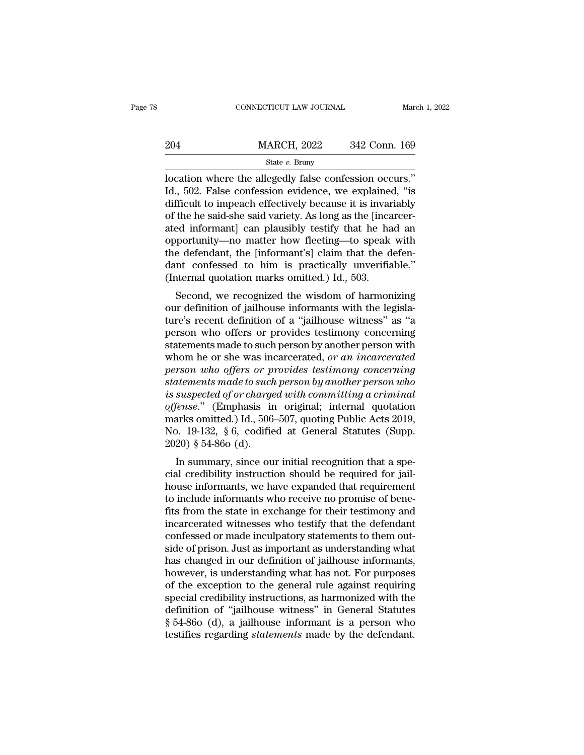|     | CONNECTICUT LAW JOURNAL |               | March 1, 2022 |
|-----|-------------------------|---------------|---------------|
|     |                         |               |               |
| 204 | <b>MARCH, 2022</b>      | 342 Conn. 169 |               |
|     | State $v$ . Bruny       |               |               |

CONNECTICUT LAW JOURNAL March 1, 2<br>
204 MARCH, 2022 342 Conn. 169<br>
312 Conn. 169<br>
312 Conn. 169<br>
312 Conn. 169<br>
312 Conn. 169<br>
312 Conn. 169<br>
312 Conn. 169<br>
312 Conn. 169<br>
312 Conn. 169<br>
312 Conn. 169<br>
312 Connection occur 204 MARCH, 2022 342 Conn. 169<br>
State v. Bruny<br>
Docation where the allegedly false confession occurs."<br>
Id., 502. False confession evidence, we explained, "is<br>
difficult to impeach effectively because it is invariably<br>
of 204 MARCH, 2022 342 Conn. 169<br>
State v. Bruny<br>
location where the allegedly false confession occurs."<br>
Id., 502. False confession evidence, we explained, "is<br>
difficult to impeach effectively because it is invariably<br>
of 204 MARCH, 2022 342 Conn. 169<br>
State v. Bruny<br>
Iocation where the allegedly false confession occurs."<br>
Id., 502. False confession evidence, we explained, "is<br>
difficult to impeach effectively because it is invariably<br>
of State v. Bruny<br>
State v. Bruny<br>
location where the allegedly false confession occurs."<br>
Id., 502. False confession evidence, we explained, "is<br>
difficult to impeach effectively because it is invariably<br>
of the he said-she state v. Bruny<br>
location where the allegedly false confession occurs."<br>
Id., 502. False confession evidence, we explained, "is<br>
difficult to impeach effectively because it is invariably<br>
of the he said-she said variety. A location where the allegedly false confession occurs."<br>Id., 502. False confession evidence, we explained, "is<br>difficult to impeach effectively because it is invariably<br>of the he said-she said variety. As long as the [inca Id., 502. False confession evidence, we explained, "is<br>difficult to impeach effectively because it is invariably<br>of the he said-she said variety. As long as the [incarcer-<br>ated informant] can plausibly testify that he had difficult to impeach effectively because it is invar<br>of the he said-she said variety. As long as the [inca<br>ated informant] can plausibly testify that he ha<br>opportunity—no matter how fleeting—to speak<br>the defendant, the [in the he said-site said variety. As long as the incarcen-<br>ed informant] can plausibly testify that he had an<br>portunity—no matter how fleeting—to speak with<br>e defendant, the [informant's] claim that the defen-<br>nt confessed to ated mormant can plausibly testily that he had an<br>opportunity—no matter how fleeting—to speak with<br>the defendant, the [informant's] claim that the defen-<br>dant confessed to him is practically unverifiable."<br>(Internal quotat

opportunty—no matter now neeting—to speak with<br>the defendant, the [informant's] claim that the defen-<br>dant confessed to him is practically unverifiable."<br>(Internal quotation marks omitted.) Id., 503.<br>Second, we recognized the defendant, the [mormant s] claim that the defen-<br>dant confessed to him is practically unverifiable."<br>(Internal quotation marks omitted.) Id., 503.<br>Second, we recognized the wisdom of harmonizing<br>our definition of jailh (Internal quotation marks omitted.) Id., 503.<br>Second, we recognized the wisdom of harmonizing<br>our definition of jailhouse informants with the legisla-<br>ture's recent definition of a "jailhouse witness" as "a<br>person who off Second, we recognized the wisdom of harmonizing<br>our definition of jailhouse informants with the legisla-<br>ture's recent definition of a "jailhouse witness" as "a<br>person who offers or provides testimony concerning<br>statements Second, we recognized the wisdom of harmonizing<br>our definition of jailhouse informants with the legisla-<br>ture's recent definition of a "jailhouse witness" as "a<br>person who offers or provides testimony concerning<br>statements our definition of jailhouse informants with the legislature's recent definition of a "jailhouse witness" as "a<br>person who offers or provides testimony concerning<br>statements made to such person by another person with<br>whom h *is sure is recent definition of a "jailhouse witness" as "a*<br>person who offers or provides testimony concerning<br>statements made to such person by another person with<br>whom he or she was incarcerated, or an incarcerated<br>per person who offers or provides testimony concerning<br>statements made to such person by another person with<br>whom he or she was incarcerated, *or an incarcerated*<br>person who offers or provides testimony concerning<br>statements m statements made to such person by another person with<br>whom he or she was incarcerated, *or an incarcerated*<br>*person who offers or provides testimony concerning*<br>*statements made to such person by another person who*<br>*is su* whom he or she was incarcerated, *or an incarcerated*<br>person who offers or provides testimony concerning<br>statements made to such person by another person who<br>is suspected of or charged with committing a criminal<br>offense." person who offers or p<br>statements made to suck<br>is suspected of or charge<br>offense." (Emphasis ir<br>marks omitted.) Id., 506<br>No. 19-132, §6, codifie<br>2020) § 54-86o (d).<br>In summary, since ou In surface to sach person by another person and<br>suspected of or charged with committing a criminal<br>fense." (Emphasis in original; internal quotation<br>arks omitted.) Id., 506–507, quoting Public Acts 2019,<br>0. 19-132, § 6, co *cs suspected of or charged with committing a criminal offense.*" (Emphasis in original; internal quotation marks omitted.) Id., 506–507, quoting Public Acts 2019, No. 19-132, § 6, codified at General Statutes (Supp. 2020

by ense. (Emphasis in original, internal quotation<br>marks omitted.) Id., 506–507, quoting Public Acts 2019,<br>No. 19-132, § 6, codified at General Statutes (Supp.<br>2020) § 54-86o (d).<br>In summary, since our initial recognition that is officient include. The include informal statutes (Supp. 2020) § 54-860 (d).<br>In summary, since our initial recognition that a special credibility instruction should be required for jailhouse informants, we have exp Fig. 13-132, 8 0, counted at defieral statutes (supp.<br>
2020)  $\S$  54-860 (d).<br>
In summary, since our initial recognition that a special credibility instruction should be required for jail-<br>
house informants, we have expand In summary, since our initial recognition that a special credibility instruction should be required for jail-<br>house informants, we have expanded that requirement<br>to include informants who receive no promise of bene-<br>fits In summary, since our initial recognition that a special credibility instruction should be required for jail-<br>house informants, we have expanded that requirement<br>to include informants who receive no promise of bene-<br>fits f cial credibility instruction should be required for jail-<br>house informants, we have expanded that requirement<br>to include informants who receive no promise of bene-<br>fits from the state in exchange for their testimony and<br>in house informants, we have expanded that requirement<br>to include informants who receive no promise of bene-<br>fits from the state in exchange for their testimony and<br>incarcerated witnesses who testify that the defendant<br>confes to include informants who receive no promise of bene-<br>fits from the state in exchange for their testimony and<br>incarcerated witnesses who testify that the defendant<br>confessed or made inculpatory statements to them out-<br>side fits from the state in exchange for their testimony and<br>incarcerated witnesses who testify that the defendant<br>confessed or made inculpatory statements to them out-<br>side of prison. Just as important as understanding what<br>ha incarcerated witnesses who testify that the defendant<br>confessed or made inculpatory statements to them out-<br>side of prison. Just as important as understanding what<br>has changed in our definition of jailhouse informants,<br>ho confessed or made inculpatory statements to them out-<br>side of prison. Just as important as understanding what<br>has changed in our definition of jailhouse informants,<br>however, is understanding what has not. For purposes<br>of t side of prison. Just as important as understanding what<br>has changed in our definition of jailhouse informants,<br>however, is understanding what has not. For purposes<br>of the exception to the general rule against requiring<br>spe has changed in our definition of jailhouse informants,<br>however, is understanding what has not. For purposes<br>of the exception to the general rule against requiring<br>special credibility instructions, as harmonized with the<br>de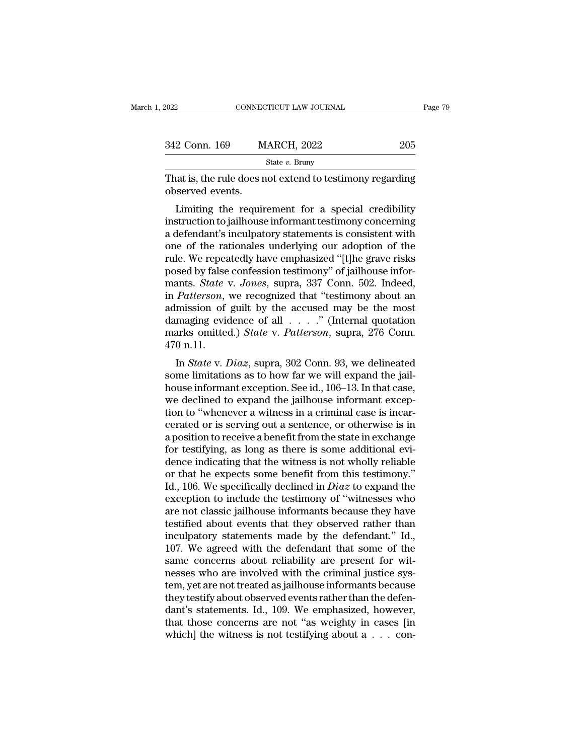| 2022             | CONNECTICUT LAW JOURNAL                                                                                                                                                  | Page 79 |
|------------------|--------------------------------------------------------------------------------------------------------------------------------------------------------------------------|---------|
|                  |                                                                                                                                                                          |         |
| 342 Conn. 169    | <b>MARCH, 2022</b><br>205                                                                                                                                                |         |
|                  | State $v$ . Bruny                                                                                                                                                        |         |
| observed events. | That is, the rule does not extend to testimony regarding                                                                                                                 |         |
|                  | Limiting the requirement for a special credibility<br>instruction to jailhouse informant testimony concerning<br>a defendant's inculpatory statements is consistent with |         |

342 Conn. 169 MARCH, 2022 205<br>
State v. Bruny<br>
That is, the rule does not extend to testimony regarding<br>
observed events.<br>
Limiting the requirement for a special credibility<br>
instruction to jailhouse informant testimony c State v. Bruny<br>
That is, the rule does not extend to testimony regarding<br>
observed events.<br>
Limiting the requirement for a special credibility<br>
instruction to jailhouse informant testimony concerning<br>
a defendant's inculp That is, the rule does not extend to testimony regarding<br>observed events.<br>Limiting the requirement for a special credibility<br>instruction to jailhouse informant testimony concerning<br>a defendant's inculpatory statements is c rnat is, the rule does not extend to testintiny regarding<br>observed events.<br>Limiting the requirement for a special credibility<br>instruction to jailhouse informant testimony concerning<br>a defendant's inculpatory statements is Uniting the requirement for a special credibility<br>instruction to jailhouse informant testimony concerning<br>a defendant's inculpatory statements is consistent with<br>one of the rationales underlying our adoption of the<br>rule. W Limiting the requirement for a special credibility<br>instruction to jailhouse informant testimony concerning<br>a defendant's inculpatory statements is consistent with<br>one of the rationales underlying our adoption of the<br>rule. instruction to jailhouse informant testimony concerning<br>a defendant's inculpatory statements is consistent with<br>one of the rationales underlying our adoption of the<br>rule. We repeatedly have emphasized "[t]he grave risks<br>po a defendant's inculpatory statements is consistent with<br>one of the rationales underlying our adoption of the<br>rule. We repeatedly have emphasized "[t]he grave risks<br>posed by false confession testimony" of jailhouse infor-<br> one of the rationales underlying our adoption of the<br>rule. We repeatedly have emphasized "[t]he grave risks<br>posed by false confession testimony" of jailhouse infor-<br>mants. *State* v. *Jones*, supra, 337 Conn. 502. Indeed, rule. We repeatedly have emphasized "[t]he grave risks<br>posed by false confession testimony" of jailhouse infor-<br>mants. *State* v. *Jones*, supra, 337 Conn. 502. Indeed,<br>in *Patterson*, we recognized that "testimony about a posed by false confession testimony" of jailhouse informants. *State v. Jones*, supra, 337 Conn. 502. Indeed, in *Patterson*, we recognized that "testimony about an admission of guilt by the accused may be the most damagi In *State* v. *Jones*, supra, 357 Conn. 302. Indeed,<br> *Patterson*, we recognized that "testimony about an<br>
mission of guilt by the accused may be the most<br>
maging evidence of all . . . . " (Internal quotation<br>
arks omitted In *Tatterson*, we recognized that testimony about and<br>admission of guilt by the accused may be the most<br>damaging evidence of all  $\ldots$ ." (Internal quotation<br>marks omitted.) *State* v. *Patterson*, supra, 276 Conn.<br>470 n.

damaging evidence of all  $\ldots$ ." (Internal quotation<br>marks omitted.) *State* v. *Patterson*, supra, 276 Conn.<br>470 n.11.<br>In *State* v. *Diaz*, supra, 302 Conn. 93, we delineated<br>some limitations as to how far we will expan damaging evidence of an  $\cdot \cdot \cdot$  (internal quotation<br>marks omitted.) *State* v. *Patterson*, supra, 276 Conn.<br>470 n.11.<br>In *State* v. *Diaz*, supra, 302 Conn. 93, we delineated<br>some limitations as to how far we will expan that is officiently state v. Tatterson, supra, 270 Comit.<br>470 n.11.<br>In *State* v. *Diaz*, supra, 302 Conn. 93, we delineated<br>some limitations as to how far we will expand the jail-<br>house informant exception. See id., 106– In *State v. Diaz*, supra, 302 Conn. 93, we delineated<br>some limitations as to how far we will expand the jail-<br>house informant exception. See id., 106–13. In that case,<br>we declined to expand the jailhouse informant excep-In *State* v. *Diaz*, supra, 302 Conn. 93, we delineated<br>some limitations as to how far we will expand the jail-<br>house informant exception. See id., 106–13. In that case,<br>we declined to expand the jailhouse informant exce some limitations as to how far we will expand the jail-<br>house informant exception. See id., 106–13. In that case,<br>we declined to expand the jailhouse informant excep-<br>tion to "whenever a witness in a criminal case is incar house informant exception. See id., 106–13. In that case,<br>we declined to expand the jailhouse informant excep-<br>tion to "whenever a witness in a criminal case is incar-<br>cerated or is serving out a sentence, or otherwise is we declined to expand the jailhouse informant exception to "whenever a witness in a criminal case is incarcerated or is serving out a sentence, or otherwise is in a position to receive a benefit from the state in exchange tion to "whenever a witness in a criminal case is incarcerated or is serving out a sentence, or otherwise is in a position to receive a benefit from the state in exchange for testifying, as long as there is some additional cerated or is serving out a sentence, or otherwise is in<br>a position to receive a benefit from the state in exchange<br>for testifying, as long as there is some additional evi-<br>dence indicating that the witness is not wholly a position to receive a benefit from the state in exchange<br>for testifying, as long as there is some additional evi-<br>dence indicating that the witness is not wholly reliable<br>or that he expects some benefit from this testim for testifying, as long as there is some additional evi-<br>dence indicating that the witness is not wholly reliable<br>or that he expects some benefit from this testimony."<br>Id., 106. We specifically declined in *Diaz* to expan dence indicating that the witness is not wholly reliable<br>or that he expects some benefit from this testimony."<br>Id., 106. We specifically declined in  $Diaz$  to expand the<br>exception to include the testimony of "witnesses who<br> or that he expects some benefit from this testimony."<br>Id., 106. We specifically declined in *Diaz* to expand the<br>exception to include the testimony of "witnesses who<br>are not classic jailhouse informants because they have<br> Id., 106. We specifically declined in *Diaz* to expand the exception to include the testimony of "witnesses who are not classic jailhouse informants because they have testified about events that they observed rather than exception to include the testimony of "witnesses who<br>are not classic jailhouse informants because they have<br>testified about events that they observed rather than<br>inculpatory statements made by the defendant." Id.,<br>107. We are not classic jailhouse informants because they have<br>testified about events that they observed rather than<br>inculpatory statements made by the defendant." Id.,<br>107. We agreed with the defendant that some of the<br>same conce testified about events that they observed rather than<br>inculpatory statements made by the defendant." Id.,<br>107. We agreed with the defendant that some of the<br>same concerns about reliability are present for wit-<br>nesses who a inculpatory statements made by the defendant." Id., 107. We agreed with the defendant that some of the same concerns about reliability are present for witnesses who are involved with the criminal justice system, yet are no 107. We agreed with the defendant that some of the same concerns about reliability are present for witnesses who are involved with the criminal justice system, yet are not treated as jailhouse informants because they test same concerns about reliability are present for witnesses who are involved with the criminal justice system, yet are not treated as jailhouse informants because they testify about observed events rather than the defendant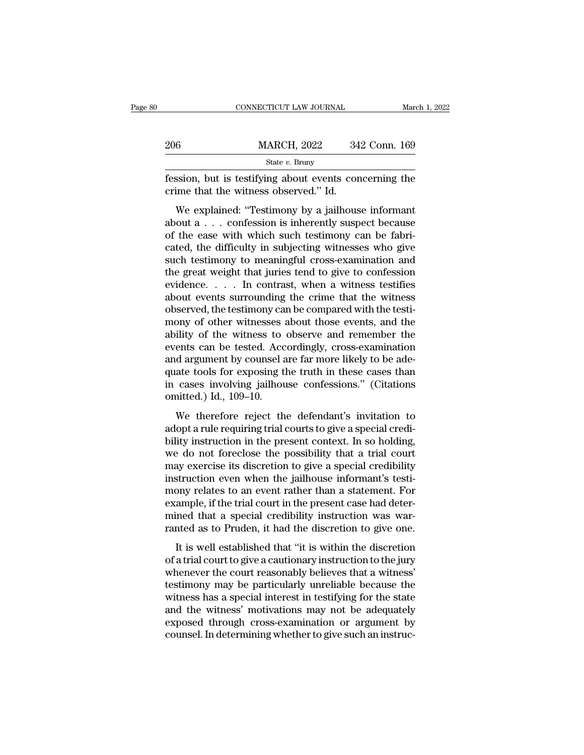|     | CONNECTICUT LAW JOURNAL                                                                                                                                      | March 1, 2022 |
|-----|--------------------------------------------------------------------------------------------------------------------------------------------------------------|---------------|
| 206 | <b>MARCH, 2022</b>                                                                                                                                           | 342 Conn. 169 |
|     | State $v$ . Bruny                                                                                                                                            |               |
|     | fession, but is testifying about events concerning the<br>crime that the witness observed." Id.                                                              |               |
|     | We explained: "Testimony by a jailhouse informant<br>about a confession is inherently suspect because<br>of the ease with which such testimony can be fabri- |               |

206 MARCH, 2022 342 Conn. 169<br>
State v. Bruny<br>
fession, but is testifying about events concerning the<br>
crime that the witness observed." Id.<br>
We explained: "Testimony by a jailhouse informant<br>
about a . . . confession is State v. Bruny<br>
fession, but is testifying about events concerning the<br>
crime that the witness observed." Id.<br>
We explained: "Testimony by a jailhouse informant<br>
about a . . . confession is inherently suspect because<br>
of fession, but is testifying about events concerning the<br>crime that the witness observed." Id.<br>We explained: "Testimony by a jailhouse informant<br>about a . . . confession is inherently suspect because<br>of the ease with which s such that the witness observed." Id.<br>
We explained: "Testimony by a jailhouse informant<br>
about a  $\dots$  confession is inherently suspect because<br>
of the ease with which such testimony can be fabri-<br>
cated, the difficulty in We explained: "Testimony by a jailhouse informant<br>about a  $\dots$  confession is inherently suspect because<br>of the ease with which such testimony can be fabri-<br>cated, the difficulty in subjecting witnesses who give<br>such testi We explained: "Testimony by a jailhouse informant<br>about a  $\dots$  confession is inherently suspect because<br>of the ease with which such testimony can be fabri-<br>cated, the difficulty in subjecting witnesses who give<br>such testi about a  $\ldots$  confession is inherently suspect because<br>of the ease with which such testimony can be fabri-<br>cated, the difficulty in subjecting witnesses who give<br>such testimony to meaningful cross-examination and<br>the grea of the ease with which such testimony can be fabricated, the difficulty in subjecting witnesses who give such testimony to meaningful cross-examination and the great weight that juries tend to give to confession evidence. cated, the difficulty in subjecting witnesses who give<br>such testimony to meaningful cross-examination and<br>the great weight that juries tend to give to confession<br>evidence.  $\dots$  In contrast, when a witness testifies<br>about such testimony to meaningful cross-examination and<br>the great weight that juries tend to give to confession<br>evidence. . . . . In contrast, when a witness testifies<br>about events surrounding the crime that the witness<br>observ the great weight that juries tend to give to confession<br>evidence.  $\dots$  . In contrast, when a witness testifies<br>about events surrounding the crime that the witness<br>observed, the testimony can be compared with the testi-<br>mo evidence.  $\ldots$  . In contrast, when a witness testifies<br>about events surrounding the crime that the witness<br>observed, the testimony can be compared with the testi-<br>mony of other witnesses about those events, and the<br>abili about events surrounding the crime that the witness<br>observed, the testimony can be compared with the testi-<br>mony of other witnesses about those events, and the<br>ability of the witness to observe and remember the<br>events can observed, the testimony can be compared with the testimony of other witnesses about those events, and the ability of the witness to observe and remember the events can be tested. Accordingly, cross-examination and argument mony of other witnesses a<br>ability of the witness to<br>events can be tested. Acc<br>and argument by counsel a<br>quate tools for exposing t<br>in cases involving jailhou<br>omitted.) Id., 109–10.<br>We therefore reject th may of the whates to observe that remember the<br>ents can be tested. Accordingly, cross-examination<br>d argument by counsel are far more likely to be ade-<br>ate tools for exposing the truth in these cases than<br>cases involving ja and argument by counsel are far more likely to be ade-<br>quate tools for exposing the truth in these cases than<br>in cases involving jailhouse confessions." (Citations<br>omitted.) Id., 109–10.<br>We therefore reject the defendant's

and argument by counser are far indice interpreted on the detection in cases than in cases involving jailhouse confessions." (Citations omitted.) Id., 109–10.<br>We therefore reject the defendant's invitation to adopt a rule metals in cases involving jailhouse confessions." (Citations<br>omitted.) Id., 109–10.<br>We therefore reject the defendant's invitation to<br>adopt a rule requiring trial courts to give a special credi-<br>bility instruction in the p metals intering jamiouse concessions. (critically contributed.) Id., 109–10.<br>We therefore reject the defendant's invitation to adopt a rule requiring trial courts to give a special credibility instruction in the present co We therefore reject the defendant's invitation to<br>adopt a rule requiring trial courts to give a special credi-<br>bility instruction in the present context. In so holding,<br>we do not foreclose the possibility that a trial cour We therefore reject the defendant's invitation to<br>adopt a rule requiring trial courts to give a special credi-<br>bility instruction in the present context. In so holding,<br>we do not foreclose the possibility that a trial cour adopt a rule requiring trial courts to give a special credibility instruction in the present context. In so holding, we do not foreclose the possibility that a trial court may exercise its discretion to give a special cred bility instruction in the present context. In so holding, we do not foreclose the possibility that a trial court may exercise its discretion to give a special credibility instruction even when the jailhouse informant's tes we do not foreclose the possibility that a trial court<br>may exercise its discretion to give a special credibility<br>instruction even when the jailhouse informant's testi-<br>mony relates to an event rather than a statement. For<br> It is well established that "it is within the discretion of the statement" is testi-<br>
in a statement. For ample, if the trial court in the present case had deter-<br>
ined that a special credibility instruction was war-<br>
inte mony relates to an event rather than a statement. For<br>example, if the trial court in the present case had deter-<br>mined that a special credibility instruction was war-<br>ranted as to Pruden, it had the discretion to give one.

mony relates to an event riance and a statement. To<br>example, if the trial court in the present case had deter-<br>mined that a special credibility instruction was war-<br>ranted as to Pruden, it had the discretion to give one.<br>I Example; it are and court in the present case had determined that a special credibility instruction was warranted as to Pruden, it had the discretion to give one.<br>It is well established that "it is within the discretion of ranted as to Pruden, it had the discretion to give one.<br>It is well established that "it is within the discretion<br>of a trial court to give a cautionary instruction to the jury<br>whenever the court reasonably believes that a w It is well established that "it is within the discretion of a trial court to give a cautionary instruction to the jury<br>whenever the court reasonably believes that a witness'<br>testimony may be particularly unreliable because It is well established that "it is within the discretion<br>of a trial court to give a cautionary instruction to the jury<br>whenever the court reasonably believes that a witness'<br>testimony may be particularly unreliable because of a trial court to give a cautionary instruction to the jury<br>whenever the court reasonably believes that a witness'<br>testimony may be particularly unreliable because the<br>witness has a special interest in testifying for the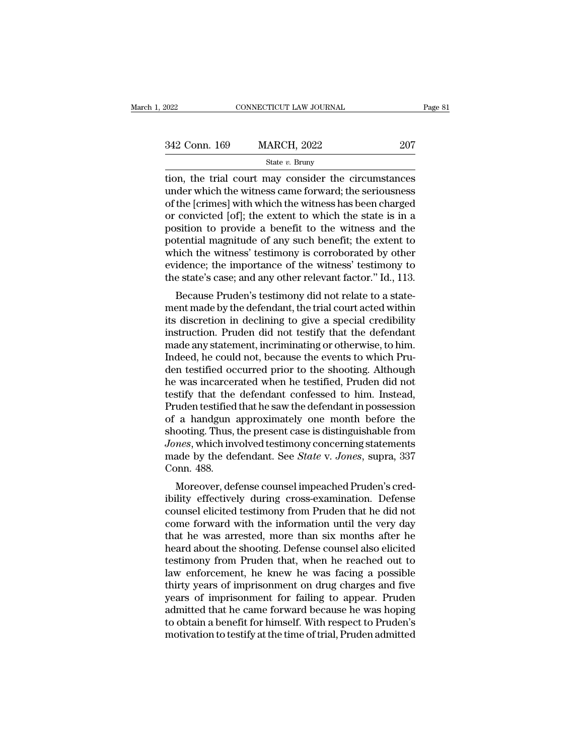| 2022          | CONNECTICUT LAW JOURNAL | Page 81 |  |
|---------------|-------------------------|---------|--|
| 342 Conn. 169 | <b>MARCH, 2022</b>      | 207     |  |
|               | State $v$ . Bruny       |         |  |

EXERCT 2022 ENRICH CONNECTICUT LAW JOURNAL Page 81<br>  $\frac{342 \text{ Conn. } 169}{\text{State } v. \text{ Bruny}}$ <br>  $\frac{\text{State } v. \text{ Bruny}}{\text{tion, the trial court may consider the circumstances} }$ <br>
under which the witness came forward; the seriousness<br>
of the leximesl with which the witness has been  $\frac{342 \text{ Conn. } 169}{\text{State } v. \text{ Bruny}}$ <br>  $\frac{342 \text{ Conn. } 169}{\text{State } v. \text{ Bruny}}$ <br>
tion, the trial court may consider the circumstances<br>
under which the witness came forward; the seriousness<br>
of the [crimes] with which the witness has 342 Conn. 169 MARCH, 2022 207<br>
State v. Bruny<br>
tion, the trial court may consider the circumstances<br>
under which the witness came forward; the seriousness<br>
of the [crimes] with which the witness has been charged<br>
or convi 342 Conn. 169 MARCH, 2022 207<br>
State v. Bruny<br>
tion, the trial court may consider the circumstances<br>
under which the witness came forward; the seriousness<br>
of the [crimes] with which the witness has been charged<br>
or convi State v. Bruny<br>
State v. Bruny<br>
tion, the trial court may consider the circumstances<br>
under which the witness came forward; the seriousness<br>
of the [crimes] with which the witness has been charged<br>
or convicted [of]; the state v. Bruny<br>tion, the trial court may consider the circumstances<br>under which the witness came forward; the seriousness<br>of the [crimes] with which the witness has been charged<br>or convicted [of]; the extent to which the tion, the trial court may consider the circumstances<br>under which the witness came forward; the seriousness<br>of the [crimes] with which the witness has been charged<br>or convicted [of]; the extent to which the state is in a<br>po under which the witness came forward; the seriousness<br>of the [crimes] with which the witness has been charged<br>or convicted [of]; the extent to which the state is in a<br>position to provide a benefit to the witness and the<br>po of the [crimes] with which the witness has been charged<br>or convicted [of]; the extent to which the state is in a<br>position to provide a benefit to the witness and the<br>potential magnitude of any such benefit; the extent to<br>w Education to provide a benefit to the witness and the<br>tential magnitude of any such benefit; the extent to<br>nich the witness' testimony is corroborated by other<br>idence; the importance of the witness' testimony to<br>e state's position to provide a benefit to the witness and the<br>potential magnitude of any such benefit; the extent to<br>which the witness' testimony is corroborated by other<br>evidence; the importance of the witness' testimony to<br>the st

potential magnitude of any such benefit, the extent to<br>which the witness' testimony is corroborated by other<br>evidence; the importance of the witness' testimony to<br>the state's case; and any other relevant factor." Id., 113. which the whiess testimoly is corroborated by other<br>evidence; the importance of the witness' testimony to<br>the state's case; and any other relevant factor." Id., 113.<br>Because Pruden's testimony did not relate to a state-<br>me evidence, the importance of the whitess testimoly to<br>the state's case; and any other relevant factor." Id., 113.<br>Because Pruden's testimony did not relate to a state-<br>ment made by the defendant, the trial court acted withi Interestate Scase, and any other rerevant ractor. Td., 115.<br>Because Pruden's testimony did not relate to a state-<br>ment made by the defendant, the trial court acted within<br>its discretion in declining to give a special credi Because Pruden's testimony did not relate to a statement made by the defendant, the trial court acted within<br>its discretion in declining to give a special credibility<br>instruction. Pruden did not testify that the defendant<br> ment made by the defendant, the trial court acted within<br>its discretion in declining to give a special credibility<br>instruction. Pruden did not testify that the defendant<br>made any statement, incriminating or otherwise, to h its discretion in declining to give a special credibility<br>instruction. Pruden did not testify that the defendant<br>made any statement, incriminating or otherwise, to him.<br>Indeed, he could not, because the events to which Pru instruction. Pruden did not testify that the defendant<br>made any statement, incriminating or otherwise, to him.<br>Indeed, he could not, because the events to which Pru-<br>den testified occurred prior to the shooting. Although<br>h made any statement, incriminating or otherwise, to him.<br>Indeed, he could not, because the events to which Pru-<br>den testified occurred prior to the shooting. Although<br>he was incarcerated when he testified, Pruden did not<br>te Indeed, he could not, because the events to which Pru-<br>den testified occurred prior to the shooting. Although<br>he was incarcerated when he testified, Pruden did not<br>testify that the defendant confessed to him. Instead,<br>Prud den testified occurred prior to the shooting. Although<br>he was incarcerated when he testified, Pruden did not<br>testify that the defendant confessed to him. Instead,<br>Pruden testified that he saw the defendant in possession<br>of he was incarcerated when he testified, Pruden did not<br>testify that the defendant confessed to him. Instead,<br>Pruden testified that he saw the defendant in possession<br>of a handgun approximately one month before the<br>shooting. testify that the<br>Pruden testified<br>of a handgun :<br>shooting. Thus,<br>Jones, which inv<br>made by the de<br>Conn. 488.<br>Moreover, def a handgun approximately one month before the<br>ooting. Thus, the present case is distinguishable from<br>*nes*, which involved testimony concerning statements<br>ade by the defendant. See *State* v. Jones, supra, 337<br>pnn. 488.<br>Mor or a nandgun approximately one month before the<br>shooting. Thus, the present case is distinguishable from<br>*Jones*, which involved testimony concerning statements<br>made by the defendant. See *State v. Jones*, supra, 337<br>Conn.

shooting. Thus, the present case is usunguishable from<br>Jones, which involved testimony concerning statements<br>made by the defendant. See *State* v. Jones, supra, 337<br>Conn. 488.<br>Moreover, defense counsel impeached Pruden's c somes, which involved testimoly concerning statements<br>made by the defendant. See *State v. Jones*, supra, 337<br>Conn. 488.<br>Moreover, defense counsel impeached Pruden's cred-<br>ibility effectively during cross-examination. Defe that he was arrested, more than six months after the heard about the was arrested, more than six months after he was arrested, more than six months after he heard about the shooting. Defense counsel also elicited to heard Moreover, defense counsel impeached Pruden's cred-<br>ibility effectively during cross-examination. Defense<br>counsel elicited testimony from Pruden that he did not<br>come forward with the information until the very day<br>that he w Moreover, defense counsel impeached Pruden's cred-<br>ibility effectively during cross-examination. Defense<br>counsel elicited testimony from Pruden that he did not<br>come forward with the information until the very day<br>that he w ibility effectively during cross-examination. Defense<br>counsel elicited testimony from Pruden that he did not<br>come forward with the information until the very day<br>that he was arrested, more than six months after he<br>heard ab counsel elicited testimony from Pruden that he did not<br>come forward with the information until the very day<br>that he was arrested, more than six months after he<br>heard about the shooting. Defense counsel also elicited<br>testim come forward with the information until the very day<br>that he was arrested, more than six months after he<br>heard about the shooting. Defense counsel also elicited<br>testimony from Pruden that, when he reached out to<br>law enforc that he was arrested, more than six months after he<br>heard about the shooting. Defense counsel also elicited<br>testimony from Pruden that, when he reached out to<br>law enforcement, he knew he was facing a possible<br>thirty years heard about the shooting. Defense counsel also elicited<br>testimony from Pruden that, when he reached out to<br>law enforcement, he knew he was facing a possible<br>thirty years of imprisonment on drug charges and five<br>years of im testimony from Pruden that, when he reached out to law enforcement, he knew he was facing a possible thirty years of imprisonment on drug charges and five years of imprisonment for failing to appear. Pruden admitted that h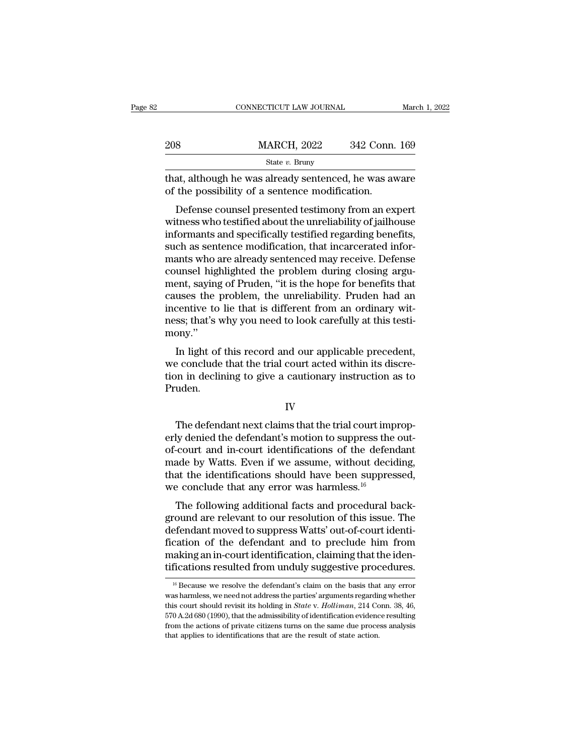|     | CONNECTICUT LAW JOURNAL                                                                                                                                                      | March 1, 2022 |
|-----|------------------------------------------------------------------------------------------------------------------------------------------------------------------------------|---------------|
| 208 | <b>MARCH, 2022</b>                                                                                                                                                           | 342 Conn. 169 |
|     | State $v$ . Bruny                                                                                                                                                            |               |
|     | that, although he was already sentenced, he was aware<br>of the possibility of a sentence modification.                                                                      |               |
|     | Defense counsel presented testimony from an expert<br>witness who testified about the unreliability of jailhouse<br>informants and specifically tostified regarding benefits |               |

208 MARCH, 2022 342 Conn. 169<br>
State v. Bruny<br>
that, although he was already sentenced, he was aware<br>
of the possibility of a sentence modification.<br>
Defense counsel presented testimony from an expert<br>
witness who testifi State  $v$ . Bruny<br>
that, although he was already sentenced, he was aware<br>
of the possibility of a sentence modification.<br>
Defense counsel presented testimony from an expert<br>
witness who testified about the unreliability of that, although he was already sentenced, he was aware<br>of the possibility of a sentence modification.<br>Defense counsel presented testimony from an expert<br>witness who testified about the unreliability of jailhouse<br>informants mant, antiough the was already sentenced, the was aware<br>of the possibility of a sentence modification.<br>Defense counsel presented testimony from an expert<br>witness who testified about the unreliability of jailhouse<br>informant or the possibility of a sentence modification.<br>Defense counsel presented testimony from an expert<br>witness who testified about the unreliability of jailhouse<br>informants and specifically testified regarding benefits,<br>such as Defense counsel presented testimony from an expert<br>witness who testified about the unreliability of jailhouse<br>informants and specifically testified regarding benefits,<br>such as sentence modification, that incarcerated infor witness who testified about the unreliability of jailhouse<br>informants and specifically testified regarding benefits,<br>such as sentence modification, that incarcerated infor-<br>mants who are already sentenced may receive. Defe informants and specifically testified regarding benefits,<br>such as sentence modification, that incarcerated infor-<br>mants who are already sentenced may receive. Defense<br>counsel highlighted the problem during closing argu-<br>me such as sentence modification, that incarcerated informants who are already sentenced may receive. Defense counsel highlighted the problem during closing argument, saying of Pruden, "it is the hope for benefits that causes mony.'' Figure the problem during closing arguent, saying of Pruden, "it is the hope for benefits that<br>uses the problem, the unreliability. Pruden had an<br>centive to lie that is different from an ordinary wit-<br>ss; that's why you ne ment, saying of Frudent, and is different from an ordinary with<br>causes the problem, the unreliability. Pruden had an<br>incentive to lie that is different from an ordinary with<br>ness; that's why you need to look carefully at t

transfer that is different from an ordinary witness; that's why you need to look carefully at this testimony."<br>In light of this record and our applicable precedent, we conclude that the trial court acted within its discret Pruden. In light of this record and our applicable precedent,<br>
a conclude that the trial court acted within its discre-<br>
in declining to give a cautionary instruction as to<br>
uden.<br>
IV<br>
The defendant next claims that the trial cour

### IV

we conclude that the trial court acted within its discretion in declining to give a cautionary instruction as to<br>Pruden.<br>IV<br>The defendant next claims that the trial court improp-<br>erly denied the defendant's motion to suppr tion in declining to give a cautionary instruction as to<br>Pruden.<br>IV<br>The defendant next claims that the trial court improp-<br>erly denied the defendant's motion to suppress the out-<br>of-court and in-court identifications of th IV<br>IV<br>The defendant next claims that the trial court improp-<br>erly denied the defendant's motion to suppress the out-<br>of-court and in-court identifications of the defendant<br>made by Watts. Even if we assume, without deciding IV The defendant next claims that the trial court improperly denied the defendant's motion to suppress the out-<br>of-court and in-court identifications of the defendant<br>made by Watts. Even if we assume, without deciding,<br>th The defendant next claims that the trial court imperly denied the defendant's motion to suppress the of-court and in-court identifications of the defendance by Watts. Even if we assume, without decident that the identific The defendant hext claims that the that Court improp-<br>ly denied the defendant's motion to suppress the out-<br>court and in-court identifications of the defendant<br>ade by Watts. Even if we assume, without deciding,<br>at the iden erly defined the defendant s motion to suppress the out-<br>of-court and in-court identifications of the defendant<br>made by Watts. Even if we assume, without deciding,<br>that the identifications should have been suppressed,<br>we c

of-court and in-court dentifications of the defendant<br>made by Watts. Even if we assume, without deciding,<br>that the identifications should have been suppressed,<br>we conclude that any error was harmless.<sup>16</sup><br>The following add final by watts. Even if we assume, whilout declaring,<br>that the identifications should have been suppressed,<br>we conclude that any error was harmless.<sup>16</sup><br>The following additional facts and procedural back-<br>ground are relev making and internal making and that any error was harmless.<sup>16</sup><br>The following additional facts and procedural background are relevant to our resolution of this issue. The<br>defendant moved to suppress Watts' out-of-court id We conclude that any error was narifiess.<br>The following additional facts and procedural back-<br>ground are relevant to our resolution of this issue. The<br>defendant moved to suppress Watts' out-of-court identi-<br>fication of the efendant moved to suppress Watts' out-of-court identi-<br>cation of the defendant and to preclude him from<br>aking an in-court identification, claiming that the iden-<br>fications resulted from unduly suggestive procedures.<br><sup>16</sup> B fication of the defendant and to preclude him from<br>making an in-court identification, claiming that the iden-<br>tifications resulted from unduly suggestive procedures.<br> $\frac{16}{16}$  Because we resolve the defendant's claim on

making an in-court identification, claiming that the identifications resulted from unduly suggestive procedures.<br>
<sup>16</sup> Because we resolve the defendant's claim on the basis that any error was harmless, we need not address trifications resulted from unduly suggestive procedures.<br>  $\frac{16}{16}$  Because we resolve the defendant's claim on the basis that any error was harmless, we need not address the parties' arguments regarding whether this co <sup>16</sup> Because we resolve the defendant's claim on the basis that any error was harmless, we need not address the parties' arguments regarding whether this court should revisit its holding in *State v. Holliman*, 214 Conn. <sup>16</sup> Because we resolve the defendant's claim on the basis that was harmless, we need not address the parties' arguments regardithis court should revisit its holding in *State v. Holliman*, 214 Co 570 A.2d 680 (1990), tha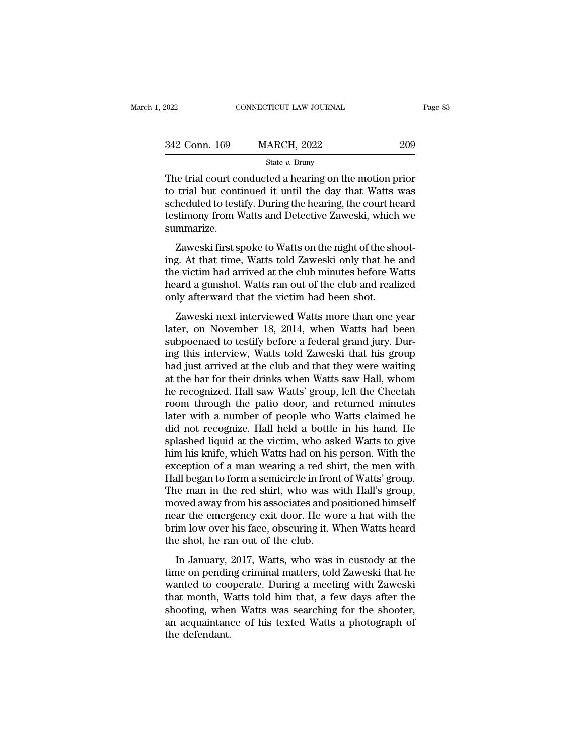| 2022          | CONNECTICUT LAW JOURNAL                                                                                                                                                      | Page 83 |
|---------------|------------------------------------------------------------------------------------------------------------------------------------------------------------------------------|---------|
| 342 Conn. 169 | <b>MARCH, 2022</b>                                                                                                                                                           | 209     |
|               | State $v$ . Bruny                                                                                                                                                            |         |
|               | The trial court conducted a hearing on the motion prior<br>to trial but continued it until the day that Watts was<br>cahoduled to testify During the begring the court beard |         |

 $\begin{array}{r} \text{342 Conn. 169} \text{169} \text{168} \text{169} \text{160} \text{160} \text{160} \text{160} \text{160} \text{160} \text{160} \text{160} \text{160} \text{160} \text{160} \text{160} \text{160} \text{160} \text{160} \text{160} \text{160} \text{160} \text{160} \text{160} \text{160} \text{160} \text{160} \text{160} \text{160} \text{1$ 342 Conn. 169 MARCH, 2022 209<br>
State v. Bruny<br>
The trial court conducted a hearing on the motion prior<br>
to trial but continued it until the day that Watts was<br>
scheduled to testify. During the hearing, the court heard<br>
te 342 Conn. 169 MARCH, 2022 209<br>
State v. Bruny<br>
The trial court conducted a hearing on the motion prior<br>
to trial but continued it until the day that Watts was<br>
scheduled to testify. During the hearing, the court heard<br>
te summarize. is the trial court conducted a hearing on the motion prior<br>trial but continued it until the day that Watts was<br>heduled to testify. During the hearing, the court heard<br>stimony from Watts and Detective Zaweski, which we<br>mmar The that contributed it until the day that Watts was<br>scheduled to testify. During the hearing, the court heard<br>testimony from Watts and Detective Zaweski, which we<br>summarize.<br>Zaweski first spoke to Watts on the night of th

to and but continued it until the day that wates was<br>scheduled to testify. During the hearing, the court heard<br>testimony from Watts and Detective Zaweski, which we<br>summarize.<br>Zaweski first spoke to Watts on the night of th sencuated to testify. During the hearing, the court heard<br>testimony from Watts and Detective Zaweski, which we<br>summarize.<br>Zaweski first spoke to Watts on the night of the shoot-<br>ing. At that time, Watts told Zaweski only t summarize.<br>
Zaweski first spoke to Watts on the night of the shot<br>
ing. At that time, Watts told Zaweski only that he<br>
the victim had arrived at the club minutes before W.<br>
heard a gunshot. Watts ran out of the club and re Zaweski first spoke to Watts on the night of the shoot-<br>g. At that time, Watts told Zaweski only that he and<br>e victim had arrived at the club minutes before Watts<br>ard a gunshot. Watts ran out of the club and realized<br>ly af Later and the victim had arrived at the club minutes before Watts<br>heard a gunshot. Watts ran out of the club and realized<br>only afterward that the victim had been shot.<br>Zaweski next interviewed Watts more than one year<br>late

ing. The that thee, wates tool zaweshi only that he that<br>the victim had arrived at the club minutes before Watts<br>heard a gunshot. Watts ran out of the club and realized<br>only afterward that the victim had been shot.<br>Zaweski ing the vient had arrived as the ends himates service wates<br>heard a gunshot. Watts ran out of the club and realized<br>only afterward that the victim had been shot.<br>Zaweski next interviewed Watts more than one year<br>later, on had a galaxies. Wates rarived of the club and relationary<br>only afterward that the victim had been shot.<br>Zaweski next interviewed Watts more than one year<br>later, on November 18, 2014, when Watts had been<br>subpoenaed to testi Zaweski next interviewed Watts more than one year<br>later, on November 18, 2014, when Watts had been<br>subpoenaed to testify before a federal grand jury. Dur-<br>ing this interview, Watts told Zaweski that his group<br>had just arri Zaweski next interviewed Watts more than one year<br>later, on November 18, 2014, when Watts had been<br>subpoenaed to testify before a federal grand jury. Dur-<br>ing this interview, Watts told Zaweski that his group<br>had just arri later, on November 18, 2014, when Watts had been<br>subpoenaed to testify before a federal grand jury. Dur-<br>ing this interview, Watts told Zaweski that his group<br>had just arrived at the club and that they were waiting<br>at the subpoenaed to testify before a federal grand jury. During this interview, Watts told Zaweski that his group<br>had just arrived at the club and that they were waiting<br>at the bar for their drinks when Watts saw Hall, whom<br>he r ing this interview, Watts told Zaweski that his group<br>had just arrived at the club and that they were waiting<br>at the bar for their drinks when Watts saw Hall, whom<br>he recognized. Hall saw Watts' group, left the Cheetah<br>roo had just arrived at the club and that they were waiting<br>at the bar for their drinks when Watts saw Hall, whom<br>he recognized. Hall saw Watts' group, left the Cheetah<br>room through the patio door, and returned minutes<br>later w at the bar for their drinks when Watts saw Hall, whom<br>he recognized. Hall saw Watts' group, left the Cheetah<br>room through the patio door, and returned minutes<br>later with a number of people who Watts claimed he<br>did not reco he recognized. Hall saw Watts' group, left the Cheetah<br>room through the patio door, and returned minutes<br>later with a number of people who Watts claimed he<br>did not recognize. Hall held a bottle in his hand. He<br>splashed liq room through the patio door, and returned minutes<br>later with a number of people who Watts claimed he<br>did not recognize. Hall held a bottle in his hand. He<br>splashed liquid at the victim, who asked Watts to give<br>him his knif later with a number of people who Watts claimed he<br>did not recognize. Hall held a bottle in his hand. He<br>splashed liquid at the victim, who asked Watts to give<br>him his knife, which Watts had on his person. With the<br>excepti did not recognize. Hall held a bottle in his hand. He<br>splashed liquid at the victim, who asked Watts to give<br>him his knife, which Watts had on his person. With the<br>exception of a man wearing a red shirt, the men with<br>Hall splashed liquid at the victim, who asked Watts to give<br>him his knife, which Watts had on his person. With the<br>exception of a man wearing a red shirt, the men with<br>Hall began to form a semicircle in front of Watts' group.<br>T him his knife, which Watts had on his person. With the exception of a man wearing a red shirt, the men with Hall began to form a semicircle in front of Watts' group.<br>The man in the red shirt, who was with Hall's group, mov exception of a man wearing a red sh<br>Hall began to form a semicircle in fron<br>The man in the red shirt, who was v<br>moved away from his associates and p<br>near the emergency exit door. He wo<br>brim low over his face, obscuring it. In Began to form a schlieffield in front of wates group.<br>
In Began to form a schlieffield in front of wates group,<br>
Dividend himself<br>
ar the emergency exit door. He wore a hat with the<br>
im low over his face, obscuring it. The man in the red sint, who was with rian s group,<br>moved away from his associates and positioned himself<br>near the emergency exit door. He wore a hat with the<br>brim low over his face, obscuring it. When Watts heard<br>the shot

moved and y nontrins associates and postabled rimser<br>mear the emergency exit door. He wore a hat with the<br>brim low over his face, obscuring it. When Watts heard<br>the shot, he ran out of the club.<br>In January, 2017, Watts, wh that are emergency extracted. He wore a national the brim low over his face, obscuring it. When Watts heard<br>the shot, he ran out of the club.<br>In January, 2017, Watts, who was in custody at the<br>time on pending criminal matt shin fow over his face, ossealing for when wates heard<br>the shot, he ran out of the club.<br>In January, 2017, Watts, who was in custody at the<br>time on pending criminal matters, told Zaweski that he<br>wanted to cooperate. During In January, 2017, Watts, who was in custody at the<br>time on pending criminal matters, told Zaweski that he<br>wanted to cooperate. During a meeting with Zaweski<br>that month, Watts told him that, a few days after the<br>shooting, w In January,<br>time on pendin<br>wanted to coo<br>that month, W<br>shooting, when<br>an acquaintane<br>the defendant.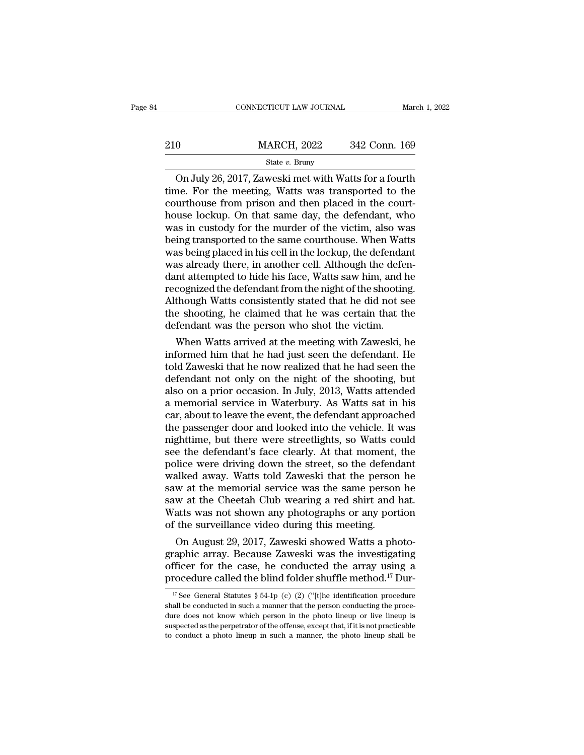|     | CONNECTICUT LAW JOURNAL |               | March 1, 2022 |
|-----|-------------------------|---------------|---------------|
|     |                         |               |               |
| 210 | <b>MARCH, 2022</b>      | 342 Conn. 169 |               |
|     | State $v$ . Bruny       |               |               |

CONNECTICUT LAW JOURNAL March 1, 2022<br>
On July 26, 2017, Zaweski met with Watts for a fourth<br>
On July 26, 2017, Zaweski met with Watts for a fourth<br>
ne. For the meeting, Watts was transported to the<br>
uurthouse from prison 210 MARCH, 2022 342 Conn. 169<br>
State v. Bruny<br>
On July 26, 2017, Zaweski met with Watts for a fourth<br>
time. For the meeting, Watts was transported to the<br>
courthouse from prison and then placed in the court-<br>
house lockup 210 MARCH, 2022 342 Conn. 169<br>
State v. Bruny<br>
On July 26, 2017, Zaweski met with Watts for a fourth<br>
time. For the meeting, Watts was transported to the<br>
courthouse from prison and then placed in the court-<br>
house lockup 210 MARCH, 2022 342 Conn. 169<br>
State v. Bruny<br>
On July 26, 2017, Zaweski met with Watts for a fourth<br>
time. For the meeting, Watts was transported to the<br>
courthouse from prison and then placed in the court-<br>
house lockup State v. Bruny<br>State v. Bruny<br>On July 26, 2017, Zaweski met with Watts for a fourth<br>time. For the meeting, Watts was transported to the<br>courthouse from prison and then placed in the court-<br>house lockup. On that same day, State v. Bruny<br>
On July 26, 2017, Zaweski met with Watts for a fourth<br>
time. For the meeting, Watts was transported to the<br>
courthouse from prison and then placed in the court-<br>
house lockup. On that same day, the defenda On July 26, 2017, Zaweski met with Watts for a fourth<br>time. For the meeting, Watts was transported to the<br>courthouse from prison and then placed in the court-<br>house lockup. On that same day, the defendant, who<br>was in custo time. For the meeting, Watts was transported to the courthouse from prison and then placed in the courthouse lockup. On that same day, the defendant, who was in custody for the murder of the victim, also was being transpor courthouse from prison and then placed in the court-<br>house lockup. On that same day, the defendant, who<br>was in custody for the murder of the victim, also was<br>being transported to the same courthouse. When Watts<br>was being p house lockup. On that same day, the defendant, who was in custody for the murder of the victim, also was being transported to the same courthouse. When Watts was being placed in his cell in the lockup, the defendant was al was in custody for the murder of the victim, also was<br>being transported to the same courthouse. When Watts<br>was being placed in his cell in the lockup, the defendant<br>was already there, in another cell. Although the defen-<br>d being transported to the same courthouse. When Watts<br>was being placed in his cell in the lockup, the defendant<br>was already there, in another cell. Although the defen-<br>dant attempted to hide his face, Watts saw him, and he<br> was being placed in his cell in the lockup, the defendant was already there, in another cell. Although the defendant attempted to hide his face, Watts saw him, and he recognized the defendant from the night of the shootin as already there, in another cell. Although the defendent<br>int attempted to hide his face, Watts saw him, and he<br>cognized the defendant from the night of the shooting.<br>though Watts consistently stated that he did not see<br>e dant attempted to hide his face, watts saw him, and he<br>recognized the defendant from the night of the shooting.<br>Although Watts consistently stated that he did not see<br>the shooting, he claimed that he was certain that the<br>d

recognized the defendant from the night of the shooting.<br>Although Watts consistently stated that he did not see<br>the shooting, he claimed that he was certain that the<br>defendant was the person who shot the victim.<br>When Watts Although Watts consistently stated that he did not see<br>the shooting, he claimed that he was certain that the<br>defendant was the person who shot the victim.<br>When Watts arrived at the meeting with Zaweski, he<br>informed him tha the shooting, he claimed that he was certain that the<br>defendant was the person who shot the victim.<br>When Watts arrived at the meeting with Zaweski, he<br>informed him that he had just seen the defendant. He<br>told Zaweski that detendant was the person who shot the victim.<br>
When Watts arrived at the meeting with Zaweski, he<br>
informed him that he had just seen the defendant. He<br>
told Zaweski that he now realized that he had seen the<br>
defendant not When Watts arrived at the meeting with Zaweski, he<br>informed him that he had just seen the defendant. He<br>told Zaweski that he now realized that he had seen the<br>defendant not only on the night of the shooting, but<br>also on a informed him that he had just seen the defendant. He<br>told Zaweski that he now realized that he had seen the<br>defendant not only on the night of the shooting, but<br>also on a prior occasion. In July, 2013, Watts attended<br>a mem told Zaweski that he now realized that he had seen the defendant not only on the night of the shooting, but also on a prior occasion. In July, 2013, Watts attended a memorial service in Waterbury. As Watts sat in his car, defendant not only on the night of the shooting, but<br>also on a prior occasion. In July, 2013, Watts attended<br>a memorial service in Waterbury. As Watts sat in his<br>car, about to leave the event, the defendant approached<br>the also on a prior occasion. In July, 2013, Watts attended<br>a memorial service in Waterbury. As Watts sat in his<br>car, about to leave the event, the defendant approached<br>the passenger door and looked into the vehicle. It was<br>ni a memorial service in Waterbury. As Watts sat in his<br>car, about to leave the event, the defendant approached<br>the passenger door and looked into the vehicle. It was<br>nighttime, but there were streetlights, so Watts could<br>see car, about to leave the event, the defendant approached<br>the passenger door and looked into the vehicle. It was<br>nighttime, but there were streetlights, so Watts could<br>see the defendant's face clearly. At that moment, the<br>po the passenger door and looked into the vehicle. It was<br>nighttime, but there were streetlights, so Watts could<br>see the defendant's face clearly. At that moment, the<br>police were driving down the street, so the defendant<br>walk mighttime, but there were streetlights, so Watts could<br>see the defendant's face clearly. At that moment, the<br>police were driving down the street, so the defendant<br>walked away. Watts told Zaweski that the person he<br>saw at t see the defendant's face clearly. At that moment,<br>police were driving down the street, so the defend<br>walked away. Watts told Zaweski that the person<br>saw at the memorial service was the same person<br>saw at the Cheetah Club w ince were arrying aown the street, so the derendant<br>alked away. Watts told Zaweski that the person he<br>w at the memorial service was the same person he<br>w at the Cheetah Club wearing a red shirt and hat.<br>atts was not shown a walked away. Watts told Zaweski that the person he<br>saw at the memorial service was the same person he<br>saw at the Cheetah Club wearing a red shirt and hat.<br>Watts was not shown any photographs or any portion<br>of the surveill

saw at the memorial service was the same person he<br>saw at the Cheetah Club wearing a red shirt and hat.<br>Watts was not shown any photographs or any portion<br>of the surveillance video during this meeting.<br>On August 29, 2017, saw at the Cheetan Club wearing a red shirt and nat.<br>Watts was not shown any photographs or any portion<br>of the surveillance video during this meeting.<br>On August 29, 2017, Zaweski showed Watts a photo-<br>graphic array. Becau On August 29, 2017, Zaweski showed Watts a photo-<br>raphic array. Because Zaweski was the investigating<br>fficer for the case, he conducted the array using a<br>rocedure called the blind folder shuffle method.<sup>17</sup> Dur-<br><sup>17</sup> See graphic array. Because Zaweski was the investigating officer for the case, he conducted the array using a procedure called the blind folder shuffle method.<sup>17</sup> Dur-<br><sup>17</sup> See General Statutes § 54-1p (c) (2) ("[t]he identi

officer for the case, he conducted the array using a procedure called the blind folder shuffle method.<sup>17</sup> Dur-<br><sup>17</sup> See General Statutes § 54-1p (c) (2) ("[t]he identification procedure shall be conducted in such a manne procedure called the blind folder shuffle method.<sup>17</sup> Dur-<br><sup>17</sup> See General Statutes § 54-1p (c) (2) ("[t]he identification procedure<br>shall be conducted in such a manner that the person conducting the proce-<br>dure does not <sup>17</sup> See General Statutes § 54-1p (c) (2) ("[t]he identification procedure shall be conducted in such a manner that the person conducting the procedure does not know which person in the photo lineup or live lineup is susp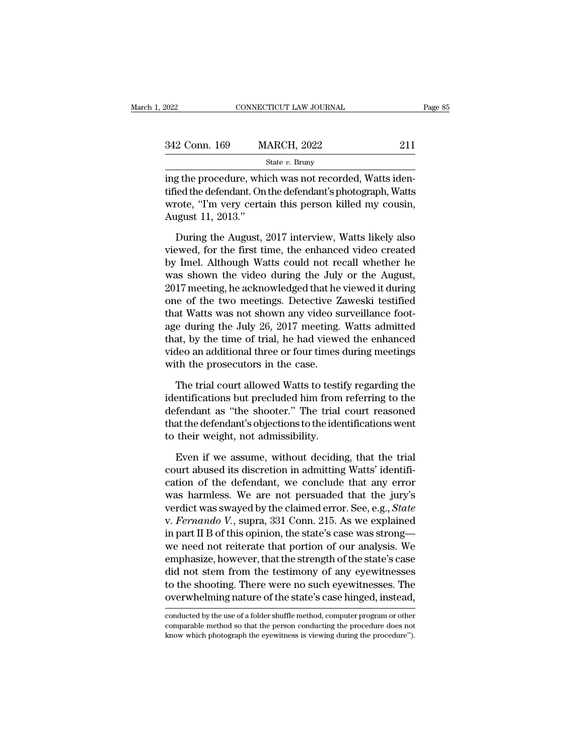| 2022          | CONNECTICUT LAW JOURNAL | Page 85 |  |
|---------------|-------------------------|---------|--|
| 342 Conn. 169 | <b>MARCH, 2022</b>      | 211     |  |
|               | State $v$ . Bruny       |         |  |

EXERCT 2022<br>
In the procedure, which was not recorded, Watts identified the defendant. On the defendant's photograph, Watts<br>
EXERCT: The vary contains this person lilled my cousing<br>
EXERCT: The vary contains this person li 342 Conn. 169 MARCH, 2022 211<br>
State v. Bruny<br>
ing the procedure, which was not recorded, Watts identified the defendant. On the defendant's photograph, Watts<br>
wrote, "I'm very certain this person killed my cousin, 342 Conn. 169 MARCH, 2022 211<br>
State v. Bruny<br>
ing the procedure, which was not recorded, Watts identified the defendant. On the defendant's photograph, Watts<br>
wrote, "I'm very certain this person killed my cousin,<br>
Augus 342 Conn. 169<br>
Ing the procedure, whi<br>
tified the defendant. On<br>
wrote, "I'm very certa<br>
August 11, 2013."<br>
During the August, State  $v$ . Bruny<br>
g the procedure, which was not recorded, Watts iden-<br>
ied the defendant. On the defendant's photograph, Watts<br>
rote, "I'm very certain this person killed my cousin,<br>
gust 11, 2013."<br>
During the August, 2 ing the procedure, which was not recorded, Watts identified the defendant. On the defendant's photograph, Watts<br>wrote, "I'm very certain this person killed my cousin,<br>August 11, 2013."<br>During the August, 2017 interview, Wa

tified the defendant. On the defendant's photograph, Watts<br>wrote, "I'm very certain this person killed my cousin,<br>August 11, 2013."<br>During the August, 2017 interview, Watts likely also<br>viewed, for the first time, the enhan wrote, "I'm very certain this person killed my cousin,<br>August 11, 2013."<br>During the August, 2017 interview, Watts likely also<br>viewed, for the first time, the enhanced video created<br>by Imel. Although Watts could not recall August 11, 2013."<br>
During the August, 2017 interview, Watts likely also<br>
viewed, for the first time, the enhanced video created<br>
by Imel. Although Watts could not recall whether he<br>
was shown the video during the July or t During the August, 2017 interview, Watts likely also<br>viewed, for the first time, the enhanced video created<br>by Imel. Although Watts could not recall whether he<br>was shown the video during the July or the August,<br>2017 meeti During the August, 2017 interview, Watts likely also<br>viewed, for the first time, the enhanced video created<br>by Imel. Although Watts could not recall whether he<br>was shown the video during the July or the August,<br>2017 meetin viewed, for the first time, the enhanced video created<br>by Imel. Although Watts could not recall whether he<br>was shown the video during the July or the August,<br>2017 meeting, he acknowledged that he viewed it during<br>one of th by Imel. Although Watts could not recall whether he<br>was shown the video during the July or the August,<br>2017 meeting, he acknowledged that he viewed it during<br>one of the two meetings. Detective Zaweski testified<br>that Watts was shown the video during the July or the August,<br>2017 meeting, he acknowledged that he viewed it during<br>one of the two meetings. Detective Zaweski testified<br>that Watts was not shown any video surveillance foot-<br>age durin 2017 meeting, he acknowledged that he<br>one of the two meetings. Detective Z<br>that Watts was not shown any video s<br>age during the July 26, 2017 meeting.<br>that, by the time of trial, he had viewe<br>video an additional three or fo at Watts was not shown any video surveillance foot-<br>e during the July 26, 2017 meeting. Watts admitted<br>at, by the time of trial, he had viewed the enhanced<br>deo an additional three or four times during meetings<br>th the prose age during the July 26, 2017 meeting. Watts admitted<br>that, by the time of trial, he had viewed the enhanced<br>video an additional three or four times during meetings<br>with the prosecutors in the case.<br>The trial court allowed

that, by the time of trial, he had viewed the enhanced<br>video an additional three or four times during meetings<br>with the prosecutors in the case.<br>The trial court allowed Watts to testify regarding the<br>identifications but pr video an additional three or four times during meetings<br>with the prosecutors in the case.<br>The trial court allowed Watts to testify regarding the<br>identifications but precluded him from referring to the<br>defendant as "the sho with the prosecutors in the case.<br>The trial court allowed Watts to testive identifications but precluded him from<br>defendant as "the shooter." The trial<br>that the defendant's objections to the ide<br>to their weight, not admiss The trial court allowed Watts to testify regarding the<br>entifications but precluded him from referring to the<br>fendant as "the shooter." The trial court reasoned<br>at the defendant's objections to the identifications went<br>thei identifications but precluded him from referring to the<br>defendant as "the shooter." The trial court reasoned<br>that the defendant's objections to the identifications went<br>to their weight, not admissibility.<br>Even if we assume

defendant as "the shooter." The trial court reasoned<br>that the defendant's objections to the identifications went<br>to their weight, not admissibility.<br>Even if we assume, without deciding, that the trial<br>court abused its disc that the defendant's objections to the identifications went<br>to their weight, not admissibility.<br>Even if we assume, without deciding, that the trial<br>court abused its discretion in admitting Watts' identifi-<br>cation of the de to their weight, not admissibility.<br>
Even if we assume, without deciding, that the trial<br>
court abused its discretion in admitting Watts' identifi-<br>
cation of the defendant, we conclude that any error<br>
was harmless. We are Even if we assume, without deciding, that the trial<br>court abused its discretion in admitting Watts' identifi-<br>cation of the defendant, we conclude that any error<br>was harmless. We are not persuaded that the jury's<br>verdict w Even if we assume, without deciding, that the trial<br>court abused its discretion in admitting Watts' identifi-<br>cation of the defendant, we conclude that any error<br>was harmless. We are not persuaded that the jury's<br>verdict w court abused its discretion in admitting Watts' identification of the defendant, we conclude that any error was harmless. We are not persuaded that the jury's verdict was swayed by the claimed error. See, e.g., *State* v. cation of the defendant, we conclude that any error<br>was harmless. We are not persuaded that the jury's<br>verdict was swayed by the claimed error. See, e.g., *State*<br>v. *Fernando V.*, supra, 331 Conn. 215. As we explained<br>in was harmless. We are not persuaded that the jury's<br>verdict was swayed by the claimed error. See, e.g., *State*<br>v. Fernando V., supra, 331 Conn. 215. As we explained<br>in part II B of this opinion, the state's case was strong verdict was swayed by the claimed error. See, e.g., *State* v. *Fernando V.*, supra, 331 Conn. 215. As we explained in part II B of this opinion, the state's case was strong—we need not reiterate that portion of our analys v. *Fernando V*., supra, 331 Conn. 215. As we explained<br>in part II B of this opinion, the state's case was strong—<br>we need not reiterate that portion of our analysis. We<br>emphasize, however, that the strength of the state's emphasize, nowever, that the strength of the state s case<br>did not stem from the testimony of any eyewitnesses.<br>to the shooting. There were no such eyewitnesses. The<br>overwhelming nature of the state's case hinged, instead,<br> did not stem from the testimony of any eyewitnesses<br>to the shooting. There were no such eyewitnesses. The<br>overwhelming nature of the state's case hinged, instead,<br>conducted by the use of a folder shuffle method, computer p

to the shooting. There were no such eyewitnesses. The overwhelming nature of the state's case hinged, instead, conducted by the use of a folder shuffle method, computer program or other comparable method so that the person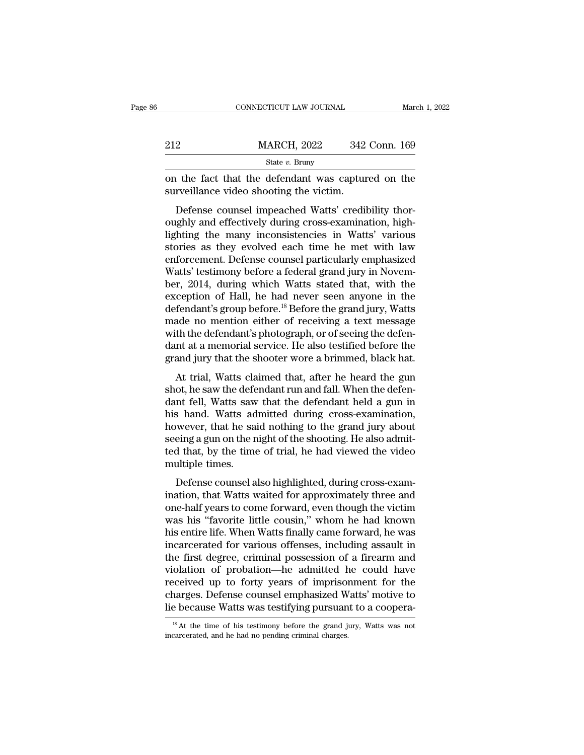|     | CONNECTICUT LAW JOURNAL                                                                                                                                             | March 1, 2022 |
|-----|---------------------------------------------------------------------------------------------------------------------------------------------------------------------|---------------|
|     |                                                                                                                                                                     |               |
| 212 | <b>MARCH, 2022</b>                                                                                                                                                  | 342 Conn. 169 |
|     | State $v$ . Bruny                                                                                                                                                   |               |
|     | on the fact that the defendant was captured on the<br>surveillance video shooting the victim.                                                                       |               |
|     | Defense counsel impeached Watts' credibility thor-<br>oughly and effectively during cross-examination, high-<br>lighting the many inconsistencies in Wetts' various |               |

212 MARCH, 2022 342 Conn. 169<br>
State v. Bruny<br>
on the fact that the defendant was captured on the<br>
surveillance video shooting the victim.<br>
Defense counsel impeached Watts' credibility thor-<br>
oughly and effectively during State v. Bruny<br>
on the fact that the defendant was captured on the<br>
surveillance video shooting the victim.<br>
Defense counsel impeached Watts' credibility thor-<br>
oughly and effectively during cross-examination, high-<br>
ligh on the fact that the defendant was captured on the<br>surveillance video shooting the victim.<br>Defense counsel impeached Watts' credibility thor-<br>oughly and effectively during cross-examination, high-<br>lighting the many inconsi on the fact that the determant was captured on the<br>surveillance video shooting the victim.<br>Defense counsel impeached Watts' credibility thor-<br>oughly and effectively during cross-examination, high-<br>lighting the many inconsi Surventance video shooting the vietini.<br>Defense counsel impeached Watts' credibility thor-<br>oughly and effectively during cross-examination, high-<br>lighting the many inconsistencies in Watts' various<br>stories as they evolved Defense counsel impeached Watts' credibility thoroughly and effectively during cross-examination, high-<br>lighting the many inconsistencies in Watts' various<br>stories as they evolved each time he met with law<br>enforcement. Def oughly and effectively during cross-examination, high-<br>lighting the many inconsistencies in Watts' various<br>stories as they evolved each time he met with law<br>enforcement. Defense counsel particularly emphasized<br>Watts' testi lighting the many inconsistencies in Watts' various<br>stories as they evolved each time he met with law<br>enforcement. Defense counsel particularly emphasized<br>Watts' testimony before a federal grand jury in Novem-<br>ber, 2014, d stories as they evolved each time he met with law<br>enforcement. Defense counsel particularly emphasized<br>Watts' testimony before a federal grand jury in Novem-<br>ber, 2014, during which Watts stated that, with the<br>exception of enforcement. Defense counsel particularly emphasized<br>Watts' testimony before a federal grand jury in November, 2014, during which Watts stated that, with the<br>exception of Hall, he had never seen anyone in the<br>defendant's g Watts' testimony before a federal grand jury in November, 2014, during which Watts stated that, with the exception of Hall, he had never seen anyone in the defendant's group before.<sup>18</sup> Before the grand jury, Watts made no ber, 2014, during which Watts stated that, with the exception of Hall, he had never seen anyone in the defendant's group before.<sup>18</sup> Before the grand jury, Watts made no mention either of receiving a text message with the Eleption of Hail, he had never seen anyone in the fendant's group before.<sup>18</sup> Before the grand jury, Watts ade no mention either of receiving a text message th the defendant's photograph, or of seeing the defendant at a me shot, he saw the defendant is group before. Before the grand jury, watted made no mention either of receiving a text message with the defendant at a memorial service. He also testified before the grand jury that the shoote

made no included charge of receiving a text inessage<br>with the defendant's photograph, or of seeing the defen-<br>dant at a memorial service. He also testified before the<br>grand jury that the shooter wore a brimmed, black hat.<br> what are detendant s photograph, or or seeing the deter-<br>dant at a memorial service. He also testified before the<br>grand jury that the shooter wore a brimmed, black hat.<br>At trial, Watts claimed that, after he heard the gun<br> dant at a included servect. The also testined before the<br>grand jury that the shooter wore a brimmed, black hat.<br>At trial, Watts claimed that, after he heard the gun<br>shot, he saw the defendant run and fall. When the defen-<br> stand jury that the shooter wore a brinnined, black half.<br>At trial, Watts claimed that, after he heard the gun<br>shot, he saw the defendant run and fall. When the defen-<br>dant fell, Watts saw that the defendant held a gun in<br> At trial, Watts claimed that, after he heard the gun<br>shot, he saw the defendant run and fall. When the defen-<br>dant fell, Watts saw that the defendant held a gun in<br>his hand. Watts admitted during cross-examination,<br>however shot, he saw the deferment fell, Watts saw<br>his hand. Watts ad<br>however, that he sa<br>seeing a gun on the n<br>ted that, by the time<br>multiple times.<br>Defense counsel a In ten, wates saw that the defendant field a gun in<br>s hand. Watts admitted during cross-examination,<br>wever, that he said nothing to the grand jury about<br>eing a gun on the night of the shooting. He also admit-<br>d that, by th Instructure and interest and the grand jury about<br>seeing a gun on the night of the shooting. He also admitted that, by the time of trial, he had viewed the video<br>multiple times.<br>Defense counsel also highlighted, during cro

nowever, that it said nothing to the graint jury about<br>seeing a gun on the night of the shooting. He also admit-<br>ted that, by the time of trial, he had viewed the video<br>multiple times.<br>Defense counsel also highlighted, dur beenig a gan on the hight of the shooting. The also durint<br>ted that, by the time of trial, he had viewed the video<br>multiple times.<br>Defense counsel also highlighted, during cross-exam-<br>ination, that Watts waited for approxi haist transfer and the visit of the simultiple times.<br>
Defense counsel also highlighted, during cross-examination, that Watts waited for approximately three and<br>
one-half years to come forward, even though the victim<br>
was nualpet antes.<br>
Defense counsel also highlighted, during cross-examination, that Watts waited for approximately three and<br>
one-half years to come forward, even though the victim<br>
was his "favorite little cousin," whom he h Defense counsel also highlighted, during cross-examination, that Watts waited for approximately three and<br>one-half years to come forward, even though the victim<br>was his "favorite little cousin," whom he had known<br>his entir ination, that Watts waited for approximately three and<br>one-half years to come forward, even though the victim<br>was his "favorite little cousin," whom he had known<br>his entire life. When Watts finally came forward, he was<br>inc one-half years to come forward, even though the victim<br>was his "favorite little cousin," whom he had known<br>his entire life. When Watts finally came forward, he was<br>incarcerated for various offenses, including assault in<br>th was his "favorite little cousin," whom he had known<br>his entire life. When Watts finally came forward, he was<br>incarcerated for various offenses, including assault in<br>the first degree, criminal possession of a firearm and<br>vi his entire life. When Watts finally came forward, he was incarcerated for various offenses, including assault in the first degree, criminal possession of a firearm and violation of probation—he admitted he could have rece violation of probation—he admitted he could have<br>received up to forty years of imprisonment for the<br>charges. Defense counsel emphasized Watts' motive to<br>lie because Watts was testifying pursuant to a coopera-<br><sup>18</sup> At the t lie because Watts was testifying pursuant to a coopera-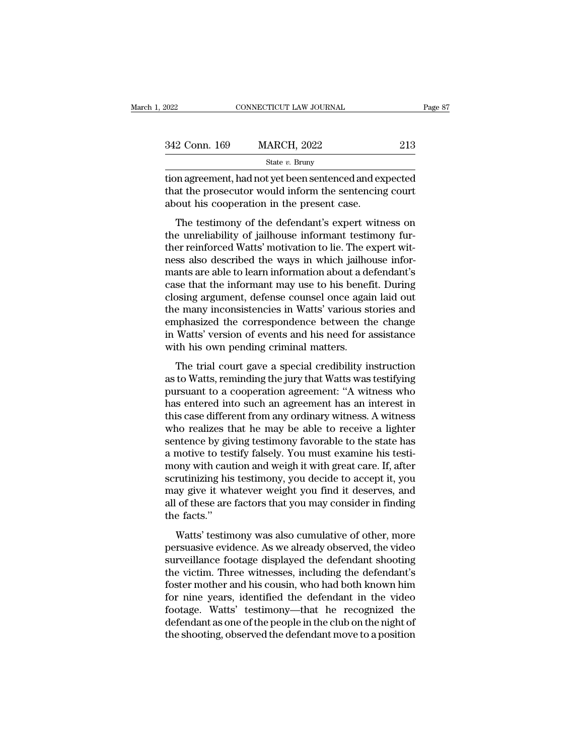| 2022          | CONNECTICUT LAW JOURNAL                                                                                                                                        | Page 87 |
|---------------|----------------------------------------------------------------------------------------------------------------------------------------------------------------|---------|
|               |                                                                                                                                                                |         |
| 342 Conn. 169 | <b>MARCH, 2022</b>                                                                                                                                             | 213     |
|               | State $v$ . Bruny                                                                                                                                              |         |
|               | tion agreement, had not yet been sentenced and expected<br>that the prosecutor would inform the sentencing court<br>about his cooperation in the present case. |         |
|               | The testimony of the defendant's expert witness on                                                                                                             |         |

 $\frac{\text{State } v. \text{ Bruny}}{\text{State } v. \text{ Bruny}}$ <br>
In agreement, had not yet been sentenced and expected<br>
at the prosecutor would inform the sentencing court<br>
out his cooperation in the present case.<br>
The testimony of the defendant's expert

 $\frac{1}{100}$ <br>
state v. Bruny<br>
tion agreement, had not yet been sentenced and expected<br>
that the prosecutor would inform the sentencing court<br>
about his cooperation in the present case.<br>
The testimony of the defendant's exp tion agreement, had not yet been sentenced and expected<br>that the prosecutor would inform the sentencing court<br>about his cooperation in the present case.<br>The testimony of the defendant's expert witness on<br>the unreliability ness also described in the prosecutor would inform the sentencing court<br>about his cooperation in the present case.<br>The testimony of the defendant's expert witness on<br>the unreliability of jailhouse informant testimony fur-<br> manta the prosection women informative schemeng countable about his cooperation in the present case.<br>The testimony of the defendant's expert witness on the unreliability of jailhouse informant testimony further reinforced The testimony of the defendant's expert witness on<br>the unreliability of jailhouse informant testimony fur-<br>ther reinforced Watts' motivation to lie. The expert wit-<br>ness also described the ways in which jailhouse infor-<br>ma The testimony of the defendant's expert witness on<br>the unreliability of jailhouse informant testimony fur-<br>ther reinforced Watts' motivation to lie. The expert wit-<br>ness also described the ways in which jailhouse infor-<br>ma the unreliability of jailhouse informant testimony fur-<br>ther reinforced Watts' motivation to lie. The expert wit-<br>ness also described the ways in which jailhouse infor-<br>mants are able to learn information about a defendant ther reinforced Watts' motivation to lie. The expert witness also described the ways in which jailhouse informants are able to learn information about a defendant's case that the informant may use to his benefit. During cl ness also described the ways in which jailhouse informants are able to learn information about a defendant's case that the informant may use to his benefit. During closing argument, defense counsel once again laid out the mants are able to learn information about a de<br>case that the informant may use to his benef<br>closing argument, defense counsel once agai<br>the many inconsistencies in Watts' various st<br>emphasized the correspondence between th So that the mormant may use to his benefit. Burnts<br>
Ssing argument, defense counsel once again laid out<br>
e many inconsistencies in Watts' various stories and<br>
uphasized the correspondence between the change<br>
Watts' version as the many inconsistencies in Watts' various stories and<br>the many inconsistencies in Watts' various stories and<br>emphasized the correspondence between the change<br>in Watts' version of events and his need for assistance<br>with

and many mechanismic and makes various stories and<br>emphasized the correspondence between the change<br>in Watts' version of events and his need for assistance<br>with his own pending criminal matters.<br>The trial court gave a spec in Watts' version of events and his need for assistance<br>with his own pending criminal matters.<br>The trial court gave a special credibility instruction<br>as to Watts, reminding the jury that Watts was testifying<br>pursuant to a In whis consistent of events and his freed for assistance<br>with his own pending criminal matters.<br>The trial court gave a special credibility instruction<br>as to Watts, reminding the jury that Watts was testifying<br>pursuant to The trial court gave a special credibility instruction<br>as to Watts, reminding the jury that Watts was testifying<br>pursuant to a cooperation agreement: "A witness who<br>has entered into such an agreement has an interest in<br>thi The trial court gave a special credibility instruction<br>as to Watts, reminding the jury that Watts was testifying<br>pursuant to a cooperation agreement: "A witness who<br>has entered into such an agreement has an interest in<br>thi as to Watts, reminding the jury that Watts was testifying<br>pursuant to a cooperation agreement: "A witness who<br>has entered into such an agreement has an interest in<br>this case different from any ordinary witness. A witness<br>w pursuant to a cooperation agreement: "A witness who<br>has entered into such an agreement has an interest in<br>this case different from any ordinary witness. A witness<br>who realizes that he may be able to receive a lighter<br>sente has entered into such an agreement has an interest in<br>this case different from any ordinary witness. A witness<br>who realizes that he may be able to receive a lighter<br>sentence by giving testimony favorable to the state has<br>a this case different from any ordinary witness. A witness<br>who realizes that he may be able to receive a lighter<br>sentence by giving testimony favorable to the state has<br>a motive to testify falsely. You must examine his testi who realizes that he may be able to receive a lighter<br>sentence by giving testimony favorable to the state has<br>a motive to testify falsely. You must examine his testi-<br>mony with caution and weigh it with great care. If, aft sentence by giva<br>a motive to tes<br>mony with caut<br>scrutinizing his<br>may give it wh<br>all of these are<br>the facts.''<br>Watts' testim Mourt the testim makes of the test in the test of the search only with caution and weigh it with great care. If, after rutinizing his testimony, you decide to accept it, you ay give it whatever weight you find it deserves, persuasive evidence. As we already observed, the video surveillance footage displayed the video surveillance footage displayed the defendant shooting<br>the video surveillance footage displayed the defendant shooting<br>the vide

secularizing his cesantory, you decide to decept  $\alpha$ , you<br>may give it whatever weight you find it deserves, and<br>all of these are factors that you may consider in finding<br>the facts."<br>Watts' testimony was also cumulative of the victim. Three witnesses, including the facts."<br>Watts' testimony was also cumulative of other, more<br>persuasive evidence. As we already observed, the video<br>surveillance footage displayed the defendant shooting<br>the victim for the facts."<br>
Watts' testimony was also cumulative of other, more<br>
persuasive evidence. As we already observed, the video<br>
surveillance footage displayed the defendant shooting<br>
the victim. Three witnesses, including th Watts' testimony was also cumulative of other, more<br>persuasive evidence. As we already observed, the video<br>surveillance footage displayed the defendant shooting<br>the victim. Three witnesses, including the defendant's<br>foster Watts' testimony was also cumulative of other, more<br>persuasive evidence. As we already observed, the video<br>surveillance footage displayed the defendant shooting<br>the victim. Three witnesses, including the defendant's<br>foster persuasive evidence. As we already observed, the video<br>surveillance footage displayed the defendant shooting<br>the victim. Three witnesses, including the defendant's<br>foster mother and his cousin, who had both known him<br>for n surveillance footage displayed the defendant shooting<br>the victim. Three witnesses, including the defendant's<br>foster mother and his cousin, who had both known him<br>for nine years, identified the defendant in the video<br>footag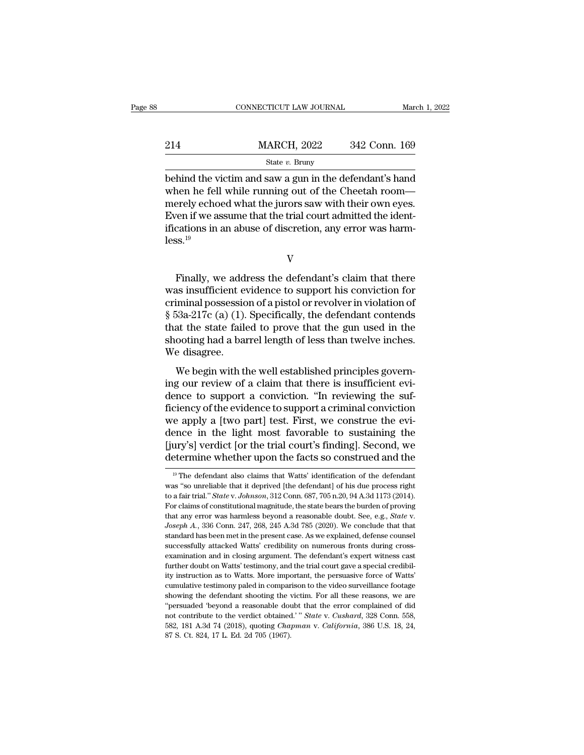|     | CONNECTICUT LAW JOURNAL                                                                                                                                                 |               | March 1, 2022 |
|-----|-------------------------------------------------------------------------------------------------------------------------------------------------------------------------|---------------|---------------|
| 214 | <b>MARCH, 2022</b>                                                                                                                                                      | 342 Conn. 169 |               |
|     | State $v$ . Bruny                                                                                                                                                       |               |               |
|     | behind the victim and saw a gun in the defendant's hand<br>when he fell while running out of the Cheetah room—<br>morely achood what the jurors saw with their own eves |               |               |

214 MARCH, 2022 342 Conn. 169<br>
state v. Bruny<br>
behind the victim and saw a gun in the defendant's hand<br>
when he fell while running out of the Cheetah room—<br>
merely echoed what the jurors saw with their own eyes.<br>
Fixon if 214 MARCH, 2022 342 Conn. 169<br>
State v. Bruny<br>
behind the victim and saw a gun in the defendant's hand<br>
when he fell while running out of the Cheetah room—<br>
merely echoed what the jurors saw with their own eyes.<br>
Even if 214 MARCH, 2022 342 Conn. 169<br>
State v. Bruny<br>
behind the victim and saw a gun in the defendant's hand<br>
when he fell while running out of the Cheetah room—<br>
merely echoed what the jurors saw with their own eyes.<br>
Even if State *v*. Bruny<br>
State *v*. Bruny<br>
behind the victim and saw a gun in the defendant's hand<br>
when he fell while running out of the Cheetah room—<br>
merely echoed what the jurors saw with their own eyes.<br>
Even if we assume t  $less<sup>19</sup>$ erely echoed what the jurors saw with their own eyes.<br>
Then if we assume that the trial court admitted the ident-<br>
cations in an abuse of discretion, any error was harm-<br>
SS.<sup>19</sup><br>
V<br>
Finally, we address the defendant's cla

V

Even if we assume that the trial court admitted the identifications in an abuse of discretion, any error was harm-<br>less.<sup>19</sup><br>V<br>Finally, we address the defendant's claim that there<br>was insufficient evidence to support his ifications in an abuse of discretion, any error was harm-<br>less.<sup>19</sup><br>V<br>Finally, we address the defendant's claim that there<br>was insufficient evidence to support his conviction for<br>criminal possession of a pistol or revolve <sup>19</sup><br>
V<br>
Finally, we address the defendant's claim that there<br>
was insufficient evidence to support his conviction for<br>
criminal possession of a pistol or revolver in violation of<br>
§ 53a-217c (a) (1). Specifically, the de V<br>Finally, we address the defendant's claim that there<br>was insufficient evidence to support his conviction for<br>criminal possession of a pistol or revolver in violation of<br>§ 53a-217c (a) (1). Specifically, the defendant con Finally, we address the defendant's claim that there was insufficient evidence to support his conviction for criminal possession of a pistol or revolver in violation of  $\S$  53a-217c (a) (1). Specifically, the defendant co Finally, we address insufficient every<br>criminal possessios<br> $\S$  53a-217c (a) (1).<br>that the state fails<br>shooting had a bar<br>We disagree.<br>We begin with the is insumediate to support ins conviction for<br>iminal possession of a pistol or revolver in violation of<br>53a-217c (a) (1). Specifically, the defendant contends<br>at the state failed to prove that the gun used in the<br>ooting had  $\S$  53a-217c (a) (1). Specifically, the defendant contends<br>
that the state failed to prove that the gun used in the<br>
shooting had a barrel length of less than twelve inches.<br>
We disagree.<br>
We begin with the well establish

 $\frac{1}{2}$  s boa-211C (a) (1). Specifically, the detendant contends<br>that the state failed to prove that the gun used in the<br>shooting had a barrel length of less than twelve inches.<br>We disagree.<br>We begin with the well estab ficiency of the evidence to support a criminal convictions.<br>We disagree.<br>We begin with the well established principles governing our review of a claim that there is insufficient evidence to support a conviction. "In review Shooting had a barter tength of ress than twerve incress.<br>We disagree.<br>We begin with the well established principles governing our review of a claim that there is insufficient evi-<br>dence to support a conviction. "In review We begin with the well established principles governing our review of a claim that there is insufficient evidence to support a conviction. "In reviewing the sufficiency of the evidence to support a criminal conviction we a We begin with the well established principles governing our review of a claim that there is insufficient evidence to support a conviction. "In reviewing the sufficiency of the evidence to support a criminal conviction we a ing our review of a claim that there is insufficient evidence to support a conviction. "In reviewing the sufficiency of the evidence to support a criminal conviction we apply a [two part] test. First, we construe the evide e apply a [two part] test. First, we construe the evi-<br>ence in the light most favorable to sustaining the<br>ury's] verdict [or the trial court's finding]. Second, we<br>etermine whether upon the facts so construed and the<br><sup>19</sup> dence in the light most favorable to sustaining the [jury's] verdict [or the trial court's finding]. Second, we determine whether upon the facts so construed and the  $\frac{10}{10}$  The defendant also claims that Watts' ident

<sup>[</sup>jury's] verdict [or the trial court's finding]. Second, we<br>determine whether upon the facts so construed and the<br><sup>19</sup> The defendant also claims that Watts' identification of the defendant<br>was "so unreliable that it depriv determine whether upon the facts so construed and the<br>
<sup>19</sup> The defendant also claims that Watts' identification of the defendant<br>
was "so unreliable that it deprived [the defendant] of his due process right<br>
to a fair tr <sup>19</sup> The defendant also claims that Watts' identification of the defendant was "so unreliable that it deprived [the defendant] of his due process right to a fair trial." *State* v. *Johnson*, 312 Conn. 687, 705 n.20, 94 A. was "so unreliable that it deprived [the defendant] of his due process right to a fair trial." *State v. Johnson*, 312 Conn. 687, 705 n.20, 94 A.3d 1173 (2014). For claims of constitutional magnitude, the state bears the successfully attacked Watts' credibility on numerous fronts during cross-<br>examinational magnitude, the state bears the burden of proving<br>that any error was harmless beyond a reasonable doubt. See, e.g., *State v.*<br>Joseph For claims of constitutional magnitude, the state bears the burden of proving that any error was harmless beyond a reasonable doubt. See, e.g., *State* v. *Joseph A.*, 336 Conn. 247, 268, 245 A.3d 785 (2020). We conclude that any error was harmless beyond a reasonable doubt. See, e.g., *State v.* Joseph A., 336 Conn. 247, 268, 245 A.3d 785 (2020). We conclude that that standard has been met in the present case. As we explained, defense co *Joseph A.*, 336 Conn. 247, 268, 245 A.3d 785 (2020). We conclude that that standard has been met in the present case. As we explained, defense counsel successfully attacked Watts' credibility on numerous fronts during cr standard has been met in the present case. As we explained, defense counsel<br>successfully attacked Watts' credibility on numerous fronts during cross-<br>examination and in closing argument. The defendant's expert witness cast successfully attacked Watts' credibility on numerous fronts during cross-<br>examination and in closing argument. The defendant's expert witness cast<br>further doubt on Watts' testimony, and the trial court gave a special credi examination and in closing argument. The defendant's expert witness cast further doubt on Watts' testimony, and the trial court gave a special credibility instruction as to Watts. More important, the persuasive force of Wa examination and in closing argument. The defendant's expert witness cast further doubt on Watts' testimony, and the trial court gave a special credibility instruction as to Watts. More important, the persuasive force of Wa ity instruction as to Watts. More important, the persuasive force of Watts' cumulative testimony paled in comparison to the video surveillance footage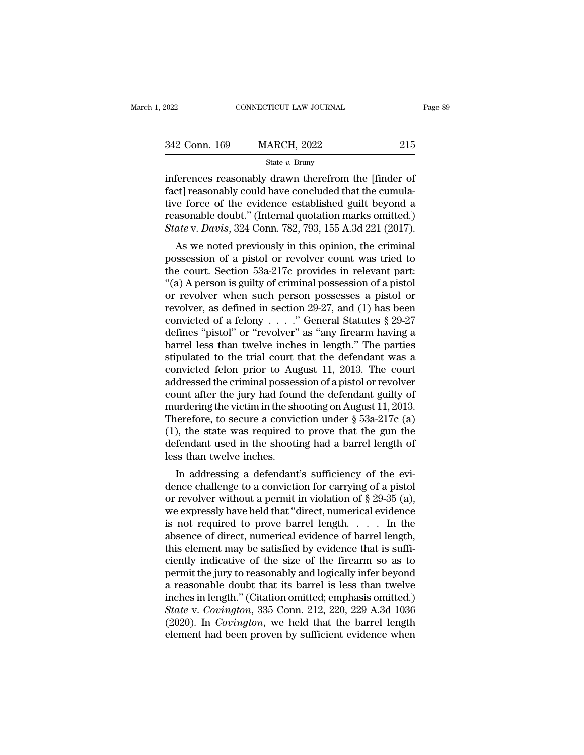| 2022          | CONNECTICUT LAW JOURNAL |     | Page 89 |
|---------------|-------------------------|-----|---------|
|               |                         |     |         |
| 342 Conn. 169 | <b>MARCH, 2022</b>      | 215 |         |
|               | State $v$ . Bruny       |     |         |

inferences reasonably drawn therefrom the [finder of  $\begin{array}{ll} \text{342 Conn.} \text{ 169} & \text{MARCH, 2022} & \text{215} \\ \text{State } v. \text{ Bruny} \end{array}$ <br>inferences reasonably drawn therefrom the [finder of fact] reasonably could have concluded that the cumula-<br>tive force of the evidence established guilt 342 Conn. 169 MARCH, 2022 215<br>
State v. Bruny<br>
inferences reasonably drawn therefrom the [finder of<br>
fact] reasonably could have concluded that the cumula-<br>
tive force of the evidence established guilt beyond a<br>
reasonabl 342 Conn. 169 MARCH, 2022 215<br>
State v. Bruny<br>
inferences reasonably drawn therefrom the [finder of<br>
fact] reasonably could have concluded that the cumula-<br>
tive force of the evidence established guilt beyond a<br>
reasonabl State *v*. Bruny<br> *State v. Bruny*<br>
inferences reasonably drawn therefrom the [finder of<br>
fact] reasonably could have concluded that the cumula-<br>
tive force of the evidence established guilt beyond a<br>
reasonable doubt." (I Ferences reasonably drawn therefrom the [finder of ct] reasonably could have concluded that the cumulative force of the evidence established guilt beyond a asonable doubt." (Internal quotation marks omitted.) ate v. Davis merences reasonably drawn dieteriont the finder of<br>fact] reasonably could have concluded that the cumula-<br>tive force of the evidence established guilt beyond a<br>reasonable doubt." (Internal quotation marks omitted.)<br>State v

ract) reasonably could have concluded that the cultura-<br>tive force of the evidence established guilt beyond a<br>reasonable doubt." (Internal quotation marks omitted.)<br> $State$  v. Davis, 324 Conn. 782, 793, 155 A.3d 221 (2017).<br>A tive force of the evidence established guilt beyond a<br>
reasonable doubt." (Internal quotation marks omitted.)<br> *State v. Davis*, 324 Conn. 782, 793, 155 A.3d 221 (2017).<br>
As we noted previously in this opinion, the crimin *State v. Davis,* 324 Conn. 782, 793, 155 A.3d 221 (2017).<br>
As we noted previously in this opinion, the criminal<br>
possession of a pistol or revolver count was tried to<br>
the court. Section 53a-217c provides in relevant par State v. Davis, 324 Conn. 182, 195, 155 A.5d 221 (2011).<br>
As we noted previously in this opinion, the criminal<br>
possession of a pistol or revolver count was tried to<br>
the court. Section 53a-217c provides in relevant part: As we noted previously in this opinion, the criminal possession of a pistol or revolver count was tried to the court. Section 53a-217c provides in relevant part: "(a) A person is guilty of criminal possession of a pistol possession of a pistol or revolver count was tried to<br>the court. Section 53a-217c provides in relevant part:<br>"(a) A person is guilty of criminal possession of a pistol<br>or revolver when such person possesses a pistol or<br>re the court. Section 53a-217c provides in relevant part:<br>
"(a) A person is guilty of criminal possession of a pistol<br>
or revolver when such person possesses a pistol or<br>
revolver, as defined in section 29-27, and (1) has be "(a) A person is guilty of criminal possession of a pistol<br>or revolver when such person possesses a pistol or<br>revolver, as defined in section 29-27, and (1) has been<br>convicted of a felony . . . . " General Statutes § 29-2 or revolver when such person possesses a pistol or<br>revolver, as defined in section 29-27, and (1) has been<br>convicted of a felony . . . . " General Statutes § 29-27<br>defines "pistol" or "revolver" as "any firearm having a<br>b revolver, as defined in section 29-27, and (1) has been<br>convicted of a felony . . . . " General Statutes § 29-27<br>defines "pistol" or "revolver" as "any firearm having a<br>barrel less than twelve inches in length." The parti convicted of a felony . . . . ." General Statutes § 29-27<br>defines "pistol" or "revolver" as "any firearm having a<br>barrel less than twelve inches in length." The parties<br>stipulated to the trial court that the defendant was defines "pistol" or "revolver" as "any firearm having a<br>barrel less than twelve inches in length." The parties<br>stipulated to the trial court that the defendant was a<br>convicted felon prior to August 11, 2013. The court<br>add barrel less than twelve inches in length." The parties<br>stipulated to the trial court that the defendant was a<br>convicted felon prior to August 11, 2013. The court<br>addressed the criminal possession of a pistol or revolver<br>c stipulated to the trial court that the defendant was a<br>convicted felon prior to August 11, 2013. The court<br>addressed the criminal possession of a pistol or revolver<br>count after the jury had found the defendant guilty of<br>mu convicted felon prior to August 11, 2013. The court<br>addressed the criminal possession of a pistol or revolver<br>count after the jury had found the defendant guilty of<br>murdering the victim in the shooting on August 11, 2013. addressed the criminal posses<br>count after the jury had foun<br>murdering the victim in the sh<br>Therefore, to secure a convic<br>(1), the state was required t<br>defendant used in the shooti<br>less than twelve inches.<br>In addressing a d Unit after the jury had found the defendant guity of<br>urdering the victim in the shooting on August 11, 2013.<br>lerefore, to secure a conviction under § 53a-217c (a)<br>), the state was required to prove that the gun the<br>fendan Therefore, to secure a conviction under  $\S$  53a-217c (a)<br>(1), the state was required to prove that the gun the<br>defendant used in the shooting had a barrel length of<br>less than twelve inches.<br>In addressing a defendant's suf

Therefore, to secure a conviction under  $\S$  55a-211c (a)<br>(1), the state was required to prove that the gun the<br>defendant used in the shooting had a barrel length of<br>less than twelve inches.<br>In addressing a defendant's suf (1), the state was required to prove that the gun the defendant used in the shooting had a barrel length of less than twelve inches.<br>
In addressing a defendant's sufficiency of the evidence challenge to a conviction for c detendant used in the shooting had a barter length of<br>less than twelve inches.<br>In addressing a defendant's sufficiency of the evi-<br>dence challenge to a conviction for carrying of a pistol<br>or revolver without a permit in vi In addressing a defendant's sufficiency of the evidence challenge to a conviction for carrying of a pistol<br>or revolver without a permit in violation of  $\S$  29-35 (a),<br>we expressly have held that "direct, numerical evidenc In addressing a defendant's sufficiency of the evidence challenge to a conviction for carrying of a pistol or revolver without a permit in violation of  $\S$  29-35 (a), we expressly have held that "direct, numerical evidenc dence challenge to a conviction for carrying of a pistol<br>or revolver without a permit in violation of  $\S$  29-35 (a),<br>we expressly have held that "direct, numerical evidence<br>is not required to prove barrel length.  $\dots$  In or revolver without a permit in violation of  $\S 29-35$  (a),<br>we expressly have held that "direct, numerical evidence<br>is not required to prove barrel length. . . . . In the<br>absence of direct, numerical evidence of barrel le we expressly have held that "direct, numerical evidence<br>is not required to prove barrel length. . . . . In the<br>absence of direct, numerical evidence of barrel length,<br>this element may be satisfied by evidence that is suff is not required to prove barrel length. . . . . In the absence of direct, numerical evidence of barrel length, this element may be satisfied by evidence that is sufficiently indicative of the size of the firearm so as to absence of direct, numerical evidence of barrel length,<br>this element may be satisfied by evidence that is suffi-<br>ciently indicative of the size of the firearm so as to<br>permit the jury to reasonably and logically infer beyo this element may be satisfied by evidence that is sufficiently indicative of the size of the firearm so as to permit the jury to reasonably and logically infer beyond a reasonable doubt that its barrel is less than twelve ciently indicative of the size of the firearm so as to<br>permit the jury to reasonably and logically infer beyond<br>a reasonable doubt that its barrel is less than twelve<br>inches in length." (Citation omitted; emphasis omitted.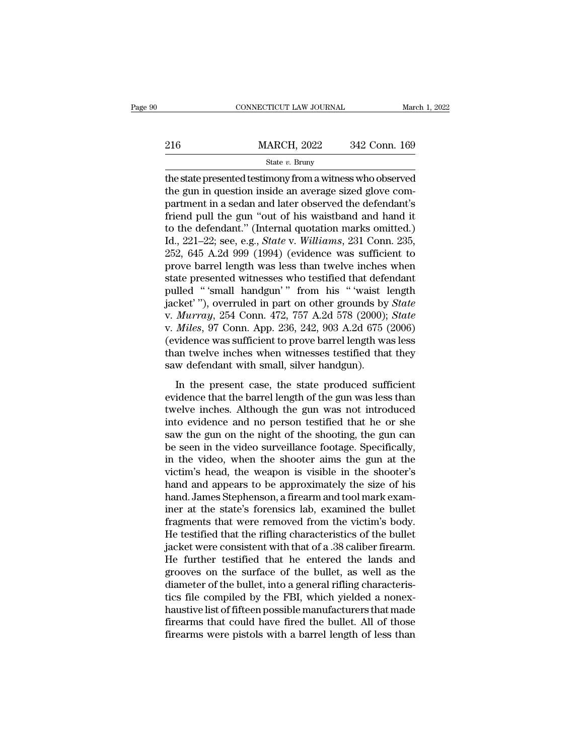|         | CONNECTICUT LAW JOURNAL |               | March 1, 2022 |
|---------|-------------------------|---------------|---------------|
|         |                         |               |               |
| $216\,$ | <b>MARCH, 2022</b>      | 342 Conn. 169 |               |
|         | State $v$ . Bruny       |               |               |

CONNECTICUT LAW JOURNAL March 1, 2022<br>
216 MARCH, 2022 342 Conn. 169<br>  $\frac{\text{State } v. \text{ Bruny}}{\text{the state presented testimony from a witness who observed}}$ <br>
the gun in question inside an average sized glove compartment in a sodan and later observed the defendant's 216 MARCH, 2022 342 Conn. 169<br>
State v. Bruny<br>
the state presented testimony from a witness who observed<br>
the gun in question inside an average sized glove com-<br>
partment in a sedan and later observed the defendant's<br>
fri 216 MARCH, 2022 342 Conn. 169<br>
State v. Bruny<br>
the state presented testimony from a witness who observed<br>
the gun in question inside an average sized glove com-<br>
partment in a sedan and later observed the defendant's<br>
fri Friend pull the gun in question of the gun in question inside an average sized glove compartment in a sedan and later observed the defendant's friend pull the gun "out of his waistband and hand it to the defendant." (Inte State v. Bruny<br>
State v. Bruny<br>
the state presented testimony from a witness who observed<br>
the gun in question inside an average sized glove com-<br>
partment in a sedan and later observed the defendant's<br>
friend pull the gu state *v*. Bruny<br>the state presented testimony from a witness who observed<br>the gun in question inside an average sized glove com-<br>partment in a sedan and later observed the defendant's<br>friend pull the gun "out of his waist the state presented testimony from a witness who observed<br>the gun in question inside an average sized glove com-<br>partment in a sedan and later observed the defendant's<br>friend pull the gun "out of his waistband and hand it<br> the gun in question inside an average sized glove compartment in a sedan and later observed the defendant's<br>friend pull the gun "out of his waistband and hand it<br>to the defendant." (Internal quotation marks omitted.)<br>Id., partment in a sedan and later observed the defendant's<br>friend pull the gun "out of his waistband and hand it<br>to the defendant." (Internal quotation marks omitted.)<br>Id., 221–22; see, e.g., *State* v. *Williams*, 231 Conn. 2 friend pull the gun "out of his waistband and hand it<br>to the defendant." (Internal quotation marks omitted.)<br>Id., 221–22; see, e.g., *State* v. *Williams*, 231 Conn. 235,<br>252, 645 A.2d 999 (1994) (evidence was sufficient to the defendant." (Internal quotation marks omitted.)<br>Id., 221–22; see, e.g., *State* v. *Williams*, 231 Conn. 235,<br>252, 645 A.2d 999 (1994) (evidence was sufficient to<br>prove barrel length was less than twelve inches when Id., 221–22; see, e.g., *State* v. *Williams*, 231 Conn. 235, 252, 645 A.2d 999 (1994) (evidence was sufficient to prove barrel length was less than twelve inches when state presented witnesses who testified that defendant 252, 645 A.2d 999 (1994) (evidence was sufficient to<br>prove barrel length was less than twelve inches when<br>state presented witnesses who testified that defendant<br>pulled "'small handgun'" from his "'waist length<br>jacket'''), prove barrel length was less than twelve inches when<br>state presented witnesses who testified that defendant<br>pulled "'small handgun'" from his "'waist length<br>jacket'''), overruled in part on other grounds by *State*<br>v. *Mur* state presented witnesses who testified that defendant<br>pulled "'small handgun'" from his "'waist length<br>jacket'"), overruled in part on other grounds by *State*<br>v. *Murray*, 254 Conn. 472, 757 A.2d 578 (2000); *State*<br>v. pulled "'small handgun'" from his "'waist lyeaket'"), overruled in part on other grounds by<br>v. *Murray*, 254 Conn. 472, 757 A.2d 578 (2000);<br>v. *Miles*, 97 Conn. App. 236, 242, 903 A.2d 675 (<br>evidence was sufficient to pro Murray, 254 Conn. 472, 757 A.2d 578 (2000); *State Miles*, 97 Conn. App. 236, 242, 903 A.2d 675 (2006) vidence was sufficient to prove barrel length was less an twelve inches when witnesses testified that they we defendant evidence that the barrel length of the gun was less than twelve inches when witnesses testified that they saw defendant with small, silver handgun).<br>In the present case, the state produced sufficient evidence that the bar

(evidence was sufficient to prove barrel length was less<br>than twelve inches when witnesses testified that they<br>saw defendant with small, silver handgun).<br>In the present case, the state produced sufficient<br>evidence that th than twelve inches when witnesses testified that they<br>saw defendant with small, silver handgun).<br>In the present case, the state produced sufficient<br>evidence that the barrel length of the gun was less than<br>twelve inches. Al saw defendant with small, silver handgun).<br>In the present case, the state produced sufficient<br>evidence that the barrel length of the gun was less than<br>twelve inches. Although the gun was not introduced<br>into evidence and no In the present case, the state produced sufficient<br>evidence that the barrel length of the gun was less than<br>twelve inches. Although the gun was not introduced<br>into evidence and no person testified that he or she<br>saw the gu In the present case, the state produced sufficient<br>evidence that the barrel length of the gun was less than<br>twelve inches. Although the gun was not introduced<br>into evidence and no person testified that he or she<br>saw the gu evidence that the barrel length of the gun was less than<br>twelve inches. Although the gun was not introduced<br>into evidence and no person testified that he or she<br>saw the gun on the night of the shooting, the gun can<br>be seen twelve inches. Although the gun was not introduced<br>into evidence and no person testified that he or she<br>saw the gun on the night of the shooting, the gun can<br>be seen in the video surveillance footage. Specifically,<br>in the into evidence and no person testified that he or she<br>saw the gun on the night of the shooting, the gun can<br>be seen in the video surveillance footage. Specifically,<br>in the video, when the shooter aims the gun at the<br>victim' saw the gun on the night of the shooting, the gun can<br>be seen in the video surveillance footage. Specifically,<br>in the video, when the shooter aims the gun at the<br>victim's head, the weapon is visible in the shooter's<br>hand a be seen in the video surveillance footage. Specifically,<br>in the video, when the shooter aims the gun at the<br>victim's head, the weapon is visible in the shooter's<br>hand and appears to be approximately the size of his<br>hand. J in the video, when the shooter aims the gun at the victim's head, the weapon is visible in the shooter's hand and appears to be approximately the size of his hand. James Stephenson, a firearm and tool mark examiner at the victim's head, the weapon is visible in the shooter's<br>hand and appears to be approximately the size of his<br>hand. James Stephenson, a firearm and tool mark exam-<br>iner at the state's forensics lab, examined the bullet<br>fragme hand and appears to be approximately the size of his<br>hand. James Stephenson, a firearm and tool mark exam-<br>iner at the state's forensics lab, examined the bullet<br>fragments that were removed from the victim's body.<br>He testi hand. James Stephenson, a firearm and tool mark examiner at the state's forensics lab, examined the bullet fragments that were removed from the victim's body.<br>He testified that the rifling characteristics of the bullet jac iner at the state's forensics lab, examined the bullet<br>fragments that were removed from the victim's body.<br>He testified that the rifling characteristics of the bullet<br>jacket were consistent with that of a .38 caliber firea fragments that were removed from the victim's body.<br>He testified that the rifling characteristics of the bullet<br>jacket were consistent with that of a .38 caliber firearm.<br>He further testified that he entered the lands and<br> He testified that the rifling characteristics of the bullet<br>jacket were consistent with that of a .38 caliber firearm.<br>He further testified that he entered the lands and<br>grooves on the surface of the bullet, as well as the jacket were consistent with that of a .38 caliber firearm.<br>He further testified that he entered the lands and<br>grooves on the surface of the bullet, as well as the<br>diameter of the bullet, into a general rifling characteris-He further testified that he entered the lands and<br>grooves on the surface of the bullet, as well as the<br>diameter of the bullet, into a general rifling characteris-<br>tics file compiled by the FBI, which yielded a nonex-<br>haus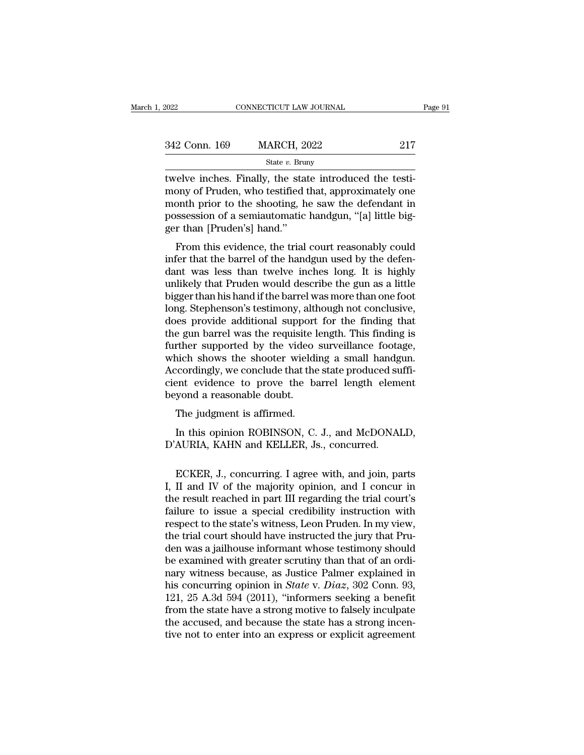|               | State $v$ . Bruny       |         |
|---------------|-------------------------|---------|
| 342 Conn. 169 | <b>MARCH, 2022</b>      | 217     |
| 2022          | CONNECTICUT LAW JOURNAL | Page 91 |

 $t_{\text{2022}}$  connectricut LAW JOURNAL<br>  $t_{\text{2022}}$  217<br>  $t_{\text{202}}$  342 Conn. 169<br>  $t_{\text{202}}$  State *v*. Bruny<br>  $t_{\text{202}}$  and  $t_{\text{202}}$ <br>  $t_{\text{217}}$ <br>  $t_{\text{22}}$ <br>  $t_{\text{22}}$ <br>  $t_{\text{22}}$ <br>  $t_{\text{217}}$ <br>  $t_{\text{22}}$ <br>  $t_{\$  $\frac{342 \text{ Conn. } 169}{342 \text{ Conn. } 169}$  MARCH, 2022 217<br>State v. Bruny<br>twelve inches. Finally, the state introduced the testi-<br>mony of Pruden, who testified that, approximately one<br>month prior to the shooting, he saw the defend 342 Conn. 169 MARCH, 2022 217<br>
State v. Bruny<br>
twelve inches. Finally, the state introduced the testi-<br>
mony of Pruden, who testified that, approximately one<br>
month prior to the shooting, he saw the defendant in<br>
possessi 342 Conn. 169 MARCH, 2022 217<br>
State v. Bruny<br>
twelve inches. Finally, the state introduced the testi-<br>
mony of Pruden, who testified that, approximately one<br>
month prior to the shooting, he saw the defendant in<br>
possessi  $\frac{\text{State } v. \text{ Bru}}{\text{twelve inches. Finally, the stat  
many of Pruden, who testified  
month prior to the shooting, h  
possession of a semiautomatic  
ger than [Pruden's] hand."  
From this evidence, the trial$ relve inches. Finally, the state introduced the testi-<br>ony of Pruden, who testified that, approximately one<br>onth prior to the shooting, he saw the defendant in<br>ssession of a semiautomatic handgun, "[a] little big-<br>r than [ Inferior Inchestor That the barrel of the barrel of the shooting, he saw the defendant in possession of a semiautomatic handgun, "[a] little bigger than [Pruden's] hand."<br>From this evidence, the trial court reasonably coul

month prior to the shooting, he saw the defendant in<br>possession of a semiautomatic handgun, "[a] little big-<br>ger than [Pruden's] hand."<br>From this evidence, the trial court reasonably could<br>infer that the barrel of the hand month phot to the shooting, he saw the defendant in<br>possession of a semiautomatic handgun, "[a] little big-<br>ger than [Pruden's] hand."<br>From this evidence, the trial court reasonably could<br>infer that the barrel of the handg possession of a schiladionate handgan, [a] fitte bigger than [Pruden's] hand."<br>From this evidence, the trial court reasonably could<br>infer that the barrel of the handgun used by the defen-<br>dant was less than twelve inches l From this evidence, the trial court reasonably could<br>infer that the barrel of the handgun used by the defen-<br>dant was less than twelve inches long. It is highly<br>unlikely that Pruden would describe the gun as a little<br>bigge From this evidence, the trial court reasonably could<br>infer that the barrel of the handgun used by the defen-<br>dant was less than twelve inches long. It is highly<br>unlikely that Pruden would describe the gun as a little<br>bigge infer that the barrel of the handgun used by the defen-<br>dant was less than twelve inches long. It is highly<br>unlikely that Pruden would describe the gun as a little<br>bigger than his hand if the barrel was more than one foot<br> dant was less than twelve inches long. It is highly<br>unlikely that Pruden would describe the gun as a little<br>bigger than his hand if the barrel was more than one foot<br>long. Stephenson's testimony, although not conclusive,<br>d unlikely that Pruden would describe the gun as a little<br>bigger than his hand if the barrel was more than one foot<br>long. Stephenson's testimony, although not conclusive,<br>does provide additional support for the finding that<br> bigger than his hand if the barrel was more than one foot<br>long. Stephenson's testimony, although not conclusive,<br>does provide additional support for the finding that<br>the gun barrel was the requisite length. This finding is long. Stephenson's testimony, although not conclusive,<br>does provide additional support for the finding that<br>the gun barrel was the requisite length. This finding is<br>further supported by the video surveillance footage,<br>whic does provide additional support<br>the gun barrel was the requisite l<br>further supported by the video<br>which shows the shooter wieldi<br>Accordingly, we conclude that the<br>cient evidence to prove the b:<br>beyond a reasonable doubt.<br>T Equivalent was the requisite reference in<br>the supported by the video<br>icordingly, we conclude that the<br>ent evidence to prove the bayond a reasonable doubt.<br>The judgment is affirmed.<br>In this opinion ROBINSON, C. ich shows the shooter wielding a small handgun.<br>
Ecordingly, we conclude that the state produced suffi-<br>
ent evidence to prove the barrel length element<br>
yond a reasonable doubt.<br>
The judgment is affirmed.<br>
In this opinion Accordingly, we conclude that the state produced sucient evidence to prove the barrel length element<br>beyond a reasonable doubt.<br>The judgment is affirmed.<br>In this opinion ROBINSON, C. J., and McDONAI<br>D'AURIA, KAHN and KELLE

yond a reasonable doubt.<br>The judgment is affirmed.<br>In this opinion ROBINSON, C. J., and McDONALD,<br>AURIA, KAHN and KELLER, Js., concurred.<br>ECKER, J., concurring. I agree with, and join, parts<br>II and IV of the majority opini The judgment is affirmed.<br>
In this opinion ROBINSON, C. J., and McDONALD,<br>
D'AURIA, KAHN and KELLER, Js., concurred.<br>
ECKER, J., concurring. I agree with, and join, parts<br>
I, II and IV of the majority opinion, and I concur In this opinion ROBINSON, C. J., and McDONALD,<br>D'AURIA, KAHN and KELLER, Js., concurred.<br>ECKER, J., concurring. I agree with, and join, parts<br>I, II and IV of the majority opinion, and I concur in<br>the result reached in part In this opinion ROBINSON, C. J., and MCDONALD,<br>D'AURIA, KAHN and KELLER, Js., concurred.<br>ECKER, J., concurring. I agree with, and join, parts<br>I, II and IV of the majority opinion, and I concur in<br>the result reached in part D'AUKIA, KAHIN and KELLER, Js., concurred.<br>ECKER, J., concurring. I agree with, and join, parts<br>I, II and IV of the majority opinion, and I concur in<br>the result reached in part III regarding the trial court's<br>failure to is ECKER, J., concurring. I agree with, and join, parts<br>I, II and IV of the majority opinion, and I concur in<br>the result reached in part III regarding the trial court's<br>failure to issue a special credibility instruction with<br> ECKER, J., concurring. I agree with, and join, parts<br>I, II and IV of the majority opinion, and I concur in<br>the result reached in part III regarding the trial court's<br>failure to issue a special credibility instruction with<br> I, II and IV of the majority opinion, and I concur in<br>the result reached in part III regarding the trial court's<br>failure to issue a special credibility instruction with<br>respect to the state's witness, Leon Pruden. In my v the result reached in part III regarding the trial court's<br>failure to issue a special credibility instruction with<br>respect to the state's witness, Leon Pruden. In my view,<br>the trial court should have instructed the jury t failure to issue a special credibility instruction with<br>respect to the state's witness, Leon Pruden. In my view,<br>the trial court should have instructed the jury that Pru-<br>den was a jailhouse informant whose testimony shoul respect to the state's witness, Leon Pruden. In my view,<br>the trial court should have instructed the jury that Pru-<br>den was a jailhouse informant whose testimony should<br>be examined with greater scrutiny than that of an ordi the trial court should have instructed the jury that Pruden was a jailhouse informant whose testimony should<br>be examined with greater scrutiny than that of an ordi-<br>nary witness because, as Justice Palmer explained in<br>his den was a jailhouse informant whose testimony should<br>be examined with greater scrutiny than that of an ordi-<br>nary witness because, as Justice Palmer explained in<br>his concurring opinion in *State* v. *Diaz*, 302 Conn. 93,<br> be examined with greater scrutiny than that of an ordinary witness because, as Justice Palmer explained in his concurring opinion in *State* v. *Diaz*, 302 Conn. 93, 121, 25 A.3d 594 (2011), "informers seeking a benefit f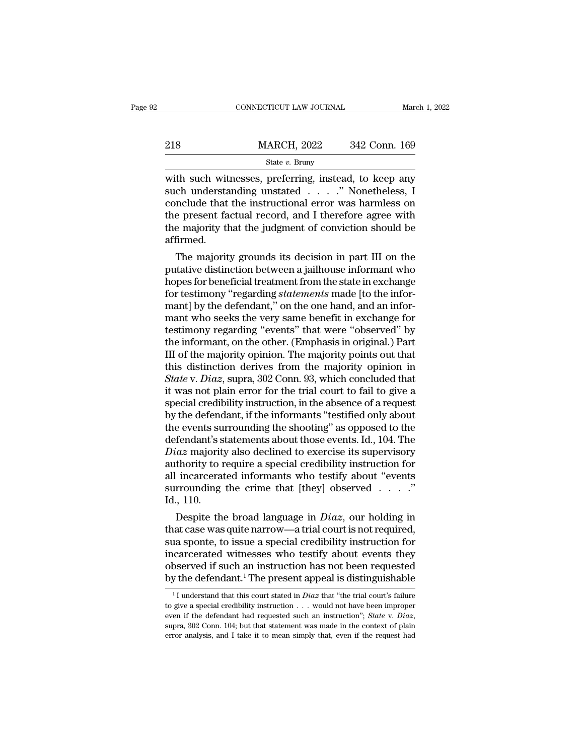|     | CONNECTICUT LAW JOURNAL |               | March 1, 2022 |
|-----|-------------------------|---------------|---------------|
|     |                         |               |               |
| 218 | <b>MARCH, 2022</b>      | 342 Conn. 169 |               |
|     | State $v$ . Bruny       |               |               |

CONNECTICUT LAW JOURNAL March 1, 2022<br>
218 MARCH, 2022 342 Conn. 169<br>
312 State v. Bruny<br>
312 State v. Bruny<br>
218 MARCH, 2022 342 Conn. 169<br>
312 State v. Bruny<br>
218 March 2022 342 Conn. 169<br>
312 Connel State v. Bruny<br>
312 218 MARCH, 2022 342 Conn. 169<br>
State v. Bruny<br>
with such witnesses, preferring, instead, to keep any<br>
such understanding unstated . . . .'' Nonetheless, I<br>
conclude that the instructional error was harmless on<br>
the presen 218 MARCH, 2022 342 Conn. 169<br>
State v. Bruny<br>
with such witnesses, preferring, instead, to keep any<br>
such understanding unstated . . . . ." Nonetheless, I<br>
conclude that the instructional error was harmless on<br>
the prese 218 MARCH, 2022 342 Conn. 169<br>
State v. Bruny<br>
with such witnesses, preferring, instead, to keep any<br>
such understanding unstated . . . . ." Nonetheless, I<br>
conclude that the instructional error was harmless on<br>
the prese State v. Bruny<br>State v. Bruny<br>with such witnesses, preferring, instead, to keep any<br>such understanding unstated . . . . " Nonetheless, I<br>conclude that the instructional error was harmless on<br>the present factual record, an affirmed. In such witnesses, preferring, instead, to keep any<br>ch understanding unstated  $\ldots$ ." Nonetheless, I<br>nclude that the instructional error was harmless on<br>e present factual record, and I therefore agree with<br>e majority that such understanding unstated  $\ldots$  . . . . Nonetheless, 1<br>conclude that the instructional error was harmless on<br>the present factual record, and I therefore agree with<br>the majority that the judgment of conviction should be<br>

conclude that the instructional error was narmless on<br>the present factual record, and I therefore agree with<br>the majority that the judgment of conviction should be<br>affirmed.<br>The majority grounds its decision in part III on for the present factual record, and I therefore agree with<br>the majority that the judgment of conviction should be<br>affirmed.<br>The majority grounds its decision in part III on the<br>putative distinction between a jailhouse info the majority that the judgment of conviction should be<br>affirmed.<br>The majority grounds its decision in part III on the<br>putative distinction between a jailhouse informant who<br>hopes for beneficial treatment from the state in amirmed.<br>The majority grounds its decision in part III on the<br>putative distinction between a jailhouse informant who<br>hopes for beneficial treatment from the state in exchange<br>for testimony "regarding *statements* made [to The majority grounds its decision in part III on the<br>putative distinction between a jailhouse informant who<br>hopes for beneficial treatment from the state in exchange<br>for testimony "regarding *statements* made [to the infor putative distinction between a jailhouse informant who<br>hopes for beneficial treatment from the state in exchange<br>for testimony "regarding *statements* made [to the infor-<br>mant] by the defendant," on the one hand, and an in hopes for beneficial treatment from the state in exchange<br>for testimony "regarding *statements* made [to the infor-<br>mant] by the defendant," on the one hand, and an infor-<br>mant who seeks the very same benefit in exchange f for testimony "regarding *statements* made [to the informant] by the defendant," on the one hand, and an informant who seeks the very same benefit in exchange for testimony regarding "events" that were "observed" by the i mant] by the defendant," on the one hand, and an informant who seeks the very same benefit in exchange for testimony regarding "events" that were "observed" by the informant, on the other. (Emphasis in original.) Part III mant who seeks the very same benefit in exchange for<br>testimony regarding "events" that were "observed" by<br>the informant, on the other. (Emphasis in original.) Part<br>III of the majority opinion. The majority points out that<br> testimony regarding "events" that were "observed" by<br>the informant, on the other. (Emphasis in original.) Part<br>III of the majority opinion. The majority points out that<br>this distinction derives from the majority opinion in the informant, on the other. (Emphasis in original.) Part<br>III of the majority opinion. The majority points out that<br>this distinction derives from the majority opinion in<br>*State* v. *Diaz*, supra, 302 Conn. 93, which conclu III of the majority opinion. The majority points out that<br>this distinction derives from the majority opinion in<br>*State* v. *Diaz*, supra, 302 Conn. 93, which concluded that<br>it was not plain error for the trial court to fa this distinction derives from the majority opinion in *State* v. *Diaz*, supra, 302 Conn. 93, which concluded that it was not plain error for the trial court to fail to give a special credibility instruction, in the absenc *State* v. *Diaz*, supra, 302 Conn. 93, which concluded that<br>it was not plain error for the trial court to fail to give a<br>special credibility instruction, in the absence of a request<br>by the defendant, if the informants "te it was not plain error for the trial court to fail to give a<br>special credibility instruction, in the absence of a request<br>by the defendant, if the informants "testified only about<br>the events surrounding the shooting" as op special credibility instruction, in the absence of a request<br>by the defendant, if the informants "testified only about<br>the events surrounding the shooting" as opposed to the<br>defendant's statements about those events. Id., by the defendant, if the informants "testified only about<br>the events surrounding the shooting" as opposed to the<br>defendant's statements about those events. Id., 104. The<br> $Diaz$  majority also declined to exercise its supervi the events sue<br>defendant's s<br>*Diaz* majority<br>authority to r<br>all incarcerat<br>surrounding<br>Id., 110.<br>Despite the Fendant's statements about those events. Id., 104. The  $iaz$  majority also declined to exercise its supervisory thority to require a special credibility instruction for incarcerated informants who testify about "events rro *Draz* majority also declined to exercise its supervisory<br>authority to require a special credibility instruction for<br>all incarcerated informants who testify about "events<br>surrounding the crime that [they] observed  $\ldots$ ."

authority to require a special credibility instruction for<br>all incarcerated informants who testify about "events<br>surrounding the crime that [they] observed  $\ldots$ ."<br>Id., 110.<br>Despite the broad language in *Diaz*, our holdi all incarcerated informants who testify about "events<br>surrounding the crime that [they] observed . . . ."<br>Id., 110.<br>Despite the broad language in  $Diaz$ , our holding in<br>that case was quite narrow—a trial court is not requir surrounding the crime that [they] observed  $\ldots$   $\ddot{\ldots}$ <br>Id., 110.<br>Despite the broad language in *Diaz*, our holding in<br>that case was quite narrow—a trial court is not required,<br>sua sponte, to issue a special credibilit 1 Interior 1 The defendant.<sup>1</sup> The present appear that the trial court is not required, sua sponte, to issue a special credibility instruction for incarcerated witnesses who testify about events they observed if such an i 1 1 I understand that this court stated in *Diaz* that "the trial court's failure in the defendant.<sup>1</sup> The present appeal is distinguishable  $\frac{1}{1}$  understand that this court stated in *Diaz* that "the trial court's fa incarcerated witnesses who testify about events they<br>observed if such an instruction has not been requested<br>by the defendant.<sup>1</sup> The present appeal is distinguishable<br><sup>1</sup>I understand that this court stated in *Diaz* that

observed if such an instruction has not been requested<br>by the defendant.<sup>1</sup> The present appeal is distinguishable<br> $\frac{1}{1}$  understand that this court stated in *Diaz* that "the trial court's failure<br>to give a special cre <sup>1</sup>I understand that this court stated in *Diaz* that "the trial court's failure to give a special credibility instruction  $\ldots$  would not have been improper even if the defendant had requested such an instruction"; *Stat*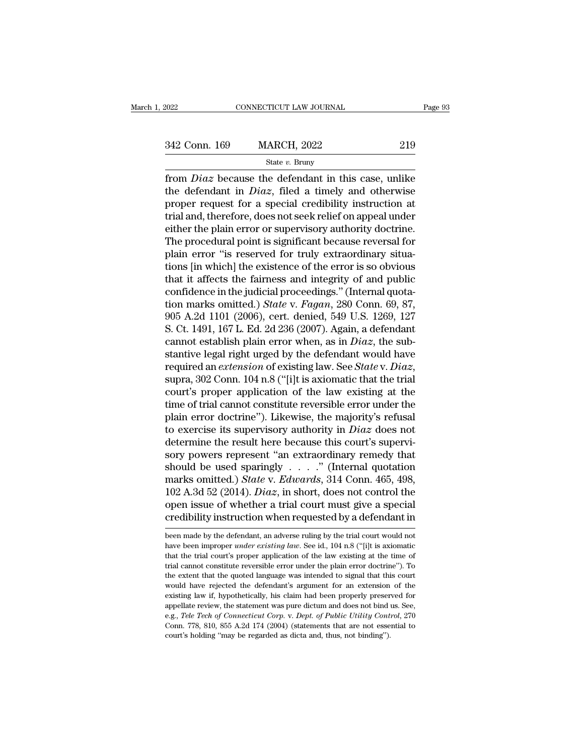EXECTIVE CONNECTICUT LAW JOURNAL Page 93<br>342 Conn. 169 MARCH, 2022 219<br>342 State v. Bruny

### State *v.* Bruny

From 169 MARCH, 2022 219<br>
State *v*. Bruny<br>
from *Diaz* because the defendant in this case, unlike<br>
the defendant in *Diaz*, filed a timely and otherwise  $\frac{342 \text{ Conn. } 169}{\text{State } v. \text{ Bruny}}$ <br>  $\frac{\text{State } v. \text{ Bruny}}{\text{from } \text{Diaz} \text{ because the defendant in this case, unlike}}$ <br>
the defendant in *Diaz*, filed a timely and otherwise<br>
proper request for a special credibility instruction at<br>
trial and therefore does not so 342 Conn. 169 MARCH, 2022 219<br>
State v. Bruny<br>
from *Diaz* because the defendant in this case, unlike<br>
the defendant in *Diaz*, filed a timely and otherwise<br>
proper request for a special credibility instruction at<br>
trial 342 Conn. 169 MARCH, 2022 219<br>
State v. Bruny<br>
from *Diaz* because the defendant in this case, unlike<br>
the defendant in *Diaz*, filed a timely and otherwise<br>
proper request for a special credibility instruction at<br>
trial State v. Bruny<br>
from *Diaz* because the defendant in this case, unlike<br>
the defendant in *Diaz*, filed a timely and otherwise<br>
proper request for a special credibility instruction at<br>
trial and, therefore, does not seek r state *v*. Bruny<br>
from *Diaz* because the defendant in this case, unlike<br>
the defendant in *Diaz*, filed a timely and otherwise<br>
proper request for a special credibility instruction at<br>
trial and, therefore, does not seek from *Diaz* because the defendant in this case, unlike<br>the defendant in *Diaz*, filed a timely and otherwise<br>proper request for a special credibility instruction at<br>trial and, therefore, does not seek relief on appeal und the defendant in  $Diaz$ , filed a timely and otherwise<br>proper request for a special credibility instruction at<br>trial and, therefore, does not seek relief on appeal under<br>either the plain error or supervisory authority doctri proper request for a special credibility instruction at<br>trial and, therefore, does not seek relief on appeal under<br>either the plain error or supervisory authority doctrine.<br>The procedural point is significant because rever trial and, therefore, does not seek relief on appeal under<br>either the plain error or supervisory authority doctrine.<br>The procedural point is significant because reversal for<br>plain error "is reserved for truly extraordinar either the plain error or supervisory authority doctrine.<br>The procedural point is significant because reversal for<br>plain error "is reserved for truly extraordinary situa-<br>tions [in which] the existence of the error is so o The procedural point is significant because reversal for<br>plain error "is reserved for truly extraordinary situa-<br>tions [in which] the existence of the error is so obvious<br>that it affects the fairness and integrity of and p plain error "is reserved for truly extraordinary situations [in which] the existence of the error is so obvious<br>that it affects the fairness and integrity of and public<br>confidence in the judicial proceedings." (Internal q tions [in which] the existence of the error is so obvious<br>that it affects the fairness and integrity of and public<br>confidence in the judicial proceedings." (Internal quota-<br>tion marks omitted.) *State* v. *Fagan*, 280 Conn that it affects the fairness and integrity of and public<br>confidence in the judicial proceedings." (Internal quota-<br>tion marks omitted.) *State v. Fagan*, 280 Conn. 69, 87,<br>905 A.2d 1101 (2006), cert. denied, 549 U.S. 1269 confidence in the judicial proceedings." (Internal quotation marks omitted.) *State* v. *Fagan*, 280 Conn. 69, 87, 905 A.2d 1101 (2006), cert. denied, 549 U.S. 1269, 127 S. Ct. 1491, 167 L. Ed. 2d 236 (2007). Again, a defe 905 A.2d 1101 (2006), cert. denied, 549 U.S. 1269, 127<br>S. Ct. 1491, 167 L. Ed. 2d 236 (2007). Again, a defendant<br>cannot establish plain error when, as in *Diaz*, the sub-<br>stantive legal right urged by the defendant would S. Ct. 1491, 167 L. Ed. 2d 236 (2007). Again, a defendant<br>cannot establish plain error when, as in *Diaz*, the substantive legal right urged by the defendant would have<br>required an *extension* of existing law. See *State* cannot establish plain error when, as in *Diaz*, the substantive legal right urged by the defendant would have required an *extension* of existing law. See *State* v. *Diaz*, supra, 302 Conn. 104 n.8 ("[i]t is axiomatic t stantive legal right urged by the defendant would have<br>required an *extension* of existing law. See *State* v. *Diaz*,<br>supra, 302 Conn. 104 n.8 ("[i]t is axiomatic that the trial<br>court's proper application of the law exist required an *extension* of existing law. See *State* v. *Diaz*, supra, 302 Conn. 104 n.8 ("[i]t is axiomatic that the trial court's proper application of the law existing at the time of trial cannot constitute reversible e supra, 302 Conn. 104 n.8 ("[i]t is axiomatic that the trial<br>court's proper application of the law existing at the<br>time of trial cannot constitute reversible error under the<br>plain error doctrine"). Likewise, the majority's court's proper application of the law existing at the<br>time of trial cannot constitute reversible error under the<br>plain error doctrine"). Likewise, the majority's refusal<br>to exercise its supervisory authority in *Diaz* doe time of trial cannot constitute reversible error under the plain error doctrine"). Likewise, the majority's refusal to exercise its supervisory authority in *Diaz* does not determine the result here because this court's su plain error doctrine"). Likewise, the majority's refusal<br>to exercise its supervisory authority in *Diaz* does not<br>determine the result here because this court's supervi-<br>sory powers represent "an extraordinary remedy that<br> to exercise its supervisory authority in *Diaz* does not<br>determine the result here because this court's supervi-<br>sory powers represent "an extraordinary remedy that<br>should be used sparingly . . . . ." (Internal quotation<br> determine the result here because this court's supervisory powers represent "an extraordinary remedy that should be used sparingly . . . . ." (Internal quotation marks omitted.) *State v. Edwards*, 314 Conn. 465, 498, 102 marks omitted.) *State* v. *Edwards*, 314 Conn. 465, 498, 102 A.3d 52 (2014). *Diaz*, in short, does not control the open issue of whether a trial court must give a special credibility instruction when requested by a defe 102 A.3d 52 (2014). *Diaz*, in short, does not control the open issue of whether a trial court must give a special credibility instruction when requested by a defendant in been made by the defendant, an adverse ruling by t

open issue of whether a trial court must give a special<br>credibility instruction when requested by a defendant in<br>been made by the defendant, an adverse ruling by the trial court would not<br>have been improper *under existing* credibility instruction when requested by a defendant in<br>been made by the defendant, an adverse ruling by the trial court would not<br>have been improper *under existing law*. See id., 104 n.8 ("[i]t is axiomatic<br>that the tri been made by the defendant, an adverse ruling by the trial court would not have been improper *under existing law*. See id., 104 n.8 ("[i]t is axiomatic that the trial court's proper application of the law existing at the been made by the defendant, an adverse ruling by the trial court would not have been improper *under existing law*. See id., 104 n.8 ("[i]t is axiomatic that the trial court's proper application of the law existing at the have been improper *under existing law*. See id., 104 n.8 ("[i]t is axiomatic that the trial court's proper application of the law existing at the time of trial cannot constitute reversible error under the plain error doc that the trial court's proper application of the law existing at the time of trial cannot constitute reversible error under the plain error doctrine"). To the extent that the quoted language was intended to signal that th trial cannot constitute reversible error under the plain error doctrine"). To<br>the extent that the quoted language was intended to signal that this court<br>would have rejected the defendant's argument for an extension of the<br> the extent that the quoted language was intended to signal that this court would have rejected the defendant's argument for an extension of the existing law if, hypothetically, his claim had been properly preserved for app would have rejected the defendant's argument for an extension of the existing law if, hypothetically, his claim had been properly preserved for appellate review, the statement was pure dictum and does not bind us. See, e.g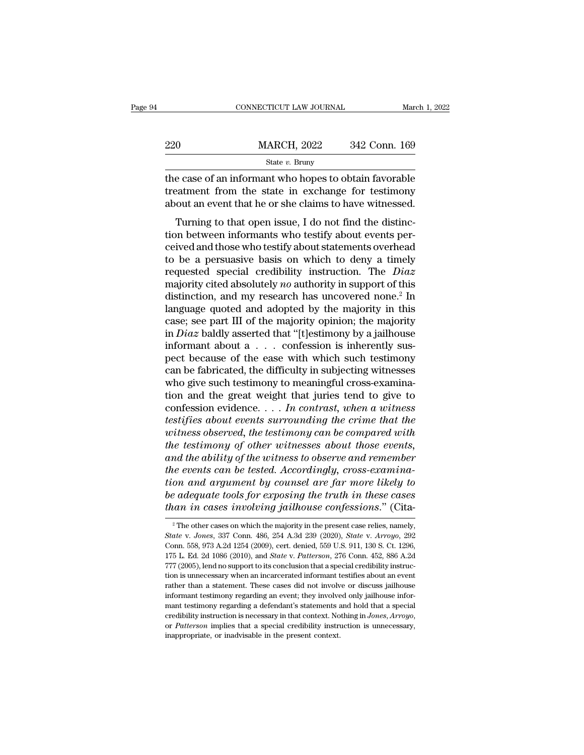|     | CONNECTICUT LAW JOURNAL                                                                                                                                                | March 1, 2022 |
|-----|------------------------------------------------------------------------------------------------------------------------------------------------------------------------|---------------|
| 220 | <b>MARCH, 2022</b>                                                                                                                                                     | 342 Conn. 169 |
|     | State $v$ . Bruny                                                                                                                                                      |               |
|     | the case of an informant who hopes to obtain favorable<br>treatment from the state in exchange for testimony<br>about an event that he or she claims to have witnessed |               |

220 MARCH, 2022 342 Conn. 169<br>
State v. Bruny<br>
the case of an informant who hopes to obtain favorable<br>
treatment from the state in exchange for testimony<br>
about an event that he or she claims to have witnessed. 220 MARCH, 2022 342 Conn. 169<br>  $\frac{\text{State } v. \text{ Bruny}}{\text{the case of an informat who hopes to obtain favorable}\atop \text{treatment from the state in exchange for testimony}\n\text{about an event that he or she claims to have witnessed.}\n\nTurning to that open issue, I do not find the distinctive.$  $\frac{\text{MARCH}}{\text{State } v. \text{ Bruny}}$ <br>  $\frac{\text{State } v. \text{ Bruny}}{\text{State } v. \text{ Bruny}}$ <br>
e case of an informant who hopes to obtain favorable<br>
eatment from the state in exchange for testimony<br>
out an event that he or she claims to have witnessed.<br>
Tu

State  $v$ . Bruny<br>the case of an informant who hopes to obtain favorable<br>treatment from the state in exchange for testimony<br>about an event that he or she claims to have witnessed.<br>Turning to that open issue, I do not find the case of an informant who hopes to obtain favorable<br>treatment from the state in exchange for testimony<br>about an event that he or she claims to have witnessed.<br>Turning to that open issue, I do not find the distinc-<br>tion treatment from the state in exchange for testimony<br>about an event that he or she claims to have witnessed.<br>Turning to that open issue, I do not find the distinc-<br>tion between informants who testify about events per-<br>ceive From the state in exercisy about an event that he or she claims to have witnessed.<br>Turning to that open issue, I do not find the distinction between informants who testify about events perceived and those who testify abou Turning to that open issue, I do not find the distinction between informants who testify about events perceived and those who testify about statements overhead to be a persuasive basis on which to deny a timely requested s Turning to that open issue, I do not find the distinction between informants who testify about events perceived and those who testify about statements overhead to be a persuasive basis on which to deny a timely requested tion between informants who testify about events per-<br>ceived and those who testify about statements overhead<br>to be a persuasive basis on which to deny a timely<br>requested special credibility instruction. The *Diaz*<br>majorit ceived and those who testify about statements overhead<br>to be a persuasive basis on which to deny a timely<br>requested special credibility instruction. The *Diaz*<br>majority cited absolutely *no* authority in support of this<br>d to be a persuasive basis on which to deny a timely<br>requested special credibility instruction. The *Diaz*<br>majority cited absolutely *no* authority in support of this<br>distinction, and my research has uncovered none.<sup>2</sup> In<br>l requested special credibility instruction. The *Diaz* majority cited absolutely *no* authority in support of this distinction, and my research has uncovered none.<sup>2</sup> In language quoted and adopted by the majority in this majority cited absolutely *no* authority in support of this<br>distinction, and my research has uncovered none.<sup>2</sup> In<br>language quoted and adopted by the majority in this<br>case; see part III of the majority opinion; the majori distinction, and my research has uncovered none.<sup>2</sup> In language quoted and adopted by the majority in this case; see part III of the majority opinion; the majority in *Diaz* baldly asserted that "[t]estimony by a jailhous language quoted and adopted by the majority in this case; see part III of the majority opinion; the majority in *Diaz* baldly asserted that "[t]estimony by a jailhouse informant about a  $\dots$  confession is inherently suspe case; see part III of the majority opinion; the majority<br>in *Diaz* baldly asserted that "[t]estimony by a jailhouse<br>informant about a  $\dots$  confession is inherently sus-<br>pect because of the ease with which such testimony<br>c in *Diaz* baldly asserted that "[t]estimony by a jailhouse<br>informant about a  $\dots$  confession is inherently sus-<br>pect because of the ease with which such testimony<br>can be fabricated, the difficulty in subjecting witnesses<br> informant about a  $\ldots$  confession is inherently sus-<br>pect because of the ease with which such testimony<br>can be fabricated, the difficulty in subjecting witnesses<br>who give such testimony to meaningful cross-examina-<br>tion pect because of the ease with which such testimony<br>can be fabricated, the difficulty in subjecting witnesses<br>who give such testimony to meaningful cross-examina-<br>tion and the great weight that juries tend to give to<br>confes *the testimony to meaningful cross-examination and the great weight that juries tend to give to confession evidence.* . . . *In contrast, when a witness testifies about events surrounding the crime that the witness observe* who give such testimony to meaningful cross-examination and the great weight that juries tend to give to confession evidence. . . . In contrast, when a witness testifies about events surrounding the crime that the witness *tion and the great weight that juries tend to give to*<br>confession evidence. . . . *In contrast, when a witness*<br>*testifies about events surrounding the crime that the*<br>witness observed, the testimony can be compared with<br> confession evidence. . . . In contrast, when a witness<br>testifies about events surrounding the crime that the<br>witness observed, the testimony can be compared with<br>the testimony of other witnesses about those events,<br>and the *bestifies about events surrounding the crime that the*<br>witness observed, the testimony can be compared with<br>the testimony of other witnesses about those events,<br>and the ability of the witness to observe and remember<br>the e *to the testimony can be compared with*<br>the testimony of other witnesses about those events,<br>and the ability of the witness to observe and remember<br>the events can be tested. Accordingly, cross-examina-<br>tion and argument by the events can be tested. Accordingly, cross-examination and argument by counsel are far more likely to be adequate tools for exposing the truth in these cases than in cases involving jailhouse confessions." (Cita-<br><sup>2</sup> Th *State w. 337 Connet by counsel are far more likely to*<br>*State v. Joness involving jailhouse confessions.*" (Cita-<br><sup>2</sup> The other cases on which the majority in the present case relies, namely,<br>*State* v. *Jones*, 337 Conn.

be adequate tools for exposing the truth in these cases<br>than in cases involving jailhouse confessions." (Cita-<br> $^2$ The other cases on which the majority in the present case relies, namely,<br>State v. Jones, 337 Conn. 486, 2 175 L. Ed. 2d 1086 (2010), and *State* v. *Patterson*, 276 Conn. 452, 886 A.2d 177 (2005), lend no support to its conclusion that a special credibility instructions, 176 L. Ed. 2d 1086 (2010), and *State* v. *Patterson*, 2 The other cases on which the majority in the present case relies, namely,  $State$  v.  $Jones$ ,  $337$  Conn. 486, 254 A.3d 239 (2020),  $State$  v.  $Arrow$ , 292 Conn. 558, 973 A.2d 1254 (2009), cert. denied, 559 U.S. 911, 130 S. Ct. 1296, 175 <sup>2</sup> The other cases on which the majority in the present case relies, namely, *State* v. *Jones*, 337 Conn. 486, 254 A.3d 239 (2020), *State* v. *Arroyo*, 292 Conn. 558, 973 A.2d 1254 (2009), cert. denied, 559 U.S. 911, 1 State v. Jones, 337 Conn. 486, 254 A.3d 239 (2020), State v. Arroyo, 292<br>Conn. 558, 973 A.2d 1254 (2009), cert. denied, 559 U.S. 911, 130 S. Ct. 1296,<br>Conn. 558, 973 A.2d 1254 (2009), cert. denied, 559 U.S. 911, 130 S. Ct. Conn. 558, 973 A.2d 1254 (2009), cert. denied, 559 U.S. 911, 130 S. Ct. 1296, 175 L. Ed. 2d 1086 (2010), and *State* v. *Patterson*, 276 Conn. 452, 886 A.2d 777 (2005), lend no support to its conclusion that a special cre 175 L. Ed. 2d 1086 (2010), and *State* v. *Patterson*, 276 Conn. 452, 886 A.2d 777 (2005), lend no support to its conclusion that a special credibility instruction is unnecessary when an incarcerated informant testifies a <sup>277</sup> (2005), lend no support to its conclusion that a special credibility instruction is unnecessary when an incarcerated informant testifies about an event rather than a statement. These cases did not involve or discuss informant testimony regarding an event; they involved only jailhouse informant testimony regarding a defendant's statements and hold that a special credibility instruction is necessary in that context. Nothing in *Jones*,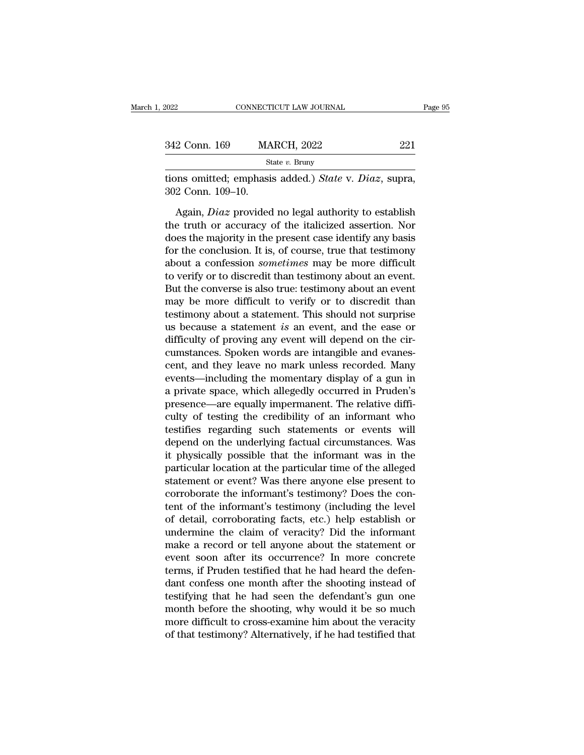| 2022              | CONNECTICUT LAW JOURNAL                                                                                                                                                          | Page 95 |
|-------------------|----------------------------------------------------------------------------------------------------------------------------------------------------------------------------------|---------|
|                   |                                                                                                                                                                                  |         |
| 342 Conn. 169     | <b>MARCH, 2022</b>                                                                                                                                                               | 221     |
|                   | State $v$ . Bruny                                                                                                                                                                |         |
| 302 Conn. 109–10. | tions omitted; emphasis added.) State v. Diaz, supra,                                                                                                                            |         |
|                   | Again, <i>Diaz</i> provided no legal authority to establish<br>the truth or accuracy of the italicized assertion. Nor<br>does the mojesty in the present ease identify ony hesis |         |

SHZ COHII. 109 MARCH, 2022<br>
State v. Bruny<br>
tions omitted; emphasis added.) State v. Diaz, supra,<br>
302 Conn. 109–10.<br>
Again, Diaz provided no legal authority to establish<br>
the truth or accuracy of the italicized assertion State v. Bruny<br>
tions omitted; emphasis added.) State v. Diaz, supra,<br>
302 Conn. 109–10.<br>
Again, Diaz provided no legal authority to establish<br>
the truth or accuracy of the italicized assertion. Nor<br>
does the majority in tions omitted; emphasis added.) *State v. Diaz*, supra,<br>302 Conn. 109–10.<br>Again, *Diaz* provided no legal authority to establish<br>the truth or accuracy of the italicized assertion. Nor<br>does the majority in the present case 302 Conn. 109–10.<br>Again, *Diaz* provided no legal authority to establish<br>the truth or accuracy of the italicized assertion. Nor<br>does the majority in the present case identify any basis<br>for the conclusion. It is, of course, Again, *Diaz* provided no legal authority to establish<br>the truth or accuracy of the italicized assertion. Nor<br>does the majority in the present case identify any basis<br>for the conclusion. It is, of course, true that testimo Again, *Diaz* provided no legal authority to establish<br>the truth or accuracy of the italicized assertion. Nor<br>does the majority in the present case identify any basis<br>for the conclusion. It is, of course, true that testimo the truth or accuracy of the italicized assertion. Nor<br>does the majority in the present case identify any basis<br>for the conclusion. It is, of course, true that testimony<br>about a confession *sometimes* may be more difficult does the majority in the present case identify any basis<br>for the conclusion. It is, of course, true that testimony<br>about a confession *sometimes* may be more difficult<br>to verify or to discredit than testimony about an even for the conclusion. It is, of course, true that testimony<br>about a confession *sometimes* may be more difficult<br>to verify or to discredit than testimony about an event.<br>But the converse is also true: testimony about an even about a confession *sometimes* may be more difficult<br>to verify or to discredit than testimony about an event.<br>But the converse is also true: testimony about an event<br>may be more difficult to verify or to discredit than<br>tes to verify or to discredit than testimony about an event.<br>But the converse is also true: testimony about an event<br>may be more difficult to verify or to discredit than<br>testimony about a statement. This should not surprise<br>us But the converse is also true: testimony about an event<br>may be more difficult to verify or to discredit than<br>testimony about a statement. This should not surprise<br>us because a statement *is* an event, and the ease or<br>diffi may be more difficult to verify or to discredit than<br>testimony about a statement. This should not surprise<br>us because a statement *is* an event, and the ease or<br>difficulty of proving any event will depend on the cir-<br>cumst testimony about a statement. This should not surprise<br>us because a statement *is* an event, and the ease or<br>difficulty of proving any event will depend on the cir-<br>cumstances. Spoken words are intangible and evanes-<br>cent, us because a statement *is* an event, and the ease or<br>difficulty of proving any event will depend on the cir-<br>cumstances. Spoken words are intangible and evanes-<br>cent, and they leave no mark unless recorded. Many<br>events—i difficulty of proving any event will depend on the cir-<br>cumstances. Spoken words are intangible and evanes-<br>cent, and they leave no mark unless recorded. Many<br>events—including the momentary display of a gun in<br>a private sp cumstances. Spoken words are intangible and evanescent, and they leave no mark unless recorded. Many<br>events—including the momentary display of a gun in<br>a private space, which allegedly occurred in Pruden's<br>presence—are equ cent, and they leave no mark unless recorded. Many<br>events—including the momentary display of a gun in<br>a private space, which allegedly occurred in Pruden's<br>presence—are equally impermanent. The relative diffi-<br>culty of tes events—including the momentary display of a gun in<br>a private space, which allegedly occurred in Pruden's<br>presence—are equally impermanent. The relative diffi-<br>culty of testing the credibility of an informant who<br>testifies a private space, which allegedly occurred in Pruden's<br>presence—are equally impermanent. The relative diffi-<br>culty of testing the credibility of an informant who<br>testifies regarding such statements or events will<br>depend on presence—are equally impermanent. The relative difficulty of testing the credibility of an informant who testifies regarding such statements or events will depend on the underlying factual circumstances. Was it physically culty of testing the credibility of an informant who<br>testifies regarding such statements or events will<br>depend on the underlying factual circumstances. Was<br>it physically possible that the informant was in the<br>particular lo testifies regarding such statements or events will<br>depend on the underlying factual circumstances. Was<br>it physically possible that the informant was in the<br>particular location at the particular time of the alleged<br>statemen depend on the underlying factual circumstances. Was<br>it physically possible that the informant was in the<br>particular location at the particular time of the alleged<br>statement or event? Was there anyone else present to<br>corrob it physically possible that the informant was in the<br>particular location at the particular time of the alleged<br>statement or event? Was there anyone else present to<br>corroborate the informant's testimony? Does the con-<br>tent particular location at the particular time of the alleged<br>statement or event? Was there anyone else present to<br>corroborate the informant's testimony? Does the con-<br>tent of the informant's testimony (including the level<br>of statement or event? Was there anyone else present to<br>corroborate the informant's testimony? Does the con-<br>tent of the informant's testimony (including the level<br>of detail, corroborating facts, etc.) help establish or<br>under corroborate the informant's testimony? Does the con-<br>tent of the informant's testimony (including the level<br>of detail, corroborating facts, etc.) help establish or<br>undermine the claim of veracity? Did the informant<br>make a tent of the informant's testimony (including the level<br>of detail, corroborating facts, etc.) help establish or<br>undermine the claim of veracity? Did the informant<br>make a record or tell anyone about the statement or<br>event so of detail, corroborating facts, etc.) help establish or<br>undermine the claim of veracity? Did the informant<br>make a record or tell anyone about the statement or<br>event soon after its occurrence? In more concrete<br>terms, if Pru undermine the claim of veracity? Did the informant<br>make a record or tell anyone about the statement or<br>event soon after its occurrence? In more concrete<br>terms, if Pruden testified that he had heard the defen-<br>dant confess make a record or tell anyone about the statement or<br>event soon after its occurrence? In more concrete<br>terms, if Pruden testified that he had heard the defen-<br>dant confess one month after the shooting instead of<br>testifying event soon after its occurrence? In more concrete<br>terms, if Pruden testified that he had heard the defen-<br>dant confess one month after the shooting instead of<br>testifying that he had seen the defendant's gun one<br>month befor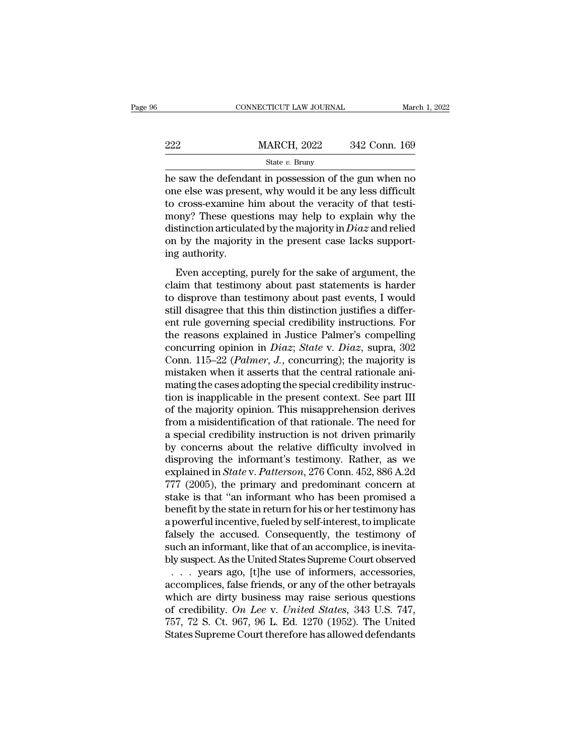|     | CONNECTICUT LAW JOURNAL | March 1, 2022 |
|-----|-------------------------|---------------|
| 222 | <b>MARCH, 2022</b>      | 342 Conn. 169 |
|     | State $v$ . Bruny       |               |

222 MARCH, 2022 342 Conn. 169<br>
State v. Bruny<br>
The saw the defendant in possession of the gun when no<br>
one else was present, why would it be any less difficult<br>
to cross-examine him about the veracity of that testi-<br>
mony 222 MARCH, 2022 342 Conn. 169<br>
State v. Bruny<br>
he saw the defendant in possession of the gun when no<br>
one else was present, why would it be any less difficult<br>
to cross-examine him about the veracity of that testi-<br>
mony? 222 MARCH, 2022 342 Conn. 169<br>
State v. Bruny<br>
he saw the defendant in possession of the gun when no<br>
one else was present, why would it be any less difficult<br>
to cross-examine him about the veracity of that testi-<br>
mony? State *v*. Bruny<br>State *v*. Bruny<br>the saw the defendant in possession of the gun when no<br>one else was present, why would it be any less difficult<br>to cross-examine him about the veracity of that testi-<br>mony? These question state v. Bruny<br>he saw the defendant in possession of the gun when no<br>one else was present, why would it be any less difficult<br>to cross-examine him about the veracity of that testi-<br>mony? These questions may help to explai he saw the defenda<br>one else was prese<br>to cross-examine l<br>mony? These ques<br>distinction articula<br>on by the majority<br>ing authority.<br>Even accepting, cross-examine him about the veracity of that testi-<br>ony? These questions may help to explain why the<br>stinction articulated by the majority in *Diaz* and relied<br>is by the majority in the present case lacks support-<br>g autho co cross examine rain associate vertacity or and economy? These questions may help to explain why the distinction articulated by the majority in *Diaz* and relied on by the majority in the present case lacks supporting au

then, it is a distinction articulated by the majority in  $Diaz$  and relied<br>on by the majority in the present case lacks support-<br>ing authority.<br>Even accepting, purely for the sake of argument, the<br>claim that testimony about statement and the majority in the present case lacks support-<br>on by the majority in the present case lacks support-<br>ing authority.<br>Even accepting, purely for the sake of argument, the<br>claim that testimony about past statem ing authority.<br>
Even accepting, purely for the sake of argument, the<br>
claim that testimony about past statements is harder<br>
to disprove than testimony about past events, I would<br>
still disagree that this thin distinction Even accepting, purely for the sake of argument, the<br>claim that testimony about past statements is harder<br>to disprove than testimony about past events, I would<br>still disagree that this thin distinction justifies a differ-Even accepting, purely for the sake of argument, the<br>claim that testimony about past statements is harder<br>to disprove than testimony about past events, I would<br>still disagree that this thin distinction justifies a differ-<br> claim that testimony about past statements is harder<br>to disprove than testimony about past events, I would<br>still disagree that this thin distinction justifies a differ-<br>ent rule governing special credibility instructions. to disprove than testimony about past events, I would<br>still disagree that this thin distinction justifies a differ-<br>ent rule governing special credibility instructions. For<br>the reasons explained in Justice Palmer's compel still disagree that this thin distinction justifies a different rule governing special credibility instructions. For<br>the reasons explained in Justice Palmer's compelling<br>concurring opinion in *Diaz; State* v. *Diaz*, supra ent rule governing special credibility instructions. For<br>the reasons explained in Justice Palmer's compelling<br>concurring opinion in *Diaz*; *State* v. *Diaz*, supra, 302<br>Conn. 115–22 (*Palmer*, *J*., concurring); the major the reasons explained in Justice Palmer's compelling<br>concurring opinion in *Diaz*; *State* v. *Diaz*, supra, 302<br>Conn. 115–22 (*Palmer*, *J*., concurring); the majority is<br>mistaken when it asserts that the central rational concurring opinion in *Diaz*; *State v. Diaz*, supra, 302<br>Conn. 115–22 (*Palmer*, *J.*, concurring); the majority is<br>mistaken when it asserts that the central rationale ani-<br>mating the cases adopting the special credibili Conn. 115–22 (*Palmer*, *J.*, concurring); the majority is<br>mistaken when it asserts that the central rationale ani-<br>mating the cases adopting the special credibility instruc-<br>tion is inapplicable in the present context. S mistaken when it asserts that the central rationale ani-<br>mating the cases adopting the special credibility instruc-<br>tion is inapplicable in the present context. See part III<br>of the majority opinion. This misapprehension de mating the cases adopting the special credibility instruction is inapplicable in the present context. See part III of the majority opinion. This misapprehension derives from a misidentification of that rationale. The need tion is inapplicable in the present context. See part III<br>of the majority opinion. This misapprehension derives<br>from a misidentification of that rationale. The need for<br>a special credibility instruction is not driven prima of the majority opinion. This misapprehension derives<br>from a misidentification of that rationale. The need for<br>a special credibility instruction is not driven primarily<br>by concerns about the relative difficulty involved in from a misidentification of that rationale. The need for<br>a special credibility instruction is not driven primarily<br>by concerns about the relative difficulty involved in<br>disproving the informant's testimony. Rather, as we<br> a special credibility instruction is not driven primarily<br>by concerns about the relative difficulty involved in<br>disproving the informant's testimony. Rather, as we<br>explained in *State* v. *Patterson*, 276 Conn. 452, 886 A. by concerns about the relative difficulty involved in<br>disproving the informant's testimony. Rather, as we<br>explained in *State* v. *Patterson*, 276 Conn. 452, 886 A.2d<br>777 (2005), the primary and predominant concern at<br>stak disproving the informant's testimony. Rather, as we<br>explained in *State* v. *Patterson*, 276 Conn. 452, 886 A.2d<br>777 (2005), the primary and predominant concern at<br>stake is that "an informant who has been promised a<br>benefi explained in *State* v. *Patterson*, 276 Conn. 452, 886 A.2d<br>777 (2005), the primary and predominant concern at<br>stake is that "an informant who has been promised a<br>benefit by the state in return for his or her testimony ha 777 (2005), the primary and predominant concern at<br>stake is that "an informant who has been promised a<br>benefit by the state in return for his or her testimony has<br>a powerful incentive, fueled by self-interest, to implicat take is that "an informant who has been promised a<br>enefit by the state in return for his or her testimony has<br>powerful incentive, fueled by self-interest, to implicate<br>alsely the accused. Consequently, the testimony of<br>uch benefit by the state in return for his or her testimony has<br>a powerful incentive, fueled by self-interest, to implicate<br>falsely the accused. Consequently, the testimony of<br>such an informant, like that of an accomplice, is

a powerful incentive, fueled by self-interest, to implicate<br>falsely the accused. Consequently, the testimony of<br>such an informant, like that of an accomplice, is inevita-<br>bly suspect. As the United States Supreme Court ob falsely the accused. Consequently, the testimony of<br>such an informant, like that of an accomplice, is inevita-<br>bly suspect. As the United States Supreme Court observed<br>... years ago, [t]he use of informers, accessories,<br>ac such an informant, like that of an accomplice, is inevita-<br>bly suspect. As the United States Supreme Court observed<br> $\ldots$  years ago, [t]he use of informers, accessories,<br>accomplices, false friends, or any of the other bet bly suspect. As the United States Supreme Court observed  $\ldots$  years ago, [t]he use of informers, accessories, accomplices, false friends, or any of the other betrayals which are dirty business may raise serious questions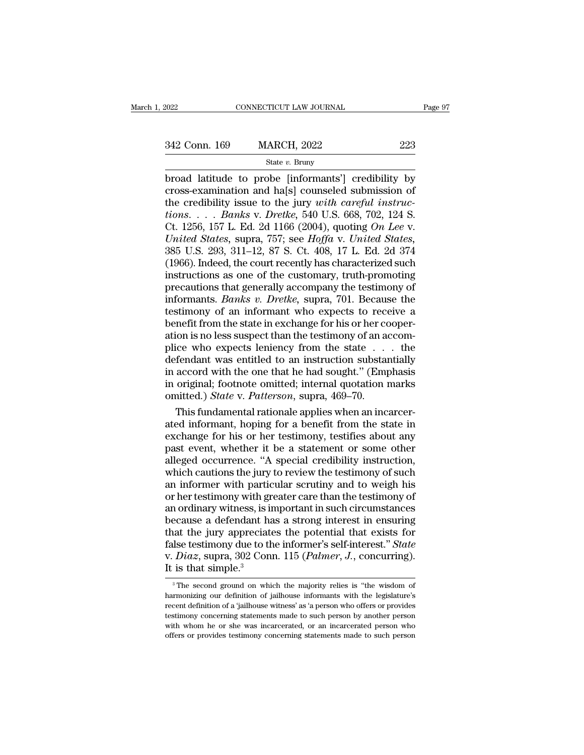## State *v.* Bruny

 $\begin{array}{ccc}\n & \text{COMRECTICUT LAW JOURNAL} & \text{Page 97} \\
 \hline\n 342 \text{ Conn. } 169 & \text{MARCH, } 2022 & 223 \\
 \hline\n & \text{State } v. \text{ Bruny} & \text{broad latitude to probe [informants'] credibility by cross-examination and ha[s] coundsled submission of the credibility issue to the jury with careful interview.\n\end{array}$ 342 Conn. 169 MARCH, 2022 223<br>
State v. Bruny<br>
broad latitude to probe [informants'] credibility by<br>
cross-examination and ha[s] counseled submission of<br>
the credibility issue to the jury with careful instruc-<br>
tions 342 Conn. 169 MARCH, 2022 223<br>
<sup>State v. Bruny</sup><br>
broad latitude to probe [informants'] credibility by<br>
cross-examination and ha[s] counseled submission of<br>
the credibility issue to the jury *with careful instruc-*<br>
tions. *tions*. 169 **MARCH**, 2022 223<br> *tions tions tions tions tions examination and ha[s] counseled submission of the credibility issue to the jury with careful instructions. . . . <i>Banks* v. *Dretke*, 540 U.S. 668, 7 State v. Bruny<br>
State v. Bruny<br>
broad latitude to probe [informants'] credibility by<br>
cross-examination and ha[s] counseled submission of<br>
the credibility issue to the jury with careful instruc-<br>
tions.... Banks v. Dretke, *State v. Bruny*<br> *United States, United States, United States, Credibility supercorss-examination and ha[s] counseled submission of*<br> *United States, 157 L. Ed. 2d 1166 (2004), quoting <i>On Lee v.*<br> *United States,* broad latitude to probe [informants'] credibility by<br>cross-examination and ha[s] counseled submission of<br>the credibility issue to the jury *with careful instruc-*<br>tions. . . . *Banks* v. *Dretke*, 540 U.S. 668, 702, 124 S. cross-examination and ha[s] counseled submission of<br>the credibility issue to the jury *with careful instruc-<br>tions....* Banks v. Dretke, 540 U.S. 668, 702, 124 S.<br>Ct. 1256, 157 L. Ed. 2d 1166 (2004), quoting *On Lee v.*<br>U the credibility issue to the jury *with careful instructions.* . . . *Banks v. Dretke*, 540 U.S. 668, 702, 124 S.<br>Ct. 1256, 157 L. Ed. 2d 1166 (2004), quoting *On Lee v.*<br>*United States*, supra, 757; see *Hoffa v. United* tions. . . . Banks v. Dretke, 540 U.S. 668, 702, 124 S.<br>Ct. 1256, 157 L. Ed. 2d 1166 (2004), quoting On Lee v.<br>United States, supra, 757; see Hoffa v. United States,<br>385 U.S. 293, 311–12, 87 S. Ct. 408, 17 L. Ed. 2d 374<br>( Ct. 1256, 157 L. Ed. 2d 1166 (2004), quoting *On Lee v.*<br> *United States*, supra, 757; see *Hoffa v. United States*,<br>
385 U.S. 293, 311–12, 87 S. Ct. 408, 17 L. Ed. 2d 374<br>
(1966). Indeed, the court recently has characteri United States, supra, 757; see Hoffa v. United States, 385 U.S. 293, 311–12, 87 S. Ct. 408, 17 L. Ed. 2d 374 (1966). Indeed, the court recently has characterized such instructions as one of the customary, truth-promoting 385 U.S. 293, 311–12, 87 S. Ct. 408, 17 L. Ed. 2d 374 (1966). Indeed, the court recently has characterized such instructions as one of the customary, truth-promoting precautions that generally accompany the testimony of i (1966). Indeed, the court recently has characterized such instructions as one of the customary, truth-promoting precautions that generally accompany the testimony of informants. *Banks v. Dretke*, supra, 701. Because the instructions as one of the customary, truth-promoting<br>precautions that generally accompany the testimony of<br>informants. *Banks v. Dretke*, supra, 701. Because the<br>testimony of an informant who expects to receive a<br>benefit precautions that generally accompany the testimony of<br>informants. *Banks v. Dretke*, supra, 701. Because the<br>testimony of an informant who expects to receive a<br>benefit from the state in exchange for his or her cooper-<br>atio informants. *Banks v. Dretke*, supra, 701. Because the<br>testimony of an informant who expects to receive a<br>benefit from the state in exchange for his or her cooper-<br>ation is no less suspect than the testimony of an accom-<br> testimony of an informant who expects to receive a<br>benefit from the state in exchange for his or her cooper-<br>ation is no less suspect than the testimony of an accom-<br>plice who expects leniency from the state  $\dots$  the<br>defe benefit from the state in exchange for his or her contrained.) and a plice who expects leniency from the state . . . defendant was entitled to an instruction substandin accord with the one that he had sought." (Empire orig ion is no less suspect than the testimony of an accom-<br>ice who expects leniency from the state  $\dots$  the<br>fendant was entitled to an instruction substantially<br>accord with the one that he had sought." (Emphasis<br>original; foo plice who expects leniency from the state  $\ldots$  the defendant was entitled to an instruction substantially in accord with the one that he had sought." (Emphasis in original; footnote omitted; internal quotation marks omit

defendant was entitled to an instruction substantially<br>in accord with the one that he had sought." (Emphasis<br>in original; footnote omitted; internal quotation marks<br>omitted.) State v. Patterson, supra, 469–70.<br>This fundame in accord with the one that he had sought." (Emphasis<br>in original; footnote omitted; internal quotation marks<br>omitted.) *State* v. *Patterson*, supra, 469–70.<br>This fundamental rationale applies when an incarcer-<br>ated info in original; footnote omitted; internal quotation marks<br>
omitted.) *State* v. *Patterson*, supra, 469–70.<br>
This fundamental rationale applies when an incarcer-<br>
ated informant, hoping for a benefit from the state in<br>
exch omitted.) *State* v. *Patterson*, supra, 469–70.<br>This fundamental rationale applies when an incarcer-<br>ated informant, hoping for a benefit from the state in<br>exchange for his or her testimony, testifies about any<br>past event This fundamental rationale applies when an incarcer-<br>ated informant, hoping for a benefit from the state in<br>exchange for his or her testimony, testifies about any<br>past event, whether it be a statement or some other<br>alleged ated informant, hoping for a benefit from the state in exchange for his or her testimony, testifies about any past event, whether it be a statement or some other alleged occurrence. "A special credibility instruction, whic exchange for his or her testimony, testifies about any<br>past event, whether it be a statement or some other<br>alleged occurrence. "A special credibility instruction,<br>which cautions the jury to review the testimony of such<br>an past event, whether it be a statement or some other<br>alleged occurrence. "A special credibility instruction,<br>which cautions the jury to review the testimony of such<br>an informer with particular scrutiny and to weigh his<br>or h alleged occurrence. "A special credibility instruction,<br>which cautions the jury to review the testimony of such<br>an informer with particular scrutiny and to weigh his<br>or her testimony with greater care than the testimony o which cautions the jury to review the testimony of such<br>an informer with particular scrutiny and to weigh his<br>or her testimony with greater care than the testimony of<br>an ordinary witness, is important in such circumstances an informer with particular scrutiny and to weigh his<br>or her testimony with greater care than the testimony of<br>an ordinary witness, is important in such circumstances<br>because a defendant has a strong interest in ensuring<br>t or her testimony with grand ordinary witness, is in<br>because a defendant has<br>that the jury appreciat<br>false testimony due to the<br>v.  $Diaz$ , supra, 302 Con<br>It is that simple.<sup>3</sup> at the jury appreciates the potential that exists for<br>lse testimony due to the informer's self-interest." State<br> $Diaz$ , supra, 302 Conn. 115 (*Palmer*, *J*., concurring).<br>is that simple.<sup>3</sup><br><sup>3</sup>The second ground on which the false testimony due to the informer's self-interest." State<br>v. Diaz, supra, 302 Conn. 115 (Palmer, J., concurring).<br>It is that simple.<sup>3</sup><br><sup>3</sup>The second ground on which the majority relies is "the wisdom of<br>harmonizing our

v. *Diaz*, supra, 302 Conn. 115 (*Palmer*, *J*., concurring).<br>It is that simple.<sup>3</sup><br><sup>3</sup>The second ground on which the majority relies is "the wisdom of<br>harmonizing our definition of jailhouse informants with the legislatu The second ground on which the majority relies is "the wisdom of<br> $\frac{1}{3}$  The second ground on which the majority relies is "the wisdom of<br>harmonizing our definition of jailhouse informants with the legislature's<br>recent It IS that SIIIIpne.<br>
<sup>3</sup> The second ground on which the majority relies is "the wisdom of harmonizing our definition of jailhouse informants with the legislature's recent definition of a 'jailhouse witness' as 'a person w <sup>3</sup> The second ground on which the majority relies is "the wisdom of harmonizing our definition of jailhouse informants with the legislature's recent definition of a 'jailhouse witness' as 'a person who offers or provides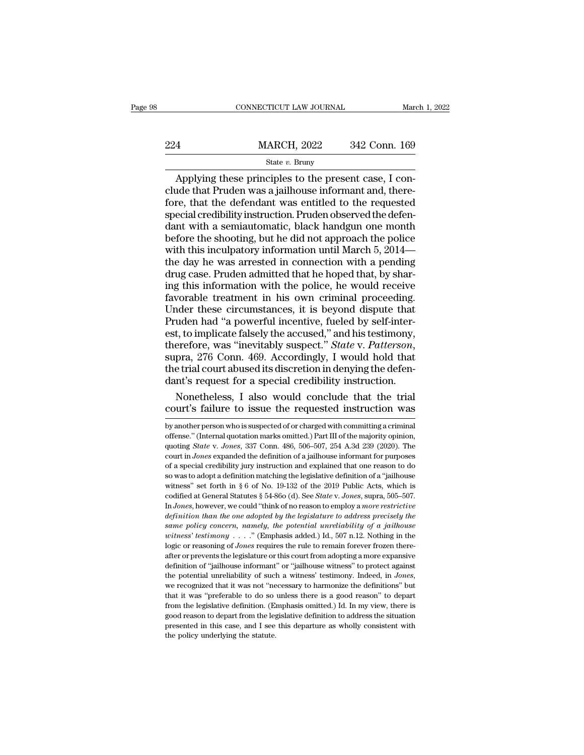|     | CONNECTICUT LAW JOURNAL                                                                                                                                                   | March 1, 2022 |
|-----|---------------------------------------------------------------------------------------------------------------------------------------------------------------------------|---------------|
| 224 | <b>MARCH, 2022</b>                                                                                                                                                        | 342 Conn. 169 |
|     | State $v$ . Bruny                                                                                                                                                         |               |
|     | Applying these principles to the present case, I con-<br>clude that Pruden was a jailhouse informant and, there-<br>fore that the defendant was entitled to the requested |               |

224 MARCH, 2022 342 Conn. 169<br>
State v. Bruny<br>
Applying these principles to the present case, I conclude that Pruden was a jailhouse informant and, there-<br>
fore, that the defendant was entitled to the requested<br>
special c  $\frac{\text{MARCH, 2022}}{\text{State } v. \text{ Bruny}}$ <br>Applying these principles to the present case, I conclude that Pruden was a jailhouse informant and, therefore, that the defendant was entitled to the requested special credibility instructi  $\begin{array}{c} \text{MARCH, 2022} \qquad 342 \text{ Conn. } 169 \\ \text{State } v. \text{ Bruny} \end{array}$  Applying these principles to the present case, I conclude that Pruden was a jailhouse informant and, therefore, that the defendant was entitled to the requested s  $\frac{\text{State } v. \text{ Brunv}}{\text{Applying these principles to the present case, I conclude that Pruden was a jailhouse information, therefore, that the defendant was entitled to the requested special credibility instruction. Pruden observed the defendant with a semiautomatic, black handgun one month before the shooting, but he did not approach the police with this incubatory information until March 5-2014—$ State v. Bruny<br>
Applying these principles to the present case, I conclude that Pruden was a jailhouse informant and, there-<br>
fore, that the defendant was entitled to the requested<br>
special credibility instruction. Pruden Applying these principles to the present case, I conclude that Pruden was a jailhouse informant and, therefore, that the defendant was entitled to the requested special credibility instruction. Pruden observed the defendan clude that Pruden was a jailhouse informant and, therefore, that the defendant was entitled to the requested<br>special credibility instruction. Pruden observed the defendant with a semiautomatic, black handgun one month<br>befo fore, that the defendant was entitled to the requested<br>special credibility instruction. Pruden observed the defen-<br>dant with a semiautomatic, black handgun one month<br>before the shooting, but he did not approach the police<br> special credibility instruction. Pruden observed the defendant with a semiautomatic, black handgun one month<br>before the shooting, but he did not approach the police<br>with this inculpatory information until March 5, 2014—<br>th dant with a semiautomatic, black handgun one month<br>before the shooting, but he did not approach the police<br>with this inculpatory information until March 5, 2014—<br>the day he was arrested in connection with a pending<br>drug ca before the shooting, but he did not approach the police<br>with this inculpatory information until March 5, 2014—<br>the day he was arrested in connection with a pending<br>drug case. Pruden admitted that he hoped that, by shar-<br>in with this inculpatory information until March 5, 2014—<br>the day he was arrested in connection with a pending<br>drug case. Pruden admitted that he hoped that, by shar-<br>ing this information with the police, he would receive<br>fa the day he was arrested in connection with a pending<br>drug case. Pruden admitted that he hoped that, by shar-<br>ing this information with the police, he would receive<br>favorable treatment in his own criminal proceeding.<br>Under drug case. Pruden admitted that he hoped that, by sharing this information with the police, he would receive favorable treatment in his own criminal proceeding. Under these circumstances, it is beyond dispute that Pruden h favorable treatment in his own criminal proceeding.<br>Under these circumstances, it is beyond dispute that<br>Pruden had "a powerful incentive, fueled by self-inter-<br>est, to implicate falsely the accused," and his testimony,<br>th Under these circumstances, it is beyond dispute that<br>Pruden had "a powerful incentive, fueled by self-inter-<br>est, to implicate falsely the accused," and his testimony,<br>therefore, was "inevitably suspect." *State v. Patters* uden had "a powerful incentive, fueled by self-inter-<br>t, to implicate falsely the accused," and his testimony,<br>erefore, was "inevitably suspect." *State* v. *Patterson*,<br>pra, 276 Conn. 469. Accordingly, I would hold that<br>e est, to implicate falsely the accused," and his testimony,<br>therefore, was "inevitably suspect." *State* v. *Patterson*,<br>supra, 276 Conn. 469. Accordingly, I would hold that<br>the trial court abused its discretion in denying

the trial court abused its discretion in denying the defendant's request for a special credibility instruction.<br>Nonetheless, I also would conclude that the trial court's failure to issue the requested instruction was<br>by an

dant's request for a special credibility instruction.<br>
Nonetheless, I also would conclude that the trial<br>
court's failure to issue the requested instruction was<br>
by another person who is suspected of or charged with commit Nonetheless, I also would conclude that the trial<br>court's failure to issue the requested instruction was<br>by another person who is suspected of or charged with committing a criminal<br>offense." (Internal quotation marks omitt court's failure to issue the requested instruction was<br>by another person who is suspected of or charged with committing a criminal<br>offense." (Internal quotation marks omitted.) Part III of the majority opinion,<br>quoting *St* COUIT S TallIUF TO ISSUE THE TEQUESTED INSTITUCTION WAS<br>by another person who is suspected of or charged with committing a criminal<br>offense." (Internal quotation marks omitted.) Part III of the majority opinion,<br>quoting *S* by another person who is suspected of or charged with committing a criminal offense." (Internal quotation marks omitted.) Part III of the majority opinion, quoting *State* v. *Jones*, 337 Conn. 486, 506–507, 254 A.3d 239 offense." (Internal quotation marks omitted.) Part III of the majority opino, quoting *State v. Jones*, 337 Conn. 486, 506–507, 254 A.3d 239 (2020). The court in *Jones* expanded the definition of a jailhouse informant fo quoting *State* v. *Jones*, 337 Conn. 486, 506–507, 254 A.3d 239 (2020). The court in *Jones* expanded the definition of a jailhouse informant for purposes of a special credibility jury instruction and explained that one r desing basis (1. 90ks), 351 USH. 136, 363 USH, 251 HSd 256 (2029). The<br>court in *Jones* expanded the definition of a jailhouse informant for purposes<br>of a special credibility jury instruction and explained that one reason *definition to a general statutes* and explained that one reason to do so was to adopt a definition matching the legislative definition of a "jailhouse witness" set forth in § 6 of No. 19-132 of the 2019 Public Acts, which *same policy concern, namely, the potential unreliability of a 'jailhouse*<br>*so* was to adopt a definition matching the legislative definition of a ''jailhouse<br>witness'' set forth in § 6 of No. 19-132 of the 2019 Public Ac *witness''* set forth in § 6 of No. 19-132 of the 2019 Public Acts, which is codified at General Statutes § 54-86o (d). See *State v. Jones*, supra, 505–507. In *Jones*, however, we could "think of no reason to employ a *m* codified at General Statutes § 54-860 (d). See *State v*. Jones, supra, 505-507. In Jones, however, we could "think of no reason to employ a *more restrictive definition than the one adopted by the legislature to address* In Jones, however, we could "think of no reason to employ a more restrictive definition than the one adopted by the legislature to address precisely the same policy concern, namely, the potential unreliability of a jailho definition than the one adopted by the legislature to address precisely the same policy concern, namely, the potential unreliability of a jailhouse witness' testimony . . . ." (Emphasis added.) Id., 507 n.12. Nothing in t same policy concern, namely, the potential unreliability of a jailhouse witness' testimony. . . . " (Emphasis added.) Id., 507 n.12. Nothing in the logic or reasoning of *Jones* requires the rule to remain forever frozen logic or reasoning of *Jones* requires the rule to remain forever frozen thereafter or prevents the legislature or this court from adopting a more expansive definition of "jailhouse informant" or "jailhouse witness" to pr after or prevents the legislature or this court from adopting a more expansive definition of "jailhouse informant" or "jailhouse witness" to protect against the potential unreliability of such a witness' testimony. Indeed definition of "jailhouse informant" or "jailhouse witness" to protect against<br>the potential unreliability of such a witness' testimony. Indeed, in *Jones*,<br>we recognized that it was not "necessary to harmonize the definiti the potential unreliability of such a witness' testimony. Indeed, in *Jones*, we recognized that it was not "necessary to harmonize the definitions" but that it was "preferable to do so unless there is a good reason" to d we recognized that it was not "necessary to harmonize the definitions" but<br>that it was "preferable to do so unless there is a good reason" to depart<br>from the legislative definition. (Emphasis omitted.) Id. In my view, ther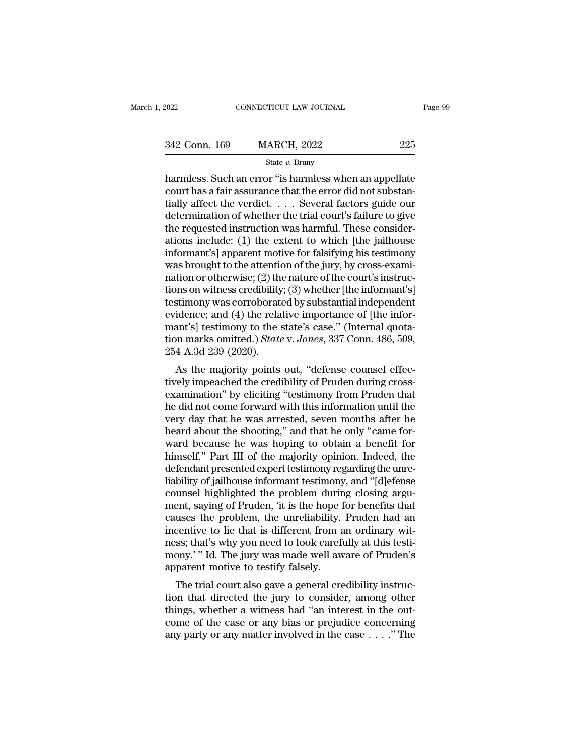| 2022          | CONNECTICUT LAW JOURNAL |     | Page 99 |
|---------------|-------------------------|-----|---------|
|               |                         |     |         |
| 342 Conn. 169 | <b>MARCH, 2022</b>      | 225 |         |
|               | State $v$ . Bruny       |     |         |

 $\begin{array}{r|l} \text{1: } \text{1: } \text{1: } \text{1: } \text{1: } \text{1: } \text{1: } \text{1: } \text{1: } \text{1: } \text{1: } \text{1: } \text{1: } \text{1: } \text{1: } \text{1: } \text{1: } \text{1: } \text{1: } \text{1: } \text{1: } \text{1: } \text{1: } \text{1: } \text{1: } \text{1: } \text{1: } \text{1: } \text{1: } \text{1: } \text{1: } \text{1: } \text{1: } \text{1: } \text{1: } \$ 342 Conn. 169 MARCH, 2022 225<br>
State v. Bruny<br>
harmless. Such an error "is harmless when an appellate<br>
court has a fair assurance that the error did not substan-<br>
tially affect the verdict. . . . . Several factors guide o 342 Conn. 169 MARCH, 2022 225<br>
State v. Bruny<br>
harmless. Such an error "is harmless when an appellate<br>
court has a fair assurance that the error did not substantially affect the verdict. . . . . Several factors guide our<br> 342 Conn. 169 MARCH, 2022 225<br>
State v. Bruny<br>
harmless. Such an error "is harmless when an appellate<br>
court has a fair assurance that the error did not substan-<br>
tially affect the verdict. . . . . Several factors guide o State v. Bruny<br>
State v. Bruny<br>
harmless. Such an error "is harmless when an appellate<br>
court has a fair assurance that the error did not substan-<br>
tially affect the verdict. . . . Several factors guide our<br>
determination state v. Bruny<br>harmless. Such an error "is harmless when an appellate<br>court has a fair assurance that the error did not substan-<br>tially affect the verdict. . . . . Several factors guide our<br>determination of whether the tr harmless. Such an error "is harmless when an appellate<br>court has a fair assurance that the error did not substan-<br>tially affect the verdict. . . . . Several factors guide our<br>determination of whether the trial court's fai court has a fair assurance that the error did not substantially affect the verdict. . . . . Several factors guide our determination of whether the trial court's failure to give the requested instruction was harmful. These tially affect the verdict.  $\dots$  Several factors guide our determination of whether the trial court's failure to give<br>the requested instruction was harmful. These consider-<br>ations include: (1) the extent to which [the jail determination of whether the trial court's failure to give<br>the requested instruction was harmful. These consider-<br>ations include: (1) the extent to which [the jailhouse<br>informant's] apparent motive for falsifying his testi the requested instruction was harmful. These considerations include: (1) the extent to which [the jailhouse informant's] apparent motive for falsifying his testimony was brought to the attention of the jury, by cross-exami ations include: (1) the extent to which [the jailhouse<br>informant's] apparent motive for falsifying his testimony<br>was brought to the attention of the jury, by cross-exami-<br>nation or otherwise; (2) the nature of the court's informant's] apparent motive for falsifying his testimony<br>was brought to the attention of the jury, by cross-exami-<br>nation or otherwise; (2) the nature of the court's instruc-<br>tions on witness credibility; (3) whether [th was brought to the attention of the jury, by cross-exami-<br>nation or otherwise; (2) the nature of the court's instruc-<br>tions on witness credibility; (3) whether [the informant's]<br>testimony was corroborated by substantial in nation or otherwise; (2) the<br>tions on witness credibility<br>testimony was corroborate<br>evidence; and (4) the rela<br>mant's] testimony to the :<br>tion marks omitted.) State<br>254 A.3d 239 (2020).<br>As the majority points Fils on whiless credibility, (3) whether [the informalit s]<br>stimony was corroborated by substantial independent<br>idence; and (4) the relative importance of [the infor-<br>ant's] testimony to the state's case." (Internal quotatestimony was corroborated by substantian independent<br>evidence; and (4) the relative importance of [the infor-<br>mant's] testimony to the state's case." (Internal quota-<br>tion marks omitted.) State v. Jones, 337 Conn. 486, 50

evidence, and (4) the relative importance of [the informant's] testimony to the state's case." (Internal quotation marks omitted.) State v. Jones, 337 Conn. 486, 509, 254 A.3d 239 (2020).<br>As the majority points out, "defe mant s<sub>J</sub> testmony to the state's case. (miterial quotation marks omitted.) *State* v. *Jones*, 337 Conn. 486, 509, 254 A.3d 239 (2020).<br>
As the majority points out, "defense counsel effectively impeached the credibility 254 A.3d 239 (2020).<br>
As the majority points out, "defense counsel effec-<br>
tively impeached the credibility of Pruden during cross-<br>
examination" by eliciting "testimony from Pruden that<br>
he did not come forward with this  $254$  A.5d  $259$  ( $2020$ ).<br>As the majority points out, "defense counsel effec-<br>tively impeached the credibility of Pruden during cross-<br>examination" by eliciting "testimony from Pruden that<br>he did not come forward with th As the majority points out, "defense counsel effec-<br>tively impeached the credibility of Pruden during cross-<br>examination" by eliciting "testimony from Pruden that<br>he did not come forward with this information until the<br>ver tively impeached the credibility of Pruden during cross-<br>examination" by eliciting "testimony from Pruden that<br>he did not come forward with this information until the<br>very day that he was arrested, seven months after he<br>he examination" by eliciting "testimony from Pruden that<br>he did not come forward with this information until the<br>very day that he was arrested, seven months after he<br>heard about the shooting," and that he only "came for-<br>ward he did not come forward with this information until the<br>very day that he was arrested, seven months after he<br>heard about the shooting," and that he only "came for-<br>ward because he was hoping to obtain a benefit for<br>himself very day that he was arrested, seven months after he<br>ard about the shooting," and that he only "came for-<br>ward because he was hoping to obtain a benefit for<br>himself." Part III of the majority opinion. Indeed, the<br>defendant heard about the shooting," and that he only "came for-<br>ward because he was hoping to obtain a benefit for<br>himself." Part III of the majority opinion. Indeed, the<br>defendant presented expert testimony regarding the unre-<br>lia ward because he was hoping to obtain a benefit for<br>himself." Part III of the majority opinion. Indeed, the<br>defendant presented expert testimony regarding the unre-<br>liability of jailhouse informant testimony, and "[d]efense himself." Part III of the majority opinion. Indeed, the defendant presented expert testimony regarding the unreliability of jailhouse informant testimony, and "[d]efense counsel highlighted the problem during closing argum defendant presented expert testimony regarding the unreliability of jailhouse informant testimony, and "[d]efense counsel highlighted the problem during closing argument, saying of Pruden, 'it is the hope for benefits that liability of jailhouse informant testimony, and "[d]efense<br>counsel highlighted the problem during closing argu-<br>ment, saying of Pruden, 'it is the hope for benefits that<br>causes the problem, the unreliability. Pruden had an counsel highlighted the problem durinent, saying of Pruden, 'it is the hope f<br>causes the problem, the unreliability.<br>incentive to lie that is different from a<br>ness; that's why you need to look carefu<br>mony.' " Id. The jury Fin, saying of Fruden, it is the hope for benefits that<br>uses the problem, the unreliability. Pruden had an<br>centive to lie that is different from an ordinary wit-<br>ss; that's why you need to look carefully at this testi-<br>ony transfer that is different from an ordinary wit-<br>ness; that's why you need to look carefully at this testi-<br>mony.'" Id. The jury was made well aware of Pruden's<br>apparent motive to testify falsely.<br>The trial court also gave

meentive to he that is unferent front an ordinary wheness; that's why you need to look carefully at this testi-<br>mony.'" Id. The jury was made well aware of Pruden's<br>apparent motive to testify falsely.<br>The trial court also ress, that s why you need to look carefully at this tesu-<br>mony.'" Id. The jury was made well aware of Pruden's<br>apparent motive to testify falsely.<br>The trial court also gave a general credibility instruc-<br>tion that directed apparent motive to testify falsely.<br>The trial court also gave a general credibility instruction that directed the jury to consider, among other<br>things, whether a witness had "an interest in the out-<br>come of the case or any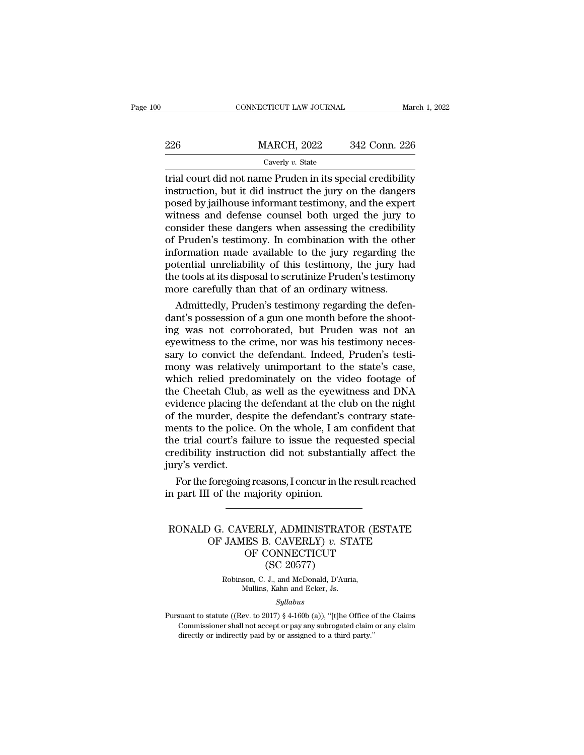| )0 |     | CONNECTICUT LAW JOURNAL | March 1, 2022 |
|----|-----|-------------------------|---------------|
|    | 226 | <b>MARCH, 2022</b>      | 342 Conn. 226 |
|    |     | Caverly v. State        |               |

226 MARCH, 2022 342 Conn. 226<br>Caverly v. State<br>trial court did not name Pruden in its special credibility<br>instruction, but it did instruct the jury on the dangers<br>posed by jailhouse informant testimony, and the expert<br>witn 226 MARCH, 2022 342 Conn. 226<br>
Caverly v. State<br>
trial court did not name Pruden in its special credibility<br>
instruction, but it did instruct the jury on the dangers<br>
posed by jailhouse informant testimony, and the expert 226 MARCH, 2022 342 Conn. 226<br>  $\frac{C_{\text{averly }v. \text{ State}}}{2}$ <br>
trial court did not name Pruden in its special credibility<br>
instruction, but it did instruct the jury on the dangers<br>
posed by jailhouse informant testimony, and th Caverly v. State<br>
trial court did not name Pruden in its special credibility<br>
instruction, but it did instruct the jury on the dangers<br>
posed by jailhouse informant testimony, and the expert<br>
witness and defense counsel b Caverly v. State<br>
trial court did not name Pruden in its special credibility<br>
instruction, but it did instruct the jury on the dangers<br>
posed by jailhouse informant testimony, and the expert<br>
witness and defense counsel b trial court did not name Pruden in its special credibility<br>instruction, but it did instruct the jury on the dangers<br>posed by jailhouse informant testimony, and the expert<br>witness and defense counsel both urged the jury to<br> instruction, but it did instruct the jury on the dangers<br>posed by jailhouse informant testimony, and the expert<br>witness and defense counsel both urged the jury to<br>consider these dangers when assessing the credibility<br>of Pr posed by jailhouse informant testimony, and the expert<br>witness and defense counsel both urged the jury to<br>consider these dangers when assessing the credibility<br>of Pruden's testimony. In combination with the other<br>informati witness and defense counsel both urged the jury to<br>consider these dangers when assessing the credibility<br>of Pruden's testimony. In combination with the othe<br>information made available to the jury regarding the<br>potential un matter these dangers when assessing the credibility<br>Pruden's testimony. In combination with the other<br>formation made available to the jury regarding the<br>tential unreliability of this testimony, the jury had<br>e tools at its of Pruden's testimony. In combination with the other<br>information made available to the jury regarding the<br>potential unreliability of this testimony, the jury had<br>the tools at its disposal to scrutinize Pruden's testimony<br>m

information made available to the jury regarding the<br>potential unreliability of this testimony, the jury had<br>the tools at its disposal to scrutinize Pruden's testimony<br>more carefully than that of an ordinary witness.<br>Admit potential unreliability of this testimony, the jury had<br>the tools at its disposal to scrutinize Pruden's testimony<br>more carefully than that of an ordinary witness.<br>Admittedly, Pruden's testimony regarding the defen-<br>dant's the tools at its disposal to scrutinize Pruden's testimony<br>more carefully than that of an ordinary witness.<br>Admittedly, Pruden's testimony regarding the defen-<br>dant's possession of a gun one month before the shoot-<br>ing was more carefully than that of an ordinary witness.<br>Admittedly, Pruden's testimony regarding the defen-<br>dant's possession of a gun one month before the shoot-<br>ing was not corroborated, but Pruden was not an<br>eyewitness to the Admittedly, Pruden's testimony regarding the defen-<br>dant's possession of a gun one month before the shoot-<br>ing was not corroborated, but Pruden was not an<br>eyewitness to the crime, nor was his testimony neces-<br>sary to convi dant's possession of a gun one month before the shooting was not corroborated, but Pruden was not an eyewitness to the crime, nor was his testimony necessary to convict the defendant. Indeed, Pruden's testimony was relativ ing was not corroborated, but Pruden was not an eyewitness to the crime, nor was his testimony necessary to convict the defendant. Indeed, Pruden's testimony was relatively unimportant to the state's case, which relied pre eyewitness to the crime, nor was his testimony necessary to convict the defendant. Indeed, Pruden's testimony was relatively unimportant to the state's case, which relied predominately on the video footage of the Cheetah C sary to convict the defendant. Indeed, Pruden's testi-<br>mony was relatively unimportant to the state's case,<br>which relied predominately on the video footage of<br>the Cheetah Club, as well as the eyewitness and DNA<br>evidence pl mony was relatively unimportant to the state's case,<br>which relied predominately on the video footage of<br>the Cheetah Club, as well as the eyewitness and DNA<br>evidence placing the defendant at the club on the night<br>of the mur which relied predominately on the video footage of<br>the Cheetah Club, as well as the eyewitness and DNA<br>evidence placing the defendant at the club on the night<br>of the murder, despite the defendant's contrary state-<br>ments to the Cheetah Club,<br>evidence placing th<br>of the murder, des<br>ments to the police<br>the trial court's fai<br>credibility instruct<br>jury's verdict.<br>For the foregoing idence placing the defendant at the club on the night<br>the murder, despite the defendant's contrary state-<br>ents to the police. On the whole, I am confident that<br>e trial court's failure to issue the requested special<br>edibili of the murder, despite the detendant's<br>ments to the police. On the whole, I am<br>the trial court's failure to issue the rec<br>credibility instruction did not substant<br>jury's verdict.<br>For the foregoing reasons, I concur in th<br>i

# redibility instruction did not substantially affect the<br>ury's verdict.<br>For the foregoing reasons, I concur in the result reached<br>n part III of the majority opinion.<br>RONALD G. CAVERLY, ADMINISTRATOR (ESTATE<br>OF JAMES B. CAVE dict.<br>
foregoing reasons, I concur in the result reached<br>
I of the majority opinion.<br>
OG. CAVERLY, ADMINISTRATOR (ESTATE<br>
OF JAMES B. CAVERLY) *v.* STATE<br>
OF CONNECTICUT<br>
(SC 20577) g reasons, I concur in the result rea<br>
majority opinion.<br>
VERLY, ADMINISTRATOR (EST.<br>
ES B. CAVERLY) v. STATE<br>
OF CONNECTICUT<br>
(SC 20577) Frity opinion.<br>The Manus Communistration of the ST 20577)<br>S. CAVERLY) v. ST<br>CONNECTICUT<br>(SC 20577)<br>J., and McDonald, D'Auri RONALD G. CAVERLY, ADMINISTRATOR (ESTATE<br>OF JAMES B. CAVERLY)  $v$ . STATE<br>OF CONNECTICUT<br>(SC 20577)<br>Robinson, C. J., and McDonald, D'Auria,<br>Mullins, Kahn and Ecker, Js. OF JAMES B. CAVERLY)  $v$ . STATE

### *Syllabus*

(SC 20577)<br>
Robinson, C. J., and McDonald, D'Auria,<br>
Mullins, Kahn and Ecker, Js.<br>
Syllabus<br>
Pursuant to statute ((Rev. to 2017) § 4-160b (a)), "[t]he Office of the Claims<br>
Commissioner shall not accept or pay any subroga Robinson, C. J., and McDonald, D'Auria,<br>Mullins, Kahn and Ecker, Js.<br>Syllabus<br>suant to statute ((Rev. to 2017) § 4-160b (a)), "[t]he Office of the Claims<br>Commissioner shall not accept or pay any subrogated claim or any cl Pursuant to statute ((Rev. to 2017) § 4-160b (a)), "[t]he Office of the Claims<br>Commissioner shall not accept or pay any subrogated claim or any claim<br>directly or indirectly paid by or assigned to a third party."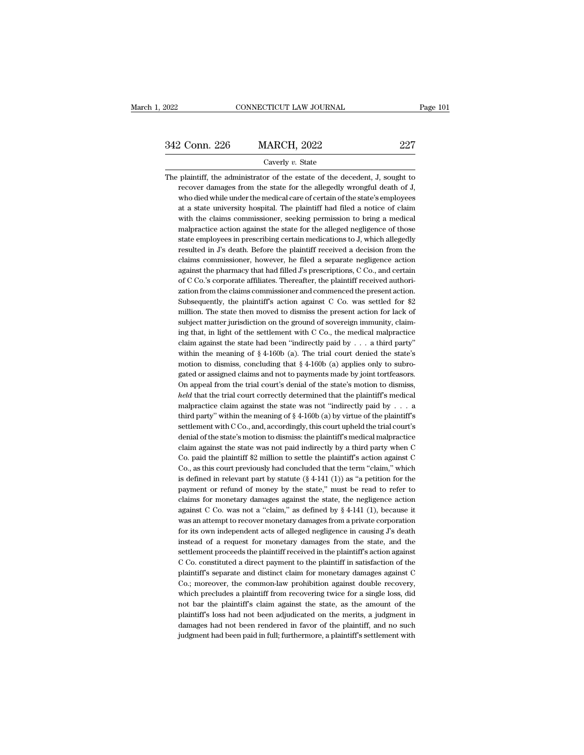# EXECTIVE CONNECTICUT LAW JOURNAL Page 101<br>342 Conn. 226 MARCH, 2022 227<br>Caverly v. State

### Caverly *v.* State

342 Conn. 226 MARCH, 2022 227<br>Caverly v. State<br>The plaintiff, the administrator of the estate of the decedent, J, sought to<br>recover damages from the state for the allegedly wrongful death of J, 2 Conn. 226 MARCH, 2022 227<br>Caverly v. State<br>plaintiff, the administrator of the estate of the decedent, J, sought to<br>recover damages from the state for the allegedly wrongful death of J,<br>who died while under the medical c 227<br>Caverly v. State<br>plaintiff, the administrator of the estate of the decedent, J, sought to<br>recover damages from the state for the allegedly wrongful death of J,<br>who died while under the medical care of certain of the st Caverly  $v$ . State<br>
plaintiff, the administrator of the estate of the decedent, J, sought to<br>
recover damages from the state for the allegedly wrongful death of J,<br>
who died while under the medical care of certain of the The plaintiff, the administrator of the estate of the decedent, J, sought to recover damages from the state for the allegedly wrongful death of J, who died while under the medical care of certain of the state's employees a plaintiff, the administrator of the estate of the decedent, J, sought to<br>recover damages from the state for the allegedly wrongful death of J,<br>who died while under the medical care of certain of the state's employees<br>at a recover damages from the state for the allegedly wrongful death of J, who died while under the medical care of certain of the state's employees at a state university hospital. The plaintiff had filed a notice of claim with who died while under the medical care of certain of the state's employees<br>at a state university hospital. The plaintiff had filed a notice of claim<br>with the claims commissioner, seeking permission to bring a medical<br>malpra at a state university hospital. The plaintiff had filed a notice of claim<br>with the claims commissioner, seeking permission to bring a medical<br>malpractice action against the state for the alleged negligence of those<br>state e with the claims commissioner, seeking permission to bring a medical malpractice action against the state for the alleged negligence of those state employees in prescribing certain medications to J, which allegedly resulted mal<br>practice action against the state for the alleged negligence of those<br>state employees in prescribing certain medications to J, which allegedly<br>resulted in J's death. Before the plaintiff received a decision from the<br>c state employees in prescribing certain medications to J, which allegedly<br>resulted in J's death. Before the plaintiff received a decision from the<br>claims commissioner, however, he filed a separate negligence action<br>against resulted in J's death. Before the plaintiff received a decision from the claims commissioner, however, he filed a separate negligence action against the pharmacy that had filled J's prescriptions, C Co., and certain of C C claims commissioner, however, he filed a separate negligence action<br>against the pharmacy that had filled J's prescriptions, C Co., and certain<br>of C Co.'s corporate affiliates. Thereafter, the plaintiff received authori-<br>za against the pharmacy that had filled J's prescriptions, C Co., and certain of C Co.'s corporate affiliates. Thereafter, the plaintiff received authorization from the claims commissioner and commenced the present action. S of C Co.'s corporate affiliates. Thereafter, the plaintiff received authorization from the claims commissioner and commenced the present action.<br>Subsequently, the plaintiff's action against C Co. was settled for \$2 millio zation from the claims commissioner and commenced the present action.<br>Subsequently, the plaintiff's action against C Co. was settled for \$2<br>million. The state then moved to dismiss the present action for lack of<br>subject m Subsequently, the plaintiff's action against C Co. was settled for \$2 million. The state then moved to dismiss the present action for lack of subject matter jurisdiction on the ground of sovereign immunity, claiming that, million. The state then moved to dismiss the present action for lack of subject matter jurisdiction on the ground of sovereign immunity, claiming that, in light of the settlement with C Co., the medical malpractice claim subject matter jurisdiction on the ground of sovereign immunity, claim-<br>ing that, in light of the settlement with C Co., the medical malpractice<br>claim against the state had been "indirectly paid by  $\ldots$  a third party"<br>wi ing that, in light of the settlement with C Co., the medical malpractice<br>claim against the state had been "indirectly paid by  $\ldots$  a third party"<br>within the meaning of § 4-160b (a). The trial court denied the state's<br>mot claim against the state had been "indirectly paid by . . . a third party" within the meaning of  $\S 4-160b$  (a). The trial court denied the state's motion to dismiss, concluding that  $\S 4-160b$  (a) applies only to subrogat within the meaning of  $\S$  4-160b (a). The trial court denied the state's motion to dismiss, concluding that  $\S$  4-160b (a) applies only to subrogated or assigned claims and not to payments made by joint tortfeasors. On ap motion to dismiss, concluding that  $\S$  4-160b (a) applies only to subrogated or assigned claims and not to payments made by joint tortfeasors.<br>On appeal from the trial court's denial of the state's motion to dismiss, *hel* gated or assigned claims and not to payments made by joint tortfeasors.<br>On appeal from the trial court's denial of the state's motion to dismiss,<br>*held* that the trial court correctly determined that the plaintiff's medic On appeal from the trial court's denial of the state's motion to dismiss, *held* that the trial court correctly determined that the plaintiff's medical malpractice claim against the state was not "indirectly paid by  $\dots$  held that the trial court correctly determined that the plaintiff's medical malpractice claim against the state was not "indirectly paid by  $\ldots$  a third party" within the meaning of § 4-160b (a) by virtue of the plaintif malpractice claim against the state was not "indirectly paid by  $\ldots$  a<br>third party" within the meaning of § 4-160b (a) by virtue of the plaintiff's<br>settlement with C Co., and, accordingly, this court upheld the trial cou third party" within the meaning of  $\S$  4-160b (a) by virtue of the plaintiff's<br>settlement with C Co., and, accordingly, this court upheld the trial court's<br>denial of the state's motion to dismiss: the plaintiff's medical settlement with C Co., and, accordingly, this court upheld the trial court's<br>denial of the state's motion to dismiss: the plaintiff's medical malpractice<br>claim against the state was not paid indirectly by a third party whe denial of the state's motion to dismiss: the plaintiff's medical malpractice<br>claim against the state was not paid indirectly by a third party when C<br>Co. paid the plaintiff \$2 million to settle the plaintiff's action again claim against the state was not paid indirectly by a third party when C<br>Co. paid the plaintiff \$2 million to settle the plaintiff's action against C<br>Co., as this court previously had concluded that the term "claim," which Co. paid the plaintiff \$2 million to settle the plaintiff's action against C Co., as this court previously had concluded that the term "claim," which is defined in relevant part by statute  $(\S 4-141 (1))$  as "a petition for Co., as this court previously had concluded that the term "claim," which<br>is defined in relevant part by statute ( $\S$  4-141 (1)) as "a petition for the<br>payment or refund of monety by the state," must be read to refer to<br>cl is defined in relevant part by statute ( $\S$  4-141 (1)) as "a petition for the payment or refund of money by the state," must be read to refer to claims for monetary damages against the state, the negligence action against payment or refund of money by the state," must be read to refer to claims for monetary damages against the state, the negligence action against C Co. was not a "claim," as defined by  $\S 4-141$  (1), because it was an attem claims for monetary damages against the state, the negligence action<br>against C Co. was not a "claim," as defined by  $\S$  4-141 (1), because it<br>was an attempt to recover monetary damages from a private corporation<br>for its o against C Co. was not a "claim," as defined by  $\S$  4-141 (1), because it was an attempt to recover monetary damages from a private corporation for its own independent acts of alleged negligence in causing  $J$ 's death inst was an attempt to recover monetary damages from a private corporation<br>for its own independent acts of alleged negligence in causing  $J$ 's death<br>instead of a request for monetary damages from the state, and the<br>settlement for its own independent acts of alleged negligence in causing  $J$ 's death instead of a request for monetary damages from the state, and the settlement proceeds the plaintiff received in the plaintiff's action against  $C$  instead of a request for monetary damages from the state, and the settlement proceeds the plaintiff received in the plaintiff's action against C Co. constituted a direct payment to the plaintiff in satisfaction of the plai settlement proceeds the plaintiff received in the plaintiff's action against C Co. constituted a direct payment to the plaintiff in satisfaction of the plaintiff's separate and distinct claim for monetary damages against C C Co. constituted a direct payment to the plaintiff in satisfaction of the plaintiff's separate and distinct claim for monetary damages against C Co.; moreover, the common-law prohibition against double recovery, which pre plaintiff's separate and distinct claim for monetary damages against C<br>Co.; moreover, the common-law prohibition against double recovery,<br>which precludes a plaintiff from recovering twice for a single loss, did<br>not bar the Co.; moreover, the common-law prohibition against double recovery, which precludes a plaintiff from recovering twice for a single loss, did not bar the plaintiff's claim against the state, as the amount of the plaintiff's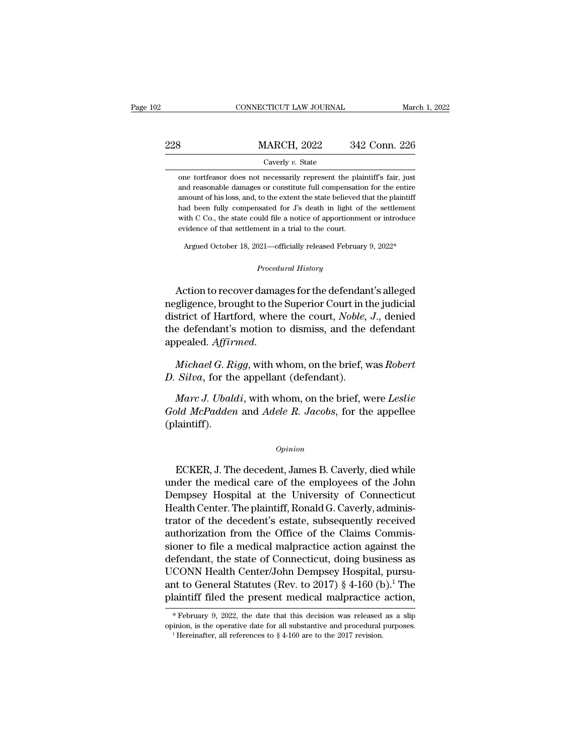| )2  | CONNECTICUT LAW JOURNAL                                                                                                                                                                                                          | March 1, 2022 |
|-----|----------------------------------------------------------------------------------------------------------------------------------------------------------------------------------------------------------------------------------|---------------|
| 228 | <b>MARCH, 2022</b>                                                                                                                                                                                                               | 342 Conn. 226 |
|     | Caverly v. State                                                                                                                                                                                                                 |               |
|     | one torteasor does not necessarily represent the plaintiff's fair, just<br>and reasonable damages or constitute full compensation for the entire<br>amount of his loss, and, to the extent the state believed that the plaintiff |               |

amount of his loss, and, to the extent the state believed that the plaintiff Caverly  $v$ . State<br>
one tortfeasor does not necessarily represent the plaintiff's fair, just<br>
and reasonable damages or constitute full compensation for the entire<br>
amount of his loss, and, to the extent the state believe Caverly  $v$ . State<br>
one tortfeasor does not necessarily represent the plaintiff's fair, just<br>
and reasonable damages or constitute full compensation for the entire<br>
amount of his loss, and, to the extent the state believe one tortfeasor does not necessarily represent the plaid and reasonable damages or constitute full compensation<br>amount of his loss, and, to the extent the state believed had been fully compensated for J's death in light of<br> and reasonable dantages of constant in compensation for the entire<br>mount of his loss, and, to the extent the state believed that the plaintiff<br>ad been fully compensated for J's death in light of the settlement<br>tih C Co., t had been fully compensated for *J*'s death in light of the settlement<br>with C Co., the state could file a notice of apportionment or introduce<br>evidence of that settlement in a trial to the court.<br>Argued October 18, 2021—off

with C Co., the state could file a notice of apportionment or introduce<br>evidence of that settlement in a trial to the court.<br>Argued October 18, 2021—officially released February 9, 2022\*<br>*Procedural History*<br>Action to reco evidence of that settlement in a trial to the court.<br>
Argued October 18, 2021—officially released February 9, 2022\*<br>
Procedural History<br>
Action to recover damages for the defendant's alleged<br>
negligence, brought to the Sup Argued October 18, 2021—officially released February 9, 2022\*<br>
Procedural History<br>
Action to recover damages for the defendant's alleged<br>
negligence, brought to the Superior Court in the judicial<br>
district of Hartford, whe Procedural History<br>Action to recover damages for the defendant's alleged<br>negligence, brought to the Superior Court in the judicial<br>district of Hartford, where the court, *Noble*, J., denied<br>the defendant's motion to dismis appealed. *Affirmed.* Action to recover damages for the defendant's alleged<br>gligence, brought to the Superior Court in the judicial<br>strict of Hartford, where the court, *Noble, J.*, denied<br>e defendant's motion to dismiss, and the defendant<br>peal *D. Silva*, brought to the Superior Court in the district of Hartford, where the court, *Noble*, the defendant's motion to dismiss, and the appealed. *Affirmed.*<br>*Michael G. Rigg*, with whom, on the brief, v. *D. Silva*, f

*March Character*, where the codit, *Proste,* 9.1, defined<br>a defendant's motion to dismiss, and the defendant<br>pealed. *Affirmed.*<br>*Michael G. Rigg*, with whom, on the brief, was *Robert*<br>*Silva*, for the appellant (defenda *Gold McPadden* and *Adele R. Jacobs*, for the appellee (*B. Rigg*, with whom, on the brief, was *Robert D. Silva*, for the appellant (defendant).<br>*Marc J. Ubaldi*, with whom, on the brief, were *Leslie Gold McPadden* (plaintiff). Marc J. Ubaldi, with whom, on the brief, were Leslie<br>
bld McPadden and Adele R. Jacobs, for the appellee<br>
laintiff).<br>
Common B. Caverly, died while<br>
der the medical care of the employees of the John<br>
proposed Homital at th

### *Opinion*

Gold McPadden and Adele R. Jacobs, for the appellee<br>
(plaintiff).<br>
Universe of the medical care of the employees of the John<br>
Dempsey Hospital at the University of Connecticut<br>
Hospital Contor The plaintiff Bonald C. Cayor Opinion<br>
CHE CONCRETER, J. The decedent, James B. Caverly, died while<br>
under the medical care of the employees of the John<br>
Dempsey Hospital at the University of Connecticut<br>
Health Center. The plaintiff, Ronald G. Caverly Opinion<br>
ECKER, J. The decedent, James B. Caverly, died while<br>
under the medical care of the employees of the John<br>
Dempsey Hospital at the University of Connecticut<br>
Health Center. The plaintiff, Ronald G. Caverly, admini Opinion<br>
ECKER, J. The decedent, James B. Caverly, died while<br>
under the medical care of the employees of the John<br>
Dempsey Hospital at the University of Connecticut<br>
Health Center. The plaintiff, Ronald G. Caverly, admini ECKER, J. The decedent, James B. Caverly, died while<br>under the medical care of the employees of the John<br>Dempsey Hospital at the University of Connecticut<br>Health Center. The plaintiff, Ronald G. Caverly, adminis-<br>trator of ECKER, J. The decedent, James B. Caverly, died while<br>under the medical care of the employees of the John<br>Dempsey Hospital at the University of Connecticut<br>Health Center. The plaintiff, Ronald G. Caverly, adminis-<br>trator of under the medical care of the employees of the John<br>Dempsey Hospital at the University of Connecticut<br>Health Center. The plaintiff, Ronald G. Caverly, adminis-<br>trator of the decedent's estate, subsequently received<br>author Dempsey Hospital at the University of Connecticut<br>Health Center. The plaintiff, Ronald G. Caverly, adminis-<br>trator of the decedent's estate, subsequently received<br>authorization from the Office of the Claims Commis-<br>sioner Health Center. The plaintiff, Ronald G. Caverly, administrator of the decedent's estate, subsequently received authorization from the Office of the Claims Commissioner to file a medical malpractice action against the defen trator of the decedent's estate, subsequently received<br>authorization from the Office of the Claims Commis-<br>sioner to file a medical malpractice action against the<br>defendant, the state of Connecticut, doing business as<br>UCO UCONN Health Center/John Dempsey Hospital, pursu-<br>ant to General Statutes (Rev. to 2017) § 4-160 (b).<sup>1</sup> The<br>plaintiff filed the present medical malpractice action,<br>\*February 9, 2022, the date that this decision was relea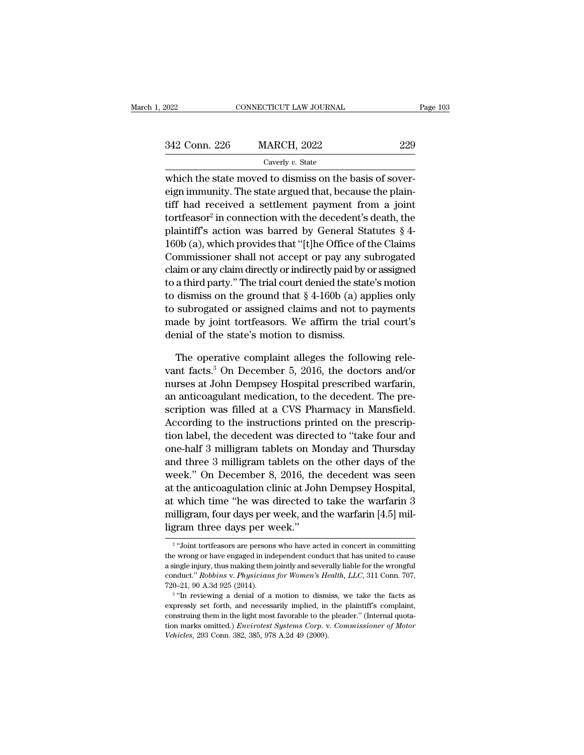| 2022          | CONNECTICUT LAW JOURNAL | Page $103$ |
|---------------|-------------------------|------------|
| 342 Conn. 226 | <b>MARCH, 2022</b>      | 229        |
|               | Caverly $v$ . State     |            |

which the state moved to dismiss on the basis of sover-342 Conn. 226 MARCH, 2022 229<br>Caverly v. State<br>which the state moved to dismiss on the basis of sover-<br>eign immunity. The state argued that, because the plain-<br>tiff had received a settlement payment from a joint 342 Conn. 226 MARCH, 2022 229<br>Caverly v. State<br>which the state moved to dismiss on the basis of sover-<br>eign immunity. The state argued that, because the plain-<br>tiff had received a settlement payment from a joint<br>tortfeaso tortfeasor<sup>2</sup> in connection with the decedent's death, the 226 MARCH, 2022 229<br>
Caverly v. State<br>
state moved to dismiss on the basis of sover-<br>
ity. The state argued that, because the plain-<br>
ceived a settlement payment from a joint<br>
in connection with the decedent's death, the<br> Caverly v. State<br>
which the state moved to dismiss on the basis of sover-<br>
eign immunity. The state argued that, because the plain-<br>
tiff had received a settlement payment from a joint<br>
tortfeasor<sup>2</sup> in connection with th which the state moved to dismiss on the basis of sover-<br>eign immunity. The state argued that, because the plain-<br>tiff had received a settlement payment from a joint<br>tortfeasor<sup>2</sup> in connection with the decedent's death, t which the state moved to dismiss on the basis of sover-<br>eign immunity. The state argued that, because the plain-<br>tiff had received a settlement payment from a joint<br>tortfeasor<sup>2</sup> in connection with the decedent's death, t eign immunity. The state argued that, because the plain-<br>tiff had received a settlement payment from a joint<br>tortfeasor<sup>2</sup> in connection with the decedent's death, the<br>plaintiff's action was barred by General Statutes § 4turn had received a settlement payment from a joint<br>tortfeasor<sup>2</sup> in connection with the decedent's death, the<br>plaintiff's action was barred by General Statutes § 4-<br>160b (a), which provides that "[t]he Office of the Clai tortreasor in connection with the decedent s death, the<br>plaintiff's action was barred by General Statutes § 4-<br>160b (a), which provides that "[t]he Office of the Claims<br>Commissioner shall not accept or pay any subrogated<br> plaintiff s action was barred by General statutes § 4-<br>160b (a), which provides that "[t]he Office of the Claims<br>Commissioner shall not accept or pay any subrogated<br>claim or any claim directly or indirectly paid by or assi 1600 (a), which provides that "[t]ne Office of the Claims<br>Commissioner shall not accept or pay any subrogated<br>claim or any claim directly or indirectly paid by or assigned<br>to a third party." The trial court denied the sta Commissioner snall not accept or pay any s<br>claim or any claim directly or indirectly paid by  $\alpha$ <br>to a third party." The trial court denied the stat<br>to dismiss on the ground that § 4-160b (a) at<br>to subrogated or assigned c a third party." The trial court denied the state's motion<br>dismiss on the ground that  $\S$  4-160b (a) applies only<br>subrogated or assigned claims and not to payments<br>ade by joint tortfeasors. We affirm the trial court's<br>mial to dismiss on the ground that  $\S$  4-160b (a) applies only<br>to subrogated or assigned claims and not to payments<br>made by joint tortfeasors. We affirm the trial court's<br>denial of the state's motion to dismiss.<br>The operative

to subrogated or assigned claims and not to payments<br>made by joint tortfeasors. We affirm the trial court's<br>denial of the state's motion to dismiss.<br>The operative complaint alleges the following rele-<br>vant facts.<sup>3</sup> On Dec made by joint tortfeasors. We affirm the trial court's<br>denial of the state's motion to dismiss.<br>The operative complaint alleges the following rele-<br>vant facts.<sup>3</sup> On December 5, 2016, the doctors and/or<br>nurses at John Demp denial of the state's motion to dismiss.<br>The operative complaint alleges the following relevant facts.<sup>3</sup> On December 5, 2016, the doctors and/or<br>nurses at John Dempsey Hospital prescribed warfarin,<br>an anticoagulant medica The operative complaint alleges the following relevant facts.<sup>3</sup> On December 5, 2016, the doctors and/or nurses at John Dempsey Hospital prescribed warfarin, an anticoagulant medication, to the decedent. The prescription w The operative complaint alleges the following relevant facts.<sup>3</sup> On December 5, 2016, the doctors and/or<br>nurses at John Dempsey Hospital prescribed warfarin,<br>an anticoagulant medication, to the decedent. The pre-<br>scription vant racts." On December 5, 2016, the doctors and/or<br>nurses at John Dempsey Hospital prescribed warfarin,<br>an anticoagulant medication, to the decedent. The pre-<br>scription was filled at a CVS Pharmacy in Mansfield.<br>Accordin nurses at John Dempsey Hospital prescribed warrarin,<br>an anticoagulant medication, to the decedent. The pre-<br>scription was filled at a CVS Pharmacy in Mansfield.<br>According to the instructions printed on the prescrip-<br>tion l an anticoagulant medication, to the decedent. The pre-<br>scription was filled at a CVS Pharmacy in Mansfield.<br>According to the instructions printed on the prescrip-<br>tion label, the decedent was directed to "take four and<br>one scription was filled at a CVS Pharmacy in Mansfield.<br>According to the instructions printed on the prescription label, the decedent was directed to "take four and<br>one-half 3 milligram tablets on Monday and Thursday<br>and thre According to the instructions printed on the prescription label, the decedent was directed to "take four and one-half 3 milligram tablets on Monday and Thursday and three 3 milligram tablets on the other days of the week." uon label, the decedent was directed to take four and<br>one-half 3 milligram tablets on Monday and Thursday<br>and three 3 milligram tablets on the other days of the<br>week." On December 8, 2016, the decedent was seen<br>at the anti one-nair 3 milligram tablets on M<br>and three 3 milligram tablets on t<br>week." On December 8, 2016, the<br>at the anticoagulation clinic at Joh<br>at which time "he was directed to<br>milligram, four days per week, and<br>ligram three da The anticoaguration cinne at John Dempsey Hospital,<br>
which time "he was directed to take the warfarin 3<br>
lligram, four days per week, and the warfarin [4.5] mil-<br>
ram three days per week."<br>
"Joint tortfeasors are persons w at which time "he was directed to take the warfarin 3<br>milligram, four days per week, and the warfarin [4.5] mil-<br>ligram three days per week."<br><sup>2</sup> "Joint tortfeasors are persons who have acted in concert in committing<br>the w

 $2$  " Ioint milligram, four days per week, and the warfarin [4.5] mil-<br>ligram three days per week."<br><sup>2</sup> "Joint tortfeasors are persons who have acted in concert in committing<br>the wrong or have engaged in independent conduct that has u ligram three days per week."<br>
<sup>2</sup> "Joint tortfeasors are persons who have acted in concert in committing<br>
the wrong or have engaged in independent conduct that has united to cause<br>
a single injury, thus making them jointly Figure 111 EV Cays per with a single injury, thus making them<br>conduct." Robbins v. Physicians<br> $720-21$ , 90 A.3d 925 (2014).<br> $3^{3}$  The reviewing a denial of a "Joint tortfeasors are persons who have acted in concert in committing wrong or have engaged in independent conduct that has united to cause ngle injury, thus making them jointly and severally liable for the wrongfulduct. conduct." Robbins v. Physicians for Women's Health, LLC, 311 Conn. 707,

the wrong or have engaged in independent conduct that has united to cause a single injury, thus making them jointly and severally liable for the wrongful conduct." *Robbins v. Physicians for Women's Health, LLC*, 311 Conn a single injury, thus making them jointly and severally liable for the wrongful conduct." *Robbins v. Physicians for Women's Health, LLC*, 311 Conn. 707, 720–21, 90 A.3d 925 (2014).<br><sup>3</sup> "In reviewing a denial of a motion expressly set forth, and necessarily implied, in the plaintiff's complaint,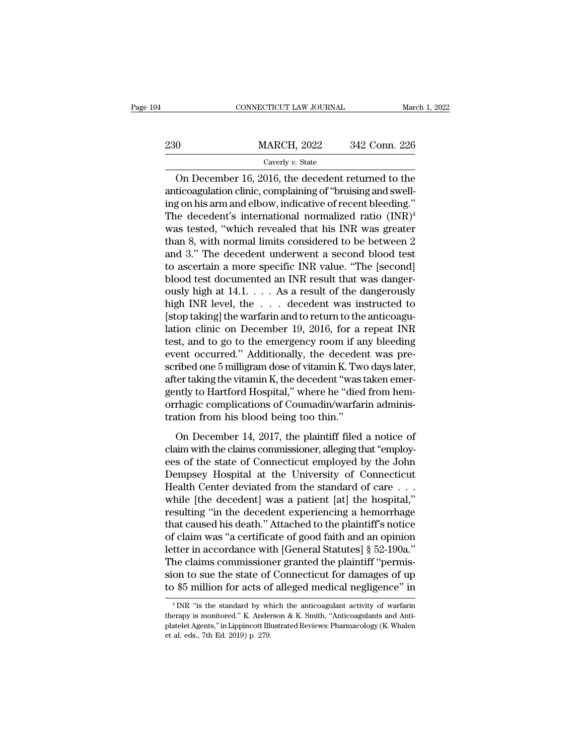|     | CONNECTICUT LAW JOURNAL | March 1, 2022 |
|-----|-------------------------|---------------|
| 230 | <b>MARCH, 2022</b>      | 342 Conn. 226 |
|     | Caverly $v$ . State     |               |

CONNECTICUT LAW JOURNAL March 1, 2022<br>
On MARCH, 2022 342 Conn. 226<br>
Caverly v. State<br>
On December 16, 2016, the decedent returned to the<br>
ticoagulation clinic, complaining of "bruising and swell-230 MARCH, 2022 342 Conn. 226<br>  $\frac{CaveRy v. State}{2016, the decoder returned to the anticoagulation clinic, combining of "bruising andswelling on his arm and elbow, indicative of recent bleeding." The decoder to determine the original normalized ratio  $(NIP)^4$ .$  $\frac{\text{X230}}{\text{Caverly } v. \text{ State}}$ <br>
On December 16, 2016, the decedent returned to the<br>
anticoagulation clinic, complaining of "bruising and swell-<br>
ing on his arm and elbow, indicative of recent bleeding."<br>
The decedent's intern 230 MARCH, 2022 342 Conn. 226<br>
Caverly v. State<br>
On December 16, 2016, the decedent returned to the<br>
anticoagulation clinic, complaining of "bruising and swell-<br>
ing on his arm and elbow, indicative of recent bleeding."<br> Caverly v. State<br>
On December 16, 2016, the decedent returned to the<br>
anticoagulation clinic, complaining of "bruising and swell-<br>
ing on his arm and elbow, indicative of recent bleeding."<br>
The decedent's international no Cavery v. state<br>
On December 16, 2016, the decedent returned to the<br>
anticoagulation clinic, complaining of "bruising and swell-<br>
ing on his arm and elbow, indicative of recent bleeding."<br>
The decedent's international nor On December 16, 2016, the decedent returned to the<br>anticoagulation clinic, complaining of "bruising and swell-<br>ing on his arm and elbow, indicative of recent bleeding."<br>The decedent's international normalized ratio  $(INR)^4$ anticoagulation clinic, complaining of "bruising and swell-<br>ing on his arm and elbow, indicative of recent bleeding."<br>The decedent's international normalized ratio  $(INR)^4$ <br>was tested, "which revealed that his INR was grea ing on his arm and elbow, indicative of recent bleeding."<br>The decedent's international normalized ratio  $\rm (INR)^4$ <br>was tested, "which revealed that his INR was greater<br>than 8, with normal limits considered to be between 2<br> The decedent's international normalized ratio  $(INR)^4$ <br>was tested, "which revealed that his INR was greater<br>than 8, with normal limits considered to be between 2<br>and 3." The decedent underwent a second blood test<br>to ascert was tested, "which revealed that his INR was greater<br>than 8, with normal limits considered to be between 2<br>and 3." The decedent underwent a second blood test<br>to ascertain a more specific INR value. "The [second]<br>blood tes than 8, with normal limits considered to be between 2 and 3." The decedent underwent a second blood test to ascertain a more specific INR value. "The [second] blood test documented an INR result that was dangerously high and 3." The decedent underwent a second blood test<br>to ascertain a more specific INR value. "The [second]<br>blood test documented an INR result that was danger-<br>ously high at 14.1. . . . As a result of the dangerously<br>high IN to ascertain a more specific INR value. "The [second]<br>blood test documented an INR result that was danger-<br>ously high at 14.1.  $\ldots$  As a result of the dangerously<br>high INR level, the  $\ldots$  decedent was instructed to<br>[sto blood test documented an INR result that was danger-<br>ously high at 14.1.  $\ldots$  As a result of the dangerously<br>high INR level, the  $\ldots$  decedent was instructed to<br>[stop taking] the warfarin and to return to the anticoaguously high at 14.1. . . . . As a result of the dangerously<br>high INR level, the . . . . decedent was instructed to<br>[stop taking] the warfarin and to return to the anticoagu-<br>lation clinic on December 19, 2016, for a repeat high INR level, the . . . decedent was instructed to<br>[stop taking] the warfarin and to return to the anticoagu-<br>lation clinic on December 19, 2016, for a repeat INR<br>test, and to go to the emergency room if any bleeding<br>eve [stop taking] the warfarin and to return to the anticoagulation clinic on December 19, 2016, for a repeat INR<br>test, and to go to the emergency room if any bleeding<br>event occurred." Additionally, the decedent was pre-<br>scrib lation clinic on December 19, 2016, for a repeat INR<br>test, and to go to the emergency room if any bleeding<br>event occurred." Additionally, the decedent was pre-<br>scribed one 5 milligram dose of vitamin K. Two days later,<br>aft test, and to go to the emergency room if and event occurred." Additionally, the deceder scribed one 5 milligram dose of vitamin K. Two after taking the vitamin K, the decedent "was tgently to Hartford Hospital," where he " The done 5 milligram dose of vitamin K. Two days later,<br>rer taking the vitamin K, the decedent "was taken emer-<br>ntly to Hartford Hospital," where he "died from hem-<br>rhagic complications of Coumadin/warfarin adminis-<br>tion f Extract one's manigram associated in the days axes,<br>after taking the vitamin K, the decedent "was taken emer-<br>gently to Hartford Hospital," where he "died from hem-<br>orrhagic complications of Coumadin/warfarin adminis-<br>trat

ently to Hartford Hospital," where he "died from hemorrhagic complications of Coumadin/warfarin administration from his blood being too thin."<br>On December 14, 2017, the plaintiff filed a notice of claim with the claims com orrhagic complications of Coumadin/warfarin administration from his blood being too thin."<br>On December 14, 2017, the plaintiff filed a notice of<br>claim with the claims commissioner, alleging that "employ-<br>ees of the state o France Compressions of Columbular mathematics traditions from the state of claim with the claims commissioner, alleging that "employ-<br>ees of the state of Connecticut employed by the John<br>Dempsey Hospital at the University on December 14, 2017, the plaintiff filed a notice of<br>claim with the claims commissioner, alleging that "employ-<br>ees of the state of Connecticut employed by the John<br>Dempsey Hospital, at the University of Connecticut<br>Healt On December 14, 2017, the plaintiff filed a notice of<br>claim with the claims commissioner, alleging that "employ-<br>ees of the state of Connecticut employed by the John<br>Dempsey Hospital at the University of Connecticut<br>Healt claim with the claims commissioner, alleging that "employ-<br>ees of the state of Connecticut employed by the John<br>Dempsey Hospital at the University of Connecticut<br>Health Center deviated from the standard of care . . .<br>while ees of the state of Connecticut employed by the John<br>Dempsey Hospital at the University of Connecticut<br>Health Center deviated from the standard of care . . .<br>while [the decedent] was a patient [at] the hospital,"<br>resulting Dempsey Hospital at the University of Connecticut<br>Health Center deviated from the standard of care . . .<br>while [the decedent] was a patient [at] the hospital,"<br>resulting "in the decedent experiencing a hemorrhage<br>that caus Health Center deviated from the standard of care . . . while [the decedent] was a patient [at] the hospital,"<br>resulting "in the decedent experiencing a hemorrhage<br>that caused his death." Attached to the plaintiff's notice while [the decedent] was a patient [at] the hospital,"<br>resulting "in the decedent experiencing a hemorrhage<br>that caused his death." Attached to the plaintiff's notice<br>of claim was "a certificate of good faith and an opinio resulting "in the decedent experiencing a hemorrhage<br>that caused his death." Attached to the plaintiff's notice<br>of claim was "a certificate of good faith and an opinion<br>letter in accordance with [General Statutes] § 52-190 tter in accordance with [General Statutes] § 52-190a."<br>he claims commissioner granted the plaintiff "permis-<br>on to sue the state of Connecticut for damages of up<br>\$5 million for acts of alleged medical negligence" in<br> $^{4}$ I The claims commissioner granted the plaintiff "permission to sue the state of Connecticut for damages of up to \$5 million for acts of alleged medical negligence" in  $4$  INR "is the standard by which the anticoagulant acti

sion to sue the state of Connecticut for damages of up<br>to \$5 million for acts of alleged medical negligence" in<br><sup>4</sup>INR "is the standard by which the anticoagulant activity of warfarin<br>therapy is monitored." K. Anderson & K to \$5 million for acts of<br>
<sup>4</sup> INR "is the standard by wherapy is monitored." K. Ander<br>
platelet Agents," in Lippincott III<br>
et al. eds., 7th Ed. 2019) p. 279.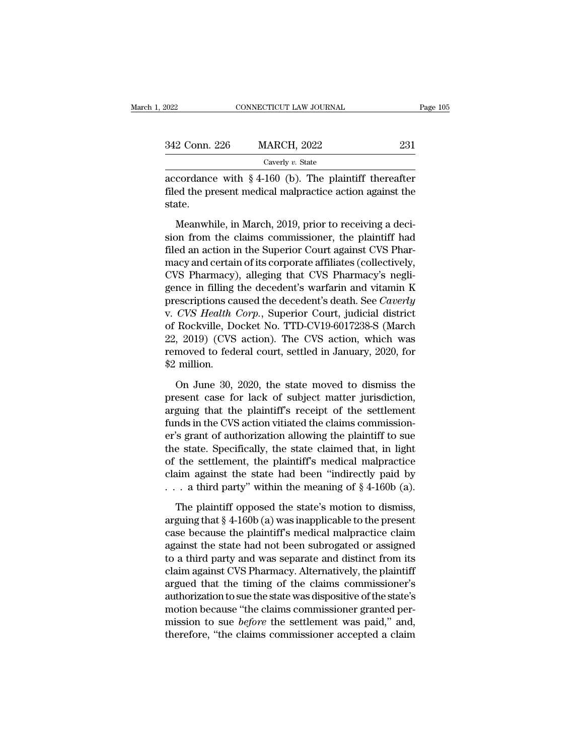| 2022          | CONNECTICUT LAW JOURNAL                                                                                              | Page 105 |
|---------------|----------------------------------------------------------------------------------------------------------------------|----------|
| 342 Conn. 226 | <b>MARCH, 2022</b>                                                                                                   | 231      |
|               | Caverly v. State                                                                                                     |          |
| atot          | accordance with $\S$ 4-160 (b). The plaintiff thereafter<br>filed the present medical malpractice action against the |          |

Filed the present medical malpractice action against the state. state.  $\frac{C_{\text{A}}}{251}$ <br>Caverly v. State<br>Cordance with § 4-160 (b). The plaintiff thereafter<br>ed the present medical malpractice action against the<br>atte.<br>Meanwhile, in March, 2019, prior to receiving a deci-<br>on from the claims c

Caverly v. State<br>
accordance with  $\S 4{\text -}160$  (b). The plaintiff thereafter<br>
filed the present medical malpractice action against the<br>
state.<br>
Meanwhile, in March, 2019, prior to receiving a deci-<br>
sion from the claims c accordance with  $\S$  4-160 (b). The plaintiff thereafter<br>filed the present medical malpractice action against the<br>state.<br>Meanwhile, in March, 2019, prior to receiving a deci-<br>sion from the claims commissioner, the plaintif filed the present medical malpractice action against the state.<br>
Meanwhile, in March, 2019, prior to receiving a decision from the claims commissioner, the plaintiff had<br>
filed an action in the Superior Court against CVS P state.<br>
Meanwhile, in March, 2019, prior to receiving a decision from the claims commissioner, the plaintiff had<br>
filed an action in the Superior Court against CVS Pharmacy<br>
macy and certain of its corporate affiliates (co Meanwhile, in March, 2019, prior to receiving a decision from the claims commissioner, the plaintiff had<br>filed an action in the Superior Court against CVS Phar-<br>macy and certain of its corporate affiliates (collectively,<br>C Meanwhile, in March, 2019, prior to receiving a decision from the claims commissioner, the plaintiff had<br>filed an action in the Superior Court against CVS Phar-<br>macy and certain of its corporate affiliates (collectively,<br>C sion from the claims commissioner, the plaintiff had<br>filed an action in the Superior Court against CVS Phar-<br>macy and certain of its corporate affiliates (collectively,<br>CVS Pharmacy), alleging that CVS Pharmacy's negli-<br>ge filed an action in the Superior Court against CVS Pharmacy and certain of its corporate affiliates (collectively, CVS Pharmacy), alleging that CVS Pharmacy's negligence in filling the decedent's warfarin and vitamin K pres macy and certain of its corporate affiliates (collectively,<br>CVS Pharmacy), alleging that CVS Pharmacy's negli-<br>gence in filling the decedent's warfarin and vitamin K<br>prescriptions caused the decedent's death. See *Caverly* CVS Pharmacy), alleging that CVS Pharmacy's negligence in filling the decedent's warfarin and vitamin K prescriptions caused the decedent's death. See *Caverly* v. *CVS Health Corp.*, Superior Court, judicial district of R gence in filling<br>prescriptions ca<br>v. *CVS Health*<br>of Rockville, Do<br>22, 2019) (CVS<br>removed to fed<br>\$2 million.<br>On June 30, CVS Health Corp., Superior Court, judicial district<br>Rockville, Docket No. TTD-CV19-6017238-S (March<br>, 2019) (CVS action). The CVS action, which was<br>moved to federal court, settled in January, 2020, for<br>million.<br>On June 30, of Rockville, Docket No. TTD-CV19-6017238-S (March<br>22, 2019) (CVS action). The CVS action, which was<br>removed to federal court, settled in January, 2020, for<br>\$2 million.<br>On June 30, 2020, the state moved to dismiss the<br>pres

22, 2019) (CVS action). The CVS action, which was<br>removed to federal court, settled in January, 2020, for<br>\$2 million.<br>On June 30, 2020, the state moved to dismiss the<br>present case for lack of subject matter jurisdiction,<br>a removed to federal court, settled in January, 2020, for<br>\$2 million.<br>On June 30, 2020, the state moved to dismiss the<br>present case for lack of subject matter jurisdiction,<br>arguing that the plaintiff's receipt of the settlem \$2 million.<br>
On June 30, 2020, the state moved to dismiss the<br>
present case for lack of subject matter jurisdiction,<br>
arguing that the plaintiff's receipt of the settlement<br>
funds in the CVS action vitiated the claims com On June 30, 2020, the state moved to dismiss the<br>present case for lack of subject matter jurisdiction,<br>arguing that the plaintiff's receipt of the settlement<br>funds in the CVS action vitiated the claims commission-<br>er's gra On June 30, 2020, the state moved to dismiss the<br>present case for lack of subject matter jurisdiction,<br>arguing that the plaintiff's receipt of the settlement<br>funds in the CVS action vitiated the claims commission-<br>er's gr present case for lack of subject matter jurisdiction,<br>arguing that the plaintiff's receipt of the settlement<br>funds in the CVS action vitiated the claims commission-<br>er's grant of authorization allowing the plaintiff to su arguing that the plaintiff's receipt of the settlement<br>funds in the CVS action vitiated the claims commission-<br>er's grant of authorization allowing the plaintiff to sue<br>the state. Specifically, the state claimed that, in 's grant of authorization allowing the plaintiff to sue<br>e state. Specifically, the state claimed that, in light<br>the settlement, the plaintiff's medical malpractice<br>aim against the state had been "indirectly paid by<br>a thir the state. Specifically, the state claimed that, in light<br>of the settlement, the plaintiff's medical malpractice<br>claim against the state had been "indirectly paid by<br> $\dots$  a third party" within the meaning of  $\S 4-160b$  (a

of the settlement, the plaintiff's medical malpractice<br>claim against the state had been "indirectly paid by<br>... a third party" within the meaning of  $\S 4$ -160b (a).<br>The plaintiff opposed the state's motion to dismiss,<br>arg claim against the state had been "indirectly paid by<br>  $\dots$  a third party" within the meaning of § 4-160b (a).<br>
The plaintiff opposed the state's motion to dismiss,<br>
arguing that § 4-160b (a) was inapplicable to the presen ... a third party" within the meaning of  $\S$  4-160b (a).<br>The plaintiff opposed the state's motion to dismiss,<br>arguing that  $\S$  4-160b (a) was inapplicable to the present<br>case because the plaintiff's medical malpractice cl The plaintiff opposed the state's motion to dismiss,<br>arguing that  $\S$  4-160b (a) was inapplicable to the present<br>case because the plaintiff's medical malpractice claim<br>against the state had not been subrogated or assigned The plaintiff opposed the state's motion to dismiss,<br>arguing that  $\S$  4-160b (a) was inapplicable to the present<br>case because the plaintiff's medical malpractice claim<br>against the state had not been subrogated or assigned arguing that § 4-160b (a) was inapplicable to the present<br>case because the plaintiff's medical malpractice claim<br>against the state had not been subrogated or assigned<br>to a third party and was separate and distinct from its case because the plaintiff's medical malpractice claim<br>against the state had not been subrogated or assigned<br>to a third party and was separate and distinct from its<br>claim against CVS Pharmacy. Alternatively, the plaintiff<br> against the state had not been subrogated or assigned<br>to a third party and was separate and distinct from its<br>claim against CVS Pharmacy. Alternatively, the plaintiff<br>argued that the timing of the claims commissioner's<br>aut to a third party and was separate and distinct from its<br>claim against CVS Pharmacy. Alternatively, the plaintiff<br>argued that the timing of the claims commissioner's<br>authorization to sue the state was dispositive of the sta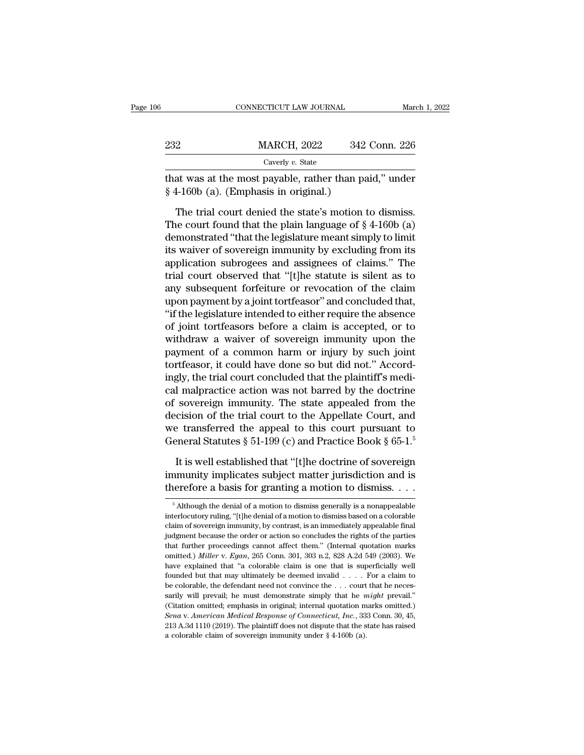|     | CONNECTICUT LAW JOURNAL | March 1, 2022 |
|-----|-------------------------|---------------|
|     |                         |               |
| 232 | <b>MARCH, 2022</b>      | 342 Conn. 226 |
|     | Caverly $v$ . State     |               |

CONNECTICUT LAW JOURNAL March 1, 2022<br>232 MARCH, 2022 342 Conn. 226<br>Caverly v. State<br>that was at the most payable, rather than paid,'' under<br> $\frac{1}{2}$ 4-160b (a). (Emphasis in original.) <sup>232</sup> MARCH, 2022 342<br>
<sup>Caverly v. State</sup><br>
that was at the most payable, rather than pa<br>
§ 4-160b (a). (Emphasis in original.)<br>
The trial court denied the state's motion t

MARCH, 2022 342 Conn. 226<br>
Caverly v. State<br>
at was at the most payable, rather than paid," under<br>
4-160b (a). (Emphasis in original.)<br>
The trial court denied the state's motion to dismiss.<br>
he court found that the plain The court found that the plain language of § 4-160b (a).<br>The trial court denied the state's motion to dismiss.<br>The court found that the plain language of § 4-160b (a)<br>demonstrated "that the legislature meant simply to lim Caverly v. State<br>that was at the most payable, rather than paid," under<br> $§$  4-160b (a). (Emphasis in original.)<br>The trial court denied the state's motion to dismiss.<br>The court found that the plain language of  $§$  4-160b ( that was at the most payable, rather than paid," under  $§$  4-160b (a). (Emphasis in original.)<br>The trial court denied the state's motion to dismiss.<br>The court found that the plain language of  $§$  4-160b (a)<br>demonstrated "  $\S$  4-160b (a). (Emphasis in original.)<br>The trial court denied the state's motion to dismiss.<br>The court found that the plain language of  $\S$  4-160b (a)<br>demonstrated "that the legislature meant simply to limit<br>its waiver o The trial court denied the state's motion to dismiss.<br>The court found that the plain language of  $\S 4$ -160b (a)<br>demonstrated "that the legislature meant simply to limit<br>its waiver of sovereign immunity by excluding from i The trial court denied the state's motion to dismiss.<br>The court found that the plain language of  $\S$  4-160b (a)<br>demonstrated "that the legislature meant simply to limit<br>its waiver of sovereign immunity by excluding from i The court found that the plain language of  $\S$  4-160b (a)<br>demonstrated "that the legislature meant simply to limit<br>its waiver of sovereign immunity by excluding from its<br>application subrogees and assignees of claims." The demonstrated "that the legislature meant simply to limit<br>its waiver of sovereign immunity by excluding from its<br>application subrogees and assignees of claims." The<br>trial court observed that "[t]he statute is silent as to<br>a its waiver of sovereign immunity by excluding from its<br>application subrogees and assignees of claims." The<br>trial court observed that "[t]he statute is silent as to<br>any subsequent forfeiture or revocation of the claim<br>upon application subrogees and assignees of claims." The<br>trial court observed that "[t]he statute is silent as to<br>any subsequent forfeiture or revocation of the claim<br>upon payment by a joint tortfeasor" and concluded that,<br>"if trial court observed that "[t]he statute is silent as to<br>any subsequent forfeiture or revocation of the claim<br>upon payment by a joint tortfeasor" and concluded that,<br>"if the legislature intended to either require the absen any subsequent forfeiture or revocation of the claim<br>upon payment by a joint tortfeasor" and concluded that,<br>"if the legislature intended to either require the absence<br>of joint tortfeasors before a claim is accepted, or to upon payment by a joint tortfeasor" and concluded that,<br>"if the legislature intended to either require the absence<br>of joint tortfeasors before a claim is accepted, or to<br>withdraw a waiver of sovereign immunity upon the<br>pay "if the legislature intended to either require the absence<br>of joint tortfeasors before a claim is accepted, or to<br>withdraw a waiver of sovereign immunity upon the<br>payment of a common harm or injury by such joint<br>tortfeasor of joint tortfeasors before a claim is accepted, or to<br>withdraw a waiver of sovereign immunity upon the<br>payment of a common harm or injury by such joint<br>tortfeasor, it could have done so but did not." Accord-<br>ingly, the tr withdraw a waiver of sovereign immunity upon the<br>payment of a common harm or injury by such joint<br>tortfeasor, it could have done so but did not." Accord-<br>ingly, the trial court concluded that the plaintiff's medi-<br>cal mal payment of a common harm or injury by such joint<br>tortfeasor, it could have done so but did not." Accord-<br>ingly, the trial court concluded that the plaintiff's medi-<br>cal malpractice action was not barred by the doctrine<br>of tortfeasor, it could have done so but did not." Accordingly, the trial court concluded that the plaintiff's medical malpractice action was not barred by the doctrine of sovereign immunity. The state appealed from the deci I malpractice action was not barred by the doctrine<br>sovereign immunity. The state appealed from the<br>cision of the trial court to the Appellate Court, and<br>e transferred the appeal to this court pursuant to<br>eneral Statutes % of sovereign immunity. The state appealed from the decision of the trial court to the Appellate Court, and we transferred the appeal to this court pursuant to General Statutes  $\S 51-199$  (c) and Practice Book  $\S 65-1$ .<sup></sup> decision of the trial court to the Appellate Court, and<br>we transferred the appeal to this court pursuant to<br>General Statutes § 51-199 (c) and Practice Book § 65-1.<sup>5</sup><br>It is well established that "[t]he doctrine of soverei

It is well established that "[t]he doctrine of sovereign<br>amunity implicates subject matter jurisdiction and is<br>erefore a basis for granting a motion to dismiss  $\dots$ <br><sup>5</sup> Although the denial of a motion to dismiss generally It is well established that "[t]he doctrine of sovereign<br>immunity implicates subject matter jurisdiction and is<br>therefore a basis for granting a motion to dismiss  $\dots$ <br> $\frac{1}{5}$  Although the denial of a motion to dismiss

immunity implicates subject matter jurisdiction and is<br>therefore a basis for granting a motion to dismiss. . . .<br> $\frac{1}{100}$  Although the denial of a motion to dismiss generally is a nonappealable<br>interlocutory ruling, "[ therefore a basis for granting a motion to dismiss.  $\ldots$  shares therefore a basis for granting a motion to dismiss generally is a nonappealable interlocutory ruling, "[t]he denial of a motion to dismiss based on a colora Further a basis for granting a filotion to dismiss.  $\cdot \cdot \cdot$ <br>
<sup>5</sup> Although the denial of a motion to dismiss generally is a nonappealable interlocutory ruling, "[t]he denial of a motion to dismiss based on a colorable cla <sup>5</sup> Although the denial of a motion to dismiss generally is a nonappealable interlocutory ruling, "[t]he denial of a motion to dismiss based on a colorable claim of sovereign immunity, by contrast, is an immediately appea interlocutory ruling, "[t]he denial of a motion to dismiss based on a colorable claim of sovereign immunity, by contrast, is an immediately appealable final judgment because the order or action so concludes the rights of claim of sovereign immunity, by contrast, is an immediately appealable final judgment because the order or action so concludes the rights of the parties that further proceedings cannot affect them." (Internal quotation ma be colorable, the defendant need not concludes the rights of the parties<br>indigment because the order or action so concludes the rights of the parties<br>that further proceedings cannot affect them." (Internal quotation marks share that further proceedings cannot affect them." (Internal quotation marks omitted.) *Miller* v. *Egan*, 265 Conn. 301, 303 n.2, 828 A.2d 549 (2003). We have explained that "a colorable claim is one that is superficiall omitted.) *Miller* v. *Egan*, 265 Conn. 301, 303 n.2, 828 A.2d 549 (2003). We have explained that "a colorable claim is one that is superficially well founded but that may ultimately be deemed invalid . . . . For a claim have explained that "a colorable claim is one that is superficially well founded but that may ultimately be deemed invalid . . . . For a claim to be colorable, the defendant need not convince the . . . court that he neces Founded but that may ultimately be deemed invalid  $\ldots$ . For a claim to be colorable, the defendant need not convince the  $\ldots$  court that he necessarily will prevail; he must demonstrate simply that he *might* prevail." sarily will prevail; he must demonstrate simply that he  $might$  prevail."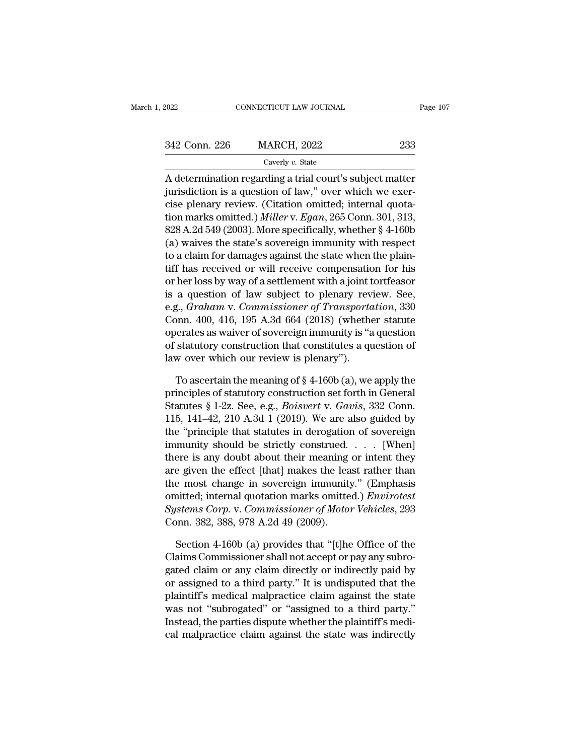| 2022          | CONNECTICUT LAW JOURNAL | Page 107 |  |
|---------------|-------------------------|----------|--|
|               |                         |          |  |
| 342 Conn. 226 | <b>MARCH, 2022</b>      | 233      |  |
|               | Caverly $v$ . State     |          |  |

CONNECTICUT LAW JOURNAL Page 107<br>
2342 Conn. 226 MARCH, 2022 233<br>
Caverly v. State<br>
A determination regarding a trial court's subject matter<br>
jurisdiction is a question of law," over which we exer-342 Conn. 226 MARCH, 2022 233<br>
Caverly v. State<br>
A determination regarding a trial court's subject matter<br>
jurisdiction is a question of law," over which we exer-<br>
cise plenary review. (Citation omitted; internal quota-<br> 342 Conn. 226 MARCH, 2022 233<br>
Caverly v. State<br>
A determination regarding a trial court's subject matter<br>
jurisdiction is a question of law," over which we exer-<br>
cise plenary review. (Citation omitted; internal quota-<br> 1942 Conn. 226 MARCH, 2022 233<br>
Caverly v. State<br>
A determination regarding a trial court's subject matter<br>
jurisdiction is a question of law," over which we exer-<br>
cise plenary review. (Citation omitted; internal quota-<br> Caverly v. State<br>
A determination regarding a trial court's subject matter<br>
jurisdiction is a question of law," over which we exer-<br>
cise plenary review. (Citation omitted; internal quota-<br>
tion marks omitted.) *Miller* v A determination regarding a trial court's subject matter<br>jurisdiction is a question of law," over which we exercise plenary review. (Citation omitted; internal quota-<br>tion marks omitted.) *Miller* v. *Egan*, 265 Conn. 301 A determination regarding a trial court's subject matter<br>jurisdiction is a question of law," over which we exer-<br>cise plenary review. (Citation omitted; internal quota-<br>tion marks omitted.) Miller v. Egan, 265 Conn. 301, jurisdiction is a question of law," over which we exercise plenary review. (Citation omitted; internal quotation marks omitted.) *Miller* v. *Egan*, 265 Conn. 301, 313, 828 A.2d 549 (2003). More specifically, whether  $\S$  cise plenary review. (Citation omitted; internal quotation marks omitted.) *Miller* v. *Egan*, 265 Conn. 301, 313, 828 A.2d 549 (2003). More specifically, whether  $\S$  4-160b (a) waives the state's sovereign immunity with tion marks omitted.) *Miller* v. *Egan*, 265 Conn. 301, 313, 828 A.2d 549 (2003). More specifically, whether  $\S$  4-160b (a) waives the state's sovereign immunity with respect to a claim for damages against the state when 828 A.2d 549 (2003). More specifically, whether § 4-160b<br>(a) waives the state's sovereign immunity with respect<br>to a claim for damages against the state when the plain-<br>tiff has received or will receive compensation for hi (a) waives the state's sovereign immunity with respect<br>to a claim for damages against the state when the plain-<br>tiff has received or will receive compensation for his<br>or her loss by way of a settlement with a joint tortfe to a claim for damages against the state when the plain-<br>tiff has received or will receive compensation for his<br>or her loss by way of a settlement with a joint tortfeasor<br>is a question of law subject to plenary review. See tiff has received or will receive compensation for his<br>or her loss by way of a settlement with a joint tortfeasor<br>is a question of law subject to plenary review. See,<br>e.g., *Graham v. Commissioner of Transportation*, 330<br>C or her loss by way of a settlement with a joint t<br>is a question of law subject to plenary rev<br>e.g., *Graham* v. *Commissioner of Transporta*<br>Conn. 400, 416, 195 A.3d 664 (2018) (whether<br>operates as waiver of sovereign immu g., *Graham v. Commissioner of Transportation*, 330<br>pnn. 400, 416, 195 A.3d 664 (2018) (whether statute<br>erates as waiver of sovereign immunity is "a question<br>statutory construction that constitutes a question of<br>w over wh Conn. 400, 416, 195 A.3d 664 (2018) (whether statute<br>operates as waiver of sovereign immunity is "a question<br>of statutory construction that constitutes a question of<br>law over which our review is plenary").<br>To ascertain th

operates as waiver of sovereign immunity is "a question<br>of statutory construction that constitutes a question of<br>law over which our review is plenary").<br>To ascertain the meaning of § 4-160b (a), we apply the<br>principles of of statutory construction that constitutes a question of<br>law over which our review is plenary").<br>To ascertain the meaning of  $\S 4$ -160b (a), we apply the<br>principles of statutory construction set forth in General<br>Statutes law over which our review is plenary").<br>
To ascertain the meaning of  $\S 4$ -160b (a), we apply the<br>
principles of statutory construction set forth in General<br>
Statutes  $\S 1$ -2z. See, e.g., *Boisvert* v. *Gavis*, 332 Conn.<br> To ascertain the meaning of  $\S$  4-160b (a), we apply the<br>principles of statutory construction set forth in General<br>Statutes  $\S$  1-2z. See, e.g., *Boisvert* v. *Gavis*, 332 Conn.<br>115, 141–42, 210 A.3d 1 (2019). We are also To ascertain the meaning of § 4-160b (a), we apply the<br>principles of statutory construction set forth in General<br>Statutes § 1-2z. See, e.g., *Boisvert v. Gavis*, 332 Conn.<br>115, 141-42, 210 A.3d 1 (2019). We are also guide principles of statutory construction set forth in General<br>Statutes § 1-2z. See, e.g., *Boisvert v. Gavis*, 332 Conn.<br>115, 141–42, 210 A.3d 1 (2019). We are also guided by<br>the "principle that statutes in derogation of sove Statutes § 1-2z. See, e.g., *Botsvert v. Gavis*, 332 Conn.<br>115, 141–42, 210 A.3d 1 (2019). We are also guided by<br>the "principle that statutes in derogation of sovereign<br>immunity should be strictly construed.... [When]<br>the 115, 141–42, 210 A.3d 1 (2019). We are also guided by<br>the "principle that statutes in derogation of sovereign<br>immunity should be strictly construed. . . . [When]<br>there is any doubt about their meaning or intent they<br>are gi the "principle that statutes in derogation of sovereign<br>immunity should be strictly construed. . . . [When]<br>there is any doubt about their meaning or intent they<br>are given the effect [that] makes the least rather than<br>the mmunty should be strictly construed.<br>
there is any doubt about their meaning<br>
are given the effect [that] makes the lea<br>
the most change in sovereign immunity<br>
omitted; internal quotation marks omitte<br>
Systems Corp. v. Com e given the effect [that] makes the least rather than<br>
e most change in sovereign immunity." (Emphasis<br>
inted; internal quotation marks omitted.) *Envirotest*<br> *stems Corp.* v. *Commissioner of Motor Vehicles*, 293<br>
pon. 3 the most change in sovereign immunity." (Emphasis<br>
comitted; internal quotation marks omitted.) *Envirotest*<br>
Systems Corp. v. Commissioner of Motor Vehicles, 293<br>
Conn. 382, 388, 978 A.2d 49 (2009).<br>
Section 4-160b (a) pr

omitted; internal quotation marks omitted.) *Envirotest*<br> *Systems Corp.* v. *Commissioner of Motor Vehicles*, 293<br>
Conn. 382, 388, 978 A.2d 49 (2009).<br>
Section 4-160b (a) provides that "[t]he Office of the<br>
Claims Commiss Systems Corp. v. Commissioner of Motor Vehicles, 293<br>Conn. 382, 388, 978 A.2d 49 (2009).<br>Section 4-160b (a) provides that "[t]he Office of the<br>Claims Commissioner shall not accept or pay any subrogated claim or any claim d Conn. 382, 388, 978 A.2d 49 (2009).<br>
Section 4-160b (a) provides that "[t]he Office of the<br>
Claims Commissioner shall not accept or pay any subro-<br>
gated claim or any claim directly or indirectly paid by<br>
or assigned to a Section 4-160b (a) provides that "[t]he Office of the Claims Commissioner shall not accept or pay any subrogated claim or any claim directly or indirectly paid by or assigned to a third party." It is undisputed that the pl Section 4-1606 (a) provides that "[t]he Office of the Claims Commissioner shall not accept or pay any subrogated claim or any claim directly or indirectly paid by or assigned to a third party." It is undisputed that the pl Claims Commissioner shall not accept or pay any subrogated claim or any claim directly or indirectly paid by<br>or assigned to a third party." It is undisputed that the<br>plaintiff's medical malpractice claim against the state<br>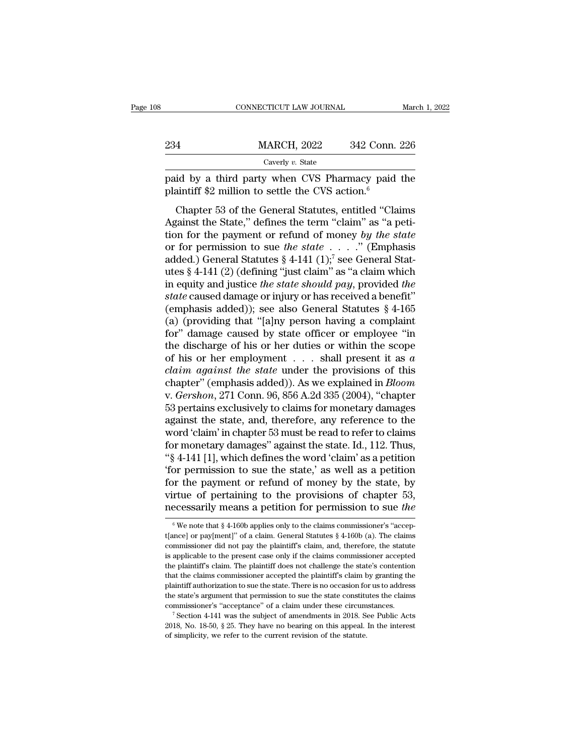| 08  | CONNECTICUT LAW JOURNAL                                                                                                                                                   | March 1, 2022 |
|-----|---------------------------------------------------------------------------------------------------------------------------------------------------------------------------|---------------|
| 234 | <b>MARCH, 2022</b>                                                                                                                                                        | 342 Conn. 226 |
|     | Caverly $v$ . State                                                                                                                                                       |               |
|     | paid by a third party when CVS Pharmacy paid the<br>plaintiff \$2 million to settle the CVS action. $6$                                                                   |               |
|     | Chapter 53 of the General Statutes, entitled "Claims"<br>Against the State," defines the term "claim" as "a peti-<br>tion for the narmont or refund of money by the state |               |

234 MARCH, 2022 342 Conn. 226<br>
Caverly v. State<br>
paid by a third party when CVS Pharmacy paid the<br>
plaintiff \$2 million to settle the CVS action.<sup>6</sup><br>
Chapter 53 of the General Statutes, entitled "Claims<br>
Against the State Caverly *v*. State<br>
paid by a third party when CVS Pharmacy paid the<br>
plaintiff \$2 million to settle the CVS action.<sup>6</sup><br>
Chapter 53 of the General Statutes, entitled "Claims<br>
Against the State," defines the term "claim" a paid by a third party when CVS Pharmacy paid the<br>plaintiff \$2 million to settle the CVS action.<sup>6</sup><br>Chapter 53 of the General Statutes, entitled "Claims<br>Against the State," defines the term "claim" as "a peti-<br>tion for the plaintiff \$2 million to settle the CVS action.<sup>6</sup><br>Chapter 53 of the General Statutes, entitled "Claims<br>Against the State," defines the term "claim" as "a peti-<br>tion for the payment or refund of money by the state<br>or for p Chapter 53 of the General Statutes, entitled "Claims<br>Against the State," defines the term "claim" as "a peti-<br>tion for the payment or refund of money by the state<br>or for permission to sue the state  $\ldots$ " (Emphasis<br>added. Chapter 53 of the General Statutes, entitled "Claims<br>Against the State," defines the term "claim" as "a peti-<br>tion for the payment or refund of money by the state<br>or for permission to sue the state  $\ldots$ ." (Emphasis<br>added Against the State," defines the term "claim" as "a petition for the payment or refund of money by the state<br>or for permission to sue the state . . . . ." (Emphasis<br>added.) General Statutes  $\S 4-141 (1)$ ;<sup>7</sup> see General Sta tion for the payment or refund of money by the state<br>or for permission to sue the state . . . . " (Emphasis<br>added.) General Statutes § 4-141 (1);<sup>7</sup> see General Stat-<br>utes § 4-141 (2) (defining "just claim" as "a claim wh or for permission to sue *the state* . . . ." (Emphasis added.) General Statutes § 4-141 (1);<sup>7</sup> see General Statutes § 4-141 (2) (defining "just claim" as "a claim which in equity and justice *the state should pay*, prov added.) General Statutes § 4-141 (1);<sup>7</sup> see General Statutes § 4-141 (2) (defining "just claim" as "a claim which<br>in equity and justice *the state should pay*, provided *the*<br>*state* caused damage or injury or has receiv utes § 4-141 (2) (defining "just claim" as "a claim which<br>in equity and justice *the state should pay*, provided *the*<br>*state* caused damage or injury or has received a benefit"<br>(emphasis added)); see also General Statute in equity and justice *the state should pay*, provided *the*<br>state caused damage or injury or has received a benefit"<br>(emphasis added)); see also General Statutes  $\S 4$ -165<br>(a) (providing that "[a]ny person having a compl *state* caused damage or injury or has received a benefit"<br>(emphasis added)); see also General Statutes § 4-165<br>(a) (providing that "[a]ny person having a complaint<br>for" damage caused by state officer or employee "in<br>the d (emphasis added)); see also General Statutes  $\S$  4-165<br>
(a) (providing that "[a]ny person having a complaint<br>
for" damage caused by state officer or employee "in<br>
the discharge of his or her duties or within the scope<br>
of (a) (providing that "[a]ny person having a complaint<br>for" damage caused by state officer or employee "in<br>the discharge of his or her duties or within the scope<br>of his or her employment  $\dots$  shall present it as *a*<br>claim a for" damage caused by state officer or employee "in<br>the discharge of his or her duties or within the scope<br>of his or her employment . . . . shall present it as *a*<br>claim against the state under the provisions of this<br>chap the discharge of his or her duties or within the scope<br>of his or her employment . . . shall present it as a<br>claim against the state under the provisions of this<br>chapter" (emphasis added)). As we explained in *Bloom*<br>v. *G* of his or her employment  $\ldots$  shall present it as a<br>claim against the state under the provisions of this<br>chapter" (emphasis added)). As we explained in *Bloom*<br>v. *Gershon*, 271 Conn. 96, 856 A.2d 335 (2004), "chapter<br>53 claim against the state under the provisions of this<br>chapter" (emphasis added)). As we explained in *Bloom*<br>v. *Gershon*, 271 Conn. 96, 856 A.2d 335 (2004), "chapter<br>53 pertains exclusively to claims for monetary damages<br>a chapter" (emphasis added)). As we explained in *Bloom*<br>v. *Gershon*, 271 Conn. 96, 856 A.2d 335 (2004), "chapter<br>53 pertains exclusively to claims for monetary damages<br>against the state, and, therefore, any reference to th v. *Gershon*, 271 Conn. 96, 856 A.2d 335 (2004), "chapter 53 pertains exclusively to claims for monetary damages against the state, and, therefore, any reference to the word 'claim' in chapter 53 must be read to refer to 53 pertains exclusively to claims for monetary damages<br>against the state, and, therefore, any reference to the<br>word 'claim' in chapter 53 must be read to refer to claims<br>for monetary damages" against the state. Id., 112. against the state, and, therefore, any reference to the<br>word 'claim' in chapter 53 must be read to refer to claims<br>for monetary damages" against the state. Id., 112. Thus,<br>"§ 4-141 [1], which defines the word 'claim' as a word 'claim' in chapter 53 must be read to refer to claims<br>for monetary damages" against the state. Id., 112. Thus,<br>"\\$ 4-141 [1], which defines the word 'claim' as a petition<br>"for permission to sue the state," as well as 'for permission to sue the state,' as well as a petition<br>for the payment or refund of money by the state, by<br>virtue of pertaining to the provisions of chapter 53,<br>necessarily means a petition for permission to sue the<br> $\frac$ for the payment or refund of money by the state, by<br>virtue of pertaining to the provisions of chapter 53,<br>necessarily means a petition for permission to sue the<br> $\sqrt[6]{\frac{1}{\pi}}$  we note that § 4-160b applies only to the cl

virtue of pertaining to the provisions of chapter 53,<br>necessarily means a petition for permission to sue the<br> $\sqrt{w}$  we note that § 4-160b applies only to the claims commissioner's "accep-<br>t[ance] or pay[ment]" of a claim is a perfect to the present case only to the claims commissioner's "acception" of a claim. General Statutes  $\S$  4-160b (a). The claims commissioner did not pay the plaintiff's claim, and, therefore, the statute is applica The existency integrals a pertition for pertitismont to sue the  $\frac{1}{2}$  of we note that § 4-160b applies only to the claims commissioner's "acceptioner did not pay the plaintiff's claim, and, therefore, the statute is a <sup>6</sup> We note that § 4-160b applies only to the claims commissioner's "accepted tance] or pay[ment]" of a claim. General Statutes § 4-160b (a). The claims commissioner did not pay the plaintiff's claim, and, therefore, the t[ance] or pay[ment]" of a claim. General Statutes  $\S$  4-160b (a). The claims commissioner did not pay the plaintiff's claim, and, therefore, the statute is applicable to the present case only if the claims commissioner a commissioner did not pay the plaintiff's claim, and, therefore, the statute<br>is applicable to the present case only if the claims commissioner accepted<br>the plaintiff's claim. The plaintiff does not challenge the state's co is applicable to the present case only if the claims commissioner accepted<br>the plaintiff's claim. The plaintiff does not challenge the state's contention<br>that the claims commissioner accepted the plaintiff's claim by gran that the claims commissioner accepted the plaintiff's claim by granting the plaintiff authorization to sue the state. There is no occasion for us to address the state's argument that permission to sue the state constitute plaintiff authorization to sue the state. There is no occasion for us to address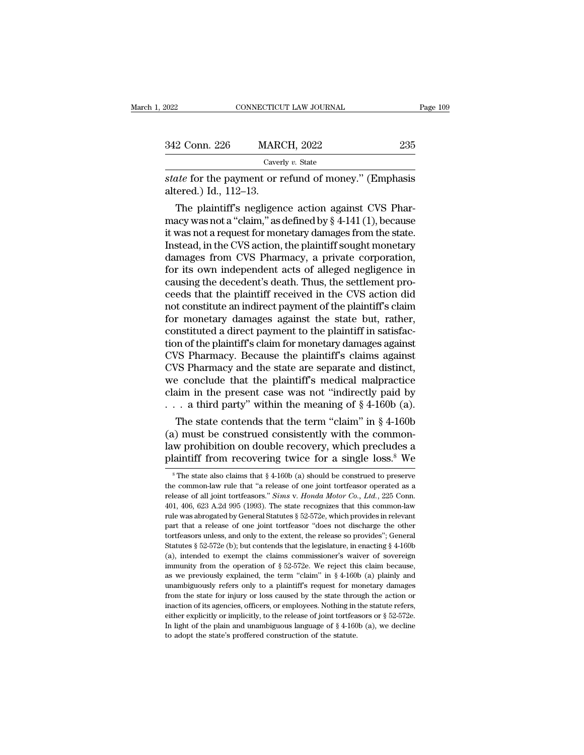| 2022                   | CONNECTICUT LAW JOURNAL                                                                                                                                                          | Page 109 |
|------------------------|----------------------------------------------------------------------------------------------------------------------------------------------------------------------------------|----------|
|                        |                                                                                                                                                                                  |          |
| 342 Conn. 226          | <b>MARCH, 2022</b>                                                                                                                                                               | 235      |
|                        | Caverly v. State                                                                                                                                                                 |          |
| altered.) Id., 112–13. | <i>state</i> for the payment or refund of money." (Emphasis                                                                                                                      |          |
|                        | The plaintiff's negligence action against CVS Phar-<br>macy was not a "claim," as defined by $\S 4-141(1)$ , because<br>it was not a roquest for monotary damages from the state |          |

342 Conn. 226 MARCH, 2022 235<br>
Caverly v. State<br>
state for the payment or refund of money." (Emphasis<br>
altered.) Id., 112–13.<br>
The plaintiff's negligence action against CVS Phar-<br>
macy was not a "claim," as defined by § 4 Caverly v. State<br>
state for the payment or refund of money." (Emphasis<br>
altered.) Id., 112–13.<br>
The plaintiff's negligence action against CVS Phar-<br>
macy was not a "claim," as defined by  $\S 4$ -141 (1), because<br>
it was not state for the payment or refund of money." (Emphasis<br>altered.) Id., 112–13.<br>The plaintiff's negligence action against CVS Phar-<br>macy was not a "claim," as defined by  $\S 4-141$  (1), because<br>it was not a request for monetar state for the payment or refund of money. (Emphasis<br>altered.) Id., 112–13.<br>The plaintiff's negligence action against CVS Phar-<br>macy was not a "claim," as defined by § 4-141 (1), because<br>it was not a request for monetary da altered.) Id., 112–15.<br>
The plaintiff's negligence action against CVS Phar-<br>
macy was not a "claim," as defined by § 4-141 (1), because<br>
it was not a request for monetary damages from the state.<br>
Instead, in the CVS action The plaintiff's negligence action against CVS Pharmacy was not a "claim," as defined by  $\S$  4-141 (1), because it was not a request for monetary damages from the state. Instead, in the CVS action, the plaintiff sought mon macy was not a "claim," as defined by § 4-141 (1), because<br>it was not a request for monetary damages from the state.<br>Instead, in the CVS action, the plaintiff sought monetary<br>damages from CVS Pharmacy, a private corporatio it was not a request for monetary damages from the state.<br>Instead, in the CVS action, the plaintiff sought monetary<br>damages from CVS Pharmacy, a private corporation,<br>for its own independent acts of alleged negligence in<br>ca Instead, in the CVS action, the plaintiff sought monetary<br>damages from CVS Pharmacy, a private corporation,<br>for its own independent acts of alleged negligence in<br>causing the decedent's death. Thus, the settlement pro-<br>ceed damages from CVS Pharmacy, a private corporation,<br>for its own independent acts of alleged negligence in<br>causing the decedent's death. Thus, the settlement pro-<br>ceeds that the plaintiff received in the CVS action did<br>not co for its own independent acts of alleged negligence in causing the decedent's death. Thus, the settlement proceeds that the plaintiff received in the CVS action did not constitute an indirect payment of the plaintiff's clai causing the decedent's death. Thus, the settlement proceeds that the plaintiff received in the CVS action did<br>not constitute an indirect payment of the plaintiff's claim<br>for monetary damages against the state but, rather,<br> ceeds that the plaintiff received in the CVS action did<br>not constitute an indirect payment of the plaintiff's claim<br>for monetary damages against the state but, rather,<br>constituted a direct payment to the plaintiff in satis not constitute an indirect payment of the plaintiff's claim<br>for monetary damages against the state but, rather,<br>constituted a direct payment to the plaintiff in satisfac-<br>tion of the plaintiff's claim for monetary damages for monetary damages against the state but, rather,<br>constituted a direct payment to the plaintiff in satisfac-<br>tion of the plaintiff's claim for monetary damages against<br>CVS Pharmacy. Because the plaintiff's claims agains constituted a direct payment to the plaintiff in satisfaction of the plaintiff's claim for monetary damages against CVS Pharmacy. Because the plaintiff's claims against CVS Pharmacy and the state are separate and distinct The state contends that the plaintiff's claims against<br>
The state conclude that the plaintiff's claims against<br>
The state conclude that the plaintiff's medical malpractice<br>
aim in the present case was not "indirectly paid CVS Pharmacy. Because the plaintiff's claims against<br>CVS Pharmacy and the state are separate and distinct,<br>we conclude that the plaintiff's medical malpractice<br>claim in the present case was not "indirectly paid by<br> $\dots$  a

CVS Pharmacy and the state are separate and distinct,<br>we conclude that the plaintiff's medical malpractice<br>claim in the present case was not "indirectly paid by<br> $\dots$  a third party" within the meaning of § 4-160b (a).<br>The we conclude that the plaintiff s medical malpractice<br>claim in the present case was not "indirectly paid by<br>... a third party" within the meaning of  $\S 4-160b$  (a).<br>The state contends that the term "claim" in  $\S 4-160b$ <br>(a The state contends that the term "claim" in § 4-160b<br>
a) must be construed consistently with the common-<br>
w prohibition on double recovery, which precludes a<br>
laintiff from recovering twice for a single loss.<sup>8</sup> We<br>
<sup>8</sup>Th (a) must be construed consistently with the common-<br>law prohibition on double recovery, which precludes a<br>plaintiff from recovering twice for a single loss.<sup>8</sup> We<br><sup>8</sup>The state also claims that  $§4-160b$  (a) should be cons

law prohibition on double recovery, which precludes a<br>plaintiff from recovering twice for a single loss.<sup>8</sup> We<br><sup>8</sup>The state also claims that § 4-160b (a) should be construed to preserve<br>the common-law rule that "a release mature promission on totalist recovery, which precides a plaintiff from recovering twice for a single loss.<sup>8</sup> We  $\frac{1}{8}$  The state also claims that  $\frac{6}{4}$  +160b (a) should be construed to preserve the common-law rul **PRIGUIT IF COVETING UNICE TOT A SINGLE IOSS.** We<br>
<sup>8</sup> The state also claims that § 4-160b (a) should be construed to preserve<br>
the common-law rule that "a release of one joint tortfeasor operated as a<br>
release of all joi <sup>8</sup> The state also claims that  $\S$  4-160b (a) should be construed to preserve the common-law rule that "a release of one joint tortfeasor operated as a release of all joint tortfeasors." *Sims v. Honda Motor Co., Ltd.*, 2 the common-law rule that "a release of one joint tortfeasor operated as a release of all joint tortfeasors." *Sims v. Honda Motor Co., Ltd.*, 225 Conn. 401, 406, 623 A.2d 995 (1993). The state recognizes that this commonrelease of all joint tortfeasors." *Sims* v. *Honda Motor Co., Ltd.*, 225 Conn. 401, 406, 623 A.2d 995 (1993). The state recognizes that this common-law rule was abrogated by General Statutes § 52-572e, which provides in 401, 406, 623 A.2d 995 (1993). The state recognizes that this common-law<br>trule was abrogated by General Statutes § 52-572e, which provides in relevant<br>part that a release of one joint tortfeasor "does not discharge the ot rule was abrogated by General Statutes § 52-572e, which provides in relevant part that a release of one joint tortfeasor "does not discharge the other tortfeasors unless, and only to the extent, the release so provides"; part that a release of one joint tortfeasor "does not discharge the other tortfeasors unless, and only to the extent, the release so provides"; General Statutes § 52-572e (b); but contends that the legislature, in enactin for the assors unless, and only to the extent, the release so provides"; General Statutes § 52-572e (b); but contends that the legislature, in enacting § 4-160b (a), intended to exempt the claims commissioner's waiver of Statutes § 52-572e (b); but contends that the legislature, in enacting § 4-160b (a), intended to exempt the claims commissioner's waiver of sovereign immunity from the operation of § 52-572e. We reject this claim because, cal, intended to exempt the claims commissioner's waiver of sovereign immunity from the operation of § 52-572e. We reject this claim because, as we previously explained, the term "claim" in § 4-160b (a) plainly and unambi immunity from the operation of § 52-572e. We reject this claim because, as we previously explained, the term "claim" in § 4-160b (a) plainly and unambiguously refers only to a plaintiff's request for monetary damages from as we previously explained, the term "claim" in § 4-160b (a) plainly and unambiguously refers only to a plaintiff's request for monetary damages from the state for injury or loss caused by the state through the action or as we previously explained, the term "claim" in § 4-160b (a) plainly and unambiguously refers only to a plaintiff's request for monetary damages from the state for injury or loss caused by the state through the action or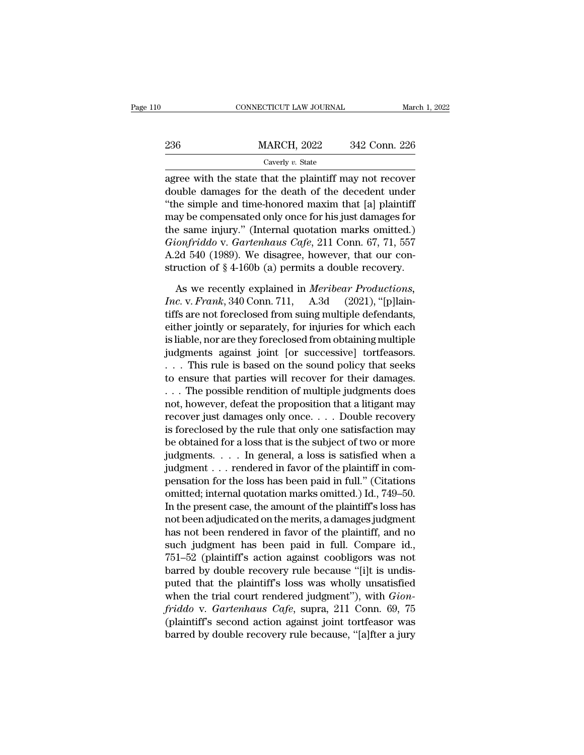| 0 |     | CONNECTICUT LAW JOURNAL | March 1, 2022 |
|---|-----|-------------------------|---------------|
|   | 236 | <b>MARCH, 2022</b>      | 342 Conn. 226 |
|   |     | Caverly v. State        |               |

236 MARCH, 2022 342 Conn. 226<br>
Caverly v. State<br>
agree with the state that the plaintiff may not recover<br>
double damages for the death of the decedent under<br>
"the simple and time-honored maxim that [a] plaintiff<br>
may be co  $\frac{236}{236}$  MARCH, 2022 342 Conn. 226<br>  $\frac{236}{236}$  Caverly v. State<br>
agree with the state that the plaintiff may not recover<br>
double damages for the death of the decedent under<br>
"the simple and time-honored maxim that 236 MARCH, 2022 342 Conn. 226<br>
Caverly v. State<br>
agree with the state that the plaintiff may not recover<br>
double damages for the death of the decedent under<br>
"the simple and time-honored maxim that [a] plaintiff<br>
may be c Caverly v. State<br>
agree with the state that the plaintiff may not recover<br>
double damages for the death of the decedent under<br>
"the simple and time-honored maxim that [a] plaintiff<br>
may be compensated only once for his ju *Gaveny v. state*<br> *Gaveny v. state*<br> *Giongle damages for the death of the decedent under*<br> *Giongle and time-honored maxim that* [a] plaintiff<br>
may be compensated only once for his just damages for<br>
the same injury." (In agree with the state that the plaintiff may not recover<br>double damages for the death of the decedent under<br>"the simple and time-honored maxim that [a] plaintiff<br>may be compensated only once for his just damages for<br>the sa double damages for the death of the decedent under<br>
"the simple and time-honored maxim that [a] plaintiff<br>
may be compensated only once for his just damages for<br>
the same injury." (Internal quotation marks omitted.)<br> *Gio* ay be compensated only once for his just damages for<br>e same injury." (Internal quotation marks omitted.)<br>*ionfriddo v. Gartenhaus Cafe*, 211 Conn. 67, 71, 557<br>2d 540 (1989). We disagree, however, that our con-<br>ruction of § the same injury." (Internal quotation marks omitted.)<br> *Gionfriddo* v. *Gartenhaus Cafe*, 211 Conn. 67, 71, 557<br>
A.2d 540 (1989). We disagree, however, that our construction of § 4-160b (a) permits a double recovery.<br>
As w

Gionfriddo v. Gartenhaus Cafe, 211 Conn. 67, 71, 557<br>A.2d 540 (1989). We disagree, however, that our construction of § 4-160b (a) permits a double recovery.<br>As we recently explained in *Meribear Productions*,<br>Inc. v. Fran A.2d 540 (1989). We disagree, however, that our construction of  $\S$  4-160b (a) permits a double recovery.<br>As we recently explained in *Meribear Productions*,<br>*Inc.* v. *Frank*, 340 Conn. 711, A.3d (2021), "[p]lain-<br>tiffs struction of  $\S$  4-160b (a) permits a double recovery.<br>
As we recently explained in *Meribear Productions*,<br> *Inc.* v. *Frank*, 340 Conn. 711, A.3d (2021), "[p]laintiffs are not foreclosed from suing multiple defendants,<br> As we recently explained in *Meribear Productions*,<br>*Inc. v. Frank*, 340 Conn. 711, A.3d (2021), "[p]lain-<br>tiffs are not foreclosed from suing multiple defendants,<br>either jointly or separately, for injuries for which each As we recently explained in *Meribear Productions*,<br> *Inc. v. Frank*, 340 Conn. 711, A.3d (2021), "[p]lain-<br>
tiffs are not foreclosed from suing multiple defendants,<br>
either jointly or separately, for injuries for which e *Inc.* v. *Frank*, 340 Conn. 711, A.3d (2021), "[p]laintiffs are not foreclosed from suing multiple defendants, either jointly or separately, for injuries for which each is liable, nor are they foreclosed from obtaining m tiffs are not foreclosed from suing multiple defendants,<br>either jointly or separately, for injuries for which each<br>is liable, nor are they foreclosed from obtaining multiple<br>judgments against joint [or successive] tortfeas either jointly or separately, for injuries for which each<br>is liable, nor are they foreclosed from obtaining multiple<br>judgments against joint [or successive] tortfeasors.<br>. . . This rule is based on the sound policy that se is liable, nor are they foreclosed from obtaining multiple<br>judgments against joint [or successive] tortfeasors.<br>. . . This rule is based on the sound policy that seeks<br>to ensure that parties will recover for their damages. judgments against joint [or successive] tortfeasors.<br>  $\ldots$  This rule is based on the sound policy that seeks<br>
to ensure that parties will recover for their damages.<br>  $\ldots$  The possible rendition of multiple judgments doe Fig. . . . This rule is based on the sound policy that seeks<br>to ensure that parties will recover for their damages.<br>. . . The possible rendition of multiple judgments does<br>not, however, defeat the proposition that a litig to ensure that parties will recover for their damages.<br>
. . . The possible rendition of multiple judgments does<br>
not, however, defeat the proposition that a litigant may<br>
recover just damages only once. . . . Double recov . . . The possible rendition of multiple judgments does<br>not, however, defeat the proposition that a litigant may<br>recover just damages only once. . . . Double recovery<br>is foreclosed by the rule that only one satisfaction m not, however, defeat the proposition that a litigant may<br>recover just damages only once. . . . Double recovery<br>is foreclosed by the rule that only one satisfaction may<br>be obtained for a loss that is the subject of two or m recover just damages only once. . . . Double recovery<br>is foreclosed by the rule that only one satisfaction may<br>be obtained for a loss that is the subject of two or more<br>judgments. . . . In general, a loss is satisfied when is foreclosed by the rule that only one satisfaction may<br>be obtained for a loss that is the subject of two or more<br>judgments. . . . . In general, a loss is satisfied when a<br>judgment . . . rendered in favor of the plaintiff be obtained for a loss that is the subject of two or more<br>judgments. . . . In general, a loss is satisfied when a<br>judgment . . . rendered in favor of the plaintiff in com-<br>pensation for the loss has been paid in full." (C judgments. . . . . In general, a loss is satisfied when a<br>judgment . . . rendered in favor of the plaintiff in com-<br>pensation for the loss has been paid in full." (Citations<br>omitted; internal quotation marks omitted.) Id. judgment . . . rendered in favor of the plaintiff in compensation for the loss has been paid in full." (Citations<br>omitted; internal quotation marks omitted.) Id., 749–50.<br>In the present case, the amount of the plaintiff's pensation for the loss has been paid in full." (Citations<br>omitted; internal quotation marks omitted.) Id., 749–50.<br>In the present case, the amount of the plaintiff's loss has<br>not been adjudicated on the merits, a damages j omitted; internal quotation marks omitted.) Id., 749–50.<br>In the present case, the amount of the plaintiff's loss has<br>not been adjudicated on the merits, a damages judgment<br>has not been rendered in favor of the plaintiff, a In the present case, the amount of the plaintiff's loss has<br>not been adjudicated on the merits, a damages judgment<br>has not been rendered in favor of the plaintiff, and no<br>such judgment has been paid in full. Compare id.,<br> not been adjudicated on the merits, a damages judgment<br>has not been rendered in favor of the plaintiff, and no<br>such judgment has been paid in full. Compare id.,<br>751–52 (plaintiff's action against coobligors was not<br>barred has not been rendered in favor of the plaintiff, and no<br>such judgment has been paid in full. Compare id.,<br>751–52 (plaintiff's action against coobligors was not<br>barred by double recovery rule because "[i]t is undis-<br>puted t such judgment has been paid in full. Compare id.,<br>751–52 (plaintiff's action against coobligors was not<br>barred by double recovery rule because "[i]t is undis-<br>puted that the plaintiff's loss was wholly unsatisfied<br>when th  $751-52$  (plaintiff's action against coobligors was not barred by double recovery rule because "[i]t is undisputed that the plaintiff's loss was wholly unsatisfied when the trial court rendered judgment"), with *Gionfridd*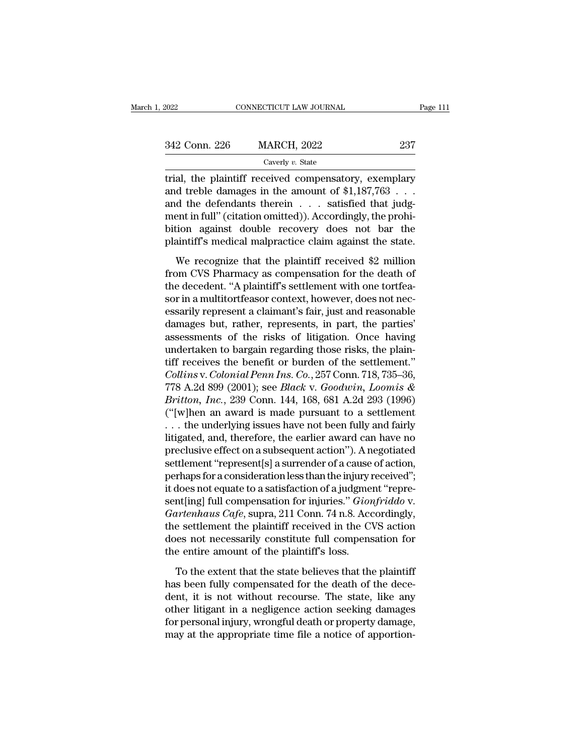| 2022          | CONNECTICUT LAW JOURNAL                                                                                                                                      | Page 111 |
|---------------|--------------------------------------------------------------------------------------------------------------------------------------------------------------|----------|
|               |                                                                                                                                                              |          |
| 342 Conn. 226 | <b>MARCH, 2022</b>                                                                                                                                           | 237      |
|               | Caverly v. State                                                                                                                                             |          |
|               | trial, the plaintiff received compensatory, exemplary<br>and treble damages in the amount of $$1,187,763$<br>and the defendants therein estigfied that judge |          |

342 Conn. 226 MARCH, 2022 237<br>Caverly v. State<br>trial, the plaintiff received compensatory, exemplary<br>and treble damages in the amount of \$1,187,763 . . .<br>and the defendants therein . . . satisfied that judg-<br>mont in full" 342 Conn. 226 MARCH, 2022 237<br>
Caverly v. State<br>
trial, the plaintiff received compensatory, exemplary<br>
and treble damages in the amount of \$1,187,763 ...<br>
and the defendants therein ... satisfied that judg-<br>
ment in full 342 Conn. 226 MARCH, 2022 237<br>Caverly v. State<br>trial, the plaintiff received compensatory, exemplary<br>and treble damages in the amount of \$1,187,763 ...<br>and the defendants therein ... satisfied that judg-<br>ment in full" (ci Caverly v. State<br>
trial, the plaintiff received compensatory, exemplary<br>
and treble damages in the amount of \$1,187,763 . . .<br>
and the defendants therein . . . satisfied that judg-<br>
ment in full" (citation omitted)). Acco Extery *v.* state<br>trial, the plaintiff received compensatory, exemplary<br>and treble damages in the amount of \$1,187,763 . . .<br>and the defendants therein . . . satisfied that judg-<br>ment in full" (citation omitted)). Accordi d treble damages in the amount of \$1,187,763 . . .<br>d the defendants therein . . . satisfied that judgent in full" (citation omitted)). Accordingly, the prohi-<br>tion against double recovery does not bar the<br>aintiff's medica and the defendants therein  $\ldots$  satisfied that judg-<br>ment in full" (citation omitted)). Accordingly, the prohi-<br>bition against double recovery does not bar the<br>plaintiff's medical malpractice claim against the state.<br>We

and the decedent in full" (citation omitted)). Accordingly, the prohibition against double recovery does not bar the plaintiff's medical malpractice claim against the state.<br>We recognize that the plaintiff received \$2 mill sorten that the plaintiff's medical malpractice claim against the state.<br>
We recognize that the plaintiff received \$2 million<br>
from CVS Pharmacy as compensation for the death of<br>
the decedent. "A plaintiff's settlement wit plaintiff's medical malpractice claim against the state.<br>We recognize that the plaintiff received \$2 million<br>from CVS Pharmacy as compensation for the death of<br>the decedent. "A plaintiff's settlement with one tortfea-<br>sor We recognize that the plaintiff received \$2 million<br>from CVS Pharmacy as compensation for the death of<br>the decedent. "A plaintiff's settlement with one tortfea-<br>sor in a multitortfeasor context, however, does not nec-<br>essa We recognize that the plaintiff received \$2 million<br>from CVS Pharmacy as compensation for the death of<br>the decedent. "A plaintiff's settlement with one tortfea-<br>sor in a multitortfeasor context, however, does not nec-<br>essa from CVS Pharmacy as compensation for the death of<br>the decedent. "A plaintiff's settlement with one tortfea-<br>sor in a multitortfeasor context, however, does not nec-<br>essarily represent a claimant's fair, just and reasonab the decedent. "A plaintiff's settlement with one tortfeasor in a multitortfeasor context, however, does not necessarily represent a claimant's fair, just and reasonable damages but, rather, represents, in part, the parties *Collinson context, however, does not necessarily represent a claimant's fair, just and reasonable damages but, rather, represents, in part, the parties' assessments of the risks of litigation. Once having undertaken to ba* essarily represent a claimant's fair, just and reasonable<br>damages but, rather, represents, in part, the parties'<br>assessments of the risks of litigation. Once having<br>undertaken to bargain regarding those risks, the plain-<br>t damages but, rather, represents, in part, the parties'<br>assessments of the risks of litigation. Once having<br>undertaken to bargain regarding those risks, the plain-<br>tiff receives the benefit or burden of the settlement."<br>Col assessments of the risks of litigation. Once having<br>undertaken to bargain regarding those risks, the plain-<br>tiff receives the benefit or burden of the settlement."<br>Collins v. Colonial Penn Ins. Co., 257 Conn. 718, 735–36, undertaken to bargain regarding those risks, the plain-<br>tiff receives the benefit or burden of the settlement."<br>*Collins* v. *Colonial Penn Ins. Co.*, 257 Conn. 718, 735–36,<br>778 A.2d 899 (2001); see *Black* v. *Goodwin, L* tiff receives the benefit or burden of the settlement."<br>Collins v. Colonial Penn Ins. Co., 257 Conn. 718, 735–36,<br>778 A.2d 899 (2001); see *Black v. Goodwin, Loomis &*<br>Britton, Inc., 239 Conn. 144, 168, 681 A.2d 293 (1996) Collins v. Colonial Penn Ins. Co., 257 Conn. 718, 735–36,<br>778 A.2d 899 (2001); see *Black v. Goodwin, Loomis &*<br>*Britton, Inc.*, 239 Conn. 144, 168, 681 A.2d 293 (1996)<br>("[w]hen an award is made pursuant to a settlement<br>.. 778 A.2d 899 (2001); see *Black v. Goodwin, Loomis &*<br>*Britton, Inc.*, 239 Conn. 144, 168, 681 A.2d 293 (1996)<br>("[w]hen an award is made pursuant to a settlement<br>... the underlying issues have not been fully and fairly<br>li *Britton, Inc.*, 239 Conn. 144, 168, 681 A.2d 293 (1996)<br>("[w]hen an award is made pursuant to a settlement<br>... the underlying issues have not been fully and fairly<br>litigated, and, therefore, the earlier award can have no ("[w]hen an award is made pursuant to a settlement<br>  $\ldots$  the underlying issues have not been fully and fairly<br>
litigated, and, therefore, the earlier award can have no<br>
preclusive effect on a subsequent action"). A negot . . . the underlying issues have not been fully and fairly<br>litigated, and, therefore, the earlier award can have no<br>preclusive effect on a subsequent action"). A negotiated<br>settlement "represent[s] a surrender of a cause o litigated, and, therefore, the earlier award can have no<br>preclusive effect on a subsequent action"). A negotiated<br>settlement "represent[s] a surrender of a cause of action,<br>perhaps for a consideration less than the injury preclusive effect on a subsequent action"). A negotiated<br>settlement "represent[s] a surrender of a cause of action,<br>perhaps for a consideration less than the injury received";<br>it does not equate to a satisfaction of a judg settlement "represent[s] a surrender of a cause of action,<br>perhaps for a consideration less than the injury received";<br>it does not equate to a satisfaction of a judgment "repre-<br>sent[ing] full compensation for injuries." perhaps for a consideration less than the injury is<br>it does not equate to a satisfaction of a judgme<br>sent[ing] full compensation for injuries." *Gior<br>Gartenhaus Cafe*, supra, 211 Conn. 74 n.8. Acc<br>the settlement the plaint Internal and the extent that the state believes that the deceration of the external and the state believes that the plaintiff state believes that the plaintiff shows.<br>To the extent that the state believes that the plaintif *Gartenhaus Cafe*, supra, 211 Conn. 74 n.8. Accordingly, the settlement the plaintiff received in the CVS action does not necessarily constitute full compensation for the entire amount of the plaintiff's loss.<br>To the exte

the settlement the plaintiff received in the CVS action<br>does not necessarily constitute full compensation for<br>the entire amount of the plaintiff's loss.<br>To the extent that the state believes that the plaintiff<br>has been ful does not necessarily constitute full compensation for<br>the entire amount of the plaintiff's loss.<br>To the extent that the state believes that the plaintiff<br>has been fully compensated for the death of the dece-<br>dent, it is no for the entire amount of the plaintiff's loss.<br>To the extent that the state believes that the plaintiff<br>has been fully compensated for the death of the dece-<br>dent, it is not without recourse. The state, like any<br>other liti To the extent that the state believes that the plaintiff<br>has been fully compensated for the death of the dece-<br>dent, it is not without recourse. The state, like any<br>other litigant in a negligence action seeking damages<br>for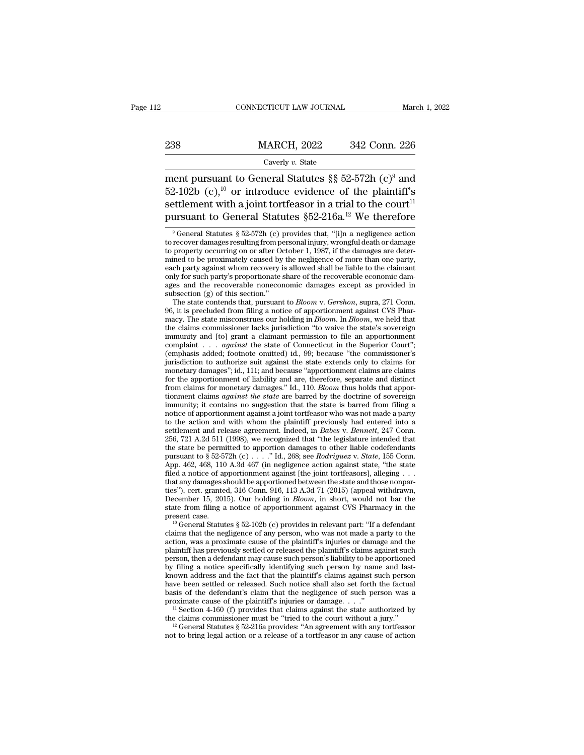# EXECUTE CONNECTICUT LAW JOURNAL March 1, 2022<br>238 MARCH, 2022 342 Conn. 226<br>Caverly v. State

### Caverly *v.* State

CONNECTICUT LAW JOURNAL March 1, 2022<br>
238 MARCH, 2022 342 Conn. 226<br>
Caverly v. State<br>
ment pursuant to General Statutes §§ 52-572h (c)<sup>9</sup> and<br>
52-102b (c),<sup>10</sup> or introduce evidence of the plaintiff's<br>
settlement with a 238 MARCH, 2022 342 Conn. 226<br>
Caverly v. State<br>
ment pursuant to General Statutes §§ 52-572h (c)<sup>9</sup> and<br>
52-102b (c),<sup>10</sup> or introduce evidence of the plaintiff's<br>
settlement with a joint tortfeasor in a trial to the cou **SET ASSET MARCH, 2022** 342 Conn. 226<br>
Severly v. State<br>
Settlement pursuant to General Statutes §§ 52-572h (c)<sup>9</sup> and<br>
52-102b (c),<sup>10</sup> or introduce evidence of the plaintiff's<br>
settlement with a joint tortfeasor in a tr 238 MARCH, 2022 342 Conn. 226<br>
Caverly v. State<br>
ment pursuant to General Statutes §§ 52-572h (c)<sup>9</sup> and<br>
52-102b (c),<sup>10</sup> or introduce evidence of the plaintiff's<br>
settlement with a joint tortfeasor in a trial to the cou ent pursuant to General Statutes §§ 52-572h (c)<sup>9</sup> and<br>2-102b (c),<sup>10</sup> or introduce evidence of the plaintiff's<br>ttlement with a joint tortfeasor in a trial to the court<sup>11</sup><br>ursuant to General Statutes §52-216a.<sup>12</sup> We the 52-102b (c),<sup>10</sup> or introduce evidence of the plaintiff's<br>settlement with a joint tortfeasor in a trial to the court<sup>11</sup><br>pursuant to General Statutes  $$52-216a.<sup>12</sup> We therefore  
\n<sup>9</sup> General Statistics  $$52-572h$  (c) provides that, "[i]n a negative action  
\nto recovery occurring on or after October 1,$ 

each party against whom recovery is allowed shall be liable to the claimant<br>each party against whom recovery is allowed shall be liable to the claimant<br>only for such party's proportionate share of the recoverable economic only for such party's proportionate share of the recoverable economic dam-<br>ages and the recoverable noneconomic damages except as provided in<br>subsection (g) of this section."<br>The state contends that, pursuant to *Bloom v.* and the recoverable noneconomic damages except as provided in subsection (g) of this section."<br>The state contends that, pursuant to *Bloom v. Gershon*, supra, 271 Conn.<br>96, it is precluded from filing a notice of apportio subsection (g) of this section."<br>
The state contends that, pursuant to *Bloom v. Gershon*, supra, 271 Conn.<br>
96, it is precluded from filing a notice of apportionment against CVS Phar-<br>
macy. The state misconstrues our hol The state contends that, pursuant to *Bloom* v. *Gershon*, supra, 271 Conn.<br>96, it is precluded from filing a notice of apportionment against CVS Phar-<br>macy. The state misconstrues our holding in *Bloom*. In *Bloom*, we h 96, it is precluded from filing a notice of apportionment against CVS Pharmacy. The state misconstrues our holding in *Bloom*. In *Bloom*, we held that the claims commissioner lacks jurisdiction "to waive the state's sove macy. The state misconstrues our holding in *Bloom*. In *Bloom*, we held that the claims commissioner lacks jurisdiction "to waive the state's sovereign immunity and [to] grant a claimant permission to file an apportionme the claims commissioner lacks jurisdiction "to waive the state's sovereign<br>immunity and [to] grant a claimant permission to file an apportionment<br>complaint . . . *against* the state of Connecticut in the Superior Court";<br> from claims for monetary damages." Id., 110. *Bloom* thus holds that apportionment complaint . . . *against* the state of Connecticut in the Superior Court"; (emphasis added; footnote omitted) id., 99; because "the commiss complaint complaint complaint and sensitive state of Connecticut in the Superior Court";<br>(emphasis added; footnote omitted) id., 99; because "the commissioner's<br>jurisdiction to authorize suit against the state extends only complasts added; footnote omitted) id., 99; because "the commissioner's jurisdiction to authorize suit against the state extends only to claims for monetary damages"; id., 111; and because "apportionment claims are claims jurisdiction to authorize suit against the state extends only to claims for monetary damages"; id., 111; and because "apportionment claims are claims for monetary damages." Id., 110. *Bloom* thus holds that apportionment monetary damages"; id., 111; and because "apportionment claims are claims<br>for the apportionment of liability and are, therefore, separate and distinct<br>from claims for monetary damages." Id., 110. *Bloom* thus holds that a settlement and release agreement. Indeed, in *Babes* and distinct from claims for monetary damages." Id., 110. *Bloom* thus holds that apportionment claims *against the state* are barred by the doctrine of sovereign immuni From claims for monetary damages." Id., 110. *Bloom* thus holds that apportionment claims *against the state* are barred by the doctrine of sovereign immunity; it contains no suggestion that the state is barred from filin tionment claims *against the state* are barred by the doctrine of sovereign<br>immunity; it contains no suggestion that the state is barred from filing a<br>notice of apportionment against a joint tortfeasor who was not made a immunity; it contains no suggestion that the state is barred from filing a<br>include of apportionment against a joint tortfeasor who was not made a party<br>to the action and with whom the plaintiff previously had entered into motice of apportionment against a joint tortfeasor who was not made a party<br>to the action and with whom the plaintiff previously had entered into a<br>settlement and release agreement. Indeed, in *Babes* v. *Bennett*, 247 Co from the action and with whom the plaintiff previously had entered into a settlement and release agreement. Indeed, in *Babes* v. *Bennett*, 247 Conn. 256, 721 A.2d 511 (1998), we recognized that "the legislature intended settlement and release agreement. Indeed, in *Babes v. Bennett*, 247 Conn.<br>256, 721 A.2d 511 (1998), we recognized that "the legislature intended that<br>the state be permitted to apportion damages to other liable codefendan 256, 721 A.2d 511 (1998), we recognized that "the legislature intended that<br>the state be permitted to apportion damages to other liable codefendants<br>the state be permitted to apportion damages to other liable codefendants Let us the state be permitted to apportion damages to other liable codefendants pursuant to  $\S 52-572h$  (c) . . . ." Id., 268; see *Rodriguez* v. *State*, 155 Conn. App. 462, 468, 110 A.3d 467 (in negligence action agains state from filing a notice of apportionment against CVS Pharmacy in the present and those filed a notice of apportionment against [the joint tortfeasors], alleging . . . that any damages should be apportioned between the App. 462, 468, 110 A.3d 467 (in negligence action against state, "the state filed a notice of apportionment against [the joint tortfeasors], alleging ... that any damages should be apportioned between the state and those that any damages should be apportioned between the state and those nonparties"), cert. granted, 316 Conn. 916, 113 A.3d 71 (2015) (appeal withdrawn, December 15, 2015). Our holding in *Bloom*, in short, would not bar the

action, was a proximated, 316 Conn. 916, 113 A.3d 71 (2015) (appeal withdrawn,<br>December 15, 2015). Our holding in *Bloom*, in short, would not bar the<br>state from filing a notice of apportionment against CVS Pharmacy in the December 15, 2015). Our holding in *Bloom*, in short, would not bar the state from filing a notice of apportionment against CVS Pharmacy in the present case.<br>
<sup>10</sup> General Statutes § 52-102b (c) provides in relevant part: state from filing a notice of apportionment against CVS Pharmacy in the<br>present case.<br><sup>10</sup> General Statutes § 52-102b (c) provides in relevant part: "If a defendant<br>claims that the negligence of any person, who was not mad present case.<br>
<sup>10</sup> General Statutes § 52-102b (c) provides in relevant part: "If a defendant<br>
claims that the negligence of any person, who was not made a party to the<br>
action, was a proximate cause of the plaintiff's inj <sup>10</sup> General Statutes § 52-102b (c) provides in relevant part: "If a defendant claims that the negligence of any person, who was not made a party to the action, was a proximate cause of the plaintiff's injuries or damage claims that the negligence of any person, who was not made a party to the action, was a proximate cause of the plaintiff's injuries or damage and the plaintiff has previously settled or released the plaintiff's claims aga action, was a proximate cause of the plaintiff's injuries or damage and the plaintiff has previously settled or released the plaintiff's claims against such person, then a defendant may cause such person's liability to be plaintiff has previously settled or released the plaintiff's claims against such<br>person, then a defendant may cause such person's liability to be apportioned<br>by filing a notice specifically identifying such person by name by filing a notice specifically identifying such person by name and last-<br>known address and the fact that the plaintiff's claims against such person<br>have been settled or released. Such notice shall also set forth the fact known address and the fact that the plaintiff's claims against such person<br>have been settled or released. Such notice shall also set forth the factual<br>basis of the defendant's claim that the negligence of such person was

settlement with a joint tortfeasor in a trial to the court<sup>11</sup><br>pursuant to General Statutes  $$52-216a.<sup>12</sup>$  We therefore<br> $\overline{ }$ <br> $\overline{ }$  <sup>9</sup> General Statutes  $$52-572h$  (c) provides that, "[i]n a negligence action<br>to r settlement with a joint tortleasor in a trial to the court<sup>11</sup><br>pursuant to General Statutes  $\S52-216a^{12}$  We therefore<br> $\frac{1}{\sqrt{2}}$  (ceneral statutes  $\S52-572h$  (c) provides that, "[i]n a negligence action<br>to recover dam pursuant to General Statutes  $\S52-216a$ .<sup>12</sup> We therefore<br>
<sup>9</sup> General Statutes  $\S 52-572h$  (c) provides that, "[i]n a negligence action<br>
to recover damages resulting from personal injury, wrongful death or damage<br>
to pro **Particular CO OCTETAL DEACACCE SOLUTE.** We difference at the such that, "[i] in a negligence action to recover damages resulting from personal injury, wrongful death or damage to property occurring on or after October 1, <sup>9</sup> General Statutes § 52-572h (c) provides that, "[i]n a negligence action<br>to recover damages resulting from personal injury, wrongful death or damage<br>to property occurring on or after October 1, 1987, if the damages are to recover damages resulting from performance of the property occurring on or after Occurring on or after Occurring on or after Occurring of the protocomers and the recoverable nonecor subsection (g) of this section."<br>The Property occurring on or after October 1, 1987, if the damages are deter-<br>need to be proximately caused by the negligence of more than one party,<br>ch party against whom recovery is allowed shall be liable to the claimant<br>ly mined to be proximately caused by the negligence of more than one party,<br>each party against whom recovery is allowed shall be liable to the claimant<br>only for such party's proportionate share of the recoverable economic da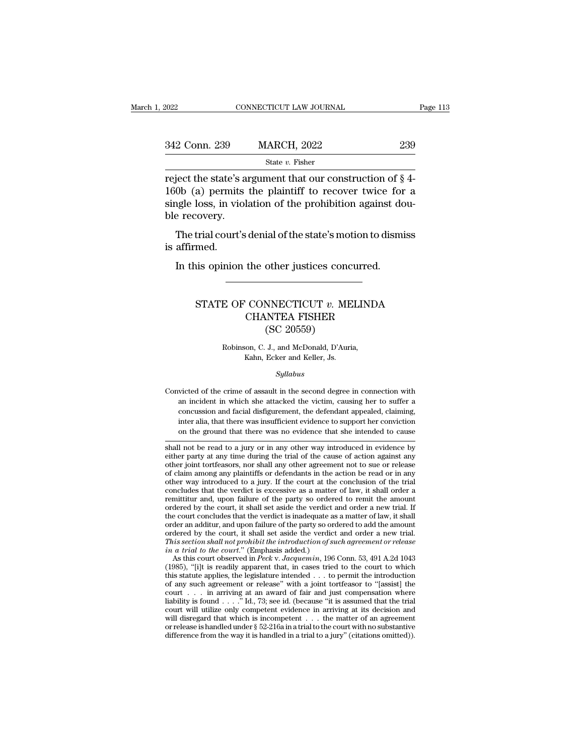| <b>MARCH, 2022</b><br>239 |                                                          |
|---------------------------|----------------------------------------------------------|
| State $v$ . Fisher        |                                                          |
|                           | reject the state's argument that our construction of §4- |

342 Conn. 239 MARCH, 2022 239<br>
State v. Fisher<br>
Treject the state's argument that our construction of § 4-<br>
160b (a) permits the plaintiff to recover twice for a<br>
single loss, in violation of the prohibition against dou-342 Conn. 239 MARCH, 2022 239<br>
State v. Fisher<br>
reject the state's argument that our construction of  $\S$  4-<br>
160b (a) permits the plaintiff to recover twice for a<br>
single loss, in violation of the prohibition against dou-342 Conn. 239<br>
reject the state's a<br>
160b (a) permits<br>
single loss, in viol.<br>
ble recovery.<br>
The trial court's State v. Fisher<br>
iect the state's argument that our construction of § 4-<br>
0b (a) permits the plaintiff to recover twice for a<br>
igle loss, in violation of the prohibition against dou-<br>
e recovery.<br>
The trial court's denial reject the state's<br>160b (a) permits<br>single loss, in vio<br>ble recovery.<br>The trial court'<br>is affirmed.<br>In this opinior Ob (a) permits the plaintiff to recover twice for<br>ngle loss, in violation of the prohibition against do<br>e recovery.<br>The trial court's denial of the state's motion to dismi<br>affirmed.<br>In this opinion the other justices concu

### Final court's denial of the state's motion to dismiss<br>med.<br>is opinion the other justices concurred.<br>STATE OF CONNECTICUT *v*. MELINDA<br>CHANTEA FISHER the other justices concurred.<br>
CONNECTICUT v. MELINDA<br>
CHANTEA FISHER<br>
(SC 20559) other justices conce<br>
MNECTICUT v. ME<br>
NTEA FISHER<br>
(SC 20559)<br>
J., and McDonald, D'Auri STATE OF CONNECTICUT  $v$ . MELINDA<br>CHANTEA FISHER<br>(SC 20559)<br>Robinson, C. J., and McDonald, D'Auria,<br>Kahn, Ecker and Keller, Js.

Robinson, C. J., and McDonald, D'Auria,

### *Syllabus*

Robinson, C. J., and McDonald, D'Auria,<br>Kahn, Ecker and Keller, Js.<br>Syllabus<br>Convicted of the crime of assault in the second degree in connection with<br>an incident in which she attacked the victim, causing her to suffer a Robinson, C. J., and McDonald, D'Auria,<br>Kahn, Ecker and Keller, Js.<br>Syllabus<br>victed of the crime of assault in the second degree in connection with<br>an incident in which she attacked the victim, causing her to suffer a<br>conc Convicted of the crime of assault in the second degree in connection with an incident in which she attacked the victim, causing her to suffer a concussion and facial disfigurement, the defendant appealed, claiming, inter a *Syllabus*<br>victed of the crime of assault in the second degree in connection with<br>an incident in which she attacked the victim, causing her to suffer a<br>concussion and facial disfigurement, the defendant appealed, claiming, symmus symmus symmus symmus symmus symmus symmus symmus and facing that there are concussion and facial disfigurement, the defendant appealed, claiming, inter alia, that there was insufficient evidence to support her convi Convicted of the crime of assault in the second degree in connection with<br>
an incident in which she attacked the victim, causing her to suffer a<br>
concussion and facial disfigurement, the defendant appealed, claiming,<br>
int an incident in which she attacked the victim, causing her to suffer a<br>concussion and facial disfigurement, the defendant appealed, claiming,<br>inter alia, that there was insufficient evidence to support her conviction<br>on the

concussion and facial disfigurement, the defendant appealed, claiming,<br>inter alia, that there was insufficient evidence to support her conviction<br>on the ground that there was no evidence that she intended to cause<br>shall no inter alia, that there was insufficient evidence to support her conviction<br>on the ground that there was no evidence that she intended to cause<br>shall not be read to a jury or in any other way introduced in evidence by<br>eithe on the ground that there was no evidence that she intended to cause<br>shall not be read to a jury or in any other way introduced in evidence by<br>either party at any time during the trial of the cause of action against any<br>oth on the ground that there was no evidence that she interded to class.<br>
Shall not be read to a jury or in any other way introduced in evidence by<br>
either party at any time during the trial of the cause of action against any<br> shall not be read to a jury or in any other way introduced in evidence by<br>either party at any time during the trial of the cause of action against any<br>other joint tortfeasors, nor shall any other agreement not to sue or re shall never that we way in the court and order to react the cause of action against any other joint tortfeasors, nor shall any other agreement not to sue or release of claim among any plaintiffs or defendants in the action other joint tordeasors, nor shall any other agreement not to sue or release<br>of claim among any plaintiffs or defendants in the action be read or in any<br>other way introduced to a jury. If the court at the conclusion of the order an additur, and upon failure of the party so ordered to a discussed or in any other way introduced to a jury. If the court at the conclusion of the trial concludes that the verdict is excessive as a matter of law, i ordered by the court, it shall set aside the verdiction of the trial concludes that the verdict is excessive as a matter of law, it shall order a remittitur and, upon failure of the party so ordered to remit the amount or concludes that the verdict is excessive as a matter of law, it shall order a<br>remittitur and, upon failure of the party so ordered to remit the amount<br>ordered by the court, it shall set aside the verdict and order a new tri Femilitiur and, upon failure of the party so order<br> *i*n a trial of the party so order<br> *i*n a trial of the court, it shall set aside the verdict<br> *i*t the court concludes that the verdict is inadequate as<br>
ordered by the dered by the court, it shall set aside the verdict and order a new trial. If<br>e court concludes that the verdict is inadequate as a matter of law, it shall<br>der an additur, and upon failure of the party so ordered to add the the court concludes that the verdict is inadequate as a matter of law, it shall<br>order an additur, and upon failure of the party so ordered to add the amount<br>ordered by the court, it shall set aside the verdict and order a

order an additur, and upon failure of the party so ordered to add the amount<br>ordered by the court, it shall set aside the verdict and order a new trial.<br>This section shall not prohibit the introduction of such agreement o ordered by the court, it shall set aside the verdict and order a new trial.<br>This section shall not prohibit the introduction of such agreement or release<br>in a trial to the court." (Emphasis added.)<br>As this court observed This section shall not prohibit the introduction of such agreement or release<br>in a trial to the court." (Emphasis added.)<br>As this court observed in Peck v. Jacquemin, 196 Conn. 53, 491 A.2d 1043<br>(1985), "[i]t is readily a in a trial to the court." (Emphasis added.)<br>As this court observed in Peck v. Jacquemin, 196 Conn. 53, 491 A.2d 1043 (1985), "[i]t is readily apparent that, in cases tried to the court to which this statute applies, the l As this court observed in *Peck v. Jacquemin*, 196 Conn. 53, 491 A.2d 1043 (1985), "[i]t is readily apparent that, in cases tried to the court to which this statute applies, the legislature intended . . . to permit the in The same of the contract that which is readily apparent that, in cases tried to the court to which this statute applies, the legislature intended . . . to permit the introduction of any such agreement or release" with a j this statute applies, the legislature intended . . . to permit the introduction of any such agreement or release" with a joint tortfeasor to "[assist] the court . . . in arriving at an award of fair and just compensation and solution of any such agreement or release" with a joint tortfeasor to "[assist] the court . . . in arriving at an award of fair and just compensation where liability is found . . . . "Id., 73; see id. (because "it is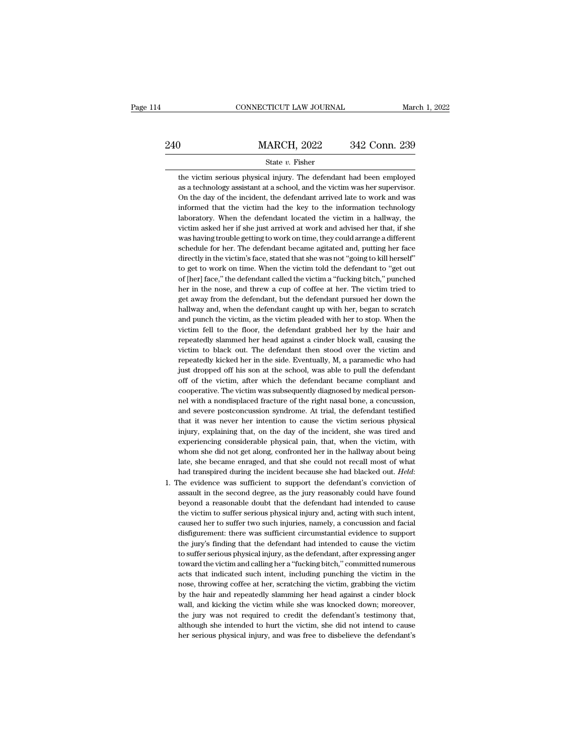### EXECUTE CONNECTICUT LAW JOURNAL March 1, 2022<br>240 MARCH, 2022 342 Conn. 239<br>240 State v. Fisher State *v.* Fisher MARCH, 2022 342 Conn. 239<br>
State v. Fisher<br>
the victim serious physical injury. The defendant had been employed<br>
as a technology assistant at a school, and the victim was her supervisor.

MARCH, 2022 342 Conn. 239<br>
State v. Fisher<br>
the victim serious physical injury. The defendant had been employed<br>
as a technology assistant at a school, and the victim was her supervisor.<br>
On the day of the incident, the de MARCH, 2022 342 Conn. 239<br>State v. Fisher<br>the victim serious physical injury. The defendant had been employed<br>as a technology assistant at a school, and the victim was her supervisor.<br>On the day of the incident, the defend State  $v$ . Fisher<br>the victim serious physical injury. The defendant had been employed<br>as a technology assistant at a school, and the victim was her supervisor.<br>On the day of the incident, the defendant arrived late to wor State v. Fisher<br>the victim serious physical injury. The defendant had been employed<br>as a technology assistant at a school, and the victim was her supervisor.<br>On the day of the incident, the defendant arrived late to work a the victim serious physical injury. The defendant had been employed<br>as a technology assistant at a school, and the victim was her supervisor.<br>On the day of the incident, the defendant arrived late to work and was<br>informed as a technology assistant at a school, and the victim was her supervisor.<br>On the day of the incident, the defendant arrived late to work and was<br>informed that the victim had the key to the information technology<br>laboratory On the day of the incident, the defendant arrived late to work and was informed that the victim had the key to the information technology laboratory. When the defendant located the victim in a hallway, the victim asked her informed that the victim had the key to the information technology<br>laboratory. When the defendant located the victim in a hallway, the<br>victim asked her if she just arrived at work and advised her that, if she<br>was having tr informed that the victim had the key to the information technology<br>laboratory. When the defendant located the victim in a hallway, the<br>victim asked her if she just arrived at work and advised her that, if she<br>was having t victim asked her if she just arrived at work and advised her that, if she<br>was having trouble getting to work on time, they could arrange a different<br>schedule for her. The defendant became agitated and, putting her face<br>dir was having trouble getting to work on time, they could arrange a different schedule for her. The defendant became agitated and, putting her face directly in the victim's face, stated that she was not "going to kill herself schedule for her. The defendant became agitated and, putting her face directly in the victim's face, stated that she was not "going to kill herself" to get to work on time. When the victim told the defendant to "get out of directly in the victim's face, stated that she was not "going to kill herself"<br>to get to work on time. When the victim told the defendant to "get out<br>of [her] face," the defendant called the victim a "fucking bitch," punch to get to work on time. When the victim told the defendant to "get out of [her] face," the defendant called the victim a "fucking bitch," punched her in the nose, and threw a cup of coffee at her. The victim tried to get a of [her] face," the defendant called the victim a "fucking bitch," punched<br>her in the nose, and threw a cup of coffee at her. The victim tried to<br>get away from the defendant, but the defendant pursued her down the<br>hallway her in the nose, and threw a cup of coffee at her. The victim tried to get away from the defendant, but the defendant pursued her down the hallway and, when the defendant caught up with her, began to scratch and punch the get away from the defendant, but the defendant pursued her down the hallway and, when the defendant caught up with her, began to scratch and punch the victim, as the victim pleaded with her to stop. When the victim fell to hallway and, when the defendant caught up with her, began to scratch<br>and punch the victim, as the victim pleaded with her to stop. When the<br>victim fell to the floor, the defendant grabbed her by the hair and<br>repeatedly sla and punch the victim, as the victim pleaded with her to stop. When the victim fell to the floor, the defendant grabbed her by the hair and repeatedly slammed her head against a cinder block wall, causing the victim to blac victim fell to the floor, the defendant grabbed her by the hair and repeatedly slammed her head against a cinder block wall, causing the victim to black out. The defendant then stood over the victim and repeatedly kicked h victim fell to the floor, the defendant grabbed her by the hair and repeatedly slammed her head against a cinder block wall, causing the victim to black out. The defendant then stood over the victim and repeatedly kicked victim to black out. The defendant then stood over the victim and repeatedly kicked her in the side. Eventually, M, a paramedic who had just dropped off his son at the school, was able to pull the defendant off of the vict repeatedly kicked her in the side. Eventually, M, a paramedic who had<br>just dropped off his son at the school, was able to pull the defendant<br>off of the victim, after which the defendant became compliant and<br>cooperative. Th just dropped off his son at the school, was able to pull the defendant<br>off of the victim, after which the defendant became compliant and<br>cooperative. The victim was subsequently diagnosed by medical person-<br>nel with a nond off of the victim, after which the defendant became compliant and cooperative. The victim was subsequently diagnosed by medical personnel with a nondisplaced fracture of the right nasal bone, a concussion, and severe postc cooperative. The victim was subsequently diagnosed by medical person-<br>nel with a nondisplaced fracture of the right nasal bone, a concussion,<br>and severe postconcussion syndrome. At trial, the defendant testified<br>that it wa nel with a nondisplaced fracture of the right nasal bone, a concussion, and severe postconcussion syndrome. At trial, the defendant testified that it was never her intention to cause the victim serious physical injury, exp and severe postconcussion syndrome. At trial, the defendant testified that it was never her intention to cause the victim serious physical injury, explaining that, on the day of the incident, she was tired and experiencing that it was never her intention to cause the victim serious physical<br>injury, explaining that, on the day of the incident, she was tired and<br>experiencing considerable physical pain, that, when the victim, with<br>whom she did experiencing considerable physical pain, that, when the victim, with whom she did not get along, confronted her in the hallway about being late, she became enraged, and that she could not recall most of what had transpired

whom she did not get along, confronted her in the hallway about being<br>late, she became enraged, and that she could not recall most of what<br>had transpired during the incident because she had blacked out. *Held*:<br>he evidence late, she became enraged, and that she could not recall most of what<br>had transpired during the incident because she had blacked out. *Held*:<br>the evidence was sufficient to support the defendant's conviction of<br>assault in t had transpired during the incident because she had blacked out. *Held*:<br>the evidence was sufficient to support the defendant's conviction of<br>assault in the second degree, as the jury reasonably could have found<br>beyond a re The evidence was sufficient to support the defendant's conviction of assault in the second degree, as the jury reasonably could have found beyond a reasonable doubt that the defendant had intended to cause the victim to su assault in the second degree, as the jury reasonably could have found<br>beyond a reasonable doubt that the defendant had intended to cause<br>the victim to suffer serious physical injury and, acting with such intent,<br>caused her assault in the second degree, as the jury reasonably could have found beyond a reasonable doubt that the defendant had intended to cause the victim to suffer serious physical injury and, acting with such intent, caused her the victim to suffer serious physical injury and, acting with such intent, caused her to suffer two such injuries, namely, a concussion and facial disfigurement: there was sufficient circumstantial evidence to support the caused her to suffer two such injuries, namely, a concussion and facial disfigurement: there was sufficient circumstantial evidence to support the jury's finding that the defendant had intended to cause the victim to suffe disfigurement: there was sufficient circumstantial evidence to support<br>the jury's finding that the defendant had intended to cause the victim<br>to suffer serious physical injury, as the defendant, after expressing anger<br>towa the jury's finding that the defendant had intended to cause the victim<br>to suffer serious physical injury, as the defendant, after expressing anger<br>toward the victim and calling her a "fucking bitch," committed numerous<br>act to suffer serious physical injury, as the defendant, after expressing anger toward the victim and calling her a "fucking bitch," committed numerous acts that indicated such intent, including punching the victim in the nose toward the victim and calling her a "fucking bitch," committed numerous<br>acts that indicated such intent, including punching the victim in the<br>nose, throwing coffee at her, scratching the victim, grabbing the victim<br>by the acts that indicated such intent, including punching the victim in the nose, throwing coffee at her, scratching the victim, grabbing the victim by the hair and repeatedly slamming her head against a cinder block wall, and k nose, throwing coffee at her, scratching the victim, grabbing the victim by the hair and repeatedly slamming her head against a cinder block wall, and kicking the victim while she was knocked down; moreover, the jury was n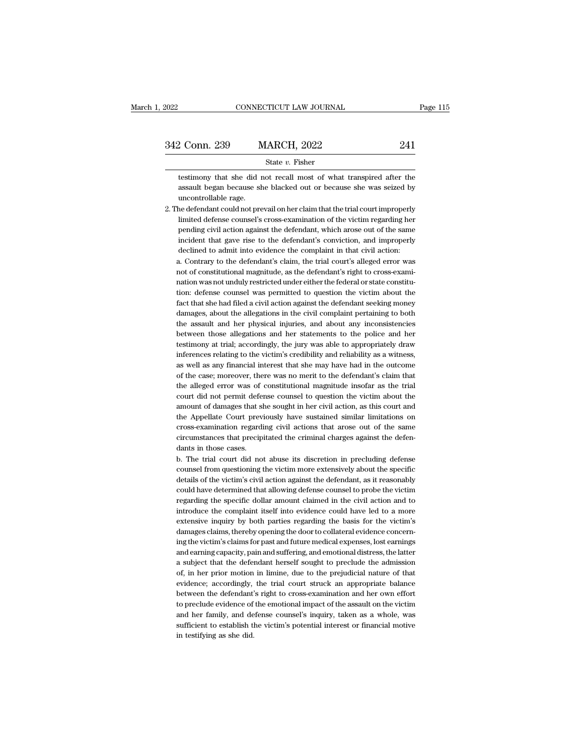| 2022          | CONNECTICUT LAW JOURNAL | Page 115 |  |
|---------------|-------------------------|----------|--|
|               |                         |          |  |
| 342 Conn. 239 | <b>MARCH, 2022</b>      | 241      |  |
|               | State $v$ . Fisher      |          |  |

2 Conn. 239 MARCH, 2022 241<br>
State v. Fisher<br>
testimony that she did not recall most of what transpired after the<br>
assault began because she blacked out or because she was seized by 241<br>
assault began because she blacked out or because she was seized by<br>
assault began because she blacked out or because she was seized by<br>
ducontrollable rage. testimony that she did not recall most of what transpired after the assault began because she blacked out or because she was seized by uncontrollable rage.<br>2. The defendant could not prevail on her claim that the trial cou 2. The defendant could not prevail on her claim that the trial court improperly<br>2. The defendant could not prevail on her claim that the trial court improperly<br>2. The defendant could not prevail on her claim that the tria

State *v*. Fisher<br>lestimony that she did not recall most of what transpired after the<br>assault began because she blacked out or because she was seized by<br>uncontrollable rage.<br>le defendant could not prevail on her claim that testimony that she did not recall most of what transpired after the assault began because she blacked out or because she was seized by uncontrollable rage.<br>
he defendant could not prevail on her claim that the trial court assault began because she blacked out or because she was seized by<br>uncontrollable rage.<br>he defendant could not prevail on her claim that the trial court improperly<br>limited defense counsel's cross-examination of the victim pending civil action against the defendant, which arose out of the same<br>incident that gave rise to the defendant's conviction, and improperly<br>declined to admit into evidence the complaint in that civil action:<br>a. Contrary he defendant could not prevail on her claim that the trial court improperly<br>limited defense counsel's cross-examination of the victim regarding her<br>pending civil action against the defendant's conviction, and improperly<br>de limited defense counsel's cross-examination of the victim regarding her pending civil action against the defendant's conviction, and improperly declined to admit into evidence the complaint in that civil action:<br>a. Contrar

pending civil action against the defendant, which arose out of the same incident that gave rise to the defendant's conviction, and improperly declined to admit into evidence the complaint in that civil action:<br>a. Contrary incident that gave rise to the defendant's conviction, and improperly declined to admit into evidence the complaint in that civil action:<br>a. Contrary to the defendant's claim, the trial court's alleged error was not of con declined to admit into evidence the complaint in that civil action:<br>a. Contrary to the defendant's claim, the trial court's alleged error was<br>not of constitutional magnitude, as the defendant's right to cross-exami-<br>nation a. Contrary to the defendant's claim, the trial court's alleged error was not of constitutional magnitude, as the defendant's right to cross-examination was not unduly restricted under either the federal or state constitut not of constitutional magnitude, as the defendant's right to cross-examination was not unduly restricted under either the federal or state constitution: defense counsel was permitted to question the victim about the fact t nation was not unduly restricted under either the federal or state constitution: defense counsel was permitted to question the victim about the fact that she had filed a civil action against the defendant seeking money dam tion: defense counsel was permitted to question the victim about the fact that she had filed a civil action against the defendant seeking money damages, about the allegations in the civil complaint pertaining to both the a fact that she had filed a civil action against the defendant seeking money damages, about the allegations in the civil complaint pertaining to both the assault and her physical injuries, and about any inconsistencies betwe damages, about the allegations in the civil complaint pertaining to both<br>the assault and her physical injuries, and about any inconsistencies<br>between those allegations and her statements to the police and her<br>testimony at the assault and her physical injuries, and about any inconsistencies<br>between those allegations and her statements to the police and her<br>testimony at trial; accordingly, the jury was able to appropriately draw<br>inferences re between those allegations and her statements to the police and her testimony at trial; accordingly, the jury was able to appropriately draw inferences relating to the victim's credibility and reliability as a witness, as w testimony at trial; accordingly, the jury was able to appropriately draw<br>inferences relating to the victim's credibility and reliability as a witness,<br>as well as any financial interest that she may have had in the outcome<br> inferences relating to the victim's credibility and reliability as a witness,<br>as well as any financial interest that she may have had in the outcome<br>of the case; moreover, there was no merit to the defendant's claim that<br>t as well as any financial interest that she may have had in the outcome<br>of the case; moreover, there was no merit to the defendant's claim that<br>the alleged error was of constitutional magnitude insofar as the trial<br>court di of the case; moreover, there was no merit to the defendant's claim that<br>the alleged error was of constitutional magnitude insofar as the trial<br>court did not permit defense counsel to question the victim about the<br>amount of the alleged error was of constitutional magnitude insofar as the trial court did not permit defense counsel to question the victim about the amount of damages that she sought in her civil action, as this court and the Appe court did not permit defereed<br>amount of damages that sl<br>the Appellate Court prev:<br>cross-examination regardi<br>circumstances that precip<br>dants in those cases.<br>b. The trial court did no amount of damages that she sought in her civil action, as this court and<br>the Appellate Court previously have sustained similar limitations on<br>cross-examination regarding civil actions that arose out of the same<br>circumstanc the Appellate Court previously have sustained similar limitations on cross-examination regarding civil actions that arose out of the same circumstances that precipitated the criminal charges against the defendants in those

cross-examination regarding civil actions that arose out of the same<br>circumstances that precipitated the criminal charges against the defen-<br>dants in those cases.<br>b. The trial court did not abuse its discretion in precludi circumstances that precipitated the criminal charges against the defendants in those cases.<br>b. The trial court did not abuse its discretion in precluding defense counsel from questioning the victim more extensively about t dants in those cases.<br>
b. The trial court did not abuse its discretion in precluding defense<br>
counsel from questioning the victim more extensively about the specific<br>
details of the victim's civil action against the defend b. The trial court did not abuse its discretion in precluding defense counsel from questioning the victim more extensively about the specific details of the victim's civil action against the defendant, as it reasonably cou counsel from questioning the victim more extensively about the specific<br>details of the victim's civil action against the defendant, as it reasonably<br>could have determined that allowing defense counsel to probe the victim<br>r details of the victim's civil action against the defendant, as it reasonably could have determined that allowing defense counsel to probe the victim regarding the specific dollar amount claimed in the civil action and to i could have determined that allowing defense counsel to probe the victim<br>regarding the specific dollar amount claimed in the civil action and to<br>introduce the complaint itself into evidence could have led to a more<br>extensiv regarding the specific dollar amount claimed in the civil action and to introduce the complaint itself into evidence could have led to a more extensive inquiry by both parties regarding the basis for the victim's damages c introduce the complaint itself into evidence could have led to a more extensive inquiry by both parties regarding the basis for the victim's damages claims, thereby opening the door to collateral evidence concerning the vi extensive inquiry by both parties regarding the basis for the victim's damages claims, thereby opening the door to collateral evidence concerning the victim's claims for past and future medical expenses, lost earnings and damages claims, thereby opening the door to collateral evidence concerning the victim's claims for past and future medical expenses, lost earnings and earning capacity, pain and suffering, and emotional distress, the latte ing the victim's claims for past and future medical expenses, lost earnings<br>and earning capacity, pain and suffering, and emotional distress, the latter<br>a subject that the defendant herself sought to preclude the admission and earning capacity, pain and suffering, and emotional distress, the latter<br>a subject that the defendant herself sought to preclude the admission<br>of, in her prior motion in limine, due to the prejudicial nature of that<br>ev a subject that the defendant herself sought to preclude the admission<br>of, in her prior motion in limine, due to the prejudicial nature of that<br>evidence; accordingly, the trial court struck an appropriate balance<br>between th of, in her prior motion in limine, due to the prejudicial nature of that evidence; accordingly, the trial court struck an appropriate balance between the defendant's right to cross-examination and her own effort to preclud evidence; accordingly,<br>between the defendant'<br>to preclude evidence of<br>and her family, and de<br>sufficient to establish tl<br>in testifying as she did.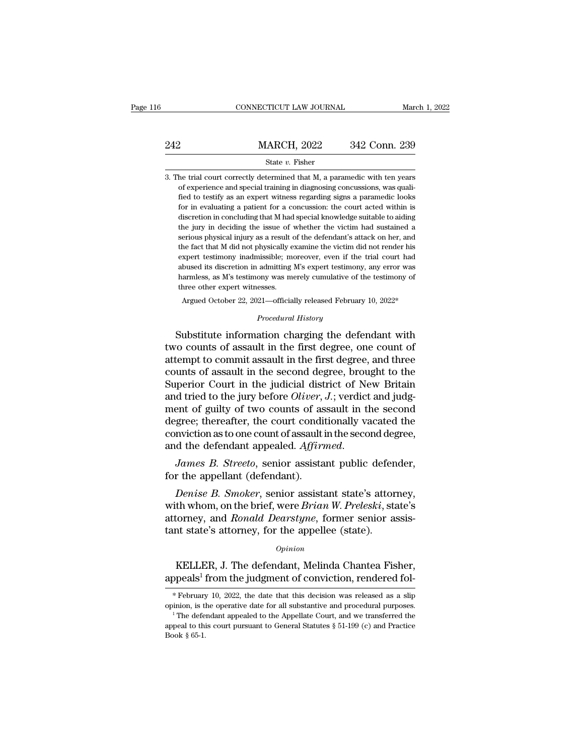|     | CONNECTICUT LAW JOURNAL                                                                                                                                                                                                                                                      | March 1, 2022 |
|-----|------------------------------------------------------------------------------------------------------------------------------------------------------------------------------------------------------------------------------------------------------------------------------|---------------|
| 242 | <b>MARCH, 2022</b>                                                                                                                                                                                                                                                           | 342 Conn. 239 |
|     | State $v$ . Fisher                                                                                                                                                                                                                                                           |               |
|     | 3. The trial court correctly determined that M, a paramedic with ten years<br>of experience and special training in diagnosing concussions, was quali-<br>records and the second contract of the second contract of the second contract of the second contract of the second |               |

3. The trial court correctly determined that M, a paramedic with ten years of experience and special training in diagnosing concussions, was quali-fied to testify as an expert witness regarding signs a paramedic looks for MARCH, 2022 342 Conn. 239<br>
State v. Fisher<br>
the trial court correctly determined that M, a paramedic with ten years<br>
of experience and special training in diagnosing concussions, was quali-<br>
fied to testify as an expert wi State v. Fisher<br>for a court correctly determined that M, a paramedic with ten years<br>of experience and special training in diagnosing concussions, was quali-<br>fied to testify as an expert witness regarding signs a paramedic State v. Fisher<br>he trial court correctly determined that M, a paramedic with ten years<br>of experience and special training in diagnosing concussions, was quali-<br>fied to testify as an expert witness regarding signs a paramed the trial court correctly determined that M, a paramedic with ten years of experience and special training in diagnosing concussions, was qualified to testify as an expert witness regarding signs a paramedic looks for in e serious physical injury as a result of the defendant's attack on her, and the fact the defendant of experience and special training in diagnosing concussions, was qualified to testify as an expert witness regarding signs a fied to testify as an expert witness regarding signs a paramedic looks<br>for in evaluating a patient for a concussion: the court acted within is<br>discretion in concluding that M had special knowledge suitable to aiding<br>the ju for in evaluating a patient for a concussion: the court acted within is discretion in concluding that M had special knowledge suitable to aiding the jury in deciding the issue of whether the victim had sustained a serious abused in a concluding that M had special knowledge suitable to aiding the jury in deciding that M had special knowledge suitable to aiding the jury in deciding the issue of whether the victim had sustained a serious physi the jury in deciding the issue of whether the victim had sustained a serious physical injury as a result of the defendant's attack on her, and the fact that M did not physically examine the victim did not render his expert the jury in deciding the issue of whether the victim had sustained a serious physical injury as a result of the defendant's attack on her, and the fact that M did not physically examine the victim did not render his exper he fact that M did not physically examine the victim did not render his sypert testimony inadmissible; moreover, even if the trial court had bused its discretion in admitting M's expert testimony, any error was armless, as % abused its discretion in admitting M's expert testimony, any error was harmless, as M's testimony was merely cumulative of the testimony of three other expert witnesses.<br>Argued October 22, 2021—officially released Febru expert testmony madmissible; moreover, even if the trial court had<br>abused its discretion in admitting M's expert testimony, any error was<br>harmless, as M's testimony was merely cumulative of the testimony of<br>three other exp

abused its discretion in admitting in s expert testimoly, any error was<br>harmless, as M's testimony was merely cumulative of the testimony of<br>three other expert witnesses.<br>Argued October 22, 2021—officially released Februar three other expert witnesses.<br>
Argued October 22, 2021—officially released February 10, 2022\*<br>
Procedural History<br>
Substitute information charging the defendant with<br>
two counts of assault in the first degree, one count of Argued October 22, 2021—officially released February 10, 2022\*<br> *Procedural History*<br>
Substitute information charging the defendant with<br>
two counts of assault in the first degree, one count of<br>
attempt to commit assault i *Procedural History*<br>Substitute information charging the defendant with<br>two counts of assault in the first degree, one count of<br>attempt to commit assault in the first degree, and three<br>counts of assault in the second degre two counts of assault in the first degree, one count of<br>attempt to commit assault in the first degree, and three<br>counts of assault in the second degree, brought to the<br>Superior Court in the judicial district of New Britain Substitute information charging the defendant with<br>two counts of assault in the first degree, one count of<br>attempt to commit assault in the first degree, and three<br>counts of assault in the second degree, brought to the<br>Su two counts of assault in the first degree, one count of<br>attempt to commit assault in the first degree, and three<br>counts of assault in the second degree, brought to the<br>Superior Court in the judicial district of New Britain attempt to commit assault in the first degree, and three<br>counts of assault in the second degree, brought to the<br>Superior Court in the judicial district of New Britain<br>and tried to the jury before *Oliver*, *J*.; verdict an counts of assault in the second degree, brought to the Superior Court in the judicial district of New Britain and tried to the jury before *Oliver*, *J*.; verdict and judgment of guilty of two counts of assault in the seco and tried to the jury before *Ottver*, and tried to the jury before *Ottver*, and the distribution as to one count of assault is and the defendant appealed. Affire James B. Streeto, senior assista for the appellant (defend *gree; thereafter, the court conditionally vacated the mviction as to one count of assault in the second degree, d the defendant appealed. Affirmed.<br>James B. Streeto, senior assistant public defender, r the appellant (defe* 

conviction as to one count of assault in the second degree,<br>
and the defendant appealed. *Affirmed.*<br> *James B. Streeto*, senior assistant public defender,<br>
for the appellant (defendant).<br> *Denise B. Smoker*, senior assist and the defendant appealed. *Affirmed.*<br>James B. Streeto, senior assistant public defender,<br>for the appellant (defendant).<br>Denise B. Smoker, senior assistant state's attorney,<br>with whom, on the brief, were Brian W. Prelesk James B. Streeto, senior assistant public defend<br>for the appellant (defendant).<br>Denise B. Smoker, senior assistant state's attorney<br>with whom, on the brief, were Brian W. Preleski, stattorney, and Ronald Dearstyne, former Denise B. Smoker, senior assistant state's attorney,<br>th whom, on the brief, were Brian W. Preleski, state's<br>torney, and Ronald Dearstyne, former senior assis-<br>at state's attorney, for the appellee (state).<br> $o_{pinion}$ <br>KELLER, with whom, on the brief, were *Brian W. Preleski*, state's<br>attorney, and *Ronald Dearstyne*, former senior assis-<br>tant state's attorney, for the appellee (state).<br> $o_{pinion}$ <br>KELLER, J. The defendant, Melinda Chantea Fisher,<br>a

### *Opinion*

opinion, is the operative date for all substantive and procedural purposes.

*Opinion*<br>
KELLER, J. The defendant, Melinda Chantea Fisher,<br>
appeals<sup>1</sup> from the judgment of conviction, rendered fol-<br>
\*February 10, 2022, the date that this decision was released as a slip<br>
opinion, is the operative da KELLER, J. The defendant, Melinda Chantea Fisher,<br>appeals<sup>1</sup> from the judgment of conviction, rendered fol-<br>\*February 10, 2022, the date that this decision was released as a slip<br>opinion, is the operative date for all sub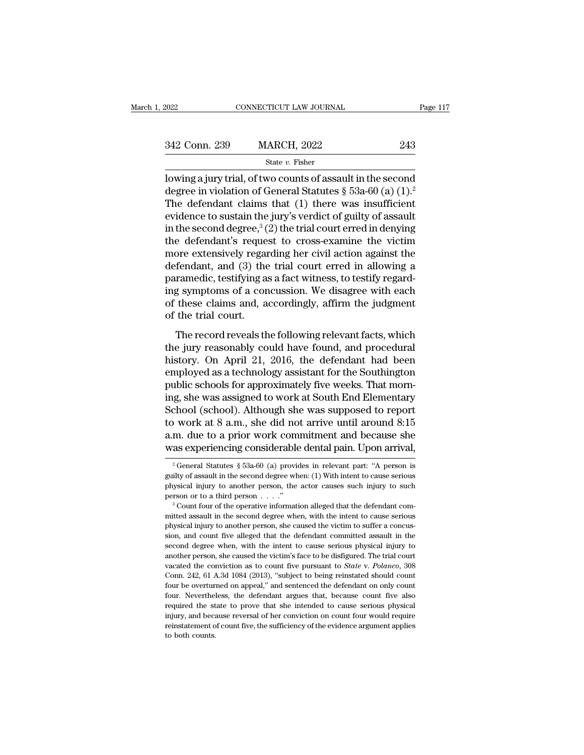| 2022          | CONNECTICUT LAW JOURNAL                                                   | Page 117 |
|---------------|---------------------------------------------------------------------------|----------|
|               |                                                                           |          |
| 342 Conn. 239 | <b>MARCH, 2022</b>                                                        | 243      |
|               | State v. Fisher                                                           |          |
|               | lowing a jury trial, of two counts of assault in the second               |          |
|               | degree in violation of General Statutes $\S$ 53a-60 (a) (1). <sup>2</sup> |          |
|               | The defendant claims that $(1)$ there wes insufficient                    |          |

342 Conn. 239 MARCH, 2022 243<br>
State v. Fisher<br>
lowing a jury trial, of two counts of assault in the second<br>
degree in violation of General Statutes § 53a-60 (a) (1).<sup>2</sup><br>
The defendant claims that (1) there was insufficie 342 Conn. 239 MARCH, 2022 243<br>
State v. Fisher<br>
lowing a jury trial, of two counts of assault in the second<br>
degree in violation of General Statutes § 53a-60 (a) (1).<sup>2</sup><br>
The defendant claims that (1) there was insufficie 342 Conn. 239 MARCH, 2022 243<br>
State v. Fisher<br>
lowing a jury trial, of two counts of assault in the second<br>
degree in violation of General Statutes § 53a-60 (a) (1).<sup>2</sup><br>
The defendant claims that (1) there was insufficie State v. Fisher<br>
lowing a jury trial, of two counts of assault in the second<br>
degree in violation of General Statutes § 53a-60 (a) (1).<sup>2</sup><br>
The defendant claims that (1) there was insufficient<br>
evidence to sustain the jur state v. Fisher<br>
lowing a jury trial, of two counts of assault in the second<br>
degree in violation of General Statutes § 53a-60 (a) (1).<sup>2</sup><br>
The defendant claims that (1) there was insufficient<br>
evidence to sustain the jur lowing a jury trial, of two counts of assault in the second<br>degree in violation of General Statutes  $\S$  53a-60 (a) (1).<sup>2</sup><br>The defendant claims that (1) there was insufficient<br>evidence to sustain the jury's verdict of gui degree in violation of General Statutes § 53a-60 (a) (1).<sup>2</sup><br>The defendant claims that (1) there was insufficient<br>evidence to sustain the jury's verdict of guilty of assault<br>in the second degree,<sup>3</sup> (2) the trial court er The defendant claims that (1) there was insufficient<br>evidence to sustain the jury's verdict of guilty of assault<br>in the second degree,<sup>3</sup> (2) the trial court erred in denying<br>the defendant's request to cross-examine the v evidence to sustain the jury's verdict of guilty of assault<br>in the second degree,<sup>3</sup> (2) the trial court erred in denying<br>the defendant's request to cross-examine the victim<br>more extensively regarding her civil action agai in the second degree,<sup>3</sup> (2) the trial court erred in denying<br>the defendant's request to cross-examine the victim<br>more extensively regarding her civil action against the<br>defendant, and (3) the trial court erred in allowin the defendant's reque<br>more extensively regaredefendant, and (3) the<br>paramedic, testifying a<br>ing symptoms of a cor<br>of these claims and, a<br>of the trial court.<br>The record reveals the Fendant, and (3) the trial court erred in allowing a<br>fendant, and (3) the trial court erred in allowing a<br>ramedic, testifying as a fact witness, to testify regard-<br>g symptoms of a concussion. We disagree with each<br>these c paramedic, testifying as a fact witness, to testify regard-<br>ing symptoms of a concussion. We disagree with each<br>of these claims and, accordingly, affirm the judgment<br>of the trial court.<br>The record reveals the following rel

parametare, essarying as a race wratess), to testary regard<br>ing symptoms of a concussion. We disagree with each<br>of these claims and, accordingly, affirm the judgment<br>of the trial court.<br>The record reveals the following rel employed as a technology assistant for the South Find Figures are employed as a technology assistant for the Southington public schools for approximately five weeks. That morning she was assigned to work at South Find Flem of the trial court.<br>
The record reveals the following relevant facts, which<br>
the jury reasonably could have found, and procedural<br>
history. On April 21, 2016, the defendant had been<br>
employed as a technology assistant for The record reveals the following relevant facts, which<br>the jury reasonably could have found, and procedural<br>history. On April 21, 2016, the defendant had been<br>employed as a technology assistant for the Southington<br>public The record reveals the following relevant facts, which<br>the jury reasonably could have found, and procedural<br>history. On April 21, 2016, the defendant had been<br>employed as a technology assistant for the Southington<br>public s the jury reasonably could have found, and procedural<br>history. On April 21, 2016, the defendant had been<br>employed as a technology assistant for the Southington<br>public schools for approximately five weeks. That morn-<br>ing, sh history. On April 21, 2016, the defendant had been<br>employed as a technology assistant for the Southington<br>public schools for approximately five weeks. That morn-<br>ing, she was assigned to work at South End Elementary<br>School employed as a technology assistant for the Southington<br>public schools for approximately five weeks. That morn-<br>ing, she was assigned to work at South End Elementary<br>School (school). Although she was supposed to report<br>to chool (school). Although she was supposed to report<br>  $\alpha$  work at 8 a.m., she did not arrive until around 8:15<br>
m. due to a prior work commitment and because she<br>
as experiencing considerable dental pain. Upon arrival,<br> to work at 8 a.m., she did not arrive until around 8:15 a.m. due to a prior work commitment and because she was experiencing considerable dental pain. Upon arrival,<br><sup>2</sup> General Statutes § 53a-60 (a) provides in relevant p

a.m. due to a prior work commitment and because she<br>was experiencing considerable dental pain. Upon arrival,<br> $\frac{1}{2}$  General Statutes § 53a-60 (a) provides in relevant part: "A person is<br>guilty of assault in the second was experiencing considerable dental pain. Upon arrival,<br>
<sup>2</sup> General Statutes § 53a-60 (a) provides in relevant part: "A person is<br>
guilty of assault in the second degree when: (1) With intent to cause serious<br>
physical <sup>2</sup> General Statutes § 53a-60 (a) provides in relevant part: "A person is guilty of assault in the second degree when: (1) With intent to cause serious physical injury to another person, the actor causes such injury to su <sup>2</sup> General Statutes § 53a-60 (a) provides in relevant part: "A person is guilty of assault in the second degree when: (1) With intent to cause serious physical injury to another person, the actor causes such injury to su

shows a matter of the actor causes such injury to such person or to a third person . . . ."<br><sup>3</sup> Count four of the operative information alleged that the defendant committed assault in the second degree when, with the inten second degree when, with the intent to cause serious physical injury to serial absolute of the operative information alleged that the defendant committed assault in the second degree when, with the intent to cause serious <sup>a</sup> Count four of the operative information alleged that the defendant committed assault in the second degree when, with the intent to cause serious physical injury to another person, she caused the victim to suffer a con mitted assault in the second degree when, with the intent to cause serious physical injury to another person, she caused the victim to suffer a concussion, and count five alleged that the defendant committed assault in the physical injury to another person, she caused the victim to suffer a concus-<br>sion, and count five alleged that the defendant committed assault in the<br>second degree when, with the intent to cause serious physical injury to<br> four and count five alleged that the defendant committed assault in the second degree when, with the intent to cause serious physical injury to another person, she caused the victim's face to be disfigured. The trial court second degree when, with the intent to cause serious physical injury to another person, she caused the victim's face to be disfigured. The trial court vacated the conviction as to count five pursuant to *State v. Polanco* another person, she caused the victim's face to be disfigured. The trial court vacated the conviction as to count five pursuant to  $State$  v.  $Polarco$ , 308 Conn. 242, 61 A.3d 1084 (2013), "subject to being reinstated should coun wacated the conviction as to count five pursuant to *State* v. Polanco, 308 Conn. 242, 61 A.3d 1084 (2013), "subject to being reinstated should count four be overturned on appeal," and sentenced the defendant on only coun Conn. 242, 61 A.3d 1084 (2013), "subject to being reinstated should count four be overturned on appeal," and sentenced the defendant on only count four. Nevertheless, the defendant argues that, because count five also requ four be overturned on appeal," and sentenced the defendant on only count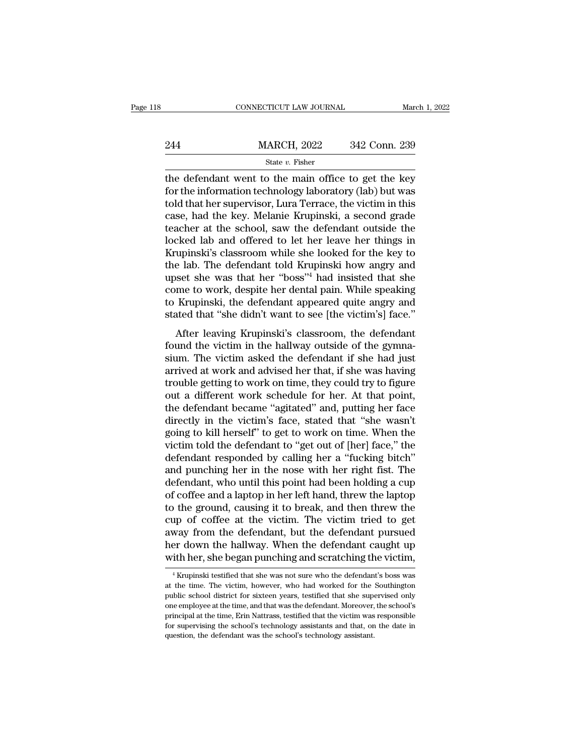|     | CONNECTICUT LAW JOURNAL                                                                                                                                                    | March 1, 2022 |
|-----|----------------------------------------------------------------------------------------------------------------------------------------------------------------------------|---------------|
| 244 | <b>MARCH, 2022</b>                                                                                                                                                         | 342 Conn. 239 |
|     | State $v$ . Fisher                                                                                                                                                         |               |
|     | the defendant went to the main office to get the key<br>for the information technology laboratory (lab) but was<br>told that her supervisor Lure Termse the victim in this |               |

244 MARCH, 2022 342 Conn. 239<br>
State v. Fisher<br>
the defendant went to the main office to get the key<br>
for the information technology laboratory (lab) but was<br>
told that her supervisor, Lura Terrace, the victim in this<br>
ca 244 MARCH, 2022 342 Conn. 239<br>
State v. Fisher<br>
the defendant went to the main office to get the key<br>
for the information technology laboratory (lab) but was<br>
told that her supervisor, Lura Terrace, the victim in this<br>
ca 244 MARCH, 2022 342 Conn. 239<br>  $\frac{\text{State } v. \text{ Fisher}}{\text{the defendant went to the main office to get the key}}$ <br>
for the information technology laboratory (lab) but was<br>
told that her supervisor, Lura Terrace, the victim in this<br>
case, had the key. Melanie Krupinski, a State v. Fisher<br>
the defendant went to the main office to get the key<br>
for the information technology laboratory (lab) but was<br>
told that her supervisor, Lura Terrace, the victim in this<br>
case, had the key. Melanie Krupin state  $v$ . Fisher<br>the defendant went to the main office to get the key<br>for the information technology laboratory (lab) but was<br>told that her supervisor, Lura Terrace, the victim in this<br>case, had the key. Melanie Krupinsk the defendant went to the main office to get the key<br>for the information technology laboratory (lab) but was<br>told that her supervisor, Lura Terrace, the victim in this<br>case, had the key. Melanie Krupinski, a second grade<br>t for the information technology laboratory (lab) but was<br>told that her supervisor, Lura Terrace, the victim in this<br>case, had the key. Melanie Krupinski, a second grade<br>teacher at the school, saw the defendant outside the<br>l told that her supervisor, Lura Terrace, the victim in this<br>case, had the key. Melanie Krupinski, a second grade<br>teacher at the school, saw the defendant outside the<br>locked lab and offered to let her leave her things in<br>Kru case, had the key. Melanie Krupinski, a second grade<br>teacher at the school, saw the defendant outside the<br>locked lab and offered to let her leave her things in<br>Krupinski's classroom while she looked for the key to<br>the lab. teacher at the school, saw the defendant outside the<br>locked lab and offered to let her leave her things in<br>Krupinski's classroom while she looked for the key to<br>the lab. The defendant told Krupinski how angry and<br>upset she locked lab and offered to let her leave her things in Krupinski's classroom while she looked for the key to the lab. The defendant told Krupinski how angry and upset she was that her "boss"<sup>4</sup> had insisted that she come to dphiski s classroom while site looked for the key to<br>e lab. The defendant told Krupinski how angry and<br>set she was that her "boss"<sup>4</sup> had insisted that she<br>me to work, despite her dental pain. While speaking<br>Krupinski, the the lab. The defendant told Krupinski how angry and<br>upset she was that her "boss"<sup>4</sup> had insisted that she<br>come to work, despite her dental pain. While speaking<br>to Krupinski, the defendant appeared quite angry and<br>stated t

upset she was that her boss That histsted that she<br>come to work, despite her dental pain. While speaking<br>to Krupinski, the defendant appeared quite angry and<br>stated that "she didn't want to see [the victim's] face."<br>After From the work, despite the definition. While speaking<br>to Krupinski, the defendant appeared quite angry and<br>stated that "she didn't want to see [the victim's] face."<br>After leaving Krupinski's classroom, the defendant<br>found trouble getting in the distribution of the distribution of the set of the victim's and the victim in the hallway outside of the gymnasium. The victim asked the defendant if she had just arrived at work and advised her that After leaving Krupinski's classroom, the defendant<br>found the victim in the hallway outside of the gymna-<br>sium. The victim asked the defendant if she had just<br>arrived at work and advised her that, if she was having<br>trouble After leaving Krupinski's classroom, the defendant<br>found the victim in the hallway outside of the gymna-<br>sium. The victim asked the defendant if she had just<br>arrived at work and advised her that, if she was having<br>trouble found the victim in the hallway outside of the gymna-<br>sium. The victim asked the defendant if she had just<br>arrived at work and advised her that, if she was having<br>trouble getting to work on time, they could try to figure<br>o sium. The victim asked the defendant if she had just<br>arrived at work and advised her that, if she was having<br>trouble getting to work on time, they could try to figure<br>out a different work schedule for her. At that point,<br>t arrived at work and advised her that, if she was having<br>trouble getting to work on time, they could try to figure<br>out a different work schedule for her. At that point,<br>the defendant became "agitated" and, putting her face<br> trouble getting to work on time, they could try to figure<br>out a different work schedule for her. At that point,<br>the defendant became "agitated" and, putting her face<br>directly in the victim's face, stated that "she wasn't<br>g out a different work schedule for her. At that point,<br>the defendant became "agitated" and, putting her face<br>directly in the victim's face, stated that "she wasn't<br>going to kill herself" to get to work on time. When the<br>vic the defendant became "agitated" and, putting her face<br>directly in the victim's face, stated that "she wasn't<br>going to kill herself" to get to work on time. When the<br>victim told the defendant to "get out of [her] face," the directly in the victim's face, stated that "she wasn't<br>going to kill herself" to get to work on time. When the<br>victim told the defendant to "get out of [her] face," the<br>defendant responded by calling her a "fucking bitch"<br> going to kill herself" to get to work on time. When the victim told the defendant to "get out of [her] face," the defendant responded by calling her a "fucking bitch" and punching her in the nose with her right fist. The d victim told the defendant to "get out of [her] face," the<br>defendant responded by calling her a "fucking bitch"<br>and punching her in the nose with her right fist. The<br>defendant, who until this point had been holding a cup<br>of defendant responded by calling her a "fucking bitch"<br>and punching her in the nose with her right fist. The<br>defendant, who until this point had been holding a cup<br>of coffee and a laptop in her left hand, threw the laptop<br>to and punching her in the nose with her right fist. The<br>defendant, who until this point had been holding a cup<br>of coffee and a laptop in her left hand, threw the laptop<br>to the ground, causing it to break, and then threw the<br> defendant, who until this point had been holding a cup<br>of coffee and a laptop in her left hand, threw the laptop<br>to the ground, causing it to break, and then threw the<br>cup of coffee at the victim. The victim tried to get<br>a 1 applies of collect at the victim. The victim tried to get<br>way from the defendant, but the defendant pursued<br>er down the hallway. When the defendant caught up<br>ith her, she began punching and scratching the victim,<br><sup>4</sup> Kru away from the defendant, but the defendant pursued<br>her down the hallway. When the defendant caught up<br>with her, she began punching and scratching the victim,<br><sup>4</sup> Krupinski testified that she was not sure who the defendant'

her down the hallway. When the defendant caught up<br>with her, she began punching and scratching the victim,<br><sup>4</sup> Krupinski testified that she was not sure who the defendant's boss was<br>at the time. The victim, however, who ha with her, she began punching and scratching the victim,<br>  $\frac{4}{4}$  Krupinski testified that she was not sure who the defendant's boss was<br>
at the time. The victim, however, who had worked for the Southington<br>
public schoo with tier, site began punctung and scratching the victim,<br>
<sup>4</sup> Krupinski testified that she was not sure who the defendant's boss was<br>
at the time. The victim, however, who had worked for the Southington<br>
public school dis <sup>4</sup> Krupinski testified that she was not sure who the defendant's boss was at the time. The victim, however, who had worked for the Southington public school district for sixteen years, testified that she supervised only at the time. The victim, however, who had worked for the Southington public school district for sixteen years, testified that she supervised only one employee at the time, and that was the defendant. Moreover, the school's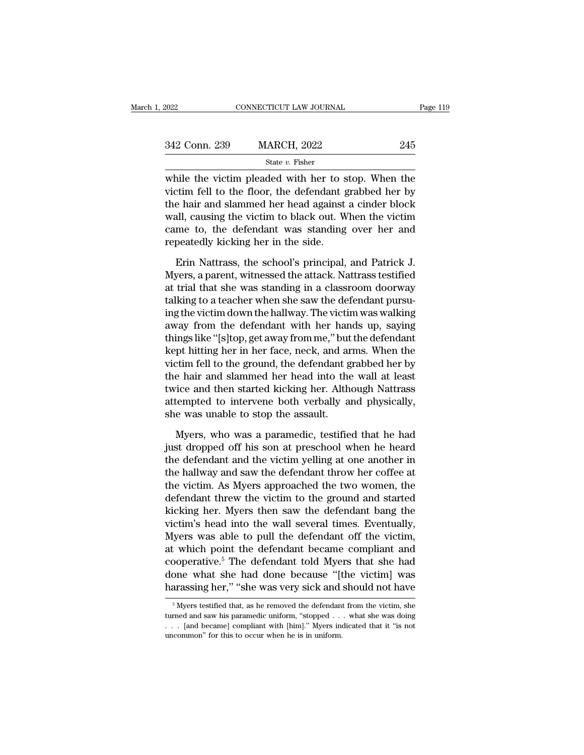| 2022          | CONNECTICUT LAW JOURNAL                                                                                                                                               | Page 119 |
|---------------|-----------------------------------------------------------------------------------------------------------------------------------------------------------------------|----------|
| 342 Conn. 239 | <b>MARCH, 2022</b>                                                                                                                                                    | 245      |
|               | State v. Fisher                                                                                                                                                       |          |
|               | while the victim pleaded with her to stop. When the<br>victim fell to the floor, the defendant grabbed her by<br>the heir and clammed her head exeinct a cinder block |          |

342 Conn. 239 MARCH, 2022 245<br>
State v. Fisher<br>
while the victim pleaded with her to stop. When the<br>
victim fell to the floor, the defendant grabbed her by<br>
the hair and slammed her head against a cinder block<br>
well equai 342 Conn. 239 MARCH, 2022 245<br>
State v. Fisher<br>
while the victim pleaded with her to stop. When the<br>
victim fell to the floor, the defendant grabbed her by<br>
the hair and slammed her head against a cinder block<br>
wall, caus 342 Conn. 239 MARCH, 2022 245<br>
State v. Fisher<br>
while the victim pleaded with her to stop. When the<br>
victim fell to the floor, the defendant grabbed her by<br>
the hair and slammed her head against a cinder block<br>
wall, caus State  $v$ . Fisher<br>while the victim pleaded with her to stop. When the<br>victim fell to the floor, the defendant grabbed her by<br>the hair and slammed her head against a cinder block<br>wall, causing the victim to black out. When siate  $v$ . Fisher<br>while the victim pleaded with her to s<br>victim fell to the floor, the defendant  $\xi$ <br>the hair and slammed her head against<br>wall, causing the victim to black out. W<br>came to, the defendant was standing<br>repe Erin fell to the floor, the defendant grabbed her by<br>
e hair and slammed her head against a cinder block<br>
all, causing the victim to black out. When the victim<br>
me to, the defendant was standing over her and<br>
peatedly kick the hair and slammed her head against a cinder block<br>wall, causing the victim to black out. When the victim<br>came to, the defendant was standing over her and<br>repeatedly kicking her in the side.<br>Erin Nattrass, the school's p

wall, causing the victim to black out. When the victim<br>came to, the defendant was standing over her and<br>repeatedly kicking her in the side.<br>Erin Nattrass, the school's principal, and Patrick J.<br>Myers, a parent, witnessed t came to, the defendant was standing over her and<br>repeatedly kicking her in the side.<br>Erin Nattrass, the school's principal, and Patrick J.<br>Myers, a parent, witnessed the attack. Nattrass testified<br>at trial that she was sta repeatedly kicking her in the side.<br>
Erin Nattrass, the school's principal, and Patrick J.<br>
Myers, a parent, witnessed the attack. Nattrass testified<br>
at trial that she was standing in a classroom doorway<br>
talking to a tea Erin Nattrass, the school's principal, and Patrick J.<br>Myers, a parent, witnessed the attack. Nattrass testified<br>at trial that she was standing in a classroom doorway<br>talking to a teacher when she saw the defendant pursu-<br>i Erin Nattrass, the school's principal, and Patrick J.<br>Myers, a parent, witnessed the attack. Nattrass testified<br>at trial that she was standing in a classroom doorway<br>talking to a teacher when she saw the defendant pursu-<br>i Myers, a parent, witnessed the attack. Nattrass testified<br>at trial that she was standing in a classroom doorway<br>talking to a teacher when she saw the defendant pursu-<br>ing the victim down the hallway. The victim was walking at trial that she was standing in a classroom doorway<br>talking to a teacher when she saw the defendant pursu-<br>ing the victim down the hallway. The victim was walking<br>away from the defendant with her hands up, saying<br>things talking to a teacher when she saw the defendant pursu-<br>ing the victim down the hallway. The victim was walking<br>away from the defendant with her hands up, saying<br>things like "[s]top, get away from me," but the defendant<br>kep ing the victim down the hallway. The victim was walking<br>away from the defendant with her hands up, saying<br>things like "[s]top, get away from me," but the defendant<br>kept hitting her in her face, neck, and arms. When the<br>vic away from the defendant with her hands up, saying<br>things like "[s]top, get away from me," but the defendant<br>kept hitting her in her face, neck, and arms. When the<br>victim fell to the ground, the defendant grabbed her by<br>the things like "[s]top, get away from me," but<br>kept hitting her in her face, neck, and ar<br>victim fell to the ground, the defendant g<br>the hair and slammed her head into the<br>twice and then started kicking her. Althe<br>attempted t The state of the ground, the defendant grabbed her by<br>
the hair and slammed her head into the wall at least<br>
ice and then started kicking her. Although Nattrass<br>
tempted to intervene both verbally and physically,<br>
e was un the hair and slammed her head into the wall at least<br>twice and then started kicking her. Although Nattrass<br>attempted to intervene both verbally and physically,<br>she was unable to stop the assault.<br>Myers, who was a paramedic

twice and then started kicking her. Although Nattrass<br>attempted to intervene both verbally and physically,<br>she was unable to stop the assault.<br>Myers, who was a paramedic, testified that he had<br>just dropped off his son at p attempted to intervene both verbally and physically,<br>she was unable to stop the assault.<br>Myers, who was a paramedic, testified that he had<br>just dropped off his son at preschool when he heard<br>the defendant and the victim ye she was unable to stop the assault.<br>
Myers, who was a paramedic, testified that he had<br>
just dropped off his son at preschool when he heard<br>
the defendant and the victim yelling at one another in<br>
the hallway and saw the d Myers, who was a paramedic, testified that he had<br>just dropped off his son at preschool when he heard<br>the defendant and the victim yelling at one another in<br>the hallway and saw the defendant throw her coffee at<br>the victim. Myers, who was a paramedic, testified that he had<br>just dropped off his son at preschool when he heard<br>the defendant and the victim yelling at one another in<br>the hallway and saw the defendant throw her coffee at<br>the victim. just dropped off his son at preschool when he heard<br>the defendant and the victim yelling at one another in<br>the hallway and saw the defendant throw her coffee at<br>the victim. As Myers approached the two women, the<br>defendant the defendant and the victim yelling at one another in<br>the hallway and saw the defendant throw her coffee at<br>the victim. As Myers approached the two women, the<br>defendant threw the victim to the ground and started<br>kicking h the hallway and saw the defendant throw her coffee at<br>the victim. As Myers approached the two women, the<br>defendant threw the victim to the ground and started<br>kicking her. Myers then saw the defendant bang the<br>victim's head the victim. As Myers approached the two women, the<br>defendant threw the victim to the ground and started<br>kicking her. Myers then saw the defendant bang the<br>victim's head into the wall several times. Eventually,<br>Myers was ab defendant threw the victim to the ground and started<br>kicking her. Myers then saw the defendant bang the<br>victim's head into the wall several times. Eventually,<br>Myers was able to pull the defendant off the victim,<br>at which p kicking her. Myers then saw the defendant bang the<br>victim's head into the wall several times. Eventually,<br>Myers was able to pull the defendant off the victim,<br>at which point the defendant became compliant and<br>cooperative.<sup></sup> at which point the defendant became compliant and<br>cooperative.<sup>5</sup> The defendant told Myers that she had<br>done what she had done because "[the victim] was<br>harassing her," "she was very sick and should not have<br> $\frac{1}{100}$ <br>cooperative.<sup>5</sup> The defendant told Myers that she had done what she had done because "[the victim] was harassing her," "she was very sick and should not have  $\frac{5}{5}$  Myers testified that, as he removed the defendant fro

done what she had done because "[the victim] was harassing her," "she was very sick and should not have  $\frac{1}{\sqrt{2}}$  Myers testified that, as he removed the defendant from the victim, she turned and saw his paramedic unif harassing her," "she was very sick and should not have<br>  $\frac{1}{100}$   $\frac{1}{100}$   $\frac{1}{100}$   $\frac{1}{100}$   $\frac{1}{100}$   $\frac{1}{100}$   $\frac{1}{100}$   $\frac{1}{100}$   $\frac{1}{100}$   $\frac{1}{100}$   $\frac{1}{100}$   $\frac{1}{100}$   $\frac{1}{100}$ .  $\frac{1}{10$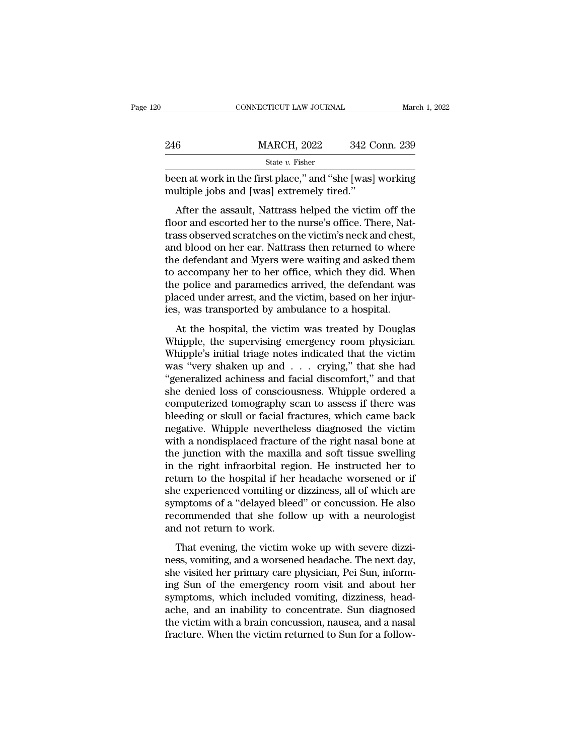|     | CONNECTICUT LAW JOURNAL                                                                                                                                                       | March 1, 2022 |
|-----|-------------------------------------------------------------------------------------------------------------------------------------------------------------------------------|---------------|
|     |                                                                                                                                                                               |               |
| 246 | <b>MARCH, 2022</b>                                                                                                                                                            | 342 Conn. 239 |
|     | State $v$ . Fisher                                                                                                                                                            |               |
|     | been at work in the first place," and "she [was] working<br>multiple jobs and [was] extremely tired."                                                                         |               |
|     | After the assault, Nattrass helped the victim off the<br>floor and escorted her to the nurse's office. There, Nat-<br>trace observed scratches on the victim's neck and chest |               |

 $\begin{array}{r} \text{MARCH, 2022} \ \text{342 Conn. 239} \ \text{State } v. \text{ Fisher} \end{array}$ <br>been at work in the first place," and "she [was] working<br>multiple jobs and [was] extremely tired."<br>After the assault, Nattrass helped the victim off the<br>floor and esco State  $v$ . Fisher<br>been at work in the first place," and "she [was] working<br>multiple jobs and [was] extremely tired."<br>After the assault, Nattrass helped the victim off the<br>floor and escorted her to the nurse's office. Ther been at work in the first place," and "she [was] working<br>multiple jobs and [was] extremely tired."<br>After the assault, Nattrass helped the victim off the<br>floor and escorted her to the nurse's office. There, Nat-<br>trass obser been at work in the first place, and she [was] working<br>multiple jobs and [was] extremely tired."<br>After the assault, Nattrass helped the victim off the<br>floor and escorted her to the nurse's office. There, Nat-<br>trass observe After the assault, Nattrass helped the victim off the<br>floor and escorted her to the nurse's office. There, Nat-<br>trass observed scratches on the victim's neck and chest,<br>and blood on her ear. Nattrass then returned to where After the assault, Nattrass helped the victim off the<br>floor and escorted her to the nurse's office. There, Nat-<br>trass observed scratches on the victim's neck and chest,<br>and blood on her ear. Nattrass then returned to where floor and escorted her to the nurse's office. There, Nattrass observed scratches on the victim's neck and chest, and blood on her ear. Nattrass then returned to where the defendant and Myers were waiting and asked them to trass observed scratches on the victim's neck and chest,<br>and blood on her ear. Nattrass then returned to where<br>the defendant and Myers were waiting and asked them<br>to accompany her to her office, which they did. When<br>the po At the hospital, the victim was treated by Douglas<br>hospital, the victim was accompany her to her office, which they did. When<br>e police and paramedics arrived, the defendant was<br>aced under arrest, and the victim, based on h In the decrivation and myers were watching and asked them<br>to accompany her to her office, which they did. When<br>the police and paramedics arrived, the defendant was<br>placed under arrest, and the victim, based on her injur-<br>i

the police and paramedics arrived, the defendant was<br>placed under arrest, and the victim, based on her injur-<br>ies, was transported by ambulance to a hospital.<br>At the hospital, the victim was treated by Douglas<br>Whipple, the make pole and parameters arrived, are detendant was<br>placed under arrest, and the victim, based on her injur-<br>ies, was transported by ambulance to a hospital.<br>At the hospital, the victim was treated by Douglas<br>Whipple, the ies, was transported by ambulance to a hospital.<br>
At the hospital, the victim was treated by Douglas<br>
Whipple, the supervising emergency room physician.<br>
Whipple's initial triage notes indicated that the victim<br>
was "very she denied by the supervision was treated by Douglas<br>Whipple, the supervising emergency room physician.<br>Whipple's initial triage notes indicated that the victim<br>was "very shaken up and . . . crying," that she had<br>"generali At the hospital, the victim was treated by Douglas<br>Whipple, the supervising emergency room physician.<br>Whipple's initial triage notes indicated that the victim<br>was "very shaken up and . . . crying," that she had<br>"generalize Whipple, the supervising emergency room physician.<br>Whipple's initial triage notes indicated that the victim<br>was "very shaken up and  $\ldots$  crying," that she had<br>"generalized achiness and facial discomfort," and that<br>she de Whipple's initial triage notes indicated that the victim<br>was "very shaken up and  $\ldots$  crying," that she had<br>"generalized achiness and facial discomfort," and that<br>she denied loss of consciousness. Whipple ordered a<br>compu was "very shaken up and  $\ldots$  crying," that she had "generalized achiness and facial discomfort," and that she denied loss of consciousness. Whipple ordered a computerized tomography scan to assess if there was bleeding o "generalized achiness and facial discomfort," and that<br>she denied loss of consciousness. Whipple ordered a<br>computerized tomography scan to assess if there was<br>bleeding or skull or facial fractures, which came back<br>negative she denied loss of consciousness. Whipple ordered a<br>computerized tomography scan to assess if there was<br>bleeding or skull or facial fractures, which came back<br>negative. Whipple nevertheless diagnosed the victim<br>with a nond computerized tomography scan to assess if there was<br>bleeding or skull or facial fractures, which came back<br>negative. Whipple nevertheless diagnosed the victim<br>with a nondisplaced fracture of the right nasal bone at<br>the jun bleeding or skull or facial fractures, which came back<br>negative. Whipple nevertheless diagnosed the victim<br>with a nondisplaced fracture of the right nasal bone at<br>the junction with the maxilla and soft tissue swelling<br>in t negative. Whipple nevertheless diagnosed the victim<br>with a nondisplaced fracture of the right nasal bone at<br>the junction with the maxilla and soft tissue swelling<br>in the right infraorbital region. He instructed her to<br>retu with a nondisplaced fracture of the right nasal bone at<br>the junction with the maxilla and soft tissue swelling<br>in the right infraorbital region. He instructed her to<br>return to the hospital if her headache worsened or if<br>sh the junction with the maxilla<br>in the right infraorbital regi<br>return to the hospital if her<br>she experienced vomiting or<br>symptoms of a "delayed blee<br>recommended that she follo<br>and not return to work.<br>That evening, the victim That evening of the victim woke up with severe dizzi-<br>turn to the hospital if her headache worsened or if<br>e experienced vomiting or dizziness, all of which are<br>mptoms of a "delayed bleed" or concussion. He also<br>commended t ness, all of which are<br>symptoms of a "delayed bleed" or concussion. He also<br>recommended that she follow up with a neurologist<br>and not return to work.<br>That evening, the victim woke up with severe dizzi-<br>ness, vomiting, and

she experienced voluting or dizamess, an or which are<br>symptoms of a "delayed bleed" or concussion. He also<br>recommended that she follow up with a neurologist<br>and not return to work.<br>That evening, the victim woke up with sev is a mean of the emergency room visit and about her symptoms of a delayed sector of conclusions. The discontinued about her about the visited her primary care physician, Pei Sun, informing Sun of the emergency room visit a symptoms, the victim woke up with severe dizzi-<br>ness, vomiting, and a worsened headache. The next day,<br>she visited her primary care physician, Pei Sun, inform-<br>ing Sun of the emergency room visit and about her<br>symptoms, wh That evening, the victim woke up with severe dizzi-<br>ness, vomiting, and a worsened headache. The next day,<br>she visited her primary care physician, Pei Sun, inform-<br>ing Sun of the emergency room visit and about her<br>symptoms That evening, the victim woke up with severe dizziness, vomiting, and a worsened headache. The next day, she visited her primary care physician, Pei Sun, informing Sun of the emergency room visit and about her symptoms, wh ness, vomiting, and a worsened headache. The next day, she visited her primary care physician, Pei Sun, informing Sun of the emergency room visit and about her symptoms, which included vomiting, dizziness, headache, and an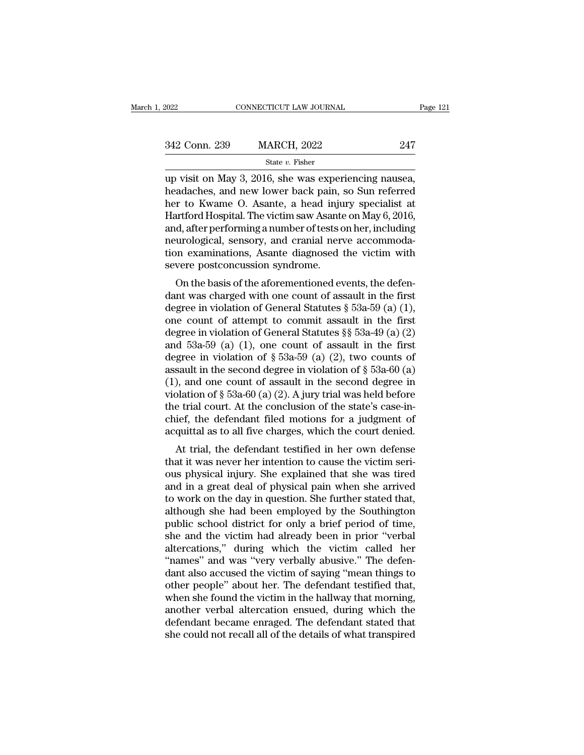| 2022          | CONNECTICUT LAW JOURNAL                                                                                                                                                        | Page 121 |
|---------------|--------------------------------------------------------------------------------------------------------------------------------------------------------------------------------|----------|
| 342 Conn. 239 | <b>MARCH, 2022</b>                                                                                                                                                             | 247      |
|               | State $v$ . Fisher                                                                                                                                                             |          |
|               | up visit on May 3, 2016, she was experiencing nausea,<br>headaches, and new lower back pain, so Sun referred<br>$\alpha$ to Kwame $\alpha$ Agente, a head injury specialist at |          |

342 Conn. 239 MARCH, 2022 247<br>
State v. Fisher<br>
up visit on May 3, 2016, she was experiencing nausea,<br>
headaches, and new lower back pain, so Sun referred<br>
her to Kwame O. Asante, a head injury specialist at<br>
Hartford Hos 342 Conn. 239 MARCH, 2022 247<br>
State v. Fisher<br>
up visit on May 3, 2016, she was experiencing nausea,<br>
headaches, and new lower back pain, so Sun referred<br>
her to Kwame O. Asante, a head injury specialist at<br>
Hartford Hos 342 Conn. 239 MARCH, 2022 247<br>
State v. Fisher<br>
up visit on May 3, 2016, she was experiencing nausea,<br>
headaches, and new lower back pain, so Sun referred<br>
her to Kwame O. Asante, a head injury specialist at<br>
Hartford Hos Since 2014, 200<br>
State v. Fisher<br>
up visit on May 3, 2016, she was experiencing nausea,<br>
headaches, and new lower back pain, so Sun referred<br>
her to Kwame O. Asante, a head injury specialist at<br>
Hartford Hospital. The vic state v. Fisher<br>up visit on May 3, 2016, she was experiencing nausea,<br>headaches, and new lower back pain, so Sun referred<br>her to Kwame O. Asante, a head injury specialist at<br>Hartford Hospital. The victim saw Asante on May up visit on May 3, 2016, she was experiencing nausea,<br>headaches, and new lower back pain, so Sun referred<br>her to Kwame O. Asante, a head injury specialist at<br>Hartford Hospital. The victim saw Asante on May 6, 2016,<br>and, af headaches, and new lower back pain,<br>her to Kwame O. Asante, a head inju<br>Hartford Hospital. The victim saw Asante<br>and, after performing a number of tests c<br>neurological, sensory, and cranial nerv<br>tion examinations, Asante d It to Kwalle O. Asalte, a flead hijury specialist at<br>artford Hospital. The victim saw Asante on May 6, 2016,<br>d, after performing a number of tests on her, including<br>urological, sensory, and cranial nerve accommoda-<br>no exa rlational rospital. The victim saw Asame on May 0, 2010,<br>and, after performing a number of tests on her, including<br>neurological, sensory, and cranial nerve accommoda-<br>tion examinations, Asante diagnosed the victim with<br>se

and, are performing a number of essis of the *i*, including<br>neurological, sensory, and cranial nerve accommoda-<br>tion examinations, Asante diagnosed the victim with<br>severe postconcussion syndrome.<br>On the basis of the afore reurological, sensory, and crainal nerve accommodation examinations, Asante diagnosed the victim with<br>severe postconcussion syndrome.<br>On the basis of the aforementioned events, the defen-<br>dant was charged with one count o don examinations, Asante diagnosed the victim with<br>severe postconcussion syndrome.<br>On the basis of the aforementioned events, the defen-<br>dant was charged with one count of assault in the first<br>degree in violation of Gener Severe postconcussion syntatome.<br>
On the basis of the aforementioned events, the defendant was charged with one count of assault in the first<br>
degree in violation of General Statutes § 53a-59 (a) (1),<br>
one count of attemp On the basis of the aforementioned events, the defen-<br>dant was charged with one count of assault in the first<br>degree in violation of General Statutes  $\S$  53a-59 (a) (1),<br>one count of attempt to commit assault in the first dant was charged with one count of assault in the first<br>degree in violation of General Statutes § 53a-59 (a) (1),<br>one count of attempt to commit assault in the first<br>degree in violation of General Statutes §§ 53a-49 (a) ( degree in violation of General Statutes § 53a-59 (a) (1),<br>one count of attempt to commit assault in the first<br>degree in violation of General Statutes §§ 53a-49 (a) (2)<br>and 53a-59 (a) (1), one count of assault in the first one count of attempt to commit assault in the first<br>degree in violation of General Statutes §§ 53a-49 (a) (2)<br>and 53a-59 (a) (1), one count of assault in the first<br>degree in violation of § 53a-59 (a) (2), two counts of<br>as degree in violation of General Statutes §§ 53a-49 (a) (2)<br>and 53a-59 (a) (1), one count of assault in the first<br>degree in violation of § 53a-59 (a) (2), two counts of<br>assault in the second degree in violation of § 53a-60 and 53a-59 (a) (1), one count of assault in the first<br>degree in violation of  $\S$  53a-59 (a) (2), two counts of<br>assault in the second degree in violation of  $\S$  53a-60 (a)<br>(1), and one count of assault in the second degree degree in violation of § 53a-59 (a) (2), two counts of assault in the second degree in violation of § 53a-60 (a) (1), and one count of assault in the second degree in violation of § 53a-60 (a) (2). A jury trial was held b Sault in the second degree in violation of  $\S$  53a-00 (a),<br>
), and one count of assault in the second degree in<br>
plation of  $\S$  53a-60 (a) (2). A jury trial was held before<br>
e trial court. At the conclusion of the state's (1), and one count of assaut in the second degree in<br>violation of  $\S$  53a-60 (a) (2). A jury trial was held before<br>the trial court. At the conclusion of the state's case-in-<br>chief, the defendant filed motions for a judgme

violation of y 53a-00 (a) (2). A jury that was held before<br>the trial court. At the conclusion of the state's case-in-<br>chief, the defendant filed motions for a judgment of<br>acquittal as to all five charges, which the court the that court. At the conclusion of the state's case-in-<br>chief, the defendant filed motions for a judgment of<br>acquittal as to all five charges, which the court denied.<br>At trial, the defendant testified in her own defense<br> the defendant med motions for a judgment of<br>acquittal as to all five charges, which the court denied.<br>At trial, the defendant testified in her own defense<br>that it was never her intention to cause the victim seri-<br>ous physi acquitual as to an live charges, which the court defined.<br>At trial, the defendant testified in her own defense<br>that it was never her intention to cause the victim seri-<br>ous physical injury. She explained that she was tired At trial, the defendant testified in her own defense<br>that it was never her intention to cause the victim seri-<br>ous physical injury. She explained that she was tired<br>and in a great deal of physical pain when she arrived<br>to that it was never her intention to cause the victim serious physical injury. She explained that she was tired<br>and in a great deal of physical pain when she arrived<br>to work on the day in question. She further stated that,<br>a ous physical injury. She explained that she was tired<br>and in a great deal of physical pain when she arrived<br>to work on the day in question. She further stated that,<br>although she had been employed by the Southington<br>public and in a great deal of physical pain when she arrived<br>to work on the day in question. She further stated that,<br>although she had been employed by the Southington<br>public school district for only a brief period of time,<br>she a to work on the day in question. She further stated that,<br>although she had been employed by the Southington<br>public school district for only a brief period of time,<br>she and the victim had already been in prior "verbal<br>alterc although she had been employed by the Southington<br>public school district for only a brief period of time,<br>she and the victim had already been in prior "verbal<br>altercations," during which the victim called her<br>"names" and w public school district for only a brief period of time,<br>she and the victim had already been in prior "verbal<br>altercations," during which the victim called her<br>"names" and was "very verbally abusive." The defen-<br>dant also a she and the victim had already been in prior "verbal altercations," during which the victim called her "names" and was "very verbally abusive." The defendant also accused the victim of saying "mean things to other people" altercations," during which the victim called her<br>"names" and was "very verbally abusive." The defen-<br>dant also accused the victim of saying "mean things to<br>other people" about her. The defendant testified that,<br>when she f "names" and was "very verbally abusive." The defendant also accused the victim of saying "mean things to other people" about her. The defendant testified that, when she found the victim in the hallway that morning, another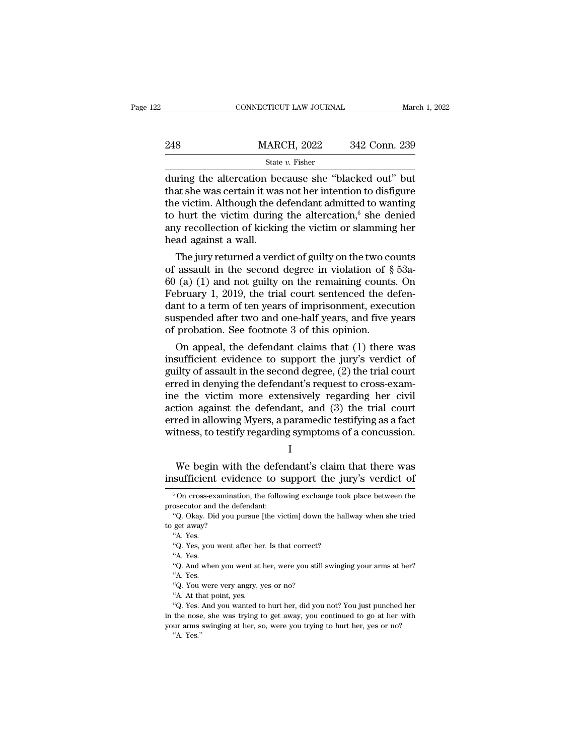|     | CONNECTICUT LAW JOURNAL                                                                                                                                                      | March 1, 2022 |
|-----|------------------------------------------------------------------------------------------------------------------------------------------------------------------------------|---------------|
| 248 | <b>MARCH, 2022</b>                                                                                                                                                           | 342 Conn. 239 |
|     | State $v$ . Fisher                                                                                                                                                           |               |
|     | during the altercation because she "blacked out" but<br>that she was certain it was not her intention to disfigure<br>the victim, Although the defendant admitted to wanting |               |

248 MARCH, 2022 342 Conn. 239<br>
State v. Fisher<br>
during the altercation because she "blacked out" but<br>
that she was certain it was not her intention to disfigure<br>
the victim. Although the defendant admitted to wanting<br>
to 248 MARCH, 2022 342 Conn. 239<br>
State v. Fisher<br>
during the altercation because she "blacked out" but<br>
that she was certain it was not her intention to disfigure<br>
the victim. Although the defendant admitted to wanting<br>
to 248 MARCH, 2022 342 Conn. 239<br>
State v. Fisher<br>
during the altercation because she "blacked out" but<br>
that she was certain it was not her intention to disfigure<br>
the victim. Although the defendant admitted to wanting<br>
to State v. Fisher<br>
and State v. Fisher<br>
during the altercation because she "blacked out" but<br>
that she was certain it was not her intention to disfigure<br>
the victim. Although the defendant admitted to wanting<br>
to hurt the v state<br>during the altercation be<br>that she was certain it was<br>the victim. Although the d<br>to hurt the victim during<br>any recollection of kickir<br>head against a wall.<br>The jury returned a vero The jury returned a verdict of guilty on the remaining counts.<br>
The jury returned a verdict of guilty on the two counts<br>
assault in the second degree in violation of § 53a-<br>
(3) (1) and not guilty on the remaining counts. that sne was certain it was not her intention to disigure<br>the victim. Although the defendant admitted to wanting<br>to hurt the victim during the altercation,<sup>6</sup> she denied<br>any recollection of kicking the victim or slamming

the victim. Although the defendant admitted to wanting<br>to hurt the victim during the altercation,<sup>6</sup> she denied<br>any recollection of kicking the victim or slamming her<br>head against a wall.<br>The jury returned a verdict of gu February recollection of kicking the attercation," she denied<br>any recollection of kicking the victim or slamming her<br>head against a wall.<br>The jury returned a verdict of guilty on the two counts<br>of assault in the second de any recollection of kicking the victim or slamming her<br>head against a wall.<br>The jury returned a verdict of guilty on the two counts<br>of assault in the second degree in violation of  $\S$  53a-<br>60 (a) (1) and not guilty on the nead against a wall.<br>The jury returned a verdict of guilty on the two counts<br>of assault in the second degree in violation of  $\S$  53a-<br>60 (a) (1) and not guilty on the remaining counts. On<br>February 1, 2019, the trial court The jury returned a verdict of guilty on the two cc<br>of assault in the second degree in violation of  $\S$ <br>60 (a) (1) and not guilty on the remaining counts<br>February 1, 2019, the trial court sentenced the d<br>dant to a term of assault in the second degree in violation of  $\S$  53a-<br>(a) (1) and not guilty on the remaining counts. On<br>bruary 1, 2019, the trial court sentenced the defen-<br>nt to a term of ten years of imprisonment, execution<br>spended af b0 (a) (1) and not guilty on the remaining counts. On<br>February 1, 2019, the trial court sentenced the defen-<br>dant to a term of ten years of imprisonment, execution<br>suspended after two and one-half years, and five years<br>of

February 1, 2019, the trial court sentenced the defendant to a term of ten years of imprisonment, execution suspended after two and one-half years, and five years of probation. See footnote 3 of this opinion.<br>On appeal, th dant to a term of ten years of imprisonment, execution<br>suspended after two and one-half years, and five years<br>of probation. See footnote 3 of this opinion.<br>On appeal, the defendant claims that (1) there was<br>insufficient e suspended after two and one-half years, and five years<br>of probation. See footnote 3 of this opinion.<br>On appeal, the defendant claims that (1) there was<br>insufficient evidence to support the jury's verdict of<br>guilty of assau of probation. See footnote 3 of this opinion.<br>
On appeal, the defendant claims that (1) there was<br>
insufficient evidence to support the jury's verdict of<br>
guilty of assault in the second degree, (2) the trial court<br>
erred On appeal, the defendant claims that (1) there was<br>insufficient evidence to support the jury's verdict of<br>guilty of assault in the second degree, (2) the trial court<br>erred in denying the defendant's request to cross-exam-<br> insufficient evidence to support the jury's verdict of<br>guilty of assault in the second degree, (2) the trial court<br>erred in denying the defendant's request to cross-exam-<br>ine the victim more extensively regarding her civil Example 2012 and we extensively regarding her civil<br>tion against the defendant, and (3) the trial court<br>red in allowing Myers, a paramedic testifying as a fact<br>tness, to testify regarding symptoms of a concussion.<br>I<br>We beg Figure 1.1 The defendant, and (3) the trial court<br>erred in allowing Myers, a paramedic testifying as a fact<br>witness, to testify regarding symptoms of a concussion.<br> $I$ <br>We begin with the defendant's claim that there was<br>in

I and the set of  $\mathbf{I}$ 

I<br>We begin with the defendant's claim that there was<br>sufficient evidence to support the jury's verdict of<br><sup>6</sup>On cross-examination, the following exchange took place between the<br>osecutor and the defendant: We begin with the deferent<br>insufficient evidence to s<br> $\frac{1}{6}$  On cross-examination, the follow<br>prosecutor and the defendant:<br>"Q. Okay. Did you pursue [the vi We begin with the defendant's claim that there was sufficient evidence to support the jury's verdict of  $\,^6$ On cross-examination, the following exchange took place between the osecutor and the defendant: "Q. Okay. Did y

 $\frac{1}{\sqrt{2}}$  insufficient evid<br>  $\frac{1}{\sqrt{2}}$  on cross-examinat<br>
prosecutor and the de<br>  $\frac{1}{\sqrt{2}}$  Okay. Did you p<br>
to get away?<br>
"A. Yes. Sumclem<br>
6 On cross-ex<br>
osecutor and<br>
"Q. Okay. Did<br>
get away?<br>"A. Yes. you  $^6$  On cross-examination, the following exchange took place between the prosecutor and the defendant:<br>"Q. Okay. Did you pursue [the victim] down the hallway when she tried to get away? "A. Yes. "Q. Yes, you went after he osecutor and<br>"Q. Okay. Die<br>get away?"<br>"A. Yes.<br>"Q. Yes, you<br>"A. Yes.<br>"Q. And when "Q. Okay. Did you pursue [the victim] down the hallway when she tried get away?<br>"A. Yes.<br>"A. Yes.<br>"Q. Yes, you went after her. Is that correct?<br>"A. Yes.<br>"Q. And when you went at her, were you still swinging your arms at he

et away?<br>"A. Yes.<br>"Q. Yes, you<br>"A. Yes.<br>"Q. And when<br>"A. Yes.<br>"Q. You were "A. Yes.<br>"4. Yes.<br>"Q. Yes, you went after her. Is that correct?<br>"A. Yes.<br>"Q. And when you went at her, were you still :<br>"A. Yes.<br>"Q. You were very angry, yes or no?<br>"A. At that point, yes. "Q. Yes, you went after he:<br>"A. Yes.<br>"Q. And when you went at<br>"A. Yes.<br>"Q. You were very angry, y"A. At that point, yes.<br>"Q. Yes. And you wanted to

<sup>&</sup>quot;A. Yes.<br>"A. Yes.<br>"Q. And when you went at her, were you still swinging your arms at her?<br>"A. Yes.<br>"Q. You were very angry, yes or no?<br>"A. At that point, yes.<br>"Q. Yes. And you wanted to hurt her, did you not? You just punc "Q. And when you went at her, were you still swinging your arms at her?<br>"Q. You were very angry, yes or no?<br>"A. At that point, yes.<br>"Q. Yes. And you wanted to hurt her, did you not? You just punched her<br>in the nose, she wa 4. Yes.<br>
"A. Yes.<br>
"Q. You were very angry, yes or no?<br>
"A. At that point, yes.<br>
"Q. Yes. And you wanted to hurt her, did you not? You just punched her<br>
in the nose, she was trying to get away, you continued to go at her w "A. Yes.<br>
"Q. You were very angry, yes or no?<br>
"A. At that point, yes.<br>
"Q. Yes. And you wanted to hurt her, did you not? You just punched her<br>
in the nose, she was trying to get away, you continued to go at her with<br>
your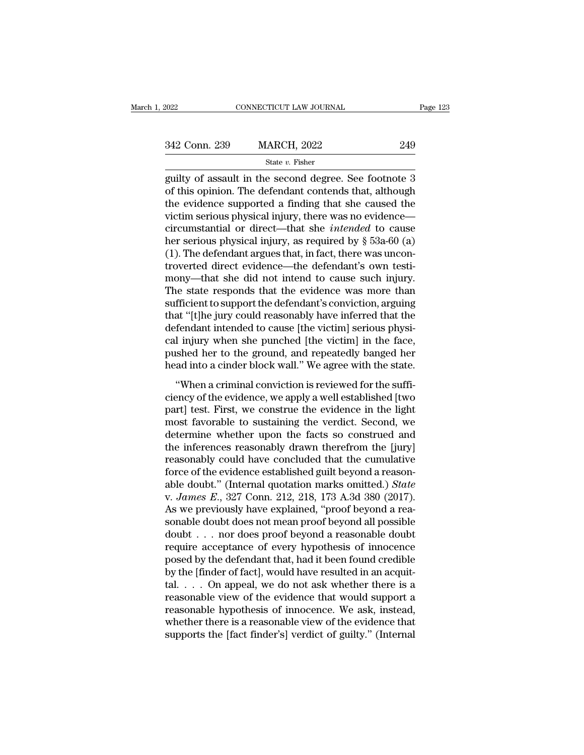| 2022          | CONNECTICUT LAW JOURNAL | Page 123 |  |
|---------------|-------------------------|----------|--|
|               |                         |          |  |
| 342 Conn. 239 | <b>MARCH, 2022</b>      | 249      |  |
|               | State $v$ . Fisher      |          |  |

 $\begin{array}{cccc}\n & \text{COMRECTICUT LAW JOURNAL} & \text{Page 123}\n\hline\n & & \text{State } v. \text{ Fisher} & \text{State } v. \text{ Fisher} & \text{guity of assault in the second degree. See footnote 3}\n\end{array}$  $\begin{array}{r} \text{342 Conn. 239} \text{} \text{MARCH, 2022} \text{} \text{549} \\ \text{State } v. \text{ Fisher} \text{} \end{array}$  and  $\begin{array}{r} \text{State } v. \text{ Fisher} \end{array}$  and  $\begin{array}{r} \text{501} \\ \text{249} \end{array}$  and  $\begin{array}{r} \text{51} \\ \text{52} \end{array}$  and  $\begin{array}{r} \text{53} \\ \text{54} \end{array}$  and  $\begin{array}{r} \text{56} \\ \$ 342 Conn. 239 MARCH, 2022 249<br>
State v. Fisher<br>
guilty of assault in the second degree. See footnote 3<br>
of this opinion. The defendant contends that, although<br>
the evidence supported a finding that she caused the<br>
victim 342 Conn. 239 MARCH, 2022 249<br>
State v. Fisher<br>
guilty of assault in the second degree. See footnote 3<br>
of this opinion. The defendant contends that, although<br>
the evidence supported a finding that she caused the<br>
victim State *v*. Fisher<br>
guilty of assault in the second degree. See footnote 3<br>
of this opinion. The defendant contends that, although<br>
the evidence supported a finding that she caused the<br>
victim serious physical injury, there state v. Fisher<br>guilty of assault in the second degree. See footnote 3<br>of this opinion. The defendant contends that, although<br>the evidence supported a finding that she caused the<br>victim serious physical injury, there was guilty of assault in the second degree. See footnote 3<br>of this opinion. The defendant contends that, although<br>the evidence supported a finding that she caused the<br>victim serious physical injury, there was no evidence—<br>circ of this opinion. The defendant contends that, although<br>the evidence supported a finding that she caused the<br>victim serious physical injury, there was no evidence—<br>circumstantial or direct—that she *intended* to cause<br>her the evidence supported a finding that she caused the victim serious physical injury, there was no evidence—<br>circumstantial or direct—that she *intended* to cause<br>her serious physical injury, as required by § 53a-60 (a)<br>(1) victim serious physical injury, there was no evidence—<br>circumstantial or direct—that she *intended* to cause<br>her serious physical injury, as required by  $\S$  53a-60 (a)<br>(1). The defendant argues that, in fact, there was un circumstantial or direct—that she *intended* to cause<br>her serious physical injury, as required by § 53a-60 (a)<br>(1). The defendant argues that, in fact, there was uncon-<br>troverted direct evidence—the defendant's own testi-<br> her serious physical injury, as required by § 53a-60 (a) (1). The defendant argues that, in fact, there was uncontroverted direct evidence—the defendant's own testimony—that she did not intend to cause such injury. The sta (1). The defendant argues that, in fact, there was uncontroverted direct evidence—the defendant's own testimony—that she did not intend to cause such injury.<br>The state responds that the evidence was more than sufficient to troverted direct evidence—the defendant's own testi-<br>mony—that she did not intend to cause such injury.<br>The state responds that the evidence was more than<br>sufficient to support the defendant's conviction, arguing<br>that "[t] mony—that she did not intend to cause such injury.<br>The state responds that the evidence was more than<br>sufficient to support the defendant's conviction, arguing<br>that "[t]he jury could reasonably have inferred that the<br>defen The state responds that the evidence was more than<br>sufficient to support the defendant's conviction, arguing<br>that "[t]he jury could reasonably have inferred that the<br>defendant intended to cause [the victim] serious physi-<br> Instead to support the detendant is conviction, argung<br>at "[t]he jury could reasonably have inferred that the<br>fendant intended to cause [the victim] serious physi-<br>1 injury when she punched [the victim] in the face,<br>shed h dia the evidence of the victim serious physical injury when she punched [the victim] in the face, pushed her to the ground, and repeatedly banged her head into a cinder block wall." We agree with the state.<br>
"When a crimin

rechains methacd to classe [the victing serious physical injury when she punched [the victim] in the face, pushed her to the ground, and repeatedly banged her head into a cinder block wall." We agree with the state.<br>
"When ear myary when she punched [are vierning in the race,<br>pushed her to the ground, and repeatedly banged her<br>head into a cinder block wall." We agree with the state.<br>"When a criminal conviction is reviewed for the suffi-<br>cien passion for to the ground, and repeatedly bulged for the state.<br>
"When a criminal conviction is reviewed for the sufficiency of the evidence, we apply a well established [two<br>
part] test. First, we construe the evidence in "When a criminal conviction is reviewed for the suffi-<br>ciency of the evidence, we apply a well established [two<br>part] test. First, we construe the evidence in the light<br>most favorable to sustaining the verdict. Second, we<br> "When a criminal conviction is reviewed for the sufficiency of the evidence, we apply a well established [two part] test. First, we construe the evidence in the light most favorable to sustaining the verdict. Second, we d ciency of the evidence, we apply a well established [two<br>part] test. First, we construe the evidence in the light<br>most favorable to sustaining the verdict. Second, we<br>determine whether upon the facts so construed and<br>the part] test. First, we construe the evidence in the light<br>most favorable to sustaining the verdict. Second, we<br>determine whether upon the facts so construed and<br>the inferences reasonably drawn therefrom the [jury]<br>reasonabl most favorable to sustaining the verdict. Second, we<br>determine whether upon the facts so construed and<br>the inferences reasonably drawn therefrom the [jury]<br>reasonably could have concluded that the cumulative<br>force of the e determine whether upon the facts so construed and<br>the inferences reasonably drawn therefrom the [jury]<br>reasonably could have concluded that the cumulative<br>force of the evidence established guilt beyond a reason-<br>able doubt the inferences reasonably drawn therefrom the [jury]<br>reasonably could have concluded that the cumulative<br>force of the evidence established guilt beyond a reason-<br>able doubt." (Internal quotation marks omitted.) *State*<br>v. reasonably could have concluded that the cumulative<br>force of the evidence established guilt beyond a reason-<br>able doubt." (Internal quotation marks omitted.) *State*<br>v. *James E.*, 327 Conn. 212, 218, 173 A.3d 380 (2017). force of the evidence established guilt beyond a reasonable doubt." (Internal quotation marks omitted.) *State* v. *James E.*, 327 Conn. 212, 218, 173 A.3d 380 (2017). As we previously have explained, "proof beyond a reas able doubt." (Internal quotation marks omitted.) *State* v. *James E.*, 327 Conn. 212, 218, 173 A.3d 380 (2017). As we previously have explained, "proof beyond a reasonable doubt does not mean proof beyond all possible do v. James E., 327 Conn. 212, 218, 173 A.3d 380 (2017).<br>As we previously have explained, "proof beyond a reasonable doubt does not mean proof beyond all possible doubt . . . nor does proof beyond a reasonable doubt require As we previously have explained, "proof beyond a reasonable doubt does not mean proof beyond all possible<br>doubt . . . nor does proof beyond a reasonable doubt<br>require acceptance of every hypothesis of innocence<br>posed by t sonable doubt does not mean proof beyond all possible<br>doubt . . . nor does proof beyond a reasonable doubt<br>require acceptance of every hypothesis of innocence<br>posed by the defendant that, had it been found credible<br>by the doubt . . . nor does proof beyond a reasonable doubt<br>require acceptance of every hypothesis of innocence<br>posed by the defendant that, had it been found credible<br>by the [finder of fact], would have resulted in an acquit-<br>ta require acceptance of every hypothesis of innocence<br>posed by the defendant that, had it been found credible<br>by the [finder of fact], would have resulted in an acquit-<br>tal. . . . On appeal, we do not ask whether there is a<br> posed by the defendant that, had it been found credible<br>by the [finder of fact], would have resulted in an acquit-<br>tal. . . . On appeal, we do not ask whether there is a<br>reasonable view of the evidence that would support a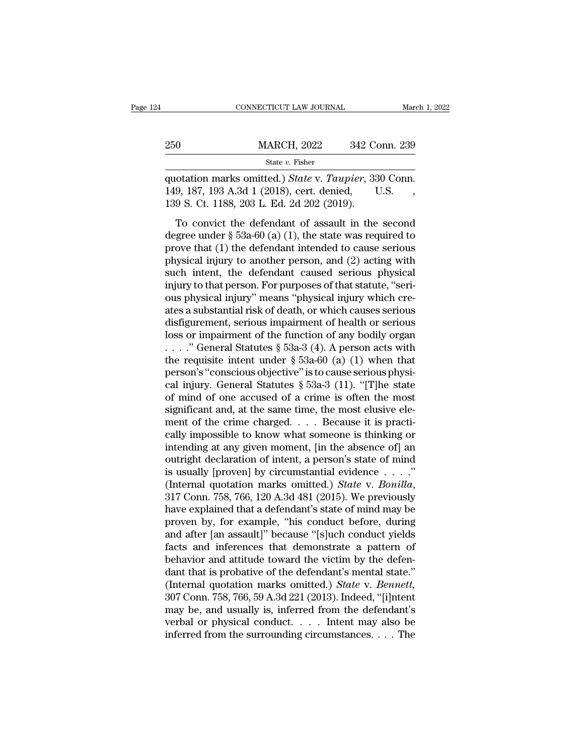|     | CONNECTICUT LAW JOURNAL                                                                                                                      | March 1, 2022 |
|-----|----------------------------------------------------------------------------------------------------------------------------------------------|---------------|
| 250 | <b>MARCH, 2022</b>                                                                                                                           | 342 Conn. 239 |
|     | State v. Fisher                                                                                                                              |               |
|     | quotation marks omitted.) State v. Taupier, 330 Conn.<br>149, 187, 193 A.3d 1 (2018), cert. denied,<br>120 S C t 1188 202 J Ed 2d 202 (2010) | U.S.          |

149, 187, 193 A.3d 1 (2018), cert. denied, U.S. (2019).<br>
149, 187, 193 A.3d 1 (2018), cert. denied, U.S. , 139 S. Ct. 1188, 203 L. Ed. 2d 202 (2019). MARCH, 2022 342 Co.<br>
State v. Fisher<br>
quotation marks omitted.) State v. Taupier, 33<br>
149, 187, 193 A.3d 1 (2018), cert. denied, I<br>
139 S. Ct. 1188, 203 L. Ed. 2d 202 (2019).<br>
To convict the defendant of assault in the MARCH, 2022 342 Conn. 239<br>
State v. Fisher<br>
otation marks omitted.) State v. Taupier, 330 Conn.<br>
9, 187, 193 A.3d 1 (2018), cert. denied, U.S.<br>
9 S. Ct. 1188, 203 L. Ed. 2d 202 (2019).<br>
To convict the defendant of assault

State v. Fisher<br>
quotation marks omitted.) *State v. Taupier*, 330 Conn.<br>
149, 187, 193 A.3d 1 (2018), cert. denied, U.S.<br>
139 S. Ct. 1188, 203 L. Ed. 2d 202 (2019).<br>
To convict the defendant of assault in the second<br>
deg quotation marks omitted.) *State* v. *Taupier*, 330 Conn.<br>149, 187, 193 A.3d 1 (2018), cert. denied, U.S., 139 S. Ct. 1188, 203 L. Ed. 2d 202 (2019).<br>To convict the defendant of assault in the second<br>degree under  $\S$  53aquotation marks omated.) State  $\cdot$ . Tatapool, 888 conti.<br>149, 187, 193 A.3d 1 (2018), cert. denied, U.S., 139 S. Ct. 1188, 203 L. Ed. 2d 202 (2019).<br>To convict the defendant of assault in the second<br>degree under § 53a-60 139 S. Ct. 1188, 203 L. Ed. 2d 202 (2019).<br>To convict the defendant of assault in the second<br>degree under  $\S$  53a-60 (a) (1), the state was required to<br>prove that (1) the defendant intended to cause serious<br>physical injur To convict the defendant of assault in the second<br>degree under  $\S$  53a-60 (a) (1), the state was required to<br>prove that (1) the defendant intended to cause serious<br>physical injury to another person, and (2) acting with<br>su To convict the defendant of assault in the second<br>degree under  $\S$  53a-60 (a) (1), the state was required to<br>prove that (1) the defendant intended to cause serious<br>physical injury to another person, and (2) acting with<br>su degree under § 53a-60 (a) (1), the state was required to<br>prove that (1) the defendant intended to cause serious<br>physical injury to another person, and (2) acting with<br>such intent, the defendant caused serious physical<br>inju prove that (1) the defendant intended to cause serious<br>physical injury to another person, and (2) acting with<br>such intent, the defendant caused serious physical<br>injury to that person. For purposes of that statute, "seri-<br> physical injury to another person, and (2) acting with<br>such intent, the defendant caused serious physical<br>injury to that person. For purposes of that statute, "seri-<br>ous physical injury" means "physical injury which cre-<br> such intent, the defendant caused serious physical<br>injury to that person. For purposes of that statute, "seri-<br>ous physical injury" means "physical injury which cre-<br>ates a substantial risk of death, or which causes seriou injury to that person. For purposes of that statute, "seri-<br>ous physical injury" means "physical injury which cre-<br>ates a substantial risk of death, or which causes serious<br>disfigurement, serious impairment of health or s ous physical injury" means "physical injury which creates a substantial risk of death, or which causes serious<br>disfigurement, serious impairment of health or serious<br>loss or impairment of the function of any bodily organ<br> ates a substantial risk of death, or which causes serious<br>disfigurement, serious impairment of health or serious<br>loss or impairment of the function of any bodily organ<br> $\ldots$ ." General Statutes § 53a-3 (4). A person acts w disfigurement, serious impairment of health or serious<br>loss or impairment of the function of any bodily organ<br>...." General Statutes  $\S$  53a-3 (4). A person acts with<br>the requisite intent under  $\S$  53a-60 (a) (1) when tha loss or impairment of the function of any bodily organ ...." General Statutes § 53a-3 (4). A person acts with the requisite intent under § 53a-60 (a) (1) when that person's "conscious objective" is to cause serious physic . . . . . " General Statutes § 53a-3 (4). A person acts with<br>the requisite intent under § 53a-60 (a) (1) when that<br>person's "conscious objective" is to cause serious physi-<br>cal injury. General Statutes § 53a-3 (11). "[T]h the requisite intent under § 53a-60 (a) (1) when that<br>person's "conscious objective" is to cause serious physi-<br>cal injury. General Statutes § 53a-3 (11). "[T]he state<br>of mind of one accused of a crime is often the most<br>s person's "conscious objective" is to cause serious physical injury. General Statutes § 53a-3 (11). "[T]he state<br>of mind of one accused of a crime is often the most<br>significant and, at the same time, the most elusive ele-<br>m cal injury. General Statutes § 53a-3 (11). "[T]he state<br>of mind of one accused of a crime is often the most<br>significant and, at the same time, the most elusive ele-<br>ment of the crime charged. . . . Because it is practi-<br>c of mind of one accused of a crime is often the most<br>significant and, at the same time, the most elusive ele-<br>ment of the crime charged. . . . Because it is practi-<br>cally impossible to know what someone is thinking or<br>inte significant and, at the same time, the most elusive ele-<br>ment of the crime charged. . . . Because it is practi-<br>cally impossible to know what someone is thinking or<br>intending at any given moment, [in the absence of] an<br>out cally impossible to know what someone is thinking or<br>intending at any given moment, [in the absence of] an<br>outright declaration of intent, a person's state of mind<br>is usually [proven] by circumstantial evidence  $\dots$ ."<br>(In intending at any given moment, [in the absence of] an<br>outright declaration of intent, a person's state of mind<br>is usually [proven] by circumstantial evidence  $\dots$ ."<br>(Internal quotation marks omitted.) *State* v. *Bonilla* outright declaration of intent, a person's state of mind<br>is usually [proven] by circumstantial evidence  $\dots$ ."<br>(Internal quotation marks omitted.) *State v. Bonilla*,<br>317 Conn. 758, 766, 120 A.3d 481 (2015). We previously is usually [proven] by circumstantial evidence  $\ldots$ ."<br>(Internal quotation marks omitted.) *State* v. *Bonilla*,<br>317 Conn. 758, 766, 120 A.3d 481 (2015). We previously<br>have explained that a defendant's state of mind may b (Internal quotation marks omitted.) *State* v. *Bonilla*, 317 Conn. 758, 766, 120 A.3d 481 (2015). We previously have explained that a defendant's state of mind may be proven by, for example, "his conduct before, during a 317 Conn. 758, 766, 120 A.3d 481 (2015). We previously<br>have explained that a defendant's state of mind may be<br>proven by, for example, "his conduct before, during<br>and after [an assault]" because "[s]uch conduct yields<br>fact have explained that a defendant's state of mind may be<br>proven by, for example, "his conduct before, during<br>and after [an assault]" because "[s]uch conduct yields<br>facts and inferences that demonstrate a pattern of<br>behavior proven by, for example, "his conduct before, during<br>and after [an assault]" because "[s]uch conduct yields<br>facts and inferences that demonstrate a pattern of<br>behavior and attitude toward the victim by the defen-<br>dant that and after [an assault]" because "[s]uch conduct yields<br>facts and inferences that demonstrate a pattern of<br>behavior and attitude toward the victim by the defen-<br>dant that is probative of the defendant's mental state."<br>(Int facts and inferences that demonstrate a pattern of<br>behavior and attitude toward the victim by the defen-<br>dant that is probative of the defendant's mental state."<br>(Internal quotation marks omitted.) *State* v. *Bennett*,<br>3 behavior and attitude toward the victim by the defendant that is probative of the defendant's mental state."<br>(Internal quotation marks omitted.) *State* v. *Bennett*, 307 Conn. 758, 766, 59 A.3d 221 (2013). Indeed, "[i]nt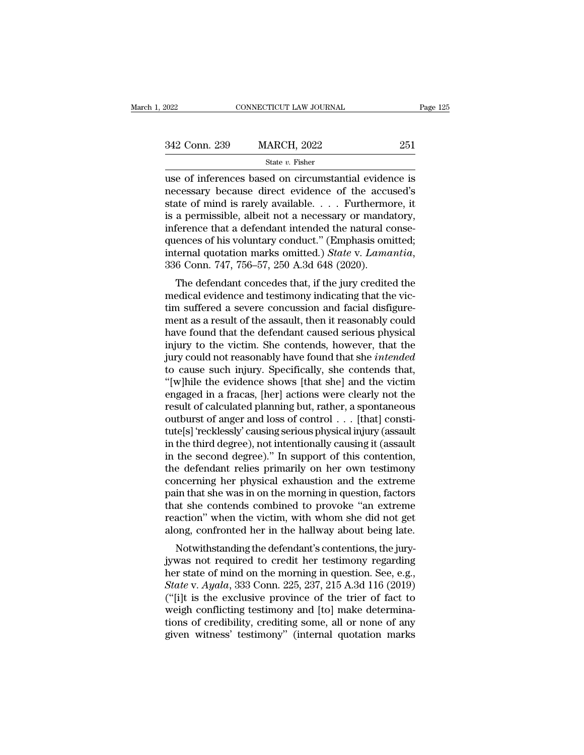| 2022          | CONNECTICUT LAW JOURNAL | Page 125 |
|---------------|-------------------------|----------|
| 342 Conn. 239 | <b>MARCH, 2022</b>      | 251      |
|               | State $v$ . Fisher      |          |

EXECTE CONNECTICUT LAW JOURNAL Page 125<br>  $\frac{342 \text{ Conn. } 239 \text{ MARCH, } 2022} \qquad \frac{251}{251}$ <br>
State v. Fisher<br>
use of inferences based on circumstantial evidence is<br>
necessary because direct evidence of the accused's<br>
state of 342 Conn. 239 MARCH, 2022 251<br>
State v. Fisher<br>
use of inferences based on circumstantial evidence is<br>
necessary because direct evidence of the accused's<br>
state of mind is rarely available.... Furthermore, it<br>
is a pormis 342 Conn. 239 MARCH, 2022 251<br>
State v. Fisher<br>
use of inferences based on circumstantial evidence is<br>
necessary because direct evidence of the accused's<br>
state of mind is rarely available. . . . Furthermore, it<br>
is a per 342 Conn. 239 MARCH, 2022 251<br>
State v. Fisher<br>
use of inferences based on circumstantial evidence is<br>
necessary because direct evidence of the accused's<br>
state of mind is rarely available.... Furthermore, it<br>
is a permis Since the numerical state  $v$ . Fisher<br>
use of inferences based on circumstantial evidence is<br>
necessary because direct evidence of the accused's<br>
state of mind is rarely available. . . . Furthermore, it<br>
is a permissible, state v. Fisher<br>
use of inferences based on circumstantial evidence is<br>
necessary because direct evidence of the accused's<br>
state of mind is rarely available.... Furthermore, it<br>
is a permissible, albeit not a necessary o use of inferences based on circumstantial evidence is<br>necessary because direct evidence of the accused's<br>state of mind is rarely available.... Furthermore, it<br>is a permissible, albeit not a necessary or mandatory,<br>inferenc are of films is farely available. . . . . Furthermore, it<br>a permissible, albeit not a necessary or mandatory,<br>ference that a defendant intended the natural conse-<br>ences of his voluntary conduct." (Emphasis omitted;<br>ternal is a permissione, about not a necessary of manuatory,<br>inference that a defendant intended the natural consequences of his voluntary conduct." (Emphasis omitted;<br>internal quotation marks omitted.) *State v. Lamantia*,<br>336

merence that a defendant intended the hatural consequences of his voluntary conduct." (Emphasis omitted; internal quotation marks omitted.) State v. Lamantia, 336 Conn. 747, 756–57, 250 A.3d 648 (2020).<br>The defendant conce quences of fils voluntary conduct. (Emphasis officed,<br>internal quotation marks omitted.) *State v. Lamantia*,<br>336 Conn. 747, 756–57, 250 A.3d 648 (2020).<br>The defendant concedes that, if the jury credited the<br>medical eviden mernar quotation makes omitted.) State v. Lamantia,<br>336 Conn. 747, 756–57, 250 A.3d 648 (2020).<br>The defendant concedes that, if the jury credited the<br>medical evidence and testimony indicating that the vic-<br>tim suffered a s The defendant concedes that, if the jury credited the<br>medical evidence and testimony indicating that the vic-<br>tim suffered a severe concussion and facial disfigure-<br>ment as a result of the assault, then it reasonably coul The defendant concedes that, if the jury credited the<br>medical evidence and testimony indicating that the vic-<br>tim suffered a severe concussion and facial disfigure-<br>ment as a result of the assault, then it reasonably could medical evidence and testimony indicating that the victim suffered a severe concussion and facial disfigurement as a result of the assault, then it reasonably could have found that the defendant caused serious physical inj tim suffered a severe concussion and facial disfigurement as a result of the assault, then it reasonably could<br>have found that the defendant caused serious physical<br>injury to the victim. She contends, however, that the<br>jur ment as a result of the assault, then it reasonably could<br>have found that the defendant caused serious physical<br>injury to the victim. She contends, however, that the<br>jury could not reasonably have found that she *intended* have found that the defendant caused serious physical<br>injury to the victim. She contends, however, that the<br>jury could not reasonably have found that she *intended*<br>to cause such injury. Specifically, she contends that,<br>" in<br>jury to the victim. She contends, however, that the jury could not reasonably have found that she *intended*<br>to cause such injury. Specifically, she contends that,<br>"[w]hile the evidence shows [that she] and the victim<br> jury could not reasonably have found that she *intended*<br>to cause such injury. Specifically, she contends that,<br>"[w]hile the evidence shows [that she] and the victim<br>engaged in a fracas, [her] actions were clearly not the<br> to cause such injury. Specifically, she contends that,<br>"[w]hile the evidence shows [that she] and the victim<br>engaged in a fracas, [her] actions were clearly not the<br>result of calculated planning but, rather, a spontaneous<br> "[w]hile the evidence shows [that she] and the victim<br>engaged in a fracas, [her] actions were clearly not the<br>result of calculated planning but, rather, a spontaneous<br>outburst of anger and loss of control . . . [that] cons engaged in a fracas, [her] actions were clearly not the<br>result of calculated planning but, rather, a spontaneous<br>outburst of anger and loss of control . . . [that] consti-<br>tute[s] 'recklessly' causing serious physical inju result of calculated planning but, rather, a spontaneous<br>outburst of anger and loss of control . . . [that] consti-<br>tute[s] 'recklessly' causing serious physical injury (assault<br>in the third degree), not intentionally caus outburst of anger and loss of control . . . [that] constitute[s] 'recklessly' causing serious physical injury (assault<br>in the third degree), not intentionally causing it (assault<br>in the second degree)." In support of this tute[s] 'recklessly' causing serious physical injury (assault<br>in the third degree), not intentionally causing it (assault<br>in the second degree)." In support of this contention,<br>the defendant relies primarily on her own tes in the third degree), not intentionally causing it (assault<br>in the second degree)." In support of this contention,<br>the defendant relies primarily on her own testimony<br>concerning her physical exhaustion and the extreme<br>pain in the second degree)." In support of this contention,<br>the defendant relies primarily on her own testimony<br>concerning her physical exhaustion and the extreme<br>pain that she was in on the morning in question, factors<br>that sh re defendant renes printarily on her own destinting<br>incorring her physical exhaustion and the extreme<br>in that she was in on the morning in question, factors<br>at she contends combined to provoke "an extreme<br>action" when the Following the physical exhaustion and the extreme<br>pain that she was in on the morning in question, factors<br>that she contends combined to provoke "an extreme<br>reaction" when the victim, with whom she did not get<br>along, conf

pair that she was in on the morning in question, factors<br>that she contends combined to provoke "an extreme<br>reaction" when the victim, with whom she did not get<br>along, confronted her in the hallway about being late.<br>Notwith relation" when the victim, with whom she did not get<br>along, confronted her in the hallway about being late.<br>Motwithstanding the defendant's contentions, the jury-<br>jywas not required to credit her testimony regarding<br>her st reaction when the victini, with whold she did not get<br>along, confronted her in the hallway about being late.<br>Notwithstanding the defendant's contentions, the jury-<br>jywas not required to credit her testimony regarding<br>her s along, comfonted her in the hanway about being fate.<br>
Notwithstanding the defendant's contentions, the jury-<br>
jywas not required to credit her testimony regarding<br>
her state of mind on the morning in question. See, e.g.,<br> Notwithstanding the defendant's contentions, the jury-<br>jywas not required to credit her testimony regarding<br>her state of mind on the morning in question. See, e.g.,<br>*State* v. *Ayala*, 333 Conn. 225, 237, 215 A.3d 116 (201 iywas not required to credit her testimony regarding<br>her state of mind on the morning in question. See, e.g.,<br>State v. Ayala, 333 Conn. 225, 237, 215 A.3d 116 (2019)<br>("[i]t is the exclusive province of the trier of fact to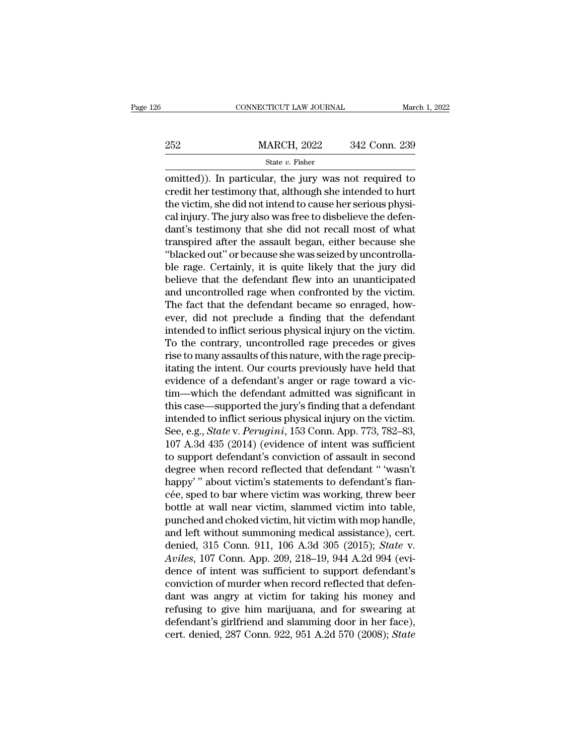|     | CONNECTICUT LAW JOURNAL | March 1, 2022 |
|-----|-------------------------|---------------|
|     |                         |               |
| 252 | <b>MARCH, 2022</b>      | 342 Conn. 239 |
|     | State $v$ . Fisher      |               |

CONNECTICUT LAW JOURNAL March 1, 2022<br>
252 MARCH, 2022 342 Conn. 239<br>
342 Conn. 239<br>
342 Conn. 239<br>
342 Conn. 239<br>
252 MARCH, 2022 342 Conn. 239<br>
342 Conn. 239<br>
342 Conn. 239<br>
252 March 2022 barral Connecticular<br>
342 Conn 252 MARCH, 2022 342 Conn. 239<br>
State v. Fisher<br>
omitted)). In particular, the jury was not required to<br>
credit her testimony that, although she intended to hurt<br>
the victim, she did not intend to cause her serious physi-<br>  $\begin{array}{r} \text{252} & \text{MARCH, 2022} & \text{342 Conn. 239} \\ \text{State } v. \text{ Fisher} \end{array}$  comitted)). In particular, the jury was not required to credit her testimony that, although she intended to hurt the victim, she did not intend to cause her se 252 MARCH, 2022 342 Conn. 239<br>  $\frac{\text{State } v. \text{ Fisher}}{\text{omitted}}}$ <br>
comitted)). In particular, the jury was not required to<br>
credit her testimony that, although she intended to hurt<br>
the victim, she did not intend to cause her serious  $\begin{array}{l} \text{State }v. \text{ Fisher} \\\hline \text{omitted)}. \text{ In particular, the jury was not required to credit her testimony that, although she intended to hurt the victim, she did not intend to cause her serious physical injury. The jury also was free to disbelieve the defendant's testimony that she did not recall most of what transpired after the assault began, either because she "blaled out" or because she was oriented by uncontrolled.} \end{array}$ state v. Fisher<br>
omitted)). In particular, the jury was not required to<br>
credit her testimony that, although she intended to hurt<br>
the victim, she did not intend to cause her serious physi-<br>
cal injury. The jury also was omitted)). In particular, the jury was not required to credit her testimony that, although she intended to hurt<br>the victim, she did not intend to cause her serious physical injury. The jury also was free to disbelieve the credit her testimony that, although she intended to hurt<br>the victim, she did not intend to cause her serious physi-<br>cal injury. The jury also was free to disbelieve the defen-<br>dant's testimony that she did not recall most the victim, she did not intend to cause her serious physical injury. The jury also was free to disbelieve the defendant's testimony that she did not recall most of what transpired after the assault began, either because sh cal injury. The jury also was free to disbelieve the defendant's testimony that she did not recall most of what<br>transpired after the assault began, either because she<br>"blacked out" or because she was seized by uncontrolladant's testimony that she did not recall most of what<br>transpired after the assault began, either because she<br>"blacked out" or because she was seized by uncontrolla-<br>ble rage. Certainly, it is quite likely that the jury did transpired after the assault began, either because she<br>"blacked out" or because she was seized by uncontrolla-<br>ble rage. Certainly, it is quite likely that the jury did<br>believe that the defendant flew into an unanticipated "blacked out" or because she was seized by uncontrolla-<br>ble rage. Certainly, it is quite likely that the jury did<br>believe that the defendant flew into an unanticipated<br>and uncontrolled rage when confronted by the victim.<br>T ble rage. Certainly, it is quite likely that the jury did<br>believe that the defendant flew into an unanticipated<br>and uncontrolled rage when confronted by the victim.<br>The fact that the defendant became so enraged, how-<br>ever, believe that the defendant flew into an unanticipated<br>and uncontrolled rage when confronted by the victim.<br>The fact that the defendant became so enraged, how-<br>ever, did not preclude a finding that the defendant<br>intended to and uncontrolled rage when confronted by the victim.<br>The fact that the defendant became so enraged, how-<br>ever, did not preclude a finding that the defendant<br>intended to inflict serious physical injury on the victim.<br>To the The fact that the defendant became so enraged, how-<br>ever, did not preclude a finding that the defendant<br>intended to inflict serious physical injury on the victim.<br>To the contrary, uncontrolled rage precedes or gives<br>rise t ever, did not preclude a finding that the defendant<br>intended to inflict serious physical injury on the victim.<br>To the contrary, uncontrolled rage precedes or gives<br>rise to many assaults of this nature, with the rage precip intended to inflict serious physical injury on the victim.<br>To the contrary, uncontrolled rage precedes or gives<br>rise to many assaults of this nature, with the rage precip-<br>itating the intent. Our courts previously have hel To the contrary, uncontrolled rage precedes or gives<br>rise to many assaults of this nature, with the rage precip-<br>itating the intent. Our courts previously have held that<br>evidence of a defendant's anger or rage toward a vi rise to many assaults of this nature, with the rage precipitating the intent. Our courts previously have held that evidence of a defendant's anger or rage toward a victim—which the defendant admitted was significant in thi itating the intent. Our courts previously have held that<br>evidence of a defendant's anger or rage toward a vic-<br>tim—which the defendant admitted was significant in<br>this case—supported the jury's finding that a defendant<br>int evidence of a defendant's anger or rage toward a vic-<br>tim—which the defendant admitted was significant in<br>this case—supported the jury's finding that a defendant<br>intended to inflict serious physical injury on the victim.<br>S tim—which the defendant admitted was significant in<br>this case—supported the jury's finding that a defendant<br>intended to inflict serious physical injury on the victim.<br>See, e.g., *State* v. *Perugini*, 153 Conn. App. 773, 7 this case—supported the jury's finding that a defendant<br>intended to inflict serious physical injury on the victim.<br>See, e.g., *State* v. *Perugini*, 153 Conn. App. 773, 782–83,<br>107 A.3d 435 (2014) (evidence of intent was intended to inflict serious physical injury on the victim.<br>See, e.g., *State* v. *Perugini*, 153 Conn. App. 773, 782–83,<br>107 A.3d 435 (2014) (evidence of intent was sufficient<br>to support defendant's conviction of assault i See, e.g., *State* v. *Perugini*, 153 Conn. App. 773, 782–83,<br>107 A.3d 435 (2014) (evidence of intent was sufficient<br>to support defendant's conviction of assault in second<br>degree when record reflected that defendant " 'was 107 A.3d 435 (2014) (evidence of intent was sufficient<br>to support defendant's conviction of assault in second<br>degree when record reflected that defendant " 'wasn't<br>happy' " about victim's statements to defendant's fian-<br>c to support defendant's conviction of assault in second<br>degree when record reflected that defendant " 'wasn't<br>happy' " about victim's statements to defendant's fian-<br>cée, sped to bar where victim was working, threw beer<br>bo degree when record reflected that defendant " 'wasn't<br>happy' " about victim's statements to defendant's fian-<br>cée, sped to bar where victim was working, threw beer<br>bottle at wall near victim, slammed victim into table,<br>pun happy'" about victim's statements to defendant's fiance-<br>cée, sped to bar where victim was working, threw beer<br>bottle at wall near victim, slammed victim into table,<br>punched and choked victim, hit victim with mop handle,<br>a cée, sped to bar where victim was working, threw beer<br>bottle at wall near victim, slammed victim into table,<br>punched and choked victim, hit victim with mop handle,<br>and left without summoning medical assistance), cert.<br>deni bottle at wall near victim, slammed victim into table,<br>punched and choked victim, hit victim with mop handle,<br>and left without summoning medical assistance), cert.<br>denied, 315 Conn. 911, 106 A.3d 305 (2015); *State* v.<br>Avi punched and choked victim, hit victim with mop handle,<br>and left without summoning medical assistance), cert.<br>denied, 315 Conn. 911, 106 A.3d 305 (2015); *State* v.<br>Aviles, 107 Conn. App. 209, 218–19, 944 A.2d 994 (evi-<br>den and left without summoning medical assistance), cert.<br>denied, 315 Conn. 911, 106 A.3d 305 (2015); *State v.*<br>Aviles, 107 Conn. App. 209, 218–19, 944 A.2d 994 (evi-<br>dence of intent was sufficient to support defendant's<br>con denied, 315 Conn. 911, 106 A.3d 305 (2015); *State v.*<br>Aviles, 107 Conn. App. 209, 218–19, 944 A.2d 994 (evi-<br>dence of intent was sufficient to support defendant's<br>conviction of murder when record reflected that defen-<br>dan Aviles, 107 Conn. App. 209, 218–19, 944 A.2d 994 (evidence of intent was sufficient to support defendant's conviction of murder when record reflected that defendant was angry at victim for taking his money and refusing to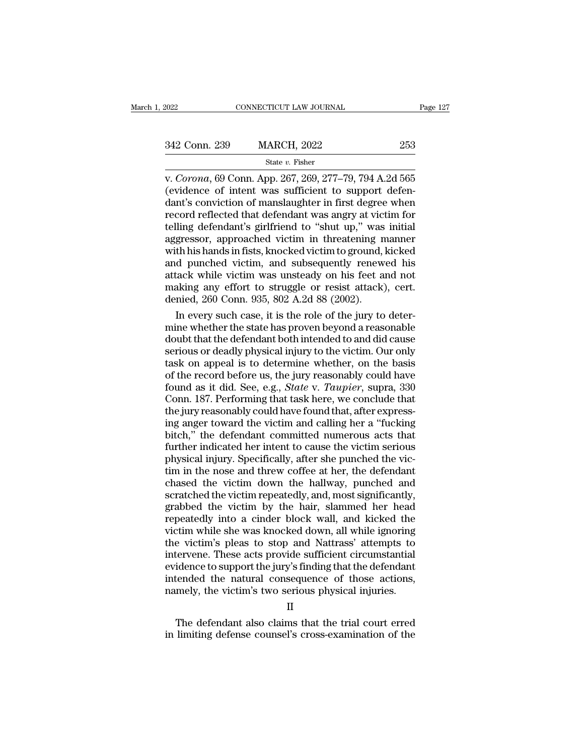| 2022          | CONNECTICUT LAW JOURNAL | Page 127 |
|---------------|-------------------------|----------|
| 342 Conn. 239 | <b>MARCH, 2022</b>      | 253      |
|               | State $v$ . Fisher      |          |

v. 2022<br>
CONNECTICUT LAW JOURNAL<br>
CONNECTICUT LAW JOURNAL<br>
CONNECTICUT LAW JOURNAL<br>
CONNECTICUT LAW JOURNAL<br>
CONNECTICUT 2622<br>
State v. Fisher<br>
V. *Corona*, 69 Conn. App. 267, 269, 277–79, 794 A.2d 565<br>
(evidence of intent (evidence of intent was sufficient to support defendant was sufficient to support defendant was sufficient to support defendant is conviction of manslaughter in first degree when record reflected that defendant was another 342 Conn. 239 MARCH, 2022 253<br>
State v. Fisher<br>
v. Corona, 69 Conn. App. 267, 269, 277–79, 794 A.2d 565<br>
(evidence of intent was sufficient to support defendant's conviction of manslaughter in first degree when<br>
record re 342 Conn. 239 MARCH, 2022 253<br>
State v. Fisher<br>
v. Corona, 69 Conn. App. 267, 269, 277–79, 794 A.2d 565<br>
(evidence of intent was sufficient to support defendant's conviction of manslaughter in first degree when<br>
record re SECTRIM SECTRIM SECTRIM SECTRIM SECTRIM SET STATES THE WALLOCAL CONDITATION CONTROLLY CONTROLLY CONTROLLY CONTROLLY CONTROLLY CONTROLLY CONTROLLY CONTROLLY CONTROLLY A CONTROLLY AND THE SUBJEMENTATION CONTROLLY WAS SET SU state v. Fisher<br>v. Corona, 69 Conn. App. 267, 269, 277–79, 794 A.2d 565<br>(evidence of intent was sufficient to support defen-<br>dant's conviction of manslaughter in first degree when<br>record reflected that defendant was angry v. *Corona*, 69 Conn. App. 267, 269, 277–79, 794 A.2d 565<br>(evidence of intent was sufficient to support defendant's conviction of manslaughter in first degree when<br>record reflected that defendant was angry at victim for<br>te (evidence of intent was sufficient to support defendant's conviction of manslaughter in first degree when<br>record reflected that defendant was angry at victim for<br>telling defendant's girlfriend to "shut up," was initial<br>agg dant's conviction of manslaughter in first degree when<br>record reflected that defendant was angry at victim for<br>telling defendant's girlfriend to "shut up," was initial<br>aggressor, approached victim in threatening manner<br>wit record reflected that defendant was angry at victim for<br>telling defendant's girlfriend to "shut up," was initial<br>aggressor, approached victim in threatening manner<br>with his hands in fists, knocked victim to ground, kicked<br> telling defendant's girlfriend to "shut up," was<br>aggressor, approached victim in threatening n<br>with his hands in fists, knocked victim to ground,<br>and punched victim, and subsequently renew<br>attack while victim was unsteady gressor, approached victim in threatening manner<br>th his hands in fists, knocked victim to ground, kicked<br>d punched victim, and subsequently renewed his<br>tack while victim was unsteady on his feet and not<br>aking any effort to with his hands in fists, knocked victim to ground, kicked<br>and punched victim, and subsequently renewed his<br>attack while victim was unsteady on his feet and not<br>making any effort to struggle or resist attack), cert.<br>denied,

and punched victim, and subsequently renewed his<br>attack while victim was unsteady on his feet and not<br>making any effort to struggle or resist attack), cert.<br>denied, 260 Conn. 935, 802 A.2d 88 (2002).<br>In every such case, it attack while victim was unsteady on his feet and not<br>making any effort to struggle or resist attack), cert.<br>denied, 260 Conn. 935, 802 A.2d 88 (2002).<br>In every such case, it is the role of the jury to deter-<br>mine whether t making any effort to struggle or resist attack), cert.<br>
denied, 260 Conn. 935, 802 A.2d 88 (2002).<br>
In every such case, it is the role of the jury to deter-<br>
mine whether the state has proven beyond a reasonable<br>
doubt th denied, 260 Conn. 935, 802 A.2d 88 (2002).<br>
In every such case, it is the role of the jury to deter-<br>
mine whether the state has proven beyond a reasonable<br>
doubt that the defendant both intended to and did cause<br>
serious In every such case, it is the role of the jury to deter-<br>mine whether the state has proven beyond a reasonable<br>doubt that the defendant both intended to and did cause<br>serious or deadly physical injury to the victim. Our on mine whether the state has proven beyond a reasonable<br>doubt that the defendant both intended to and did cause<br>serious or deadly physical injury to the victim. Our only<br>task on appeal is to determine whether, on the basis<br>o doubt that the defendant both intended to and did cause<br>serious or deadly physical injury to the victim. Our only<br>task on appeal is to determine whether, on the basis<br>of the record before us, the jury reasonably could have serious or deadly physical injury to the victim. Our only task on appeal is to determine whether, on the basis of the record before us, the jury reasonably could have found as it did. See, e.g., *State* v. *Taupier*, supra task on appeal is to determine whether, on the basis<br>of the record before us, the jury reasonably could have<br>found as it did. See, e.g., *State* v. *Taupier*, supra, 330<br>Conn. 187. Performing that task here, we conclude th of the record before us, the jury reasonably could have<br>found as it did. See, e.g., *State v. Taupier*, supra, 330<br>Conn. 187. Performing that task here, we conclude that<br>the jury reasonably could have found that, after exp found as it did. See, e.g., *State* v. *Taupier*, supra, 330<br>Conn. 187. Performing that task here, we conclude that<br>the jury reasonably could have found that, after express-<br>ing anger toward the victim and calling her a "f Conn. 187. Performing that task here, we conclude that<br>the jury reasonably could have found that, after express-<br>ing anger toward the victim and calling her a "fucking<br>bitch," the defendant committed numerous acts that<br>fur the jury reasonably could have found that, after expressing anger toward the victim and calling her a "fucking<br>bitch," the defendant committed numerous acts that<br>further indicated her intent to cause the victim serious<br>phy ing anger toward the victim and calling her a "fucking<br>bitch," the defendant committed numerous acts that<br>further indicated her intent to cause the victim serious<br>physical injury. Specifically, after she punched the vic-<br>t bitch," the defendant committed numerous acts that<br>further indicated her intent to cause the victim serious<br>physical injury. Specifically, after she punched the vic-<br>tim in the nose and threw coffee at her, the defendant<br>c further indicated her intent to cause the victim serious<br>physical injury. Specifically, after she punched the vic-<br>tim in the nose and threw coffee at her, the defendant<br>chased the victim down the hallway, punched and<br>scra physical injury. Specifically, after she punched the victim in the nose and threw coffee at her, the defendant chased the victim down the hallway, punched and scratched the victim repeatedly, and, most significantly, grabb tim in the nose and threw coffee at her, the defendant<br>chased the victim down the hallway, punched and<br>scratched the victim repeatedly, and, most significantly,<br>grabbed the victim by the hair, slammed her head<br>repeatedly i chased the victim down the hallway, punched and<br>scratched the victim repeatedly, and, most significantly,<br>grabbed the victim by the hair, slammed her head<br>repeatedly into a cinder block wall, and kicked the<br>victim while sh scratched the victim repeatedly, and, most significantly, grabbed the victim by the hair, slammed her head repeatedly into a cinder block wall, and kicked the victim while she was knocked down, all while ignoring the victi grabbed the victim by the hair, slammed her head<br>repeatedly into a cinder block wall, and kicked the<br>victim while she was knocked down, all while ignoring<br>the victim's pleas to stop and Nattrass' attempts to<br>intervene. The repeatedly into a cinder block wall, and kicked the victim while she was knocked down, all while ignoring the victim's pleas to stop and Nattrass' attempts to intervene. These acts provide sufficient circumstantial evidenc E victint's pleas to stop and ivatually attempts to<br>tervene. These acts provide sufficient circumstantial<br>idence to support the jury's finding that the defendant<br>tended the natural consequence of those actions,<br>mely, the v intervene. These acts provide sunficient chromistantial<br>evidence to support the jury's finding that the defendant<br>intended the natural consequence of those actions,<br>namely, the victim's two serious physical injuries.<br>II<br>Th

II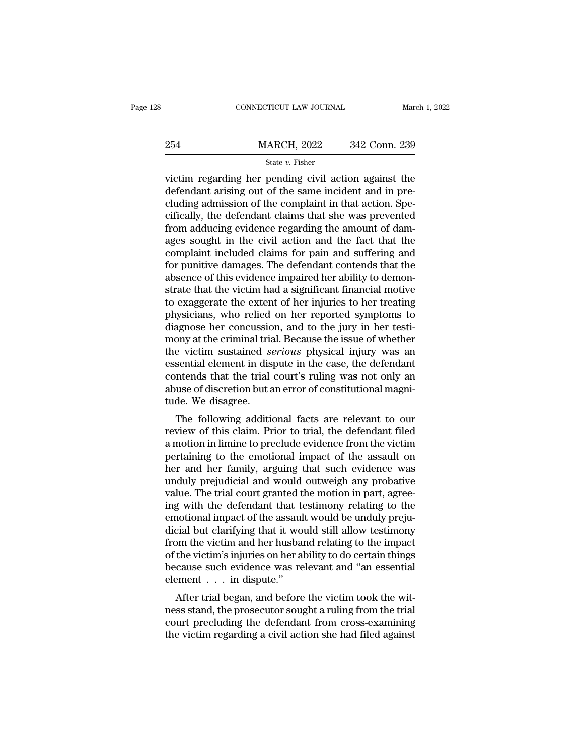|     | CONNECTICUT LAW JOURNAL                                                                                                                                                   | March 1, 2022 |
|-----|---------------------------------------------------------------------------------------------------------------------------------------------------------------------------|---------------|
|     |                                                                                                                                                                           |               |
| 254 | <b>MARCH, 2022</b>                                                                                                                                                        | 342 Conn. 239 |
|     | State $v$ . Fisher                                                                                                                                                        |               |
|     | victim regarding her pending civil action against the<br>defendant arising out of the same incident and in pre-<br>eluding admission of the complaint in that action. Spe |               |

254 MARCH, 2022 342 Conn. 239<br>
State v. Fisher<br>
victim regarding her pending civil action against the<br>
defendant arising out of the same incident and in pre-<br>
cifically, the defendant claims that she was provented 254 MARCH, 2022 342 Conn. 239<br>
State v. Fisher<br>
victim regarding her pending civil action against the<br>
defendant arising out of the same incident and in pre-<br>
cluding admission of the complaint in that action. Spe-<br>
cific 254 MARCH, 2022 342 Conn. 239<br>
State v. Fisher<br>
victim regarding her pending civil action against the<br>
defendant arising out of the same incident and in pre-<br>
cluding admission of the complaint in that action. Spe-<br>
cific  $\frac{1}{2}$  state *v*. Fisher<br>wictim regarding her pending civil action against the<br>defendant arising out of the same incident and in pre-<br>cluding admission of the complaint in that action. Spe-<br>cifically, the defendant cla state  $v$ . Fisher<br>victim regarding her pending civil action against the<br>defendant arising out of the same incident and in pre-<br>cluding admission of the complaint in that action. Spe-<br>cifically, the defendant claims that s victim regarding her pending civil action against the<br>defendant arising out of the same incident and in pre-<br>cluding admission of the complaint in that action. Spe-<br>cifically, the defendant claims that she was prevented<br>fr defendant arising out of the same incident and in pre-<br>cluding admission of the complaint in that action. Spe-<br>cifically, the defendant claims that she was prevented<br>from adducing evidence regarding the amount of dam-<br>ages cluding admission of the complaint in that action. Specifically, the defendant claims that she was prevented from adducing evidence regarding the amount of damages sought in the civil action and the fact that the complaint cifically, the defendant claims that she was prevented<br>from adducing evidence regarding the amount of dam-<br>ages sought in the civil action and the fact that the<br>complaint included claims for pain and suffering and<br>for puni from adducing evidence regarding the amount of dam-<br>ages sought in the civil action and the fact that the<br>complaint included claims for pain and suffering and<br>for punitive damages. The defendant contends that the<br>absence o ages sought in the civil action and the fact that the<br>complaint included claims for pain and suffering and<br>for punitive damages. The defendant contends that the<br>absence of this evidence impaired her ability to demon-<br>strat complaint included claims for pain and suffering and<br>for punitive damages. The defendant contends that the<br>absence of this evidence impaired her ability to demon-<br>strate that the victim had a significant financial motive<br>t for punitive damages. The defendant contends that the absence of this evidence impaired her ability to demonstrate that the victim had a significant financial motive to exaggerate the extent of her injuries to her treating absence of this evidence impaired her ability to demonstrate that the victim had a significant financial motive<br>to exaggerate the extent of her injuries to her treating<br>physicians, who relied on her reported symptoms to<br>di strate that the victim had a significant financial motive<br>to exaggerate the extent of her injuries to her treating<br>physicians, who relied on her reported symptoms to<br>diagnose her concussion, and to the jury in her testi-<br>m to exaggerate the extent of her injuries to her treating<br>physicians, who relied on her reported symptoms to<br>diagnose her concussion, and to the jury in her testi-<br>mony at the criminal trial. Because the issue of whether<br>th physicians, who relied on her reported symptoms to diagnose her concussion, and to the jury in her testimony at the criminal trial. Because the issue of whether the victim sustained *serious* physical injury was an essenti diagnose her concussio<br>mony at the criminal tria<br>the victim sustained *se*<br>essential element in dis<br>contends that the trial<br>abuse of discretion but a<br>tude. We disagree.<br>The following addition The following additional facts are relevant to our view of this claim.<br>The following additional facts are relevant only an use of discretion but an error of constitutional magni-<br>de. We disagree.<br>The following additional f review substantial element in dispute in the case, the defendant<br>contends that the trial court's ruling was not only an<br>abuse of discretion but an error of constitutional magni-<br>tude. We disagree.<br>The following additional

Essential efertient in dispute in the case, the defendant<br>contends that the trial court's ruling was not only an<br>abuse of discretion but an error of constitutional magni-<br>tude. We disagree.<br>The following additional facts a contends that the that court's rumig was not only an<br>abuse of discretion but an error of constitutional magni-<br>tude. We disagree.<br>The following additional facts are relevant to our<br>review of this claim. Prior to trial, the abuse of discretion but an error of constitutional magnitude. We disagree.<br>The following additional facts are relevant to our<br>review of this claim. Prior to trial, the defendant filed<br>a motion in limine to preclude evidenc The following additional facts are relevant to our<br>review of this claim. Prior to trial, the defendant filed<br>a motion in limine to preclude evidence from the victim<br>pertaining to the emotional impact of the assault on<br>her The following additional facts are relevant to our<br>review of this claim. Prior to trial, the defendant filed<br>a motion in limine to preclude evidence from the victim<br>pertaining to the emotional impact of the assault on<br>her review of this claim. Prior to trial, the defendant filed<br>a motion in limine to preclude evidence from the victim<br>pertaining to the emotional impact of the assault on<br>her and her family, arguing that such evidence was<br>undu a motion in limine to preclude evidence from the victim<br>pertaining to the emotional impact of the assault on<br>her and her family, arguing that such evidence was<br>unduly prejudicial and would outweigh any probative<br>value. The pertaining to the emotional impact of the assault on<br>her and her family, arguing that such evidence was<br>unduly prejudicial and would outweigh any probative<br>value. The trial court granted the motion in part, agree-<br>ing with her and her family, arguing that such evidence was<br>unduly prejudicial and would outweigh any probative<br>value. The trial court granted the motion in part, agree-<br>ing with the defendant that testimony relating to the<br>emotion unduly prejudicial and would outweigh any probative<br>value. The trial court granted the motion in part, agree-<br>ing with the defendant that testimony relating to the<br>emotional impact of the assault would be unduly preju-<br>dic value. The trial court granted the motion in part, agreeing with the defendant that testimony relating to the emotional impact of the assault would be unduly prejudicial but clarifying that it would still allow testimony f ing with the defendant that te<br>emotional impact of the assaul<br>dicial but clarifying that it wo<br>from the victim and her husbai<br>of the victim's injuries on her al<br>because such evidence was re<br>element . . . in dispute."<br>After Followial impact of the assault would be unduly preju-<br>cial but clarifying that it would still allow testimony<br>bom the victim and her husband relating to the impact<br>the victim's injuries on her ability to do certain thing ness stand, the prosecutor sought a ruling from the victim and her husband relating to the impact<br>of the victim's injuries on her ability to do certain things<br>because such evidence was relevant and "an essential<br>element .

From the victim and her husband relating to the infpact of the victim's injuries on her ability to do certain things because such evidence was relevant and "an essential element  $\dots$  in dispute."<br>After trial began, and be of the victim s figures of her ability to do certain times<br>because such evidence was relevant and "an essential<br>element . . . in dispute."<br>After trial began, and before the victim took the wit-<br>ness stand, the prosecutor s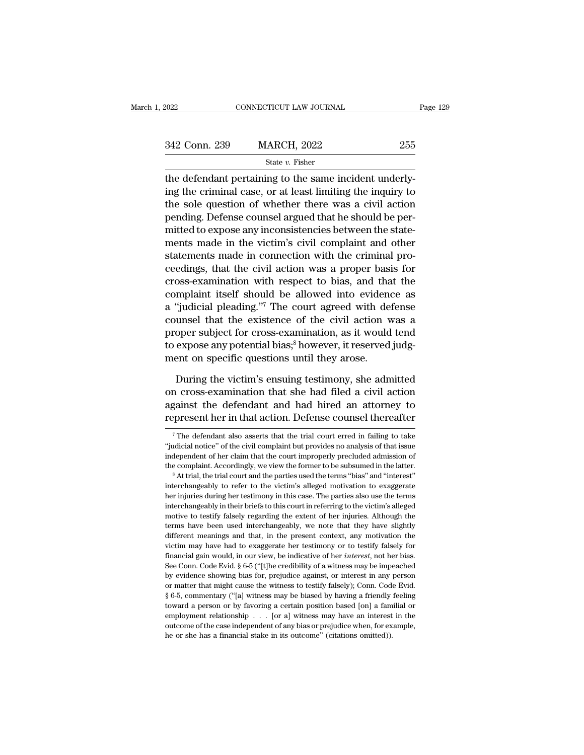| Page 129 |
|----------|
|          |
|          |
|          |
|          |
|          |

342 Conn. 239 MARCH, 2022 255<br>
State  $v$ . Fisher<br>
the defendant pertaining to the same incident underly-<br>
ing the criminal case, or at least limiting the inquiry to<br>
the sole question of whether there was a civil action<br> 342 Conn. 239 MARCH, 2022 255<br>
State v. Fisher<br>
the defendant pertaining to the same incident underly-<br>
ing the criminal case, or at least limiting the inquiry to<br>
the sole question of whether there was a civil action<br>
pe  $\frac{342 \text{ Conn. } 239}{\text{State } v. } \frac{\text{State } v. } \text{Fisher}}$ <br>the defendant pertaining to the same incident underly-<br>ing the criminal case, or at least limiting the inquiry to<br>the sole question of whether there was a civil action<br>pending. State v. Fisher<br>the defendant pertaining to the same incident underly-<br>ing the criminal case, or at least limiting the inquiry to<br>the sole question of whether there was a civil action<br>pending. Defense counsel argued that  $\frac{1}{2}$  and  $\frac{1}{2}$  and  $\frac{1}{2}$  and  $\frac{1}{2}$  and  $\frac{1}{2}$  and  $\frac{1}{2}$  and  $\frac{1}{2}$  and  $\frac{1}{2}$  and  $\frac{1}{2}$  and  $\frac{1}{2}$  and  $\frac{1}{2}$  and  $\frac{1}{2}$  and  $\frac{1}{2}$  and  $\frac{1}{2}$  and  $\frac{1}{2}$  and  $\frac{1}{2}$  a the defendant pertaining to the same incident underly-<br>ing the criminal case, or at least limiting the inquiry to<br>the sole question of whether there was a civil action<br>pending. Defense counsel argued that he should be pering the criminal case, or at least limiting the inquiry to<br>the sole question of whether there was a civil action<br>pending. Defense counsel argued that he should be per-<br>mitted to expose any inconsistencies between the state the sole question of whether there was a civil action<br>pending. Defense counsel argued that he should be per-<br>mitted to expose any inconsistencies between the state-<br>ments made in the victim's civil complaint and other<br>stat pending. Defense counsel argued that he should be permitted to expose any inconsistencies between the statements made in the victim's civil complaint and other statements made in connection with the criminal proceedings, t mitted to expose any inconsistencies between the statements made in the victim's civil complaint and other statements made in connection with the criminal proceedings, that the civil action was a proper basis for cross-exa ments made in the victim's civil complaint and other<br>statements made in connection with the criminal pro-<br>ceedings, that the civil action was a proper basis for<br>cross-examination with respect to bias, and that the<br>complain statements made in connection with the criminal pro-<br>ceedings, that the civil action was a proper basis for<br>cross-examination with respect to bias, and that the<br>complaint itself should be allowed into evidence as<br>a "judici ceedings, that the civil action was a proper basis for<br>cross-examination with respect to bias, and that the<br>complaint itself should be allowed into evidence as<br>a "judicial pleading."<sup>7</sup> The court agreed with defense<br>counse cross-examination with respect to bias, and tha<br>complaint itself should be allowed into eviden-<br>a "judicial pleading."<sup>7</sup> The court agreed with de<br>counsel that the existence of the civil action v<br>proper subject for cross-e "judicial pleading."<sup>7</sup> The court agreed with defense<br>unsel that the existence of the civil action was a<br>oper subject for cross-examination, as it would tend<br>expose any potential bias;<sup>8</sup> however, it reserved judg-<br>ent on counsel that the existence of the civil action was a<br>proper subject for cross-examination, as it would tend<br>to expose any potential bias;<sup>8</sup> however, it reserved judg-<br>ment on specific questions until they arose.<br>During th

proper subject for cross-examination, as it would tend<br>to expose any potential bias;<sup>8</sup> however, it reserved judg-<br>ment on specific questions until they arose.<br>During the victim's ensuing testimony, she admitted<br>on cross-e to expose any potential bias;<sup>8</sup> however, it reserved judgment on specific questions until they arose.<br>During the victim's ensuing testimony, she admitted on cross-examination that she had filed a civil action against the During the victim's ensuing testimony, she admitted<br>in cross-examination that she had filed a civil action<br>gainst the defendant and had hired an attorney to<br>present her in that action. Defense counsel thereafter<br><sup>7</sup>The def on cross-examination that she had filed a civil action<br>against the defendant and had hired an attorney to<br>represent her in that action. Defense counsel thereafter<br><sup>7</sup>The defendant also asserts that the trial court erred in

against the defendant and had hired an attorney to<br>represent her in that action. Defense counsel thereafter<br> $\frac{1}{\pi}$  The defendant also asserts that the trial court erred in failing to take<br>"judicial notice" of the civi the complaint accordingly, we view the former to be subsumed in the latter "interest indical notice" of the civil complaint but provides no analysis of that issue independent of her claim that the court improperly preclude The defendant also asserts that the trial court erred in failing to take "judicial notice" of the civil complaint but provides no analysis of that issue independent of her claim that the court improperly precluded admissi

<sup>&</sup>quot;judicial notice" of the civil complaint but provides no analysis of that issue independent of her claim that the court improperly precluded admission of the complaint. Accordingly, we view the former to be subsumed in the independent of her claim that the court improperly precluded admission of the complaint. Accordingly, we view the former to be subsumed in the latter.<br>
<sup>8</sup> At trial, the trial court and the parties used the terms "bias" an metally, we view the former to be subsumed in the latter.<br>
<sup>8</sup> At trial, the trial court and the parties used the terms "bias" and "interest"<br>
interchangeably to refer to the victim's alleged motivation to exaggerate<br>
her <sup>th</sup> At trial, the trial court and the parties used the terms "bias" and "interest" interchangeably to refer to the victim's alleged motivation to exaggerate her injuries during her testimony in this case. The parties also interchangeably to refer to the victim's alleged motivation to exaggerate her injuries during her testimony in this case. The parties also use the terms interchangeably in their briefs to this court in referring to the vic Their individually the rest moving in this case. The parties also use the terms interchangeably in their briefs to this court in referring to the victim's alleged motive to testify falsely regarding the extent of her inju interchangeably in their briefs to this court in referring to the victim's alleged motive to testify falsely regarding the extent of her injuries. Although the terms have been used interchangeably, we note that they have s motive to testify falsely regarding the extent of her injuries. Although the terms have been used interchangeably, we note that they have slightly different meanings and that, in the present context, any motivation the vi terms have been used interchangeably, we note that they have slightly different meanings and that, in the present context, any motivation the victim may have had to exaggerate her testimony or to testify falsely for financ different meanings and that, in the present context, any motivation the victim may have had to exaggerate her testimony or to testify falsely for financial gain would, in our view, be indicative of her *interest*, not her wictim may have had to exaggerate her testimony or to testify falsely for financial gain would, in our view, be indicative of her *interest*, not her bias. See Conn. Code Evid. § 6-5 ("[t]he credibility of a witness may b Transmission would, in our view, be indicative of her *interest*, not her bias.<br>See Conn. Code Evid. § 6-5 ("[t]he credibility of a witness may be impeached<br>by evidence showing bias for, prejudice against, or interest in Example 2012. The complete of the credibility of a witness may be impeached by evidence showing bias for, prejudice against, or interest in any person or matter that might cause the witness to testify falsely); Conn. Code by evidence showing bias for, prejudice against, or interest in any person or matter that might cause the witness to testify falsely); Conn. Code Evid.  $\S$  6-5, commentary ("[a] witness may be biased by having a friendly or matter that might cause the witness to testify falsely); Conn. Code Evid.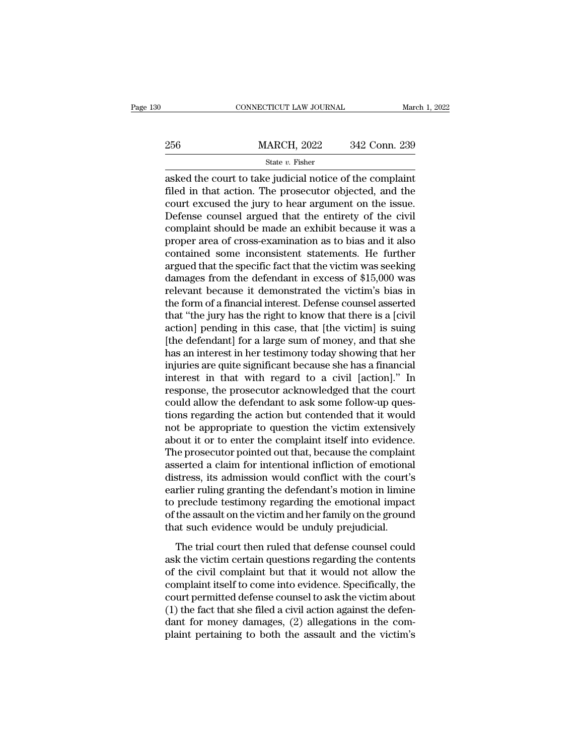|                                                                                                                                                                            | CONNECTICUT LAW JOURNAL                  |               | March 1, 2022 |
|----------------------------------------------------------------------------------------------------------------------------------------------------------------------------|------------------------------------------|---------------|---------------|
|                                                                                                                                                                            |                                          | 342 Conn. 239 |               |
|                                                                                                                                                                            | <b>MARCH, 2022</b><br>State $v$ . Fisher |               |               |
| asked the court to take judicial notice of the complaint<br>filed in that action. The prosecutor objected, and the<br>court oversed the jury to hear argument on the issue |                                          |               |               |

256 MARCH, 2022 342 Conn. 239<br>  $\frac{\text{State } v. \text{ Fisher}}{\text{asked the court to take judicial notice of the complaint}}$ <br>
filed in that action. The prosecutor objected, and the court excused the jury to hear argument on the issue. 256 MARCH, 2022 342 Conn. 239<br>
State v. Fisher<br>
asked the court to take judicial notice of the complaint<br>
filed in that action. The prosecutor objected, and the<br>
court excused the jury to hear argument on the issue.<br>
Defe 256 MARCH, 2022 342 Conn. 239<br>  $\frac{\text{State } v. \text{ Fisher}}{\text{asked the court to take judicial notice of the complaint}}$ <br>
asked the court to take judicial notice of the complaint<br>
filed in that action. The prosecutor objected, and the<br>
court excused the jury to hear argument on State v. Fisher<br>shows the court to take judicial notice of the complaint<br>filed in that action. The prosecutor objected, and the<br>court excused the jury to hear argument on the issue.<br>Defense counsel argued that the entiret state v. Fisher<br>asked the court to take judicial notice of the complaint<br>filed in that action. The prosecutor objected, and the<br>court excused the jury to hear argument on the issue.<br>Defense counsel argued that the entiret asked the court to take judicial notice of the complaint<br>filed in that action. The prosecutor objected, and the<br>court excused the jury to hear argument on the issue.<br>Defense counsel argued that the entirety of the civil<br>co filed in that action. The prosecutor objected, and the court excused the jury to hear argument on the issue.<br>Defense counsel argued that the entirety of the civil complaint should be made an exhibit because it was a proper court excused the jury to hear argument on the issue.<br>Defense counsel argued that the entirety of the civil<br>complaint should be made an exhibit because it was a<br>proper area of cross-examination as to bias and it also<br>conta Defense counsel argued that the entirety of the civil<br>complaint should be made an exhibit because it was a<br>proper area of cross-examination as to bias and it also<br>contained some inconsistent statements. He further<br>argued t complaint should be made an exhibit because it was a<br>proper area of cross-examination as to bias and it also<br>contained some inconsistent statements. He further<br>argued that the specific fact that the victim was seeking<br>dama proper area of cross-examination as to bias and it also<br>contained some inconsistent statements. He further<br>argued that the specific fact that the victim was seeking<br>damages from the defendant in excess of \$15,000 was<br>relev contained some inconsistent statements. He further<br>argued that the specific fact that the victim was seeking<br>damages from the defendant in excess of \$15,000 was<br>relevant because it demonstrated the victim's bias in<br>the for argued that the specific fact that the victim was seeking<br>damages from the defendant in excess of \$15,000 was<br>relevant because it demonstrated the victim's bias in<br>the form of a financial interest. Defense counsel asserted damages from the defendant in excess of \$15,000 was<br>relevant because it demonstrated the victim's bias in<br>the form of a financial interest. Defense counsel asserted<br>that "the jury has the right to know that there is a [civ relevant because it demonstrated the victim's bias in<br>the form of a financial interest. Defense counsel asserted<br>that "the jury has the right to know that there is a [civil<br>action] pending in this case, that [the victim] i the form of a financial interest. Defense counsel asserted<br>that "the jury has the right to know that there is a [civil<br>action] pending in this case, that [the victim] is suing<br>[the defendant] for a large sum of money, and that "the jury has the right to know that there is a [civil action] pending in this case, that [the victim] is suing [the defendant] for a large sum of money, and that she has an interest in her testimony today showing tha action] pending in this case, that [the victim] is suing<br>[the defendant] for a large sum of money, and that she<br>has an interest in her testimony today showing that her<br>injuries are quite significant because she has a finan [the defendant] for a large sum of money, and that she<br>has an interest in her testimony today showing that her<br>injuries are quite significant because she has a financial<br>interest in that with regard to a civil [action]." I has an interest in her testimony today showing that her<br>injuries are quite significant because she has a financial<br>interest in that with regard to a civil [action]." In<br>response, the prosecutor acknowledged that the court<br> injuries are quite significant because she has a financial<br>interest in that with regard to a civil [action]." In<br>response, the prosecutor acknowledged that the court<br>could allow the defendant to ask some follow-up ques-<br>ti interest in that with regard to a civil [action]." In response, the prosecutor acknowledged that the court could allow the defendant to ask some follow-up questions regarding the action but contended that it would not be a response, the prosecutor acknowledged that the court<br>could allow the defendant to ask some follow-up ques-<br>tions regarding the action but contended that it would<br>not be appropriate to question the victim extensively<br>about could allow the defendant to ask some follow-up questions regarding the action but contended that it would<br>not be appropriate to question the victim extensively<br>about it or to enter the complaint itself into evidence.<br>The tions regarding the action but contended that it would<br>not be appropriate to question the victim extensively<br>about it or to enter the complaint itself into evidence.<br>The prosecutor pointed out that, because the complaint<br>a not be appropriate to question the victim extensively<br>about it or to enter the complaint itself into evidence.<br>The prosecutor pointed out that, because the complaint<br>asserted a claim for intentional infliction of emotional about it or to enter the complaint itself into evidence.<br>The prosecutor pointed out that, because the complaint<br>asserted a claim for intentional infliction of emotional<br>distress, its admission would conflict with the court The prosecutor pointed out that, because the complaint<br>asserted a claim for intentional infliction of emotional<br>distress, its admission would conflict with the court's<br>earlier ruling granting the defendant's motion in limi stress, its admission would conflict with the court's<br>rlier ruling granting the defendant's motion in limine<br>preclude testimony regarding the emotional impact<br>the assault on the victim and her family on the ground<br>at such ask the victim certain questions in limination in the victim certain defendant's motion in limine<br>to preclude testimony regarding the emotional impact<br>of the assault on the victim and her family on the ground<br>that such evi

Frame Training graining are accordance incorect in matter to preclude testimony regarding the emotional impact of the assault on the victim and her family on the ground that such evidence would be unduly prejudicial.<br>The t complete the assault on the victim and her family on the ground<br>that such evidence would be unduly prejudicial.<br>The trial court then ruled that defense counsel could<br>ask the victim certain questions regarding the contents<br> that such evidence would be unduly prejudicial.<br>The trial court then ruled that defense counsel could<br>ask the victim certain questions regarding the contents<br>of the civil complaint but that it would not allow the<br>complain The trial court then ruled that defense counsel could<br>ask the victim certain questions regarding the contents<br>of the civil complaint but that it would not allow the<br>complaint itself to come into evidence. Specifically, the The trial court then ruled that defense counsel could<br>ask the victim certain questions regarding the contents<br>of the civil complaint but that it would not allow the<br>complaint itself to come into evidence. Specifically, the ask the victim certain questions regarding the contents<br>of the civil complaint but that it would not allow the<br>complaint itself to come into evidence. Specifically, the<br>court permitted defense counsel to ask the victim abo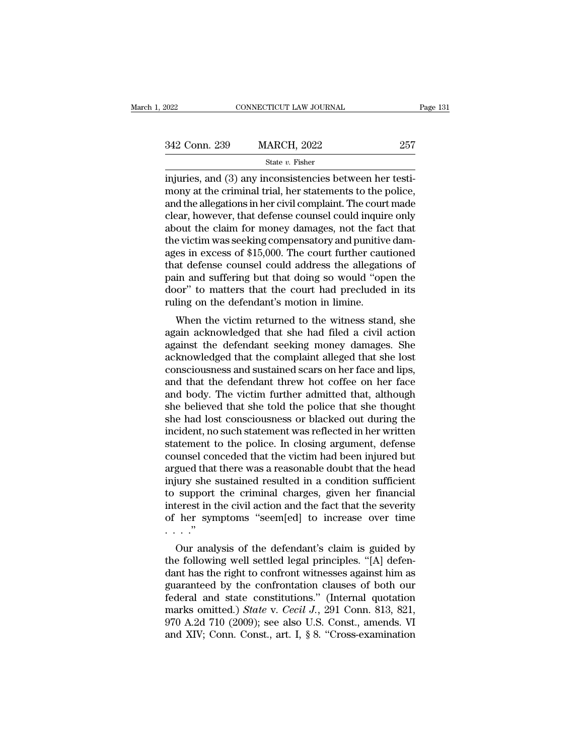| 2022          | CONNECTICUT LAW JOURNAL                                                                                                                                                             | Page 131 |
|---------------|-------------------------------------------------------------------------------------------------------------------------------------------------------------------------------------|----------|
|               |                                                                                                                                                                                     |          |
| 342 Conn. 239 | <b>MARCH, 2022</b>                                                                                                                                                                  | 257      |
|               | State $v$ . Fisher                                                                                                                                                                  |          |
|               | injuries, and (3) any inconsistencies between her testi-<br>mony at the criminal trial, her statements to the police,<br>and the allocations in her givil complaint. The court made |          |

 $\frac{342 \text{ Conn. } 239}{\text{State } v. } \frac{\text{Kat} \times 2022}{\text{State } v. } \frac{257}{\text{Kat} \times 2022}$  and  $\frac{30 \text{ any inconsistencies between her testi-}}{\text{moving at the criminal trial, her statements to the police, and the allegations in her civil complaint. The court made closer however, that defines quasely equal in quir. } \frac{1}{\text{Sat} \times 20000}$ 342 Conn. 239 MARCH, 2022 257<br>
State v. Fisher<br>
injuries, and (3) any inconsistencies between her testi-<br>
mony at the criminal trial, her statements to the police,<br>
and the allegations in her civil complaint. The court ma 342 Conn. 239 MARCH, 2022 257<br>
state  $v$ . Fisher<br>
injuries, and (3) any inconsistencies between her testi-<br>
mony at the criminal trial, her statements to the police,<br>
and the allegations in her civil complaint. The court State v. Fisher<br>
injuries, and (3) any inconsistencies between her testi-<br>
mony at the criminal trial, her statements to the police,<br>
and the allegations in her civil complaint. The court made<br>
clear, however, that defens  $\begin{array}{l} \text{state }v\text{.~risher} \\ \text{injuries, and (3) any inconsistencies between her testi-} \\ \text{many at the criminal trial, her statements to the police, \\ \text{and the allegations in her civil complaint. The court made clear, however, that defense counts cloud inquire only  
about the claim for money damages, not the fact that the victim was seeking compensatory and punitive damages in excess of $15,000. The court further cautioned that defines caused could address the allocations of the data. \end{array}$ injuries, and (3) any inconsistencies between her testi-<br>mony at the criminal trial, her statements to the police,<br>and the allegations in her civil complaint. The court made<br>clear, however, that defense counsel could inqui mony at the criminal trial, her statements to the police,<br>and the allegations in her civil complaint. The court made<br>clear, however, that defense counsel could inquire only<br>about the claim for money damages, not the fact t and the allegations in her civil complaint. The court made<br>clear, however, that defense counsel could inquire only<br>about the claim for money damages, not the fact that<br>the victim was seeking compensatory and punitive dam-<br> clear, however, that defense counsel could inquire only<br>about the claim for money damages, not the fact that<br>the victim was seeking compensatory and punitive dam-<br>ages in excess of \$15,000. The court further cautioned<br>that about the claim for money damages, not the factor the victim was seeking compensatory and punitive ages in excess of \$15,000. The court further cause that defense counsel could address the allegation in and suffering but t e victim was seeking compensatory and puntuve dan-<br>es in excess of \$15,000. The court further cautioned<br>at defense counsel could address the allegations of<br>in and suffering but that doing so would "open the<br>or" to matters ages in excess or \$15,000. The court rurther cautioned<br>that defense counsel could address the allegations of<br>pain and suffering but that doing so would "open the<br>door" to matters that the court had precluded in its<br>ruling

man and suffering but that doing so would "open the<br>door" to matters that the court had precluded in its<br>ruling on the defendant's motion in limine.<br>When the victim returned to the witness stand, she<br>again acknowledged tha pair and suffering but that doing so would "open the<br>door" to matters that the court had precluded in its<br>ruling on the defendant's motion in limine.<br>When the victim returned to the witness stand, she<br>again acknowledged th about the defendant's motion in limine.<br>The set of the witness stand, she again acknowledged that she had filed a civil action<br>against the defendant seeking money damages. She<br>acknowledged that the complaint alleged that s Fulling on the defendant s hiotion in influite.<br>
When the victim returned to the witness stand, she<br>
again acknowledged that she had filed a civil action<br>
against the defendant seeking money damages. She<br>
acknowledged that When the victim returned to the witness stand, she<br>again acknowledged that she had filed a civil action<br>against the defendant seeking money damages. She<br>acknowledged that the complaint alleged that she lost<br>consciousness a again acknowledged that she had filed a civil action<br>against the defendant seeking money damages. She<br>acknowledged that the complaint alleged that she lost<br>consciousness and sustained scars on her face and lips,<br>and that t against the defendant seeking money damages. She<br>acknowledged that the complaint alleged that she lost<br>consciousness and sustained scars on her face and lips,<br>and that the defendant threw hot coffee on her face<br>and body. T acknowledged that the complaint alleged that she lost<br>consciousness and sustained scars on her face and lips,<br>and that the defendant threw hot coffee on her face<br>and body. The victim further admitted that, although<br>she bel consciousness and sustained scars on her face and lips,<br>and that the defendant threw hot coffee on her face<br>and body. The victim further admitted that, although<br>she believed that she told the police that she thought<br>she ha and that the defendant threw hot coffee on her face<br>and body. The victim further admitted that, although<br>she believed that she told the police that she thought<br>she had lost consciousness or blacked out during the<br>incident, and body. The victim further admitted that, although<br>she believed that she told the police that she thought<br>she had lost consciousness or blacked out during the<br>incident, no such statement was reflected in her written<br>stat she believed that she told the police that she thought<br>she had lost consciousness or blacked out during the<br>incident, no such statement was reflected in her written<br>statement to the police. In closing argument, defense<br>cou she had lost consciousness or blacked out during the<br>incident, no such statement was reflected in her written<br>statement to the police. In closing argument, defense<br>counsel conceded that the victim had been injured but<br>argu incident, no such statement was reflected in her written<br>statement to the police. In closing argument, defense<br>counsel conceded that the victim had been injured but<br>argued that there was a reasonable doubt that the head<br>in statement to the police. In closing argument, defense<br>counsel conceded that the victim had been injured but<br>argued that there was a reasonable doubt that the head<br>injury she sustained resulted in a condition sufficient<br>to counsel con<br>argued that<br>injury she s<br>to support<br>interest in t<br>of her syn<br>Our anal gued that there was a reasonable doubt that the head<br>iury she sustained resulted in a condition sufficient<br>support the criminal charges, given her financial<br>terest in the civil action and the fact that the severity<br>her sym the sustained resulted in a condition sufficient<br>to support the criminal charges, given her financial<br>interest in the civil action and the fact that the severity<br>of her symptoms "seem[ed] to increase over time<br>..."<br>Our ana

to support the criminal charges, given her inflancial<br>interest in the civil action and the fact that the severity<br>of her symptoms "seem[ed] to increase over time<br> $\cdots$ "<br>Our analysis of the defendant's claim is guided by<br>t Therest in the civil action and the fact that the severtly<br>of her symptoms "seem[ed] to increase over time<br>..."<br>Our analysis of the defendant's claim is guided by<br>the following well settled legal principles. "[A] defen-<br>d or her symptoms seemped to increase over time<br>  $\cdots$ ."<br>
Our analysis of the defendant's claim is guided by<br>
the following well settled legal principles. "[A] defen-<br>
dant has the right to confront witnesses against him as Our analysis of the defendant's claim is guided by<br>the following well settled legal principles. "[A] defen-<br>dant has the right to confront witnesses against him as<br>guaranteed by the confrontation clauses of both our<br>federa Our analysis of the defendant's claim is guided by<br>the following well settled legal principles. "[A] defen-<br>dant has the right to confront witnesses against him as<br>guaranteed by the confrontation clauses of both our<br>feder the following well settled legal principles. "[A] defendant has the right to confront witnesses against him as guaranteed by the confrontation clauses of both our federal and state constitutions." (Internal quotation mark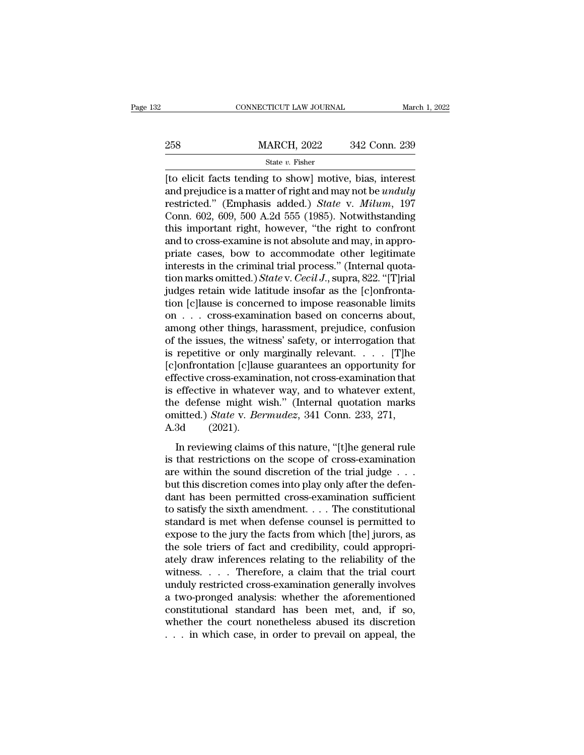## EXECUTE CONNECTICUT LAW JOURNAL March 1, 2022<br>258 MARCH, 2022 342 Conn. 239<br>258 State v. Fisher State *v.* Fisher

CONNECTICUT LAW JOURNAL March 1, 202<br>
258 MARCH, 2022 342 Conn. 239<br>
342 Conn. 239<br>
342 Conn. 239<br>
342 Conn. 239<br>
342 Conn. 239<br>
342 Conn. 239<br>
342 Conn. 239<br>
342 Conn. 239<br>
342 Conn. 239<br>
342 Conn. 239<br>
342 Conn. 239<br>
342 258 MARCH, 2022 342 Conn. 239<br>
<sup>State v</sup>. Fisher<br>
[to elicit facts tending to show] motive, bias, interest<br>
and prejudice is a matter of right and may not be *unduly*<br>
restricted." (Emphasis added.) *State v. Milum*, 197<br> The State v. Fisher<br>
State v. Fisher<br>
The elicit facts tending to show] motive, bias, interest<br>
and prejudice is a matter of right and may not be *unduly*<br>
restricted." (Emphasis added.) *State* v. *Milum*, 197<br>
Conn. 602, 258 MARCH, 2022 342 Conn. 239<br>
State v. Fisher<br>
[to elicit facts tending to show] motive, bias, interest<br>
and prejudice is a matter of right and may not be *unduly*<br>
restricted." (Emphasis added.) *State v. Milum*, 197<br>
C State v. Fisher<br>
[to elicit facts tending to show] motive, bias, interest<br>
and prejudice is a matter of right and may not be *unduly*<br>
restricted." (Emphasis added.) *State v. Milum*, 197<br>
Conn. 602, 609, 500 A.2d 555 (19 state v. Fisher<br>
[to elicit facts tending to show] motive, bias, interest<br>
and prejudice is a matter of right and may not be *unduly*<br>
restricted." (Emphasis added.) *State* v. *Milum*, 197<br>
Conn. 602, 609, 500 A.2d 555 ( [to elicit facts tending to show] motive, bias, interest<br>and prejudice is a matter of right and may not be *unduly*<br>restricted." (Emphasis added.) *State* v. *Milum*, 197<br>Conn. 602, 609, 500 A.2d 555 (1985). Notwithstandi and prejudice is a matter of right and may not be *unduly*<br>restricted." (Emphasis added.) *State* v. *Milum*, 197<br>Conn. 602, 609, 500 A.2d 555 (1985). Notwithstanding<br>this important right, however, "the right to confront<br>a restricted." (Emphasis added.) *State* v. *Milum*, 197<br>Conn. 602, 609, 500 A.2d 555 (1985). Notwithstanding<br>this important right, however, "the right to confront<br>and to cross-examine is not absolute and may, in appro-<br>pria Conn. 602, 609, 500 A.2d 555 (1985). Notwithstanding<br>this important right, however, "the right to confront<br>and to cross-examine is not absolute and may, in appro-<br>priate cases, bow to accommodate other legitimate<br>interest this important right, however, "the right to confront<br>and to cross-examine is not absolute and may, in appro-<br>priate cases, bow to accommodate other legitimate<br>interests in the criminal trial process." (Internal quota-<br>ti and to cross-examine is not absolute and may, in appropriate cases, bow to accommodate other legitimate interests in the criminal trial process." (Internal quotation marks omitted.) *State* v. *Cecil J*., supra, 822. "[T] priate cases, bow to accommodate other legitimate<br>interests in the criminal trial process." (Internal quota-<br>tion marks omitted.) *State* v. *Cecil J*., supra, 822. "[T]rial<br>judges retain wide latitude insofar as the [c]o interests in the criminal trial process." (Internal quotation marks omitted.) *State* v. *Cecil J.*, supra, 822. "[T]rial judges retain wide latitude insofar as the [c]onfrontation [c]lause is concerned to impose reasonab tion marks omitted.) *State* v. *Cecil J.*, supra, 822. "[T]rial<br>judges retain wide latitude insofar as the [c]onfronta-<br>tion [c]lause is concerned to impose reasonable limits<br>on . . . cross-examination based on concerns judges retain wide latitude insofar as the [c]onfrontation [c]lause is concerned to impose reasonable limits<br>on  $\dots$  cross-examination based on concerns about,<br>among other things, harassment, prejudice, confusion<br>of the i tion [c]lause is concerned to impose reasonable limits<br>on  $\dots$  cross-examination based on concerns about,<br>among other things, harassment, prejudice, confusion<br>of the issues, the witness' safety, or interrogation that<br>is r on . . . cross-examination based on concerns about,<br>among other things, harassment, prejudice, confusion<br>of the issues, the witness' safety, or interrogation that<br>is repetitive or only marginally relevant. . . . . [T]he<br>[ among other things, harassment, prejudice, confusion<br>of the issues, the witness' safety, or interrogation that<br>is repetitive or only marginally relevant. . . . . [T]he<br>[c]onfrontation [c]lause guarantees an opportunity fo of the issues, the witness' safety, or interrogation that<br>is repetitive or only marginally relevant. . . . . [T]he<br>[c]onfrontation [c]lause guarantees an opportunity for<br>effective cross-examination, not cross-examination t is repetitive or only<br>[c]onfrontation [c]lau<br>effective cross-examin<br>is effective in whatev<br>the defense might w<br>omitted.) *State* v. *Be*:<br>A.3d (2021).<br>In reviewing claims Information [efficials] guarantees an opportunity for<br>
Ifective cross-examination, not cross-examination that<br>
effective in whatever way, and to whatever extent,<br>
e defense might wish." (Internal quotation marks<br>
mitted.) is effective in whatever way, and to whatever extent,<br>the defense might wish." (Internal quotation marks<br>omitted.) *State* v. *Bermudez*, 341 Conn. 233, 271,<br>A.3d (2021).<br>In reviewing claims of this nature, "[t]he general

are discretive in whatever way, and is whatever extent,<br>the defense might wish." (Internal quotation marks<br>omitted.) *State v. Bermudez*, 341 Conn. 233, 271,<br>A.3d (2021).<br>In reviewing claims of this nature, "[t]he general omitted.) *State* v. *Bermudez*, 341 Conn. 233, 271,<br>A.3d (2021).<br>In reviewing claims of this nature, "[t]he general rule<br>is that restrictions on the scope of cross-examination<br>are within the sound discretion of the trial A.3d (2021).<br>
In reviewing claims of this nature, "[t]he general rule<br>
is that restrictions on the scope of cross-examination<br>
are within the sound discretion of the trial judge . . .<br>
but this discretion comes into play In reviewing claims of this nature, "[t]he general rule<br>is that restrictions on the scope of cross-examination<br>are within the sound discretion of the trial judge  $\dots$ <br>but this discretion comes into play only after the def In reviewing claims of this nature, "[t]he general rule<br>is that restrictions on the scope of cross-examination<br>are within the sound discretion of the trial judge  $\dots$ <br>but this discretion comes into play only after the def is that restrictions on the scope of cross-examination<br>are within the sound discretion of the trial judge  $\dots$ <br>but this discretion comes into play only after the defen-<br>dant has been permitted cross-examination sufficient are within the sound discretion of the trial judge . . . but this discretion comes into play only after the defendant has been permitted cross-examination sufficient to satisfy the sixth amendment. . . . The constitutiona but this discretion comes into play only after the defendant has been permitted cross-examination sufficient<br>to satisfy the sixth amendment. . . . The constitutional<br>standard is met when defense counsel is permitted to<br>exp dant has been permitted cross-examination sufficient<br>to satisfy the sixth amendment. . . . The constitutional<br>standard is met when defense counsel is permitted to<br>expose to the jury the facts from which [the] jurors, as<br>th to satisfy the sixth amendment. . . . The constitutional<br>standard is met when defense counsel is permitted to<br>expose to the jury the facts from which [the] jurors, as<br>the sole triers of fact and credibility, could appropr standard is met when defense counsel is permitted to<br>expose to the jury the facts from which [the] jurors, as<br>the sole triers of fact and credibility, could appropri-<br>ately draw inferences relating to the reliability of th expose to the jury the facts from which [the] jurors, as<br>the sole triers of fact and credibility, could appropri-<br>ately draw inferences relating to the reliability of the<br>witness....Therefore, a claim that the trial court the sole triers of fact and credibility, could appropriately draw inferences relating to the reliability of the witness. . . . Therefore, a claim that the trial court unduly restricted cross-examination generally involves ately draw inferences relating to the reliability of the witness. . . . Therefore, a claim that the trial court unduly restricted cross-examination generally involves a two-pronged analysis: whether the aforementioned cons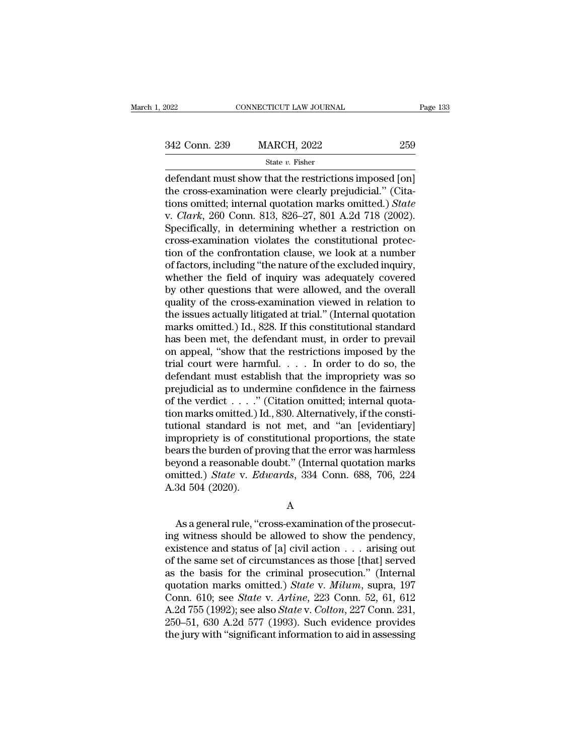EXECTIVE CONNECTICUT LAW JOURNAL Page 133<br>342 Conn. 239 MARCH, 2022 259<br>342 State v. Fisher

### State *v.* Fisher

 $\begin{array}{ccc}\n & \text{COMRECTICUT LAW JOURNAL} & \text{Page 13:}\n \end{array}$ <br>  $\begin{array}{ccc}\n & \text{MARCH, 2022} & \text{259}\n \end{array}$ <br>  $\begin{array}{ccc}\n & \text{State } v. \text{ Fisher} \\
 \text{defendant must show that the restrictions imposed [on] \\
 \text{the cross-examination were clearly prejudicial." (Cita-  
tions omitted; internal question marks omitted.) State\n \end{array}$ 342 Conn. 239 MARCH, 2022 259<br>
State v. Fisher<br>
defendant must show that the restrictions imposed [on]<br>
the cross-examination were clearly prejudicial.'' (Cita-<br>
tions omitted; internal quotation marks omitted.) State<br>
v. 342 Conn. 239 MARCH, 2022 259<br>
State v. Fisher<br>
defendant must show that the restrictions imposed [on]<br>
the cross-examination were clearly prejudicial." (Cita-<br>
tions omitted; internal quotation marks omitted.) *State*<br>
v. <sup>342</sup> Conn. 239 MARCH, 2022 259<br>
<sup>State v. Fisher<br>
defendant must show that the restrictions imposed [on]<br>
the cross-examination were clearly prejudicial." (Cita-<br>
tions omitted; internal quotation marks omitted.) *State*<br></sup> State v. Fisher<br>
State v. Fisher<br>
defendant must show that the restrictions imposed [on]<br>
the cross-examination were clearly prejudicial." (Cita-<br>
tions omitted; internal quotation marks omitted.) State<br>
v. Clark, 260 Con defendant must show that the restrictions imposed [on]<br>the cross-examination were clearly prejudicial." (Cita-<br>tions omitted; internal quotation marks omitted.) State<br>v. Clark, 260 Conn. 813, 826–27, 801 A.2d 718 (2002).<br> defendant must show that the restrictions imposed [on]<br>the cross-examination were clearly prejudicial." (Cita-<br>tions omitted; internal quotation marks omitted.) *State*<br>v. *Clark*, 260 Conn. 813, 826–27, 801 A.2d 718 (2002 the cross-examination were clearly prejudicial." (Citations omitted; internal quotation marks omitted.) *State* v. *Clark*, 260 Conn. 813, 826–27, 801 A.2d 718 (2002). Specifically, in determining whether a restriction on tions omitted; internal quotation marks omitted.) State<br>v. Clark, 260 Conn. 813, 826–27, 801 A.2d 718 (2002).<br>Specifically, in determining whether a restriction on<br>cross-examination violates the constitutional protec-<br>tion v. *Clark*, 260 Conn. 813, 826–27, 801 A.2d 718 (2002).<br>Specifically, in determining whether a restriction on<br>cross-examination violates the constitutional protec-<br>tion of the confrontation clause, we look at a number<br>of f Specifically, in determining whether a restriction on<br>cross-examination violates the constitutional protec-<br>tion of the confrontation clause, we look at a number<br>of factors, including "the nature of the excluded inquiry,<br>w cross-examination violates the constitutional protection of the confrontation clause, we look at a number<br>of factors, including "the nature of the excluded inquiry,<br>whether the field of inquiry was adequately covered<br>by ot tion of the confrontation clause, we look at a number<br>of factors, including "the nature of the excluded inquiry,<br>whether the field of inquiry was adequately covered<br>by other questions that were allowed, and the overall<br>qua of factors, including "the nature of the excluded inquiry,<br>whether the field of inquiry was adequately covered<br>by other questions that were allowed, and the overall<br>quality of the cross-examination viewed in relation to<br>th whether the field of inquiry was adequately covered<br>by other questions that were allowed, and the overall<br>quality of the cross-examination viewed in relation to<br>the issues actually litigated at trial." (Internal quotation<br> by other questions that were allowed, and the overall<br>quality of the cross-examination viewed in relation to<br>the issues actually litigated at trial." (Internal quotation<br>marks omitted.) Id., 828. If this constitutional sta quality of the cross-examination viewed in relation to<br>the issues actually litigated at trial." (Internal quotation<br>marks omitted.) Id., 828. If this constitutional standard<br>has been met, the defendant must, in order to pr the issues actually litigated at trial." (Internal quotation<br>marks omitted.) Id., 828. If this constitutional standard<br>has been met, the defendant must, in order to prevail<br>on appeal, "show that the restrictions imposed b marks omitted.) Id., 828. If this constitutional standard<br>has been met, the defendant must, in order to prevail<br>on appeal, "show that the restrictions imposed by the<br>trial court were harmful.... In order to do so, the<br>def has been met, the defendant must, in order to prevail<br>on appeal, "show that the restrictions imposed by the<br>trial court were harmful.... In order to do so, the<br>defendant must establish that the impropriety was so<br>prejudic on appeal, "show that the restrictions imposed by the<br>trial court were harmful. . . . In order to do so, the<br>defendant must establish that the impropriety was so<br>prejudicial as to undermine confidence in the fairness<br>of t trial court were harmful. . . . . In order to do so, the<br>defendant must establish that the impropriety was so<br>prejudicial as to undermine confidence in the fairness<br>of the verdict . . . . . " (Citation omitted; internal q defendant must establish that the impropriety was so<br>prejudicial as to undermine confidence in the fairness<br>of the verdict  $\dots$ ." (Citation omitted; internal quota-<br>tion marks omitted.) Id., 830. Alternatively, if the con prejudicial as to undermine confidence in the fairness<br>of the verdict . . . ." (Citation omitted; internal quota-<br>tion marks omitted.) Id., 830. Alternatively, if the consti-<br>tutional standard is not met, and "an [evident of the verdict . . . ." (Citation omitted; internal quotation marks omitted.) Id., 830. Alternatively, if the constitutional standard is not met, and "an [evidentiary] impropriety is of constitutional proportions, the stat tion marks omitted.) I<br>tutional standard is<br>impropriety is of con<br>bears the burden of pr<br>beyond a reasonable omitted.) *State* v. Ea<br>A.3d 504 (2020). ars the burden of proving that the error was harmless<br>
syond a reasonable doubt." (Internal quotation marks<br>
inted.) *State v. Edwards*, 334 Conn. 688, 706, 224<br>
3d 504 (2020).<br>
A<br>
As a general rule, "cross-examination of

A

beyond a reasonable doubt." (Internal quotation marks<br>
omitted.) *State* v. *Edwards*, 334 Conn. 688, 706, 224<br>
A.3d 504 (2020).<br>
A<br>
As a general rule, "cross-examination of the prosecut-<br>
ing witness should be allowed to existence and status of [a] civil actions. 688, 706, 224<br>A.3d 504 (2020).<br>A<br>As a general rule, "cross-examination of the prosecut-<br>ing witness should be allowed to show the pendency,<br>existence and status of [a] civil actio A.3d 504 (2020).<br>
A<br>
As a general rule, "cross-examination of the prosecut-<br>
ing witness should be allowed to show the pendency,<br>
existence and status of [a] civil action  $\dots$  arising out<br>
of the same set of circumstances A<br>
As a general rule, "cross-examination of the prosecut-<br>
ing witness should be allowed to show the pendency,<br>
existence and status of [a] civil action . . . arising out<br>
of the same set of circumstances as those [that] As a general rule, "cross-examination of the prosecut-<br>ing witness should be allowed to show the pendency,<br>existence and status of [a] civil action . . . arising out<br>of the same set of circumstances as those [that] served<br> As a general rule, "cross-examination of the prosecuting witness should be allowed to show the pendency, existence and status of [a] civil action . . . arising out of the same set of circumstances as those [that] served as ing witness should be allowed to show the pendency,<br>existence and status of [a] civil action . . . arising out<br>of the same set of circumstances as those [that] served<br>as the basis for the criminal prosecution." (Internal<br>q existence and status of [a] civil action . . . arising out<br>of the same set of circumstances as those [that] served<br>as the basis for the criminal prosecution." (Internal<br>quotation marks omitted.) *State v. Milum*, supra, 1 of the same set of circumstances as those [that] served<br>as the basis for the criminal prosecution." (Internal<br>quotation marks omitted.) *State* v. *Milum*, supra, 197<br>Conn. 610; see *State* v. *Arline*, 223 Conn. 52, 61, 6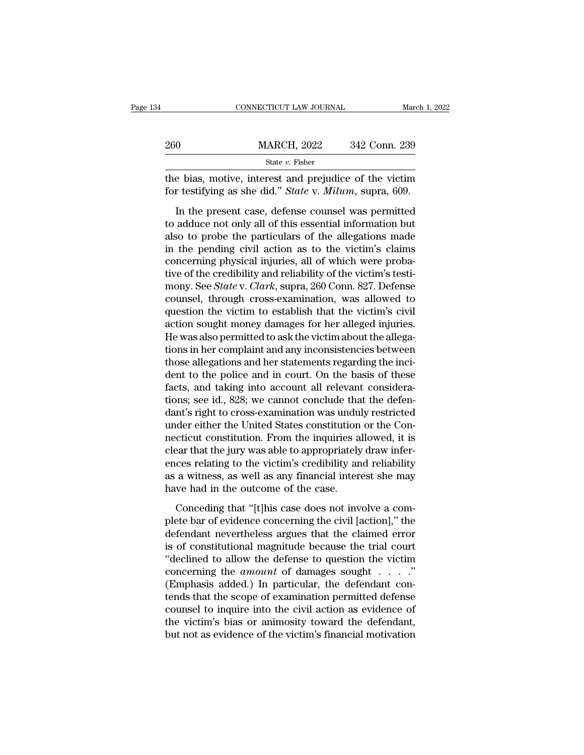|     | CONNECTICUT LAW JOURNAL                                                                                           | March 1, 2022 |
|-----|-------------------------------------------------------------------------------------------------------------------|---------------|
|     |                                                                                                                   |               |
| 260 | <b>MARCH, 2022</b>                                                                                                | 342 Conn. 239 |
|     | State v. Fisher                                                                                                   |               |
|     | the bias, motive, interest and prejudice of the victim<br>for testifying as she did." State v. Milum, supra, 609. |               |
|     | In the present case, defense counsel was permitted                                                                |               |
|     | to adduce not only all of this essential information but<br>also to probo the particulars of the allogations made |               |

Example 1200 MARCH, 2022 342 Conn. 239<br>
State v. Fisher<br>
the bias, motive, interest and prejudice of the victim<br>
for testifying as she did." State v. Milum, supra, 609.<br>
In the present case, defense counsel was permitted<br> State v. Fisher<br>the bias, motive, interest and prejudice of the victim<br>for testifying as she did." State v. Milum, supra, 609.<br>In the present case, defense counsel was permitted<br>to adduce not only all of this essential in the bias, motive, interest and prejudice of the victim<br>for testifying as she did." *State* v. *Milum*, supra, 609.<br>In the present case, defense counsel was permitted<br>to adduce not only all of this essential information but for testifying as she did." *State v. Milum*, supra, 609.<br>In the present case, defense counsel was permitted<br>to adduce not only all of this essential information but<br>also to probe the particulars of the allegations made<br>in In the present case, defense counsel was permitted<br>to adduce not only all of this essential information but<br>also to probe the particulars of the allegations made<br>in the pending civil action as to the victim's claims<br>conce In the present case, defense counsel was permitted<br>to adduce not only all of this essential information but<br>also to probe the particulars of the allegations made<br>in the pending civil action as to the victim's claims<br>concer to adduce not only all of this essential information but<br>also to probe the particulars of the allegations made<br>in the pending civil action as to the victim's claims<br>concerning physical injuries, all of which were proba-<br>ti also to probe the particulars of the allegations made<br>in the pending civil action as to the victim's claims<br>concerning physical injuries, all of which were proba-<br>tive of the credibility and reliability of the victim's tes in the pending civil action as to the victim's claims<br>concerning physical injuries, all of which were proba-<br>tive of the credibility and reliability of the victim's testi-<br>mony. See *State* v. *Clark*, supra, 260 Conn. 827 concerning physical injuries, all of which were probative of the credibility and reliability of the victim's testimony. See *State* v. *Clark*, supra, 260 Conn. 827. Defense counsel, through cross-examination, was allowed tive of the credibility and reliability of the victim's testi-<br>mony. See *State* v. *Clark*, supra, 260 Conn. 827. Defense<br>counsel, through cross-examination, was allowed to<br>question the victim to establish that the victim mony. See *State* v. *Clark*, supra, 260 Conn. 827. Defense<br>counsel, through cross-examination, was allowed to<br>question the victim to establish that the victim's civil<br>action sought money damages for her alleged injuries.<br> counsel, through cross-examination, was allowed to<br>question the victim to establish that the victim's civil<br>action sought money damages for her alleged injuries.<br>He was also permitted to ask the victim about the allega-<br>ti question the victim to establish that the victim's civil<br>action sought money damages for her alleged injuries.<br>He was also permitted to ask the victim about the allega-<br>tions in her complaint and any inconsistencies betwee action sought money damages for her alleged injuries.<br>He was also permitted to ask the victim about the allega-<br>tions in her complaint and any inconsistencies between<br>those allegations and her statements regarding the inci He was also permitted to ask the victim about the allegations in her complaint and any inconsistencies between<br>those allegations and her statements regarding the incident to the police and in court. On the basis of these<br>f tions in her complaint and any inconsistencies between<br>those allegations and her statements regarding the inci-<br>dent to the police and in court. On the basis of these<br>facts, and taking into account all relevant considera-<br> those allegations and her statements regarding the incident to the police and in court. On the basis of these facts, and taking into account all relevant considerations; see id., 828; we cannot conclude that the defendant' dent to the police and in court. On the basis of these facts, and taking into account all relevant considerations; see id., 828; we cannot conclude that the defendant's right to cross-examination was unduly restricted unde facts, and taking into account all relevant considerations; see id., 828; we cannot conclude that the defendant's right to cross-examination was unduly restricted under either the United States constitution or the Connecti tions; see id., 828; we cannot conclude that the defen-<br>dant's right to cross-examination was unduly restricted<br>under either the United States constitution or the Con-<br>necticut constitution. From the inquiries allowed, it dant's right to cross-examination was undu<br>under either the United States constitution<br>necticut constitution. From the inquiries a<br>clear that the jury was able to appropriately<br>ences relating to the victim's credibility an cticut constitution. From the inquiries allowed, it is<br>ear that the jury was able to appropriately draw infer-<br>ces relating to the victim's credibility and reliability<br>a witness, as well as any financial interest she may<br>w clear that the jury was able to appropriately draw inferences relating to the victim's credibility and reliability<br>as a witness, as well as any financial interest she may<br>have had in the outcome of the case.<br>Conceding that

ences relating to the victim's credibility and reliability<br>as a witness, as well as any financial interest she may<br>have had in the outcome of the case.<br>Conceding that "[t]his case does not involve a com-<br>plete bar of evide as a witness, as well as any financial interest she may<br>have had in the outcome of the case.<br>Conceding that "[t]his case does not involve a com-<br>plete bar of evidence concerning the civil [action]," the<br>defendant neverthel have had in the outcome of the case.<br>
Conceding that "[t]his case does not involve a com-<br>
plete bar of evidence concerning the civil [action]," the<br>
defendant nevertheless argues that the claimed error<br>
is of constitutio Conceding that "[t]his case does not involve a com-<br>plete bar of evidence concerning the civil [action]," the<br>defendant nevertheless argues that the claimed error<br>is of constitutional magnitude because the trial court<br>"de Conceding that "[t]his case does not involve a com-<br>plete bar of evidence concerning the civil [action]," the<br>defendant nevertheless argues that the claimed error<br>is of constitutional magnitude because the trial court<br>"de plete bar of evidence concerning the civil [action]," the<br>defendant nevertheless argues that the claimed error<br>is of constitutional magnitude because the trial court<br>"declined to allow the defense to question the victim<br>co defendant nevertheless argues that the claimed error<br>is of constitutional magnitude because the trial court<br>"declined to allow the defense to question the victim<br>concerning the *amount* of damages sought . . . ."<br>(Emphasis is of constitutional magnitude because the trial court<br>
"declined to allow the defense to question the victim<br>
concerning the *amount* of damages sought  $\dots$ ."<br>
(Emphasis added.) In particular, the defendant con-<br>
tends t "declined to allow the defense to question the victim<br>concerning the *amount* of damages sought  $\dots$ ."<br>(Emphasis added.) In particular, the defendant con-<br>tends that the scope of examination permitted defense<br>counsel to i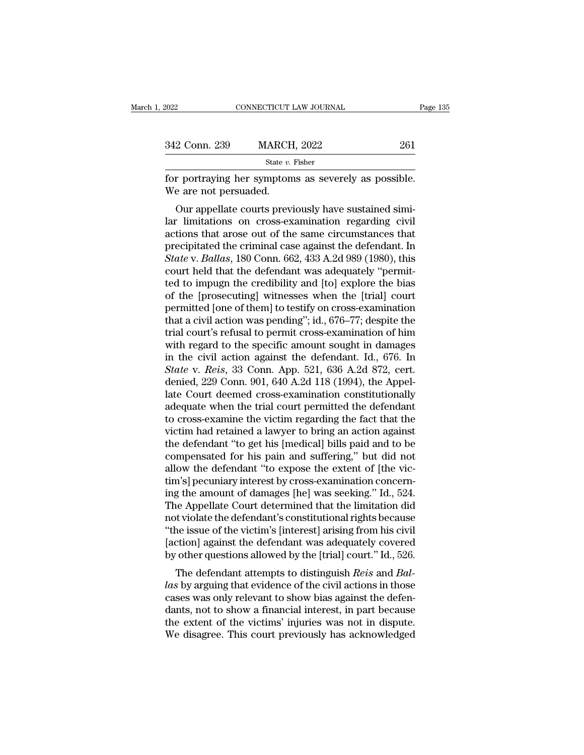| 2022                  | CONNECTICUT LAW JOURNAL                                                                                                                                               | Page 135 |
|-----------------------|-----------------------------------------------------------------------------------------------------------------------------------------------------------------------|----------|
|                       |                                                                                                                                                                       |          |
| 342 Conn. 239         | <b>MARCH, 2022</b>                                                                                                                                                    | 261      |
|                       | State v. Fisher                                                                                                                                                       |          |
| We are not persuaded. | for portraying her symptoms as severely as possible.                                                                                                                  |          |
|                       | Our appellate courts previously have sustained simi-<br>lar limitations on cross-examination regarding civil<br>actions that aroso out of the same giroupstances that |          |

342 Conn. 239 MARCH, 2022 261<br>
State v. Fisher<br>
for portraying her symptoms as severely as possible.<br>
We are not persuaded.<br>
Our appellate courts previously have sustained simi-<br>
lar limitations on cross-examination regar State v. Fisher<br>
for portraying her symptoms as severely as possible.<br>
We are not persuaded.<br>
Our appellate courts previously have sustained simi-<br>
lar limitations on cross-examination regarding civil<br>
actions that arose For portraying her symptoms as severely as possible.<br>We are not persuaded.<br>Our appellate courts previously have sustained simi-<br>lar limitations on cross-examination regarding civil<br>actions that arose out of the same circum For portraying her symptoms as severely as possible.<br>
We are not persuaded.<br>
Our appellate courts previously have sustained simi-<br>
lar limitations on cross-examination regarding civil<br>
actions that arose out of the same ci our appellate courts previously have sustained simi-<br>lar limitations on cross-examination regarding civil<br>actions that arose out of the same circumstances that<br>precipitated the criminal case against the defendant. In<br>*Stat* Our appellate courts previously have sustained similar<br>lar limitations on cross-examination regarding civil<br>actions that arose out of the same circumstances that<br>precipitated the criminal case against the defendant. In<br>*St* lar limitations on cross-examination regarding civil<br>actions that arose out of the same circumstances that<br>precipitated the criminal case against the defendant. In<br>*State* v. *Ballas*, 180 Conn. 662, 433 A.2d 989 (1980), actions that arose out of the same circumstances that<br>precipitated the criminal case against the defendant. In<br>State v. Ballas, 180 Conn. 662, 433 A.2d 989 (1980), this<br>court held that the defendant was adequately "permitprecipitated the criminal case against the defendant. In<br> *State* v. *Ballas*, 180 Conn. 662, 433 A.2d 989 (1980), this<br>
court held that the defendant was adequately "permit-<br>
ted to impugn the credibility and [to] explore State v. Ballas, 180 Conn. 662, 433 A.2d 989 (1980), this<br>court held that the defendant was adequately "permit-<br>ted to impugn the credibility and [to] explore the bias<br>of the [prosecuting] witnesses when the [trial] court court held that the defendant was adequately "permitted to impugn the credibility and [to] explore the bias<br>of the [prosecuting] witnesses when the [trial] court<br>permitted [one of them] to testify on cross-examination<br>tha ted to impugn the credibility and [to] explore the bias<br>of the [prosecuting] witnesses when the [trial] court<br>permitted [one of them] to testify on cross-examination<br>that a civil action was pending"; id., 676–77; despite of the [prosecuting] witnesses when the [trial] court<br>permitted [one of them] to testify on cross-examination<br>that a civil action was pending"; id., 676–77; despite the<br>trial court's refusal to permit cross-examination of permitted [one of them] to testify on cross-examination<br>that a civil action was pending"; id., 676–77; despite the<br>trial court's refusal to permit cross-examination of him<br>with regard to the specific amount sought in damag that a civil action was pending"; id., 676–77; despite the<br>trial court's refusal to permit cross-examination of him<br>with regard to the specific amount sought in damages<br>in the civil action against the defendant. Id., 676. trial court's refusal to permit cross-examination of him<br>with regard to the specific amount sought in damages<br>in the civil action against the defendant. Id., 676. In<br>State v. Reis, 33 Conn. App. 521, 636 A.2d 872, cert.<br>de with regard to the specific amount sought in damages<br>in the civil action against the defendant. Id., 676. In<br>State v. Reis, 33 Conn. App. 521, 636 A.2d 872, cert.<br>denied, 229 Conn. 901, 640 A.2d 118 (1994), the Appel-<br>late in the civil action against the defendant. Id., 676. In  $State$  v.  $Reis$ , 33 Conn. App. 521, 636 A.2d 872, cert.<br>denied, 229 Conn. 901, 640 A.2d 118 (1994), the Appellate Court deemed cross-examination constitutionally<br>adequat State v. Reis, 33 Conn. App. 521, 636 A.2d 872, cert.<br>denied, 229 Conn. 901, 640 A.2d 118 (1994), the Appel-<br>late Court deemed cross-examination constitutionally<br>adequate when the trial court permitted the defendant<br>to cro denied, 229 Conn. 901, 640 A.2d 118 (1994), the Appellate Court deemed cross-examination constitutionally adequate when the trial court permitted the defendant to cross-examine the victim regarding the fact that the victim late Court deemed cross-examination constitutionally<br>adequate when the trial court permitted the defendant<br>to cross-examine the victim regarding the fact that the<br>victim had retained a lawyer to bring an action against<br>the adequate when the trial court permitted the defendant<br>to cross-examine the victim regarding the fact that the<br>victim had retained a lawyer to bring an action against<br>the defendant "to get his [medical] bills paid and to be to cross-examine the victim regarding the fact that the victim had retained a lawyer to bring an action against<br>the defendant "to get his [medical] bills paid and to be<br>compensated for his pain and suffering," but did not<br> victim had retained a lawyer to bring an action against<br>the defendant "to get his [medical] bills paid and to be<br>compensated for his pain and suffering," but did not<br>allow the defendant "to expose the extent of [the vic-<br>t the defendant "to get his [medical] bills paid and to be compensated for his pain and suffering," but did not allow the defendant "to expose the extent of [the victim's] pecuniary interest by cross-examination concerning t compensated for his pain and suffering," but did not<br>allow the defendant "to expose the extent of [the vic-<br>tim's] pecuniary interest by cross-examination concern-<br>ing the amount of damages [he] was seeking." Id., 524.<br>The allow the defendant "to expose the extent of [the victim's] pecuniary interest by cross-examination concerning the amount of damages [he] was seeking." Id., 524.<br>The Appellate Court determined that the limitation did<br>not v tim's] pecuniary interest by cross-examination concerning the amount of damages [he] was seeking." Id., 524.<br>The Appellate Court determined that the limitation did<br>not violate the defendant's constitutional rights because<br> If the defendant attempts to distinguish *Reis* and *Bal-*<br>to distribute the defendant's constitutional rights because<br>the issue of the victim's [interest] arising from his civil<br>ction] against the defendant was adequately The Appenate Court determined that the initiation did<br>
mot violate the defendant's constitutional rights because<br>
"the issue of the victim's [interest] arising from his civil<br>
[action] against the defendant was adequately

from violate the defendant s'constitutional rights because<br>
"the issue of the victim's [interest] arising from his civil<br>
[action] against the defendant was adequately covered<br>
by other questions allowed by the [trial] cou The issue of the victim's [interest] arising from his civil<br>[action] against the defendant was adequately covered<br>by other questions allowed by the [trial] court." Id., 526.<br>The defendant attempts to distinguish *Reis* and [action] against the defendant was adequately covered<br>by other questions allowed by the [trial] court." Id., 526.<br>The defendant attempts to distinguish *Reis* and *Bal-*<br>las by arguing that evidence of the civil actions in by other questions anowed by the [that] court. The defendant attempts to distinguish *Reis* and *Ballas* by arguing that evidence of the civil actions in those cases was only relevant to show bias against the defendants, n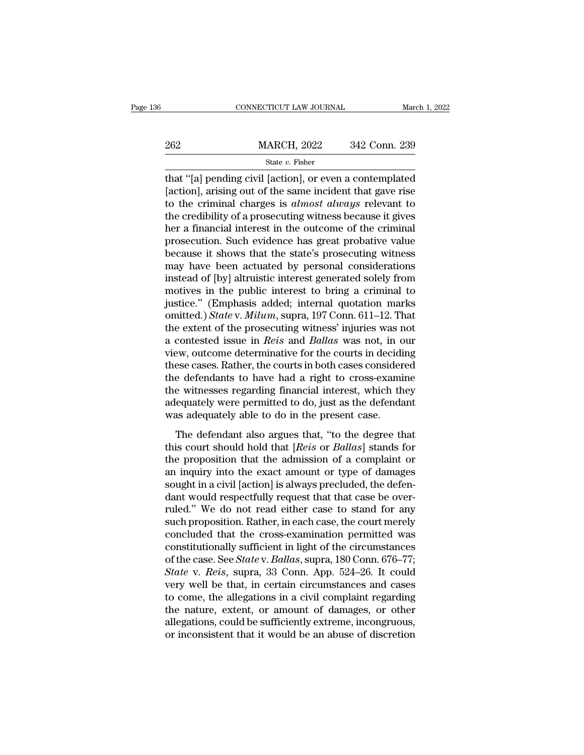|     | CONNECTICUT LAW JOURNAL | March 1, 2022 |  |
|-----|-------------------------|---------------|--|
|     |                         |               |  |
| 262 | <b>MARCH, 2022</b>      | 342 Conn. 239 |  |
|     | State $v$ . Fisher      |               |  |

CONNECTICUT LAW JOURNAL March 1, 2022<br>
262 MARCH, 2022 342 Conn. 239<br>  $\frac{\text{State } v. \text{ Fisher}}{\text{that } \text{[a] pending civil [action], or even a contemplated [action], arising out of the same incident that gave rise to the criminal charges is *almost always* relevant to$ 262 MARCH, 2022 342 Conn. 239<br>  $\frac{\text{State } v. \text{ Fisher}}{\text{that } \text{``[a] pending civil [action], or even a contemplated [action], arising out of the same incident that gave rise to the criminal charges is *almost always* relevant to the *cardibility of a* processing witness because it gives$ 262 MARCH, 2022 342 Conn. 239<br>
State v. Fisher<br>
that "[a] pending civil [action], or even a contemplated<br>
[action], arising out of the same incident that gave rise<br>
to the criminal charges is *almost always* relevant to<br> 262 MARCH, 2022 342 Conn. 239<br>  $\frac{\text{State } v. \text{ Fisher}}{\text{that } (a)}$  bending civil [action], or even a contemplated [action], arising out of the same incident that gave rise<br>
to the criminal charges is *almost always* relevant to the State v. Fisher<br>
here is the v. Fisher<br>
that "[a] pending civil [action], or even a contemplated<br>
[action], arising out of the same incident that gave rise<br>
to the criminal charges is *almost always* relevant to<br>
the cred state  $v$ . Fisher<br>that "[a] pending civil [action], or even a contemplated<br>[action], arising out of the same incident that gave rise<br>to the criminal charges is *almost always* relevant to<br>the credibility of a prosecuting that "[a] pending civil [action], or even a contemplated [action], arising out of the same incident that gave rise<br>to the criminal charges is *almost always* relevant to<br>the credibility of a prosecuting witness because it [action], arising out of the same incident that gave rise<br>to the criminal charges is *almost always* relevant to<br>the credibility of a prosecuting witness because it gives<br>her a financial interest in the outcome of the crim to the criminal charges is *almost always* relevant to<br>the credibility of a prosecuting witness because it gives<br>her a financial interest in the outcome of the criminal<br>prosecution. Such evidence has great probative value<br> the credibility of a prosecuting witness because it gives<br>her a financial interest in the outcome of the criminal<br>prosecution. Such evidence has great probative value<br>because it shows that the state's prosecuting witness<br>m her a financial interest in the outcome of the criminal<br>prosecution. Such evidence has great probative value<br>because it shows that the state's prosecuting witness<br>may have been actuated by personal considerations<br>instead o prosecution. Such evidence has great probative value<br>because it shows that the state's prosecuting witness<br>may have been actuated by personal considerations<br>instead of [by] altruistic interest generated solely from<br>motives because it shows that the state's prosecuting witness<br>may have been actuated by personal considerations<br>instead of [by] altruistic interest generated solely from<br>motives in the public interest to bring a criminal to<br>justic may have been actuated by personal considerations<br>instead of [by] altruistic interest generated solely from<br>motives in the public interest to bring a criminal to<br>justice." (Emphasis added; internal quotation marks<br>omitted. instead of [by] altruistic interest generated solely from<br>motives in the public interest to bring a criminal to<br>justice." (Emphasis added; internal quotation marks<br>omitted.) *State* v. *Milum*, supra, 197 Conn. 611–12. Tha motives in the public interest to bring a criminal to<br>justice." (Emphasis added; internal quotation marks<br>omitted.) *State* v. *Milum*, supra, 197 Conn. 611–12. That<br>the extent of the prosecuting witness' injuries was not<br> justice." (Emphasis added; internal quotation marks<br>omitted.) *State* v. *Milum*, supra, 197 Conn. 611–12. That<br>the extent of the prosecuting witness' injuries was not<br>a contested issue in *Reis* and *Ballas* was not, in omitted.) *State* v. *Milum*, supra, 197 Conn. 611–12. That<br>the extent of the prosecuting witness' injuries was not<br>a contested issue in *Reis* and *Ballas* was not, in our<br>view, outcome determinative for the courts in dec the extent of the prosecuting witness' injuries was not<br>a contested issue in *Reis* and *Ballas* was not, in our<br>view, outcome determinative for the courts in deciding<br>these cases. Rather, the courts in both cases consider a contested issue in *Reis* and *Ballas* was not, in c<br>view, outcome determinative for the courts in decidi<br>these cases. Rather, the courts in both cases consider<br>the defendants to have had a right to cross-exami<br>the witne Example are continuated for the counts in declaring<br>the defendants to have had a right to cross-examine<br>e witnesses regarding financial interest, which they<br>equately were permitted to do, just as the defendant<br>as adequatel the defendants to have had a right to cross-examine<br>the witnesses regarding financial interest, which they<br>adequately were permitted to do, just as the defendant<br>was adequately able to do in the present case.<br>The defendant

the witnesses regarding financial interest, which they<br>adequately were permitted to do, just as the defendant<br>was adequately able to do in the present case.<br>The defendant also argues that, "to the degree that<br>this court sh and ware variesses regarding matical metrics), which are a<br>adequately were permitted to do, just as the defendant<br>was adequately able to do in the present case.<br>The defendant also argues that, "to the degree that<br>this cour solution was adequately able to do in the present case.<br>The defendant also argues that, "to the degree that<br>this court should hold that [*Reis* or *Ballas*] stands for<br>the proposition that the admission of a complaint or<br>a The defendant also argues that, "to the degree that<br>this court should hold that [*Reis* or *Ballas*] stands for<br>the proposition that the admission of a complaint or<br>an inquiry into the exact amount or type of damages<br>soug The defendant also argues that, "to the degree that<br>this court should hold that [*Reis* or *Ballas*] stands for<br>the proposition that the admission of a complaint or<br>an inquiry into the exact amount or type of damages<br>sough this court should hold that [*Reis* or *Ballas*] stands for<br>the proposition that the admission of a complaint or<br>an inquiry into the exact amount or type of damages<br>sought in a civil [action] is always precluded, the defen the proposition that the admission of a complaint or<br>an inquiry into the exact amount or type of damages<br>sought in a civil [action] is always precluded, the defen-<br>dant would respectfully request that that case be over-<br>r an inquiry into the exact amount or type of damages<br>sought in a civil [action] is always precluded, the defen-<br>dant would respectfully request that that case be over-<br>ruled." We do not read either case to stand for any<br>su sought in a civil [action] is always precluded, the defendant would respectfully request that that case be over-<br>ruled." We do not read either case to stand for any<br>such proposition. Rather, in each case, the court merely<br> dant would respectfully request that that case be over-<br>ruled." We do not read either case to stand for any<br>such proposition. Rather, in each case, the court merely<br>concluded that the cross-examination permitted was<br>consti ruled." We do not read either case to stand for any<br>such proposition. Rather, in each case, the court merely<br>concluded that the cross-examination permitted was<br>constitutionally sufficient in light of the circumstances<br>of t such proposition. Rather, in each case, the court merely<br>concluded that the cross-examination permitted was<br>constitutionally sufficient in light of the circumstances<br>of the case. See *State* v. *Ballas*, supra, 180 Conn. 6 concluded that the cross-examination permitted was<br>constitutionally sufficient in light of the circumstances<br>of the case. See *State* v. *Ballas*, supra, 180 Conn. 676–77;<br>*State* v. *Reis*, supra, 33 Conn. App. 524–26. It constitutionally sufficient in light of the circumstances<br>of the case. See *State* v. *Ballas*, supra, 180 Conn. 676–77;<br>*State* v. *Reis*, supra, 33 Conn. App. 524–26. It could<br>very well be that, in certain circumstances of the case. See *State* v. *Ballas*, supra, 180 Conn. 676–77;<br>*State* v. *Reis*, supra, 33 Conn. App. 524–26. It could<br>very well be that, in certain circumstances and cases<br>to come, the allegations in a civil complaint re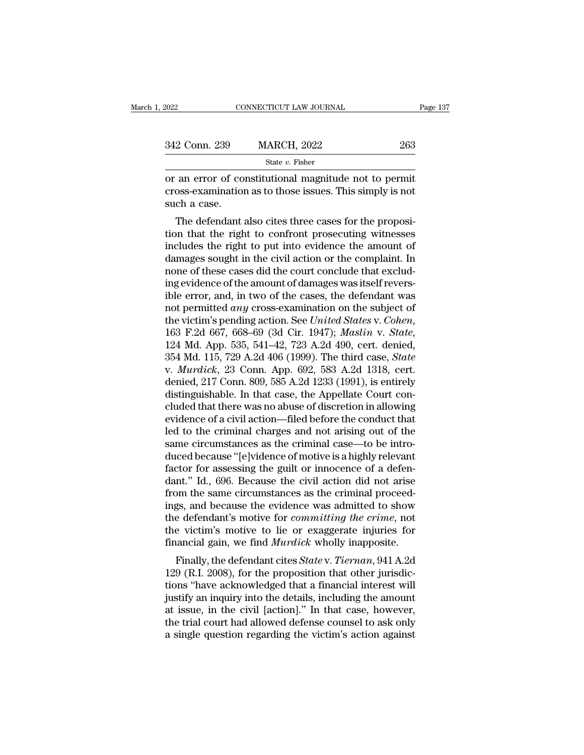| 2022          | CONNECTICUT LAW JOURNAL                                                                                                                                                 | Page 137 |
|---------------|-------------------------------------------------------------------------------------------------------------------------------------------------------------------------|----------|
|               |                                                                                                                                                                         |          |
| 342 Conn. 239 | <b>MARCH, 2022</b>                                                                                                                                                      | 263      |
|               | State v. Fisher                                                                                                                                                         |          |
| such a case.  | or an error of constitutional magnitude not to permit<br>cross-examination as to those issues. This simply is not                                                       |          |
|               | The defendant also cites three cases for the proposi-<br>tion that the right to confront prosecuting witnesses<br>includes the right to put into evidence the amount of |          |

State  $v$ . Fisher<br>
or an error of constitutional magnitude not to permit<br>
cross-examination as to those issues. This simply is not<br>
such a case.<br>
The defendant also cites three cases for the proposi-<br>
tion that the right or an error of constitutional magnitude not to permit<br>cross-examination as to those issues. This simply is not<br>such a case.<br>The defendant also cites three cases for the proposi-<br>tion that the right to confront prosecuting or an error or constructional magnitude not to permit<br>cross-examination as to those issues. This simply is not<br>such a case.<br>The defendant also cites three cases for the proposi-<br>tion that the right to confront prosecuting ross-examination as to those issues. This simply is not<br>such a case.<br>The defendant also cites three cases for the proposi-<br>tion that the right to confront prosecuting witnesses<br>includes the right to put into evidence the a such a case.<br>The defendant also cites three cases for the proposition that the right to confront prosecuting witnesses<br>includes the right to put into evidence the amount of<br>damages sought in the civil action or the complai The defendant also cites three cases for the proposition that the right to confront prosecuting witnesses<br>includes the right to put into evidence the amount of<br>damages sought in the civil action or the complaint. In<br>none tion that the right to confront prosecuting witnesses<br>includes the right to put into evidence the amount of<br>damages sought in the civil action or the complaint. In<br>none of these cases did the court conclude that exclud-<br>in includes the right to put into evidence the amount of damages sought in the civil action or the complaint. In none of these cases did the court conclude that excluding evidence of the amount of damages was itself reversibl ing evidence of the amount of damages was itself revers-<br>ible error, and, in two of the cases, the defendant was<br>not permitted *any* cross-examination on the subject of<br>the victim's pending action. See *United States v. Co* ible error, and, in two of the cases, the defendant was<br>not permitted *any* cross-examination on the subject of<br>the victim's pending action. See *United States* v. *Cohen*,<br>163 F.2d 667, 668–69 (3d Cir. 1947); *Maslin* v. not permitted *any* cross-examination on the subject of<br>the victim's pending action. See *United States v. Cohen*,<br>163 F.2d 667, 668–69 (3d Cir. 1947); *Maslin v. State*,<br>124 Md. App. 535, 541–42, 723 A.2d 490, cert. denie the victim's pending action. See United States v. Cohen, 163 F.2d 667, 668–69 (3d Cir. 1947); *Maslin v. State*, 124 Md. App. 535, 541–42, 723 A.2d 490, cert. denied, 354 Md. 115, 729 A.2d 406 (1999). The third case, *Sta* 163 F.2d 667, 668–69 (3d Cir. 1947); *Maslin v. State*, 124 Md. App. 535, 541–42, 723 A.2d 490, cert. denied, 354 Md. 115, 729 A.2d 406 (1999). The third case, *State* v. *Murdick*, 23 Conn. App. 692, 583 A.2d 1318, cert. 124 Md. App. 535, 541–42, 723 A.2d 490, cert. denied, 354 Md. 115, 729 A.2d 406 (1999). The third case, *State* v. *Murdick*, 23 Conn. App. 692, 583 A.2d 1318, cert. denied, 217 Conn. 809, 585 A.2d 1233 (1991), is entirel 354 Md. 115, 729 A.2d 406 (1999). The third case, *State* v. *Murdick*, 23 Conn. App. 692, 583 A.2d 1318, cert. denied, 217 Conn. 809, 585 A.2d 1233 (1991), is entirely distinguishable. In that case, the Appellate Court co v. *Murdick*, 23 Conn. App. 692, 583 A.2d 1318, cert.<br>denied, 217 Conn. 809, 585 A.2d 1233 (1991), is entirely<br>distinguishable. In that case, the Appellate Court con-<br>cluded that there was no abuse of discretion in allowin denied, 217 Conn. 809, 585 A.2d 1233 (1991), is entirely<br>distinguishable. In that case, the Appellate Court con-<br>cluded that there was no abuse of discretion in allowing<br>evidence of a civil action—filed before the conduct distinguishable. In that case, the Appellate Court concluded that there was no abuse of discretion in allowing<br>evidence of a civil action—filed before the conduct that<br>led to the criminal charges and not arising out of the cluded that there was no abuse of discretion in allowing<br>evidence of a civil action—filed before the conduct that<br>led to the criminal charges and not arising out of the<br>same circumstances as the criminal case—to be intro-<br> evidence of a civil action—filed before the conduct that<br>led to the criminal charges and not arising out of the<br>same circumstances as the criminal case—to be intro-<br>duced because "[e]vidence of motive is a highly relevant<br> led to the criminal charges and not arising out of the<br>same circumstances as the criminal case—to be intro-<br>duced because "[e]vidence of motive is a highly relevant<br>factor for assessing the guilt or innocence of a defen-<br>d same circumstances as the criminal case—to be intro-<br>duced because "[e]vidence of motive is a highly relevant<br>factor for assessing the guilt or innocence of a defen-<br>dant." Id., 696. Because the civil action did not arise<br> duced because "[e]vidence of motive is a highly relevant<br>factor for assessing the guilt or innocence of a defen-<br>dant." Id., 696. Because the civil action did not arise<br>from the same circumstances as the criminal proceed-<br> factor for assessing the guilt or innocence of a defendant." Id., 696. Because the civil action did not arise from the same circumstances as the criminal proceedings, and because the evidence was admitted to show the defen Int. Tu., 090. Because the civil action did not arise<br>bm the same circumstances as the criminal proceed-<br>gs, and because the evidence was admitted to show<br>e defendant's motive for *committing the crime*, not<br>e victim's mot from the same circumstances as the criminal proceed-<br>ings, and because the evidence was admitted to show<br>the defendant's motive for *committing the crime*, not<br>the victim's motive to lie or exaggerate injuries for<br>financia

the defendant's motive for *committing the crime*, not<br>the victim's motive to lie or exaggerate injuries for<br>financial gain, we find *Murdick* wholly inapposite.<br>Finally, the defendant cites *State* v. *Tiernan*, 941 A.2d<br> the victim's motive for *committing the crime*, not<br>the victim's motive to lie or exaggerate injuries for<br>financial gain, we find *Murdick* wholly inapposite.<br>Finally, the defendant cites *State v. Tiernan*, 941 A.2d<br>129 ( the victint's involve to the of exaggerate injuries for<br>financial gain, we find *Murdick* wholly inapposite.<br>Finally, the defendant cites *State* v. *Tiernan*, 941 A.2d<br>129 (R.I. 2008), for the proposition that other juris Finally, the defendant cites *State* v. *Tiernan*, 941 A.2d<br>129 (R.I. 2008), for the proposition that other jurisdic-<br>tions "have acknowledged that a financial interest will<br>justify an inquiry into the details, including t Finally, the defendant cites *State* v. *Tiernan*, 941 A.2d 129 (R.I. 2008), for the proposition that other jurisdictions "have acknowledged that a financial interest will justify an inquiry into the details, including the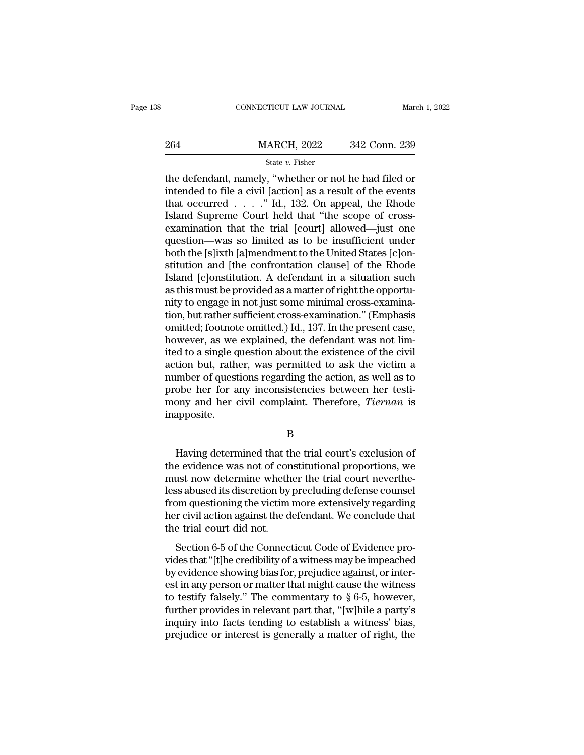|     | CONNECTICUT LAW JOURNAL | March 1, 2022 |  |
|-----|-------------------------|---------------|--|
|     |                         |               |  |
| 264 | <b>MARCH, 2022</b>      | 342 Conn. 239 |  |
|     | State $v$ . Fisher      |               |  |

CONNECTICUT LAW JOURNAL March 1, 2022<br>
264 MARCH, 2022 342 Conn. 239<br>
36 State v. Fisher<br>
1. 2022 342 Conn. 239<br>
2. The defendant, namely, "whether or not he had filed or<br>
2. The defendant, namely, "whether or not he had f 264 MARCH, 2022 342 Conn. 239<br>
State v. Fisher<br>
the defendant, namely, "whether or not he had filed or<br>
intended to file a civil [action] as a result of the events<br>
that occurred . . . . " Id., 132. On appeal, the Rhode<br> 264 MARCH, 2022 342 Conn. 239<br>
State v. Fisher<br>
the defendant, namely, "whether or not he had filed or<br>
intended to file a civil [action] as a result of the events<br>
that occurred . . . . ." Id., 132. On appeal, the Rhode<br> 264 MARCH, 2022 342 Conn. 239<br>
State v. Fisher<br>
the defendant, namely, "whether or not he had filed or<br>
intended to file a civil [action] as a result of the events<br>
that occurred . . . . ." Id., 132. On appeal, the Rhode<br> State v. Fisher<br>
State v. Fisher<br>
the defendant, namely, "whether or not he had filed or<br>
intended to file a civil [action] as a result of the events<br>
that occurred . . . . " Id., 132. On appeal, the Rhode<br>
Island Supreme state v. Fisher<br>the defendant, namely, "whether or not he had filed or<br>intended to file a civil [action] as a result of the events<br>that occurred  $\ldots$ ." Id., 132. On appeal, the Rhode<br>Island Supreme Court held that "the s the defendant, namely, "whether or not he had filed or<br>intended to file a civil [action] as a result of the events<br>that occurred  $\ldots$ ." Id., 132. On appeal, the Rhode<br>Island Supreme Court held that "the scope of cross-<br>e intended to file a civil [action] as a result of the events<br>that occurred . . . ." Id., 132. On appeal, the Rhode<br>Island Supreme Court held that "the scope of cross-<br>examination that the trial [court] allowed—just one<br>ques that occurred  $\ldots$ ." Id., 132. On appeal, the Rhode<br>Island Supreme Court held that "the scope of cross-<br>examination that the trial [court] allowed—just one<br>question—was so limited as to be insufficient under<br>both the [s] Island Supreme Court held that "the scope of cross-<br>examination that the trial [court] allowed—just one<br>question—was so limited as to be insufficient under<br>both the [s]ixth [a]mendment to the United States [c]on-<br>stitution examination that the trial [court] allowed—just one<br>question—was so limited as to be insufficient under<br>both the [s]ixth [a]mendment to the United States [c]on-<br>stitution and [the confrontation clause] of the Rhode<br>Island question—was so limited as to be insufficient under<br>both the [s]ixth [a]mendment to the United States [c]on-<br>stitution and [the confrontation clause] of the Rhode<br>Island [c]onstitution. A defendant in a situation such<br>as t both the [s]ixth [a]mendment to the United States [c]onstitution and [the confrontation clause] of the Rhode<br>Island [c]onstitution. A defendant in a situation such<br>as this must be provided as a matter of right the opportustitution and [the confrontation clause] of the Rhode<br>Island [c]onstitution. A defendant in a situation such<br>as this must be provided as a matter of right the opportu-<br>nity to engage in not just some minimal cross-examina-Island [c]onstitution. A defendant in a situation such<br>as this must be provided as a matter of right the opportu-<br>nity to engage in not just some minimal cross-examina-<br>tion, but rather sufficient cross-examination." (Emph as this must be provided as a matter of right the opportunity to engage in not just some minimal cross-examination, but rather sufficient cross-examination." (Emphasis omitted; footnote omitted.) Id., 137. In the present c number of purints and the actions, but rather sufficient cross-examination." (Emphasis omitted; footnote omitted.) Id., 137. In the present case, however, as we explained, the defendant was not limited to a single question tion, but rather sufficient cross-examination." (Emphasis omitted; footnote omitted.) Id., 137. In the present case, however, as we explained, the defendant was not limited to a single question about the existence of the c omitted; footnote omitted.) Id., 137. In the present case,<br>however, as we explained, the defendant was not lim-<br>ited to a single question about the existence of the civil<br>action but, rather, was permitted to ask the victim inapposite. mber of questions regarding the action, as well as to<br>obe her for any inconsistencies between her testi-<br>ony and her civil complaint. Therefore, *Tiernan* is<br>apposite.<br>B<br>Having determined that the trial court's exclusion o

### B

probe her for any inconsistencies between her testi-<br>mony and her civil complaint. Therefore, *Tiernan* is<br>inapposite.<br>B<br>Having determined that the trial court's exclusion of<br>the evidence was not of constitutional proporti mony and her civil complaint. Therefore, *Tiernan* is<br>inapposite.<br>B<br>Having determined that the trial court's exclusion of<br>the evidence was not of constitutional proportions, we<br>must now determine whether the trial court ne B<br>
B<br>
Having determined that the trial court's exclusion of<br>
the evidence was not of constitutional proportions, we<br>
must now determine whether the trial court neverthe-<br>
less abused its discretion by precluding defense co B<br>Having determined that the trial court's exclusion of<br>the evidence was not of constitutional proportions, we<br>must now determine whether the trial court neverthe-<br>less abused its discretion by precluding defense counsel<br>f Having determined that the trial court's exclusion of<br>the evidence was not of constitutional proportions, we<br>must now determine whether the trial court neverthe-<br>less abused its discretion by precluding defense counsel<br>fro Having determined that the<br>the evidence was not of con<br>must now determine wheth<br>less abused its discretion by<br>from questioning the victim<br>her civil action against the d<br>the trial court did not.<br>Section 6-5 of the Connect and the Connecticut Code of Evidence pro-<br>Section 6-5 of the Connection of the Court neverthe-<br>Section 6-5 of the Connecticut Code of Evidence pro-<br>Jest that "[t]he credibility of a witness may be impeached<br>continue to the ricast flow determine wheater are and coald heverale<br>less abused its discretion by precluding defense counsel<br>from questioning the victim more extensively regarding<br>her civil action against the defendant. We conclude that<br>

beso as asset as anset above. By preciding determined the from questioning the victim more extensively regarding<br>ther civil action against the defendant. We conclude that<br>the trial court did not.<br>Section 6-5 of the Connec From questioning the vient more extensively regarding<br>ther civil action against the defendant. We conclude that<br>the trial court did not.<br>Section 6-5 of the Connecticut Code of Evidence pro-<br>vides that "[t]he credibility o the trial court did not.<br>
Section 6-5 of the Connecticut Code of Evidence pro-<br>
vides that "[t]he credibility of a witness may be impeached<br>
by evidence showing bias for, prejudice against, or inter-<br>
est in any person or Section 6-5 of the Connecticut Code of Evidence provides that "[t]he credibility of a witness may be impeached<br>by evidence showing bias for, prejudice against, or inter-<br>est in any person or matter that might cause the wi Section 6-5 of the Connecticut Code of Evidence provides that "[t]he credibility of a witness may be impeached by evidence showing bias for, prejudice against, or interest in any person or matter that might cause the witn vides that "[t]he credibility of a witness may be impeached<br>by evidence showing bias for, prejudice against, or inter-<br>est in any person or matter that might cause the witness<br>to testify falsely." The commentary to § 6-5,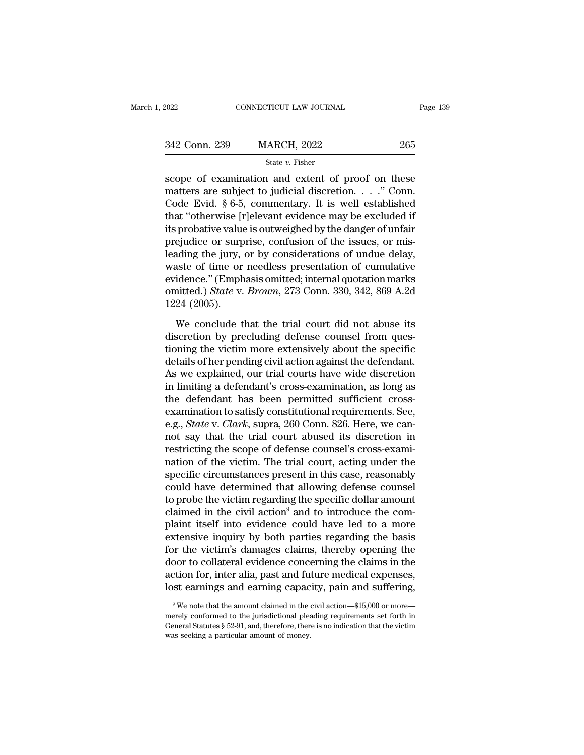| 2022          | CONNECTICUT LAW JOURNAL | Page 139 |
|---------------|-------------------------|----------|
| 342 Conn. 239 | <b>MARCH, 2022</b>      | 265      |
|               | State $v$ . Fisher      |          |

Figure 2022<br>
State v. Fisher<br>
Scope of examination and extent of proof on these<br>
matters are subject to judicial discretion. . . . " Conn.<br>
Code Frid, 8.6.5, commontory, It is well ostablished 342 Conn. 239 MARCH, 2022 265<br>
State v. Fisher<br>
scope of examination and extent of proof on these<br>
matters are subject to judicial discretion. . . ." Conn.<br>
Code Evid. § 6-5, commentary. It is well established<br>
that "othe 342 Conn. 239 MARCH, 2022 265<br>
State v. Fisher<br>
State v. Fisher<br>
Scope of examination and extent of proof on these<br>
matters are subject to judicial discretion. . . . " Conn.<br>
Code Evid. § 6-5, commentary. It is well estab 342 Conn. 239 MARCH, 2022 265<br>
State v. Fisher<br>
Scope of examination and extent of proof on these<br>
matters are subject to judicial discretion. . . . " Conn.<br>
Code Evid. § 6-5, commentary. It is well established<br>
that "oth State *v*. Fisher<br>
scope of examination and extent of proof on these<br>
matters are subject to judicial discretion. . . . ." Conn.<br>
Code Evid. § 6-5, commentary. It is well established<br>
that "otherwise [r]elevant evidence m state v. Fisher<br>scope of examination and extent of proof on these<br>matters are subject to judicial discretion. . . . ." Conn.<br>Code Evid. § 6-5, commentary. It is well established<br>that "otherwise [r]elevant evidence may be scope of examination and extent of proof on these<br>matters are subject to judicial discretion. . . ." Conn.<br>Code Evid. § 6-5, commentary. It is well established<br>that "otherwise [r]elevant evidence may be excluded if<br>its pr matters are subject to judicial discretion. . . ." Conn.<br>Code Evid. § 6-5, commentary. It is well established<br>that "otherwise [r]elevant evidence may be excluded if<br>its probative value is outweighed by the danger of unfai Code Evid. § 6-5, commentary. It is well established<br>that "otherwise [r]elevant evidence may be excluded if<br>its probative value is outweighed by the danger of unfair<br>prejudice or surprise, confusion of the issues, or misthat "otherwise [r]elevant evidence may be excluded if<br>its probative value is outweighed by the danger of unfair<br>prejudice or surprise, confusion of the issues, or mis-<br>leading the jury, or by considerations of undue delay its probative value<br>prejudice or surp<br>leading the jury,<br>waste of time or<br>evidence." (Emph<br>omitted.) State v.<br>1224 (2005).<br>We conclude t Maing the jury, or by considerations of undue delay,<br>aste of time or needless presentation of cumulative<br>idence." (Emphasis omitted; internal quotation marks<br>nitted.) State v. Brown, 273 Conn. 330, 342, 869 A.2d<br>24 (2005) waste of time or needless presentations of unulative<br>evidence." (Emphasis omitted; internal quotation marks<br>omitted.) State v. Brown, 273 Conn. 330, 342, 869 A.2d<br>1224 (2005).<br>We conclude that the trial court did not abus

Fractionic ST interaction of calculation of calculations evidence." (Emphasis omitted; internal quotation marks omitted.) *State v. Brown*, 273 Conn. 330, 342, 869 A.2d 1224 (2005).<br>We conclude that the trial court did no omitted.) *State* v. *Brown*, 273 Conn. 330, 342, 869 A.2d<br>1224 (2005).<br>We conclude that the trial court did not abuse its<br>discretion by precluding defense counsel from ques-<br>tioning the victim more extensively about the s 1224 (2005).<br>We conclude that the trial court did not abuse its<br>discretion by precluding defense counsel from ques-<br>tioning the victim more extensively about the specific<br>details of her pending civil action against the de We conclude that the trial court did not abuse its<br>discretion by precluding defense counsel from ques-<br>tioning the victim more extensively about the specific<br>details of her pending civil action against the defendant.<br>As we We conclude that the trial court did not abuse its<br>discretion by precluding defense counsel from ques-<br>tioning the victim more extensively about the specific<br>details of her pending civil action against the defendant.<br>As we discretion by precluding defense counsel from questioning the victim more extensively about the specific<br>details of her pending civil action against the defendant.<br>As we explained, our trial courts have wide discretion<br>in tioning the victim more extensively about the specific<br>details of her pending civil action against the defendant.<br>As we explained, our trial courts have wide discretion<br>in limiting a defendant's cross-examination, as long details of her pending civil action against the defendant.<br>As we explained, our trial courts have wide discretion<br>in limiting a defendant's cross-examination, as long as<br>the defendant has been permitted sufficient cross-<br>e As we explained, our trial courts have wide discretion<br>in limiting a defendant's cross-examination, as long as<br>the defendant has been permitted sufficient cross-<br>examination to satisfy constitutional requirements. See,<br>e. in limiting a defendant's cross-examination, as long as<br>the defendant has been permitted sufficient cross-<br>examination to satisfy constitutional requirements. See,<br>e.g., *State* v. *Clark*, supra, 260 Conn. 826. Here, we c the defendant has been permitted sufficient cross-<br>examination to satisfy constitutional requirements. See,<br>e.g., *State* v. *Clark*, supra, 260 Conn. 826. Here, we can-<br>not say that the trial court abused its discretion i examination to satisfy constitutional requirements. See,<br>e.g., *State* v. *Clark*, supra, 260 Conn. 826. Here, we can-<br>not say that the trial court abused its discretion in<br>restricting the scope of defense counsel's cross e.g., *State* v. *Clark*, supra, 260 Conn. 826. Here, we cannot say that the trial court abused its discretion in restricting the scope of defense counsel's cross-examination of the victim. The trial court, acting under t not say that the trial court abused its discretion in<br>restricting the scope of defense counsel's cross-exami-<br>nation of the victim. The trial court, acting under the<br>specific circumstances present in this case, reasonably<br> restricting the scope of defense counsel's cross-exami-<br>nation of the victim. The trial court, acting under the<br>specific circumstances present in this case, reasonably<br>could have determined that allowing defense counsel<br>to nation of the victim. The trial court, acting under the<br>specific circumstances present in this case, reasonably<br>could have determined that allowing defense counsel<br>to probe the victim regarding the specific dollar amount<br>c specific circumstances present in this case, reasonably<br>could have determined that allowing defense counsel<br>to probe the victim regarding the specific dollar amount<br>claimed in the civil action<sup>9</sup> and to introduce the com-<br> could have determined that allowing defense counsel<br>to probe the victim regarding the specific dollar amount<br>claimed in the civil action<sup>9</sup> and to introduce the com-<br>plaint itself into evidence could have led to a more<br>ext to probe the victim regarding the specific dollar amount<br>claimed in the civil action<sup>9</sup> and to introduce the com-<br>plaint itself into evidence could have led to a more<br>extensive inquiry by both parties regarding the basis<br>f claimed in the civil action<sup>9</sup> and to introduce the complaint itself into evidence could have led to a more extensive inquiry by both parties regarding the basis for the victim's damages claims, thereby opening the door t or the victim's damages claims, thereby opening the<br>oor to collateral evidence concerning the claims in the<br>cition for, inter alia, past and future medical expenses,<br>st earnings and earning capacity, pain and suffering,<br><sup>9</sup> door to collateral evidence concerning the claims in the action for, inter alia, past and future medical expenses, lost earnings and earning capacity, pain and suffering,<br><sup>9</sup> We note that the amount claimed in the civil ac

action for, inter alia, past and future medical expenses,<br>lost earnings and earning capacity, pain and suffering,<br><sup>9</sup>We note that the amount claimed in the civil action—\$15,000 or more—<br>merely conformed to the jurisdiction was seeking and earning capace<br>
<sup>9</sup> We note that the amount claimed in the merely conformed to the jurisdictional pleader<br>
General Statutes § 52-91, and, therefore, there was seeking a particular amount of money.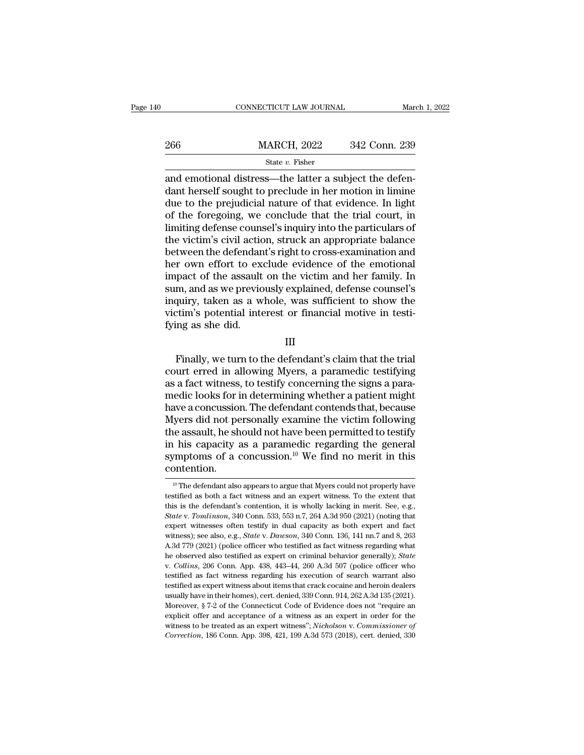|     | CONNECTICUT LAW JOURNAL                                                                                                                                                       | March 1, 2022 |
|-----|-------------------------------------------------------------------------------------------------------------------------------------------------------------------------------|---------------|
| 266 | <b>MARCH, 2022</b>                                                                                                                                                            | 342 Conn. 239 |
|     | State $v$ . Fisher                                                                                                                                                            |               |
|     | and emotional distress—the latter a subject the defen-<br>dant herself sought to preclude in her motion in limine<br>duo to the projudicial pature of that ovidence. In light |               |

 $\begin{array}{r} \text{266} \text{MARCH, 2022} \text{342 Conn. 239} \\ \text{State } v. \text{ Fisher} \end{array}$  and emotional distress—the latter a subject the defendant herself sought to preclude in her motion in limine due to the prejudicial nature of that evidence. In l 266 MARCH, 2022 342 Conn. 239<br>
State v. Fisher<br>
and emotional distress—the latter a subject the defendant herself sought to preclude in her motion in limine<br>
due to the prejudicial nature of that evidence. In light<br>
of th 266 MARCH, 2022 342 Conn. 239<br>
State v. Fisher<br>
and emotional distress—the latter a subject the defendant herself sought to preclude in her motion in limine<br>
due to the prejudicial nature of that evidence. In light<br>
of th State v. Fisher<br>
State v. Fisher<br>
and emotional distress—the latter a subject the defendant herself sought to preclude in her motion in limine<br>
due to the prejudicial nature of that evidence. In light<br>
of the foregoing, w state v. Fisher<br>and emotional distress—the latter a subject the defen-<br>dant herself sought to preclude in her motion in limine<br>due to the prejudicial nature of that evidence. In light<br>of the foregoing, we conclude that th and emotional distress—the latter a subject the defendant herself sought to preclude in her motion in limine<br>due to the prejudicial nature of that evidence. In light<br>of the foregoing, we conclude that the trial court, in<br>l dant herself sought to preclude in her motion in limine<br>due to the prejudicial nature of that evidence. In light<br>of the foregoing, we conclude that the trial court, in<br>limiting defense counsel's inquiry into the particular due to the prejudicial nature of that evidence. In light<br>of the foregoing, we conclude that the trial court, in<br>limiting defense counsel's inquiry into the particulars of<br>the victim's civil action, struck an appropriate ba of the foregoing, we conclude that the trial court, in<br>limiting defense counsel's inquiry into the particulars of<br>the victim's civil action, struck an appropriate balance<br>between the defendant's right to cross-examination limiting defense counsel's inquiry into the particulars of<br>the victim's civil action, struck an appropriate balance<br>between the defendant's right to cross-examination and<br>her own effort to exclude evidence of the emotional the victim's civil action, struck an appropriate balance<br>between the defendant's right to cross-examination and<br>her own effort to exclude evidence of the emotional<br>impact of the assault on the victim and her family. In<br>sum between the defendan<br>her own effort to exampact of the assault<br>sum, and as we previo<br>inquiry, taken as a w<br>victim's potential inte<br>fying as she did. Finally, taken as a whole, was sufficient to show the<br>tim's potential interest or financial motive in testi-<br>ing as she did.<br>III<br>Finally, we turn to the defendant's claim that the trial<br>urt erred in allowing Myers, a param

III

Example in a set of process and solely separate of the solel indication is potential interest or financial motive in testifying as she did.<br>
III<br>
Finally, we turn to the defendant's claim that the trial<br>
court erred in all Figures), there is a factorical motive in testi-<br>victim's potential interest or financial motive in testi-<br>fying as she did.<br>III<br>Finally, we turn to the defendant's claim that the trial<br>court erred in allowing Myers, a par media is a she did.<br>
III<br>
Finally, we turn to the defendant's claim that the trial<br>
court erred in allowing Myers, a paramedic testifying<br>
as a fact witness, to testify concerning the signs a para-<br>
medic looks for in dete Finally, we turn to the defendant's claim that the trial<br>court erred in allowing Myers, a paramedic testifying<br>as a fact witness, to testify concerning the signs a para-<br>medic looks for in determining whether a patient mig Finally, we turn to the defendant's claim that the trial<br>court erred in allowing Myers, a paramedic testifying<br>as a fact witness, to testify concerning the signs a para-<br>medic looks for in determining whether a patient mig Finally, we turn to the defendant's claim that the trial<br>court erred in allowing Myers, a paramedic testifying<br>as a fact witness, to testify concerning the signs a para-<br>medic looks for in determining whether a patient mi court erred in allowing Myers, a paramedic testifying<br>as a fact witness, to testify concerning the signs a para-<br>medic looks for in determining whether a patient might<br>have a concussion. The defendant contends that, becaus as a fact witness, to testify concerning the signs a para-<br>medic looks for in determining whether a patient might<br>have a concussion. The defendant contends that, because<br>Myers did not personally examine the victim followin contention. 10 The defendant also appears to argue that Myers could not properly have uniforms of a concussion.<sup>10</sup> We find no merit in this ontention.<br><sup>10</sup> The defendant also appears to argue that Myers could not properly have stifi in his capacity as a paramedic regarding the general symptoms of a concussion.<sup>10</sup> We find no merit in this contention.<br>
<sup>10</sup> The defendant also appears to argue that Myers could not properly have testified as both a fact

symptoms of a concussion.<sup>10</sup> We find no merit in this contention.<br>
<sup>10</sup> The defendant also appears to argue that Myers could not properly have testified as both a fact witness and an expert witness. To the extent that th **Contention.**<br><sup>10</sup> The defendant also appears to argue that Myers could not properly have testified as both a fact witness and an expert witness. To the extent that this is the defendant's contention, it is wholly lacking Fortention.<br>
<sup>10</sup> The defendant also appears to argue that Myers could not properly have testified as both a fact witness and an expert witness. To the extent that this is the defendant's contention, it is wholly lacking <sup>10</sup> The defendant also appears to argue that Myers could not properly have testified as both a fact witness and an expert witness. To the extent that this is the defendant's contention, it is wholly lacking in merit. See, testified as both a fact witness and an expert witness. To the extent that<br>this is the defendant's contention, it is wholly lacking in merit. See, e.g.,<br>*State v. Tomlinson*, 340 Conn. 533, 553 n.7, 264 A.3d 950 (2021) (n this is the defendant's contention, it is wholly lacking in merit. See, e.g., *State* v. *Tomlinson*, 340 Conn. 533, 553 n.7, 264 A.3d 950 (2021) (noting that expert witnesses often testify in dual capacity as both expert expert witnesses often testify in dual capacity as both expert and fact witness); see also, e.g., *State* v. *Dawson*, 340 Conn. 136, 141 nn.7 and 8, 263 A.3d 779 (2021) (police officer who testified as fact witness regard teriors. See also, e.g., *State v. Dawson*, 340 Conn. 136, 141 nn.7 and 8, 263<br>A.3d 779 (2021) (police officer who testified as fact witness regarding what<br>he observed also testified as expert on criminal behavior generall A.3d 779 (2021) (police officer who testified as fact witness regarding what he observed also testified as expert on criminal behavior generally); *State* v. *Collins*, 206 Conn. App. 438, 443–44, 260 A.3d 507 (police off The observed also testified as expert on criminal behavior generally); *State* v. *Collins*, 206 Conn. App. 438, 443–44, 260 A.3d 507 (police officer who testified as fact witness regarding his execution of search warrant explicit offer and acceptance of a witness as an expert in order for the witness to be reach warrant also testified as fact witness regarding his execution of search warrant also testified as expert witness about items tha testified as fact witness regarding his execution of search warrant also<br>testified as expert witness about items that crack cocaine and heroin dealers<br>usually have in their homes), cert. denied, 339 Conn. 914, 262 A.3d 135 usually have in their homes), cert. denied, 339 Conn. 914, 262 A.3d 135 (2021).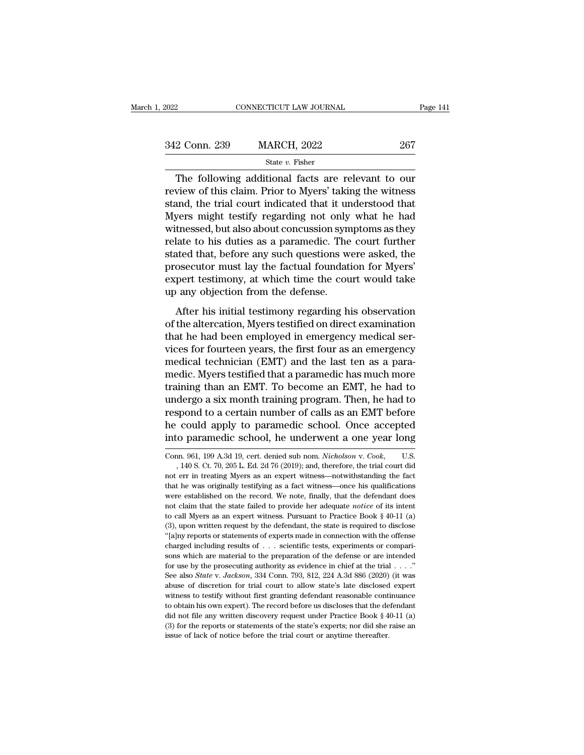| 2022          | CONNECTICUT LAW JOURNAL                                                                                                                                                   | Page 141 |
|---------------|---------------------------------------------------------------------------------------------------------------------------------------------------------------------------|----------|
|               |                                                                                                                                                                           |          |
| 342 Conn. 239 | <b>MARCH, 2022</b>                                                                                                                                                        | 267      |
|               | State $v$ . Fisher                                                                                                                                                        |          |
|               | The following additional facts are relevant to our<br>review of this claim. Prior to Myers' taking the witness<br>stand the trial court indicated that it understood that |          |

342 Conn. 239 MARCH, 2022 267<br>
State  $v$ . Fisher<br>
The following additional facts are relevant to our<br>
review of this claim. Prior to Myers' taking the witness<br>
stand, the trial court indicated that it understood that<br>
Mye  $\frac{342 \text{ Conn. } 239 \qquad \text{MARCH, } 2022 \qquad \qquad 267 \qquad \text{State } v. \text{ Fisher}}{\text{The following additional facts are relevant to our review of this claim. Prior to Myers' taking the witness stand, the trial court indicated that it understood that Myers might testing regarding not only what he had witnessed but also about conversion symptoms as they.}$ 342 Conn. 239 MARCH, 2022 267<br>
State v. Fisher<br>
The following additional facts are relevant to our<br>
review of this claim. Prior to Myers' taking the witness<br>
stand, the trial court indicated that it understood that<br>
Myers State  $v$ . Fisher<br>
The following additional facts are relevant to our<br>
review of this claim. Prior to Myers' taking the witness<br>
stand, the trial court indicated that it understood that<br>
Myers might testify regarding not State v. Fisher<br>The following additional facts are relevant to our<br>review of this claim. Prior to Myers' taking the witness<br>stand, the trial court indicated that it understood that<br>Myers might testify regarding not only w The following additional facts are relevant to our<br>review of this claim. Prior to Myers' taking the witness<br>stand, the trial court indicated that it understood that<br>Myers might testify regarding not only what he had<br>witnes review of this claim. Prior to Myers' taking the witness<br>stand, the trial court indicated that it understood that<br>Myers might testify regarding not only what he had<br>witnessed, but also about concussion symptoms as they<br>rel stand, the trial court indicated that it understood that<br>Myers might testify regarding not only what he had<br>witnessed, but also about concussion symptoms as they<br>relate to his duties as a paramedic. The court further<br>state Myers might testify regarding not only<br>witnessed, but also about concussion syn<br>relate to his duties as a paramedic. The<br>stated that, before any such questions w<br>prosecutor must lay the factual foundat:<br>expert testimony, a After his initial testimony regarding his observation and the secution of the court further<br>ated that, before any such questions were asked, the<br>osecutor must lay the factual foundation for Myers'<br>pert testimony, at which Folder that data as a parameter of the court rate of stated that, before any such questions were asked, the prosecutor must lay the factual foundation for Myers' expert testimony, at which time the court would take up any

prosecutor must lay the factual foundation for Myers'<br>expert testimony, at which time the court would take<br>up any objection from the defense.<br>After his initial testimony regarding his observation<br>of the altercation, Myers expert testimony, at which time the court would take<br>up any objection from the defense.<br>After his initial testimony regarding his observation<br>of the altercation, Myers testified on direct examination<br>that he had been emplo media technician (EMT) and the last ten as a para-<br>media testimony regarding his observation<br>of the altercation, Myers testified on direct examination<br>that he had been employed in emergency medical ser-<br>vices for fourteen After his initial testimony regarding his observation<br>of the altercation, Myers testified on direct examination<br>that he had been employed in emergency medical ser-<br>vices for fourteen years, the first four as an emergency<br>m After his initial testimony regarding his observation<br>of the altercation, Myers testified on direct examination<br>that he had been employed in emergency medical ser-<br>vices for fourteen years, the first four as an emergency<br>m of the altercation, Myers testified on direct examination<br>that he had been employed in emergency medical ser-<br>vices for fourteen years, the first four as an emergency<br>medical technician (EMT) and the last ten as a para-<br>me that he had been employed in emergency medical services for fourteen years, the first four as an emergency medical technician (EMT) and the last ten as a paramedic. Myers testified that a paramedic has much more training t vices for fourteen years, the first four as an emergency<br>medical technician (EMT) and the last ten as a para-<br>medic. Myers testified that a paramedic has much more<br>training than an EMT. To become an EMT, he had to<br>undergo medical technician (EMT) and the last ten as a para-<br>medic. Myers testified that a paramedic has much more<br>training than an EMT. To become an EMT, he had to<br>undergo a six month training program. Then, he had to<br>respond to undergo a six month training program. Then, he had to<br>respond to a certain number of calls as an EMT before<br>he could apply to paramedic school. Once accepted<br>into paramedic school, he underwent a one year long<br> $\overline{\text{Conn. 96$ spond to a certain number of calls as an EMT before<br>could apply to paramedic school. Once accepted<br>o paramedic school, he underwent a one year long<br>nn. 961, 199 A.3d 19, cert. denied sub nom. *Nicholson* v. Cook, U.S.<br>140

he could apply to paramedic school. Once accepted<br>into paramedic school, he underwent a one year long<br>Conn. 961, 199 A.3d 19, cert. denied sub nom. *Nicholson v. Cook*, U.S.<br>, 140 S. Ct. 70, 205 L. Ed. 2d 76 (2019); and, t into paramedic school, he underwent a one year long<br>Conn. 961, 199 A.3d 19, cert. denied sub nom. *Nicholson v. Cook*, U.S.<br>, 140 S. Ct. 70, 205 L. Ed. 2d 76 (2019); and, therefore, the trial court did<br>not err in treating Conn. 961, 199 A.3d 19, cert. denied sub nom. *Nicholson v. Cook*, U.S.<br>
140 S. Ct. 70, 205 L. Ed. 2d 76 (2019); and, therefore, the trial court did<br>
not err in treating Myers as an expert witness—notwithstanding the fact<br> Conn. 961, 199 A.3d 19, cert. denied sub nom. *Nicholson* v. Cook, U.S.<br>, 140 S. Ct. 70, 205 L. Ed. 2d 76 (2019); and, therefore, the trial court did<br>not err in treating Myers as an expert witness—notwithstanding the fact<br> , 140 S. Ct. 70, 205 L. Ed. 2d 76 (2019); and, therefore, the trial court did not err in treating Myers as an expert witness—notwithstanding the fact that he was originally testifying as a fact witness—note his qualificat of the twisted of the defendant of the fact that he was originally testifying as a fact witness—notwithstanding the fact that he was originally testifying as a fact witness—nore his qualifications were established on the The value of the was originally testifying as a fact witness—once his qualifications were established on the record. We note, finally, that the defendant does not claim that the state failed to provide her adequate *notic* were established on the record. We note, finally, that the defendant does not claim that the state failed to provide her adequate *notice* of its intent to call Myers as an expert witness. Pursuant to Practice Book § 40-1 not claim that the state failed to provide her adequate *notice* of its intent to call Myers as an expert witness. Pursuant to Practice Book § 40-11 (a) (3), upon written request by the defendant, the state is required to for use by the prosecuting authority as evidence in chief at the trial . . . .'' (3), upon written request by the defendant, the state is required to disclose "[a]ny reports or statements of experts made in connection with the offense charged including results of  $\ldots$  scientific tests, experiments or (a) up the interests of experts made in connection with the offense charged including results of . . . scientific tests, experiments or comparisons which are material to the preparation of the defense or are intended for can be interesting assess to the preparation of the defense or are intended for use by the prosecuting authority as evidence in chief at the trial  $\ldots$ ."<br>See also *State v. Jackson*, 334 Conn. 793, 812, 224 A.3d 886 (202 sons which are material to the preparation of the defense or are intended for use by the prosecuting authority as evidence in chief at the trial  $\ldots$ ."<br>See also *State* v. *Jackson*, 334 Conn. 793, 812, 224 A.3d 886 (202 for use by the prosecuting authority as evidence in chief at the trial . . . ."<br>See also *State* v. *Jackson*, 334 Conn. 793, 812, 224 A.3d 886 (2020) (it was<br>abuse of discretion for trial court to allow state's late disc See also *State* v. *Jackson*, 334 Conn. 793, 812, 224 A.3d 886 (2020) (it was abuse of discretion for trial court to allow state's late disclosed expert witness to testify without first granting defendant reasonable cont witness to testify without first granting defendant reasonable continuance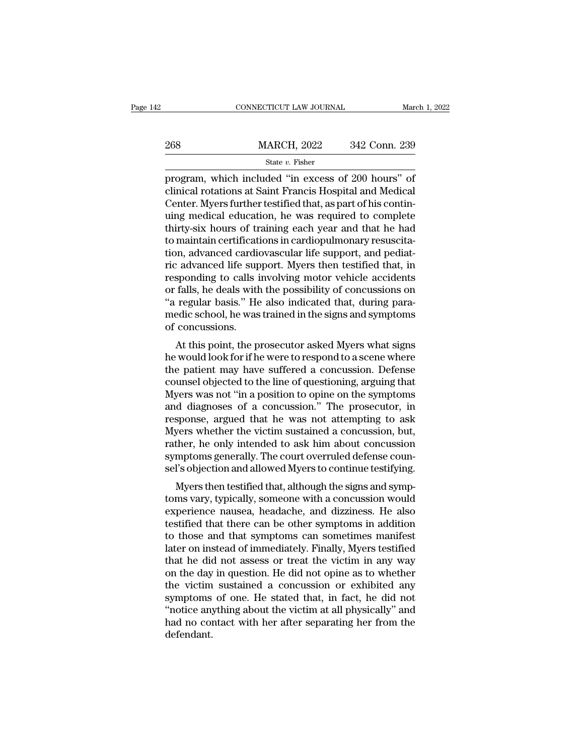|     | CONNECTICUT LAW JOURNAL                                                                                                                                                       | March 1, 2022 |
|-----|-------------------------------------------------------------------------------------------------------------------------------------------------------------------------------|---------------|
| 268 | <b>MARCH, 2022</b>                                                                                                                                                            | 342 Conn. 239 |
|     | State $v$ . Fisher                                                                                                                                                            |               |
|     | program, which included "in excess of 200 hours" of<br>clinical rotations at Saint Francis Hospital and Medical<br>Contor Myors further tostified that as next of his conting |               |

268 MARCH, 2022 342 Conn. 239<br>
State v. Fisher<br>
program, which included "in excess of 200 hours" of<br>
clinical rotations at Saint Francis Hospital and Medical<br>
Center. Myers further testified that, as part of his continuing 268 MARCH, 2022 342 Conn. 239<br>
State v. Fisher<br>
program, which included "in excess of 200 hours" of<br>
clinical rotations at Saint Francis Hospital and Medical<br>
Center. Myers further testified that, as part of his contin-<br> 268 MARCH, 2022 342 Conn. 239<br>  $\frac{\text{State } v. \text{ Fisher}}{\text{program, which included "in excess of 200 hours" of  
\nclinical rotations at Saint Francis Hospital and Medical  
\nCenter. Myers further testified that, as part of his continuing medical education, he was required to complete  
\nthirty-six hours of training each year and that he had  
\nto maintain certificates in cardioullmany results.$ State v. Fisher<br>
State v. Fisher<br>
program, which included "in excess of 200 hours" of<br>
clinical rotations at Saint Francis Hospital and Medical<br>
Center. Myers further testified that, as part of his contin-<br>
uing medical e state v. Fisher<br>program, which included "in excess of 200 hours" of<br>clinical rotations at Saint Francis Hospital and Medical<br>Center. Myers further testified that, as part of his contin-<br>uing medical education, he was requi program, which included "in excess of 200 hours" of clinical rotations at Saint Francis Hospital and Medical Center. Myers further testified that, as part of his continuing medical education, he was required to complete th clinical rotations at Saint Francis Hospital and Medical<br>Center. Myers further testified that, as part of his contin-<br>uing medical education, he was required to complete<br>thirty-six hours of training each year and that he h Center. Myers further testified that, as part of his contin-<br>uing medical education, he was required to complete<br>thirty-six hours of training each year and that he had<br>to maintain certifications in cardiopulmonary resuscit uing medical education, he was required to complete<br>thirty-six hours of training each year and that he had<br>to maintain certifications in cardiopulmonary resuscita-<br>tion, advanced cardiovascular life support, and pediat-<br>ri thirty-six hours of training each year and that he had<br>to maintain certifications in cardiopulmonary resuscita-<br>tion, advanced cardiovascular life support, and pediat-<br>ric advanced life support. Myers then testified that, to maintain certifications in cardiopulmonary resuscitation, advanced cardiovascular life support, and pediatric advanced life support. Myers then testified that, in responding to calls involving motor vehicle accidents or tion, advanced cardiving<br>ric advanced life sup<br>responding to calls i<br>or falls, he deals with<br>"a regular basis." He<br>medic school, he was<br>of concussions.<br>At this point, the p Fatter and support. Myers then testined that, in<br>sponding to calls involving motor vehicle accidents<br>falls, he deals with the possibility of concussions on<br>regular basis." He also indicated that, during para-<br>edic school, responding to cans involving motor venicle accidents<br>or falls, he deals with the possibility of concussions on<br>"a regular basis." He also indicated that, during para-<br>medic school, he was trained in the signs and symptoms<br>

or rans, he deals with the possibility of concussions on<br>"a regular basis." He also indicated that, during para-<br>medic school, he was trained in the signs and symptoms<br>of concussions.<br>At this point, the prosecutor asked My a regular basis. The also indicated that, during para-<br>medic school, he was trained in the signs and symptoms<br>of concussions.<br>At this point, the prosecutor asked Myers what signs<br>he would look for if he were to respond to medic school, he was trained in the signs and symptonts<br>of concussions.<br>At this point, the prosecutor asked Myers what signs<br>he would look for if he were to respond to a scene where<br>the patient may have suffered a concussi and diagnoses of a concussions.<br>
At this point, the prosecutor asked Myers what signs<br>
he would look for if he were to respond to a scene where<br>
the patient may have suffered a concussion. Defense<br>
counsel objected to the At this point, the prosecutor asked Myers what signs<br>he would look for if he were to respond to a scene where<br>the patient may have suffered a concussion. Defense<br>counsel objected to the line of questioning, arguing that<br>My he would look for if he were to respond to a scene where<br>the patient may have suffered a concussion. Defense<br>counsel objected to the line of questioning, arguing that<br>Myers was not "in a position to opine on the symptoms<br>a the patient may have suffered a concussion. Defense<br>counsel objected to the line of questioning, arguing that<br>Myers was not "in a position to opine on the symptoms<br>and diagnoses of a concussion." The prosecutor, in<br>respons counsel objected to the line of questioning, arguing that<br>Myers was not "in a position to opine on the symptoms<br>and diagnoses of a concussion." The prosecutor, in<br>response, argued that he was not attempting to ask<br>Myers wh Myers was not "in a position to opine on the symptoms<br>and diagnoses of a concussion." The prosecutor, in<br>response, argued that he was not attempting to ask<br>Myers whether the victim sustained a concussion, but,<br>rather, he o Myers the testified that he was not attempting to ask<br>yers whether the victim sustained a concussion, but,<br>ther, he only intended to ask him about concussion<br>mptoms generally. The court overruled defense coun-<br>l's objectio response, argued that he was not attempting to ask<br>Myers whether the victim sustained a concussion, but,<br>rather, he only intended to ask him about concussion<br>symptoms generally. The court overruled defense coun-<br>sel's obje

myers whether the victint sustained a concussion, but,<br>rather, he only intended to ask him about concussion<br>symptoms generally. The court overruled defense coun-<br>sel's objection and allowed Myers to continue testifying.<br>My Fainer, he only intended to ask film about concussion<br>symptoms generally. The court overruled defense coun-<br>sel's objection and allowed Myers to continue testifying.<br>Myers then testified that, although the signs and symp-<br> symptoms generally. The court overruled defense counsel's objection and allowed Myers to continue testifying.<br>Myers then testified that, although the signs and symptoms vary, typically, someone with a concussion would<br>expe ser's objection and anowed myers to continue testirying.<br>
Myers then testified that, although the signs and symptoms vary, typically, someone with a concussion would<br>
experience nausea, headache, and dizziness. He also<br>
te Myers then testified that, although the signs and symptoms vary, typically, someone with a concussion would experience nausea, headache, and dizziness. He also testified that there can be other symptoms in addition to thos toms vary, typically, someone with a concussion would<br>experience nausea, headache, and dizziness. He also<br>testified that there can be other symptoms in addition<br>to those and that symptoms can sometimes manifest<br>later on in experience nausea, headache, and dizziness. He also<br>testified that there can be other symptoms in addition<br>to those and that symptoms can sometimes manifest<br>later on instead of immediately. Finally, Myers testified<br>that he testified that there can be other symptoms in addition<br>to those and that symptoms can sometimes manifest<br>later on instead of immediately. Finally, Myers testified<br>that he did not assess or treat the victim in any way<br>on th to those and that symptoms can sometimes manifest<br>later on instead of immediately. Finally, Myers testified<br>that he did not assess or treat the victim in any way<br>on the day in question. He did not opine as to whether<br>the v later on instead of immediately. Finally, Myers testified<br>that he did not assess or treat the victim in any way<br>on the day in question. He did not opine as to whether<br>the victim sustained a concussion or exhibited any<br>symp defendant.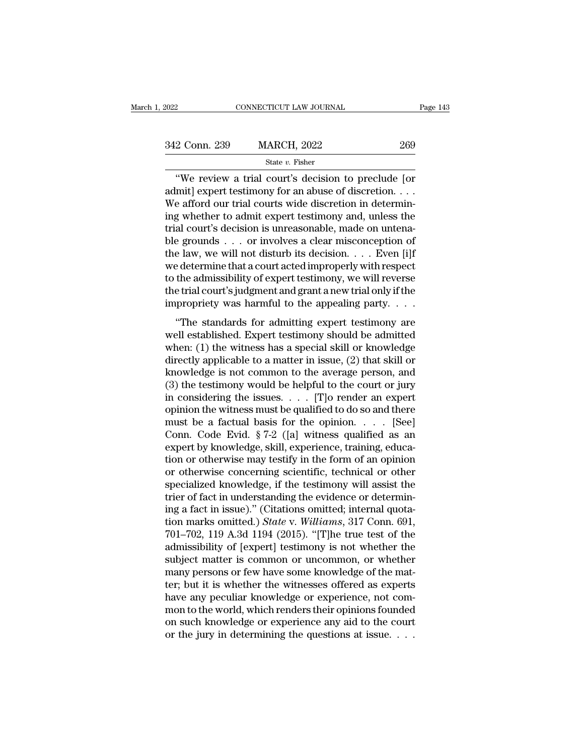| 2022          | CONNECTICUT LAW JOURNAL                                                                                                                                            | Page 143 |
|---------------|--------------------------------------------------------------------------------------------------------------------------------------------------------------------|----------|
|               |                                                                                                                                                                    |          |
| 342 Conn. 239 | <b>MARCH, 2022</b>                                                                                                                                                 | 269      |
|               | State $v$ . Fisher                                                                                                                                                 |          |
|               | "We review a trial court's decision to preclude [or<br>admit expert testimony for an abuse of discretion<br>We afford our trial courts wide discretion in determin |          |

342 Conn. 239 MARCH, 2022 269<br>
State v. Fisher<br>
"We review a trial court's decision to preclude [or admit] expert testimony for an abuse of discretion. . . .<br>
We afford our trial courts wide discretion in determining whet 342 Conn. 239 MARCH, 2022 269<br>
State v. Fisher<br>
"We review a trial court's decision to preclude [or<br>
admit] expert testimony for an abuse of discretion. . . .<br>
We afford our trial courts wide discretion in determin-<br>
ing 342 Conn. 239 MARCH, 2022 269<br>
state v. Fisher<br>
"We review a trial court's decision to preclude [or<br>
admit] expert testimony for an abuse of discretion. . . .<br>
We afford our trial courts wide discretion in determin-<br>
ing 342 Conn. 239 MARCH, 2022 269<br>
State v. Fisher<br>
"We review a trial court's decision to preclude [or admit] expert testimony for an abuse of discretion....<br>
We afford our trial courts wide discretion in determining whether state v. Fisher<br>
"We review a trial court's decision to preclude [or<br>
admit] expert testimony for an abuse of discretion....<br>
We afford our trial courts wide discretion in determin-<br>
ing whether to admit expert testimony "We review a trial court's decision to preclude [or admit] expert testimony for an abuse of discretion. . . . We afford our trial courts wide discretion in determining whether to admit expert testimony and, unless the tri admit] expert testimony for an abuse of discretion. . . .<br>We afford our trial courts wide discretion in determining whether to admit expert testimony and, unless the<br>trial court's decision is unreasonable, made on untena-We afford our trial courts wide discretion in determining whether to admit expert testimony and, unless the trial court's decision is unreasonable, made on untenable grounds . . . or involves a clear misconception of the l ing whether to admit expert testimony and, unless the<br>trial court's decision is unreasonable, made on untena-<br>ble grounds . . . or involves a clear misconception of<br>the law, we will not disturb its decision. . . . Even [i trial court's decision is unreasonable, made on untenable grounds . . . or involves a clear misconception of the law, we will not disturb its decision. . . . Even [i]f we determine that a court acted improperly with respe  $\epsilon$  law, we will not disturb its decision.  $\ldots$  Even [i]f<br>  $\epsilon$  determine that a court acted improperly with respect<br>
the admissibility of expert testimony, we will reverse<br>
e trial court's judgment and grant a new tria we determine that a court acted improperly with respect<br>to the admissibility of expert testimony, we will reverse<br>the trial court's judgment and grant a new trial only if the<br>impropriety was harmful to the appealing party

we determine and court detect improperty with respect to the admissibility of expert testimony, we will reverse the trial court's judgment and grant a new trial only if the impropriety was harmful to the appealing party. the trial court's judgment and grant a new trial only if the<br>the trial court's judgment and grant a new trial only if the<br>impropriety was harmful to the appealing party.  $\dots$ <br>"The standards for admitting expert testimony impropriety was harmful to the appealing party.  $\dots$ <br>
"The standards for admitting expert testimony are<br>
well established. Expert testimony should be admitted<br>
when: (1) the witness has a special skill or knowledge<br>
direc "The standards for admitting expert testimony are<br>well established. Expert testimony should be admitted<br>when: (1) the witness has a special skill or knowledge<br>directly applicable to a matter in issue, (2) that skill or<br>kn "The standards for admitting expert testimony are<br>well established. Expert testimony should be admitted<br>when: (1) the witness has a special skill or knowledge<br>directly applicable to a matter in issue, (2) that skill or<br>kn well established. Expert testimony should be admitted<br>when: (1) the witness has a special skill or knowledge<br>directly applicable to a matter in issue, (2) that skill or<br>knowledge is not common to the average person, and<br>( when: (1) the witness has a special skill or knowledge<br>directly applicable to a matter in issue, (2) that skill or<br>knowledge is not common to the average person, and<br>(3) the testimony would be helpful to the court or jury directly applicable to a matter in issue, (2) that skill or<br>knowledge is not common to the average person, and<br>(3) the testimony would be helpful to the court or jury<br>in considering the issues. . . . [T]o render an expert knowledge is not common to the average person, and<br>
(3) the testimony would be helpful to the court or jury<br>
in considering the issues.  $\ldots$  [T]o render an expert<br>
opinion the witness must be qualified to do so and there (3) the testimony would be helpful to the court or jury<br>in considering the issues. . . . [T]o render an expert<br>opinion the witness must be qualified to do so and there<br>must be a factual basis for the opinion. . . . . [See in considering the issues. . . . . [T]o render an expert<br>opinion the witness must be qualified to do so and there<br>must be a factual basis for the opinion. . . . [See]<br>Conn. Code Evid. § 7-2 ([a] witness qualified as an<br>ex opinion the witness must be qualified to do so and there<br>must be a factual basis for the opinion. . . . . [See]<br>Conn. Code Evid. § 7-2 ([a] witness qualified as an<br>expert by knowledge, skill, experience, training, educa-<br> must be a factual basis for the opinion. . . . . [See]<br>Conn. Code Evid. § 7-2 ([a] witness qualified as an<br>expert by knowledge, skill, experience, training, educa-<br>tion or otherwise may testify in the form of an opinion<br>o Conn. Code Evid. § 7-2 ([a] witness qualified as an expert by knowledge, skill, experience, training, education or otherwise may testify in the form of an opinion or otherwise concerning scientific, technical or other spe expert by knowledge, skill, experience, training, education or otherwise may testify in the form of an opinion<br>or otherwise concerning scientific, technical or other<br>specialized knowledge, if the testimony will assist the<br> tion or otherwise may testify in the form of an opinion<br>or otherwise concerning scientific, technical or other<br>specialized knowledge, if the testimony will assist the<br>trier of fact in understanding the evidence or determin or otherwise concerning scientific, technical or other<br>specialized knowledge, if the testimony will assist the<br>trier of fact in understanding the evidence or determin-<br>ing a fact in issue)." (Citations omitted; internal qu specialized knowledge, if the testimony will assist the<br>trier of fact in understanding the evidence or determin-<br>ing a fact in issue)." (Citations omitted; internal quota-<br>tion marks omitted.) *State* v. *Williams*, 317 Co trier of fact in understanding the evidence or determining a fact in issue)." (Citations omitted; internal quotation marks omitted.) *State* v. *Williams*, 317 Conn. 691, 701–702, 119 A.3d 1194 (2015). "[T]he true test of ing a fact in issue)." (Citations omitted; internal quotation marks omitted.) *State* v. *Williams*, 317 Conn. 691, 701–702, 119 A.3d 1194 (2015). "[T]he true test of the admissibility of [expert] testimony is not whether tion marks omitted.) *State v. Williams*, 317 Conn. 691, 701–702, 119 A.3d 1194 (2015). "[T]he true test of the admissibility of [expert] testimony is not whether the subject matter is common or uncommon, or whether many p 701–702, 119 A.3d 1194 (2015). "[T]he true test of the<br>admissibility of [expert] testimony is not whether the<br>subject matter is common or uncommon, or whether<br>many persons or few have some knowledge of the mat-<br>ter; but it admissibility of [expert] testimony is not whether the<br>subject matter is common or uncommon, or whether<br>many persons or few have some knowledge of the mat-<br>ter; but it is whether the witnesses offered as experts<br>have any p subject matter is common or uncommon, or whether<br>many persons or few have some knowledge of the mat-<br>ter; but it is whether the witnesses offered as experts<br>have any peculiar knowledge or experience, not com-<br>mon to the wo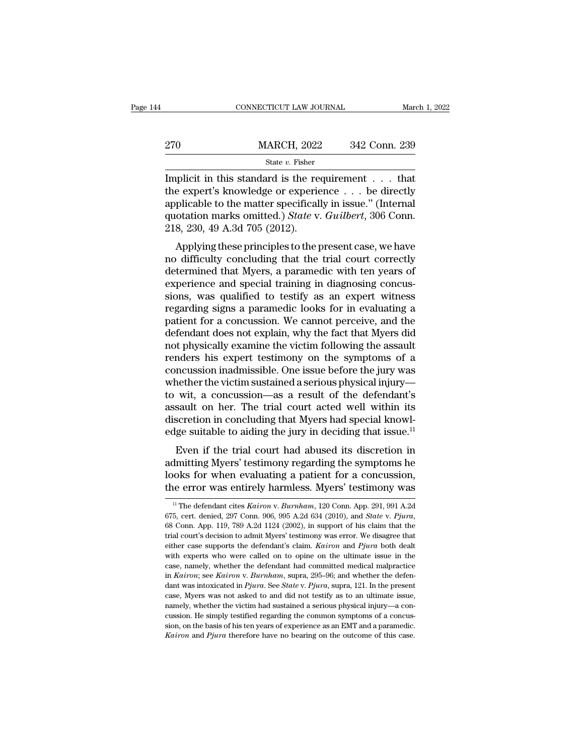|     | CONNECTICUT LAW JOURNAL | March 1, 2022 |  |
|-----|-------------------------|---------------|--|
|     |                         |               |  |
| 270 | <b>MARCH, 2022</b>      | 342 Conn. 239 |  |
|     | State $v$ . Fisher      |               |  |

CONNECTICUT LAW JOURNAL March 1, 202:<br>  $\begin{array}{r}\n 270 \hspace{1.5cm} \text{MARCH, 2022} \hspace{1.5cm} 342 \text{ Conn. } 239 \\
 \hline\n \text{State } v. \text{ Fisher} \\
 \hline\n \end{array}$ Implicit in this standard is the requirement . . . that<br>
the expert's knowledge or experience . 270 MARCH, 2022 342 Conn. 239<br>
State v. Fisher<br>
Implicit in this standard is the requirement . . . that<br>
the expert's knowledge or experience . . . be directly<br>
applicable to the matter specifically in issue." (Internal<br> 270 MARCH, 2022 342 Conn. 239<br>
State v. Fisher<br>
Implicit in this standard is the requirement . . . that<br>
the expert's knowledge or experience . . . be directly<br>
applicable to the matter specifically in issue.'' (Internal<br>  $\frac{\text{MARCH, 2022}}{\text{State } v. \text{ Fisher}}$ <br>
Implicit in this standard is the requirement . . . that<br>
the expert's knowledge or experience . . . be directly<br>
applicable to the matter specifically in issue." (Internal<br>
quotation marks om  $\begin{array}{c}\n\hline\n\text{State } v. \text{ Fisher} \\
\hline\n\text{Implicit in this standard is the re-} \\
\hline\n\text{Implicit in this standard is the re-} \\
\hline\n\text{applied to the matter specified} \\
\text{quotation marks omitted.}) \text{State v.} \\
\hline\n\text{218, 230, 49 A.3d 705 (2012).} \\
\hline\n\text{Applying these principles to the p-} \\
\hline\n\end{array}$ plicit in this standard is the requirement . . . that<br>e expert's knowledge or experience . . . be directly<br>plicable to the matter specifically in issue." (Internal<br>otation marks omitted.) *State* v. *Guilbert*, 306 Conn.<br> miphot in this standard is the requirement  $\ldots$  that<br>the expert's knowledge or experience  $\ldots$  be directly<br>applicable to the matter specifically in issue." (Internal<br>quotation marks omitted.) *State* v. *Guilbert*, 306

detect a subwedge of experience  $\ldots$  be different applicable to the matter specifically in issue." (Internal quotation marks omitted.) *State v. Guilbert*, 306 Conn. 218, 230, 49 A.3d 705 (2012).<br>Applying these principle applicable to the matter specifically in issue. (internation marks omitted.) *State v. Guilbert*, 306 Conn.<br>218, 230, 49 A.3d 705 (2012).<br>Applying these principles to the present case, we have<br>no difficulty concluding that quotation marks omitted.) state v. Outlook, 300 Conn.<br>218, 230, 49 A.3d 705 (2012).<br>Applying these principles to the present case, we have<br>no difficulty concluding that the trial court correctly<br>determined that Myers, a p Applying these principles to the present case, we have<br>no difficulty concluding that the trial court correctly<br>determined that Myers, a paramedic with ten years of<br>experience and special training in diagnosing concus-<br>sio Applying these principles to the present case, we have<br>no difficulty concluding that the trial court correctly<br>determined that Myers, a paramedic with ten years of<br>experience and special training in diagnosing concus-<br>sion no difficulty concluding that the trial court correctly<br>determined that Myers, a paramedic with ten years of<br>experience and special training in diagnosing concus-<br>sions, was qualified to testify as an expert witness<br>regard determined that Myers, a paramedic with ten years of<br>experience and special training in diagnosing concus-<br>sions, was qualified to testify as an expert witness<br>regarding signs a paramedic looks for in evaluating a<br>patient experience and special training in diagnosing concus-<br>sions, was qualified to testify as an expert witness<br>regarding signs a paramedic looks for in evaluating a<br>patient for a concussion. We cannot perceive, and the<br>defenda sions, was qualified to testify as an expert witness<br>regarding signs a paramedic looks for in evaluating a<br>patient for a concussion. We cannot perceive, and the<br>defendant does not explain, why the fact that Myers did<br>not p regarding signs a paramedic looks for in evaluating a<br>patient for a concussion. We cannot perceive, and the<br>defendant does not explain, why the fact that Myers did<br>not physically examine the victim following the assault<br>re patient for a concussion. We cannot perceive, and the<br>defendant does not explain, why the fact that Myers did<br>not physically examine the victim following the assault<br>renders his expert testimony on the symptoms of a<br>concus defendant does not explain, why the fact that Myers did<br>not physically examine the victim following the assault<br>renders his expert testimony on the symptoms of a<br>concussion inadmissible. One issue before the jury was<br>wheth not physically examine the victim following the assault<br>renders his expert testimony on the symptoms of a<br>concussion inadmissible. One issue before the jury was<br>whether the victim sustained a serious physical injury—<br>to wi renders his expert testimony on the symptoms of a concussion inadmissible. One issue before the jury was whether the victim sustained a serious physical injury—<br>to wit, a concussion—as a result of the defendant's assault incussion madities<br>are the victim sustained a serious physical injury—<br>wit, a concussion—as a result of the defendant's<br>sault on her. The trial court acted well within its<br>scretion in concluding that Myers had special know whether the victim sustained a serious physical nijury—<br>to wit, a concussion—as a result of the defendant's<br>assault on her. The trial court acted well within its<br>discretion in concluding that Myers had special knowl-<br>edge

looks for when evaluating a patient for a concussion and absorption in concluding that Myers had special knowledge suitable to aiding the jury in deciding that issue.<sup>11</sup><br>Even if the trial court had abused its discretion i discretion in concluding that Myers had special knowledge suitable to aiding the jury in deciding that issue.<sup>11</sup><br>Even if the trial court had abused its discretion in<br>admitting Myers' testimony regarding the symptoms he<br>l Even if the trial court had abused its discretion in<br>dmitting Myers' testimony regarding the symptoms he<br>ooks for when evaluating a patient for a concussion,<br>ne error was entirely harmless. Myers' testimony was<br><sup>11</sup> The de

admitting Myers' testimony regarding the symptoms he<br>looks for when evaluating a patient for a concussion,<br>the error was entirely harmless. Myers' testimony was<br><sup>675</sup>, cert. denied, 297 Conn. 906, 995 A.2d 634 (2010), and the error was entirely harmless. Myers' testimony was  $\frac{1}{1}$  The defendant cites *Kairon v. Burnham*, 120 Conn. App. 291, 991 A.2d 675, cert. denied, 297 Conn. 906, 995 A.2d 634 (2010), and *State v. Pjura*, 68 Conn. A <sup>11</sup> The defendant cites *Kairon* v. *Burnham*, 120 Conn. App. 291, 991 A.2d 675, cert. denied, 297 Conn. 906, 995 A.2d 634 (2010), and *State* v. *Pjura*, 68 Conn. App. 119, 789 A.2d 1124 (2002), in support of his claim t <sup>11</sup> The defendant cites *Kairon* v. *Burnham*, 120 Conn. App. 291, 991 A.2d 675, cert. denied, 297 Conn. 906, 995 A.2d 634 (2010), and *State* v. *Pjura*, 68 Conn. App. 119, 789 A.2d 1124 (2002), in support of his claim 675, cert. denied, 297 Conn. 906, 995 A.2d 634 (2010), and *State v. Pjura*, 68 Conn. App. 119, 789 A.2d 1124 (2002), in support of his claim that the trial court's decision to admit Myers' testimony was error. We disagre 68 Conn. App. 119, 789 A.2d 1124 (2002), in support of his claim that the trial court's decision to admit Myers' testimony was error. We disagree that either case supports the defendant's claim. *Kairon* and *Pjura* both d band was intoxicated in *Pjura*. See *State* v. *Pjura*, suppose that the expected in either case supports the defendant's claim. *Kairon* and *Pjura* both dealt with experts who were called on to opine on the ultimate iss either case supports the defendant's claim. *Kairon* and *Pjura* both dealt with experts who were called on to opine on the ultimate issue in the case, namely, whether the defendant had committed medical malpractice in *K* with experts who were called on to opine on the ultimate issue in the case, namely, whether the defendant had committed medical malpractice in *Kairon*; see *Kairon* v. *Burnham*, supra, 295–96; and whether the defendant case, namely, whether the defendant had committed medical malpractice<br>in *Kairon*; see *Kairon* v. *Burnham*, supra, 295–96; and whether the defen-<br>dant was intoxicated in *Pjura*. See *State* v. *Pjura*, supra, 121. In t in Kairon; see Kairon v. Burnham, supra, 295-96; and whether the defendant was intoxicated in Pjura. See State v. Pjura, supra, 121. In the present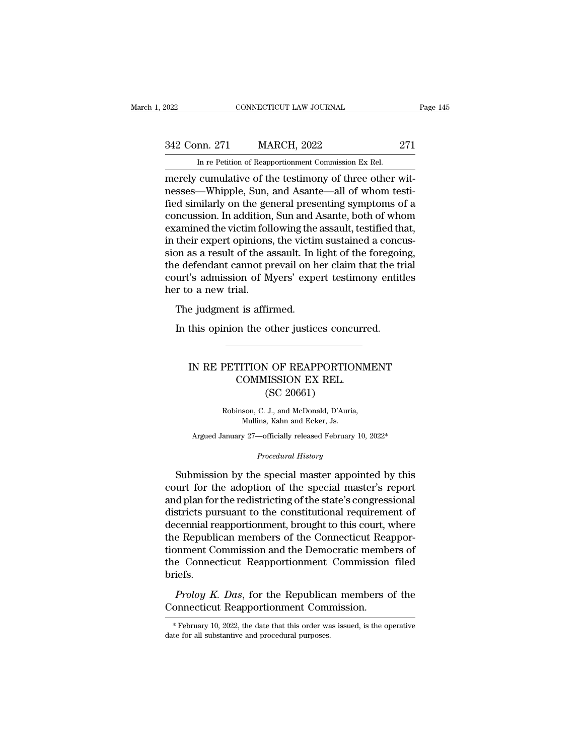# EXECUTE CONNECTICUT LAW JOURNAL Page 145<br>342 Conn. 271 MARCH, 2022 271<br>In re Petition of Reapportionment Commission Ex Rel. EXERCTICUT LAW JOURNAL<br>
271 MARCH, 2022 271<br>
In re Petition of Reapportionment Commission Ex Rel.<br>
271<br>
merely cumulative of the testimony of three other wit-

merely cumulative of the testimony of three other wit-342 Conn. 271 MARCH, 2022 271<br>
In re Petition of Reapportionment Commission Ex Rel.<br>
merely cumulative of the testimony of three other wit-<br>
nesses—Whipple, Sun, and Asante—all of whom testi-<br>
fied similarly on the general  $\frac{342 \text{ Conn. } 271}{\text{In re Petition of Reaporationment Commission Ex Rel.}}$ <br>
In re Petition of Reapportionment Commission Ex Rel.<br>
merely cumulative of the testimony of three other wit-<br>
nesses—Whipple, Sun, and Asante—all of whom testi-<br>
fied similarly on the 342 Conn. 271 MARCH, 2022 271<br>
In re Petition of Reapportionment Commission Ex Rel.<br>
merely cumulative of the testimony of three other wit-<br>
nesses—Whipple, Sun, and Asante—all of whom testi-<br>
fied similarly on the general In re Petition of Reapportionment Commission Ex Rel.<br>
merely cumulative of the testimony of three other wit-<br>
nesses—Whipple, Sun, and Asante—all of whom testi-<br>
fied similarly on the general presenting symptoms of a<br>
conc In re Petition of Reapportionment Commission Ex Rel.<br>
merely cumulative of the testimony of three other wit-<br>
nesses—Whipple, Sun, and Asante—all of whom testi-<br>
fied similarly on the general presenting symptoms of a<br>
conc merely cumulative of the testimony of three other witnesses—Whipple, Sun, and Asante—all of whom testified similarly on the general presenting symptoms of a concussion. In addition, Sun and Asante, both of whom examined th nesses—Whipple, Sun, and Asante—all of whom testi-<br>fied similarly on the general presenting symptoms of a<br>concussion. In addition, Sun and Asante, both of whom<br>examined the victim following the assault, testified that,<br>in fied similarly on the general presenting symptoms of a<br>concussion. In addition, Sun and Asante, both of whom<br>examined the victim following the assault, testified that,<br>in their expert opinions, the victim sustained a concu concussion. In addition,<br>examined the victim foll<br>in their expert opinions<br>sion as a result of the a<br>the defendant cannot pr<br>court's admission of M<br>her to a new trial.<br>The judgment is affir animed the vientifibliowing the<br>their expert opinions, the victin<br>on as a result of the assault. In l<br>e defendant cannot prevail on h<br>urt's admission of Myers' expe<br>r to a new trial.<br>The judgment is affirmed.<br>In this opini In this are result of the assault. In light of the foregoine defendant cannot prevail on her claim that the trurt's admission of Myers' expert testimony entitly in the judgment is affirmed.<br>The judgment is affirmed.<br>In thi

### o a new trial.<br>
e judgment is affirmed.<br>
this opinion the other justices concurred.<br>
IN RE PETITION OF REAPPORTIONMENT<br>
COMMISSION EX REL.<br>
(SC 20661) t is affirmed.<br>
In the other justices concurrent<br>
COMMISSION EX REL.<br>
(SC 20661) Other justices conce<br>
V OF REAPPORTIC<br>
IISSION EX REL.<br>
(SC 20661)<br>
J., and McDonald, D'Auri PETITION OF REAPPORTIONME<br>COMMISSION EX REL.<br>(SC 20661)<br>Robinson, C. J., and McDonald, D'Auria,<br>Mullins, Kahn and Ecker, Js. COMMISSION EX REL.<br>
(SC 20661)<br>
Robinson, C. J., and McDonald, D'Auria,<br>
Mullins, Kahn and Ecker, Js. COMMISSION EX REL.<br>
(SC 20661)<br>
Robinson, C. J., and McDonald, D'Auria,<br>
Mullins, Kahn and Ecker, Js.<br>
Argued January 27—officially released February 10, 2022\*

Argued January 27—officially released February 10, 2022\*<br>*Procedural History*<br>Submission by the special master appointed by this Robinson, C. J., and McDonald, D'Auria,<br>Mullins, Kahn and Ecker, Js.<br>Argued January 27—officially released February 10, 2022\*<br>*Procedural History*<br>Submission by the special master appointed by this<br>urt for the adoption of Robinson, C. J., and McDonald, D'Auria,<br>Mullins, Kahn and Ecker, Js.<br>Argued January 27—officially released February 10, 2022\*<br>*Procedural History*<br>Submission by the special master appointed by this<br>court for the adoption o Argued January 27—officially released February 10, 2022\*<br> *Procedural History*<br>
Submission by the special master appointed by this<br>
court for the adoption of the special master's report<br>
and plan for the redistricting of t Argued January 27—officially released February 10, 2022\*<br>
Procedural History<br>
Submission by the special master appointed by this<br>
court for the adoption of the special master's report<br>
and plan for the redistricting of the *Procedural History*<br>
Submission by the special master appointed by this<br>
court for the adoption of the special master's report<br>
and plan for the redistricting of the state's congressional<br>
districts pursuant to the consti Submission by the special master appointed by this<br>court for the adoption of the special master's report<br>and plan for the redistricting of the state's congressional<br>districts pursuant to the constitutional requirement of<br>d Submission by the special master appointed by this<br>court for the adoption of the special master's report<br>and plan for the redistricting of the state's congressional<br>districts pursuant to the constitutional requirement of<br>d court for the adoption of the special master's report<br>and plan for the redistricting of the state's congressional<br>districts pursuant to the constitutional requirement of<br>decennial reapportionment, brought to this court, wh briefs. *Prolog K. Das, for the Republican members* of the Connecticut Reapportionment Commission and the Democratic members of e Connecticut Reapportionment Commission filed iefs.<br>*Prolog K. Das, for the Republican members of the* The Republican members of the Connecticut Reapportionment Commission and the Democratic members of the Connecticut Reapportionment Commission filed briefs.<br>Proloy K. Das, for the Republican members of the Connecticut Reapp

**Proloy K. Das, for the Republican members of the Connecticut Reapportionment Commission.**<br>
\*February 10, 2022, the date that this order was issued, is the operative date for all substantive and procedural purposes.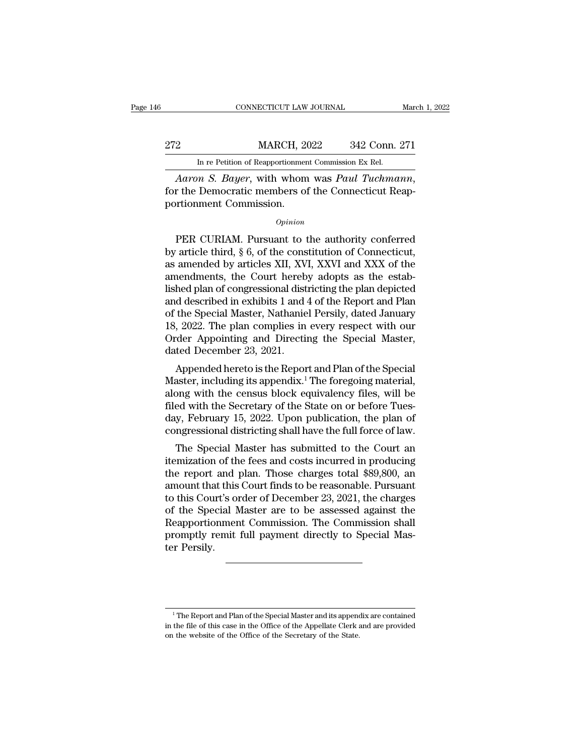|     | CONNECTICUT LAW JOURNAL                                  |               | March 1, 2022 |
|-----|----------------------------------------------------------|---------------|---------------|
|     |                                                          |               |               |
| 272 | <b>MARCH, 2022</b>                                       | 342 Conn. 271 |               |
|     | In re Petition of Reapportionment Commission Ex Rel.     |               |               |
|     | <i>Aaron S. Bayer</i> with whom was <i>Payl Tuchmann</i> |               |               |

*CONNECTICUT LAW JOURNAL March 1, 2*<br> *Aaron S. Bayer*, with whom was *Paul Tuchmann*, for the Democratic members of the Connecticut Reapportionment Commission. MARCH, 20<br>
In re Petition of Reapportionment<br> *Aaron S. Bayer*, with whom<br>
for the Democratic members of<br>
portionment Commission.<br> *Opinion* In re Petition of Reapportionment Commission Ex Rel.<br>
Aaron S. Bayer, with whom was Paul Tuchmann,<br>
r the Democratic members of the Connecticut Reap-<br>
volument Commission.<br>
Opinion<br>
PER CURIAM. Pursuant to the authority c

### *Opinion*

Aaron S. Bayer, with whom was Paul Tuchmann,<br>for the Democratic members of the Connecticut Reapportionment Commission.<br> $opinion$ <br>PER CURIAM. Pursuant to the authority conferred<br>by article third, § 6, of the constitution of Conn for the Democratic members of the Connecticut Reapportionment Commission.<br>  $\phi_{pinion}$ <br>
PER CURIAM. Pursuant to the authority conferred<br>
by article third, § 6, of the constitution of Connecticut,<br>
as amended by articles XII, portionment Commission.<br>  $\omega_{pinion}$ <br>
PER CURIAM. Pursuant to the authority conferred<br>
by article third, § 6, of the constitution of Connecticut,<br>
as amended by articles XII, XVI, XXVI and XXX of the<br>
amendments, the Court h Opinion<br>
DER CURIAM. Pursuant to the authority conferred<br>
by article third, § 6, of the constitution of Connecticut,<br>
as amended by articles XII, XVI, XXVI and XXX of the<br>
amendments, the Court hereby adopts as the estab-<br> FER CURIAM. Pursuant to the authority conferred<br>by article third,  $\S$  6, of the constitution of Connecticut,<br>as amended by articles XII, XVI, XXVI and XXX of the<br>amendments, the Court hereby adopts as the estab-<br>lished pl PER CURIAM. Pursuant to the authority conferred<br>by article third, § 6, of the constitution of Connecticut,<br>as amended by articles XII, XVI, XXVI and XXX of the<br>amendments, the Court hereby adopts as the estab-<br>lished plan by article third, § 6, of the constitution of Connecticut,<br>as amended by articles XII, XVI, XXVI and XXX of the<br>amendments, the Court hereby adopts as the estab-<br>lished plan of congressional districting the plan depicted<br>a as amended by articles XII, XVI, XXVI and XXX of the<br>amendments, the Court hereby adopts as the estab-<br>lished plan of congressional districting the plan depicted<br>and described in exhibits 1 and 4 of the Report and Plan<br>of amendments, the Court hereb<br>lished plan of congressional dist<br>and described in exhibits 1 and of<br>the Special Master, Nathanie<br>18, 2022. The plan complies in<br>Order Appointing and Directi<br>dated December 23, 2021.<br>Appended he Hed plan of congressional districting the plan depicted<br>d described in exhibits 1 and 4 of the Report and Plan<br>the Special Master, Nathaniel Persily, dated January<br>, 2022. The plan complies in every respect with our<br>der Ap and described in exhibits 1 and 4 of the Report and 1 ian<br>of the Special Master, Nathaniel Persily, dated January<br>18, 2022. The plan complies in every respect with our<br>Order Appointing and Directing the Special Master,<br>dat

of the special master, Natifallier Fershy, taled January<br>18, 2022. The plan complies in every respect with our<br>Order Appointing and Directing the Special Master,<br>dated December 23, 2021.<br>Appended hereto is the Report and P Filed With the Secretary of the Special Master,<br>dated December 23, 2021.<br>Appended hereto is the Report and Plan of the Special<br>Master, including its appendix.<sup>1</sup> The foregoing material,<br>along with the census block equivale order Appointing and Directing the Special Master,<br>dated December 23, 2021.<br>Master, including its appendix.<sup>1</sup> The foregoing material,<br>along with the census block equivalency files, will be<br>filed with the Secretary of the dated December 25, 2021.<br>
Appended hereto is the Report and Plan of the Special<br>
Master, including its appendix.<sup>1</sup> The foregoing material,<br>
along with the census block equivalency files, will be<br>
filed with the Secretary Experiment referrots the Report and T lart of the Special aster, including its appendix.<sup>1</sup> The foregoing material, ong with the Secretary of the State on or before Tues-<br>gy, February 15, 2022. Upon publication, the plan master, including its appentix. The foregoing inaterial,<br>along with the census block equivalency files, will be<br>filed with the Secretary of the State on or before Tues-<br>day, February 15, 2022. Upon publication, the plan of

along with the Census block equivalency files, will be<br>filed with the Secretary of the State on or before Tues-<br>day, February 15, 2022. Upon publication, the plan of<br>congressional districting shall have the full force of l med with the secretary of the state off of before rues-<br>day, February 15, 2022. Upon publication, the plan of<br>congressional districting shall have the full force of law.<br>The Special Master has submitted to the Court an<br>ite to the part of Special Master has submitted to the Court and itemization of the fees and costs incurred in producing<br>the report and plan. Those charges total \$89,800, and amount that this Court finds to be reasonable. Purs Congressional districting shall have the full force of law.<br>The Special Master has submitted to the Court an<br>itemization of the fees and costs incurred in producing<br>the report and plan. Those charges total \$89,800, an<br>amou The Special Master has submitted to the Court an<br>itemization of the fees and costs incurred in producing<br>the report and plan. Those charges total \$89,800, an<br>amount that this Court finds to be reasonable. Pursuant<br>to this itemization of the fees and costs incurred in producing<br>the report and plan. Those charges total \$89,800, an<br>amount that this Court finds to be reasonable. Pursuant<br>to this Court's order of December 23, 2021, the charges<br>o the report and<br>amount that this<br>to this Court's of<br>of the Special 1<br>Reapportionmer<br>promptly remit<br>ter Persily.

<sup>1</sup> The Report and Plan of the Special Master and its appendix are contained <sup>1</sup> The Report and Plan of the Special Master and its appendix are contained in the file of this case in the Office of the Appellate Clerk and are provided on the website of the Office of the Secretary of the State.  $^1$  The Report and Plan of the Special Master and its appendix are contained in the file of this case in the Office of the Appellate Clerk and are provided on the website of the Office of the Secretary of the State.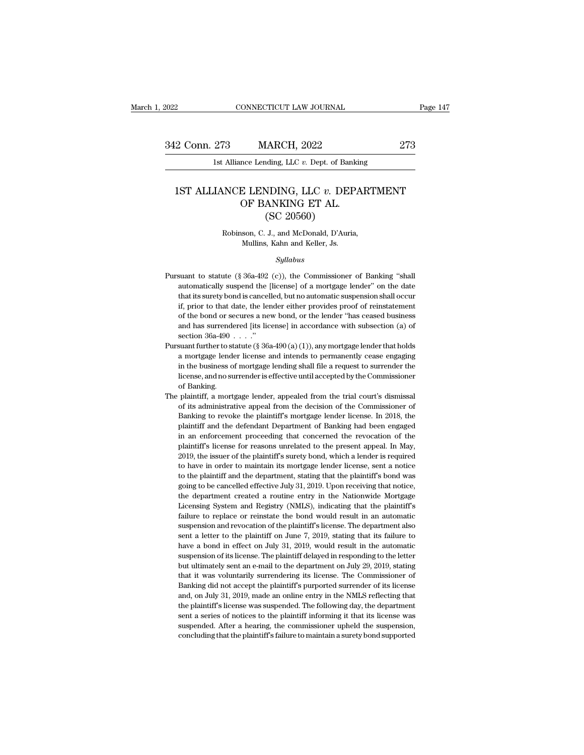1991 CONNECTICUT LAW JOURNAL<br>1st Alliance Lending, LLC *v.* Dept. of Banking<br>1991 Alliance Lending, LLC *v.* Dept. of Banking

### 1922 Conn. 273 MARCH, 2022 273<br>1st Alliance Lending, LLC *v.* Dept. of Banking<br>1ST ALLIANCE LENDING, LLC *v.* DEPARTMENT<br>1ST ALLIANCE LENDING, LLC *v.* DEPARTMENT<br>1ST ALLIANCE LENDING ET AL. MARCH, 2022<br>
nce Lending, LLC v. Dept. of Bankin<br>
E LENDING, LLC v. DEPA<br>
OF BANKING ET AL.<br>
(SC 20560) (ARCH, 2022)<br>
Maing, LLC v. Dept. of Ban<br>
NDING, LLC v. DE<br>
ANKING ET AL.<br>
(SC 20560)<br>
J., and McDonald, D'Auri NCE LENDING, LLC *v*. DEPART<br>
OF BANKING ET AL.<br>
(SC 20560)<br>
Robinson, C. J., and McDonald, D'Auria,<br>
Mullins, Kahn and Keller, Js. E LENDING, LLC *v*. DEP<br>OF BANKING ET AL.<br>(SC 20560)<br>son, C. J., and McDonald, D'Auria<br>Mullins, Kahn and Keller, Js.<br>Sullabus

### *Syllabus*

- Robinson, C. J., and McDonald, D'Auria,<br>Mullins, Kahn and Keller, Js.<br>Syllabus<br>Pursuant to statute (§ 36a-492 (c)), the Commissioner of Banking "shall<br>automatically suspend the [license] of a mortgage lender" on the date Robinson, C. J., and McDonald, D'Auria,<br>Mullins, Kahn and Keller, Js.<br>Syllabus<br>suant to statute (§ 36a-492 (c)), the Commissioner of Banking "shall<br>automatically suspend the [license] of a mortgage lender" on the date<br>that Mullins, Kahn and Keller, Js.<br>
Syllabus<br>
suant to statute (§ 36a-492 (c)), the Commissioner of Banking "shall<br>
automatically suspend the [license] of a mortgage lender" on the date<br>
that its surety bond is cancelled, but n *Syllabus*<br>
suant to statute (§ 36a-492 (c)), the Commissioner of Banking "shall<br>
automatically suspend the [license] of a mortgage lender" on the date<br>
that its surety bond is cancelled, but no automatic suspension shall *Syltabus*<br>Suant to statute (§ 36a-492 (c)), the Commissioner of Banking "shall<br>automatically suspend the [license] of a mortgage lender" on the date<br>that its surety bond is cancelled, but no automatic suspension shall occ suant to statute (§ 36a-492 (c)), the Commissioner of Banking "shall automatically suspend the [license] of a mortgage lender" on the date that its surety bond is cancelled, but no automatic suspension shall occur if, pri automatically suspend the [license] of a mortgage lender" on the date<br>that its surety bond is cancelled, but no automatic suspension shall occur<br>if, prior to that date, the lender either provides proof of reinstatement<br>of that its surety bond is cancelled, but no automatic suspension shall occur<br>if, prior to that date, the lender either provides proof of reinstatement<br>of the bond or secures a new bond, or the lender "has ceased business<br>an if, prior to that date, the lender either provides proof of reinstatement<br>of the bond or secures a new bond, or the lender "has ceased business<br>and has surrendered [its license] in accordance with subsection (a) of<br>sectio
- in the business are word, or the lender "has ceased business and has surrendered [its license] in accordance with subsection (a) of section  $36a-490...$ ".<br>
suant further to statute (§  $36a-490(a)(1)$ ), any mortgage lender tha and has surrendered [its license] in accordance with subsection (a) of section  $36a-490...$ .<br>
Suant further to statute (§  $36a-490$  (a) (1)), any mortgage lender that holds a mortgage lender license and intends to permanent section  $36a-490...$ ...."<br>
Pursuant further to statute (§  $36a-490$  (a) (1)), any mortgage lender that holds<br>
a mortgage lender license and intends to permanently cease engaging<br>
in the business of mortgage lending shall fi Pursuant further to statute (§ 36a-490 (a) (1)), any mortgage lender that holds<br>a mortgage lender license and intends to permanently cease engaging<br>in the business of mortgage lending shall file a request to surrender the a mortgage lender license and intends to permanently cease engaging<br>in the business of mortgage lending shall file a request to surrender the<br>license, and no surrender is effective until accepted by the Commissioner<br>of Ban
- in the business of mortgage lending shall file a request to surrender the license, and no surrender is effective until accepted by the Commissioner of Banking.<br>plaintiff, a mortgage lender, appealed from the trial court's ilcense, and no surrender is effective until accepted by the Commissioner<br>of Banking.<br>plaintiff, a mortgage lender, appealed from the trial court's dismissal<br>of its administrative appeal from the decision of the Commission of Banking.<br>
In an enforcement process to manifest provide that court's dismissal<br>
of its administrative appeal from the decision of the Commissioner of<br>
Banking to revoke the plaintiff's mortgage lender license. In 2018, plaintiff', a mortgage lender, appealed from the trial court's dismissal of its administrative appeal from the decision of the Commissioner of Banking to revoke the plaintiff's mortgage lender license. In 2018, the plainti particularly in the decision of the Commissioner of the derivative appeal from the decision of the Commissioner of Banking to revoke the plaintiff's mortgage lender license. In 2018, the plaintiff and the defendant Departm Banking to revoke the plaintiff's mortgage lender license. In 2018, the plaintiff and the defendant Department of Banking had been engaged in an enforcement proceeding that concerned the revocation of the plaintiff's licen plaintiff and the defendant Department of Banking had been engaged<br>in an enforcement proceeding that concerned the revocation of the<br>plaintiff's license for reasons unrelated to the present appeal. In May,<br>2019, the issuer paramet are are the proceeding that concerned the revocation of the plaintiff's license for reasons unrelated to the present appeal. In May, 2019, the issuer of the plaintiff's surety bond, which a lender is required to ha the department created a routine entry in the Nationwide Mortgage plaintiff's license for reasons unrelated to the present appeal. In May, 2019, the issuer of the plaintiff's surety bond, which a lender is required to have Particular System and Registry (NMLS), indicating the plaintiff's surely bond, which a lender is required to have in order to maintain its mortgage lender license, sent a notice to the plaintiff and the department, stating Failure in order to maintain its mortgage lender license, sent a notice to the plaintiff and the department, stating that the plaintiff's bond was going to be cancelled effective July 31, 2019. Upon receiving that notice, to the plaintiff and the department, stating that the plaintiff's bond was<br>going to be cancelled effective July 31, 2019. Upon receiving that notice,<br>the department created a routine entry in the Nationwide Mortgage<br>Licens sent a letter to the plaintiff on June 7, 2019, stating that notice, the department created a routine entry in the Nationwide Mortgage Licensing System and Registry (NMLS), indicating that the plaintiff's failure to replac bave a bond in effect on July 31, 2019, would result in the automatic factors and Registry (NMLS), indicating that the plaintiff's failure to replace or reinstate the bond would result in an automatic suspension and revoca Licensing System and Registry (NMLS), indicating that the plaintiff's<br>failure to replace or reinstate the bond would result in an automatic<br>suspension and revocation of the plaintiff's license. The department also<br>sent a l failure to replace or reinstate the bond would result in an automatic suspension and revocation of the plaintiff's license. The department also sent a letter to the plaintiff on June 7, 2019, stating that its failure to ha suspension and revocation of the plaintiff's license. The department also sent a letter to the plaintiff on June 7, 2019, stating that its failure to have a bond in effect on July 31, 2019, would result in the automatic s Super a letter to the plaintiff on June 7, 2019, stating that its failure to have a bond in effect on July 31, 2019, would result in the automatic suspension of its license. The plaintiff delayed in responding to the lett have a bond in effect on July 31, 2019, would result in the automatic suspension of its license. The plaintiff delayed in responding to the letter but ultimately sent an e-mail to the department on July 29, 2019, stating t suspension of its license. The plaintiff delayed in responding to the letter<br>but ultimately sent an e-mail to the department on July 29, 2019, stating<br>that it was voluntarily surrendering its license. The Commissioner of<br>B but ultimately sent an e-mail to the department on July 29, 2019, stating that it was voluntarily surrendering its license. The Commissioner of Banking did not accept the plaintiff's purported surrender of its license and, that it was voluntarily surrendering its license. The Commissioner of Banking did not accept the plaintiff's purported surrender of its license and, on July 31, 2019, made an online entry in the NMLS reflecting that the pl Banking did not accept the plaintiff's purported surrender of its license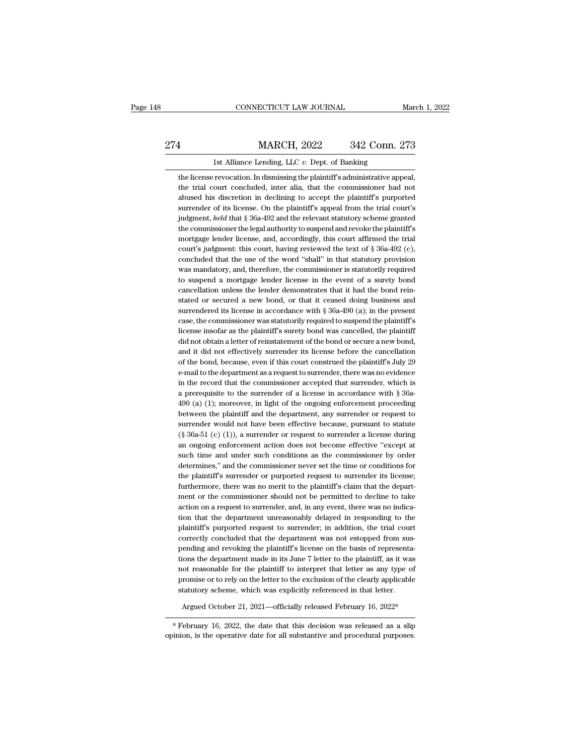### EXECUTE CONNECTICUT LAW JOURNAL March 1, 2022<br>274 MARCH, 2022 342 Conn. 273<br>1st Alliance Lending, LLC v. Dept. of Banking 1st Alliance Lending, LLC *v.* Dept. of Banking<br>
1st Alliance Lending, LLC *v.* Dept. of Banking<br>
1st Alliance Lending, LLC *v.* Dept. of Banking<br>
1st Alliance Lending, LLC *v.* Dept. of Banking<br>
1st Alliance I. In dismiss MARCH, 2022 342 Conn. 273<br>1st Alliance Lending, LLC v. Dept. of Banking<br>the license revocation. In dismissing the plaintiff's administrative appeal,<br>the trial court concluded, inter alia, that the commissioner had not

MARCH, 2022 342 Conn. 273<br>1st Alliance Lending, LLC v. Dept. of Banking<br>the license revocation. In dismissing the plaintiff's administrative appeal,<br>the trial court concluded, inter alia, that the commissioner had not<br>abus **1** MARCH, 2022 342 Conn. 273<br>
1st Alliance Lending, LLC  $v$ . Dept. of Banking<br>
the license revocation. In dismissing the plaintiff's administrative appeal,<br>
the trial court concluded, inter alia, that the commissioner ha Ist Alliance Lending, LLC  $v$ . Dept. of Banking<br>the license revocation. In dismissing the plaintiff's administrative appeal,<br>the trial court concluded, inter alia, that the commissioner had not<br>abused his discretion in de Ist Alliance Lending, LLC  $v$ . Dept. of Banking<br>the license revocation. In dismissing the plaintiff's administrative appeal,<br>the trial court concluded, inter alia, that the commissioner had not<br>abused his discretion in de the license revocation. In dismissing the plaintiff's administrative appeal,<br>the trial court concluded, inter alia, that the commissioner had not<br>abused his discretion in declining to accept the plaintiff's purported<br>surre the trial court concluded, inter alia, that the commissioner had not abused his discretion in declining to accept the plaintiff's purported surrender of its license. On the plaintiff's appeal from the trial court's judgme abused his discretion in declining to accept the plaintiff's purported<br>surrender of its license. On the plaintiff's appeal from the trial court's<br>judgment, *held* that § 36a-492 and the relevant statutory scheme granted<br>th surrender of its license. On the plaintiff's appeal from the trial court's<br>judgment, *held* that § 36a-492 and the relevant statutory scheme granted<br>the commissioner the legal authority to suspend and revoke the plaintiff' judgment, *held* that  $\S 36a-492$  and the relevant statutory scheme granted the commissioner the legal authority to suspend and revoke the plaintiff's mortgage lender license, and, accordingly, this court affirmed the tri the commissioner the legal authority to suspend and revoke the plaintiff's mortgage lender license, and, accordingly, this court affirmed the trial court's judgment: this court, having reviewed the text of  $\S$  36a-492 (c) the commissioner the legal authority to suspend and revoke the plaintiff's mortgage lender license, and, accordingly, this court affirmed the trial court's judgment: this court, having reviewed the text of  $\$ 36a-492 (c), court's judgment: this court, having reviewed the text of  $\S 36a-492$  (c), concluded that the use of the word "shall" in that statutory provision was mandatory, and, therefore, the commissioner is statutorily required to concluded that the use of the word "shall" in that statutory provision was mandatory, and, therefore, the commissioner is statutorily required to suspend a mortgage lender license in the event of a surety bond cancellatio was mandatory, and, therefore, the commissioner is statutorily required<br>to suspend a mortgage lender license in the event of a surety bond<br>cancellation unless the lender demonstrates that it had the bond rein-<br>stated or se to suspend a mortgage lender license in the event of a surety bond cancellation unless the lender demonstrates that it had the bond reinstated or secured a new bond, or that it ceased doing business and surrendered its li cancellation unless the lender demonstrates that it had the bond reinstated or secured a new bond, or that it ceased doing business and surrendered its license in accordance with § 36a-490 (a); in the present case, the com stated or secured a new bond, or that it ceased doing business and<br>surrendered its license in accordance with  $\S 36a-490$  (a); in the present<br>case, the commissioner was statutorily required to suspend the plaintiff's<br>lice surrendered its license in accordance with § 36a-490 (a); in the present case, the commissioner was statutorily required to suspend the plaintiff's license insofar as the plaintiff's surety bond was cancelled, the plaintif case, the commissioner was statutorily required to suspend the plaintiff's license insofar as the plaintiff's surety bond was cancelled, the plaintiff did not obtain a letter of reinstatement of the bond or secure a new bo license insofar as the plaintiff's surety bond was cancelled, the plaintiff<br>did not obtain a letter of reinstatement of the bond or secure a new bond,<br>and it did not effectively surrender its license before the cancellatio did not obtain a letter of reinstatement of the bond or secure a new bond, and it did not effectively surrender its license before the cancellation of the bond, because, even if this court construed the plaintiff's July 29 and it did not effectively surrender its license before the cancellation<br>of the bond, because, even if this court construed the plaintiff's July 29<br>e-mail to the department as a request to surrender, there was no evidence of the bond, because, even if this court construed the plaintiff's July 29<br>e-mail to the department as a request to surrender, there was no evidence<br>in the record that the commissioner accepted that surrender, which is<br>a p e-mail to the department as a request to surrender, there was no evidence<br>in the record that the commissioner accepted that surrender, which is<br>a prerequisite to the surrender of a license in accordance with  $\S$  36a-<br>490 in the record that the commissioner accepted that surrender, which is<br>a prerequisite to the surrender of a license in accordance with  $\S$  36a-490 (a) (1); moreover, in light of the ongoing enforcement proceeding<br>between t a prerequisite to the surrender of a license in accordance with § 36a-490 (a) (1); moreover, in light of the ongoing enforcement proceeding between the plaintiff and the department, any surrender or request to surrender w 490 (a) (1); moreover, in light of the ongoing enforcement proceeding<br>between the plaintiff and the department, any surrender or request to<br>surrender would not have been effective because, pursuant to statute<br>(§  $36a-51$  between the plaintiff and the department, any surrender or request to surrender would not have been effective because, pursuant to statute (§ 36a-51 (c) (1)), a surrender or request to surrender a license during an ongoing surrender would not have been effective because, pursuant to statute (§ 36a-51 (c) (1)), a surrender or request to surrender a license during an ongoing enforcement action does not become effective "except at such time and (§ 36a-51 (c) (1)), a surrender or request to surrender a license during<br>an ongoing enforcement action does not become effective "except at<br>such time and under such conditions as the commissioner by order<br>determines," and an ongoing enforcement action does not become effective "except at such time and under such conditions as the commissioner by order determines," and the commissioner never set the time or conditions for the plaintiff's sur such time and under such conditions as the commissioner by order determines," and the commissioner never set the time or conditions for the plaintiff's surrender or purported request to surrender its license; furthermore, determines," and the commissioner never set the time or conditions for<br>the plaintiff's surrender or purported request to surrender its license;<br>furthermore, there was no merit to the plaintiff's claim that the depart-<br>ment the plaintiff's surrender or purported request to surrender its license;<br>furthermore, there was no merit to the plaintiff's claim that the depart-<br>ment or the commissioner should not be permitted to decline to take<br>action furthermore, there was no merit to the plaintiff's claim that the department or the commissioner should not be permitted to decline to take<br>action on a request to surrender, and, in any event, there was no indica-<br>tion tha ment or the commissioner should not be permitted to decline to take<br>action on a request to surrender, and, in any event, there was no indica-<br>tion that the department unreasonably delayed in responding to the<br>plaintiff's p action on a request to surrender, and, in any event, there was no indication that the department unreasonably delayed in responding to the plaintiff's purported request to surrender; in addition, the trial court correctly tion that the department unreasonably delayed in responding to the plaintiff's purported request to surrender; in addition, the trial court correctly concluded that the department was not estopped from suspending and revok plaintiff's purported request to surrender; in addition, the trial court<br>correctly concluded that the department was not estopped from sus-<br>pending and revoking the plaintiff's license on the basis of representa-<br>tions the correctly concluded that the department was not estopped from suspending and revoking the plaintiff's license on the basis of representations the department made in its June 7 letter to the plaintiff, as it was not reason Entimate and Evoking the plaintin's necket of the basis of representa-<br>ions the department made in its June 7 letter to the plaintiff, as it was<br>ot reasonable for the plaintiff to interpret that letter as any type of<br>romis not reasonable for the plaintiff to interpret that letter as any type of<br>promise or to rely on the letter to the exclusion of the clearly applicable<br>statutory scheme, which was explicitly referenced in that letter.<br>Argued

promise or to rely on the letter to the exclusion of the clearly applicable<br>statutory scheme, which was explicitly referenced in that letter.<br>Argued October 21, 2021—officially released February 16, 2022\*<br>February 16, 2022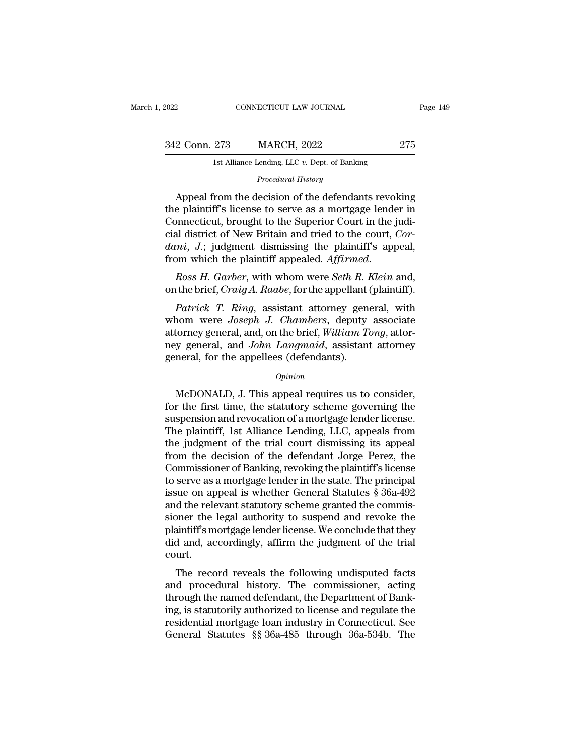| 2022          | CONNECTICUT LAW JOURNAL                                                                                                                                                   | Page 149 |
|---------------|---------------------------------------------------------------------------------------------------------------------------------------------------------------------------|----------|
|               |                                                                                                                                                                           |          |
| 342 Conn. 273 | <b>MARCH, 2022</b>                                                                                                                                                        | 275      |
|               | 1st Alliance Lending, LLC $v$ . Dept. of Banking                                                                                                                          |          |
|               | Procedural History                                                                                                                                                        |          |
|               | Appeal from the decision of the defendants revoking<br>the plaintiff's license to serve as a mortgage lender in<br>Connecticut, brought to the Superior Court in the judi |          |

342 Conn. 273 MARCH, 2022 275<br>
1st Alliance Lending, LLC v. Dept. of Banking<br>
Procedural History<br>
275<br>
Appeal from the decision of the defendants revoking<br>
the plaintiff's license to serve as a mortgage lender in<br>
Connecti 342 Conn. 273 MARCH, 2022 275<br>
1st Alliance Lending, LLC v. Dept. of Banking<br>
Procedural History<br>
Appeal from the decision of the defendants revoking<br>
the plaintiff's license to serve as a mortgage lender in<br>
Connecticut, Ist Alliance Lending, LLC v. Dept. of Banking<br>
Procedural History<br>
Appeal from the decision of the defendants revoking<br>
the plaintiff's license to serve as a mortgage lender in<br>
Connecticut, brought to the Superior Court i *Procedural History*<br> *Appeal from the decision of the defendants revoking*<br>
the plaintiff's license to serve as a mortgage lender in<br>
Connecticut, brought to the Superior Court in the judi-<br>
cial district of New Britain a Froceaural Fistory<br>the plaintiff's license to serve as a mortgage lender in<br>Connecticut, brought to the Superior Court in the judi-<br>cial district of New Britain and tried to the court, *Cor-*<br>dani, J.; judgment dismissing on the plant. The brief of Serve as a mortgage lender in<br>Connecticut, brought to the Superior Court in the judi-<br>cial district of New Britain and tried to the court, *Cor-*<br>dani, J.; judgment dismissing the plaintiff's app *Patrick of New Britain and tried to the court, Cor-*<br> *Patrick J.*; judgment dismissing the plaintiff's appeal,<br> *Patrick T. Garber*, with whom were *Seth R. Klein* and,<br> *Patrick T. Ring, assistant attorney general, with* 

dani, J.; judgment dismissing the plaintiff's appeal,<br>from which the plaintiff appealed. *Affirmed.*<br>*Ross H. Garber*, with whom were *Seth R. Klein* and,<br>on the brief, *Craig A. Raabe*, for the appellant (plaintiff).<br>*Pat* from which the plaintiff appealed. *Affirmed.*<br> *Ross H. Garber*, with whom were *Seth R. Klein* and,<br>
on the brief, *Craig A. Raabe*, for the appellant (plaintiff).<br> *Patrick T. Ring*, assistant attorney general, with<br>
wh Ross H. Garber, with whom were Seth R. Klein and,<br>on the brief, Craig A. Raabe, for the appellant (plaintiff).<br>Patrick T. Ring, assistant attorney general, with<br>whom were Joseph J. Chambers, deputy associate<br>attorney gener ross *H*. Garber, whit wholit were *Self R. I*<br>on the brief, *Craig A. Raabe*, for the appellant (<br>*Patrick T. Ring*, assistant attorney gene<br>whom were *Joseph J. Chambers*, deputy<br>attorney general, and, on the brief, *W* Norm were *Joseph J. Chambers*, deputy associate<br>torney general, and, on the brief, *William Tong*, attor-<br>y general, and *John Langmaid*, assistant attorney<br>neral, for the appellees (defendants).<br> $opinion$ <br>McDONALD, J. This ap

### *Opinion*

attorney general, and, on the brief, *William Tong*, attorney general, and *John Langmaid*, assistant attorney<br>general, for the appellees (defendants).<br>*Opinion*<br>McDONALD, J. This appeal requires us to consider,<br>for the fi ney general, and *John Langmaid*, assistant attorney<br>general, for the appellees (defendants).<br> $opinion$ <br>McDONALD, J. This appeal requires us to consider,<br>for the first time, the statutory scheme governing the<br>suspension and rev general, for the appellees (defendants).<br>
opinion<br>
McDONALD, J. This appeal requires us to consider,<br>
for the first time, the statutory scheme governing the<br>
suspension and revocation of a mortgage lender license.<br>
The pla opinion<br>
McDONALD, J. This appeal requires us to consider,<br>
for the first time, the statutory scheme governing the<br>
suspension and revocation of a mortgage lender license.<br>
The plaintiff, 1st Alliance Lending, LLC, appeals McDONALD, J. This appeal requires us to consider,<br>for the first time, the statutory scheme governing the<br>suspension and revocation of a mortgage lender license.<br>The plaintiff, 1st Alliance Lending, LLC, appeals from<br>the ju McDONALD, J. This appeal requires us to consider,<br>for the first time, the statutory scheme governing the<br>suspension and revocation of a mortgage lender license.<br>The plaintiff, 1st Alliance Lending, LLC, appeals from<br>the j for the first time, the statutory scheme governing the suspension and revocation of a mortgage lender license.<br>The plaintiff, 1st Alliance Lending, LLC, appeals from the judgment of the trial court dismissing its appeal<br>f suspension and revocation of a mortgage lender license.<br>The plaintiff, 1st Alliance Lending, LLC, appeals from<br>the judgment of the trial court dismissing its appeal<br>from the decision of the defendant Jorge Perez, the<br>Commi The plaintiff, 1st Alliance Lending, LLC, appeals from<br>the judgment of the trial court dismissing its appeal<br>from the decision of the defendant Jorge Perez, the<br>Commissioner of Banking, revoking the plaintiff's license<br>to the judgment of the trial court dismissing its appeal<br>from the decision of the defendant Jorge Perez, the<br>Commissioner of Banking, revoking the plaintiff's license<br>to serve as a mortgage lender in the state. The principal<br> from the decision of the defendant Jorge Perez, the<br>Commissioner of Banking, revoking the plaintiff's license<br>to serve as a mortgage lender in the state. The principal<br>issue on appeal is whether General Statutes § 36a-492<br> Commissioner of Banking, revoking the plaintiff's license<br>to serve as a mortgage lender in the state. The principal<br>issue on appeal is whether General Statutes § 36a-492<br>and the relevant statutory scheme granted the commis court. In the relevant statutory scheme granted the commis-<br>oner the legal authority to suspend and revoke the<br>aintiff's mortgage lender license. We conclude that they<br>d and, accordingly, affirm the judgment of the trial<br>urt.<br>The and the Felevalt statutory scheme granted the commissioner the legal authority to suspend and revoke the plaintiff's mortgage lender license. We conclude that they did and, accordingly, affirm the judgment of the trial cou

sioner the legal additority to suspend and revoke the<br>plaintiff's mortgage lender license. We conclude that they<br>did and, accordingly, affirm the judgment of the trial<br>court.<br>The record reveals the following undisputed fac plantin's shortgage ender identic. We conclude that they<br>did and, accordingly, affirm the judgment of the trial<br>court.<br>The record reveals the following undisputed facts<br>and procedural history. The commissioner, acting<br>thro residential mortgage loan industry in Connecticut.<br>The record reveals the following undisputed facts<br>and procedural history. The commissioner, acting<br>through the named defendant, the Department of Bank-<br>ing, is statutorily The record reveals the following undisputed facts<br>and procedural history. The commissioner, acting<br>through the named defendant, the Department of Bank-<br>ing, is statutorily authorized to license and regulate the<br>residential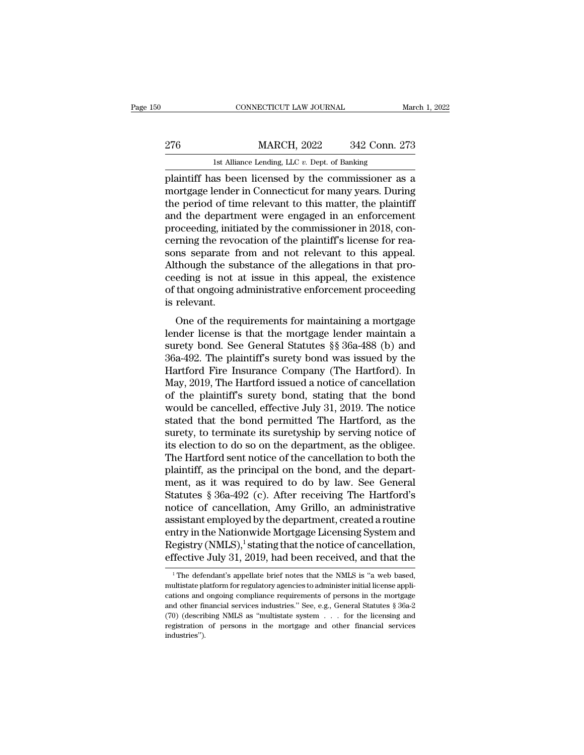|     | CONNECTICUT LAW JOURNAL                              | March 1, 2022 |
|-----|------------------------------------------------------|---------------|
| 276 | <b>MARCH, 2022</b>                                   | 342 Conn. 273 |
|     | 1st Alliance Lending, LLC $v$ . Dept. of Banking     |               |
|     | plaintiff has been licensed by the commissioner as a |               |

FRIENCH CONNECTICUT LAW JOURNAL March 1, 2022<br>
276 MARCH, 2022 342 Conn. 273<br>
1st Alliance Lending, LLC v. Dept. of Banking<br>
plaintiff has been licensed by the commissioner as a<br>
mortgage lender in Connecticut for many yea 276 MARCH, 2022 342 Conn. 273<br>
1st Alliance Lending, LLC v. Dept. of Banking<br>
plaintiff has been licensed by the commissioner as a<br>
mortgage lender in Connecticut for many years. During<br>
the period of time relevant to this 276 MARCH, 2022 342 Conn. 273<br>
1st Alliance Lending, LLC  $v$ . Dept. of Banking<br>
plaintiff has been licensed by the commissioner as a<br>
mortgage lender in Connecticut for many years. During<br>
the period of time relevant to t 276 MARCH, 2022 342 Conn. 273<br>
1st Alliance Lending, LLC  $v$ . Dept. of Banking<br>
plaintiff has been licensed by the commissioner as a<br>
mortgage lender in Connecticut for many years. During<br>
the period of time relevant to t Ist Alliance Lending, LLC v. Dept. of Banking<br>plaintiff has been licensed by the commissioner as a<br>mortgage lender in Connecticut for many years. During<br>the period of time relevant to this matter, the plaintiff<br>and the dep Ist Alliance Lending, LLC  $v$ . Dept. of Banking<br>plaintiff has been licensed by the commissioner as a<br>mortgage lender in Connecticut for many years. During<br>the period of time relevant to this matter, the plaintiff<br>and the plaintiff has been licensed by the commissioner as a<br>mortgage lender in Connecticut for many years. During<br>the period of time relevant to this matter, the plaintiff<br>and the department were engaged in an enforcement<br>proceed mortgage lender in Connecticut for many years. During<br>the period of time relevant to this matter, the plaintiff<br>and the department were engaged in an enforcement<br>proceeding, initiated by the commissioner in 2018, con-<br>cern the period of time relevant to this matter, the plaintiff<br>and the department were engaged in an enforcement<br>proceeding, initiated by the commissioner in 2018, con-<br>cerning the revocation of the plaintiff's license for reaand the department were engaged in an enforcement<br>proceeding, initiated by the commissioner in 2018, con-<br>cerning the revocation of the plaintiff's license for rea-<br>sons separate from and not relevant to this appeal.<br>Altho proceeding, initi<br>cerning the revo<br>sons separate f<br>Although the su<br>ceeding is not :<br>of that ongoing a<br>is relevant.<br>One of the rec Thing the revocation of the plantin s heefise for rea-<br>
in separate from and not relevant to this appeal.<br>
though the substance of the allegations in that pro-<br>
eding is not at issue in this appeal, the existence<br>
that on Sons separate from and not retevant to this appear.<br>Although the substance of the allegations in that pro-<br>ceeding is not at issue in this appeal, the existence<br>of that ongoing administrative enforcement proceeding<br>is rel

Francought the substance of the anegations in that pro-<br>ceeding is not at issue in this appeal, the existence<br>of that ongoing administrative enforcement proceeding<br>is relevant.<br>One of the requirements for maintaining a mor Eccuring is not at issue in this appeat, the existence<br>of that ongoing administrative enforcement proceeding<br>is relevant.<br>One of the requirements for maintaining a mortgage<br>lender license is that the mortgage lender mainta or that origonig administrative entorecritein proceeding<br>is relevant.<br>One of the requirements for maintaining a mortgage<br>lender license is that the mortgage lender maintain a<br>surety bond. See General Statutes §§ 36a-488 (b So Fetevalu.<br>
One of the requirements for maintaining a mortgage<br>
lender license is that the mortgage lender maintain a<br>
surety bond. See General Statutes  $\S$  36a-488 (b) and<br>
36a-492. The plaintiff's surety bond was issu One of the requirements for maintaining a mortgage<br>lender license is that the mortgage lender maintain a<br>surety bond. See General Statutes §§ 36a-488 (b) and<br>36a-492. The plaintiff's surety bond was issued by the<br>Hartford lender license is that the mortgage lender maintain a<br>surety bond. See General Statutes §§ 36a-488 (b) and<br>36a-492. The plaintiff's surety bond was issued by the<br>Hartford Fire Insurance Company (The Hartford). In<br>May, 2019 surety bond. See General Statutes §§ 36a-488 (b) and<br>36a-492. The plaintiff's surety bond was issued by the<br>Hartford Fire Insurance Company (The Hartford). In<br>May, 2019, The Hartford issued a notice of cancellation<br>of the 36a-492. The plaintiff's surety bond was issued by the Hartford Fire Insurance Company (The Hartford). In May, 2019, The Hartford issued a notice of cancellation of the plaintiff's surety bond, stating that the bond would Hartford Fire Insurance Company (The Hartford). In<br>May, 2019, The Hartford issued a notice of cancellation<br>of the plaintiff's surety bond, stating that the bond<br>would be cancelled, effective July 31, 2019. The notice<br>state May, 2019, The Hartford issued a notice of cancellation<br>of the plaintiff's surety bond, stating that the bond<br>would be cancelled, effective July 31, 2019. The notice<br>stated that the bond permitted The Hartford, as the<br>sure of the plaintiff's surety bond, stating that the bond<br>would be cancelled, effective July 31, 2019. The notice<br>stated that the bond permitted The Hartford, as the<br>surety, to terminate its suretyship by serving notice of<br>it would be cancelled, effective July 31, 2019. The notice<br>stated that the bond permitted The Hartford, as the<br>surety, to terminate its suretyship by serving notice of<br>its election to do so on the department, as the obligee.<br> stated that the bond permitted The Hartford, as the<br>surety, to terminate its suretyship by serving notice of<br>its election to do so on the department, as the obligee.<br>The Hartford sent notice of the cancellation to both the surety, to terminate its suretyship by serving notice of<br>its election to do so on the department, as the obligee.<br>The Hartford sent notice of the cancellation to both the<br>plaintiff, as the principal on the bond, and the de its election to do so on the department, as the obligee.<br>The Hartford sent notice of the cancellation to both the<br>plaintiff, as the principal on the bond, and the depart-<br>ment, as it was required to do by law. See General<br> The Hartford sent notice of the cancellation to both the<br>plaintiff, as the principal on the bond, and the depart-<br>ment, as it was required to do by law. See General<br>Statutes § 36a-492 (c). After receiving The Hartford's<br>n plaintiff, as the principal on the bond, and the department, as it was required to do by law. See General Statutes § 36a-492 (c). After receiving The Hartford's notice of cancellation, Amy Grillo, an administrative assista ment, as it was required to do by law. See General<br>Statutes § 36a-492 (c). After receiving The Hartford's<br>notice of cancellation, Amy Grillo, an administrative<br>assistant employed by the department, created a routine<br>entry ssistant employed by the department, created a routine<br>htry in the Nationwide Mortgage Licensing System and<br>egistry (NMLS),<sup>1</sup> stating that the notice of cancellation,<br>fective July 31, 2019, had been received, and that the entry in the Nationwide Mortgage Licensing System and<br>Registry (NMLS),<sup>1</sup> stating that the notice of cancellation,<br>effective July 31, 2019, had been received, and that the<br><sup>1</sup> The defendant's appellate brief notes that the

Registry (NMLS),<sup>1</sup> stating that the notice of cancellation,<br>effective July 31, 2019, had been received, and that the<br> $\frac{1}{1}$ The defendant's appellate brief notes that the NMLS is "a web based,<br>multistate platform for r effective July 31, 2019, had been received, and that the<br>
<sup>1</sup>The defendant's appellate brief notes that the NMLS is "a web based,<br>
multistate platform for regulatory agencies to administer initial license applications and The defendant's appellate brief notes that the NMLS is "a web based,<br>
The defendant's appellate brief notes that the NMLS is "a web based,<br>
multistate platform for regulatory agencies to administer initial license applicat <sup>1</sup> The defendant's appellate brief notes that the NMLS is "a web based, multistate platform for regulatory agencies to administer initial license applications and ongoing compliance requirements of persons in the mortgag industries'').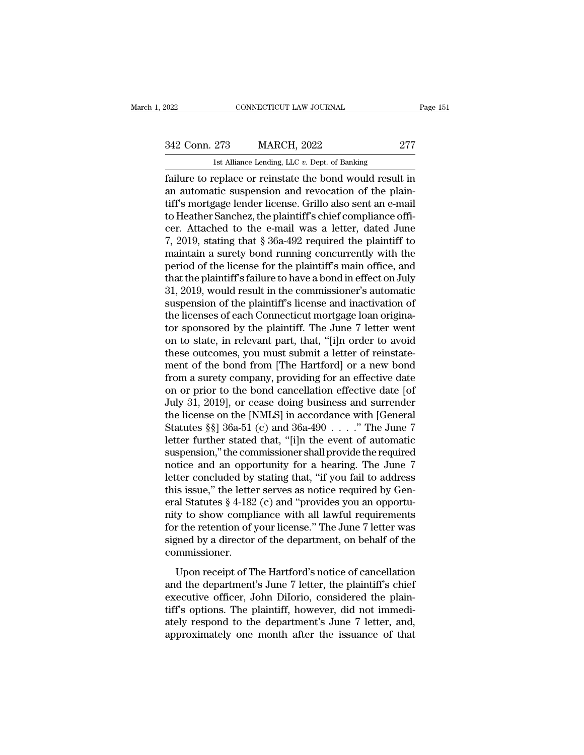EXECUTE CONNECTICUT LAW JOURNAL Page 151<br>342 Conn. 273 MARCH, 2022 277<br>1st Alliance Lending, LLC v. Dept. of Banking

EXECUTE 2022 CONNECTICUT LAW JOURNAL<br>
1st Alliance Lending, LLC *v.* Dept. of Banking<br>
1st Alliance Lending, LLC *v.* Dept. of Banking<br>
1st Alliance Lending, LLC *v.* Dept. of Banking Fage 151<br>
Fage 151<br>
1942 Conn. 273 MARCH, 2022 277<br>
1st Alliance Lending, LLC v. Dept. of Banking<br>
1st Alliance Lending, LLC v. Dept. of Banking<br>
1950 Failure to replace or reinstate the bond would result in<br>
1961 and an a 342 Conn. 273 MARCH, 2022 277<br>
1st Alliance Lending, LLC v. Dept. of Banking<br>
failure to replace or reinstate the bond would result in<br>
an automatic suspension and revocation of the plain-<br>
tiff's mortgage lender license. 342 Conn. 273 MARCH, 2022 277<br>
1st Alliance Lending, LLC  $v$ . Dept. of Banking<br>
failure to replace or reinstate the bond would result in<br>
an automatic suspension and revocation of the plain-<br>
tiff's mortgage lender licens 342 Conn. 273 MARCH, 2022 277<br>
1st Alliance Lending, LLC  $v$ . Dept. of Banking<br>
failure to replace or reinstate the bond would result in<br>
an automatic suspension and revocation of the plain-<br>
tiff's mortgage lender licens Ist Alliance Lending, LLC v. Dept. of Banking<br>
failure to replace or reinstate the bond would result in<br>
an automatic suspension and revocation of the plain-<br>
tiff's mortgage lender license. Grillo also sent an e-mail<br>
to Ist Alliance Lending, LLC v. Dept. of Banking<br>
failure to replace or reinstate the bond would result in<br>
an automatic suspension and revocation of the plaint-<br>
tiff's mortgage lender license. Grillo also sent an e-mail<br>
t failure to replace or reinstate the bond would result in<br>an automatic suspension and revocation of the plain-<br>tiff's mortgage lender license. Grillo also sent an e-mail<br>to Heather Sanchez, the plaintiff's chief compliance an automatic suspension and revocation of the plain-<br>tiff's mortgage lender license. Grillo also sent an e-mail<br>to Heather Sanchez, the plaintiff's chief compliance offi-<br>cer. Attached to the e-mail was a letter, dated Jun tiff's mortgage lender license. Grillo also sent an e-mail<br>to Heather Sanchez, the plaintiff's chief compliance offi-<br>cer. Attached to the e-mail was a letter, dated June<br>7, 2019, stating that § 36a-492 required the plaint to Heather Sanchez, the plaintiff's chief compliance officer. Attached to the e-mail was a letter, dated June 7, 2019, stating that § 36a-492 required the plaintiff to maintain a surety bond running concurrently with the p cer. Attached to the e-mail was a letter, dated June<br>7, 2019, stating that § 36a-492 required the plaintiff to<br>maintain a surety bond running concurrently with the<br>period of the license for the plaintiff's main office, and 7, 2019, stating that  $\S$  36a-492 required the plaintiff to maintain a surety bond running concurrently with the period of the license for the plaintiff's main office, and that the plaintiff's failure to have a bond in ef maintain a surety bond running concurrently with the<br>period of the license for the plaintiff's main office, and<br>that the plaintiff's failure to have a bond in effect on July<br>31, 2019, would result in the commissioner's aut period of the license for the plaintiff's main office, and<br>that the plaintiff's failure to have a bond in effect on July<br>31, 2019, would result in the commissioner's automatic<br>suspension of the plaintiff's license and inac that the plaintiff's failure to have a bond in effect on July 31, 2019, would result in the commissioner's automatic<br>suspension of the plaintiff's license and inactivation of<br>the licenses of each Connecticut mortgage loan 31, 2019, would result in the commissioner's automatic<br>suspension of the plaintiff's license and inactivation of<br>the licenses of each Connecticut mortgage loan origina-<br>tor sponsored by the plaintiff. The June 7 letter wen suspension of the plaintiff's license and inactivation of<br>the licenses of each Connecticut mortgage loan origina-<br>tor sponsored by the plaintiff. The June 7 letter went<br>on to state, in relevant part, that, "[i]n order to a the licenses of each Connecticut mortgage loan originator sponsored by the plaintiff. The June 7 letter went<br>on to state, in relevant part, that, "[i]n order to avoid<br>these outcomes, you must submit a letter of reinstate-<br> tor sponsored by the plaintiff. The June 7 letter went<br>on to state, in relevant part, that, "[i]n order to avoid<br>these outcomes, you must submit a letter of reinstate-<br>ment of the bond from [The Hartford] or a new bond<br>fr on to state, in relevant part, that, "[i]n order to avoid<br>these outcomes, you must submit a letter of reinstate-<br>ment of the bond from [The Hartford] or a new bond<br>from a surety company, providing for an effective date<br>on these outcomes, you must submit a letter of reinstatement of the bond from [The Hartford] or a new bond<br>from a surety company, providing for an effective date<br>on or prior to the bond cancellation effective date [of<br>July 31 ment of the bond from [The Hartford] or a new bond<br>from a surety company, providing for an effective date<br>on or prior to the bond cancellation effective date [of<br>July 31, 2019], or cease doing business and surrender<br>the li from a surety company, providing for an effective date<br>on or prior to the bond cancellation effective date [of<br>July 31, 2019], or cease doing business and surrender<br>the license on the [NMLS] in accordance with [General<br>St on or prior to the bond cancellation effective date [of July 31, 2019], or cease doing business and surrender<br>the license on the [NMLS] in accordance with [General<br>Statutes §§] 36a-51 (c) and 36a-490  $\ldots$ ." The June 7<br>le July 31, 2019], or cease doing business and surrender<br>the license on the [NMLS] in accordance with [General<br>Statutes §§] 36a-51 (c) and 36a-490 . . . ." The June 7<br>letter further stated that, "[i]n the event of automatic<br>s the license on the [NMLS] in accordance with [General Statutes  $\S\S$ ] 36a-51 (c) and 36a-490 . . . ." The June 7<br>letter further stated that, "[i]n the event of automatic<br>suspension," the commissioner shall provide the requ Statutes §§] 36a-51 (c) and 36a-490  $\ldots$  ." The June 7<br>letter further stated that, "[i]n the event of automatic<br>suspension," the commissioner shall provide the required<br>notice and an opportunity for a hearing. The June 7 letter further stated that, "[i]n the event of automatic<br>suspension," the commissioner shall provide the required<br>notice and an opportunity for a hearing. The June 7<br>letter concluded by stating that, "if you fail to addres suspension," the commissioner shall provide the required<br>notice and an opportunity for a hearing. The June 7<br>letter concluded by stating that, "if you fail to address<br>this issue," the letter serves as notice required by Ge notice and an opportunity for a hearing. The June 7<br>letter concluded by stating that, "if you fail to address<br>this issue," the letter serves as notice required by Gen-<br>eral Statutes  $\S 4$ -182 (c) and "provides you an oppo commissioner. as assay, are received as node required by a circle and Statutes § 4-182 (c) and "provides you an opportu-<br>ty to show compliance with all lawful requirements<br>r the retention of your license." The June 7 letter was<br>gned by and balances  $\hat{J}$  1.121 (b) and provides  $\hat{J}$  of an opportunity to show compliance with all lawful requirements for the retention of your license." The June 7 letter was signed by a director of the department, on be

rative of the retention of your license." The June 7 letter was<br>signed by a director of the department, on behalf of the<br>commissioner.<br>Upon receipt of The Hartford's notice of cancellation<br>and the department's June 7 lette the recention of your nection. The cancel recent mass<br>signed by a director of the department, on behalf of the<br>commissioner.<br>Upon receipt of The Hartford's notice of cancellation<br>and the department's June 7 letter, the pla Equality and account of the department, on solution of commissioner.<br>
Upon receipt of The Hartford's notice of cancellation<br>
and the department's June 7 letter, the plaintiff's chief<br>
executive officer, John Dilorio, cons Upon receipt of The Hartford's notice of cancellation<br>and the department's June 7 letter, the plaintiff's chief<br>executive officer, John Dilorio, considered the plain-<br>tiff's options. The plaintiff, however, did not immedi-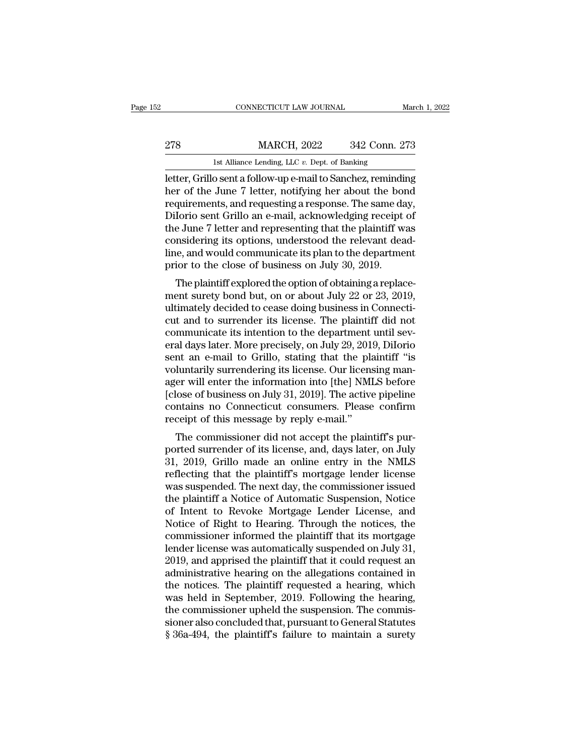# EXECUTE CONNECTICUT LAW JOURNAL March 1, 2022<br>278 MARCH, 2022 342 Conn. 273<br>1st Alliance Lending, LLC v. Dept. of Banking CONNECTICUT LAW JOURNAL March 1, 2022<br>278 MARCH, 2022 342 Conn. 273<br>1st Alliance Lending, LLC *v.* Dept. of Banking<br>etter, Grillo sent a follow-up e-mail to Sanchez, reminding

CONNECTICUT LAW JOURNAL March 1, 2022<br>
278 MARCH, 2022 342 Conn. 273<br>
1st Alliance Lending, LLC v. Dept. of Banking<br>
1st Alliance Lending, LLC v. Dept. of Banking<br>
1st Alliance Lending, LLC v. Dept. of Banking<br>
1st Allianc MARCH, 2022 342 Conn. 273<br>
1st Alliance Lending, LLC v. Dept. of Banking<br>
1st Alliance Lending, LLC v. Dept. of Banking<br>
1etter, Grillo sent a follow-up e-mail to Sanchez, reminding<br>
1st Alliance 7 letter, notifying her ab 278 MARCH, 2022 342 Conn. 273<br>
1st Alliance Lending, LLC  $v$ . Dept. of Banking<br>
letter, Grillo sent a follow-up e-mail to Sanchez, reminding<br>
her of the June 7 letter, notifying her about the bond<br>
requirements, and reque 278 MARCH, 2022 342 Conn. 273<br>
1st Alliance Lending, LLC  $v$ . Dept. of Banking<br>
letter, Grillo sent a follow-up e-mail to Sanchez, reminding<br>
her of the June 7 letter, notifying her about the bond<br>
requirements, and reque Ist Alliance Lending, LLC v. Dept. of Banking<br>
letter, Grillo sent a follow-up e-mail to Sanchez, reminding<br>
her of the June 7 letter, notifying her about the bond<br>
requirements, and requesting a response. The same day,<br>
D Ist Alliance Lending, LLC  $v$ . Dept. of Banking<br>letter, Grillo sent a follow-up e-mail to Sanchez, reminding<br>her of the June 7 letter, notifying her about the bond<br>requirements, and requesting a response. The same day,<br>Di letter, Grillo sent a follow-up e-mail to Sanchez, reminding<br>her of the June 7 letter, notifying her about the bond<br>requirements, and requesting a response. The same day,<br>Dilorio sent Grillo an e-mail, acknowledging receip her of the June 7 letter, notifying her about the bond requirements, and requesting a response. The same dapplication of Dilorio sent Grillo an e-mail, acknowledging receipt the June 7 letter and representing that the plai quirements, and requesting a response. The same day,<br>Iorio sent Grillo an e-mail, acknowledging receipt of<br>e June 7 letter and representing that the plaintiff was<br>nsidering its options, understood the relevant dead-<br>e, and Dhono sent Grino an e-mail, acknowledging receipt of<br>the June 7 letter and representing that the plaintiff was<br>considering its options, understood the relevant dead-<br>line, and would communicate its plan to the department<br>p

the sulter retter and representing that the plaintiff was<br>considering its options, understood the relevant dead-<br>line, and would communicate its plan to the department<br>prior to the close of business on July 30, 2019.<br>The p considering its options, understood the Felevant deadline, and would communicate its plan to the department<br>prior to the close of business on July 30, 2019.<br>The plaintiff explored the option of obtaining a replace-<br>ment s me, and would communicate its plant to the department<br>prior to the close of business on July 30, 2019.<br>The plaintiff explored the option of obtaining a replace-<br>ment surety bond but, on or about July 22 or 23, 2019,<br>ultima prior to the close of business on July 30, 2019.<br>The plaintiff explored the option of obtaining a replace-<br>ment surety bond but, on or about July 22 or 23, 2019,<br>ultimately decided to cease doing business in Connecti-<br>cut The plaintiff explored the option of obtaining a replacement surety bond but, on or about July 22 or 23, 2019, ultimately decided to cease doing business in Connecticut and to surrender its license. The plaintiff did not c ment surety bond but, on or about July 22 or 23, 2019,<br>ultimately decided to cease doing business in Connecti-<br>cut and to surrender its license. The plaintiff did not<br>communicate its intention to the department until sev-<br> ultimately decided to cease doing business in Connecticut and to surrender its license. The plaintiff did not<br>communicate its intention to the department until several days later. More precisely, on July 29, 2019, Dilorio<br> cut and to surrender its license. The plaintiff did not<br>communicate its intention to the department until sev-<br>eral days later. More precisely, on July 29, 2019, Dilorio<br>sent an e-mail to Grillo, stating that the plaintiff communicate its intention to the department until several days later. More precisely, on July 29, 2019, Dilorio<br>sent an e-mail to Grillo, stating that the plaintiff "is<br>voluntarily surrendering its license. Our licensing m eral days later. More precisely, on July 29, 201<br>sent an e-mail to Grillo, stating that the pla<br>voluntarily surrendering its license. Our licens<br>ager will enter the information into [the] NMI<br>[close of business on July 31, In an e-mail to Grino, stating that the plaintiff is<br>luntarily surrendering its license. Our licensing man-<br>er will enter the information into [the] NMLS before<br>lose of business on July 31, 2019]. The active pipeline<br>matai voluntarily surrendering its license. Our licensing manager will enter the information into [the] NMLS before<br>[close of business on July 31, 2019]. The active pipeline<br>contains no Connecticut consumers. Please confirm<br>rece

ager will enter the information into [the] NMLs before<br>[close of business on July 31, 2019]. The active pipeline<br>contains no Connecticut consumers. Please confirm<br>receipt of this message by reply e-mail."<br>The commissioner reflection of business of July 31, 2019]. The active pipeline<br>contains no Connecticut consumers. Please confirm<br>receipt of this message by reply e-mail."<br>The commissioner did not accept the plaintiff's pur-<br>ported surrende receipt of this message by reply e-mail."<br>The commissioner did not accept the plaintiff's pur-<br>ported surrender of its license, and, days later, on July<br>31, 2019, Grillo made an online entry in the NMLS<br>reflecting that the The commissioner did not accept the plaintiff's purported surrender of its license, and, days later, on July 31, 2019, Grillo made an online entry in the NMLS<br>reflecting that the plaintiff's mortgage lender license<br>was sus The commissioner did not accept the plaintiff's pur-<br>ported surrender of its license, and, days later, on July<br>31, 2019, Grillo made an online entry in the NMLS<br>reflecting that the plaintiff's mortgage lender license<br>was s ported surrender of its license, and, days later, on July<br>31, 2019, Grillo made an online entry in the NMLS<br>reflecting that the plaintiff's mortgage lender license<br>was suspended. The next day, the commissioner issued<br>the p 31, 2019, Grillo made an online entry in the NMLS<br>reflecting that the plaintiff's mortgage lender license<br>was suspended. The next day, the commissioner issued<br>the plaintiff a Notice of Automatic Suspension, Notice<br>of Inten reflecting that the plaintiff's mortgage lender license<br>was suspended. The next day, the commissioner issued<br>the plaintiff a Notice of Automatic Suspension, Notice<br>of Intent to Revoke Mortgage Lender License, and<br>Notice of was suspended. The next day, the commissioner issued<br>the plaintiff a Notice of Automatic Suspension, Notice<br>of Intent to Revoke Mortgage Lender License, and<br>Notice of Right to Hearing. Through the notices, the<br>commissioner the plaintiff a Notice of Automatic Suspension, Notice<br>of Intent to Revoke Mortgage Lender License, and<br>Notice of Right to Hearing. Through the notices, the<br>commissioner informed the plaintiff that its mortgage<br>lender lice of Intent to Revoke Mortgage Lender License, and<br>Notice of Right to Hearing. Through the notices, the<br>commissioner informed the plaintiff that its mortgage<br>lender license was automatically suspended on July 31,<br>2019, and a Notice of Right to Hearing. Through the notices, the commissioner informed the plaintiff that its mortgage lender license was automatically suspended on July 31, 2019, and apprised the plaintiff that it could request an ad commissioner informed the plaintiff that its mortgage<br>lender license was automatically suspended on July 31,<br>2019, and apprised the plaintiff that it could request an<br>administrative hearing on the allegations contained in<br> lender license was automatically suspended on July 31, 2019, and apprised the plaintiff that it could request an administrative hearing on the allegations contained in the notices. The plaintiff requested a hearing, which 2019, and apprised the plaintiff that it could request an administrative hearing on the allegations contained in the notices. The plaintiff requested a hearing, which was held in September, 2019. Following the hearing, the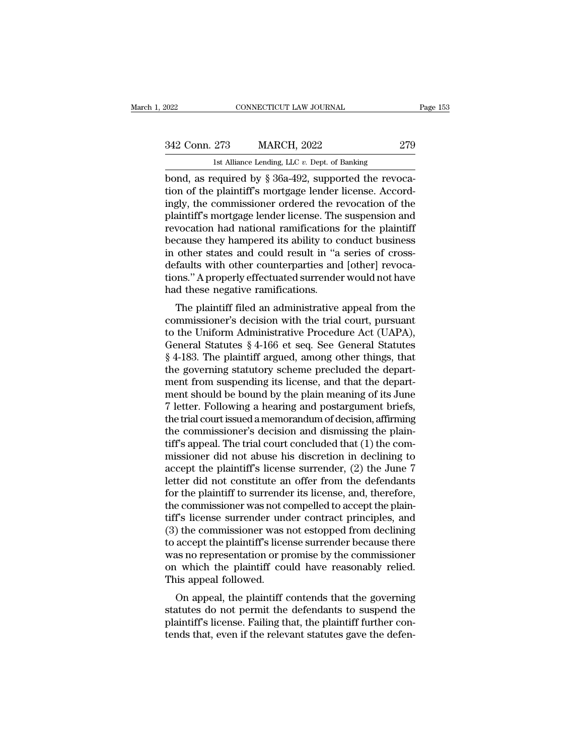| 2022          | CONNECTICUT LAW JOURNAL                                  | Page 153 |
|---------------|----------------------------------------------------------|----------|
| 342 Conn. 273 | <b>MARCH, 2022</b>                                       | 279      |
|               | 1st Alliance Lending, LLC $v$ . Dept. of Banking         |          |
|               | bond, as required by $\S$ 36a-492, supported the revoca- |          |

connecticut LAW JOURNAL<br>
342 Conn. 273 MARCH, 2022 279<br>
1st Alliance Lending, LLC v. Dept. of Banking<br>
bond, as required by § 36a-492, supported the revoca-<br>
tion of the plaintiff's mortgage lender license. Accord-<br>
ingly, 342 Conn. 273 MARCH, 2022 279<br>
1st Alliance Lending, LLC v. Dept. of Banking<br>
bond, as required by § 36a-492, supported the revocation<br>
of the plaintiff's mortgage lender license. Accord-<br>
ingly, the commissioner ordered t 342 Conn. 273 MARCH, 2022 279<br>
Ist Alliance Lending, LLC  $v$ . Dept. of Banking<br>
bond, as required by  $\S 36a-492$ , supported the revoca-<br>
tion of the plaintiff's mortgage lender license. Accord-<br>
ingly, the commissioner or 342 Conn. 273 MARCH, 2022 279<br>
1st Alliance Lending, LLC  $v$ . Dept. of Banking<br>
bond, as required by § 36a-492, supported the revoca-<br>
tion of the plaintiff's mortgage lender license. Accord-<br>
ingly, the commissioner orde 15 The Lemma Lie of the Rending, LLC v. Dept. of Banking<br>bond, as required by § 36a-492, supported the revoca-<br>tion of the plaintiff's mortgage lender license. Accord-<br>ingly, the commissioner ordered the revocation of the Ist Alliance Lending, LLC  $v$ . Dept. of Banking<br>bond, as required by § 36a-492, supported the revoca-<br>tion of the plaintiff's mortgage lender license. Accord-<br>ingly, the commissioner ordered the revocation of the<br>plaintif bond, as required by § 36a-492, supported the revocation of the plaintiff's mortgage lender license. Accordingly, the commissioner ordered the revocation of the plaintiff's mortgage lender license. The suspension and revoc tion of the plaintiff's mortgage lender license. Accordingly, the commissioner ordered the revocation of the plaintiff's mortgage lender license. The suspension and revocation had national ramifications for the plaintiff b ingly, the commissioner ordered the revocation of the plaintiff's mortgage lender license. The suspension and revocation had national ramifications for the plaintiff because they hampered its ability to conduct business in plaintiff's mortgage lender license. The<br>revocation had national ramifications<br>because they hampered its ability to c<br>in other states and could result in "a<br>defaults with other counterparties and<br>tions." A properly effectu Fraction had national radiffications for the plantification<br>cause they hampered its ability to conduct business<br>other states and could result in "a series of cross-<br>faults with other counterparties and [other] revoca-<br>ms." because they hampered its ability to conduct business<br>in other states and could result in "a series of cross-<br>defaults with other counterparties and [other] revoca-<br>tions." A properly effectuated surrender would not have<br>h

In other states and could result in a series of cross-<br>defaults with other counterparties and [other] revoca-<br>tions." A properly effectuated surrender would not have<br>had these negative ramifications.<br>The plaintiff filed a deratures with other counterparties and [other] revocations." A properly effectuated surrender would not have<br>had these negative ramifications.<br>The plaintiff filed an administrative appeal from the<br>commissioner's decision Final these negative ramifications.<br>
The plaintiff filed an administrative appeal from the<br>
commissioner's decision with the trial court, pursuant<br>
to the Uniform Administrative Procedure Act (UAPA),<br>
General Statutes § 4-The plaintiff filed an administrative appeal from the commissioner's decision with the trial court, pursuant to the Uniform Administrative Procedure Act (UAPA), General Statutes  $\S 4$ -166 et seq. See General Statutes  $\S 4$ The plaintiff filed an administrative appeal from the commissioner's decision with the trial court, pursuant to the Uniform Administrative Procedure Act (UAPA), General Statutes § 4-166 et seq. See General Statutes § 4-183 commissioner's decision with the trial court, pursuant<br>to the Uniform Administrative Procedure Act (UAPA),<br>General Statutes § 4-166 et seq. See General Statutes<br>§ 4-183. The plaintiff argued, among other things, that<br>the g to the Uniform Administrative Procedure Act (UAPA),<br>General Statutes § 4-166 et seq. See General Statutes<br>§ 4-183. The plaintiff argued, among other things, that<br>the governing statutory scheme precluded the depart-<br>ment fr General Statutes § 4-166 et seq. See General Statutes<br>§ 4-183. The plaintiff argued, among other things, that<br>the governing statutory scheme precluded the depart-<br>ment from suspending its license, and that the depart-<br>men  $§$  4-183. The plaintiff argued, among other things, that<br>the governing statutory scheme precluded the depart-<br>ment from suspending its license, and that the depart-<br>ment should be bound by the plain meaning of its June<br>7 the governing statutory scheme precluded the depart-<br>ment from suspending its license, and that the depart-<br>ment should be bound by the plain meaning of its June<br>7 letter. Following a hearing and postargument briefs,<br>the t ment from suspending its license, and that the department should be bound by the plain meaning of its June 7 letter. Following a hearing and postargument briefs, the trial court issued a memorandum of decision, affirming t ment should be bound by the plain meaning of its June<br>7 letter. Following a hearing and postargument briefs,<br>the trial court issued a memorandum of decision, affirming<br>the commissioner's decision and dismissing the plain-<br> 7 letter. Following a hearing and postargument briefs,<br>the trial court issued a memorandum of decision, affirming<br>the commissioner's decision and dismissing the plain-<br>tiff's appeal. The trial court concluded that (1) the the trial court issued a memorandum of decision, affirming<br>the commissioner's decision and dismissing the plain-<br>tiff's appeal. The trial court concluded that (1) the com-<br>missioner did not abuse his discretion in declinin the commissioner's decision and dismissing the plaintiff's appeal. The trial court concluded that (1) the commissioner did not abuse his discretion in declining to accept the plaintiff's license surrender, (2) the June 7 l tiff's appeal. The trial court concluded that (1) the com-<br>missioner did not abuse his discretion in declining to<br>accept the plaintiff's license surrender, (2) the June 7<br>letter did not constitute an offer from the defenda missioner did not abuse his discretion in declining to<br>accept the plaintiff's license surrender, (2) the June 7<br>letter did not constitute an offer from the defendants<br>for the plaintiff to surrender its license, and, theref accept the plaintiff's license surrender, (2) the June 7<br>letter did not constitute an offer from the defendants<br>for the plaintiff to surrender its license, and, therefore,<br>the commissioner was not compelled to accept the p letter did not constitute an offer from the defendants<br>for the plaintiff to surrender its license, and, therefore,<br>the commissioner was not compelled to accept the plain-<br>tiff's license surrender under contract principles, for the plaintiff to surrender its license, and, therefore,<br>the commissioner was not compelled to accept the plain-<br>tiff's license surrender under contract principles, and<br>(3) the commissioner was not estopped from declini the commissioner was not c<br>tiff's license surrender uno<br>(3) the commissioner was it<br>to accept the plaintiff's lice<br>was no representation or p<br>on which the plaintiff court This appeal followed.<br>On appeal, the plaintiff or The commissioner was not estopped from declining<br>accept the plaintiff's license surrender because there<br>as no representation or promise by the commissioner<br>which the plaintiff could have reasonably relied.<br>is appeal follo (3) the commissioner was not estopped from decining<br>to accept the plaintiff's license surrender because there<br>was no representation or promise by the commissioner<br>on which the plaintiff could have reasonably relied.<br>This a

for accept the plaintiff's incense surferider because there<br>was no representation or promise by the commissioner<br>on which the plaintiff could have reasonably relied.<br>This appeal followed.<br>On appeal, the plaintiff contends was no representation of profiles by the commissioner<br>on which the plaintiff could have reasonably relied.<br>This appeal followed.<br>On appeal, the plaintiff contends that the governing<br>statutes do not permit the defendants to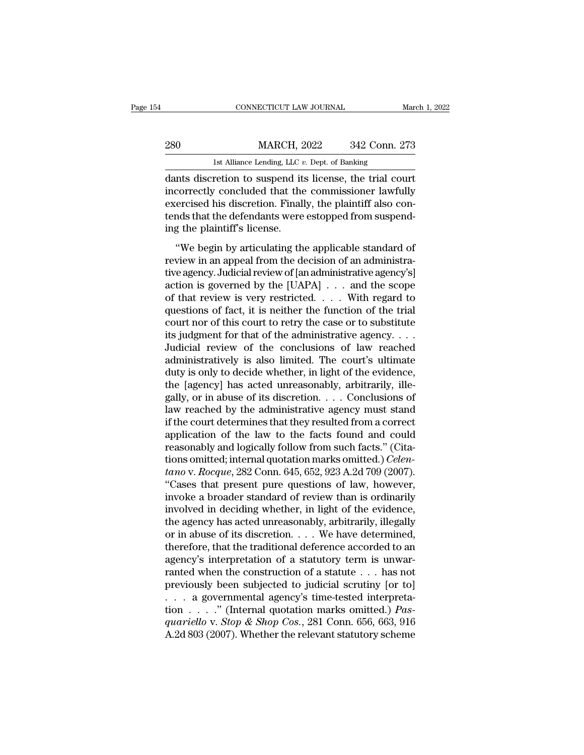|     | CONNECTICUT LAW JOURNAL                                 | March 1, 2022 |
|-----|---------------------------------------------------------|---------------|
|     |                                                         |               |
| 280 | <b>MARCH, 2022</b>                                      | 342 Conn. 273 |
|     | 1st Alliance Lending, LLC $v$ . Dept. of Banking        |               |
|     | dants discretion to suspend its license the trial court |               |

CONNECTICUT LAW JOURNAL March 1, 202<br>
280 MARCH, 2022 342 Conn. 273<br>
1st Alliance Lending, LLC v. Dept. of Banking<br>
dants discretion to suspend its license, the trial court<br>
incorrectly concluded that the commissioner lawf MARCH, 2022 342 Conn. 273<br>
1st Alliance Lending, LLC v. Dept. of Banking<br>
dants discretion to suspend its license, the trial court<br>
incorrectly concluded that the commissioner lawfully<br>
exercised his discretion. Finally, t  $\begin{tabular}{ll} \bf 280 & \tt MARCH, 2022 & \tt 342 Conn. 273 \\ & \tt 1st Alliance Lending, LLC. v. Dept. of Banking \\ \bf dants discretion to suspend its license, the trial court incorrectly concluded that the commissioner lawfully \\ \bf exercised his discretion. Finally, the plaintiff also contends that the defendants were estopped from suspend-  
ing the plaintiff's license. \end{tabular}$  $\begin{tabular}{ll} 280 & MARCH, 2022 & 342 Conn. 273 \\ & \rule{0pt}{3.5mm} \textcolor{red}{_{1}} \textcolor{black}{_{1}} \textcolor{black}{_{1}} \textcolor{black}{_{1}} \textcolor{black}{_{1}} \textcolor{black}{_{1}} \textcolor{black}{_{2}} \textcolor{black}{_{2}} \textcolor{black}{_{1}} \textcolor{black}{_{2}} \textcolor{black}{_{3}} \textcolor{black}{_{3}} \textcolor{black}{_{4}} \textcolor{black}{_{5}} \textcolor{black}{_{5}} \textcolor{black}{_{6}} \textcolor{black}{_{7}} \textcolor{black}{_{7}} \textcolor{black}{_{8}} \textcolor{$ Ist Alliance Lending, LLC  $i$ <br>dants discretion to suspend it:<br>incorrectly concluded that the<br>exercised his discretion. Finall<br>tends that the defendants were<br>ing the plaintiff's license.<br>"We begin by articulating th nts discretion to suspend its license, the trial court<br>correctly concluded that the commissioner lawfully<br>ercised his discretion. Finally, the plaintiff also con-<br>nds that the defendants were estopped from suspend-<br>g the p review incorrectly concluded that the commissioner lawfully<br>exercised his discretion. Finally, the plaintiff also con-<br>tends that the defendants were estopped from suspend-<br>ing the plaintiff's license.<br>"We begin by articul

exercised his discretion. Finally, the plaintiff also contends that the defendants were estopped from suspending the plaintiff's license.<br>
"We begin by articulating the applicable standard of review in an appeal from the d tends that the defendants were estopped from suspending the plaintiff's license.<br>
"We begin by articulating the applicable standard of<br>
review in an appeal from the decision of an administra-<br>
tive agency. Judicial review ing the plaintiff's license.<br>
"We begin by articulating the applicable standard of<br>
review in an appeal from the decision of an administra-<br>
tive agency. Judicial review of [an administrative agency's]<br>
action is governed "We begin by articulating the applicable standard of<br>review in an appeal from the decision of an administra-<br>tive agency. Judicial review of [an administrative agency's]<br>action is governed by the [UAPA]  $\dots$  and the scope "We begin by articulating the applicable standard of<br>review in an appeal from the decision of an administra-<br>tive agency. Judicial review of [an administrative agency's]<br>action is governed by the [UAPA]  $\dots$  and the scope review in an appeal from the decision of an administrative agency's]<br>tive agency. Judicial review of [an administrative agency's]<br>action is governed by the [UAPA]  $\ldots$  and the scope<br>of that review is very restricted.  $\ld$ tive agency. Judicial review of [an administrative agency's]<br>action is governed by the [UAPA] . . . and the scope<br>of that review is very restricted. . . . With regard to<br>questions of fact, it is neither the function of the action is governed by the [UAPA]  $\ldots$  and the scope<br>of that review is very restricted.  $\ldots$  With regard to<br>questions of fact, it is neither the function of the trial<br>court nor of this court to retry the case or to subst of that review is very restricted. . . . With regard to<br>questions of fact, it is neither the function of the trial<br>court nor of this court to retry the case or to substitute<br>its judgment for that of the administrative agen questions of fact, it is neither the function of the trial court nor of this court to retry the case or to substitute its judgment for that of the administrative agency....<br>Judicial review of the conclusions of law reache court nor of this court to retry the case or to substitute<br>its judgment for that of the administrative agency. . . .<br>Judicial review of the conclusions of law reached<br>administratively is also limited. The court's ultimate its judgment for that of the administrative agency.  $\dots$ <br>Judicial review of the conclusions of law reached<br>administratively is also limited. The court's ultimate<br>duty is only to decide whether, in light of the evidence,<br>t Judicial review of the conclusions of law reached<br>administratively is also limited. The court's ultimate<br>duty is only to decide whether, in light of the evidence,<br>the [agency] has acted unreasonably, arbitrarily, ille-<br>gal administratively is also limited. The court's ultimate<br>duty is only to decide whether, in light of the evidence,<br>the [agency] has acted unreasonably, arbitrarily, ille-<br>gally, or in abuse of its discretion. . . . Conclusi duty is only to decide whether, in light of the evidence,<br>the [agency] has acted unreasonably, arbitrarily, ille-<br>gally, or in abuse of its discretion.... Conclusions of<br>law reached by the administrative agency must stand the [agency] has acted unreasonably, arbitrarily, illegally, or in abuse of its discretion. . . . Conclusions of<br>law reached by the administrative agency must stand<br>if the court determines that they resulted from a correct gally, or in abuse of its discretion. . . . . Conclusions of<br>law reached by the administrative agency must stand<br>if the court determines that they resulted from a correct<br>application of the law to the facts found and could law reached by the administrative agency must stand<br>if the court determines that they resulted from a correct<br>application of the law to the facts found and could<br>reasonably and logically follow from such facts." (Cita-<br>tio if the court determines that they resulted from a correct<br>application of the law to the facts found and could<br>reasonably and logically follow from such facts." (Cita-<br>tions omitted; internal quotation marks omitted.) *Cele* application of the law to the facts found and could<br>reasonably and logically follow from such facts." (Cita-<br>tions omitted; internal quotation marks omitted.) *Celen-*<br>tano v. Rocque, 282 Conn. 645, 652, 923 A.2d 709 (2007 reasonably and logically follow from such facts." (Citations omitted; internal quotation marks omitted.) *Celentano* v. Rocque, 282 Conn. 645, 652, 923 A.2d 709 (2007). "Cases that present pure questions of law, however, tions omitted; internal quotation marks omitted.) *Celentano* v. *Rocque*, 282 Conn. 645, 652, 923 A.2d 709 (2007).<br>
"Cases that present pure questions of law, however,<br>
invoke a broader standard of review than is ordinar *tano* v. *Rocque*, 282 Conn. 645, 652, 923 A.2d 709 (2007).<br>
"Cases that present pure questions of law, however,<br>
invoke a broader standard of review than is ordinarily<br>
involved in deciding whether, in light of the evid "Cases that present pure questions of law, however,<br>invoke a broader standard of review than is ordinarily<br>involved in deciding whether, in light of the evidence,<br>the agency has acted unreasonably, arbitrarily, illegally<br> invoke a broader standard of review than is ordinarily<br>involved in deciding whether, in light of the evidence,<br>the agency has acted unreasonably, arbitrarily, illegally<br>or in abuse of its discretion. . . . We have determi involved in deciding whether, in light of the evidence,<br>the agency has acted unreasonably, arbitrarily, illegally<br>or in abuse of its discretion.... We have determined,<br>therefore, that the traditional deference accorded to the agency has acted unreasonably, arbitrarily, illegally<br>or in abuse of its discretion. . . . We have determined,<br>therefore, that the traditional deference accorded to an<br>agency's interpretation of a statutory term is un or in abuse of its discretion. . . . We have determined,<br>therefore, that the traditional deference accorded to an<br>agency's interpretation of a statutory term is unwar-<br>ranted when the construction of a statute . . . has no therefore, that the traditional deference accorded to an agency's interpretation of a statutory term is unwarranted when the construction of a statute . . . has not previously been subjected to judicial scrutiny [or to] . agency's interpretation of a statutory term is unwarranted when the construction of a statute . . . has not previously been subjected to judicial scrutiny [or to] . . . a governmental agency's time-tested interpretation .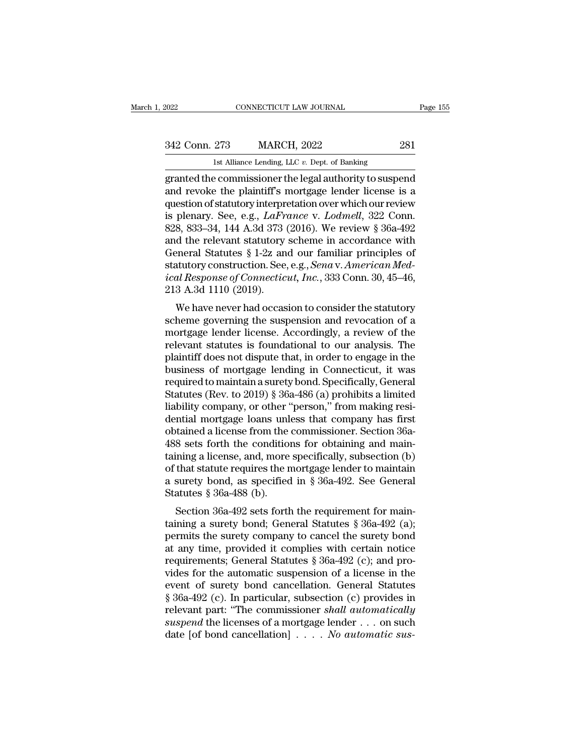| 2022          | CONNECTICUT LAW JOURNAL                          | Page 155 |
|---------------|--------------------------------------------------|----------|
| 342 Conn. 273 | <b>MARCH, 2022</b>                               | 281      |
|               | 1st Alliance Lending, LLC $v$ . Dept. of Banking |          |

EXERCITY LAW JOURNAL<br>
2022 281<br>
1st Alliance Lending, LLC *v.* Dept. of Banking<br>
281<br>
281<br>
273 MARCH, 2022<br>
281<br>
281<br>
281<br>
273 Dept. of Banking EXERCT 2022 EXERCT CONNECTICUT LAW JOURNAL Page 155<br>
342 Conn. 273 MARCH, 2022 231<br>
1st Alliance Lending, LLC v. Dept. of Banking<br>
281<br>
27 Started the commissioner the legal authority to suspend<br>
28 and revoke the plaintif  $\begin{array}{r} \text{342 Conn. 273} \quad \text{MARCH, 2022} \quad \text{281} \ \text{1st Alliance Lending, LLC v. Dept. of Banking} \ \text{granted the commissioner the legal authority to suspend and revoke the plaintiff's mortgage lender license is a question of statutory interpretation over which our review is, planary. So, a.g., LaFrame & V. Lodmell. 322 Conn. \end{array}$ 342 Conn. 273 MARCH, 2022 281<br>
1st Alliance Lending, LLC v. Dept. of Banking<br>
granted the commissioner the legal authority to suspend<br>
and revoke the plaintiff's mortgage lender license is a<br>
question of statutory interpr 342 Conn. 273 MARCH, 2022 231<br>
Ist Alliance Lending, LLC v. Dept. of Banking<br>
granted the commissioner the legal authority to suspend<br>
and revoke the plaintiff's mortgage lender license is a<br>
question of statutory interpre Ist Alliance Lending, LLC v. Dept. of Banking<br>
granted the commissioner the legal authority to suspend<br>
and revoke the plaintiff's mortgage lender license is a<br>
question of statutory interpretation over which our review<br>
i Ist Alliance Lending, LLC v. Dept. of Banking<br>granted the commissioner the legal authority to suspend<br>and revoke the plaintiff's mortgage lender license is a<br>question of statutory interpretation over which our review<br>is p granted the commissioner the legal authority to suspend<br>and revoke the plaintiff's mortgage lender license is a<br>question of statutory interpretation over which our review<br>is plenary. See, e.g., *LaFrance* v. *Lodmell*, 322 and revoke the plaintiff's mortgage lender license is a<br>question of statutory interpretation over which our review<br>is plenary. See, e.g., *LaFrance* v. *Lodmell*, 322 Conn.<br>828, 833–34, 144 A.3d 373 (2016). We review § 36a question of statutory interpretation over which our review<br>is plenary. See, e.g., *LaFrance v. Lodmell*, 322 Conn.<br>828, 833–34, 144 A.3d 373 (2016). We review § 36a-492<br>and the relevant statutory scheme in accordance with<br> is plenary. See, e.g.,  $LaFn$ <br>828, 833–34, 144 A.3d 373 (<br>and the relevant statutory<br>General Statutes § 1-2z an<br>statutory construction. See,<br>ical Response of Connectic<br>213 A.3d 1110 (2019).<br>We have never had occas o, 855–54, 144 A.5d 575 (2010). We feview § 50a–452<br>d the relevant statutory scheme in accordance with<br>eneral Statutes § 1-2z and our familiar principles of<br>atutory construction. See, e.g., *Sena* v. *American Med-<br>al Res* and the Ferevalt statutory scheme in accordance will<br>General Statutes § 1-2z and our familiar principles of<br>statutory construction. See, e.g., *Sena* v. American Med-<br>ical Response of Connecticut, Inc., 333 Conn. 30, 45–46

General statutes y 1-22 and our familiar principles of<br>statutory construction. See, e.g., *Sena* v. *American Med-<br>ical Response of Connecticut*, *Inc.*, 333 Conn. 30, 45–46,<br>213 A.3d 1110 (2019).<br>We have never had occasio statutory construction: see, e.g., send v. American mea-<br>ical Response of Connecticut, Inc., 333 Conn. 30, 45–46,<br>213 A.3d 1110 (2019).<br>We have never had occasion to consider the statutory<br>scheme governing the suspension a *lead Response of Connecticut, Inc.*, 335 Collif. 30, 43–40, 213 A.3d 1110 (2019).<br>We have never had occasion to consider the statutory scheme governing the suspension and revocation of a mortgage lender license. Accordin 215 A.5d 1110 (2019).<br>
We have never had occasion to consider the statutory<br>
scheme governing the suspension and revocation of a<br>
mortgage lender license. Accordingly, a review of the<br>
relevant statutes is foundational to We have never had occasion to consider the statutory<br>scheme governing the suspension and revocation of a<br>mortgage lender license. Accordingly, a review of the<br>relevant statutes is foundational to our analysis. The<br>plaintif scheme governing the suspension and revocation of a<br>mortgage lender license. Accordingly, a review of the<br>relevant statutes is foundational to our analysis. The<br>plaintiff does not dispute that, in order to engage in the<br>bu mortgage lender license. Accordingly, a review of the relevant statutes is foundational to our analysis. The plaintiff does not dispute that, in order to engage in the business of mortgage lending in Connecticut, it was re relevant statutes is foundational to our analysis. The<br>plaintiff does not dispute that, in order to engage in the<br>business of mortgage lending in Connecticut, it was<br>required to maintain a surety bond. Specifically, Genera plaintiff does not dispute that, in order to engage in the<br>business of mortgage lending in Connecticut, it was<br>required to maintain a surety bond. Specifically, General<br>Statutes (Rev. to 2019) § 36a-486 (a) prohibits a lim business of mortgage lending in Connecticut, it was<br>required to maintain a surety bond. Specifically, General<br>Statutes (Rev. to 2019) § 36a-486 (a) prohibits a limited<br>liability company, or other "person," from making resi required to maintain a surety bond. Specifically, General<br>Statutes (Rev. to 2019) § 36a-486 (a) prohibits a limited<br>liability company, or other "person," from making resi-<br>dential mortgage loans unless that company has fir Statutes (Rev. to 2019) § 36a-486 (a) prohibits a limited<br>liability company, or other "person," from making resi-<br>dential mortgage loans unless that company has first<br>obtained a license from the commissioner. Section 36aliability company, or other "person," from making residential mortgage loans unless that company has first obtained a license from the commissioner. Section 36a-488 sets forth the conditions for obtaining and maintaining dential mortgage loans unlobtained a license from the<br>488 sets forth the condition<br>taining a license, and, more<br>of that statute requires the n<br>a surety bond, as specified<br>Statutes § 36a-488 (b).<br>Section 36a-492 sets forth Section 36a-492 sets forth the conditions for obtaining and main-<br>
Section 36a-48 sets forth the conditions for obtaining and main-<br>
ining a license, and, more specifically, subsection (b)<br>
that statute requires the mortg Fraction and intervals of botaning and mani-<br>taining a license, and, more specifically, subsection (b)<br>of that statute requires the mortgage lender to maintain<br>a surety bond, as specified in  $\S 36a-492$ . See General<br>Statu

Equivalently, subsection (b)<br>of that statute requires the mortgage lender to maintain<br>a surety bond, as specified in § 36a-492. See General<br>Statutes § 36a-488 (b).<br>Section 36a-492 sets forth the requirement for main-<br>tain a surety bond, as specified in § 36a-492. See General<br>Statutes § 36a-488 (b).<br>Section 36a-492 sets forth the requirement for main-<br>taining a surety bond; General Statutes § 36a-492 (a);<br>permits the surety company to cance a surety bond, as specified in  $\S$  50a-492. See General Statutes  $\S$  36a-488 (b).<br>Section 36a-492 sets forth the requirement for maintaining a surety bond; General Statutes  $\S$  36a-492 (a); permits the surety company to c Statutes 8 50a-403 (b).<br>
Section 36a-492 sets forth the requirement for main-<br>
taining a surety bond; General Statutes § 36a-492 (a);<br>
permits the surety company to cancel the surety bond<br>
at any time, provided it complie Section 36a-492 sets forth the requirement for main-<br>taining a surety bond; General Statutes § 36a-492 (a);<br>permits the surety company to cancel the surety bond<br>at any time, provided it complies with certain notice<br>requir taining a surety bond; General Statutes § 36a-492 (a);<br>permits the surety company to cancel the surety bond<br>at any time, provided it complies with certain notice<br>requirements; General Statutes § 36a-492 (c); and pro-<br>vide permits the surety company to cancel the surety bond<br>at any time, provided it complies with certain notice<br>requirements; General Statutes § 36a-492 (c); and pro-<br>vides for the automatic suspension of a license in the<br>event at any time, provided it complies with certain notice<br>requirements; General Statutes § 36a-492 (c); and pro-<br>vides for the automatic suspension of a license in the<br>event of surety bond cancellation. General Statutes<br>§ 36arequirements; General Statutes § 36a-492 (c); and provides for the automatic suspension of a license in the event of surety bond cancellation. General Statutes § 36a-492 (c). In particular, subsection (c) provides in relev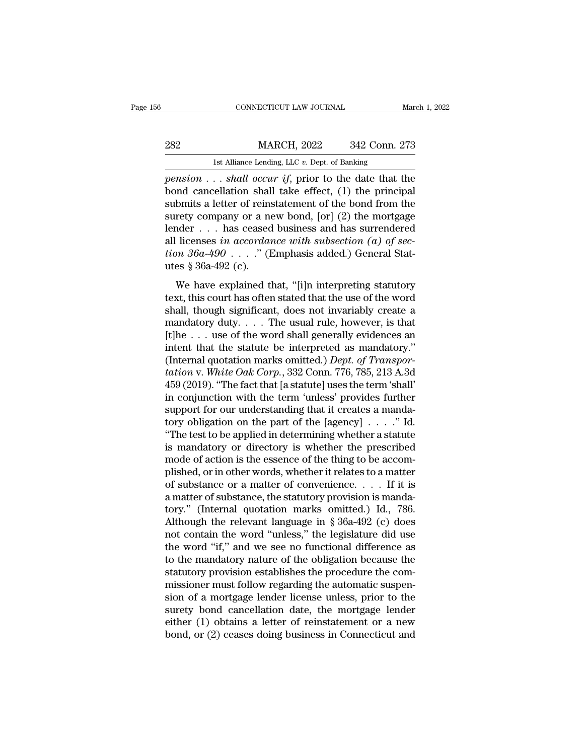|         | CONNECTICUT LAW JOURNAL                          |               | March 1, 2022 |
|---------|--------------------------------------------------|---------------|---------------|
|         |                                                  |               |               |
| 282     | <b>MARCH, 2022</b>                               | 342 Conn. 273 |               |
|         | 1st Alliance Lending, LLC $v$ . Dept. of Banking |               |               |
| nension | shall occur if prior to the date that the        |               |               |

*pension* . . . *shall occur if*, prior to the date that the bond cancellation shall take effect, (1) the principal submits a letter of rejected ment of the bond from the  $\begin{array}{ll}\n & \text{MARCH, 2022} & \text{342 Conn. 273} \\
 \hline\n & \text{1st Alliance Lending, LLC } v. \text{ Dept. of Banking} \\
 \hline\n \text{pension . . . } \text{shall occur if, prior to the date that the bond cancellation shall take effect, (1) the principal submits a letter of reinstant of the bond from the surface of the body.}\n \end{array}$  $\begin{array}{lll}\n & \text{MARCH, 2022} & \text{342 Conn. 273} \\
 & \text{1st Alliance Lending, LLC } v. \text{ Dept. of Banking} \\
 \hline \text{pension . . . } shall \text{ occur if, prior to the date that the bond cancellation shall take effect, (1) the principal submits a letter of reinstatement of the bond from the survey company or a new bond, [or] (2) the mortgage ladder. \end{array}$  $\begin{tabular}{ll} \multicolumn{1}{l}{{\bf 282}} & {\bf {MARCH, 2022}} & {\bf 342 Conn. 273} \end{tabular}$  <br> Ist Alliance Lending, LLC v. Dept. of Banking<br> *pension* . . . *shall occur if*, prior to the date that the<br>
bond cancellation shall take effect, (1) the prin 1st Alliance Lending, LLC v. Dept. of Banking<br>
pension . . . shall occur if, prior to the date that the<br>
bond cancellation shall take effect, (1) the principal<br>
submits a letter of reinstatement of the bond from the<br>
sure Ist Alliance Lending, LLC v. Dept. of Banking<br>
pension . . . shall occur if, prior to the date that the<br>
bond cancellation shall take effect, (1) the principal<br>
submits a letter of reinstatement of the bond from the<br>
suret *pension* . . . *shall occur if*, prior to the date that the bond cancellation shall take effect, (1) the principal submits a letter of reinstatement of the bond from the surety company or a new bond, [or] (2) the mortgage bond cancellation shall<br>submits a letter of reins<br>surety company or a ne<br>lender . . . has ceased<br>all licenses in accordar<br>tion  $36a-490$  . . . ." (I<br>utes  $\S 36a-492$  (c).<br>We have explained tl refly company or a new bond, [or] (2) the mortgage<br>nder . . . has ceased business and has surrendered<br>licenses in accordance with subsection (a) of sec-<br> $m 36a-490...$ ." (Emphasis added.) General Stat-<br>es § 36a-492 (c).<br>We Lender . . . has ceased business and has surrendered<br>all licenses in accordance with subsection (a) of sec-<br>tion 36a-490 . . . ." (Emphasis added.) General Stat-<br>utes § 36a-492 (c).<br>We have explained that, "[i]n interpret

shall licenses *in accordance with subsection (a) of section 36a-490* . . . ." (Emphasis added.) General Statures § 36a-492 (c).<br>We have explained that, "[i]n interpreting statutory text, this court has often stated that ion  $36a-490$ ...." (Emphasis added.) General Statures § 36a-492 (c).<br>We have explained that, "[i]n interpreting statutory<br>text, this court has often stated that the use of the word<br>shall, though significant, does not inva where  $\frac{1}{2}$  and  $\frac{1}{2}$  (c).<br>We have explained that, "[i]n interpreting statutory<br>text, this court has often stated that the use of the word<br>shall, though significant, does not invariably create a<br>mandatory duty.... We have explained that, "[i]n interpreting statutory<br>text, this court has often stated that the use of the word<br>shall, though significant, does not invariably create a<br>mandatory duty.... The usual rule, however, is that<br>[ We have explained that, "[i]n interpreting statutory<br>text, this court has often stated that the use of the word<br>shall, though significant, does not invariably create a<br>mandatory duty.... The usual rule, however, is that<br>[ *text*, this court has often stated that the use of the word<br>shall, though significant, does not invariably create a<br>mandatory duty.... The usual rule, however, is that<br>[t]he ... use of the word shall generally evidences a shall, though significant, does not invariably create a<br>mandatory duty.... The usual rule, however, is that<br>[t]he ... use of the word shall generally evidences an<br>intent that the statute be interpreted as mandatory."<br>(Int mandatory duty. . . . The usual rule, however, is that<br>[t]he . . . use of the word shall generally evidences an<br>intent that the statute be interpreted as mandatory."<br>(Internal quotation marks omitted.) *Dept. of Transpor-*[t]he . . . use of the word shall generally evidences an intent that the statute be interpreted as mandatory."<br>(Internal quotation marks omitted.) *Dept. of Transportation* v. White Oak Corp., 332 Conn. 776, 785, 213 A.3d intent that the statute be interpreted as mandatory."<br>(Internal quotation marks omitted.) *Dept. of Transportation v. White Oak Corp.*, 332 Conn. 776, 785, 213 A.3d<br>459 (2019). "The fact that [a statute] uses the term 'sh (Internal quotation marks omitted.) *Dept. of Transportation v. White Oak Corp.*, 332 Conn. 776, 785, 213 A.3d 459 (2019). "The fact that [a statute] uses the term 'shall' in conjunction with the term 'unless' provides fu *tation* v. *White Oak Corp.*, 332 Conn. 776, 785, 213 A.3d<br>459 (2019). "The fact that [a statute] uses the term 'shall'<br>in conjunction with the term 'unless' provides further<br>support for our understanding that it creates 459 (2019). "The fact that [a statute] uses the term 'shall'<br>in conjunction with the term 'unless' provides further<br>support for our understanding that it creates a manda-<br>tory obligation on the part of the [agency]  $\ldots$ . in conjunction with the term 'unless' provides further<br>support for our understanding that it creates a manda-<br>tory obligation on the part of the [agency]  $\ldots$ ." Id.<br>"The test to be applied in determining whether a statut support for our understanding that it creates a manda-<br>tory obligation on the part of the [agency]  $\ldots$ ." Id.<br>"The test to be applied in determining whether a statute<br>is mandatory or directory is whether the prescribed<br>m tory obligation on the part of the [agency]  $\ldots$  ." Id.<br>"The test to be applied in determining whether a statute<br>is mandatory or directory is whether the prescribed<br>mode of action is the essence of the thing to be accom-"The test to be applied in determining whether a statute<br>is mandatory or directory is whether the prescribed<br>mode of action is the essence of the thing to be accom-<br>plished, or in other words, whether it relates to a matt is mandatory or directory is whether the prescribed<br>mode of action is the essence of the thing to be accom-<br>plished, or in other words, whether it relates to a matter<br>of substance or a matter of convenience.... If it is<br>a mode of action is the essence of the thing to be accomplished, or in other words, whether it relates to a matter of substance or a matter of convenience. . . . . If it is a matter of substance, the statutory provision is plished, or in other words, whether it relates to a matter<br>of substance or a matter of convenience.... If it is<br>a matter of substance, the statutory provision is manda-<br>tory." (Internal quotation marks omitted.) Id., 786. of substance or a matter of convenience. . . . If it is<br>a matter of substance, the statutory provision is manda-<br>tory." (Internal quotation marks omitted.) Id., 786.<br>Although the relevant language in § 36a-492 (c) does<br>no a matter of substance, the statutory provision is manda-<br>tory." (Internal quotation marks omitted.) Id., 786.<br>Although the relevant language in § 36a-492 (c) does<br>not contain the word "unless," the legislature did use<br>the tory." (Internal quotation marks omitted.) Id., 786.<br>Although the relevant language in  $\S$  36a-492 (c) does<br>not contain the word "unless," the legislature did use<br>the word "if," and we see no functional difference as<br>to t Although the relevant language in § 36a-492 (c) does<br>not contain the word "unless," the legislature did use<br>the word "if," and we see no functional difference as<br>to the mandatory nature of the obligation because the<br>statu not contain the word "unless," the legislature did use<br>the word "if," and we see no functional difference as<br>to the mandatory nature of the obligation because the<br>statutory provision establishes the procedure the com-<br>mis the word "if," and we see no functional difference as<br>to the mandatory nature of the obligation because the<br>statutory provision establishes the procedure the com-<br>missioner must follow regarding the automatic suspen-<br>sion to the mandatory nature of the obligation because the statutory provision establishes the procedure the commissioner must follow regarding the automatic suspension of a mortgage lender license unless, prior to the surety b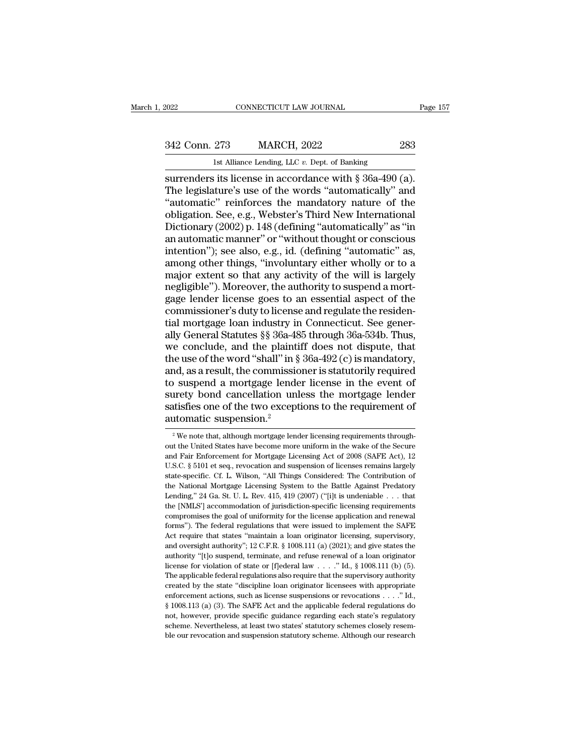# EXECUTE CONNECTICUT LAW JOURNAL Page 157<br>342 Conn. 273 MARCH, 2022 283<br>1st Alliance Lending, LLC v. Dept. of Banking

EXECUTE LAW JOURNAL<br>
2022 283<br>
1st Alliance Lending, LLC *v.* Dept. of Banking<br>
surrenders its license in accordance with § 36a-490 (a). Fage<br>
surrenders its license in accordance with § 36a-490 (a).<br>
The legislature's use of the words "automatically" and<br>
surrenders its license in accordance with § 36a-490 (a).<br>
The legislature's use of the words "automati 342 Conn. 273 MARCH, 2022 283<br>
1st Alliance Lending, LLC v. Dept. of Banking<br>
surrenders its license in accordance with § 36a-490 (a).<br>
The legislature's use of the words "automatically" and<br>
"automatic" reinforces the man 342 Conn. 273 MARCH, 2022 283<br>
Ist Alliance Lending, LLC v. Dept. of Banking<br>
surrenders its license in accordance with § 36a-490 (a).<br>
The legislature's use of the words "automatically" and<br>
"automatic" reinforces the ma 342 Conn. 273 MARCH, 2022 283<br>
Ist Alliance Lending, LLC v. Dept. of Banking<br>
surrenders its license in accordance with § 36a-490 (a).<br>
The legislature's use of the words "automatically" and<br>
"automatic" reinforces the man 15 DE COME 210 MERCH, 2022<br>
1st Alliance Lending, LLC v. Dept. of Banking<br>
surrenders its license in accordance with § 36a-490 (a).<br>
The legislature's use of the words "automatically" and<br>
"automatic" reinforces the manda <sup>1st Alliance Lending, LLC v. Dept. of Banking<br>
surrenders its license in accordance with § 36a-490 (a).<br>
The legislature's use of the words "automatically" and<br>
"automatic" reinforces the mandatory nature of the<br>
obligati</sup> surrenders its license in accordance with § 36a-490 (a).<br>The legislature's use of the words "automatically" and<br>"automatic" reinforces the mandatory nature of the<br>obligation. See, e.g., Webster's Third New International<br>Di The legislature's use of the words "automatically" and<br>"automatic" reinforces the mandatory nature of the<br>obligation. See, e.g., Webster's Third New International<br>Dictionary (2002) p. 148 (defining "automatically" as "in<br>a "automatic" reinforces the mandatory nature of the obligation. See, e.g., Webster's Third New International Dictionary  $(2002)$  p. 148 (defining "automatically" as "in an automatic manner" or "without thought or conscious obligation. See, e.g., Webster's Third New International<br>Dictionary (2002) p. 148 (defining "automatically" as "in<br>an automatic manner" or "without thought or conscious<br>intention"); see also, e.g., id. (defining "automatic Dictionary (2002) p. 148 (defining "automatically" as "in<br>an automatic manner" or "without thought or conscious<br>intention"); see also, e.g., id. (defining "automatic" as,<br>among other things, "involuntary either wholly or t an automatic manner" or "without thought or conscious<br>intention"); see also, e.g., id. (defining "automatic" as,<br>among other things, "involuntary either wholly or to a<br>major extent so that any activity of the will is large intention"); see also, e.g., id. (defining "automatic" as,<br>among other things, "involuntary either wholly or to a<br>major extent so that any activity of the will is largely<br>negligible"). Moreover, the authority to suspend a among other things, "involuntary either wholly or to a<br>major extent so that any activity of the will is largely<br>negligible"). Moreover, the authority to suspend a mort-<br>gage lender license goes to an essential aspect of th major extent so that any activity of the will is largely<br>negligible"). Moreover, the authority to suspend a mort-<br>gage lender license goes to an essential aspect of the<br>commissioner's duty to license and regulate the resid negligible"). Moreover, the authority to suspend a mortgage lender license goes to an essential aspect of the commissioner's duty to license and regulate the residential mortgage loan industry in Connecticut. See generally gage lender license goes to an essential aspect of the commissioner's duty to license and regulate the residential mortgage loan industry in Connecticut. See generally General Statutes §§ 36a-485 through 36a-534b. Thus, we commissioner's duty to license and regulate the residential mortgage loan industry in Connecticut. See generally General Statutes §§ 36a-485 through 36a-534b. Thus, we conclude, and the plaintiff does not dispute, that the tial mortgage loan industry in Connecticut. See generally General Statutes §§ 36a-485 through 36a-534b. Thus,<br>we conclude, and the plaintiff does not dispute, that<br>the use of the word "shall" in § 36a-492 (c) is mandatory ally General Statutes §§ 36a-485 through 36a-534b. Thus,<br>we conclude, and the plaintiff does not dispute, that<br>the use of the word "shall" in § 36a-492 (c) is mandatory,<br>and, as a result, the commissioner is statutorily re we conclude, and the plaint<br>the use of the word "shall" in §<br>and, as a result, the commissic<br>to suspend a mortgage lende<br>surety bond cancellation unl<br>satisfies one of the two except<br>automatic suspension.<sup>2</sup><br><sup>2</sup> We note th 2 We note that, although mortgage lender license in the event of urety bond cancellation unless the mortgage lender thatisfies one of the two exceptions to the requirement of utomatic suspension.<sup>2</sup><br><sup>2</sup> We note that, alth surety bond cancellation unless the mortgage lender<br>satisfies one of the two exceptions to the requirement of<br>automatic suspension.<sup>2</sup><br><sup>2</sup> We note that, although mortgage lender licensing requirements through-<br>out the Uni

satisfies one of the two exceptions to the requirement of automatic suspension.<sup>2</sup><br> $\cdot$ <sup>2</sup> We note that, although mortgage lender licensing requirements throughout the United States have become more uniform in the wake of automatic suspension.<sup>2</sup><br>
<sup>2</sup> We note that, although mortgage lender licensing requirements throughout the United States have become more uniform in the wake of the Secure and Fair Enforcement for Mortgage Licensing Act o state-specific. Cf. L. Wilson, ''All Things Considered: The Contribution of National Pair Enforcement for Mortgage Licensing Act of 2008 (SAFE Act), 12 U.S.C. § 5101 et seq., revocation and suspension of licenses remains l <sup>2</sup> We note that, although mortgage lender licensing requirements throughout the United States have become more uniform in the wake of the Secure and Fair Enforcement for Mortgage Licensing Act of 2008 (SAFE Act), 12 U.S. out the United States have become more uniform in the wake of the Secure and Fair Enforcement for Mortgage Licensing Act of 2008 (SAFE Act), 12 U.S.C. § 5101 et seq., revocation and suspension of licenses remains largely s and Fair Enforcement for Mortgage Licensing Act of 2008 (SAFE Act), 12 U.S.C. § 5101 et seq., revocation and suspension of licenses remains largely state-specific. Cf. L. Wilson, "All Things Considered: The Contribution o L.S.C. § 5101 et seq., revocation and suspension of licenses remains largely state-specific. Cf. L. Wilson, "All Things Considered: The Contribution of the National Mortgage Licensing System to the Battle Against Predator state-specific. Cf. L. Wilson, "All Things Considered: The Contribution of the National Mortgage Licensing System to the Battle Against Predatory Lending," 24 Ga. St. U. L. Rev. 415, 419 (2007) ("[i]t is undeniable . . . t the National Mortgage Licensing System to the Battle Against Predatory Lending," 24 Ga. St. U. L. Rev. 415, 419 (2007) ("[i]t is undeniable . . . that the [NMLS'] accommodation of jurisdiction-specific licensing requireme Lending," 24 Ga. St. U. L. Rev. 415, 419 (2007) ("[i]t is undeniable . . . that<br>the [NMLS'] accommodation of jurisdiction-specific licensing requirements<br>compromises the goal of uniformity for the license application and r the [NMLS'] accommodation of jurisdiction-specific licensing requirements compromises the goal of uniformity for the license application and renewal forms'). The federal regulations that were issued to implement the SAFE compromises the goal of uniformity for the license application and renewal forms"). The federal regulations that were issued to implement the SAFE Act require that states "maintain a loan originator licensing, supervisory forms"). The federal regulations that were issued to implement the SAFE Act require that states "maintain a loan originator licensing, supervisory, and oversight authority"; 12 C.F.R. § 1008.111 (a) (2021); and give state Extra for the states "maintain a loan originator licensing, supervisory, and oversight authority"; 12 C.F.R. § 1008.111 (a) (2021); and give states the authority "[t]o suspend, terminate, and refuse renewal of a loan orig and oversight authority"; 12 C.F.R. § 1008.111 (a) (2021); and give states the authority "[t]o suspend, terminate, and refuse renewal of a loan originator license for violation of state or [f]ederal law  $\ldots$ . "Id., § 100 authority "[t]o suspend, terminate, and refuse renewal of a loan originator<br>license for violation of state or [f]ederal law . . . . " Id., § 1008.111 (b) (5).<br>The applicable federal regulations also require that the super noticense for violation of state or [f]ederal law  $\ldots$ ." Id., § 1008.111 (b) (5).<br>The applicable federal regulations also require that the supervisory authority<br>created by the state "discipline loan originator licensees The applicable federal regulations also require that the supervisory authority created by the state "discipline loan originator licensees with appropriate enforcement actions, such as license suspensions or revocations  $\$ created by the state "discipline loan originator licensees with appropriate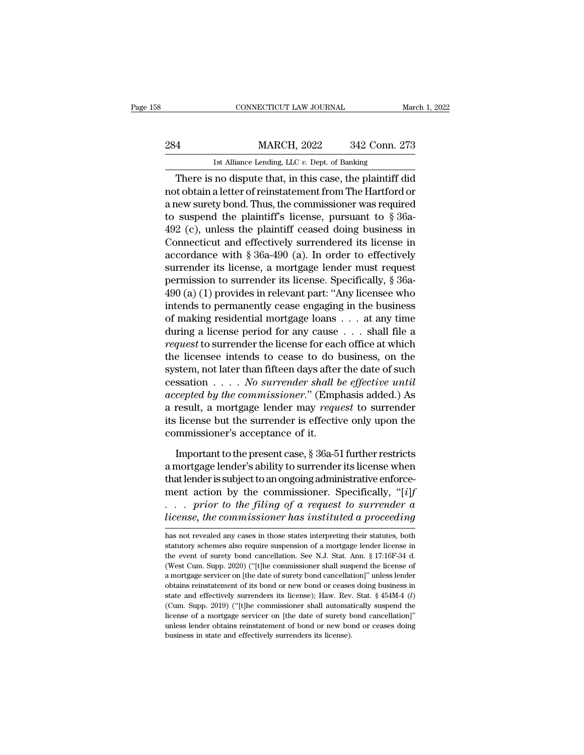# EXECUTE CONNECTICUT LAW JOURNAL March 1, 2022<br>284 MARCH, 2022 342 Conn. 273<br>1st Alliance Lending, LLC v. Dept. of Banking CONNECTICUT LAW JOURNAL March 1, 2022<br>
1st Alliance Lending, LLC *v.* Dept. of Banking<br>
1st Alliance Lending, LLC *v.* Dept. of Banking<br>
1st Alliance Lending, LLC *v.* Dept. of Banking

CONNECTICUT LAW JOURNAL March 1, 2022<br>
4<br>
1 MARCH, 2022 342 Conn. 273<br>
1 Ist Alliance Lending, LLC v. Dept. of Banking<br>
1 There is no dispute that, in this case, the plaintiff did<br>
1 to obtain a letter of reinstatement fro 284 MARCH, 2022 342 Conn. 273<br>
1st Alliance Lending, LLC  $v$ . Dept. of Banking<br>
There is no dispute that, in this case, the plaintiff did<br>
not obtain a letter of reinstatement from The Hartford or<br>
a new surety bond. Thus 284 MARCH, 2022 342 Conn. 273<br>
1st Alliance Lending, LLC v. Dept. of Banking<br>
There is no dispute that, in this case, the plaintiff did<br>
not obtain a letter of reinstatement from The Hartford or<br>
a new surety bond. Thus, 284 MARCH, 2022 342 Conn. 273<br>
1st Alliance Lending, LLC  $v$ . Dept. of Banking<br>
There is no dispute that, in this case, the plaintiff did<br>
not obtain a letter of reinstatement from The Hartford or<br>
a new surety bond. Thus 1st Alliance Lending, LLC v. Dept. of Banking<br>
There is no dispute that, in this case, the plaintiff did<br>
not obtain a letter of reinstatement from The Hartford or<br>
a new surety bond. Thus, the commissioner was required<br> There is no dispute that, in this case, the plaintiff did<br>not obtain a letter of reinstatement from The Hartford or<br>a new surety bond. Thus, the commissioner was required<br>to suspend the plaintiff's license, pursuant to  $\S$ There is no dispute that, in this case, the plaintiff did<br>not obtain a letter of reinstatement from The Hartford or<br>a new surety bond. Thus, the commissioner was required<br>to suspend the plaintiff's license, pursuant to  $\S$ not obtain a letter of reinstatement from The Hartford or<br>a new surety bond. Thus, the commissioner was required<br>to suspend the plaintiff's license, pursuant to § 36a-<br>492 (c), unless the plaintiff ceased doing business in a new surety bond. Thus, the commissioner was required<br>to suspend the plaintiff's license, pursuant to  $\S$  36a-<br>492 (c), unless the plaintiff ceased doing business in<br>Connecticut and effectively surrendered its license in to suspend the plaintiff's license, pursuant to  $\S$  36a-492 (c), unless the plaintiff ceased doing business in Connecticut and effectively surrendered its license in accordance with  $\S$  36a-490 (a). In order to effectivel 492 (c), unless the plaintiff ceased doing business in<br>Connecticut and effectively surrendered its license in<br>accordance with § 36a-490 (a). In order to effectively<br>surrender its license, a mortgage lender must request<br>pe Connecticut and effectively surrendered its license in<br>accordance with § 36a-490 (a). In order to effectively<br>surrender its license, a mortgage lender must request<br>permission to surrender its license. Specifically, § 36aaccordance with § 36a-490 (a). In order to effectively<br>surrender its license, a mortgage lender must request<br>permission to surrender its license. Specifically, § 36a-<br>490 (a) (1) provides in relevant part: "Any licensee w surrender its license, a mortgage lender must request<br>permission to surrender its license. Specifically, § 36a-<br>490 (a) (1) provides in relevant part: "Any licensee who<br>intends to permanently cease engaging in the business permission to surrender its license. Specifically, § 36a-490 (a) (1) provides in relevant part: "Any licensee who intends to permanently cease engaging in the business of making residential mortgage loans  $\ldots$  at any tim 490 (a) (1) provides in relevant part: "Any licensee who<br>intends to permanently cease engaging in the business<br>of making residential mortgage loans  $\dots$  at any time<br>during a license period for any cause  $\dots$  shall file a<br> intends to permanently cease engaging in the business<br>of making residential mortgage loans . . . at any time<br>during a license period for any cause . . . shall file a<br>*request* to surrender the license for each office at wh of making residential mortgage loans . . . at any time<br>during a license period for any cause . . . shall file a<br>*request* to surrender the license for each office at which<br>the licensee intends to cease to do business, on t during a license period for any cause . . . shall file a<br>*request* to surrender the license for each office at which<br>the licensee intends to cease to do business, on the<br>system, not later than fifteen days after the date o request to surrender the license for each office at which<br>the licensee intends to cease to do business, on the<br>system, not later than fifteen days after the date of such<br>cessation . . . . No surrender shall be effective un the licensee intends to cease to do l<br>system, not later than fifteen days after<br>cessation  $\ldots$ . No surrender shall b<br>accepted by the commissioner." (Emp<br>a result, a mortgage lender may requ<br>its license but the surrender ssation . . . . No surrender shall be effective until<br>cepted by the commissioner." (Emphasis added.) As<br>result, a mortgage lender may request to surrender<br>license but the surrender is effective only upon the<br>mmissioner's accepted by the commissioner." (Emphasis added.) As<br>a result, a mortgage lender may request to surrender<br>its license but the surrender is effective only upon the<br>commissioner's acceptance of it.<br>Important to the present ca a result, a mortgage lender may *request* to surrender<br>its license but the surrender is effective only upon the<br>commissioner's acceptance of it.<br>Important to the present case,  $\S 36a-51$  further restricts<br>a mortgage lende

its license but the surrender is effective only upon the<br>commissioner's acceptance of it.<br>Important to the present case,  $\S$  36a-51 further restricts<br>a mortgage lender's ability to surrender its license when<br>that lender i commissioner's acceptance of it.<br>
Important to the present case, § 36a-51 further restricts<br>
a mortgage lender's ability to surrender its license when<br>
that lender is subject to an ongoing administrative enforce-<br>
ment act Important to the present case, § 36a-51 further restricts<br>a mortgage lender's ability to surrender its license when<br>that lender is subject to an ongoing administrative enforce-<br>ment action by the commissioner. Specifically ment action by the commissioner. Specifically, "[*i*]f . . . . *prior to the filing of a request to surrender a license, the commissioner has instituted a proceeding* has not revealed any cases in those states interpretin ment action by the commissioner. Specifically, "[*i*]f<br>
. . . *prior to the filing of a request to surrender a*<br> *license, the commissioner has instituted a proceeding*<br>
has not revealed any cases in those states interpre

<sup>...</sup> prior to the filing of a request to surrender a license, the commissioner has instituted a proceeding has not revealed any cases in those states interpreting their statutes, both statutory schemes also require suspens license, the commissioner has instituted a proceeding<br>has not revealed any cases in those states interpreting their statutes, both<br>statutory schemes also require suspension of a mortgage lender license in<br>the event of sure EXECTIVE COMMISSSIONET TRUS CHISTENTIE OF DIVOCEDING<br>has not revealed any cases in those states interpreting their statutes, both<br>statutory schemes also require suspension of a mortgage lender license in<br>the event of suret has not revealed any cases in those states interpreting their statutes, both statutory schemes also require suspension of a mortgage lender license in the event of surety bond cancellation. See N.J. Stat. Ann.  $\S 17:16F-3$ statutory schemes also require suspension of a mortgage lender license in<br>the event of surety bond cancellation. See N.J. Stat. Ann. § 17:16F-34 d.<br>(West Cum. Supp. 2020) ("[t]he commissioner shall suspend the license of<br>a between of surety bond cancellation. See N.J. Stat. Ann. § 17:16F-34 d. (West Cum. Supp. 2020) ("[t]he commissioner shall suspend the license of a mortgage servicer on [the date of surety bond cancellation]" unless lender Livent <sup>or</sup> a mortgage servicer on [the date of surety bond cancellation]" unless lender a mortgage servicer on [the date of surety bond cancellation]" unless lender obtains reinstatement of its bond or new bond or ceases a mortgage servicer on [the date of surety bond cancellation]" unless lender obtains reinstatement of its bond or new bond or ceases doing business in state and effectively surrenders its license); Haw. Rev. Stat.  $§$  454 obtains reinstatement of its bond or new bond or ceases doing business in state and effectively surrenders its license); Haw. Rev. Stat.  $\frac{8}{454M-4}$  (*l*) (Cum. Supp. 2019) ("[t]he commissioner shall automatically susp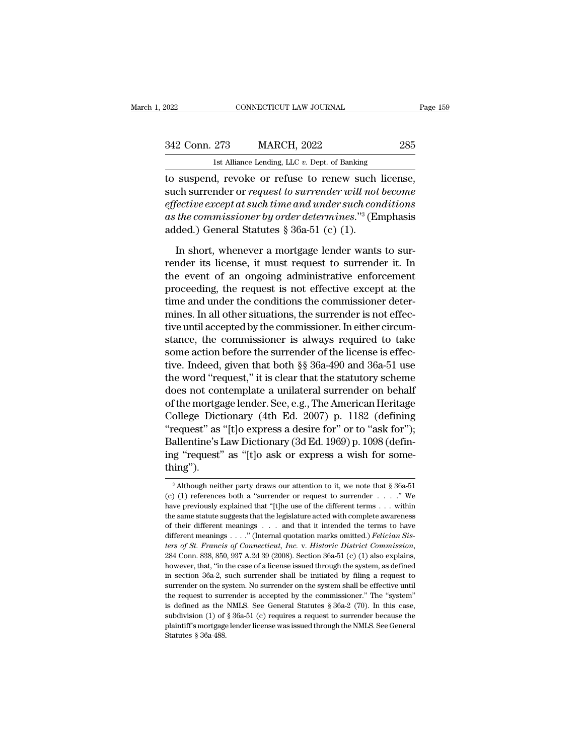| 2022          | CONNECTICUT LAW JOURNAL                             | Page 159 |
|---------------|-----------------------------------------------------|----------|
| 342 Conn. 273 | <b>MARCH, 2022</b>                                  | 285      |
|               | 1st Alliance Lending, LLC $v$ . Dept. of Banking    |          |
|               | to suspend, revoke or refuse to renew such license, |          |

to suspend, revoke or refuse or refuse or refuse of the come of the surface of the surface of  $\frac{1}{100}$  and  $\frac{1}{100}$  and  $\frac{1}{100}$  and  $\frac{1}{100}$  and  $\frac{1}{100}$  and  $\frac{1}{100}$  and  $\frac{1}{100}$  and  $\frac{1}{100}$  and 342 Conn. 273 MARCH, 2022 285<br>
1st Alliance Lending, LLC v. Dept. of Banking<br>
to suspend, revoke or refuse to renew such license,<br>
such surrender or *request to surrender will not become*<br> *effective except at such time an* <sup>242</sup> Conn. 273 MARCH, 2022 285<br>
<sup>1st Alliance Lending, LLC v. Dept. of Banking<br>
to suspend, revoke or refuse to renew such license,<br>
such surrender or *request to surrender will not become*<br> *effective except at such time</sup>* <sup>342</sup> Conn. 273 MARCH, 2022 285<br>
<sup>1st Alliance Lending, LLC v. Dept. of Banking<br>
to suspend, revoke or refuse to renew such license,<br>
such surrender or *request to surrender will not become*<br> *effective except at such time</sup>* 1st Alliance Lending, LLC  $v$ . Dept. of Banking<br>to suspend, revoke or refuse to renew such<br>such surrender or *request to surrender will not*<br>effective except at such time and under such con<br>as the commissioner by order de suspend, revoke or refuse to renew such license,<br>ch surrender or *request to surrender will not become*<br>fective except at such time and under such conditions<br>the commissioner by order determines."<sup>3</sup> (Emphasis<br>ded.) Gener such surrender or *request to surrender will not become*<br>effective except at such time and under such conditions<br>as the commissioner by order determines."<sup>3</sup> (Emphasis<br>added.) General Statutes § 36a-51 (c) (1).<br>In short, w

effective except at such time and under such conditions<br>as the commissioner by order determines."<sup>3</sup> (Emphasis<br>added.) General Statutes § 36a-51 (c) (1).<br>In short, whenever a mortgage lender wants to sur-<br>render its licens as the commissioner by order determines."<sup>3</sup> (Emphasis added.) General Statutes  $\S$  36a-51 (c) (1).<br>In short, whenever a mortgage lender wants to sur-<br>render its license, it must request to surrender it. In<br>the event of a added.) General Statutes  $\S 36a-51$  (c) (1).<br>In short, whenever a mortgage lender wants to sur-<br>render its license, it must request to surrender it. In<br>the event of an ongoing administrative enforcement<br>proceeding, the re In short, whenever a mortgage lender wants to sur-<br>render its license, it must request to surrender it. In<br>the event of an ongoing administrative enforcement<br>proceeding, the request is not effective except at the<br>time and In short, whenever a mortgage lender wants to sur-<br>render its license, it must request to surrender it. In<br>the event of an ongoing administrative enforcement<br>proceeding, the request is not effective except at the<br>time and render its license, it must request to surrender it. In<br>the event of an ongoing administrative enforcement<br>proceeding, the request is not effective except at the<br>time and under the conditions the commissioner deter-<br>mines. the event of an ongoing administrative enforcement<br>proceeding, the request is not effective except at the<br>time and under the conditions the commissioner deter-<br>mines. In all other situations, the surrender is not effec-<br>ti proceeding, the request is not effective except at the<br>time and under the conditions the commissioner deter-<br>mines. In all other situations, the surrender is not effec-<br>tive until accepted by the commissioner. In either ci time and under the conditions the commissioner deter-<br>mines. In all other situations, the surrender is not effec-<br>tive until accepted by the commissioner. In either circum-<br>stance, the commissioner is always required to ta mines. In all other situations, the surrender is not effec-<br>tive until accepted by the commissioner. In either circum-<br>stance, the commissioner is always required to take<br>some action before the surrender of the license is tive until accepted by the commissioner. In either circum-<br>stance, the commissioner is always required to take<br>some action before the surrender of the license is effec-<br>tive. Indeed, given that both §§ 36a-490 and 36a-51 u stance, the commissioner is always required to take<br>some action before the surrender of the license is effec-<br>tive. Indeed, given that both §§ 36a-490 and 36a-51 use<br>the word "request," it is clear that the statutory schem some action before the surrender of the license is effective. Indeed, given that both §§ 36a-490 and 36a-51 use<br>the word "request," it is clear that the statutory scheme<br>does not contemplate a unilateral surrender on behal tive. Indeed, given that both §§ 36a-490 and 36a-51 use<br>the word "request," it is clear that the statutory scheme<br>does not contemplate a unilateral surrender on behalf<br>of the mortgage lender. See, e.g., The American Herita the word "request," it is clear that the statutory scheme<br>does not contemplate a unilateral surrender on behalf<br>of the mortgage lender. See, e.g., The American Heritage<br>College Dictionary (4th Ed. 2007) p. 1182 (defining<br>" thing''). "request" as "[t]o express a desire for" or to "ask for");<br>Ballentine's Law Dictionary (3d Ed. 1969) p. 1098 (defin-<br>ing "request" as "[t]o ask or express a wish for some-<br>thing").<br> $\frac{1}{3}$ Although neither party draws ou Ballentine's Law Dictionary (3d Ed. 1969) p. 1098 (defining "request" as "[t]o ask or express a wish for some-<br>thing").<br><sup>3</sup> Although neither party draws our attention to it, we note that § 36a-51<br>(c) (1) references both a

ing "request" as "[t]o ask or express a wish for some-<br>thing").<br> $\frac{1}{3}$ Although neither party draws our attention to it, we note that  $\frac{2}{3}$  36a-51<br>(c) (1) references both a "surrender or request to surrender . . . . thing").<br>  $\frac{1}{3}$  Although neither party draws our attention to it, we note that § 36a-51<br>
(c) (1) references both a "surrender or request to surrender . . . . ." We<br>
have previously explained that "[t]he use of the dif <sup>3</sup> Although neither party draws our attention to it, we note that § 36a-51 (c) (1) references both a "surrender or request to surrender . . . ." We have previously explained that "[t]he use of the different terms . . . w <sup>3</sup> Although neither party draws our attention to it, we note that  $§ 36a-51$  (c) (1) references both a "surrender or request to surrender . . . ." We have previously explained that "[t]he use of the different terms . . . *ters of St. Francis of Connecticut, Inc. v. Historical terms inc. i. we have previously explained that "*[t]he use of the different terms . . . within the same statute suggests that the legislature acted with comple the same statute suggests that the legislature acted with complete awareness of their different meanings . . . and that it intended the terms to have different meanings . . . . "(Internal quotation marks omitted.) *Felici* of their different meanings . . . and that it intended the terms to have different meanings . . . ." (Internal quotation marks omitted.) *Felician Sisters of St. Francis of Connecticut, Inc.* v. *Historic District Commiss* different meanings . . .." (Internal quotation marks omitted.) *Felician Sisters of St. Francis of Connecticut, Inc.* v. *Historic District Commission*, 284 Conn. 838, 850, 937 A.2d 39 (2008). Section 36a-51 (c) (1) also e ters of St. Francis of Connecticut, Inc. v. Historic District Commission, 284 Conn. 838, 850, 937 A.2d 39 (2008). Section 36a-51 (c) (1) also explains, however, that, "in the case of a license issued through the system, a 284 Conn. 838, 850, 937 A.2d 39 (2008). Section 36a-51 (c) (1) also explains, however, that, "in the case of a license issued through the system, as defined in section 36a-2, such surrender shall be initiated by filing a subdivision (1) of § 36a-51 (c) requires a request to surrender because the system, as defined in section 36a-2, such surrender shall be initiated by filing a request to surrender on the system. No surrender on the system in section 36a-2, such surrender shall be initiated by filing a request to surrender on the system. No surrender on the system shall be effective until the request to surrender is accepted by the commissioner." The "syste surrender on the system. No surrender on the system shall be effective until the request to surrender is accepted by the commissioner." The "system" is defined as the NMLS. See General Statutes § 36a-2 (70). In this case,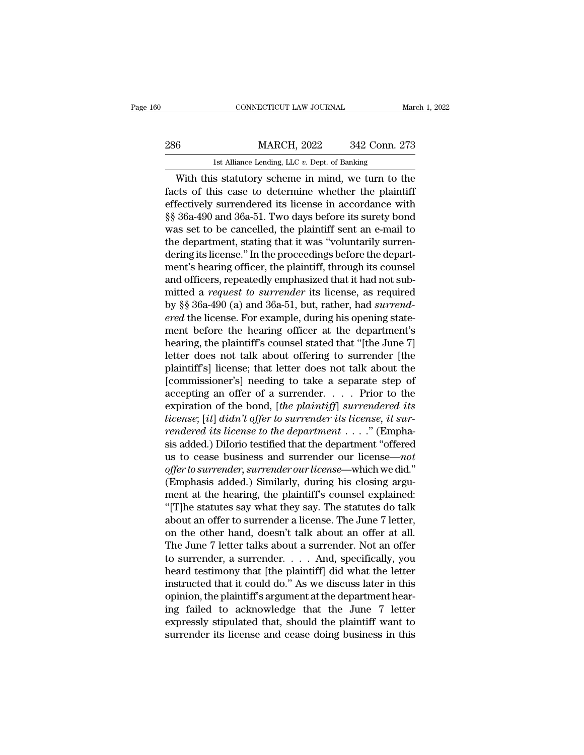# EXECUTE CONNECTICUT LAW JOURNAL March 1, 2022<br>286 MARCH, 2022 342 Conn. 273<br>1st Alliance Lending, LLC v. Dept. of Banking CONNECTICUT LAW JOURNAL March 1, 2022<br>
1st Alliance Lending, LLC *v.* Dept. of Banking<br>
1st Alliance Lending, LLC *v.* Dept. of Banking<br>
With this statutory scheme in mind, we turn to the

CONNECTICUT LAW JOURNAL March 1, 2022<br>
6 MARCH, 2022 342 Conn. 273<br>
1st Alliance Lending, LLC v. Dept. of Banking<br>
With this statutory scheme in mind, we turn to the<br>
cts of this case to determine whether the plaintiff<br>
fo 286 MARCH, 2022 342 Conn. 273<br>
1st Alliance Lending, LLC  $v$ . Dept. of Banking<br>
With this statutory scheme in mind, we turn to the<br>
facts of this case to determine whether the plaintiff<br>
effectively surrendered its licens 286 MARCH, 2022 342 Conn. 273<br>
Ist Alliance Lending, LLC v. Dept. of Banking<br>
With this statutory scheme in mind, we turn to the<br>
facts of this case to determine whether the plaintiff<br>
effectively surrendered its license <sup>286</sup><br>
<sup>1st Alliance Lending, LLC  $v$ . Dept. of Banking<br>
With this statutory scheme in mind, we turn to the<br>
facts of this case to determine whether the plaintiff<br>
effectively surrendered its license in accordance with<br>  $$ Ist Alliance Lending, LLC  $v$ . Dept. of Banking<br>With this statutory scheme in mind, we turn to the<br>facts of this case to determine whether the plaintiff<br>effectively surrendered its license in accordance with<br> $\S$  36a-490 a Is analise Lending, LLC  $v$ . Dept. of Banking<br>With this statutory scheme in mind, we turn to the<br>facts of this case to determine whether the plaintiff<br>effectively surrendered its license in accordance with<br> $\S$  36a-490 and With this statutory scheme in mind, we turn to the<br>facts of this case to determine whether the plaintiff<br>effectively surrendered its license in accordance with<br>§§ 36a-490 and 36a-51. Two days before its surety bond<br>was set facts of this case to determine whether the plaintiff<br>effectively surrendered its license in accordance with<br>§§ 36a-490 and 36a-51. Two days before its surety bond<br>was set to be cancelled, the plaintiff sent an e-mail to<br>t effectively surrendered its license in accordance with  $\S$ § 36a-490 and 36a-51. Two days before its surety bond was set to be cancelled, the plaintiff sent an e-mail to the department, stating that it was "voluntarily sur §§ 36a-490 and 36a-51. Two days before its surety bond<br>was set to be cancelled, the plaintiff sent an e-mail to<br>the department, stating that it was "voluntarily surren-<br>dering its license." In the proceedings before the de was set to be cancelled, the plaintiff sent an e-mail to<br>the department, stating that it was "voluntarily surren-<br>dering its license." In the proceedings before the depart-<br>ment's hearing officer, the plaintiff, through it the department, stating that it was "voluntarily surrendering its license." In the proceedings before the department's hearing officer, the plaintiff, through its counsel and officers, repeatedly emphasized that it had not dering its license." In the proceedings before the depart-<br>ment's hearing officer, the plaintiff, through its counsel<br>and officers, repeatedly emphasized that it had not sub-<br>mitted a *request to surrender* its license, as ment's hearing officer, the plaintiff, through its counsel<br>and officers, repeatedly emphasized that it had not sub-<br>mitted a *request to surrender* its license, as required<br>by §§ 36a-490 (a) and 36a-51, but, rather, had *s* and officers, repeatedly emphasized that it had not sub-<br>mitted a *request to surrender* its license, as required<br>by §§ 36a-490 (a) and 36a-51, but, rather, had *surrend-*<br>ered the license. For example, during his opening mitted a *request to surrender* its license, as required<br>by §§ 36a-490 (a) and 36a-51, but, rather, had *surrend-*<br>ered the license. For example, during his opening state-<br>ment before the hearing officer at the department' by §§ 36a-490 (a) and 36a-51, but, rather, had *surrend-*<br>ered the license. For example, during his opening state-<br>ment before the hearing officer at the department's<br>hearing, the plaintiff's counsel stated that "[the Jun ered the license. For example, during his opening statement before the hearing officer at the department's<br>hearing, the plaintiff's counsel stated that "[the June 7]<br>letter does not talk about offering to surrender [the<br>pl ment before the hearing officer at the department's<br>hearing, the plaintiff's counsel stated that "[the June 7]<br>letter does not talk about offering to surrender [the<br>plaintiff's] license; that letter does not talk about the *learing, the plaintiff's counsel stated that "[the June 7]*<br>*letter does not talk about offering to surrender [the*<br>*plaintiff's]* license; that letter does not talk about the<br>[commissioner's] needing to take a separate s letter does not talk about offering to surrender [the plaintiff's] license; that letter does not talk about the [commissioner's] needing to take a separate step of accepting an offer of a surrender. . . . . Prior to the ex plaintiff's] license; that letter does not talk about the<br>[commissioner's] needing to take a separate step of<br>accepting an offer of a surrender.... Prior to the<br>expiration of the bond, [the plaintiff] surrendered its<br>licen [commissioner's] needing to take a separate step of<br>accepting an offer of a surrender. . . . . Prior to the<br>expiration of the bond, [the plaintiff] surrendered its<br>license; [it] didn't offer to surrender its license, it s accepting an offer of a surrender. . . . . Prior to the<br>expiration of the bond, [the plaintiff] surrendered its<br>license; [it] didn't offer to surrender its license, it sur-<br>rendered its license to the department . . . ." ( expiration of the bond, [the plaintiff] surrendered its<br>license; [it] didn't offer to surrender its license, it sur-<br>rendered its license to the department  $\ldots$ ." (Empha-<br>sis added.) Dilorio testified that the department license; [it] didn't offer to surrender its license, it sur-<br>rendered its license to the department . . . ." (Empha-<br>sis added.) Dilorio testified that the department "offered<br>us to cease business and surrender our license rendered its license to the department  $\dots$ ." (Emphasis added.) Dilorio testified that the department "offered us to cease business and surrender our license—not offer to surrender, surrender our license—which we did." (E sis added.) Dilorio testified that the department "offered<br>us to cease business and surrender our license—*not*<br>offer to surrender, surrender our license—which we did."<br>(Emphasis added.) Similarly, during his closing arguus to cease business and surrender our license—not<br>offer to surrender, surrender our license—which we did."<br>(Emphasis added.) Similarly, during his closing argu-<br>ment at the hearing, the plaintiff's counsel explained:<br>"[T offer to surrender, surrender our license—which we did."<br>(Emphasis added.) Similarly, during his closing argument at the hearing, the plaintiff's counsel explained:<br>"[T]he statutes say what they say. The statutes do talk<br>a (Emphasis added.) Similarly, during his closing argument at the hearing, the plaintiff's counsel explained:<br>"[T]he statutes say what they say. The statutes do talk<br>about an offer to surrender a license. The June 7 letter, ment at the hearing, the plaintiff's counsel explained:<br>
"[T]he statutes say what they say. The statutes do talk<br>
about an offer to surrender a license. The June 7 letter,<br>
on the other hand, doesn't talk about an offer at "[T]he statutes say what they say. The statutes do talk<br>about an offer to surrender a license. The June 7 letter,<br>on the other hand, doesn't talk about an offer at all.<br>The June 7 letter talks about a surrender. Not an of about an offer to surrender a license. The June 7 letter,<br>on the other hand, doesn't talk about an offer at all.<br>The June 7 letter talks about a surrender. Not an offer<br>to surrender, a surrender.... And, specifically, you<br> on the other hand, doesn't talk about an offer at all.<br>The June 7 letter talks about a surrender. Not an offer<br>to surrender, a surrender.... And, specifically, you<br>heard testimony that [the plaintiff] did what the letter<br> The June 7 letter talks about a surrender. Not an offer<br>to surrender, a surrender. . . . And, specifically, you<br>heard testimony that [the plaintiff] did what the letter<br>instructed that it could do." As we discuss later in to surrender, a surrender..... And, specifically, you<br>heard testimony that [the plaintiff] did what the letter<br>instructed that it could do." As we discuss later in this<br>opinion, the plaintiff's argument at the department h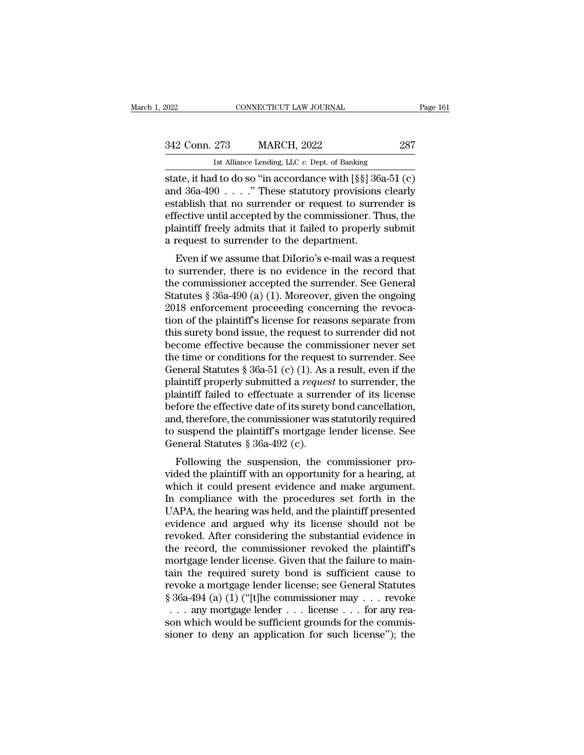| 2022          | CONNECTICUT LAW JOURNAL                          | Page 161 |  |
|---------------|--------------------------------------------------|----------|--|
|               |                                                  |          |  |
| 342 Conn. 273 | <b>MARCH, 2022</b>                               | 287      |  |
|               | 1st Alliance Lending, LLC $v$ . Dept. of Banking |          |  |

2022 CONNECTICUT LAW JOURNAL<br>
342 Conn. 273 MARCH, 2022 287<br>
1st Alliance Lending, LLC *v*. Dept. of Banking<br>
state, it had to do so "in accordance with [§§] 36a-51 (c) Figure 2022<br>
State, it had to do so "in accordance with [§§] 36a-51 (c)<br>
and 36a-490 . . . . " These statutory provisions clearly<br>
State, it had to do so "in accordance with [§§] 36a-51 (c)<br>
and 36a-490 . . . . " These sta 342 Conn. 273 MARCH, 2022 287<br>
1st Alliance Lending, LLC v. Dept. of Banking<br>
state, it had to do so "in accordance with [§§] 36a-51 (c)<br>
and 36a-490 . . . . " These statutory provisions clearly<br>
establish that no surrende 342 Conn. 273 MARCH, 2022 287<br>
Ist Alliance Lending, LLC v. Dept. of Banking<br>
state, it had to do so "in accordance with  $\lceil \S \S \rceil$  36a-51 (c)<br>
and 36a-490 . . . . " These statutory provisions clearly<br>
establish that no 342 Conn. 273 MARCH, 2022 287<br>
Ist Alliance Lending, LLC v. Dept. of Banking<br>
state, it had to do so "in accordance with [§§] 36a-51 (c)<br>
and 36a-490 . . . . " These statutory provisions clearly<br>
establish that no surrende plaintiff freely admits that it failed to properly submit and  $36a-490...$  "These statutory provisions clearly<br>establish that no surrender or request to surrender is<br>effective until accepted by the commissioner. Thus, the<br>plaintiff freely admits that it failed to properly submit<br>a Even if we assume that DiIorio's e-mail was a request<br>fablish that no surrender or request to surrender is<br>fective until accepted by the commissioner. Thus, the<br>aintiff freely admits that it failed to properly submit<br>requ and  $30a-450$ .... These statutory provisions clearly<br>establish that no surrender or request to surrender is<br>effective until accepted by the commissioner. Thus, the<br>plaintiff freely admits that it failed to properly submit

establish that ho surrender or request to surrender is<br>effective until accepted by the commissioner. Thus, the<br>plaintiff freely admits that it failed to properly submit<br>a request to surrender to the department.<br>Even if we enective until accepted by the commissioner. Thus, the<br>plaintiff freely admits that it failed to properly submit<br>a request to surrender to the department.<br>Even if we assume that Dilorio's e-mail was a request<br>to surrender, plantificant review and the discussed are request to surrender to the department.<br>
Even if we assume that Dilorio's e-mail was a request<br>
to surrender, there is no evidence in the record that<br>
the commissioner accepted the a request to surfender to the department.<br>
Even if we assume that Dilorio's e-mail was a request<br>
to surrender, there is no evidence in the record that<br>
the commissioner accepted the surrender. See General<br>
Statutes § 36a-Even if we assume that Dilorio's e-mail was a request<br>to surrender, there is no evidence in the record that<br>the commissioner accepted the surrender. See General<br>Statutes § 36a-490 (a) (1). Moreover, given the ongoing<br>2018 to surrender, there is no evidence in the record that<br>the commissioner accepted the surrender. See General<br>Statutes § 36a-490 (a) (1). Moreover, given the ongoing<br>2018 enforcement proceeding concerning the revoca-<br>tion of the commissioner accepted the surrender. See General<br>Statutes § 36a-490 (a) (1). Moreover, given the ongoing<br>2018 enforcement proceeding concerning the revoca-<br>tion of the plaintiff's license for reasons separate from<br>thi Statutes § 36a-490 (a) (1). Moreover, given the ongoing<br>2018 enforcement proceeding concerning the revocation of the plaintiff's license for reasons separate from<br>this surety bond issue, the request to surrender did not<br>be 2018 enforcement proceeding concerning the revocation of the plaintiff's license for reasons separate from this surety bond issue, the request to surrender did not become effective because the commissioner never set the ti tion of the plaintiff's license for reasons separate from<br>this surety bond issue, the request to surrender did not<br>become effective because the commissioner never set<br>the time or conditions for the request to surrender. S this surety bond issue, the request to surrender did not<br>become effective because the commissioner never set<br>the time or conditions for the request to surrender. See<br>General Statutes § 36a-51 (c) (1). As a result, even if become effective because the commissioner never set<br>the time or conditions for the request to surrender. See<br>General Statutes § 36a-51 (c) (1). As a result, even if the<br>plaintiff properly submitted a *request* to surrende the time or conditions for the request to surrender. See<br>General Statutes  $\S 36a-51$  (c) (1). As a result, even if the<br>plaintiff properly submitted a *request* to surrender, the<br>plaintiff failed to effectuate a surrender General Statutes § 36a-51 (c) (1). As plaintiff properly submitted a *reques* plaintiff failed to effectuate a surre before the effective date of its surety and, therefore, the commissioner was to suspend the plaintiff's Following the suspension commissioner and makes in the summarist failed to effectuate a surrender of its license fore the effective date of its surety bond cancellation, d, therefore, the commissioner was statutorily requ plantiff rafied to effectuate a surfender of its license<br>before the effective date of its surety bond cancellation,<br>and, therefore, the commissioner was statutorily required<br>to suspend the plaintiff's mortgage lender licen

before the enective date of its suffer bond cancenation,<br>and, therefore, the commissioner was statutorily required<br>to suspend the plaintiff's mortgage lender license. See<br>General Statutes § 36a-492 (c).<br>Following the suspe and, therefore, the commissioner was statutorly required<br>to suspend the plaintiff's mortgage lender license. See<br>General Statutes § 36a-492 (c).<br>Following the suspension, the commissioner pro-<br>vided the plaintiff with an o US suspend the plaintin's hiortgage lender incense. See<br>General Statutes § 36a-492 (c).<br>Following the suspension, the commissioner pro-<br>vided the plaintiff with an opportunity for a hearing, at<br>which it could present evide Following the suspension, the commissioner pro-<br>vided the plaintiff with an opportunity for a hearing, at<br>which it could present evidence and make argument.<br>In compliance with the procedures set forth in the<br>UAPA, the hea Following the suspension, the commissioner pro-<br>vided the plaintiff with an opportunity for a hearing, at<br>which it could present evidence and make argument.<br>In compliance with the procedures set forth in the<br>UAPA, the hear vided the plaintiff with an opportunity for a hearing, at<br>which it could present evidence and make argument.<br>In compliance with the procedures set forth in the<br>UAPA, the hearing was held, and the plaintiff presented<br>eviden which it could present evidence and make argument.<br>In compliance with the procedures set forth in the<br>UAPA, the hearing was held, and the plaintiff presented<br>evidence and argued why its license should not be<br>revoked. After In compliance with the procedures set forth in the<br>UAPA, the hearing was held, and the plaintiff presented<br>evidence and argued why its license should not be<br>revoked. After considering the substantial evidence in<br>the recor UAPA, the hearing was held, and the plaintiff presented<br>evidence and argued why its license should not be<br>revoked. After considering the substantial evidence in<br>the record, the commissioner revoked the plaintiff's<br>mortgag evidence and argued why its license should not be<br>revoked. After considering the substantial evidence in<br>the record, the commissioner revoked the plaintiff's<br>mortgage lender license. Given that the failure to main-<br>tain th evoked. After considering the substantial evidence in<br>the record, the commissioner revoked the plaintiff's<br>nortgage lender license. Given that the failure to main-<br>ain the required surety bond is sufficient cause to<br>evoke the record, the commissioner revoked the plaintiff's<br>mortgage lender license. Given that the failure to main-<br>tain the required surety bond is sufficient cause to<br>revoke a mortgage lender license; see General Statutes<br> $\$ mortgage lender license. Given that the failure to maintain the required surety bond is sufficient cause to revoke a mortgage lender license; see General Statutes  $§ 36a-494$  (a) (1) ("[t]he commissioner may . . . revoke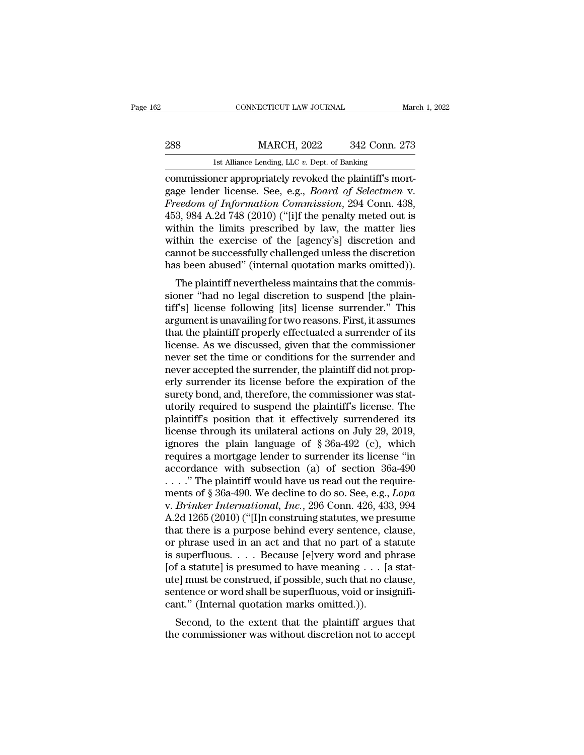CONNECTICUT LAW JOURNAL March 1, 2022<br>288 MARCH, 2022 342 Conn. 273<br>1st Alliance Lending, LLC *v.* Dept. of Banking<br>commissioner appropriately revoked the plaintiff's mortconnecticut LAW JOURNAL<br>
288 MARCH, 2022 342 Conn. 273<br>
1st Alliance Lending, LLC v. Dept. of Banking<br>
commissioner appropriately revoked the plaintiff's mort-<br>
gage lender license. See, e.g., *Board of Selectmen* v.<br>
Free 288 MARCH, 2022 342 Conn. 273<br>
1st Alliance Lending, LLC v. Dept. of Banking<br>
commissioner appropriately revoked the plaintiff's mort-<br>
gage lender license. See, e.g., *Board of Selectmen* v.<br> *Freedom of Information Commi Freedom of Information Commissioner* appropriately revoked the plaintiff's mortgage lender license. See, e.g., *Board of Selectmen* v.<br>*Freedom of Information Commission*, 294 Conn. 438, 453, 984 A.2d 748 (2010) ("[i]f th 288 MARCH, 2022 342 Conn. 273<br>
1st Alliance Lending, LLC  $v$ . Dept. of Banking<br>
commissioner appropriately revoked the plaintiff's mort-<br>
gage lender license. See, e.g., *Board of Selectmen* v.<br> *Freedom of Information Co* Ist Alliance Lending, LLC v. Dept. of Banking<br>
commissioner appropriately revoked the plaintiff's mort-<br>
gage lender license. See, e.g., *Board of Selectmen* v.<br> *Freedom of Information Commission*, 294 Conn. 438,<br>
453, 9 Ist Alliance Lending, LLC v. Dept. of Banking<br>
commissioner appropriately revoked the plaintiff's mort-<br>
gage lender license. See, e.g., *Board of Selectmen* v.<br> *Freedom of Information Commission*, 294 Conn. 438,<br>
453, 9 commissioner appropriately revoked the plaintiff's mortgage lender license. See, e.g., *Board of Selectmen v.*<br>Freedom of Information Commission, 294 Conn. 438, 453, 984 A.2d 748 (2010) ("[i]f the penalty meted out is with gage lender license. See, e.g., *Board of Selectmen* v.<br>Freedom of Information Commission, 294 Conn. 438,<br>453, 984 A.2d 748 (2010) ("[i]f the penalty meted out is<br>within the limits prescribed by law, the matter lies<br>within beation of *Highrmation Commission*, 294 Colin. 456, 3, 984 A.2d 748 (2010) ("[i]f the penalty meted out is thin the limits prescribed by law, the matter lies thin the exercise of the [agency's] discretion and mnot be succ  $\frac{435}{300}$ ,  $\frac{304}{100}$   $\frac{1}{100}$  ( $\frac{1}{101}$  the penaty ineted out is<br>within the limits prescribed by law, the matter lies<br>within the exercise of the [agency's] discretion and<br>cannot be successfully challenged un

within the mints prescribed by law, the matter hes<br>within the exercise of the [agency's] discretion and<br>cannot be successfully challenged unless the discretion<br>has been abused" (internal quotation marks omitted)).<br>The plai whim the exercise of the [agency s] uscretion and<br>cannot be successfully challenged unless the discretion<br>has been abused" (internal quotation marks omitted)).<br>The plaintiff nevertheless maintains that the commis-<br>sioner " cannot be successiumly channeliged unless the ulscretion<br>has been abused" (internal quotation marks omitted)).<br>The plaintiff nevertheless maintains that the commis-<br>sioner "had no legal discretion to suspend [the plain-<br>ti ras been abused (internal quotation marks onlited)).<br>The plaintiff nevertheless maintains that the commis-<br>sioner "had no legal discretion to suspend [the plain-<br>tiff's] license following [its] license surrender." This<br>arg The plaintiff nevertheless maintains that the commissioner "had no legal discretion to suspend [the plaintiff's] license following [its] license surrender." This argument is unavailing for two reasons. First, it assumes th sioner "had no legal discretion to suspend [the plain-<br>tiff's] license following [its] license surrender." This<br>argument is unavailing for two reasons. First, it assumes<br>that the plaintiff properly effectuated a surrender tiff's] license following [its] license surrender." This<br>argument is unavailing for two reasons. First, it assumes<br>that the plaintiff properly effectuated a surrender of its<br>license. As we discussed, given that the commiss argument is unavailing for two reasons. First, it assumes<br>that the plaintiff properly effectuated a surrender of its<br>license. As we discussed, given that the commissioner<br>never set the time or conditions for the surrender that the plaintiff properly effectuated a surrender of its<br>license. As we discussed, given that the commissioner<br>never set the time or conditions for the surrender and<br>never accepted the surrender, the plaintiff did not pr license. As we discussed, given that the commissioner<br>never set the time or conditions for the surrender and<br>never accepted the surrender, the plaintiff did not prop-<br>erly surrender its license before the expiration of th never set the time or conditions for the surrender and<br>never accepted the surrender, the plaintiff did not prop-<br>erly surrender its license before the expiration of the<br>surety bond, and, therefore, the commissioner was st never accepted the surrender, the plaintiff did not properly surrender its license before the expiration of the surety bond, and, therefore, the commissioner was statutorily required to suspend the plaintiff's license. The erly surrender its license before the expiration of the<br>surety bond, and, therefore, the commissioner was stat-<br>utorily required to suspend the plaintiff's license. The<br>plaintiff's position that it effectively surrendered surety bond, and, therefore, the commissioner was stat-<br>utorily required to suspend the plaintiff's license. The<br>plaintiff's position that it effectively surrendered its<br>license through its unilateral actions on July 29, utorily required to suspend the plaintiff's license. The plaintiff's position that it effectively surrendered its license through its unilateral actions on July 29, 2019, ignores the plain language of § 36a-492 (c), which plaintiff's position that it effectively surrendered its<br>license through its unilateral actions on July 29, 2019,<br>ignores the plain language of § 36a-492 (c), which<br>requires a mortgage lender to surrender its license "in<br>a license through its unilateral actions on July 29, 2019,<br>ignores the plain language of § 36a-492 (c), which<br>requires a mortgage lender to surrender its license "in<br>accordance with subsection (a) of section 36a-490<br>...." Th ignores the plain language of § 36a-492 (c), which<br>requires a mortgage lender to surrender its license "in<br>accordance with subsection (a) of section 36a-490<br> $\dots$ ." The plaintiff would have us read out the require-<br>ments o requires a mortgage lender to surrender its license "in accordance with subsection (a) of section  $36a-490$ <br>
...." The plaintiff would have us read out the require-<br>
ments of § 36a-490. We decline to do so. See, e.g., *Lo* accordance with subsection (a) of section 36a-490<br>
...." The plaintiff would have us read out the require-<br>
ments of § 36a-490. We decline to do so. See, e.g., *Lopa*<br>
v. *Brinker International, Inc.*, 296 Conn. 426, 433, . . . . . " The plaintiff would have us read out the requirements of § 36a-490. We decline to do so. See, e.g., *Lopa* v. *Brinker International, Inc.*, 296 Conn. 426, 433, 994<br>A.2d 1265 (2010) ("[I]n construing statutes, ments of § 36a-490. We decline to do so. See, e.g., *Lopa* v. *Brinker International, Inc.*, 296 Conn. 426, 433, 994<br>A.2d 1265 (2010) ("[I]n construing statutes, we presume that there is a purpose behind every sentence, c v. *Brinker International, Inc.*, 296 Conn. 426, 433, 994<br>A.2d 1265 (2010) ("[I]n construing statutes, we presume<br>that there is a purpose behind every sentence, clause,<br>or phrase used in an act and that no part of a statu A.2d 1265 (2010) ("[I]n construing statutes, we presume that there is a purpose behind every sentence, clause, or phrase used in an act and that no part of a statute is superfluous. . . . Because [e]very word and phrase [o that there is a purpose behind every sentence, clore phrase used in an act and that no part of a st<br>is superfluous. . . . Because [e]very word and p<br>[of a statute] is presumed to have meaning . . . [a<br>ute] must be constru phase used in an act and that no part of a statute<br>superfluous.... Because [e]very word and phrase<br>f a statute] is presumed to have meaning ... [a stat-<br>e] must be construed, if possible, such that no clause,<br>ntence or wo the commissioner was without discretion not to accept<br>the commissioner was without discretion of the construction sentence or word shall be superfluous, void or insignificant." (Internal quotation marks omitted.)).<br>Second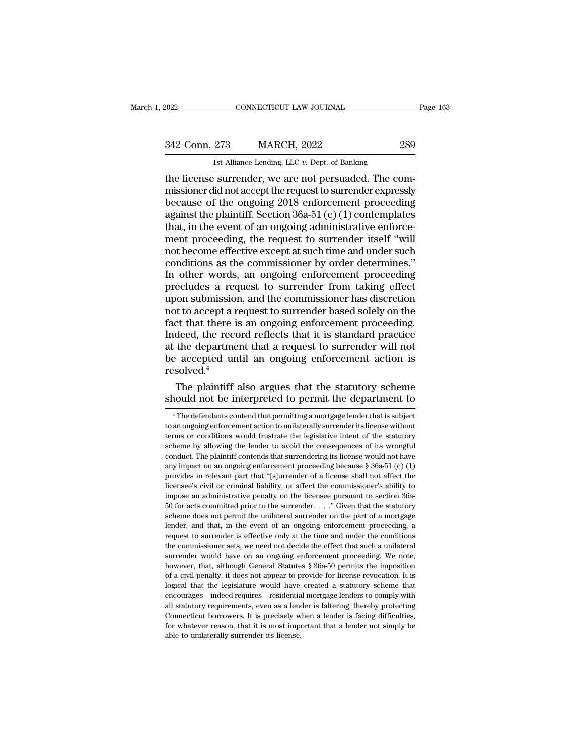EXECTIVE CONNECTICUT LAW JOURNAL Page 163<br>342 Conn. 273 MARCH, 2022 289<br>1st Alliance Lending, LLC v. Dept. of Banking

2022 CONNECTICUT LAW JOURNAL<br>
342 Conn. 273 MARCH, 2022 289<br>
1st Alliance Lending, LLC *v*. Dept. of Banking<br>
the license surrender, we are not persuaded. The com-CONNECTICUT LAW JOURNAL<br>
289<br>
342 Conn. 273 MARCH, 2022 289<br>
1st Alliance Lending, LLC v. Dept. of Banking<br>
the license surrender, we are not persuaded. The com-<br>
missioner did not accept the request to surrender expressly 342 Conn. 273 MARCH, 2022 289<br>
1st Alliance Lending, LLC v. Dept. of Banking<br>
the license surrender, we are not persuaded. The com-<br>
missioner did not accept the request to surrender expressly<br>
because of the ongoing 2018 342 Conn. 273 MARCH, 2022 289<br>
Ist Alliance Lending, LLC  $v$ . Dept. of Banking<br>
the license surrender, we are not persuaded. The com-<br>
missioner did not accept the request to surrender expressly<br>
because of the ongoing 20 342 Conn. 273 MARCH, 2022 289<br>
1st Alliance Lending, LLC  $v$ . Dept. of Banking<br>
the license surrender, we are not persuaded. The com-<br>
missioner did not accept the request to surrender expressly<br>
because of the ongoing 20 15 12 Cont. 219 11 Marteri, 2022<br>15 1st Alliance Lending, LLC v. Dept. of Banking<br>16 1 1 1 2022<br>16 1 1 2022<br>16 1 2022<br>16 1 2022<br>16 1 2022<br>16 1 2022<br>16 1 2022<br>16 1 2022<br>16 1 2022<br>16 10 10 10 10 10 10 2013<br>16 10 11 2023<br>16 <sup>1st Alliance Lending, LLC  $v$ . Dept. of Banking<br>the license surrender, we are not persuaded. The com-<br>missioner did not accept the request to surrender expressly<br>because of the ongoing  $2018$  enforcement proceeding<br>again</sup> the license surrender, we are not persuaded. The com-<br>missioner did not accept the request to surrender expressly<br>because of the ongoing 2018 enforcement proceeding<br>against the plaintiff. Section 36a-51 (c) (1) contemplate missioner did not accept the request to surrender expressly<br>because of the ongoing 2018 enforcement proceeding<br>against the plaintiff. Section 36a-51 (c) (1) contemplates<br>that, in the event of an ongoing administrative enfo because of the ongoing 2018 enforcement proceeding<br>against the plaintiff. Section 36a-51 (c) (1) contemplates<br>that, in the event of an ongoing administrative enforce-<br>ment proceeding, the request to surrender itself "will<br> against the plaintiff. Section 36a-51 (c) (1) contemplates<br>that, in the event of an ongoing administrative enforce-<br>ment proceeding, the request to surrender itself "will<br>not become effective except at such time and under that, in the event of an ongoing administrative enforcement proceeding, the request to surrender itself "will<br>not become effective except at such time and under such<br>conditions as the commissioner by order determines."<br>In ment proceeding, the request to surrender itself "will<br>not become effective except at such time and under such<br>conditions as the commissioner by order determines."<br>In other words, an ongoing enforcement proceeding<br>preclude not become effective except at such time and under such<br>conditions as the commissioner by order determines."<br>In other words, an ongoing enforcement proceeding<br>precludes a request to surrender from taking effect<br>upon submis conditions as the commissioner by order determines."<br>In other words, an ongoing enforcement proceeding<br>precludes a request to surrender from taking effect<br>upon submission, and the commissioner has discretion<br>not to accept In other words, an ongoing enforcement proceeding<br>precludes a request to surrender from taking effect<br>upon submission, and the commissioner has discretion<br>not to accept a request to surrender based solely on the<br>fact that precludes a request to surrender from taking effect<br>upon submission, and the commissioner has discretion<br>not to accept a request to surrender based solely on the<br>fact that there is an ongoing enforcement proceeding.<br>Indeed resolved.<sup>4</sup> It to accept a request to surrender based solely on the extract that there is an ongoing enforcement proceeding.<br>deed, the record reflects that it is standard practice the department that a request to surrender will not a fact that there is an ongoing enforcement proceeding.<br>Indeed, the record reflects that it is standard practice<br>at the department that a request to surrender will not<br>be accepted until an ongoing enforcement action is<br>reso

 $\text{e}^2$  accepted until an ongoing emorcement action is<br>solved.<sup>4</sup><br>The plaintiff also argues that the statutory scheme<br>nould not be interpreted to permit the department to<br> $\text{e}^4$  The defendants contend that permitting

resolved.<sup>4</sup><br>The plaintiff also argues that the statutory scheme<br>should not be interpreted to permit the department to<br><sup>4</sup>The defendants contend that permitting a mortgage lender that is subject<br>to an ongoing enforcement a The plaintiff also argues that the statutory scheme<br>should not be interpreted to permit the department to<br><sup>4</sup>The defendants contend that permitting a mortgage lender that is subject<br>to an ongoing enforcement action to unil should not be interpreted to permit the department to<br>
<sup>4</sup> The defendants contend that permitting a mortgage lender that is subject<br>
to an ongoing enforcement action to unilaterally surrender its license without<br>
terms or SHOUIG HOUP INTEPPETED TO PETHILL THE GEPARTIFIELD TO  $\frac{4}{1}$ . The defendants contend that permitting a mortgage lender that is subject to an ongoing enforcement action to unilaterally surrender its license without term <sup>4</sup> The defendants contend that permitting a mortgage lender that is subject to an ongoing enforcement action to unilaterally surrender its license without terms or conditions would frustrate the legislative intent of the to an ongoing enforcement action to unilaterally surrender its license without<br>terms or conditions would frustrate the legislative intent of the statutory<br>scheme by allowing the lender to avoid the consequences of its wron be the station of the stations would frustrate the legislative intent of the stationy scheme by allowing the lender to avoid the consequences of its wrongful conduct. The plaintiff contends that surrendering its license wo is scheme by allowing the lender to avoid the consequences of its wrongful<br>conduct. The plaintiff contends that surrendering its license would not have<br>any impact on an ongoing enforcement proceeding because § 36a-51 (c) sconduct. The plaintiff contends that surrendering its license would not have any impact on an ongoing enforcement proceeding because  $\S$  36a-51 (c) (1) provides in relevant part that "[s]urrender of a license shall not a scheme does not permit that "[s]urrender of a license \$36a-51 (c) (1) provides in relevant part that "[s]urrender of a license shall not affect the licensee's civil or criminal liability, or affect the commissioner's abil my ordes in relevant part that "[s]urrender of a license shall not affect the licensee's civil or criminal liability, or affect the commissioner's ability to impose an administrative penalty on the licensee pursuant to sec request of the commissioner sets, we need not decide the effect that such an interest of the commissioner's ability to impose an administrative penalty on the licensee pursuant to section 36a-50 for acts committed prior to menose an administrative penalty on the licensee pursuant to section 36a-<br>50 for acts committed prior to the surrender.  $\ldots$  " Given that the statutory<br>scheme does not permit the unilateral surrender on the part of a mor surrender would have on an ongoing enforcement proceeding. We note, scheme does not permit the unilateral surrender on the part of a mortgage lender, and that, in the event of an ongoing enforcement proceeding, a request to surrender is effective only at the time and under the conditions t lender, and that, in the event of an ongoing enforcement proceeding, a request to surrender is effective only at the time and under the conditions the commissioner sets, we need not decide the effect that such a unilatera request to surrender is effective only at the time and under the conditions<br>the commissioner sets, we need not decide the effect that such a unilateral<br>surrender would have on an ongoing enforcement proceeding. We note,<br>ho requires—indeed requires—residential mortgage lenders to comply with a unitateral surrender would have on an ongoing enforcement proceeding. We note, however, that, although General Statutes § 36a-50 permits the imposition surrender would have on an ongoing enforcement proceeding. We note, however, that, although General Statutes § 36a-50 permits the imposition of a civil penalty, it does not appear to provide for license revocation. It is l however, that, although General Statutes  $\S$  36a-50 permits the imposition of a civil penalty, it does not appear to provide for license revocation. It is logical that the legislature would have created a statutory scheme for what when the discussive of a civil penalty, it does not appear to provide for license revocation. It is logical that the legislature would have created a statutory scheme that encourages—indeed requires—residential mo logical that the legislature would have created a statutory scheme that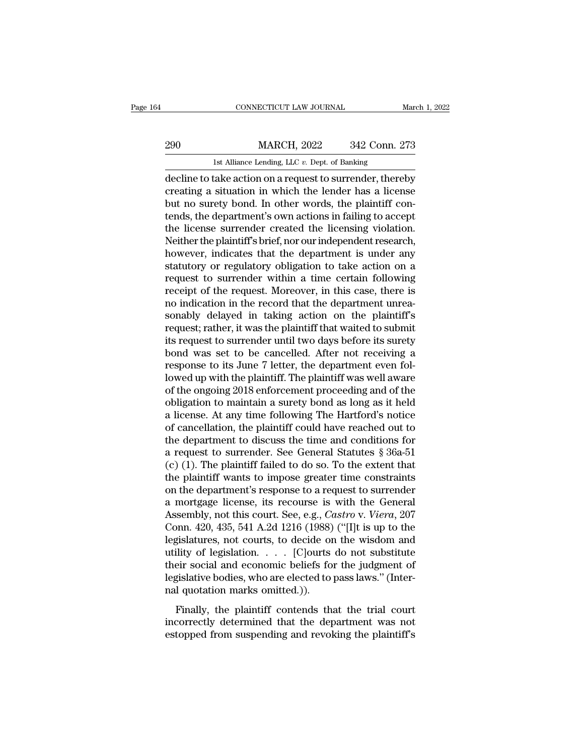# EXECUTE CONNECTICUT LAW JOURNAL March 1, 2022<br>290 MARCH, 2022 342 Conn. 273<br>1st Alliance Lending, LLC v. Dept. of Banking CONNECTICUT LAW JOURNAL March 1, 2022<br>290 MARCH, 2022 342 Conn. 273<br>1st Alliance Lending, LLC *v.* Dept. of Banking<br>decline to take action on a request to surrender, thereby

CONNECTICUT LAW JOURNAL March 1, 2022<br>
290 MARCH, 2022 342 Conn. 273<br>
1st Alliance Lending, LLC v. Dept. of Banking<br>
decline to take action on a request to surrender, thereby<br>
creating a situation in which the lender has a 290 MARCH, 2022 342 Conn. 273<br>
1st Alliance Lending, LLC v. Dept. of Banking<br>
decline to take action on a request to surrender, thereby<br>
creating a situation in which the lender has a license<br>
but no surety bond. In other  $\begin{array}{r} \text{290} \text{MARCH, 2022} \text{342 Conn. } \text{273} \ \hline \text{1st Alliance Lending, LLC } v. \text{ Dept. of Banking} \ \hline \text{decline to take action on a request to surrender, thereby creating a situation in which the lender has a license but no surely bond. In other words, the plaintiff contends, the department's own actions in failing to accept the license, curved, created the liesons is a collection of the license. } \end{array}$  $\begin{tabular}{l l l l} \multicolumn{1}{l}{{\bf{A}}{\bf{B}}{\bf{C}}{\bf{C}}{\bf{D}} & {\bf{M}}{\bf{A}}{\bf{C}}{\bf{C}}{\bf{C}}{\bf{C}}{\bf{D}} & {\bf{A}}{\bf{C}}{\bf{C}}{\bf{D}}{\bf{C}}{\bf{C}}{\bf{D}}{\bf{D}}{\bf{D}} \end{tabular} \begin{tabular}{l} \multicolumn{1}{l}{{\bf{A}}{\bf{B}}{\bf{C}}{\bf{C}}{\bf{C}}{\bf{D}} & {\bf{A}}{\bf{C}}{\bf{C}}{\bf{D}} & {\bf{A}}{\bf{C}}{\bf{D}} &$ Ist Alliance Lending, LLC v. Dept. of Banking<br>decline to take action on a request to surrender, thereby<br>creating a situation in which the lender has a license<br>but no surety bond. In other words, the plaintiff con-<br>tends, t Ist Alliance Lending, LLC v. Dept. of Banking<br>decline to take action on a request to surrender, thereby<br>creating a situation in which the lender has a license<br>but no surety bond. In other words, the plaintiff con-<br>tends, t decline to take action on a request to surrender, thereby<br>creating a situation in which the lender has a license<br>but no surety bond. In other words, the plaintiff con-<br>tends, the department's own actions in failing to acce creating a situation in which the lender has a license<br>but no surety bond. In other words, the plaintiff con-<br>tends, the department's own actions in failing to accept<br>the license surrender created the licensing violation.<br> but no surety bond. In other words, the plaintiff contends, the department's own actions in failing to accept<br>the license surrender created the licensing violation.<br>Neither the plaintiff's brief, nor our independent resear tends, the department's own actions in failing to accept<br>the license surrender created the licensing violation.<br>Neither the plaintiff's brief, nor our independent research,<br>however, indicates that the department is under a the license surrender created the licensing violation.<br>Neither the plaintiff's brief, nor our independent research,<br>however, indicates that the department is under any<br>statutory or regulatory obligation to take action on a Neither the plaintiff's brief, nor our independent research,<br>however, indicates that the department is under any<br>statutory or regulatory obligation to take action on a<br>request to surrender within a time certain following<br>r however, indicates that the department is under any statutory or regulatory obligation to take action on a request to surrender within a time certain following receipt of the request. Moreover, in this case, there is no in statutory or regulatory obligation to take action on a<br>request to surrender within a time certain following<br>receipt of the request. Moreover, in this case, there is<br>no indication in the record that the department unrea-<br>so request to surrender within a time certain following<br>receipt of the request. Moreover, in this case, there is<br>no indication in the record that the department unrea-<br>sonably delayed in taking action on the plaintiff's<br>reque receipt of the request. Moreover, in this case, there is<br>no indication in the record that the department unrea-<br>sonably delayed in taking action on the plaintiff's<br>request; rather, it was the plaintiff that waited to submi no indication in the record that the department unrea-<br>sonably delayed in taking action on the plaintiff's<br>request; rather, it was the plaintiff that waited to submit<br>its request to surrender until two days before its sure sonably delayed in taking action on the plaintiff's<br>request; rather, it was the plaintiff that waited to submit<br>its request to surrender until two days before its surety<br>bond was set to be cancelled. After not receiving a<br> request; rather, it was the plaintiff that waited to submit<br>its request to surrender until two days before its surety<br>bond was set to be cancelled. After not receiving a<br>response to its June 7 letter, the department even f its request to surrender until two days before its surety<br>bond was set to be cancelled. After not receiving a<br>response to its June 7 letter, the department even fol-<br>lowed up with the plaintiff. The plaintiff was well awar bond was set to be cancelled. After not receiving a<br>response to its June 7 letter, the department even fol-<br>lowed up with the plaintiff. The plaintiff was well aware<br>of the ongoing 2018 enforcement proceeding and of the<br>o response to its June 7 letter, the department even followed up with the plaintiff. The plaintiff was well aware<br>of the ongoing 2018 enforcement proceeding and of the<br>obligation to maintain a surety bond as long as it held lowed up with the plaintiff. The plaintiff was well aware<br>of the ongoing 2018 enforcement proceeding and of the<br>obligation to maintain a surety bond as long as it held<br>a license. At any time following The Hartford's notic of the ongoing 2018 enforcement proceeding and of the<br>obligation to maintain a surety bond as long as it held<br>a license. At any time following The Hartford's notice<br>of cancellation, the plaintiff could have reached out to<br> obligation to maintain a surety bond as long as it held<br>a license. At any time following The Hartford's notice<br>of cancellation, the plaintiff could have reached out to<br>the department to discuss the time and conditions for<br> a license. At any time following The Hartford's notice<br>of cancellation, the plaintiff could have reached out to<br>the department to discuss the time and conditions for<br>a request to surrender. See General Statutes § 36a-51<br>( of cancellation, the plaintiff could have reached out to<br>the department to discuss the time and conditions for<br>a request to surrender. See General Statutes § 36a-51<br>(c) (1). The plaintiff failed to do so. To the extent th the department to discuss the time and conditions for<br>a request to surrender. See General Statutes § 36a-51<br>(c) (1). The plaintiff failed to do so. To the extent that<br>the plaintiff wants to impose greater time constraints<br> a request to surrender. See General Statutes  $\S$  36a-51 (c) (1). The plaintiff failed to do so. To the extent that<br>the plaintiff wants to impose greater time constraints<br>on the department's response to a request to surren (c) (1). The plaintiff failed to do so. To the extent that<br>the plaintiff wants to impose greater time constraints<br>on the department's response to a request to surrender<br>a mortgage license, its recourse is with the General the plaintiff wants to impose greater time constraints<br>on the department's response to a request to surrender<br>a mortgage license, its recourse is with the General<br>Assembly, not this court. See, e.g., *Castro* v. *Viera*, on the department's response to a request to surrender<br>a mortgage license, its recourse is with the General<br>Assembly, not this court. See, e.g., *Castro* v. *Viera*, 207<br>Conn. 420, 435, 541 A.2d 1216 (1988) ("[I]t is up t a mortgage license, its recourse is with the General<br>Assembly, not this court. See, e.g., *Castro v. Viera*, 207<br>Conn. 420, 435, 541 A.2d 1216 (1988) ("[I]t is up to the<br>legislatures, not courts, to decide on the wisdom an Assembly, not this court. See, e.g., *C*<br>Conn. 420, 435, 541 A.2d 1216 (1988)<br>legislatures, not courts, to decide or<br>utility of legislation. . . . . [C]ourts<br>their social and economic beliefs fo<br>legislative bodies, who are Finally, the plaintiff contends that the trial court<br>gislatures, not courts, to decide on the wisdom and<br>ility of legislation. . . . . [C]<br>ourts do not substitute<br>eir social and economic beliefs for the judgment of<br>gislat increases, not solutely to allocate of the measurement untility of legislation.  $\ldots$  [C] ourts do not substitute their social and economic beliefs for the judgment of legislative bodies, who are elected to pass laws." (I their social and economic beliefs for the judgment of legislative bodies, who are elected to pass laws." (Internal quotation marks omitted.)).<br>Finally, the plaintiff contends that the trial court incorrectly determined th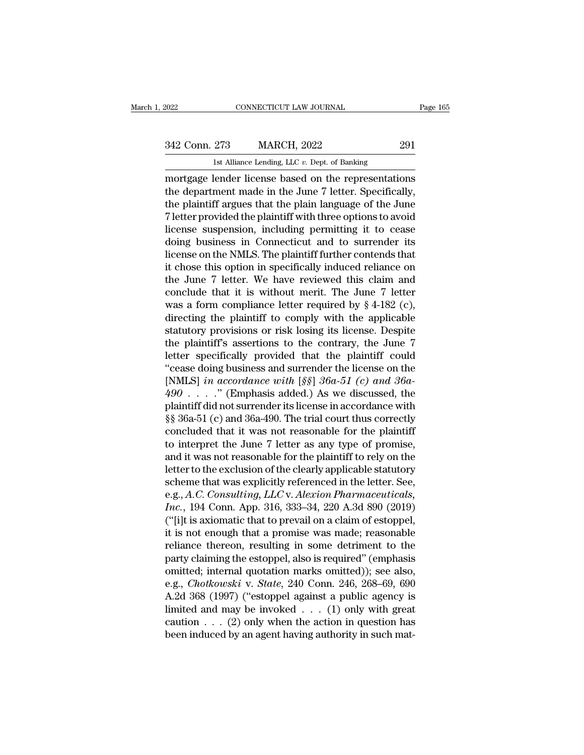1st Alliance Lending, LLC *v.* Dept. of Banking EXERCT 2022 ENRICH CONNECTICUT LAW JOURNAL Page 165<br>
342 Conn. 273 MARCH, 2022 291<br>
1st Alliance Lending, LLC v. Dept. of Banking<br>
291<br>
mortgage lender license based on the representations<br>
the department made in the June 342 Conn. 273 MARCH, 2022 291<br>
1st Alliance Lending, LLC v. Dept. of Banking<br>
mortgage lender license based on the representations<br>
the department made in the June 7 letter. Specifically,<br>
the plaintiff argues that the pla 342 Conn. 273 MARCH, 2022 291<br>
Ist Alliance Lending, LLC  $v$ . Dept. of Banking<br>
mortgage lender license based on the representations<br>
the department made in the June 7 letter. Specifically,<br>
the plaintiff argues that the 342 Conn. 273 MARCH, 2022 291<br>
1st Alliance Lending, LLC  $v$ . Dept. of Banking<br>
mortgage lender license based on the representations<br>
the department made in the June 7 letter. Specifically,<br>
the plaintiff argues that the 1st Alliance Lending, LLC  $v$ . Dept. of Banking<br>
mortgage lender license based on the representations<br>
the department made in the June 7 letter. Specifically,<br>
the plaintiff argues that the plain language of the June<br>
7 l Ist Anlance Lending, LLC  $v$ . Dept. of Banking<br>
mortgage lender license based on the representations<br>
the department made in the June 7 letter. Specifically,<br>
the plaintiff argues that the plain language of the June<br>
7 le mortgage lender license based on the representations<br>the department made in the June 7 letter. Specifically,<br>the plaintiff argues that the plain language of the June<br>7 letter provided the plaintiff with three options to av the department made in the June 7 letter. Specifically,<br>the plaintiff argues that the plain language of the June<br>7 letter provided the plaintiff with three options to avoid<br>license suspension, including permitting it to ce the plaintiff argues that the plain language of the June<br>7 letter provided the plaintiff with three options to avoid<br>license suspension, including permitting it to cease<br>doing business in Connecticut and to surrender its<br> 7 letter provided the plaintiff with three options to avoid<br>license suspension, including permitting it to cease<br>doing business in Connecticut and to surrender its<br>license on the NMLS. The plaintiff further contends that<br> license suspension, including permitting it to cease<br>doing business in Connecticut and to surrender its<br>license on the NMLS. The plaintiff further contends that<br>it chose this option in specifically induced reliance on<br>the doing business in Connecticut and to surrender its<br>license on the NMLS. The plaintiff further contends that<br>it chose this option in specifically induced reliance on<br>the June 7 letter. We have reviewed this claim and<br>concl license on the NMLS. The plaintiff further contends that<br>it chose this option in specifically induced reliance on<br>the June 7 letter. We have reviewed this claim and<br>conclude that it is without merit. The June 7 letter<br>was it chose this option in specifically induced reliance on<br>the June 7 letter. We have reviewed this claim and<br>conclude that it is without merit. The June 7 letter<br>was a form compliance letter required by § 4-182 (c),<br>directi the June 7 letter. We have reviewed this claim and<br>conclude that it is without merit. The June 7 letter<br>was a form compliance letter required by § 4-182 (c),<br>directing the plaintiff to comply with the applicable<br>statutory conclude that it is without merit. The June 7 letter<br>
was a form compliance letter required by § 4-182 (c),<br>
directing the plaintiff to comply with the applicable<br>
statutory provisions or risk losing its license. Despite<br> was a form compliance letter required by  $§$  4-182 (c), directing the plaintiff to comply with the applicable statutory provisions or risk losing its license. Despite the plaintiff's assertions to the contrary, the June 7 directing the plaintiff to comply with the applicable<br>statutory provisions or risk losing its license. Despite<br>the plaintiff's assertions to the contrary, the June 7<br>letter specifically provided that the plaintiff could<br>"c statutory provisions or risk losing its license. Despite<br>the plaintiff's assertions to the contrary, the June 7<br>letter specifically provided that the plaintiff could<br>"cease doing business and surrender the license on the<br> the plaintiff's assertions to the contrary, the June 7<br>letter specifically provided that the plaintiff could<br>"cease doing business and surrender the license on the<br>[NMLS] *in accordance with* [*§§*]  $36a-51$  (*c*) *and* letter specifically provided that the plaintiff could<br>
"cease doing business and surrender the license on the<br>
[NMLS] *in accordance with* [ $\$ §]  $36a-51$  (*c*) *and*  $36a-490$ ...." (Emphasis added.) As we discussed, the<br> "cease doing business and surrender the license on the [NMLS] *in accordance with* [ $\S\S$ ]  $36a-51$  *(c) and*  $36a-490$  . . . ." (Emphasis added.) As we discussed, the plaintiff did not surrender its license in accordance [NMLS] *in accordance with* [ $\S$ §]  $36a-51$  (*c*) *and*  $36a-490$  . . . . ." (Emphasis added.) As we discussed, the plaintiff did not surrender its license in accordance with  $\S$ §  $36a-51$  (*c*) and  $36a-490$ . The trial c 490 . . . . . " (Emphasis added.) As we discussed, the plaintiff did not surrender its license in accordance with  $\S$ § 36a-51 (c) and 36a-490. The trial court thus correctly concluded that it was not reasonable for the pl plaintiff did not surrender its license in accordance with<br>§§ 36a-51 (c) and 36a-490. The trial court thus correctly<br>concluded that it was not reasonable for the plaintiff<br>to interpret the June 7 letter as any type of prom §§ 36a-51 (c) and 36a-490. The trial court thus correctly<br>concluded that it was not reasonable for the plaintiff<br>to interpret the June 7 letter as any type of promise,<br>and it was not reasonable for the plaintiff to rely on concluded that it was not reasonable for the plaintiff<br>to interpret the June 7 letter as any type of promise,<br>and it was not reasonable for the plaintiff to rely on the<br>letter to the exclusion of the clearly applicable sta to interpret the June 7 letter as any type of promise,<br>and it was not reasonable for the plaintiff to rely on the<br>letter to the exclusion of the clearly applicable statutory<br>scheme that was explicitly referenced in the let and it was not reasonable for the plaintiff to rely on the<br>letter to the exclusion of the clearly applicable statutory<br>scheme that was explicitly referenced in the letter. See,<br>e.g., A.C. Consulting, LLC v. Alexion Pharmac letter to the exclusion of the clearly applicable statutory<br>scheme that was explicitly referenced in the letter. See,<br>e.g., A.C. Consulting, LLC v. Alexion Pharmaceuticals,<br>Inc., 194 Conn. App. 316, 333–34, 220 A.3d 890 (2 scheme that was explicitly referenced in the letter. See,<br>e.g., A.C. Consulting, LLC v. Alexion Pharmaceuticals,<br>Inc., 194 Conn. App. 316, 333–34, 220 A.3d 890 (2019)<br>("[i]t is axiomatic that to prevail on a claim of esto e.g., A.C. Consulting, LLC v. Alexion Pharmaceuticals,<br>
Inc., 194 Conn. App. 316, 333–34, 220 A.3d 890 (2019)<br>
("[i]t is axiomatic that to prevail on a claim of estoppel,<br>
it is not enough that a promise was made; reasona Inc., 194 Conn. App. 316, 333–34, 220 A.3d 890 (2019)<br>("[i]t is axiomatic that to prevail on a claim of estoppel,<br>it is not enough that a promise was made; reasonable<br>reliance thereon, resulting in some detriment to the<br>pa ("[i]t is axiomatic that to prevail on a claim of estoppel,<br>it is not enough that a promise was made; reasonable<br>reliance thereon, resulting in some detriment to the<br>party claiming the estoppel, also is required" (emphasi it is not enough that a promise was made; reasonable<br>reliance thereon, resulting in some detriment to the<br>party claiming the estoppel, also is required" (emphasis<br>omitted; internal quotation marks omitted)); see also,<br>e.g reliance thereon, resulting in some detriment to the<br>party claiming the estoppel, also is required" (emphasis<br>omitted; internal quotation marks omitted)); see also,<br>e.g., *Chotkowski* v. *State*, 240 Conn. 246, 268–69, 69 party claiming the estoppel, also is required" (emphasis omitted; internal quotation marks omitted)); see also, e.g., *Chotkowski* v. *State*, 240 Conn. 246, 268–69, 690 A.2d 368 (1997) ("estoppel against a public agency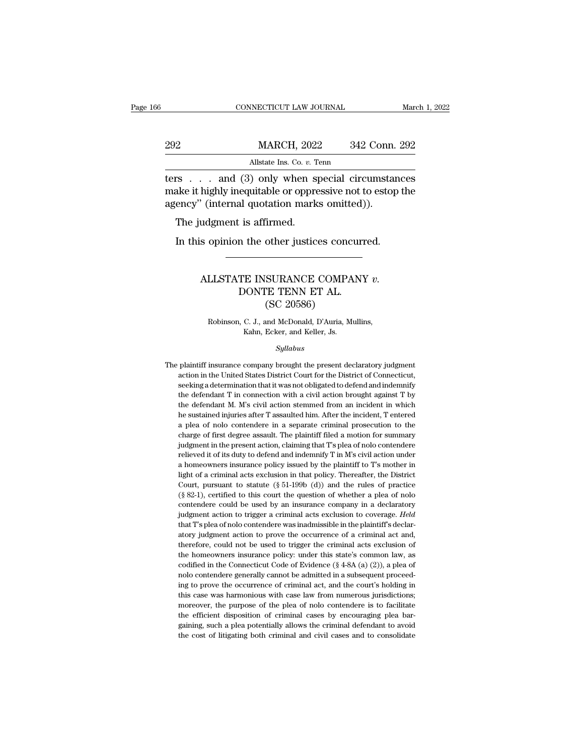|     | CONNECTICUT LAW JOURNAL                                                                                                                                           | March 1, 2022 |
|-----|-------------------------------------------------------------------------------------------------------------------------------------------------------------------|---------------|
| 292 | <b>MARCH, 2022</b>                                                                                                                                                | 342 Conn. 292 |
|     | Allstate Ins. Co. v. Tenn                                                                                                                                         |               |
|     | ters $\ldots$ and (3) only when special circumstances<br>make it highly inequitable or oppressive not to estop the<br>agonay" (internal quotation marks omitted)) |               |

MARCH, 2022 342 Conn. 292<br>Allstate Ins. Co. v. Tenn<br>Ters . . . and (3) only when special circumstances<br>make it highly inequitable or oppressive not to estop the<br>agency" (internal quotation marks omitted)). MARCH, 2022 342 Conn.<br>
Allstate Ins. Co. v. Tenn<br>
Lers . . . and (3) only when special circumstan<br>
make it highly inequitable or oppressive not to estop<br>
agency'' (internal quotation marks omitted)).<br>
The judgment is affir MARCH, 2023<br>
MARCH, 2023<br>
MIstate Ins. Co. v. T<br>
Trs . . . . and (3) only when sp<br>
ake it highly inequitable or oppre<br>
ency" (internal quotation mark<br>
The judgment is affirmed.<br>
In this opinion the other justic All Allistate ins. Co.  $v$ . Tenn<br>
In this object is concurred.<br>
In this opinion the other justices concurred.<br>
The judgment is affirmed.<br>
In this opinion the other justices concurred.

### % (internal quotation marks omitted)).<br>
udgment is affirmed.<br>
s opinion the other justices concurred.<br>
ALLSTATE INSURANCE COMPANY *v.*<br>
DONTE TENN ET AL.<br>
(SC 20586) In the other justices concurred<br>TE INSURANCE COMPANY<br>DONTE TENN ET AL.<br>(SC 20586) other justices concerned<br>
SURANCE COMPA<br>
TE TENN ET AL.<br>
(SC 20586)<br>
and McDonald, D'Auria, M LLSTATE INSURANCE COMPANY v.<br>DONTE TENN ET AL.<br>(SC 20586)<br>Robinson, C. J., and McDonald, D'Auria, Mullins,<br>Kahn, Ecker, and Keller, Js. THE INSURANCE COMPA<br>
FRICHT TENN ET AL.<br>
(SC 20586)<br>
C. J., and McDonald, D'Auria, My<br>
Kahn, Ecker, and Keller, Js.<br>
Sullabus

### *Syllabus*

Robinson, C. J., and McDonald, D'Auria, Mullins,<br>Kahn, Ecker, and Keller, Js.<br>Syllabus<br>The plaintiff insurance company brought the present declaratory judgment<br>action in the United States District Court for the District of Robinson, C. J., and McDonald, D'Auria, Mullins,<br>Kahn, Ecker, and Keller, Js.<br>Syllabus<br>plaintiff insurance company brought the present declaratory judgment<br>action in the United States District Court for the District of Con Kahn, Ecker, and Keller, Js.<br>Syllabus<br>plaintiff insurance company brought the present declaratory judgment<br>action in the United States District Court for the District of Connecticut,<br>seeking a determination that it was not  $Syllabus$ <br>
plaintiff insurance company brought the present declaratory judgment<br>
action in the United States District Court for the District of Connecticut,<br>
seeking a determination that it was not obligated to defend and ind Sylabus<br>plaintiff insurance company brought the present declaratory judgment<br>action in the United States District Court for the District of Connecticut,<br>seeking a determination that it was not obligated to defend and indem plaintiff insurance company brought the present declaratory judgment action in the United States District Court for the District of Connecticut, seeking a determination that it was not obligated to defend and indemnify the a plea of nolo contendere in a separate criminal prosecution in the United States District Court for the District of Connecticut, seeking a determination that it was not obligated to defend and indemnify the defendant T in seeking a determination that it was not obligated to defend and indemnify<br>the defendant T in connection with a civil action brought against T by<br>the defendant M. M's civil action stemmed from an incident in which<br>he sustai the defendant T in connection with a civil action brought against T by the defendant M. M's civil action stemmed from an incident in which he sustained injuries after T assaulted him. After the incident, T entered a plea o the defendant T in connection with a civil action brought against T by<br>the defendant M. M's civil action stemmed from an incident in which<br>he sustained injuries after T assaulted him. After the incident, T entered<br>a plea a homeomers insurance policy issued by the plaintiff to T's mother than the sustained injuries after T assaulted him. After the incident, T entered a plea of nolo contendere in a separate criminal prosecution to the charge a plea of nolo contendere in a separate criminal prosecution to the charge of first degree assault. The plaintiff filed a motion for summary judgment in the present action, claiming that T's plea of nolo contendere reliev charge of first degree assault. The plaintiff filed a motion for summary judgment in the present action, claiming that T's plea of nolo contendere relieved it of its duty to defend and indemnify T in M's civil action under independent in the present action, claiming that T's plea of nolo contendere relieved it of its duty to defend and indemnify T in M's civil action under a homeowners insurance policy issued by the plaintiff to T's mother i predieved it of its duty to defend and indemnify T in M's civil action under<br>relieved it of its duty to defend and indemnify T in M's civil action under<br>a homeowners insurance policy issued by the plaintiff to T's mother a homeowners insurance policy issued by the plaintiff to T's mother in light of a criminal acts exclusion in that policy. Thereafter, the District Court, pursuant to statute (§ 51-199b (d)) and the rules of practice (§ 82light of a criminal acts exclusion in that policy. Thereafter, the District Court, pursuant to statute ( $\S$  51-199b (d)) and the rules of practice ( $\S$  82-1), certified to this court the question of whether a plea of nolo Court, pursuant to statute (§ 51-199b (d)) and the rules of practice (§ 82-1), certified to this court the question of whether a plea of nolo contendere could be used by an insurance company in a declaratory judgment acti (§ 82-1), certified to this court the question of whether a plea of nolo contendere could be used by an insurance company in a declaratory judgment action to trigger a criminal acts exclusion to coverage. *Held* that T's contendere could be used by an insurance company in a declaratory<br>judgment action to trigger a criminal acts exclusion to coverage. Held<br>that T's plea of nolo contendere was inadmissible in the plaintiff's declar-<br>atory ju judgment action to trigger a criminal acts exclusion to coverage. Held<br>that T's plea of nolo contendere was inadmissible in the plaintiff's declar-<br>atory judgment action to prove the occurrence of a criminal act and,<br>there that T's plea of nolo contendere was inadmissible in the plaintiff's declaratory judgment action to prove the occurrence of a criminal act and, therefore, could not be used to trigger the criminal acts exclusion of the ho atory judgment action to prove the occurrence of a criminal act and, therefore, could not be used to trigger the criminal acts exclusion of the homeowners insurance policy: under this state's common law, as codified in th therefore, could not be used to trigger the criminal acts exclusion of the homeowners insurance policy: under this state's common law, as codified in the Connecticut Code of Evidence (§ 4-8A (a) (2)), a plea of nolo conten the homeowners insurance policy: under this state's common law, as codified in the Connecticut Code of Evidence (§ 4-8A (a) (2)), a plea of nolo contendere generally cannot be admitted in a subsequent proceeding to prove codified in the Connecticut Code of Evidence ( $\S$  4-8A (a) (2)), a plea of nolo contendere generally cannot be admitted in a subsequent proceeding to prove the occurrence of criminal act, and the court's holding in this c nolo contendere generally cannot be admitted in a subsequent proceeding to prove the occurrence of criminal act, and the court's holding in this case was harmonious with case law from numerous jurisdictions; moreover, the ing to prove the occurrence of criminal act, and the court's holding in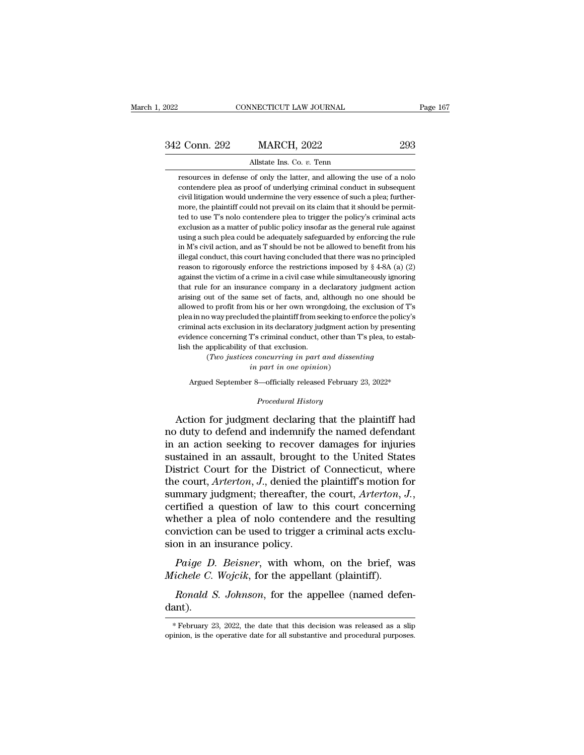| 2022          | CONNECTICUT LAW JOURNAL                                                 | Page 167 |
|---------------|-------------------------------------------------------------------------|----------|
|               |                                                                         |          |
| 342 Conn. 292 | <b>MARCH, 2022</b>                                                      | 293      |
|               | Allstate Ins. Co. v. Tenn                                               |          |
|               | resources in defense of only the latter, and allowing the use of a nolo |          |

2 Conn. 292 MARCH, 2022 293<br>Allstate Ins. Co. v. Tenn<br>resources in defense of only the latter, and allowing the use of a nolo<br>contendere plea as proof of underlying criminal conduct in subsequent contendere plea as proof of underlying criminal conduct in subsequent<br>contendere plea as proof of underlying criminal conduct in subsequent<br>civil litigation would undermine the very essence of such a plea; furthercivil litigation would undermine the very essence of such a plea; further-<br>resources in defense of only the latter, and allowing the use of a noto<br>contendere plea as proof of underlying criminal conduct in subsequent<br>civil Milistate Ins. Co.  $v$ . Tenn<br>resources in defense of only the latter, and allowing the use of a nolo<br>contendere plea as proof of underlying criminal conduct in subsequent<br>civil litigation would undermine the very essence Allstate Ins. Co. v. Tenn<br>resources in defense of only the latter, and allowing the use of a nolo<br>contendere plea as proof of underlying criminal conduct in subsequent<br>civil litigation would undermine the very essence of s resources in defense of only the latter, and allowing the use of a nolo contendere plea as proof of underlying criminal conduct in subsequent civil litigation would undermine the very essence of such a plea; furthermore, t contendere plea as proof of underlying criminal conduct in subsequent<br>civil litigation would undermine the very essence of such a plea; further-<br>more, the plaintiff could not prevail on its claim that it should be permit-<br> exivil litigation would undermine the very essence of such a plea; furthermore, the plaintiff could not prevail on its claim that it should be permitted to use T's nolo contendere plea to trigger the policy's criminal acts is more, the plaintiff could not prevail on its claim that it should be permitted to use T's nolo contendere plea to trigger the policy's criminal acts exclusion as a matter of public policy insofar as the general rule ag read to use T's nolo contendere plea to trigger the policy's criminal acts exclusion as a matter of public policy insofar as the general rule against using a such plea could be adequately safeguarded by enforcing the rule exclusion as a matter of public policy insofar as the general rule against using a such plea could be adequately safeguarded by enforcing the rule in M's civil action, and as T should be not be allowed to benefit from his using a such plea could be adequately safeguarded by enforcing the rule<br>in M's civil action, and as T should be not be allowed to benefit from his<br>illegal conduct, this court having concluded that there was no principled<br> in M's civil action, and as T should be not be allowed to benefit from his illegal conduct, this court having concluded that there was no principled reason to rigorously enforce the restrictions imposed by  $\S$  4-8A (a) (2 illegal conduct, this court having concluded that there was no principled reason to rigorously enforce the restrictions imposed by  $\S$  4-8A (a) (2) against the victim of a crime in a civil case while simultaneously ignori reason to rigorously enforce the restrictions imposed by  $\S$  4-8A (a) (2) against the victim of a crime in a civil case while simultaneously ignoring that rule for an insurance company in a declaratory judgment action ari examples are viewed as a crime in a civil case while simultaneously ignoring against the victim of a crime in a civil case while simultaneously ignoring that rule for an insurance company in a declaratory judgment action against the victim of a crime in a civil case while simultaneously ignoring that rule for an insurance company in a declaratory judgment action arising out of the same set of facts, and, although no one should be allowed arising out of the same set of facts, and, although no one should be allowed to profit from his or her own wrongdoing, the exclusion of T's plea in no way precluded the plaintiff from seeking to enforce the policy's crimi to profit from his or her own wrongdoing, the exclusion of 1<br>to profit from his or her own wrongdoing, the exclusion of 1<br>o way precluded the plaintiff from seeking to enforce the policy<br>acts exclusion in its declaratory j *i* ded the plaintiff from seeking to erected the plaintiff from seeking to erection.<br>In in its declaratory judgment act<br>T's criminal conduct, other than<br>of that exclusion.<br>*s concurring in part and disser<br>in part in one o* minal acts exclusion in its declaratory judgment action by presenting<br>dence concerning T's criminal conduct, other than T's plea, to estab-<br>the applicability of that exclusion.<br>(*Two justices concurring in part and dissent* 

*Procedural in part and dissent part in one opinion)*<br>*Part in one opinion*<br>*Procedural History*<br>*Procedural History*<br>Procedural History<br>**Procedural History** 

First the applicability of that exclusion.<br>
(Two justices concurring in part and dissenting<br>
in part in one opinion)<br>
Argued September 8—officially released February 23, 2022\*<br>
Procedural History<br>
Action for judgment decl The duty of the Universal of the Universal of the Number of the named states of the named defendant<br>the named defendant of the named defendant<br>in an action seeking to recover damages for injuries<br>sustained in an assault b in part in one opinion)<br>
Argued September 8—officially released February 23, 2022\*<br>
Procedural History<br>
Action for judgment declaring that the plaintiff had<br>
no duty to defend and indemnify the named defendant<br>
in an actio Argued September 8—officially released February 23, 2022\*<br>
Procedural History<br>
Action for judgment declaring that the plaintiff had<br>
no duty to defend and indemnify the named defendant<br>
in an action seeking to recover dama *Procedural History*<br>Action for judgment declaring that the plaintiff had<br>no duty to defend and indemnify the named defendant<br>in an action seeking to recover damages for injuries<br>sustained in an assault, brought to the Uni Action for judgment declaring that the plaintiff had<br>no duty to defend and indemnify the named defendant<br>in an action seeking to recover damages for injuries<br>sustained in an assault, brought to the United States<br>District C Action for judgment declaring that the plaintiff had<br>no duty to defend and indemnify the named defendant<br>in an action seeking to recover damages for injuries<br>sustained in an assault, brought to the United States<br>District C in an action seeking to recover damages for injuries<br>sustained in an assault, brought to the United States<br>District Court for the District of Connecticut, where<br>the court,  $Arterton$ ,  $J$ ., denied the plaintiff's motion for<br>su sustained in an assault, brought to the United States<br>District Court for the District of Connecticut, where<br>the court, Arterton, J., denied the plaintiff's motion for<br>summary judgment; thereafter, the court, Arterton, J.,<br> District Court for the District of<br>the court, *Arterton*, *J*., denied the<br>summary judgment; thereafter, therefore, therefore, therefore, the<br>vertified a question of law to the<br>whether a plea of nolo contend<br>conviction can *Paige D. Beisner*, with whom, on the brief, was<br>*Paige D. Beisner*, with whom, on the brief, was<br>*Paige D. Beisner*, with whom, on the brief, was<br>*Paige D. Beisner*, with whom, on the brief, was<br>*ichele C. Wojcik*, for th *Michele C. Wojcik*, force and the resulting on-<br>*Michele a* question of law to this court concerning<br>whether a plea of nolo contendere and the resulting<br>conviction can be used to trigger a criminal acts excl<br>sion in an in referred as plea of nolo contendere and the resulting<br> *Ronald S. Beisner*, with whom, on the brief, was<br> *Ronald S. Johnson*, for the appellee (named defen-<br> *Ronald S. Johnson*, for the appellee (named defen-<br> *Ronald S.* 

dant). Fichele C. Wojcik, for the appellant (plaintiff).<br>
Ronald S. Johnson, for the appellee (named defen-<br>
<sup>\*</sup> February 23, 2022, the date that this decision was released as a slip<br>
inion, is the operative date for all substant Michele C. Wojcik, for the appellant (plaintiff).<br>
Ronald S. Johnson, for the appellee (named defen-<br>
dant).<br>
\*February 23, 2022, the date that this decision was released as a slip<br>
opinion, is the operative date for all s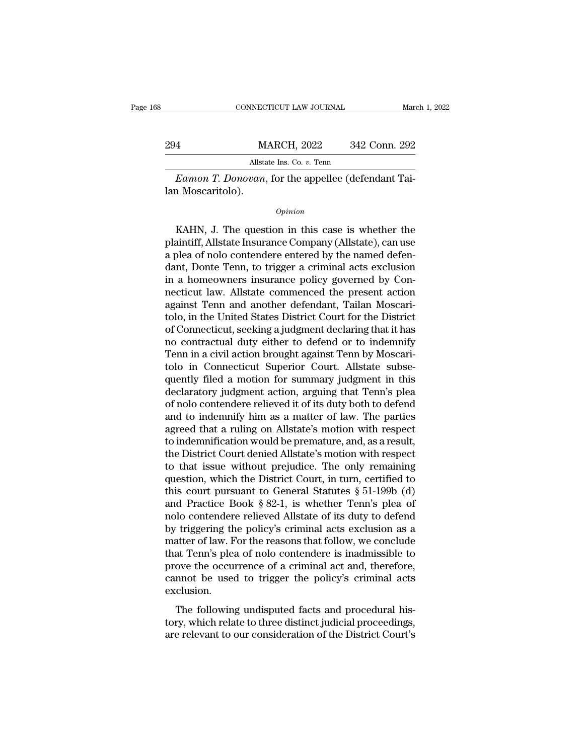|                   | CONNECTICUT LAW JOURNAL                                    | March 1, 2022 |
|-------------------|------------------------------------------------------------|---------------|
|                   |                                                            |               |
| 294               | <b>MARCH, 2022</b>                                         | 342 Conn. 292 |
|                   | Allstate Ins. Co. v. Tenn                                  |               |
|                   | <i>Eamon T. Donovan</i> , for the appellee (defendant Tai- |               |
| lan Moscaritolo). |                                                            |               |
|                   | Opinion                                                    |               |

Allstate Ins. Co. v. Tenn<br>
Eamon T. Donovan, for the appellee (defendant Tai-<br>
1 Moscaritolo).<br>
Opinion<br>
KAHN, J. The question in this case is whether the<br>
aintiff, Allstate Insurance Company (Allstate), can use<br>
plea of p Eamon T. Donovan, for the appellee (defendant Tai-<br>lan Moscaritolo).<br>*Opinion*<br>KAHN, J. The question in this case is whether the<br>plaintiff, Allstate Insurance Company (Allstate), can use<br>a plea of nolo contendere entered b Eamon T. Donovan, for the appellee (defendant Tai-<br>lan Moscaritolo).<br> $\frac{opinion}{D}$ <br>KAHN, J. The question in this case is whether the<br>plaintiff, Allstate Insurance Company (Allstate), can use<br>a plea of nolo contendere entered opinion<br>
opinion<br>
KAHN, J. The question in this case is whether the<br>
plaintiff, Allstate Insurance Company (Allstate), can use<br>
a plea of nolo contendere entered by the named defen-<br>
dant, Donte Tenn, to trigger a criminal **Example 19 Example 10** Company (Allstate plaintiff, Allstate Insurance Company (Allstate), can use a plea of nolo contendere entered by the named defendant, Donte Tenn, to trigger a criminal acts exclusion in a homeowners EXAHN, J. The question in this case is whether the plaintiff, Allstate Insurance Company (Allstate), can use a plea of nolo contendere entered by the named defendant, Donte Tenn, to trigger a criminal acts exclusion in a h KAHN, J. The question in this case is whether the plaintiff, Allstate Insurance Company (Allstate), can use a plea of nolo contendere entered by the named defendant, Donte Tenn, to trigger a criminal acts exclusion in a ho plaintiff, Allstate Insurance Company (Allstate), can use<br>a plea of nolo contendere entered by the named defen-<br>dant, Donte Tenn, to trigger a criminal acts exclusion<br>in a homeowners insurance policy governed by Con-<br>necti a plea of nolo contendere entered by the named defen-<br>dant, Donte Tenn, to trigger a criminal acts exclusion<br>in a homeowners insurance policy governed by Con-<br>necticut law. Allstate commenced the present action<br>against Ten dant, Donte Tenn, to trigger a criminal acts exclusion<br>in a homeowners insurance policy governed by Con-<br>necticut law. Allstate commenced the present action<br>against Tenn and another defendant, Tailan Moscari-<br>tolo, in the in a homeowners insurance policy governed by Connecticut law. Allstate commenced the present action against Tenn and another defendant, Tailan Moscaritolo, in the United States District Court for the District of Connecticu necticut law. Allstate commenced the present action<br>against Tenn and another defendant, Tailan Moscari-<br>tolo, in the United States District Court for the District<br>of Connecticut, seeking a judgment declaring that it has<br>no against Tenn and another defendant, Tailan Moscaritolo, in the United States District Court for the District<br>of Connecticut, seeking a judgment declaring that it has<br>no contractual duty either to defend or to indemnify<br>Ten tolo, in the United States District Court for the District<br>of Connecticut, seeking a judgment declaring that it has<br>no contractual duty either to defend or to indemnify<br>Tenn in a civil action brought against Tenn by Moscar of Connecticut, seeking a judgment declaring that it has<br>no contractual duty either to defend or to indemnify<br>Tenn in a civil action brought against Tenn by Moscari-<br>tolo in Connecticut Superior Court. Allstate subse-<br>quen no contractual duty either to defend or to indemnify<br>Tenn in a civil action brought against Tenn by Moscari-<br>tolo in Connecticut Superior Court. Allstate subse-<br>quently filed a motion for summary judgment in this<br>declarato Tenn in a civil action brought against Tenn by Moscaritolo in Connecticut Superior Court. Allstate subsequently filed a motion for summary judgment in this declaratory judgment action, arguing that Tenn's plea of nolo cont tolo in Connecticut Superior Court. Allstate subsequently filed a motion for summary judgment in this declaratory judgment action, arguing that Tenn's plea of nolo contendere relieved it of its duty both to defend and to i quently filed a motion for summary judgment in this<br>declaratory judgment action, arguing that Tenn's plea<br>of nolo contendere relieved it of its duty both to defend<br>and to indemnify him as a matter of law. The parties<br>agree declaratory judgment action, arguing that Tenn's plea<br>of nolo contendere relieved it of its duty both to defend<br>and to indemnify him as a matter of law. The parties<br>agreed that a ruling on Allstate's motion with respect<br>to of nolo contendere relieved it of its duty both to defend<br>and to indemnify him as a matter of law. The parties<br>agreed that a ruling on Allstate's motion with respect<br>to indemnification would be premature, and, as a result and to indemnify him as a matter of law. The parties<br>agreed that a ruling on Allstate's motion with respect<br>to indemnification would be premature, and, as a result,<br>the District Court denied Allstate's motion with respect<br> agreed that a ruling on Allstate's motion with respect<br>to indemnification would be premature, and, as a result,<br>the District Court denied Allstate's motion with respect<br>to that issue without prejudice. The only remaining<br>q to indemnification would be premature, and, as a result,<br>the District Court denied Allstate's motion with respect<br>to that issue without prejudice. The only remaining<br>question, which the District Court, in turn, certified t the District Court denied Allstate's motion with respect<br>to that issue without prejudice. The only remaining<br>question, which the District Court, in turn, certified to<br>this court pursuant to General Statutes § 51-199b (d)<br>a to that issue without prejudice. The only remaining<br>question, which the District Court, in turn, certified to<br>this court pursuant to General Statutes  $\S 51-199b$  (d)<br>and Practice Book  $\S 82-1$ , is whether Tenn's plea of<br>n question, which the District Court, in turn, certified to<br>this court pursuant to General Statutes § 51-199b (d)<br>and Practice Book § 82-1, is whether Tenn's plea of<br>nolo contendere relieved Allstate of its duty to defend<br>by this court pursuant to General Statutes  $\S 51-199b$  (d)<br>and Practice Book  $\S 82-1$ , is whether Tenn's plea of<br>nolo contendere relieved Allstate of its duty to defend<br>by triggering the policy's criminal acts exclusion as a and Practice Book  $\S 82-1$ , is whether Tenn's plea of<br>nolo contendere relieved Allstate of its duty to defend<br>by triggering the policy's criminal acts exclusion as a<br>matter of law. For the reasons that follow, we conclude exclusion. The following undisputed facts and procedural his-<br>taken over the occurrence of a criminal act and, therefore,<br>and the occurrence of a criminal act and, therefore,<br>mot be used to trigger the policy's criminal acts<br>clusion. that Tenn's plea of nolo contendere is inadmissible to<br>prove the occurrence of a criminal act and, therefore,<br>cannot be used to trigger the policy's criminal acts<br>exclusion.<br>The following undisputed facts and procedural hi and Tehr's piea of note contendere is madamissible to<br>prove the occurrence of a criminal act and, therefore,<br>cannot be used to trigger the policy's criminal acts<br>exclusion.<br>The following undisputed facts and procedural his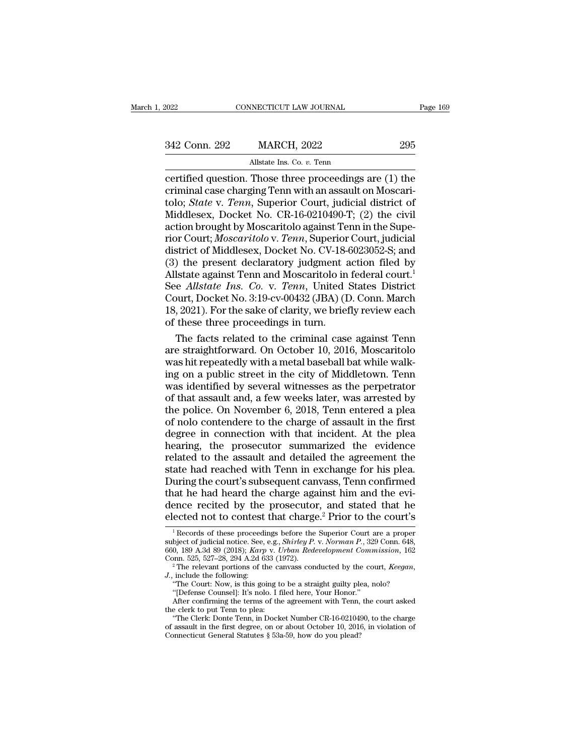| 2022          | CONNECTICUT LAW JOURNAL                                 | Page 169 |
|---------------|---------------------------------------------------------|----------|
| 342 Conn. 292 | <b>MARCH, 2022</b>                                      | 295      |
|               | Allstate Ins. Co. v. Tenn                               |          |
|               | certified question. Those three proceedings are (1) the |          |

connectricut LAW JOURNAL Page 169<br>
342 Conn. 292 MARCH, 2022 295<br>
Allstate Ins. Co. v. Tenn<br>
certified question. Those three proceedings are (1) the<br>
criminal case charging Tenn with an assault on Moscari-<br>
tolo: *State y.* 342 Conn. 292 MARCH, 2022 295<br>Allstate Ins. Co. v. Tenn<br>Certified question. Those three proceedings are (1) the<br>criminal case charging Tenn with an assault on Moscari-<br>tolo; *State v. Tenn*, Superior Court, judicial distri 342 Conn. 292 MARCH, 2022 295<br>Allstate Ins. Co. *v.* Tenn<br>certified question. Those three proceedings are (1) the<br>criminal case charging Tenn with an assault on Moscari-<br>tolo; *State* v. *Tenn*, Superior Court, judicial di 342 Conn. 292 MARCH, 2022 295<br>
Allstate Ins. Co. v. Tenn<br>
Certified question. Those three proceedings are (1) the<br>
criminal case charging Tenn with an assault on Moscari-<br>
tolo; *State* v. *Tenn*, Superior Court, judicial Allstate Ins. Co. *v.* Tenn<br>
certified question. Those three proceedings are (1) the<br>
criminal case charging Tenn with an assault on Moscari-<br>
tolo; *State* v. *Tenn*, Superior Court, judicial district of<br>
Middlesex, Docke Allstate Ins. Co. *v.* Tenn<br>certified question. Those three proceedings are (1) the<br>criminal case charging Tenn with an assault on Moscari-<br>tolo; *State* v. *Tenn*, Superior Court, judicial district of<br>Middlesex, Docket No certified question. Those three proceedings are (1) the<br>criminal case charging Tenn with an assault on Moscari-<br>tolo; *State* v. *Tenn*, Superior Court, judicial district of<br>Middlesex, Docket No. CR-16-0210490-T; (2) the c criminal case charging Tenn with an assault on Moscaritolo; *State v. Tenn*, Superior Court, judicial district of Middlesex, Docket No. CR-16-0210490-T; (2) the civil action brought by Moscaritolo against Tenn in the Supe tolo; *State* v. *Tenn*, Superior Court, judicial district of Middlesex, Docket No. CR-16-0210490-T; (2) the civil action brought by Moscaritolo against Tenn in the Superior Court, *Moscaritolo v. Tenn*, Superior Court, j Middlesex, Docket No. CR-16-0210490-T; (2) the civil<br>action brought by Moscaritolo against Tenn in the Superior Court, *Moscaritolo v. Tenn*, Superior Court, *judicial*<br>district of Middlesex, Docket No. CV-18-6023052-S; an action brought by Moscaritolo against Tenn in the Superior Court; *Moscaritolo* v. *Tenn*, Superior Court, judicial district of Middlesex, Docket No. CV-18-6023052-S; and (3) the present declaratory judgment action filed b rior Court; *Moscaritolo* v. *Tenn*, Superior Court, judicial<br>district of Middlesex, Docket No. CV-18-6023052-S; and<br>(3) the present declaratory judgment action filed by<br>Allstate against Tenn and Moscaritolo in federal cou district of Middlesex, Docket No. CV-18-<br>(3) the present declaratory judgment a<br>Allstate against Tenn and Moscaritolo in<br>See *Allstate Ins. Co. v. Tenn*, United<br>Court, Docket No. 3:19-cv-00432 (JBA) (I<br>18, 2021). For the s ) the present declaratory judgment action filed by<br>Istate against Tenn and Moscaritolo in federal court.<sup>1</sup><br>e *Allstate Ins. Co. v. Tenn*, United States District<br>burt, Docket No. 3:19-cv-00432 (JBA) (D. Conn. March<br>, 2021 Allstate against Tenn and Moscaritolo in federal court.<sup>1</sup><br>See *Allstate Ins. Co. v. Tenn*, United States District<br>Court, Docket No. 3:19-cv-00432 (JBA) (D. Conn. March<br>18, 2021). For the sake of clarity, we briefly review

See *Allstate Ins. Co.* v. *Tenn*, United States District Court, Docket No. 3:19-cv-00432 (JBA) (D. Conn. March 18, 2021). For the sake of clarity, we briefly review each of these three proceedings in turn.<br>The facts relat Court, Docket No. 3:19-cv-00432 (JBA) (D. Conn. March<br>18, 2021). For the sake of clarity, we briefly review each<br>of these three proceedings in turn.<br>The facts related to the criminal case against Tenn<br>are straightforward. 18, 2021). For the sake of clarity, we briefly review each<br>of these three proceedings in turn.<br>The facts related to the criminal case against Tenn<br>are straightforward. On October 10, 2016, Moscaritolo<br>was hit repeatedly w of these three proceedings in turn.<br>
The facts related to the criminal case against Tenn<br>
are straightforward. On October 10, 2016, Moscaritolo<br>
was hit repeatedly with a metal baseball bat while walk-<br>
ing on a public str The facts related to the criminal case against Tenn<br>are straightforward. On October 10, 2016, Moscaritolo<br>was hit repeatedly with a metal baseball bat while walk-<br>ing on a public street in the city of Middletown. Tenn<br>was are straightforward. On October 10, 2016, Moscaritolo was hit repeatedly with a metal baseball bat while walking on a public street in the city of Middletown. Tenn was identified by several witnesses as the perpetrator of was hit repeatedly with a metal baseball bat while walking on a public street in the city of Middletown. Tenn<br>was identified by several witnesses as the perpetrator<br>of that assault and, a few weeks later, was arrested by<br>t ing on a public street in the city of Middletown. Tenn<br>was identified by several witnesses as the perpetrator<br>of that assault and, a few weeks later, was arrested by<br>the police. On November 6, 2018, Tenn entered a plea<br>of was identified by several witnesses as the perpetrator<br>of that assault and, a few weeks later, was arrested by<br>the police. On November 6, 2018, Tenn entered a plea<br>of nolo contendere to the charge of assault in the first<br>d of that assault and, a few weeks later, was arrested by<br>the police. On November 6, 2018, Tenn entered a plea<br>of nolo contendere to the charge of assault in the first<br>degree in connection with that incident. At the plea<br>hea the police. On November 6, 2018, Tenn entered a plea<br>of nolo contendere to the charge of assault in the first<br>degree in connection with that incident. At the plea<br>hearing, the prosecutor summarized the evidence<br>related to of nolo contendere to the charge of assault in the first<br>degree in connection with that incident. At the plea<br>hearing, the prosecutor summarized the evidence<br>related to the assault and detailed the agreement the<br>state had degree in connection with that incident. At the plea<br>hearing, the prosecutor summarized the evidence<br>related to the assault and detailed the agreement the<br>state had reached with Tenn in exchange for his plea.<br>During the co hearing, the prosecutor summarized the evidence<br>related to the assault and detailed the agreement the<br>state had reached with Tenn in exchange for his plea.<br>During the court's subsequent canvass, Tenn confirmed<br>that he had During the court's subsequent canvass, Tenn confirmed<br>that he had heard the charge against him and the evi-<br>dence recited by the prosecutor, and stated that he<br>elected not to contest that charge.<sup>2</sup> Prior to the court's<br>that he had heard the charge against him and the evi-<br>dence recited by the prosecutor, and stated that he<br>elected not to contest that charge.<sup>2</sup> Prior to the court's<br><sup>1</sup>Records of these proceedings before the Superior Cour

elected not to contest that charge.<sup>2</sup> Prior to the court's<br>
<sup>1</sup> Records of these proceedings before the Superior Court are a proper<br>
subject of judicial notice. See, e.g., *Shirley P. v. Norman P.*, 329 Conn. 648,<br>
660, 1 dence recited by the prosecutor, and stated that he<br>elected not to contest that charge.<sup>2</sup> Prior to the court's<br> $\frac{1}{1}$ Records of these proceedings before the Superior Court are a proper<br>subject of judicial notice. See, subject of judicial notice. See, e.g., *Shirley P. v. Norman P.*, 329 Conn. 648, 660, 189 A.3d 89 (2018); *Karp v. Urban Redevelopment Commission*, 162 Conn. 525, 527–28, 294 A.2d 633 (1972).<br><sup>2</sup> The relevant portions of 2, 189 A.3d 89 (2018); *Karp v. Urban Redevelopment Commission*, 162<br>
2, 189 A.3d 89 (2018); *Karp v. Urban Redevelopment Commission*, 162<br>
<sup>2</sup> The relevant portions of the canvass conducted by the court, *Keegan*,<br>
inclu

Conn. 525, 527–28, 294 A.2d 633 (1<br>  $^2$  The relevant portions of the ca<br>
J., include the following:<br>
"The relevant portions of the ca<br>
J., include the following:<br>
"The Court: Now, is this going to<br>
"The Clerk: Donte Tenn

<sup>&</sup>quot;The Court: Now, is this going to be a straight guilty plea, nolo? "[Defense Counsel]: It's nolo. I filed here, Your Honor."<br>After confirming the terms of the agreement with Tenn, the cour<br>the clerk to put Tenn to plea:

<sup>&</sup>lt;sup>2</sup>The relevant portions of the canvass conducted by the court, *Keegan*, include the following:<br>
"The Court: Now, is this going to be a straight guilty plea, nolo?<br>
"[Defense Counsel]: It's nolo. I filed here, Your Honor "The Clerk: Donte Tenn, in Docket Number CR-16-0210490, to the charge of assault in the first degree, on or about October 10, 2016, in violation of Connecticut General Statutes  $\S$  53a-59, how do you plead? "The Court: Now, is this going to be a straight guilty ple "The Court: Now, is this going to be a straight guilty ple "[Defense Counsel]: It's nolo. I filed here, Your Honor." After confirming the terms of the agreement wi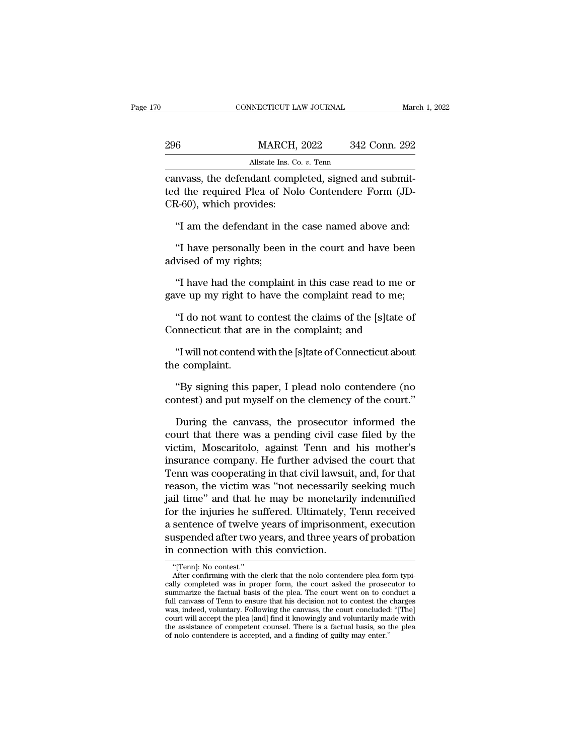|     | CONNECTICUT LAW JOURNAL                                                                                                                         | March 1, 2022 |
|-----|-------------------------------------------------------------------------------------------------------------------------------------------------|---------------|
|     |                                                                                                                                                 |               |
| 296 | <b>MARCH, 2022</b>                                                                                                                              | 342 Conn. 292 |
|     | Allstate Ins. Co. v. Tenn                                                                                                                       |               |
|     | canvass, the defendant completed, signed and submit-<br>ted the required Plea of Nolo Contendere Form (JD-<br>$CD \, \beta$ (1) which provided. |               |

296 MARCH, 2022 342 Conn. 292<br>Allstate Ins. Co. v. Tenn<br>Canvass, the defendant completed, signed and submitted the required Plea of Nolo Contendere Form (JD-<br>CR-60), which provides: MARCH,<br>
MARCH,<br>
allstate Ins. Co<br>
canvass, the defendant comp<br>
ted the required Plea of Nol<br>
CR-60), which provides:<br>
"I am the defendant in the Allstate Ins. Co. *v.* Tenn<br>
NUCHT, 2022 642 COMT. 2022<br>
NUCHT, 2022 642 COMT. 2022<br>
NUCHT, 2022 642 COMT. 2022<br>
NUCHT, 2022<br>
MISSION RUCHT, 2022<br>
MISSION RUCHT, 2022<br>
MISSION RUCHT, 2022<br>
MISSION RUCHT, 2022<br>
MISSION RUCH mass, the defendant completed, signed and submit-<br>
d the required Plea of Nolo Contendere Form (JD-<br>
7-60), which provides:<br>
"I am the defendant in the case named above and:<br>
"I have personally been in the court and have b between the required Plea of I<br>CR-60), which provides:<br>"I am the defendant in the "I have personally been<br>advised of my rights;<br>"I have had the complain

E-60), which provides:<br>
"I am the defendant in the case named above and:<br>
"I have personally been in the court and have been<br>
vised of my rights;<br>
"I have had the complaint in this case read to me or<br>
ve up my right to hav "I am the defendant in the case named above and:<br>"I have personally been in the court and have been<br>advised of my rights;<br>"I have had the complaint in this case read to me or<br>gave up my right to have the complaint read to "I have personally been in the court and have been<br>vised of my rights;<br>"I have had the complaint in this case read to me or<br>we up my right to have the complaint read to me;<br>"I do not want to contest the claims of the [s]ta Thave personally seen in the court directive seen<br>advised of my rights;<br>"I have had the complaint in this case read to me or<br>gave up my right to have the complaint read to me;<br>"I do not want to contest the claims of the [s "I have had the complaint in this case read to me or<br>we up my right to have the complaint read to me;<br>"I do not want to contest the claims of the [s]tate of<br>nnnecticut that are in the complaint; and<br>"I will not contend wit

Frace had are expansive up my right to<br>"I do not want to<br>Connecticut that are<br>"I will not contend<br>the complaint.<br>"By signing this t "I do not want to contest the claims of the [s]tate of<br>phase interval of the signing that are in the complaint; and<br>"I will not contend with the [s]tate of Connecticut about<br>e complaint.<br>"By signing this paper, I plead nol

Connecticut that are in the complaint; and<br>
"I will not contend with the [s]tate of Connecticut about<br>
the complaint.<br>
"By signing this paper, I plead nolo contendere (no<br>
contest) and put myself on the clemency of the cou

"I will not contend with the [s]tate of Connecticut about<br>e complaint.<br>"By signing this paper, I plead nolo contendere (no<br>ntest) and put myself on the clemency of the court."<br>During the canvass, the prosecutor informed th complaint.<br>
"By signing this paper, I plead nolo contendere (no<br>
contest) and put myself on the clemency of the court."<br>
During the canvass, the prosecutor informed the<br>
court that there was a pending civil case filed by t "By signing this paper, I plead nolo contendere (no<br>contest) and put myself on the clemency of the court."<br>During the canvass, the prosecutor informed the<br>court that there was a pending civil case filed by the<br>victim, Mosc "By signing this paper, I plead nolo contendere (no contest) and put myself on the clemency of the court."<br>During the canvass, the prosecutor informed the court that there was a pending civil case filed by the victim, Mosc contest) and put myself on the clemency of the court."<br>During the canvass, the prosecutor informed the<br>court that there was a pending civil case filed by the<br>victim, Moscaritolo, against Tenn and his mother's<br>insurance com During the canvass, the prosecutor informed the<br>court that there was a pending civil case filed by the<br>victim, Moscaritolo, against Tenn and his mother's<br>insurance company. He further advised the court that<br>Tenn was cooper During the canvass, the prosecutor informed the<br>court that there was a pending civil case filed by the<br>victim, Moscaritolo, against Tenn and his mother's<br>insurance company. He further advised the court that<br>Tenn was cooper court that there was a pending civil case filed by the<br>victim, Moscaritolo, against Tenn and his mother's<br>insurance company. He further advised the court that<br>Tenn was cooperating in that civil lawsuit, and, for that<br>reaso victim, Moscaritolo, against Tenn and his mother's<br>insurance company. He further advised the court that<br>Tenn was cooperating in that civil lawsuit, and, for that<br>reason, the victim was "not necessarily seeking much<br>jail ti insurance company. He further advised the court that<br>Tenn was cooperating in that civil lawsuit, and, for that<br>reason, the victim was "not necessarily seeking much<br>jail time" and that he may be monetarily indemnified<br>for t Tenn was cooperating in that civil lawsui<br>reason, the victim was "not necessarily<br>jail time" and that he may be monetaril<br>for the injuries he suffered. Ultimately,<br>a sentence of twelve years of imprisonm<br>suspended after tw r the myuries he su<br>sentence of twelve<br>uspended after two<br>connection with t<br>"[Tenn]: No contest."<br>After confirming with the<br>ply completed was in pro sentence of twelve years of imprisonment, execution<br>uspended after two years, and three years of probation<br>connection with this conviction.<br>"[Tenn]: No contest."<br>After confirming with the clerk that the nolo contendere ple

suspended after two years, and three years of probation<br>in connection with this conviction.<br>"(Tenn]: No contest."<br>After confirming with the clerk that the nolo contendere plea form typi-<br>cally completed was in proper form, suspended after two years, and three years of probation<br>in connection with this conviction.<br>The factual basis of the plea. The contendere plea form typically completed was in proper form, the court asked the prosecutor to<br> in connection with this conviction.<br>
"[Tenn]: No contest."<br>
After confirming with the clerk that the nolo contendere plea form typically completed was in proper form, the court asked the prosecutor to summarize the factual We "Tenn]: No contest."<br>
"Tenn]: No contest."<br>
After confirming with the clerk that the nolo contendere plea form typically completed was in proper form, the court asked the prosecutor to<br>
summarize the factual basis of th "[Tenn]: No contest."<br>
After confirming with the clerk that the nolo contendere plea form typically completed was in proper form, the court asked the prosecutor to summarize the factual basis of the plea. The court went o After confirming with the clerk that the nolo contendere plea form typically completed was in proper form, the court asked the prosecutor to summarize the factual basis of the plea. The court went on to conduct a full canv cally completed was in proper form, the court asked the prosection<br>summarize the factual basis of the plea. The court went on to contend<br>full canvass of Tenn to ensure that his decision not to contest the<br>was, indeed, volu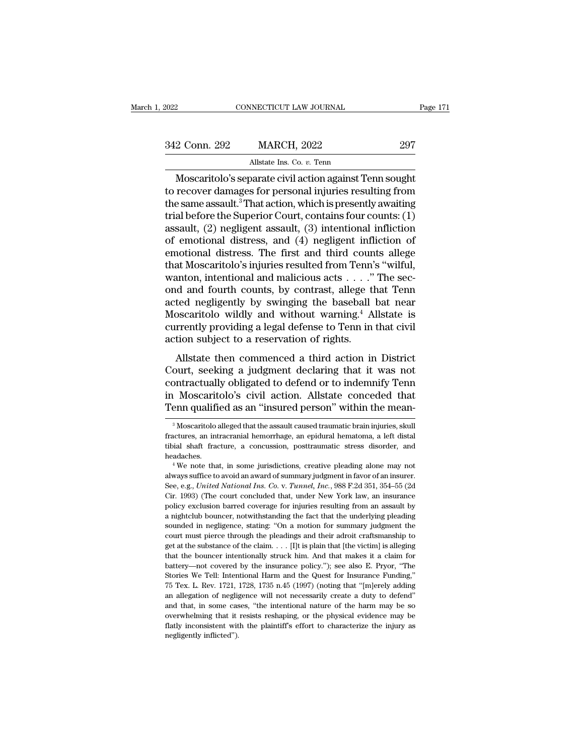| 2022          | CONNECTICUT LAW JOURNAL                                 | Page 171 |
|---------------|---------------------------------------------------------|----------|
| 342 Conn. 292 | <b>MARCH, 2022</b>                                      | 297      |
|               | Allstate Ins. Co. v. Tenn                               |          |
|               | Moscaritolo's senarate civil action against Tenn sought |          |

CONNECTICUT LAW JOURNAL Page 17<br>
2 Conn. 292 MARCH, 2022 297<br>
Allstate Ins. Co. v. Tenn<br>
Moscaritolo's separate civil action against Tenn sought<br>
recover damages for personal injuries resulting from 342 Conn. 292 MARCH, 2022 297<br>Allstate Ins. Co. v. Tenn<br>Moscaritolo's separate civil action against Tenn sought<br>to recover damages for personal injuries resulting from<br>the same assault.<sup>3</sup> That action, which is presently a 342 Conn. 292 MARCH, 2022 297<br>Allstate Ins. Co. v. Tenn<br>Moscaritolo's separate civil action against Tenn sought<br>to recover damages for personal injuries resulting from<br>the same assault.<sup>3</sup> That action, which is presently 342 Conn. 292 MARCH, 2022 297<br>Allstate Ins. Co. v. Tenn<br>Moscaritolo's separate civil action against Tenn sought<br>to recover damages for personal injuries resulting from<br>the same assault.<sup>3</sup> That action, which is presently Allstate Ins. Co. *v.* Tenn<br>
Moscaritolo's separate civil action against Tenn sought<br>
to recover damages for personal injuries resulting from<br>
the same assault.<sup>3</sup> That action, which is presently awaiting<br>
trial before the All tasks and Coleman and Moscaritolo's separate civil action against Tenn sought<br>to recover damages for personal injuries resulting from<br>the same assault.<sup>3</sup> That action, which is presently awaiting<br>trial before the Supe Moscaritolo's separate civil action against Tenn sought<br>to recover damages for personal injuries resulting from<br>the same assault.<sup>3</sup> That action, which is presently awaiting<br>trial before the Superior Court, contains four to recover damages for personal injuries resulting from<br>the same assault.<sup>3</sup> That action, which is presently awaiting<br>trial before the Superior Court, contains four counts: (1)<br>assault, (2) negligent assault, (3) intention the same assault.<sup>3</sup> That action, which is presently awaiting<br>trial before the Superior Court, contains four counts: (1)<br>assault, (2) negligent assault, (3) intentional infliction<br>of emotional distress, and (4) negligent i trial before the Superior Court, contains four counts: (1)<br>assault, (2) negligent assault, (3) intentional infliction<br>of emotional distress, and (4) negligent infliction of<br>emotional distress. The first and third counts al assault, (2) negligent assault, (3) intentional infliction<br>of emotional distress, and (4) negligent infliction of<br>emotional distress. The first and third counts allege<br>that Moscaritolo's injuries resulted from Tenn's "wil of emotional distress, and (4) negligent infliction of<br>emotional distress. The first and third counts allege<br>that Moscaritolo's injuries resulted from Tenn's "wilful,<br>wanton, intentional and malicious acts  $\ldots$ ." The sec emotional distress. The first and third counts allege<br>that Moscaritolo's injuries resulted from Tenn's "wilful,<br>wanton, intentional and malicious acts  $\dots$ ." The sec-<br>ond and fourth counts, by contrast, allege that Tenn<br>a that Moscaritolo's injuries resulted from Tenn'<br>wanton, intentional and malicious acts  $\dots$ ."<br>ond and fourth counts, by contrast, allege tl<br>acted negligently by swinging the baseball<br>Moscaritolo wildly and without warning  $\mu$  and fourth counts, by contrast, allege that Tenn<br>ted negligently by swinging the baseball bat near<br>oscaritolo wildly and without warning.<sup>4</sup> Allstate is<br>rrently providing a legal defense to Tenn in that civil<br>tion su ond and fourth counts, by contrast, andge that feminated negligently by swinging the baseball bat near Moscaritolo wildly and without warning.<sup>4</sup> Allstate is currently providing a legal defense to Tenn in that civil action

acted negligently by swinging the baseball bat heat<br>Moscaritolo wildly and without warning.<sup>4</sup> Allstate is<br>currently providing a legal defense to Tenn in that civil<br>action subject to a reservation of rights.<br>Allstate then moscaritolo whalf and without warning. All action subject to a reservation of rights.<br>action subject to a reservation of rights.<br>Allstate then commenced a third action in District<br>Court, seeking a judgment declaring that i ediretity providing a regardenties to Tellin in that evaluate<br>action subject to a reservation of rights.<br>Allstate then commenced a third action in District<br>Court, seeking a judgment declaring that it was not<br>contractually Court, seeking a judgment declaring that it was not contractually obligated to defend or to indemnify Tenn in Moscaritolo's civil action. Allstate conceded that Tenn qualified as an "insured person" within the mean-<br><sup>3</sup> Mo contractually obligated to defend or to indemnify Tenn<br>in Moscaritolo's civil action. Allstate conceded that<br>Tenn qualified as an "insured person" within the mean-<br><sup>3</sup>Moscaritolo alleged that the assault caused traumatic b

in Moscaritolo's civil action. Allstate conceded that<br>Tenn qualified as an "insured person" within the mean-<br><sup>3</sup>Moscaritolo alleged that the assault caused traumatic brain injuries, skull<br>fractures, an intracranial hemorrh headaches. <sup>3</sup> Moscaritolo alleged that the assault caused traumatic brain injuries, skull<br><sup>3</sup> Moscaritolo alleged that the assault caused traumatic brain injuries, skull<br>incluses, an intracranial hemorrhage, an epidural hematoma, a <sup>3</sup> Moscaritolo alleged that the assault caused traumatic brain injuries, skull fractures, an intracranial hemorrhage, an epidural hematoma, a left distal tibial shaft fracture, a concussion, posttraumatic stress disorder

Fractures, an intracranial hemorrhage, an epidural hematoma, a left distal<br>tibial shaft fracture, a concussion, posttraumatic stress disorder, and<br>headaches.<br>"We note that, in some jurisdictions, creative pleading alone ma The court conclusion, posttraumatic stress disorder, and headaches.<br>
<sup>4</sup> We note that, in some jurisdictions, creative pleading alone may not always suffice to avoid an award of summary judgment in favor of an insurer.<br>
Se headaches.<br>
<sup>4</sup> We note that, in some jurisdictions, creative pleading alone may not<br>
always suffice to avoid an award of summary judgment in favor of an insurer.<br>
See, e.g., *United National Ins. Co. v. Tunnel, Inc.*, 988 <sup>1</sup> We note that, in some jurisdictions, creative pleading alone may not always suffice to avoid an award of summary judgment in favor of an insurer. See, e.g., *United National Ins. Co. v. Tunnel, Inc.*, 988 F.2d 351, 35 source and in a mark of summary judgment in favor of an insure.<br>See, e.g., United National Ins. Co. v. Tunnel, Inc., 988 F.2d 351, 354–55 (2d<br>Cir. 1993) (The court concluded that, under New York law, an insurance<br>policy ex Exet e.g., United National Ins. Co. v. Tunnel, Inc., 988 F.2d 351, 354–55 (2d Cir. 1993) (The court concluded that, under New York law, an insurance policy exclusion barred coverage for injuries resulting from an assault Cir. 1993) (The court concluded that, under New York law, an insurance policy exclusion barred coverage for injuries resulting from an assault by a nightclub bouncer, notwithstanding the fact that the underlying pleading policy exclusion barred coverage for injuries resulting from an assault by a nightclub bouncer, notwithstanding the fact that the underlying pleading sounded in negligence, stating: "On a motion for summary judgment the co a mightclub bouncer, notwithstanding the fact that the underlying pleading sounded in negligence, stating: "On a motion for summary judgment the court must pierce through the pleadings and their adroit craftsmanship to get sounded in negligence, stating: "On a motion for summary judgment the court must pierce through the pleadings and their adroit craftsmanship to get at the substance of the claim.... [I]t is plain that [the victim] is alle From the must pierce through the pleadings and their adroit craftsmanship to get at the substance of the claim. . . . [I]t is plain that [the victim] is alleging that the bouncer intentionally struck him. And that makes i get at the substance of the claim.  $\dots$  [I]t is plain that [the victim] is alleging that the bouncer intentionally struck him. And that makes it a claim for battery—not covered by the insurance policy."); see also E. Pryo and that the bouncer intentionally struck him. And that makes it a claim for battery—not covered by the insurance policy."); see also E. Pryor, "The Stories We Tell: Intentional Harm and the Quest for Insurance Funding," 7 battery—not covered by the insurance policy."); see also E. Pryor, "The Stories We Tell: Intentional Harm and the Quest for Insurance Funding,"<br>75 Tex. L. Rev. 1721, 1728, 1735 n.45 (1997) (noting that "[m]erely adding an Stories We Tell: Intentional Harm and the Quest for Insurance Funding," 75 Tex. L. Rev. 1721, 1728, 1735 n.45 (1997) (noting that "[m]erely adding an allegation of negligence will not necessarily create a duty to defend" 75 Tex. L. Rev. 1721, 1728, 1735 n.45 (1997) (noting that "[m]erely adding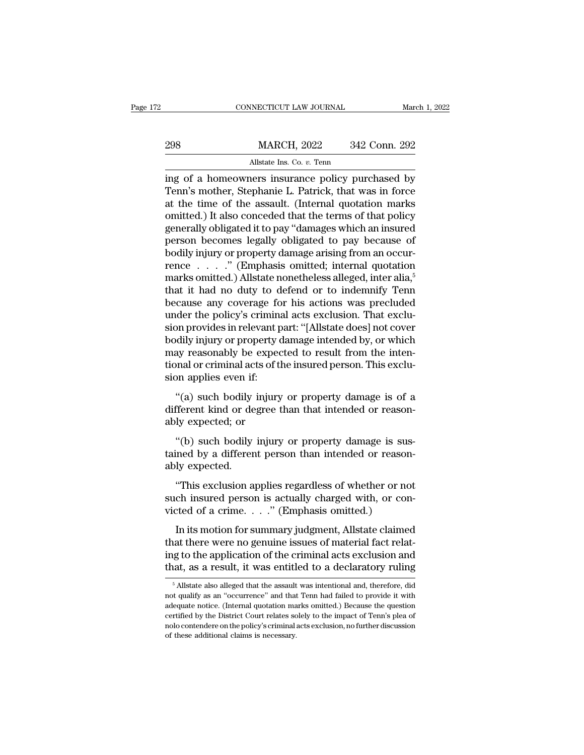|     | CONNECTICUT LAW JOURNAL                                                                                                                                              | March 1, 2022 |
|-----|----------------------------------------------------------------------------------------------------------------------------------------------------------------------|---------------|
| 298 | <b>MARCH, 2022</b>                                                                                                                                                   | 342 Conn. 292 |
|     | Allstate Ins. Co. v. Tenn                                                                                                                                            |               |
|     | ing of a homeowners insurance policy purchased by<br>Tenn's mother, Stephanie L. Patrick, that was in force<br>at the time of the assault (Internal quotation marks) |               |

MARCH, 2022 342 Conn. 292<br>Allstate Ins. Co. v. Tenn<br>ing of a homeowners insurance policy purchased by<br>Tenn's mother, Stephanie L. Patrick, that was in force<br>at the time of the assault. (Internal quotation marks<br>contribed i 298 MARCH, 2022 342 Conn. 292<br>Allstate Ins. Co.  $v$ . Tenn<br>ing of a homeowners insurance policy purchased by<br>Tenn's mother, Stephanie L. Patrick, that was in force<br>at the time of the assault. (Internal quotation marks<br>omit  $\frac{\text{MARCH, 2022}}{\text{Allstate Ins. Co. } v. \text{ Tenn}}$ <br>
ing of a homeowners insurance policy purchased by<br>
Tenn's mother, Stephanie L. Patrick, that was in force<br>
at the time of the assault. (Internal quotation marks<br>
omitted.) It also conce Allstate Ins. Co. *v.* Tenn<br>ing of a homeowners insurance policy purchased by<br>Tenn's mother, Stephanie L. Patrick, that was in force<br>at the time of the assault. (Internal quotation marks<br>omitted.) It also conceded that the All tasks and the set of a homeowners insurance policy purchased by<br>Tenn's mother, Stephanie L. Patrick, that was in force<br>at the time of the assault. (Internal quotation marks<br>omitted.) It also conceded that the terms of ing of a homeowners insurance policy purchased by<br>Tenn's mother, Stephanie L. Patrick, that was in force<br>at the time of the assault. (Internal quotation marks<br>omitted.) It also conceded that the terms of that policy<br>gener Tenn's mother, Stephanie L. Patrick, that was in force<br>at the time of the assault. (Internal quotation marks<br>omitted.) It also conceded that the terms of that policy<br>generally obligated it to pay "damages which an insured at the time of the assault. (Internal quotation marks<br>omitted.) It also conceded that the terms of that policy<br>generally obligated it to pay "damages which an insured<br>person becomes legally obligated to pay because of<br>bodi omitted.) It also conceded that the terms of that policy<br>generally obligated it to pay "damages which an insured<br>person-becomes-legally-obligated to pay because of<br>bodily injury or property damage arising from an occur-<br>r generally obligated it to pay "damages which an insured<br>person-becomes-legally-obligated to pay because of<br>bodily injury or property damage arising from an occur-<br>rence . . . . . " (Emphasis omitted; internal quotation<br>mar person becomes legally obligated to pay because of<br>bodily injury or property damage arising from an occur-<br>rence  $\ldots$ ..." (Emphasis omitted; internal quotation<br>marks omitted.) Allstate nonetheless alleged, inter alia,<sup>5</sup> bodily injury or property damage arising from an occurrence  $\ldots$  ." (Emphasis omitted; internal quotation marks omitted.) Allstate nonetheless alleged, inter alia,<sup>5</sup> that it had no duty to defend or to indemnify Tenn be rence  $\ldots$  ." (Emphasis omitted; internal quotation<br>marks omitted.) Allstate nonetheless alleged, inter alia,<sup>5</sup><br>that it had no duty to defend or to indemnify Tenn<br>because any coverage for his actions was precluded<br>under marks omitted.) Allstate nonetheless alleged, inter alia,<sup>5</sup> that it had no duty to defend or to indemnify Tenn because any coverage for his actions was precluded under the policy's criminal acts exclusion. That exclusion that it had no duty to defend or to indemnify Tenn<br>because any coverage for his actions was precluded<br>under the policy's criminal acts exclusion. That exclu-<br>sion provides in relevant part: "[Allstate does] not cover<br>bodil because any coverage for<br>under the policy's criminal<br>sion provides in relevant p<br>bodily injury or property of<br>may reasonably be expectional or criminal acts of the<br>sion applies even if:<br>"(a) such bodily injury on provides in relevant part: "[Allstate does] not cover<br>
dily injury or property damage intended by, or which<br>
ay reasonably be expected to result from the inten-<br>
and or criminal acts of the insured person. This exclu-<br> bodily injury or property damage intended by, or which<br>hay reasonably be expected to result from the inten-<br>tional or criminal acts of the insured person. This exclu-<br>sion applies even if:<br>"(a) such bodily injury or proper bodily hijdiy of property<br>may reasonably be expectional or criminal acts of the<br>sion applies even if:<br>"(a) such bodily injury<br>different kind or degree t<br>ably expected; or<br>"(b) such bodily injury

)<br>
and or criminal acts of the insured person. This exclu-<br>
on applies even if:<br>
"(a) such bodily injury or property damage is of a<br>
fferent kind or degree than that intended or reason-<br>
"(b) such bodily injury or property sion applies even if:<br>
"(a) such bodily injury or property damage is of a<br>
different kind or degree than that intended or reason-<br>
ably expected; or<br>
"(b) such bodily injury or property damage is sus-<br>
tained by a differen "(a) such bodily<br>different kind or de<br>ably expected; or<br>"(b) such bodily<br>tained by a differer<br>ably expected.<br>"This exclusion a

fferent kind or degree than that intended or reason-<br>ly expected; or<br>"(b) such bodily injury or property damage is sus-<br>ined by a different person than intended or reason-<br>ly expected.<br>"This exclusion applies regardless of

such ideally expected; or<br>
"(b) such bodily injury or property damage is sus-<br>
tained by a different person than intended or reason-<br>
ably expected.<br>
"This exclusion applies regardless of whether or not<br>
such insured perso "(b) such bodily injury or property damage is sus<br>tained by a different person than intended or reasor<br>ably expected.<br>"This exclusion applies regardless of whether or no<br>such insured person is actually charged with, or co Ined by a different person than intended or reason-<br>Iy expected.<br>"This exclusion applies regardless of whether or not<br>ch insured person is actually charged with, or con-<br>ted of a crime. . . . ." (Emphasis omitted.)<br>In its

ably expected.<br>
"This exclusion applies regardless of whether or not<br>
such insured person is actually charged with, or con-<br>
victed of a crime. . . . ." (Emphasis omitted.)<br>
In its motion for summary judgment, Allstate cla "This exclusion applies regardless of whether or not<br>such insured person is actually charged with, or con-<br>victed of a crime. . . . " (Emphasis omitted.)<br>In its motion for summary judgment, Allstate claimed<br>that there wer such insured person is actually charged with, or convicted of a crime. . . ." (Emphasis omitted.)<br>In its motion for summary judgment, Allstate claimed<br>that there were no genuine issues of material fact relat-<br>ing to the a In its motion for summary judgment, Allstate claimed<br>aat there were no genuine issues of material fact relat-<br>ig to the application of the criminal acts exclusion and<br>at, as a result, it was entitled to a declaratory ruli that there were no genuine issues of material fact relating to the application of the criminal acts exclusion and that, as a result, it was entitled to a declaratory ruling  $\frac{5}{10}$  Allstate also alleged that the assaul

ing to the application of the criminal acts exclusion and<br>that, as a result, it was entitled to a declaratory ruling<br><sup>5</sup> Allstate also alleged that the assault was intentional and, therefore, did<br>not qualify as an "occurre That, as a result, it was entitled to a declaratory ruling<br>
<sup>5</sup> Allstate also alleged that the assault was intentional and, therefore, did<br>
not qualify as an "occurrence" and that Tenn had failed to provide it with<br>
adequa Final, as a result, it was efficient to a declaratory rulligery of a state also alleged that the assault was intentional and, therefore, did not qualify as an "occurrence" and that Tenn had failed to provide it with adequ  $\overline{5}$  Allstate also alleged that the assault<br>not qualify as an "occurrence" and that<br>adequate notice. (Internal quotation ma<br>certified by the District Court relates sc<br>nolo contendere on the policy's criminal of<br>these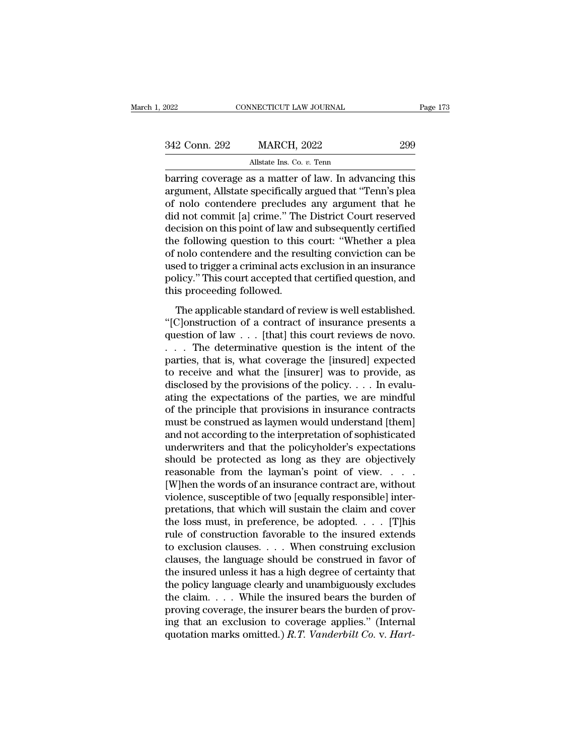| 2022          | CONNECTICUT LAW JOURNAL                               | Page 173 |
|---------------|-------------------------------------------------------|----------|
|               |                                                       |          |
| 342 Conn. 292 | <b>MARCH, 2022</b>                                    | 299      |
|               | Allstate Ins. Co. v. Tenn                             |          |
|               | harring coverage as a matter of law In advancing this |          |

barring coverage as a matter of law. In advancing this<br>arring coverage as a matter of law. In advancing this<br>argument, Allstate specifically argued that "Tenn's plea<br>of nolo contordoro procludes any argument that be 342 Conn. 292 MARCH, 2022 299<br>Allstate Ins. Co. v. Tenn<br>barring coverage as a matter of law. In advancing this<br>argument, Allstate specifically argued that "Tenn's plea<br>of nolo contendere precludes any argument that he<br>did 342 Conn. 292 MARCH, 2022 299<br>Allstate Ins. Co.  $v$ . Tenn<br>barring coverage as a matter of law. In advancing this<br>argument, Allstate specifically argued that "Tenn's plea<br>of nolo contendere precludes any argument that he<br>d 342 Conn. 292 MARCH, 2022 299<br>
Allstate Ins. Co. v. Tenn<br>
barring coverage as a matter of law. In advancing this<br>
argument, Allstate specifically argued that "Tenn's plea<br>
of nolo contendere precludes any argument that he<br> Allstate Ins. Co. *v.* Tenn<br>
barring coverage as a matter of law. In advancing this<br>
argument, Allstate specifically argued that "Tenn's plea<br>
of nolo contendere precludes any argument that he<br>
did not commit [a] crime." T All task in the following coverage as a matter of law. In advancing this argument, All state specifically argued that "Tenn's plea of nolo contendere precludes any argument that he did not commit [a] crime." The District C barring coverage as a matter of law. In advancing this<br>argument, Allstate specifically argued that "Tenn's plea<br>of nolo-contendere precludes any argument that he<br>did not commit [a] crime." The District Court reserved<br>decis argument, Allstate specifically argued that "Tenn's plea<br>of nolo contendere precludes any argument that he<br>did not commit [a] crime." The District Court reserved<br>decision on this point of law and subsequently certified<br>the of nolo contendere precludes any argument that he<br>did not commit [a] crime." The District Court reserved<br>decision on this point of law and subsequently certified<br>the following question to this court: "Whether a plea<br>of nol did not commit [a] crime." The<br>decision on this point of law an<br>the following question to this<br>of nolo contendere and the res<br>used to trigger a criminal acts e<br>policy." This court accepted tha<br>this proceeding followed.<br>The Esson of also point of aw and subsequently cerafied<br>e following question to this court: "Whether a plea<br>nolo contendere and the resulting conviction can be<br>ed to trigger a criminal acts exclusion in an insurance<br>hicy." Thi The distribution of a contract of insurance<br>
and the resulting conviction can be<br>
used to trigger a criminal acts exclusion in an insurance<br>
policy." This court accepted that certified question, and<br>
this proceeding follow

guestion of law . . . . This court accepted that certified question, and<br>this proceeding followed.<br>The applicable standard of review is well established.<br>"[C]onstruction of a contract of insurance presents a<br>question of la figure 3. This court accepted that certified question, and<br>this proceeding followed.<br>The applicable standard of review is well established.<br>"[C]onstruction of a contract of insurance presents a<br>question of law  $\dots$  [that] poney. This court accepted that ecclined question, and<br>this proceeding followed.<br>"[C]onstruction of a contract of insurance presents a<br>question of law  $\dots$  [that] this court reviews de novo.<br> $\dots$  The determinative questio The applicable standard of review is well established.<br>
"[C]onstruction of a contract of insurance presents a<br>
question of law . . . [that] this court reviews de novo.<br>
. . . The determinative question is the intent of th The applicable standard of review is well established.<br>
"[C]onstruction of a contract of insurance presents a<br>
question of law  $\ldots$  [that] this court reviews de novo.<br>  $\ldots$  The determinative question is the intent of th "[C]onstruction of a contract of insurance presents a<br>question of law . . . [that] this court reviews de novo.<br>. . . . The determinative question is the intent of the<br>parties, that is, what coverage the [insured] expected question of law . . . [that] this court reviews de novo.<br>
. . . The determinative question is the intent of the<br>
parties, that is, what coverage the [insured] expected<br>
to receive and what the [insurer] was to provide, as ... The determinative question is the intent of the parties, that is, what coverage the [insured] expected to receive and what the [insurer] was to provide, as disclosed by the provisions of the policy.... In evaluating t parties, that is, what coverage the [insured] expected<br>to receive and what the [insurer] was to provide, as<br>disclosed by the provisions of the policy. . . . In evalu-<br>ating the expectations of the parties, we are mindful<br> to receive and what the [insurer] was to provide, as<br>disclosed by the provisions of the policy. . . . In evalu-<br>ating the expectations of the parties, we are mindful<br>of the principle that provisions in insurance contracts disclosed by the provisions of the policy. . . . In evaluating the expectations of the parties, we are mindful of the principle that provisions in insurance contracts must be construed as laymen would understand [them] an ating the expectations of the parties, we are mindful<br>of the principle that provisions in insurance contracts<br>must be construed as laymen would understand [them]<br>and not according to the interpretation of sophisticated<br>und of the principle that provisions in insurance contracts<br>must be construed as laymen would understand [them]<br>and not according to the interpretation of sophisticated<br>underwriters and that the policyholder's expectations<br>sho must be construed as laymen would understand [them]<br>and not according to the interpretation of sophisticated<br>underwriters and that the policyholder's expectations<br>should be protected as long as they are objectively<br>reasona and not according to the interpretation of sophisticated<br>underwriters and that the policyholder's expectations<br>should be protected as long as they are objectively<br>reasonable from the layman's point of view. . . .<br>[W]hen t underwriters and that the policyholder's expectations<br>should be protected as long as they are objectively<br>reasonable from the layman's point of view. . . . .<br>[W]hen the words of an insurance contract are, without<br>violence should be protected as long as they are objectively<br>reasonable from the layman's point of view. . . . .<br>[W]hen the words of an insurance contract are, without<br>violence, susceptible of two [equally responsible] inter-<br>pret to exclusion clauses. . . . When construing exclusion [W]hen the words of an insurance contract are, without<br>violence, susceptible of two [equally responsible] inter-<br>pretations, that which will sustain the claim and cover<br>the loss must, in preference, be adopted. . . . . [T violence, susceptible of two [equally responsible] inter-<br>pretations, that which will sustain the claim and cover<br>the loss must, in preference, be adopted. . . . [T]his<br>rule of construction favorable to the insured extend pretations, that which will sustain the claim and cover<br>the loss must, in preference, be adopted. . . . [T]his<br>rule of construction favorable to the insured extends<br>to exclusion clauses. . . . When construing exclusion<br>cl the loss must, in preference, be adopted. . . . . [T]his<br>rule of construction favorable to the insured extends<br>to exclusion clauses. . . . When construing exclusion<br>clauses, the language should be construed in favor of<br>th rule of construction favorable to the insured extends<br>to exclusion clauses. . . . When construing exclusion<br>clauses, the language should be construed in favor of<br>the insured unless it has a high degree of certainty that<br>t to exclusion clauses. . . . When construing exclusion clauses, the language should be construed in favor of the insured unless it has a high degree of certainty that the policy language clearly and unambiguously excludes clauses, the language should be construed in favor of<br>the insured unless it has a high degree of certainty that<br>the policy language clearly and unambiguously excludes<br>the claim.... While the insured bears the burden of<br>pr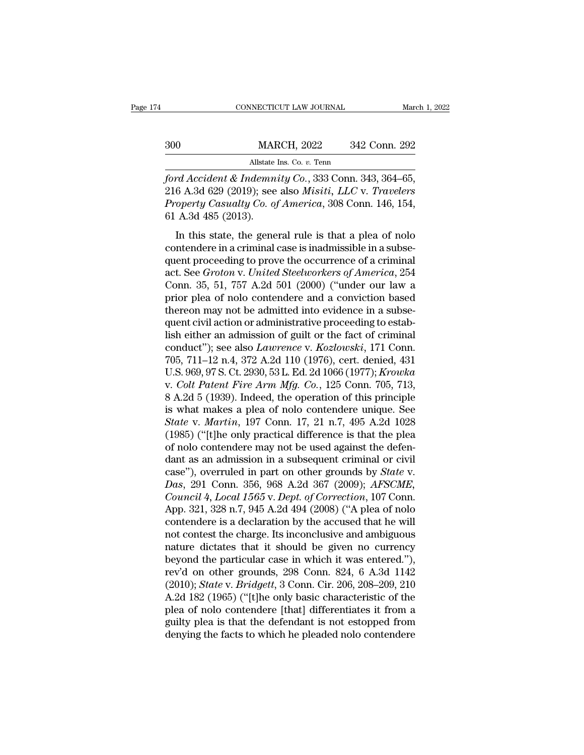|     | CONNECTICUT LAW JOURNAL                              | March 1, 2022 |
|-----|------------------------------------------------------|---------------|
|     |                                                      |               |
| 300 | <b>MARCH, 2022</b>                                   | 342 Conn. 292 |
|     | Allstate Ins. Co. v. Tenn                            |               |
|     | ford Accident & Indemnity Co., 333 Conn. 343, 364–65 |               |

*ford Accident & Indemnity Co.*, 333 Conn. 343, 364–65, 316 A.3d 629 (2019); see also *Misiti*, *LLC* v. *Travelers*<br>*Ford Accident & Indemnity Co.*, 333 Conn. 343, 364–65, 316 A.3d 629 (2019); see also *Misiti*, *LLC* v. 300 MARCH, 2022 342 Conn. 292<br>Allstate Ins. Co. v. Tenn<br>*ford Accident & Indemnity Co.*, 333 Conn. 343, 364–65,<br>216 A.3d 629 (2019); see also *Misiti, LLC* v. *Travelers*<br>*Property Casualty Co. of America*, 308 Conn. 146, *Property Casualty Co., 333 Conn. 292*<br>*Property Casualty Co., 333 Conn. 343, 364–65,*<br>*Property Casualty Co. of America, 308 Conn. 146, 154,*<br>*Property Casualty Co. of America, 308 Conn. 146, 154,*<br>*Property Casualty Co.* MAI<br>
MAI<br>
ford Accident & Indemn<br>
216 A.3d 629 (2019); see<br>
Property Casualty Co. 0<br>
61 A.3d 485 (2013).<br>
In this state, the gene All and Accident & Indemnity Co., 333 Conn. 343, 364–65,<br>
6 A.3d 629 (2019); see also *Misiti*, *LLC* v. *Travelers*<br>
operty Casualty Co. of America, 308 Conn. 146, 154,<br>
A.3d 485 (2013).<br>
In this state, the general rule ford Accident & Indemnity Co., 333 Conn. 343, 364–65,<br>216 A.3d 629 (2019); see also *Misiti, LLC* v. *Travelers*<br>*Property Casualty Co. of America*, 308 Conn. 146, 154,<br>61 A.3d 485 (2013).<br>In this state, the general rule

216 A.3d 629 (2019); see also *Misiti, LLC v. Travelers*<br>*Property Casualty Co. of America*, 308 Conn. 146, 154, 61 A.3d 485 (2013).<br>In this state, the general rule is that a plea of nolo contendere in a criminal case is and the *Groton*, see also *linearie*, and *v*. *I Tracteris*<br>*Property Casualty Co. of America*, 308 Conn. 146, 154,<br>61 A.3d 485 (2013).<br>In this state, the general rule is that a plea of nolo<br>contendere in a criminal ca Controlled and the set of the set of the set of the set of the set of the set of the set of the set of the set of the set of the set of the set of the set of the set of the set of the set of the set of the set of the set In this state, the general rule is that a plea of nolo contendere in a criminal case is inadmissible in a subsequent proceeding to prove the occurrence of a criminal act. See *Groton v. United Steelworkers of America*, 25 In this state, the general rule is that a plea of nolo contendere in a criminal case is inadmissible in a subsequent proceeding to prove the occurrence of a criminal act. See *Groton v. United Steelworkers of America*, 254 contendere in a criminal case is inadmissible in a subsequent proceeding to prove the occurrence of a criminal act. See *Groton v. United Steelworkers of America*, 254 Conn. 35, 51, 757 A.2d 501 (2000) ("under our law a p quent proceeding to prove the occurrence of a criminal<br>act. See *Groton* v. *United Steelworkers of America*, 254<br>Conn. 35, 51, 757 A.2d 501 (2000) ("under our law a<br>prior plea of nolo contendere and a conviction based<br>th act. See *Groton* v. *United Steelworkers of America*, 254<br>Conn. 35, 51, 757 A.2d 501 (2000) ("under our law a<br>prior plea of nolo contendere and a conviction based<br>thereon may not be admitted into evidence in a subse-<br>quen Conn. 35, 51, 757 A.2d 501 (2000) ("under our law a<br>prior plea of nolo contendere and a conviction based<br>thereon may not be admitted into evidence in a subse-<br>quent civil action or administrative proceeding to estab-<br>lish prior plea of nolo contendere and a conviction based<br>thereon may not be admitted into evidence in a subse-<br>quent civil action or administrative proceeding to estab-<br>lish either an admission of guilt or the fact of criminal thereon may not be admitted into evidence in a subsequent civil action or administrative proceeding to establish either an admission of guilt or the fact of criminal conduct"); see also *Lawrence* v. *Kozlowski*, 171 Conn. quent civil action or administrative proceeding to establish either an admission of guilt or the fact of criminal<br>conduct"); see also *Lawrence* v. *Kozlowski*, 171 Conn.<br>705, 711–12 n.4, 372 A.2d 110 (1976), cert. denied, lish either an admission of guilt or the fact of criminal<br>conduct"); see also *Lawrence* v. *Kozlowski*, 171 Conn.<br>705, 711–12 n.4, 372 A.2d 110 (1976), cert. denied, 431<br>U.S. 969, 97 S. Ct. 2930, 53 L. Ed. 2d 1066 (1977) *Conduct"*); see also *Lawrence v. Kozlowski*, 171 Conn.<br>
705, 711–12 n.4, 372 A.2d 110 (1976), cert. denied, 431<br>
U.S. 969, 97 S. Ct. 2930, 53 L. Ed. 2d 1066 (1977); *Krowka*<br> *v. Colt Patent Fire Arm Mfg. Co.*, 125 Conn. 705, 711–12 n.4, 372 A.2d 110 (1976), cert. denied, 431<br>U.S. 969, 97 S. Ct. 2930, 53 L. Ed. 2d 1066 (1977); Krowka<br>v. Colt Patent Fire Arm Mfg. Co., 125 Conn. 705, 713,<br>8 A.2d 5 (1939). Indeed, the operation of this princ U.S. 969, 97 S. Ct. 2930, 53 L. Ed. 2d 1066 (1977); Krowka<br>v. Colt Patent Fire Arm Mfg. Co., 125 Conn. 705, 713,<br>8 A.2d 5 (1939). Indeed, the operation of this principle<br>is what makes a plea of nolo contendere unique. See v. *Colt Patent Fire Arm Mfg. Co.*, 125 Conn. 705, 713, 8 A.2d 5 (1939). Indeed, the operation of this principle is what makes a plea of nolo contendere unique. See *State* v. *Martin*, 197 Conn. 17, 21 n.7, 495 A.2d 1028 8 A.2d 5 (1939). Indeed, the operation of this principle<br>is what makes a plea of nolo contendere unique. See<br>*State* v. *Martin*, 197 Conn. 17, 21 n.7, 495 A.2d 1028<br>(1985) ("[t]he only practical difference is that the ple is what makes a plea of nolo contendere unique. See<br> *State* v. *Martin*, 197 Conn. 17, 21 n.7, 495 A.2d 1028<br>
(1985) ("[t]he only practical difference is that the plea<br>
of nolo contendere may not be used against the defen *Council 4, Local 1565* v. *Dept. of Council 2008*<br> *Council 1985* ("[t]he only practical difference is that the plea<br>
of nolo contendere may not be used against the defen-<br>
dant as an admission in a subsequent criminal or (1985) ("[t]he only practical difference is that the plea<br>of nolo contendere may not be used against the defen-<br>dant as an admission in a subsequent criminal or civil<br>case"), overruled in part on other grounds by *State* of nolo contendere may not be used against the defendant as an admission in a subsequent criminal or civil<br>case"), overruled in part on other grounds by *State v.*<br>Das, 291 Conn. 356, 968 A.2d 367 (2009); *AFSCME*,<br>*Counci* dant as an admission in a subsequent criminal or civil<br>case"), overruled in part on other grounds by *State* v.<br>*Das*, 291 Conn. 356, 968 A.2d 367 (2009); *AFSCME*,<br>*Council 4, Local 1565* v. *Dept. of Correction*, 107 Con case"), overruled in part on other grounds by *State v.*<br> *Das*, 291 Conn. 356, 968 A.2d 367 (2009); *AFSCME*,<br> *Council 4, Local 1565 v. Dept. of Correction*, 107 Conn.<br>
App. 321, 328 n.7, 945 A.2d 494 (2008) ("A plea of Das, 291 Conn. 356, 968 A.2d 367 (2009); *AFSCME*, *Council* 4, *Local 1565* v. *Dept. of Correction*, 107 Conn. App. 321, 328 n.7, 945 A.2d 494 (2008) ("A plea of nolo contendere is a declaration by the accused that he w Council 4, Local 1565 v. Dept. of Correction, 107 Conn.<br>App. 321, 328 n.7, 945 A.2d 494 (2008) ("A plea of nolo<br>contendere is a declaration by the accused that he will<br>not contest the charge. Its inconclusive and ambiguou App. 321, 328 n.7, 945 A.2d 494 (2008) ("A plea of nolo<br>contendere is a declaration by the accused that he will<br>not contest the charge. Its inconclusive and ambiguous<br>nature dictates that it should be given no currency<br>bey contendere is a declaration by the accused that he will<br>not contest the charge. Its inconclusive and ambiguous<br>nature dictates that it should be given no currency<br>beyond the particular case in which it was entered."),<br>rev' not contest the charge. Its inconclusive and ambiguous<br>nature dictates that it should be given no currency<br>beyond the particular case in which it was entered."),<br>rev'd on other grounds, 298 Conn. 824, 6 A.3d 1142<br>(2010); nature dictates that it should be given no currency<br>beyond the particular case in which it was entered."),<br>rev'd on other grounds, 298 Conn. 824, 6 A.3d 1142<br>(2010); *State* v. *Bridgett*, 3 Conn. Cir. 206, 208–209, 210<br>A. beyond the particular case in which it was entered."),<br>rev'd on other grounds, 298 Conn. 824, 6 A.3d 1142<br>(2010); *State* v. *Bridgett*, 3 Conn. Cir. 206, 208–209, 210<br>A.2d 182 (1965) ("[t]he only basic characteristic of t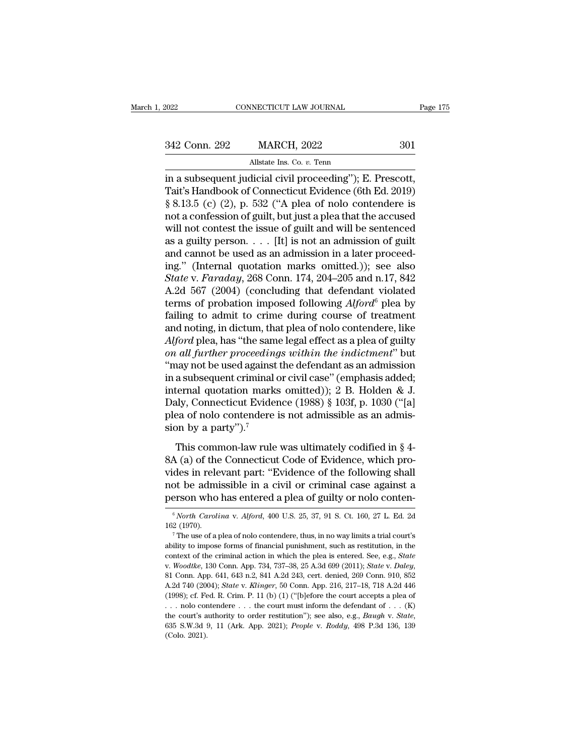NECTICUT LAW JOURNAL<br>MARCH, 2022<br>Allstate Ins. Co. *v.* Tenn<br>dicial civil proceeding")<sup>,</sup> E Fage<br>
1922 Conn. 292 MARCH, 2022 301<br>
1934 Conn. 292 MARCH, 2022 301<br>
1936 Allstate Ins. Co. v. Tenn<br>
1936 S. 13 5 (c) (2) n 532 ("A plan of polar contendoral is 342 Conn. 292 MARCH, 2022 301<br>Allstate Ins. Co. v. Tenn<br>in a subsequent judicial civil proceeding"); E. Prescott,<br>Tait's Handbook of Connecticut Evidence (6th Ed. 2019)<br>§ 8.13.5 (c) (2), p. 532 ("A plea of nolo contendere 342 Conn. 292 MARCH, 2022 301<br>Allstate Ins. Co. v. Tenn<br>in a subsequent judicial civil proceeding"); E. Prescott,<br>Tait's Handbook of Connecticut Evidence (6th Ed. 2019)<br>§ 8.13.5 (c) (2), p. 532 ("A plea of nolo contendere 342 Conn. 292 MARCH, 2022 301<br>
Allstate Ins. Co. v. Tenn<br>
in a subsequent judicial civil proceeding"); E. Prescott,<br>
Tait's Handbook of Connecticut Evidence (6th Ed. 2019)<br>
§ 8.13.5 (c) (2), p. 532 ("A plea of nolo conten Allstate Ins. Co. *v.* Tenn<br>in a subsequent judicial civil proceeding"); E. Prescott,<br>Tait's Handbook of Connecticut Evidence (6th Ed. 2019)<br>§ 8.13.5 (c) (2), p. 532 ("A plea of nolo contendere is<br>not a confession of guil Alistate ins. Co. v. Tenn<br>in a subsequent judicial civil proceeding"); E. Prescott,<br>Tait's Handbook of Connecticut Evidence (6th Ed. 2019)<br>§ 8.13.5 (c) (2), p. 532 ("A plea of nolo contendere is<br>not a confession of guilt, in a subsequent judicial civil proceeding"); E. Prescott,<br>Tait's Handbook of Connecticut Evidence (6th Ed. 2019)<br>§ 8.13.5 (c) (2), p. 532 ("A plea of nolo contendere is<br>not a confession of guilt, but just a plea that the Tait's Handbook of Connecticut Evidence (6th Ed. 2019)<br>
§ 8.13.5 (c) (2), p. 532 ("A plea of nolo contendere is<br>
not a confession of guilt, but just a plea that the accused<br>
will not contest the issue of guilt and will be § 8.13.5 (c) (2), p. 532 ("A plea of nolo contendere is<br>not a confession of guilt, but just a plea that the accused<br>will not contest the issue of guilt and will be sentenced<br>as a guilty person. . . . [It] is not an admissi not a confession of guilt, but just a plea that the accused<br>will not contest the issue of guilt and will be sentenced<br>as a guilty person. . . . [It] is not an admission of guilt<br>and cannot be used as an admission in a lat will not contest the issue of guilt and will be sentenced<br>as a guilty person. . . . [It] is not an admission of guilt<br>and cannot be used as an admission in a later proceed-<br>ing." (Internal quotation marks omitted.)); see as a guilty person. . . . [It] is not an admission of guilt<br>and cannot be used as an admission in a later proceed-<br>ing." (Internal quotation marks omitted.)); see also<br>*State* v. *Faraday*, 268 Conn. 174, 204–205 and n.17 and cannot be used as an admission in a later proceed-<br>ing." (Internal quotation marks omitted.)); see also<br>*State v. Faraday*, 268 Conn. 174, 204–205 and n.17, 842<br>A.2d 567 (2004) (concluding that defendant violated<br>term ing." (Internal quotation marks omitted.)); see also<br>*State* v. *Faraday*, 268 Conn. 174, 204–205 and n.17, 842<br>A.2d 567 (2004) (concluding that defendant violated<br>terms of probation imposed following *Alford*<sup>6</sup> plea by<br>f *State* v. *Faraday*, 268 Conn. 174, 204–205 and n.17, 842<br>A.2d 567 (2004) (concluding that defendant violated<br>terms of probation imposed following *Alford*<sup>6</sup> plea by<br>failing to admit to crime during course of treatment<br>a A.2d 567 (2004) (concluding that defendant violated<br>terms of probation imposed following  $Alford^6$  plea by<br>failing to admit to crime during course of treatment<br>and noting, in dictum, that plea of nolo contendere, like<br> $Alford$  p terms of probation imposed following  $Alford^6$  plea by<br>failing to admit to crime during course of treatment<br>and noting, in dictum, that plea of nolo contendere, like<br> $Alford$  plea, has "the same legal effect as a plea of guilty<br> failing to admit to crime during course of treatment<br>and noting, in dictum, that plea of nolo contendere, like<br>Alford plea, has "the same legal effect as a plea of guilty<br>on all further proceedings within the indictment" b and noting, in dictum, that plea of nolo contendere, like *Alford* plea, has "the same legal effect as a plea of guilty *on all further proceedings within the indictment*" but "may not be used against the defendant as an a Alford plea, has "the same legal effect as a plea of guilty<br>on all further proceedings within the indictment" but<br>"may not be used against the defendant as an admission<br>in a subsequent criminal or civil case" (emphasis ad on all further proceeding<br>"may not be used against<br>in a subsequent criminal<br>internal quotation mark:<br>Daly, Connecticut Evider<br>plea of nolo contendere<br>sion by a party").<sup>7</sup><br>This common-law rule as subsequent criminal or civil case" (emphasis added;<br>a subsequent criminal or civil case" (emphasis added;<br>ternal quotation marks omitted)); 2 B. Holden & J.<br>aly, Connecticut Evidence (1988) § 103f, p. 1030 ("[a]<br>ea of masassequent emining of erviredse (emphasis added,<br>internal quotation marks omitted)); 2 B. Holden & J.<br>Daly, Connecticut Evidence (1988) § 103f, p. 1030 ("[a]<br>plea of nolo contendere is not admissible as an admis-<br>sion b

Daly, Connecticut Evidence (1988) § 103f, p. 1030 ("[a]<br>plea of nolo contendere is not admissible as an admis-<br>sion by a party").<sup>7</sup><br>This common-law rule was ultimately codified in § 4-<br>8A (a) of the Connecticut Code of E plea of nolo contendere is not admissible as an admission by a party").<sup>7</sup><br>This common-law rule was ultimately codified in § 4-<br>8A (a) of the Connecticut Code of Evidence, which pro-<br>vides in relevant part: "Evidence of t sion by a party").<sup>7</sup><br>This common-law rule was ultimately codified in § 4-<br>8A (a) of the Connecticut Code of Evidence, which pro-<br>vides in relevant part: "Evidence of the following shall<br>not be admissible in a civil or cr 8A (a) of the Connecticut Code of Evidence, which provides in relevant part: "Evidence of the following shall not be admissible in a civil or criminal case against a person who has entered a plea of guilty or nolo contensi vides in relevant part: "Evidence of the following shall<br>not be admissible in a civil or criminal case against a<br>person who has entered a plea of guilty or nolo conten-<br> $\frac{6 \text{ North } Carolina \text{ v. } Alford, 400 \text{ U.S. } 25, 37, 91 \text{ S. Ct. }$ 

**person who has entered a plea of guilty or nolo conten-**<br><sup>6</sup> North Carolina v. Alford, 400 U.S. 25, 37, 91 S. Ct. 160, 27 L. Ed. 2d<br>162 (1970).<br><sup>7</sup> The use of a plea of nolo contendere, thus, in no way limits a trial cou **PERIOD WHO Has entered a prea Of guinty Of HOIO CORTERNATION**<br>
<sup>6</sup> North Carolina v. Alford, 400 U.S. 25, 37, 91 S. Ct. 160, 27 L. Ed. 2d<br>
<sup>6</sup> North Carolina v. Alford, 400 U.S. 25, 37, 91 S. Ct. 160, 27 L. Ed. 2d<br>
<sup>7</sup> T <sup>2</sup> The use of a plea of nolo contendere, thus, in no way limits a trial court's<br>
<sup>2</sup> The use of a plea of financial punishment, such as restitution, in the<br>
context of the criminal action in which the plea is entered. See ability to impose forms of financial punishment, such as restitution, in the context of the criminal action in which the plea is entered. See, e.g., *State* v. *Woodtke*, 130 Conn. App. 734, 737–38, 25 A.3d 699 (2011); *S* context of the criminal action in which the plea is entered. See, e.g., *State* v. *Woodtke*, 130 Conn. App. 734, 737–38, 25 A.3d 699 (2011); *State* v. *Daley*, 81 Conn. App. 641, 643 n.2, 841 A.2d 243, cert. denied, 269 v. *Woodtke*, 130 Conn. App. 734, 737–38, 25 A.3d 699 (2011); *State* v. *Daley*, 81 Conn. App. 641, 643 n.2, 841 A.2d 243, cert. denied, 269 Conn. 910, 852 A.2d 740 (2004); *State* v. *Klinger*, 50 Conn. App. 216, 217–18, A.2d 740 (2004); State v. Klinger, 50 Conn. App. 216, 217–18, 718 A.2d 446 (1998); cf. Fed. R. Crim. P. 11 (b) (1) ("[b]efore the court accepts a plea of ... nolo contendere ... the court must inform the defendant of ...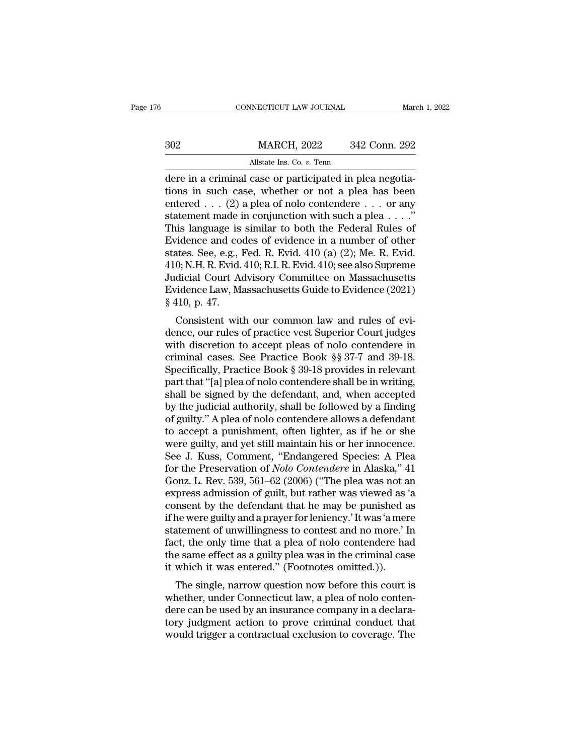|     | CONNECTICUT LAW JOURNAL                                  |               | March 1, 2022 |
|-----|----------------------------------------------------------|---------------|---------------|
|     |                                                          |               |               |
| 302 | <b>MARCH, 2022</b>                                       | 342 Conn. 292 |               |
|     | Allstate Ins. Co. v. Tenn                                |               |               |
|     | dere in a criminal case or narticinated in nlea negotia- |               |               |

CONNECTICUT LAW JOURNAL<br>
Mar<br>
2022 342 Conn. 292<br>
Allstate Ins. Co. v. Tenn<br>
2022 dere in a criminal case or participated in plea negotia-<br>
2010 tions in such case, whether or not a plea has been<br>
captared (2) a plea of po MARCH, 2022 342 Conn. 292<br>Allstate Ins. Co. v. Tenn<br>dere in a criminal case or participated in plea negotia-<br>tions in such case, whether or not a plea has been<br>entered . . . (2) a plea of nolo contendere . . . or any<br>state MARCH, 2022 342 Conn. 292<br>
Allstate Ins. Co. v. Tenn<br>
dere in a criminal case or participated in plea negotia-<br>
tions in such case, whether or not a plea has been<br>
entered . . . (2) a plea of nolo contendere . . . or any<br>  $\begin{array}{ll}\n & \text{MARCH, 2022} & \text{342 Conn. 292} \\
 \hline\n & \text{Allstate Ins. Co. } v. \text{ Tenn} \\
 \hline\n \text{dere in a criminal case or participated in plea negotia-} \\
 \text{tions in such case, whether or not a plea has been entered . . . (2) a plea of nolo contendere . . . or any statement made in conjunction with such a plea . . . ."\n\text{This language is similar to both the Federal Rules of\nFvidence and codes of evidence in a number of other\n}\n$ Allstate Ins. Co. v. Tenn<br>
dere in a criminal case or participated in plea negotia-<br>
tions in such case, whether or not a plea has been<br>
entered . . . (2) a plea of nolo contendere . . . or any<br>
statement made in conjunct All and content in a criminal case or participated in plea negotiations in such case, whether or not a plea has been<br>entered . . . (2) a plea of nolo contendere . . . or any<br>statement made in conjunction with such a plea dere in a criminal case or participated in plea negotiations in such case, whether or not a plea has been entered . . . (2) a plea of nolo contendere . . . or any statement made in conjunction with such a plea . . . ."<br>Th tions in such case, whether or not a plea has been<br>entered . . . (2) a plea of nolo contendere . . . or any<br>statement made in conjunction with such a plea . . . ."<br>This language is similar to both the Federal Rules of<br>Evi entered . . . (2) a plea of nolo contendere . . . or any<br>statement made in conjunction with such a plea . . . ."<br>This language is similar to both the Federal Rules of<br>Evidence and codes of evidence in a number of other<br>st statement made in conjunction with such a plea . . . ."<br>This language is similar to both the Federal Rules of<br>Evidence and codes of evidence in a number of other<br>states. See, e.g., Fed. R. Evid. 410 (a) (2); Me. R. Evid.<br>4 This language is<br>Evidence and co<br>states. See, e.g., 1<br>410; N.H. R. Evid.<br>Judicial Court Ae<br>Evidence Law, M:<br>§ 410, p. 47.<br>Consistent wit Fraence and codes of evidence in a number of other<br>ates. See, e.g., Fed. R. Evid. 410 (a) (2); Me. R. Evid.<br>0; N.H. R. Evid. 410; R.I. R. Evid. 410; see also Supreme<br>dicial Court Advisory Committee on Massachusetts<br>ridence states, see, e.g., red. R. Evid. 410 (a) (2), Me. R. Evid.<br>410; N.H. R. Evid. 410; R.I. R. Evid. 410; see also Supreme<br>Judicial Court Advisory Committee on Massachusetts<br>Evidence Law, Massachusetts Guide to Evidence (2021

410, N.H. R. EVII. 410, R.H. R. EVII. 410, see also supreme<br>Judicial Court Advisory Committee on Massachusetts<br>Evidence Law, Massachusetts Guide to Evidence (2021)<br> $\$ 10, p. 47.<br>Consistent with our common law and rules of Sudicial Court Advisory Committee on Massachusetts<br>Evidence Law, Massachusetts Guide to Evidence (2021)<br>§ 410, p. 47.<br>Consistent with our common law and rules of evi-<br>dence, our rules of practice vest Superior Court judges Evidence Law, massachusetts Guide to Evidence (2021)<br>
§ 410, p. 47.<br>
Consistent with our common law and rules of evidence, our rules of practice vest Superior Court judges<br>
with discretion to accept pleas of nolo contende g 410, p. 41.<br>
Consistent with our common law and rules of evi-<br>
dence, our rules of practice vest Superior Court judges<br>
with discretion to accept pleas of nolo contendere in<br>
criminal cases. See Practice Book § 37-7 and Consistent with our common law and rules of evi-<br>dence, our rules of practice vest Superior Court judges<br>with discretion to accept pleas of nolo contendere in<br>criminal cases. See Practice Book § 37-7 and 39-18.<br>Specificall dence, our rules of practice vest Superior Court judges<br>with discretion to accept pleas of nolo contendere in<br>criminal cases. See Practice Book §§37-7 and 39-18.<br>Specifically, Practice Book § 39-18 provides in relevant<br>par with discretion to accept pleas of nolo contendere in<br>criminal cases. See Practice Book §§§37-7 and 39-18.<br>Specifically, Practice Book § 39-18 provides in relevant<br>part that "[a] plea of nolo contendere shall be in writing criminal cases. See Practice Book §§ 37-7 and 39-18.<br>Specifically, Practice Book § 39-18 provides in relevant<br>part that "[a] plea of nolo contendere shall be in writing,<br>shall be signed by the defendant, and, when accepted Specifically, Practice Book § 39-18 provides in relevant<br>part that "[a] plea of nolo contendere shall be in writing,<br>shall be signed by the defendant, and, when accepted<br>by the judicial authority, shall be followed by a fi part that "[a] plea of nolo contendere shall be in writing,<br>shall be signed by the defendant, and, when accepted<br>by the judicial authority, shall be followed by a finding<br>of guilty." A plea of nolo contendere allows a defe shall be signed by the defendant, and, when accepted<br>by the judicial authority, shall be followed by a finding<br>of guilty." A plea of nolo contendere allows a defendant<br>to accept a punishment, often lighter, as if he or she by the judicial authority, shall be followed by a finding<br>of guilty." A plea of nolo contendere allows a defendant<br>to accept a punishment, often lighter, as if he or she<br>were guilty, and yet still maintain his or her innoc of guilty." A plea of nolo contendere allows a defendant<br>to accept a punishment, often lighter, as if he or she<br>were guilty, and yet still maintain his or her innocence.<br>See J. Kuss, Comment, "Endangered Species: A Plea<br>fo to accept a punishment, often lighter, as if he or she<br>were guilty, and yet still maintain his or her innocence.<br>See J. Kuss, Comment, "Endangered Species: A Plea<br>for the Preservation of *Nolo Contendere* in Alaska," 41<br>Go were guilty, and yet still maintain his or her innocence.<br>See J. Kuss, Comment, "Endangered Species: A Plea<br>for the Preservation of *Nolo Contendere* in Alaska," 41<br>Gonz. L. Rev. 539, 561–62 (2006) ("The plea was not an<br>ex See J. Kuss, Comment, "Endangered Species: A Plea<br>for the Preservation of *Nolo Contendere* in Alaska," 41<br>Gonz. L. Rev. 539, 561–62 (2006) ("The plea was not an<br>express admission of guilt, but rather was viewed as 'a<br>cons for the Preservation of *Nolo Contendere* in Alaska," 41<br>Gonz. L. Rev. 539, 561–62 (2006) ("The plea was not an<br>express admission of guilt, but rather was viewed as 'a<br>consent by the defendant that he may be punished as<br>if Gonz. L. Rev. 539, 561–62 (2006) ("The plea was not an express admission of guilt, but rather was viewed as 'a consent by the defendant that he may be punished as if he were guilty and a prayer for leniency.' It was 'a mer express admission of guilt, but rather was viewed as '<br>consent by the defendant that he may be punished a<br>if he were guilty and a prayer for leniency.' It was 'a mer<br>statement of unwillingness to contest and no more.' I<br>fa The single is a proportional matrix in the single of the single as<br>the were guilty and a prayer for leniency.' It was 'a mere<br>atement of unwillingness to contest and no more.' In<br>ct, the only time that a plea of nolo conte If he were guiny and a prayer for femency. It was a mere<br>statement of unwillingness to contest and no more.' In<br>fact, the only time that a plea of nolo contendere had<br>the same effect as a guilty plea was in the criminal ca

statement of unwinnighess to contest and no more. In<br>fact, the only time that a plea of nolo contendere had<br>the same effect as a guilty plea was in the criminal case<br>it which it was entered." (Footnotes omitted.)).<br>The sin ract, the only thre that a plea of noto contendere had<br>the same effect as a guilty plea was in the criminal case<br>it which it was entered." (Footnotes omitted.)).<br>The single, narrow question now before this court is<br>whether the same effect as a guity piea was in the criminal case<br>it which it was entered." (Footnotes omitted.)).<br>The single, narrow question now before this court is<br>whether, under Connecticut law, a plea of nolo conten-<br>dere can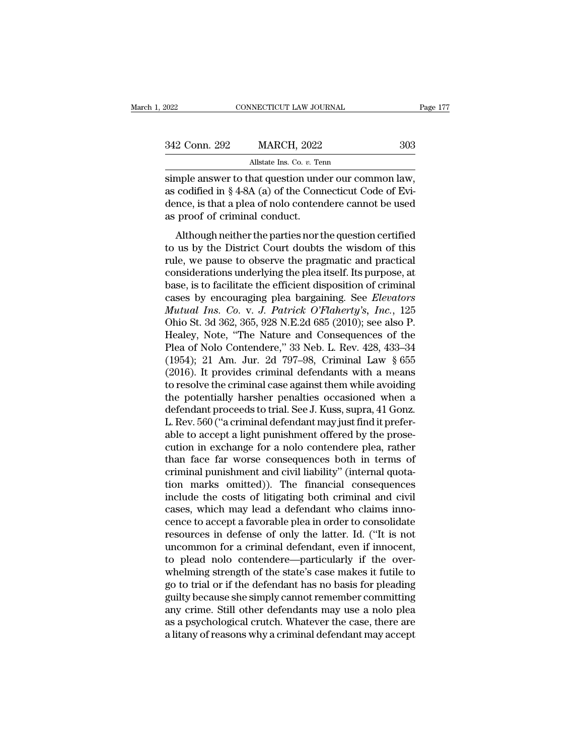| 2022          | CONNECTICUT LAW JOURNAL                                                                                                                                                        | Page 177 |
|---------------|--------------------------------------------------------------------------------------------------------------------------------------------------------------------------------|----------|
| 342 Conn. 292 | <b>MARCH, 2022</b>                                                                                                                                                             | 303      |
|               | Allstate Ins. Co. v. Tenn                                                                                                                                                      |          |
|               | simple answer to that question under our common law,<br>as codified in $\S 4-8A$ (a) of the Connecticut Code of Evi-<br>dongo is that a plan of nolo contandore cannot be used |          |

342 Conn. 292 MARCH, 2022 303<br>Allstate Ins. Co. v. Tenn<br>simple answer to that question under our common law,<br>as codified in § 4-8A (a) of the Connecticut Code of Evi-<br>dence, is that a plea of nolo contendere cannot be used 342 Conn. 292 MARCH, 2022 303<br>Allstate Ins. Co. v. Tenn<br>simple answer to that question under our common law,<br>as codified in § 4-8A (a) of the Connecticut Code of Evi-<br>dence, is that a plea of nolo contendere cannot be used 342 Conn. 292 MARCH, 2022<br>Allstate Ins. Co. v. Terminal conducts of the Connection and as codified in § 4-8A (a) of the Connection dence, is that a plea of nolo content as proof of criminal conduct.<br>Although neither the pa All and the parties nor the parties nor the parties nor the parties of the parties nor the question certified<br>proof of criminal conduct.<br>Although neither the parties nor the question certified<br>us by the District Court dou simple answer to that question under our common law,<br>as codified in  $\S 4-8A$  (a) of the Connecticut Code of Evi-<br>dence, is that a plea of nolo contendere cannot be used<br>as proof of criminal conduct.<br>Although neither the p

simple disort is and question direct of contributions,<br>as codified in § 4-8A (a) of the Connecticut Code of Evi-<br>dence, is that a plea of nolo contendere cannot be used<br>as proof of criminal conduct.<br>Although neither the pa dence, is that a plea of nolo contendere cannot be used<br>as proof of criminal conduct.<br>Although neither the parties nor the question certified<br>to us by the District Court doubts the wisdom of this<br>rule, we pause to observe as proof of criminal conduct.<br>
Although neither the parties nor the question certified<br>
to us by the District Court doubts the wisdom of this<br>
rule, we pause to observe the pragmatic and practical<br>
considerations underlyi Although neither the parties nor the question certified<br>to us by the District Court doubts the wisdom of this<br>rule, we pause to observe the pragmatic and practical<br>considerations underlying the plea itself. Its purpose, at Although neither the parties nor the question certified<br>to us by the District Court doubts the wisdom of this<br>rule, we pause to observe the pragmatic and practical<br>considerations underlying the plea itself. Its purpose, at to us by the District Court doubts the wisdom of this<br>rule, we pause to observe the pragmatic and practical<br>considerations underlying the plea itself. Its purpose, at<br>base, is to facilitate the efficient disposition of cri rule, we pause to observe the pragmatic and practical<br>considerations underlying the plea itself. Its purpose, at<br>base, is to facilitate the efficient disposition of criminal<br>cases by encouraging plea bargaining. See *Eleva* considerations underlying the plea itself. Its purpose, at<br>base, is to facilitate the efficient disposition of criminal<br>cases by encouraging plea bargaining. See *Elevators*<br>*Mutual Ins. Co. v. J. Patrick O'Flaherty's, Inc* base, is to facilitate the efficient disposition of criminal<br>cases by encouraging plea bargaining. See *Elevators*<br>*Mutual Ins. Co. v. J. Patrick O'Flaherty's, Inc.*, 125<br>Ohio St. 3d 362, 365, 928 N.E.2d 685 (2010); see al cases by encouraging plea bargaining. See *Elevators*<br> *Mutual Ins. Co. v. J. Patrick O'Flaherty's, Inc.*, 125<br>
Ohio St. 3d 362, 365, 928 N.E.2d 685 (2010); see also P.<br>
Healey, Note, "The Nature and Consequences of the<br>
P Mutual Ins. Co. v. J. Patrick O'Flaherty's, Inc., 125<br>Ohio St. 3d 362, 365, 928 N.E.2d 685 (2010); see also P.<br>Healey, Note, "The Nature and Consequences of the<br>Plea of Nolo Contendere," 33 Neb. L. Rev. 428, 433–34<br>(1954) Ohio St. 3d 362, 365, 928 N.E.2d 685 (2010); see also P.<br>Healey, Note, "The Nature and Consequences of the<br>Plea of Nolo Contendere," 33 Neb. L. Rev. 428, 433–34<br>(1954); 21 Am. Jur. 2d 797–98, Criminal Law § 655<br>(2016). It Healey, Note, "The Nature and Consequences of the<br>Plea of Nolo Contendere," 33 Neb. L. Rev. 428, 433–34<br>(1954); 21 Am. Jur. 2d 797–98, Criminal Law § 655<br>(2016). It provides criminal defendants with a means<br>to resolve the Plea of Nolo Contendere," 33 Neb. L. Rev. 428, 433–34<br>(1954); 21 Am. Jur. 2d 797–98, Criminal Law § 655<br>(2016). It provides criminal defendants with a means<br>to resolve the criminal case against them while avoiding<br>the pote (1954); 21 Am. Jur. 2d 797–98, Criminal Law § 655<br>(2016). It provides criminal defendants with a means<br>to resolve the criminal case against them while avoiding<br>the potentially harsher penalties occasioned when a<br>defendant (2016). It provides criminal defendants with a means<br>to resolve the criminal case against them while avoiding<br>the potentially harsher penalties occasioned when a<br>defendant proceeds to trial. See J. Kuss, supra, 41 Gonz.<br>L. to resolve the criminal case against them while avoiding<br>the potentially harsher penalties occasioned when a<br>defendant proceeds to trial. See J. Kuss, supra, 41 Gonz.<br>L. Rev. 560 ("a criminal defendant may just find it pre the potentially harsher penalties occasioned when a<br>defendant proceeds to trial. See J. Kuss, supra, 41 Gonz.<br>L. Rev. 560 ("a criminal defendant may just find it prefer-<br>able to accept a light punishment offered by the pro defendant proceeds to trial. See J. Kuss, supra, 41 Gonz.<br>L. Rev. 560 ("a criminal defendant may just find it prefer-<br>able to accept a light punishment offered by the prose-<br>cution in exchange for a nolo contendere plea, r L. Rev. 560 ("a criminal defendant may just find it preferable to accept a light punishment offered by the prosecution in exchange for a nolo contendere plea, rather than face far worse consequences both in terms of crimin able to accept a light punishment offered by the prose-<br>cution in exchange for a nolo contendere plea, rather<br>than face far worse consequences both in terms of<br>criminal punishment and civil liability" (internal quota-<br>tion cution in exchange for a nolo contendere plea, rather<br>than face far worse consequences both in terms of<br>criminal punishment and civil liability" (internal quota-<br>tion marks omitted)). The financial consequences<br>include the than face far worse consequences both in terms of<br>criminal punishment and civil liability" (internal quota-<br>tion marks omitted)). The financial consequences<br>include the costs of litigating both criminal and civil<br>cases, wh criminal punishment and civil liability" (internal quotation marks omitted)). The financial consequences<br>include the costs of litigating both criminal and civil<br>cases, which may lead a defendant who claims inno-<br>cence to a tion marks omitted)). The financial consequences<br>include the costs of litigating both criminal and civil<br>cases, which may lead a defendant who claims inno-<br>cence to accept a favorable plea in order to consolidate<br>resources include the costs of litigating both criminal and civil<br>cases, which may lead a defendant who claims inno-<br>cence to accept a favorable plea in order to consolidate<br>resources in defense of only the latter. Id. ("It is not<br>u cases, which may lead a defendant who claims inno-<br>cence to accept a favorable plea in order to consolidate<br>resources in defense of only the latter. Id. ("It is not<br>uncommon for a criminal defendant, even if innocent,<br>to p cence to accept a favorable plea in order to consolidate<br>resources in defense of only the latter. Id. ("It is not<br>uncommon for a criminal defendant, even if innocent,<br>to plead nolo-contendere—particularly if the over-<br>whel resources in defense of only the latter. Id. ("It is not<br>uncommon for a criminal defendant, even if innocent,<br>to plead nolo contendere—particularly if the over-<br>whelming strength of the state's case makes it futile to<br>go t uncommon for a criminal defendant, even if innocent,<br>to plead nolo contendere—particularly if the over-<br>whelming strength of the state's case makes it futile to<br>go to trial or if the defendant has no basis for pleading<br>gui to plead nolo contendere—particularly if the over-<br>whelming strength of the state's case makes it futile to<br>go to trial or if the defendant has no basis for pleading<br>guilty because she simply cannot remember committing<br>any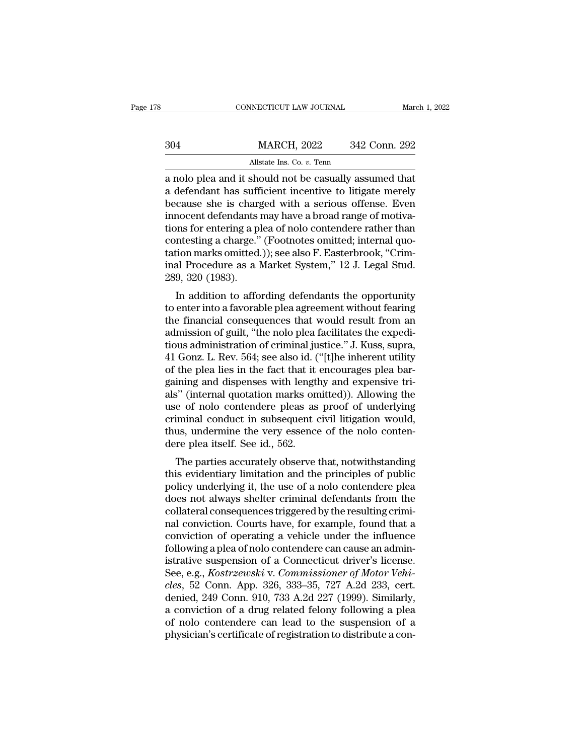|     | CONNECTICUT LAW JOURNAL                                                                                                                                                  | March 1, 2022 |
|-----|--------------------------------------------------------------------------------------------------------------------------------------------------------------------------|---------------|
| 304 | <b>MARCH, 2022</b>                                                                                                                                                       | 342 Conn. 292 |
|     | Allstate Ins. Co. v. Tenn                                                                                                                                                |               |
|     | a nolo plea and it should not be casually assumed that<br>a defendant has sufficient incentive to litigate merely<br>bogause she is gharged with a serious offense. From |               |

MARCH, 2022 342 Conn. 292<br>Allstate Ins. Co. v. Tenn<br>a nolo plea and it should not be casually assumed that<br>a defendant has sufficient incentive to litigate merely<br>because she is charged with a serious offense. Even<br>innocen  $\begin{array}{r} \text{MARCH, 2022} \\ \text{Allstate Ins. Co. } v. \text{ Tenn} \\ \text{a nolo plea and it should not be casually assumed that a defendant has sufficient incentive to litigate merely because she is charged with a serious offers. Even innocent defendants may have a broad range of motivations for entering a plea of pole contonders rather than.} \end{array}$  $\frac{\text{MARCH}}{\text{Allstate Ins. Co. } v. \text{ Tenn}}$ <br>
a nolo plea and it should not be casually assumed that<br>
a defendant has sufficient incentive to litigate merely<br>
because she is charged with a serious offense. Even<br>
innocent defendants may ha Allstate Ins. Co. v. Tenn<br>a nolo plea and it should not be casually assumed that<br>a defendant has sufficient incentive to litigate merely<br>because she is charged with a serious offense. Even<br>innocent defendants may have a b Allistate Ins. Co. *v.* Tenn<br>a nolo plea and it should not be casually assumed that<br>a defendant has sufficient incentive to litigate merely<br>because she is charged with a serious offense. Even<br>innocent defendants may have a a nolo plea and it should not be casually assumed that<br>a defendant has sufficient incentive to litigate merely<br>because she is charged with a serious offense. Even<br>innocent defendants may have a broad range of motiva-<br>tions a defendant has sufficient incentive to litigate merely<br>because she is charged with a serious offense. Even<br>innocent defendants may have a broad range of motiva-<br>tions for entering a plea of nolo contendere rather than<br>con because she is charged<br>innocent defendants<br>tions for entering a pl<br>contesting a charge."<br>tation marks omitted.<br>inal Procedure as a l<br>289, 320 (1983).<br>In addition to affo In addition to affording defendants the opportunity<br>and the afformal quotion marks omitted.)); see also F. Easterbrook, "Crim-<br>al Procedure as a Market System," 12 J. Legal Stud.<br>9, 320 (1983).<br>In addition to affording def to entering a piea of noto contendere rather than<br>contesting a charge." (Footnotes omitted; internal quo-<br>tation marks omitted.)); see also F. Easterbrook, "Crim-<br>inal Procedure as a Market System," 12 J. Legal Stud.<br>289,

contesting a charge. (Footnotes onlited, internal quo-<br>tation marks omitted.)); see also F. Easterbrook, "Crim-<br>inal Procedure as a Market System," 12 J. Legal Stud.<br>289, 320 (1983).<br>In addition to affording defendants the ration marks omitted.)), see also F. Easterbrook, Criminal Procedure as a Market System," 12 J. Legal Stud.<br>289, 320 (1983).<br>In addition to affording defendants the opportunity<br>to enter into a favorable plea agreement with The addition to affording defendants the opportunity<br>1239, 320 (1983).<br>The addition to affording defendants the opportunity<br>to enter into a favorable plea agreement without fearing<br>the financial consequences that would res 209, 320 (1903).<br>
In addition to affording defendants the opportunity<br>
to enter into a favorable plea agreement without fearing<br>
the financial consequences that would result from an<br>
admission of guilt, "the nolo plea faci In addition to affording defendants the opportunity<br>to enter into a favorable plea agreement without fearing<br>the financial consequences that would result from an<br>admission of guilt, "the nolo plea facilitates the expedi-<br>t to enter into a favorable plea agreement without fearing<br>the financial consequences that would result from an<br>admission of guilt, "the nolo plea facilitates the expedi-<br>tious administration of criminal justice." J. Kuss, s the financial consequences that would result from an admission of guilt, "the nolo plea facilitates the expeditious administration of criminal justice." J. Kuss, supra, 41 Gonz. L. Rev. 564; see also id. ("[t]he inherent u admission of guilt, "the nolo plea facilitates the expeditious administration of criminal justice." J. Kuss, supra, 41 Gonz. L. Rev. 564; see also id. ("[t]he inherent utility of the plea lies in the fact that it encourage tious administration of criminal justice." J. Kuss, supra,<br>41 Gonz. L. Rev. 564; see also id. ("[t]he inherent utility<br>of the plea lies in the fact that it encourages plea bar-<br>gaining and dispenses with lengthy and expens 41 Gonz. L. Rev. 564; see also id. ("[t]he inherent utility of the plea lies in the fact that it encourages plea bargaining and dispenses with lengthy and expensive trials" (internal quotation marks omitted)). Allowing the of the plea lies in the fact that it<br>gaining and dispenses with lengtl<br>als" (internal quotation marks on<br>use of nolo contendere pleas as<br>criminal conduct in subsequent of<br>thus, undermine the very essence<br>dere plea itself. Film and uspenses with lengthy and expensive the<br>s" (internal quotation marks omitted)). Allowing the<br>e of nolo contendere pleas as proof of underlying<br>iminal conduct in subsequent civil litigation would,<br>us, undermine the as (internal quotation marks ontitied)). Anowing the<br>use of nolo contendere pleas as proof of underlying<br>criminal conduct in subsequent civil litigation would,<br>thus, undermine the very essence of the nolo conten-<br>dere plea

dise of noto contendere pleas as proof of underlying<br>criminal conduct in subsequent civil litigation would,<br>thus, undermine the very essence of the nolo conten-<br>dere plea itself. See id., 562.<br>The parties accurately observ Emilia conduct in subsequent Civil Ingation would,<br>thus, undermine the very essence of the nolo conten-<br>dere plea itself. See id., 562.<br>The parties accurately observe that, notwithstanding<br>this evidentiary limitation and t collateral consequences triggered by the resulting this evidentiary limitation and the principles of public<br>policy underlying it, the use of a nolo contendere plea<br>does not always shelter criminal defendants from the<br>colla The parties accurately observe that, notwithstanding<br>this evidentiary limitation and the principles of public<br>policy underlying it, the use of a nolo contendere plea<br>does not always shelter criminal defendants from the<br>col The parties accurately observe that, notwithstanding<br>this evidentiary limitation and the principles of public<br>policy underlying it, the use of a nolo contendere plea<br>does not always shelter criminal defendants from the<br>col this evidentiary limitation and the principles of public<br>policy underlying it, the use of a nolo contendere plea<br>does not always shelter criminal defendants from the<br>collateral consequences triggered by the resulting crimi policy underlying it, the use of a nolo contendere plea<br>does not always shelter criminal defendants from the<br>collateral consequences triggered by the resulting crimi-<br>nal conviction. Courts have, for example, found that a<br> does not always shelter criminal defendants from the collateral consequences triggered by the resulting criminal conviction. Courts have, for example, found that a conviction of operating a vehicle under the influence foll collateral consequences triggered by the resulting criminal conviction. Courts have, for example, found that a conviction of operating a vehicle under the influence following a plea of nolo contendere can cause an administ nal conviction. Courts have, for example, found that a<br>conviction of operating a vehicle under the influence<br>following a plea of nolo contendere can cause an admin-<br>istrative suspension of a Connecticut driver's license.<br>S conviction of operating a vehicle under the influence<br>following a plea of nolo contendere can cause an administrative suspension of a Connecticut driver's license.<br>See, e.g., *Kostrzewski* v. *Commissioner of Motor Vehi-<br>c* following a plea of nolo contendere can cause an administrative suspension of a Connecticut driver's license.<br>See, e.g., *Kostrzewski* v. *Commissioner of Motor Vehicles*, 52 Conn. App. 326, 333–35, 727 A.2d 233, cert.<br>den istrative suspension of a Connecticut driver's license.<br>See, e.g., *Kostrzewski* v. *Commissioner of Motor Vehicles*, 52 Conn. App. 326, 333–35, 727 A.2d 233, cert.<br>denied, 249 Conn. 910, 733 A.2d 227 (1999). Similarly,<br>a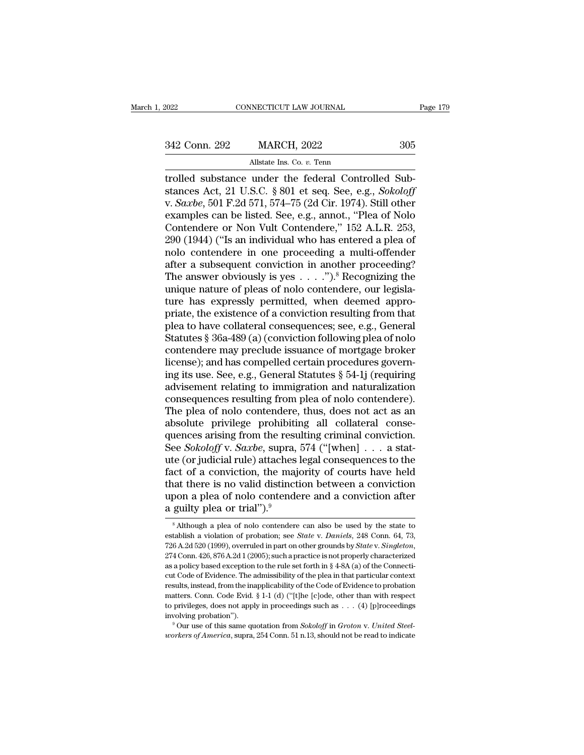MECTICUT LAW JOURNAL<br>MARCH, 2022<br>Allstate Ins. Co. *v.* Tenn<br>under the federal Contro FORD CONNECTICUT LAW JOURNAL<br>
342 Conn. 292 MARCH, 2022 305<br>
Allstate Ins. Co. v. Tenn<br>
4 trolled substance under the federal Controlled Sub-<br>
stances Act, 21 U.S.C. § 801 et seq. See, e.g., *Sokoloff*<br>
501 E 2d 571 574 75 342 Conn. 292 MARCH, 2022 305<br>Allstate Ins. Co. v. Tenn<br>Allstate Ins. Co. v. Tenn<br>Alstances Act, 21 U.S.C. § 801 et seq. See, e.g., *Sokoloff*<br>v. *Saxbe*, 501 F.2d 571, 574–75 (2d Cir. 1974). Still other<br>examples can be li 342 Conn. 292 MARCH, 2022 305<br>Allstate Ins. Co. *v.* Tenn<br>trolled substance under the federal Controlled Sub-<br>stances Act, 21 U.S.C. § 801 et seq. See, e.g., *Sokoloff*<br>v. *Saxbe*, 501 F.2d 571, 574–75 (2d Cir. 1974). Stil 842 Conn. 292 MARCH, 2022 305<br>
Allstate Ins. Co. v. Tenn<br>
Irolled substance under the federal Controlled Sub-<br>
stances Act, 21 U.S.C. § 801 et seq. See, e.g., *Sokoloff*<br>
v. *Saxbe*, 501 F.2d 571, 574–75 (2d Cir. 1974). St Allstate Ins. Co. v. Tenn<br>
Irolled substance under the federal Controlled Sub-<br>
stances Act, 21 U.S.C. § 801 et seq. See, e.g., *Sokoloff*<br>
v. *Saxbe*, 501 F.2d 571, 574–75 (2d Cir. 1974). Still other<br>
examples can be lis All tate ins. Co. v. Tenn<br>
1290 (1944) (The Sale of the federal Controlled Sub-<br>
1290 (1944) (T. 280 571, 574–75 (2d Cir. 1974). Still other<br>
1290 (1944) ("Is an individual who has entered a plea of<br>
1290 (1944) ("Is an i trolled substance under the federal Controlled Substances Act, 21 U.S.C. § 801 et seq. See, e.g., *Sokoloff* v. *Saxbe*, 501 F.2d 571, 574–75 (2d Cir. 1974). Still other examples can be listed. See, e.g., annot., "Plea of stances Act, 21 U.S.C. § 801 et seq. See, e.g., *Sokoloff*<br>v. *Saxbe*, 501 F.2d 571, 574–75 (2d Cir. 1974). Still other<br>examples can be listed. See, e.g., annot., "Plea of Nolo<br>Contendere or Non Vult Contendere," 152 A.L. v. *Saxbe*, 501 F.2d 571, 574–75 (2d Cir. 1974). Still other<br>examples can be listed. See, e.g., annot., "Plea of Nolo<br>Contendere or Non Vult Contendere," 152 A.L.R. 253,<br>290 (1944) ("Is an individual who has entered a ple examples can be listed. See, e.g., annot., "Plea of Nolo Contendere or Non Vult Contendere," 152 A.L.R. 253, 290 (1944) ("Is an individual who has entered a plea of nolo contendere in one proceeding a multi-offender after Contendere or Non Vult Contendere,"  $152$  A.L.R.  $253$ ,  $290$  (1944) ("Is an individual who has entered a plea of nolo-contendere in one proceeding a multi-offender after a subsequent conviction in another proceeding? The 290 (1944) ("Is an individual who has entered a plea of<br>nolo-contendere in one-proceeding a multi-offender<br>after a subsequent conviction in another proceeding?<br>The answer obviously is yes  $\dots$ .").<sup>8</sup> Recognizing the<br>uniqu nolo contendere in one proceeding a multi-offender<br>after a subsequent conviction in another proceeding?<br>The answer obviously is yes  $\dots$ .").<sup>8</sup> Recognizing the<br>unique nature of pleas of nolo contendere, our legisla-<br>ture after a subsequent conviction in another proceeding?<br>The answer obviously is yes  $\dots$ .").<sup>8</sup> Recognizing the<br>unique nature of pleas of nolo contendere, our legisla-<br>ture has expressly permitted, when deemed appro-<br>priate, The answer obviously is yes  $\dots$ .").<sup>8</sup> Recognizing the<br>unique nature of pleas of nolo contendere, our legisla-<br>ture has expressly permitted, when deemed appro-<br>priate, the existence of a conviction resulting from that<br>pl unique nature of pleas of nolo contendere, our legislature has expressly permitted, when deemed appropriate, the existence of a conviction resulting from that plea to have collateral consequences; see, e.g., General Statut ture has expressly permitted, when deemed appro-<br>priate, the existence of a conviction resulting from that<br>plea to have collateral consequences; see, e.g., General<br>Statutes § 36a-489 (a) (conviction following plea of nolo<br> priate, the existence of a conviction resulting from that<br>plea to have collateral consequences; see, e.g., General<br>Statutes § 36a-489 (a) (conviction following plea of nolo<br>contendere may preclude issuance of mortgage brok plea to have collateral consequences; see, e.g., General<br>Statutes § 36a-489 (a) (conviction following plea of nolo<br>contendere may preclude issuance of mortgage broker<br>license); and has compelled certain procedures govern-<br> Statutes § 36a-489 (a) (conviction following plea of nolo<br>contendere may preclude issuance of mortgage broker<br>license); and has compelled certain procedures govern-<br>ing its use. See, e.g., General Statutes § 54-1j (requiri contendere may preclude issuance of mortgage broker<br>license); and has compelled certain procedures governing its use. See, e.g., General Statutes § 54-1j (requiring<br>advisement relating to immigration and naturalization<br>con license); and has compelled certain procedures governing its use. See, e.g., General Statutes § 54-1j (requiring advisement relating to immigration and naturalization consequences resulting from plea of nolo contendere). ing its use. See, e.g., General Statutes § 54-1j (requiring<br>advisement relating to immigration and naturalization<br>consequences resulting from plea of nolo contendere).<br>The plea of nolo contendere, thus, does not act as an<br> advisement relating to immigration and naturalization<br>consequences resulting from plea of nolo contendere).<br>The plea of nolo contendere, thus, does not act as an<br>absolute privilege prohibiting all collateral conse-<br>quences consequences resulting from plea of nolo contendere).<br>The plea of nolo contendere, thus, does not act as an<br>absolute privilege prohibiting all collateral conse-<br>quences arising from the resulting criminal conviction.<br>See The plea of nolo contendere, thus, does not act as an absolute privilege prohibiting all collateral consequences arising from the resulting criminal conviction.<br>See *Sokoloff* v. *Saxbe*, supra, 574 ("[when]  $\ldots$  a statu absolute privilege prohibiting all collateral consequences arising from the resulting criminal conviction.<br>See *Sokoloff* v. *Saxbe*, supra, 574 ("[when] . . . a stat-<br>ute (or judicial rule) attaches legal consequences to quences arising from the resu<br>See *Sokoloff* v. *Saxbe*, supra,<br>ute (or judicial rule) attaches<br>fact of a conviction, the maje<br>that there is no valid distincti<br>upon a plea of nolo contende<br>a guilty plea or trial").<sup>9</sup> next of a conviction, the majority of courts have held<br>aat there is no valid distinction between a conviction<br>pon a plea of nolo contendere and a conviction after<br>guilty plea or trial").<sup>9</sup><br> $^8$ Although a plea of nolo con that there is no valid distinction between a conviction<br>upon a plea of nolo contendere and a conviction after<br>a guilty plea or trial").<sup>9</sup><br><sup>8</sup> Although a plea of nolo contendere can also be used by the state to<br>establish a

upon a plea of nolo contendere and a conviction after<br>a guilty plea or trial").<sup>9</sup><br><sup>8</sup> Although a plea of nolo contendere can also be used by the state to<br>establish a violation of probation; see *State* v. *Daniels*, 248 C a guilty piez of trial ).<br>
<sup>8</sup> Although a plea of nolo contendere can also be used by the state to establish a violation of probation; see *State v. Daniels*, 248 Conn. 64, 73, 726 A.2d 520 (1999), overruled in part on ot <sup>8</sup> Although a plea of nolo contendere can also be used by the state to establish a violation of probation; see *State v. Daniels*, 248 Conn. 64, 73, 726 A.2d 520 (1999), overruled in part on other grounds by *State v. Si* establish a violation of probation; see *State* v. *Daniels*, 248 Conn. 64, 73, 726 A.2d 520 (1999), overruled in part on other grounds by *State* v. *Singleton*, 274 Conn. 426, 876 A.2d 1 (2005); such a practice is not p 726 A.2d 520 (1999), overruled in part on other grounds by *State v. Singleton*, 274 Conn. 426, 876 A.2d 1 (2005); such a practice is not properly characterized as a policy based exception to the rule set forth in § 4-8A 274 Conn. 426, 876 A.2d 1 (2005); such a practice is not properly characterized as a policy based exception to the rule set forth in § 4-8A (a) of the Connecticut Code of Evidence. The admissibility of the plea in that pa as a policy based exception to the rule set forth in § 4-8A (a) of the Connecticut Code of Evidence. The admissibility of the plea in that particular context results, instead, from the inapplicability of the Code of Eviden results, instead, from the inapplicability of the Code of Evidence to probation matters. Conn. Code Evid. § 1-1 (d) ("[t]he [c]ode, other than with respect to privileges, does not apply in proceedings such as . . . (4) [p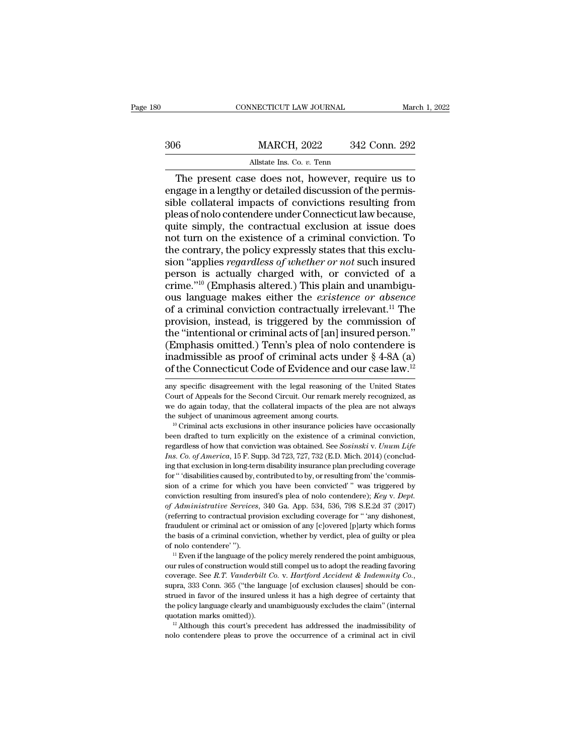|     | CONNECTICUT LAW JOURNAL                         |               | March 1, 2022 |
|-----|-------------------------------------------------|---------------|---------------|
| 306 | <b>MARCH, 2022</b>                              | 342 Conn. 292 |               |
|     | Allstate Ins. Co. v. Tenn                       |               |               |
|     | The present case does not however require us to |               |               |

CONNECTICUT LAW JOURNAL March 1, 2022<br>
6 MARCH, 2022 342 Conn. 292<br>
Allstate Ins. Co. v. Tenn<br>
The present case does not, however, require us to<br>
gage in a lengthy or detailed discussion of the permis-<br>
be collateral impac SOC MARCH, 2022 342 Conn. 292<br>Allstate Ins. Co. v. Tenn<br>The present case does not, however, require us to<br>engage in a lengthy or detailed discussion of the permis-<br>sible collateral impacts of convictions resulting from<br>ple  $\begin{array}{r} \text{306} & \text{MARCH, 2022} & \text{342 Conn. 292} \\ \hline \text{4llstate Ins. Co. } v. \text{ Tenn} \end{array}$ <br>
The present case does not, however, require us to engage in a lengthy or detailed discussion of the permissible collateral impacts of convictions res  $\frac{\text{MARCH, 2022}}{\text{Allstate Ins. Co. } v.\text{ Tenn}}$ <br>
The present case does not, however, require us to engage in a lengthy or detailed discussion of the permissible collateral impacts of convictions resulting from pleas of nolo contendere All take Ins. Co. v. Tenn<br>
The present case does not, however, require us to<br>
engage in a lengthy or detailed discussion of the permis-<br>
sible collateral impacts of convictions resulting from<br>
pleas of nolo contendere und All state Ins. Co.  $v$ . Tenn<br>
The present case does not, however, require us to<br>
engage in a lengthy or detailed discussion of the permis-<br>
sible collateral impacts of convictions resulting from<br>
pleas of nolo contendere The present case does not, however, require us to engage in a lengthy or detailed discussion of the permissible collateral impacts of convictions resulting from pleas of nolo contendere under Connecticut law because, quite engage in a lengthy or detailed discussion of the permis-<br>sible collateral impacts of convictions resulting from<br>pleas of nolo contendere under Connecticut law because,<br>quite simply, the contractual exclusion at issue does sible collateral impacts of convictions resulting from<br>pleas of nolo contendere under Connecticut law because,<br>quite simply, the contractual exclusion at issue does<br>not turn on the existence of a criminal conviction. To<br>t pleas of nolo contendere under Connecticut law because,<br>quite simply, the contractual exclusion at issue does<br>not turn on the existence of a criminal conviction. To<br>the contrary, the policy expressly states that this exclu quite simply, the contractual exclusion at issue does<br>not turn on the existence of a criminal conviction. To<br>the contrary, the policy expressly states that this exclu-<br>sion "applies *regardless of whether or not* such insu not turn on the existence of a criminal conviction. To<br>the contrary, the policy expressly states that this exclu-<br>sion "applies *regardless of whether or not* such insured<br>person is actually charged with, or convicted of a the contrary, the policy expressly states that this exclusion "applies *regardless of whether or not* such insured<br>person is actually charged with, or convicted of a<br>crime."<sup>10</sup> (Emphasis altered.) This plain and unambigu the contrary, the policy expressly states that this exclusion "applies *regardless of whether or not* such insured person is actually charged with, or convicted of a crime."<sup>10</sup> (Emphasis altered.) This plain and unambigu person is actually charged with, or convicted of a<br>crime."<sup>10</sup> (Emphasis altered.) This plain and unambigu-<br>ous language makes either the *existence or absence*<br>of a criminal conviction contractually irrelevant.<sup>11</sup> The<br>p crime."<sup>10</sup> (Emphasis altered.) This plain and unambiguous language makes either the *existence or absence* of a criminal conviction contractually irrelevant.<sup>11</sup> The provision, instead, is triggered by the commission of ous language makes either the *existence or absence*<br>of a criminal conviction contractually irrelevant.<sup>11</sup> The<br>provision, instead, is triggered by the commission of<br>the "intentional or criminal acts of [an] insured perso the "intentional or criminal acts of [an] insured person."<br>(Emphasis omitted.) Tenn's plea of nolo contendere is<br>inadmissible as proof of criminal acts under  $\S 4$ -8A (a)<br>of the Connecticut Code of Evidence and our case l (Emphasis omitted.) Tenn's plea of nolo contendere is<br>inadmissible as proof of criminal acts under  $\S 4$ -8A (a)<br>of the Connecticut Code of Evidence and our case law.<sup>12</sup><br>any specific disagreement with the legal reasoning

regardless of how that conviction was obtained. See *Sosinski* v. *Unum Life* that conviction was the subject of unanimous agreement among courts. <sup>10</sup> Criminal acts exclusions in other insurance policies have occasionally <sup>If</sup> Co. of America, 15 F. Supp. 3d 723, 727, 732 (E.D. Mich. 2014) (concluding that exclusion in long-term disability insurance policies have occasionally been drafted to turn explicitly on the existence of a criminal con the subject of unanimous agreement among courts.<br><sup>10</sup> Criminal acts exclusions in other insurance policies have occasionally<br>been drafted to turn explicitly on the existence of a criminal conviction,<br>regardless of how tha <sup>10</sup> Criminal acts exclusions in other insurance policies have occasionally been drafted to turn explicitly on the existence of a criminal conviction, regardless of how that conviction was obtained. See *Sosinski* v. *Unu* been drafted to turn explicitly on the existence of a criminal conviction, regardless of how that conviction was obtained. See *Sosinski* v. *Unum Life Ins. Co. of America*, 15 F. Supp. 3d 723, 727, 732 (E.D. Mich. 2014 regardless of how that conviction was obtained. See *Sosinski v. Unum Life Ins. Co. of America*, 15 F. Supp. 3d 723, 727, 732 (E.D. Mich. 2014) (concluding that exclusion in long-term disability insurance plan precluding *of Administrative Services*, 340 Ga. App. 534, 536, 798 S.E.2d 37 (2017)<br>*of Administrative Services*, 15 F. Supp. 3d 723, 727, 732 (E.D. Mich. 2014) (conclud-<br>ing that exclusion in long-term disability insurance plan pre me that exclusion in long-term disability insurance plan precluding coverage<br>for " 'disabilities caused by, contributed to by, or resulting from 'the 'commis-<br>sion of a crime for which you have been convicted' " was trigge ing that exclusion in long-term disability insurance plan precluding coverage for " disabilities caused by, contributed to by, or resulting from the 'commission of a crime for which you have been convicted' " was triggere the basis of a crime for which you have been convicted'" was triggered by conviction resulting from insured's plea of nolo contendere); *Key v. Dept.* of *Administrative Services*, 340 Ga. App. 534, 536, 798 S.E.2d 37 (20 conviction resulting from insured's plea of nolo contendere); *Key v. Dept.*<br>of *Administrative Services*, 340 Ga. App. 534, 536, 798 S.E.2d 37 (2017)<br>(referring to contractual provision excluding coverage for " any disho (referring to contractual provision excluding coverage for " 'any dishonest, fraudulent or criminal act or omission of any [c]overed [p]arty which forms the basis of a criminal conviction, whether by verdict, plea of guil

coverage. See *R.T. Vanderbilt Co.* v. *Hartford* Accident & Indemnity Constant Contendere' ").<br>
<sup>11</sup> Even if the language of the policy merely rendered the point ambiguous,<br>
our rules of construction would still compel us of nolo contendere' ").<br>
" Even if the language of the policy merely rendered the point ambiguous,<br>
our rules of construction would still compel us to adopt the reading favoring<br>
coverage. See *R.T. Vanderbilt Co. v. Hart* <sup>11</sup> Even if the language of the policy merely rendered the point ambiguous,<br>our rules of construction would still compel us to adopt the reading favoring<br>coverage. See *R.T. Vanderbilt Co.* v. *Hartford Accident & Indemn* our rules of construction would still complet us to adopt the reading favoring coverage. See *R.T. Vanderbilt Co. v. Hartford Accident & Indemnity Co.*, supra, 333 Conn. 365 ("the language [of exclusion clauses] should be coverage. See *R.T. Vanderbilt Co.* v. *Hartford Accident & Indemnity Co.*, supra, 333 Conn. 365 ("the language [of exclusion clauses] should be construed in favor of the insured unless it has a high degree of certainty t

inadmissible as proof of criminal acts under  $\S$  4-8A (a) of the Connecticut Code of Evidence and our case law.<sup>12</sup> any specific disagreement with the legal reasoning of the United States Court of Appeals for the Second C of the Connecticut Code of Evidence and our case law.<sup>12</sup> any specific disagreement with the legal reasoning of the United States Court of Appeals for the Second Circuit. Our remark merely recognized, as we do again today any specific disagreement with the legal reasoning of the United States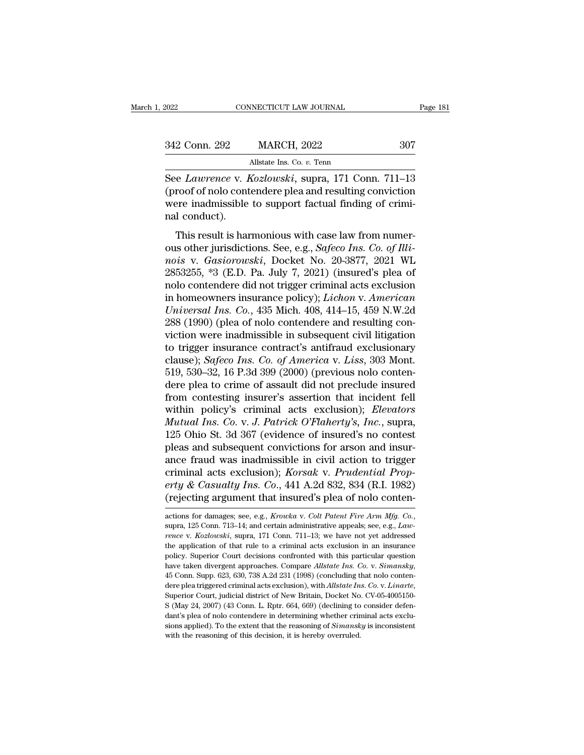| 2022          | CONNECTICUT LAW JOURNAL                        | Page 181 |
|---------------|------------------------------------------------|----------|
| 342 Conn. 292 | <b>MARCH, 2022</b>                             | 307      |
|               | Allstate Ins. Co. v. Tenn                      |          |
|               | See Lawrence y Kozlowski supra 171 Conn 711–13 |          |

Fage 181<br>
See *Lawrence* v. *Kozlowski*, supra, 171 Conn. 711–13<br>
(proof of nolo contendere plea and resulting conviction<br>
Next indicate the support factual finding of criminal support factual finding of criminal support f (proof of nolo contendere plea and resulting of criminal conduct)<br>  $\frac{1}{2}$  and resulting conviction<br>  $\frac{1}{2}$  and resulting conviction<br>  $\frac{1}{2}$  and resulting conviction<br>  $\frac{1}{2}$  and resulting conviction<br>  $\frac{1}{2}$  a 342 Conn. 292 MARCH, 2022 307<br>Allstate Ins. Co. v. Tenn<br>See *Lawrence* v. *Kozlowski*, supra, 171 Conn. 711–13<br>(proof of nolo contendere plea and resulting conviction<br>were inadmissible to support factual finding of crimi-342 Conn. 292<br>See *Lawrence* v. *I*<br>(proof of nolo cont<br>were inadmissible<br>nal conduct).<br>This result is hai All State Ins. Co. v. Tenn<br>
The *Lawrence* v. *Kozlowski*, supra, 171 Conn. 711–13<br>
This result is harmonious with case law from numer-<br>
I conduct).<br>
This result is harmonious with case law from numer-<br>
Is other jurisdict See *Lawrence* v. *Kozlowski*, supra, 171 Conn. 711–13<br>(proof of nolo contendere plea and resulting conviction<br>were inadmissible to support factual finding of crimi-<br>nal conduct).<br>This result is harmonious with case law fr

*noise Chautenics V. Hiszonian,* Bapta, 171 Coll. 711 15<br>
(proof of nolo contendere plea and resulting conviction<br>
were inadmissible to support factual finding of crimi-<br>
rail conduct).<br>
This result is harmonious with case were inadmissible to support factual finding of criminal conduct).<br>
This result is harmonious with case law from numer-<br>
ous other jurisdictions. See, e.g., *Safeco Ins. Co. of Illi-*<br> *nois* v. *Gasiorowski*, Docket No. mal conduct).<br>
This result is harmonious with case law from numer-<br>
ous other jurisdictions. See, e.g., *Safeco Ins. Co. of Illi-*<br> *nois* v. *Gasiorowski*, Docket No. 20-3877, 2021 WL<br>
2853255, \*3 (E.D. Pa. July 7, 2021) This result is harmonious with case law from numer-<br>ous other jurisdictions. See, e.g., *Safeco Ins. Co. of Illi-*<br>nois v. *Gasiorowski*, Docket No. 20-3877, 2021 WL<br>2853255, \*3 (E.D. Pa. July 7, 2021) (insured's plea of<br>n This result is harmonious with case law from numer-<br>ous other jurisdictions. See, e.g., *Safeco Ins. Co. of Illi-*<br>*nois* v. *Gasiorowski*, Docket No. 20-3877, 2021 WL<br>2853255, \*3 (E.D. Pa. July 7, 2021) (insured's plea of ous other jurisdictions. See, e.g., *Safeco Ins. Co. of Illinois v. Gasiorowski*, Docket No. 20-3877, 2021 WL<br>2853255, \*3 (E.D. Pa. July 7, 2021) (insured's plea of<br>nolo contendere did not trigger criminal acts exclusion<br>i nois v. Gasiorowski, Docket No. 20-3877, 2021 WL<br>2853255, \*3 (E.D. Pa. July 7, 2021) (insured's plea of<br>nolo contendere did not trigger criminal acts exclusion<br>in homeowners insurance policy); *Lichon* v. American<br>*Univers* 2853255, \*3 (E.D. Pa. July 7, 2021) (insured's plea of<br>nolo contendere did not trigger criminal acts exclusion<br>in homeowners insurance policy); *Lichon v. American*<br>*Universal Ins. Co.*, 435 Mich. 408, 414–15, 459 N.W.2d<br> nolo contendere did not trigger criminal acts exclusion<br>in homeowners insurance policy); *Lichon* v. *American*<br>*Universal Ins. Co.*, 435 Mich. 408, 414–15, 459 N.W.2d<br>288 (1990) (plea of nolo contendere and resulting conin homeowners insurance policy); *Lichon v. American Universal Ins. Co.*, 435 Mich. 408, 414–15, 459 N.W.2d 288 (1990) (plea of nolo contendere and resulting conviction were inadmissible in subsequent civil litigation to Universal Ins. Co., 435 Mich. 408, 414–15, 459 N.W.2d<br>288 (1990) (plea of nolo contendere and resulting con-<br>viction were inadmissible in subsequent civil litigation<br>to trigger insurance contract's antifraud exclusionary<br> 288 (1990) (plea of nolo contendere and resulting conviction were inadmissible in subsequent civil litigation<br>to trigger insurance contract's antifraud exclusionary<br>clause); *Safeco Ins. Co. of America* v. *Liss*, 303 Mon viction were inadmissible in subsequent civil litigation<br>to trigger insurance contract's antifraud exclusionary<br>clause); *Safeco Ins. Co. of America* v. *Liss*, 303 Mont.<br>519, 530–32, 16 P.3d 399 (2000) (previous nolo cont to trigger insurance contract's antifraud exclusionary<br>clause); *Safeco Ins. Co. of America v. Liss*, 303 Mont.<br>519, 530–32, 16 P.3d 399 (2000) (previous nolo conten-<br>dere plea to crime of assault did not preclude insured<br> clause); *Safeco Ins. Co. of America v. Liss*, 303 Mont.<br>519, 530–32, 16 P.3d 399 (2000) (previous nolo conten-<br>dere plea to crime of assault did not preclude insured<br>from contesting insurer's assertion that incident fell<br> 519, 530–32, 16 P.3d 399 (2000) (previous nolo contendere plea to crime of assault did not preclude insured from contesting insurer's assertion that incident fell within policy's criminal acts exclusion); *Elevators Mutua* dere plea to crime of assault did not preclude insured<br>from contesting insurer's assertion that incident fell<br>within policy's criminal acts exclusion); *Elevators*<br>*Mutual Ins. Co. v. J. Patrick O'Flaherty's*, *Inc.*, sup from contesting insurer's assertion that incident fell<br>within policy's criminal acts exclusion); *Elevators*<br>*Mutual Ins. Co. v. J. Patrick O'Flaherty's, Inc.*, supra,<br>125 Ohio St. 3d 367 (evidence of insured's no contest<br> within policy's criminal acts exclusion); *Elevators*<br>*Mutual Ins. Co.* v. *J. Patrick O'Flaherty's, Inc.*, supra,<br>125 Ohio St. 3d 367 (evidence of insured's no contest<br>pleas and subsequent convictions for arson and insur-Mutual Ins. Co. v. J. Patrick O'Flaherty's, Inc., supra, 125 Ohio St. 3d 367 (evidence of insured's no contest pleas and subsequent convictions for arson and insurance fraud was inadmissible in civil action to trigger cri ance fraud was madmissible in civil action to trigger<br>criminal acts exclusion); *Korsak v. Prudential Prop-*<br>erty & Casualty Ins. Co., 441 A.2d 832, 834 (R.I. 1982)<br>(rejecting argument that insured's plea of nolo conten-<br>

<sup>(</sup>rejecting argument that insured's plea of nolo conten-<br>actions for damages; see, e.g., *Krowka v. Colt Patent Fire Arm Mfg. Co.*,<br>supra, 125 Conn. 713–14; and certain administrative appeals; see, e.g., *Law-*<br>*rence v. K* extions for damages; see, e.g., *Krowka v. Colt Patent Fire Arm Mfg. Co.*, supra, 125 Conn. 713-14; and certain administrative appeals; see, e.g., *Lawrence v. Kozlowski*, supra, 171 Conn. 711-13; we have not yet addressed actions for damages; see, e.g., *Krowka v. Colt Patent Fire Arm Mfg. Co.*, supra, 125 Conn. 713–14; and certain administrative appeals; see, e.g., *Lawrence v. Kozlowski*, supra, 171 Conn. 711–13; we have not yet addressed rence v. *Kozlowski*, supra, 171 Conn. 711–13; we have not yet addressed the application of that rule to a criminal acts exclusion in an insurance policy. Superior Court decisions confronted with this particular question h the application of that rule to a criminal acts exclusion in an insurance policy. Superior Court decisions confronted with this particular question have taken divergent approaches. Compare *Allstate Ins. Co. v. Simansky*, have taken divergent approaches. Compare Allstate Ins. Co. v. Simansky, 45 Conn. Supp. 623, 630, 738 A.2d 231 (1998) (concluding that nolo contendere plea triggered criminal acts exclusion), with Allstate Ins. Co. v. Lina 45 Conn. Supp. 623, 630, 738 A.2d 231 (1998) (concluding that nolo contendere plea triggered criminal acts exclusion), with Allstate Ins. Co. v. Linarte,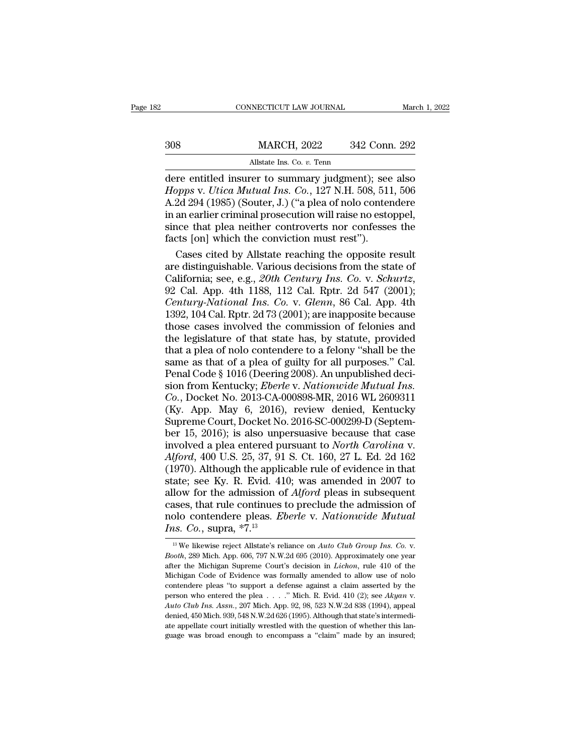|     | CONNECTICUT LAW JOURNAL                              |               | March 1, 2022 |
|-----|------------------------------------------------------|---------------|---------------|
|     |                                                      |               |               |
| 308 | <b>MARCH, 2022</b>                                   | 342 Conn. 292 |               |
|     | Allstate Ins. Co. $v$ . Tenn                         |               |               |
|     | dere entitled insurer to summary judøment); see also |               |               |

CONNECTICUT LAW JOURNAL March 1, 2022<br>
MARCH, 2022 342 Conn. 292<br>
Allstate Ins. Co. v. Tenn<br>
dere entitled insurer to summary judgment); see also<br>
Hopps v. Utica Mutual Ins. Co., 127 N.H. 508, 511, 506<br>
A 2d 204 (1985) (So *Hopps* v. *Utica Mutual Ins. Co. v. Tenn*<br>*Hopps v. Utica Mutual Ins. Co.*, 127 N.H. 508, 511, 506<br>*Hopps v. Utica Mutual Ins. Co.*, 127 N.H. 508, 511, 506<br>A.2d 294 (1985) (Souter, J.) ("a plea of nolo contendere<br>in an ea MARCH, 2022 342 Conn. 292<br>Allstate Ins. Co. v. Tenn<br>dere entitled insurer to summary judgment); see also<br>Hopps v. Utica Mutual Ins. Co., 127 N.H. 508, 511, 506<br>A.2d 294 (1985) (Souter, J.) ("a plea of nolo contendere<br>in an MARCH, 2022 342 Conn. 292<br>
Allstate Ins. Co. v. Tenn<br>
dere entitled insurer to summary judgment); see also<br> *Hopps v. Utica Mutual Ins. Co.*, 127 N.H. 508, 511, 506<br>
A.2d 294 (1985) (Souter, J.) ("a plea of nolo contendere All Solometer of the All Solometer of the All Solometer and dere entitled insurer to summary judgment); see also *Hopps v. Utica Mutual Ins. Co.*, 127 N.H. 508, 511, 506 A.2d 294 (1985) (Souter, J.) ("a plea of nolo conten Allstate Ins. Co. v. Tenn<br>dere entitled insurer to summary judgment); see also<br>*Hopps v. Utica Mutual Ins. Co.*, 127 N.H. 508, 511, 506<br>A.2d 294 (1985) (Souter, J.) ("a plea of nolo contendere<br>in an earlier criminal prose re entitled insurer to summary judgment); see also<br>ppps v. Utica Mutual Ins. Co., 127 N.H. 508, 511, 506<br>2d 294 (1985) (Souter, J.) ("a plea of nolo contendere<br>an earlier criminal prosecution will raise no estoppel,<br>nce t Hopps v. Utica Mutual Ins. Co., 127 N.H. 508, 511, 506<br>A.2d 294 (1985) (Souter, J.) ("a plea of nolo contendere<br>in an earlier criminal prosecution will raise no estoppel,<br>since that plea neither controverts nor confesses

A.2d 294 (1985) (Souter, J.) ("a plea of nolo contendere<br>in an earlier criminal prosecution will raise no estoppel,<br>since that plea neither controverts nor confesses the<br>facts [on] which the conviction must rest").<br>Cases c since that plea neither controverts nor confesses the<br>facts [on] which the conviction must rest").<br>Cases cited by Allstate reaching the opposite result<br>are distinguishable. Various decisions from the state of<br>California; s facts [on] which the conviction must rest").<br>
Cases cited by Allstate reaching the opposite result<br>
are distinguishable. Various decisions from the state of<br>
California; see, e.g., 20th Century Ins. Co. v. Schurtz,<br>
92 Ca Cases cited by Allstate reaching the opposite result<br>are distinguishable. Various decisions from the state of<br>California; see, e.g., 20th Century Ins. Co. v. Schurtz,<br>92 Cal. App. 4th 1188, 112 Cal. Rptr. 2d 547 (2001);<br>C are distinguishable. Various decisions from the state of California; see, e.g., 20th Century Ins. Co. v. Schurtz, 92 Cal. App. 4th 1188, 112 Cal. Rptr. 2d 547 (2001); Century-National Ins. Co. v. Glenn, 86 Cal. App. 4th 13 California; see, e.g., 20th Century Ins. Co. v. Schurtz,<br>92 Cal. App. 4th 1188, 112 Cal. Rptr. 2d 547 (2001);<br>Century-National Ins. Co. v. Glenn, 86 Cal. App. 4th<br>1392, 104 Cal. Rptr. 2d 73 (2001); are inapposite because<br> 92 Cal. App. 4th 1188, 112 Cal. Rptr. 2d 547 (2001);<br>Century-National Ins. Co. v. Glenn, 86 Cal. App. 4th<br>1392, 104 Cal. Rptr. 2d 73 (2001); are inapposite because<br>those cases involved the commission of felonies and<br>the l Century-National Ins. Co. v. Glenn, 86 Cal. App. 4th 1392, 104 Cal. Rptr. 2d 73 (2001); are inapposite because those cases involved the commission of felonies and the legislature of that state has, by statute, provided th 1392, 104 Cal. Rptr. 2d 73 (2001); are inapposite because<br>those cases involved the commission of felonies and<br>the legislature of that state has, by statute, provided<br>that a plea of nolo contendere to a felony "shall be the those cases involved the commission of felonies and<br>the legislature of that state has, by statute, provided<br>that a plea of nolo contendere to a felony "shall be the<br>same as that of a plea of guilty for all purposes." Cal.<br> the legislature of that state has, by statute, provided<br>that a plea of nolo contendere to a felony "shall be the<br>same as that of a plea of guilty for all purposes." Cal.<br>Penal Code § 1016 (Deering 2008). An unpublished dec that a plea of nolo contendere to a felony "shall be the<br>same as that of a plea of guilty for all purposes." Cal.<br>Penal Code § 1016 (Deering 2008). An unpublished deci-<br>sion from Kentucky; *Eberle* v. *Nationwide Mutual In* same as that of a plea of guilty for all purposes." Cal.<br>Penal Code § 1016 (Deering 2008). An unpublished decision from Kentucky; *Eberle* v. *Nationwide Mutual Ins.*<br>Co., Docket No. 2013-CA-000898-MR, 2016 WL 2609311<br>(Ky. Penal Code § 1016 (Deering 2008). An unpublished decision from Kentucky; *Eberle* v. *Nationwide Mutual Ins.*<br>Co., Docket No. 2013-CA-000898-MR, 2016 WL 2609311<br>(Ky. App. May 6, 2016), review denied, Kentucky<br>Supreme Court sion from Kentucky; *Eberle v. Nationwide Mutual Ins.*<br>*Co.*, Docket No. 2013-CA-000898-MR, 2016 WL 2609311<br>(Ky. App. May 6, 2016), review denied, Kentucky<br>Supreme Court, Docket No. 2016-SC-000299-D (Septem-<br>ber 15, 2016); Co., Docket No. 2013-CA-000898-MR, 2016 WL 2609311 (Ky. App. May 6, 2016), review denied, Kentucky Supreme Court, Docket No. 2016-SC-000299-D (September 15, 2016); is also unpersuasive because that case involved a plea en (Ky. App. May 6, 2016), review denied, Kentucky<br>Supreme Court, Docket No. 2016-SC-000299-D (Septem-<br>ber 15, 2016); is also unpersuasive because that case<br>involved a plea entered pursuant to *North Carolina* v.<br>Alford, 400 Supreme Court, Docket No. 2016-SC-000299-D (Septem-<br>ber 15, 2016); is also unpersuasive because that case<br>involved a plea entered pursuant to *North Carolina* v.<br>*Alford*, 400 U.S. 25, 37, 91 S. Ct. 160, 27 L. Ed. 2d 162<br>( ber 15, 2016); is also unpersuasive because that case<br>involved a plea entered pursuant to *North Carolina* v.<br>Alford, 400 U.S. 25, 37, 91 S. Ct. 160, 27 L. Ed. 2d 162<br>(1970). Although the applicable rule of evidence in th involved a plea entered pursuant to *North Carolina* v.<br>*Alford*, 400 U.S. 25, 37, 91 S. Ct. 160, 27 L. Ed. 2d 162<br>(1970). Although the applicable rule of evidence in that<br>state; see Ky. R. Evid. 410; was amended in 2007 t *Alford*, 400 U.S. 25, 37, 91 (1970). Although the applic state; see Ky. R. Evid. 41 allow for the admission of cases, that rule continues that rule continues and cases, that rule continues  $\frac{Ins. Co.$ , supra,  $*7.^{13}$ 21 allow for the admission of *Alford* pleas in subsequent<br>
cases, that rule continues to preclude the admission of<br>
rolo contendere pleas. *Eberle* v. *Nationwide Mutual*<br> *Ins. Co.*, supra, \*7.<sup>13</sup><br>
<sup>13</sup> We likewise reje cases, that rule continues to preclude the admission of<br>nolo contendere pleas. *Eberle* v. *Nationwide Mutual*<br>*Ins. Co.*, supra, \*7.<sup>13</sup><br><sup>13</sup> We likewise reject Allstate's reliance on *Auto Club Group Ins. Co.* v.<br>*Booth* 

*Ins.* Co., supra,  $*7.^{13}$ <br>
<sup>13</sup> We likewise reject Allstate's reliance on *Auto Club Group Ins.* Co. v.<br> *Booth*, 289 Mich. App. 606, 797 N.W.2d 695 (2010). Approximately one year<br>
after the Michigan Supreme Court's de **Co., Suppra, "** $\ell$ ."<br>
<sup>13</sup> We likewise reject Allstate's reliance on *Auto Club Group Ins. Co.* v.<br> *Booth*, 289 Mich. App. 606, 797 N.W.2d 695 (2010). Approximately one year<br>
after the Michigan Supreme Court's decision <sup>13</sup> We likewise reject Allstate's reliance on *Auto Club Group Ins. Co.* v. *Booth*, 289 Mich. App. 606, 797 N.W.2d 695 (2010). Approximately one year after the Michigan Supreme Court's decision in *Lichon*, rule 410 of t after the Michigan Supreme Court's decision in *Lichon*, rule 410 of the Michigan Code of Evidence was formally amended to allow use of nolo contendere pleas "to support a defense against a claim asserted by the person wh Michigan Code of Evidence was formally amended to allow use of nolo contendere pleas "to support a defense against a claim asserted by the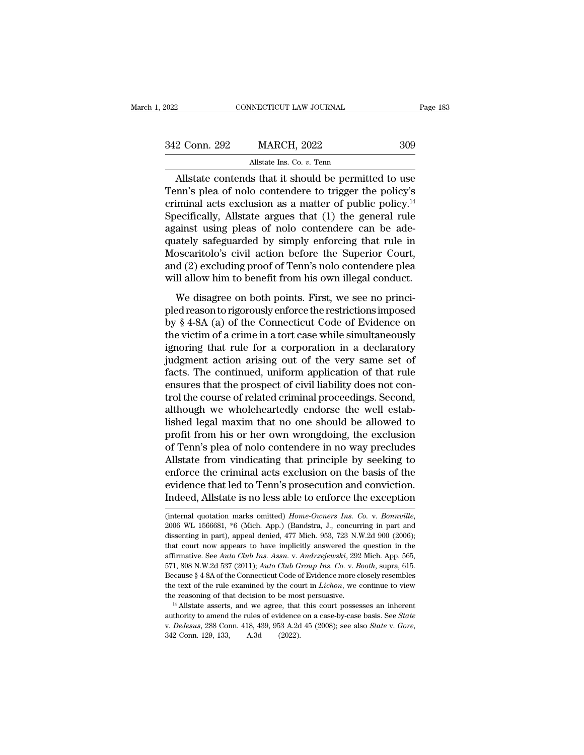| , 2022        | CONNECTICUT LAW JOURNAL                              | Page 183 |
|---------------|------------------------------------------------------|----------|
|               |                                                      |          |
| 342 Conn. 292 | <b>MARCH, 2022</b>                                   | 309      |
|               | Allstate Ins. Co. v. Tenn                            |          |
|               | Allstate contends that it should be permitted to use |          |

CONNECTICUT LAW JOURNAL Page 183<br>
2 Conn. 292 MARCH, 2022 309<br>
Allstate Ins. Co. v. Tenn<br>
Allstate contends that it should be permitted to use<br>
Page 183<br>
Allstate contends that it should be permitted to use<br>
Page 183<br>
Page  $\begin{array}{r} \n 342 \text{ Conn. } 292 \quad \text{MARCH, } 2022 \quad \text{309} \\
 \hline\n \text{Allstate} \text{ Ins. Co. } v. \text{ Tenn} \\
 \hline\n \text{Allstate contents that it should be permitted to use} \\
 \text{Tenn's plea of nolo contendere to trigger the policy's criminal acts exclusion as a matter of public policy.<sup>14</sup>\n\nSnegifically, Allstate arrays that (1), the general rule\n\n
$$
\begin{array}{r}\n 1 \\
 2 \\
 2 \\
 3\n \end{array}
$$$ 342 Conn. 292 MARCH, 2022 309<br>Allstate Ins. Co. v. Tenn<br>Allstate contends that it should be permitted to use<br>Tenn's plea of nolo contendere to trigger the policy's<br>criminal acts exclusion as a matter of public policy.<sup>14</sup>  $\frac{342 \text{ Conn. } 292}{\text{Allstate Ins. Co. } v. \text{ Tenn}}$ <br>Allstate contends that it should be permitted to use<br>Tenn's plea of nolo contendere to trigger the policy's<br>criminal acts exclusion as a matter of public policy.<sup>14</sup><br>Specifically, All Allstate contends that it should be permitted to use<br>Tenn's plea of nolo contendere to trigger the policy's<br>criminal acts exclusion as a matter of public policy.<sup>14</sup><br>Specifically, Allstate argues that (1) the general rule<br> Allstate contends that it should be permitted to use<br>Tenn's plea of nolo contendere to trigger the policy's<br>criminal acts exclusion as a matter of public policy.<sup>14</sup><br>Specifically, Allstate argues that (1) the general rule Allstate contends that it should be permitted to use<br>Tenn's plea of nolo contendere to trigger the policy's<br>criminal acts exclusion as a matter of public policy.<sup>14</sup><br>Specifically, Allstate argues that (1) the general rule<br> Tenn's plea of nolo contendere to trigger the policy's<br>criminal acts exclusion as a matter of public policy.<sup>14</sup><br>Specifically, Allstate argues that (1) the general rule<br>against using pleas of nolo contendere can be ade-<br>qu criminal acts exclusion as a matter of public policy.<sup>14</sup><br>Specifically, Allstate argues that (1) the general rule<br>against using pleas of nolo contendere can be ade-<br>quately safeguarded by simply enforcing that rule in<br>Mosc ainst using pleas of nolo contendere can be ade-<br>ately safeguarded by simply enforcing that rule in<br>oscaritolo's civil action before the Superior Court,<br>d (2) excluding proof of Tenn's nolo contendere plea<br>Il allow him to dependent reads and provide reason to reduce the reason and the metal monocaritolo's civil action before the Superior Court, and (2) excluding proof of Tenn's nolo contendere plea will allow him to benefit from his own ill

Moscaritolo's civil action before the Superior Court,<br>and (2) excluding proof of Tenn's nolo contendere plea<br>will allow him to benefit from his own illegal conduct.<br>We disagree on both points. First, we see no princi-<br>ple and (2) excluding proof of Tenn's nolo contendere plea<br>will allow him to benefit from his own illegal conduct.<br>We disagree on both points. First, we see no princi-<br>pled reason to rigorously enforce the restrictions impose will allow him to benefit from his own illegal conduct.<br>We disagree on both points. First, we see no princi-<br>pled reason to rigorously enforce the restrictions imposed<br>by  $\S 4-8A$  (a) of the Connecticut Code of Evidence o We disagree on both points. First, we see no principled reason to rigorously enforce the restrictions imposed<br>by  $\S$  4-8A (a) of the Connecticut Code of Evidence on<br>the victim of a crime in a tort case while simultaneousl We disagree on both points. First, we see no princi-<br>pled reason to rigorously enforce the restrictions imposed<br>by § 4-8A (a) of the Connecticut Code of Evidence on<br>the victim of a crime in a tort case while simultaneously pled reason to rigorously enforce the restrictions imposed<br>by § 4-8A (a) of the Connecticut Code of Evidence on<br>the victim of a crime in a tort case while simultaneously<br>ignoring that rule for a corporation in a declarator by § 4-8A (a) of the Connecticut Code of Evidence on<br>the victim of a crime in a tort case while simultaneously<br>ignoring that rule for a corporation in a declaratory<br>judgment action arising out of the very same set of<br>facts the victim of a crime in a tort case while simultaneously<br>ignoring that rule for a corporation in a declaratory<br>judgment action arising out of the very same set of<br>facts. The continued, uniform application of that rule<br>ens ignoring that rule for a corporation in a declaratory<br>judgment action arising out of the very same set of<br>facts. The continued, uniform application of that rule<br>ensures that the prospect of civil liability does not con-<br>tr judgment action arising out of the very same set of<br>facts. The continued, uniform application of that rule<br>ensures that the prospect of civil liability does not con-<br>trol the course of related criminal proceedings. Second, facts. The continued, uniform application of that rule<br>ensures that the prospect of civil liability does not con-<br>trol the course of related criminal proceedings. Second,<br>although we wholeheartedly endorse the well estab-<br> ensures that the prospect of civil liability does not control the course of related criminal proceedings. Second, although we wholeheartedly endorse the well established legal maxim that no one should be allowed to profit trol the course of related criminal proceedings. Second,<br>although we wholeheartedly endorse the well estab-<br>lished legal maxim that no one should be allowed to<br>profit from his or her own wrongdoing, the exclusion<br>of Tenn's although we wholeheartedly endorse the well established legal maxim that no one should be allowed to profit from his or her own wrongdoing, the exclusion of Tenn's plea of nolo contendere in no way precludes Allstate from lished legal maxim that no one should be allowed to<br>profit from his or her own wrongdoing, the exclusion<br>of Tenn's plea of nolo contendere in no way precludes<br>Allstate from vindicating that principle by seeking to<br>enforce Allstate from vindicating that principle by seeking to<br>enforce the criminal acts exclusion on the basis of the<br>evidence that led to Tenn's prosecution and conviction.<br>Indeed, Allstate is no less able to enforce the excepti

evidence that led to Tenn's prosecution and conviction.<br>Indeed, Allstate is no less able to enforce the exception<br>(internal quotation marks omitted) *Home-Owners Ins. Co.* v. *Bonnville*,<br>2006 WL 1566681, \*6 (Mich. App.) ( Indeed, Allstate is no less able to enforce the exception<br>
(internal quotation marks omitted) *Home-Owners Ins. Co. v. Bonnville*,<br>
2006 WL 1566681, <sup>\*6</sup> (Mich. App.) (Bandstra, J., concurring in part and<br>
dissenting in pa affirmative. See *Auto Club Ins. Assn.* v. *Andrzejewski*, 292 Mich. App. 365, 571, 808 N.W. 2d 537 (2011); *Auto Club Group Ins. Co. v. Bonnville,* 2006 WL 1566681, \*6 (Mich. App.) (Bandstra, J., concurring in part and di (internal quotation marks omitted) *Home-Owners Ins. Co.* v. *Bonnville*, 2006 WL 1566681, \*6 (Mich. App.) (Bandstra, J., concurring in part and dissenting in part), appeal denied, 477 Mich. 953, 723 N.W.2d 900 (2006); tha 2006 WL 1566681, \*6 (Mich. App.) (Bandstra, J., concurring in part and dissenting in part), appeal denied, 477 Mich. 953, 723 N.W.2d 900 (2006); that court now appears to have implicitly answered the question in the affir dissenting in part), appeal denied, 477 Mich. 953, 723 N.W.2d 900 (2006);<br>that court now appears to have implicitly answered the question in the<br>affirmative. See *Auto Club Ins. Assn.* v. *Andrzejewski*, 292 Mich. App. 565 that court now appears to have implicitly answered the question in the affirmative. See *Auto Club Ins. Assn.* v. *Andrzejewski*, 292 Mich. App. 565, 571, 808 N.W.2d 537 (2011); *Auto Club Group Ins. Co.* v. *Booth*, supr authority to amend the rules of evidence more closely resembles the text of the rule examined by the court in *Lichon*, we continue to view the reasoning of that decision to be most persuasive. <sup>14</sup> Allstate asserts, and w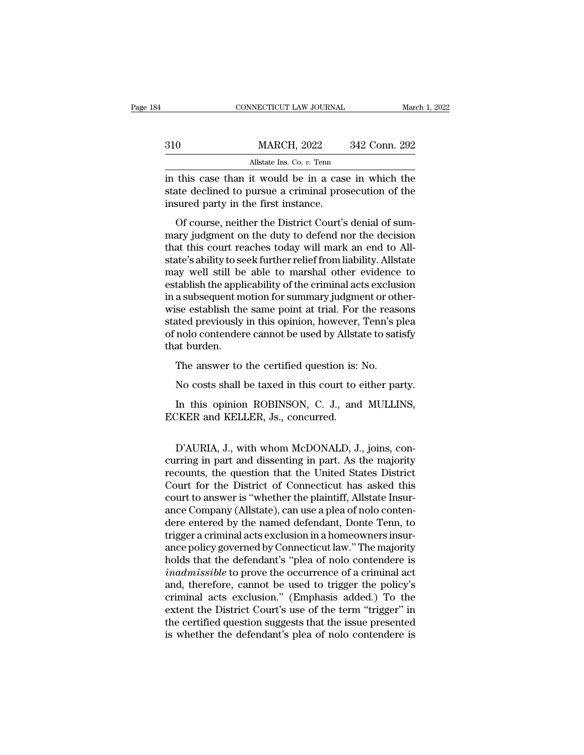| 34  | CONNECTICUT LAW JOURNAL                                                                                                                               | March 1, 2022 |
|-----|-------------------------------------------------------------------------------------------------------------------------------------------------------|---------------|
|     |                                                                                                                                                       |               |
| 310 | <b>MARCH, 2022</b>                                                                                                                                    | 342 Conn. 292 |
|     | Allstate Ins. Co. $v$ . Tenn                                                                                                                          |               |
|     | in this case than it would be in a case in which the<br>state declined to pursue a criminal prosecution of the<br>incured party in the first instance |               |

State declined to pursue a criminal prosecution of the insured party in the first instance.  $\begin{array}{c} \text{310} & \text{MARCH, 2022} \\ \text{4llstate Ins. Co. } v. \text{ Tenn} \\ \text{in this case than it would be in a cas state declined to pursue a criminal pro-  
insured party in the first instance. \\ \text{Of course, neither the District Court's} \end{array}$ MARCH, 2022 342 Conn. 292<br>
Allstate Ins. Co. v. Tenn<br>
this case than it would be in a case in which the<br>
tate declined to pursue a criminal prosecution of the<br>
sured party in the first instance.<br>
Of course, neither the Di

All state Ins. Co.  $v$ . Tenn<br>in this case than it would be in a case in which the<br>state declined to pursue a criminal prosecution of the<br>insured party in the first instance.<br>Of course, neither the District Court's denial in this case than it would be in a case in which the<br>state declined to pursue a criminal prosecution of the<br>insured party in the first instance.<br>Of course, neither the District Court's denial of sum-<br>mary judgment on the d in this case than it would be in a case in which the<br>state declined to pursue a criminal prosecution of the<br>insured party in the first instance.<br>Of course, neither the District Court's denial of sum-<br>mary judgment on the d insured party in the first instance.<br>
Of course, neither the District Court's denial of sum-<br>
mary judgment on the duty to defend nor the decision<br>
that this court reaches today will mark an end to All-<br>
state's ability to establish the same point at trial. For the reasons<br>wise, neither the District Court's denial of sum-<br>mary judgment on the duty to defend nor the decision<br>that this court reaches today will mark an end to All-<br>state's abili Of course, neither the District Court's denial of summary judgment on the duty to defend nor the decision<br>that this court reaches today will mark an end to All-<br>state's ability to seek further relief from liability. Allsta mary judgment on the duty to defend nor the decision<br>that this court reaches today will mark an end to All-<br>state's ability to seek further relief from liability. Allstate<br>may well still be able to marshal other evidence t that this court reaches today will mark an end to All-<br>state's ability to seek further relief from liability. Allstate<br>may well still be able to marshal other evidence to<br>establish the applicability of the criminal acts ex state's ability to seek further relief from liability. Allstate<br>may well still be able to marshal other evidence to<br>establish the applicability of the criminal acts exclusion<br>in a subsequent motion for summary judgment or may well still be<br>establish the appli<br>in a subsequent m<br>wise establish the<br>stated previously<br>of nolo contender<br>that burden.<br>The answer to The answer to the critical question is: No.<br>No costs shall be taken as well as the certified previously in this opinion, however, Tenn's p<br>nolo contendere cannot be used by Allstate to sati<br>at burden.<br>The answer to the cer se establish the same point at trial. For the reasons<br>ated previously in this opinion, however, Tenn's plea<br>nolo contendere cannot be used by Allstate to satisfy<br>at burden.<br>The answer to the certified question is: No.<br>No c nolo contendere cannot be used by Allstate to satisfy<br>at burden.<br>The answer to the certified question is: No.<br>No costs shall be taxed in this court to either party.<br>In this opinion ROBINSON, C. J., and MULLINS,<br>CKER and KE

That burden.<br>The answer to the certified question is:<br>No costs shall be taxed in this court to<br>In this opinion ROBINSON, C. J., and<br>ECKER and KELLER, Js., concurred.

In this opinion ROBINSON, C. J., and MULLINS,<br>In this opinion ROBINSON, C. J., and MULLINS,<br>EKER and KELLER, Js., concurred.<br>D'AURIA, J., with whom McDONALD, J., joins, con-<br>rring in part and dissenting in part. As the maj No costs shall be taxed in this court to either party.<br>
In this opinion ROBINSON, C. J., and MULLINS,<br>
ECKER and KELLER, Js., concurred.<br>
D'AURIA, J., with whom McDONALD, J., joins, concurring in part and dissenting in par In this opinion ROBINSON, C. J., and MULLINS,<br>ECKER and KELLER, Js., concurred.<br>D'AURIA, J., with whom McDONALD, J., joins, concurring in part and dissenting in part. As the majority<br>recounts, the question that the United IT dues opinion RODINGON, C. 3., and MCLIMES,<br>ECKER and KELLER, Js., concurred.<br>D'AURIA, J., with whom McDONALD, J., joins, con-<br>curring in part and dissenting in part. As the majority<br>recounts, the question that the Unite D'AURIA, J., with whom McDONALD, J., joins, concurring in part and dissenting in part. As the majority<br>recounts, the question that the United States District<br>Court for the District of Connecticut has asked this<br>court to an D'AURIA, J., with whom McDONALD, J., joins, concurring in part and dissenting in part. As the majority recounts, the question that the United States District Court for the District of Connecticut has asked this court to an D'AURIA, J., with whom McDONALD, J., joins, concurring in part and dissenting in part. As the majority<br>recounts, the question that the United States District<br>Court for the District of Connecticut has asked this<br>court to an curring in part and dissenting in part. As the majority<br>recounts, the question that the United States District<br>Court for the District of Connecticut has asked this<br>court to answer is "whether the plaintiff, Allstate Insurrecounts, the question that the United States District<br>Court for the District of Connecticut has asked this<br>court to answer is "whether the plaintiff, Allstate Insur-<br>ance Company (Allstate), can use a plea of nolo conten-Court for the District of Connecticut has asked this<br>court to answer is "whether the plaintiff, Allstate Insur-<br>ance Company (Allstate), can use a plea of nolo conten-<br>dere entered by the named defendant, Donte Tenn, to<br>tr court to answer is "whether the plaintiff, Allstate Insur-<br>ance Company (Allstate), can use a plea of nolo conten-<br>dere entered by the named defendant, Donte Tenn, to<br>trigger a criminal acts exclusion in a homeowners insur ance Company (Allstate), can use a plea of nolo conten-<br>dere entered by the named defendant, Donte Tenn, to<br>trigger a criminal acts exclusion in a homeowners insur-<br>ance policy governed by Connecticut law." The majority<br>ho dere entered by the named defendant, Donte Tenn, to<br>trigger a criminal acts exclusion in a homeowners insur-<br>ance policy governed by Connecticut law." The majority<br>holds that the defendant's "plea of nolo contendere is<br>*in* trigger a criminal acts exclusion in a homeowners insur-<br>ance policy governed by Connecticut law." The majority<br>holds that the defendant's "plea of nolo contendere is<br>inadmissible to prove the occurrence of a criminal act<br> ance policy governed by Connecticut law." The majority<br>holds that the defendant's "plea of nolo contendere is<br>inadmissible to prove the occurrence of a criminal act<br>and, therefore, cannot be used to trigger the policy's<br>cr holds that the defendant's "plea of nolo contendere is<br> *inadmissible* to prove the occurrence of a criminal act<br>
and, therefore, cannot be used to trigger the policy's<br>
criminal acts exclusion." (Emphasis added.) To the<br>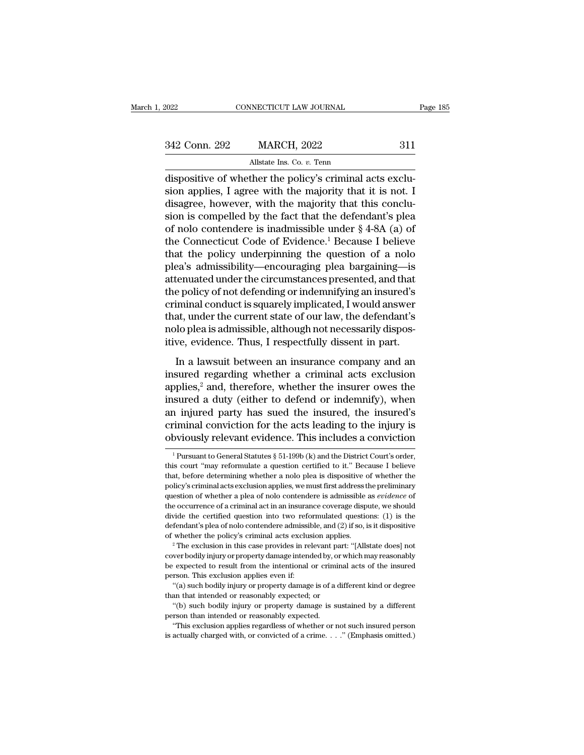| 2022          | CONNECTICUT LAW JOURNAL                                                                                                                                                      | Page 185 |
|---------------|------------------------------------------------------------------------------------------------------------------------------------------------------------------------------|----------|
|               |                                                                                                                                                                              |          |
| 342 Conn. 292 | <b>MARCH, 2022</b>                                                                                                                                                           | 311      |
|               | Allstate Ins. Co. $v$ . Tenn                                                                                                                                                 |          |
|               | dispositive of whether the policy's criminal acts exclu-<br>sion applies, I agree with the majority that it is not. I<br>digagree however with the majority that this conclu |          |

342 Conn. 292 MARCH, 2022 311<br>Allstate Ins. Co. v. Tenn<br>dispositive of whether the policy's criminal acts exclusion<br>applies, I agree with the majority that it is not. I<br>disagree, however, with the majority that this conclu 342 Conn. 292 MARCH, 2022 311<br>Allstate Ins. Co. v. Tenn<br>dispositive of whether the policy's criminal acts exclu-<br>sion applies, I agree with the majority that it is not. I<br>disagree, however, with the majority that this con 342 Conn. 292 MARCH, 2022 311<br>
allstate Ins. Co. v. Tenn<br>
dispositive of whether the policy's criminal acts exclusion<br>
applies, I agree with the majority that it is not. I<br>
disagree, however, with the majority that this c Allstate Ins. Co. v. Tenn<br>
dispositive of whether the policy's criminal acts exclusion<br>
applies, I agree with the majority that it is not. I<br>
disagree, however, with the majority that this conclu-<br>
sion is compelled by th All dispositive of whether the policy's criminal acts exclusion applies, I agree with the majority that it is not. I disagree, however, with the majority that this conclusion is compelled by the fact that the defendant's dispositive of whether the policy's criminal acts exclusion applies, I agree with the majority that it is not. I<br>disagree, however, with the majority that this conclusion is compelled by the fact that the defendant's plea<br> sion applies, I agree with the majority that it is not. I<br>disagree, however, with the majority that this conclu-<br>sion is compelled by the fact that the defendant's plea<br>of nolo contendere is inadmissible under § 4-8A (a) o disagree, however, with the majority that this conclusion is compelled by the fact that the defendant's plea<br>of nolo contendere is inadmissible under § 4-8A (a) of<br>the Connecticut Code of Evidence.<sup>1</sup> Because I believe<br>tha sion is compelled by the fact that the defendant's plea<br>of nolo contendere is inadmissible under § 4-8A (a) of<br>the Connecticut Code of Evidence.<sup>1</sup> Because I believe<br>that the policy underpinning the question of a nolo<br>plea of nolo contendere is inadmissible under § 4-8A (a) of<br>the Connecticut Code of Evidence.<sup>1</sup> Because I believe<br>that the policy underpinning the question of a nolo<br>plea's admissibility—encouraging plea bargaining—is<br>attenuat the Connecticut Code of Evidence.<sup>1</sup> Because I believe<br>that the policy underpinning the question of a nolo<br>plea's admissibility—encouraging plea bargaining—is<br>attenuated under the circumstances presented, and that<br>the poli that the policy underpinning the question of a nolo<br>plea's admissibility—encouraging plea bargaining—is<br>attenuated under the circumstances presented, and that<br>the policy of not defending or indemnifying an insured's<br>crimin plea's admissibility—encouraging plea bargaining—is<br>attenuated under the circumstances presented, and that<br>the policy of not defending or indemnifying an insured's<br>criminal conduct is squarely implicated, I would answer<br>th Example policy of not defending or indemnifying an insured's<br>
iminal conduct is squarely implicated, I would answer<br>
at, under the current state of our law, the defendant's<br>
lo plea is admissible, although not necessarily criminal conduct is squarely implicated, I would answer<br>that, under the current state of our law, the defendant's<br>nolo plea is admissible, although not necessarily dispos-<br>itive, evidence. Thus, I respectfully dissent in

that, under the current state of our law, the defendant's<br>nolo plea is admissible, although not necessarily dispos-<br>itive, evidence. Thus, I respectfully dissent in part.<br>In a lawsuit between an insurance company and an<br>in nolo plea is admissible, although not necessarily dispositive, evidence. Thus, I respectfully dissent in part.<br>In a lawsuit between an insurance company and an insured regarding whether a criminal acts exclusion applies,<sup>2</sup> itive, evidence. Thus, I respectfully dissent in part.<br>In a lawsuit between an insurance company and an<br>insured regarding whether a criminal acts exclusion<br>applies,<sup>2</sup> and, therefore, whether the insurer owes the<br>insured a In a lawsuit between an insurance company and an insured regarding whether a criminal acts exclusion applies,<sup>2</sup> and, therefore, whether the insurer owes the insured a duty (either to defend or indemnify), when an injured In a lawsuit between an insurance company and an<br>insured regarding whether a criminal acts exclusion<br>applies,<sup>2</sup> and, therefore, whether the insurer owes the<br>insured a duty (either to defend or indemnify), when<br>an injured sured a duty (either to defend or indemnity), when<br>
1 injured party has sued the insured, the insured's<br>
iminal conviction for the acts leading to the injury is<br>
by by position evidence. This includes a conviction<br>  $\frac{1}{$ an injured party has sued the insured, the insured's<br>criminal conviction for the acts leading to the injury is<br>obviously relevant evidence. This includes a conviction<br> $\frac{1}{1}$ Pursuant to General Statutes § 51-199b (k) an

criminal conviction for the acts leading to the injury is<br>obviously relevant evidence. This includes a conviction<br> $1\,\text{Pursuant to General Statistics § 51-199b (k) and the District Court's order, this court "may reformulate a question certified to it." Because I believe that, before determining whether a nolo plea is dissipative of whether the policy's criminal acts exclusion applies, we must first address the preliminary$ **Polynomially relevant evidence. This includes a conviction**<br> $\frac{1}{1}$  Pursuant to General Statutes § 51-199b (k) and the District Court's order, this court "may reformulate a question certified to it." Because I believe obviously relevant evidence. This includes a conviction  $\frac{1}{1}$  Pursuant to General Statutes § 51-199b (k) and the District Court's order, this court "may reformulate a question certified to it." Because I believe that, <sup>1</sup> Pursuant to General Statutes  $\S$  51-199b (k) and the District Court's order, this court "may reformulate a question certified to it." Because I believe that, before determining whether a nolo plea is dispositive of wh this court "may reformulate a question certified to it." Because I believe that, before determining whether a nolo plea is dispositive of whether the policy's criminal acts exclusion applies, we must first address the pre definited and the main of the admissible admissible administration of whether the policy's criminal acts exclusion applies, we must first address the preliminary question of whether a plea of nolo contendere is admissible policy's criminal acts exclusion applies, we must first address the preliminary question of whether a plea of nolo contendere is admissible as *evidence* of the occurrence of a criminal act in an insurance coverage dispute the occurrence of a criminal act in an insurance coverage dispute, we should divide the certified question into two reformulated questions: (1) is the defendant's plea of nolo contendere admissible, and (2) if so, is it di

divide the certified question into two reformulated questions: (1) is the defendant's plea of nolo contendere admissible, and (2) if so, is it dispositive of whether the policy's criminal acts exclusion applies.<br><sup>2</sup> The ex defendant's plea of nolo contendere admissible, and (2) if so, is it dispositive<br>of whether the policy's criminal acts exclusion applies.<br><sup>2</sup> The exclusion in this case provides in relevant part: "[Allstate does] not<br>cove whether the policy's criminal acts exclusion applies.<br>
<sup>2</sup> The exclusion in this case provides in relevant part: "[Allstate does] not wer bodily injury or property damage intended by, or which may reasonably expected to r The exclusion in this case provides in relevant part<br>
cover bodily injury or property damage intended by, or w<br>
cover bodily injury or property damage intended by, or w<br>
be expected to result from the intentional or crimin The bodily injury or property damage intended by, or which may reasonably<br>
ver bodily injury or property damage intended by, or which may reasonably<br>
respected to result from the intentional or criminal acts of the insured be expected to result from the intentional or criminal acts of the insured person. This exclusion applies even if:<br>
"(a) such bodily injury or property damage is of a different kind or degree than that intended or reasona

<sup>&</sup>quot;(a) such bodily injury or property damage is of a different kind or degree

This exclusion applies even if:<br>
"(a) such bodily injury or property damage is of a different kind or degree<br>
an that intended or reasonably expected; or<br>
"(b) such bodily injury or property damage is sustained by a diffe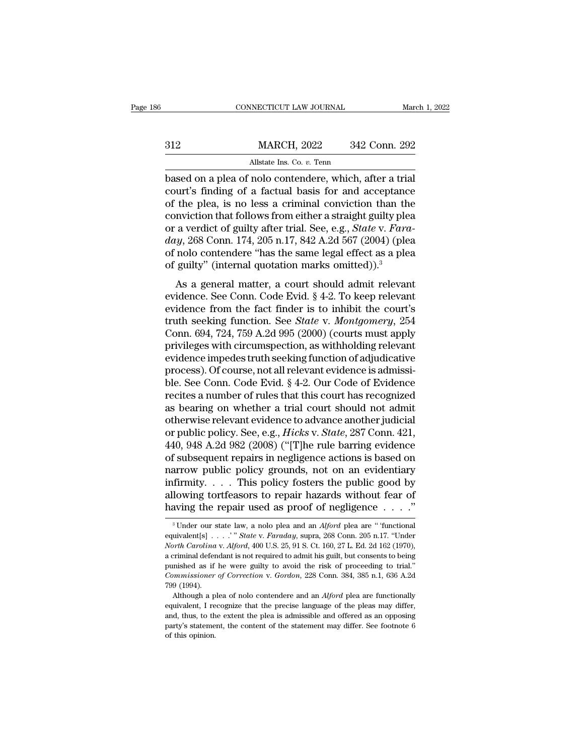|     | CONNECTICUT LAW JOURNAL                                  | March 1, 2022 |
|-----|----------------------------------------------------------|---------------|
|     |                                                          |               |
| 312 | <b>MARCH, 2022</b>                                       | 342 Conn. 292 |
|     | Allstate Ins. Co. v. Tenn                                |               |
|     | hased on a plea of nolo contendere, which, after a trial |               |

CONNECTICUT LAW JOURNAL March 1, 20<br>
Based on a plea of nolo contendere, which, after a trial<br>
court's finding of a factual basis for and acceptance<br>
of the plea is no less a criminal conviction than the MARCH, 2022 342 Conn. 292<br>Allstate Ins. Co. v. Tenn<br>based on a plea of nolo contendere, which, after a trial<br>court's finding of a factual basis for and acceptance<br>of the plea, is no less a criminal conviction than the<br>conv MARCH, 2022 342 Conn. 292<br>Allstate Ins. Co. v. Tenn<br>based on a plea of nolo contendere, which, after a trial<br>court's finding of a factual basis for and acceptance<br>of the plea, is no less a criminal conviction than the<br>con MARCH, 2022 342 Conn. 292<br>
MIstate Ins. Co. v. Tenn<br>
based on a plea of nolo contendere, which, after a trial<br>
court's finding of a factual basis for and acceptance<br>
of the plea, is no less a criminal conviction than the<br> Allstate Ins. Co. *v.* Tenn<br>based on a plea of nolo contendere, which, after a trial<br>court's finding of a factual basis for and acceptance<br>of the plea, is no less a criminal conviction than the<br>conviction that follows from *data is. Co. v. Tenn*<br>
based on a plea of nolo contendere, which, after a trial<br>
court's finding of a factual basis for and acceptance<br>
of the plea, is no less a criminal conviction than the<br>
conviction that follows from based on a plea of nolo contendere, which, after a trial court's finding of a factual basis for and acceptance of the plea, is no less a criminal conviction than the conviction that follows from either a straight guilty p court's finding of a factual basis for and acceptanc<br>of the plea, is no less a criminal conviction than the<br>conviction that follows from either a straight guilty ple<br>or a verdict of guilty after trial. See, e.g., *State v* Final matter, a court should admit relevant<br>as a verdict of guilty after trial. See, e.g., *State v. Fara-*<br> $y$ , 268 Conn. 174, 205 n.17, 842 A.2d 567 (2004) (plea<br>nolo contendere "has the same legal effect as a plea<br>guil conviction that follows from entiter a straight guilty piea<br>or a verdict of guilty after trial. See, e.g., *State v. Fara-*<br>day, 268 Conn. 174, 205 n.17, 842 A.2d 567 (2004) (plea<br>of nolo contendere "has the same legal ef

or a vertact or gainty arter trial. See, e.g., batte v. *Fura-day*, 268 Conn. 174, 205 n.17, 842 A.2d 567 (2004) (plea<br>of nolo contendere "has the same legal effect as a plea<br>of guilty" (internal quotation marks omitted)) truth seeking function. See *State* v. *Montgomery*, 254 Conn. 694, 724, 759 A.2d 907 (2004) (picarely of pully" (internal quotation marks omitted)).<sup>3</sup><br>As a general matter, a court should admit relevant evidence. See Conn of guilty" (internal quotation marks omitted)).<sup>3</sup><br>As a general matter, a court should admit relevant<br>evidence. See Conn. Code Evid. § 4-2. To keep relevant<br>evidence from the fact finder is to inhibit the court's<br>truth se As a general matter, a court should admit relevant<br>evidence. See Conn. Code Evid. § 4-2. To keep relevant<br>evidence from the fact finder is to inhibit the court's<br>truth seeking function. See *State v. Montgomery*, 254<br>Conn As a general matter, a court should admit relevant<br>evidence. See Conn. Code Evid. § 4-2. To keep relevant<br>evidence from the fact finder is to inhibit the court's<br>truth seeking function. See *State* v. *Montgomery*, 254<br>Co evidence. See Conn. Code Evid. § 4-2. To keep relevant evidence from the fact finder is to inhibit the court's truth seeking function. See *State* v. *Montgomery*, 254 Conn. 694, 724, 759 A.2d 995 (2000) (courts must appl evidence from the fact finder is to inhibit the court's<br>truth seeking function. See *State* v. *Montgomery*, 254<br>Conn. 694, 724, 759 A.2d 995 (2000) (courts must apply<br>privileges with circumspection, as withholding relevan truth seeking function. See *State* v. *Montgomery*, 254<br>Conn. 694, 724, 759 A.2d 995 (2000) (courts must apply<br>privileges with circumspection, as withholding relevant<br>evidence impedes truth seeking function of adjudicativ Conn. 694, 724, 759 A.2d 995 (2000) (courts must apply<br>privileges with circumspection, as withholding relevant<br>evidence impedes truth seeking function of adjudicative<br>process). Of course, not all relevant evidence is admi privileges with circumspection, as withholding relevant<br>evidence impedes truth seeking function of adjudicative<br>process). Of course, not all relevant evidence is admissi-<br>ble. See Conn. Code Evid. § 4-2. Our Code of Eviden evidence impedes truth seeking function of adjudicative<br>process). Of course, not all relevant evidence is admissi-<br>ble. See Conn. Code Evid. § 4-2. Our Code of Evidence<br>recites a number of rules that this court has recogni process). Of course, not all relevant evidence is admissible. See Conn. Code Evid. § 4-2. Our Code of Evidence<br>recites a number of rules that this court has recognized<br>as bearing on whether a trial court should not admit<br>o ble. See Conn. Code Evid. § 4-2. Our Code of Evidence<br>recites a number of rules that this court has recognized<br>as bearing on whether a trial court should not admit<br>otherwise relevant evidence to advance another judicial<br>or recites a number of rules that this court has recognized<br>as bearing on whether a trial court should not admit<br>otherwise relevant evidence to advance another judicial<br>or public policy. See, e.g., *Hicks* v. *State*, 287 Con as bearing on whether a trial court should not admit<br>otherwise relevant evidence to advance another judicial<br>or public policy. See, e.g., *Hicks v. State*, 287 Conn. 421,<br>440, 948 A.2d 982 (2008) ("[T]he rule barring evide otherwise relevant evidence to advance another judicial<br>or public policy. See, e.g., *Hicks v. State*, 287 Conn. 421,<br>440, 948 A.2d 982 (2008) ("[T]he rule barring evidence<br>of subsequent repairs in negligence actions is ba or public policy. See, e.g., *Hicks* v. *State*, 287 Conn. 421, 440, 948 A.2d 982 (2008) ("[T]he rule barring evidence of subsequent repairs in negligence actions is based on narrow public policy grounds, not on an eviden arrow public policy grounds, not on an evidentiary<br>firmity.... This policy fosters the public good by<br>lowing tortfeasors to repair hazards without fear of<br>aving the repair used as proof of negligence....."<br><sup>3</sup>Under our sta infirmity. . . . . This policy fosters the public good by<br>allowing tortfeasors to repair hazards without fear of<br>having the repair used as proof of negligence . . . ."<br><sup>3</sup> Under our state law, a nolo plea and an *Alford* p

*North Carolina* v. *Alford*, 400 U.S. 25, 91 S. Ct. 160, 27 L. Ed. 2d 162 (1970), having the repair used as proof of negligence . . . . ."<br>
<sup>3</sup> Under our state law, a nolo plea and an *Alford* plea are "functional equivalent[s] . . . . " State v. *Faraday*, supra, 268 Conn. 205 n.17. "Under *North Caro* purished as if the were guilty to avoid the risk of proceeding to trial.''<br>Contributional equivalent[s] . . . .'" State v. Faraday, supra, 268 Conn. 205 n.17. "Under North Carolina v. Alford, 400 U.S. 25, 91 S. Ct. 160, 2 <sup>3</sup> Under our state law, a nolo plea and an *Alford* plea are " functional equivalent[s] . . . . " State v. *Faraday*, supra, 268 Conn. 205 n.17. "Under *North Carolina* v. *Alford*, 400 U.S. 25, 91 S. Ct. 160, 27 L. Ed. 2 equivalent[s].<br> *North Carolina*<br>
a criminal defen<br>
punished as if l<br> *Commissioner*<br>
799 (1994).<br>
Although a pl orth Carolina v. Alford, 400 U.S. 25, 91 S. Ct. 160, 27 L. Ed. 2d 162 (1970), content Carolina v. Alford, 400 U.S. 25, 91 S. Ct. 160, 27 L. Ed. 2d 162 (1970), criminal defendant is not required to admit his guilt, but cons a criminal defendant is not required to admit his guilt, but consents to being<br>punished as if he were guilty to avoid the risk of proceeding to trial."<br>*Commissioner of Correction* v. *Gordon*, 228 Conn. 384, 385 n.1, 636

and, thus, the were guilty to avoid the risk of proceeding to trial."<br>
Commissioner of Correction v. Gordon, 228 Conn. 384, 385 n.1, 636 A.2d<br>
799 (1994).<br>
Although a plea of nolo contendere and an *Alford* plea are functi *Commissioner of Correction v. Gordon,* 228 Conn. 384, 385 n.1, 636 A.2d 799 (1994).<br>Although a plea of nolo contendere and an *Alford* plea are functionally equivalent, I recognize that the precise language of the pleas m equivalent, I recognize that the precise language of the pleas may differ, and, thus, to the extent the plea is admissible and offered as an opposing party's statement, the content of the statement may differ. See footnote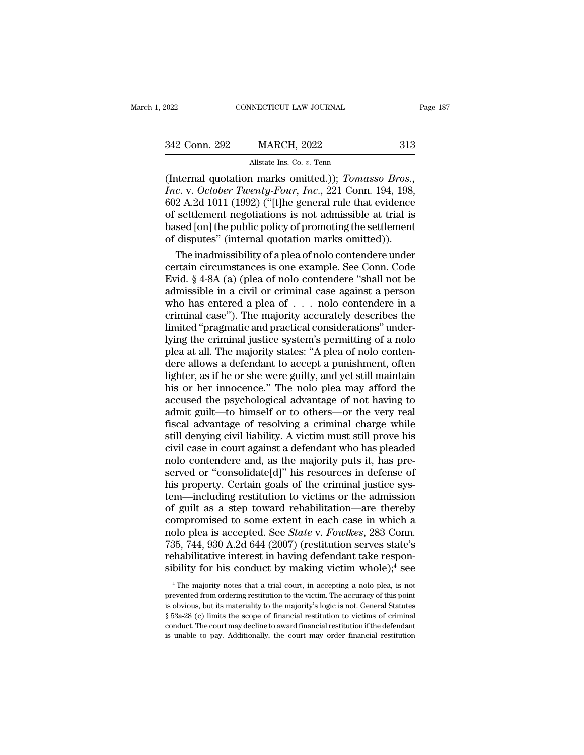| 2022          | CONNECTICUT LAW JOURNAL                                  | Page 187 |
|---------------|----------------------------------------------------------|----------|
| 342 Conn. 292 | <b>MARCH, 2022</b>                                       | 313      |
|               | Allstate Ins. Co. $v$ . Tenn                             |          |
|               | (Internal quotation marks omitted)). <i>Tomasso Bros</i> |          |

EXECUTE CONNECTICUT LAW JOURNAL Page 1<br>
1992 MARCH, 2022 313<br>
Allstate Ins. Co. v. Tenn<br>
(Internal quotation marks omitted.)); *Tomasso Bros.*,<br> *Inc.* v. *October Twenty-Four, Inc.*, 221 Conn. 194, 198,<br>
602 A 2d 1011 (19 *Inc.* 2022 *Inc. Inc. Inc. Inc. Inc. Inc. Inc. V. October Twenty-Four, Inc.*, 221 Conn. 194, 198, 602 A.2d 1011 (1992) ("[t]he general rule that evidence of settlement negotiations is not admissible at trial 342 Conn. 292 MARCH, 2022 313<br>Allstate Ins. Co. v. Tenn<br>(Internal quotation marks omitted.)); *Tomasso Bros.*,<br>*Inc.* v. *October Twenty-Four*, *Inc.*, 221 Conn. 194, 198,<br>602 A.2d 1011 (1992) ("[t]he general rule that ev 342 Conn. 292 MARCH, 2022 313<br>
Allstate Ins. Co. v. Tenn<br>
(Internal quotation marks omitted.)); *Tomasso Bros.*,<br> *Inc.* v. *October Twenty-Four*, *Inc.*, 221 Conn. 194, 198,<br>
602 A.2d 1011 (1992) ("[t]he general rule that Allstate Ins. Co. *v.* Tenn<br>
(Internal quotation marks omitted.)); *Tomasso Bros.*,<br> *Inc.* v. *October Twenty-Four*, *Inc.*, 221 Conn. 194, 198,<br>
602 A.2d 1011 (1992) ("[t]he general rule that evidence<br>
of settlement nego All State Ins. Co. v. Tenn<br>
(Internal quotation marks omitted.)); *Tomasso Bros.*,<br> *Inc.* v. *October Twenty-Four*, *Inc.*, 221 Conn. 194, 198,<br>
602 A.2d 1011 (1992) ("[t]he general rule that evidence<br>
of settlement negot ternal quotation marks omitted.)); *Tomasso Bros.*,<br>c. v. *October Twenty-Four*, *Inc.*, 221 Conn. 194, 198,<br>2 A.2d 1011 (1992) ("[t]he general rule that evidence<br>settlement negotiations is not admissible at trial is<br>sed [ Inc. v. October Twenty-Four, Inc., 221 Conn. 194, 198, 602 A.2d 1011 (1992) ("[t]he general rule that evidence of settlement negotiations is not admissible at trial is based [on] the public policy of promoting the settlem

602 A.2d 1011 (1992) ("[t]he general rule that evidence<br>of settlement negotiations is not admissible at trial is<br>based [on] the public policy of promoting the settlement<br>of disputes" (internal quotation marks omitted)).<br>T of settlement negotiations is not admissible at trial is<br>based [on] the public policy of promoting the settlement<br>of disputes" (internal quotation marks omitted)).<br>The inadmissibility of a plea of nolo contendere under<br>ce based [on] the public policy of promoting the settlement<br>of disputes" (internal quotation marks omitted)).<br>The inadmissibility of a plea of nolo contendere under<br>certain circumstances is one example. See Conn. Code<br>Evid. of disputes" (internal quotation marks omitted)).<br>The inadmissibility of a plea of nolo contendere under<br>certain circumstances is one example. See Conn. Code<br>Evid. § 4-8A (a) (plea of nolo contendere "shall not be<br>admissib The inadmissibility of a plea of nolo contendere under<br>certain circumstances is one example. See Conn. Code<br>Evid. § 4-8A (a) (plea of nolo contendere "shall not be<br>admissible in a civil or criminal case against a person<br>w certain circumstances is one example. See Conn. Code<br>Evid. § 4-8A (a) (plea of nolo contendere "shall not be<br>admissible in a civil or criminal case against a person<br>who has entered a plea of . . . nolo contendere in a<br>crim Evid.  $\S$  4-8A (a) (plea of nolo contendere "shall not be admissible in a civil or criminal case against a person who has entered a plea of  $\ldots$  nolo contendere in a criminal case"). The majority accurately describes the admissible in a civil or criminal case against a person<br>who has entered a plea of  $\ldots$  nolo contendere in a<br>criminal case"). The majority accurately describes the<br>limited "pragmatic and practical considerations" under-<br>l who has entered a plea of  $\ldots$  nolo contendere in a criminal case"). The majority accurately describes the limited "pragmatic and practical considerations" underlying the criminal justice system's permitting of a nolo pl criminal case"). The majority accurately describes the<br>limited "pragmatic and practical considerations" under-<br>lying the criminal justice system's permitting of a nolo<br>plea at all. The majority states: "A plea of nolo cont limited "pragmatic and practical considerations" underlying the criminal justice system's permitting of a nolo<br>plea at all. The majority states: "A plea of nolo conten-<br>dere allows a defendant to accept a punishment, often lying the criminal justice system's permitting of a nolo<br>plea at all. The majority states: "A plea of nolo conten-<br>dere allows a defendant to accept a punishment, often<br>lighter, as if he or she were guilty, and yet still m plea at all. The majority states: "A plea of nolo contendere allows a defendant to accept a punishment, often lighter, as if he or she were guilty, and yet still maintain his or her innocence." The nolo plea may afford the dere allows a defendant to accept a punishment, often<br>lighter, as if he or she were guilty, and yet still maintain<br>his or her innocence." The nolo plea may afford the<br>accused the psychological advantage of not having to<br>ad lighter, as if he or she were guilty, and yet still maintain<br>his or her innocence." The nolo plea may afford the<br>accused the psychological advantage of not having to<br>admit guilt—to himself or to others—or the very real<br>fis his or her innocence." The nolo plea may afford the accused the psychological advantage of not having to admit guilt—to himself or to others—or the very real fiscal advantage of resolving a criminal charge while still deny accused the psychological advantage of not having to<br>admit guilt—to himself or to others—or the very real<br>fiscal advantage of resolving a criminal charge while<br>still denying civil liability. A victim must still prove his<br>c admit guilt—to himself or to others—or the very real<br>fiscal advantage of resolving a criminal charge while<br>still denying civil liability. A victim must still prove his<br>civil case in court against a defendant who has pleade fiscal advantage of resolving a criminal charge while<br>still denying civil liability. A victim must still prove his<br>civil case in court against a defendant who has pleaded<br>nolo contendere and, as the majority puts it, has p still denying civil liability. A victim must still prove his<br>civil case in court against a defendant who has pleaded<br>nolo contendere and, as the majority puts it, has pre-<br>served or "consolidate[d]" his resources in defens civil case in court against a defendant who has pleaded<br>nolo contendere and, as the majority puts it, has pre-<br>served or "consolidate[d]" his resources in defense of<br>his property. Certain goals of the criminal justice sys nolo contendere and, as the majority puts it, has preserved or "consolidate[d]" his resources in defense of<br>his property. Certain goals of the criminal justice sys-<br>tem—including restitution to victims or the admission<br>of served or "consolidate[d]" his resources in defense of<br>his property. Certain goals of the criminal justice sys-<br>tem—including restitution to victims or the admission<br>of guilt as a step toward rehabilitation—are thereby<br>com his property. Certain goals of the criminal justice system—including restitution to victims or the admission<br>of guilt as a step toward rehabilitation—are thereby<br>compromised to some extent in each case in which a<br>nolo ple tem—including restitution to victims or the admission<br>of guilt as a step toward rehabilitation—are thereby<br>compromised to some extent in each case in which a<br>nolo plea is accepted. See *State* v. Fowlkes, 283 Conn.<br>735, 7 olo plea is accepted. See *State v. Fowlkes*, 283 Conn.<br>35, 744, 930 A.2d 644 (2007) (restitution serves state's<br>thabilitative interest in having defendant take respon-<br>bility for his conduct by making victim whole);<sup>4</sup> se 735, 744, 930 A.2d 644 (2007) (restitution serves state's rehabilitative interest in having defendant take responsibility for his conduct by making victim whole);<sup>4</sup> see  $\frac{4}{1}$  The majority notes that a trial court, in

rehabilitative interest in having defendant take responsibility for his conduct by making victim whole);<sup>4</sup> see<br><sup>4</sup>The majority notes that a trial court, in accepting a nolo plea, is not<br>prevented from ordering restitutio sibility for his conduct by making victim whole);<sup>4</sup> see<br><sup>4</sup>The majority notes that a trial court, in accepting a nolo plea, is not<br>prevented from ordering restitution to the victim. The accuracy of this point<br>is obvious, SIDIIIIV TOF THIS CONDUCT DY INTERTUAL WHOLE  $j$ ; see<br>
<sup>4</sup> The majority notes that a trial court, in accepting a nolo plea, is not<br>
prevented from ordering restitution to the victim. The accuracy of this point<br>
is obvious prevented from ordering restitution to the victim. The accuracy of this point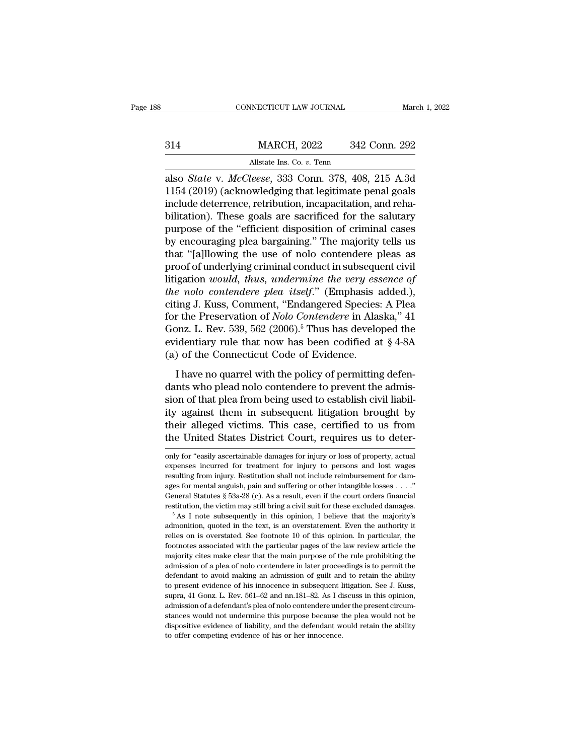|     | CONNECTICUT LAW JOURNAL                                | March 1, 2022 |
|-----|--------------------------------------------------------|---------------|
|     |                                                        |               |
| 314 | <b>MARCH, 2022</b>                                     | 342 Conn. 292 |
|     | Allstate Ins. Co. v. Tenn                              |               |
|     | also <i>State y McCleese</i> 333 Conn 378 408 215 A 3d |               |

connectricut LAW JOURNAL March 1, 2022<br> **Also** *State* v. *McCleese*, 333 Conn. 378, 408, 215 A.3d<br> **Also** *State* v. *McCleese*, 333 Conn. 378, 408, 215 A.3d<br> **Also** *State* v. *McCleese*, 333 Conn. 378, 408, 215 A.3d<br> **A** MARCH, 2022 342 Conn. 292<br>Allstate Ins. Co. v. Tenn<br>also *State* v. *McCleese*, 333 Conn. 378, 408, 215 A.3d<br>1154 (2019) (acknowledging that legitimate penal goals<br>include deterrence, retribution, incapacitation, and reha-MARCH, 2022 342 Conn. 292<br>
allstate Ins. Co. v. Tenn<br>
also *State* v. *McCleese*, 333 Conn. 378, 408, 215 A.3d<br>
1154 (2019) (acknowledging that legitimate penal goals<br>
include deterrence, retribution, incapacitation, and r MARCH, 2022 342 Conn. 292<br>
allstate Ins. Co. v. Tenn<br>
also *State* v. *McCleese*, 333 Conn. 378, 408, 215 A.3d<br>
1154 (2019) (acknowledging that legitimate penal goals<br>
include deterrence, retribution, incapacitation, and r Allstate Ins. Co. v. Tenn<br>also *State* v. *McCleese*, 333 Conn. 378, 408, 215 A.3d<br>1154 (2019) (acknowledging that legitimate penal goals<br>include deterrence, retribution, incapacitation, and reha-<br>bilitation). These goals Ansiate ins. Co. *v.* 1em<br>also *State* v. *McCleese*, 333 Conn. 378, 408, 215 A.3d<br>1154 (2019) (acknowledging that legitimate penal goals<br>include deterrence, retribution, incapacitation, and reha-<br>bilitation). These goals also *State* v. *McCleese*, 333 Conn. 378, 408, 215 A.3d<br>1154 (2019) (acknowledging that legitimate penal goals<br>include deterrence, retribution, incapacitation, and reha-<br>bilitation). These goals are sacrificed for the sal 1154 (2019) (acknowledging that legitimate penal goals<br>include deterrence, retribution, incapacitation, and reha-<br>bilitation). These goals are sacrificed for the salutary<br>purpose of the "efficient disposition of criminal include deterrence, retribution, incapacitation, and reha-<br>bilitation). These goals are sacrificed for the salutary<br>purpose of the "efficient disposition of criminal cases<br>by encouraging plea bargaining." The majority tell bilitation). These goals are sacrificed for the salutary<br>purpose of the "efficient disposition of criminal cases<br>by encouraging plea bargaining." The majority tells us<br>that "[a]llowing the use of nolo contendere pleas as<br>p purpose of the "efficient disposition of criminal cases<br>by encouraging plea bargaining." The majority tells us<br>that "[a]llowing the use of nolo contendere pleas as<br>proof of underlying criminal conduct in subsequent civil<br>l by encouraging plea bargaining." The majority tells us<br>that "[a]llowing the use of nolo contendere pleas as<br>proof of underlying criminal conduct in subsequent civil<br>litigation *would*, *thus*, *undermine the very essence o* that "[a]llowing the use of nolo contendere pleas as<br>proof of underlying criminal conduct in subsequent civil<br>litigation *would*, *thus*, *undermine the very essence of*<br>*the nolo contendere plea itself.*" (Emphasis added proof of underlying criminal conduct in subsequent civil<br>litigation *would*, *thus*, *undermine the very essence of*<br>*the nolo contendere plea itself.*" (Emphasis added.),<br>citing J. Kuss, Comment, "Endangered Species: A P litigation *would, thus, undermine the very essence of*<br>the nolo contendere plea itself." (Emphasis added.),<br>citing J. Kuss, Comment, "Endangered Species: A Plea<br>for the Preservation of *Nolo Contendere* in Alaska," 41<br>Go ing J. Kuss, Comment, "Endangered Species: A Plear<br>or the Preservation of *Nolo Contendere* in Alaska," 41<br>onz. L. Rev. 539, 562 (2006).<sup>5</sup> Thus has developed the<br>identiary rule that now has been codified at § 4-8A<br>of the for the Preservation of *Nolo Contendere* in Alaska," 41<br>Gonz. L. Rev. 539, 562 (2006).<sup>5</sup> Thus has developed the<br>evidentiary rule that now has been codified at § 4-8A<br>(a) of the Connecticut Code of Evidence.<br>I have no qu

Gonz. L. Rev. 539, 562 (2006).<sup>5</sup> Thus has developed the evidentiary rule that now has been codified at  $\S$  4-8A (a) of the Connecticut Code of Evidence.<br>I have no quarrel with the policy of permitting defendants who plea evidentiary rule that now has been codified at  $§$  4-8A (a) of the Connecticut Code of Evidence.<br>
I have no quarrel with the policy of permitting defendants who plead nolo contendere to prevent the admission of that plea (a) of the Connecticut Code of Evidence.<br>
I have no quarrel with the policy of permitting defendants who plead nolo contendere to prevent the admission of that plea from being used to establish civil liability against them I have no quarrel with the policy of permitting defendants who plead nolo contendere to prevent the admission of that plea from being used to establish civil liability against them in subsequent litigation brought by their sion of that plea from being used to establish civil hability against them in subsequent litigation brought by<br>their alleged victims. This case, certified to us from<br>the United States District Court, requires us to deter-<br> ity against them in subsequent litigation brought by<br>their alleged victims. This case, certified to us from<br>the United States District Court, requires us to deter-<br>only for "easily ascertainable damages for injury or loss

their alleged victims. This case, certified to us from<br>the United States District Court, requires us to deter-<br>only for "easily ascertainable damages for injury or loss of property, actual<br>expenses incurred for treatment f the United States District Court, requires us to deter-<br>only for "easily ascertainable damages for injury or loss of property, actual<br>expenses incurred for treatment for injury to persons and lost wages<br>resulting from inju The Critical Statures District Court, requires us to deter-<br>only for "easily ascertainable damages for injury or loss of property, actual<br>expenses incurred for treatment for injury to persons and lost wages<br>resulting from only for "easily ascertainable damages for injury or loss of property, actual expenses incurred for treatment for injury to persons and lost wages resulting from injury. Restitution shall not include reimbursement for dam are<br>sulting from injury. Restitution shall not include reimbursement for dam-<br>ages for mental anguish, pain and suffering or other intangible losses . . . ."<br>General Statutes § 53a-28 (c). As a result, even if the court o

relies on in and suffering or other intangible losses  $\ldots$ ."<br>General Statutes § 53a-28 (c). As a result, even if the court orders financial<br>restitution, the victim may still bring a civil suit for these excluded damages. General Statutes § 53a-28 (c). As a result, even if the court orders financial General Statutes § 53a-28 (c). As a result, even if the court orders financial restitution, the victim may still bring a civil suit for these restitution, the victim may still bring a civil suit for these excluded damages.<br>  $\delta$  As I note subsequently in this opinion, I believe that the majority's admonition, quoted in the text, is an overstatement. Even the au <sup>5</sup> As I note subsequently in this opinion, I believe that the majority's admonition, quoted in the text, is an overstatement. Even the authority it relies on is overstated. See footnote 10 of this opinion. In particular, admonition, quoted in the text, is an overstatement. Even the authority it relies on is overstated. See footnote 10 of this opinion. In particular, the footnotes associated with the particular pages of the law review artic are<br>existed the control of this opinion. In particular, the<br>footnotes associated with the particular pages of the law review article the<br>majority cites make clear that the main purpose of the rule prohibiting the<br>admission Footnotes associated with the particular pages of the law review article the majority cites make clear that the main purpose of the rule prohibiting the admission of a plea of nolo contendere in later proceedings is to per majority cites make clear that the main purpose of the rule prohibiting the admission of a plea of nolo contendere in later proceedings is to permit the defendant to avoid making an admission of guilt and to retain the abi stances would making an admission of a plea of nolo contendere in later proceedings is to permit the defendant to avoid making an admission of guilt and to retain the ability to present evidence of his innocence in subsequ defendant to avoid making an admission of guilt and to retain the ability<br>defendant to avoid making an admission of guilt and to retain the ability<br>to present evidence of his innocence in subsequent litigation. See J. Kuss to present evidence of his innocence in subsequent litigation. See J. Kuss, supra, 41 Gonz. L. Rev. 561–62 and nn.181–82. As I discuss in this opinion, admission of a defendant's plea of nolo contendere under the present c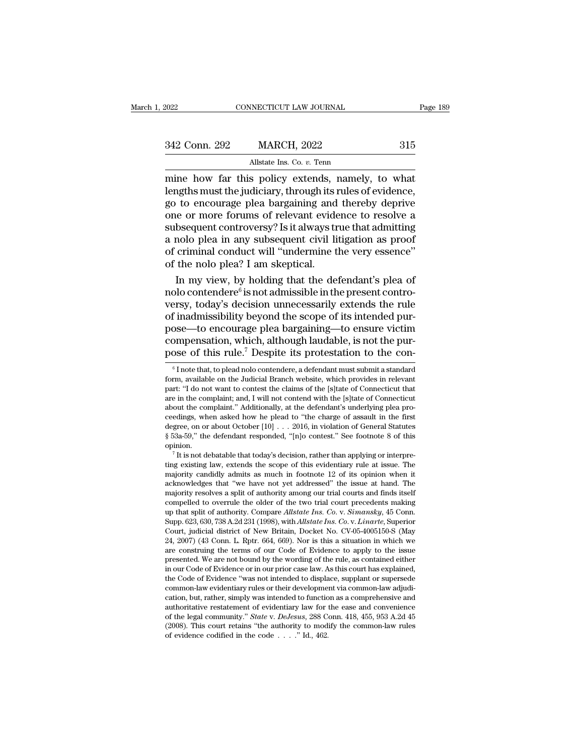| 2022          | CONNECTICUT LAW JOURNAL                         | Page 189 |
|---------------|-------------------------------------------------|----------|
|               |                                                 |          |
| 342 Conn. 292 | <b>MARCH, 2022</b>                              | 315      |
|               | Allstate Ins. Co. v. Tenn                       |          |
|               | mine how far this noticy extends namely to what |          |

EXERCT CONNECTICUT LAW JOURNAL Page 18:<br>
2022 2023 2022 2023<br>
2022 2023 2022 2023<br>
2016 2017 Allstate Ins. Co. v. Tenn<br>
2016 2017 MARCH, 2022<br>
2016 2017 March 2017 2022<br>
2016 2017 March 2017 March 2018 2021 2022 2023<br>
2016 342 Conn. 292 MARCH, 2022 315<br>Allstate Ins. Co. v. Tenn<br>mine how far this policy extends, namely, to what<br>lengths must the judiciary, through its rules of evidence,<br>go to encourage plea bargaining and thereby deprive<br>one o 342 Conn. 292 MARCH, 2022 315<br>Allstate Ins. Co.  $v$ . Tenn<br>mine how far this policy extends, namely, to what<br>lengths must the judiciary, through its rules of evidence,<br>go to encourage plea bargaining and thereby deprive<br>on 342 Conn. 292 MARCH, 2022 315<br>
Allstate Ins. Co.  $v$ . Tenn<br>
mine how far this policy extends, namely, to what<br>
lengths must the judiciary, through its rules of evidence,<br>
go to encourage plea bargaining and thereby depriv Allstate Ins. Co.  $v$ . Tenn<br>
mine how far this policy extends, namely, to what<br>
lengths must the judiciary, through its rules of evidence,<br>
go to encourage plea bargaining and thereby deprive<br>
one or more forums of releva Allstate Ins. Co. v. Tenn<br>mine how far this policy extends, namely, to what<br>lengths must the judiciary, through its rules of evidence,<br>go to encourage plea bargaining and thereby deprive<br>one or more forums of relevant evid mine how far this policy extends, namely, to what<br>lengths must the judiciary, through its rules of evidence,<br>go to encourage plea bargaining and thereby deprive<br>one or more forums of relevant evidence to resolve a<br>subseque lengths must the judiciary, through its is<br>go to encourage plea bargaining and<br>one or more forums of relevant evide<br>subsequent controversy? Is it always tr<br>a nolo plea in any subsequent civil li<br>of criminal conduct will "u In the encourage plea bargaining and thereby deprive<br>
i.e or more forums of relevant evidence to resolve a<br>
bsequent controversy? Is it always true that admitting<br>
molo plea in any subsequent civil litigation as proof<br>
cr one or more forums of<br>subsequent controversy<br>a nolo plea in any sub<br>of criminal conduct wil<br>of the nolo plea? I am<br>In my view, by hold<br>nolo contendere<sup>6</sup> is not<br>versy, today's decision<br>of inadmissibility beyon is not relevant evidence to resolve a<br>oversy? Is it always true that admitting<br>in the proof act will "undermine the very essence"<br>I am skeptical.<br>I holding that the defendant's plea of<br>is not admissible in the present cont

subsequent controversy? Is it always true that admitting<br>a nolo plea in any subsequent civil litigation as proof<br>of criminal conduct will "undermine the very essence"<br>of the nolo plea? I am skeptical.<br>In my view, by holdi a nolo plea in any subsequent civil litigation as proof<br>of criminal conduct will "undermine the very essence"<br>of the nolo plea? I am skeptical.<br>In my view, by holding that the defendant's plea of<br>nolo contendere<sup>6</sup> is not of criminal conduct will "undermine the very essence"<br>of the nolo plea? I am skeptical.<br>In my view, by holding that the defendant's plea of<br>nolo contendere<sup>6</sup> is not admissible in the present contro-<br>versy, today's decisi of the nolo plea? I am skeptical.<br>In my view, by holding that the defendant's plea of<br>nolo contendere<sup>6</sup> is not admissible in the present contro-<br>versy, today's decision unnecessarily extends the rule<br>of inadmissibility b In my view, by holding that the defendant's plea of<br>nolo contendere<sup>6</sup> is not admissible in the present contro-<br>versy, today's decision unnecessarily extends the rule<br>of inadmissibility beyond the scope of its intended pu f inadmissibility beyond the scope of its intended pur-<br>ose—to encourage plea bargaining—to ensure victim<br>ompensation, which, although laudable, is not the pur-<br>ose of this rule.<sup>7</sup> Despite its protestation to the con-<br> $\$ pose—to encourage plea bargaining—to ensure victim<br>compensation, which, although laudable, is not the pur-<br>pose of this rule.<sup>7</sup> Despite its protestation to the con-<br><sup>6</sup>Inote that, to plead nolo contendere, a defendant mus

compensation, which, although laudable, is not the purpose of this rule.<sup>7</sup> Despite its protestation to the con-<br><sup>6</sup> Inote that, to plead nolo contendere, a defendant must submit a standard form, available on the Judicial pose of this rule.<sup>7</sup> Despite its protestation to the con-<br>  $\overline{\phantom{a}}$  I note that, to plead nolo contendere, a defendant must submit a standard<br>
form, available on the Judicial Branch website, which provides in relevant part: "I do not want to contest the claims of the [s]tate of Connecticut that are in the complaint; and, I will not contend with the [s]tate of Connecticut about the complaint." Additionally, at the defendant's underlying <sup>6</sup> I note that, to plead nolo contendere, a defendant must submit a standard form, available on the Judicial Branch website, which provides in relevant part: "I do not want to contest the claims of the [s]tate of Connect Thote that, to plead noto contendere, a detendant must submit a standard form, available on the Judicial Branch website, which provides in relevant part: "I do not want to contest the claims of the [s]tate of Connecticut from, available on the Judicial Branch website, which provides in relevant<br>part: "I do not want to contest the claims of the [s]tate of Connecticut that<br>are in the complaint," Additionally, at the defendant's underlying pl opinion. For the complaint; and, I will not contend with the [s]<br>fate of Connecticut out the complaint." Additionally, at the defendant's underlying plea pro-<br>edings, when asked how he plead to "the charge of assault in the first<br> about the complaint. Additionally, at the defendant s underlying piea proceedings, when asked how he plead to "the charge of assault in the first degree, on or about October [10] . . . 2016, in violation of General Statute

ceedings, when asked now ne plead to 'the charge or assault in the first degree, on or about October [10] . . . 2016, in violation of General Statutes § 53a-59," the defendant responded, "[n]o contest." See footnote 8 of t degree, on or about October [10] . . . 2016, in violation of General statutes § 53a-59," the defendant responded, "[n]o contest." See footnote 8 of this opinion.<br>
<sup>7</sup> It is not debatable that today's decision, rather than <sup>7</sup> It is not debatable that today's decision, rather than applying or interpreting existing law, extends the scope of this evidentiary rule at issue. The majority candidly admits as much in footnote 12 of its opinion whe <sup>7</sup> It is not debatable that today's decision, rather than applying or interpreting existing law, extends the scope of this evidentiary rule at issue. The majority candidly admits as much in footnote 12 of its opinion whe It is not debatable that today's decision, rather than applying or interpreting existing law, extends the scope of this evidentiary rule at issue. The majority candidly admits as much in footnote 12 of its opinion when it times existing law, extends the scope of this evidentiary rule at issue. The<br>majority candidly admits as much in footnote 12 of its opinion when it<br>acknowledges that "we have not yet addressed" the issue at hand. The<br>major majority cantumy atmins as much in footnote 12 of its option when it acknowledges that "we have not yet addressed" the issue at hand. The majority resolves a split of authority among our trial courts and finds itself comp acknowledges that "we have not yet addressed" the issue at hand. The<br>majority resolves a split of authority among our trial courts and finds itself<br>compelled to overrule the older of the two trial court precedents making<br>u majority resolves a split or authority among our trial courts and imas itself<br>compelled to overrule the older of the two trial court precedents making<br>up that split of authority. Compare *Allstate Ins. Co. v. Simansky*, 45 compelled to overrule the older of the two trial court precedents making<br>up that split of authority. Compare *Allstate Ins. Co.* v. *Simansky*, 45 Conn.<br>Supp. 623, 630, 738 A.2d 231 (1998), with *Allstate Ins. Co.* v. *Lin* up that split of authority. Compare Austate Ins. Co. v. Simansky, 45 Conn.<br>Supp. 623, 630, 738 A.2d 231 (1998), with Allstate Ins. Co. v. Linarte, Superior<br>Court, judicial district of New Britain, Docket No. CV-05-4005150supp. 623, 630, 738 A.2d 231 (1998), with *Austate rns.* Co. v. *Linarie*, superior Court, judicial district of New Britain, Docket No. CV-05-4005150-S (May 24, 2007) (43 Conn. L. Rptr. 664, 669). Nor is this a situation i Court, judicial district of New Britain, Docket No. Cv-05-4005150-S (May 24, 2007) (43 Conn. L. Rptr. 664, 669). Nor is this a situation in which we are construing the terms of our Code of Evidence to apply to the issue pr 24, 2007) (43 Conn. L. Kpur. 604, 609). Nor is thus a shuation in which we<br>are construing the terms of our Code of Evidence to apply to the issue<br>presented. We are not bound by the wording of the rule, as contained either are construing the terms of our Code of Evidence to apply to the issue<br>presented. We are not bound by the wording of the rule, as contained either<br>in our Code of Evidence or in our prior case law. As this court has explain in our Code of Evidence or in our prior case law. As this court has explained, the Code of Evidence "was not intended to displace, supplant or supersede common-law evidentiary rules or their development via common-law adj In our Code of Evidence or in our prior case law. As this court has explained, the Code of Evidence "was not intended to displace, supplant or supersede common-law evidentiary rules or their development via common-law adj common-law evidentiary rules or their development via common-law adjudi-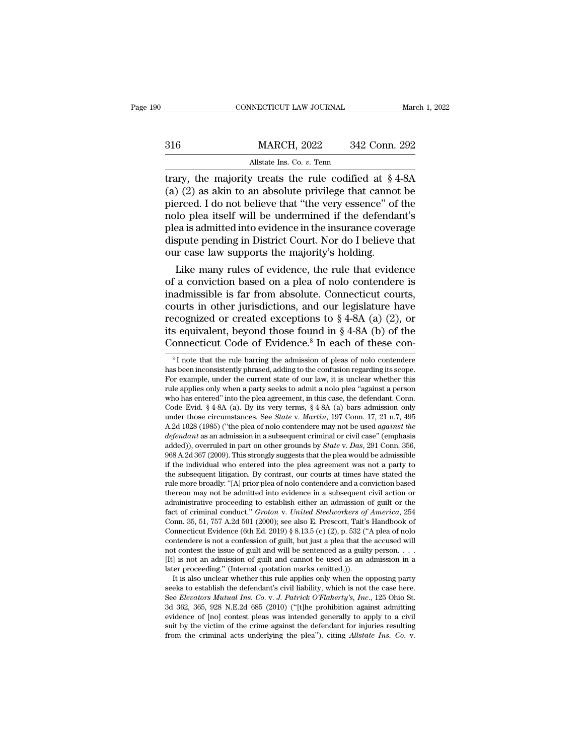|     | CONNECTICUT LAW JOURNAL                                                                                                                                                         |               | March 1, 2022 |
|-----|---------------------------------------------------------------------------------------------------------------------------------------------------------------------------------|---------------|---------------|
| 316 | <b>MARCH, 2022</b>                                                                                                                                                              | 342 Conn. 292 |               |
|     | Allstate Ins. Co. v. Tenn                                                                                                                                                       |               |               |
|     | trary, the majority treats the rule codified at $\S 4-8A$<br>(a) (2) as akin to an absolute privilege that cannot be<br>piereed. Let not believe that "the year essence" of the |               |               |

(a)  $\frac{1316}{20}$  and  $\frac{1316}{20}$  and  $\frac{1316}{20}$  and  $\frac{131}{20}$  and  $\frac{131}{20}$  are akin to an absolute privilege that cannot be pierced. I do not believe that "the very essence" of the molo ploquits it will be un 316 MARCH, 2022 342 Conn. 292<br>Allstate Ins. Co. v. Tenn<br>trary, the majority treats the rule codified at  $\S 4-8A$ <br>(a) (2) as akin to an absolute privilege that cannot be<br>pierced. I do not believe that "the very essence" of 316 MARCH, 2022 342 Conn. 292<br>
Allstate Ins. Co. v. Tenn<br>
trary, the majority treats the rule codified at  $\S$  4-8A<br>
(a) (2) as akin to an absolute privilege that cannot be<br>
pierced. I do not believe that "the very essence Allstate Ins. Co. v. Tenn<br>
trary, the majority treats the rule codified at  $\S$  4-8A<br>
(a) (2) as akin to an absolute privilege that cannot be<br>
pierced. I do not believe that "the very essence" of the<br>
nolo plea itself will All transitions the rule codified at  $\S$  4-8A (a) (2) as akin to an absolute privilege that cannot be pierced. I do not believe that "the very essence" of the nolo plea itself will be undermined if the defendant's plea is trary, the majority treats the rule codified at  $\S$  4 (a) (2) as akin to an absolute privilege that cannopierced. I do not believe that "the very essence" of nolo plea itself will be undermined if the defendance is admitt  $(2)$  as akin to an absolute privilege that cannot be<br>erced. I do not believe that "the very essence" of the<br>lo plea itself will be undermined if the defendant's<br>ea is admitted into evidence in the insurance coverage<br>sput pierced. I do not believe that "the very essence" of the<br>nolo plea itself will be undermined if the defendant's<br>plea is admitted into evidence in the insurance coverage<br>dispute pending in District Court. Nor do I believe t

molo piea itself will be undermined if the defendant s<br>plea is admitted into evidence in the insurance coverage<br>dispute pending in District Court. Nor do I believe that<br>our case law supports the majority's holding.<br>Like m plea is admitted into evidence in the insurance coverage<br>dispute pending in District Court. Nor do I believe that<br>our case law supports the majority's holding.<br>Like many rules of evidence, the rule that evidence<br>of a conv dispute pending in District Court. Nor do I believe that<br>our case law supports the majority's holding.<br>Like many rules of evidence, the rule that evidence<br>of a conviction based on a plea of nolo contendere is<br>inadmissible our case law supports the majority s notaing.<br>
Like many rules of evidence, the rule that evidence<br>
of a conviction based on a plea of nolo contendere is<br>
inadmissible is far from absolute. Connecticut courts,<br>
courts in o Like many rules of evidence, the rule that evidence<br>of a conviction based on a plea of nolo contendere is<br>inadmissible is far from absolute. Connecticut courts,<br>courts in other jurisdictions, and our legislature have<br>reco bout is in other jurisdictions, and our legislature have ecognized or created exceptions to  $\S$  4-8A (a) (2), or s equivalent, beyond those found in  $\S$  4-8A (b) of the onnecticut Code of Evidence.<sup>8</sup> In each of these con recognized or created exceptions to  $\S$  4-8A (a) (2), or<br>its equivalent, beyond those found in  $\S$  4-8A (b) of the<br>Connecticut Code of Evidence.<sup>8</sup> In each of these con-<br><sup>8</sup>I note that the rule barring the admission of pl

For example, the current state of our law, it is unclear whether this rule applies only when a party seeks to admit a not plear "against a person" For example, under the current state of our law, it is unclear whether thi Connecticut Code of Evidence.<sup>8</sup> In each of these con-<br><sup>8</sup>I note that the rule barring the admission of pleas of nolo contendere<br>has been inconsistently phrased, adding to the confusion regarding its scope.<br>For example, u Connecticut Code of Evidence.<sup>8</sup> In each of these con-<br><sup>8</sup>I note that the rule barring the admission of pleas of nolo contendere<br>has been inconsistently phrased, adding to the confusion regarding its scope.<br>For example, u <sup>8</sup> I note that the rule barring the admission of pleas of nolo contendere has been inconsistently phrased, adding to the confusion regarding its scope. For example, under the current state of our law, it is unclear wheth <sup>1</sup> I note that the rule barring the admission of pleas of noio contendere has been inconsistently phrased, adding to the confusion regarding its scope. For example, under the current state of our law, it is unclear whethe has been inconsistently phrased, adding to the contusion regarding its scope.<br>For example, under the current state of our law, it is unclear whether this<br>rule applies only when a party seeks to admit a nolo plea "against a *For example, under the current state of our law, it is unclear whether this* rule applies only when a party seeks to admit a nolo plea "against a person who has entered" into the plea agreement, in this case, the defendan rule applies only when a party seeks to admit a nolo plea against a person<br>who has entered" into the plea agreement, in this case, the defendant. Conn.<br>Code Evid. § 4-8A (a). By its very terms, § 4-8A (a) bars admission on who has entered into the piea agreement, in this case, the defendant. Conn.<br>Code Evid. § 4-8A (a). By its very terms, § 4-8A (a) bars admission only<br>under those circumstances. See *State* v. *Martin*, 197 Conn. 17, 21 n.7 Code Evid.  $\S$  4-8A (a). By its very terms,  $\S$  4-8A (a) bars admission only under those circumstances. See *State v. Martin*, 197 Conn. 17, 21 n.7, 495 A.2d 1028 (1985) ("the plea of nolo contendere may not be used *agai* under those circumstances. See *State V. Martun*, 197 Conn. 17, 21 n.7, 495<br>A.2d 1028 (1985) ("the plea of nolo contendere may not be used *against the*<br>defendant as an admission in a subsequent criminal or civil case" (e A.2d 1028 (1985) (The plea of nolo contendere may not be used *against the* defendant as an admission in a subsequent criminal or civil case" (emphasis added)), overruled in part on other grounds by *State v. Das*, 291 Co *defendant* as an admission in a subsequent criminal or civil case (empnasis added)), overruled in part on other grounds by *State* v. *Das*, 291 Conn. 356, 968 A.2d 367 (2009). This strongly suggests that the plea would b added)), overruled in part on other grounds by *State v. Das*, 291 Conn. 356, 968 A.2d 367 (2009). This strongly suggests that the plea would be admissible if the individual who entered into the plea agreement was not a pa 968 A.2d 36 *(* (2009). This strongly suggests that the piea would be admissible<br>if the individual who entered into the plea agreement was not a party to<br>the subsequent litigation. By contrast, our courts at times have sta If the matviaual who entered into the piea agreement was not a party to<br>the subsequent litigation. By contrast, our courts at times have stated the<br>rule more broadly: "[A] prior plea of nolo contendere and a conviction ba the subsequent ingation. By contrast, our courts at times have stated the rule more broadly: "[A] prior plea of nolo contendere and a conviction based thereon may not be admitted into evidence in a subsequent civil action rule more broadly: [A] prior plea of noio contendere and a conviction based<br>thereon may not be admitted into evidence in a subsequent civil action or<br>administrative proceeding to establish either an admission of guilt or thereon may not be admitted into evidence in a subsequent civil action or<br>administrative proceeding to establish either an admission of guilt or the<br>fact of criminal conduct." *Groton v. United Steelworkers of America*, 2 administrative proceeding to establish either an admission of guilt or the<br>fact of criminal conduct." *Groton v. United Steelworkers of America*, 254<br>Conn. 35, 51, 757 A.2d 501 (2000); see also E. Prescott, Tait's Handboo Conn. 35, 51, 757 A.2d 501 (2000); see also E. Prescott, Tait's Handbook of Connecticut Evidence (6th Ed. 2019) § 8.13.5 (c) (2), p. 532 ("A plea of nolo contendere is not a confession of guilt, but just a plea that the a Inh. 35, 31, 157 A.2d 301 (2000); see also E. Prescout, Talt's Handbook of innecticut Evidence (6th Ed. 2019) § 8.13.5 (c) (2), p. 532 ("A plea of nolo intendere is not a confession of guilt, but just a plea that the accu contendere is not a confession of guilt, but just a plea that the accused will not contest the issue of guilt and will be sentenced as a guilty person. . . . [It] is not an admission of guilt and cannot be used as an admi

contendere is not a contession of guilt, but just a piea that the accused will<br>not contest the issue of guilt and will be sentenced as a guilty person. . . .<br>[It] is not an admission of guilt and cannot be used as an admis not contest the issue of guilt and will be sentenced as a guilty person.  $\ldots$  [It] is not an admission of guilt and cannot be used as an admission in a later proceeding." (Internal quotation marks omitted.)).<br>It is also [It] is not an admission of guilt and cannot be used as an admission in a<br>later proceeding." (Internal quotation marks omitted.)).<br>It is also unclear whether this rule applies only when the opposing party<br>seeks to establi sum proceeding. (Internal quotation marks omitted.)).<br>It is also unclear whether this rule applies only when the opposing party<br>seeks to establish the defendant's civil liability, which is not the case here.<br>See *Elevator* It is also unclear whether this rule applies only when the opposing party<br>seeks to establish the defendant's civil liability, which is not the case here.<br>See *Elevators Mutual Ins. Co. v. J. Patrick O'Flaherty's, Inc.*, 12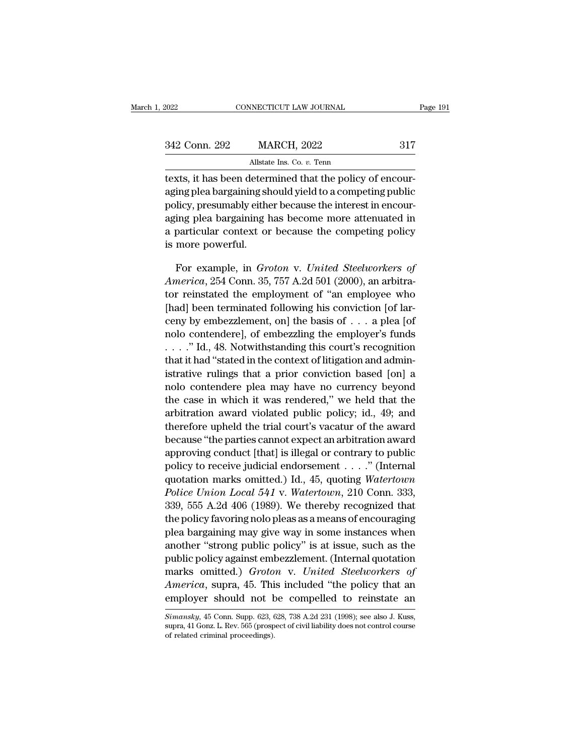| 2022          | CONNECTICUT LAW JOURNAL                                                                                                                                                                                           | Page 191 |
|---------------|-------------------------------------------------------------------------------------------------------------------------------------------------------------------------------------------------------------------|----------|
|               |                                                                                                                                                                                                                   |          |
| 342 Conn. 292 | <b>MARCH, 2022</b>                                                                                                                                                                                                | 317      |
|               | Allstate Ins. Co. $v$ . Tenn                                                                                                                                                                                      |          |
|               | texts, it has been determined that the policy of encour-<br>aging plea bargaining should yield to a competing public<br>and 12 and an encourage of the state on the company after the best constituents on a comp |          |

 $\frac{342 \text{ Conn. } 292}{\text{Allstate Ins. Co. } v. \text{ Tenn}}$ <br>Allstate Ins. Co.  $v$ . Tenn<br>texts, it has been determined that the policy of encour-<br>aging plea bargaining should yield to a competing public<br>policy, presumably either because the int 342 Conn. 292 MARCH, 2022 317<br>Allstate Ins. Co. v. Tenn<br>texts, it has been determined that the policy of encour-<br>aging plea bargaining should yield to a competing public<br>policy, presumably either because the interest in en  $\frac{\text{342 Conn. 292}}{\text{Allstate Ins. Co. } v.\text{ Tenn}}$ <br>
Exts, it has been determined that the policy of encour-<br>
aging plea bargaining should yield to a competing public<br>
policy, presumably either because the interest in encour-<br>
aging plea Allstate Ins. Co. v. Tenn<br>texts, it has been determined that the policy of encour-<br>aging plea bargaining should yield to a competing public<br>policy, presumably either because the interest in encour-<br>aging plea bargaining ha texts, it has been determining shipplicy, presumably either<br>policy, presumably either aging plea bargaining has particular context or<br>is more powerful.<br>For example, in Gra ing plea bargaining should yield to a competing public<br>licy, presumably either because the interest in encour-<br>ing plea bargaining has become more attenuated in<br>particular context or because the competing policy<br>more power policy, presumably either because the interest in encouraging plea bargaining has become more attenuated in<br>a particular context or because the competing policy<br>is more powerful.<br>For example, in *Groton* v. *United Steelwo* 

aging plea bargaining has become more attenuated in<br>a particular context or because the competing policy<br>is more powerful.<br>For example, in *Groton* v. *United Steelworkers of*<br>*America*, 254 Conn. 35, 757 A.2d 501 (2000), a particular context or because the competing policy<br>is more powerful.<br>For example, in *Groton v. United Steelworkers of*<br>*America*, 254 Conn. 35, 757 A.2d 501 (2000), an arbitra-<br>tor reinstated the employment of "an empl is more powerful.<br>
For example, in *Groton v. United Steelworkers of*<br> *America*, 254 Conn. 35, 757 A.2d 501 (2000), an arbitra-<br>
tor reinstated the employment of "an employee who<br>
[had] been terminated following his conv For example, in *Groton* v. *United Steelworkers of*<br>*America*, 254 Conn. 35, 757 A.2d 501 (2000), an arbitrator reinstated the employment of "an employee who<br>[had] been terminated following his conviction [of lar-<br>ceny b For example, in Groton v. Critical Steetworkers of<br>America, 254 Conn. 35, 757 A.2d 501 (2000), an arbitra-<br>tor reinstated the employment of "an employee who<br>[had] been terminated following his conviction [of lar-<br>ceny by Examerica, 254 Coluit 35, 757 A.2d 301 (2000), an arbitrator reinstated the employment of "an employee who [had] been terminated following his conviction [of larceny by embezzlement, on] the basis of  $\dots$  a plea [of nolo for remstated the employment of an employee who<br>
[had] been terminated following his conviction [of lar-<br>
ceny by embezzlement, on] the basis of  $\dots$  a plea [of<br>
nolo contendere], of embezzling the employer's funds<br>  $\dots$ . [naq] been terminated following his conviction [of far-<br>ceny by embezzlement, on] the basis of  $\dots$  a plea [of<br>nolo contendere], of embezzling the employer's funds<br> $\dots$ ." Id., 48. Notwithstanding this court's recognition<br> ceny by embezziement, on] the basis of  $\ldots$  a plea [of nolo contendere], of embezzling the employer's funds  $\ldots$ ." Id., 48. Notwithstanding this court's recognition that it had "stated in the context of litigation and a arbitration award in the context of litigation and administrative rulings that a prior conviction and administrative rulings that a prior conviction based [on] a nolo contendere plea may have no currency beyond the case in that it had "stated in the context of litigation and administrative rulings that a prior conviction based [on] a nolo contendere plea may have no currency beyond the case in which it was rendered," we held that the arbitr that it had stated in the context of hugation and administrative rulings that a prior conviction based [on] a<br>nolo contendere plea may have no currency beyond<br>the case in which it was rendered," we held that the<br>arbitratio approving that a prior conviction based [on] a<br>nolo contendere plea may have no currency beyond<br>the case in which it was rendered," we held that the<br>arbitration award violated public policy; id., 49; and<br>therefore upheld molo contendere piea may have no currency beyond<br>the case in which it was rendered," we held that the<br>arbitration award violated public policy; id., 49; and<br>therefore upheld the trial court's vacatur of the award<br>because the case in which it was rendered, we neid that the<br>arbitration award violated public policy; id., 49; and<br>therefore upheld the trial court's vacatur of the award<br>because "the parties cannot expect an arbitration award<br>app arbitration award violated public policy; id., 49; and<br>therefore upheld the trial court's vacatur of the award<br>because "the parties cannot expect an arbitration award<br>approving conduct [that] is illegal or contrary to publ therefore upheld the trial court s vacatur of the award<br>because "the parties cannot expect an arbitration award<br>approving conduct [that] is illegal or contrary to public<br>policy to receive judicial endorsement . . . . " (I because the parties cannot expect an arbitration award<br>approving conduct [that] is illegal or contrary to public<br>policy to receive judicial endorsement . . . . " (Internal<br>quotation marks omitted.) Id., 45, quoting *Water* approving conduct [that] is inegal or contrary to public<br>policy to receive judicial endorsement  $\dots$ ." (Internal<br>quotation marks omitted.) Id., 45, quoting *Watertown*<br>*Police Union Local 541* v. *Watertown*, 210 Conn. 33 policy to receive judicial endosement  $\ldots$  (internal quotation marks omitted.) Id., 45, quoting *Watertown*<br>*Police Union Local 541* v. *Watertown*, 210 Conn. 333, 339, 555 A.2d 406 (1989). We thereby recognized that<br>the public police *Union Local* 541 v. Watertown, 210 Conn. 333, 339, 555 A.2d 406 (1989). We thereby recognized that the policy favoring nolo pleas as a means of encouraging plea bargaining may give way in some instances whe *Folice Union Local 341 V. Watertown, 210 Colin. 333,*<br>339, 555 A.2d 406 (1989). We thereby recognized that<br>the policy favoring nolo pleas as a means of encouraging<br>plea bargaining may give way in some instances when<br>anoth *America*, supraming notice is competible to reinstances when the policy favoring noto pleas as a means of encouraging plea bargaining may give way in some instances when another "strong public policy" is at issue, such as the policy favoring noto pleas as a means of encouraging<br>plea bargaining may give way in some instances when<br>another "strong public policy" is at issue, such as the<br>public policy against embezzlement. (Internal quotation<br>m public policy against embezzlement. (Internal quotation marks omitted.) *Groton* v. *United Steelworkers of America*, supra, 45. This included "the policy that an employer should not be compelled to reinstate an  $Simansky$ , 45 marks omitted.) *Groton* v. *United Steelworkers of*<br>America, supra, 45. This included "the policy that an<br>employer should not be compelled to reinstate an<br> $Simansky$ , 45 Conn. Supp. 623, 628, 738 A.2d 231 (1998); see also J.

*America*, supra, 45. Thi<br>employer should not b<br>simansky, 45 Conn. Supp. 623, 6<br>supra, 41 Gonz. L. Rev. 565 (prosp<br>of related criminal proceedings).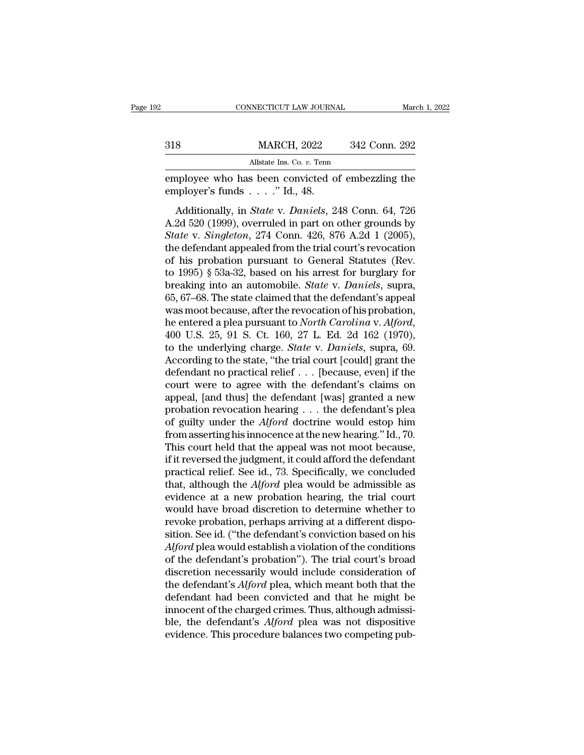|     | CONNECTICUT LAW JOURNAL                                                         |               | March 1, 2022 |
|-----|---------------------------------------------------------------------------------|---------------|---------------|
|     |                                                                                 |               |               |
| 318 | <b>MARCH, 2022</b>                                                              | 342 Conn. 292 |               |
|     | Allstate Ins. Co. $v$ . Tenn                                                    |               |               |
|     | employee who has been convicted of embezzling the<br>employer's funds "Id., 48. |               |               |
|     | Additionally, in <i>State v. Daniels</i> , 248 Conn. 64, 726                    |               |               |

MARCH, 2022 342 Conn. 292<br>Allstate Ins. Co. *v.* Tenn<br>ployee who has been convicted of embezzling the<br>pployer's funds . . . . ." Id., 48.<br>Additionally, in *State* v. *Daniels*, 248 Conn. 64, 726<br>2d 520 (1999), overruled in Allstate Ins. Co. v. Tenn<br>
Allstate Ins. Co. v. Tenn<br>
employee who has been convicted of embezzling the<br>
employer's funds . . . . " Id., 48.<br>
Additionally, in *State* v. *Daniels*, 248 Conn. 64, 726<br>
A.2d 520 (1999), over *State Ins. Co. v. Tenn*<br> **State V. 274 Connected of embezzing the**<br> **State v.** *State* **v.** *Daniels***, 248 Conn. 64, 726<br>
A.2d 520 (1999), overruled in part on other grounds by<br>** *State* **v.** *Singleton***, 274 Conn. 426, 876 A.2** employee who has been convicted of embezzling the<br>employer's funds . . . ." Id., 48.<br>Additionally, in *State* v. *Daniels*, 248 Conn. 64, 726<br>A.2d 520 (1999), overruled in part on other grounds by<br>*State* v. *Singleton*, employer's funds  $\ldots$ ." Id., 48.<br>
Additionally, in *State* v. *Daniels*, 248 Conn. 64, 726<br>
A.2d 520 (1999), overruled in part on other grounds by<br> *State* v. *Singleton*, 274 Conn. 426, 876 A.2d 1 (2005),<br>
the defendant Additionally, in *State v. Daniels*, 248 Conn. 64, 726<br>A.2d 520 (1999), overruled in part on other grounds by<br>*State v. Singleton*, 274 Conn. 426, 876 A.2d 1 (2005),<br>the defendant appealed from the trial court's revocatio Additionally, in *State* v. *Daniels*, 248 Conn. 64, 726<br>A.2d 520 (1999), overruled in part on other grounds by<br>*State* v. *Singleton*, 274 Conn. 426, 876 A.2d 1 (2005),<br>the defendant appealed from the trial court's revoca A.2d 520 (1999), overruled in part on other grounds by<br> *State* v. *Singleton*, 274 Conn. 426, 876 A.2d 1 (2005),<br>
the defendant appealed from the trial court's revocation<br>
of his probation pursuant to General Statutes (R State v. Singleton, 274 Conn. 426, 876 A.2d 1 (2005),<br>the defendant appealed from the trial court's revocation<br>of his probation pursuant to General Statutes (Rev.<br>to 1995) § 53a-32, based on his arrest for burglary for<br>br the defendant appealed from the trial court's revocation<br>of his probation pursuant to General Statutes (Rev.<br>to 1995) § 53a-32, based on his arrest for burglary for<br>breaking into an automobile. *State* v. *Daniels*, supra, to 1995) § 53a-32, based on his arrest for burglary for<br>breaking into an automobile. *State* v. *Daniels*, supra,<br>65, 67–68. The state claimed that the defendant's appeal<br>was moot because, after the revocation of his proba breaking into an automobile. *State* v. *Daniels*, supra, 65, 67–68. The state claimed that the defendant's appeal was moot because, after the revocation of his probation, he entered a plea pursuant to *North Carolina* v. 65, 67–68. The state claimed that the defendant's appeal<br>was moot because, after the revocation of his probation,<br>he entered a plea pursuant to *North Carolina* v. *Alford*,<br>400 U.S. 25, 91 S. Ct. 160, 27 L. Ed. 2d 162 (1 was moot because, after the revocation of his probation,<br>he entered a plea pursuant to *North Carolina v. Alford*,<br>400 U.S. 25, 91 S. Ct. 160, 27 L. Ed. 2d 162 (1970),<br>to the underlying charge. *State v. Daniels*, supra, he entered a plea pursuant to *North Carolina* v. *Alford*,<br>400 U.S. 25, 91 S. Ct. 160, 27 L. Ed. 2d 162 (1970),<br>to the underlying charge. *State* v. *Daniels*, supra, 69.<br>According to the state, "the trial court [could] g 400 U.S. 25, 91 S. Ct. 160, 27 L. Ed. 2d 162 (1970),<br>to the underlying charge. *State* v. *Daniels*, supra, 69.<br>According to the state, "the trial court [could] grant the<br>defendant no practical relief . . . [because, even to the underlying charge. *State* v. *Daniels*, supra, 69.<br>According to the state, "the trial court [could] grant the<br>defendant no practical relief . . . [because, even] if the<br>court were to agree with the defendant's clai According to the state, "the trial court [could] grant the<br>defendant no practical relief . . . [because, even] if the<br>court were to agree with the defendant's claims on<br>appeal, [and thus] the defendant [was] granted a new defendant no practical relief  $\ldots$  [because, even] if the court were to agree with the defendant's claims on appeal, [and thus] the defendant [was] granted a new probation revocation hearing  $\ldots$  the defendant's plea of court were to agree with the defendant's claims on<br>appeal, [and thus] the defendant [was] granted a new<br>probation revocation hearing . . . the defendant's plea<br>of guilty under the *Alford* doctrine would estop him<br>from as appeal, [and thus] the defendant [was] granted a new<br>probation revocation hearing . . . the defendant's plea<br>of guilty under the  $Alford$  doctrine would estop him<br>from asserting his innocence at the new hearing." Id., 70.<br>Thi probation revocation hearing . . . the defendant's plea<br>of guilty under the *Alford* doctrine would estop him<br>from asserting his innocence at the new hearing." Id., 70.<br>This court held that the appeal was not moot because, of guilty under the *Alford* doctrine would estop him<br>from asserting his innocence at the new hearing." Id., 70.<br>This court held that the appeal was not moot because,<br>if it reversed the judgment, it could afford the defend from asserting his innocence at the new hearing." Id., 70.<br>This court held that the appeal was not moot because,<br>if it reversed the judgment, it could afford the defendant<br>practical relief. See id., 73. Specifically, we c This court held that the appeal was not moot because,<br>if it reversed the judgment, it could afford the defendant<br>practical relief. See id., 73. Specifically, we concluded<br>that, although the *Alford* plea would be admissibl if it reversed the judgment, it could afford the defendant<br>practical relief. See id., 73. Specifically, we concluded<br>that, although the *Alford* plea would be admissible as<br>evidence at a new probation hearing, the trial co practical relief. See id., 73. Specifically, we concluded<br>that, although the *Alford* plea would be admissible as<br>evidence at a new probation hearing, the trial court<br>would have broad discretion to determine whether to<br>rev that, although the *Alford* plea would be admissible as<br>evidence at a new probation hearing, the trial court<br>would have broad discretion to determine whether to<br>revoke probation, perhaps arriving at a different dispo-<br>siti evidence at a new probation hearing, the trial court<br>would have broad discretion to determine whether to<br>revoke probation, perhaps arriving at a different dispo-<br>sition. See id. ("the defendant's conviction based on his<br> $Al$ would have broad discretion to determine whether to<br>revoke probation, perhaps arriving at a different dispo-<br>sition. See id. ("the defendant's conviction based on his<br>*Alford* plea would establish a violation of the condit revoke probation, perhaps arriving at a different disposition. See id. ("the defendant's conviction based on his *Alford* plea would establish a violation of the conditions of the defendant's probation"). The trial court's sition. See id. ("the defendant's conviction based on his *Alford* plea would establish a violation of the conditions of the defendant's probation"). The trial court's broad discretion necessarily would include considerati Alford plea would establish a violation of the conditions<br>of the defendant's probation"). The trial court's broad<br>discretion necessarily would include consideration of<br>the defendant's Alford plea, which meant both that the of the defendant's probation"). The trial court's broad<br>discretion necessarily would include consideration of<br>the defendant's *Alford* plea, which meant both that the<br>defendant had been convicted and that he might be<br>innoc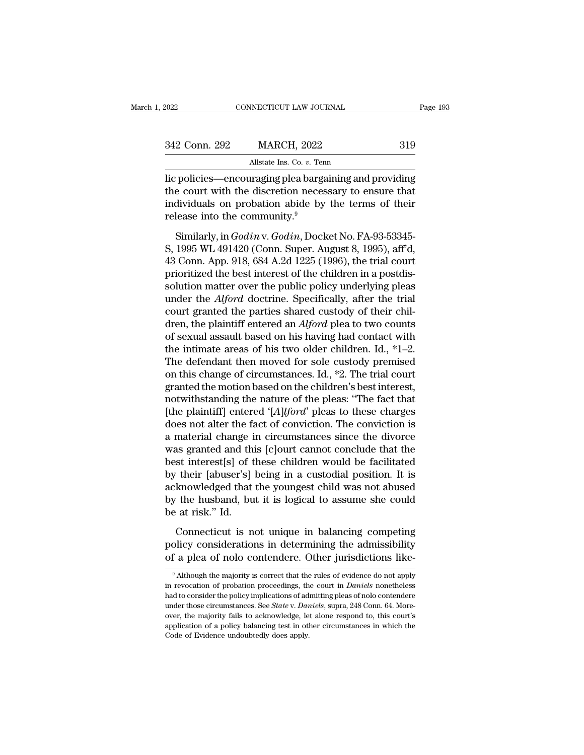| 2022          | CONNECTICUT LAW JOURNAL                                | Page 193 |
|---------------|--------------------------------------------------------|----------|
|               |                                                        |          |
| 342 Conn. 292 | <b>MARCH, 2022</b>                                     | 319      |
|               | Allstate Ins. Co. v. Tenn                              |          |
|               | lic policies—encouraging plea bargaining and providing |          |

CONNECTICUT LAW JOURNAL Page 193<br>
342 Conn. 292 MARCH, 2022 319<br>
Allstate Ins. Co. v. Tenn<br>
Incepolicies—encouraging plea bargaining and providing<br>
the court with the discretion necessary to ensure that<br>
individuals on pro 342 Conn. 292 MARCH, 2022 319<br>Allstate Ins. Co. v. Tenn<br>lic policies—encouraging plea bargaining and providing<br>the court with the discretion necessary to ensure that<br>individuals on probation abide by the terms of their<br>re 342 Conn. 292 MARCH, 2022 319<br>Allstate Ins. Co. v. Tem<br>lic policies—encouraging plea bargaining and providing<br>the court with the discretion necessary to ensure that<br>individuals on probation abide by the terms of their<br>rel 342 Conn. 292 MARCH, 2022<br>
Allstate Ins. Co. v. Ten<br>
lic policies—encouraging plea barga<br>
the court with the discretion neces<br>
individuals on probation abide by<br>
release into the community.<sup>9</sup><br>
Similarly, in *Godin* v. *G* Allstate Ins. Co. *v.* Tenn<br>
policies—encouraging plea bargaining and providing<br>
e court with the discretion necessary to ensure that<br>
dividuals on probation abide by the terms of their<br>
lease into the community.<sup>9</sup><br>
Simil lic policies—encouraging plea bargaining and providing<br>the court with the discretion necessary to ensure that<br>individuals on probation abide by the terms of their<br>release into the community.<sup>9</sup><br>Similarly, in *Godin* v. *Go* 

the court with the discretion necessary to ensure that<br>individuals on probation abide by the terms of their<br>release into the community.<sup>9</sup><br>Similarly, in *Godin* v. *Godin*, Docket No. FA-93-53345-<br>S, 1995 WL 491420 (Conn. mate solar what the distributed the best individuals on probation abide by the terms of their release into the community.<sup>9</sup><br>Similarly, in *Godin* v. *Godin*, Docket No. FA-93-53345-<br>S, 1995 WL 491420 (Conn. Super. August solution matrix and be community.<sup>9</sup><br>Similarly, in *Godin* v. *Godin*, Docket No. FA-93-53345-<br>S, 1995 WL 491420 (Conn. Super. August 8, 1995), aff'd,<br>43 Conn. App. 918, 684 A.2d 1225 (1996), the trial court<br>prioritized t Similarly, in *Godin* v. *Godin*, Docket No. FA-93-53345-<br>S, 1995 WL 491420 (Conn. Super. August 8, 1995), aff'd,<br>43 Conn. App. 918, 684 A.2d 1225 (1996), the trial court<br>prioritized the best interest of the children in a Similarly, in *Godin* v. *Godin*, Docket No. FA-93-53345-<br>S, 1995 WL 491420 (Conn. Super. August 8, 1995), aff'd,<br>43 Conn. App. 918, 684 A.2d 1225 (1996), the trial court<br>prioritized the best interest of the children in a S, 1995 WL 491420 (Conn. Super. August 8, 1995), aff'd,<br>43 Conn. App. 918, 684 A.2d 1225 (1996), the trial court<br>prioritized the best interest of the children in a postdis-<br>solution matter over the public policy underlying 43 Conn. App. 918, 684 A.2d 1225 (1996), the trial court<br>prioritized the best interest of the children in a postdis-<br>solution matter over the public policy underlying pleas<br>under the *Alford* doctrine. Specifically, after prioritized the best interest of the children in a postdis-<br>solution matter over the public policy underlying pleas<br>under the *Alford* doctrine. Specifically, after the trial<br>court granted the parties shared custody of th solution matter over the public policy underlying pleas<br>under the *Alford* doctrine. Specifically, after the trial<br>court granted the parties shared custody of their chil-<br>dren, the plaintiff entered an *Alford* plea to tw under the *Alford* doctrine. Specifically, after the trial court granted the parties shared custody of their children, the plaintiff entered an *Alford* plea to two counts of sexual assault based on his having had contact court granted the parties shared custody of their children, the plaintiff entered an  $Alford$  plea to two counts of sexual assault based on his having had contact with the intimate areas of his two older children. Id., \*1–2. dren, the plaintiff entered an *Alford* plea to two counts<br>of sexual assault based on his having had contact with<br>the intimate areas of his two older children. Id., \*1–2.<br>The defendant then moved for sole custody premised of sexual assault based on his having had contact with<br>the intimate areas of his two older children. Id., \*1–2.<br>The defendant then moved for sole custody premised<br>on this change of circumstances. Id., \*2. The trial court<br>g the intimate areas of his two older children. Id., \*1–2.<br>The defendant then moved for sole custody premised<br>on this change of circumstances. Id., \*2. The trial court<br>granted the motion based on the children's best interes The defendant then moved for sole custody premised<br>on this change of circumstances. Id.,  $*2$ . The trial court<br>granted the motion based on the children's best interest,<br>notwithstanding the nature of the pleas: "The fact t on this change of circumstances. Id.,  $*2$ . The trial court<br>granted the motion based on the children's best interest,<br>notwithstanding the nature of the pleas: "The fact that<br>[the plaintiff] entered '[*A*]lford' pleas to t granted the motion based on the children's best interest,<br>notwithstanding the nature of the pleas: "The fact that<br>[the plaintiff] entered '[*A*]*lford*' pleas to these charges<br>does not alter the fact of conviction. The con notwithstanding the nature of the pleas: "The fact that<br>[the plaintiff] entered '[*A*]lford' pleas to these charges<br>does not alter the fact of conviction. The conviction is<br>a material change in circumstances since the divo [the plaintiff] entered '[*A*] $l$ *ford*' pleas to these charges<br>does not alter the fact of conviction. The conviction is<br>a material change in circumstances since the divorce<br>was granted and this [c]ourt cannot conclude th does not alter the fact of conviction. The conviction is<br>a material change in circumstances since the divorce<br>was granted and this [c]ourt cannot conclude that the<br>best interest[s] of these children would be facilitated<br>by a material change i<br>was granted and thi<br>best interest[s] of t<br>by their [abuser's]<br>acknowledged that<br>by the husband, bu<br>be at risk.'' Id.<br>Connecticut is n Example is the interest[s] of these children would be facilitated<br>
their [abuser's] being in a custodial position. It is<br>
knowledged that the youngest child was not abused<br>
the husband, but it is logical to assume she coul by their [abuser's] being in a custodial position. It is acknowledged that the youngest child was not abused<br>by the husband, but it is logical to assume she could<br>be at risk." Id.<br>Connecticut is not unique in balancing com of a plead of that the youngest child was not abused<br>by the husband, but it is logical to assume she could<br>be at risk." Id.<br>Connecticut is not unique in balancing competing<br>policy considerations in determining the admissib

Connecticut is not unique in balancing competing<br>olicy considerations in determining the admissibility<br>f a plea of nolo contendere. Other jurisdictions like-<br> $\frac{9}{9}$  Although the majority is correct that the rules of ev Connecticut is not unique in balancing competing<br>policy considerations in determining the admissibility<br>of a plea of nolo contendere. Other jurisdictions like-<br><sup>9</sup> Although the majority is correct that the rules of evidenc

policy considerations in determining the admissibility<br>of a plea of nolo contendere. Other jurisdictions like-<br><sup>9</sup> Although the majority is correct that the rules of evidence do not apply<br>in revocation of probation proceed of a plea of nolo contendere. Other jurisdictions like-<br><sup>9</sup> Although the majority is correct that the rules of evidence do not apply<br>in revocation of probation proceedings, the court in *Daniels* nonetheless<br>had to conside or a prea or nono content<br>ere. Other jurisdictions ince-<br> $\frac{1}{2}$  although the majority is correct that the rules of evidence do not apply<br>in revocation of probation proceedings, the court in *Daniels* nonetheless<br>had to <sup>9</sup> Although the majority is correct that the rules of evidence do not apply in revocation of probation proceedings, the court in *Daniels* nonetheless had to consider the policy implications of admitting pleas of nolo co in revocation of probation proceedings, the court in *Daniels* nonetheless had to consider the policy implications of admitting pleas of nolo contendere under those circumstances. See *State* v. *Daniels*, supra, 248 Conn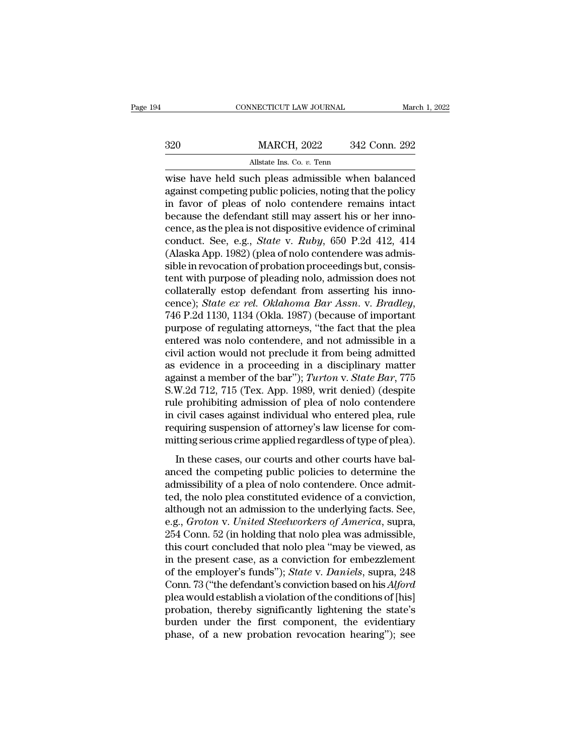|     | CONNECTICUT LAW JOURNAL                                                                                                                                                | March 1, 2022 |
|-----|------------------------------------------------------------------------------------------------------------------------------------------------------------------------|---------------|
| 320 | <b>MARCH, 2022</b>                                                                                                                                                     | 342 Conn. 292 |
|     | Allstate Ins. Co. v. Tenn                                                                                                                                              |               |
|     | wise have held such pleas admissible when balanced<br>against competing public policies, noting that the policy<br>in favor of plans of polo contandore remains integr |               |

MARCH, 2022 342 Conn. 292<br>Allstate Ins. Co. v. Tenn<br>wise have held such pleas admissible when balanced<br>against competing public policies, noting that the policy<br>in favor of pleas of nolo contendere remains intact<br>because t  $\begin{array}{r}\n 320 \text{ MARCH, } 2022 \text{ 342 Conn. } 292 \\
 \hline\n \text{Mlstate Ins. Co. } v. \text{ Tenn} \\
 \text{wise have held such pleast admissible when balanced} \\
 \text{against competing public policies, noting that the policy} \\
 \text{in favor of pleast of nolo} \text{contentedere remains intact} \\
 \text{because the defendant still may assert his or her innocence, as the ples is not dispositive evidence of criminal} \n\end{array}$  $\begin{array}{ll} \text{MARCH, 2022} & 342 \text{ Conn. } 292 \\ \hline \end{array}$ <br>
wise have held such pleas admissible when balanced<br>
against competing public policies, noting that the policy<br>
in favor of pleas of nolo contendere remains intact<br>
because th Allstate Ins. Co. *v.* Tenn<br>wise have held such pleas admissible when balanced<br>against competing public policies, noting that the policy<br>in favor of pleas of nolo contendere remains intact<br>because the defendant still may a Allistate ins. Co. *v.* Tenn<br>wise have held such pleas admissible when balanced<br>against competing public policies, noting that the policy<br>in favor of pleas of nolo contendere remains intact<br>because the defendant still may wise have held such pleas admissible when balanced<br>against competing public policies, noting that the policy<br>in favor of pleas of nolo contendere remains intact<br>because the defendant still may assert his or her inno-<br>cence against competing public policies, noting that the policy<br>in favor of pleas of nolo contendere remains intact<br>because the defendant still may assert his or her inno-<br>cence, as the plea is not dispositive evidence of crimin in favor of pleas of nolo contendere remains intact<br>because the defendant still may assert his or her inno-<br>cence, as the plea is not dispositive evidence of criminal<br>conduct. See, e.g., *State* v. *Ruby*, 650 P.2d 412, 4 because the defendant still may assert his or her inno-<br>cence, as the plea is not dispositive evidence of criminal<br>conduct. See, e.g., *State* v. *Ruby*, 650 P.2d 412, 414<br>(Alaska App. 1982) (plea of nolo contendere was ad cence, as the plea is not dispositive evidence of criminal<br>conduct. See, e.g., *State* v. *Ruby*, 650 P.2d 412, 414<br>(Alaska App. 1982) (plea of nolo contendere was admis-<br>sible in revocation of probation proceedings but, c (Alaska App. 1982) (plea of nolo contendere was admissible in revocation of probation proceedings but, consistent with purpose of pleading nolo, admission does not collaterally estop defendant from asserting his innocence sible in revocation of probation proceedings but, consistent with purpose of pleading nolo, admission does not collaterally estop defendant from asserting his innocence); *State ex rel. Oklahoma Bar Assn.* v. *Bradley*, 74 tent with purpose of pleading nolo, admission does not collaterally estop defendant from asserting his inno-<br>cence); *State ex rel. Oklahoma Bar Assn.* v. *Bradley*,<br>746 P.2d 1130, 1134 (Okla. 1987) (because of important<br>p collaterally estop defendant from asserting his inno-<br>cence); *State ex rel. Oklahoma Bar Assn.* v. *Bradley*,<br>746 P.2d 1130, 1134 (Okla. 1987) (because of important<br>purpose of regulating attorneys, "the fact that the ple cence); *State ex rel. Oklahoma Bar Assn.* v. *Bradley*, 746 P.2d 1130, 1134 (Okla. 1987) (because of important purpose of regulating attorneys, "the fact that the plea entered was nolo contendere, and not admissible in a 746 P.2d 1130, 1134 (Okla. 1987) (because of important<br>purpose of regulating attorneys, "the fact that the plea<br>entered was nolo contendere, and not admissible in a<br>civil action would not preclude it from being admitted<br>as purpose of regulating attorneys, "the fact that the plea<br>entered was nolo contendere, and not admissible in a<br>civil action would not preclude it from being admitted<br>as evidence in a proceeding in a disciplinary matter<br>agai entered was nolo contendere, and not admissible in a<br>civil action would not preclude it from being admitted<br>as evidence in a proceeding in a disciplinary matter<br>against a member of the bar"); *Turton* v. *State Bar*, 775<br>S civil action would not preclude it from being admitted<br>as evidence in a proceeding in a disciplinary matter<br>against a member of the bar"); *Turton* v. *State Bar*, 775<br>S.W.2d 712, 715 (Tex. App. 1989, writ denied) (despite as evidence in a proceeding in a disciplinary matter<br>against a member of the bar"); *Turton* v. *State Bar*, 775<br>S.W.2d 712, 715 (Tex. App. 1989, writ denied) (despite<br>rule prohibiting admission of plea of nolo contendere<br>  $W.2d$  712, 715 (Tex. App. 1989, writ denied) (despite<br>le prohibiting admission of plea of nolo contendere<br>civil cases against individual who entered plea, rule<br>quiring suspension of attorney's law license for com-<br>titing  $\alpha$ . The competitive competitive and other competition and the competition and the competiting suspension of attorney's law license for committing serious crime applied regardless of type of plea.<br>In these cases, our cou

rate promoting admission of pical of note contendere<br>in civil cases against individual who entered plea, rule<br>requiring suspension of attorney's law license for com-<br>mitting serious crime applied regardless of type of plea the civil cases against matricular who entered prea, the requiring suspension of attorney's law license for committing serious crime applied regardless of type of plea).<br>In these cases, our courts and other courts have bal requiring suspension of distortery 5 naw need to the committing serious crime applied regardless of type of plea).<br>In these cases, our courts and other courts have bal-<br>anced the competing public policies to determine the<br> In these cases, our courts and other courts have bal-<br>anced the competing public policies to determine the<br>admissibility of a plea of nolo contendere. Once admit-<br>ted, the nolo plea constituted evidence of a conviction,<br>al In these cases, our courts and other courts have bal-<br>anced the competing public policies to determine the<br>admissibility of a plea of nolo contendere. Once admit-<br>ted, the nolo plea constituted evidence of a conviction,<br>al anced the competing public policies to determine the<br>admissibility of a plea of nolo contendere. Once admit-<br>ted, the nolo plea constituted evidence of a conviction,<br>although not an admission to the underlying facts. See,<br> admissibility of a plea of nolo contendere. Once admitted, the nolo plea constituted evidence of a conviction, although not an admission to the underlying facts. See, e.g., *Groton v. United Steelworkers of America*, supra ted, the nolo plea constituted evidence of a conviction,<br>although not an admission to the underlying facts. See,<br>e.g., *Groton v. United Steelworkers of America*, supra,<br>254 Conn. 52 (in holding that nolo plea was admissib although not an admission to the underlying facts. See,<br>e.g., *Groton v. United Steelworkers of America*, supra,<br>254 Conn. 52 (in holding that nolo plea was admissible,<br>this court concluded that nolo plea "may be viewed, a e.g., *Groton v. United Steelworkers of America*, supra,<br>254 Conn. 52 (in holding that nolo plea was admissible,<br>this court concluded that nolo plea "may be viewed, as<br>in the present case, as a conviction for embezzlement<br> 254 Conn. 52 (in holding that nolo plea was admissible,<br>this court concluded that nolo plea "may be viewed, as<br>in the present case, as a conviction for embezzlement<br>of the employer's funds"); *State* v. *Daniels*, supra, this court concluded that nolo plea "may be viewed, as<br>in the present case, as a conviction for embezzlement<br>of the employer's funds"); *State* v. *Daniels*, supra, 248<br>Conn. 73 ("the defendant's conviction based on his *A* in the present case, as a conviction for embezzlement<br>of the employer's funds"); *State* v. *Daniels*, supra, 248<br>Conn. 73 ("the defendant's conviction based on his *Alford*<br>plea would establish a violation of the conditi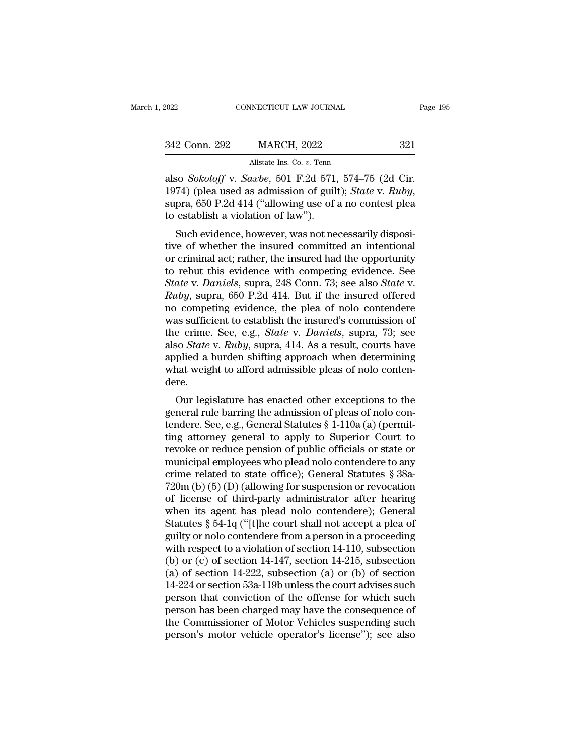| 2022          | CONNECTICUT LAW JOURNAL                            | Page 195 |
|---------------|----------------------------------------------------|----------|
| 342 Conn. 292 | <b>MARCH, 2022</b>                                 | 321      |
|               | Allstate Ins. Co. v. Tenn                          |          |
|               | also Sokoloff v Sarbe, 501 F 2d 571 574–75 (2d Cir |          |

Fage<br>
also *Sokoloff* v. *Saxbe*, 501 F.2d 571, 574–75 (2d Cir.<br>
1974) (plea used as admission of guilt); *State* v. *Ruby*,<br>
1974) (plea used as admission of guilt); *State* v. *Ruby*, 1974) (plea used as admission of guilt); *State* v. *Ruby*, supra, 650 P.2d 414 ("allowing use of a no contest plea to establish a violation of law"). 342 Conn. 292 MARCH, 2022<br>Allstate Ins. Co. v. Tenn<br>also *Sokoloff* v. *Saxbe*, 501 F.2d 571,<br>1974) (plea used as admission of guil-<br>supra, 650 P.2d 414 ("allowing use of a<br>to establish a violation of law").<br>Such evidence, Allstate Ins. Co. v. Tenn<br>
So *Sokoloff* v. *Saxbe*, 501 F.2d 571, 574–75 (2d Cir.<br>
74) (plea used as admission of guilt); *State* v. *Ruby*,<br>
pra, 650 P.2d 414 ("allowing use of a no contest plea<br>
establish a violation o also *Sokoloff* v. *Saxbe*, 501 F.2d 571, 574–75 (2d Cir.<br>1974) (plea used as admission of guilt); *State* v. *Ruby*, supra, 650 P.2d 414 ("allowing use of a no contest plea to establish a violation of law").<br>Such evidenc

also *Sokoloff* v. *Saloe*, 301 F.2d 371, 374–75 (2d Cfl. 1974) (plea used as admission of guilt); *State v. Ruby*, supra, 650 P.2d 414 ("allowing use of a no contest plea to establish a violation of law").<br>Such evidence, to rebut this evidence with competing video  $R_{\text{2D}}$  and  $R_{\text{2D}}$  and  $R_{\text{2D}}$  are  $\sigma$  and  $\sigma$  contest plear to establish a violation of law").<br>Such evidence, however, was not necessarily dispositive of whether th *Supra, 650 F.2d 414 (allowing use of a no contest piea*<br>*to establish a violation of law").*<br>*Such evidence, however, was not necessarily dispositive of whether the insured committed an intentional<br>or criminal act; rather Ruch evidence, however, was not necessarily dispositive of whether the insured committed an intentional or criminal act; rather, the insured had the opportunity to rebut this evidence with competing evidence. See <i>State v* Such evidence, however, was not necessarily dispositive of whether the insured committed an intentional<br>or criminal act; rather, the insured had the opportunity<br>to rebut this evidence with competing evidence. See<br>*State* tive of whether the insured committed an intentional<br>or criminal act; rather, the insured had the opportunity<br>to rebut this evidence with competing evidence. See<br>*State* v. *Daniels*, supra, 248 Conn. 73; see also *State* or criminal act; rather, the insured had the opportunity<br>to rebut this evidence with competing evidence. See<br>State v. *Daniels*, supra, 248 Conn. 73; see also *State* v.<br>*Ruby*, supra, 650 P.2d 414. But if the insured offe to rebut this evidence with competing evidence. See<br>State v. *Daniels*, supra, 248 Conn. 73; see also State v.<br>*Ruby*, supra, 650 P.2d 414. But if the insured offered<br>no competing evidence, the plea of nolo contendere<br>was State v. Daniels, supra, 248 Conn. 73; see also *State* v.<br>Ruby, supra, 650 P.2d 414. But if the insured offered<br>no competing evidence, the plea of nolo contendere<br>was sufficient to establish the insured's commission of<br>th Ruby, supra, 650 P.2d 414. But if the insured offered<br>no competing evidence, the plea of nolo contendere<br>was sufficient to establish the insured's commission of<br>the crime. See, e.g., *State* v. *Daniels*, supra, 73; see<br>al dere. is suincient to establish the insufed s continission of<br>e crime. See, e.g., *State v. Daniels*, supra, 73; see<br>so *State v. Ruby*, supra, 414. As a result, courts have<br>plied a burden shifting approach when determining<br>nat general rule barring see, e.g., *state v. Dantets*, supra, 15, see<br>also *State v. Ruby*, supra, 414. As a result, courts have<br>applied a burden shifting approach when determining<br>what weight to afford admissible pleas of no

also *State v. Kuoy*, supra, 414. As a result, courts have<br>applied a burden shifting approach when determining<br>what weight to afford admissible pleas of nolo conten-<br>dere.<br>Our legislature has enacted other exceptions to th applied a buiden sinting approach when determining<br>what weight to afford admissible pleas of nolo conten-<br>dere.<br>Our legislature has enacted other exceptions to the<br>general rule barring the admission of pleas of nolo con-<br>t what weight to anoto admissible pleas of noto contendere.<br>
Our legislature has enacted other exceptions to the<br>
general rule barring the admission of pleas of noto con-<br>
tendere. See, e.g., General Statutes § 1-110a (a) ( Our legislature has enacted other exceptions to the<br>general rule barring the admission of pleas of nolo con-<br>tendere. See, e.g., General Statutes § 1-110a (a) (permit-<br>ting attorney general to apply to Superior Court to<br>r Our legislature has enacted other exceptions to the<br>general rule barring the admission of pleas of nolo con-<br>tendere. See, e.g., General Statutes  $\S 1-110a$  (a) (permit-<br>ting attorney general to apply to Superior Court to general rule barring the admission of pleas of nolo con-<br>tendere. See, e.g., General Statutes § 1-110a (a) (permit-<br>ting attorney general to apply to Superior Court to<br>revoke or reduce pension of public officials or state tendere. See, e.g., General Statutes § 1-110a (a) (permitting attorney general to apply to Superior Court to revoke or reduce pension of public officials or state or municipal employees who plead nolo contendere to any cr ting attorney general to apply to Superior Court to<br>revoke or reduce pension of public officials or state or<br>municipal employees who plead nolo contendere to any<br>crime related to state office); General Statutes § 38a-<br>720m revoke or reduce pension of public officials or state or<br>municipal employees who plead nolo contendere to any<br>crime related to state office); General Statutes § 38a-<br>720m (b) (5) (D) (allowing for suspension or revocation<br> municipal employees who plead nolo contendere to any<br>crime related to state office); General Statutes § 38a-<br>720m (b) (5) (D) (allowing for suspension or revocation<br>of license of third-party administrator after hearing<br>whe crime related to state office); General Statutes § 38a-<br>720m (b) (5) (D) (allowing for suspension or revocation<br>of license of third-party administrator after hearing<br>when its agent has plead nolo contendere); General<br>Stat 720m (b) (5) (D) (allowing for suspension or revocation<br>of license of third-party administrator after hearing<br>when its agent has plead nolo contendere); General<br>Statutes § 54-1q ("[t]he court shall not accept a plea of<br>gu of license of third-party administrator after hearing<br>when its agent has plead nolo contendere); General<br>Statutes § 54-1q ("[t]he court shall not accept a plea of<br>guilty or nolo contendere from a person in a proceeding<br>wit when its agent has plead nolo contendere); General<br>Statutes § 54-1q ("[t]he court shall not accept a plea of<br>guilty or nolo contendere from a person in a proceeding<br>with respect to a violation of section 14-110, subsectio Statutes § 54-1q ("[t]he court shall not accept a plea of<br>guilty or nolo contendere from a person in a proceeding<br>with respect to a violation of section 14-110, subsection<br>(b) or (c) of section 14-147, section 14-215, sub guilty or nolo contendere from a person in a proceeding<br>with respect to a violation of section 14-110, subsection<br>(b) or (c) of section 14-147, section 14-215, subsection<br>(a) of section 14-222, subsection (a) or (b) of sec with respect to a violation of section 14-110, subsection<br>(b) or (c) of section 14-147, section 14-215, subsection<br>(a) of section 14-222, subsection (a) or (b) of section<br>14-224 or section 53a-119b unless the court advises (b) or (c) of section 14-147, section 14-215, subsection (a) of section 14-222, subsection (a) or (b) of section 14-224 or section 53a-119b unless the court advises such person that conviction of the offense for which suc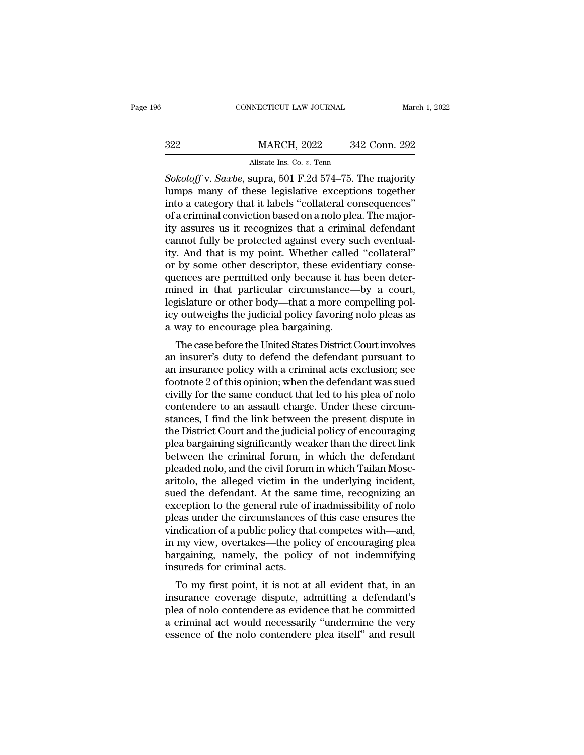MARCH, 2022 342 Conn. 292<br>Allstate Ins. Co. v. Tenn<br>Sokoloff v. Saxbe, supra, 501 F.2d 574–75. The majority<br>lumps many of these legislative exceptions together<br>into a category that it labels "collateral consequences"<br>of a  $\begin{array}{r} \text{MARCH, 2022} \quad \text{342 Conn. 292} \ \hline \text{Allstate Ins. Co. } v. \text{ Tenn} \ \text{Sokoloff v. Saxbe, supra, 501 F.2d 574–75. The majority  
lumps many of these legislative exceptions together into a category that it labels "collateral consequences" of a criminal conviction based on a nolo plea. The majority assumes us it recognizes that a criminal cofendent.} \end{array}$  $\frac{\text{MARCH}}{\text{Mlstate Ins. Co. } v. \text{ Tenn}}$ <br>  $\frac{\text{Sokoloff v.} \text{Saxbe, supra, 501 F.2d 574–75.} \text{The majority  
lumps many of these legislative exceptions together  
into a category that it labels "collateral consequences"  
of a criminal conviction based on a nolo plea. The major-  
ity assures us it recognizes that a criminal defendant  
cannot fully be protected against every such overall$ Allstate Ins. Co. v. Tenn<br>
Sokoloff v. Saxbe, supra, 501 F.2d 574–75. The majority<br>
lumps many of these legislative exceptions together<br>
into a category that it labels "collateral consequences"<br>
of a criminal conviction ba All Sokoloff v. Saxbe, supra, 501 F.2d 574–75. The majority<br>lumps many of these legislative exceptions together<br>into a category that it labels "collateral consequences"<br>of a criminal conviction based on a nolo plea. The ma Sokoloff v. Saxbe, supra, 501 F.2d 574–75. The majority<br>lumps many of these legislative exceptions together<br>into a category that it labels "collateral consequences"<br>of a criminal conviction based on a nolo plea. The majorlumps many of these legislative exceptions together<br>into a category that it labels "collateral consequences"<br>of a criminal conviction based on a nolo plea. The major-<br>ity assures us it recognizes that a criminal defendant<br> into a category that it labels "collateral consequences"<br>of a criminal conviction based on a nolo plea. The major-<br>ity assures us it recognizes that a criminal defendant<br>cannot fully be protected against every such eventua of a criminal conviction based on a nolo plea. The majority assures us it recognizes that a criminal defendant<br>cannot fully be protected against every such eventual-<br>ity. And that is my point. Whether called "collateral"<br>o ity assures us it recognizes that a criminal defendant<br>cannot fully be protected against every such eventual-<br>ity. And that is my point. Whether called "collateral"<br>or by some other descriptor, these evidentiary conse-<br>que cannot fully be protected against every such eventual-<br>ity. And that is my point. Whether called "collateral"<br>or by some other descriptor, these evidentiary conse-<br>quences are permitted only because it has been deter-<br>mine ity. And that is my point. Whether called<br>or by some other descriptor, these evider<br>quences are permitted only because it has<br>mined in that particular circumstance—<br>legislature or other body—that a more co-<br>icy outweighs t by some other descriptor, these evidentiary conse-<br>ences are permitted only because it has been deter-<br>ined in that particular circumstance—by a court,<br>gislature or other body—that a more compelling pol-<br>y outweighs the ju quences are permitted only because it has been deter-<br>mined in that particular circumstance—by a court,<br>legislature or other body—that a more compelling pol-<br>icy outweighs the judicial policy favoring nolo pleas as<br>a way t

himed in that particular circumstance—by a court,<br>legislature or other body—that a more compelling pol-<br>icy outweighs the judicial policy favoring nolo pleas as<br>a way to encourage plea bargaining.<br>The case before the Unite for the public of the public state of other body—utat a filter compening policy outweighs the judicial policy favoring nolo pleas as<br>a way to encourage plea bargaining.<br>The case before the United States District Court invo rey outwerghs the judicial policy favoring noto pleas as<br>a way to encourage plea bargaining.<br>The case before the United States District Court involves<br>an insurance policy with a criminal acts exclusion; see<br>footnote 2 of t a way to encourage piea barganting.<br>The case before the United States District Court involves<br>an insurance policy with a criminal acts exclusion; see<br>footnote 2 of this opinion; when the defendant was sued<br>civilly for the The case before the United States District Court involves<br>an insurer's duty to defend the defendant pursuant to<br>an insurance policy with a criminal acts exclusion; see<br>footnote 2 of this opinion; when the defendant was sue an insurer's duty to defend the defendant pursuant to<br>an insurance policy with a criminal acts exclusion; see<br>footnote 2 of this opinion; when the defendant was sued<br>civilly for the same conduct that led to his plea of nol an insurance policy with a criminal acts exclusion; see<br>footnote 2 of this opinion; when the defendant was sued<br>civilly for the same conduct that led to his plea of nolo<br>contendere to an assault charge. Under these circumfootnote 2 of this opinion; when the defendant was sued<br>civilly for the same conduct that led to his plea of nolo<br>contendere to an assault charge. Under these circum-<br>stances, I find the link between the present dispute in civilly for the same conduct that led to his plea of nolo contendere to an assault charge. Under these circumstances, I find the link between the present dispute in the District Court and the judicial policy of encouraging contendere to an assault charge. Under these circum-<br>stances, I find the link between the present dispute in<br>the District Court and the judicial policy of encouraging<br>plea bargaining significantly weaker than the direct li stances, I find the link between the present dispute in<br>the District Court and the judicial policy of encouraging<br>plea bargaining significantly weaker than the direct link<br>between the criminal forum, in which the defendant the District Court and the judicial policy of encouraging<br>plea bargaining significantly weaker than the direct link<br>between the criminal forum, in which the defendant<br>pleaded nolo, and the civil forum in which Tailan Moscplea bargaining significantly weaker than the direct link<br>between the criminal forum, in which the defendant<br>pleaded nolo, and the civil forum in which Tailan Mosc-<br>aritolo, the alleged victim in the underlying incident,<br>s between the criminal forum, in which the defendant<br>pleaded nolo, and the civil forum in which Tailan Moscaritolo, the alleged victim in the underlying incident,<br>sued the defendant. At the same time, recognizing an<br>exceptio pleaded nolo, and the civil forum in which Tailan Moscaritolo, the alleged victim in the underlying incident,<br>sued the defendant. At the same time, recognizing an<br>exception to the general rule of inadmissibility of nolo<br>pl aritolo, the alleged victim in the underlying incident,<br>sued the defendant. At the same time, recognizing an<br>exception to the general rule of inadmissibility of nolo<br>pleas under the circumstances of this case ensures the<br>v sued the defendant. At the same<br>exception to the general rule of<br>pleas under the circumstances of<br>vindication of a public policy that<br>in my view, overtakes—the polic<br>bargaining, namely, the policy<br>insureds for criminal act ception to the general rule of magnitudity of noto<br>eas under the circumstances of this case ensures the<br>ndication of a public policy that competes with—and,<br>my view, overtakes—the policy of encouraging plea<br>rgaining, namel pleas under the circumstances of this case ensures the<br>vindication of a public policy that competes with—and,<br>in my view, overtakes—the policy of encouraging plea<br>bargaining, namely, the policy of not indemnifying<br>insureds

vindication of a public policy that completes with—and,<br>in my view, overtakes—the policy of encouraging plea<br>bargaining, namely, the policy of not indemnifying<br>insureds for criminal acts.<br>To my first point, it is not at al In my view, overtakes—the policy of encouraging piear<br>bargaining, namely, the policy of not indemnifying<br>insureds for criminal acts.<br>To my first point, it is not at all evident that, in an<br>insurance coverage dispute, admit baryanting, hallery, the policy of not indentifying<br>insureds for criminal acts.<br>To my first point, it is not at all evident that, in an<br>insurance coverage dispute, admitting a defendant's<br>plea of nolo contendere as evidenc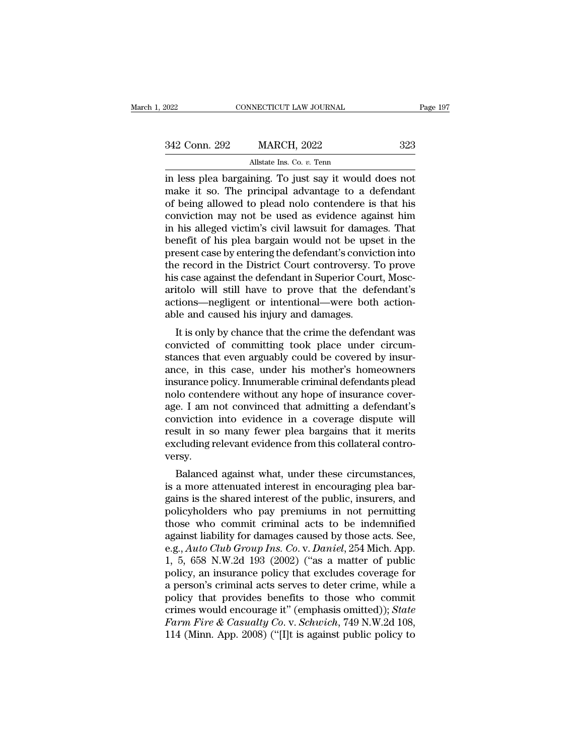| , 2022        | CONNECTICUT LAW JOURNAL                                | Page 197 |
|---------------|--------------------------------------------------------|----------|
| 342 Conn. 292 | <b>MARCH, 2022</b>                                     | 323      |
|               | Allstate Ins. Co. v. Tenn                              |          |
|               | in less plea hargaining. To just say it would does not |          |

Fage 19<br>
1922 Conn. 292 MARCH, 2022 323<br>
1934 Conn. 292 MARCH, 2022 323<br>
1935 Allstate Ins. Co. v. Tenn<br>
1935 Pea bargaining. To just say it would does not<br>
1936 The principal advantage to a defendant<br>
1936 The principal a 342 Conn. 292 MARCH, 2022 323<br>Allstate Ins. Co. v. Tenn<br>in less plea bargaining. To just say it would does not<br>make it so. The principal advantage to a defendant<br>of being allowed to plead nolo contendere is that his<br>convic 342 Conn. 292 MARCH, 2022 323<br>Allstate Ins. Co.  $v$ . Tenn<br>in less plea bargaining. To just say it would does not<br>make it so. The principal advantage to a defendant<br>of being allowed to plead nolo contendere is that his<br>con 342 Conn. 292 MARCH, 2022 323<br>
allstate Ins. Co.  $v$ . Tenn<br>
in less plea bargaining. To just say it would does not<br>
make it so. The principal advantage to a defendant<br>
of being allowed to plead nolo contendere is that his Allstate Ins. Co. *v.* Tenn<br>in less plea bargaining. To just say it would does not<br>make it so. The principal advantage to a defendant<br>of being allowed to plead nolo contendere is that his<br>conviction may not be used as evid Allistate Ins. Co. *v.* Tenn<br>in less plea bargaining. To just say it would does not<br>make it so. The principal advantage to a defendant<br>of being allowed to plead noto contendere is that his<br>conviction may not be used as evi in less plea bargaining. To just say it would does not<br>make it so. The principal advantage to a defendant<br>of being allowed to plead nolo contendere is that his<br>conviction may not be used as evidence against him<br>in his alle make it so. The principal advantage to a defendant<br>of being allowed to plead nolo contendere is that his<br>conviction may not be used as evidence against him<br>in his alleged victim's civil lawsuit for damages. That<br>benefit of of being allowed to plead nolo contendere is that his conviction may not be used as evidence against him<br>in his alleged victim's civil lawsuit for damages. That<br>benefit of his plea bargain would not be upset in the<br>present conviction may not be used as evidence against him<br>in his alleged victim's civil lawsuit for damages. That<br>benefit of his plea bargain would not be upset in the<br>present case by entering the defendant's conviction into<br>the in his alleged victim's civil lawsuit for damages. That<br>benefit of his plea bargain would not be upset in the<br>present case by entering the defendant's conviction into<br>the record in the District Court controversy. To prove<br> benefit of his plea bargain would not be upseupresent case by entering the defendant's conviction the record in the District Court controversy. This case against the defendant in Superior Couraritolo will still have to pro Essent case by entering the defendant s' conviction mio<br>
e record in the District Court controversy. To prove<br>
s' case against the defendant in Superior Court, Mosc-<br>
itolo will still have to prove that the defendant's<br>
ti the record in the District Court Controversy. To prove<br>his case against the defendant in Superior Court, Moscaritolo will still have to prove that the defendant's<br>actions—negligent or intentional—were both action-<br>able and

It is case against the defendant in Superior Court, Moscaritolo will still have to prove that the defendant's<br>actions—negligent or intentional—were both action-<br>able and caused his injury and damages.<br>It is only by chance antolo win still have to prove that the defendant s<br>actions—negligent or intentional—were both action-<br>able and caused his injury and damages.<br>It is only by chance that the crime the defendant was<br>convicted of committing t actions—negingent of intentional—were bout action-<br>able and caused his injury and damages.<br>It is only by chance that the crime the defendant was<br>convicted of committing took place under circum-<br>stances that even arguably c able and caused its figury and damages.<br>It is only by chance that the crime the defendant was<br>convicted of committing took place under circum-<br>stances that even arguably could be covered by insur-<br>ance, in this case, under It is only by chance that the crime the defendant was<br>convicted of committing took place under circum-<br>stances that even arguably could be covered by insur-<br>ance, in this case, under his mother's homeowners<br>insurance polic convicted of committing took place under circum-<br>stances that even arguably could be covered by insur-<br>ance, in this case, under his mother's homeowners<br>insurance policy. Innumerable criminal defendants plead<br>nolo contende stances that even arguably could be covered by insurance, in this case, under his mother's homeowners<br>insurance policy. Innumerable criminal defendants plead<br>nolo contendere without any hope of insurance cover-<br>age. I am n ance, in this case, under his mother's homeowners<br>insurance policy. Innumerable criminal defendants plead<br>nolo contendere without any hope of insurance cover-<br>age. I am not convinced that admitting a defendant's<br>conviction versy. For the against what, under these circumstances,<br>a more convinced that admitting a defendant's<br>nviction into evidence in a coverage dispute will<br>sult in so many fewer plea bargains that it merits<br>cluding relevant evidence and interest in a coverage dispute will<br>result in so many fewer plea bargains that it merits<br>excluding relevant evidence from this collateral contro-<br>versy.<br>Balanced against what, under these circumstances,<br>is a more atten

Fraction into evidence in a coverage uspute wind<br>result in so many fewer plea bargains that it merits<br>excluding relevant evidence from this collateral contro-<br>versy.<br>Balanced against what, under these circumstances,<br>is a m policyholders who pay premiums in a triments<br>excluding relevant evidence from this collateral contro-<br>versy.<br>Balanced against what, under these circumstances,<br>is a more attenuated interest in encouraging plea bar-<br>gains is Excluding relevant evidence from this conateral contro-<br>versy.<br>Balanced against what, under these circumstances,<br>is a more attenuated interest in encouraging plea bar-<br>gains is the shared interest of the public, insurers, Balanced against what, under these circumstances,<br>is a more attenuated interest in encouraging plea bar-<br>gains is the shared interest of the public, insurers, and<br>policyholders who pay premiums in not permitting<br>those who Balanced against what, under these circumstances,<br>is a more attenuated interest in encouraging plea bar-<br>gains is the shared interest of the public, insurers, and<br>policyholders who pay premiums in not permitting<br>those who is a more attenuated interest in encouraging plea bargains is the shared interest of the public, insurers, and policyholders who pay premiums in not permitting those who commit criminal acts to be indemnified against liabi gains is the shared interest of the public, insurers, and<br>policyholders who pay premiums in not permitting<br>those who commit criminal acts to be indemnified<br>against liability for damages caused by those acts. See,<br>e.g., *Au* policyholders who pay premiums in not permitting<br>those who commit criminal acts to be indemnified<br>against liability for damages caused by those acts. See,<br>e.g., *Auto Club Group Ins. Co. v. Daniel*, 254 Mich. App.<br>1, 5, 65 those who commit criminal acts to be indemnified<br>against liability for damages caused by those acts. See,<br>e.g., *Auto Club Group Ins. Co. v. Daniel*, 254 Mich. App.<br>1, 5, 658 N.W.2d 193 (2002) ("as a matter of public<br>poli against liability for damages caused by those acts. See,<br>e.g., *Auto Club Group Ins. Co.* v. *Daniel*, 254 Mich. App.<br>1, 5, 658 N.W.2d 193 (2002) ("as a matter of public<br>policy, an insurance policy that excludes coverage f *Farm Fire & Casualty Co. v. Daniel*, 254 Mich. App.<br>1, 5, 658 N.W.2d 193 (2002) ("as a matter of public<br>policy, an insurance policy that excludes coverage for<br>a person's criminal acts serves to deter crime, while a<br>policy 1, 5, 658 N.W.2d 193 (2002) ("as a matter of public policy, an insurance policy that excludes coverage for a person's criminal acts serves to deter crime, while a policy that provides benefits to those who commit crimes w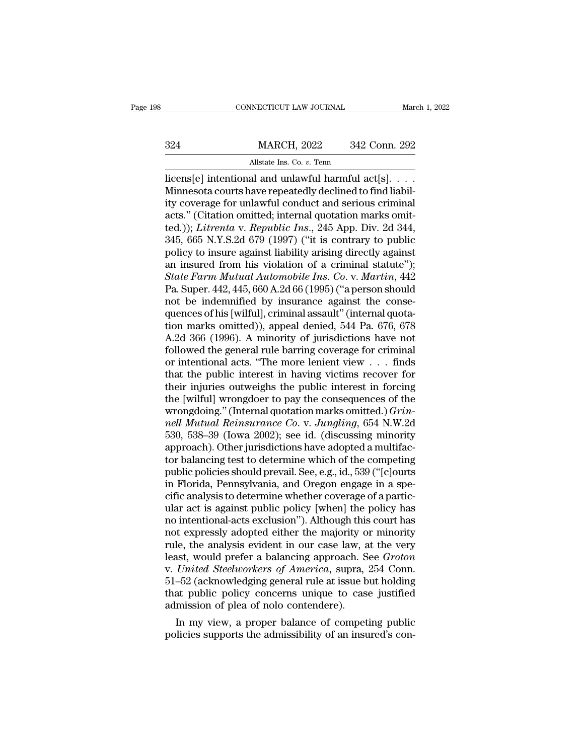## EXECUTE CONNECTICUT LAW JOURNAL March 1, 2022<br>324 MARCH, 2022 342 Conn. 292<br>Allstate Ins. Co. v. Tenn NECTICUT LAW JOURNAL<br>MARCH, 2022 342<br>Allstate Ins. Co. *v.* Tenn<br>al and unlawful harmful a

CONNECTICUT LAW JOURNAL March 1, 2<br>
324 MARCH, 2022 342 Conn. 292<br>
Allstate Ins. Co. v. Tenn<br>
Iicens[e] intentional and unlawful harmful act[s]. . . .<br>
Minnesota courts have repeatedly declined to find liability<br>
coverage MARCH, 2022 342 Conn. 292<br>Allstate Ins. Co. v. Tenn<br>licens[e] intentional and unlawful harmful act[s]. . . . .<br>Minnesota courts have repeatedly declined to find liabil-<br>ity coverage for unlawful conduct and serious crimina 324 MARCH, 2022 342 Conn. 292<br>Allstate Ins. Co. v. Tenn<br>licens[e] intentional and unlawful harmful act[s]. . . .<br>Minnesota courts have repeatedly declined to find liabil-<br>ity coverage for unlawful conduct and serious crim 324 MARCH, 2022 342 Conn. 292<br>
Allstate Ins. Co. v. Tenn<br>
licens[e] intentional and unlawful harmful act[s]. . . .<br>
Minnesota courts have repeatedly declined to find liabil-<br>
ity coverage for unlawful conduct and serious c All state Ins. Co. *v.* Tenn<br>
licens[e] intentional and unlawful harmful act[s]. . . . .<br>
Minnesota courts have repeatedly declined to find liabil-<br>
ity coverage for unlawful conduct and serious criminal<br>
acts." (Citation All state ins. Co. v. Tenn<br>
licens[e] intentional and unlawful harmful act[s]. . . .<br>
Minnesota courts have repeatedly declined to find liabil-<br>
ity coverage for unlawful conduct and serious criminal<br>
acts." (Citation omi licens[e] intentional and unlawful harmful act[s]. . . . Minnesota courts have repeatedly declined to find liability coverage for unlawful conduct and serious criminal acts." (Citation omitted; internal quotation marks omi Minnesota courts have repeatedly declined to find liability coverage for unlawful conduct and serious criminal<br>acts." (Citation omitted; internal quotation marks omit-<br>ted.)); *Litrenta v. Republic Ins.*, 245 App. Div. 2d ity coverage for unlawful conduct and serious criminal<br>acts." (Citation omitted; internal quotation marks omit-<br>ted.)); *Litrenta v. Republic Ins.*, 245 App. Div. 2d 344,<br>345, 665 N.Y.S.2d 679 (1997) ("it is contrary to pu acts." (Citation omitted; internal quotation marks omit-<br>ted.)); *Litrenta v. Republic Ins.*, 245 App. Div. 2d 344,<br>345, 665 N.Y.S.2d 679 (1997) ("it is contrary to public<br>policy to insure against liability arising directl ted.)); *Litrenta v. Republic Ins.*, 245 App. Div. 2d 344, 345, 665 N.Y.S.2d 679 (1997) ("it is contrary to public policy to insure against liability arising directly against an insured from his violation of a criminal st 345, 665 N.Y.S.2d 679 (1997) ("it is contrary to public<br>policy to insure against liability arising directly against<br>an insured from his violation of a criminal statute");<br>State Farm Mutual Automobile Ins. Co. v. Martin, 4 policy to insure against liability arising directly against<br>an insured from his violation of a criminal statute");<br>State Farm Mutual Automobile Ins. Co. v. Martin, 442<br>Pa. Super. 442, 445, 660 A.2d 66 (1995) ("a person sho an insured from his violation of a criminal statute");<br>
State Farm Mutual Automobile Ins. Co. v. Martin, 442<br>
Pa. Super. 442, 445, 660 A.2d 66 (1995) ("a person should<br>
not be indemnified by insurance against the conse-<br>
q State Farm Mutual Automobile Ins. Co. v. Martin, 442<br>Pa. Super. 442, 445, 660 A.2d 66 (1995) ("a person should<br>not be indemnified by insurance against the conse-<br>quences of his [wilful], criminal assault" (internal quota-Pa. Super. 442, 445, 660 A.2d 66 (1995) ("a person should<br>not be indemnified by insurance against the conse-<br>quences of his [wilful], criminal assault" (internal quota-<br>tion marks omitted)), appeal denied, 544 Pa. 676, 678 not be indemnified by insurance against the consequences of his [wilful], criminal assault" (internal quotation marks omitted)), appeal denied, 544 Pa. 676, 678<br>A.2d 366 (1996). A minority of jurisdictions have not follow quences of his [wilful], criminal assault" (internal quotation marks omitted)), appeal denied, 544 Pa. 676, 678<br>A.2d 366 (1996). A minority of jurisdictions have not<br>followed the general rule barring coverage for criminal tion marks omitted)), appeal denied, 544 Pa. 676, 678<br>A.2d 366 (1996). A minority of jurisdictions have not<br>followed the general rule barring coverage for criminal<br>or intentional acts. "The more lenient view . . . finds<br>t A.2d 366 (1996). A minority of jurisdictions have not followed the general rule barring coverage for criminal or intentional acts. "The more lenient view . . . finds that the public interest in having victims recover for t *nellowed the general rule barring coverage for criminal*<br>
or intentional acts. "The more lenient view . . . finds<br>
that the public interest in having victims recover for<br>
their injuries outweighs the public interest in fo or intentional acts. "The more lenient view . . . finds<br>that the public interest in having victims recover for<br>their injuries outweighs the public interest in forcing<br>the [wilful] wrongdoer to pay the consequences of the<br>w that the public interest in having victims recover for<br>their injuries outweighs the public interest in forcing<br>the [wilful] wrongdoer to pay the consequences of the<br>wrongdoing." (Internal quotation marks omitted.)  $Grin$ -<br>n their injuries outweighs the public interest in forcing<br>the [wilful] wrongdoer to pay the consequences of the<br>wrongdoing." (Internal quotation marks omitted.) *Grin-<br>nell Mutual Reinsurance Co.* v. *Jungling*, 654 N.W.2d<br>5 the [wilful] wrongdoer to pay the consequences of the<br>wrongdoing." (Internal quotation marks omitted.) *Grin-<br>nell Mutual Reinsurance Co. v. Jungling*, 654 N.W.2d<br>530, 538–39 (Iowa 2002); see id. (discussing minority<br>appro wrongdoing." (Internal quotation marks omitted.) *Grin-*<br>nell Mutual Reinsurance Co. v. Jungling, 654 N.W.2d<br>530, 538–39 (Iowa 2002); see id. (discussing minority<br>approach). Other jurisdictions have adopted a multifac-<br>tor nell Mutual Reinsurance Co. v. Jungling, 654 N.W.2d<br>530, 538–39 (Iowa 2002); see id. (discussing minority<br>approach). Other jurisdictions have adopted a multifac-<br>tor balancing test to determine which of the competing<br>publi 530, 538–39 (Iowa 2002); see id. (discussing minority<br>approach). Other jurisdictions have adopted a multifac-<br>tor balancing test to determine which of the competing<br>public policies should prevail. See, e.g., id., 539 ("[c] approach). Other jurisdictions have adopted a multifactor balancing test to determine which of the competing<br>public policies should prevail. See, e.g., id., 539 ("[c]ourts<br>in Florida, Pennsylvania, and Oregon engage in a s tor balancing test to determine which of the competing<br>public policies should prevail. See, e.g., id., 539 ("[c]ourts<br>in Florida, Pennsylvania, and Oregon engage in a spe-<br>cific analysis to determine whether coverage of a public policies should prevail. See, e.g., id., 539 ("[c]ourts<br>in Florida, Pennsylvania, and Oregon engage in a spe-<br>cific analysis to determine whether coverage of a partic-<br>ular act is against public policy [when] the po in Florida, Pennsylvania, and Oregon engage in a specific analysis to determine whether coverage of a particular act is against public policy [when] the policy has<br>no intentional-acts exclusion"). Although this court has<br>n cific analysis to determine whether coverage of a partic-<br>ular act is against public policy [when] the policy has<br>no intentional-acts exclusion"). Although this court has<br>not expressly adopted either the majority or minori ular act is against public policy [when] the policy has<br>no intentional-acts exclusion"). Although this court has<br>not expressly adopted either the majority or minority<br>rule, the analysis evident in our case law, at the very no intentional-acts exclusion"). Although this court has<br>not expressly adopted either the majority or minority<br>rule, the analysis evident in our case law, at the very<br>least, would prefer a balancing approach. See *Groton*<br> not expressly adopted either the majority of rule, the analysis evident in our case law, a least, would prefer a balancing approach. So v. United Steelworkers of America, supra, 51–52 (acknowledging general rule at issue b Ie, the analysis evident in our case law, at the very<br>ast, would prefer a balancing approach. See *Groton*<br>United Steelworkers of America, supra, 254 Conn.<br>-52 (acknowledging general rule at issue but holding<br>at public pol reast, would prefer a balancing approach. See *Groton*<br>v. *United Steelworkers of America*, supra, 254 Conn.<br>51–52 (acknowledging general rule at issue but holding<br>that public policy concerns unique to case justified<br>admis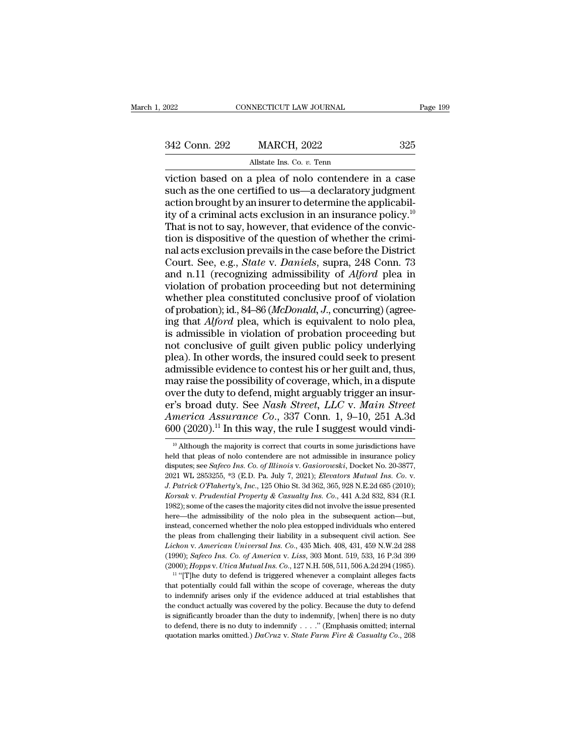NECTICUT LAW JOURNAL<br>MARCH, 2022<br>Allstate Ins. Co. *v.* Tenn<br>a plea of polo contendere viction based on a plea of nolo contendere in a case<br>such as the one certified to us—a declaratory judgment<br>action brought by an insurant determine the applicabil-342 Conn. 292 MARCH, 2022 325<br>Allstate Ins. Co. v. Tenn<br>viction based on a plea of nolo contendere in a case<br>such as the one certified to us—a declaratory judgment<br>action brought by an insurer to determine the applicabil-342 Conn. 292 MARCH, 2022 325<br>Allstate Ins. Co. v. Tenn<br>viction based on a plea of nolo contendere in a case<br>such as the one certified to us—a declaratory judgment<br>action brought by an insurer to determine the applicabil-342 Conn. 292 MARCH, 2022 325<br>
allstate Ins. Co. v. Tenn<br>
viction based on a plea of nolo contendere in a case<br>
such as the one certified to us—a declaratory judgment<br>
action brought by an insurer to determine the applica Allstate Ins. Co. v. Tenn<br>
viction based on a plea of nolo contendere in a case<br>
such as the one certified to us—a declaratory judgment<br>
action brought by an insurer to determine the applicabil-<br>
ity of a criminal acts ex All state Ins. Co. *v.* Tenn<br>viction based on a plea of nolo contendere in a case<br>such as the one certified to us—a declaratory judgment<br>action brought by an insurer to determine the applicabil-<br>ity of a criminal acts exc viction based on a plea of nolo contendere in a case<br>such as the one certified to us—a declaratory judgment<br>action brought by an insurer to determine the applicabil-<br>ity of a criminal acts exclusion in an insurance policy. such as the one certified to us—a declaratory judgment<br>action brought by an insurer to determine the applicabil-<br>ity of a criminal acts exclusion in an insurance policy.<sup>10</sup><br>That is not to say, however, that evidence of th action brought by an insurer to determine the applicabil-<br>ity of a criminal acts exclusion in an insurance policy.<sup>10</sup><br>That is not to say, however, that evidence of the convic-<br>tion is dispositive of the question of whethe ity of a criminal acts exclusion in an insurance policy.<sup>10</sup><br>That is not to say, however, that evidence of the conviction is dispositive of the question of whether the criminal acts exclusion prevails in the case before t That is not to say, however, that evidence of the conviction is dispositive of the question of whether the criminal acts exclusion prevails in the case before the District Court. See, e.g., *State v. Daniels*, supra, 248 That is not to say, however, that evidence of the conviction is dispositive of the question of whether the criminal acts exclusion prevails in the case before the District Court. See, e.g., *State* v. *Daniels*, supra, 248 nal acts exclusion prevails in the case before the District<br>Court. See, e.g., *State v. Daniels*, supra, 248 Conn. 73<br>and n.11 (recognizing admissibility of *Alford* plea in<br>violation of probation proceeding but not determ Court. See, e.g., *State* v. *Daniels*, supra, 248 Conn. 73<br>and n.11 (recognizing admissibility of *Alford* plea in<br>violation of probation proceeding but not determining<br>whether plea constituted conclusive proof of violati and n.11 (recognizing admissibility of *Alford* plea in violation of probation proceeding but not determining whether plea constituted conclusive proof of violation of probation); id., 84–86 (*McDonald*, *J*., concurring) violation of probation proceeding but not determining<br>whether plea constituted conclusive proof of violation<br>of probation); id., 84–86 (*McDonald*, *J*., concurring) (agree-<br>ing that *Alford* plea, which is equivalent to n whether plea constituted conclusive proof of violation<br>of probation); id., 84–86 (*McDonald*, *J*., concurring) (agree-<br>ing that *Alford* plea, which is equivalent to nolo plea,<br>is admissible in violation of probation proc of probation); id., 84–86 (*McDonald*, *J*., concurring) (agreeing that *Alford* plea, which is equivalent to nolo plea, is admissible in violation of probation proceeding but not conclusive of guilt given public policy u ing that *Alford* plea, which is equivalent to nolo plea,<br>is admissible in violation of probation proceeding but<br>not conclusive of guilt given public policy underlying<br>plea). In other words, the insured could seek to pres is admissible in violation of probation proceeding but<br>not conclusive of guilt given public policy underlying<br>plea). In other words, the insured could seek to present<br>admissible evidence to contest his or her guilt and, th not conclusive of guilt given public policy underlying<br>plea). In other words, the insured could seek to present<br>admissible evidence to contest his or her guilt and, thus,<br>may raise the possibility of coverage, which, in a plea). In other words, the insured could seek to present<br>admissible evidence to contest his or her guilt and, thus,<br>may raise the possibility of coverage, which, in a dispute<br>over the duty to defend, might arguably trigger ver the duty to defend, might arguably trigger an insur-<br>
"S broad duty. See *Nash Street*, *LLC* v. *Main Street*<br> *merica Assurance Co.*, 337 Conn. 1, 9–10, 251 A.3d<br>  $10$  (2020).<sup>11</sup> In this way, the rule I suggest wou er's broad duty. See *Nash Street, LLC* v. *Main Street*<br>America Assurance Co., 337 Conn. 1, 9–10, 251 A.3d<br>600 (2020).<sup>11</sup> In this way, the rule I suggest would vindi-<br><sup>10</sup> Although the majority is correct that courts in

America Assurance Co., 337 Conn. 1, 9–10, 251 A.3d<br>600 (2020).<sup>11</sup> In this way, the rule I suggest would vindi-<br><sup>10</sup> Although the majority is correct that courts in some jurisdictions have<br>held that pleas of nolo contender 2021 W. Particle Co., 867 Collit. 1, 8 10, 251 T1.5d 600 (2020).<sup>11</sup> In this way, the rule I suggest would vindi-<br><sup>10</sup> Although the majority is correct that courts in some jurisdictions have held that pleas of nolo conten <sup>10</sup> Although the majority is correct that courts in some jurisdictions have held that pleas of nolo contendere are not admissible in insurance policy disputes; see *Safeco Ins. Co. of Illinois v. Gasiorowski*, Docket No. held that pleas of notocontendere are not admissible in insurance policy disputes; see *Safeco Ins. Co. of Illinois v. Gasiorowski*, Docket No. 20-3877, 2021 WL 2853255, \*3 (E.D. Pa. July 7, 2021); *Elevators Mutual Ins.* disputes; see *Safeco Ins. Co. of Illinois v. Gasiorowski*, Docket No. 20-3877, 2021 WL 2853255, \*3 (E.D. Pa. July 7, 2021); *Elevators Mutual Ins. Co. v.* J. Patrick O'Flaherty's, Inc., 125 Ohio St. 3d 362, 365, 928 N.E. 2021 WL 2853255, \*3 (E.D. Pa. July 7, 2021); *Elevators Mutual Ins. Co. v.*<br>2021 WL 2853255, \*3 (E.D. Pa. July 7, 2021); *Elevators Mutual Ins. Co. v.*<br>*J. Patrick O'Flaherty's, Inc.*, 125 Ohio St. 3d 362, 365, 928 N.E.2d **1. Patrick O'Flaherty's, Inc., 125 Ohio St. 3d 362, 365, 928 N.E.2d 685 (2010);**<br>*Korsak v. Prudential Property & Casualty Ins. Co.*, 441 A.2d 832, 834 (R.I.<br>1982); some of the cases the majority cites did not involve the *Lichon v. American Universal Ins. Co.*, 435 Mich. 408, 431, 459 N.W.2d 288 (1990); Some of the cases the majority cites did not involve the issue presented here—the admissibility of the nolo plea in the subsequent action— 1992); some of the cases the majority cites did not involve the issue presented<br>here—the admissibility of the nolo plea in the subsequent action—but,<br>instead, concerned whether the nolo plea estopped individuals who entere here—the admissibility of the nolo plea in the subsequent action—but, instead, concerned whether the nolo plea estopped individuals who entered the pleas from challenging their liability in a subsequent civil action. See the pleas from challenging their liability in a subsequent civil action. See *Lichon v. American Universal Ins. Co.*, 435 Mich. 408, 431, 459 N.W.2d 288 (1990); *Safeco Ins. Co. of America v. Liss*, 303 Mont. 519, 533, 16

the pleas from challenging their liability in a subsequent civil action. See *Lichon v. American Universal Ins. Co.*, 435 Mich. 408, 431, 459 N.W.2d 288 (1990); *Safeco Ins. Co. of America v. Liss*, 303 Mont. 519, 533, 16 (1990); *Safeco Ins. Co. of America v. Liss*, 303 Mont. 519, 533, 16 P.3d 399 (2000); *Hopps v. Utica Mutual Ins. Co.*, 127 N.H. 508, 511, 506 A.2d 294 (1985). <sup>11</sup> "[T]he duty to defend is triggered whenever a complaint (2000); *Hopps v. Utica Mutual Ins. Co.*, 127 N.H. 508, 511, 506 A.2d 294 (1985).<br><sup>11</sup> "[T]he duty to defend is triggered whenever a complaint alleges facts  $\frac{11}{2}$  "[T]he duty to defend is triggered whenever a complai <sup>11</sup> "[T]he duty to defend is triggered whenever a complaint alleges facts that potentially could fall within the scope of coverage, whereas the duty to indemnify arises only if the evidence adduced at trial establishes t that potentially could fall within the scope of coverage, whereas the duty<br>to indemnify arises only if the evidence adduced at trial establishes that<br>the conduct actually was covered by the policy. Because the duty to def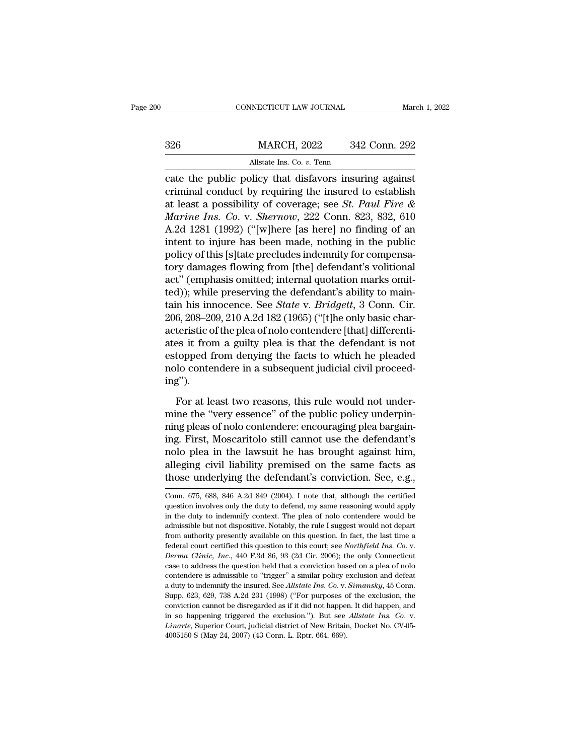|     | CONNECTICUT LAW JOURNAL                                | March 1, 2022 |
|-----|--------------------------------------------------------|---------------|
| 326 | <b>MARCH, 2022</b>                                     | 342 Conn. 292 |
|     | Allstate Ins. Co. v. Tenn                              |               |
|     | cate the public policy that disfavors insuring against |               |

CONNECTICUT LAW JOURNAL March 1, 202<br>
2326 MARCH, 2022 342 Conn. 292<br>
Allstate Ins. Co. v. Tenn<br>
2326 Conn. 292<br>
2342 Conn. 292<br>
2342 Conn. 292<br>
2342 Conn. 292<br>
2342 Conn. 292<br>
2342 Conn. 292<br>
2342 Conn. 292<br>
2342 Conn. 29 MARCH, 2022 342 Conn. 292<br>Allstate Ins. Co. v. Tenn<br>cate the public policy that disfavors insuring against<br>criminal conduct by requiring the insured to establish<br>at least a possibility of coverage; see *St. Paul Fire &*<br>Ma MARCH, 2022 342 Conn. 292<br>
Allstate Ins. Co. v. Tenn<br>
cate the public policy that disfavors insuring against<br>
criminal conduct by requiring the insured to establish<br>
at least a possibility of coverage; see *St. Paul Fire & MARCH, 2022* 342 Conn. 292<br> *Allstate Ins. Co. v. Tenn*<br> *Cate the public policy that disfavors insuring against*<br>
criminal conduct by requiring the insured to establish<br>
at least a possibility of coverage; see *St. Paul* Allstate Ins. Co. v. Tenn<br>
cate the public policy that disfavors insuring against<br>
criminal conduct by requiring the insured to establish<br>
at least a possibility of coverage; see *St. Paul Fire &*<br> *Marine Ins. Co. v. Sher* All and the public policy that disfavors insuring against<br>criminal conduct by requiring the insured to establish<br>at least a possibility of coverage; see *St. Paul Fire &*<br>*Marine Ins. Co. v. Shernow*, 222 Conn. 823, 832, cate the public policy that disfavors insuring against<br>criminal conduct by requiring the insured to establish<br>at least a possibility of coverage; see *St. Paul Fire &*<br>*Marine Ins. Co. v. Shernow*, 222 Conn. 823, 832, 610 criminal conduct by requiring the insured to establish<br>at least a possibility of coverage; see *St. Paul Fire &*<br>*Marine Ins. Co. v. Shernow*, 222 Conn. 823, 832, 610<br>A.2d 1281 (1992) ("[w]here [as here] no finding of an<br> at least a possibility of coverage; see *St. Paul Fire &*<br> *Marine Ins. Co.* v. *Shernow*, 222 Conn. 823, 832, 610<br>
A.2d 1281 (1992) ("[w]here [as here] no finding of an<br>
intent to injure has been made, nothing in the publ *Marine Ins. Co.* v. *Shernow*, 222 Conn. 823, 832, 610<br>A.2d 1281 (1992) ("[w]here [as here] no finding of an<br>intent to injure has been made, nothing in the public<br>policy of this [s]tate precludes indemnity for compensa-<br> A.2d 1281 (1992) ("[w]here [as here] no finding of an<br>intent to injure has been made, nothing in the public<br>policy of this [s]tate precludes indemnity for compensa-<br>tory damages flowing from [the] defendant's volitional<br>ac intent to injure has been made, nothing in the public<br>policy of this [s]tate precludes indemnity for compensa-<br>tory damages flowing from [the] defendant's volitional<br>act" (emphasis omitted; internal quotation marks omit-<br>t policy of this [s]tate precludes indemnity for compensa-<br>tory damages flowing from [the] defendant's volitional<br>act" (emphasis omitted; internal quotation marks omit-<br>ted)); while preserving the defendant's ability to main tory damages flowing from [the] defendant's volitional<br>act" (emphasis omitted; internal quotation marks omit-<br>ted)); while preserving the defendant's ability to main-<br>tain his innocence. See *State* v. *Bridgett*, 3 Conn. act" (emphasis omitted; internal quotation marks omit-<br>ted)); while preserving the defendant's ability to main-<br>tain his innocence. See *State* v. *Bridgett*, 3 Conn. Cir.<br>206, 208–209, 210 A.2d 182 (1965) ("[t]he only bas ted)); while preserving the defendant's ability to maintain his innocence. See *State* v. *Bridgett*, 3 Conn. Cir. 206, 208–209, 210 A.2d 182 (1965) ("[t]he only basic characteristic of the plea of nolo contendere [that] d ing''). teristic of the plea of nolo contendere [that] differenti-<br>es it from a guilty plea is that the defendant is not<br>topped from denying the facts to which he pleaded<br>lo contendere in a subsequent judicial civil proceed-<br>g").<br> ates it from a guilty plea is that the defendant is not<br>estopped from denying the facts to which he pleaded<br>nolo contendere in a subsequent judicial civil proceed-<br>ing").<br>For at least two reasons, this rule would not under

estopped from denying the facts to which he pleaded<br>nolo contendere in a subsequent judicial civil proceed-<br>ing").<br>For at least two reasons, this rule would not under-<br>mine the "very essence" of the public policy underpinrepresent in a subsequent judicial civil proceed-<br>ing").<br>For at least two reasons, this rule would not under-<br>mine the "very essence" of the public policy underpin-<br>ning pleas of nolo contendere: encouraging plea bargain-<br> ing").<br>
For at least two reasons, this rule would not under-<br>
mine the "very essence" of the public policy underpin-<br>
ning pleas of nolo contendere: encouraging plea bargain-<br>
ing. First, Moscaritolo still cannot use the d For at least two reasons, this rule would not under-<br>mine the "very essence" of the public policy underpin-<br>ning pleas of nolo contendere: encouraging plea bargain-<br>ing. First, Moscaritolo still cannot use the defendant's<br> For at least two reasons, this rule would not under-<br>mine the "very essence" of the public policy underpin-<br>ning pleas of nolo contendere: encouraging plea bargain-<br>ing. First, Moscaritolo still cannot use the defendant's<br> Ing. FITST, MOSCATITOIO STIII CANNOT USE The defendant S<br>nolo plea in the lawsuit he has brought against him,<br>alleging civil liability premised on the same facts as<br>those underlying the defendant's conviction. See, e.g.,<br>C nolo plea in the lawsuit he has brought against him,<br>alleging civil liability premised on the same facts as<br>those underlying the defendant's conviction. See, e.g.,<br>Conn. 675, 688, 846 A.2d 849 (2004). I note that, although

alleging civil liability premised on the same facts as<br>those underlying the defendant's conviction. See, e.g.,<br>Conn. 675, 688, 846 A.2d 849 (2004). I note that, although the certified<br>question involves only the duty to def alleging civil liability premised on the same facts as those underlying the defendant's conviction. See, e.g., Conn. 675, 688, 846 A.2d 849 (2004). I note that, although the certified question involves only the duty to de From authority presently available on this question. In fact, the last time and federal content of the duty to defend, my same reasoning would apply in the duty to indemnify context. The plea of nolo contendere would be a Conn. 675, 688, 846 A.2d 849 (2004). I note that, although the certified question involves only the duty to defend, my same reasoning would apply in the duty to indemnify context. The plea of nolo contendere would be admis in the duty to indemnify context. The plea of nolo contendere would be admissible but not dispositive. Notably, the rule I suggest would not depart from authority presently available on this question. In fact, the last tim admissible but not dispositive. Notably, the rule I suggest would not depart<br>from authority presently available on this question. In fact, the last time a<br>federal court certified this question to this court; see *Northfiel* a from authority presently available on this question. In fact, the last time a federal court certified this question to this court; see *Northfield Ins. Co.* v. *Derma Clinic, Inc.*, 440 F.3d 86, 93 (2d Cir. 2006); the on federal court certified this question to this court; see *Northfield Ins. Co. v.*<br>*Derma Clinic, Inc.*, 440 F.3d 86, 93 (2d Cir. 2006); the only Connecticut case to address the question held that a conviction based on a pl Derma Clinic, Inc., 440 F.3d 86, 93 (2d Cir. 2006); the only Connecticut case to address the question held that a conviction based on a plea of nolo contendere is admissible to "trigger" a similar policy exclusion and defe Electrical case to address the question held that a conviction based on a plea of nolo contendere is admissible to "trigger" a similar policy exclusion and defeat a duty to indemnify the insured. See *Allstate Ins. Co. v.* contendere is admissible to "trigger" a similar policy exclusion and defeat a duty to indemnify the insured. See *Allstate Ins. Co.* v. *Simansky*, 45 Conn. Supp. 623, 629, 738 A.2d 231 (1998) ("For purposes of the exclus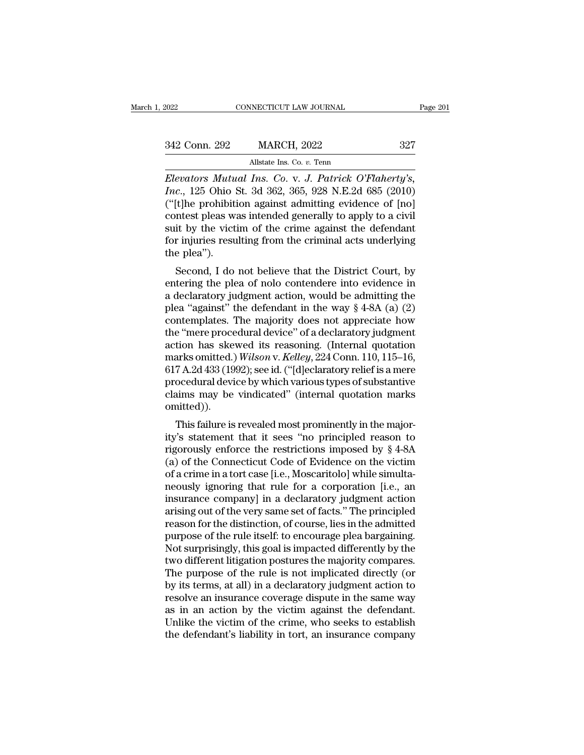| 2022          | CONNECTICUT LAW JOURNAL                            | Page 201 |
|---------------|----------------------------------------------------|----------|
|               |                                                    |          |
| 342 Conn. 292 | <b>MARCH, 2022</b>                                 | 327      |
|               | Allstate Ins. Co. v. Tenn                          |          |
|               | Elevators Mutual Ins. Co y J. Patrick O'Flabertu's |          |

Elevators Mutual Ins. Co. v. *J. Patrick O'Flaherty's*,<br> *Elevators Mutual Ins. Co. v. J. Patrick O'Flaherty's,*<br> *Elevators Mutual Ins. Co. v. J. Patrick O'Flaherty's,*<br> *Inc.*, 125 Ohio St. 3d 362, 365, 928 N.E.2d 685 (2 *Inc.*, 125 Ohio St. 3d 362, 365, 928 N.E.2d 685 (2010)<br>*Inc.*, 125 Ohio St. 3d 362, 365, 928 N.E.2d 685 (2010)<br>*I* ("[t]he prohibition against admitting evidence of [no]<br>contest place was intended sonorally to apply to a (342 Conn. 292 MARCH, 2022 327<br>
Allstate Ins. Co. v. Tenn<br>
Elevators Mutual Ins. Co. v. J. Patrick O'Flaherty's,<br>
Inc., 125 Ohio St. 3d 362, 365, 928 N.E.2d 685 (2010)<br>
("[t]he prohibition against admitting evidence of [no 342 Conn. 292 MARCH, 2022 327<br>
Allstate Ins. Co. v. Tenn<br>
Elevators Mutual Ins. Co. v. J. Patrick O'Flaherty's,<br>
Inc., 125 Ohio St. 3d 362, 365, 928 N.E.2d 685 (2010)<br>
("[t]he prohibition against admitting evidence of [no] Allstate Ins. Co. v. Tenn<br>Elevators Mutual Ins. Co. v. J. Patrick O'Flaherty's,<br>Inc., 125 Ohio St. 3d 362, 365, 928 N.E.2d 685 (2010)<br>("[t]he prohibition against admitting evidence of [no]<br>contest pleas was intended genera Allistate Ins. Co. v. Tenn<br>Elevators Mutual Ins. Co. v. J. Patrick O'Flaherty's,<br>Inc., 125 Ohio St. 3d 362, 365, 928 N.E.2d 685 (2010)<br>("[t]he prohibition against admitting evidence of [no]<br>contest pleas was intended gener Elevators Mutu<br>Inc., 125 Ohio !<br>("[t]he prohibiti<br>contest pleas w:<br>suit by the vict<br>for injuries resu<br>the plea").<br>Second, I do  $\mathcal{L}$ , 125 Office 3t. 3d 302, 305, 926 N.E.2d 065 (2010)<br>
(t]he prohibition against admitting evidence of [no]<br>
intest pleas was intended generally to apply to a civil<br>
it by the victim of the crime against the defenda (Fine promotion against admitting evidence of [ho]<br>contest pleas was intended generally to apply to a civil<br>suit by the victim of the crime against the defendant<br>for injuries resulting from the criminal acts underlying<br>th

collest pleas was intended generally to apply to a civil<br>suit by the victim of the crime against the defendant<br>for injuries resulting from the criminal acts underlying<br>the plea").<br>Second, I do not believe that the Distric suit by the victim of the crime against the defendant<br>for injuries resulting from the criminal acts underlying<br>the plea").<br>Second, I do not believe that the District Court, by<br>entering the plea of nolo contendere into evid for figures resulting from the criminal acts underlying<br>the plea").<br>Second, I do not believe that the District Court, by<br>entering the plea of nolo contendere into evidence in<br>a declaratory judgment action, would be admitti Second, I do not believe that the District Court, by<br>entering the plea of nolo contendere into evidence in<br>a declaratory judgment action, would be admitting the<br>plea "against" the defendant in the way § 4-8A (a) (2)<br>conte Second, I do not believe that the District Court, by<br>entering the plea of nolo contendere into evidence in<br>a declaratory judgment action, would be admitting the<br>plea "against" the defendant in the way § 4-8A (a) (2)<br>conte entering the plea of nolo contendere into evidence in<br>a declaratory judgment action, would be admitting the<br>plea "against" the defendant in the way § 4-8A (a) (2)<br>contemplates. The majority does not appreciate how<br>the "mer a declaratory judgment action, would be admitting the<br>plea "against" the defendant in the way § 4-8A (a) (2)<br>contemplates. The majority does not appreciate how<br>the "mere procedural device" of a declaratory judgment<br>action plea "against" the defendant in the way § 4-8A (a) (2)<br>contemplates. The majority does not appreciate how<br>the "mere procedural device" of a declaratory judgment<br>action has skewed its reasoning. (Internal quotation<br>marks om contemplates. The majority does not appreciate how<br>the "mere procedural device" of a declaratory judgment<br>action has skewed its reasoning. (Internal quotation<br>marks omitted.) Wilson v. Kelley, 224 Conn. 110, 115–16,<br>617 A. omitted)). tion has skewed its reasoning. (Internal quotation<br>arks omitted.) *Wilson v. Kelley*, 224 Conn. 110, 115–16,<br>7 A.2d 433 (1992); see id. ("[d]eclaratory relief is a mere<br>ocedural device by which various types of substantiv filar as officiently without v. Retteg, 224 Coluit. 110, 115–10,<br>617 A.2d 433 (1992); see id. ("[d]eclaratory relief is a mere<br>procedural device by which various types of substantive<br>claims may be vindicated" (internal qu

or  $r$  A.2d 455 (1992), see id. ( [d]eclaratory refler is a filter<br>procedural device by which various types of substantive<br>claims may be vindicated" (internal quotation marks<br>omitted)).<br>This failure is revealed most promi procedural device by which various types of substantive<br>claims may be vindicated" (internal quotation marks<br>omitted)).<br>This failure is revealed most prominently in the major-<br>ity's statement that it sees "no principled rea claims may be vindicated (internal quotation marks<br>omitted)).<br>This failure is revealed most prominently in the major-<br>ity's statement that it sees "no principled reason to<br>rigorously enforce the restrictions imposed by § This failure is revealed most prominently in the majority's statement that it sees "no principled reason to rigorously enforce the restrictions imposed by  $\S$  4-8A (a) of the Connecticut Code of Evidence on the victim of This failure is revealed most prominently in the major-<br>ity's statement that it sees "no principled reason to<br>rigorously enforce the restrictions imposed by  $\S$  4-8A<br>(a) of the Connecticut Code of Evidence on the victim<br>o ity's statement that it sees "no principled reason to<br>rigorously enforce the restrictions imposed by § 4-8A<br>(a) of the Connecticut Code of Evidence on the victim<br>of a crime in a tort case [i.e., Moscaritolo] while simultarigorously enforce the restrictions imposed by § 4-8A<br>
(a) of the Connecticut Code of Evidence on the victim<br>
of a crime in a tort case [i.e., Moscaritolo] while simulta-<br>
neously ignoring that rule for a corporation [i.e. (a) of the Connecticut Code of Evidence on the victim<br>of a crime in a tort case [i.e., Moscaritolo] while simulta-<br>neously ignoring that rule for a corporation [i.e., an<br>insurance company] in a declaratory judgment action<br> of a crime in a tort case [i.e., Moscaritolo] while simulta-<br>neously ignoring that rule for a corporation [i.e., an<br>insurance company] in a declaratory judgment action<br>arising out of the very same set of facts." The princi neously ignoring that rule for a corporation [i.e., an<br>insurance company] in a declaratory judgment action<br>arising out of the very same set of facts." The principled<br>reason for the distinction, of course, lies in the admit insurance company] in a declaratory judgment action<br>arising out of the very same set of facts." The principled<br>reason for the distinction, of course, lies in the admitted<br>purpose of the rule itself: to encourage plea barga arising out of the very same set of facts." The principled<br>reason for the distinction, of course, lies in the admitted<br>purpose of the rule itself: to encourage plea bargaining.<br>Not surprisingly, this goal is impacted diffe reason for the distinction, of course, lies in the admitted<br>purpose of the rule itself: to encourage plea bargaining.<br>Not surprisingly, this goal is impacted differently by the<br>two different litigation postures the majorit purpose of the rule itself: to encourage plea bargaining.<br>Not surprisingly, this goal is impacted differently by the<br>two different litigation postures the majority compares.<br>The purpose of the rule is not implicated direct Not surprisingly, this goal is impacted differently by the<br>two different litigation postures the majority compares.<br>The purpose of the rule is not implicated directly (or<br>by its terms, at all) in a declaratory judgment act two different litigation postures the majority compares.<br>The purpose of the rule is not implicated directly (or<br>by its terms, at all) in a declaratory judgment action to<br>resolve an insurance coverage dispute in the same wa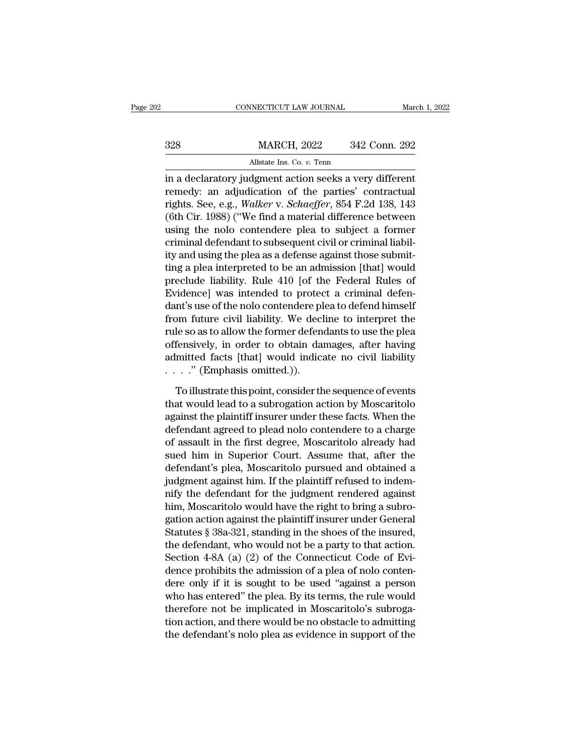|     | CONNECTICUT LAW JOURNAL                                 | March 1, 2022 |
|-----|---------------------------------------------------------|---------------|
|     |                                                         |               |
| 328 | <b>MARCH, 2022</b>                                      | 342 Conn. 292 |
|     | Allstate Ins. Co. v. Tenn                               |               |
|     | in a declaratory indoment action seeks a very different |               |

CONNECTICUT LAW JOURNAL March 1, 202<br>
328 MARCH, 2022 342 Conn. 292<br>
Allstate Ins. Co. v. Tenn<br>
in a declaratory judgment action seeks a very different<br>
remedy: an adjudication of the parties' contractual<br>
rights. See e.g. MARCH, 2022 342 Conn. 292<br>Allstate Ins. Co. v. Tenn<br>in a declaratory judgment action seeks a very different<br>remedy: an adjudication of the parties' contractual<br>rights. See, e.g., *Walker* v. *Schaeffer*, 854 F.2d 138, 143<br> MARCH, 2022 342 Conn. 292<br>
Allstate Ins. Co. *v.* Tenn<br>
in a declaratory judgment action seeks a very different<br>
remedy: an adjudication of the parties' contractual<br>
rights. See, e.g., *Walker* v. *Schaeffer*, 854 F.2d 138  $\frac{\text{MARCH, 2022}}{\text{Alstate Ins. Co. } v.\text{ Tenn}}$ <br>
in a declaratory judgment action seeks a very different<br>
remedy: an adjudication of the parties' contractual<br>
rights. See, e.g., *Walker* v. *Schaeffer*, 854 F.2d 138, 143<br>
(6th Cir. 1988 Allstate Ins. Co. *v.* Tenn<br>in a declaratory judgment action seeks a very different<br>remedy: an adjudication of the parties' contractual<br>rights. See, e.g., *Walker* v. *Schaeffer*, 854 F.2d 138, 143<br>(6th Cir. 1988) ("We fin Figure 1.1 and declaratory judgment action seeks a very different<br>remedy: an adjudication of the parties' contractual<br>rights. See, e.g., *Walker* v. *Schaeffer*, 854 F.2d 138, 143<br>(6th Cir. 1988) ("We find a material diff in a declaratory judgment action seeks a very different<br>remedy: an adjudication of the parties' contractual<br>rights. See, e.g., *Walker* v. *Schaeffer*, 854 F.2d 138, 143<br>(6th Cir. 1988) ("We find a material difference betw remedy: an adjudication of the parties' contractual<br>rights. See, e.g., *Walker* v. *Schaeffer*, 854 F.2d 138, 143<br>(6th Cir. 1988) ("We find a material difference between<br>using the nolo contendere plea to subject a former<br>c rights. See, e.g., *Walker v. Schaeffer*, 854 F.2d 138, 143<br>(6th Cir. 1988) ("We find a material difference between<br>using the nolo contendere plea to subject a former<br>criminal defendant to subsequent civil or criminal liab (6th Cir. 1988) ("We find a material difference between<br>using the nolo-contendere plea to subject a former<br>criminal defendant to subsequent civil or criminal liabil-<br>ity and using the plea as a defense against those submi using the nolo contendere plea to subject a former<br>criminal defendant to subsequent civil or criminal liabil-<br>ity and using the plea as a defense against those submit-<br>ting a plea interpreted to be an admission [that] woul criminal defendant to subsequent civil or criminal liability and using the plea as a defense against those submitting a plea interpreted to be an admission [that] would preclude liability. Rule 410 [of the Federal Rules of ity and using the plea as a defense against those submit-<br>ting a plea interpreted to be an admission [that] would<br>preclude liability. Rule 410 [of the Federal Rules of<br>Evidence] was intended to protect a criminal defen-<br>da ting a plea interpreted to be an admission [that] would<br>preclude liability. Rule 410 [of the Federal Rules of<br>Evidence] was intended to protect a criminal defen-<br>dant's use of the nolo contendere plea to defend himself<br>fro preclude liability. Rule 410 [of the Federal Rules of Evidence] was intended to protect a criminal defendant's use of the nolo contendere plea to defend himself from future civil liability. We decline to interpret the rul Evidence] was intended to protec<br>dant's use of the nolo contendere pl<br>from future civil liability. We decl<br>rule so as to allow the former defen<br>offensively, in order to obtain da<br>admitted facts [that] would indic:<br>....." ( om future civil liability. We decline to interpret the<br>le so as to allow the former defendants to use the plea<br>fensively, in order to obtain damages, after having<br>mitted facts [that] would indicate no civil liability<br>..." rule so as to allow the former defendants to use the plea<br>offensively, in order to obtain damages, after having<br>admitted facts [that] would indicate no civil liability<br> $\ldots$ ." (Emphasis omitted.)).<br>To illustrate this poin

offensively, in order to obtain damages, after having<br>admitted facts [that] would indicate no civil liability<br> $\ldots$  ." (Emphasis omitted.)).<br>To illustrate this point, consider the sequence of events<br>that would lead to a s admitted facts [that] would indicate no civil liability<br>
....." (Emphasis omitted.)).<br>
To illustrate this point, consider the sequence of events<br>
that would lead to a subrogation action by Moscaritolo<br>
against the plaintif  $\cdots$ ." (Emphasis omitted.)).<br>To illustrate this point, consider the sequence of events<br>that would lead to a subrogation action by Moscaritolo<br>against the plaintiff insurer under these facts. When the<br>defendant agreed to To illustrate this point, consider the sequence of events<br>that would lead to a subrogation action by Moscaritolo<br>against the plaintiff insurer under these facts. When the<br>defendant agreed to plead nolo contendere to a char To illustrate this point, consider the sequence of events<br>that would lead to a subrogation action by Moscaritolo<br>against the plaintiff insurer under these facts. When the<br>defendant agreed to plead nolo contendere to a char that would lead to a subrogation action by Moscaritolo<br>against the plaintiff insurer under these facts. When the<br>defendant agreed to plead nolo contendere to a charge<br>of assault in the first degree, Moscaritolo already had against the plaintiff insurer under these facts. When the<br>defendant agreed to plead nolo contendere to a charge<br>of assault in the first degree, Moscaritolo already had<br>sued him in Superior Court. Assume that, after the<br>def defendant agreed to plead nolo contendere to a charge<br>of assault in the first degree, Moscaritolo already had<br>sued him in Superior Court. Assume that, after the<br>defendant's plea, Moscaritolo pursued and obtained a<br>judgment of assault in the first degree, Moscaritolo already had<br>sued him in Superior Court. Assume that, after the<br>defendant's plea, Moscaritolo pursued and obtained a<br>judgment against him. If the plaintiff refused to indem-<br>nify sued him in Superior Court. Assume that, after the<br>defendant's plea, Moscaritolo pursued and obtained a<br>judgment against him. If the plaintiff refused to indem-<br>nify the defendant for the judgment rendered against<br>him, Mo defendant's plea, Moscaritolo pursued and obtained a<br>judgment against him. If the plaintiff refused to indem-<br>nify the defendant for the judgment rendered against<br>him, Moscaritolo would have the right to bring a subro-<br>gat judgment against him. If the plaintiff refused to indem-<br>nify the defendant for the judgment rendered against<br>him, Moscaritolo would have the right to bring a subro-<br>gation action against the plaintiff insurer under Genera nify the defendant for the judgment rendered against<br>him, Moscaritolo would have the right to bring a subro-<br>gation action against the plaintiff insurer under General<br>Statutes § 38a-321, standing in the shoes of the insure him, Moscaritolo would have the right to bring a subro-<br>gation action against the plaintiff insurer under General<br>Statutes § 38a-321, standing in the shoes of the insured,<br>the defendant, who would not be a party to that ac gation action against the plaintiff insurer under General<br>Statutes § 38a-321, standing in the shoes of the insured,<br>the defendant, who would not be a party to that action.<br>Section 4-8A (a) (2) of the Connecticut Code of Ev Statutes § 38a-321, standing in the shoes of the insured,<br>the defendant, who would not be a party to that action.<br>Section 4-8A (a) (2) of the Connecticut Code of Evi-<br>dence prohibits the admission of a plea of nolo conten the defendant, who would not be a party to that action.<br>Section 4-8A (a) (2) of the Connecticut Code of Evi-<br>dence prohibits the admission of a plea of nolo conten-<br>dere only if it is sought to be used "against a person<br>wh Section 4-8A (a) (2) of the Connecticut Code of Evidence prohibits the admission of a plea of nolo contendere only if it is sought to be used "against a person who has entered" the plea. By its terms, the rule would there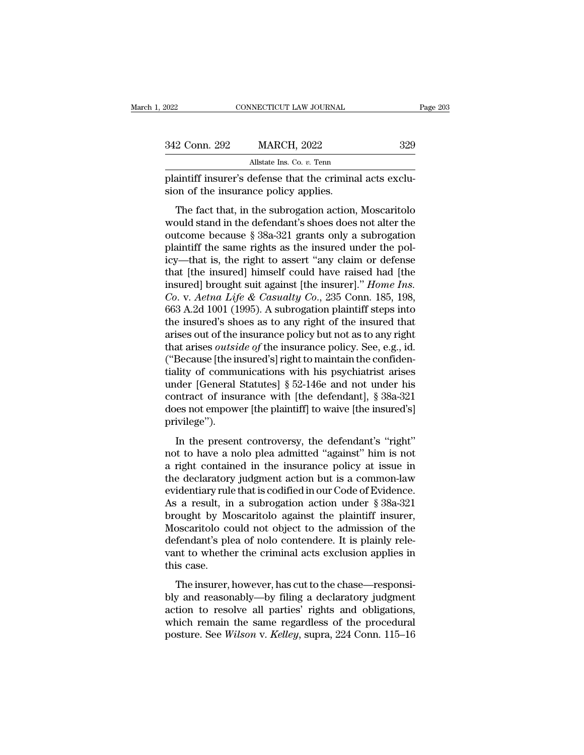| 2022          | CONNECTICUT LAW JOURNAL                                                                                                                                                 | Page 203 |
|---------------|-------------------------------------------------------------------------------------------------------------------------------------------------------------------------|----------|
|               |                                                                                                                                                                         |          |
| 342 Conn. 292 | <b>MARCH, 2022</b>                                                                                                                                                      | 329      |
|               | Allstate Ins. Co. v. Tenn                                                                                                                                               |          |
|               | plaintiff insurer's defense that the criminal acts exclu-<br>sion of the insurance policy applies.                                                                      |          |
|               | The fact that, in the subrogation action, Moscaritolo<br>would stand in the defendant's shoes does not alter the<br>outcomo bocauso 8.280.291 grants only a subrogation |          |

342 Conn. 292 MARCH, 2022 329<br>
allstate Ins. Co. v. Tenn<br>
plaintiff insurer's defense that the criminal acts exclu-<br>
sion of the insurance policy applies.<br>
The fact that, in the subrogation action, Moscaritolo<br>
would stan All state Ins. Co. v. Tenn<br>plaintiff insurer's defense that the criminal acts exclusion of the insurance policy applies.<br>The fact that, in the subrogation action, Moscaritolo<br>would stand in the defendant's shoes does not plaintiff insurer's defense that the criminal acts exclusion of the insurance policy applies.<br>The fact that, in the subrogation action, Moscaritolo would stand in the defendant's shoes does not alter the outcome because § Frame in the insurance policy applies.<br>
The fact that, in the subrogation action, Moscaritolo<br>
would stand in the defendant's shoes does not alter the<br>
outcome because  $\S 38a-321$  grants only a subrogation<br>
plaintiff the The fact that, in the subrogation action, Moscaritolo would stand in the defendant's shoes does not alter the outcome because § 38a-321 grants only a subrogation plaintiff the same rights as the insured under the policy—t The fact that, in the subrogation action, Moscaritolo would stand in the defendant's shoes does not alter the outcome because  $\S 38a-321$  grants only a subrogation plaintiff the same rights as the insured under the policy *Colume is a action in the defendant's shoes does not alter the* outcome because § 38a-321 grants only a subrogation plaintiff the same rights as the insured under the policy—that is, the right to assert "any claim or defe outcome because § 38a-321 grants only a subrogation<br>plaintiff the same rights as the insured under the pol-<br>icy—that is, the right to assert "any claim or defense<br>that [the insured] himself could have raised had [the<br>insu plaintiff the same rights as the insured under the policy—that is, the right to assert "any claim or defense<br>that [the insured] himself could have raised had [the<br>insured] brought suit against [the insurer]." *Home Ins.*<br> icy—that is, the right to assert "any claim or defense<br>that [the insured] himself could have raised had [the<br>insured] brought suit against [the insurer]." *Home Ins.*<br>Co. v. Aetna Life & Casualty Co., 235 Conn. 185, 198,<br>6 that [the insured] himself could have raised had [the<br>insured] brought suit against [the insurer]." *Home Ins.*<br>Co. v. Aetna Life & Casualty Co., 235 Conn. 185, 198,<br>663 A.2d 1001 (1995). A subrogation plaintiff steps into insured] brought suit against [the insurer]." *Home Ins.* Co. v. *Aetna Life & Casualty Co.*, 235 Conn. 185, 198, 663 A.2d 1001 (1995). A subrogation plaintiff steps into the insured's shoes as to any right of the insured Co. v. Aetna Life & Casualty Co., 235 Conn. 185, 198, 663 A.2d 1001 (1995). A subrogation plaintiff steps into the insured's shoes as to any right of the insured that arises out of the insurance policy but not as to any r 663 A.2d 1001 (1995). A subrogation plaintiff steps into<br>the insured's shoes as to any right of the insured that<br>arises out of the insurance policy but not as to any right<br>that arises *outside of* the insurance policy. Se the insured's shoes as to any right of the insured that<br>arises out of the insurance policy but not as to any right<br>that arises *outside of* the insurance policy. See, e.g., id.<br>("Because [the insured's] right to maintain arises out of the insurance policy but not as to any right<br>that arises *outside of* the insurance policy. See, e.g., id.<br>("Because [the insured's] right to maintain the confiden-<br>tiality of communications with his psychiat privilege''). Because [are moarca s] right to maintain the connact.<br>
lity of communications with his psychiatrist arises<br>
nder [General Statutes] § 52-146e and not under his<br>
ntract of insurance with [the defendant], § 38a-321<br>
es not e admy of communications with this psychiatrics affects<br>under [General Statutes] § 52-146e and not under his<br>contract of insurance with [the defendant], § 38a-321<br>does not empower [the plaintiff] to waive [the insured's]<br>pr

contract of insurance with [the defendant], § 38a-321<br>does not empower [the plaintiff] to waive [the insured's]<br>privilege").<br>In the present controversy, the defendant's "right"<br>not to have a nolo plea admitted "against" h the declarator of mistratic what the determinity,  $\frac{1}{3}$  or  $\frac{1}{3}$  does not empower [the plaintiff] to waive [the insured's]<br>privilege").<br>In the present controversy, the defendant's "right"<br>not to have a nolo plea a privilege").<br>
In the present controversy, the defendant's "right"<br>
not to have a nolo plea admitted "against" him is not<br>
a right contained in the insurance policy at issue in<br>
the declaratory judgment action but is a com In the present controversy, the defendant's "right"<br>not to have a nolo plea admitted "against" him is not<br>a right contained in the insurance policy at issue in<br>the declaratory judgment action but is a common-law<br>evidentia In the present controversy, the defendant's "right"<br>not to have a nolo plea admitted "against" him is not<br>a right contained in the insurance policy at issue in<br>the declaratory judgment action but is a common-law<br>evidentia not to have a nolo plea admitted "against" him is not<br>a right contained in the insurance policy at issue in<br>the declaratory judgment action but is a common-law<br>evidentiary rule that is codified in our Code of Evidence.<br>As a right contained in the insurance policy at issue in<br>the declaratory judgment action but is a common-law<br>evidentiary rule that is codified in our Code of Evidence.<br>As a result, in a subrogation action under § 38a-321<br>brou the declaratory judgment action but is a common-law<br>evidentiary rule that is codified in our Code of Evidence.<br>As a result, in a subrogation action under § 38a-321<br>brought by Moscaritolo against the plaintiff insurer,<br>Mosc evidentiary rule<br>As a result, ir<br>brought by M<br>Moscaritolo co<br>defendant's ple<br>vant to whethe<br>this case.<br>The insurer, The insurer, however, has cut to the chase—responsition to rescaly and reasonably—by filing a declaratory judgment to whether the criminal acts exclusion applies in the insurer, however, has cut to the chase—responsition a bly and reasonably discussed in the admission of the<br>defendant's plea of nolo contendere. It is plainly rele-<br>vant to whether the criminal acts exclusion applies in<br>this case.<br>The insurer, however, has cut to the chase—res

defendant's plea of nolo contendere. It is plainly relevant to whether the criminal acts exclusion applies in<br>this case.<br>The insurer, however, has cut to the chase—responsi-<br>bly and reasonably—by filing a declaratory judg which remains a piece of the solutionate regardless of this case.<br>The insurer, however, has cut to the chase—responsi-<br>bly and reasonably—by filing a declaratory judgment<br>action to resolve all parties' rights and obligatio related the critical acts exclusion applies in this case.<br>The insurer, however, has cut to the chase—responsi-<br>bly and reasonably—by filing a declaratory judgment<br>action to resolve all parties' rights and obligations,<br>whic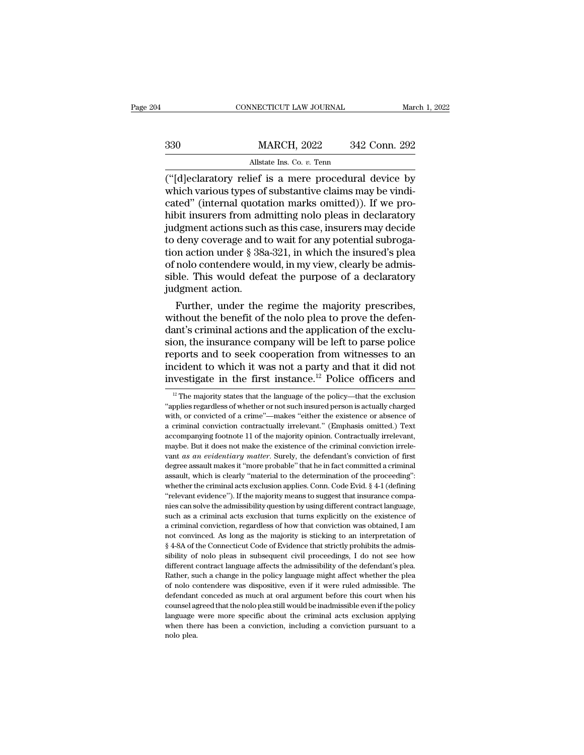|     | CONNECTICUT LAW JOURNAL                               | March 1, 2022 |
|-----|-------------------------------------------------------|---------------|
| 330 |                                                       | 342 Conn. 292 |
|     | <b>MARCH, 2022</b><br>Allstate Ins. Co. v. Tenn       |               |
|     | ("Idleclaratory relief is a mere procedural device by |               |

(CONNECTICUT LAW JOURNAL March 1, 2022)<br>
330 MARCH, 2022 342 Conn. 292<br>
Allstate Ins. Co. v. Tenn<br>
("[d]eclaratory relief is a mere procedural device by<br>
which various types of substantive claims may be vindi-<br>
cated" (int MARCH, 2022 342 Conn. 292<br>Allstate Ins. Co. v. Tenn<br>("[d]eclaratory relief is a mere procedural device by<br>which various types of substantive claims may be vindi-<br>cated" (internal quotation marks omitted)). If we pro-<br>hibit  $\begin{array}{ll} \text{MARCH, 2022} & \text{342 Conn. 292} \ \hline \text{Allstate Ins. Co. } v. \text{ Tenn} \ \hline \end{array}$  ("[d]eclaratory relief is a mere procedural device by which various types of substantive claims may be vindicated" (internal quotation marks omitted)). If  $\frac{\text{MARCH}}{\text{(4)}}$  allstate Ins. Co. v. Tenn<br>
("[d]eclaratory relief is a mere procedural device by<br>
which various types of substantive claims may be vindi-<br>
cated" (internal quotation marks omitted)). If we pro-<br>
hibit insu All state Ins. Co. v. Tenn<br>
("[d]eclaratory relief is a mere procedural device by<br>
which various types of substantive claims may be vindi-<br>
cated" (internal quotation marks omitted)). If we pro-<br>
hibit insurers from admit All tast instant in the coverage and to which various types of substantive claims may be vindicated" (internal quotation marks omitted)). If we prohibit insurers from admitting nolo pleas in declaratory judgment actions s ("[d]eclaratory relief is a mere procedural device by<br>which various types of substantive claims may be vindi-<br>cated" (internal quotation marks omitted)). If we pro-<br>hibit insurers from admitting nolo pleas in declaratory<br>j which various types of substantive claims may be vindicated" (internal quotation marks omitted)). If we prohibit insurers from admitting nolo pleas in declaratory judgment actions such as this case, insurers may decide to cated" (internal quotation marks omitted)). If we prohibit insurers from admitting nolo pleas in declaratory judgment actions such as this case, insurers may decide to deny coverage and to wait for any potential subrogatio hibit insurers from adequent actions such<br>to deny coverage and the deny coverage and the sense of nolo contendere wo<br>sible. This would defequent action.<br>Further, under the dgment actions such as this case, insurers may decide<br>deny coverage and to wait for any potential subroga-<br>on action under  $\S$  38a-321, in which the insured's plea<br>nolo contendere would, in my view, clearly be admis-<br>ple. to deny coverage and to wait for any potential subrogation action under  $\S$  38a-321, in which the insured's plea of nolo contendere would, in my view, clearly be admissible. This would defeat the purpose of a declaratory

tion action under § 38a-321, in which the insured's plea<br>of nolo contendere would, in my view, clearly be admis-<br>sible. This would defeat the purpose of a declaratory<br>judgment action.<br>Further, under the regime the majority of nolo contendere would, in my view, clearly be admissible. This would defeat the purpose of a declaratory<br>judgment action.<br>Further, under the regime the majority prescribes,<br>without the benefit of the nolo plea to prove sible. This would deteat the purpose of a declaratory<br>judgment action.<br>Further, under the regime the majority prescribes,<br>without the benefit of the nolo plea to prove the defen-<br>dant's criminal actions and the applicatio judgment action.<br>Further, under the regime the majority prescribes,<br>without the benefit of the nolo plea to prove the defen-<br>dant's criminal actions and the application of the exclu-<br>sion, the insurance company will be lef Further, under the regime the majority prescribes,<br>without the benefit of the nolo plea to prove the defen-<br>dant's criminal actions and the application of the exclu-<br>sion, the insurance company will be left to parse polic on, the insurance company will be left to parse police<br>ports and to seek cooperation from witnesses to an<br>cident to which it was not a party and that it did not<br>westigate in the first instance.<sup>12</sup> Police officers and<br><sup>12</sup> reports and to seek cooperation from witnesses to an incident to which it was not a party and that it did not investigate in the first instance.<sup>12</sup> Police officers and  $\frac{12}{12}$  The majority states that the language of

incident to which it was not a party and that it did not<br>investigate in the first instance.<sup>12</sup> Police officers and<br> $\frac{12}{\text{The majority states that the language of the policy—that the exclusion  
"applies regardless of whether or not such insured person is actually charged  
with, or convicted of a crime"—makes "either the existence or absence of  
a criminal conviction contractually irrelevant." (Emphasis omitted.) Text$ investigate in the first instance.<sup>12</sup> Police officers and<br>
<sup>12</sup> The majority states that the language of the policy—that the exclusion<br>
"applies regardless of whether or not such insured person is actually charged<br>
with, Investigate in the first instance.<sup>--</sup> Fonce officers and  $\frac{12}{12}$  The majority states that the language of the policy—that the exclusion "applies regardless of whether or not such insured person is actually charged wi <sup>12</sup> The majority states that the language of the policy—that the exclusion "applies regardless of whether or not such insured person is actually charged with, or convicted of a crime"—makes "either the existence or absen <sup>2</sup>x applies regardless of whether or not such insured person is actually charged with, or convicted of a crime"—makes "either the existence or absence of a criminal conviction contractually irrelevant." (Emphasis omitted. with, or convicted of a crime"—makes "either the existence or absence of a criminal conviction contractually irrelevant." (Emphasis omitted.) Text accompanying footnote 11 of the majority opinion. Contractually irrelevant a criminal conviction contractually irrelevant." (Emphasis omitted.) Text accompanying footnote 11 of the majority opinion. Contractually irrelevant, maybe. But it does not make the existence of the criminal conviction irr accompanying footnote 11 of the majority opinion. Contractually irrelevant, maybe. But it does not make the existence of the criminal conviction irrelevant *as an evidentiary matter*. Surely, the defendant's conviction of vant *as an evidentiary matter*. Surely, the defendant's conviction of first degree assault makes it "more probable" that he in fact committed a criminal assault, which is clearly "material to the determination of the pro may as an evidentiary matter. Surely, the defendant's conviction of first degree assault makes it "more probable" that he in fact committed a criminal assault, which is clearly "material to the determination of the procee degree assault makes it "more probable" that he in fact committed a criminal assault, which is clearly "material to the determination of the proceeding": whether the criminal acts exclusion applies. Conn. Code Evid. § 4-1 assault, which is clearly "material to the determination of the proceeding":<br>whether the criminal acts exclusion applies. Conn. Code Evid. § 4-1 (defining<br>"relevant evidence"). If the majority means to suggest that insuran whether the criminal acts exclusion applies. Conn. Code Evid. § 4-1 (defining "relevant evidence"). If the majority means to suggest that insurance companies can solve the admissibility question by using different contrac Freevant evidence"). If the majority means to suggest that insurance companies can solve the admissibility question by using different contract language, such as a criminal acts exclusion that turns explicitly on the exis nies can solve the admissibility question by using different contract language, such as a criminal acts exclusion that turns explicitly on the existence of a criminal conviction, regardless of how that conviction was obtai such as a criminal acts exclusion that turns explicitly on the existence of a criminal conviction, regardless of how that conviction was obtained, I am not convinced. As long as the majority is sticking to an interpretati a criminal conviction, regardless of how that conviction was obtained, I am not convinced. As long as the majority is sticking to an interpretation of  $\S$  4-8A of the Connecticut Code of Evidence that strictly prohibits t of not convinced. As long as the majority is sticking to an interpretation of  $\$ 4-8A of the Connecticut Code of Evidence that strictly prohibits the admissibility of nolo pleas in subsequent civil proceedings, I do not se  $§$  4-8A of the Connecticut Code of Evidence that strictly prohibits the admissibility of nolo pleas in subsequent civil proceedings, I do not see how different contract language affects the admissibility of the defendant simity of nolo pleas in subsequent civil proceedings, I do not see how<br>sibility of nolo pleas in subsequent civil proceedings, I do not see how<br>different contract language affects the admissibility of the defendant's plea. different contract language affects the admissibility of the defendant's plea.<br>Rather, such a change in the policy language might affect whether the plea<br>of nolo contendere was dispositive, even if it were ruled admissible Examples are has been a conviction, including a conviction pursuant to a contender was dispositive, even if it were ruled admissible. The defendant conceded as much at oral argument before this court when his counsel agree of nolo contendere was dispositive, even if it were ruled admissible. The defendant conceded as much at oral argument before this court when his counsel agreed that the nolo plea still would be inadmissible even if the po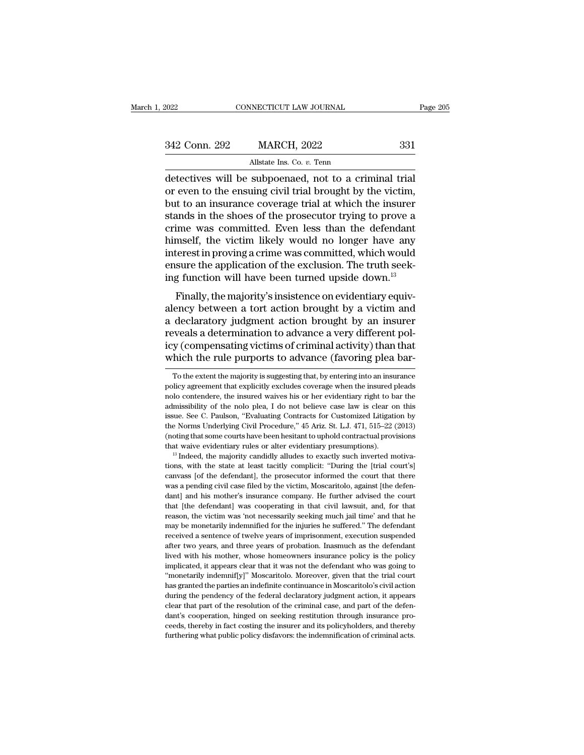| 2022          | CONNECTICUT LAW JOURNAL                                                                                                                                                       | Page 205 |
|---------------|-------------------------------------------------------------------------------------------------------------------------------------------------------------------------------|----------|
| 342 Conn. 292 | <b>MARCH, 2022</b>                                                                                                                                                            | 331      |
|               | Allstate Ins. Co. v. Tenn                                                                                                                                                     |          |
|               | detectives will be subpoenaed, not to a criminal trial<br>or even to the ensuing civil trial brought by the victim,<br>but to an incurango governo trial at which the incurer |          |

342 Conn. 292 MARCH, 2022 331<br>Allstate Ins. Co.  $v$ . Tenn<br>detectives will be subpoenaed, not to a criminal trial<br>or even to the ensuing civil trial brought by the victim,<br>but to an insurance coverage trial at which the in  $\frac{342 \text{ Conn. } 292}{\text{Altstate Ins. Co. } v. \text{ Tenn}}$ <br>
All and the insurance coverage trial at which the insurer<br>
but to an insurance coverage trial at which the insurer<br>
stands in the shoes of the prosecutor trying to prove a<br>
crime was  $\frac{342 \text{ Conn. } 292}{\text{Allstate Ins. Co. } v. \text{ Tenn}}$ <br>
detectives will be subpoenaed, not to a criminal trial<br>
or even to the ensuing civil trial brought by the victim,<br>
but to an insurance coverage trial at which the insurer<br>
stands in Allstate Ins. Co. *v.* Tenn<br>detectives will be subpoenaed, not to a criminal trial<br>or even to the ensuing civil trial brought by the victim,<br>but to an insurance coverage trial at which the insurer<br>stands in the shoes of th All tasks to  $v$ . Tenn<br>detectives will be subpoenaed, not to a criminal trial<br>or even to the ensuing civil trial brought by the victim,<br>but to an insurance coverage trial at which the insurer<br>stands in the shoes of the pr detectives will be subpoenaed, not to a criminal trial<br>or even to the ensuing civil trial brought by the victim,<br>but to an insurance coverage trial at which the insurer<br>stands in the shoes of the prosecutor trying to prove or even to the ensuing civil trial brought by the victim,<br>but to an insurance coverage trial at which the insurer<br>stands in the shoes of the prosecutor trying to prove a<br>crime was committed. Even less than the defendant<br>hi but to an insurance coverage trial at which the insurer<br>stands in the shoes of the prosecutor trying to prove a<br>crime was committed. Even less than the defendant<br>himself, the victim likely would no longer have any<br>interest Finally, the majority's insistence on evidentiary equiver<br>Finally, the victim likely would no longer have any<br>terest in proving a crime was committed, which would<br>sure the application of the exclusion. The truth seek-<br>g fu Finally, the victim likely would no longer have any<br>interest in proving a crime was committed, which would<br>ensure the application of the exclusion. The truth seek-<br>ing function will have been turned upside down.<sup>13</sup><br>Finall

missen, the victim likely would no longer have any<br>interest in proving a crime was committed, which would<br>ensure the application of the exclusion. The truth seek-<br>ing function will have been turned upside down.<sup>13</sup><br>Finally reveals a determination of the exclusion. The truth seeking function will have been turned upside down.<sup>13</sup><br>Finally, the majority's insistence on evidentiary equivalency between a tort action brought by a victim and<br>a decl ing function will have been turned upside down.<sup>13</sup><br>Finally, the majority's insistence on evidentiary equiv-<br>alency between a tort action brought by a victim and<br>a declaratory judgment action brought by an insurer<br>reveals Finally, the majority's insistence on evidentiary equivalency between a tort action brought by a victim and a declaratory judgment action brought by an insurer reveals a determination to advance a very different policy (co declaratory judgment action brought by an insurer<br>veals a determination to advance a very different pol-<br>y (compensating victims of criminal activity) than that<br>hich the rule purports to advance (favoring plea bar-<br>To the reveals a determination to advance a very different policy (compensating victims of criminal activity) than that which the rule purports to advance (favoring plea bar-<br>To the extent the majority is suggesting that, by ente

icy (compensating victims of criminal activity) than that<br>which the rule purports to advance (favoring plea bar-<br>To the extent the majority is suggesting that, by entering into an insurance<br>policy agreement that explicitly and the number of the nonlocating countries of the non-<br>advance (favoring plea bar-<br>To the extent the majority is suggesting that, by entering into an insurance<br>policy agreement that explicitly excludes coverage when the i To the extent the purports to advance (Tavornig prea bar-<br>To the extent the majority is suggesting that, by entering into an insurance<br>policy agreement that explicitly excludes coverage when the insured pleads<br>nolo contend To the extent the majority is suggesting that, by entering into an insurance policy agreement that explicitly excludes coverage when the insured pleads nolo contendere, the insured waives his or her evidentiary right to ba policy agreement that explicitly excludes coverage when the insured pleads<br>nolo contendere, the insured waives his or her evidentiary right to bar the<br>admissibility of the nolo plea, I do not believe case law is clear on t From probability of the notice evidentiary right to bar the admissibility of the noto plea, I do not believe case law is clear on this issue. See C. Paulson, "Evaluating Contracts for Customized Litigation by the Norms Un issue. See C. Paulson, "Evaluating Contracts for Customized Litigation by the Norms Underlying Civil Procedure,"  $45$  Ariz. St. L.J.  $471$ ,  $515-22$  (2013) (noting that some courts have been hesitant to uphold contractual

the Norms Underlying Civil Procedure," 45 Ariz. St. L.J. 471, 515–22 (2013)<br>(noting that some courts have been hesitant to uphold contractual provisions<br>that waive evidentiary rules or alter evidentiary presumptions).<br><sup>13</sup> the Norms Underlying Civil Procedure," 45 Ariz. St. L.J. 471, 515–22 (2013) (noting that some courts have been hesitant to uphold contractual provisions that waive evidentiary rules or alter evidentiary presumptions).<br><sup>13</sup> that wave evidentiary rules or alter evidentiary presumptions).<br>
<sup>13</sup> Indeed, the majority candidly alludes to exactly such inverted motiva-<br>
<sup>13</sup> Indeed, the majority candidly alludes to exactly such inverted motiva-<br>
tio <sup>13</sup> Indeed, the majority candidly alludes to exactly such inverted motivations, with the state at least tacitly complicit: "During the [trial court's] canvass [of the defendant], the prosecutor informed the court that the reason, with the state at least tacitly complicit: "During the [trial court's] canvass [of the defendant], the prosecutor informed the court that there was a pending civil case filed by the victim, Moscaritolo, against [th canvass [of the defendant], the prosecutor informed the court that there was a pending civil case filed by the victim, Moscaritolo, against [the defendant] and his mother's insurance company. He further advised the court t was a pending civil case filed by the victim, Moscaritolo, against [the defendant] and his mother's insurance company. He further advised the court that [the defendant] was cooperating in that civil lawsuit, and, for that man particularly and his mother's insurance company. He further advised the court that [the defendant] was cooperating in that civil lawsuit, and, for that reason, the victim was 'not necessarily seeking much jail time' an that [the defendant] was cooperating in that civil lawsuit, and, for that reason, the victim was 'not necessarily seeking much jail time' and that he may be monetarily indemnified for the injuries he suffered." The defenda reason, the victim was 'not necessarily seeking much jail time' and that he may be monetarily indemnified for the injuries he suffered." The defendant received a sentence of twelve years of imprisonment, execution suspende "'may be monetarily indemnified for the injuries he suffered." The defendant received a sentence of twelve years of imprisonment, execution suspended after two years, and three years of probation. Inasmuch as the defendant has granted the parties and three parties of imprisonment, execution suspended after two years, and three years of probation. Inasmuch as the defendant lived with his mother, whose homeowners insurance policy is the policy net two years, and three years of probation. Inasmuch as the defendant lived with his mother, whose homeowners insurance policy is the policy implicated, it appears clear that it was not the defendant who was going to "mon lived with his mother, whose homeomers insurance policy is the policy implicated, it appears clear that it was not the defendant who was going to "monetarily indemnif[y]" Moscaritolo. Moreover, given that the trial court h implicated, it appears clear that it was not the defendant who was going to implicated, it appears clear that it was not the defendant who was going to "monetarily indemnif[y]" Moscaritolo. Moreover, given that the trial c ""monetarily indemnif[y]" Moscaritolo. Moreover, given that the trial court<br>has granted the parties an indefinite continuance in Moscaritolo's civil action<br>during the pendency of the federal declaratory judgment action, it has granted the parties an indefinite continuance in Moscaritolo's civil action<br>during the pendency of the federal declaratory judgment action, it appears<br>clear that part of the resolution of the criminal case, and part of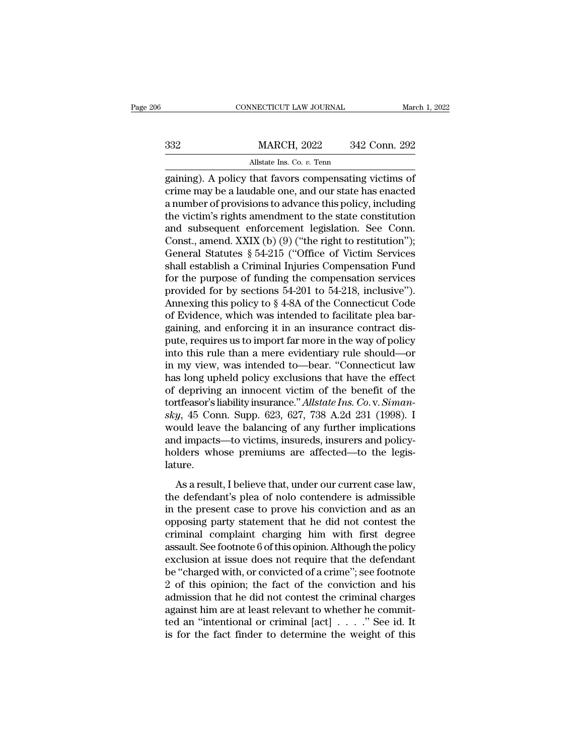|     | CONNECTICUT LAW JOURNAL                                                                                                                                                     | March 1, 2022 |
|-----|-----------------------------------------------------------------------------------------------------------------------------------------------------------------------------|---------------|
| 332 | <b>MARCH, 2022</b>                                                                                                                                                          | 342 Conn. 292 |
|     | Allstate Ins. Co. v. Tenn                                                                                                                                                   |               |
|     | gaining). A policy that favors compensating victims of<br>crime may be a laudable one, and our state has enacted<br>a number of provisions to advance this policy including |               |

MARCH, 2022 342 Conn. 292<br>Allstate Ins. Co. v. Tenn<br>gaining). A policy that favors compensating victims of<br>crime may be a laudable one, and our state has enacted<br>a number of provisions to advance this policy, including<br>the  $\frac{\text{MARCH, 2022}}{\text{Altstate Ins. Co. } v.\text{ Tenn}}$ <br>
allstate Ins. Co.  $v.\text{ Tenn}$ <br>
gaining). A policy that favors compensating victims of<br>
crime may be a laudable one, and our state has enacted<br>
a number of provisions to advance this policy, MARCH, 2022 342 Conn. 292<br>
Allstate Ins. Co. v. Tenn<br>
gaining). A policy that favors compensating victims of<br>
crime may be a laudable one, and our state has enacted<br>
a number of provisions to advance this policy, includin Allstate Ins. Co. *v.* Tenn<br>
gaining). A policy that favors compensating victims of<br>
crime may be a laudable one, and our state has enacted<br>
a number of provisions to advance this policy, including<br>
the victim's rights ame All and the Res. Co. *v.* Tenn<br>gaining). A policy that favors compensating victims of<br>crime may be a laudable one, and our state has enacted<br>a number of provisions to advance this policy, including<br>the victim's rights ame gaining). A policy that favors compensating victims of<br>crime may be a laudable one, and our state has enacted<br>a number of provisions to advance this policy, including<br>the victim's rights amendment to the state constitution crime may be a laudable one, and our state has enacted<br>a number of provisions to advance this policy, including<br>the victim's rights amendment to the state constitution<br>and subsequent enforcement legislation. See Conn.<br>Con a number of provisions to advance this policy, including<br>the victim's rights amendment to the state constitution<br>and subsequent enforcement legislation. See Conn.<br>Const., amend. XXIX (b) (9) ("the right to restitution");<br> the victim's rights amendment to the state constitution<br>and subsequent enforcement legislation. See Conn.<br>Const., amend. XXIX (b) (9) ("the right to restitution");<br>General Statutes § 54-215 ("Office of Victim Services<br>shal and subsequent enforcement legislation. See Conn.<br>Const., amend. XXIX (b) (9) ("the right to restitution");<br>General Statutes § 54-215 ("Office of Victim Services<br>shall establish a Criminal Injuries Compensation Fund<br>for th Const., amend. XXIX (b) (9) ("the right to restitution");<br>General Statutes § 54-215 ("Office of Victim Services<br>shall establish a Criminal Injuries Compensation Fund<br>for the purpose of funding the compensation services<br>pr General Statutes § 54-215 ("Office of Victim Services<br>shall establish a Criminal Injuries Compensation Fund<br>for the purpose of funding the compensation services<br>provided for by sections 54-201 to 54-218, inclusive").<br>Anne shall establish a Criminal Injuries Compensation Fund<br>for the purpose of funding the compensation services<br>provided for by sections 54-201 to 54-218, inclusive").<br>Annexing this policy to § 4-8A of the Connecticut Code<br>of E for the purpose of funding the compensation services<br>provided for by sections 54-201 to 54-218, inclusive").<br>Annexing this policy to  $\S$  4-8A of the Connecticut Code<br>of Evidence, which was intended to facilitate plea barprovided for by sections 54-201 to 54-218, inclusive").<br>Annexing this policy to  $\S$  4-8A of the Connecticut Code<br>of Evidence, which was intended to facilitate plea bar-<br>gaining, and enforcing it in an insurance contract d Annexing this policy to § 4-8A of the Connecticut Code<br>of Evidence, which was intended to facilitate plea bar-<br>gaining, and enforcing it in an insurance contract dis-<br>pute, requires us to import far more in the way of pol of Evidence, which was intended to facilitate plea bargaining, and enforcing it in an insurance contract dis-<br>pute, requires us to import far more in the way of policy<br>into this rule than a mere evidentiary rule should—or gaining, and enforcing it in an insurance contract dis-<br>pute, requires us to import far more in the way of policy<br>into this rule than a mere evidentiary rule should—or<br>in my view, was intended to—bear. "Connecticut law<br>has pute, requires us to import far more in the way of policy<br>into this rule than a mere evidentiary rule should—or<br>in my view, was intended to—bear. "Connecticut law<br>has long upheld policy exclusions that have the effect<br>of d into this rule than a mere evidentiary rule should—or<br>in my view, was intended to—bear. "Connecticut law<br>has long upheld policy exclusions that have the effect<br>of depriving an innocent victim of the benefit of the<br>tortfeas in my view, was intended to—bear. "Connecticut law<br>has long upheld policy exclusions that have the effect<br>of depriving an innocent victim of the benefit of the<br>tortfeasor's liability insurance." Allstate Ins. Co. v. Simanhas long upheld policy exclusions that have the effect<br>of depriving an innocent victim of the benefit of the<br>tortfeasor's liability insurance." Allstate Ins. Co. v. Siman-<br>sky, 45 Conn. Supp. 623, 627, 738 A.2d 231 (1998). lature. *y*, 45 Conn. Supp. 623, 627, 738 A.2d 231 (1998). I<br>buld leave the balancing of any further implications<br>d impacts—to victims, insureds, insurers and policy-<br>lders whose premiums are affected—to the legis-<br>ure.<br>As a resu the defendant's plear that he did not context the<br>
and impacts—to victims, insureds, insurers and policy-<br>
holders whose premiums are affected—to the legis-<br>
lature.<br>
As a result, I believe that, under our current case law

modal care are stataneing of any farater impredations<br>and impacts—to victims, insureds, insurers and policy-<br>holders whose premiums are affected—to the legis-<br>lature.<br>As a result, I believe that, under our current case law and inputes the vielants, instances, instances and points<br>holders whose premiums are affected—to the legis-<br>lature.<br>As a result, I believe that, under our current case law,<br>the defendant's plea of nolo contendere is admiss complaint charging the defendant<br>atture.<br>As a result, I believe that, under our current case law,<br>the defendant's plea of nolo contendere is admissible<br>in the present case to prove his conviction and as an<br>opposing party s As a result, I believe that, under our current case law,<br>the defendant's plea of nolo contendere is admissible<br>in the present case to prove his conviction and as an<br>opposing party statement that he did not contest the<br>crim As a result, I believe that, under our current case law,<br>the defendant's plea of nolo contendere is admissible<br>in the present case to prove his conviction and as an<br>opposing party statement that he did not contest the<br>crim the defendant's plea of nolo contendere is admissible<br>in the present case to prove his conviction and as an<br>opposing party statement that he did not contest the<br>criminal complaint charging him with first degree<br>assault. Se in the present case to prove his conviction and as an opposing party statement that he did not contest the criminal complaint charging him with first degree assault. See footnote 6 of this opinion. Although the policy excl opposing party statement that he did not contest the<br>criminal complaint charging him with first degree<br>assault. See footnote 6 of this opinion. Although the policy<br>exclusion at issue does not require that the defendant<br>be criminal complaint charging him with first degree<br>assault. See footnote 6 of this opinion. Although the policy<br>exclusion at issue does not require that the defendant<br>be "charged with, or convicted of a crime"; see footnot assault. See footnote 6 of this opinion. Although the policy<br>exclusion at issue does not require that the defendant<br>be "charged with, or convicted of a crime"; see footnote<br>2 of this opinion; the fact of the conviction an exclusion at issue does not require that the defendant<br>be "charged with, or convicted of a crime"; see footnote<br>2 of this opinion; the fact of the conviction and his<br>admission that he did not contest the criminal charges<br>